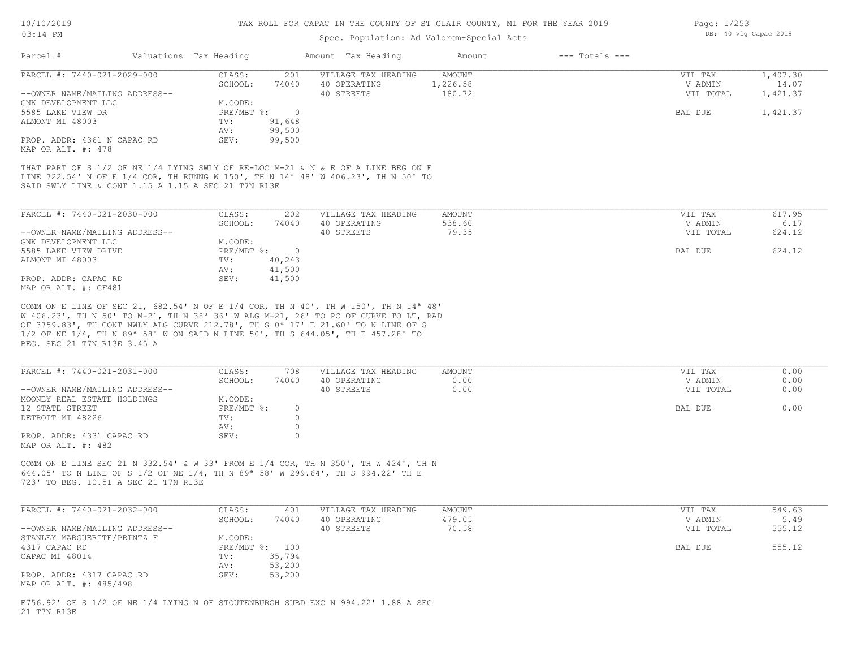## Spec. Population: Ad Valorem+Special Acts

|                                                   |         |                        |                     | Amount             | $---$ Totals $---$ |           |          |
|---------------------------------------------------|---------|------------------------|---------------------|--------------------|--------------------|-----------|----------|
| PARCEL #: 7440-021-2029-000                       | CLASS:  | 201                    | VILLAGE TAX HEADING | AMOUNT             |                    | VIL TAX   | 1,407.30 |
|                                                   | SCHOOL: | 74040                  | 40 OPERATING        | 1,226.58           |                    | V ADMIN   | 14.07    |
| --OWNER NAME/MAILING ADDRESS--                    |         |                        | 40 STREETS          | 180.72             |                    | VIL TOTAL | 1,421.37 |
| GNK DEVELOPMENT LLC                               | M.CODE: |                        |                     |                    |                    |           |          |
|                                                   |         |                        |                     |                    |                    | BAL DUE   | 1,421.37 |
|                                                   | TV:     | 91,648                 |                     |                    |                    |           |          |
|                                                   | AV:     | 99,500                 |                     |                    |                    |           |          |
| PROP. ADDR: 4361 N CAPAC RD<br>MAP OR ALT. #: 478 | SEV:    | 99,500                 |                     |                    |                    |           |          |
|                                                   |         | Valuations Tax Heading | PRE/MBT %:          | Amount Tax Heading |                    |           |          |

SAID SWLY LINE & CONT 1.15 A 1.15 A SEC 21 T7N R13E LINE 722.54' N OF E 1/4 COR, TH RUNNG W 150', TH N 14ª 48' W 406.23', TH N 50' TO THAT PART OF S 1/2 OF NE 1/4 LYING SWLY OF RE-LOC M-21 & N & E OF A LINE BEG ON E

| PARCEL #: 7440-021-2030-000    | CLASS:     | 202    | VILLAGE TAX HEADING | AMOUNT | VIL TAX   | 617.95 |
|--------------------------------|------------|--------|---------------------|--------|-----------|--------|
|                                | SCHOOL:    | 74040  | 40 OPERATING        | 538.60 | V ADMIN   | 6.17   |
| --OWNER NAME/MAILING ADDRESS-- |            |        | 40 STREETS          | 79.35  | VIL TOTAL | 624.12 |
| GNK DEVELOPMENT LLC            | M.CODE:    |        |                     |        |           |        |
| 5585 LAKE VIEW DRIVE           | PRE/MBT %: |        |                     |        | BAL DUE   | 624.12 |
| ALMONT MI 48003                | TV:        | 40,243 |                     |        |           |        |
|                                | AV:        | 41,500 |                     |        |           |        |
| PROP. ADDR: CAPAC RD           | SEV:       | 41,500 |                     |        |           |        |
| MAP OR ALT. #: CF481           |            |        |                     |        |           |        |

BEG. SEC 21 T7N R13E 3.45 A 1/2 OF NE 1/4, TH N 89ª 58' W ON SAID N LINE 50', TH S 644.05', TH E 457.28' TO OF 3759.83', TH CONT NWLY ALG CURVE 212.78', TH S 0ª 17' E 21.60' TO N LINE OF S W 406.23', TH N 50' TO M-21, TH N 38ª 36' W ALG M-21, 26' TO PC OF CURVE TO LT, RAD COMM ON E LINE OF SEC 21, 682.54' N OF E 1/4 COR, TH N 40', TH W 150', TH N 14ª 48'

| PARCEL #: 7440-021-2031-000                     | CLASS:       | 708   | VILLAGE TAX HEADING | AMOUNT | VIL TAX   | 0.00 |
|-------------------------------------------------|--------------|-------|---------------------|--------|-----------|------|
|                                                 | SCHOOL:      | 74040 | 40 OPERATING        | 0.00   | V ADMIN   | 0.00 |
| --OWNER NAME/MAILING ADDRESS--                  |              |       | 40 STREETS          | 0.00   | VIL TOTAL | 0.00 |
| MOONEY REAL ESTATE HOLDINGS                     | M.CODE:      |       |                     |        |           |      |
| 12 STATE STREET                                 | $PRE/MBT$ %: |       |                     |        | BAL DUE   | 0.00 |
| DETROIT MI 48226                                | TV:          |       |                     |        |           |      |
|                                                 | AV:          |       |                     |        |           |      |
| PROP. ADDR: 4331 CAPAC RD<br>MAP OR ALT. #: 482 | SEV:         |       |                     |        |           |      |

723' TO BEG. 10.51 A SEC 21 T7N R13E 644.05' TO N LINE OF S 1/2 OF NE 1/4, TH N 89ª 58' W 299.64', TH S 994.22' TH E COMM ON E LINE SEC 21 N 332.54' & W 33' FROM E 1/4 COR, TH N 350', TH W 424', TH N

| PARCEL #: 7440-021-2032-000    | CLASS:  | 401            | VILLAGE TAX HEADING | AMOUNT | VIL TAX   | 549.63 |
|--------------------------------|---------|----------------|---------------------|--------|-----------|--------|
|                                | SCHOOL: | 74040          | 40 OPERATING        | 479.05 | V ADMIN   | 5.49   |
| --OWNER NAME/MAILING ADDRESS-- |         |                | 40 STREETS          | 70.58  | VIL TOTAL | 555.12 |
| STANLEY MARGUERITE/PRINTZ F    | M.CODE: |                |                     |        |           |        |
| 4317 CAPAC RD                  |         | PRE/MBT %: 100 |                     |        | BAL DUE   | 555.12 |
| CAPAC MI 48014                 | TV:     | 35,794         |                     |        |           |        |
|                                | AV:     | 53,200         |                     |        |           |        |
| PROP. ADDR: 4317 CAPAC RD      | SEV:    | 53,200         |                     |        |           |        |
| MAP OR ALT. #: 485/498         |         |                |                     |        |           |        |

21 T7N R13E E756.92' OF S 1/2 OF NE 1/4 LYING N OF STOUTENBURGH SUBD EXC N 994.22' 1.88 A SEC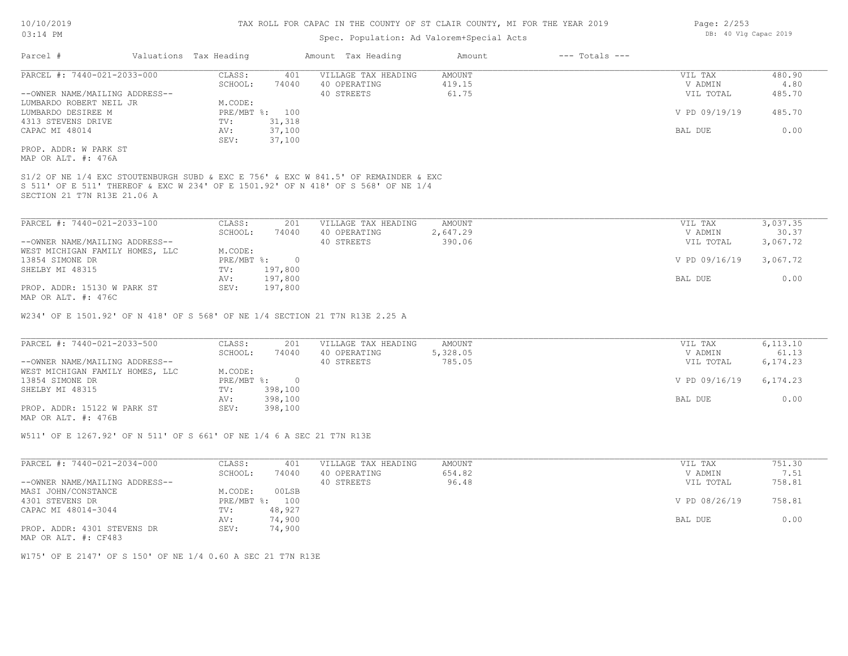## Spec. Population: Ad Valorem+Special Acts

| Parcel #                       | Valuations Tax Heading |                | Amount Tax Heading  | Amount | $---$ Totals $---$ |               |        |
|--------------------------------|------------------------|----------------|---------------------|--------|--------------------|---------------|--------|
| PARCEL #: 7440-021-2033-000    | CLASS:                 | 401            | VILLAGE TAX HEADING | AMOUNT |                    | VIL TAX       | 480.90 |
|                                | SCHOOL:                | 74040          | 40 OPERATING        | 419.15 |                    | V ADMIN       | 4.80   |
| --OWNER NAME/MAILING ADDRESS-- |                        |                | 40 STREETS          | 61.75  |                    | VIL TOTAL     | 485.70 |
| LUMBARDO ROBERT NEIL JR        | M.CODE:                |                |                     |        |                    |               |        |
| LUMBARDO DESIREE M             |                        | PRE/MBT %: 100 |                     |        |                    | V PD 09/19/19 | 485.70 |
| 4313 STEVENS DRIVE             | TV:                    | 31,318         |                     |        |                    |               |        |
| CAPAC MI 48014                 | AV:                    | 37,100         |                     |        |                    | BAL DUE       | 0.00   |
|                                | SEV:                   | 37,100         |                     |        |                    |               |        |
| PROP. ADDR: W PARK ST          |                        |                |                     |        |                    |               |        |
| MAP OR ALT. #: 476A            |                        |                |                     |        |                    |               |        |

SECTION 21 T7N R13E 21.06 A S 511' OF E 511' THEREOF & EXC W 234' OF E 1501.92' OF N 418' OF S 568' OF NE 1/4 S1/2 OF NE 1/4 EXC STOUTENBURGH SUBD & EXC E 756' & EXC W 841.5' OF REMAINDER & EXC

| PARCEL #: 7440-021-2033-100     | CLASS:     | 201     | VILLAGE TAX HEADING | AMOUNT   | VIL TAX       | 3,037.35 |
|---------------------------------|------------|---------|---------------------|----------|---------------|----------|
|                                 | SCHOOL:    | 74040   | 40 OPERATING        | 2,647.29 | V ADMIN       | 30.37    |
| --OWNER NAME/MAILING ADDRESS--  |            |         | 40 STREETS          | 390.06   | VIL TOTAL     | 3,067.72 |
| WEST MICHIGAN FAMILY HOMES, LLC | M.CODE:    |         |                     |          |               |          |
| 13854 SIMONE DR                 | PRE/MBT %: |         |                     |          | V PD 09/16/19 | 3,067.72 |
| SHELBY MI 48315                 | TV:        | 197,800 |                     |          |               |          |
|                                 | AV:        | 197,800 |                     |          | BAL DUE       | 0.00     |
| PROP. ADDR: 15130 W PARK ST     | SEV:       | 197,800 |                     |          |               |          |
| MAP OR ALT. #: 476C             |            |         |                     |          |               |          |

W234' OF E 1501.92' OF N 418' OF S 568' OF NE 1/4 SECTION 21 T7N R13E 2.25 A

| PARCEL #: 7440-021-2033-500     | CLASS:     | 201     | VILLAGE TAX HEADING | AMOUNT   | VIL TAX       | 6, 113, 10 |
|---------------------------------|------------|---------|---------------------|----------|---------------|------------|
|                                 | SCHOOL:    | 74040   | 40 OPERATING        | 5,328.05 | V ADMIN       | 61.13      |
| --OWNER NAME/MAILING ADDRESS--  |            |         | 40 STREETS          | 785.05   | VIL TOTAL     | 6,174.23   |
| WEST MICHIGAN FAMILY HOMES, LLC | M.CODE:    |         |                     |          |               |            |
| 13854 SIMONE DR                 | PRE/MBT %: |         |                     |          | V PD 09/16/19 | 6,174.23   |
| SHELBY MI 48315                 | TV:        | 398,100 |                     |          |               |            |
|                                 | AV:        | 398,100 |                     |          | BAL DUE       | 0.00       |
| PROP. ADDR: 15122 W PARK ST     | SEV:       | 398,100 |                     |          |               |            |
| MAP OR ALT. #: 476B             |            |         |                     |          |               |            |

W511' OF E 1267.92' OF N 511' OF S 661' OF NE 1/4 6 A SEC 21 T7N R13E

| PARCEL #: 7440-021-2034-000    | CLASS:       | 401    | VILLAGE TAX HEADING | AMOUNT | VIL TAX       | 751.30 |
|--------------------------------|--------------|--------|---------------------|--------|---------------|--------|
|                                | SCHOOL:      | 74040  | 40 OPERATING        | 654.82 | V ADMIN       | 7.51   |
| --OWNER NAME/MAILING ADDRESS-- |              |        | 40 STREETS          | 96.48  | VIL TOTAL     | 758.81 |
| MASI JOHN/CONSTANCE            | M.CODE:      | 00LSB  |                     |        |               |        |
| 4301 STEVENS DR                | $PRE/MBT$ %: | 100    |                     |        | V PD 08/26/19 | 758.81 |
| CAPAC MI 48014-3044            | TV:          | 48,927 |                     |        |               |        |
|                                | AV:          | 74,900 |                     |        | BAL DUE       | 0.00   |
| PROP. ADDR: 4301 STEVENS DR    | SEV:         | 74,900 |                     |        |               |        |
| MAP OR ALT. #: CF483           |              |        |                     |        |               |        |

W175' OF E 2147' OF S 150' OF NE 1/4 0.60 A SEC 21 T7N R13E

Page: 2/253 DB: 40 Vlg Capac 2019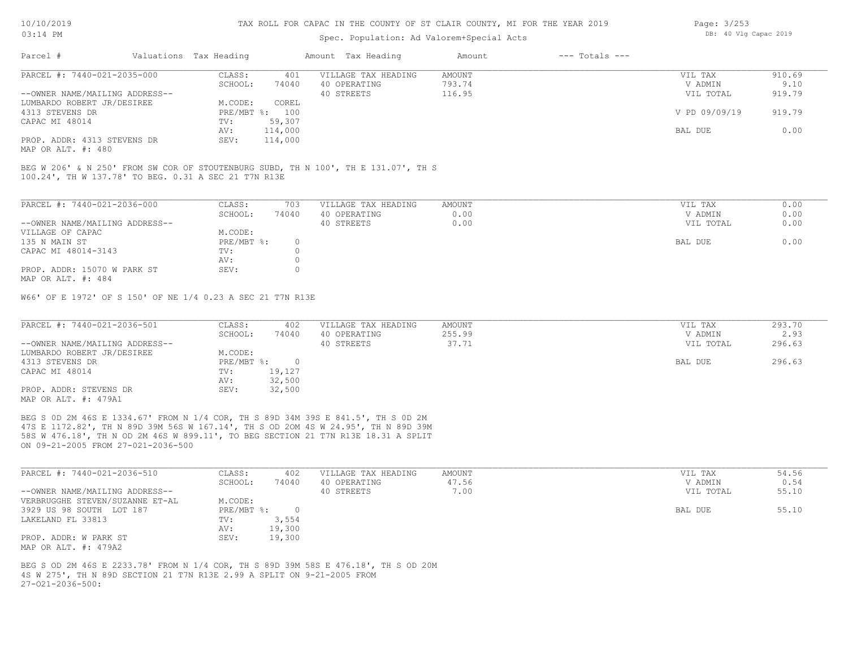## Spec. Population: Ad Valorem+Special Acts

| Page: 3/253 |  |                       |  |
|-------------|--|-----------------------|--|
|             |  | DB: 40 Vlg Capac 2019 |  |

| Parcel #                       | Valuations Tax Heading |                | Amount Tax Heading  | Amount | $---$ Totals $---$ |               |        |
|--------------------------------|------------------------|----------------|---------------------|--------|--------------------|---------------|--------|
| PARCEL #: 7440-021-2035-000    | CLASS:                 | 401            | VILLAGE TAX HEADING | AMOUNT |                    | VIL TAX       | 910.69 |
|                                | SCHOOL:                | 74040          | 40 OPERATING        | 793.74 |                    | V ADMIN       | 9.10   |
| --OWNER NAME/MAILING ADDRESS-- |                        |                | 40 STREETS          | 116.95 |                    | VIL TOTAL     | 919.79 |
| LUMBARDO ROBERT JR/DESIREE     | M.CODE:                | COREL          |                     |        |                    |               |        |
| 4313 STEVENS DR                |                        | PRE/MBT %: 100 |                     |        |                    | V PD 09/09/19 | 919.79 |
| CAPAC MI 48014                 | TV:                    | 59,307         |                     |        |                    |               |        |
|                                | AV:                    | 114,000        |                     |        |                    | BAL DUE       | 0.00   |
| PROP. ADDR: 4313 STEVENS DR    | SEV:                   | 114,000        |                     |        |                    |               |        |
| $\frac{1}{2}$                  |                        |                |                     |        |                    |               |        |

MAP OR ALT. #: 480

100.24', TH W 137.78' TO BEG. 0.31 A SEC 21 T7N R13E BEG W 206' & N 250' FROM SW COR OF STOUTENBURG SUBD, TH N 100', TH E 131.07', TH S

| PARCEL #: 7440-021-2036-000    | CLASS:     | 703   | VILLAGE TAX HEADING | AMOUNT | 0.00<br>VIL TAX   |
|--------------------------------|------------|-------|---------------------|--------|-------------------|
|                                | SCHOOL:    | 74040 | 40 OPERATING        | 0.00   | 0.00<br>V ADMIN   |
| --OWNER NAME/MAILING ADDRESS-- |            |       | 40 STREETS          | 0.00   | 0.00<br>VIL TOTAL |
| VILLAGE OF CAPAC               | M.CODE:    |       |                     |        |                   |
| 135 N MAIN ST                  | PRE/MBT %: | 0.    |                     |        | 0.00<br>BAL DUE   |
| CAPAC MI 48014-3143            | TV:        |       |                     |        |                   |
|                                | AV:        |       |                     |        |                   |
| PROP. ADDR: 15070 W PARK ST    | SEV:       |       |                     |        |                   |
| MAP OR ALT. #: 484             |            |       |                     |        |                   |

W66' OF E 1972' OF S 150' OF NE 1/4 0.23 A SEC 21 T7N R13E

| PARCEL #: 7440-021-2036-501    | CLASS:     | 402    | VILLAGE TAX HEADING | AMOUNT | VIL TAX   | 293.70 |
|--------------------------------|------------|--------|---------------------|--------|-----------|--------|
|                                | SCHOOL:    | 74040  | 40 OPERATING        | 255.99 | V ADMIN   | 2.93   |
| --OWNER NAME/MAILING ADDRESS-- |            |        | 40 STREETS          | 37.71  | VIL TOTAL | 296.63 |
| LUMBARDO ROBERT JR/DESIREE     | M.CODE:    |        |                     |        |           |        |
| 4313 STEVENS DR                | PRE/MBT %: |        |                     |        | BAL DUE   | 296.63 |
| CAPAC MI 48014                 | TV:        | 19,127 |                     |        |           |        |
|                                | AV:        | 32,500 |                     |        |           |        |
| PROP. ADDR: STEVENS DR         | SEV:       | 32,500 |                     |        |           |        |
| MAP OR ALT. #: 479A1           |            |        |                     |        |           |        |

ON 09-21-2005 FROM 27-021-2036-500 58S W 476.18', TH N OD 2M 46S W 899.11', TO BEG SECTION 21 T7N R13E 18.31 A SPLIT 47S E 1172.82', TH N 89D 39M 56S W 167.14', TH S OD 2OM 4S W 24.95', TH N 89D 39M BEG S 0D 2M 46S E 1334.67' FROM N 1/4 COR, TH S 89D 34M 39S E 841.5', TH S 0D 2M

| PARCEL #: 7440-021-2036-510     | CLASS:       | 402    | VILLAGE TAX HEADING | AMOUNT | VIL TAX   | 54.56 |
|---------------------------------|--------------|--------|---------------------|--------|-----------|-------|
|                                 | SCHOOL:      | 74040  | 40 OPERATING        | 47.56  | V ADMIN   | 0.54  |
| --OWNER NAME/MAILING ADDRESS--  |              |        | 40 STREETS          | 7.00   | VIL TOTAL | 55.10 |
| VERBRUGGHE STEVEN/SUZANNE ET-AL | M.CODE:      |        |                     |        |           |       |
| 3929 US 98 SOUTH LOT 187        | $PRE/MBT$ %: |        |                     |        | BAL DUE   | 55.10 |
| LAKELAND FL 33813               | TV:          | 3,554  |                     |        |           |       |
|                                 | AV:          | 19,300 |                     |        |           |       |
| PROP. ADDR: W PARK ST           | SEV:         | 19,300 |                     |        |           |       |
| MAP OR ALT. #: 479A2            |              |        |                     |        |           |       |

 $27-021-2036-500$ : 4S W 275', TH N 89D SECTION 21 T7N R13E 2.99 A SPLIT ON 9-21-2005 FROM BEG S OD 2M 46S E 2233.78' FROM N 1/4 COR, TH S 89D 39M 58S E 476.18', TH S OD 20M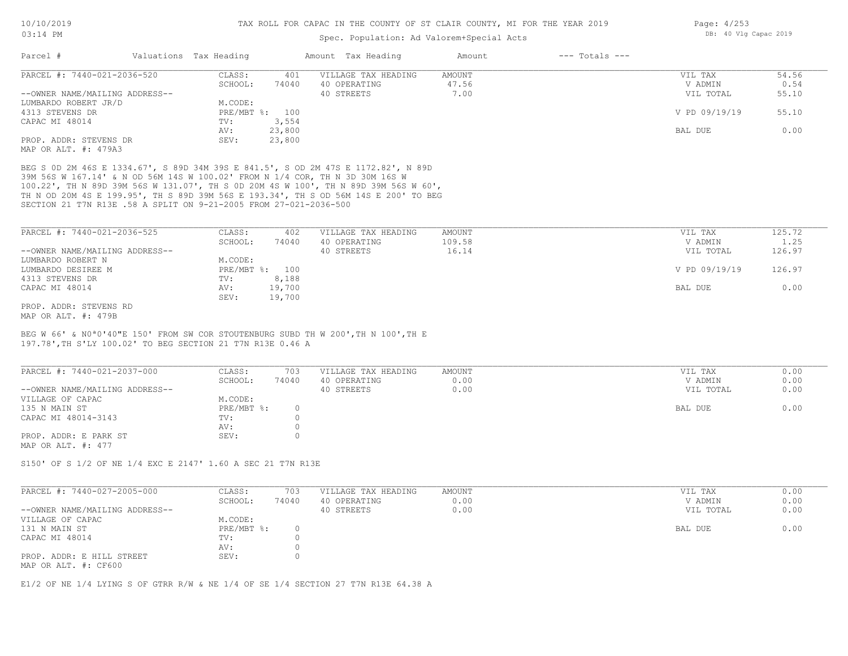## Spec. Population: Ad Valorem+Special Acts

| Parcel #                       | Valuations Tax Heading |                | Amount Tax Heading  | Amount | $---$ Totals $---$ |               |       |
|--------------------------------|------------------------|----------------|---------------------|--------|--------------------|---------------|-------|
| PARCEL #: 7440-021-2036-520    | CLASS:                 | 401            | VILLAGE TAX HEADING | AMOUNT |                    | VIL TAX       | 54.56 |
|                                | SCHOOL:                | 74040          | 40 OPERATING        | 47.56  |                    | V ADMIN       | 0.54  |
| --OWNER NAME/MAILING ADDRESS-- |                        |                | 40 STREETS          | 7.00   |                    | VIL TOTAL     | 55.10 |
| LUMBARDO ROBERT JR/D           | M.CODE:                |                |                     |        |                    |               |       |
| 4313 STEVENS DR                |                        | PRE/MBT %: 100 |                     |        |                    | V PD 09/19/19 | 55.10 |
| CAPAC MI 48014                 | TV:                    | 3,554          |                     |        |                    |               |       |
|                                | AV:                    | 23,800         |                     |        |                    | BAL DUE       | 0.00  |
| PROP. ADDR: STEVENS DR         | SEV:                   | 23,800         |                     |        |                    |               |       |
| MAP OR ALT. #: 479A3           |                        |                |                     |        |                    |               |       |

SECTION 21 T7N R13E .58 A SPLIT ON 9-21-2005 FROM 27-021-2036-500 TH N OD 20M 4S E 199.95', TH S 89D 39M 56S E 193.34', TH S OD 56M 14S E 200' TO BEG 100.22', TH N 89D 39M 56S W 131.07', TH S 0D 20M 4S W 100', TH N 89D 39M 56S W 60', 39M 56S W 167.14' & N OD 56M 14S W 100.02' FROM N 1/4 COR, TH N 3D 30M 16S W BEG S 0D 2M 46S E 1334.67', S 89D 34M 39S E 841.5', S OD 2M 47S E 1172.82', N 89D

| PARCEL #: 7440-021-2036-525    | CLASS:  | 402            | VILLAGE TAX HEADING | AMOUNT | VIL TAX       | 125.72 |
|--------------------------------|---------|----------------|---------------------|--------|---------------|--------|
|                                | SCHOOL: | 74040          | 40 OPERATING        | 109.58 | V ADMIN       | 1.25   |
| --OWNER NAME/MAILING ADDRESS-- |         |                | 40 STREETS          | 16.14  | VIL TOTAL     | 126.97 |
| LUMBARDO ROBERT N              | M.CODE: |                |                     |        |               |        |
| LUMBARDO DESIREE M             |         | PRE/MBT %: 100 |                     |        | V PD 09/19/19 | 126.97 |
| 4313 STEVENS DR                | TV:     | 8,188          |                     |        |               |        |
| CAPAC MI 48014                 | AV:     | 19,700         |                     |        | BAL DUE       | 0.00   |
|                                | SEV:    | 19,700         |                     |        |               |        |
| PROP. ADDR: STEVENS RD         |         |                |                     |        |               |        |

MAP OR ALT. #: 479B

197.78',TH S'LY 100.02' TO BEG SECTION 21 T7N R13E 0.46 A BEG W 66' & N0ª0'40"E 150' FROM SW COR STOUTENBURG SUBD TH W 200',TH N 100',TH E

| PARCEL #: 7440-021-2037-000    | CLASS:     | 703   | VILLAGE TAX HEADING | AMOUNT | VIL TAX   | 0.00 |
|--------------------------------|------------|-------|---------------------|--------|-----------|------|
|                                | SCHOOL:    | 74040 | 40 OPERATING        | 0.00   | V ADMIN   | 0.00 |
| --OWNER NAME/MAILING ADDRESS-- |            |       | 40 STREETS          | 0.00   | VIL TOTAL | 0.00 |
| VILLAGE OF CAPAC               | M.CODE:    |       |                     |        |           |      |
| 135 N MAIN ST                  | PRE/MBT %: |       |                     |        | BAL DUE   | 0.00 |
| CAPAC MI 48014-3143            | TV:        |       |                     |        |           |      |
|                                | AV:        |       |                     |        |           |      |
| PROP. ADDR: E PARK ST          | SEV:       |       |                     |        |           |      |
| MAP OR ALT. #: 477             |            |       |                     |        |           |      |

S150' OF S 1/2 OF NE 1/4 EXC E 2147' 1.60 A SEC 21 T7N R13E

| PARCEL #: 7440-027-2005-000                       | CLASS:     | 703   | VILLAGE TAX HEADING | AMOUNT |         | VIL TAX   | 0.00 |
|---------------------------------------------------|------------|-------|---------------------|--------|---------|-----------|------|
|                                                   | SCHOOL:    | 74040 | 40 OPERATING        | 0.00   |         | V ADMIN   | 0.00 |
| --OWNER NAME/MAILING ADDRESS--                    |            |       | 40 STREETS          | 0.00   |         | VIL TOTAL | 0.00 |
| VILLAGE OF CAPAC                                  | M.CODE:    |       |                     |        |         |           |      |
| 131 N MAIN ST                                     | PRE/MBT %: |       |                     |        | BAL DUE |           | 0.00 |
| CAPAC MI 48014                                    | TV:        |       |                     |        |         |           |      |
|                                                   | AV:        |       |                     |        |         |           |      |
| PROP. ADDR: E HILL STREET<br>MAP OR ALT. #: CF600 | SEV:       |       |                     |        |         |           |      |

 $\mathcal{L}_\mathcal{L} = \mathcal{L}_\mathcal{L} = \mathcal{L}_\mathcal{L} = \mathcal{L}_\mathcal{L} = \mathcal{L}_\mathcal{L} = \mathcal{L}_\mathcal{L} = \mathcal{L}_\mathcal{L} = \mathcal{L}_\mathcal{L} = \mathcal{L}_\mathcal{L} = \mathcal{L}_\mathcal{L} = \mathcal{L}_\mathcal{L} = \mathcal{L}_\mathcal{L} = \mathcal{L}_\mathcal{L} = \mathcal{L}_\mathcal{L} = \mathcal{L}_\mathcal{L} = \mathcal{L}_\mathcal{L} = \mathcal{L}_\mathcal{L}$ 

E1/2 OF NE 1/4 LYING S OF GTRR R/W & NE 1/4 OF SE 1/4 SECTION 27 T7N R13E 64.38 A

Page: 4/253 DB: 40 Vlg Capac 2019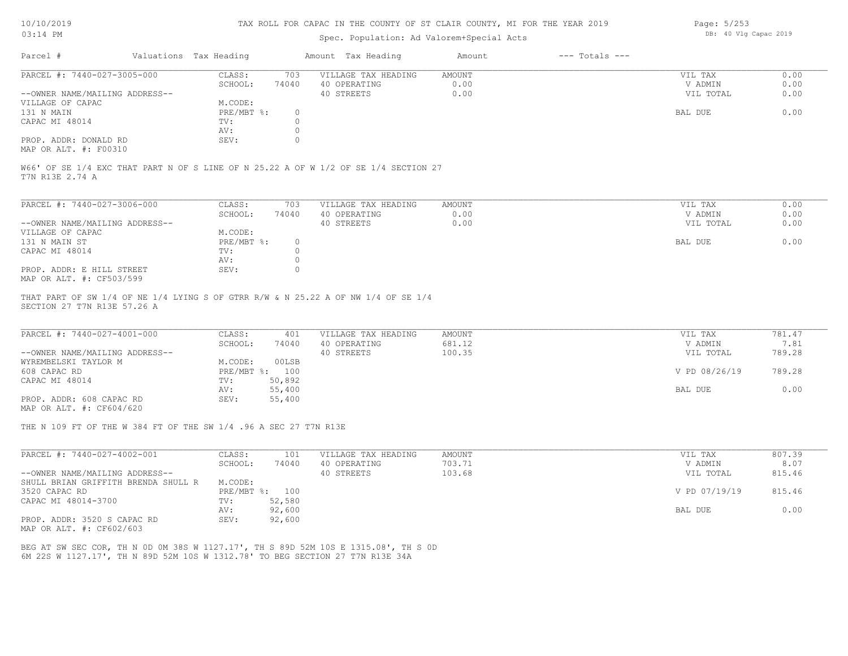## Spec. Population: Ad Valorem+Special Acts

| Page: 5/253 |  |                       |  |
|-------------|--|-----------------------|--|
|             |  | DB: 40 Vlg Capac 2019 |  |

| Parcel #                       | Valuations Tax Heading |       | Amount Tax Heading  | Amount | $---$ Totals $---$ |           |      |
|--------------------------------|------------------------|-------|---------------------|--------|--------------------|-----------|------|
| PARCEL #: 7440-027-3005-000    | CLASS:                 | 703   | VILLAGE TAX HEADING | AMOUNT |                    | VIL TAX   | 0.00 |
|                                | SCHOOL:                | 74040 | 40 OPERATING        | 0.00   |                    | V ADMIN   | 0.00 |
| --OWNER NAME/MAILING ADDRESS-- |                        |       | 40 STREETS          | 0.00   |                    | VIL TOTAL | 0.00 |
| VILLAGE OF CAPAC               | M.CODE:                |       |                     |        |                    |           |      |
| 131 N MAIN                     | PRE/MBT %:             |       |                     |        |                    | BAL DUE   | 0.00 |
| CAPAC MI 48014                 | TV:                    |       |                     |        |                    |           |      |
|                                | AV:                    |       |                     |        |                    |           |      |
| PROP. ADDR: DONALD RD          | SEV:                   |       |                     |        |                    |           |      |
| MAP OR ALT. #: F00310          |                        |       |                     |        |                    |           |      |

W66' OF SE 1/4 EXC THAT PART N OF S LINE OF N 25.22 A OF W 1/2 OF SE 1/4 SECTION 27

T7N R13E 2.74 A

| PARCEL #: 7440-027-3006-000    | CLASS:     | 703   | VILLAGE TAX HEADING | AMOUNT | VIL TAX   | 0.00 |
|--------------------------------|------------|-------|---------------------|--------|-----------|------|
|                                | SCHOOL:    | 74040 | 40 OPERATING        | 0.00   | V ADMIN   | 0.00 |
| --OWNER NAME/MAILING ADDRESS-- |            |       | 40 STREETS          | 0.00   | VIL TOTAL | 0.00 |
| VILLAGE OF CAPAC               | M.CODE:    |       |                     |        |           |      |
| 131 N MAIN ST                  | PRE/MBT %: |       |                     |        | BAL DUE   | 0.00 |
| CAPAC MI 48014                 | TV:        |       |                     |        |           |      |
|                                | AV:        |       |                     |        |           |      |
| PROP. ADDR: E HILL STREET      | SEV:       |       |                     |        |           |      |
| MAP OR ALT. #: CF503/599       |            |       |                     |        |           |      |

SECTION 27 T7N R13E 57.26 A THAT PART OF SW 1/4 OF NE 1/4 LYING S OF GTRR R/W & N 25.22 A OF NW 1/4 OF SE 1/4

| PARCEL #: 7440-027-4001-000    | CLASS:  | 401            | VILLAGE TAX HEADING | AMOUNT | VIL TAX       | 781.47 |
|--------------------------------|---------|----------------|---------------------|--------|---------------|--------|
|                                | SCHOOL: | 74040          | 40 OPERATING        | 681.12 | V ADMIN       | 7.81   |
| --OWNER NAME/MAILING ADDRESS-- |         |                | 40 STREETS          | 100.35 | VIL TOTAL     | 789.28 |
| WYREMBELSKI TAYLOR M           | M.CODE: | 00LSB          |                     |        |               |        |
| 608 CAPAC RD                   |         | PRE/MBT %: 100 |                     |        | V PD 08/26/19 | 789.28 |
| CAPAC MI 48014                 | TV:     | 50,892         |                     |        |               |        |
|                                | AV:     | 55,400         |                     |        | BAL DUE       | 0.00   |
| PROP. ADDR: 608 CAPAC RD       | SEV:    | 55,400         |                     |        |               |        |
|                                |         |                |                     |        |               |        |

MAP OR ALT. #: CF604/620

THE N 109 FT OF THE W 384 FT OF THE SW 1/4 .96 A SEC 27 T7N R13E

| PARCEL #: 7440-027-4002-001                  | CLASS:     | 101    | VILLAGE TAX HEADING | AMOUNT | VIL TAX       | 807.39 |
|----------------------------------------------|------------|--------|---------------------|--------|---------------|--------|
|                                              | SCHOOL:    | 74040  | 40 OPERATING        | 703.71 | V ADMIN       | 8.07   |
| --OWNER NAME/MAILING ADDRESS--               |            |        | 40 STREETS          | 103.68 | VIL TOTAL     | 815.46 |
| SHULL BRIAN GRIFFITH BRENDA SHULL R          | M.CODE:    |        |                     |        |               |        |
| 3520 CAPAC RD                                | PRE/MBT %: | 100    |                     |        | V PD 07/19/19 | 815.46 |
| CAPAC MI 48014-3700                          | TV:        | 52,580 |                     |        |               |        |
|                                              | AV:        | 92,600 |                     |        | BAL DUE       | 0.00   |
| PROP. ADDR: 3520 S CAPAC RD<br>$\frac{1}{2}$ | SEV:       | 92,600 |                     |        |               |        |

MAP OR ALT. #: CF602/603

6M 22S W 1127.17', TH N 89D 52M 10S W 1312.78' TO BEG SECTION 27 T7N R13E 34A BEG AT SW SEC COR, TH N 0D 0M 38S W 1127.17', TH S 89D 52M 10S E 1315.08', TH S 0D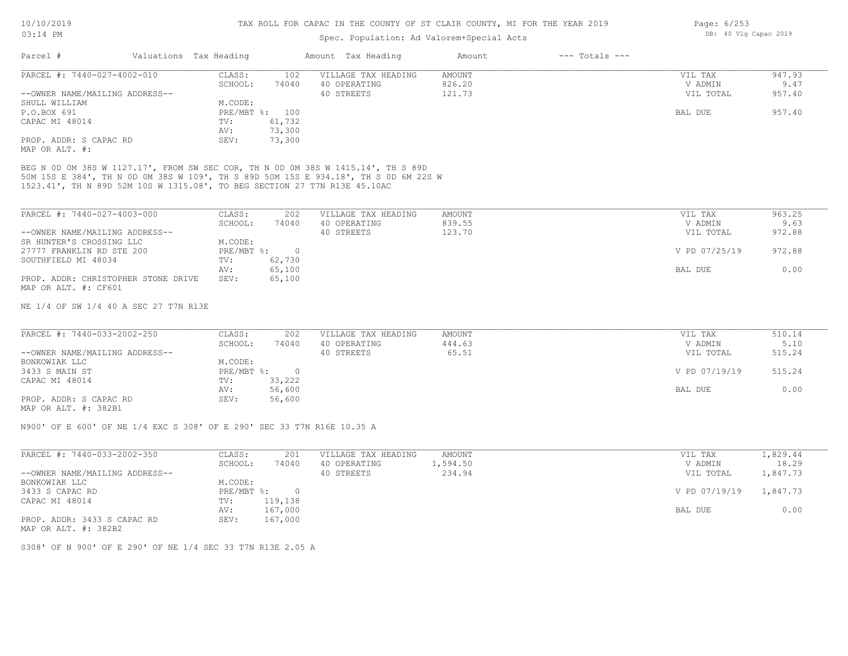## Spec. Population: Ad Valorem+Special Acts

| Page: 6/253 |  |                       |  |
|-------------|--|-----------------------|--|
|             |  | DB: 40 Vlg Capac 2019 |  |

| Parcel #                       | Valuations Tax Heading |                | Amount Tax Heading  | Amount | $---$ Totals $---$ |           |        |
|--------------------------------|------------------------|----------------|---------------------|--------|--------------------|-----------|--------|
| PARCEL #: 7440-027-4002-010    | CLASS:                 | 102            | VILLAGE TAX HEADING | AMOUNT |                    | VIL TAX   | 947.93 |
|                                | SCHOOL:                | 74040          | 40 OPERATING        | 826.20 |                    | V ADMIN   | 9.47   |
| --OWNER NAME/MAILING ADDRESS-- |                        |                | 40 STREETS          | 121.73 |                    | VIL TOTAL | 957.40 |
| SHULL WILLIAM                  | M.CODE:                |                |                     |        |                    |           |        |
| P.O.BOX 691                    |                        | PRE/MBT %: 100 |                     |        |                    | BAL DUE   | 957.40 |
| CAPAC MI 48014                 | TV:                    | 61,732         |                     |        |                    |           |        |
|                                | AV:                    | 73,300         |                     |        |                    |           |        |
| PROP. ADDR: S CAPAC RD         | SEV:                   | 73,300         |                     |        |                    |           |        |
| MAP OR ALT. #:                 |                        |                |                     |        |                    |           |        |

1523.41', TH N 89D 52M 10S W 1315.08', TO BEG SECTION 27 T7N R13E 45.10AC 50M 15S E 384', TH N 0D 0M 38S W 109', TH S 89D 50M 15S E 934.18', TH S 0D 6M 22S W

| PARCEL #: 7440-027-4003-000         | CLASS:       | 202    | VILLAGE TAX HEADING | AMOUNT | VIL TAX       | 963.25 |
|-------------------------------------|--------------|--------|---------------------|--------|---------------|--------|
|                                     | SCHOOL:      | 74040  | 40 OPERATING        | 839.55 | V ADMIN       | 9.63   |
| --OWNER NAME/MAILING ADDRESS--      |              |        | 40 STREETS          | 123.70 | VIL TOTAL     | 972.88 |
| SR HUNTER'S CROSSING LLC            | M.CODE:      |        |                     |        |               |        |
| 27777 FRANKLIN RD STE 200           | $PRE/MBT$ %: |        |                     |        | V PD 07/25/19 | 972.88 |
| SOUTHFIELD MI 48034                 | TV:          | 62,730 |                     |        |               |        |
|                                     | AV:          | 65,100 |                     |        | BAL DUE       | 0.00   |
| PROP. ADDR: CHRISTOPHER STONE DRIVE | SEV:         | 65,100 |                     |        |               |        |
| MAP OR ALT. #: CF601                |              |        |                     |        |               |        |

NE 1/4 OF SW 1/4 40 A SEC 27 T7N R13E

| PARCEL #: 7440-033-2002-250    | CLASS:       | 202    | VILLAGE TAX HEADING | AMOUNT | VIL TAX       | 510.14 |
|--------------------------------|--------------|--------|---------------------|--------|---------------|--------|
|                                | SCHOOL:      | 74040  | 40 OPERATING        | 444.63 | V ADMIN       | 5.10   |
| --OWNER NAME/MAILING ADDRESS-- |              |        | 40 STREETS          | 65.51  | VIL TOTAL     | 515.24 |
| BONKOWIAK LLC                  | M.CODE:      |        |                     |        |               |        |
| 3433 S MAIN ST                 | $PRE/MBT$ %: |        |                     |        | V PD 07/19/19 | 515.24 |
| CAPAC MI 48014                 | TV:          | 33,222 |                     |        |               |        |
|                                | AV:          | 56,600 |                     |        | BAL DUE       | 0.00   |
| PROP. ADDR: S CAPAC RD         | SEV:         | 56,600 |                     |        |               |        |
| $\cdots$                       |              |        |                     |        |               |        |

MAP OR ALT. #: 382B1

N900' OF E 600' OF NE 1/4 EXC S 308' OF E 290' SEC 33 T7N R16E 10.35 A

|                      |               | 1,829.44 |
|----------------------|---------------|----------|
| 40 OPERATING         | V ADMIN       | 18.29    |
| 234.94<br>40 STREETS | VIL TOTAL     | .,847.73 |
|                      |               |          |
|                      | V PD 07/19/19 | 1,847.73 |
|                      |               |          |
|                      | BAL DUE       | 0.00     |
|                      |               |          |
|                      | 1,594.50      |          |

MAP OR ALT. #: 382B2

S308' OF N 900' OF E 290' OF NE 1/4 SEC 33 T7N R13E 2.05 A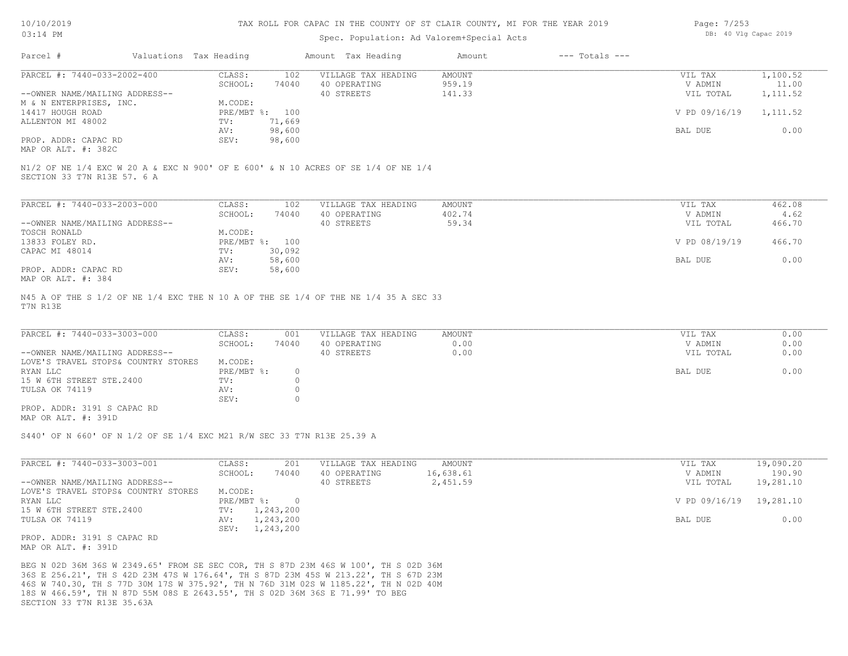### TAX ROLL FOR CAPAC IN THE COUNTY OF ST CLAIR COUNTY, MI FOR THE YEAR 2019

## Spec. Population: Ad Valorem+Special Acts

| Page: 7/253 |  |                       |  |
|-------------|--|-----------------------|--|
|             |  | DB: 40 Vlg Capac 2019 |  |

| Parcel #                       | Valuations Tax Heading |        | Amount Tax Heading                                                                | Amount | $---$ Totals $---$ |               |          |
|--------------------------------|------------------------|--------|-----------------------------------------------------------------------------------|--------|--------------------|---------------|----------|
| PARCEL #: 7440-033-2002-400    | CLASS:                 | 102    | VILLAGE TAX HEADING                                                               | AMOUNT |                    | VIL TAX       | 1,100.52 |
|                                | SCHOOL:                | 74040  | 40 OPERATING                                                                      | 959.19 |                    | V ADMIN       | 11.00    |
| --OWNER NAME/MAILING ADDRESS-- |                        |        | 40 STREETS                                                                        | 141.33 |                    | VIL TOTAL     | 1,111.52 |
| M & N ENTERPRISES, INC.        | M.CODE:                |        |                                                                                   |        |                    |               |          |
| 14417 HOUGH ROAD               | PRE/MBT %: 100         |        |                                                                                   |        |                    | V PD 09/16/19 | 1,111.52 |
| ALLENTON MI 48002              | TV:                    | 71,669 |                                                                                   |        |                    |               |          |
|                                | AV:                    | 98,600 |                                                                                   |        |                    | BAL DUE       | 0.00     |
| PROP. ADDR: CAPAC RD           | SEV:                   | 98,600 |                                                                                   |        |                    |               |          |
| MAP OR ALT. #: 382C            |                        |        |                                                                                   |        |                    |               |          |
| SECTION 33 T7N R13E 57. 6 A    |                        |        | N1/2 OF NE 1/4 EXC W 20 A & EXC N 900' OF E 600' & N 10 ACRES OF SE 1/4 OF NE 1/4 |        |                    |               |          |

| PARCEL #: 7440-033-2003-000    | CLASS:  | 102            | VILLAGE TAX HEADING | AMOUNT | VIL TAX       | 462.08 |
|--------------------------------|---------|----------------|---------------------|--------|---------------|--------|
|                                | SCHOOL: | 74040          | 40 OPERATING        | 402.74 | V ADMIN       | 4.62   |
| --OWNER NAME/MAILING ADDRESS-- |         |                | 40 STREETS          | 59.34  | VIL TOTAL     | 466.70 |
| TOSCH RONALD                   | M.CODE: |                |                     |        |               |        |
| 13833 FOLEY RD.                |         | PRE/MBT %: 100 |                     |        | V PD 08/19/19 | 466.70 |
| CAPAC MI 48014                 | TV:     | 30,092         |                     |        |               |        |
|                                | AV:     | 58,600         |                     |        | BAL DUE       | 0.00   |
| PROP. ADDR: CAPAC RD           | SEV:    | 58,600         |                     |        |               |        |
| MAP OR ALT. #: 384             |         |                |                     |        |               |        |

T7N R13E N45 A OF THE S 1/2 OF NE 1/4 EXC THE N 10 A OF THE SE 1/4 OF THE NE 1/4 35 A SEC 33

| PARCEL #: 7440-033-3003-000         | CLASS:     | 001   | VILLAGE TAX HEADING | AMOUNT | VIL TAX   | 0.00 |
|-------------------------------------|------------|-------|---------------------|--------|-----------|------|
|                                     | SCHOOL:    | 74040 | 40 OPERATING        | 0.00   | V ADMIN   | 0.00 |
| --OWNER NAME/MAILING ADDRESS--      |            |       | 40 STREETS          | 0.00   | VIL TOTAL | 0.00 |
| LOVE'S TRAVEL STOPS& COUNTRY STORES | M.CODE:    |       |                     |        |           |      |
| RYAN LLC                            | PRE/MBT %: |       |                     |        | BAL DUE   | 0.00 |
| 15 W 6TH STREET STE.2400            | TV:        |       |                     |        |           |      |
| TULSA OK 74119                      | AV:        |       |                     |        |           |      |
|                                     | SEV:       |       |                     |        |           |      |
| PROP. ADDR: 3191 S CAPAC RD         |            |       |                     |        |           |      |

MAP OR ALT. #: 391D

S440' OF N 660' OF N 1/2 OF SE 1/4 EXC M21 R/W SEC 33 T7N R13E 25.39 A

| PARCEL #: 7440-033-3003-001         | CLASS:       | 201       | VILLAGE TAX HEADING | AMOUNT    | VIL TAX       | 19,090.20 |
|-------------------------------------|--------------|-----------|---------------------|-----------|---------------|-----------|
|                                     | SCHOOL:      | 74040     | 40 OPERATING        | 16,638.61 | V ADMIN       | 190.90    |
| --OWNER NAME/MAILING ADDRESS--      |              |           | 40 STREETS          | 2,451.59  | VIL TOTAL     | 19,281.10 |
| LOVE'S TRAVEL STOPS& COUNTRY STORES | M.CODE:      |           |                     |           |               |           |
| RYAN LLC                            | $PRE/MBT$ %: |           |                     |           | V PD 09/16/19 | 19,281.10 |
| 15 W 6TH STREET STE.2400            | TV:          | 1,243,200 |                     |           |               |           |
| TULSA OK 74119                      | AV:          | 1,243,200 |                     |           | BAL DUE       | 0.00      |
|                                     | SEV:         | 1,243,200 |                     |           |               |           |
| PROP. ADDR: 3191 S CAPAC RD         |              |           |                     |           |               |           |
| MAP OR ALT. #: 391D                 |              |           |                     |           |               |           |

SECTION 33 T7N R13E 35.63A 18S W 466.59', TH N 87D 55M 08S E 2643.55', TH S 02D 36M 36S E 71.99' TO BEG 46S W 740.30, TH S 77D 30M 17S W 375.92', TH N 76D 31M 02S W 1185.22', TH N 02D 40M 36S E 256.21', TH S 42D 23M 47S W 176.64', TH S 87D 23M 45S W 213.22', TH S 67D 23M BEG N 02D 36M 36S W 2349.65' FROM SE SEC COR, TH S 87D 23M 46S W 100', TH S 02D 36M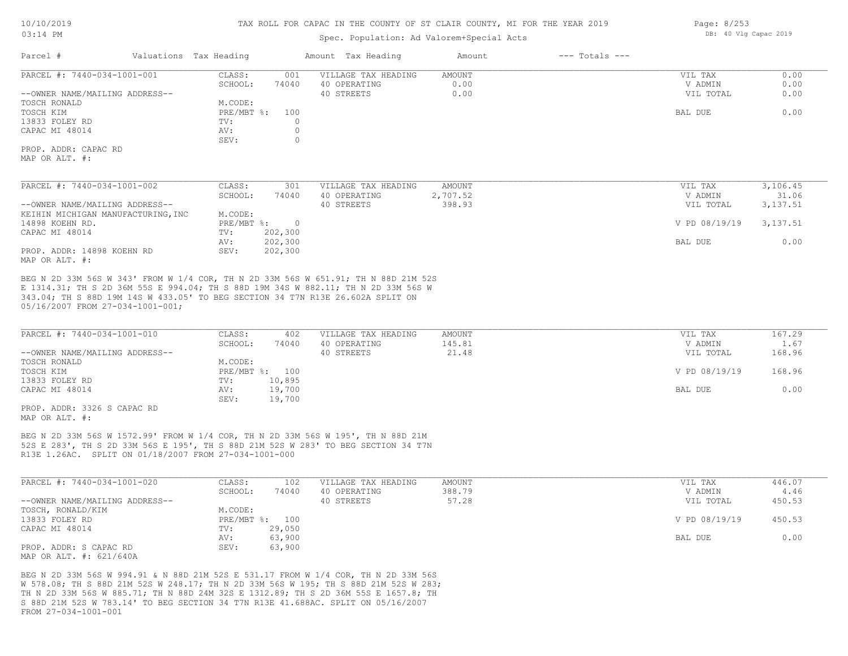## Spec. Population: Ad Valorem+Special Acts

| Parcel #                       | Valuations Tax Heading                       |                     | Amount Tax Heading                      | Amount            | $---$ Totals $---$ |                              |                           |
|--------------------------------|----------------------------------------------|---------------------|-----------------------------------------|-------------------|--------------------|------------------------------|---------------------------|
| PARCEL #: 7440-034-1001-001    | CLASS:                                       | 001                 | VILLAGE TAX HEADING                     | AMOUNT            |                    | VIL TAX                      | 0.00                      |
|                                | SCHOOL:                                      | 74040               | 40 OPERATING                            | 0.00              |                    | V ADMIN                      | 0.00                      |
| --OWNER NAME/MAILING ADDRESS-- |                                              |                     | 40 STREETS                              | 0.00              |                    | VIL TOTAL                    | 0.00                      |
| TOSCH RONALD                   | M.CODE:                                      |                     |                                         |                   |                    |                              |                           |
| TOSCH KIM                      | PRE/MBT %:                                   | 100                 |                                         |                   |                    | BAL DUE                      | 0.00                      |
| 13833 FOLEY RD                 | TV:                                          |                     |                                         |                   |                    |                              |                           |
| CAPAC MI 48014                 | AV:                                          |                     |                                         |                   |                    |                              |                           |
|                                | SEV:                                         |                     |                                         |                   |                    |                              |                           |
| PROP. ADDR: CAPAC RD           |                                              |                     |                                         |                   |                    |                              |                           |
| MAP OR ALT. #:                 |                                              |                     |                                         |                   |                    |                              |                           |
|                                |                                              |                     |                                         |                   |                    |                              |                           |
| PARCEL #: 7440-034-1001-002    | CLASS:<br>$\sim$ $\sim$ $\sim$ $\sim$ $\sim$ | 301<br><b>PAQAQ</b> | VILLAGE TAX HEADING<br>$10$ comparation | AMOUNT<br>0.707.5 |                    | VIL TAX<br>$\cdots$ $\cdots$ | 3,106.45<br>$\sim$ $\sim$ |

|                                    | SCHOOL:    | 74040    | 40 OPERATING | 2,707.52 | V ADMIN       | 31.06    |
|------------------------------------|------------|----------|--------------|----------|---------------|----------|
| --OWNER NAME/MAILING ADDRESS--     |            |          | 40 STREETS   | 398.93   | VIL TOTAL     | 3,137.51 |
| KEIHIN MICHIGAN MANUFACTURING, INC | M.CODE:    |          |              |          |               |          |
| 14898 KOEHN RD.                    | PRE/MBT %: | $\Omega$ |              |          | V PD 08/19/19 | 3,137.51 |
| CAPAC MI 48014                     | TV:        | 202,300  |              |          |               |          |
|                                    | AV:        | 202,300  |              |          | BAL DUE       | 0.00     |
| PROP. ADDR: 14898 KOEHN RD         | SEV:       | 202,300  |              |          |               |          |
| MAP OR ALT. #:                     |            |          |              |          |               |          |

05/16/2007 FROM 27-034-1001-001; 343.04; TH S 88D 19M 14S W 433.05' TO BEG SECTION 34 T7N R13E 26.602A SPLIT ON E 1314.31; TH S 2D 36M 55S E 994.04; TH S 88D 19M 34S W 882.11; TH N 2D 33M 56S W BEG N 2D 33M 56S W 343' FROM W 1/4 COR, TH N 2D 33M 56S W 651.91; TH N 88D 21M 52S

| PARCEL #: 7440-034-1001-010    | CLASS:         | 402    | VILLAGE TAX HEADING | AMOUNT | VIL TAX       | 167.29     |
|--------------------------------|----------------|--------|---------------------|--------|---------------|------------|
|                                | SCHOOL:        | 74040  | 40 OPERATING        | 145.81 | V ADMIN       | $\pm 0.67$ |
| --OWNER NAME/MAILING ADDRESS-- |                |        | 40 STREETS          | 21.48  | VIL TOTAL     | 168.96     |
| TOSCH RONALD                   | M.CODE:        |        |                     |        |               |            |
| TOSCH KIM                      | PRE/MBT %: 100 |        |                     |        | V PD 08/19/19 | 168.96     |
| 13833 FOLEY RD                 | TV:            | 10,895 |                     |        |               |            |
| CAPAC MI 48014                 | AV:            | 19,700 |                     |        | BAL DUE       | 0.00       |
|                                | SEV:           | 19,700 |                     |        |               |            |

MAP OR ALT. #: PROP. ADDR: 3326 S CAPAC RD

R13E 1.26AC. SPLIT ON 01/18/2007 FROM 27-034-1001-000 52S E 283', TH S 2D 33M 56S E 195', TH S 88D 21M 52S W 283' TO BEG SECTION 34 T7N BEG N 2D 33M 56S W 1572.99' FROM W 1/4 COR, TH N 2D 33M 56S W 195', TH N 88D 21M

| PARCEL #: 7440-034-1001-020    | CLASS:  | 102            | VILLAGE TAX HEADING | AMOUNT | VIL TAX       | 446.07 |
|--------------------------------|---------|----------------|---------------------|--------|---------------|--------|
|                                | SCHOOL: | 74040          | 40 OPERATING        | 388.79 | V ADMIN       | 4.46   |
| --OWNER NAME/MAILING ADDRESS-- |         |                | 40 STREETS          | 57.28  | VIL TOTAL     | 450.53 |
| TOSCH, RONALD/KIM              | M.CODE: |                |                     |        |               |        |
| 13833 FOLEY RD                 |         | PRE/MBT %: 100 |                     |        | V PD 08/19/19 | 450.53 |
| CAPAC MI 48014                 | TV:     | 29,050         |                     |        |               |        |
|                                | AV:     | 63,900         |                     |        | BAL DUE       | 0.00   |
| PROP. ADDR: S CAPAC RD         | SEV:    | 63,900         |                     |        |               |        |
| MAP OR ALT. #: 621/640A        |         |                |                     |        |               |        |

FROM 27-034-1001-001 S 88D 21M 52S W 783.14' TO BEG SECTION 34 T7N R13E 41.688AC. SPLIT ON 05/16/2007 TH N 2D 33M 56S W 885.71; TH N 88D 24M 32S E 1312.89; TH S 2D 36M 55S E 1657.8; TH W 578.08; TH S 88D 21M 52S W 248.17; TH N 2D 33M 56S W 195; TH S 88D 21M 52S W 283; BEG N 2D 33M 56S W 994.91 & N 88D 21M 52S E 531.17 FROM W 1/4 COR, TH N 2D 33M 56S

Page: 8/253 DB: 40 Vlg Capac 2019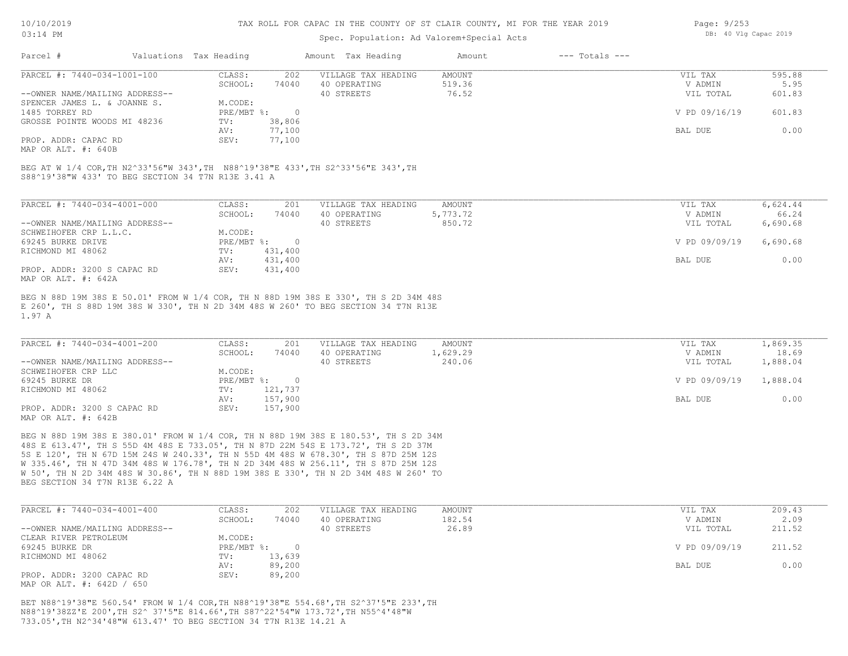## Spec. Population: Ad Valorem+Special Acts

| Page: 9/253 |  |                       |  |
|-------------|--|-----------------------|--|
|             |  | DB: 40 Vlg Capac 2019 |  |

| Parcel #                       | Valuations Tax Heading |        | Amount Tax Heading  | Amount | $---$ Totals $---$ |               |        |
|--------------------------------|------------------------|--------|---------------------|--------|--------------------|---------------|--------|
| PARCEL #: 7440-034-1001-100    | CLASS:                 | 202    | VILLAGE TAX HEADING | AMOUNT |                    | VIL TAX       | 595.88 |
|                                | SCHOOL:                | 74040  | 40 OPERATING        | 519.36 |                    | V ADMIN       | 5.95   |
| --OWNER NAME/MAILING ADDRESS-- |                        |        | 40 STREETS          | 76.52  |                    | VIL TOTAL     | 601.83 |
| SPENCER JAMES L. & JOANNE S.   | M.CODE:                |        |                     |        |                    |               |        |
| 1485 TORREY RD                 | $PRE/MBT$ %:           |        |                     |        |                    | V PD 09/16/19 | 601.83 |
| GROSSE POINTE WOODS MI 48236   | TV:                    | 38,806 |                     |        |                    |               |        |
|                                | AV:                    | 77,100 |                     |        |                    | BAL DUE       | 0.00   |
| PROP. ADDR: CAPAC RD           | SEV:                   | 77,100 |                     |        |                    |               |        |
|                                |                        |        |                     |        |                    |               |        |

MAP OR ALT. #: 640B

S88^19'38"W 433' TO BEG SECTION 34 T7N R13E 3.41 A BEG AT W 1/4 COR,TH N2^33'56"W 343',TH N88^19'38"E 433',TH S2^33'56"E 343',TH

| PARCEL #: 7440-034-4001-000    | CLASS:     | 201     | VILLAGE TAX HEADING | AMOUNT   | VIL TAX       | 6,624.44 |
|--------------------------------|------------|---------|---------------------|----------|---------------|----------|
|                                | SCHOOL:    | 74040   | 40 OPERATING        | 5,773.72 | V ADMIN       | 66.24    |
| --OWNER NAME/MAILING ADDRESS-- |            |         | 40 STREETS          | 850.72   | VIL TOTAL     | 6,690.68 |
| SCHWEIHOFER CRP L.L.C.         | M.CODE:    |         |                     |          |               |          |
| 69245 BURKE DRIVE              | PRE/MBT %: |         |                     |          | V PD 09/09/19 | 6,690.68 |
| RICHMOND MI 48062              | TV:        | 431,400 |                     |          |               |          |
|                                | AV:        | 431,400 |                     |          | BAL DUE       | 0.00     |
| PROP. ADDR: 3200 S CAPAC RD    | SEV:       | 431,400 |                     |          |               |          |
| MAP OR ALT. #: 642A            |            |         |                     |          |               |          |

1.97 A E 260', TH S 88D 19M 38S W 330', TH N 2D 34M 48S W 260' TO BEG SECTION 34 T7N R13E BEG N 88D 19M 38S E 50.01' FROM W 1/4 COR, TH N 88D 19M 38S E 330', TH S 2D 34M 48S

| PARCEL #: 7440-034-4001-200    | CLASS:     | 201     | VILLAGE TAX HEADING | AMOUNT   | VIL TAX       | 1,869.35 |
|--------------------------------|------------|---------|---------------------|----------|---------------|----------|
|                                | SCHOOL:    | 74040   | 40 OPERATING        | 1,629.29 | V ADMIN       | 18.69    |
| --OWNER NAME/MAILING ADDRESS-- |            |         | 40 STREETS          | 240.06   | VIL TOTAL     | 1,888.04 |
| SCHWEIHOFER CRP LLC            | M.CODE:    |         |                     |          |               |          |
| 69245 BURKE DR                 | PRE/MBT %: |         |                     |          | V PD 09/09/19 | 1,888.04 |
| RICHMOND MI 48062              | TV:        | 121,737 |                     |          |               |          |
|                                | AV:        | 157,900 |                     |          | BAL DUE       | 0.00     |
| PROP. ADDR: 3200 S CAPAC RD    | SEV:       | 157,900 |                     |          |               |          |
| MAP OR ALT. #: 642B            |            |         |                     |          |               |          |

BEG SECTION 34 T7N R13E 6.22 A W 50', TH N 2D 34M 48S W 30.86', TH N 88D 19M 38S E 330', TH N 2D 34M 48S W 260' TO W 335.46', TH N 47D 34M 48S W 176.78', TH N 2D 34M 48S W 256.11', TH S 87D 25M 12S 5S E 120', TH N 67D 15M 24S W 240.33', TH N 55D 4M 48S W 678.30', TH S 87D 25M 12S 48S E 613.47', TH S 55D 4M 48S E 733.05', TH N 87D 22M 54S E 173.72', TH S 2D 37M BEG N 88D 19M 38S E 380.01' FROM W 1/4 COR, TH N 88D 19M 38S E 180.53', TH S 2D 34M

| PARCEL #: 7440-034-4001-400    | CLASS:     | 202    | VILLAGE TAX HEADING | AMOUNT | VIL TAX       | 209.43 |
|--------------------------------|------------|--------|---------------------|--------|---------------|--------|
|                                | SCHOOL:    | 74040  | 40 OPERATING        | 182.54 | V ADMIN       | 2.09   |
| --OWNER NAME/MAILING ADDRESS-- |            |        | 40 STREETS          | 26.89  | VIL TOTAL     | 211.52 |
| CLEAR RIVER PETROLEUM          | M.CODE:    |        |                     |        |               |        |
| 69245 BURKE DR                 | PRE/MBT %: |        |                     |        | V PD 09/09/19 | 211.52 |
| RICHMOND MI 48062              | TV:        | 13,639 |                     |        |               |        |
|                                | AV:        | 89,200 |                     |        | BAL DUE       | 0.00   |
| PROP. ADDR: 3200 CAPAC RD      | SEV:       | 89,200 |                     |        |               |        |
| MAP OR ALT. #: 642D / 650      |            |        |                     |        |               |        |

733.05',TH N2^34'48"W 613.47' TO BEG SECTION 34 T7N R13E 14.21 A N88^19'38ZZ'E 200',TH S2^ 37'5"E 814.66',TH S87^22'54"W 173.72',TH N55^4'48"W BET N88^19'38"E 560.54' FROM W 1/4 COR,TH N88^19'38"E 554.68',TH S2^37'5"E 233',TH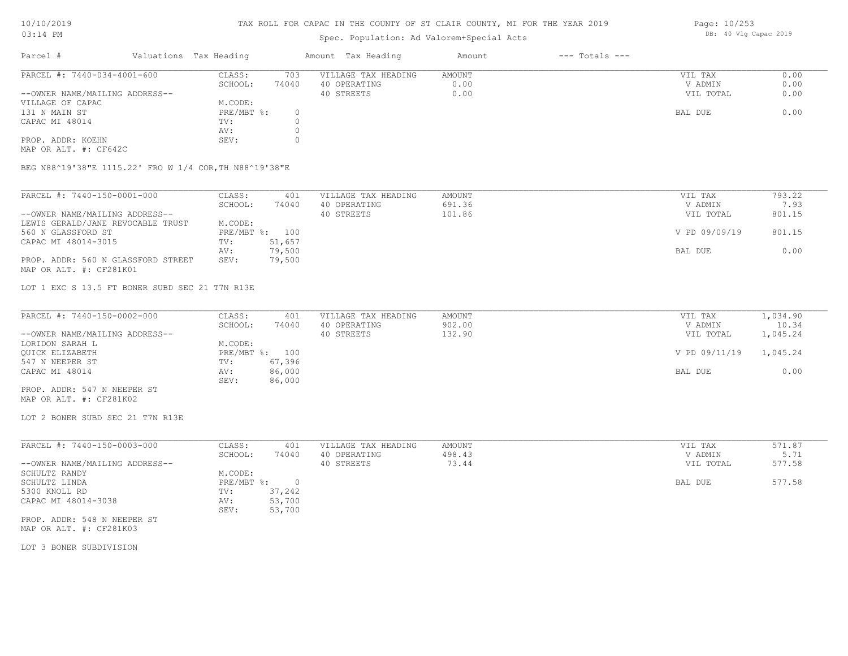## TAX ROLL FOR CAPAC IN THE COUNTY OF ST CLAIR COUNTY, MI FOR THE YEAR 2019

# Spec. Population: Ad Valorem+Special Acts

| Parcel #                       | Valuations Tax Heading |       | Amount Tax Heading  | Amount | $---$ Totals $---$ |           |      |
|--------------------------------|------------------------|-------|---------------------|--------|--------------------|-----------|------|
| PARCEL #: 7440-034-4001-600    | CLASS:                 | 703   | VILLAGE TAX HEADING | AMOUNT |                    | VIL TAX   | 0.00 |
|                                | SCHOOL:                | 74040 | 40 OPERATING        | 0.00   |                    | V ADMIN   | 0.00 |
| --OWNER NAME/MAILING ADDRESS-- |                        |       | 40 STREETS          | 0.00   |                    | VIL TOTAL | 0.00 |
| VILLAGE OF CAPAC               | M.CODE:                |       |                     |        |                    |           |      |
| 131 N MAIN ST                  | $PRE/MBT$ %:           |       |                     |        |                    | BAL DUE   | 0.00 |
| CAPAC MI 48014                 | TV:                    |       |                     |        |                    |           |      |
|                                | AV:                    |       |                     |        |                    |           |      |
| PROP. ADDR: KOEHN              | SEV:                   |       |                     |        |                    |           |      |
|                                |                        |       |                     |        |                    |           |      |

MAP OR ALT. #: CF642C

BEG N88^19'38"E 1115.22' FRO W 1/4 COR,TH N88^19'38"E

| PARCEL #: 7440-150-0001-000        | CLASS:  | 401            | VILLAGE TAX HEADING | AMOUNT | VIL TAX       | 793.22 |
|------------------------------------|---------|----------------|---------------------|--------|---------------|--------|
|                                    | SCHOOL: | 74040          | 40 OPERATING        | 691.36 | V ADMIN       | 7.93   |
| --OWNER NAME/MAILING ADDRESS--     |         |                | 40 STREETS          | 101.86 | VIL TOTAL     | 801.15 |
| LEWIS GERALD/JANE REVOCABLE TRUST  | M.CODE: |                |                     |        |               |        |
| 560 N GLASSFORD ST                 |         | PRE/MBT %: 100 |                     |        | V PD 09/09/19 | 801.15 |
| CAPAC MI 48014-3015                | TV:     | 51,657         |                     |        |               |        |
|                                    | AV:     | 79,500         |                     |        | BAL DUE       | 0.00   |
| PROP. ADDR: 560 N GLASSFORD STREET | SEV:    | 79,500         |                     |        |               |        |
| MAP OR ALT. #: CF281K01            |         |                |                     |        |               |        |

LOT 1 EXC S 13.5 FT BONER SUBD SEC 21 T7N R13E

| PARCEL #: 7440-150-0002-000    | CLASS:       | 401    | VILLAGE TAX HEADING | AMOUNT | VIL TAX       | 1,034.90 |
|--------------------------------|--------------|--------|---------------------|--------|---------------|----------|
|                                | SCHOOL:      | 74040  | 40 OPERATING        | 902.00 | V ADMIN       | 10.34    |
| --OWNER NAME/MAILING ADDRESS-- |              |        | 40 STREETS          | 132.90 | VIL TOTAL     | 1,045.24 |
| LORIDON SARAH L                | M.CODE:      |        |                     |        |               |          |
| OUICK ELIZABETH                | $PRE/MBT$ %: | 100    |                     |        | V PD 09/11/19 | 1,045.24 |
| 547 N NEEPER ST                | TV:          | 67,396 |                     |        |               |          |
| CAPAC MI 48014                 | AV:          | 86,000 |                     |        | BAL DUE       | 0.00     |
|                                | SEV:         | 86,000 |                     |        |               |          |

MAP OR ALT. #: CF281K02 PROP. ADDR: 547 N NEEPER ST

LOT 2 BONER SUBD SEC 21 T7N R13E

| PARCEL #: 7440-150-0003-000    | CLASS:       | 401    | VILLAGE TAX HEADING | AMOUNT | VIL TAX   | 571.87 |
|--------------------------------|--------------|--------|---------------------|--------|-----------|--------|
|                                | SCHOOL:      | 74040  | 40 OPERATING        | 498.43 | V ADMIN   | 5.71   |
| --OWNER NAME/MAILING ADDRESS-- |              |        | 40 STREETS          | 73.44  | VIL TOTAL | 577.58 |
| SCHULTZ RANDY                  | M.CODE:      |        |                     |        |           |        |
| SCHULTZ LINDA                  | $PRE/MBT$ %: |        |                     |        | BAL DUE   | 577.58 |
| 5300 KNOLL RD                  | TV:          | 37,242 |                     |        |           |        |
| CAPAC MI 48014-3038            | AV:          | 53,700 |                     |        |           |        |
|                                | SEV:         | 53,700 |                     |        |           |        |
| PROP. ADDR: 548 N NEEPER ST    |              |        |                     |        |           |        |

MAP OR ALT. #: CF281K03

LOT 3 BONER SUBDIVISION

Page: 10/253 DB: 40 Vlg Capac 2019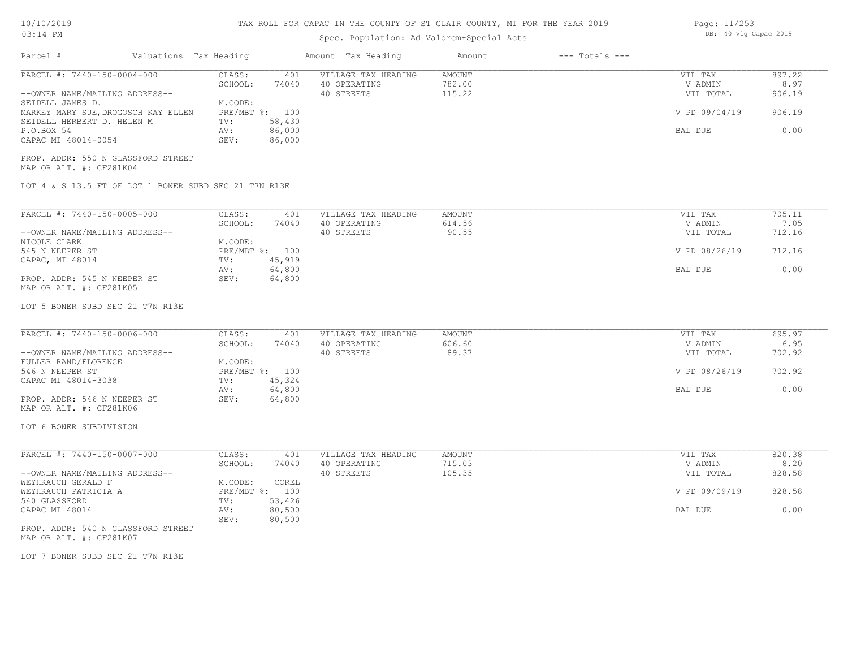# TAX ROLL FOR CAPAC IN THE COUNTY OF ST CLAIR COUNTY, MI FOR THE YEAR 2019

# Spec. Population: Ad Valorem+Special Acts

| Parcel #                                                                                                                                                                                                                          | Valuations Tax Heading |                                                    |                                                              | Amount Tax Heading                                | Amount                            | $---$ Totals $---$ |                                                             |                                            |
|-----------------------------------------------------------------------------------------------------------------------------------------------------------------------------------------------------------------------------------|------------------------|----------------------------------------------------|--------------------------------------------------------------|---------------------------------------------------|-----------------------------------|--------------------|-------------------------------------------------------------|--------------------------------------------|
| PARCEL #: 7440-150-0004-000<br>--OWNER NAME/MAILING ADDRESS--<br>SEIDELL JAMES D.<br>MARKEY MARY SUE, DROGOSCH KAY ELLEN<br>SEIDELL HERBERT D. HELEN M<br>P.O.BOX 54<br>CAPAC MI 48014-0054<br>PROP. ADDR: 550 N GLASSFORD STREET |                        | CLASS:<br>SCHOOL:<br>M.CODE:<br>TV:<br>AV:<br>SEV: | 401<br>74040<br>PRE/MBT %: 100<br>58,430<br>86,000<br>86,000 | VILLAGE TAX HEADING<br>40 OPERATING<br>40 STREETS | <b>AMOUNT</b><br>782.00<br>115.22 |                    | VIL TAX<br>V ADMIN<br>VIL TOTAL<br>V PD 09/04/19<br>BAL DUE | 897.22<br>8.97<br>906.19<br>906.19<br>0.00 |
| MAP OR ALT. #: CF281K04<br>LOT 4 & S 13.5 FT OF LOT 1 BONER SUBD SEC 21 T7N R13E                                                                                                                                                  |                        |                                                    |                                                              |                                                   |                                   |                    |                                                             |                                            |
|                                                                                                                                                                                                                                   |                        |                                                    |                                                              |                                                   |                                   |                    |                                                             |                                            |
| PARCEL #: 7440-150-0005-000<br>--OWNER NAME/MAILING ADDRESS--                                                                                                                                                                     |                        | CLASS:<br>SCHOOL:                                  | 401<br>74040                                                 | VILLAGE TAX HEADING<br>40 OPERATING<br>40 STREETS | AMOUNT<br>614.56<br>90.55         |                    | VIL TAX<br>V ADMIN<br>VIL TOTAL                             | 705.11<br>7.05<br>712.16                   |
| NICOLE CLARK<br>545 N NEEPER ST                                                                                                                                                                                                   |                        | M.CODE:                                            | PRE/MBT %: 100                                               |                                                   |                                   |                    | V PD 08/26/19                                               | 712.16                                     |
| CAPAC, MI 48014<br>PROP. ADDR: 545 N NEEPER ST<br>MAP OR ALT. #: CF281K05                                                                                                                                                         |                        | TV:<br>AV:<br>SEV:                                 | 45,919<br>64,800<br>64,800                                   |                                                   |                                   |                    | BAL DUE                                                     | 0.00                                       |
| LOT 5 BONER SUBD SEC 21 T7N R13E                                                                                                                                                                                                  |                        |                                                    |                                                              |                                                   |                                   |                    |                                                             |                                            |
| PARCEL #: 7440-150-0006-000                                                                                                                                                                                                       |                        | CLASS:                                             | 401                                                          | VILLAGE TAX HEADING                               | <b>AMOUNT</b>                     |                    | VIL TAX                                                     | 695.97                                     |
| --OWNER NAME/MAILING ADDRESS--                                                                                                                                                                                                    |                        | SCHOOL:                                            | 74040                                                        | 40 OPERATING<br>40 STREETS                        | 606.60<br>89.37                   |                    | V ADMIN<br>VIL TOTAL                                        | 6.95<br>702.92                             |
| FULLER RAND/FLORENCE<br>546 N NEEPER ST                                                                                                                                                                                           |                        | M.CODE:                                            | PRE/MBT %: 100                                               |                                                   |                                   |                    | V PD 08/26/19                                               | 702.92                                     |
| CAPAC MI 48014-3038<br>PROP. ADDR: 546 N NEEPER ST                                                                                                                                                                                |                        | TV:<br>AV:<br>SEV:                                 | 45,324<br>64,800<br>64,800                                   |                                                   |                                   |                    | BAL DUE                                                     | 0.00                                       |
| MAP OR ALT. #: CF281K06                                                                                                                                                                                                           |                        |                                                    |                                                              |                                                   |                                   |                    |                                                             |                                            |
| LOT 6 BONER SUBDIVISION                                                                                                                                                                                                           |                        |                                                    |                                                              |                                                   |                                   |                    |                                                             |                                            |
| PARCEL #: 7440-150-0007-000                                                                                                                                                                                                       |                        | CLASS:<br>SCHOOL:                                  | 401<br>74040                                                 | VILLAGE TAX HEADING<br>40 OPERATING               | AMOUNT<br>715.03                  |                    | VIL TAX<br>V ADMIN                                          | 820.38<br>8.20                             |
| --OWNER NAME/MAILING ADDRESS--<br>WEYHRAUCH GERALD F                                                                                                                                                                              |                        | M.CODE:                                            | COREL                                                        | 40 STREETS                                        | 105.35                            |                    | VIL TOTAL                                                   | 828.58                                     |
| WEYHRAUCH PATRICIA A<br>540 GLASSFORD                                                                                                                                                                                             |                        | TV:                                                | PRE/MBT %: 100<br>53,426                                     |                                                   |                                   |                    | V PD 09/09/19                                               | 828.58                                     |
| CAPAC MI 48014                                                                                                                                                                                                                    |                        | AV:<br>SEV:                                        | 80,500<br>80,500                                             |                                                   |                                   |                    | BAL DUE                                                     | 0.00                                       |
| PROP. ADDR: 540 N GLASSFORD STREET<br>MAP OR ALT. #: CF281K07                                                                                                                                                                     |                        |                                                    |                                                              |                                                   |                                   |                    |                                                             |                                            |
| LOT 7 BONER SUBD SEC 21 T7N R13E                                                                                                                                                                                                  |                        |                                                    |                                                              |                                                   |                                   |                    |                                                             |                                            |
|                                                                                                                                                                                                                                   |                        |                                                    |                                                              |                                                   |                                   |                    |                                                             |                                            |
|                                                                                                                                                                                                                                   |                        |                                                    |                                                              |                                                   |                                   |                    |                                                             |                                            |

Page: 11/253 DB: 40 Vlg Capac 2019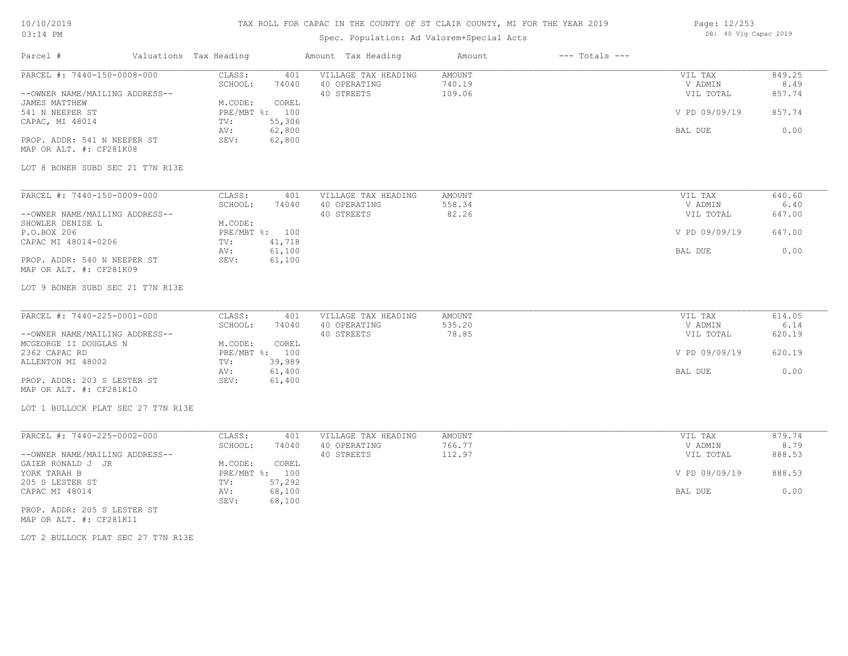## TAX ROLL FOR CAPAC IN THE COUNTY OF ST CLAIR COUNTY, MI FOR THE YEAR 2019

# Spec. Population: Ad Valorem+Special Acts

| Page: 12/253 |  |                       |  |
|--------------|--|-----------------------|--|
|              |  | DB: 40 Vlg Capac 2019 |  |

| Parcel #                           | Valuations Tax Heading            | Amount Tax Heading                  | Amount           | $---$ Totals $---$ |                    |                |
|------------------------------------|-----------------------------------|-------------------------------------|------------------|--------------------|--------------------|----------------|
| PARCEL #: 7440-150-0008-000        | CLASS:<br>401<br>SCHOOL:<br>74040 | VILLAGE TAX HEADING<br>40 OPERATING | AMOUNT<br>740.19 |                    | VIL TAX<br>V ADMIN | 849.25<br>8.49 |
| --OWNER NAME/MAILING ADDRESS--     |                                   | 40 STREETS                          | 109.06           |                    | VIL TOTAL          | 857.74         |
| JAMES MATTHEW                      | M.CODE:<br>COREL                  |                                     |                  |                    |                    |                |
| 541 N NEEPER ST                    | PRE/MBT %: 100                    |                                     |                  |                    | V PD 09/09/19      | 857.74         |
| CAPAC, MI 48014                    | 55,306<br>TV:                     |                                     |                  |                    |                    |                |
|                                    | 62,800<br>AV:                     |                                     |                  |                    | BAL DUE            | 0.00           |
| PROP. ADDR: 541 N NEEPER ST        | 62,800<br>SEV:                    |                                     |                  |                    |                    |                |
| MAP OR ALT. #: CF281K08            |                                   |                                     |                  |                    |                    |                |
| LOT 8 BONER SUBD SEC 21 T7N R13E   |                                   |                                     |                  |                    |                    |                |
|                                    |                                   |                                     |                  |                    |                    |                |
| PARCEL #: 7440-150-0009-000        | CLASS:<br>401                     | VILLAGE TAX HEADING                 | <b>AMOUNT</b>    |                    | VIL TAX            | 640.60         |
|                                    | SCHOOL:<br>74040                  | 40 OPERATING                        | 558.34           |                    | V ADMIN            | 6.40           |
| --OWNER NAME/MAILING ADDRESS--     |                                   | 40 STREETS                          | 82.26            |                    | VIL TOTAL          | 647.00         |
| SHOWLER DENISE L                   | M.CODE:                           |                                     |                  |                    |                    |                |
| P.O.BOX 206                        | PRE/MBT %: 100                    |                                     |                  |                    | V PD 09/09/19      | 647.00         |
| CAPAC MI 48014-0206                | 41,718<br>TV:                     |                                     |                  |                    |                    |                |
|                                    | 61,100<br>AV:                     |                                     |                  |                    | BAL DUE            | 0.00           |
| PROP. ADDR: 540 N NEEPER ST        | 61,100<br>SEV:                    |                                     |                  |                    |                    |                |
| MAP OR ALT. #: CF281K09            |                                   |                                     |                  |                    |                    |                |
| LOT 9 BONER SUBD SEC 21 T7N R13E   |                                   |                                     |                  |                    |                    |                |
|                                    |                                   |                                     |                  |                    |                    |                |
| PARCEL #: 7440-225-0001-000        | CLASS:<br>401                     | VILLAGE TAX HEADING                 | AMOUNT           |                    | VIL TAX            | 614.05         |
|                                    | SCHOOL:<br>74040                  | 40 OPERATING                        | 535.20           |                    | V ADMIN            | 6.14           |
| --OWNER NAME/MAILING ADDRESS--     |                                   | 40 STREETS                          | 78.85            |                    | VIL TOTAL          | 620.19         |
| MCGEORGE II DOUGLAS N              | M.CODE:<br>COREL                  |                                     |                  |                    |                    |                |
| 2362 CAPAC RD                      | PRE/MBT %: 100                    |                                     |                  |                    | V PD 09/09/19      | 620.19         |
| ALLENTON MI 48002                  | 39,989<br>TV:                     |                                     |                  |                    |                    |                |
|                                    | 61,400<br>AV:                     |                                     |                  |                    | BAL DUE            | 0.00           |
| PROP. ADDR: 203 S LESTER ST        | SEV:<br>61,400                    |                                     |                  |                    |                    |                |
| MAP OR ALT. #: CF281K10            |                                   |                                     |                  |                    |                    |                |
| LOT 1 BULLOCK PLAT SEC 27 T7N R13E |                                   |                                     |                  |                    |                    |                |
|                                    |                                   |                                     |                  |                    |                    |                |
| PARCEL #: 7440-225-0002-000        | CLASS:<br>401                     | VILLAGE TAX HEADING                 | <b>AMOUNT</b>    |                    | VIL TAX            | 879.74         |
|                                    | SCHOOL:<br>74040                  | 40 OPERATING                        | 766.77           |                    | V ADMIN            | 8.79           |
| --OWNER NAME/MAILING ADDRESS--     |                                   | 40 STREETS                          | 112.97           |                    | VIL TOTAL          | 888.53         |
| GAIER RONALD J JR                  | M.CODE:<br>COREL                  |                                     |                  |                    |                    |                |
| YORK TARAH B                       | PRE/MBT %: 100                    |                                     |                  |                    | V PD 09/09/19      | 888.53         |
| 205 S LESTER ST                    | TV:<br>57,292                     |                                     |                  |                    |                    |                |
| CAPAC MI 48014                     | 68,100<br>AV:<br>68,100<br>SEV:   |                                     |                  |                    | BAL DUE            | 0.00           |
| PROP. ADDR: 205 S LESTER ST        |                                   |                                     |                  |                    |                    |                |
|                                    |                                   |                                     |                  |                    |                    |                |

MAP OR ALT. #: CF281K11

LOT 2 BULLOCK PLAT SEC 27 T7N R13E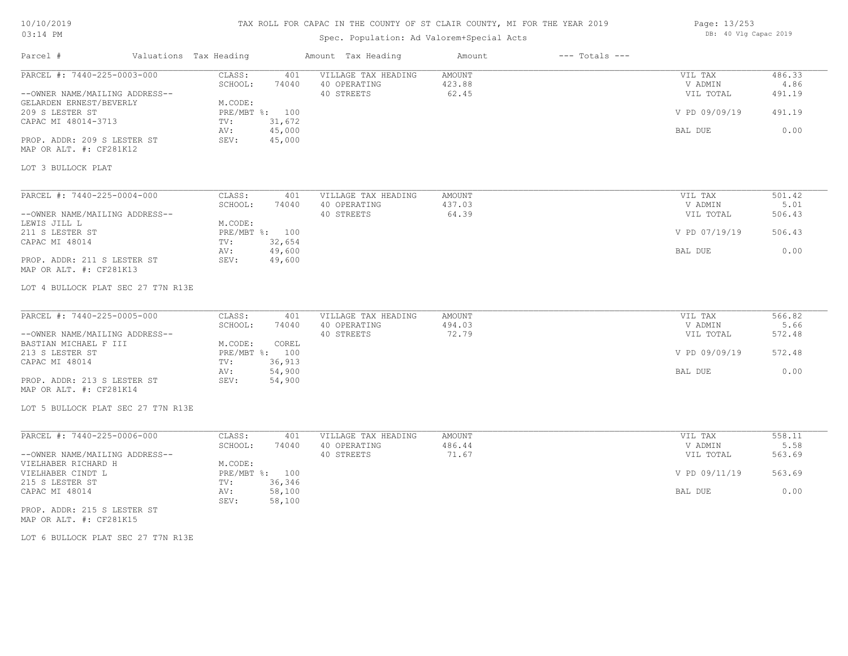## TAX ROLL FOR CAPAC IN THE COUNTY OF ST CLAIR COUNTY, MI FOR THE YEAR 2019

# Spec. Population: Ad Valorem+Special Acts

| Page: 13/253 |  |                       |  |
|--------------|--|-----------------------|--|
|              |  | DB: 40 Vlg Capac 2019 |  |

| Parcel #                                                                                                                                                                                     | Valuations Tax Heading                                                                                             | Amount Tax Heading                                | Amount                           | $---$ Totals $---$ |                                                             |                                            |
|----------------------------------------------------------------------------------------------------------------------------------------------------------------------------------------------|--------------------------------------------------------------------------------------------------------------------|---------------------------------------------------|----------------------------------|--------------------|-------------------------------------------------------------|--------------------------------------------|
| PARCEL #: 7440-225-0003-000<br>--OWNER NAME/MAILING ADDRESS--<br>GELARDEN ERNEST/BEVERLY<br>209 S LESTER ST<br>CAPAC MI 48014-3713<br>PROP. ADDR: 209 S LESTER ST<br>MAP OR ALT. #: CF281K12 | CLASS:<br>401<br>SCHOOL:<br>74040<br>M.CODE:<br>PRE/MBT %: 100<br>31,672<br>TV:<br>45,000<br>AV:<br>45,000<br>SEV: | VILLAGE TAX HEADING<br>40 OPERATING<br>40 STREETS | AMOUNT<br>423.88<br>62.45        |                    | VIL TAX<br>V ADMIN<br>VIL TOTAL<br>V PD 09/09/19<br>BAL DUE | 486.33<br>4.86<br>491.19<br>491.19<br>0.00 |
| LOT 3 BULLOCK PLAT                                                                                                                                                                           |                                                                                                                    |                                                   |                                  |                    |                                                             |                                            |
| PARCEL #: 7440-225-0004-000<br>--OWNER NAME/MAILING ADDRESS--<br>LEWIS JILL L<br>211 S LESTER ST<br>CAPAC MI 48014                                                                           | CLASS:<br>401<br>SCHOOL:<br>74040<br>M.CODE:<br>PRE/MBT %: 100<br>TV:<br>32,654                                    | VILLAGE TAX HEADING<br>40 OPERATING<br>40 STREETS | <b>AMOUNT</b><br>437.03<br>64.39 |                    | VIL TAX<br>V ADMIN<br>VIL TOTAL<br>V PD 07/19/19            | 501.42<br>5.01<br>506.43<br>506.43         |
| PROP. ADDR: 211 S LESTER ST<br>MAP OR ALT. #: CF281K13                                                                                                                                       | 49,600<br>AV:<br>49,600<br>SEV:                                                                                    |                                                   |                                  |                    | BAL DUE                                                     | 0.00                                       |
| LOT 4 BULLOCK PLAT SEC 27 T7N R13E                                                                                                                                                           |                                                                                                                    |                                                   |                                  |                    |                                                             |                                            |
| PARCEL #: 7440-225-0005-000                                                                                                                                                                  | CLASS:<br>401                                                                                                      | VILLAGE TAX HEADING                               | AMOUNT                           |                    | VIL TAX                                                     | 566.82                                     |
| --OWNER NAME/MAILING ADDRESS--<br>BASTIAN MICHAEL F III                                                                                                                                      | SCHOOL:<br>74040<br>M.CODE:<br>COREL                                                                               | 40 OPERATING<br>40 STREETS                        | 494.03<br>72.79                  |                    | V ADMIN<br>VIL TOTAL                                        | 5.66<br>572.48                             |
| 213 S LESTER ST<br>CAPAC MI 48014                                                                                                                                                            | PRE/MBT %: 100<br>36,913<br>TV:                                                                                    |                                                   |                                  |                    | V PD 09/09/19                                               | 572.48                                     |
| PROP. ADDR: 213 S LESTER ST<br>MAP OR ALT. #: CF281K14                                                                                                                                       | 54,900<br>AV:<br>54,900<br>SEV:                                                                                    |                                                   |                                  |                    | BAL DUE                                                     | 0.00                                       |
| LOT 5 BULLOCK PLAT SEC 27 T7N R13E                                                                                                                                                           |                                                                                                                    |                                                   |                                  |                    |                                                             |                                            |
| PARCEL #: 7440-225-0006-000                                                                                                                                                                  | CLASS:<br>401                                                                                                      | VILLAGE TAX HEADING                               | AMOUNT                           |                    | VIL TAX                                                     | 558.11                                     |
| --OWNER NAME/MAILING ADDRESS--                                                                                                                                                               | SCHOOL:<br>74040                                                                                                   | 40 OPERATING<br>40 STREETS                        | 486.44<br>71.67                  |                    | V ADMIN<br>VIL TOTAL                                        | 5.58<br>563.69                             |
| VIELHABER RICHARD H<br>VIELHABER CINDT L                                                                                                                                                     | M.CODE:<br>PRE/MBT %: 100                                                                                          |                                                   |                                  |                    | V PD 09/11/19                                               | 563.69                                     |
| 215 S LESTER ST<br>CAPAC MI 48014                                                                                                                                                            | TV:<br>36,346<br>58,100<br>AV:                                                                                     |                                                   |                                  |                    | BAL DUE                                                     | 0.00                                       |
| PROP. ADDR: 215 S LESTER ST                                                                                                                                                                  | SEV:<br>58,100                                                                                                     |                                                   |                                  |                    |                                                             |                                            |

MAP OR ALT. #: CF281K15

LOT 6 BULLOCK PLAT SEC 27 T7N R13E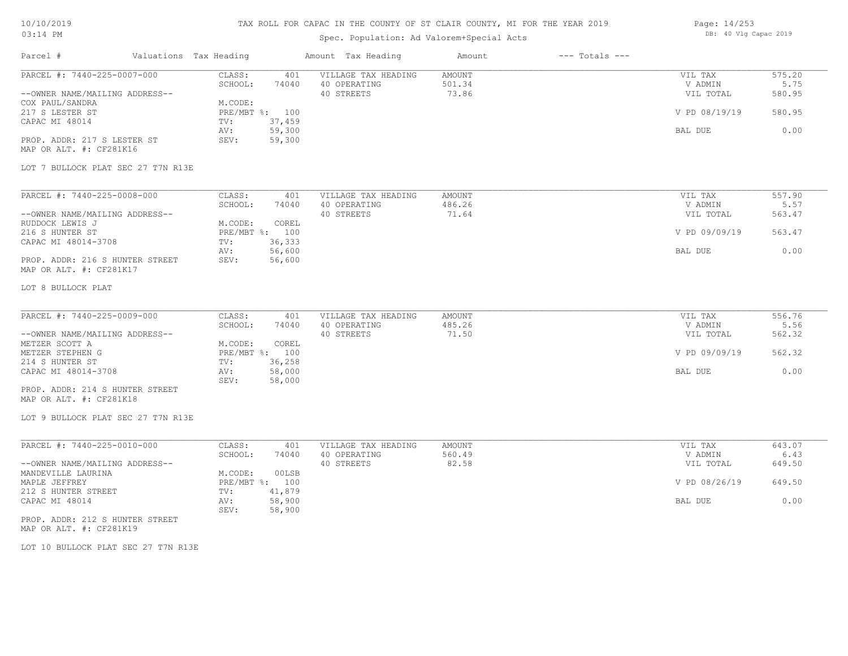# TAX ROLL FOR CAPAC IN THE COUNTY OF ST CLAIR COUNTY, MI FOR THE YEAR 2019

# Spec. Population: Ad Valorem+Special Acts

| Page: 14/253 |  |                       |  |
|--------------|--|-----------------------|--|
|              |  | DB: 40 Vlg Capac 2019 |  |

| Parcel #                                                                                                                                                                        | Valuations Tax Heading |                                                                      |                                            | Amount Tax Heading                                | Amount                    | $---$ Totals $---$ |                                                             |                                            |
|---------------------------------------------------------------------------------------------------------------------------------------------------------------------------------|------------------------|----------------------------------------------------------------------|--------------------------------------------|---------------------------------------------------|---------------------------|--------------------|-------------------------------------------------------------|--------------------------------------------|
| PARCEL #: 7440-225-0007-000<br>--OWNER NAME/MAILING ADDRESS--<br>COX PAUL/SANDRA<br>217 S LESTER ST<br>CAPAC MI 48014<br>PROP. ADDR: 217 S LESTER ST<br>MAP OR ALT. #: CF281K16 |                        | CLASS:<br>SCHOOL:<br>M.CODE:<br>PRE/MBT %: 100<br>TV:<br>AV:<br>SEV: | 401<br>74040<br>37,459<br>59,300<br>59,300 | VILLAGE TAX HEADING<br>40 OPERATING<br>40 STREETS | AMOUNT<br>501.34<br>73.86 |                    | VIL TAX<br>V ADMIN<br>VIL TOTAL<br>V PD 08/19/19<br>BAL DUE | 575.20<br>5.75<br>580.95<br>580.95<br>0.00 |
| LOT 7 BULLOCK PLAT SEC 27 T7N R13E                                                                                                                                              |                        |                                                                      |                                            |                                                   |                           |                    |                                                             |                                            |
| PARCEL #: 7440-225-0008-000<br>--OWNER NAME/MAILING ADDRESS--<br>RUDDOCK LEWIS J<br>216 S HUNTER ST<br>CAPAC MI 48014-3708                                                      |                        | CLASS:<br>SCHOOL:<br>M.CODE:<br>PRE/MBT %: 100<br>TV:<br>AV:         | 401<br>74040<br>COREL<br>36,333<br>56,600  | VILLAGE TAX HEADING<br>40 OPERATING<br>40 STREETS | AMOUNT<br>486.26<br>71.64 |                    | VIL TAX<br>V ADMIN<br>VIL TOTAL<br>V PD 09/09/19<br>BAL DUE | 557.90<br>5.57<br>563.47<br>563.47<br>0.00 |
| MAP OR ALT. #: CF281K17<br>LOT 8 BULLOCK PLAT                                                                                                                                   |                        |                                                                      |                                            |                                                   |                           |                    |                                                             |                                            |
| PARCEL #: 7440-225-0009-000<br>--OWNER NAME/MAILING ADDRESS--                                                                                                                   |                        | CLASS:<br>SCHOOL:                                                    | 401<br>74040                               | VILLAGE TAX HEADING<br>40 OPERATING<br>40 STREETS | AMOUNT<br>485.26<br>71.50 |                    | VIL TAX<br>V ADMIN<br>VIL TOTAL                             | 556.76<br>5.56<br>562.32                   |
| METZER SCOTT A<br>METZER STEPHEN G<br>214 S HUNTER ST                                                                                                                           |                        | M.CODE:<br>PRE/MBT %: 100<br>TV:                                     | COREL<br>36,258                            |                                                   |                           |                    | V PD 09/09/19                                               | 562.32                                     |
| CAPAC MI 48014-3708<br>PROP. ADDR: 214 S HUNTER STREET<br>MAP OR ALT. #: CF281K18                                                                                               |                        | AV:<br>SEV:                                                          | 58,000<br>58,000                           |                                                   |                           |                    | BAL DUE                                                     | 0.00                                       |
| LOT 9 BULLOCK PLAT SEC 27 T7N R13E                                                                                                                                              |                        |                                                                      |                                            |                                                   |                           |                    |                                                             |                                            |
| PARCEL #: 7440-225-0010-000<br>--OWNER NAME/MAILING ADDRESS--                                                                                                                   |                        | CLASS:<br>SCHOOL:                                                    | 401<br>74040                               | VILLAGE TAX HEADING<br>40 OPERATING<br>40 STREETS | AMOUNT<br>560.49<br>82.58 |                    | VIL TAX<br>V ADMIN<br>VIL TOTAL                             | 643.07<br>6.43<br>649.50                   |
| MANDEVILLE LAURINA<br>MAPLE JEFFREY<br>212 S HUNTER STREET                                                                                                                      |                        | M.CODE:<br>PRE/MBT %: 100<br>TV:                                     | 00LSB<br>41,879                            |                                                   |                           |                    | V PD 08/26/19                                               | 649.50                                     |
| CAPAC MI 48014<br>PROP. ADDR: 212 S HUNTER STREET<br>MAP OR ALT. #: CF281K19                                                                                                    |                        | AV:<br>SEV:                                                          | 58,900<br>58,900                           |                                                   |                           |                    | BAL DUE                                                     | 0.00                                       |

LOT 10 BULLOCK PLAT SEC 27 T7N R13E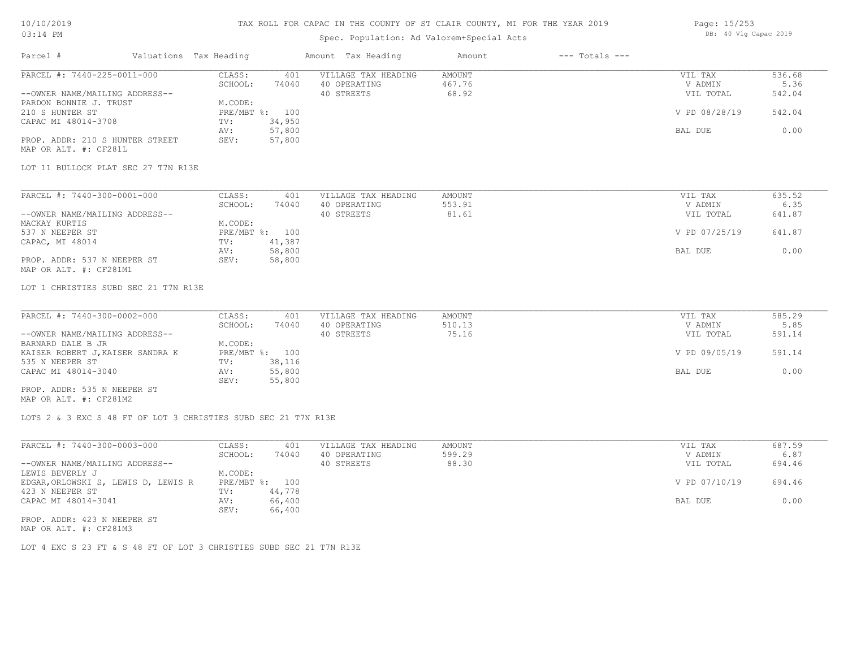## TAX ROLL FOR CAPAC IN THE COUNTY OF ST CLAIR COUNTY, MI FOR THE YEAR 2019

# Spec. Population: Ad Valorem+Special Acts

| Page: 15/253 |  |                       |  |
|--------------|--|-----------------------|--|
|              |  | DB: 40 Vlg Capac 2019 |  |

| Parcel #                                                                                | Valuations Tax Heading           | Amount Tax Heading                                                | Amount                           | $---$ Totals $---$ |                                 |                          |
|-----------------------------------------------------------------------------------------|----------------------------------|-------------------------------------------------------------------|----------------------------------|--------------------|---------------------------------|--------------------------|
| PARCEL #: 7440-225-0011-000<br>--OWNER NAME/MAILING ADDRESS--<br>PARDON BONNIE J. TRUST | CLASS:<br>SCHOOL:<br>M.CODE:     | VILLAGE TAX HEADING<br>401<br>74040<br>40 OPERATING<br>40 STREETS | <b>AMOUNT</b><br>467.76<br>68.92 |                    | VIL TAX<br>V ADMIN<br>VIL TOTAL | 536.68<br>5.36<br>542.04 |
| 210 S HUNTER ST<br>CAPAC MI 48014-3708                                                  | PRE/MBT %: 100<br>TV:<br>AV:     | 34,950<br>57,800                                                  |                                  |                    | V PD 08/28/19<br>BAL DUE        | 542.04<br>0.00           |
| PROP. ADDR: 210 S HUNTER STREET<br>MAP OR ALT. #: CF281L                                | SEV:                             | 57,800                                                            |                                  |                    |                                 |                          |
| LOT 11 BULLOCK PLAT SEC 27 T7N R13E                                                     |                                  |                                                                   |                                  |                    |                                 |                          |
| PARCEL #: 7440-300-0001-000                                                             | CLASS:                           | VILLAGE TAX HEADING<br>401                                        | <b>AMOUNT</b>                    |                    | VIL TAX                         | 635.52                   |
| --OWNER NAME/MAILING ADDRESS--                                                          | SCHOOL:                          | 40 OPERATING<br>74040<br>40 STREETS                               | 553.91<br>81.61                  |                    | V ADMIN<br>VIL TOTAL            | 6.35<br>641.87           |
| MACKAY KURTIS<br>537 N NEEPER ST<br>CAPAC, MI 48014                                     | M.CODE:<br>PRE/MBT %: 100<br>TV: | 41,387                                                            |                                  |                    | V PD 07/25/19                   | 641.87                   |
| PROP. ADDR: 537 N NEEPER ST<br>MAP OR ALT. #: CF281M1                                   | AV:<br>SEV:                      | 58,800<br>58,800                                                  |                                  |                    | BAL DUE                         | 0.00                     |
| LOT 1 CHRISTIES SUBD SEC 21 T7N R13E                                                    |                                  |                                                                   |                                  |                    |                                 |                          |
| PARCEL #: 7440-300-0002-000                                                             | CLASS:                           | VILLAGE TAX HEADING<br>401                                        | <b>AMOUNT</b>                    |                    | VIL TAX                         | 585.29                   |
| --OWNER NAME/MAILING ADDRESS--                                                          | SCHOOL:                          | 74040<br>40 OPERATING<br>40 STREETS                               | 510.13<br>75.16                  |                    | V ADMIN<br>VIL TOTAL            | 5.85<br>591.14           |
| BARNARD DALE B JR<br>KAISER ROBERT J, KAISER SANDRA K                                   | M.CODE:<br>PRE/MBT %: 100        |                                                                   |                                  |                    | V PD 09/05/19                   | 591.14                   |
| 535 N NEEPER ST<br>CAPAC MI 48014-3040                                                  | TV:<br>AV:                       | 38,116<br>55,800                                                  |                                  |                    | BAL DUE                         | 0.00                     |
| PROP. ADDR: 535 N NEEPER ST<br>MAP OR ALT. #: CF281M2                                   | SEV:                             | 55,800                                                            |                                  |                    |                                 |                          |
| LOTS 2 & 3 EXC S 48 FT OF LOT 3 CHRISTIES SUBD SEC 21 T7N R13E                          |                                  |                                                                   |                                  |                    |                                 |                          |
| PARCEL #: 7440-300-0003-000                                                             | CLASS:<br>SCHOOL:                | VILLAGE TAX HEADING<br>401<br>74040<br>40 OPERATING               | <b>AMOUNT</b><br>599.29          |                    | VIL TAX<br>V ADMIN              | 687.59<br>6.87           |
| --OWNER NAME/MAILING ADDRESS--<br>LEWIS BEVERLY J                                       | M.CODE:                          | 40 STREETS                                                        | 88.30                            |                    | VIL TOTAL                       | 694.46                   |
| EDGAR, ORLOWSKI S, LEWIS D, LEWIS R<br>423 N NEEPER ST                                  | PRE/MBT %: 100<br>TV:            | 44,778                                                            |                                  |                    | V PD 07/10/19                   | 694.46                   |
| CAPAC MI 48014-3041                                                                     | AV:<br>SEV:                      | 66,400<br>66,400                                                  |                                  |                    | BAL DUE                         | 0.00                     |

MAP OR ALT. #: CF281M3 PROP. ADDR: 423 N NEEPER ST

LOT 4 EXC S 23 FT & S 48 FT OF LOT 3 CHRISTIES SUBD SEC 21 T7N R13E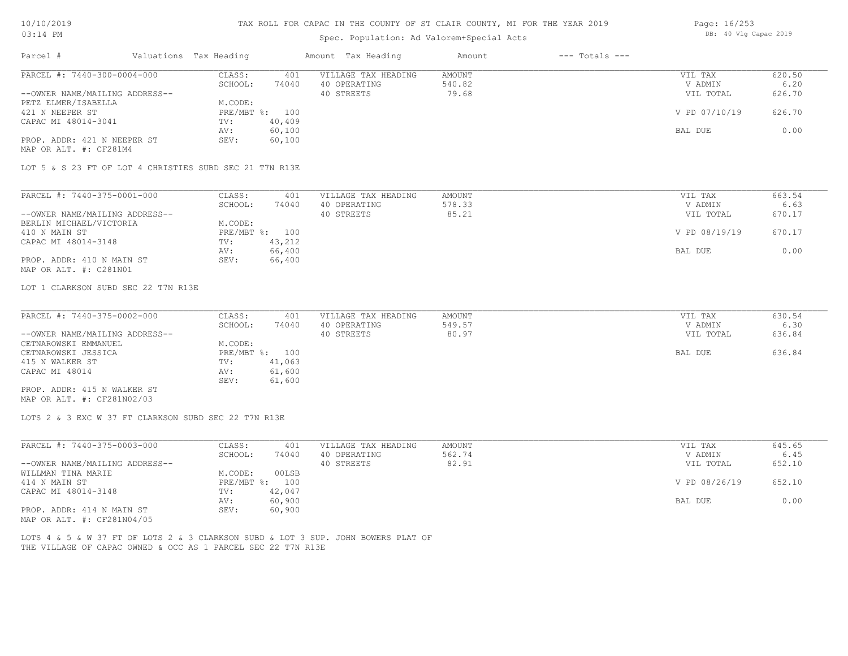# TAX ROLL FOR CAPAC IN THE COUNTY OF ST CLAIR COUNTY, MI FOR THE YEAR 2019

# Spec. Population: Ad Valorem+Special Acts

| Page: 16/253 |  |                       |  |
|--------------|--|-----------------------|--|
|              |  | DB: 40 Vlg Capac 2019 |  |

| Parcel #                                                      | Valuations Tax Heading |                   |                         | Amount Tax Heading                                                                | Amount                    | $---$ Totals $---$ |                                 |                          |
|---------------------------------------------------------------|------------------------|-------------------|-------------------------|-----------------------------------------------------------------------------------|---------------------------|--------------------|---------------------------------|--------------------------|
| PARCEL #: 7440-300-0004-000<br>--OWNER NAME/MAILING ADDRESS-- |                        | CLASS:<br>SCHOOL: | 401<br>74040            | VILLAGE TAX HEADING<br>40 OPERATING<br>40 STREETS                                 | AMOUNT<br>540.82<br>79.68 |                    | VIL TAX<br>V ADMIN<br>VIL TOTAL | 620.50<br>6.20<br>626.70 |
| PETZ ELMER/ISABELLA<br>421 N NEEPER ST                        |                        | M.CODE:           | PRE/MBT %: 100          |                                                                                   |                           |                    | V PD 07/10/19                   | 626.70                   |
| CAPAC MI 48014-3041                                           |                        | TV:<br>AV:        | 40,409<br>60,100        |                                                                                   |                           |                    | BAL DUE                         | 0.00                     |
| PROP. ADDR: 421 N NEEPER ST<br>MAP OR ALT. #: CF281M4         |                        | SEV:              | 60,100                  |                                                                                   |                           |                    |                                 |                          |
| LOT 5 & S 23 FT OF LOT 4 CHRISTIES SUBD SEC 21 T7N R13E       |                        |                   |                         |                                                                                   |                           |                    |                                 |                          |
| PARCEL #: 7440-375-0001-000                                   |                        | CLASS:            | 401                     | VILLAGE TAX HEADING                                                               | AMOUNT                    |                    | VIL TAX                         | 663.54                   |
|                                                               |                        | SCHOOL:           | 74040                   | 40 OPERATING                                                                      | 578.33                    |                    | V ADMIN                         | 6.63                     |
| --OWNER NAME/MAILING ADDRESS--<br>BERLIN MICHAEL/VICTORIA     |                        | M.CODE:           |                         | 40 STREETS                                                                        | 85.21                     |                    | VIL TOTAL                       | 670.17                   |
| 410 N MAIN ST                                                 |                        |                   | PRE/MBT %: 100          |                                                                                   |                           |                    | V PD 08/19/19                   | 670.17                   |
| CAPAC MI 48014-3148                                           |                        | TV:               | 43,212                  |                                                                                   |                           |                    |                                 |                          |
|                                                               |                        | AV:               | 66,400                  |                                                                                   |                           |                    | BAL DUE                         | 0.00                     |
| PROP. ADDR: 410 N MAIN ST<br>MAP OR ALT. #: C281N01           |                        | SEV:              | 66,400                  |                                                                                   |                           |                    |                                 |                          |
| LOT 1 CLARKSON SUBD SEC 22 T7N R13E                           |                        |                   |                         |                                                                                   |                           |                    |                                 |                          |
| PARCEL #: 7440-375-0002-000                                   |                        | CLASS:            | 401                     | VILLAGE TAX HEADING                                                               | AMOUNT                    |                    | VIL TAX                         | 630.54                   |
|                                                               |                        | SCHOOL:           | 74040                   | 40 OPERATING                                                                      | 549.57                    |                    | V ADMIN                         | 6.30                     |
| --OWNER NAME/MAILING ADDRESS--                                |                        |                   |                         | 40 STREETS                                                                        | 80.97                     |                    | VIL TOTAL                       | 636.84                   |
| CETNAROWSKI EMMANUEL<br>CETNAROWSKI JESSICA                   |                        | M.CODE:           | PRE/MBT %: 100          |                                                                                   |                           |                    | BAL DUE                         | 636.84                   |
| 415 N WALKER ST                                               |                        | TV:               | 41,063                  |                                                                                   |                           |                    |                                 |                          |
| CAPAC MI 48014                                                |                        | AV:<br>SEV:       | 61,600<br>61,600        |                                                                                   |                           |                    |                                 |                          |
| PROP. ADDR: 415 N WALKER ST<br>MAP OR ALT. #: CF281N02/03     |                        |                   |                         |                                                                                   |                           |                    |                                 |                          |
| LOTS 2 & 3 EXC W 37 FT CLARKSON SUBD SEC 22 T7N R13E          |                        |                   |                         |                                                                                   |                           |                    |                                 |                          |
| PARCEL #: 7440-375-0003-000                                   |                        | CLASS:            | 401                     | VILLAGE TAX HEADING                                                               | <b>AMOUNT</b>             |                    | VIL TAX                         | 645.65                   |
|                                                               |                        | SCHOOL:           | 74040                   | 40 OPERATING                                                                      | 562.74                    |                    | V ADMIN                         | 6.45                     |
| --OWNER NAME/MAILING ADDRESS--                                |                        |                   |                         | 40 STREETS                                                                        | 82.91                     |                    | VIL TOTAL                       | 652.10                   |
| WILLMAN TINA MARIE<br>414 N MAIN ST                           |                        | M.CODE:           | 00LSB<br>PRE/MBT %: 100 |                                                                                   |                           |                    | V PD 08/26/19                   | 652.10                   |
| CAPAC MI 48014-3148                                           |                        | TV:               | 42,047                  |                                                                                   |                           |                    |                                 |                          |
|                                                               |                        | AV:               | 60,900                  |                                                                                   |                           |                    | BAL DUE                         | 0.00                     |
| PROP. ADDR: 414 N MAIN ST<br>MAP OR ALT. #: CF281N04/05       |                        | SEV:              | 60,900                  |                                                                                   |                           |                    |                                 |                          |
| THE VILLAGE OF CAPAC OWNED & OCC AS 1 PARCEL SEC 22 T7N R13E  |                        |                   |                         | LOTS 4 & 5 & W 37 FT OF LOTS 2 & 3 CLARKSON SUBD & LOT 3 SUP. JOHN BOWERS PLAT OF |                           |                    |                                 |                          |
|                                                               |                        |                   |                         |                                                                                   |                           |                    |                                 |                          |
|                                                               |                        |                   |                         |                                                                                   |                           |                    |                                 |                          |
|                                                               |                        |                   |                         |                                                                                   |                           |                    |                                 |                          |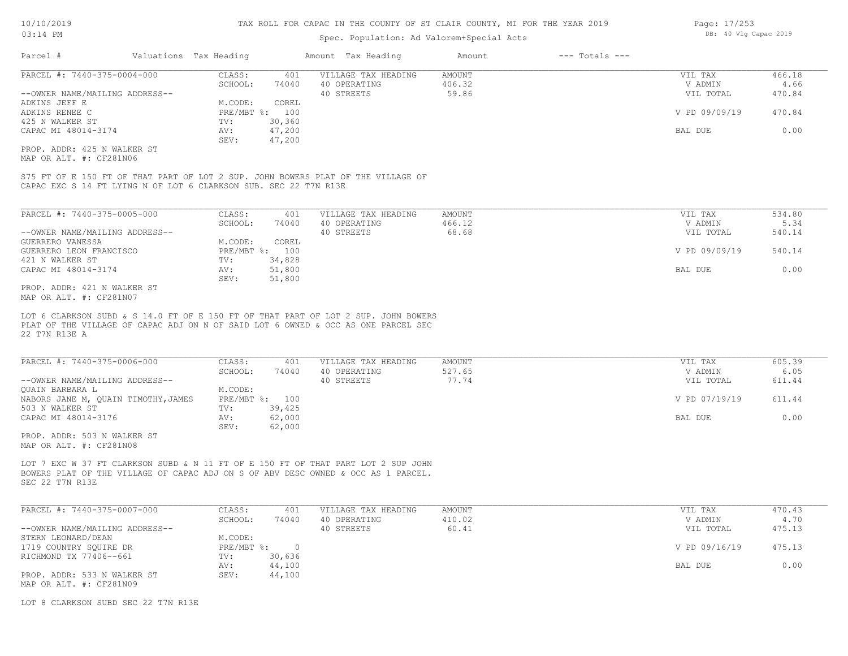## Spec. Population: Ad Valorem+Special Acts

| Parcel #                       | Valuations Tax Heading |        | Amount Tax Heading  | Amount | $---$ Totals $---$ |               |        |
|--------------------------------|------------------------|--------|---------------------|--------|--------------------|---------------|--------|
| PARCEL #: 7440-375-0004-000    | CLASS:                 | 401    | VILLAGE TAX HEADING | AMOUNT |                    | VIL TAX       | 466.18 |
|                                | SCHOOL:                | 74040  | 40 OPERATING        | 406.32 |                    | V ADMIN       | 4.66   |
| --OWNER NAME/MAILING ADDRESS-- |                        |        | 40 STREETS          | 59.86  |                    | VIL TOTAL     | 470.84 |
| ADKINS JEFF E                  | M.CODE:                | COREL  |                     |        |                    |               |        |
| ADKINS RENEE C                 | PRE/MBT %: 100         |        |                     |        |                    | V PD 09/09/19 | 470.84 |
| 425 N WALKER ST                | TV:                    | 30,360 |                     |        |                    |               |        |
| CAPAC MI 48014-3174            | AV:                    | 47,200 |                     |        |                    | BAL DUE       | 0.00   |
|                                | SEV:                   | 47,200 |                     |        |                    |               |        |
| PROP. ADDR: 425 N WALKER ST    |                        |        |                     |        |                    |               |        |

MAP OR ALT. #: CF281N06

CAPAC EXC S 14 FT LYING N OF LOT 6 CLARKSON SUB. SEC 22 T7N R13E S75 FT OF E 150 FT OF THAT PART OF LOT 2 SUP. JOHN BOWERS PLAT OF THE VILLAGE OF

| PARCEL #: 7440-375-0005-000        | CLASS:         | 401    | VILLAGE TAX HEADING | AMOUNT | VIL TAX       | 534.80 |
|------------------------------------|----------------|--------|---------------------|--------|---------------|--------|
|                                    | SCHOOL:        | 74040  | 40 OPERATING        | 466.12 | V ADMIN       | 5.34   |
| --OWNER NAME/MAILING ADDRESS--     |                |        | 40 STREETS          | 68.68  | VIL TOTAL     | 540.14 |
| GUERRERO VANESSA                   | M.CODE:        | COREL  |                     |        |               |        |
| GUERRERO LEON FRANCISCO            | PRE/MBT %: 100 |        |                     |        | V PD 09/09/19 | 540.14 |
| 421 N WALKER ST                    | TV:            | 34,828 |                     |        |               |        |
| CAPAC MI 48014-3174                | AV:            | 51,800 |                     |        | BAL DUE       | 0.00   |
|                                    | SEV:           | 51,800 |                     |        |               |        |
| ידי סים שדגזון ו-1.21 אתה מחת החסת |                |        |                     |        |               |        |

MAP OR ALT. #: CF281N07 PROP. ADDR: 421 N WALKER ST

22 T7N R13E A PLAT OF THE VILLAGE OF CAPAC ADJ ON N OF SAID LOT 6 OWNED & OCC AS ONE PARCEL SEC LOT 6 CLARKSON SUBD & S 14.0 FT OF E 150 FT OF THAT PART OF LOT 2 SUP. JOHN BOWERS

| PARCEL #: 7440-375-0006-000         | CLASS:         | 401    | VILLAGE TAX HEADING | AMOUNT | VIL TAX       | 605.39 |
|-------------------------------------|----------------|--------|---------------------|--------|---------------|--------|
|                                     | SCHOOL:        | 74040  | 40 OPERATING        | 527.65 | V ADMIN       | 6.05   |
| --OWNER NAME/MAILING ADDRESS--      |                |        | 40 STREETS          | 77.74  | VIL TOTAL     | 611.44 |
| QUAIN BARBARA L                     | M.CODE:        |        |                     |        |               |        |
| NABORS JANE M, QUAIN TIMOTHY, JAMES | PRE/MBT %: 100 |        |                     |        | V PD 07/19/19 | 611.44 |
| 503 N WALKER ST                     | TV:            | 39,425 |                     |        |               |        |
| CAPAC MI 48014-3176                 | AV:            | 62,000 |                     |        | BAL DUE       | 0.00   |
|                                     | SEV:           | 62,000 |                     |        |               |        |
| PROP. ADDR: 503 N WALKER ST         |                |        |                     |        |               |        |

MAP OR ALT. #: CF281N08

SEC 22 T7N R13E BOWERS PLAT OF THE VILLAGE OF CAPAC ADJ ON S OF ABV DESC OWNED & OCC AS 1 PARCEL. LOT 7 EXC W 37 FT CLARKSON SUBD & N 11 FT OF E 150 FT OF THAT PART LOT 2 SUP JOHN

| PARCEL #: 7440-375-0007-000    | CLASS:     | 401    | VILLAGE TAX HEADING | AMOUNT | VIL TAX       | 470.43 |
|--------------------------------|------------|--------|---------------------|--------|---------------|--------|
|                                | SCHOOL:    | 74040  | 40 OPERATING        | 410.02 | V ADMIN       | 4.70   |
| --OWNER NAME/MAILING ADDRESS-- |            |        | 40 STREETS          | 60.41  | VIL TOTAL     | 475.13 |
| STERN LEONARD/DEAN             | M.CODE:    |        |                     |        |               |        |
| 1719 COUNTRY SOUIRE DR         | PRE/MBT %: |        |                     |        | V PD 09/16/19 | 475.13 |
| RICHMOND TX 77406--661         | TV:        | 30,636 |                     |        |               |        |
|                                | AV:        | 44,100 |                     |        | BAL DUE       | 0.00   |
| PROP. ADDR: 533 N WALKER ST    | SEV:       | 44,100 |                     |        |               |        |
| MAP OR ALT. #: CF281N09        |            |        |                     |        |               |        |

LOT 8 CLARKSON SUBD SEC 22 T7N R13E

Page: 17/253 DB: 40 Vlg Capac 2019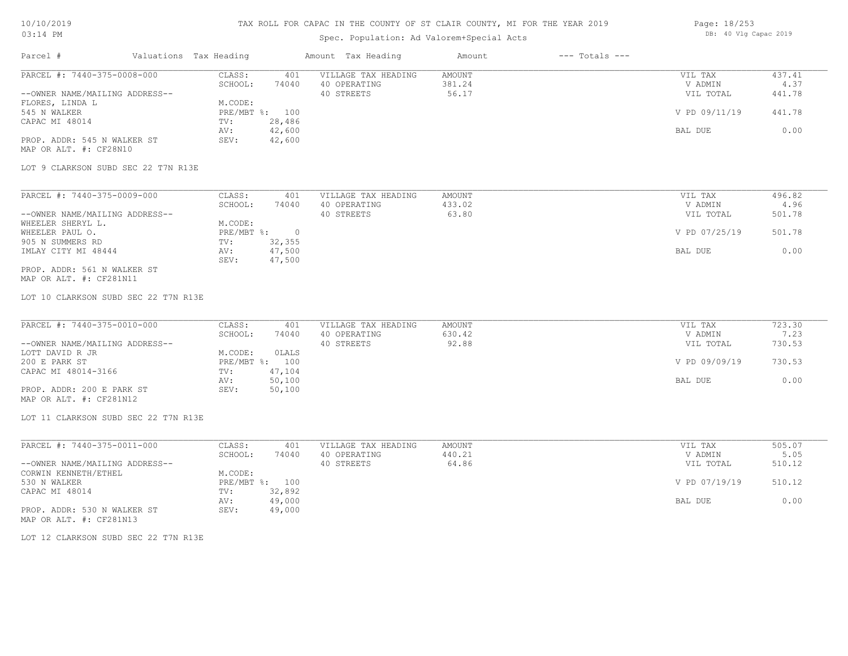# TAX ROLL FOR CAPAC IN THE COUNTY OF ST CLAIR COUNTY, MI FOR THE YEAR 2019

# Spec. Population: Ad Valorem+Special Acts

| Page: 18/253 |  |                       |  |
|--------------|--|-----------------------|--|
|              |  | DB: 40 Vlg Capac 2019 |  |

| Parcel #                                                                                                                                                                                                                                           | Valuations Tax Heading |                                                                                                                                        | Amount Tax Heading                                | Amount                           | $---$ Totals $---$ |                                                             |                                            |
|----------------------------------------------------------------------------------------------------------------------------------------------------------------------------------------------------------------------------------------------------|------------------------|----------------------------------------------------------------------------------------------------------------------------------------|---------------------------------------------------|----------------------------------|--------------------|-------------------------------------------------------------|--------------------------------------------|
| PARCEL #: 7440-375-0008-000<br>--OWNER NAME/MAILING ADDRESS--<br>FLORES, LINDA L<br>545 N WALKER<br>CAPAC MI 48014<br>PROP. ADDR: 545 N WALKER ST<br>MAP OR ALT. #: CF28N10<br>LOT 9 CLARKSON SUBD SEC 22 T7N R13E                                 |                        | CLASS:<br>401<br>SCHOOL:<br>74040<br>M.CODE:<br>PRE/MBT %: 100<br>28,486<br>TV:<br>42,600<br>AV:<br>SEV:<br>42,600                     | VILLAGE TAX HEADING<br>40 OPERATING<br>40 STREETS | <b>AMOUNT</b><br>381.24<br>56.17 |                    | VIL TAX<br>V ADMIN<br>VIL TOTAL<br>V PD 09/11/19<br>BAL DUE | 437.41<br>4.37<br>441.78<br>441.78<br>0.00 |
| PARCEL #: 7440-375-0009-000<br>--OWNER NAME/MAILING ADDRESS--<br>WHEELER SHERYL L.<br>WHEELER PAUL O.<br>905 N SUMMERS RD<br>IMLAY CITY MI 48444<br>PROP. ADDR: 561 N WALKER ST<br>MAP OR ALT. #: CF281N11<br>LOT 10 CLARKSON SUBD SEC 22 T7N R13E |                        | CLASS:<br>401<br>SCHOOL:<br>74040<br>M.CODE:<br>$PRE/MBT$ $\div$<br>$\overline{0}$<br>32,355<br>TV:<br>47,500<br>AV:<br>47,500<br>SEV: | VILLAGE TAX HEADING<br>40 OPERATING<br>40 STREETS | AMOUNT<br>433.02<br>63.80        |                    | VIL TAX<br>V ADMIN<br>VIL TOTAL<br>V PD 07/25/19<br>BAL DUE | 496.82<br>4.96<br>501.78<br>501.78<br>0.00 |
| PARCEL #: 7440-375-0010-000<br>--OWNER NAME/MAILING ADDRESS--<br>LOTT DAVID R JR<br>200 E PARK ST<br>CAPAC MI 48014-3166<br>PROP. ADDR: 200 E PARK ST<br>MAP OR ALT. #: CF281N12<br>LOT 11 CLARKSON SUBD SEC 22 T7N R13E                           |                        | CLASS:<br>401<br>SCHOOL:<br>74040<br>M.CODE:<br>0LALS<br>PRE/MBT %: 100<br>TV:<br>47,104<br>50,100<br>AV:<br>SEV:<br>50,100            | VILLAGE TAX HEADING<br>40 OPERATING<br>40 STREETS | <b>AMOUNT</b><br>630.42<br>92.88 |                    | VIL TAX<br>V ADMIN<br>VIL TOTAL<br>V PD 09/09/19<br>BAL DUE | 723.30<br>7.23<br>730.53<br>730.53<br>0.00 |
| PARCEL #: 7440-375-0011-000<br>--OWNER NAME/MAILING ADDRESS--<br>CORWIN KENNETH/ETHEL<br>530 N WALKER<br>CAPAC MI 48014<br>PROP. ADDR: 530 N WALKER ST<br>MAP OR ALT. #: CF281N13                                                                  |                        | CLASS:<br>401<br>SCHOOL:<br>74040<br>M.CODE:<br>PRE/MBT %: 100<br>32,892<br>TV:<br>49,000<br>AV:<br>49,000<br>SEV:                     | VILLAGE TAX HEADING<br>40 OPERATING<br>40 STREETS | <b>AMOUNT</b><br>440.21<br>64.86 |                    | VIL TAX<br>V ADMIN<br>VIL TOTAL<br>V PD 07/19/19<br>BAL DUE | 505.07<br>5.05<br>510.12<br>510.12<br>0.00 |

LOT 12 CLARKSON SUBD SEC 22 T7N R13E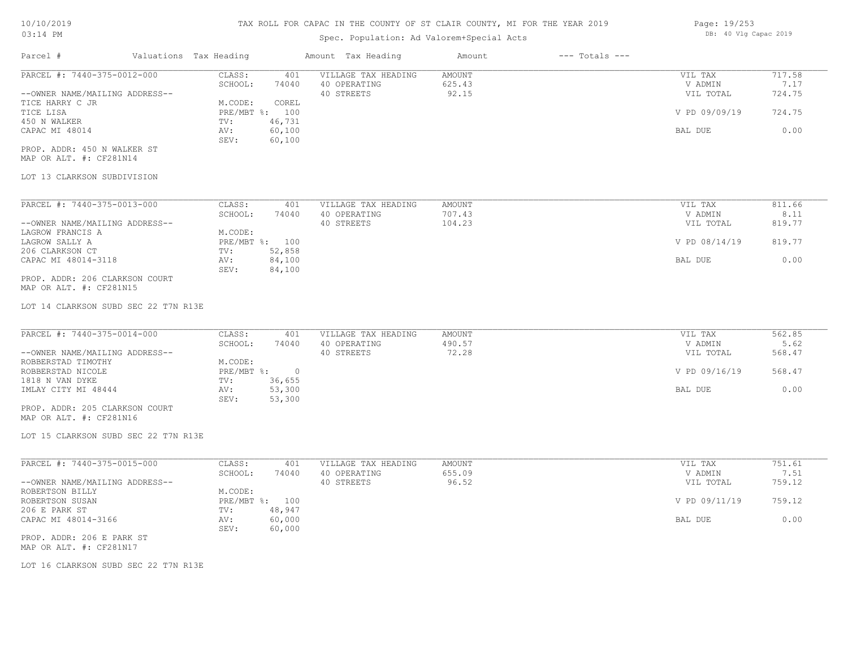## Spec. Population: Ad Valorem+Special Acts

| Page: 19/253 |  |                       |  |
|--------------|--|-----------------------|--|
|              |  | DB: 40 Vlg Capac 2019 |  |

| Parcel #                       |         | Valuations Tax Heading |              | Amount Tax Heading  | Amount | $---$ Totals $---$ |               |        |
|--------------------------------|---------|------------------------|--------------|---------------------|--------|--------------------|---------------|--------|
| PARCEL #: 7440-375-0012-000    |         | CLASS:                 | 401          | VILLAGE TAX HEADING | AMOUNT |                    | VIL TAX       | 717.58 |
|                                | SCHOOL: | 74040                  | 40 OPERATING | 625.43              |        | V ADMIN            | 7.17          |        |
| --OWNER NAME/MAILING ADDRESS-- |         |                        |              | 40 STREETS          | 92.15  |                    | VIL TOTAL     | 724.75 |
| TICE HARRY C JR                |         | M.CODE:                | COREL        |                     |        |                    |               |        |
| TICE LISA                      |         | PRE/MBT %: 100         |              |                     |        |                    | V PD 09/09/19 | 724.75 |
| 450 N WALKER                   |         | TV:                    | 46,731       |                     |        |                    |               |        |
| CAPAC MI 48014                 |         | AV:                    | 60,100       |                     |        |                    | BAL DUE       | 0.00   |
|                                |         | SEV:                   | 60,100       |                     |        |                    |               |        |
| PROP. ADDR: 450 N WALKER ST    |         |                        |              |                     |        |                    |               |        |

MAP OR ALT. #: CF281N14

### LOT 13 CLARKSON SUBDIVISION

| PARCEL #: 7440-375-0013-000    | CLASS:     | 401    | VILLAGE TAX HEADING | AMOUNT | VIL TAX       | 811.66 |
|--------------------------------|------------|--------|---------------------|--------|---------------|--------|
|                                | SCHOOL:    | 74040  | 40 OPERATING        | 707.43 | V ADMIN       | 8.11   |
| --OWNER NAME/MAILING ADDRESS-- |            |        | 40 STREETS          | 104.23 | VIL TOTAL     | 819.77 |
| LAGROW FRANCIS A               | M.CODE:    |        |                     |        |               |        |
| LAGROW SALLY A                 | PRE/MBT %: | 100    |                     |        | V PD 08/14/19 | 819.77 |
| 206 CLARKSON CT                | TV:        | 52,858 |                     |        |               |        |
| CAPAC MI 48014-3118            | AV:        | 84,100 |                     |        | BAL DUE       | 0.00   |
|                                | SEV:       | 84,100 |                     |        |               |        |
| PROP. ADDR: 206 CLARKSON COURT |            |        |                     |        |               |        |

MAP OR ALT. #: CF281N15

LOT 14 CLARKSON SUBD SEC 22 T7N R13E

| PARCEL #: 7440-375-0014-000    | CLASS:       | 401    | VILLAGE TAX HEADING | AMOUNT | VIL TAX       | 562.85 |
|--------------------------------|--------------|--------|---------------------|--------|---------------|--------|
|                                | SCHOOL:      | 74040  | 40 OPERATING        | 490.57 | V ADMIN       | 5.62   |
| --OWNER NAME/MAILING ADDRESS-- |              |        | 40 STREETS          | 72.28  | VIL TOTAL     | 568.47 |
| ROBBERSTAD TIMOTHY             | M.CODE:      |        |                     |        |               |        |
| ROBBERSTAD NICOLE              | $PRE/MBT$ %: |        |                     |        | V PD 09/16/19 | 568.47 |
| 1818 N VAN DYKE                | TV:          | 36,655 |                     |        |               |        |
| IMLAY CITY MI 48444            | AV:          | 53,300 |                     |        | BAL DUE       | 0.00   |
|                                | SEV:         | 53,300 |                     |        |               |        |
| PROP. ADDR: 205 CLARKSON COURT |              |        |                     |        |               |        |

MAP OR ALT. #: CF281N16

LOT 15 CLARKSON SUBD SEC 22 T7N R13E

| PARCEL #: 7440-375-0015-000    | CLASS:       | 401    | VILLAGE TAX HEADING | AMOUNT | VIL TAX       | 751.61 |
|--------------------------------|--------------|--------|---------------------|--------|---------------|--------|
|                                | SCHOOL:      | 74040  | 40 OPERATING        | 655.09 | V ADMIN       | 7.51   |
| --OWNER NAME/MAILING ADDRESS-- |              |        | 40 STREETS          | 96.52  | VIL TOTAL     | 759.12 |
| ROBERTSON BILLY                | M.CODE:      |        |                     |        |               |        |
| ROBERTSON SUSAN                | $PRE/MBT$ %: | 100    |                     |        | V PD 09/11/19 | 759.12 |
| 206 E PARK ST                  | TV:          | 48,947 |                     |        |               |        |
| CAPAC MI 48014-3166            | AV:          | 60,000 |                     |        | BAL DUE       | 0.00   |
|                                | SEV:         | 60,000 |                     |        |               |        |
| PROP. ADDR: 206 E PARK ST      |              |        |                     |        |               |        |

 $\mathcal{L}_\mathcal{L} = \mathcal{L}_\mathcal{L} = \mathcal{L}_\mathcal{L} = \mathcal{L}_\mathcal{L} = \mathcal{L}_\mathcal{L} = \mathcal{L}_\mathcal{L} = \mathcal{L}_\mathcal{L} = \mathcal{L}_\mathcal{L} = \mathcal{L}_\mathcal{L} = \mathcal{L}_\mathcal{L} = \mathcal{L}_\mathcal{L} = \mathcal{L}_\mathcal{L} = \mathcal{L}_\mathcal{L} = \mathcal{L}_\mathcal{L} = \mathcal{L}_\mathcal{L} = \mathcal{L}_\mathcal{L} = \mathcal{L}_\mathcal{L}$ 

MAP OR ALT. #: CF281N17

LOT 16 CLARKSON SUBD SEC 22 T7N R13E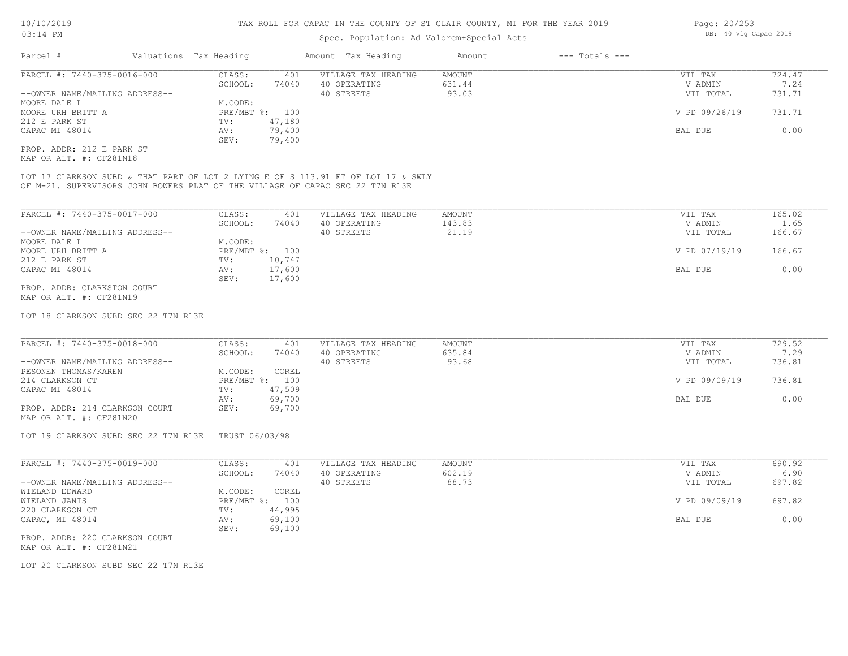## Spec. Population: Ad Valorem+Special Acts

| Parcel #                       |                             | Valuations Tax Heading |        | Amount Tax Heading  | Amount | $---$ Totals $---$ |               |        |
|--------------------------------|-----------------------------|------------------------|--------|---------------------|--------|--------------------|---------------|--------|
|                                | PARCEL #: 7440-375-0016-000 | CLASS:                 | 401    | VILLAGE TAX HEADING | AMOUNT |                    | VIL TAX       | 724.47 |
|                                |                             | SCHOOL:                | 74040  | 40 OPERATING        | 631.44 |                    | V ADMIN       | 7.24   |
| --OWNER NAME/MAILING ADDRESS-- |                             |                        |        | 40 STREETS          | 93.03  |                    | VIL TOTAL     | 731.71 |
| MOORE DALE L                   |                             | M.CODE:                |        |                     |        |                    |               |        |
| MOORE URH BRITT A              |                             | PRE/MBT %: 100         |        |                     |        |                    | V PD 09/26/19 | 731.71 |
| 212 E PARK ST                  |                             | TV:                    | 47,180 |                     |        |                    |               |        |
| CAPAC MI 48014                 |                             | AV:                    | 79,400 |                     |        |                    | BAL DUE       | 0.00   |
|                                |                             | SEV:                   | 79,400 |                     |        |                    |               |        |
| PROP. ADDR: 212 E PARK ST      |                             |                        |        |                     |        |                    |               |        |

MAP OR ALT. #: CF281N18

OF M-21. SUPERVISORS JOHN BOWERS PLAT OF THE VILLAGE OF CAPAC SEC 22 T7N R13E LOT 17 CLARKSON SUBD & THAT PART OF LOT 2 LYING E OF S 113.91 FT OF LOT 17 & SWLY

| PARCEL #: 7440-375-0017-000    | CLASS:     | 401    | VILLAGE TAX HEADING | AMOUNT | VIL TAX       | 165.02 |
|--------------------------------|------------|--------|---------------------|--------|---------------|--------|
|                                | SCHOOL:    | 74040  | 40 OPERATING        | 143.83 | V ADMIN       | 1.65   |
| --OWNER NAME/MAILING ADDRESS-- |            |        | 40 STREETS          | 21.19  | VIL TOTAL     | 166.67 |
| MOORE DALE L                   | M.CODE:    |        |                     |        |               |        |
| MOORE URH BRITT A              | PRE/MBT %: | 100    |                     |        | V PD 07/19/19 | 166.67 |
| 212 E PARK ST                  | TV:        | 10,747 |                     |        |               |        |
| CAPAC MI 48014                 | AV:        | 17,600 |                     |        | BAL DUE       | 0.00   |
|                                | SEV:       | 17,600 |                     |        |               |        |
| PROP. ADDR: CLARKSTON COURT    |            |        |                     |        |               |        |

MAP OR ALT. #: CF281N19

LOT 18 CLARKSON SUBD SEC 22 T7N R13E

| PARCEL #: 7440-375-0018-000    | CLASS:  | 401            | VILLAGE TAX HEADING | AMOUNT | VIL TAX       | 729.52 |
|--------------------------------|---------|----------------|---------------------|--------|---------------|--------|
|                                | SCHOOL: | 74040          | 40 OPERATING        | 635.84 | V ADMIN       | 7.29   |
| --OWNER NAME/MAILING ADDRESS-- |         |                | 40 STREETS          | 93.68  | VIL TOTAL     | 736.81 |
| PESONEN THOMAS/KAREN           | M.CODE: | COREL          |                     |        |               |        |
| 214 CLARKSON CT                |         | PRE/MBT %: 100 |                     |        | V PD 09/09/19 | 736.81 |
| CAPAC MI 48014                 | TV:     | 47,509         |                     |        |               |        |
|                                | AV:     | 69,700         |                     |        | BAL DUE       | 0.00   |
| PROP. ADDR: 214 CLARKSON COURT | SEV:    | 69,700         |                     |        |               |        |
| MAP OR ALT. #: CF281N20        |         |                |                     |        |               |        |

LOT 19 CLARKSON SUBD SEC 22 T7N R13E TRUST 06/03/98

| PARCEL #: 7440-375-0019-000    | CLASS:       | 401    | VILLAGE TAX HEADING | AMOUNT | VIL TAX       | 690.92 |
|--------------------------------|--------------|--------|---------------------|--------|---------------|--------|
|                                | SCHOOL:      | 74040  | 40 OPERATING        | 602.19 | V ADMIN       | 6.90   |
| --OWNER NAME/MAILING ADDRESS-- |              |        | 40 STREETS          | 88.73  | VIL TOTAL     | 697.82 |
| WIELAND EDWARD                 | M.CODE:      | COREL  |                     |        |               |        |
| WIELAND JANIS                  | $PRE/MBT$ %: | 100    |                     |        | V PD 09/09/19 | 697.82 |
| 220 CLARKSON CT                | TV:          | 44,995 |                     |        |               |        |
| CAPAC, MI 48014                | AV:          | 69,100 |                     |        | BAL DUE       | 0.00   |
|                                | SEV:         | 69,100 |                     |        |               |        |
|                                |              |        |                     |        |               |        |

MAP OR ALT. #: CF281N21 PROP. ADDR: 220 CLARKSON COURT

LOT 20 CLARKSON SUBD SEC 22 T7N R13E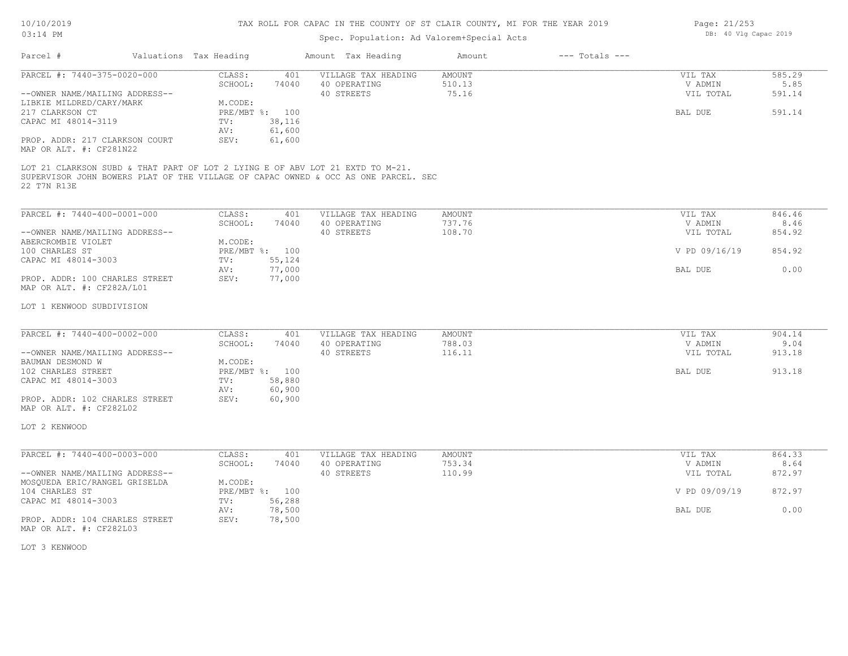# TAX ROLL FOR CAPAC IN THE COUNTY OF ST CLAIR COUNTY, MI FOR THE YEAR 2019

# Spec. Population: Ad Valorem+Special Acts

| Parcel #                                                                                     | Valuations Tax Heading |                   |                          | Amount Tax Heading                                                                 | Amount                  | $---$ Totals $---$ |                      |                |
|----------------------------------------------------------------------------------------------|------------------------|-------------------|--------------------------|------------------------------------------------------------------------------------|-------------------------|--------------------|----------------------|----------------|
| PARCEL #: 7440-375-0020-000                                                                  |                        | CLASS:<br>SCHOOL: | 401<br>74040             | VILLAGE TAX HEADING<br>40 OPERATING                                                | <b>AMOUNT</b><br>510.13 |                    | VIL TAX<br>V ADMIN   | 585.29<br>5.85 |
| --OWNER NAME/MAILING ADDRESS--                                                               |                        |                   |                          | 40 STREETS                                                                         | 75.16                   |                    | VIL TOTAL            | 591.14         |
| LIBKIE MILDRED/CARY/MARK                                                                     |                        | M.CODE:           |                          |                                                                                    |                         |                    |                      |                |
| 217 CLARKSON CT<br>CAPAC MI 48014-3119                                                       |                        | TV:               | PRE/MBT %: 100<br>38,116 |                                                                                    |                         |                    | BAL DUE              | 591.14         |
|                                                                                              |                        | AV:               | 61,600                   |                                                                                    |                         |                    |                      |                |
| PROP. ADDR: 217 CLARKSON COURT<br>MAP OR ALT. #: CF281N22                                    |                        | SEV:              | 61,600                   |                                                                                    |                         |                    |                      |                |
| LOT 21 CLARKSON SUBD & THAT PART OF LOT 2 LYING E OF ABV LOT 21 EXTD TO M-21.<br>22 T7N R13E |                        |                   |                          | SUPERVISOR JOHN BOWERS PLAT OF THE VILLAGE OF CAPAC OWNED & OCC AS ONE PARCEL. SEC |                         |                    |                      |                |
| PARCEL #: 7440-400-0001-000                                                                  |                        | CLASS:            | 401                      | VILLAGE TAX HEADING                                                                | <b>AMOUNT</b>           |                    | VIL TAX              | 846.46         |
|                                                                                              |                        | SCHOOL:           | 74040                    | 40 OPERATING                                                                       | 737.76                  |                    | V ADMIN              | 8.46           |
| --OWNER NAME/MAILING ADDRESS--<br>ABERCROMBIE VIOLET                                         |                        | M.CODE:           |                          | 40 STREETS                                                                         | 108.70                  |                    | VIL TOTAL            | 854.92         |
| 100 CHARLES ST                                                                               |                        |                   | PRE/MBT %: 100           |                                                                                    |                         |                    | V PD 09/16/19        | 854.92         |
| CAPAC MI 48014-3003                                                                          |                        | TV:               | 55,124                   |                                                                                    |                         |                    |                      |                |
| PROP. ADDR: 100 CHARLES STREET<br>MAP OR ALT. #: CF282A/L01                                  |                        | AV:<br>SEV:       | 77,000<br>77,000         |                                                                                    |                         |                    | BAL DUE              | 0.00           |
| LOT 1 KENWOOD SUBDIVISION                                                                    |                        |                   |                          |                                                                                    |                         |                    |                      |                |
| PARCEL #: 7440-400-0002-000                                                                  |                        | CLASS:            | 401                      | VILLAGE TAX HEADING                                                                | <b>AMOUNT</b>           |                    | VIL TAX              | 904.14         |
| --OWNER NAME/MAILING ADDRESS--                                                               |                        | SCHOOL:           | 74040                    | 40 OPERATING<br>40 STREETS                                                         | 788.03<br>116.11        |                    | V ADMIN<br>VIL TOTAL | 9.04<br>913.18 |
| BAUMAN DESMOND W                                                                             |                        | M.CODE:           |                          |                                                                                    |                         |                    |                      |                |
| 102 CHARLES STREET                                                                           |                        |                   | PRE/MBT %: 100           |                                                                                    |                         |                    | BAL DUE              | 913.18         |
| CAPAC MI 48014-3003                                                                          |                        | TV:               | 58,880                   |                                                                                    |                         |                    |                      |                |
|                                                                                              |                        | AV:               | 60,900                   |                                                                                    |                         |                    |                      |                |
| PROP. ADDR: 102 CHARLES STREET<br>MAP OR ALT. #: CF282L02                                    |                        | SEV:              | 60,900                   |                                                                                    |                         |                    |                      |                |
| LOT 2 KENWOOD                                                                                |                        |                   |                          |                                                                                    |                         |                    |                      |                |
| PARCEL #: 7440-400-0003-000                                                                  |                        | CLASS:            | 401                      | VILLAGE TAX HEADING                                                                | AMOUNT                  |                    | VIL TAX              | 864.33         |
|                                                                                              |                        | SCHOOL:           | 74040                    | 40 OPERATING                                                                       | 753.34                  |                    | V ADMIN              | 8.64           |
| --OWNER NAME/MAILING ADDRESS--                                                               |                        |                   |                          | 40 STREETS                                                                         | 110.99                  |                    | VIL TOTAL            | 872.97         |
| MOSQUEDA ERIC/RANGEL GRISELDA                                                                |                        | M.CODE:           |                          |                                                                                    |                         |                    |                      |                |
| 104 CHARLES ST                                                                               |                        |                   | PRE/MBT %: 100           |                                                                                    |                         |                    | V PD 09/09/19        | 872.97         |
| CAPAC MI 48014-3003                                                                          |                        | TV:<br>AV:        | 56,288<br>78,500         |                                                                                    |                         |                    | BAL DUE              | 0.00           |
| PROP. ADDR: 104 CHARLES STREET<br>MAP OR ALT. #: CF282L03                                    |                        | SEV:              | 78,500                   |                                                                                    |                         |                    |                      |                |
| LOT 3 KENWOOD                                                                                |                        |                   |                          |                                                                                    |                         |                    |                      |                |

Page: 21/253 DB: 40 Vlg Capac 2019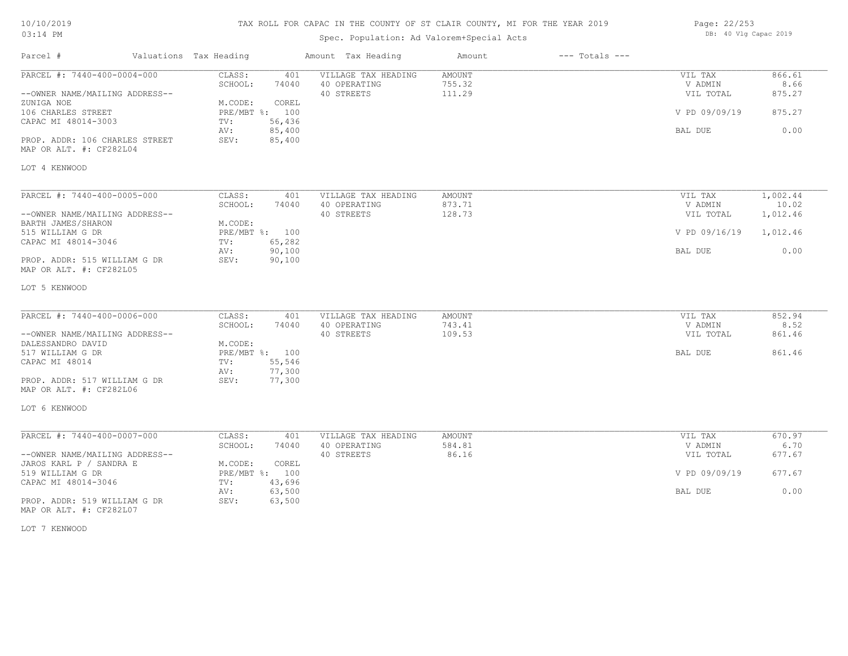# TAX ROLL FOR CAPAC IN THE COUNTY OF ST CLAIR COUNTY, MI FOR THE YEAR 2019

# Spec. Population: Ad Valorem+Special Acts

| Page: 22/253 |  |                       |  |
|--------------|--|-----------------------|--|
|              |  | DB: 40 Vlg Capac 2019 |  |

| Parcel #                                                  | Valuations Tax Heading |                  | Amount Tax Heading                  | Amount           | $---$ Totals $---$ |                    |                |
|-----------------------------------------------------------|------------------------|------------------|-------------------------------------|------------------|--------------------|--------------------|----------------|
| PARCEL #: 7440-400-0004-000                               | CLASS:<br>SCHOOL:      | 401<br>74040     | VILLAGE TAX HEADING<br>40 OPERATING | AMOUNT<br>755.32 |                    | VIL TAX<br>V ADMIN | 866.61<br>8.66 |
| --OWNER NAME/MAILING ADDRESS--<br>ZUNIGA NOE              | M.CODE:                | COREL            | 40 STREETS                          | 111.29           |                    | VIL TOTAL          | 875.27         |
| 106 CHARLES STREET<br>CAPAC MI 48014-3003                 | PRE/MBT %: 100<br>TV:  | 56,436           |                                     |                  |                    | V PD 09/09/19      | 875.27         |
| PROP. ADDR: 106 CHARLES STREET<br>MAP OR ALT. #: CF282L04 | AV:<br>SEV:            | 85,400<br>85,400 |                                     |                  |                    | BAL DUE            | 0.00           |
| LOT 4 KENWOOD                                             |                        |                  |                                     |                  |                    |                    |                |
| PARCEL #: 7440-400-0005-000                               | CLASS:                 | 401              | VILLAGE TAX HEADING                 | AMOUNT           |                    | VIL TAX            | 1,002.44       |
|                                                           | SCHOOL:                | 74040            | 40 OPERATING                        | 873.71           |                    | V ADMIN            | 10.02          |
| --OWNER NAME/MAILING ADDRESS--<br>BARTH JAMES/SHARON      | M.CODE:                |                  | 40 STREETS                          | 128.73           |                    | VIL TOTAL          | 1,012.46       |
| 515 WILLIAM G DR                                          | PRE/MBT %: 100         |                  |                                     |                  |                    | V PD 09/16/19      | 1,012.46       |
| CAPAC MI 48014-3046                                       | TV:                    | 65,282           |                                     |                  |                    |                    |                |
| PROP. ADDR: 515 WILLIAM G DR                              | AV:<br>SEV:            | 90,100<br>90,100 |                                     |                  |                    | BAL DUE            | 0.00           |
| MAP OR ALT. #: CF282L05                                   |                        |                  |                                     |                  |                    |                    |                |
| LOT 5 KENWOOD                                             |                        |                  |                                     |                  |                    |                    |                |
| PARCEL #: 7440-400-0006-000                               | CLASS:                 | 401              | VILLAGE TAX HEADING                 | AMOUNT           |                    | VIL TAX            | 852.94         |
|                                                           | SCHOOL:                | 74040            | 40 OPERATING                        | 743.41           |                    | V ADMIN            | 8.52           |
| --OWNER NAME/MAILING ADDRESS--                            |                        |                  | 40 STREETS                          | 109.53           |                    | VIL TOTAL          | 861.46         |
| DALESSANDRO DAVID                                         | M.CODE:                |                  |                                     |                  |                    |                    |                |
| 517 WILLIAM G DR                                          | PRE/MBT %: 100         |                  |                                     |                  |                    | BAL DUE            | 861.46         |
| CAPAC MI 48014                                            | TV:                    | 55,546           |                                     |                  |                    |                    |                |
|                                                           | AV:                    | 77,300           |                                     |                  |                    |                    |                |
| PROP. ADDR: 517 WILLIAM G DR<br>MAP OR ALT. #: CF282L06   | SEV:                   | 77,300           |                                     |                  |                    |                    |                |
| LOT 6 KENWOOD                                             |                        |                  |                                     |                  |                    |                    |                |
| PARCEL #: 7440-400-0007-000                               | CLASS:                 | 401              | VILLAGE TAX HEADING                 | AMOUNT           |                    | VIL TAX            | 670.97         |
|                                                           | SCHOOL:                | 74040            | 40 OPERATING                        | 584.81           |                    | V ADMIN            | 6.70           |
| --OWNER NAME/MAILING ADDRESS--                            |                        |                  | 40 STREETS                          | 86.16            |                    | VIL TOTAL          | 677.67         |
| JAROS KARL P / SANDRA E                                   | M.CODE:                | COREL            |                                     |                  |                    |                    |                |
| 519 WILLIAM G DR                                          | PRE/MBT %: 100         |                  |                                     |                  |                    | V PD 09/09/19      | 677.67         |
| CAPAC MI 48014-3046                                       | TV:<br>AV:             | 43,696<br>63,500 |                                     |                  |                    | BAL DUE            | 0.00           |
| PROP. ADDR: 519 WILLIAM G DR<br>MAP OR ALT. #: CF282L07   | SEV:                   | 63,500           |                                     |                  |                    |                    |                |

LOT 7 KENWOOD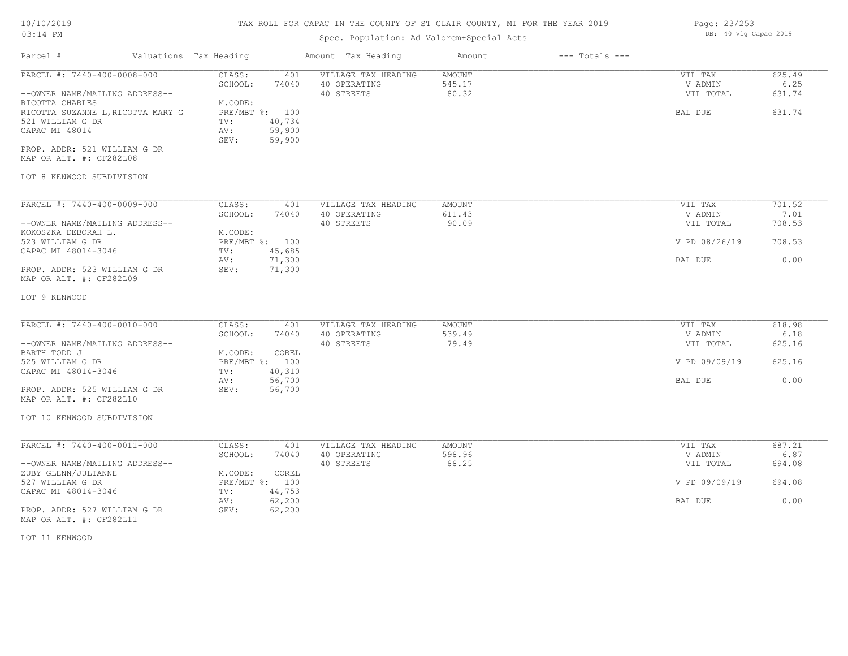### TAX ROLL FOR CAPAC IN THE COUNTY OF ST CLAIR COUNTY, MI FOR THE YEAR 2019 Page: 23/253

# Spec. Population: Ad Valorem+Special Acts

DB: 40 Vlg Capac 2019

| Parcel #                                                                                                                                                    | Valuations Tax Heading                                                                                             | Amount Tax Heading                                | Amount                    | $---$ Totals $---$ |                                            |                                    |
|-------------------------------------------------------------------------------------------------------------------------------------------------------------|--------------------------------------------------------------------------------------------------------------------|---------------------------------------------------|---------------------------|--------------------|--------------------------------------------|------------------------------------|
| PARCEL #: 7440-400-0008-000<br>--OWNER NAME/MAILING ADDRESS--<br>RICOTTA CHARLES<br>RICOTTA SUZANNE L, RICOTTA MARY G<br>521 WILLIAM G DR<br>CAPAC MI 48014 | CLASS:<br>401<br>SCHOOL:<br>74040<br>M.CODE:<br>PRE/MBT %: 100<br>40,734<br>TV:<br>59,900<br>AV:<br>59,900<br>SEV: | VILLAGE TAX HEADING<br>40 OPERATING<br>40 STREETS | AMOUNT<br>545.17<br>80.32 |                    | VIL TAX<br>V ADMIN<br>VIL TOTAL<br>BAL DUE | 625.49<br>6.25<br>631.74<br>631.74 |
| PROP. ADDR: 521 WILLIAM G DR<br>MAP OR ALT. #: CF282L08<br>LOT 8 KENWOOD SUBDIVISION                                                                        |                                                                                                                    |                                                   |                           |                    |                                            |                                    |
| PARCEL #: 7440-400-0009-000<br>--OWNER NAME/MAILING ADDRESS--                                                                                               | CLASS:<br>401<br>SCHOOL:<br>74040                                                                                  | VILLAGE TAX HEADING<br>40 OPERATING<br>40 STREETS | AMOUNT<br>611.43<br>90.09 |                    | VIL TAX<br>V ADMIN<br>VIL TOTAL            | 701.52<br>7.01<br>708.53           |
| KOKOSZKA DEBORAH L.<br>523 WILLIAM G DR                                                                                                                     | M.CODE:<br>PRE/MBT %: 100<br>45,685<br>TV:                                                                         |                                                   |                           |                    | V PD 08/26/19                              | 708.53                             |
| CAPAC MI 48014-3046<br>PROP. ADDR: 523 WILLIAM G DR<br>MAP OR ALT. #: CF282L09                                                                              | 71,300<br>AV:<br>SEV:<br>71,300                                                                                    |                                                   |                           | BAL DUE            | 0.00                                       |                                    |
| LOT 9 KENWOOD                                                                                                                                               |                                                                                                                    |                                                   |                           |                    |                                            |                                    |
| PARCEL #: 7440-400-0010-000                                                                                                                                 | CLASS:<br>401<br>SCHOOL:<br>74040                                                                                  | VILLAGE TAX HEADING<br>40 OPERATING               | AMOUNT<br>539.49          |                    | VIL TAX<br>V ADMIN                         | 618.98<br>6.18                     |
| --OWNER NAME/MAILING ADDRESS--<br>BARTH TODD J                                                                                                              | M.CODE:<br>COREL                                                                                                   | 40 STREETS                                        | 79.49                     | VIL TOTAL          | 625.16                                     |                                    |
| 525 WILLIAM G DR<br>CAPAC MI 48014-3046                                                                                                                     | PRE/MBT %: 100<br>40,310<br>TV:                                                                                    |                                                   |                           | V PD 09/09/19      | 625.16                                     |                                    |
| PROP. ADDR: 525 WILLIAM G DR<br>MAP OR ALT. #: CF282L10                                                                                                     | 56,700<br>AV:<br>SEV:<br>56,700                                                                                    |                                                   |                           | BAL DUE            | 0.00                                       |                                    |
| LOT 10 KENWOOD SUBDIVISION                                                                                                                                  |                                                                                                                    |                                                   |                           |                    |                                            |                                    |
| PARCEL #: 7440-400-0011-000<br>--OWNER NAME/MAILING ADDRESS--                                                                                               | CLASS:<br>401<br>SCHOOL:<br>74040                                                                                  | VILLAGE TAX HEADING<br>40 OPERATING<br>40 STREETS | AMOUNT<br>598.96<br>88.25 |                    | VIL TAX<br>V ADMIN<br>VIL TOTAL            | 687.21<br>6.87<br>694.08           |
| ZUBY GLENN/JULIANNE<br>527 WILLIAM G DR                                                                                                                     | COREL<br>M.CODE:<br>PRE/MBT %: 100                                                                                 |                                                   |                           |                    | V PD 09/09/19                              | 694.08                             |
| CAPAC MI 48014-3046<br>PROP. ADDR: 527 WILLIAM G DR                                                                                                         | 44,753<br>TV:<br>AV:<br>62,200<br>SEV:<br>62,200                                                                   |                                                   |                           |                    | BAL DUE                                    | 0.00                               |
| MAP OR ALT. #: CF282L11<br>LOT 11 KENWOOD                                                                                                                   |                                                                                                                    |                                                   |                           |                    |                                            |                                    |
|                                                                                                                                                             |                                                                                                                    |                                                   |                           |                    |                                            |                                    |
|                                                                                                                                                             |                                                                                                                    |                                                   |                           |                    |                                            |                                    |
|                                                                                                                                                             |                                                                                                                    |                                                   |                           |                    |                                            |                                    |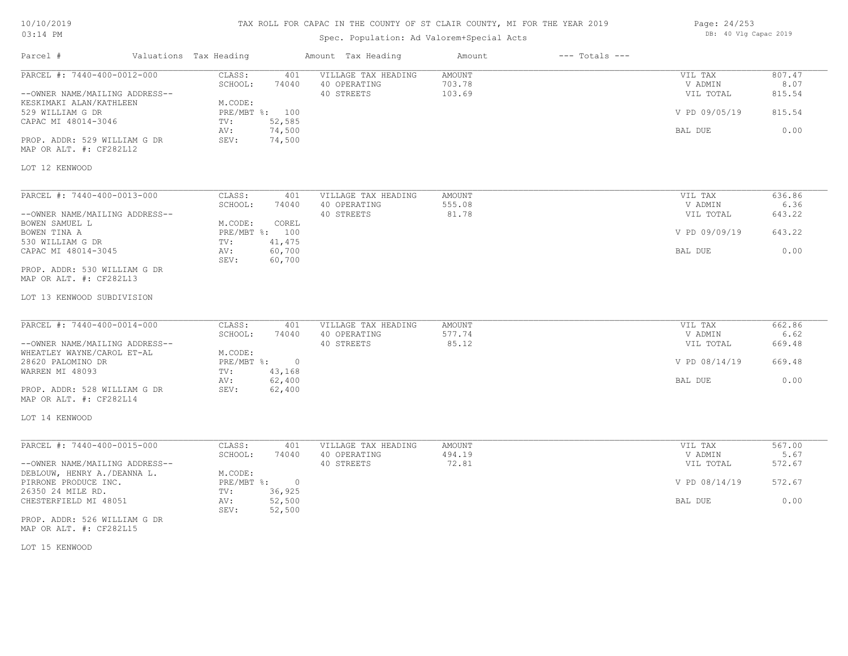## TAX ROLL FOR CAPAC IN THE COUNTY OF ST CLAIR COUNTY, MI FOR THE YEAR 2019

# Spec. Population: Ad Valorem+Special Acts

| Page: 24/253 |  |                       |  |
|--------------|--|-----------------------|--|
|              |  | DB: 40 Vlg Capac 2019 |  |

| Parcel #                                                                                                                                                                                                         | Valuations Tax Heading                             |                                                              | Amount Tax Heading                                | Amount                            | $---$ Totals $---$ |                                                             |                                            |
|------------------------------------------------------------------------------------------------------------------------------------------------------------------------------------------------------------------|----------------------------------------------------|--------------------------------------------------------------|---------------------------------------------------|-----------------------------------|--------------------|-------------------------------------------------------------|--------------------------------------------|
| PARCEL #: 7440-400-0012-000<br>--OWNER NAME/MAILING ADDRESS--<br>KESKIMAKI ALAN/KATHLEEN<br>529 WILLIAM G DR<br>CAPAC MI 48014-3046<br>PROP. ADDR: 529 WILLIAM G DR<br>MAP OR ALT. #: CF282L12<br>LOT 12 KENWOOD | CLASS:<br>SCHOOL:<br>M.CODE:<br>TV:<br>AV:<br>SEV: | 401<br>74040<br>PRE/MBT %: 100<br>52,585<br>74,500<br>74,500 | VILLAGE TAX HEADING<br>40 OPERATING<br>40 STREETS | <b>AMOUNT</b><br>703.78<br>103.69 |                    | VIL TAX<br>V ADMIN<br>VIL TOTAL<br>V PD 09/05/19<br>BAL DUE | 807.47<br>8.07<br>815.54<br>815.54<br>0.00 |
| PARCEL #: 7440-400-0013-000                                                                                                                                                                                      | CLASS:                                             | 401                                                          | VILLAGE TAX HEADING                               | AMOUNT                            |                    | VIL TAX                                                     | 636.86                                     |
| --OWNER NAME/MAILING ADDRESS--                                                                                                                                                                                   | SCHOOL:                                            | 74040                                                        | 40 OPERATING<br>40 STREETS                        | 555.08<br>81.78                   |                    | V ADMIN<br>VIL TOTAL                                        | 6.36<br>643.22                             |
| BOWEN SAMUEL L<br>BOWEN TINA A<br>530 WILLIAM G DR                                                                                                                                                               | M.CODE:<br>TV:                                     | COREL<br>PRE/MBT %: 100<br>41,475                            |                                                   |                                   |                    | V PD 09/09/19                                               | 643.22                                     |
| CAPAC MI 48014-3045                                                                                                                                                                                              | AV:<br>SEV:                                        | 60,700<br>60,700                                             |                                                   |                                   |                    | BAL DUE                                                     | 0.00                                       |
| PROP. ADDR: 530 WILLIAM G DR<br>MAP OR ALT. #: CF282L13                                                                                                                                                          |                                                    |                                                              |                                                   |                                   |                    |                                                             |                                            |
| LOT 13 KENWOOD SUBDIVISION                                                                                                                                                                                       |                                                    |                                                              |                                                   |                                   |                    |                                                             |                                            |
| PARCEL #: 7440-400-0014-000                                                                                                                                                                                      | CLASS:<br>SCHOOL:                                  | 401<br>74040                                                 | VILLAGE TAX HEADING<br>40 OPERATING               | AMOUNT<br>577.74                  |                    | VIL TAX<br>V ADMIN                                          | 662.86<br>6.62                             |
| --OWNER NAME/MAILING ADDRESS--<br>WHEATLEY WAYNE/CAROL ET-AL<br>28620 PALOMINO DR                                                                                                                                | M.CODE:<br>PRE/MBT %:                              | $\overline{0}$                                               | 40 STREETS                                        | 85.12                             |                    | VIL TOTAL<br>V PD 08/14/19                                  | 669.48<br>669.48                           |
| WARREN MI 48093                                                                                                                                                                                                  | TV:<br>AV:                                         | 43,168<br>62,400                                             |                                                   |                                   |                    | BAL DUE                                                     | 0.00                                       |
| PROP. ADDR: 528 WILLIAM G DR<br>MAP OR ALT. #: CF282L14                                                                                                                                                          | SEV:                                               | 62,400                                                       |                                                   |                                   |                    |                                                             |                                            |
| LOT 14 KENWOOD                                                                                                                                                                                                   |                                                    |                                                              |                                                   |                                   |                    |                                                             |                                            |
| PARCEL #: 7440-400-0015-000                                                                                                                                                                                      | CLASS:<br>SCHOOL:                                  | 401<br>74040                                                 | VILLAGE TAX HEADING<br>40 OPERATING               | AMOUNT<br>494.19                  |                    | VIL TAX<br>V ADMIN                                          | 567.00<br>5.67                             |
| --OWNER NAME/MAILING ADDRESS--<br>DEBLOUW, HENRY A./DEANNA L.                                                                                                                                                    | M.CODE:                                            |                                                              | 40 STREETS                                        | 72.81                             |                    | VIL TOTAL                                                   | 572.67                                     |
| PIRRONE PRODUCE INC.<br>26350 24 MILE RD.                                                                                                                                                                        | TV:                                                | PRE/MBT %: 0<br>36,925                                       |                                                   |                                   |                    | V PD 08/14/19                                               | 572.67                                     |
| CHESTERFIELD MI 48051                                                                                                                                                                                            | AV:<br>SEV:                                        | 52,500<br>52,500                                             |                                                   |                                   |                    | BAL DUE                                                     | 0.00                                       |
| PROP. ADDR: 526 WILLIAM G DR<br>MAP OR ALT. #: CF282L15                                                                                                                                                          |                                                    |                                                              |                                                   |                                   |                    |                                                             |                                            |

LOT 15 KENWOOD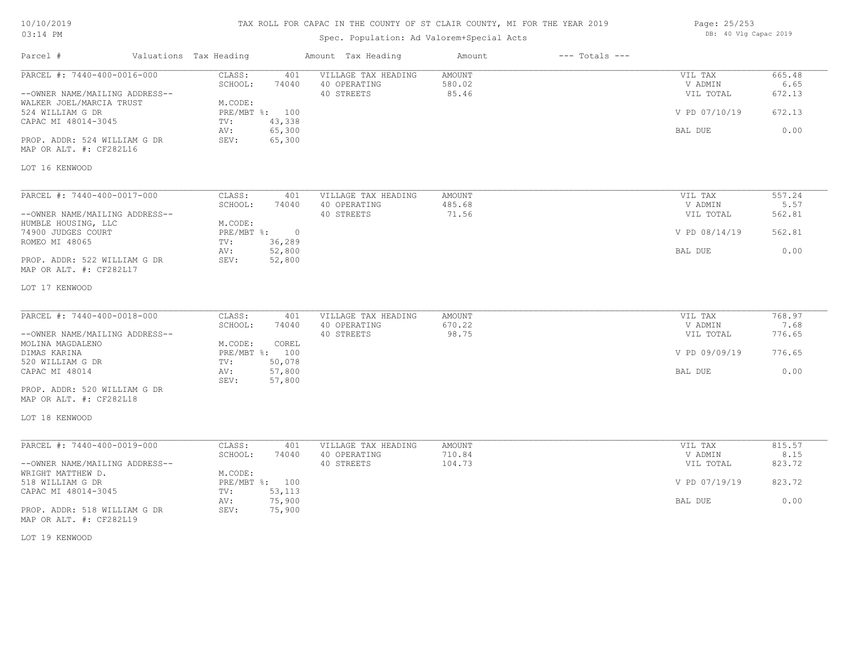# TAX ROLL FOR CAPAC IN THE COUNTY OF ST CLAIR COUNTY, MI FOR THE YEAR 2019

# Spec. Population: Ad Valorem+Special Acts

Parcel # Valuations Tax Heading Amount Tax Heading Amount --- Totals ---

| Page: 25/253 |  |                       |  |
|--------------|--|-----------------------|--|
|              |  | DB: 40 Vlg Capac 2019 |  |

| PARCEL #: 7440-400-0016-000                             | CLASS:<br>401<br>SCHOOL:<br>74040            | VILLAGE TAX HEADING<br>40 OPERATING | <b>AMOUNT</b><br>580.02 | VIL TAX<br>V ADMIN | 665.48<br>6.65 |
|---------------------------------------------------------|----------------------------------------------|-------------------------------------|-------------------------|--------------------|----------------|
| --OWNER NAME/MAILING ADDRESS--                          |                                              | 40 STREETS                          | 85.46                   | VIL TOTAL          | 672.13         |
| WALKER JOEL/MARCIA TRUST<br>524 WILLIAM G DR            | M.CODE:<br>PRE/MBT %: 100                    |                                     |                         | V PD 07/10/19      | 672.13         |
| CAPAC MI 48014-3045                                     | 43,338<br>TV:                                |                                     |                         |                    |                |
|                                                         | 65,300<br>AV:                                |                                     |                         | BAL DUE            | 0.00           |
| PROP. ADDR: 524 WILLIAM G DR<br>MAP OR ALT. #: CF282L16 | SEV:<br>65,300                               |                                     |                         |                    |                |
| LOT 16 KENWOOD                                          |                                              |                                     |                         |                    |                |
| PARCEL #: 7440-400-0017-000                             | CLASS:<br>401                                | VILLAGE TAX HEADING                 | AMOUNT                  | VIL TAX            | 557.24         |
|                                                         | SCHOOL:<br>74040                             | 40 OPERATING                        | 485.68                  | V ADMIN            | 5.57           |
| --OWNER NAME/MAILING ADDRESS--                          |                                              | 40 STREETS                          | 71.56                   | VIL TOTAL          | 562.81         |
| HUMBLE HOUSING, LLC                                     | M.CODE:                                      |                                     |                         |                    |                |
| 74900 JUDGES COURT<br>ROMEO MI 48065                    | $PRE/MBT$ $\div$<br>$\circ$<br>36,289<br>TV: |                                     |                         | V PD 08/14/19      | 562.81         |
|                                                         | 52,800<br>AV:                                |                                     |                         | BAL DUE            | 0.00           |
| PROP. ADDR: 522 WILLIAM G DR<br>MAP OR ALT. #: CF282L17 | 52,800<br>SEV:                               |                                     |                         |                    |                |
| LOT 17 KENWOOD                                          |                                              |                                     |                         |                    |                |
| PARCEL #: 7440-400-0018-000                             | CLASS:<br>401                                | VILLAGE TAX HEADING                 | <b>AMOUNT</b>           | VIL TAX            | 768.97         |
|                                                         | SCHOOL:<br>74040                             | 40 OPERATING                        | 670.22                  | V ADMIN            | 7.68           |
| --OWNER NAME/MAILING ADDRESS--                          |                                              | 40 STREETS                          | 98.75                   | VIL TOTAL          | 776.65         |
| MOLINA MAGDALENO                                        | M.CODE:<br>COREL                             |                                     |                         |                    |                |
| DIMAS KARINA<br>520 WILLIAM G DR                        | PRE/MBT %: 100<br>50,078<br>TV:              |                                     |                         | V PD 09/09/19      | 776.65         |
| CAPAC MI 48014                                          | 57,800<br>AV:                                |                                     |                         | BAL DUE            | 0.00           |
|                                                         | 57,800<br>SEV:                               |                                     |                         |                    |                |
| PROP. ADDR: 520 WILLIAM G DR<br>MAP OR ALT. #: CF282L18 |                                              |                                     |                         |                    |                |
| LOT 18 KENWOOD                                          |                                              |                                     |                         |                    |                |
| PARCEL #: 7440-400-0019-000                             | CLASS:<br>401                                | VILLAGE TAX HEADING                 | <b>AMOUNT</b>           | VIL TAX            | 815.57         |
|                                                         | SCHOOL:<br>74040                             | 40 OPERATING                        | 710.84                  | V ADMIN            | 8.15           |
| --OWNER NAME/MAILING ADDRESS--                          |                                              | 40 STREETS                          | 104.73                  | VIL TOTAL          | 823.72         |
| WRIGHT MATTHEW D.<br>518 WILLIAM G DR                   | M.CODE:<br>PRE/MBT %: 100                    |                                     |                         | V PD 07/19/19      | 823.72         |
| CAPAC MI 48014-3045                                     | TV:<br>53,113                                |                                     |                         |                    |                |
|                                                         | 75,900<br>AV:                                |                                     |                         | BAL DUE            | 0.00           |
| PROP. ADDR: 518 WILLIAM G DR<br>MAP OR ALT. #: CF282L19 | SEV:<br>75,900                               |                                     |                         |                    |                |

LOT 19 KENWOOD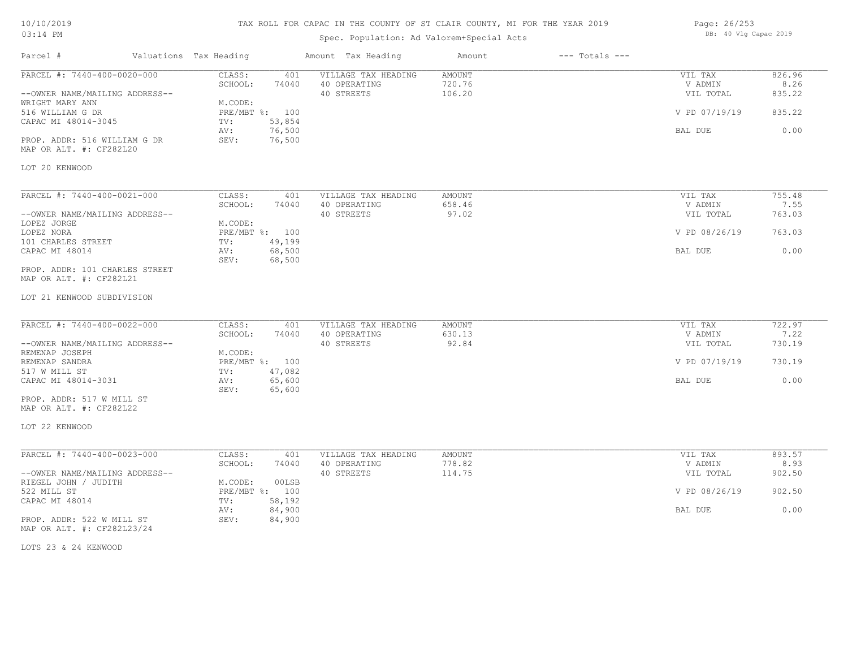## TAX ROLL FOR CAPAC IN THE COUNTY OF ST CLAIR COUNTY, MI FOR THE YEAR 2019

# Spec. Population: Ad Valorem+Special Acts

| Page: 26/253 |  |                       |  |
|--------------|--|-----------------------|--|
|              |  | DB: 40 Vlg Capac 2019 |  |

| Parcel #                                                                                                                                                                               | Valuations Tax Heading                             |                                                              | Amount Tax Heading                                | Amount                            | $---$ Totals $---$ |                                                             |                                            |
|----------------------------------------------------------------------------------------------------------------------------------------------------------------------------------------|----------------------------------------------------|--------------------------------------------------------------|---------------------------------------------------|-----------------------------------|--------------------|-------------------------------------------------------------|--------------------------------------------|
| PARCEL #: 7440-400-0020-000<br>--OWNER NAME/MAILING ADDRESS--<br>WRIGHT MARY ANN<br>516 WILLIAM G DR<br>CAPAC MI 48014-3045<br>PROP. ADDR: 516 WILLIAM G DR<br>MAP OR ALT. #: CF282L20 | CLASS:<br>SCHOOL:<br>M.CODE:<br>TV:<br>AV:<br>SEV: | 401<br>74040<br>PRE/MBT %: 100<br>53,854<br>76,500<br>76,500 | VILLAGE TAX HEADING<br>40 OPERATING<br>40 STREETS | <b>AMOUNT</b><br>720.76<br>106.20 |                    | VIL TAX<br>V ADMIN<br>VIL TOTAL<br>V PD 07/19/19<br>BAL DUE | 826.96<br>8.26<br>835.22<br>835.22<br>0.00 |
| LOT 20 KENWOOD                                                                                                                                                                         |                                                    |                                                              |                                                   |                                   |                    |                                                             |                                            |
| PARCEL #: 7440-400-0021-000<br>--OWNER NAME/MAILING ADDRESS--<br>LOPEZ JORGE<br>LOPEZ NORA                                                                                             | CLASS:<br>SCHOOL:<br>M.CODE:                       | 401<br>74040<br>PRE/MBT %: 100                               | VILLAGE TAX HEADING<br>40 OPERATING<br>40 STREETS | <b>AMOUNT</b><br>658.46<br>97.02  |                    | VIL TAX<br>V ADMIN<br>VIL TOTAL<br>V PD 08/26/19            | 755.48<br>7.55<br>763.03<br>763.03         |
| 101 CHARLES STREET<br>CAPAC MI 48014<br>PROP. ADDR: 101 CHARLES STREET<br>MAP OR ALT. #: CF282L21                                                                                      | TV:<br>AV:<br>SEV:                                 | 49,199<br>68,500<br>68,500                                   |                                                   |                                   |                    | BAL DUE                                                     | 0.00                                       |
| LOT 21 KENWOOD SUBDIVISION                                                                                                                                                             |                                                    |                                                              |                                                   |                                   |                    |                                                             |                                            |
| PARCEL #: 7440-400-0022-000<br>--OWNER NAME/MAILING ADDRESS--<br>REMENAP JOSEPH                                                                                                        | CLASS:<br>SCHOOL:<br>M.CODE:                       | 401<br>74040                                                 | VILLAGE TAX HEADING<br>40 OPERATING<br>40 STREETS | <b>AMOUNT</b><br>630.13<br>92.84  |                    | VIL TAX<br>V ADMIN<br>VIL TOTAL                             | 722.97<br>7.22<br>730.19                   |
| REMENAP SANDRA<br>517 W MILL ST<br>CAPAC MI 48014-3031<br>PROP. ADDR: 517 W MILL ST                                                                                                    | TV:<br>AV:<br>SEV:                                 | PRE/MBT %: 100<br>47,082<br>65,600<br>65,600                 |                                                   |                                   |                    | V PD 07/19/19<br>BAL DUE                                    | 730.19<br>0.00                             |
| MAP OR ALT. #: CF282L22                                                                                                                                                                |                                                    |                                                              |                                                   |                                   |                    |                                                             |                                            |
| LOT 22 KENWOOD                                                                                                                                                                         |                                                    |                                                              |                                                   |                                   |                    |                                                             |                                            |
| PARCEL #: 7440-400-0023-000<br>--OWNER NAME/MAILING ADDRESS--<br>RIEGEL JOHN / JUDITH                                                                                                  | CLASS:<br>SCHOOL:<br>M.CODE:                       | 401<br>74040<br>00LSB                                        | VILLAGE TAX HEADING<br>40 OPERATING<br>40 STREETS | <b>AMOUNT</b><br>778.82<br>114.75 |                    | VIL TAX<br>V ADMIN<br>VIL TOTAL                             | 893.57<br>8.93<br>902.50                   |
| 522 MILL ST<br>CAPAC MI 48014                                                                                                                                                          | TV:                                                | PRE/MBT %: 100<br>58,192                                     |                                                   |                                   |                    | V PD 08/26/19                                               | 902.50                                     |
| PROP. ADDR: 522 W MILL ST<br>MAP OR ALT. #: CF282L23/24                                                                                                                                | AV:<br>SEV:                                        | 84,900<br>84,900                                             |                                                   |                                   |                    | BAL DUE                                                     | 0.00                                       |

LOTS 23 & 24 KENWOOD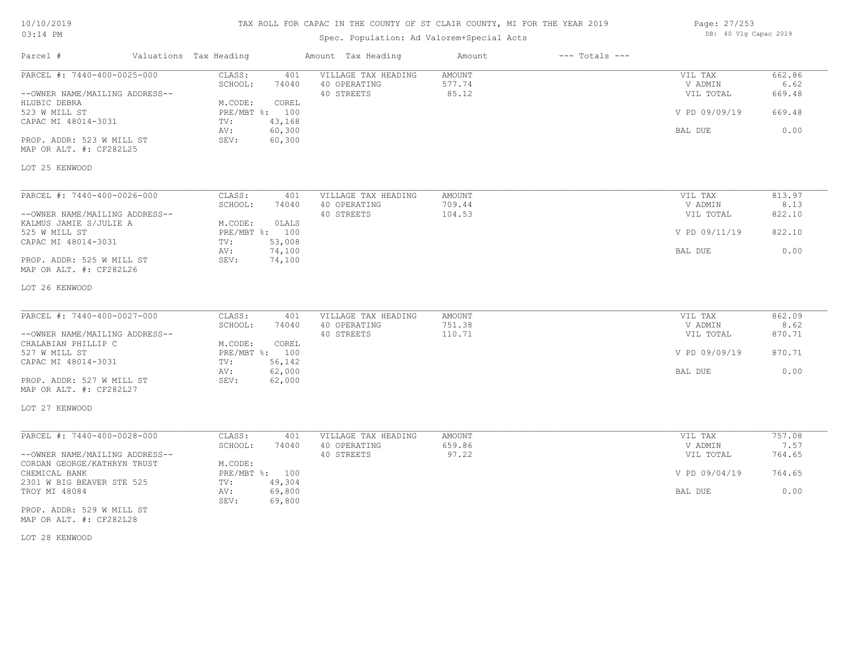## TAX ROLL FOR CAPAC IN THE COUNTY OF ST CLAIR COUNTY, MI FOR THE YEAR 2019

# Spec. Population: Ad Valorem+Special Acts

Parcel # Valuations Tax Heading Amount Tax Heading Amount --- Totals ---

| Page: 27/253 |  |                       |  |
|--------------|--|-----------------------|--|
|              |  | DB: 40 Vlg Capac 2019 |  |

| PARCEL #: 7440-400-0025-000                          | CLASS:<br>401<br>SCHOOL:<br>74040 | VILLAGE TAX HEADING<br>40 OPERATING | AMOUNT<br>577.74 | VIL TAX<br>V ADMIN | 662.86<br>6.62 |
|------------------------------------------------------|-----------------------------------|-------------------------------------|------------------|--------------------|----------------|
| --OWNER NAME/MAILING ADDRESS--<br>HLUBIC DEBRA       | M.CODE:<br>COREL                  | 40 STREETS                          | 85.12            | VIL TOTAL          | 669.48         |
| 523 W MILL ST                                        | PRE/MBT %: 100                    |                                     |                  | V PD 09/09/19      | 669.48         |
| CAPAC MI 48014-3031                                  | 43,168<br>TV:                     |                                     |                  |                    |                |
|                                                      | AV:<br>60,300                     |                                     |                  | BAL DUE            | 0.00           |
| PROP. ADDR: 523 W MILL ST<br>MAP OR ALT. #: CF282L25 | 60,300<br>SEV:                    |                                     |                  |                    |                |
| LOT 25 KENWOOD                                       |                                   |                                     |                  |                    |                |
| PARCEL #: 7440-400-0026-000                          | CLASS:<br>401                     | VILLAGE TAX HEADING                 | AMOUNT           | VIL TAX            | 813.97         |
|                                                      | SCHOOL:<br>74040                  | 40 OPERATING                        | 709.44           | V ADMIN            | 8.13           |
| --OWNER NAME/MAILING ADDRESS--                       |                                   | 40 STREETS                          | 104.53           | VIL TOTAL          | 822.10         |
| KALMUS JAMIE S/JULIE A                               | M.CODE:<br>OLALS                  |                                     |                  |                    |                |
| 525 W MILL ST                                        | PRE/MBT %: 100                    |                                     |                  | V PD 09/11/19      | 822.10         |
| CAPAC MI 48014-3031                                  | 53,008<br>TV:<br>AV:<br>74,100    |                                     |                  | BAL DUE            | 0.00           |
| PROP. ADDR: 525 W MILL ST<br>MAP OR ALT. #: CF282L26 | 74,100<br>SEV:                    |                                     |                  |                    |                |
| LOT 26 KENWOOD                                       |                                   |                                     |                  |                    |                |
| PARCEL #: 7440-400-0027-000                          | CLASS:<br>401                     | VILLAGE TAX HEADING                 | <b>AMOUNT</b>    | VIL TAX            | 862.09         |
|                                                      | SCHOOL:<br>74040                  | 40 OPERATING                        | 751.38           | V ADMIN            | 8.62           |
| --OWNER NAME/MAILING ADDRESS--                       |                                   | 40 STREETS                          | 110.71           | VIL TOTAL          | 870.71         |
| CHALABIAN PHILLIP C                                  | COREL<br>M.CODE:                  |                                     |                  |                    |                |
| 527 W MILL ST                                        | PRE/MBT %: 100                    |                                     |                  | V PD 09/09/19      | 870.71         |
| CAPAC MI 48014-3031                                  | 56,142<br>TV:                     |                                     |                  |                    |                |
|                                                      | 62,000<br>AV:                     |                                     |                  | BAL DUE            | 0.00           |
| PROP. ADDR: 527 W MILL ST<br>MAP OR ALT. #: CF282L27 | 62,000<br>SEV:                    |                                     |                  |                    |                |
| LOT 27 KENWOOD                                       |                                   |                                     |                  |                    |                |
| PARCEL #: 7440-400-0028-000                          | CLASS:<br>401                     | VILLAGE TAX HEADING                 | AMOUNT           | VIL TAX            | 757.08         |
|                                                      | SCHOOL:<br>74040                  | 40 OPERATING                        | 659.86           | V ADMIN            | 7.57           |
| --OWNER NAME/MAILING ADDRESS--                       |                                   | 40 STREETS                          | 97.22            | VIL TOTAL          | 764.65         |
| CORDAN GEORGE/KATHRYN TRUST                          | M.CODE:                           |                                     |                  |                    |                |
| CHEMICAL BANK<br>2301 W BIG BEAVER STE 525           | PRE/MBT %: 100<br>49,304<br>TV:   |                                     |                  | V PD 09/04/19      | 764.65         |
| TROY MI 48084                                        | 69,800<br>AV:                     |                                     |                  | BAL DUE            | 0.00           |
|                                                      | SEV:<br>69,800                    |                                     |                  |                    |                |
| PROP. ADDR: 529 W MILL ST                            |                                   |                                     |                  |                    |                |

MAP OR ALT. #: CF282L28

LOT 28 KENWOOD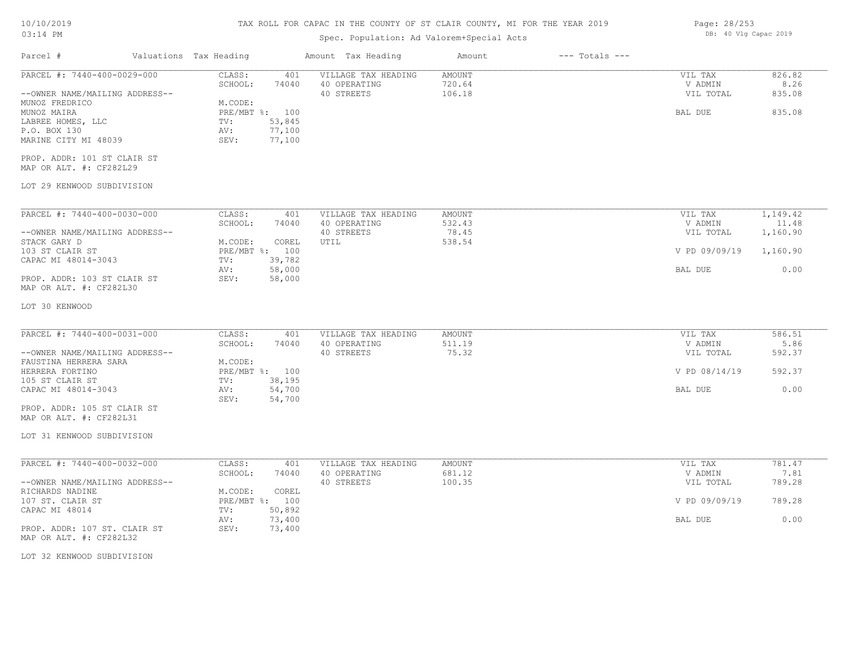# TAX ROLL FOR CAPAC IN THE COUNTY OF ST CLAIR COUNTY, MI FOR THE YEAR 2019

# Spec. Population: Ad Valorem+Special Acts

| Parcel #                                                                                   | Valuations Tax Heading        |                                              | Amount Tax Heading                                | Amount                            | $---$ Totals $---$ |                                 |                               |
|--------------------------------------------------------------------------------------------|-------------------------------|----------------------------------------------|---------------------------------------------------|-----------------------------------|--------------------|---------------------------------|-------------------------------|
| PARCEL #: 7440-400-0029-000<br>--OWNER NAME/MAILING ADDRESS--                              | CLASS:<br>SCHOOL:             | 401<br>74040                                 | VILLAGE TAX HEADING<br>40 OPERATING<br>40 STREETS | <b>AMOUNT</b><br>720.64<br>106.18 |                    | VIL TAX<br>V ADMIN<br>VIL TOTAL | 826.82<br>8.26<br>835.08      |
| MUNOZ FREDRICO<br>MUNOZ MAIRA<br>LABREE HOMES, LLC<br>P.O. BOX 130<br>MARINE CITY MI 48039 | M.CODE:<br>TV:<br>AV:<br>SEV: | PRE/MBT %: 100<br>53,845<br>77,100<br>77,100 |                                                   |                                   |                    | BAL DUE                         | 835.08                        |
| PROP. ADDR: 101 ST CLAIR ST<br>MAP OR ALT. #: CF282L29                                     |                               |                                              |                                                   |                                   |                    |                                 |                               |
| LOT 29 KENWOOD SUBDIVISION                                                                 |                               |                                              |                                                   |                                   |                    |                                 |                               |
| PARCEL #: 7440-400-0030-000<br>--OWNER NAME/MAILING ADDRESS--                              | CLASS:<br>SCHOOL:             | 401<br>74040                                 | VILLAGE TAX HEADING<br>40 OPERATING<br>40 STREETS | AMOUNT<br>532.43<br>78.45         |                    | VIL TAX<br>V ADMIN<br>VIL TOTAL | 1,149.42<br>11.48<br>1,160.90 |
| STACK GARY D<br>103 ST CLAIR ST<br>CAPAC MI 48014-3043                                     | M.CODE:<br>TV:                | COREL<br>PRE/MBT %: 100<br>39,782            | UTIL                                              | 538.54                            |                    | V PD 09/09/19                   | 1,160.90                      |
| PROP. ADDR: 103 ST CLAIR ST<br>MAP OR ALT. #: CF282L30                                     | AV:<br>SEV:                   | 58,000<br>58,000                             |                                                   |                                   |                    | BAL DUE                         | 0.00                          |
| LOT 30 KENWOOD                                                                             |                               |                                              |                                                   |                                   |                    |                                 |                               |
| PARCEL #: 7440-400-0031-000                                                                | CLASS:                        | 401                                          | VILLAGE TAX HEADING                               | AMOUNT                            |                    | VIL TAX                         | 586.51<br>5.86                |
| --OWNER NAME/MAILING ADDRESS--<br>FAUSTINA HERRERA SARA                                    | SCHOOL:<br>M.CODE:            | 74040                                        | 40 OPERATING<br>40 STREETS                        | 511.19<br>75.32                   |                    | V ADMIN<br>VIL TOTAL            | 592.37                        |
| HERRERA FORTINO<br>105 ST CLAIR ST                                                         | TV:                           | PRE/MBT %: 100<br>38,195                     |                                                   |                                   |                    | V PD 08/14/19                   | 592.37                        |
| CAPAC MI 48014-3043<br>PROP. ADDR: 105 ST CLAIR ST                                         | AV:<br>SEV:                   | 54,700<br>54,700                             |                                                   |                                   |                    | BAL DUE                         | 0.00                          |
| MAP OR ALT. #: CF282L31                                                                    |                               |                                              |                                                   |                                   |                    |                                 |                               |
| LOT 31 KENWOOD SUBDIVISION                                                                 |                               |                                              |                                                   |                                   |                    |                                 |                               |
| PARCEL #: 7440-400-0032-000                                                                | CLASS:<br>SCHOOL:             | 401<br>74040                                 | VILLAGE TAX HEADING<br>40 OPERATING               | AMOUNT<br>681.12                  |                    | VIL TAX<br>V ADMIN              | 781.47<br>7.81                |
| --OWNER NAME/MAILING ADDRESS--<br>RICHARDS NADINE                                          | M.CODE:                       | COREL                                        | 40 STREETS                                        | 100.35                            |                    | VIL TOTAL                       | 789.28                        |
| 107 ST. CLAIR ST<br>CAPAC MI 48014                                                         | TV:                           | PRE/MBT %: 100<br>50,892                     |                                                   |                                   |                    | V PD 09/09/19                   | 789.28                        |
| PROP. ADDR: 107 ST. CLAIR ST<br>MAP OR ALT. #: CF282L32                                    | AV:<br>SEV:                   | 73,400<br>73,400                             |                                                   |                                   |                    | BAL DUE                         | 0.00                          |
| LOT 32 KENWOOD SUBDIVISION                                                                 |                               |                                              |                                                   |                                   |                    |                                 |                               |

Page: 28/253 DB: 40 Vlg Capac 2019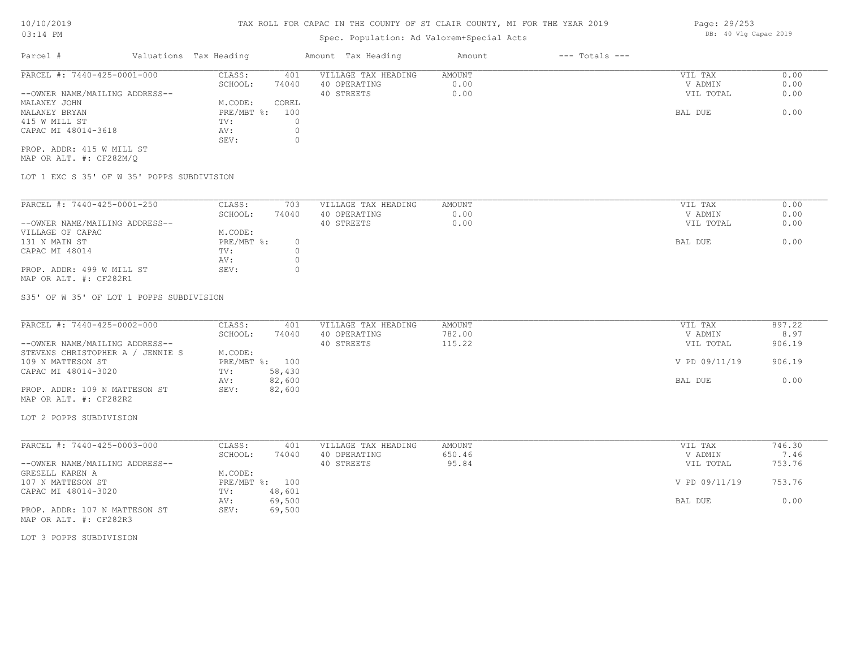# Spec. Population: Ad Valorem+Special Acts

| Parcel #                       | Valuations Tax Heading |       | Amount Tax Heading  | Amount | $---$ Totals $---$ |           |      |
|--------------------------------|------------------------|-------|---------------------|--------|--------------------|-----------|------|
| PARCEL #: 7440-425-0001-000    | CLASS:                 | 401   | VILLAGE TAX HEADING | AMOUNT |                    | VIL TAX   | 0.00 |
|                                | SCHOOL:                | 74040 | 40 OPERATING        | 0.00   |                    | V ADMIN   | 0.00 |
| --OWNER NAME/MAILING ADDRESS-- |                        |       | 40 STREETS          | 0.00   |                    | VIL TOTAL | 0.00 |
| MALANEY JOHN                   | M.CODE:                | COREL |                     |        |                    |           |      |
| MALANEY BRYAN                  | $PRE/MBT$ %:           | 100   |                     |        |                    | BAL DUE   | 0.00 |
| 415 W MILL ST                  | TV:                    |       |                     |        |                    |           |      |
| CAPAC MI 48014-3618            | AV:                    |       |                     |        |                    |           |      |
|                                | SEV:                   |       |                     |        |                    |           |      |
| PROP. ADDR: 415 W MILL ST      |                        |       |                     |        |                    |           |      |

MAP OR ALT. #: CF282M/Q

LOT 1 EXC S 35' OF W 35' POPPS SUBDIVISION

| PARCEL #: 7440-425-0001-250    | CLASS:     | 703   | VILLAGE TAX HEADING | AMOUNT | VIL TAX<br>0.00   |
|--------------------------------|------------|-------|---------------------|--------|-------------------|
|                                | SCHOOL:    | 74040 | 40 OPERATING        | 0.00   | 0.00<br>V ADMIN   |
| --OWNER NAME/MAILING ADDRESS-- |            |       | 40 STREETS          | 0.00   | 0.00<br>VIL TOTAL |
| VILLAGE OF CAPAC               | M.CODE:    |       |                     |        |                   |
| 131 N MAIN ST                  | PRE/MBT %: |       |                     |        | 0.00<br>BAL DUE   |
| CAPAC MI 48014                 | TV:        |       |                     |        |                   |
|                                | AV:        |       |                     |        |                   |
| PROP. ADDR: 499 W MILL ST      | SEV:       |       |                     |        |                   |
| MAP OR ALT. #: CF282R1         |            |       |                     |        |                   |

S35' OF W 35' OF LOT 1 POPPS SUBDIVISION

| PARCEL #: 7440-425-0002-000      | CLASS:         | 401    | VILLAGE TAX HEADING | AMOUNT | VIL TAX       | 897.22 |
|----------------------------------|----------------|--------|---------------------|--------|---------------|--------|
|                                  | SCHOOL:        | 74040  | 40 OPERATING        | 782.00 | V ADMIN       | 8.97   |
| --OWNER NAME/MAILING ADDRESS--   |                |        | 40 STREETS          | 115.22 | VIL TOTAL     | 906.19 |
| STEVENS CHRISTOPHER A / JENNIE S | M.CODE:        |        |                     |        |               |        |
| 109 N MATTESON ST                | PRE/MBT %: 100 |        |                     |        | V PD 09/11/19 | 906.19 |
| CAPAC MI 48014-3020              | TV:            | 58,430 |                     |        |               |        |
|                                  | AV:            | 82,600 |                     |        | BAL DUE       | 0.00   |
| PROP. ADDR: 109 N MATTESON ST    | SEV:           | 82,600 |                     |        |               |        |
| MAP OR ALT. #: CF282R2           |                |        |                     |        |               |        |

LOT 2 POPPS SUBDIVISION

| PARCEL #: 7440-425-0003-000    | CLASS:     | 401    | VILLAGE TAX HEADING | AMOUNT | VIL TAX       | 746.30 |
|--------------------------------|------------|--------|---------------------|--------|---------------|--------|
|                                | SCHOOL:    | 74040  | 40 OPERATING        | 650.46 | V ADMIN       | 7.46   |
| --OWNER NAME/MAILING ADDRESS-- |            |        | 40 STREETS          | 95.84  | VIL TOTAL     | 753.76 |
| GRESELL KAREN A                | M.CODE:    |        |                     |        |               |        |
| 107 N MATTESON ST              | PRE/MBT %: | 100    |                     |        | V PD 09/11/19 | 753.76 |
| CAPAC MI 48014-3020            | TV:        | 48,601 |                     |        |               |        |
|                                | AV:        | 69,500 |                     |        | BAL DUE       | 0.00   |
| PROP. ADDR: 107 N MATTESON ST  | SEV:       | 69,500 |                     |        |               |        |
| MAP OR ALT. #: CF282R3         |            |        |                     |        |               |        |

LOT 3 POPPS SUBDIVISION

Page: 29/253 DB: 40 Vlg Capac 2019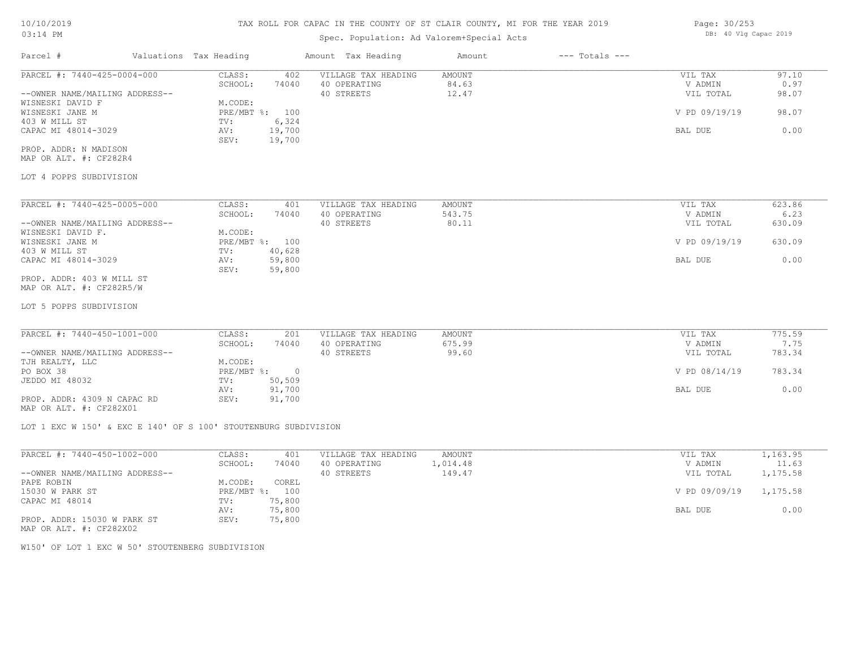## Spec. Population: Ad Valorem+Special Acts

| Parcel #                       | Valuations Tax Heading |        | Amount Tax Heading  | Amount | $---$ Totals $---$ |               |       |
|--------------------------------|------------------------|--------|---------------------|--------|--------------------|---------------|-------|
| PARCEL #: 7440-425-0004-000    | CLASS:                 | 402    | VILLAGE TAX HEADING | AMOUNT |                    | VIL TAX       | 97.10 |
|                                | SCHOOL:                | 74040  | 40 OPERATING        | 84.63  |                    | V ADMIN       | 0.97  |
| --OWNER NAME/MAILING ADDRESS-- |                        |        | 40 STREETS          | 12.47  |                    | VIL TOTAL     | 98.07 |
| WISNESKI DAVID F               | M.CODE:                |        |                     |        |                    |               |       |
| WISNESKI JANE M                | $PRE/MBT$ %:           | 100    |                     |        |                    | V PD 09/19/19 | 98.07 |
| 403 W MILL ST                  | TV:                    | 6,324  |                     |        |                    |               |       |
| CAPAC MI 48014-3029            | AV:                    | 19,700 |                     |        |                    | BAL DUE       | 0.00  |
|                                | SEV:                   | 19,700 |                     |        |                    |               |       |
| PROP. ADDR: N MADISON          |                        |        |                     |        |                    |               |       |

MAP OR ALT. #: CF282R4

## LOT 4 POPPS SUBDIVISION

| PARCEL #: 7440-425-0005-000    | CLASS:       | 401    | VILLAGE TAX HEADING | AMOUNT | VIL TAX       | 623.86 |
|--------------------------------|--------------|--------|---------------------|--------|---------------|--------|
|                                | SCHOOL:      | 74040  | 40 OPERATING        | 543.75 | V ADMIN       | 6.23   |
| --OWNER NAME/MAILING ADDRESS-- |              |        | 40 STREETS          | 80.11  | VIL TOTAL     | 630.09 |
| WISNESKI DAVID F.              | M.CODE:      |        |                     |        |               |        |
| WISNESKI JANE M                | $PRE/MBT$ %: | 100    |                     |        | V PD 09/19/19 | 630.09 |
| 403 W MILL ST                  | TV:          | 40,628 |                     |        |               |        |
| CAPAC MI 48014-3029            | AV:          | 59,800 |                     |        | BAL DUE       | 0.00   |
|                                | SEV:         | 59,800 |                     |        |               |        |
| PROP. ADDR: 403 W MILL ST      |              |        |                     |        |               |        |

MAP OR ALT. #: CF282R5/W

LOT 5 POPPS SUBDIVISION

| PARCEL #: 7440-450-1001-000    | CLASS:     | 201    | VILLAGE TAX HEADING | AMOUNT | VIL TAX       | 775.59 |
|--------------------------------|------------|--------|---------------------|--------|---------------|--------|
|                                | SCHOOL:    | 74040  | 40 OPERATING        | 675.99 | V ADMIN       | 7.75   |
| --OWNER NAME/MAILING ADDRESS-- |            |        | 40 STREETS          | 99.60  | VIL TOTAL     | 783.34 |
| TJH REALTY, LLC                | M.CODE:    |        |                     |        |               |        |
| PO BOX 38                      | PRE/MBT %: |        |                     |        | V PD 08/14/19 | 783.34 |
| JEDDO MI 48032                 | TV:        | 50,509 |                     |        |               |        |
|                                | AV:        | 91,700 |                     |        | BAL DUE       | 0.00   |
| PROP. ADDR: 4309 N CAPAC RD    | SEV:       | 91,700 |                     |        |               |        |

MAP OR ALT. #: CF282X01

LOT 1 EXC W 150' & EXC E 140' OF S 100' STOUTENBURG SUBDIVISION

| PARCEL #: 7440-450-1002-000    | CLASS:       | 401    | VILLAGE TAX HEADING | AMOUNT   | VIL TAX       | 1,163.95 |
|--------------------------------|--------------|--------|---------------------|----------|---------------|----------|
|                                | SCHOOL:      | 74040  | 40 OPERATING        | 1,014.48 | V ADMIN       | 11.63    |
| --OWNER NAME/MAILING ADDRESS-- |              |        | 40 STREETS          | 149.47   | VIL TOTAL     | 1,175.58 |
| PAPE ROBIN                     | M.CODE:      | COREL  |                     |          |               |          |
| 15030 W PARK ST                | $PRE/MBT$ %: | 100    |                     |          | V PD 09/09/19 | 1,175.58 |
| CAPAC MI 48014                 | TV:          | 75,800 |                     |          |               |          |
|                                | AV:          | 75,800 |                     |          | BAL DUE       | 0.00     |
| PROP. ADDR: 15030 W PARK ST    | SEV:         | 75,800 |                     |          |               |          |
|                                |              |        |                     |          |               |          |

MAP OR ALT. #: CF282X02

W150' OF LOT 1 EXC W 50' STOUTENBERG SUBDIVISION

Page: 30/253 DB: 40 Vlg Capac 2019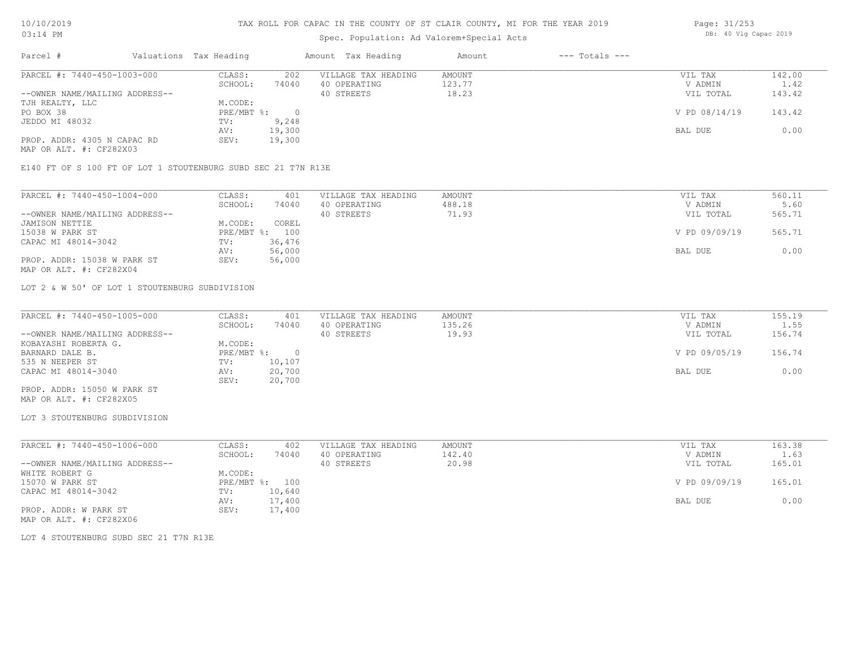# Spec. Population: Ad Valorem+Special Acts

| Page: 31/253 |  |                       |  |
|--------------|--|-----------------------|--|
|              |  | DB: 40 Vlg Capac 2019 |  |

| Parcel #                       | Valuations Tax Heading |        | Amount Tax Heading  | Amount | $---$ Totals $---$ |               |        |
|--------------------------------|------------------------|--------|---------------------|--------|--------------------|---------------|--------|
| PARCEL #: 7440-450-1003-000    | CLASS:                 | 202    | VILLAGE TAX HEADING | AMOUNT |                    | VIL TAX       | 142.00 |
|                                | SCHOOL:                | 74040  | 40 OPERATING        | 123.77 |                    | V ADMIN       | 1.42   |
| --OWNER NAME/MAILING ADDRESS-- |                        |        | 40 STREETS          | 18.23  |                    | VIL TOTAL     | 143.42 |
| TJH REALTY, LLC                | M.CODE:                |        |                     |        |                    |               |        |
| PO BOX 38                      | $PRE/MBT$ %:           |        |                     |        |                    | V PD 08/14/19 | 143.42 |
| JEDDO MI 48032                 | TV:                    | 9,248  |                     |        |                    |               |        |
|                                | AV:                    | 19,300 |                     |        |                    | BAL DUE       | 0.00   |
| PROP. ADDR: 4305 N CAPAC RD    | SEV:                   | 19,300 |                     |        |                    |               |        |
| MAP OR ALT. #: CF282X03        |                        |        |                     |        |                    |               |        |

E140 FT OF S 100 FT OF LOT 1 STOUTENBURG SUBD SEC 21 T7N R13E

| PARCEL #: 7440-450-1004-000    | CLASS:  | 401            | VILLAGE TAX HEADING | AMOUNT | VIL TAX       | 560.11 |
|--------------------------------|---------|----------------|---------------------|--------|---------------|--------|
|                                | SCHOOL: | 74040          | 40 OPERATING        | 488.18 | V ADMIN       | 5.60   |
| --OWNER NAME/MAILING ADDRESS-- |         |                | 40 STREETS          | 71.93  | VIL TOTAL     | 565.71 |
| JAMISON NETTIE                 | M.CODE: | COREL          |                     |        |               |        |
| 15038 W PARK ST                |         | PRE/MBT %: 100 |                     |        | V PD 09/09/19 | 565.71 |
| CAPAC MI 48014-3042            | TV:     | 36,476         |                     |        |               |        |
|                                | AV:     | 56,000         |                     |        | BAL DUE       | 0.00   |
| PROP. ADDR: 15038 W PARK ST    | SEV:    | 56,000         |                     |        |               |        |
| MAP OR ALT. #: CF282X04        |         |                |                     |        |               |        |

LOT 2 & W 50' OF LOT 1 STOUTENBURG SUBDIVISION

| PARCEL #: 7440-450-1005-000    | CLASS:     | 401    | VILLAGE TAX HEADING | AMOUNT | VIL TAX       | 155.19 |
|--------------------------------|------------|--------|---------------------|--------|---------------|--------|
|                                | SCHOOL:    | 74040  | 40 OPERATING        | 135.26 | V ADMIN       | 1.55   |
| --OWNER NAME/MAILING ADDRESS-- |            |        | 40 STREETS          | 19.93  | VIL TOTAL     | 156.74 |
| KOBAYASHI ROBERTA G.           | M.CODE:    |        |                     |        |               |        |
| BARNARD DALE B.                | PRE/MBT %: |        |                     |        | V PD 09/05/19 | 156.74 |
| 535 N NEEPER ST                | TV:        | 10,107 |                     |        |               |        |
| CAPAC MI 48014-3040            | AV:        | 20,700 |                     |        | BAL DUE       | 0.00   |
|                                | SEV:       | 20,700 |                     |        |               |        |
| PROP. ADDR: 15050 W PARK ST    |            |        |                     |        |               |        |

MAP OR ALT. #: CF282X05

### LOT 3 STOUTENBURG SUBDIVISION

| PARCEL #: 7440-450-1006-000    | CLASS:  | 402            | VILLAGE TAX HEADING | AMOUNT | VIL TAX       | 163.38 |
|--------------------------------|---------|----------------|---------------------|--------|---------------|--------|
|                                | SCHOOL: | 74040          | 40 OPERATING        | 142.40 | V ADMIN       | 1.63   |
| --OWNER NAME/MAILING ADDRESS-- |         |                | 40 STREETS          | 20.98  | VIL TOTAL     | 165.01 |
| WHITE ROBERT G                 | M.CODE: |                |                     |        |               |        |
| 15070 W PARK ST                |         | PRE/MBT %: 100 |                     |        | V PD 09/09/19 | 165.01 |
| CAPAC MI 48014-3042            | TV:     | 10,640         |                     |        |               |        |
|                                | AV:     | 17,400         |                     |        | BAL DUE       | 0.00   |
| PROP. ADDR: W PARK ST          | SEV:    | 17,400         |                     |        |               |        |
| MAP OR ALT. #: CF282X06        |         |                |                     |        |               |        |

LOT 4 STOUTENBURG SUBD SEC 21 T7N R13E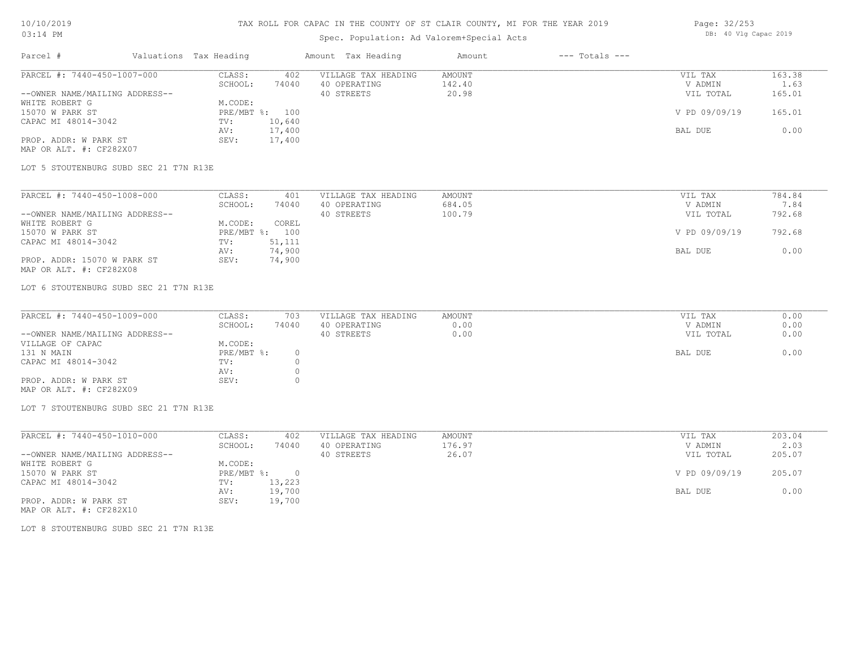### TAX ROLL FOR CAPAC IN THE COUNTY OF ST CLAIR COUNTY, MI FOR THE YEAR 2019

## Spec. Population: Ad Valorem+Special Acts

| Page: 32/253 |  |                       |  |
|--------------|--|-----------------------|--|
|              |  | DB: 40 Vlg Capac 2019 |  |

| Parcel #                       | Valuations Tax Heading |                | Amount Tax Heading  | Amount | $---$ Totals $---$ |               |        |
|--------------------------------|------------------------|----------------|---------------------|--------|--------------------|---------------|--------|
| PARCEL #: 7440-450-1007-000    | CLASS:                 | 402            | VILLAGE TAX HEADING | AMOUNT |                    | VIL TAX       | 163.38 |
|                                | SCHOOL:                | 74040          | 40 OPERATING        | 142.40 |                    | V ADMIN       | 1.63   |
| --OWNER NAME/MAILING ADDRESS-- |                        |                | 40 STREETS          | 20.98  |                    | VIL TOTAL     | 165.01 |
| WHITE ROBERT G                 | M.CODE:                |                |                     |        |                    |               |        |
| 15070 W PARK ST                |                        | PRE/MBT %: 100 |                     |        |                    | V PD 09/09/19 | 165.01 |
| CAPAC MI 48014-3042            | TV:                    | 10,640         |                     |        |                    |               |        |
|                                | AV:                    | 17,400         |                     |        |                    | BAL DUE       | 0.00   |
| PROP. ADDR: W PARK ST          | SEV:                   | 17,400         |                     |        |                    |               |        |
| MAP OR ALT. #: CF282X07        |                        |                |                     |        |                    |               |        |

LOT 5 STOUTENBURG SUBD SEC 21 T7N R13E

MAP OR ALT. #: CF282X08 PROP. ADDR: 15070 W PARK ST SEV: 74,900 AV: 74,900 BAL DUE 0.00 CAPAC MI 48014-3042 TV: 51,111<br>
AV: 74,900 15070 W PARK ST PRE/MBT %: 100 V PD 09/09/19 792.68 WHITE ROBERT G M.CODE: COREL --OWNER NAME/MAILING ADDRESS-- 40 STREETS 100.79 VIL TOTAL 792.68 SCHOOL: 74040 40 OPERATING 684.05 684.05 V ADMIN 7.84 PARCEL #: 7440-450-1008-000 CLASS: 401 VILLAGE TAX HEADING AMOUNT AMOUNT VIL TAX 784.84<br>SCHOOL: 74040 40 OPERATING 684.05 VADMIN 7.84  $\mathcal{L}_\mathcal{L} = \mathcal{L}_\mathcal{L} = \mathcal{L}_\mathcal{L} = \mathcal{L}_\mathcal{L} = \mathcal{L}_\mathcal{L} = \mathcal{L}_\mathcal{L} = \mathcal{L}_\mathcal{L} = \mathcal{L}_\mathcal{L} = \mathcal{L}_\mathcal{L} = \mathcal{L}_\mathcal{L} = \mathcal{L}_\mathcal{L} = \mathcal{L}_\mathcal{L} = \mathcal{L}_\mathcal{L} = \mathcal{L}_\mathcal{L} = \mathcal{L}_\mathcal{L} = \mathcal{L}_\mathcal{L} = \mathcal{L}_\mathcal{L}$ 

LOT 6 STOUTENBURG SUBD SEC 21 T7N R13E

| PARCEL #: 7440-450-1009-000    | CLASS:     | 703   | VILLAGE TAX HEADING | AMOUNT | VIL TAX   | 0.00 |
|--------------------------------|------------|-------|---------------------|--------|-----------|------|
|                                | SCHOOL:    | 74040 | 40 OPERATING        | 0.00   | V ADMIN   | 0.00 |
| --OWNER NAME/MAILING ADDRESS-- |            |       | 40 STREETS          | 0.00   | VIL TOTAL | 0.00 |
| VILLAGE OF CAPAC               | M.CODE:    |       |                     |        |           |      |
| 131 N MAIN                     | PRE/MBT %: |       |                     |        | BAL DUE   | 0.00 |
| CAPAC MI 48014-3042            | TV:        |       |                     |        |           |      |
|                                | AV:        |       |                     |        |           |      |
| PROP. ADDR: W PARK ST          | SEV:       |       |                     |        |           |      |
| MAP OR ALT. #: CF282X09        |            |       |                     |        |           |      |

LOT 7 STOUTENBURG SUBD SEC 21 T7N R13E

| PARCEL #: 7440-450-1010-000    | CLASS:     | 402    | VILLAGE TAX HEADING | AMOUNT | VIL TAX       | 203.04 |
|--------------------------------|------------|--------|---------------------|--------|---------------|--------|
|                                | SCHOOL:    | 74040  | 40 OPERATING        | 176.97 | V ADMIN       | 2.03   |
| --OWNER NAME/MAILING ADDRESS-- |            |        | 40 STREETS          | 26.07  | VIL TOTAL     | 205.07 |
| WHITE ROBERT G                 | M.CODE:    |        |                     |        |               |        |
| 15070 W PARK ST                | PRE/MBT %: |        |                     |        | V PD 09/09/19 | 205.07 |
| CAPAC MI 48014-3042            | TV:        | 13,223 |                     |        |               |        |
|                                | AV:        | 19,700 |                     |        | BAL DUE       | 0.00   |
| PROP. ADDR: W PARK ST          | SEV:       | 19,700 |                     |        |               |        |

MAP OR ALT. #: CF282X10

LOT 8 STOUTENBURG SUBD SEC 21 T7N R13E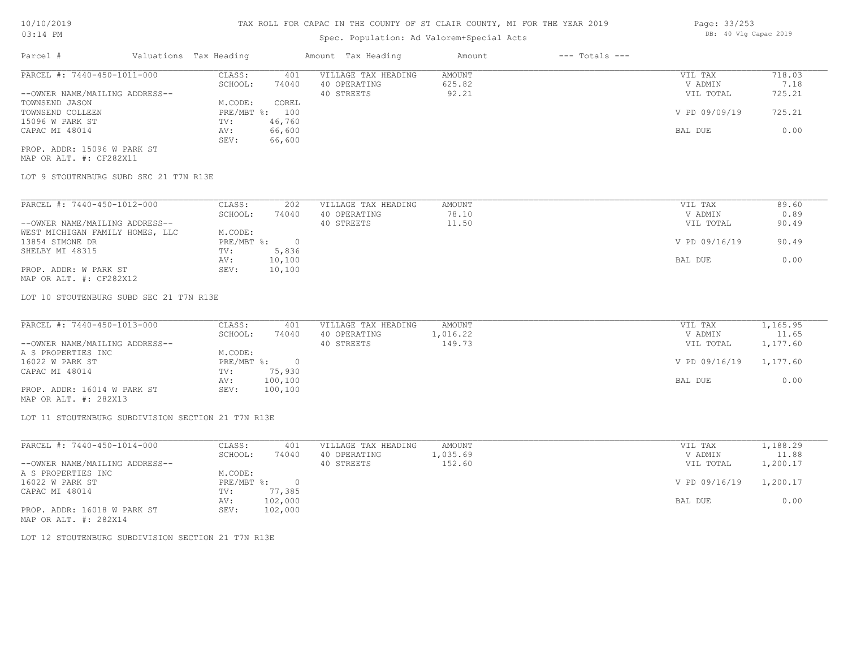# Spec. Population: Ad Valorem+Special Acts

| Parcel #                       | Valuations Tax Heading |        | Amount Tax Heading  | Amount | $---$ Totals $---$ |               |        |
|--------------------------------|------------------------|--------|---------------------|--------|--------------------|---------------|--------|
| PARCEL #: 7440-450-1011-000    | CLASS:                 | 401    | VILLAGE TAX HEADING | AMOUNT |                    | VIL TAX       | 718.03 |
|                                | SCHOOL:                | 74040  | 40 OPERATING        | 625.82 |                    | V ADMIN       | 7.18   |
| --OWNER NAME/MAILING ADDRESS-- |                        |        | 40 STREETS          | 92.21  |                    | VIL TOTAL     | 725.21 |
| TOWNSEND JASON                 | M.CODE:                | COREL  |                     |        |                    |               |        |
| TOWNSEND COLLEEN               | PRE/MBT %:             | 100    |                     |        |                    | V PD 09/09/19 | 725.21 |
| 15096 W PARK ST                | TV:                    | 46,760 |                     |        |                    |               |        |
| CAPAC MI 48014                 | AV:                    | 66,600 |                     |        |                    | BAL DUE       | 0.00   |
|                                | SEV:                   | 66,600 |                     |        |                    |               |        |
| PROP. ADDR: 15096 W PARK ST    |                        |        |                     |        |                    |               |        |

MAP OR ALT. #: CF282X11

LOT 9 STOUTENBURG SUBD SEC 21 T7N R13E

| PARCEL #: 7440-450-1012-000     | CLASS:     | 202    | VILLAGE TAX HEADING | AMOUNT | VIL TAX       | 89.60 |
|---------------------------------|------------|--------|---------------------|--------|---------------|-------|
|                                 | SCHOOL:    | 74040  | 40 OPERATING        | 78.10  | V ADMIN       | 0.89  |
| --OWNER NAME/MAILING ADDRESS--  |            |        | 40 STREETS          | 11.50  | VIL TOTAL     | 90.49 |
| WEST MICHIGAN FAMILY HOMES, LLC | M.CODE:    |        |                     |        |               |       |
| 13854 SIMONE DR                 | PRE/MBT %: |        |                     |        | V PD 09/16/19 | 90.49 |
| SHELBY MI 48315                 | TV:        | 5,836  |                     |        |               |       |
|                                 | AV:        | 10,100 |                     |        | BAL DUE       | 0.00  |
| PROP. ADDR: W PARK ST           | SEV:       | 10,100 |                     |        |               |       |
|                                 |            |        |                     |        |               |       |

MAP OR ALT. #: CF282X12

LOT 10 STOUTENBURG SUBD SEC 21 T7N R13E

| PARCEL #: 7440-450-1013-000    | CLASS:     | 401     | VILLAGE TAX HEADING | AMOUNT   | VIL TAX       | 1,165.95 |
|--------------------------------|------------|---------|---------------------|----------|---------------|----------|
|                                | SCHOOL:    | 74040   | 40 OPERATING        | 1,016.22 | V ADMIN       | 11.65    |
| --OWNER NAME/MAILING ADDRESS-- |            |         | 40 STREETS          | 149.73   | VIL TOTAL     | 1,177.60 |
| A S PROPERTIES INC             | M.CODE:    |         |                     |          |               |          |
| 16022 W PARK ST                | PRE/MBT %: |         |                     |          | V PD 09/16/19 | 1,177.60 |
| CAPAC MI 48014                 | TV:        | 75,930  |                     |          |               |          |
|                                | AV:        | 100,100 |                     |          | BAL DUE       | 0.00     |
| PROP. ADDR: 16014 W PARK ST    | SEV:       | 100,100 |                     |          |               |          |
|                                |            |         |                     |          |               |          |

MAP OR ALT. #: 282X13

LOT 11 STOUTENBURG SUBDIVISION SECTION 21 T7N R13E

| PARCEL #: 7440-450-1014-000    | CLASS:       | 401     | VILLAGE TAX HEADING | AMOUNT   | VIL TAX       | 1,188.29 |
|--------------------------------|--------------|---------|---------------------|----------|---------------|----------|
|                                | SCHOOL:      | 74040   | 40 OPERATING        | 1,035.69 | V ADMIN       | 11.88    |
| --OWNER NAME/MAILING ADDRESS-- |              |         | 40 STREETS          | 152.60   | VIL TOTAL     | 1,200.17 |
| A S PROPERTIES INC             | M.CODE:      |         |                     |          |               |          |
| 16022 W PARK ST                | $PRE/MBT$ %: |         |                     |          | V PD 09/16/19 | 1,200.17 |
| CAPAC MI 48014                 | TV:          | 77,385  |                     |          |               |          |
|                                | AV:          | 102,000 |                     |          | BAL DUE       | 0.00     |
| PROP. ADDR: 16018 W PARK ST    | SEV:         | 102,000 |                     |          |               |          |
| MAP OR ALT. #: 282X14          |              |         |                     |          |               |          |

LOT 12 STOUTENBURG SUBDIVISION SECTION 21 T7N R13E

Page: 33/253 DB: 40 Vlg Capac 2019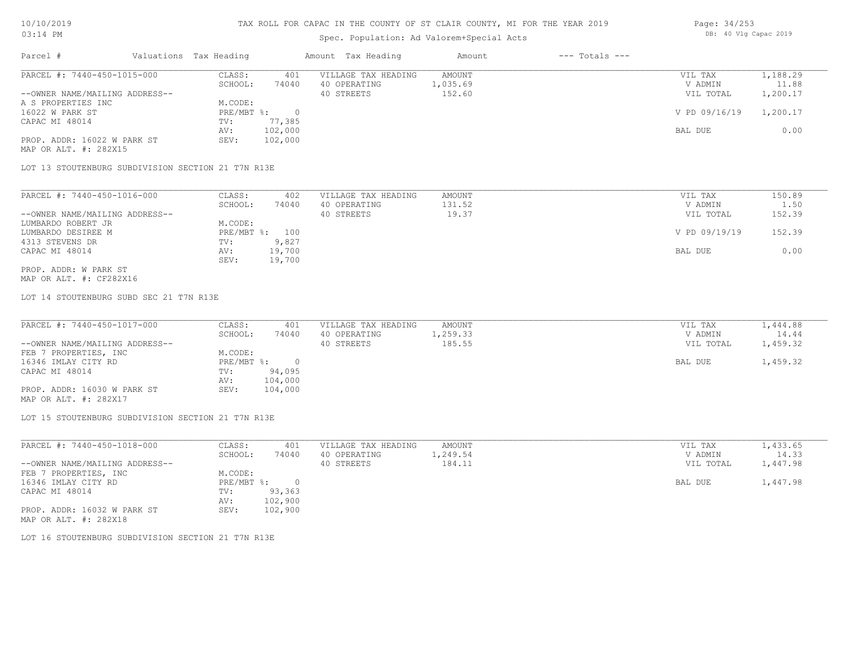# Spec. Population: Ad Valorem+Special Acts

| Page: 34/253 |  |                       |  |
|--------------|--|-----------------------|--|
|              |  | DB: 40 Vlg Capac 2019 |  |

| Parcel #                       | Valuations Tax Heading |         | Amount Tax Heading  | Amount   | $---$ Totals $---$ |               |          |
|--------------------------------|------------------------|---------|---------------------|----------|--------------------|---------------|----------|
| PARCEL #: 7440-450-1015-000    | CLASS:                 | 401     | VILLAGE TAX HEADING | AMOUNT   |                    | VIL TAX       | 1,188.29 |
|                                | SCHOOL:                | 74040   | 40 OPERATING        | 1,035.69 |                    | V ADMIN       | 11.88    |
| --OWNER NAME/MAILING ADDRESS-- |                        |         | 40 STREETS          | 152.60   |                    | VIL TOTAL     | 1,200.17 |
| A S PROPERTIES INC             | M.CODE:                |         |                     |          |                    |               |          |
| 16022 W PARK ST                | PRE/MBT %:             |         |                     |          |                    | V PD 09/16/19 | 1,200.17 |
| CAPAC MI 48014                 | TV:                    | 77,385  |                     |          |                    |               |          |
|                                | AV:                    | 102,000 |                     |          |                    | BAL DUE       | 0.00     |
| PROP. ADDR: 16022 W PARK ST    | SEV:                   | 102,000 |                     |          |                    |               |          |
|                                |                        |         |                     |          |                    |               |          |

MAP OR ALT. #: 282X15

LOT 13 STOUTENBURG SUBDIVISION SECTION 21 T7N R13E

| PARCEL #: 7440-450-1016-000    | CLASS:  | 402            | VILLAGE TAX HEADING | AMOUNT | VIL TAX       | 150.89 |
|--------------------------------|---------|----------------|---------------------|--------|---------------|--------|
|                                | SCHOOL: | 74040          | 40 OPERATING        | 131.52 | V ADMIN       | 1.50   |
| --OWNER NAME/MAILING ADDRESS-- |         |                | 40 STREETS          | 19.37  | VIL TOTAL     | 152.39 |
| LUMBARDO ROBERT JR             | M.CODE: |                |                     |        |               |        |
| LUMBARDO DESIREE M             |         | PRE/MBT %: 100 |                     |        | V PD 09/19/19 | 152.39 |
| 4313 STEVENS DR                | TV:     | 9,827          |                     |        |               |        |
| CAPAC MI 48014                 | AV:     | 19,700         |                     |        | BAL DUE       | 0.00   |
|                                | SEV:    | 19,700         |                     |        |               |        |
| PROP. ADDR: W PARK ST          |         |                |                     |        |               |        |

MAP OR ALT. #: CF282X16

LOT 14 STOUTENBURG SUBD SEC 21 T7N R13E

| PARCEL #: 7440-450-1017-000    | CLASS:     | 401     | VILLAGE TAX HEADING | AMOUNT   | VIL TAX   | 1,444.88 |
|--------------------------------|------------|---------|---------------------|----------|-----------|----------|
|                                | SCHOOL:    | 74040   | 40 OPERATING        | 1,259.33 | V ADMIN   | 14.44    |
| --OWNER NAME/MAILING ADDRESS-- |            |         | 40 STREETS          | 185.55   | VIL TOTAL | 1,459.32 |
| FEB 7 PROPERTIES, INC          | M.CODE:    |         |                     |          |           |          |
| 16346 IMLAY CITY RD            | PRE/MBT %: |         |                     |          | BAL DUE   | 1,459.32 |
| CAPAC MI 48014                 | TV:        | 94,095  |                     |          |           |          |
|                                | AV:        | 104,000 |                     |          |           |          |
| PROP. ADDR: 16030 W PARK ST    | SEV:       | 104,000 |                     |          |           |          |
| $\cdots$ $\cdots$ $\cdots$     |            |         |                     |          |           |          |

MAP OR ALT. #: 282X17

LOT 15 STOUTENBURG SUBDIVISION SECTION 21 T7N R13E

| PARCEL #: 7440-450-1018-000    | CLASS:       | 401     | VILLAGE TAX HEADING | AMOUNT   | VIL TAX   | 1,433.65 |
|--------------------------------|--------------|---------|---------------------|----------|-----------|----------|
|                                | SCHOOL:      | 74040   | 40 OPERATING        | 1,249.54 | V ADMIN   | 14.33    |
| --OWNER NAME/MAILING ADDRESS-- |              |         | 40 STREETS          | 184.11   | VIL TOTAL | 1,447.98 |
| FEB 7 PROPERTIES, INC          | M.CODE:      |         |                     |          |           |          |
| 16346 IMLAY CITY RD            | $PRE/MBT$ %: |         |                     |          | BAL DUE   | 1,447.98 |
| CAPAC MI 48014                 | TV:          | 93,363  |                     |          |           |          |
|                                | AV:          | 102,900 |                     |          |           |          |
| PROP. ADDR: 16032 W PARK ST    | SEV:         | 102,900 |                     |          |           |          |
| MAP OR ALT. #: 282X18          |              |         |                     |          |           |          |

LOT 16 STOUTENBURG SUBDIVISION SECTION 21 T7N R13E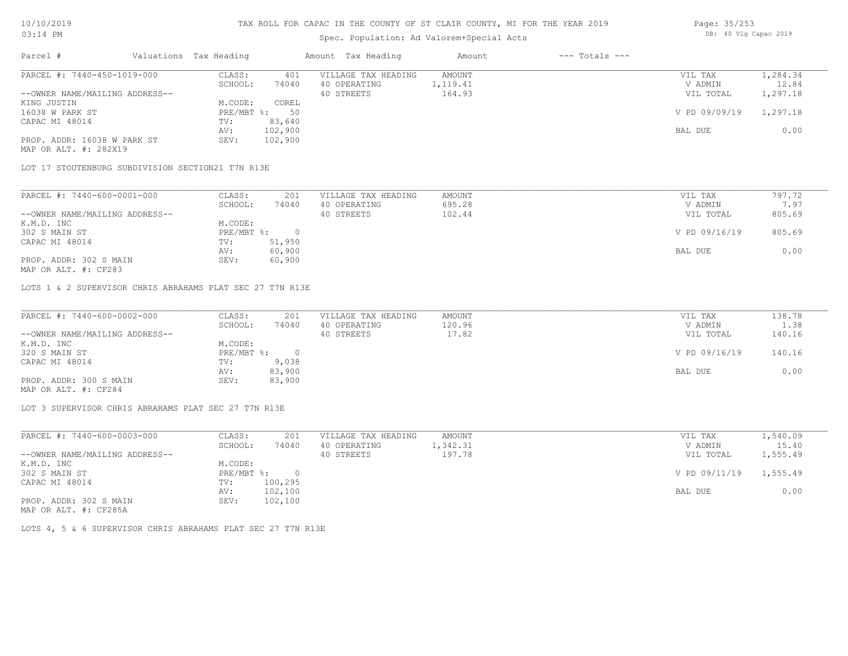# Spec. Population: Ad Valorem+Special Acts

| Page: 35/253 |  |                       |  |
|--------------|--|-----------------------|--|
|              |  | DB: 40 Vlg Capac 2019 |  |

| Parcel #                       | Valuations Tax Heading |         | Amount Tax Heading  | Amount   | $---$ Totals $---$ |               |          |
|--------------------------------|------------------------|---------|---------------------|----------|--------------------|---------------|----------|
| PARCEL #: 7440-450-1019-000    | CLASS:                 | 401     | VILLAGE TAX HEADING | AMOUNT   |                    | VIL TAX       | 1,284.34 |
|                                | SCHOOL:                | 74040   | 40 OPERATING        | 1,119.41 |                    | V ADMIN       | 12.84    |
| --OWNER NAME/MAILING ADDRESS-- |                        |         | 40 STREETS          | 164.93   |                    | VIL TOTAL     | 1,297.18 |
| KING JUSTIN                    | M.CODE:                | COREL   |                     |          |                    |               |          |
| 16038 W PARK ST                | PRE/MBT %:             | 50      |                     |          |                    | V PD 09/09/19 | 1,297.18 |
| CAPAC MI 48014                 | TV:                    | 83,640  |                     |          |                    |               |          |
|                                | AV:                    | 102,900 |                     |          |                    | BAL DUE       | 0.00     |
| PROP. ADDR: 16038 W PARK ST    | SEV:                   | 102,900 |                     |          |                    |               |          |
|                                |                        |         |                     |          |                    |               |          |

MAP OR ALT. #: 282X19

LOT 17 STOUTENBURG SUBDIVISION SECTION21 T7N R13E

| PARCEL #: 7440-600-0001-000    | CLASS:     | 201    | VILLAGE TAX HEADING | AMOUNT | VIL TAX       | 797.72 |
|--------------------------------|------------|--------|---------------------|--------|---------------|--------|
|                                | SCHOOL:    | 74040  | 40 OPERATING        | 695.28 | V ADMIN       | 7.97   |
| --OWNER NAME/MAILING ADDRESS-- |            |        | 40 STREETS          | 102.44 | VIL TOTAL     | 805.69 |
| K.M.D. INC                     | M.CODE:    |        |                     |        |               |        |
| 302 S MAIN ST                  | PRE/MBT %: |        |                     |        | V PD 09/16/19 | 805.69 |
| CAPAC MI 48014                 | TV:        | 51,950 |                     |        |               |        |
|                                | AV:        | 60,900 |                     |        | BAL DUE       | 0.00   |
| PROP. ADDR: 302 S MAIN         | SEV:       | 60,900 |                     |        |               |        |

MAP OR ALT. #: CF283

LOTS 1 & 2 SUPERVISOR CHRIS ABRAHAMS PLAT SEC 27 T7N R13E

| PARCEL #: 7440-600-0002-000    | CLASS:     | 201    | VILLAGE TAX HEADING | AMOUNT | VIL TAX       | 138.78 |
|--------------------------------|------------|--------|---------------------|--------|---------------|--------|
|                                | SCHOOL:    | 74040  | 40 OPERATING        | 120.96 | V ADMIN       | 1.38   |
| --OWNER NAME/MAILING ADDRESS-- |            |        | 40 STREETS          | 17.82  | VIL TOTAL     | 140.16 |
| K.M.D. INC                     | M.CODE:    |        |                     |        |               |        |
| 320 S MAIN ST                  | PRE/MBT %: |        |                     |        | V PD 09/16/19 | 140.16 |
| CAPAC MI 48014                 | TV:        | 9,038  |                     |        |               |        |
|                                | AV:        | 83,900 |                     |        | BAL DUE       | 0.00   |
| PROP. ADDR: 300 S MAIN         | SEV:       | 83,900 |                     |        |               |        |
| MAP OR ALT. #: CF284           |            |        |                     |        |               |        |

LOT 3 SUPERVISOR CHRIS ABRAHAMS PLAT SEC 27 T7N R13E

| PARCEL #: 7440-600-0003-000    | CLASS:     | 201     | VILLAGE TAX HEADING | AMOUNT   | VIL TAX                | 1,540.09 |
|--------------------------------|------------|---------|---------------------|----------|------------------------|----------|
|                                | SCHOOL:    | 74040   | 40 OPERATING        | 1,342.31 | V ADMIN                | 15.40    |
| --OWNER NAME/MAILING ADDRESS-- |            |         | 40 STREETS          | 197.78   | VIL TOTAL              | 1,555.49 |
| K.M.D. INC                     | M.CODE:    |         |                     |          |                        |          |
| 302 S MAIN ST                  | PRE/MBT %: |         |                     |          | V PD 09/11/19 1,555.49 |          |
| CAPAC MI 48014                 | TV:        | 100,295 |                     |          |                        |          |
|                                | AV:        | 102,100 |                     |          | BAL DUE                | 0.00     |
| PROP. ADDR: 302 S MAIN         | SEV:       | 102,100 |                     |          |                        |          |

MAP OR ALT. #: CF285A

LOTS 4, 5 & 6 SUPERVISOR CHRIS ABRAHAMS PLAT SEC 27 T7N R13E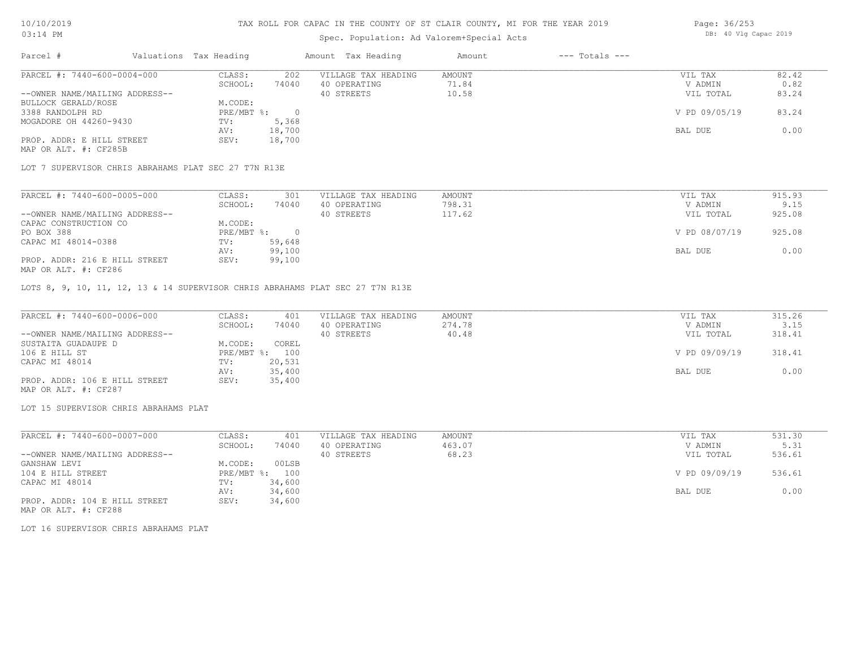## TAX ROLL FOR CAPAC IN THE COUNTY OF ST CLAIR COUNTY, MI FOR THE YEAR 2019

# Spec. Population: Ad Valorem+Special Acts

| Parcel #                       | Valuations Tax Heading |        | Amount Tax Heading  | Amount | $---$ Totals $---$ |               |       |
|--------------------------------|------------------------|--------|---------------------|--------|--------------------|---------------|-------|
| PARCEL #: 7440-600-0004-000    | CLASS:                 | 202    | VILLAGE TAX HEADING | AMOUNT |                    | VIL TAX       | 82.42 |
|                                | SCHOOL:                | 74040  | 40 OPERATING        | 71.84  |                    | V ADMIN       | 0.82  |
| --OWNER NAME/MAILING ADDRESS-- |                        |        | 40 STREETS          | 10.58  |                    | VIL TOTAL     | 83.24 |
| BULLOCK GERALD/ROSE            | M.CODE:                |        |                     |        |                    |               |       |
| 3388 RANDOLPH RD               | PRE/MBT %:             |        |                     |        |                    | V PD 09/05/19 | 83.24 |
| MOGADORE OH 44260-9430         | TV:                    | 5,368  |                     |        |                    |               |       |
|                                | AV:                    | 18,700 |                     |        |                    | BAL DUE       | 0.00  |
| PROP. ADDR: E HILL STREET      | SEV:                   | 18,700 |                     |        |                    |               |       |
|                                |                        |        |                     |        |                    |               |       |

MAP OR ALT. #: CF285B

LOT 7 SUPERVISOR CHRIS ABRAHAMS PLAT SEC 27 T7N R13E

| PARCEL #: 7440-600-0005-000    | CLASS:     | 301    | VILLAGE TAX HEADING | AMOUNT | VIL TAX       | 915.93 |
|--------------------------------|------------|--------|---------------------|--------|---------------|--------|
|                                | SCHOOL:    | 74040  | 40 OPERATING        | 798.31 | V ADMIN       | 9.15   |
| --OWNER NAME/MAILING ADDRESS-- |            |        | 40 STREETS          | 117.62 | VIL TOTAL     | 925.08 |
| CAPAC CONSTRUCTION CO          | M.CODE:    |        |                     |        |               |        |
| PO BOX 388                     | PRE/MBT %: |        |                     |        | V PD 08/07/19 | 925.08 |
| CAPAC MI 48014-0388            | TV:        | 59,648 |                     |        |               |        |
|                                | AV:        | 99,100 |                     |        | BAL DUE       | 0.00   |
| PROP. ADDR: 216 E HILL STREET  | SEV:       | 99,100 |                     |        |               |        |
| MAP OR ALT. #: CF286           |            |        |                     |        |               |        |

LOTS 8, 9, 10, 11, 12, 13 & 14 SUPERVISOR CHRIS ABRAHAMS PLAT SEC 27 T7N R13E

| PARCEL #: 7440-600-0006-000    | CLASS:  | 401            | VILLAGE TAX HEADING | AMOUNT | VIL TAX       | 315.26 |
|--------------------------------|---------|----------------|---------------------|--------|---------------|--------|
|                                | SCHOOL: | 74040          | 40 OPERATING        | 274.78 | V ADMIN       | 3.15   |
| --OWNER NAME/MAILING ADDRESS-- |         |                | 40 STREETS          | 40.48  | VIL TOTAL     | 318.41 |
| SUSTAITA GUADAUPE D            | M.CODE: | COREL          |                     |        |               |        |
| 106 E HILL ST                  |         | PRE/MBT %: 100 |                     |        | V PD 09/09/19 | 318.41 |
| CAPAC MI 48014                 | TV:     | 20,531         |                     |        |               |        |
|                                | AV:     | 35,400         |                     |        | BAL DUE       | 0.00   |
| PROP. ADDR: 106 E HILL STREET  | SEV:    | 35,400         |                     |        |               |        |
| MAP OR ALT. #: CF287           |         |                |                     |        |               |        |

LOT 15 SUPERVISOR CHRIS ABRAHAMS PLAT

| PARCEL #: 7440-600-0007-000    | CLASS:       | 401    | VILLAGE TAX HEADING | AMOUNT | VIL TAX       | 531.30 |
|--------------------------------|--------------|--------|---------------------|--------|---------------|--------|
|                                | SCHOOL:      | 74040  | 40 OPERATING        | 463.07 | V ADMIN       | 5.31   |
| --OWNER NAME/MAILING ADDRESS-- |              |        | 40 STREETS          | 68.23  | VIL TOTAL     | 536.61 |
| GANSHAW LEVI                   | M.CODE:      | 00LSB  |                     |        |               |        |
| 104 E HILL STREET              | $PRE/MBT$ %: | 100    |                     |        | V PD 09/09/19 | 536.61 |
| CAPAC MI 48014                 | TV:          | 34,600 |                     |        |               |        |
|                                | AV:          | 34,600 |                     |        | BAL DUE       | 0.00   |
| PROP. ADDR: 104 E HILL STREET  | SEV:         | 34,600 |                     |        |               |        |

MAP OR ALT. #: CF288

LOT 16 SUPERVISOR CHRIS ABRAHAMS PLAT

Page: 36/253 DB: 40 Vlg Capac 2019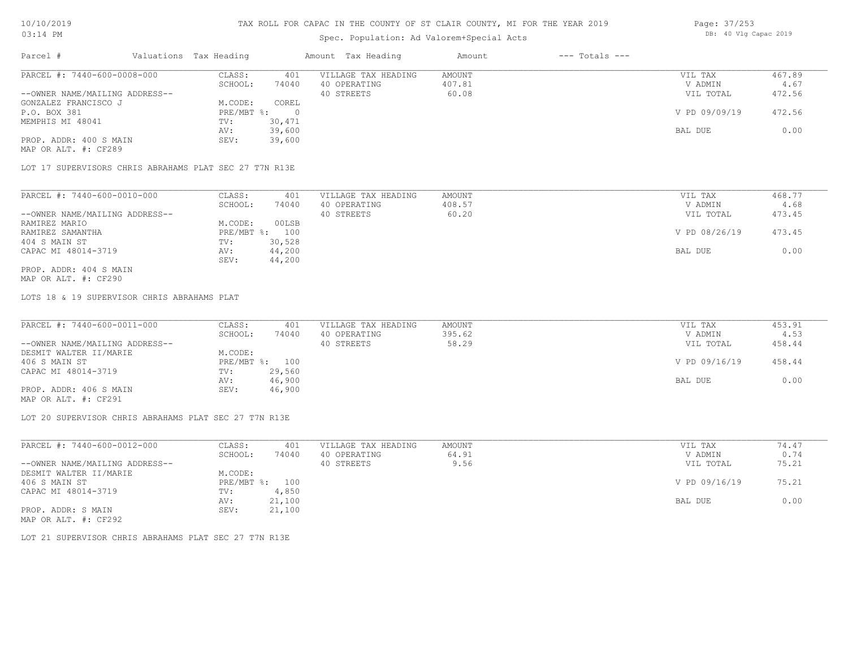# Spec. Population: Ad Valorem+Special Acts

|  | Page: 37/253 |                       |  |  |  |  |
|--|--------------|-----------------------|--|--|--|--|
|  |              | DB: 40 Vlg Capac 2019 |  |  |  |  |

| Parcel #                       | Valuations Tax Heading |        | Amount Tax Heading  | Amount | $---$ Totals $---$ |               |        |
|--------------------------------|------------------------|--------|---------------------|--------|--------------------|---------------|--------|
| PARCEL #: 7440-600-0008-000    | CLASS:                 | 401    | VILLAGE TAX HEADING | AMOUNT |                    | VIL TAX       | 467.89 |
|                                | SCHOOL:                | 74040  | 40 OPERATING        | 407.81 |                    | V ADMIN       | 4.67   |
| --OWNER NAME/MAILING ADDRESS-- |                        |        | 40 STREETS          | 60.08  |                    | VIL TOTAL     | 472.56 |
| GONZALEZ FRANCISCO J           | M.CODE:                | COREL  |                     |        |                    |               |        |
| P.O. BOX 381                   | PRE/MBT %:             |        |                     |        |                    | V PD 09/09/19 | 472.56 |
| MEMPHIS MI 48041               | TV:                    | 30,471 |                     |        |                    |               |        |
|                                | AV:                    | 39,600 |                     |        |                    | BAL DUE       | 0.00   |
| PROP. ADDR: 400 S MAIN         | SEV:                   | 39,600 |                     |        |                    |               |        |
| MAP OR ALT. #: CF289           |                        |        |                     |        |                    |               |        |

LOT 17 SUPERVISORS CHRIS ABRAHAMS PLAT SEC 27 T7N R13E

| PARCEL #: 7440-600-0010-000    | CLASS:     | 401    | VILLAGE TAX HEADING | AMOUNT | VIL TAX       | 468.77 |
|--------------------------------|------------|--------|---------------------|--------|---------------|--------|
|                                | SCHOOL:    | 74040  | 40 OPERATING        | 408.57 | V ADMIN       | 4.68   |
| --OWNER NAME/MAILING ADDRESS-- |            |        | 40 STREETS          | 60.20  | VIL TOTAL     | 473.45 |
| RAMIREZ MARIO                  | M.CODE:    | 00LSB  |                     |        |               |        |
| RAMIREZ SAMANTHA               | PRE/MBT %: | 100    |                     |        | V PD 08/26/19 | 473.45 |
| 404 S MAIN ST                  | TV:        | 30,528 |                     |        |               |        |
| CAPAC MI 48014-3719            | AV:        | 44,200 |                     |        | BAL DUE       | 0.00   |
|                                | SEV:       | 44,200 |                     |        |               |        |
| PROP. ADDR: 404 S MAIN         |            |        |                     |        |               |        |

MAP OR ALT. #: CF290

LOTS 18 & 19 SUPERVISOR CHRIS ABRAHAMS PLAT

| PARCEL #: 7440-600-0011-000    | CLASS:  | 401            | VILLAGE TAX HEADING | AMOUNT | VIL TAX       | 453.91 |
|--------------------------------|---------|----------------|---------------------|--------|---------------|--------|
|                                | SCHOOL: | 74040          | 40 OPERATING        | 395.62 | V ADMIN       | 4.53   |
| --OWNER NAME/MAILING ADDRESS-- |         |                | 40 STREETS          | 58.29  | VIL TOTAL     | 458.44 |
| DESMIT WALTER II/MARIE         | M.CODE: |                |                     |        |               |        |
| 406 S MAIN ST                  |         | PRE/MBT %: 100 |                     |        | V PD 09/16/19 | 458.44 |
| CAPAC MI 48014-3719            | TV:     | 29,560         |                     |        |               |        |
|                                | AV:     | 46,900         |                     |        | BAL DUE       | 0.00   |
| PROP. ADDR: 406 S MAIN         | SEV:    | 46,900         |                     |        |               |        |
|                                |         |                |                     |        |               |        |

MAP OR ALT. #: CF291

LOT 20 SUPERVISOR CHRIS ABRAHAMS PLAT SEC 27 T7N R13E

| PARCEL #: 7440-600-0012-000    | CLASS:     | 401    | VILLAGE TAX HEADING | AMOUNT | VIL TAX       | 74.47 |
|--------------------------------|------------|--------|---------------------|--------|---------------|-------|
|                                | SCHOOL:    | 74040  | 40 OPERATING        | 64.91  | V ADMIN       | 0.74  |
| --OWNER NAME/MAILING ADDRESS-- |            |        | 40 STREETS          | 9.56   | VIL TOTAL     | 75.21 |
| DESMIT WALTER II/MARIE         | M.CODE:    |        |                     |        |               |       |
| 406 S MAIN ST                  | PRE/MBT %: | 100    |                     |        | V PD 09/16/19 | 75.21 |
| CAPAC MI 48014-3719            | TV:        | 4,850  |                     |        |               |       |
|                                | AV:        | 21,100 |                     |        | BAL DUE       | 0.00  |
| PROP. ADDR: S MAIN             | SEV:       | 21,100 |                     |        |               |       |
| MAP OR ALT. #: CF292           |            |        |                     |        |               |       |

LOT 21 SUPERVISOR CHRIS ABRAHAMS PLAT SEC 27 T7N R13E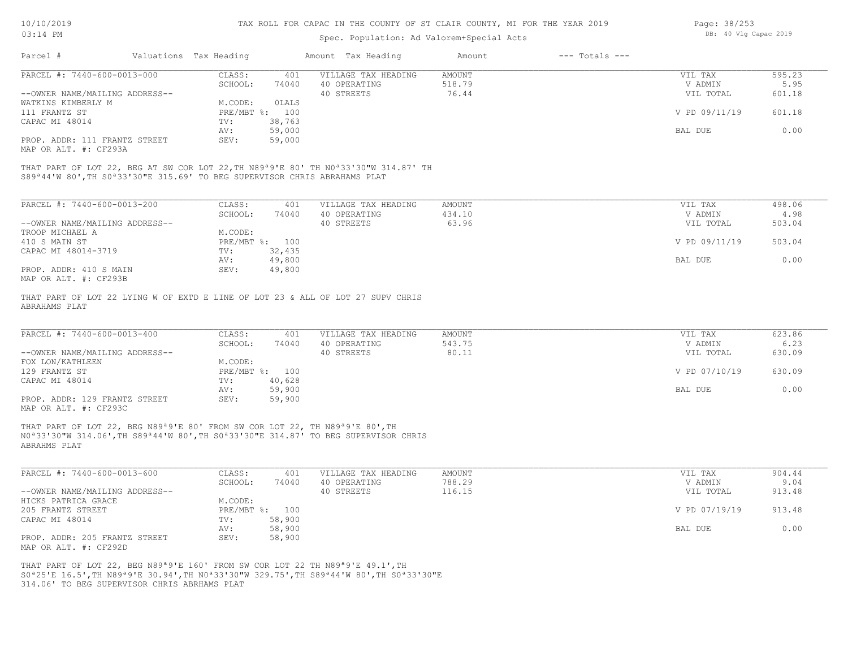| 10/10/2019                                             |                                                                                                                                                                                           |                        | TAX ROLL FOR CAPAC IN THE COUNTY OF ST CLAIR COUNTY, MI FOR THE YEAR 2019 | Page: 38/253        |                                           |                    |                       |        |
|--------------------------------------------------------|-------------------------------------------------------------------------------------------------------------------------------------------------------------------------------------------|------------------------|---------------------------------------------------------------------------|---------------------|-------------------------------------------|--------------------|-----------------------|--------|
| $03:14$ PM                                             |                                                                                                                                                                                           |                        |                                                                           |                     | Spec. Population: Ad Valorem+Special Acts |                    | DB: 40 Vlg Capac 2019 |        |
| Parcel #                                               |                                                                                                                                                                                           | Valuations Tax Heading |                                                                           | Amount Tax Heading  | Amount                                    | $---$ Totals $---$ |                       |        |
| PARCEL #: 7440-600-0013-000                            |                                                                                                                                                                                           | CLASS:                 | 401                                                                       | VILLAGE TAX HEADING | <b>AMOUNT</b>                             |                    | VIL TAX               | 595.23 |
|                                                        |                                                                                                                                                                                           | SCHOOL:                | 74040                                                                     | 40 OPERATING        | 518.79                                    |                    | V ADMIN               | 5.95   |
| --OWNER NAME/MAILING ADDRESS--                         |                                                                                                                                                                                           |                        |                                                                           | 40 STREETS          | 76.44                                     |                    | VIL TOTAL             | 601.18 |
| WATKINS KIMBERLY M                                     |                                                                                                                                                                                           | M.CODE:                | OLALS                                                                     |                     |                                           |                    |                       |        |
| 111 FRANTZ ST                                          |                                                                                                                                                                                           | $PRE/MBT$ $\div$       | 100                                                                       |                     |                                           |                    | V PD 09/11/19         | 601.18 |
| CAPAC MI 48014                                         |                                                                                                                                                                                           | TV:                    | 38,763                                                                    |                     |                                           |                    |                       |        |
|                                                        |                                                                                                                                                                                           | AV:                    | 59,000                                                                    |                     |                                           |                    | BAL DUE               | 0.00   |
| PROP. ADDR: 111 FRANTZ STREET<br>MAP OR ALT. #: CF293A |                                                                                                                                                                                           | SEV:                   | 59,000                                                                    |                     |                                           |                    |                       |        |
|                                                        | THAT PART OF LOT 22, BEG AT SW COR LOT 22, TH N89ª9'E 80' TH N0ª33'30"W 314.87' TH<br>S89 <sup>a44'W</sup> 80', TH S0 <sup>a</sup> 33'30"E 315.69' TO BEG SUPERVISOR CHRIS ABRAHAMS PLAT  |                        |                                                                           |                     |                                           |                    |                       |        |
| PARCEL #: 7440-600-0013-200                            |                                                                                                                                                                                           | CLASS:                 | 401                                                                       | VILLAGE TAX HEADING | <b>AMOUNT</b>                             |                    | VIL TAX               | 498.06 |
|                                                        |                                                                                                                                                                                           | SCHOOL:                | 74040                                                                     | 40 OPERATING        | 434.10                                    |                    | V ADMIN               | 4.98   |
| --OWNER NAME/MAILING ADDRESS--                         |                                                                                                                                                                                           |                        |                                                                           | 40 STREETS          | 63.96                                     |                    | VIL TOTAL             | 503.04 |
| TROOP MICHAEL A                                        |                                                                                                                                                                                           | M.CODE:                |                                                                           |                     |                                           |                    |                       |        |
| 410 S MAIN ST                                          |                                                                                                                                                                                           |                        | PRE/MBT %: 100                                                            |                     |                                           |                    | V PD 09/11/19         | 503.04 |
| CAPAC MI 48014-3719                                    |                                                                                                                                                                                           | TV:                    | 32,435                                                                    |                     |                                           |                    |                       |        |
|                                                        |                                                                                                                                                                                           | AV:                    | 49,800                                                                    |                     |                                           |                    | BAL DUE               | 0.00   |
| PROP. ADDR: 410 S MAIN                                 |                                                                                                                                                                                           | SEV:                   | 49,800                                                                    |                     |                                           |                    |                       |        |
| MAP OR ALT. #: CF293B                                  |                                                                                                                                                                                           |                        |                                                                           |                     |                                           |                    |                       |        |
| ABRAHAMS PLAT<br>PARCEL #: 7440-600-0013-400           | THAT PART OF LOT 22 LYING W OF EXTD E LINE OF LOT 23 & ALL OF LOT 27 SUPV CHRIS                                                                                                           | CLASS:                 | 401                                                                       | VILLAGE TAX HEADING | <b>AMOUNT</b>                             |                    | VIL TAX               | 623.86 |
|                                                        |                                                                                                                                                                                           | SCHOOL:                | 74040                                                                     | 40 OPERATING        | 543.75                                    |                    | V ADMIN               | 6.23   |
| --OWNER NAME/MAILING ADDRESS--                         |                                                                                                                                                                                           |                        |                                                                           | 40 STREETS          | 80.11                                     |                    | VIL TOTAL             | 630.09 |
| FOX LON/KATHLEEN<br>129 FRANTZ ST                      |                                                                                                                                                                                           | M.CODE:                | PRE/MBT %: 100                                                            |                     |                                           |                    | V PD 07/10/19         | 630.09 |
| CAPAC MI 48014                                         |                                                                                                                                                                                           | TV:                    | 40,628                                                                    |                     |                                           |                    |                       |        |
|                                                        |                                                                                                                                                                                           | AV:                    | 59,900                                                                    |                     |                                           |                    | BAL DUE               | 0.00   |
| PROP. ADDR: 129 FRANTZ STREET<br>MAP OR ALT. #: CF293C |                                                                                                                                                                                           | SEV:                   | 59,900                                                                    |                     |                                           |                    |                       |        |
| ABRAHMS PLAT                                           | THAT PART OF LOT 22, BEG N89 <sup>ª9'E</sup> 80' FROM SW COR LOT 22, TH N89 <sup>ª9'E</sup> 80', TH<br>NO*33'30"W 314.06', TH S89*44'W 80', TH S0*33'30"E 314.87' TO BEG SUPERVISOR CHRIS |                        |                                                                           |                     |                                           |                    |                       |        |
| PARCEL #: 7440-600-0013-600                            |                                                                                                                                                                                           | CLASS:                 | 401                                                                       | VILLAGE TAX HEADING | <b>AMOUNT</b>                             |                    | VIL TAX               | 904.44 |
|                                                        |                                                                                                                                                                                           | SCHOOL:                | 74040                                                                     | 40 OPERATING        | 788.29                                    |                    | V ADMIN               | 9.04   |
| --OWNER NAME/MAILING ADDRESS--                         |                                                                                                                                                                                           |                        |                                                                           | 40 STREETS          | 116.15                                    |                    | VIL TOTAL             | 913.48 |
| HICKS PATRICA GRACE                                    |                                                                                                                                                                                           | M.CODE:                |                                                                           |                     |                                           |                    |                       |        |
| 205 FRANTZ STREET                                      |                                                                                                                                                                                           |                        | PRE/MBT %: 100                                                            |                     |                                           |                    | V PD 07/19/19         | 913.48 |
| CAPAC MI 48014                                         |                                                                                                                                                                                           | TV:                    | 58,900                                                                    |                     |                                           |                    |                       |        |
|                                                        |                                                                                                                                                                                           | AV:                    | 58,900                                                                    |                     |                                           |                    | BAL DUE               | 0.00   |
| PROP. ADDR: 205 FRANTZ STREET                          |                                                                                                                                                                                           | SEV:                   | 58,900                                                                    |                     |                                           |                    |                       |        |
|                                                        |                                                                                                                                                                                           |                        |                                                                           |                     |                                           |                    |                       |        |

MAP OR ALT. #: CF292D

314.06' TO BEG SUPERVISOR CHRIS ABRHAMS PLAT S0ª25'E 16.5',TH N89ª9'E 30.94',TH N0ª33'30"W 329.75',TH S89ª44'W 80',TH S0ª33'30"E THAT PART OF LOT 22, BEG N89ª9'E 160' FROM SW COR LOT 22 TH N89ª9'E 49.1',TH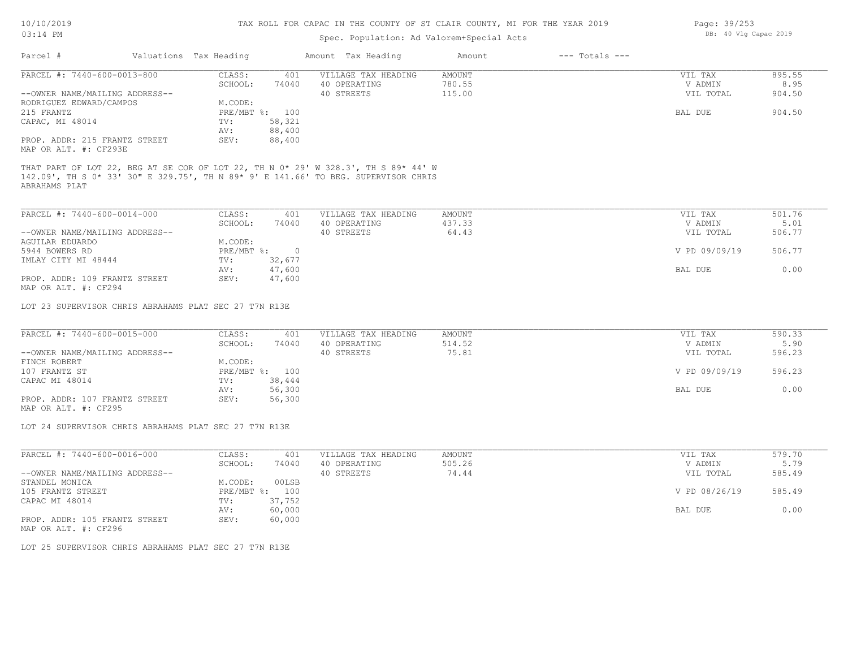### 10/10/2019 03:14 PM

# TAX ROLL FOR CAPAC IN THE COUNTY OF ST CLAIR COUNTY, MI FOR THE YEAR 2019

| $03:14$ PM                                                                                                                                                                                |                                                       | Spec. Population: Ad Valorem+Special Acts | DB: 40 Vlg Capac 2019   |                    |                    |                |
|-------------------------------------------------------------------------------------------------------------------------------------------------------------------------------------------|-------------------------------------------------------|-------------------------------------------|-------------------------|--------------------|--------------------|----------------|
| Parcel #                                                                                                                                                                                  | Valuations Tax Heading                                | Amount Tax Heading                        | Amount                  | $---$ Totals $---$ |                    |                |
| PARCEL #: 7440-600-0013-800                                                                                                                                                               | CLASS:<br>401<br>SCHOOL:<br>74040                     | VILLAGE TAX HEADING<br>40 OPERATING       | <b>AMOUNT</b><br>780.55 |                    | VIL TAX<br>V ADMIN | 895.55<br>8.95 |
| --OWNER NAME/MAILING ADDRESS--                                                                                                                                                            |                                                       | 40 STREETS                                | 115.00                  |                    | VIL TOTAL          | 904.50         |
| RODRIGUEZ EDWARD/CAMPOS                                                                                                                                                                   | M.CODE:                                               |                                           |                         |                    |                    |                |
| 215 FRANTZ                                                                                                                                                                                | PRE/MBT %: 100                                        |                                           |                         |                    | BAL DUE            | 904.50         |
| CAPAC, MI 48014                                                                                                                                                                           | 58,321<br>TV:<br>88,400<br>AV:                        |                                           |                         |                    |                    |                |
| PROP. ADDR: 215 FRANTZ STREET<br>MAP OR ALT. #: CF293E                                                                                                                                    | SEV:<br>88,400                                        |                                           |                         |                    |                    |                |
| THAT PART OF LOT 22, BEG AT SE COR OF LOT 22, TH N 0* 29' W 328.3', TH S 89* 44' W<br>142.09', TH S 0* 33' 30" E 329.75', TH N 89* 9' E 141.66' TO BEG. SUPERVISOR CHRIS<br>ABRAHAMS PLAT |                                                       |                                           |                         |                    |                    |                |
| PARCEL #: 7440-600-0014-000                                                                                                                                                               | CLASS:<br>401                                         | VILLAGE TAX HEADING                       | <b>AMOUNT</b>           |                    | VIL TAX            | 501.76         |
|                                                                                                                                                                                           | SCHOOL:<br>74040                                      | 40 OPERATING                              | 437.33                  |                    | V ADMIN            | 5.01           |
| --OWNER NAME/MAILING ADDRESS--                                                                                                                                                            |                                                       | 40 STREETS                                | 64.43                   |                    | VIL TOTAL          | 506.77         |
| AGUILAR EDUARDO                                                                                                                                                                           | M.CODE:                                               |                                           |                         |                    |                    |                |
| 5944 BOWERS RD<br>IMLAY CITY MI 48444                                                                                                                                                     | $PRE/MBT$ $\frac{1}{6}$ :<br>$\overline{0}$<br>32,677 |                                           |                         |                    | V PD 09/09/19      | 506.77         |
|                                                                                                                                                                                           | TV:<br>47,600<br>AV:                                  |                                           |                         |                    | BAL DUE            | 0.00           |
| PROP. ADDR: 109 FRANTZ STREET                                                                                                                                                             | 47,600<br>SEV:                                        |                                           |                         |                    |                    |                |
| MAP OR ALT. #: CF294                                                                                                                                                                      |                                                       |                                           |                         |                    |                    |                |
| LOT 23 SUPERVISOR CHRIS ABRAHAMS PLAT SEC 27 T7N R13E                                                                                                                                     |                                                       |                                           |                         |                    |                    |                |
|                                                                                                                                                                                           |                                                       |                                           |                         |                    |                    |                |
| PARCEL #: 7440-600-0015-000                                                                                                                                                               | CLASS:<br>401<br>SCHOOL:<br>74040                     | VILLAGE TAX HEADING<br>40 OPERATING       | AMOUNT<br>514.52        |                    | VIL TAX<br>V ADMIN | 590.33<br>5.90 |
| --OWNER NAME/MAILING ADDRESS--                                                                                                                                                            |                                                       | 40 STREETS                                | 75.81                   |                    | VIL TOTAL          | 596.23         |
| FINCH ROBERT                                                                                                                                                                              | M.CODE:                                               |                                           |                         |                    |                    |                |
| 107 FRANTZ ST                                                                                                                                                                             | PRE/MBT %: 100                                        |                                           |                         |                    | V PD 09/09/19      | 596.23         |
| CAPAC MI 48014                                                                                                                                                                            | TV:<br>38,444                                         |                                           |                         |                    |                    |                |
|                                                                                                                                                                                           | 56,300<br>AV:                                         |                                           |                         |                    | BAL DUE            | 0.00           |
| PROP. ADDR: 107 FRANTZ STREET<br>MAP OR ALT. #: CF295                                                                                                                                     | SEV:<br>56,300                                        |                                           |                         |                    |                    |                |
|                                                                                                                                                                                           |                                                       |                                           |                         |                    |                    |                |
| LOT 24 SUPERVISOR CHRIS ABRAHAMS PLAT SEC 27 T7N R13E                                                                                                                                     |                                                       |                                           |                         |                    |                    |                |
| PARCEL #: 7440-600-0016-000                                                                                                                                                               | CLASS:<br>401                                         | VILLAGE TAX HEADING                       | AMOUNT                  |                    | VIL TAX            | 579.70         |
|                                                                                                                                                                                           | 74040<br>SCHOOL:                                      | 40 OPERATING                              | 505.26                  |                    | V ADMIN            | 5.79           |
| --OWNER NAME/MAILING ADDRESS--                                                                                                                                                            |                                                       | 40 STREETS                                | 74.44                   |                    | VIL TOTAL          | 585.49         |
| STANDEL MONICA                                                                                                                                                                            | 00LSB<br>M.CODE:                                      |                                           |                         |                    |                    |                |
| 105 FRANTZ STREET                                                                                                                                                                         | PRE/MBT %: 100                                        |                                           |                         |                    | V PD 08/26/19      | 585.49         |
| CAPAC MI 48014                                                                                                                                                                            | 37,752<br>TV:                                         |                                           |                         |                    |                    |                |
| PROP. ADDR: 105 FRANTZ STREET                                                                                                                                                             | AV:<br>60,000<br>SEV:                                 |                                           |                         |                    | BAL DUE            | 0.00           |
| MAP OR ALT. #: CF296                                                                                                                                                                      | 60,000                                                |                                           |                         |                    |                    |                |
|                                                                                                                                                                                           |                                                       |                                           |                         |                    |                    |                |

LOT 25 SUPERVISOR CHRIS ABRAHAMS PLAT SEC 27 T7N R13E

Page: 39/253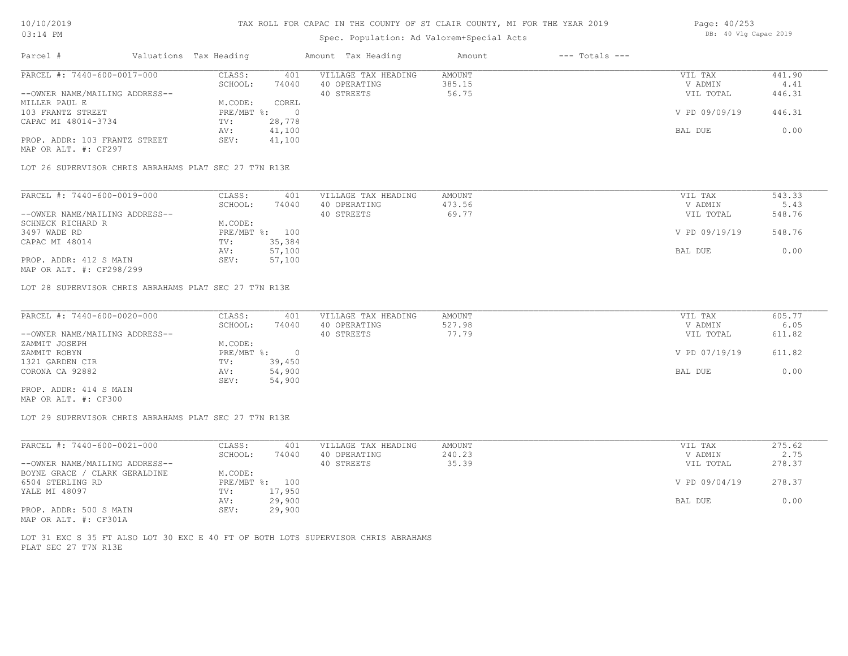# Spec. Population: Ad Valorem+Special Acts

| Parcel #                                              | Valuations Tax Heading |        | Amount Tax Heading  | Amount | $---$ Totals $---$ |               |        |
|-------------------------------------------------------|------------------------|--------|---------------------|--------|--------------------|---------------|--------|
| PARCEL #: 7440-600-0017-000                           | CLASS:                 | 401    | VILLAGE TAX HEADING | AMOUNT |                    | VIL TAX       | 441.90 |
|                                                       | SCHOOL:                | 74040  | 40 OPERATING        | 385.15 |                    | V ADMIN       | 4.41   |
| --OWNER NAME/MAILING ADDRESS--                        |                        |        | 40 STREETS          | 56.75  |                    | VIL TOTAL     | 446.31 |
| MILLER PAUL E                                         | M.CODE:                | COREL  |                     |        |                    |               |        |
| 103 FRANTZ STREET                                     | $PRE/MBT$ %:           |        |                     |        |                    | V PD 09/09/19 | 446.31 |
| CAPAC MI 48014-3734                                   | TV:                    | 28,778 |                     |        |                    |               |        |
|                                                       | AV:                    | 41,100 |                     |        |                    | BAL DUE       | 0.00   |
| PROP. ADDR: 103 FRANTZ STREET<br>MAP OR ALT. #: CF297 | SEV:                   | 41,100 |                     |        |                    |               |        |

LOT 26 SUPERVISOR CHRIS ABRAHAMS PLAT SEC 27 T7N R13E

| PARCEL #: 7440-600-0019-000    | CLASS:  | 401            | VILLAGE TAX HEADING | AMOUNT | VIL TAX       | 543.33 |
|--------------------------------|---------|----------------|---------------------|--------|---------------|--------|
|                                | SCHOOL: | 74040          | 40 OPERATING        | 473.56 | V ADMIN       | 5.43   |
| --OWNER NAME/MAILING ADDRESS-- |         |                | 40 STREETS          | 69.77  | VIL TOTAL     | 548.76 |
| SCHNECK RICHARD R              | M.CODE: |                |                     |        |               |        |
| 3497 WADE RD                   |         | PRE/MBT %: 100 |                     |        | V PD 09/19/19 | 548.76 |
| CAPAC MI 48014                 | TV:     | 35,384         |                     |        |               |        |
|                                | AV:     | 57,100         |                     |        | BAL DUE       | 0.00   |
| PROP. ADDR: 412 S MAIN         | SEV:    | 57,100         |                     |        |               |        |
| MAP OR ALT. #: CF298/299       |         |                |                     |        |               |        |

LOT 28 SUPERVISOR CHRIS ABRAHAMS PLAT SEC 27 T7N R13E

| PARCEL #: 7440-600-0020-000    | CLASS:       | 401    | VILLAGE TAX HEADING | AMOUNT | VIL TAX       | 605.77 |
|--------------------------------|--------------|--------|---------------------|--------|---------------|--------|
|                                | SCHOOL:      | 74040  | 40 OPERATING        | 527.98 | V ADMIN       | 6.05   |
| --OWNER NAME/MAILING ADDRESS-- |              |        | 40 STREETS          | 77.79  | VIL TOTAL     | 611.82 |
| ZAMMIT JOSEPH                  | M.CODE:      |        |                     |        |               |        |
| ZAMMIT ROBYN                   | $PRE/MBT$ %: |        |                     |        | V PD 07/19/19 | 611.82 |
| 1321 GARDEN CIR                | TV:          | 39,450 |                     |        |               |        |
| CORONA CA 92882                | AV:          | 54,900 |                     |        | BAL DUE       | 0.00   |
|                                | SEV:         | 54,900 |                     |        |               |        |
| PROP. ADDR: 414 S MAIN         |              |        |                     |        |               |        |

MAP OR ALT. #: CF300

LOT 29 SUPERVISOR CHRIS ABRAHAMS PLAT SEC 27 T7N R13E

| PARCEL #: 7440-600-0021-000    | CLASS:  | 401            | VILLAGE TAX HEADING | AMOUNT | VIL TAX       | 275.62 |
|--------------------------------|---------|----------------|---------------------|--------|---------------|--------|
|                                | SCHOOL: | 74040          | 40 OPERATING        | 240.23 | V ADMIN       | 2.75   |
| --OWNER NAME/MAILING ADDRESS-- |         |                | 40 STREETS          | 35.39  | VIL TOTAL     | 278.37 |
| BOYNE GRACE / CLARK GERALDINE  | M.CODE: |                |                     |        |               |        |
| 6504 STERLING RD               |         | PRE/MBT %: 100 |                     |        | V PD 09/04/19 | 278.37 |
| YALE MI 48097                  | TV:     | 17,950         |                     |        |               |        |
|                                | AV:     | 29,900         |                     |        | BAL DUE       | 0.00   |
| PROP. ADDR: 500 S MAIN         | SEV:    | 29,900         |                     |        |               |        |
| MAP OR ALT. #: CF301A          |         |                |                     |        |               |        |

PLAT SEC 27 T7N R13E LOT 31 EXC S 35 FT ALSO LOT 30 EXC E 40 FT OF BOTH LOTS SUPERVISOR CHRIS ABRAHAMS Page: 40/253 DB: 40 Vlg Capac 2019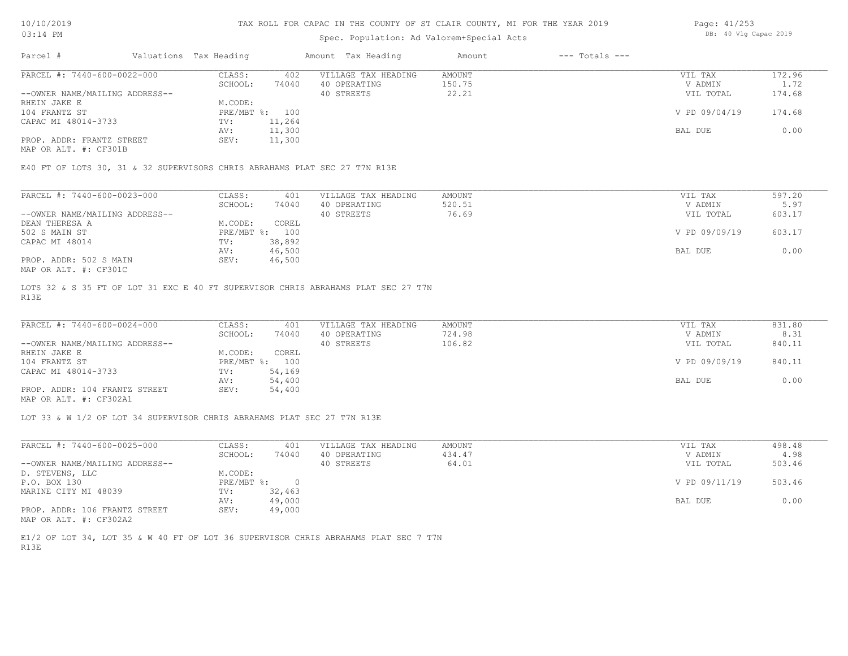## Spec. Population: Ad Valorem+Special Acts

| Page: 41/253 |  |                       |  |
|--------------|--|-----------------------|--|
|              |  | DB: 40 Vlg Capac 2019 |  |

| Parcel #                       | Valuations Tax Heading |        | Amount Tax Heading  | Amount | $---$ Totals $---$ |               |        |
|--------------------------------|------------------------|--------|---------------------|--------|--------------------|---------------|--------|
| PARCEL #: 7440-600-0022-000    | CLASS:                 | 402    | VILLAGE TAX HEADING | AMOUNT |                    | VIL TAX       | 172.96 |
|                                | SCHOOL:                | 74040  | 40 OPERATING        | 150.75 |                    | V ADMIN       | 1.72   |
| --OWNER NAME/MAILING ADDRESS-- |                        |        | 40 STREETS          | 22.21  |                    | VIL TOTAL     | 174.68 |
| RHEIN JAKE E                   | M.CODE:                |        |                     |        |                    |               |        |
| 104 FRANTZ ST                  | PRE/MBT %: 100         |        |                     |        |                    | V PD 09/04/19 | 174.68 |
| CAPAC MI 48014-3733            | TV:                    | 11,264 |                     |        |                    |               |        |
|                                | AV:                    | 11,300 |                     |        |                    | BAL DUE       | 0.00   |
| PROP. ADDR: FRANTZ STREET      | SEV:                   | 11,300 |                     |        |                    |               |        |
|                                |                        |        |                     |        |                    |               |        |

MAP OR ALT. #: CF301B

E40 FT OF LOTS 30, 31 & 32 SUPERVISORS CHRIS ABRAHAMS PLAT SEC 27 T7N R13E

| PARCEL #: 7440-600-0023-000                           | CLASS:     | 401    | VILLAGE TAX HEADING | AMOUNT | VIL TAX       | 597.20 |
|-------------------------------------------------------|------------|--------|---------------------|--------|---------------|--------|
|                                                       | SCHOOL:    | 74040  | 40 OPERATING        | 520.51 | V ADMIN       | 5.97   |
| --OWNER NAME/MAILING ADDRESS--                        |            |        | 40 STREETS          | 76.69  | VIL TOTAL     | 603.17 |
| DEAN THERESA A                                        | M.CODE:    | COREL  |                     |        |               |        |
| 502 S MAIN ST                                         | PRE/MBT %: | 100    |                     |        | V PD 09/09/19 | 603.17 |
| CAPAC MI 48014                                        | TV:        | 38,892 |                     |        |               |        |
|                                                       | AV:        | 46,500 |                     |        | BAL DUE       | 0.00   |
| PROP. ADDR: 502 S MAIN                                | SEV:       | 46,500 |                     |        |               |        |
| $\cdots$ $\cdots$ $\cdots$ $\cdots$ $\cdots$ $\cdots$ |            |        |                     |        |               |        |

MAP OR ALT. #: CF301C

R13E LOTS 32 & S 35 FT OF LOT 31 EXC E 40 FT SUPERVISOR CHRIS ABRAHAMS PLAT SEC 27 T7N

| PARCEL #: 7440-600-0024-000    | CLASS:       | 401    | VILLAGE TAX HEADING | AMOUNT | VIL TAX       | 831.80 |
|--------------------------------|--------------|--------|---------------------|--------|---------------|--------|
|                                | SCHOOL:      | 74040  | 40 OPERATING        | 724.98 | V ADMIN       | 8.31   |
| --OWNER NAME/MAILING ADDRESS-- |              |        | 40 STREETS          | 106.82 | VIL TOTAL     | 840.11 |
| RHEIN JAKE E                   | M.CODE:      | COREL  |                     |        |               |        |
| 104 FRANTZ ST                  | $PRE/MBT$ %: | 100    |                     |        | V PD 09/09/19 | 840.11 |
| CAPAC MI 48014-3733            | TV:          | 54,169 |                     |        |               |        |
|                                | AV:          | 54,400 |                     |        | BAL DUE       | 0.00   |
| PROP. ADDR: 104 FRANTZ STREET  | SEV:         | 54,400 |                     |        |               |        |
| MAP OR ALT. #: CF302A1         |              |        |                     |        |               |        |

 $\_$  , and the state of the state of the state of the state of the state of the state of the state of the state of the state of the state of the state of the state of the state of the state of the state of the state of the

LOT 33 & W 1/2 OF LOT 34 SUPERVISOR CHRIS ABRAHAMS PLAT SEC 27 T7N R13E

| PARCEL #: 7440-600-0025-000    | CLASS:     | 401    | VILLAGE TAX HEADING | AMOUNT | VIL TAX       | 498.48 |
|--------------------------------|------------|--------|---------------------|--------|---------------|--------|
|                                | SCHOOL:    | 74040  | 40 OPERATING        | 434.47 | V ADMIN       | 4.98   |
| --OWNER NAME/MAILING ADDRESS-- |            |        | 40 STREETS          | 64.01  | VIL TOTAL     | 503.46 |
| D. STEVENS, LLC                | M.CODE:    |        |                     |        |               |        |
| P.O. BOX 130                   | PRE/MBT %: |        |                     |        | V PD 09/11/19 | 503.46 |
| MARINE CITY MI 48039           | TV:        | 32,463 |                     |        |               |        |
|                                | AV:        | 49,000 |                     |        | BAL DUE       | 0.00   |
| PROP. ADDR: 106 FRANTZ STREET  | SEV:       | 49,000 |                     |        |               |        |
| MAP OR ALT. #: CF302A2         |            |        |                     |        |               |        |

R13E E1/2 OF LOT 34, LOT 35 & W 40 FT OF LOT 36 SUPERVISOR CHRIS ABRAHAMS PLAT SEC 7 T7N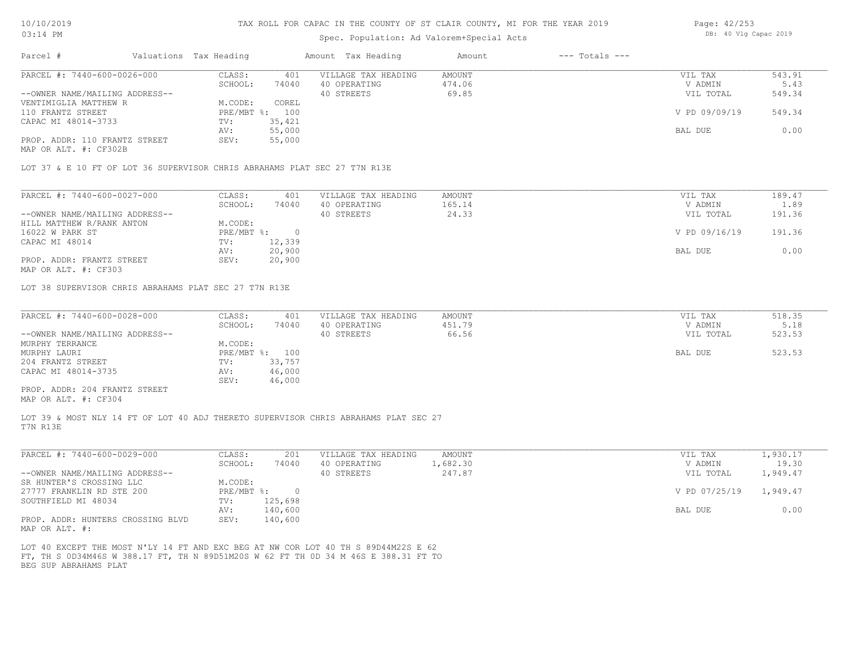## Spec. Population: Ad Valorem+Special Acts

| Parcel #                       | Valuations Tax Heading |        | Amount Tax Heading  | Amount | $---$ Totals $---$ |               |        |
|--------------------------------|------------------------|--------|---------------------|--------|--------------------|---------------|--------|
| PARCEL #: 7440-600-0026-000    | CLASS:                 | 401    | VILLAGE TAX HEADING | AMOUNT |                    | VIL TAX       | 543.91 |
|                                | SCHOOL:                | 74040  | 40 OPERATING        | 474.06 |                    | V ADMIN       | 5.43   |
| --OWNER NAME/MAILING ADDRESS-- |                        |        | 40 STREETS          | 69.85  |                    | VIL TOTAL     | 549.34 |
| VENTIMIGLIA MATTHEW R          | M.CODE:                | COREL  |                     |        |                    |               |        |
| 110 FRANTZ STREET              | PRE/MBT %: 100         |        |                     |        |                    | V PD 09/09/19 | 549.34 |
| CAPAC MI 48014-3733            | TV:                    | 35,421 |                     |        |                    |               |        |
|                                | AV:                    | 55,000 |                     |        |                    | BAL DUE       | 0.00   |
| PROP. ADDR: 110 FRANTZ STREET  | SEV:                   | 55,000 |                     |        |                    |               |        |
|                                |                        |        |                     |        |                    |               |        |

MAP OR ALT. #: CF302B

LOT 37 & E 10 FT OF LOT 36 SUPERVISOR CHRIS ABRAHAMS PLAT SEC 27 T7N R13E

| V ADMIN       | 1.89      |
|---------------|-----------|
|               |           |
|               | 191.36    |
|               |           |
| V PD 09/16/19 | 191.36    |
|               |           |
| BAL DUE       | 0.00      |
|               |           |
|               | VIL TOTAL |

MAP OR ALT. #: CF303

LOT 38 SUPERVISOR CHRIS ABRAHAMS PLAT SEC 27 T7N R13E

| PARCEL #: 7440-600-0028-000    | CLASS:  | 401            | VILLAGE TAX HEADING | AMOUNT | VIL TAX   | 518.35 |
|--------------------------------|---------|----------------|---------------------|--------|-----------|--------|
|                                | SCHOOL: | 74040          | 40 OPERATING        | 451.79 | V ADMIN   | 5.18   |
| --OWNER NAME/MAILING ADDRESS-- |         |                | 40 STREETS          | 66.56  | VIL TOTAL | 523.53 |
| MURPHY TERRANCE                | M.CODE: |                |                     |        |           |        |
| MURPHY LAURI                   |         | PRE/MBT %: 100 |                     |        | BAL DUE   | 523.53 |
| 204 FRANTZ STREET              | TV:     | 33,757         |                     |        |           |        |
| CAPAC MI 48014-3735            | AV:     | 46,000         |                     |        |           |        |
|                                | SEV:    | 46,000         |                     |        |           |        |
| PROP. ADDR: 204 FRANTZ STREET  |         |                |                     |        |           |        |

MAP OR ALT. #: CF304

T7N R13E LOT 39 & MOST NLY 14 FT OF LOT 40 ADJ THERETO SUPERVISOR CHRIS ABRAHAMS PLAT SEC 27

| PARCEL #: 7440-600-0029-000       | CLASS:     | 201     | VILLAGE TAX HEADING | AMOUNT   | VIL TAX       | .,930.17 |
|-----------------------------------|------------|---------|---------------------|----------|---------------|----------|
|                                   | SCHOOL:    | 74040   | 40 OPERATING        | 1,682.30 | V ADMIN       | 19.30    |
| --OWNER NAME/MAILING ADDRESS--    |            |         | 40 STREETS          | 247.87   | VIL TOTAL     | 1,949.47 |
| SR HUNTER'S CROSSING LLC          | M.CODE:    |         |                     |          |               |          |
| 27777 FRANKLIN RD STE 200         | PRE/MBT %: | $\Box$  |                     |          | V PD 07/25/19 | 1,949.47 |
| SOUTHFIELD MI 48034               | TV:        | 125,698 |                     |          |               |          |
|                                   | AV:        | 140,600 |                     |          | BAL DUE       | 0.00     |
| PROP. ADDR: HUNTERS CROSSING BLVD | SEV:       | 140,600 |                     |          |               |          |
|                                   |            |         |                     |          |               |          |

MAP OR ALT. #:

BEG SUP ABRAHAMS PLAT FT, TH S 0D34M46S W 388.17 FT, TH N 89D51M20S W 62 FT TH 0D 34 M 46S E 388.31 FT TO LOT 40 EXCEPT THE MOST N'LY 14 FT AND EXC BEG AT NW COR LOT 40 TH S 89D44M22S E 62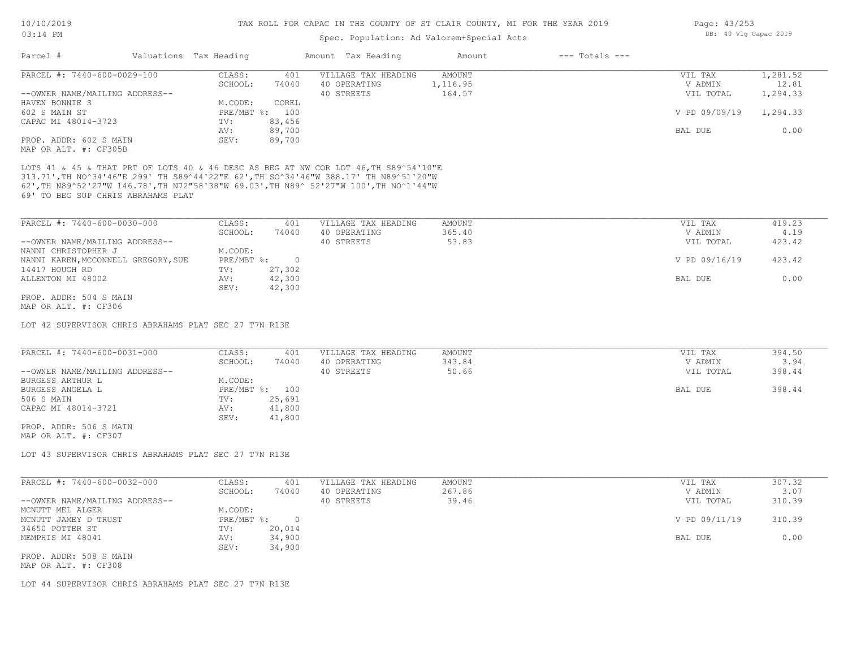# Spec. Population: Ad Valorem+Special Acts

| Page: 43/253 |  |                       |  |
|--------------|--|-----------------------|--|
|              |  | DB: 40 Vlg Capac 2019 |  |

| Parcel #<br>Valuations Tax Heading                                                                                                                                                                                                                                                                           |                                              | Amount Tax Heading                                | Amount                    | $---$ Totals $---$ |                                 |                          |
|--------------------------------------------------------------------------------------------------------------------------------------------------------------------------------------------------------------------------------------------------------------------------------------------------------------|----------------------------------------------|---------------------------------------------------|---------------------------|--------------------|---------------------------------|--------------------------|
| PARCEL #: 7440-600-0029-100                                                                                                                                                                                                                                                                                  | CLASS:<br>401                                | VILLAGE TAX HEADING                               | AMOUNT                    |                    | VIL TAX                         | 1,281.52                 |
|                                                                                                                                                                                                                                                                                                              | SCHOOL:<br>74040                             | 40 OPERATING                                      | 1,116.95                  |                    | V ADMIN                         | 12.81                    |
| --OWNER NAME/MAILING ADDRESS--                                                                                                                                                                                                                                                                               |                                              | 40 STREETS                                        | 164.57                    |                    | VIL TOTAL                       | 1,294.33                 |
| HAVEN BONNIE S                                                                                                                                                                                                                                                                                               | M.CODE:<br>COREL                             |                                                   |                           |                    |                                 |                          |
| 602 S MAIN ST                                                                                                                                                                                                                                                                                                | PRE/MBT %: 100                               |                                                   |                           |                    | V PD 09/09/19                   | 1,294.33                 |
| CAPAC MI 48014-3723                                                                                                                                                                                                                                                                                          | 83,456<br>TV:                                |                                                   |                           |                    |                                 |                          |
|                                                                                                                                                                                                                                                                                                              | 89,700<br>AV:                                |                                                   |                           |                    | BAL DUE                         | 0.00                     |
| PROP. ADDR: 602 S MAIN                                                                                                                                                                                                                                                                                       | SEV:<br>89,700                               |                                                   |                           |                    |                                 |                          |
| MAP OR ALT. #: CF305B                                                                                                                                                                                                                                                                                        |                                              |                                                   |                           |                    |                                 |                          |
| LOTS 41 & 45 & THAT PRT OF LOTS 40 & 46 DESC AS BEG AT NW COR LOT 46, TH S89^54'10"E<br>313.71', TH NO^34'46"E 299' TH S89^44'22"E 62', TH SO^34'46"W 388.17' TH N89^51'20"W<br>62', TH N89^52'27"W 146.78', TH N72"58'38"W 69.03', TH N89^ 52'27"W 100', TH NO^1'44"W<br>69' TO BEG SUP CHRIS ABRAHAMS PLAT |                                              |                                                   |                           |                    |                                 |                          |
| PARCEL #: 7440-600-0030-000                                                                                                                                                                                                                                                                                  | CLASS:                                       | VILLAGE TAX HEADING                               | AMOUNT                    |                    | VIL TAX                         | 419.23                   |
|                                                                                                                                                                                                                                                                                                              | 401                                          |                                                   | 365.40                    |                    |                                 | 4.19                     |
|                                                                                                                                                                                                                                                                                                              | SCHOOL:<br>74040                             | 40 OPERATING                                      |                           |                    | V ADMIN                         |                          |
| --OWNER NAME/MAILING ADDRESS--                                                                                                                                                                                                                                                                               |                                              | 40 STREETS                                        | 53.83                     |                    | VIL TOTAL                       | 423.42                   |
| NANNI CHRISTOPHER J                                                                                                                                                                                                                                                                                          | M.CODE:                                      |                                                   |                           |                    |                                 |                          |
| NANNI KAREN, MCCONNELL GREGORY, SUE                                                                                                                                                                                                                                                                          | PRE/MBT %:<br>$\overline{0}$                 |                                                   |                           |                    | V PD 09/16/19                   | 423.42                   |
| 14417 HOUGH RD                                                                                                                                                                                                                                                                                               | 27,302<br>TV:                                |                                                   |                           |                    |                                 |                          |
| ALLENTON MI 48002                                                                                                                                                                                                                                                                                            | AV:<br>42,300                                |                                                   |                           |                    | BAL DUE                         | 0.00                     |
|                                                                                                                                                                                                                                                                                                              | 42,300<br>SEV:                               |                                                   |                           |                    |                                 |                          |
| PROP. ADDR: 504 S MAIN<br>MAP OR ALT. #: CF306                                                                                                                                                                                                                                                               |                                              |                                                   |                           |                    |                                 |                          |
| LOT 42 SUPERVISOR CHRIS ABRAHAMS PLAT SEC 27 T7N R13E<br>PARCEL #: 7440-600-0031-000<br>--OWNER NAME/MAILING ADDRESS--<br>BURGESS ARTHUR L                                                                                                                                                                   | CLASS:<br>401<br>SCHOOL:<br>74040<br>M.CODE: | VILLAGE TAX HEADING<br>40 OPERATING<br>40 STREETS | AMOUNT<br>343.84<br>50.66 |                    | VIL TAX<br>V ADMIN<br>VIL TOTAL | 394.50<br>3.94<br>398.44 |
| BURGESS ANGELA L                                                                                                                                                                                                                                                                                             | PRE/MBT %: 100                               |                                                   |                           |                    | BAL DUE                         | 398.44                   |
| 506 S MAIN                                                                                                                                                                                                                                                                                                   | 25,691<br>TV:                                |                                                   |                           |                    |                                 |                          |
| CAPAC MI 48014-3721                                                                                                                                                                                                                                                                                          | 41,800<br>AV:                                |                                                   |                           |                    |                                 |                          |
|                                                                                                                                                                                                                                                                                                              | SEV:<br>41,800                               |                                                   |                           |                    |                                 |                          |
| PROP. ADDR: 506 S MAIN                                                                                                                                                                                                                                                                                       |                                              |                                                   |                           |                    |                                 |                          |
| MAP OR ALT. #: CF307                                                                                                                                                                                                                                                                                         |                                              |                                                   |                           |                    |                                 |                          |
| LOT 43 SUPERVISOR CHRIS ABRAHAMS PLAT SEC 27 T7N R13E                                                                                                                                                                                                                                                        |                                              |                                                   |                           |                    |                                 |                          |
|                                                                                                                                                                                                                                                                                                              |                                              |                                                   |                           |                    |                                 |                          |
| PARCEL #: 7440-600-0032-000                                                                                                                                                                                                                                                                                  | CLASS:<br>401                                | VILLAGE TAX HEADING                               | <b>AMOUNT</b>             |                    | VIL TAX                         | 307.32                   |
|                                                                                                                                                                                                                                                                                                              | SCHOOL:<br>74040                             | 40 OPERATING                                      | 267.86                    |                    | V ADMIN                         | 3.07                     |
| --OWNER NAME/MAILING ADDRESS--                                                                                                                                                                                                                                                                               |                                              | 40 STREETS                                        | 39.46                     |                    | VIL TOTAL                       | 310.39                   |
| MCNUTT MEL ALGER                                                                                                                                                                                                                                                                                             | M.CODE:                                      |                                                   |                           |                    |                                 |                          |
| MCNUTT JAMEY D TRUST                                                                                                                                                                                                                                                                                         | $PRE/MBT$ %:<br>$\overline{0}$               |                                                   |                           |                    | V PD 09/11/19                   | 310.39                   |
| 34650 POTTER ST                                                                                                                                                                                                                                                                                              | 20,014<br>TV:                                |                                                   |                           |                    |                                 |                          |
| MEMPHIS MI 48041                                                                                                                                                                                                                                                                                             | 34,900<br>AV:                                |                                                   |                           |                    | BAL DUE                         | 0.00                     |
|                                                                                                                                                                                                                                                                                                              | SEV:<br>34,900                               |                                                   |                           |                    |                                 |                          |
| PROP. ADDR: 508 S MAIN<br>MAP OR ALT. #: CF308                                                                                                                                                                                                                                                               |                                              |                                                   |                           |                    |                                 |                          |
|                                                                                                                                                                                                                                                                                                              |                                              |                                                   |                           |                    |                                 |                          |

LOT 44 SUPERVISOR CHRIS ABRAHAMS PLAT SEC 27 T7N R13E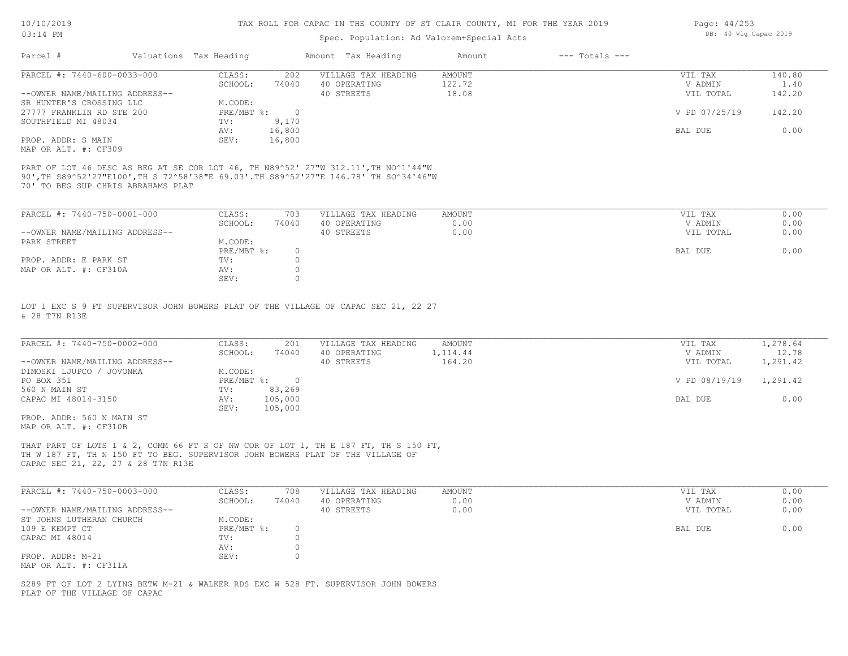# Spec. Population: Ad Valorem+Special Acts

| Page: $44/253$ |  |                       |  |
|----------------|--|-----------------------|--|
|                |  | DB: 40 Vlg Capac 2019 |  |

| Parcel #                       | Valuations Tax Heading |        | Amount Tax Heading  | Amount | $---$ Totals $---$ |               |        |
|--------------------------------|------------------------|--------|---------------------|--------|--------------------|---------------|--------|
| PARCEL #: 7440-600-0033-000    | CLASS:                 | 202    | VILLAGE TAX HEADING | AMOUNT |                    | VIL TAX       | 140.80 |
|                                | SCHOOL:                | 74040  | 40 OPERATING        | 122.72 |                    | V ADMIN       | 1.40   |
| --OWNER NAME/MAILING ADDRESS-- |                        |        | 40 STREETS          | 18.08  |                    | VIL TOTAL     | 142.20 |
| SR HUNTER'S CROSSING LLC       | M.CODE:                |        |                     |        |                    |               |        |
| 27777 FRANKLIN RD STE 200      | PRE/MBT %:             |        |                     |        |                    | V PD 07/25/19 | 142.20 |
| SOUTHFIELD MI 48034            | TV:                    | 9,170  |                     |        |                    |               |        |
|                                | AV:                    | 16,800 |                     |        |                    | BAL DUE       | 0.00   |
| PROP. ADDR: S MAIN             | SEV:                   | 16,800 |                     |        |                    |               |        |
| MAP OR ALT. #: CF309           |                        |        |                     |        |                    |               |        |

70' TO BEG SUP CHRIS ABRAHAMS PLAT 90',TH S89^52'27"E100',TH S 72^58'38"E 69.03'.TH S89^52'27"E 146.78' TH SO^34'46"W PART OF LOT 46 DESC AS BEG AT SE COR LOT 46, TH N89^52' 27"W 312.11',TH NO^1'44"W

| PARCEL #: 7440-750-0001-000    | CLASS:     | 703   | VILLAGE TAX HEADING | AMOUNT | VIL TAX   | 0.00 |
|--------------------------------|------------|-------|---------------------|--------|-----------|------|
|                                | SCHOOL:    | 74040 | 40 OPERATING        | 0.00   | V ADMIN   | 0.00 |
| --OWNER NAME/MAILING ADDRESS-- |            |       | 40 STREETS          | 0.00   | VIL TOTAL | 0.00 |
| PARK STREET                    | M.CODE:    |       |                     |        |           |      |
|                                | PRE/MBT %: |       |                     |        | BAL DUE   | 0.00 |
| PROP. ADDR: E PARK ST          | TV:        |       |                     |        |           |      |
| MAP OR ALT. #: CF310A          | AV:        |       |                     |        |           |      |
|                                | SEV:       |       |                     |        |           |      |

& 28 T7N R13E LOT 1 EXC S 9 FT SUPERVISOR JOHN BOWERS PLAT OF THE VILLAGE OF CAPAC SEC 21, 22 27

| PARCEL #: 7440-750-0002-000    | CLASS:     | 201     | VILLAGE TAX HEADING | AMOUNT    | VIL TAX       | 1,278.64 |
|--------------------------------|------------|---------|---------------------|-----------|---------------|----------|
|                                | SCHOOL:    | 74040   | 40 OPERATING        | 1, 114.44 | V ADMIN       | 12.78    |
| --OWNER NAME/MAILING ADDRESS-- |            |         | 40 STREETS          | 164.20    | VIL TOTAL     | 1,291.42 |
| DIMOSKI LJUPCO / JOVONKA       | M.CODE:    |         |                     |           |               |          |
| PO BOX 351                     | PRE/MBT %: |         |                     |           | V PD 08/19/19 | 1,291.42 |
| 560 N MAIN ST                  | TV:        | 83,269  |                     |           |               |          |
| CAPAC MI 48014-3150            | AV:        | 105,000 |                     |           | BAL DUE       | 0.00     |
|                                | SEV:       | 105,000 |                     |           |               |          |
| PROP. ADDR: 560 N MAIN ST      |            |         |                     |           |               |          |

MAP OR ALT. #: CF310B

CAPAC SEC 21, 22, 27 & 28 T7N R13E TH W 187 FT, TH N 150 FT TO BEG. SUPERVISOR JOHN BOWERS PLAT OF THE VILLAGE OF THAT PART OF LOTS 1 & 2, COMM 66 FT S OF NW COR OF LOT 1, TH E 187 FT, TH S 150 FT,

| PARCEL #: 7440-750-0003-000    | CLASS:     | 708   | VILLAGE TAX HEADING | AMOUNT | VIL TAX   | 0.00 |
|--------------------------------|------------|-------|---------------------|--------|-----------|------|
|                                | SCHOOL:    | 74040 | 40 OPERATING        | 0.00   | V ADMIN   | 0.00 |
| --OWNER NAME/MAILING ADDRESS-- |            |       | 40 STREETS          | 0.00   | VIL TOTAL | 0.00 |
| ST JOHNS LUTHERAN CHURCH       | M.CODE:    |       |                     |        |           |      |
| 109 E KEMPT CT                 | PRE/MBT %: |       |                     |        | BAL DUE   | 0.00 |
| CAPAC MI 48014                 | TV:        |       |                     |        |           |      |
|                                | AV:        |       |                     |        |           |      |
| PROP. ADDR: M-21               | SEV:       |       |                     |        |           |      |
| MAP OR ALT. #: CF311A          |            |       |                     |        |           |      |

 $\_$  , and the state of the state of the state of the state of the state of the state of the state of the state of the state of the state of the state of the state of the state of the state of the state of the state of the

PLAT OF THE VILLAGE OF CAPAC S289 FT OF LOT 2 LYING BETW M-21 & WALKER RDS EXC W 528 FT. SUPERVISOR JOHN BOWERS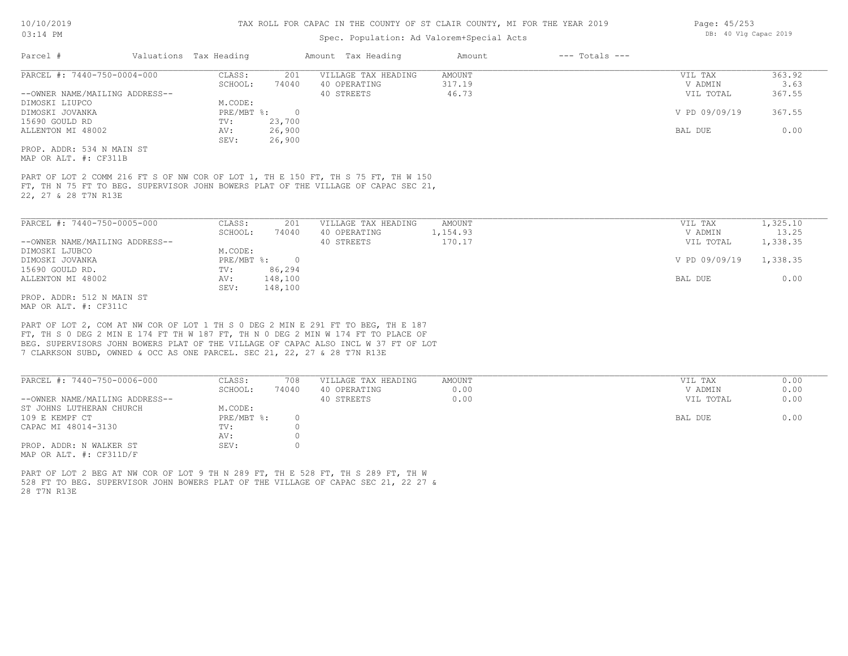# Spec. Population: Ad Valorem+Special Acts

| Parcel #                       | Valuations Tax Heading | Amount Tax Heading |                     | Amount | $---$ Totals $---$ |               |        |  |
|--------------------------------|------------------------|--------------------|---------------------|--------|--------------------|---------------|--------|--|
| PARCEL #: 7440-750-0004-000    | CLASS:                 | 201                | VILLAGE TAX HEADING | AMOUNT |                    | VIL TAX       | 363.92 |  |
|                                | SCHOOL:                | 74040              | 40 OPERATING        | 317.19 |                    | V ADMIN       | 3.63   |  |
| --OWNER NAME/MAILING ADDRESS-- |                        |                    | 40 STREETS          | 46.73  |                    | VIL TOTAL     | 367.55 |  |
| DIMOSKI LIUPCO                 | M.CODE:                |                    |                     |        |                    |               |        |  |
| DIMOSKI JOVANKA                | PRE/MBT %:             |                    |                     |        |                    | V PD 09/09/19 | 367.55 |  |
| 15690 GOULD RD                 | TV:                    | 23,700             |                     |        |                    |               |        |  |
| ALLENTON MI 48002              | AV:                    | 26,900             |                     |        |                    | BAL DUE       | 0.00   |  |
|                                | SEV:                   | 26,900             |                     |        |                    |               |        |  |
| PROP. ADDR: 534 N MAIN ST      |                        |                    |                     |        |                    |               |        |  |

MAP OR ALT. #: CF311B

22, 27 & 28 T7N R13E FT, TH N 75 FT TO BEG. SUPERVISOR JOHN BOWERS PLAT OF THE VILLAGE OF CAPAC SEC 21, PART OF LOT 2 COMM 216 FT S OF NW COR OF LOT 1, TH E 150 FT, TH S 75 FT, TH W 150

| PARCEL #: 7440-750-0005-000    | CLASS:     | 201      | VILLAGE TAX HEADING | AMOUNT   | VIL TAX       | 1,325.10 |
|--------------------------------|------------|----------|---------------------|----------|---------------|----------|
|                                | SCHOOL:    | 74040    | 40 OPERATING        | 1,154.93 | V ADMIN       | 13.25    |
| --OWNER NAME/MAILING ADDRESS-- |            |          | 40 STREETS          | 170.17   | VIL TOTAL     | 1,338.35 |
| DIMOSKI LJUBCO                 | M.CODE:    |          |                     |          |               |          |
| DIMOSKI JOVANKA                | PRE/MBT %: | $\Omega$ |                     |          | V PD 09/09/19 | 1,338.35 |
| 15690 GOULD RD.                | TV:        | 86,294   |                     |          |               |          |
| ALLENTON MI 48002              | AV:        | 148,100  |                     |          | BAL DUE       | 0.00     |
|                                | SEV:       | 148,100  |                     |          |               |          |
| PROP. ADDR: 512 N MAIN ST      |            |          |                     |          |               |          |

MAP OR ALT. #: CF311C

7 CLARKSON SUBD, OWNED & OCC AS ONE PARCEL. SEC 21, 22, 27 & 28 T7N R13E BEG. SUPERVISORS JOHN BOWERS PLAT OF THE VILLAGE OF CAPAC ALSO INCL W 37 FT OF LOT FT, TH S 0 DEG 2 MIN E 174 FT TH W 187 FT, TH N 0 DEG 2 MIN W 174 FT TO PLACE OF PART OF LOT 2, COM AT NW COR OF LOT 1 TH S 0 DEG 2 MIN E 291 FT TO BEG, TH E 187

| PARCEL #: 7440-750-0006-000    | CLASS:     | 708   | VILLAGE TAX HEADING | AMOUNT | 0.00<br>VIL TAX   |
|--------------------------------|------------|-------|---------------------|--------|-------------------|
|                                | SCHOOL:    | 74040 | 40 OPERATING        | 0.00   | 0.00<br>V ADMIN   |
| --OWNER NAME/MAILING ADDRESS-- |            |       | 40 STREETS          | 0.00   | 0.00<br>VIL TOTAL |
| ST JOHNS LUTHERAN CHURCH       | M.CODE:    |       |                     |        |                   |
| 109 E KEMPF CT                 | PRE/MBT %: |       |                     |        | 0.00<br>BAL DUE   |
| CAPAC MI 48014-3130            | TV:        |       |                     |        |                   |
|                                | AV:        |       |                     |        |                   |
| PROP. ADDR: N WALKER ST        | SEV:       |       |                     |        |                   |
| MAP OR ALT. $\#$ : CF311D/F    |            |       |                     |        |                   |

28 T7N R13E 528 FT TO BEG. SUPERVISOR JOHN BOWERS PLAT OF THE VILLAGE OF CAPAC SEC 21, 22 27 & PART OF LOT 2 BEG AT NW COR OF LOT 9 TH N 289 FT, TH E 528 FT, TH S 289 FT, TH W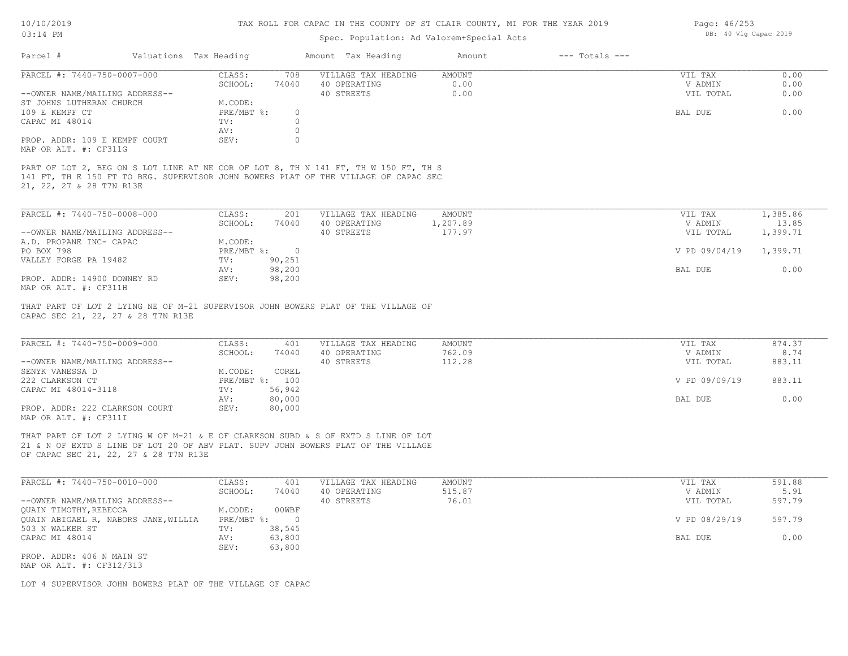# 10/10/2019 03:14 PM

# TAX ROLL FOR CAPAC IN THE COUNTY OF ST CLAIR COUNTY, MI FOR THE YEAR 2019

# Spec. Population: Ad Valorem+Special Acts

| Parcel #                                                                                                                                                                                                        | Valuations Tax Heading |                          | Amount Tax Heading  | Amount        | $---$ Totals $---$ |               |          |
|-----------------------------------------------------------------------------------------------------------------------------------------------------------------------------------------------------------------|------------------------|--------------------------|---------------------|---------------|--------------------|---------------|----------|
| PARCEL #: 7440-750-0007-000                                                                                                                                                                                     | CLASS:                 | 708                      | VILLAGE TAX HEADING | AMOUNT        |                    | VIL TAX       | 0.00     |
|                                                                                                                                                                                                                 | SCHOOL:                | 74040                    | 40 OPERATING        | 0.00          |                    | V ADMIN       | 0.00     |
| --OWNER NAME/MAILING ADDRESS--                                                                                                                                                                                  |                        |                          | 40 STREETS          | 0.00          |                    | VIL TOTAL     | 0.00     |
| ST JOHNS LUTHERAN CHURCH                                                                                                                                                                                        | M.CODE:                |                          |                     |               |                    |               |          |
| 109 E KEMPF CT                                                                                                                                                                                                  | PRE/MBT %:             | $\circ$                  |                     |               |                    | BAL DUE       | 0.00     |
| CAPAC MI 48014                                                                                                                                                                                                  | TV:                    | $\Omega$                 |                     |               |                    |               |          |
|                                                                                                                                                                                                                 | AV:                    | $\circ$                  |                     |               |                    |               |          |
| PROP. ADDR: 109 E KEMPF COURT<br>MAP OR ALT. #: CF311G                                                                                                                                                          | SEV:                   | $\circ$                  |                     |               |                    |               |          |
| PART OF LOT 2, BEG ON S LOT LINE AT NE COR OF LOT 8, TH N 141 FT, TH W 150 FT, TH S<br>141 FT, TH E 150 FT TO BEG. SUPERVISOR JOHN BOWERS PLAT OF THE VILLAGE OF CAPAC SEC<br>21, 22, 27 & 28 T7N R13E          |                        |                          |                     |               |                    |               |          |
| PARCEL #: 7440-750-0008-000                                                                                                                                                                                     | CLASS:                 | 201                      | VILLAGE TAX HEADING | <b>AMOUNT</b> |                    | VIL TAX       | 1,385.86 |
|                                                                                                                                                                                                                 | SCHOOL:                | 74040                    | 40 OPERATING        | 1,207.89      |                    | V ADMIN       | 13.85    |
| --OWNER NAME/MAILING ADDRESS--                                                                                                                                                                                  |                        |                          | 40 STREETS          | 177.97        |                    | VIL TOTAL     | 1,399.71 |
| A.D. PROPANE INC- CAPAC                                                                                                                                                                                         | M.CODE:                |                          |                     |               |                    |               |          |
| PO BOX 798                                                                                                                                                                                                      | PRE/MBT %:             | $\overline{\phantom{0}}$ |                     |               |                    | V PD 09/04/19 | 1,399.71 |
| VALLEY FORGE PA 19482                                                                                                                                                                                           | TV:                    | 90,251                   |                     |               |                    |               |          |
|                                                                                                                                                                                                                 | AV:                    | 98,200                   |                     |               |                    | BAL DUE       | 0.00     |
| PROP. ADDR: 14900 DOWNEY RD                                                                                                                                                                                     | SEV:                   | 98,200                   |                     |               |                    |               |          |
| MAP OR ALT. #: CF311H                                                                                                                                                                                           |                        |                          |                     |               |                    |               |          |
| THAT PART OF LOT 2 LYING NE OF M-21 SUPERVISOR JOHN BOWERS PLAT OF THE VILLAGE OF<br>CAPAC SEC 21, 22, 27 & 28 T7N R13E                                                                                         |                        |                          |                     |               |                    |               |          |
| PARCEL #: 7440-750-0009-000                                                                                                                                                                                     | CLASS:                 | 401                      | VILLAGE TAX HEADING | AMOUNT        |                    | VIL TAX       | 874.37   |
|                                                                                                                                                                                                                 | SCHOOL:                | 74040                    | 40 OPERATING        | 762.09        |                    | V ADMIN       | 8.74     |
| --OWNER NAME/MAILING ADDRESS--                                                                                                                                                                                  |                        |                          | 40 STREETS          | 112.28        |                    | VIL TOTAL     | 883.11   |
| SENYK VANESSA D                                                                                                                                                                                                 | M.CODE:                | COREL                    |                     |               |                    |               |          |
| 222 CLARKSON CT                                                                                                                                                                                                 |                        | PRE/MBT %: 100           |                     |               |                    | V PD 09/09/19 | 883.11   |
| CAPAC MI 48014-3118                                                                                                                                                                                             | TV:                    | 56,942                   |                     |               |                    |               |          |
|                                                                                                                                                                                                                 | AV:                    | 80,000                   |                     |               |                    | BAL DUE       | 0.00     |
| PROP. ADDR: 222 CLARKSON COURT                                                                                                                                                                                  | SEV:                   | 80,000                   |                     |               |                    |               |          |
| MAP OR ALT. #: CF311I                                                                                                                                                                                           |                        |                          |                     |               |                    |               |          |
| THAT PART OF LOT 2 LYING W OF M-21 & E OF CLARKSON SUBD & S OF EXTD S LINE OF LOT<br>21 & N OF EXTD S LINE OF LOT 20 OF ABV PLAT. SUPV JOHN BOWERS PLAT OF THE VILLAGE<br>OF CAPAC SEC 21, 22, 27 & 28 T7N R13E |                        |                          |                     |               |                    |               |          |
| PARCEL #: 7440-750-0010-000                                                                                                                                                                                     | CLASS:                 | 401                      | VILLAGE TAX HEADING | AMOUNT        |                    | VIL TAX       | 591.88   |
|                                                                                                                                                                                                                 |                        |                          |                     |               |                    |               |          |

| PARCEL #: 7440-750-0010-000          | CLASS:     | 401    | VILLAGE TAX HEADING | AMOUNT | VIL TAX       | 591.88 |
|--------------------------------------|------------|--------|---------------------|--------|---------------|--------|
|                                      | SCHOOL:    | 74040  | 40 OPERATING        | 515.87 | V ADMIN       | 5.91   |
| --OWNER NAME/MAILING ADDRESS--       |            |        | 40 STREETS          | 76.01  | VIL TOTAL     | 597.79 |
| OUAIN TIMOTHY, REBECCA               | M.CODE:    | 00WBF  |                     |        |               |        |
| OUAIN ABIGAEL R, NABORS JANE, WILLIA | PRE/MBT %: |        |                     |        | V PD 08/29/19 | 597.79 |
| 503 N WALKER ST                      | TV:        | 38,545 |                     |        |               |        |
| CAPAC MI 48014                       | AV:        | 63,800 |                     |        | BAL DUE       | 0.00   |
|                                      | SEV:       | 63,800 |                     |        |               |        |
| PROP. ADDR: 406 N MAIN ST            |            |        |                     |        |               |        |

MAP OR ALT. #: CF312/313

LOT 4 SUPERVISOR JOHN BOWERS PLAT OF THE VILLAGE OF CAPAC

Page: 46/253 DB: 40 Vlg Capac 2019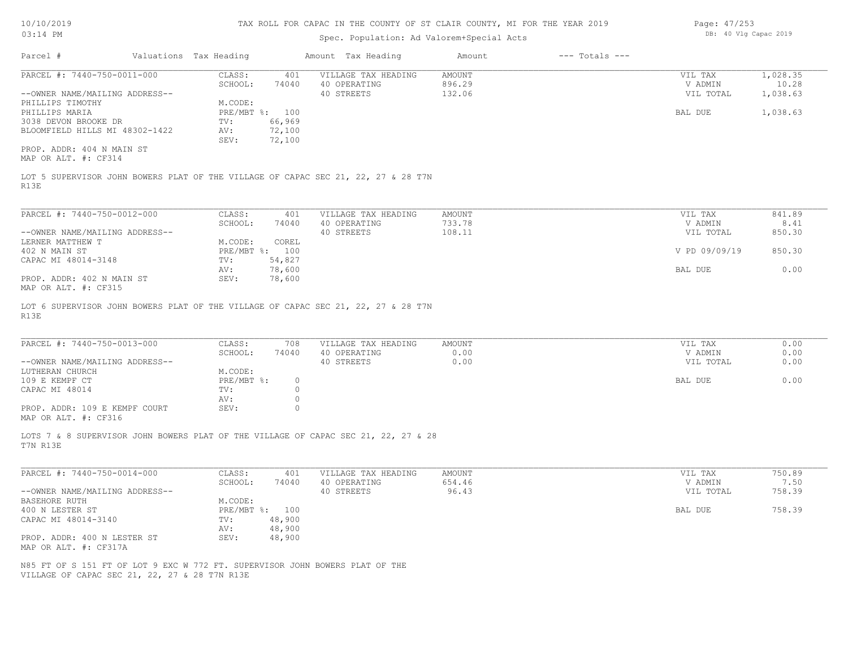| Page: 47/253 |  |                       |  |
|--------------|--|-----------------------|--|
|              |  | DB: 40 Vlg Capac 2019 |  |

| $03:14$ PM                                                                                                                    |                        |                                  |                               | Spec. Population: Ad Valorem+Special Acts                                          |                                   | DB: 40 VIG Capac 2019 |                                 |                               |
|-------------------------------------------------------------------------------------------------------------------------------|------------------------|----------------------------------|-------------------------------|------------------------------------------------------------------------------------|-----------------------------------|-----------------------|---------------------------------|-------------------------------|
| Parcel #                                                                                                                      | Valuations Tax Heading |                                  |                               | Amount Tax Heading                                                                 | Amount                            | $---$ Totals $---$    |                                 |                               |
| PARCEL #: 7440-750-0011-000<br>--OWNER NAME/MAILING ADDRESS--                                                                 |                        | CLASS:<br>SCHOOL:                | 401<br>74040                  | VILLAGE TAX HEADING<br>40 OPERATING<br>40 STREETS                                  | <b>AMOUNT</b><br>896.29<br>132.06 |                       | VIL TAX<br>V ADMIN<br>VIL TOTAL | 1,028.35<br>10.28<br>1,038.63 |
| PHILLIPS TIMOTHY<br>PHILLIPS MARIA<br>3038 DEVON BROOKE DR                                                                    |                        | M.CODE:<br>PRE/MBT %: 100<br>TV: | 66,969                        |                                                                                    |                                   |                       | BAL DUE                         | 1,038.63                      |
| BLOOMFIELD HILLS MI 48302-1422                                                                                                |                        | AV:<br>SEV:                      | 72,100<br>72,100              |                                                                                    |                                   |                       |                                 |                               |
| PROP. ADDR: 404 N MAIN ST<br>MAP OR ALT. #: CF314                                                                             |                        |                                  |                               |                                                                                    |                                   |                       |                                 |                               |
| R13E                                                                                                                          |                        |                                  |                               | LOT 5 SUPERVISOR JOHN BOWERS PLAT OF THE VILLAGE OF CAPAC SEC 21, 22, 27 & 28 T7N  |                                   |                       |                                 |                               |
| PARCEL #: 7440-750-0012-000                                                                                                   |                        | CLASS:<br>SCHOOL:                | 401<br>74040                  | VILLAGE TAX HEADING<br>40 OPERATING                                                | AMOUNT<br>733.78                  |                       | VIL TAX<br>V ADMIN              | 841.89<br>8.41                |
| --OWNER NAME/MAILING ADDRESS--<br>LERNER MATTHEW T                                                                            |                        | M.CODE:                          | COREL                         | 40 STREETS                                                                         | 108.11                            |                       | VIL TOTAL                       | 850.30                        |
| 402 N MAIN ST<br>CAPAC MI 48014-3148                                                                                          |                        | PRE/MBT %: 100<br>TV:            | 54,827                        |                                                                                    |                                   |                       | V PD 09/09/19                   | 850.30                        |
| PROP. ADDR: 402 N MAIN ST<br>MAP OR ALT. #: CF315                                                                             |                        | AV:<br>SEV:                      | 78,600<br>78,600              |                                                                                    |                                   |                       | BAL DUE                         | 0.00                          |
| R13E                                                                                                                          |                        |                                  |                               | LOT 6 SUPERVISOR JOHN BOWERS PLAT OF THE VILLAGE OF CAPAC SEC 21, 22, 27 & 28 T7N  |                                   |                       |                                 |                               |
| PARCEL #: 7440-750-0013-000                                                                                                   |                        | CLASS:<br>SCHOOL:                | 708<br>74040                  | VILLAGE TAX HEADING<br>40 OPERATING                                                | <b>AMOUNT</b><br>0.00             |                       | VIL TAX<br>V ADMIN              | 0.00<br>0.00                  |
| --OWNER NAME/MAILING ADDRESS--<br>LUTHERAN CHURCH                                                                             |                        | M.CODE:                          |                               | 40 STREETS                                                                         | 0.00                              |                       | VIL TOTAL                       | 0.00                          |
| 109 E KEMPF CT<br>CAPAC MI 48014                                                                                              |                        | $PRE/MBT$ %:<br>TV:<br>AV:       | $\circ$<br>$\circ$<br>$\circ$ |                                                                                    |                                   |                       | BAL DUE                         | 0.00                          |
| PROP. ADDR: 109 E KEMPF COURT<br>MAP OR ALT. #: CF316                                                                         |                        | SEV:                             | $\circ$                       |                                                                                    |                                   |                       |                                 |                               |
| T7N R13E                                                                                                                      |                        |                                  |                               | LOTS 7 & 8 SUPERVISOR JOHN BOWERS PLAT OF THE VILLAGE OF CAPAC SEC 21, 22, 27 & 28 |                                   |                       |                                 |                               |
| PARCEL #: 7440-750-0014-000                                                                                                   |                        | CLASS:<br>SCHOOL:                | 401<br>74040                  | VILLAGE TAX HEADING<br>40 OPERATING                                                | <b>AMOUNT</b><br>654.46           |                       | VIL TAX<br>V ADMIN              | 750.89<br>7.50                |
| --OWNER NAME/MAILING ADDRESS--<br>BASEHORE RUTH                                                                               |                        | M.CODE:                          |                               | 40 STREETS                                                                         | 96.43                             |                       | VIL TOTAL                       | 758.39                        |
| 400 N LESTER ST<br>CAPAC MI 48014-3140                                                                                        |                        | PRE/MBT %: 100<br>TV:            | 48,900                        |                                                                                    |                                   |                       | BAL DUE                         | 758.39                        |
| PROP. ADDR: 400 N LESTER ST<br>MAP OR ALT. #: CF317A                                                                          |                        | AV:<br>SEV:                      | 48,900<br>48,900              |                                                                                    |                                   |                       |                                 |                               |
| N85 FT OF S 151 FT OF LOT 9 EXC W 772 FT. SUPERVISOR JOHN BOWERS PLAT OF THE<br>VILLAGE OF CAPAC SEC 21, 22, 27 & 28 T7N R13E |                        |                                  |                               |                                                                                    |                                   |                       |                                 |                               |
|                                                                                                                               |                        |                                  |                               |                                                                                    |                                   |                       |                                 |                               |
|                                                                                                                               |                        |                                  |                               |                                                                                    |                                   |                       |                                 |                               |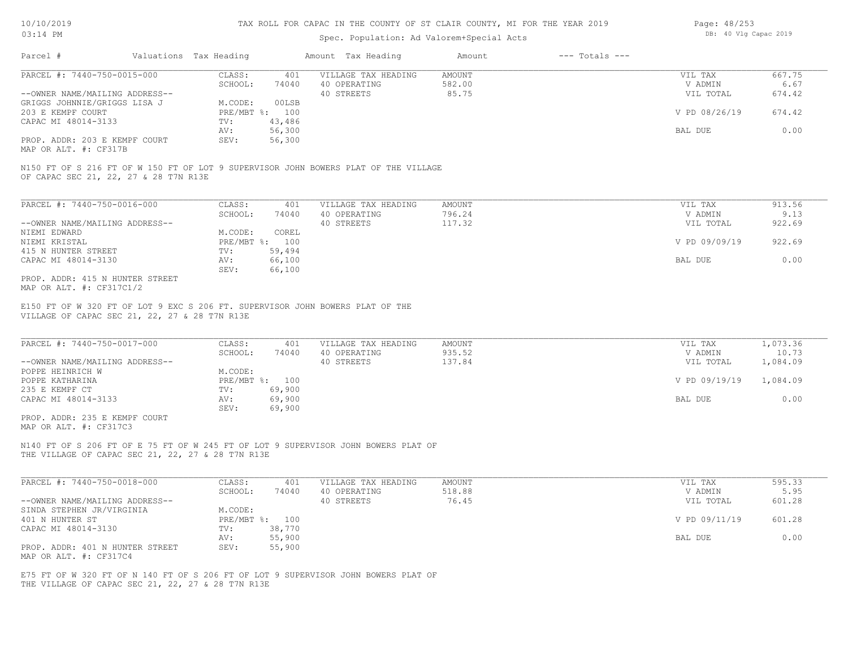# Spec. Population: Ad Valorem+Special Acts

| Page: 48/253 |  |                       |  |
|--------------|--|-----------------------|--|
|              |  | DB: 40 Vlg Capac 2019 |  |

| Parcel #                       | Valuations Tax Heading | Amount Tax Heading |                     | Amount | $---$ Totals $---$ |               |        |  |
|--------------------------------|------------------------|--------------------|---------------------|--------|--------------------|---------------|--------|--|
| PARCEL #: 7440-750-0015-000    | CLASS:                 | 401                | VILLAGE TAX HEADING | AMOUNT |                    | VIL TAX       | 667.75 |  |
|                                | SCHOOL:                | 74040              | 40 OPERATING        | 582.00 |                    | V ADMIN       | 6.67   |  |
| --OWNER NAME/MAILING ADDRESS-- |                        |                    | 40 STREETS          | 85.75  |                    | VIL TOTAL     | 674.42 |  |
| GRIGGS JOHNNIE/GRIGGS LISA J   | M.CODE:                | 00LSB              |                     |        |                    |               |        |  |
| 203 E KEMPF COURT              | PRE/MBT %: 100         |                    |                     |        |                    | V PD 08/26/19 | 674.42 |  |
| CAPAC MI 48014-3133            | TV:                    | 43,486             |                     |        |                    |               |        |  |
|                                | AV:                    | 56,300             |                     |        |                    | BAL DUE       | 0.00   |  |
| PROP. ADDR: 203 E KEMPF COURT  | SEV:                   | 56,300             |                     |        |                    |               |        |  |
|                                |                        |                    |                     |        |                    |               |        |  |

MAP OR ALT. #: CF317B

OF CAPAC SEC 21, 22, 27 & 28 T7N R13E N150 FT OF S 216 FT OF W 150 FT OF LOT 9 SUPERVISOR JOHN BOWERS PLAT OF THE VILLAGE

| PARCEL #: 7440-750-0016-000     | CLASS:       | 401    | VILLAGE TAX HEADING | AMOUNT | VIL TAX       | 913.56 |
|---------------------------------|--------------|--------|---------------------|--------|---------------|--------|
|                                 | SCHOOL:      | 74040  | 40 OPERATING        | 796.24 | V ADMIN       | 9.13   |
| --OWNER NAME/MAILING ADDRESS--  |              |        | 40 STREETS          | 117.32 | VIL TOTAL     | 922.69 |
| NIEMI EDWARD                    | M.CODE:      | COREL  |                     |        |               |        |
| NIEMI KRISTAL                   | $PRE/MBT$ %: | 100    |                     |        | V PD 09/09/19 | 922.69 |
| 415 N HUNTER STREET             | TV:          | 59,494 |                     |        |               |        |
| CAPAC MI 48014-3130             | AV:          | 66,100 |                     |        | BAL DUE       | 0.00   |
|                                 | SEV:         | 66,100 |                     |        |               |        |
| PROP. ADDR: 415 N HUNTER STREET |              |        |                     |        |               |        |

MAP OR ALT. #: CF317C1/2

VILLAGE OF CAPAC SEC 21, 22, 27 & 28 T7N R13E E150 FT OF W 320 FT OF LOT 9 EXC S 206 FT. SUPERVISOR JOHN BOWERS PLAT OF THE

| PARCEL #: 7440-750-0017-000    | CLASS:  | 401            | VILLAGE TAX HEADING | AMOUNT | VIL TAX       | 1,073.36 |
|--------------------------------|---------|----------------|---------------------|--------|---------------|----------|
|                                | SCHOOL: | 74040          | 40 OPERATING        | 935.52 | V ADMIN       | 10.73    |
| --OWNER NAME/MAILING ADDRESS-- |         |                | 40 STREETS          | 137.84 | VIL TOTAL     | 1,084.09 |
| POPPE HEINRICH W               | M.CODE: |                |                     |        |               |          |
| POPPE KATHARINA                |         | PRE/MBT %: 100 |                     |        | V PD 09/19/19 | 1,084.09 |
| 235 E KEMPF CT                 | TV:     | 69,900         |                     |        |               |          |
| CAPAC MI 48014-3133            | AV:     | 69,900         |                     |        | BAL DUE       | 0.00     |
|                                | SEV:    | 69,900         |                     |        |               |          |
| PROP. ADDR: 235 E KEMPF COURT  |         |                |                     |        |               |          |

MAP OR ALT. #: CF317C3

THE VILLAGE OF CAPAC SEC 21, 22, 27 & 28 T7N R13E N140 FT OF S 206 FT OF E 75 FT OF W 245 FT OF LOT 9 SUPERVISOR JOHN BOWERS PLAT OF

| PARCEL #: 7440-750-0018-000     | CLASS:  | 401            | VILLAGE TAX HEADING | AMOUNT | VIL TAX       | 595.33 |
|---------------------------------|---------|----------------|---------------------|--------|---------------|--------|
|                                 | SCHOOL: | 74040          | 40 OPERATING        | 518.88 | V ADMIN       | 5.95   |
| --OWNER NAME/MAILING ADDRESS--  |         |                | 40 STREETS          | 76.45  | VIL TOTAL     | 601.28 |
| SINDA STEPHEN JR/VIRGINIA       | M.CODE: |                |                     |        |               |        |
| 401 N HUNTER ST                 |         | PRE/MBT %: 100 |                     |        | V PD 09/11/19 | 601.28 |
| CAPAC MI 48014-3130             | TV:     | 38,770         |                     |        |               |        |
|                                 | AV:     | 55,900         |                     |        | BAL DUE       | 0.00   |
| PROP. ADDR: 401 N HUNTER STREET | SEV:    | 55,900         |                     |        |               |        |
| MAP OR ALT. #: CF317C4          |         |                |                     |        |               |        |

THE VILLAGE OF CAPAC SEC 21, 22, 27 & 28 T7N R13E E75 FT OF W 320 FT OF N 140 FT OF S 206 FT OF LOT 9 SUPERVISOR JOHN BOWERS PLAT OF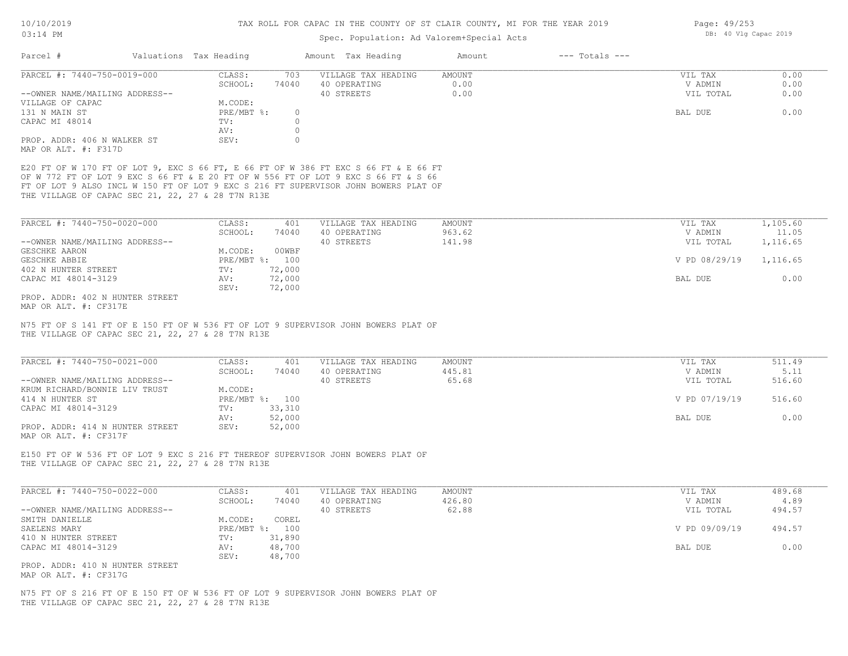# Spec. Population: Ad Valorem+Special Acts

| PARCEL #: 7440-750-0019-000                                                                                   | CLASS:         | 703          | VILLAGE TAX HEADING                                                                                                                                                                                                                                              | AMOUNT | VIL TAX       | 0.00     |
|---------------------------------------------------------------------------------------------------------------|----------------|--------------|------------------------------------------------------------------------------------------------------------------------------------------------------------------------------------------------------------------------------------------------------------------|--------|---------------|----------|
|                                                                                                               | SCHOOL:        | 74040        | 40 OPERATING                                                                                                                                                                                                                                                     | 0.00   | V ADMIN       | 0.00     |
| --OWNER NAME/MAILING ADDRESS--                                                                                |                |              | 40 STREETS                                                                                                                                                                                                                                                       | 0.00   | VIL TOTAL     | 0.00     |
| VILLAGE OF CAPAC                                                                                              | M.CODE:        |              |                                                                                                                                                                                                                                                                  |        |               |          |
| 131 N MAIN ST                                                                                                 | $PRE/MBT$ %:   | $\circ$      |                                                                                                                                                                                                                                                                  |        | BAL DUE       | 0.00     |
| CAPAC MI 48014                                                                                                | TV:            | $\circ$      |                                                                                                                                                                                                                                                                  |        |               |          |
|                                                                                                               | AV:            | $\circ$      |                                                                                                                                                                                                                                                                  |        |               |          |
| PROP. ADDR: 406 N WALKER ST<br>MAP OR ALT. #: F317D                                                           | SEV:           | $\mathbf{0}$ |                                                                                                                                                                                                                                                                  |        |               |          |
| THE VILLAGE OF CAPAC SEC 21, 22, 27 & 28 T7N R13E                                                             |                |              | E20 FT OF W 170 FT OF LOT 9, EXC S 66 FT, E 66 FT OF W 386 FT EXC S 66 FT & E 66 FT<br>OF W 772 FT OF LOT 9 EXC S 66 FT & E 20 FT OF W 556 FT OF LOT 9 EXC S 66 FT & S 66<br>FT OF LOT 9 ALSO INCL W 150 FT OF LOT 9 EXC S 216 FT SUPERVISOR JOHN BOWERS PLAT OF |        |               |          |
| PARCEL #: 7440-750-0020-000                                                                                   | CLASS:         | 401          | VILLAGE TAX HEADING                                                                                                                                                                                                                                              | AMOUNT | VIL TAX       | 1,105.60 |
|                                                                                                               | SCHOOL:        | 74040        | 40 OPERATING                                                                                                                                                                                                                                                     | 963.62 | V ADMIN       | 11.05    |
| --OWNER NAME/MAILING ADDRESS--                                                                                |                |              | 40 STREETS                                                                                                                                                                                                                                                       | 141.98 | VIL TOTAL     | 1,116.65 |
| GESCHKE AARON                                                                                                 | M.CODE:        | 00WBF        |                                                                                                                                                                                                                                                                  |        |               |          |
| GESCHKE ABBIE                                                                                                 | PRE/MBT %: 100 |              |                                                                                                                                                                                                                                                                  |        | V PD 08/29/19 | 1,116.65 |
| 402 N HUNTER STREET                                                                                           | TV:            | 72,000       |                                                                                                                                                                                                                                                                  |        |               |          |
| CAPAC MI 48014-3129                                                                                           | AV:            | 72,000       |                                                                                                                                                                                                                                                                  |        | BAL DUE       | 0.00     |
|                                                                                                               | SEV:           | 72,000       |                                                                                                                                                                                                                                                                  |        |               |          |
|                                                                                                               |                |              |                                                                                                                                                                                                                                                                  |        |               |          |
|                                                                                                               |                |              | N75 FT OF S 141 FT OF E 150 FT OF W 536 FT OF LOT 9 SUPERVISOR JOHN BOWERS PLAT OF                                                                                                                                                                               |        |               |          |
| PROP. ADDR: 402 N HUNTER STREET<br>MAP OR ALT. #: CF317E<br>THE VILLAGE OF CAPAC SEC 21, 22, 27 & 28 T7N R13E |                |              |                                                                                                                                                                                                                                                                  |        |               |          |
| PARCEL #: 7440-750-0021-000                                                                                   | CLASS:         | 401          | VILLAGE TAX HEADING                                                                                                                                                                                                                                              | AMOUNT | VIL TAX       | 511.49   |
|                                                                                                               | SCHOOL:        | 74040        | 40 OPERATING                                                                                                                                                                                                                                                     | 445.81 | V ADMIN       | 5.11     |
| --OWNER NAME/MAILING ADDRESS--                                                                                |                |              | 40 STREETS                                                                                                                                                                                                                                                       | 65.68  | VIL TOTAL     | 516.60   |
| KRUM RICHARD/BONNIE LIV TRUST                                                                                 | M.CODE:        |              |                                                                                                                                                                                                                                                                  |        |               |          |
| 414 N HUNTER ST                                                                                               | PRE/MBT %: 100 |              |                                                                                                                                                                                                                                                                  |        | V PD 07/19/19 | 516.60   |
| CAPAC MI 48014-3129                                                                                           | TV:            | 33,310       |                                                                                                                                                                                                                                                                  |        |               |          |
|                                                                                                               | AV:<br>SEV:    | 52,000       |                                                                                                                                                                                                                                                                  |        | BAL DUE       | 0.00     |
| PROP. ADDR: 414 N HUNTER STREET<br>MAP OR ALT. #: CF317F                                                      |                | 52,000       |                                                                                                                                                                                                                                                                  |        |               |          |
|                                                                                                               |                |              | E150 FT OF W 536 FT OF LOT 9 EXC S 216 FT THEREOF SUPERVISOR JOHN BOWERS PLAT OF                                                                                                                                                                                 |        |               |          |
| THE VILLAGE OF CAPAC SEC 21, 22, 27 & 28 T7N R13E                                                             |                |              |                                                                                                                                                                                                                                                                  |        |               |          |
| PARCEL #: 7440-750-0022-000                                                                                   | CLASS:         | 401          | VILLAGE TAX HEADING                                                                                                                                                                                                                                              | AMOUNT | VIL TAX       | 489.68   |
|                                                                                                               | SCHOOL:        | 74040        | 40 OPERATING                                                                                                                                                                                                                                                     | 426.80 | V ADMIN       | 4.89     |
| --OWNER NAME/MAILING ADDRESS--                                                                                |                |              | 40 STREETS                                                                                                                                                                                                                                                       | 62.88  | VIL TOTAL     | 494.57   |
| SMITH DANIELLE                                                                                                | M.CODE:        | COREL        |                                                                                                                                                                                                                                                                  |        |               |          |
| SAELENS MARY                                                                                                  | PRE/MBT %: 100 |              |                                                                                                                                                                                                                                                                  |        | V PD 09/09/19 | 494.57   |
| 410 N HUNTER STREET                                                                                           | TV:            | 31,890       |                                                                                                                                                                                                                                                                  |        |               |          |
| CAPAC MI 48014-3129                                                                                           | AV:            | 48,700       |                                                                                                                                                                                                                                                                  |        | BAL DUE       | 0.00     |
|                                                                                                               | SEV:           | 48,700       |                                                                                                                                                                                                                                                                  |        |               |          |
| PROP. ADDR: 410 N HUNTER STREET                                                                               |                |              |                                                                                                                                                                                                                                                                  |        |               |          |
| MAP OR ALT. #: CF317G                                                                                         |                |              |                                                                                                                                                                                                                                                                  |        |               |          |
|                                                                                                               |                |              | N75 FT OF S 216 FT OF E 150 FT OF W 536 FT OF LOT 9 SUPERVISOR JOHN BOWERS PLAT OF                                                                                                                                                                               |        |               |          |

Page: 49/253 DB: 40 Vlg Capac 2019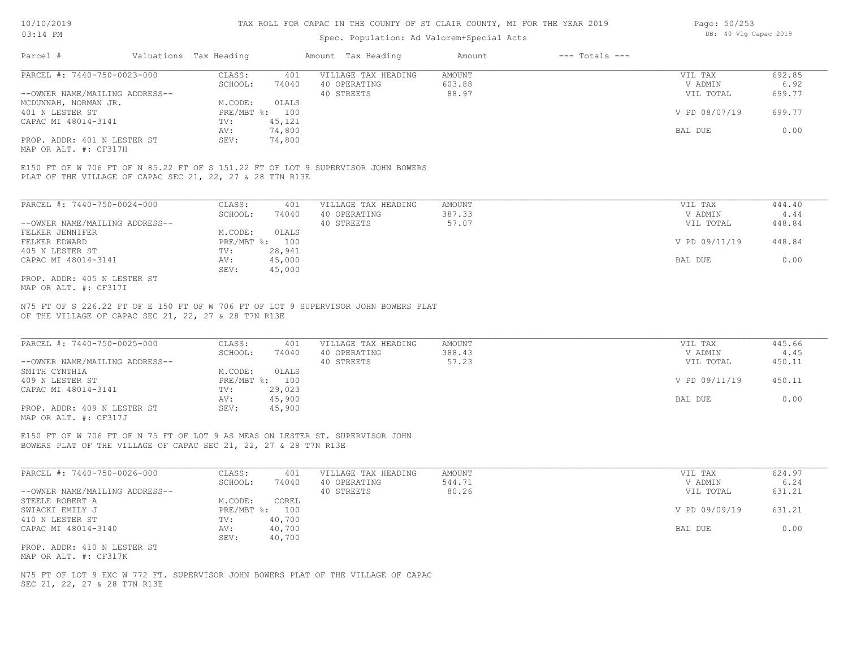# Spec. Population: Ad Valorem+Special Acts

| Page: 50/253 |  |                       |  |
|--------------|--|-----------------------|--|
|              |  | DB: 40 Vlg Capac 2019 |  |

| Parcel #                       | Valuations Tax Heading |        | Amount Tax Heading  | Amount | $---$ Totals $---$ |               |        |
|--------------------------------|------------------------|--------|---------------------|--------|--------------------|---------------|--------|
| PARCEL #: 7440-750-0023-000    | CLASS:                 | 401    | VILLAGE TAX HEADING | AMOUNT |                    | VIL TAX       | 692.85 |
|                                | SCHOOL:                | 74040  | 40 OPERATING        | 603.88 |                    | V ADMIN       | 6.92   |
| --OWNER NAME/MAILING ADDRESS-- |                        |        | 40 STREETS          | 88.97  |                    | VIL TOTAL     | 699.77 |
| MCDUNNAH, NORMAN JR.           | M.CODE:                | OLALS  |                     |        |                    |               |        |
| 401 N LESTER ST                | PRE/MBT %: 100         |        |                     |        |                    | V PD 08/07/19 | 699.77 |
| CAPAC MI 48014-3141            | TV:                    | 45,121 |                     |        |                    |               |        |
|                                | AV:                    | 74,800 |                     |        |                    | BAL DUE       | 0.00   |
| PROP. ADDR: 401 N LESTER ST    | SEV:                   | 74,800 |                     |        |                    |               |        |
|                                |                        |        |                     |        |                    |               |        |

MAP OR ALT. #: CF317H

PLAT OF THE VILLAGE OF CAPAC SEC 21, 22, 27 & 28 T7N R13E E150 FT OF W 706 FT OF N 85.22 FT OF S 151.22 FT OF LOT 9 SUPERVISOR JOHN BOWERS

| PARCEL #: 7440-750-0024-000    | CLASS:       | 401    | VILLAGE TAX HEADING | AMOUNT | VIL TAX       | 444.40 |
|--------------------------------|--------------|--------|---------------------|--------|---------------|--------|
|                                | SCHOOL:      | 74040  | 40 OPERATING        | 387.33 | V ADMIN       | 4.44   |
| --OWNER NAME/MAILING ADDRESS-- |              |        | 40 STREETS          | 57.07  | VIL TOTAL     | 448.84 |
| FELKER JENNIFER                | M.CODE:      | OLALS  |                     |        |               |        |
| FELKER EDWARD                  | $PRE/MBT$ %: | 100    |                     |        | V PD 09/11/19 | 448.84 |
| 405 N LESTER ST                | TV:          | 28,941 |                     |        |               |        |
| CAPAC MI 48014-3141            | AV:          | 45,000 |                     |        | BAL DUE       | 0.00   |
|                                | SEV:         | 45,000 |                     |        |               |        |
| PROP. ADDR: 405 N LESTER ST    |              |        |                     |        |               |        |

MAP OR ALT. #: CF317I

OF THE VILLAGE OF CAPAC SEC 21, 22, 27 & 28 T7N R13E N75 FT OF S 226.22 FT OF E 150 FT OF W 706 FT OF LOT 9 SUPERVISOR JOHN BOWERS PLAT

| PARCEL #: 7440-750-0025-000                           | CLASS:       | 401    | VILLAGE TAX HEADING | AMOUNT | VIL TAX       | 445.66 |  |
|-------------------------------------------------------|--------------|--------|---------------------|--------|---------------|--------|--|
|                                                       | SCHOOL:      | 74040  | 40 OPERATING        | 388.43 | V ADMIN       | 4.45   |  |
| --OWNER NAME/MAILING ADDRESS--                        |              |        | 40 STREETS          | 57.23  | VIL TOTAL     | 450.11 |  |
| SMITH CYNTHIA                                         | M.CODE:      | OLALS  |                     |        |               |        |  |
| 409 N LESTER ST                                       | $PRE/MBT$ %: | 100    |                     |        | V PD 09/11/19 | 450.11 |  |
| CAPAC MI 48014-3141                                   | TV:          | 29,023 |                     |        |               |        |  |
|                                                       | AV:          | 45,900 |                     |        | BAL DUE       | 0.00   |  |
| PROP. ADDR: 409 N LESTER ST                           | SEV:         | 45,900 |                     |        |               |        |  |
| $\cdots$ $\cdots$ $\cdots$ $\cdots$ $\cdots$ $\cdots$ |              |        |                     |        |               |        |  |

 $\_$  , and the state of the state of the state of the state of the state of the state of the state of the state of the state of the state of the state of the state of the state of the state of the state of the state of the

MAP OR ALT. #: CF317J

BOWERS PLAT OF THE VILLAGE OF CAPAC SEC 21, 22, 27 & 28 T7N R13E E150 FT OF W 706 FT OF N 75 FT OF LOT 9 AS MEAS ON LESTER ST. SUPERVISOR JOHN

| PARCEL #: 7440-750-0026-000    | CLASS:     | 401    | VILLAGE TAX HEADING | AMOUNT | VIL TAX       | 624.97 |
|--------------------------------|------------|--------|---------------------|--------|---------------|--------|
|                                | SCHOOL:    | 74040  | 40 OPERATING        | 544.71 | V ADMIN       | 6.24   |
| --OWNER NAME/MAILING ADDRESS-- |            |        | 40 STREETS          | 80.26  | VIL TOTAL     | 631.21 |
| STEELE ROBERT A                | M.CODE:    | COREL  |                     |        |               |        |
| SWIACKI EMILY J                | PRE/MBT %: | 100    |                     |        | V PD 09/09/19 | 631.21 |
| 410 N LESTER ST                | TV:        | 40,700 |                     |        |               |        |
| CAPAC MI 48014-3140            | AV:        | 40,700 |                     |        | BAL DUE       | 0.00   |
|                                | SEV:       | 40,700 |                     |        |               |        |
| PROP. ADDR: 410 N LESTER ST    |            |        |                     |        |               |        |

MAP OR ALT. #: CF317K

SEC 21, 22, 27 & 28 T7N R13E N75 FT OF LOT 9 EXC W 772 FT. SUPERVISOR JOHN BOWERS PLAT OF THE VILLAGE OF CAPAC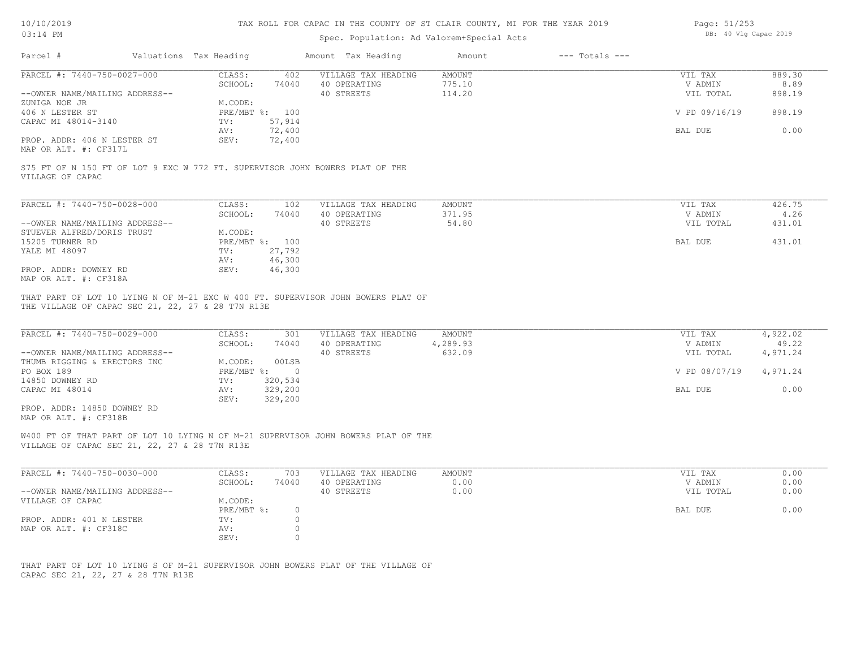# 10/10/2019 03:14 PM

# TAX ROLL FOR CAPAC IN THE COUNTY OF ST CLAIR COUNTY, MI FOR THE YEAR 2019

# Spec. Population: Ad Valorem+Special Acts

| Page: 51/253 |  |                       |  |
|--------------|--|-----------------------|--|
|              |  | DB: 40 Vlg Capac 2019 |  |

| PARCEL #: 7440-750-0027-000                                                                                                                                    | CLASS:<br>402                                    | VILLAGE TAX HEADING                 | AMOUNT           | VIL TAX            | 889.30                      |
|----------------------------------------------------------------------------------------------------------------------------------------------------------------|--------------------------------------------------|-------------------------------------|------------------|--------------------|-----------------------------|
| --OWNER NAME/MAILING ADDRESS--                                                                                                                                 | SCHOOL:<br>74040                                 | 40 OPERATING<br>40 STREETS          | 775.10<br>114.20 | V ADMIN            | 8.89<br>898.19<br>VIL TOTAL |
| ZUNIGA NOE JR                                                                                                                                                  | M.CODE:                                          |                                     |                  |                    |                             |
| 406 N LESTER ST                                                                                                                                                | PRE/MBT %: 100                                   |                                     |                  |                    | V PD 09/16/19<br>898.19     |
| CAPAC MI 48014-3140                                                                                                                                            | 57,914<br>TV:                                    |                                     |                  |                    |                             |
|                                                                                                                                                                | 72,400<br>AV:                                    |                                     |                  | BAL DUE            | 0.00                        |
| PROP. ADDR: 406 N LESTER ST                                                                                                                                    | SEV:<br>72,400                                   |                                     |                  |                    |                             |
| MAP OR ALT. #: CF317L                                                                                                                                          |                                                  |                                     |                  |                    |                             |
| S75 FT OF N 150 FT OF LOT 9 EXC W 772 FT. SUPERVISOR JOHN BOWERS PLAT OF THE<br>VILLAGE OF CAPAC                                                               |                                                  |                                     |                  |                    |                             |
| PARCEL #: 7440-750-0028-000                                                                                                                                    | CLASS:<br>102                                    | VILLAGE TAX HEADING                 | <b>AMOUNT</b>    | VIL TAX            | 426.75                      |
|                                                                                                                                                                | SCHOOL:<br>74040                                 | 40 OPERATING                        | 371.95           | V ADMIN            | 4.26                        |
| --OWNER NAME/MAILING ADDRESS--                                                                                                                                 |                                                  | 40 STREETS                          | 54.80            |                    | VIL TOTAL<br>431.01         |
| STUEVER ALFRED/DORIS TRUST                                                                                                                                     | M.CODE:                                          |                                     |                  |                    |                             |
| 15205 TURNER RD                                                                                                                                                | PRE/MBT %: 100                                   |                                     |                  | BAL DUE            | 431.01                      |
| YALE MI 48097                                                                                                                                                  | 27,792<br>TV:                                    |                                     |                  |                    |                             |
| PROP. ADDR: DOWNEY RD                                                                                                                                          | 46,300<br>AV:<br>46,300<br>SEV:                  |                                     |                  |                    |                             |
|                                                                                                                                                                |                                                  |                                     |                  |                    |                             |
| MAP OR ALT. #: CF318A<br>THAT PART OF LOT 10 LYING N OF M-21 EXC W 400 FT. SUPERVISOR JOHN BOWERS PLAT OF<br>THE VILLAGE OF CAPAC SEC 21, 22, 27 & 28 T7N R13E |                                                  |                                     |                  |                    |                             |
| PARCEL #: 7440-750-0029-000                                                                                                                                    | CLASS:<br>301                                    | VILLAGE TAX HEADING                 | AMOUNT           | VIL TAX            | 4,922.02                    |
|                                                                                                                                                                | SCHOOL:<br>74040                                 | 40 OPERATING                        | 4,289.93         | V ADMIN            | 49.22                       |
| --OWNER NAME/MAILING ADDRESS--                                                                                                                                 |                                                  | 40 STREETS                          | 632.09           |                    | 4,971.24<br>VIL TOTAL       |
| THUMB RIGGING & ERECTORS INC                                                                                                                                   | M.CODE:<br>00LSB                                 |                                     |                  |                    |                             |
| PO BOX 189<br>14850 DOWNEY RD                                                                                                                                  | $PRE/MBT$ %:<br>$\overline{0}$<br>320,534<br>TV: |                                     |                  |                    | V PD 08/07/19<br>4,971.24   |
| CAPAC MI 48014                                                                                                                                                 | 329,200<br>AV:                                   |                                     |                  | BAL DUE            | 0.00                        |
|                                                                                                                                                                | 329,200<br>SEV:                                  |                                     |                  |                    |                             |
| PROP. ADDR: 14850 DOWNEY RD<br>MAP OR ALT. #: CF318B                                                                                                           |                                                  |                                     |                  |                    |                             |
| W400 FT OF THAT PART OF LOT 10 LYING N OF M-21 SUPERVISOR JOHN BOWERS PLAT OF THE<br>VILLAGE OF CAPAC SEC 21, 22, 27 & 28 T7N R13E                             |                                                  |                                     |                  |                    |                             |
|                                                                                                                                                                |                                                  |                                     |                  |                    |                             |
| PARCEL #: 7440-750-0030-000                                                                                                                                    | CLASS:<br>703<br>SCHOOL:<br>74040                | VILLAGE TAX HEADING<br>40 OPERATING | AMOUNT<br>0.00   | VIL TAX<br>V ADMIN | 0.00<br>0.00                |
| --OWNER NAME/MAILING ADDRESS--                                                                                                                                 |                                                  | 40 STREETS                          | 0.00             |                    | VIL TOTAL<br>0.00           |
| VILLAGE OF CAPAC                                                                                                                                               | M.CODE:                                          |                                     |                  |                    |                             |
|                                                                                                                                                                | $\circ$<br>PRE/MBT %:                            |                                     |                  | BAL DUE            | 0.00                        |
| PROP. ADDR: 401 N LESTER                                                                                                                                       | TV:<br>$\circ$                                   |                                     |                  |                    |                             |
| MAP OR ALT. #: CF318C                                                                                                                                          | $\circ$<br>AV:<br>$\Omega$<br>SEV:               |                                     |                  |                    |                             |

CAPAC SEC 21, 22, 27 & 28 T7N R13E THAT PART OF LOT 10 LYING S OF M-21 SUPERVISOR JOHN BOWERS PLAT OF THE VILLAGE OF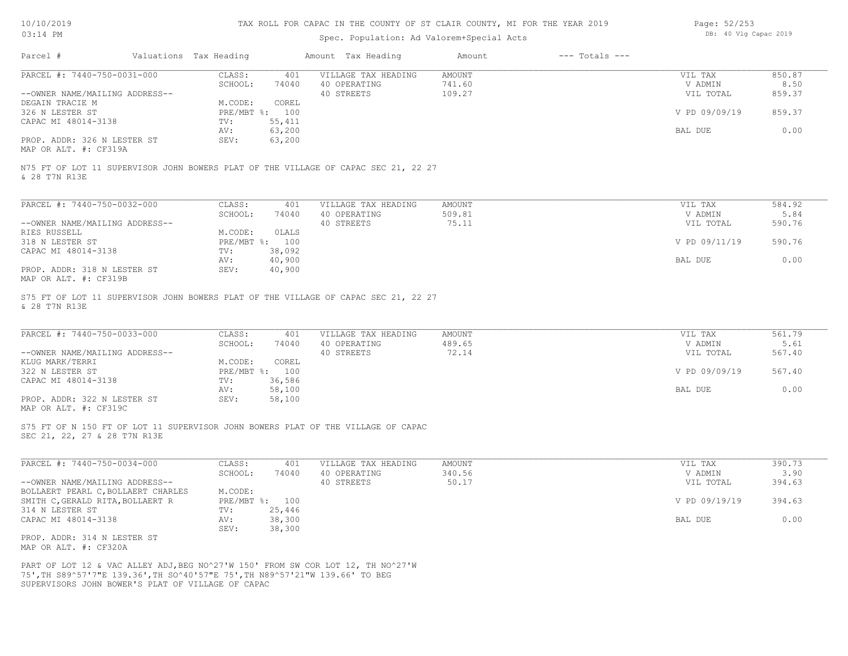# Spec. Population: Ad Valorem+Special Acts

| Page: 52/253 |  |                       |  |
|--------------|--|-----------------------|--|
|              |  | DB: 40 Vlg Capac 2019 |  |

| Parcel #                                                                                                                                                                                                             | Valuations Tax Heading    |                  | Amount Tax Heading                                                                 | Amount                            | $---$ Totals $---$ |                                 |                          |
|----------------------------------------------------------------------------------------------------------------------------------------------------------------------------------------------------------------------|---------------------------|------------------|------------------------------------------------------------------------------------|-----------------------------------|--------------------|---------------------------------|--------------------------|
| PARCEL #: 7440-750-0031-000<br>--OWNER NAME/MAILING ADDRESS--                                                                                                                                                        | CLASS:<br>SCHOOL:         | 401<br>74040     | VILLAGE TAX HEADING<br>40 OPERATING<br>40 STREETS                                  | <b>AMOUNT</b><br>741.60<br>109.27 |                    | VIL TAX<br>V ADMIN<br>VIL TOTAL | 850.87<br>8.50<br>859.37 |
| DEGAIN TRACIE M<br>326 N LESTER ST                                                                                                                                                                                   | M.CODE:<br>PRE/MBT %: 100 | COREL            |                                                                                    |                                   |                    | V PD 09/09/19                   | 859.37                   |
| CAPAC MI 48014-3138                                                                                                                                                                                                  | TV:<br>AV:                | 55,411<br>63,200 |                                                                                    |                                   |                    | BAL DUE                         | 0.00                     |
| PROP. ADDR: 326 N LESTER ST<br>MAP OR ALT. #: CF319A                                                                                                                                                                 | SEV:                      | 63,200           |                                                                                    |                                   |                    |                                 |                          |
| & 28 T7N R13E                                                                                                                                                                                                        |                           |                  | N75 FT OF LOT 11 SUPERVISOR JOHN BOWERS PLAT OF THE VILLAGE OF CAPAC SEC 21, 22 27 |                                   |                    |                                 |                          |
| PARCEL #: 7440-750-0032-000                                                                                                                                                                                          | CLASS:                    | 401              | VILLAGE TAX HEADING                                                                | <b>AMOUNT</b>                     |                    | VIL TAX                         | 584.92                   |
| --OWNER NAME/MAILING ADDRESS--                                                                                                                                                                                       | SCHOOL:                   | 74040            | 40 OPERATING<br>40 STREETS                                                         | 509.81<br>75.11                   |                    | V ADMIN<br>VIL TOTAL            | 5.84<br>590.76           |
| RIES RUSSELL                                                                                                                                                                                                         | M.CODE:                   | OLALS            |                                                                                    |                                   |                    |                                 |                          |
| 318 N LESTER ST                                                                                                                                                                                                      | PRE/MBT %: 100            |                  |                                                                                    |                                   |                    | V PD 09/11/19                   | 590.76                   |
| CAPAC MI 48014-3138                                                                                                                                                                                                  | TV:<br>AV:                | 38,092<br>40,900 |                                                                                    |                                   |                    | BAL DUE                         | 0.00                     |
| PROP. ADDR: 318 N LESTER ST<br>MAP OR ALT. #: CF319B                                                                                                                                                                 | SEV:                      | 40,900           |                                                                                    |                                   |                    |                                 |                          |
| & 28 T7N R13E<br>PARCEL #: 7440-750-0033-000                                                                                                                                                                         | CLASS:                    | 401              | VILLAGE TAX HEADING                                                                | AMOUNT                            |                    | VIL TAX                         | 561.79                   |
|                                                                                                                                                                                                                      | SCHOOL:                   | 74040            | 40 OPERATING                                                                       | 489.65<br>72.14                   |                    | V ADMIN                         | 5.61                     |
| --OWNER NAME/MAILING ADDRESS--<br>KLUG MARK/TERRI                                                                                                                                                                    | M.CODE:                   | COREL            | 40 STREETS                                                                         |                                   |                    | VIL TOTAL                       | 567.40                   |
| 322 N LESTER ST                                                                                                                                                                                                      | PRE/MBT %: 100            |                  |                                                                                    |                                   |                    | V PD 09/09/19                   | 567.40                   |
| CAPAC MI 48014-3138                                                                                                                                                                                                  | TV:<br>AV:                | 36,586<br>58,100 |                                                                                    |                                   |                    | BAL DUE                         | 0.00                     |
| PROP. ADDR: 322 N LESTER ST<br>MAP OR ALT. #: CF319C                                                                                                                                                                 | SEV:                      | 58,100           |                                                                                    |                                   |                    |                                 |                          |
| SEC 21, 22, 27 & 28 T7N R13E                                                                                                                                                                                         |                           |                  | S75 FT OF N 150 FT OF LOT 11 SUPERVISOR JOHN BOWERS PLAT OF THE VILLAGE OF CAPAC   |                                   |                    |                                 |                          |
| PARCEL #: 7440-750-0034-000                                                                                                                                                                                          | CLASS:                    | 401              | VILLAGE TAX HEADING                                                                | <b>AMOUNT</b>                     |                    | VIL TAX                         | 390.73                   |
| --OWNER NAME/MAILING ADDRESS--                                                                                                                                                                                       | SCHOOL:                   | 74040            | 40 OPERATING<br>40 STREETS                                                         | 340.56<br>50.17                   |                    | V ADMIN<br>VIL TOTAL            | 3.90<br>394.63           |
| BOLLAERT PEARL C, BOLLAERT CHARLES                                                                                                                                                                                   | M.CODE:                   |                  |                                                                                    |                                   |                    |                                 |                          |
| SMITH C, GERALD RITA, BOLLAERT R<br>314 N LESTER ST                                                                                                                                                                  | PRE/MBT %: 100<br>TV:     | 25,446           |                                                                                    |                                   |                    | V PD 09/19/19                   | 394.63                   |
| CAPAC MI 48014-3138                                                                                                                                                                                                  | AV:<br>SEV:               | 38,300<br>38,300 |                                                                                    |                                   |                    | BAL DUE                         | 0.00                     |
| PROP. ADDR: 314 N LESTER ST<br>MAP OR ALT. #: CF320A                                                                                                                                                                 |                           |                  |                                                                                    |                                   |                    |                                 |                          |
| PART OF LOT 12 & VAC ALLEY ADJ, BEG NO^27'W 150' FROM SW COR LOT 12, TH NO^27'W<br>75', TH S89^57'7"E 139.36', TH SO^40'57"E 75', TH N89^57'21"W 139.66' TO BEG<br>SUPERVISORS JOHN BOWER'S PLAT OF VILLAGE OF CAPAC |                           |                  |                                                                                    |                                   |                    |                                 |                          |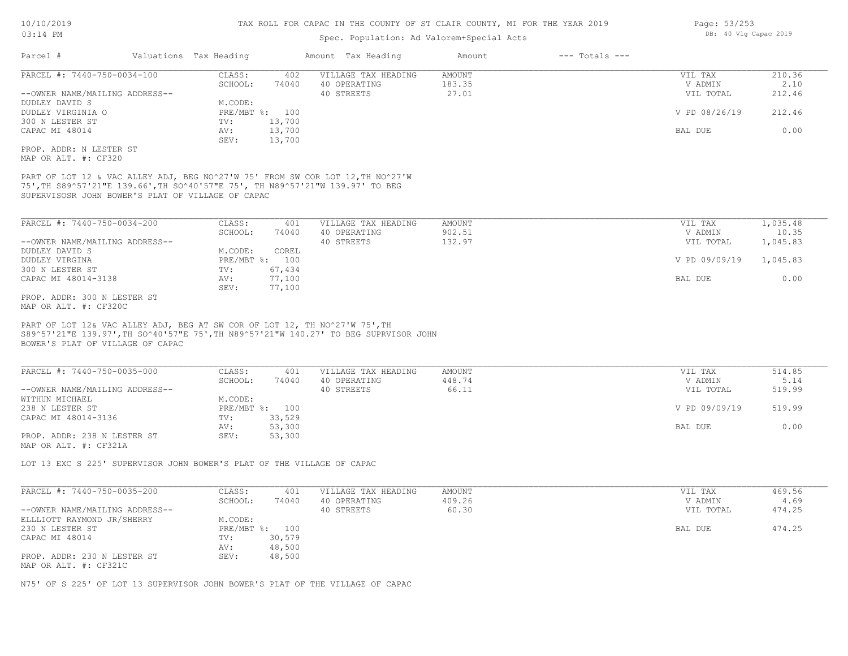# Spec. Population: Ad Valorem+Special Acts

| Parcel #                                                                                                                                                                                                             | Valuations Tax Heading    |        | Amount Tax Heading                                                                   | Amount        | $---$ Totals $---$ |               |          |
|----------------------------------------------------------------------------------------------------------------------------------------------------------------------------------------------------------------------|---------------------------|--------|--------------------------------------------------------------------------------------|---------------|--------------------|---------------|----------|
| PARCEL #: 7440-750-0034-100                                                                                                                                                                                          | CLASS:                    | 402    | VILLAGE TAX HEADING                                                                  | <b>AMOUNT</b> |                    | VIL TAX       | 210.36   |
|                                                                                                                                                                                                                      | SCHOOL:                   | 74040  | 40 OPERATING                                                                         | 183.35        |                    | V ADMIN       | 2.10     |
| --OWNER NAME/MAILING ADDRESS--                                                                                                                                                                                       |                           |        | 40 STREETS                                                                           | 27.01         |                    | VIL TOTAL     | 212.46   |
| DUDLEY DAVID S<br>DUDLEY VIRGINIA O                                                                                                                                                                                  | M.CODE:<br>PRE/MBT %: 100 |        |                                                                                      |               |                    | V PD 08/26/19 | 212.46   |
| 300 N LESTER ST                                                                                                                                                                                                      | TV:                       | 13,700 |                                                                                      |               |                    |               |          |
| CAPAC MI 48014                                                                                                                                                                                                       | AV:                       | 13,700 |                                                                                      |               |                    | BAL DUE       | 0.00     |
|                                                                                                                                                                                                                      | SEV:                      | 13,700 |                                                                                      |               |                    |               |          |
| PROP. ADDR: N LESTER ST<br>MAP OR ALT. #: CF320                                                                                                                                                                      |                           |        |                                                                                      |               |                    |               |          |
| PART OF LOT 12 & VAC ALLEY ADJ, BEG NO^27'W 75' FROM SW COR LOT 12, TH NO^27'W<br>75', TH S89^57'21"E 139.66', TH SO^40'57"E 75', TH N89^57'21"W 139.97' TO BEG<br>SUPERVISOSR JOHN BOWER'S PLAT OF VILLAGE OF CAPAC |                           |        |                                                                                      |               |                    |               |          |
| PARCEL #: 7440-750-0034-200                                                                                                                                                                                          | CLASS:                    | 401    | VILLAGE TAX HEADING                                                                  | AMOUNT        |                    | VIL TAX       | 1,035.48 |
|                                                                                                                                                                                                                      | SCHOOL:                   | 74040  | 40 OPERATING                                                                         | 902.51        |                    | V ADMIN       | 10.35    |
| --OWNER NAME/MAILING ADDRESS--                                                                                                                                                                                       |                           |        | 40 STREETS                                                                           | 132.97        |                    | VIL TOTAL     | 1,045.83 |
| DUDLEY DAVID S                                                                                                                                                                                                       | M.CODE:                   | COREL  |                                                                                      |               |                    |               |          |
| DUDLEY VIRGINA                                                                                                                                                                                                       | PRE/MBT %: 100            |        |                                                                                      |               |                    | V PD 09/09/19 | 1,045.83 |
| 300 N LESTER ST                                                                                                                                                                                                      | TV:                       | 67,434 |                                                                                      |               |                    |               |          |
| CAPAC MI 48014-3138                                                                                                                                                                                                  | AV:                       | 77,100 |                                                                                      |               |                    | BAL DUE       | 0.00     |
| PROP. ADDR: 300 N LESTER ST<br>MAP OR ALT. #: CF320C                                                                                                                                                                 | SEV:                      | 77,100 |                                                                                      |               |                    |               |          |
| PART OF LOT 12& VAC ALLEY ADJ, BEG AT SW COR OF LOT 12, TH NO^27'W 75', TH<br>BOWER'S PLAT OF VILLAGE OF CAPAC                                                                                                       |                           |        | S89^57'21"E 139.97', TH SO^40'57"E 75', TH N89^57'21"W 140.27' TO BEG SUPRVISOR JOHN |               |                    |               |          |
| PARCEL #: 7440-750-0035-000                                                                                                                                                                                          | CLASS:                    | 401    | VILLAGE TAX HEADING                                                                  | AMOUNT        |                    | VIL TAX       | 514.85   |
|                                                                                                                                                                                                                      | SCHOOL:                   | 74040  | 40 OPERATING                                                                         | 448.74        |                    | V ADMIN       | 5.14     |
| --OWNER NAME/MAILING ADDRESS--                                                                                                                                                                                       |                           |        | 40 STREETS                                                                           | 66.11         |                    | VIL TOTAL     | 519.99   |
| WITHUN MICHAEL                                                                                                                                                                                                       | M.CODE:                   |        |                                                                                      |               |                    |               |          |
| 238 N LESTER ST<br>CAPAC MI 48014-3136                                                                                                                                                                               | PRE/MBT %: 100<br>TV:     | 33,529 |                                                                                      |               |                    | V PD 09/09/19 | 519.99   |
|                                                                                                                                                                                                                      | AV:                       | 53,300 |                                                                                      |               |                    | BAL DUE       | 0.00     |
| PROP. ADDR: 238 N LESTER ST<br>MAP OR ALT. #: CF321A                                                                                                                                                                 | SEV:                      | 53,300 |                                                                                      |               |                    |               |          |
| LOT 13 EXC S 225' SUPERVISOR JOHN BOWER'S PLAT OF THE VILLAGE OF CAPAC                                                                                                                                               |                           |        |                                                                                      |               |                    |               |          |
|                                                                                                                                                                                                                      |                           |        |                                                                                      |               |                    |               |          |
| PARCEL #: 7440-750-0035-200                                                                                                                                                                                          | CLASS:                    | 401    | VILLAGE TAX HEADING                                                                  | <b>AMOUNT</b> |                    | VIL TAX       | 469.56   |
|                                                                                                                                                                                                                      | SCHOOL:                   | 74040  | 40 OPERATING                                                                         | 409.26        |                    | V ADMIN       | 4.69     |
| --OWNER NAME/MAILING ADDRESS--<br>ELLLIOTT RAYMOND JR/SHERRY                                                                                                                                                         | M.CODE:                   |        | 40 STREETS                                                                           | 60.30         |                    | VIL TOTAL     | 474.25   |
| 230 N LESTER ST                                                                                                                                                                                                      | PRE/MBT %: 100            |        |                                                                                      |               |                    | BAL DUE       | 474.25   |
| CAPAC MI 48014                                                                                                                                                                                                       | TV:                       | 30,579 |                                                                                      |               |                    |               |          |
|                                                                                                                                                                                                                      | AV:                       | 48,500 |                                                                                      |               |                    |               |          |
| PROP. ADDR: 230 N LESTER ST<br>MAP OR ALT. #: CF321C                                                                                                                                                                 | SEV:                      | 48,500 |                                                                                      |               |                    |               |          |
|                                                                                                                                                                                                                      |                           |        |                                                                                      |               |                    |               |          |

N75' OF S 225' OF LOT 13 SUPERVISOR JOHN BOWER'S PLAT OF THE VILLAGE OF CAPAC

Page: 53/253 DB: 40 Vlg Capac 2019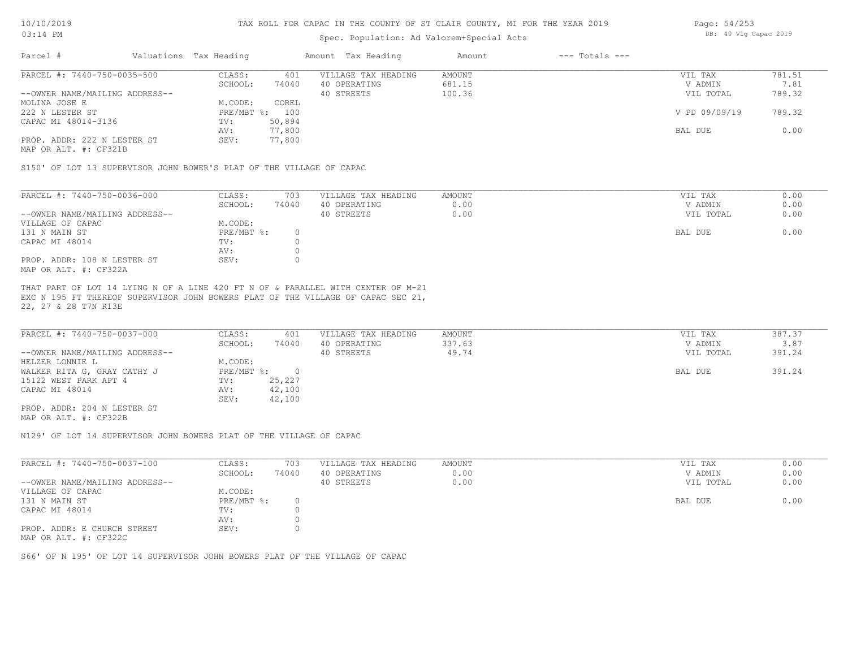# Spec. Population: Ad Valorem+Special Acts

| Page: 54/253 |  |                       |  |
|--------------|--|-----------------------|--|
|              |  | DB: 40 Vlg Capac 2019 |  |

| Parcel #                       | Valuations Tax Heading |        | Amount Tax Heading  | Amount | $---$ Totals $---$ |               |        |
|--------------------------------|------------------------|--------|---------------------|--------|--------------------|---------------|--------|
| PARCEL #: 7440-750-0035-500    | CLASS:                 | 401    | VILLAGE TAX HEADING | AMOUNT |                    | VIL TAX       | 781.51 |
|                                | SCHOOL:                | 74040  | 40 OPERATING        | 681.15 |                    | V ADMIN       | 7.81   |
| --OWNER NAME/MAILING ADDRESS-- |                        |        | 40 STREETS          | 100.36 |                    | VIL TOTAL     | 789.32 |
| MOLINA JOSE E                  | M.CODE:                | COREL  |                     |        |                    |               |        |
| 222 N LESTER ST                | PRE/MBT %: 100         |        |                     |        |                    | V PD 09/09/19 | 789.32 |
| CAPAC MI 48014-3136            | TV:                    | 50,894 |                     |        |                    |               |        |
|                                | AV:                    | 77,800 |                     |        |                    | BAL DUE       | 0.00   |
| PROP. ADDR: 222 N LESTER ST    | SEV:                   | 77,800 |                     |        |                    |               |        |
|                                |                        |        |                     |        |                    |               |        |

MAP OR ALT. #: CF321B

S150' OF LOT 13 SUPERVISOR JOHN BOWER'S PLAT OF THE VILLAGE OF CAPAC

| PARCEL #: 7440-750-0036-000    | CLASS:     | 703   | VILLAGE TAX HEADING | AMOUNT | VIL TAX   | 0.00 |
|--------------------------------|------------|-------|---------------------|--------|-----------|------|
|                                | SCHOOL:    | 74040 | 40 OPERATING        | 0.00   | V ADMIN   | 0.00 |
| --OWNER NAME/MAILING ADDRESS-- |            |       | 40 STREETS          | 0.00   | VIL TOTAL | 0.00 |
| VILLAGE OF CAPAC               | M.CODE:    |       |                     |        |           |      |
| 131 N MAIN ST                  | PRE/MBT %: |       |                     |        | BAL DUE   | 0.00 |
| CAPAC MI 48014                 | TV:        |       |                     |        |           |      |
|                                | AV:        |       |                     |        |           |      |
| PROP. ADDR: 108 N LESTER ST    | SEV:       |       |                     |        |           |      |
| MAP OR ALT. #: CF322A          |            |       |                     |        |           |      |

22, 27 & 28 T7N R13E EXC N 195 FT THEREOF SUPERVISOR JOHN BOWERS PLAT OF THE VILLAGE OF CAPAC SEC 21, THAT PART OF LOT 14 LYING N OF A LINE 420 FT N OF & PARALLEL WITH CENTER OF M-21

| PARCEL #: 7440-750-0037-000    | CLASS:       | 401    | VILLAGE TAX HEADING | AMOUNT | VIL TAX   | 387.37 |
|--------------------------------|--------------|--------|---------------------|--------|-----------|--------|
|                                | SCHOOL:      | 74040  | 40 OPERATING        | 337.63 | V ADMIN   | 3.87   |
| --OWNER NAME/MAILING ADDRESS-- |              |        | 40 STREETS          | 49.74  | VIL TOTAL | 391.24 |
| HELZER LONNIE L                | M.CODE:      |        |                     |        |           |        |
| WALKER RITA G, GRAY CATHY J    | $PRE/MBT$ %: |        |                     |        | BAL DUE   | 391.24 |
| 15122 WEST PARK APT 4          | TV:          | 25,227 |                     |        |           |        |
| CAPAC MI 48014                 | AV:          | 42,100 |                     |        |           |        |
|                                | SEV:         | 42,100 |                     |        |           |        |
| PROP. ADDR: 204 N LESTER ST    |              |        |                     |        |           |        |

MAP OR ALT. #: CF322B

N129' OF LOT 14 SUPERVISOR JOHN BOWERS PLAT OF THE VILLAGE OF CAPAC

| PARCEL #: 7440-750-0037-100    | CLASS:       | 703   | VILLAGE TAX HEADING | AMOUNT | VIL TAX   | 0.00 |
|--------------------------------|--------------|-------|---------------------|--------|-----------|------|
|                                | SCHOOL:      | 74040 | 40 OPERATING        | 0.00   | V ADMIN   | 0.00 |
| --OWNER NAME/MAILING ADDRESS-- |              |       | 40 STREETS          | 0.00   | VIL TOTAL | 0.00 |
| VILLAGE OF CAPAC               | M.CODE:      |       |                     |        |           |      |
| 131 N MAIN ST                  | $PRE/MBT$ %: |       |                     |        | BAL DUE   | 0.00 |
| CAPAC MI 48014                 | TV:          |       |                     |        |           |      |
|                                | AV:          |       |                     |        |           |      |
| PROP. ADDR: E CHURCH STREET    | SEV:         |       |                     |        |           |      |
| MAP OR ALT. #: CF322C          |              |       |                     |        |           |      |

S66' OF N 195' OF LOT 14 SUPERVISOR JOHN BOWERS PLAT OF THE VILLAGE OF CAPAC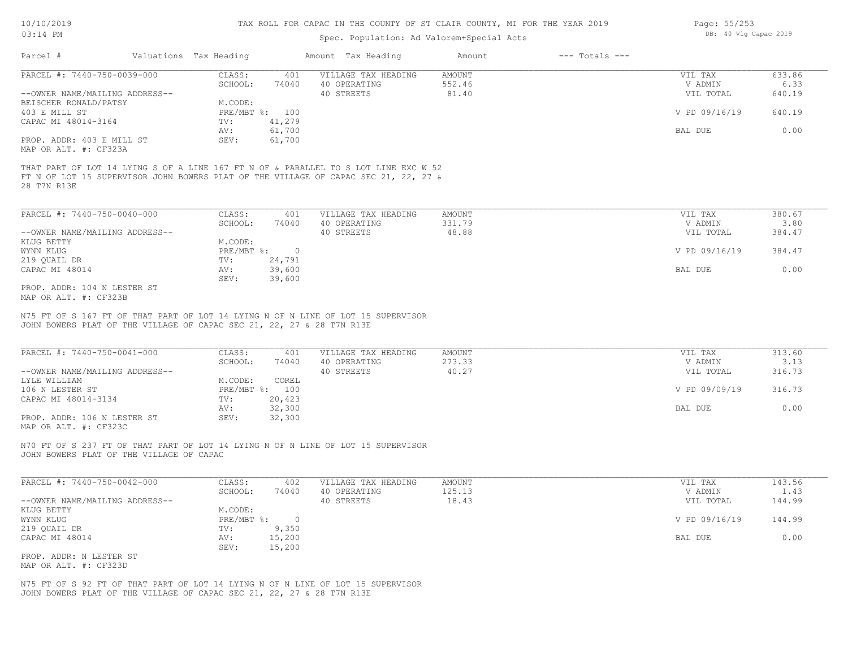## Spec. Population: Ad Valorem+Special Acts

| Page: 55/253 |  |                       |  |
|--------------|--|-----------------------|--|
|              |  | DB: 40 Vlg Capac 2019 |  |

|                                            | Valuations Tax Heading    |          | Amount Tax Heading                                                                                                                                                         | Amount | $---$ Totals $---$ |               |        |
|--------------------------------------------|---------------------------|----------|----------------------------------------------------------------------------------------------------------------------------------------------------------------------------|--------|--------------------|---------------|--------|
| PARCEL #: 7440-750-0039-000                | CLASS:                    | 401      | VILLAGE TAX HEADING                                                                                                                                                        | AMOUNT |                    | VIL TAX       | 633.86 |
|                                            | SCHOOL:                   | 74040    | 40 OPERATING                                                                                                                                                               | 552.46 |                    | V ADMIN       | 6.33   |
| --OWNER NAME/MAILING ADDRESS--             |                           |          | 40 STREETS                                                                                                                                                                 | 81.40  |                    | VIL TOTAL     | 640.19 |
| BEISCHER RONALD/PATSY                      | M.CODE:                   |          |                                                                                                                                                                            |        |                    |               |        |
| 403 E MILL ST                              | PRE/MBT %:                | 100      |                                                                                                                                                                            |        |                    | V PD 09/16/19 | 640.19 |
| CAPAC MI 48014-3164                        | TV:                       | 41,279   |                                                                                                                                                                            |        |                    |               |        |
|                                            | AV:                       | 61,700   |                                                                                                                                                                            |        |                    | BAL DUE       | 0.00   |
| PROP. ADDR: 403 E MILL ST                  | SEV:                      | 61,700   |                                                                                                                                                                            |        |                    |               |        |
| MAP OR ALT. #: CF323A                      |                           |          |                                                                                                                                                                            |        |                    |               |        |
|                                            |                           |          |                                                                                                                                                                            |        |                    |               |        |
|                                            |                           |          | THAT PART OF LOT 14 LYING S OF A LINE 167 FT N OF & PARALLEL TO S LOT LINE EXC W 52<br>FT N OF LOT 15 SUPERVISOR JOHN BOWERS PLAT OF THE VILLAGE OF CAPAC SEC 21, 22, 27 & |        |                    |               |        |
| 28 T7N R13E<br>PARCEL #: 7440-750-0040-000 | CLASS:                    | 401      | VILLAGE TAX HEADING                                                                                                                                                        | AMOUNT |                    | VIL TAX       | 380.67 |
|                                            | SCHOOL:                   | 74040    | 40 OPERATING                                                                                                                                                               | 331.79 |                    | V ADMIN       | 3.80   |
| --OWNER NAME/MAILING ADDRESS--             |                           |          | 40 STREETS                                                                                                                                                                 | 48.88  |                    | VIL TOTAL     | 384.47 |
| KLUG BETTY                                 | M.CODE:                   |          |                                                                                                                                                                            |        |                    |               |        |
| WYNN KLUG                                  | $PRE/MBT$ $\frac{1}{6}$ : | $\Omega$ |                                                                                                                                                                            |        |                    | V PD 09/16/19 | 384.47 |
| 219 QUAIL DR                               | TV:                       | 24,791   |                                                                                                                                                                            |        |                    |               |        |

MAP OR ALT. #: CF323B PROP. ADDR: 104 N LESTER ST

JOHN BOWERS PLAT OF THE VILLAGE OF CAPAC SEC 21, 22, 27 & 28 T7N R13E N75 FT OF S 167 FT OF THAT PART OF LOT 14 LYING N OF N LINE OF LOT 15 SUPERVISOR

SEV: 39,600

| PARCEL #: 7440-750-0041-000                                             | CLASS:       | 401    | VILLAGE TAX HEADING | AMOUNT | VIL TAX       | 313.60 |
|-------------------------------------------------------------------------|--------------|--------|---------------------|--------|---------------|--------|
|                                                                         | SCHOOL:      | 74040  | 40 OPERATING        | 273.33 | V ADMIN       | 3.13   |
| --OWNER NAME/MAILING ADDRESS--                                          |              |        | 40 STREETS          | 40.27  | VIL TOTAL     | 316.73 |
| LYLE WILLIAM                                                            | M.CODE:      | COREL  |                     |        |               |        |
| 106 N LESTER ST                                                         | $PRE/MBT$ %: | 100    |                     |        | V PD 09/09/19 | 316.73 |
| CAPAC MI 48014-3134                                                     | TV:          | 20,423 |                     |        |               |        |
|                                                                         | AV:          | 32,300 |                     |        | BAL DUE       | 0.00   |
| PROP. ADDR: 106 N LESTER ST                                             | SEV:         | 32,300 |                     |        |               |        |
| $\cdots$ $\cdots$ $\cdots$ $\cdots$ $\cdots$ $\cdots$ $\cdots$ $\cdots$ |              |        |                     |        |               |        |

 $\_$  , and the state of the state of the state of the state of the state of the state of the state of the state of the state of the state of the state of the state of the state of the state of the state of the state of the

MAP OR ALT. #: CF323C

JOHN BOWERS PLAT OF THE VILLAGE OF CAPAC N70 FT OF S 237 FT OF THAT PART OF LOT 14 LYING N OF N LINE OF LOT 15 SUPERVISOR

| PARCEL #: 7440-750-0042-000    | CLASS:       | 402    | VILLAGE TAX HEADING | AMOUNT | VIL TAX       | 143.56 |
|--------------------------------|--------------|--------|---------------------|--------|---------------|--------|
|                                | SCHOOL:      | 74040  | 40 OPERATING        | 125.13 | V ADMIN       | 1.43   |
| --OWNER NAME/MAILING ADDRESS-- |              |        | 40 STREETS          | 18.43  | VIL TOTAL     | 144.99 |
| KLUG BETTY                     | M.CODE:      |        |                     |        |               |        |
| WYNN KLUG                      | $PRE/MBT$ %: |        |                     |        | V PD 09/16/19 | 144.99 |
| 219 QUAIL DR                   | TV:          | 9,350  |                     |        |               |        |
| CAPAC MI 48014                 | AV:          | 15,200 |                     |        | BAL DUE       | 0.00   |
|                                | SEV:         | 15,200 |                     |        |               |        |
| PROP. ADDR: N LESTER ST        |              |        |                     |        |               |        |

MAP OR ALT. #: CF323D

JOHN BOWERS PLAT OF THE VILLAGE OF CAPAC SEC 21, 22, 27 & 28 T7N R13E N75 FT OF S 92 FT OF THAT PART OF LOT 14 LYING N OF N LINE OF LOT 15 SUPERVISOR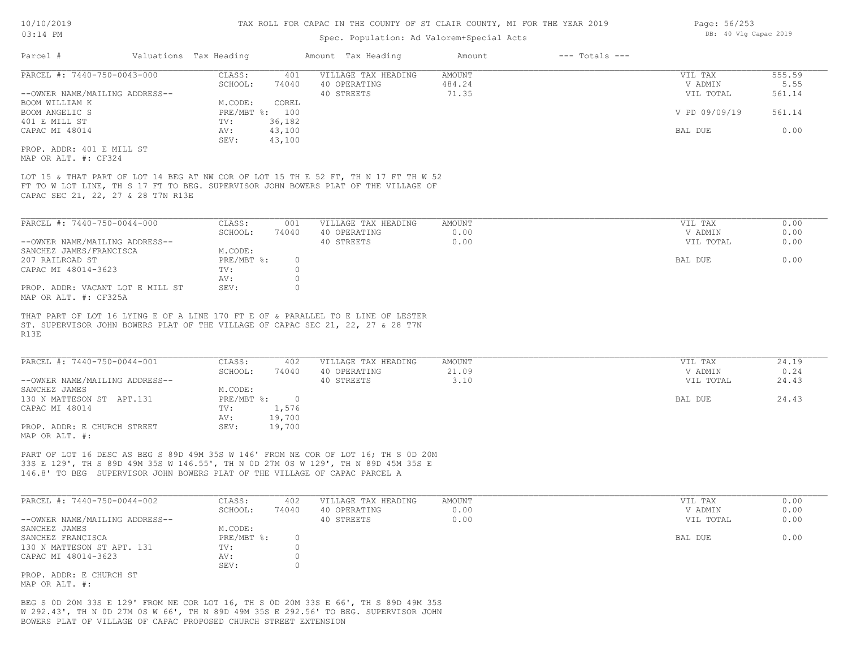# Spec. Population: Ad Valorem+Special Acts

| Valuations Tax Heading<br>Parcel #                                                                                                                                                                                                                    |                                   | Amount Tax Heading                  | Amount<br>$---$ Totals $---$ |                    |               |
|-------------------------------------------------------------------------------------------------------------------------------------------------------------------------------------------------------------------------------------------------------|-----------------------------------|-------------------------------------|------------------------------|--------------------|---------------|
| PARCEL #: 7440-750-0043-000                                                                                                                                                                                                                           | CLASS:<br>401                     | VILLAGE TAX HEADING                 | <b>AMOUNT</b>                | VIL TAX            | 555.59        |
|                                                                                                                                                                                                                                                       | SCHOOL:<br>74040                  | 40 OPERATING                        | 484.24                       | V ADMIN            | 5.55          |
| --OWNER NAME/MAILING ADDRESS--                                                                                                                                                                                                                        |                                   | 40 STREETS                          | 71.35                        | VIL TOTAL          | 561.14        |
| BOOM WILLIAM K                                                                                                                                                                                                                                        | COREL<br>M.CODE:                  |                                     |                              |                    |               |
| BOOM ANGELIC S                                                                                                                                                                                                                                        | PRE/MBT %: 100                    |                                     |                              | V PD 09/09/19      | 561.14        |
| 401 E MILL ST                                                                                                                                                                                                                                         | 36,182<br>TV:                     |                                     |                              | BAL DUE            | 0.00          |
| CAPAC MI 48014                                                                                                                                                                                                                                        | 43,100<br>AV:<br>SEV:<br>43,100   |                                     |                              |                    |               |
| PROP. ADDR: 401 E MILL ST                                                                                                                                                                                                                             |                                   |                                     |                              |                    |               |
| MAP OR ALT. #: CF324                                                                                                                                                                                                                                  |                                   |                                     |                              |                    |               |
| LOT 15 & THAT PART OF LOT 14 BEG AT NW COR OF LOT 15 TH E 52 FT, TH N 17 FT TH W 52<br>FT TO W LOT LINE, TH S 17 FT TO BEG. SUPERVISOR JOHN BOWERS PLAT OF THE VILLAGE OF<br>CAPAC SEC 21, 22, 27 & 28 T7N R13E                                       |                                   |                                     |                              |                    |               |
| PARCEL #: 7440-750-0044-000                                                                                                                                                                                                                           | CLASS:<br>001                     | VILLAGE TAX HEADING                 | <b>AMOUNT</b>                | VIL TAX            | 0.00          |
|                                                                                                                                                                                                                                                       | SCHOOL:<br>74040                  | 40 OPERATING                        | 0.00                         | V ADMIN            | 0.00          |
| --OWNER NAME/MAILING ADDRESS--                                                                                                                                                                                                                        |                                   | 40 STREETS                          | 0.00                         | VIL TOTAL          | 0.00          |
| SANCHEZ JAMES/FRANCISCA                                                                                                                                                                                                                               | M.CODE:                           |                                     |                              |                    |               |
| 207 RAILROAD ST                                                                                                                                                                                                                                       | PRE/MBT %:<br>$\circ$             |                                     |                              | BAL DUE            | 0.00          |
| CAPAC MI 48014-3623                                                                                                                                                                                                                                   | $\Omega$<br>TV:                   |                                     |                              |                    |               |
|                                                                                                                                                                                                                                                       | $\circ$<br>AV:                    |                                     |                              |                    |               |
| PROP. ADDR: VACANT LOT E MILL ST<br>MAP OR ALT. #: CF325A                                                                                                                                                                                             | SEV:<br>$\circ$                   |                                     |                              |                    |               |
| R13E<br>PARCEL #: 7440-750-0044-001                                                                                                                                                                                                                   | CLASS:<br>402<br>SCHOOL:<br>74040 | VILLAGE TAX HEADING<br>40 OPERATING | <b>AMOUNT</b><br>21.09       | VIL TAX<br>V ADMIN | 24.19<br>0.24 |
| --OWNER NAME/MAILING ADDRESS--                                                                                                                                                                                                                        |                                   | 40 STREETS                          | 3.10                         | VIL TOTAL          | 24.43         |
| SANCHEZ JAMES                                                                                                                                                                                                                                         | M.CODE:                           |                                     |                              |                    |               |
| 130 N MATTESON ST APT.131                                                                                                                                                                                                                             | PRE/MBT %: 0                      |                                     |                              | BAL DUE            | 24.43         |
| CAPAC MI 48014                                                                                                                                                                                                                                        | 1,576<br>TV:                      |                                     |                              |                    |               |
|                                                                                                                                                                                                                                                       | 19,700<br>AV:                     |                                     |                              |                    |               |
| PROP. ADDR: E CHURCH STREET<br>MAP OR ALT. #:                                                                                                                                                                                                         | SEV:<br>19,700                    |                                     |                              |                    |               |
| PART OF LOT 16 DESC AS BEG S 89D 49M 35S W 146' FROM NE COR OF LOT 16; TH S OD 20M<br>33S E 129', TH S 89D 49M 35S W 146.55', TH N OD 27M OS W 129', TH N 89D 45M 35S E<br>146.8' TO BEG SUPERVISOR JOHN BOWERS PLAT OF THE VILLAGE OF CAPAC PARCEL A |                                   |                                     |                              |                    |               |
| PARCEL #: 7440-750-0044-002                                                                                                                                                                                                                           | CLASS:<br>402                     | VILLAGE TAX HEADING                 | <b>AMOUNT</b>                | VIL TAX            | 0.00          |
|                                                                                                                                                                                                                                                       | SCHOOL:<br>74040                  | 40 OPERATING                        | 0.00                         | V ADMIN            | 0.00          |
| --OWNER NAME/MAILING ADDRESS--                                                                                                                                                                                                                        |                                   | 40 STREETS                          | 0.00                         | VIL TOTAL          | 0.00          |
| SANCHEZ JAMES                                                                                                                                                                                                                                         | M.CODE:                           |                                     |                              |                    |               |
| SANCHEZ FRANCISCA                                                                                                                                                                                                                                     | PRE/MBT %:<br>$\circ$             |                                     |                              | BAL DUE            | 0.00          |
| 130 N MATTESON ST APT. 131                                                                                                                                                                                                                            | $\circ$<br>TV:                    |                                     |                              |                    |               |
| CAPAC MI 48014-3623                                                                                                                                                                                                                                   | $\circ$<br>AV:                    |                                     |                              |                    |               |
|                                                                                                                                                                                                                                                       | SEV:<br>$\circ$                   |                                     |                              |                    |               |
| PROP. ADDR: E CHURCH ST                                                                                                                                                                                                                               |                                   |                                     |                              |                    |               |

MAP OR ALT. #:

BOWERS PLAT OF VILLAGE OF CAPAC PROPOSED CHURCH STREET EXTENSION W 292.43', TH N 0D 27M 0S W 66', TH N 89D 49M 35S E 292.56' TO BEG. SUPERVISOR JOHN BEG S 0D 20M 33S E 129' FROM NE COR LOT 16, TH S 0D 20M 33S E 66', TH S 89D 49M 35S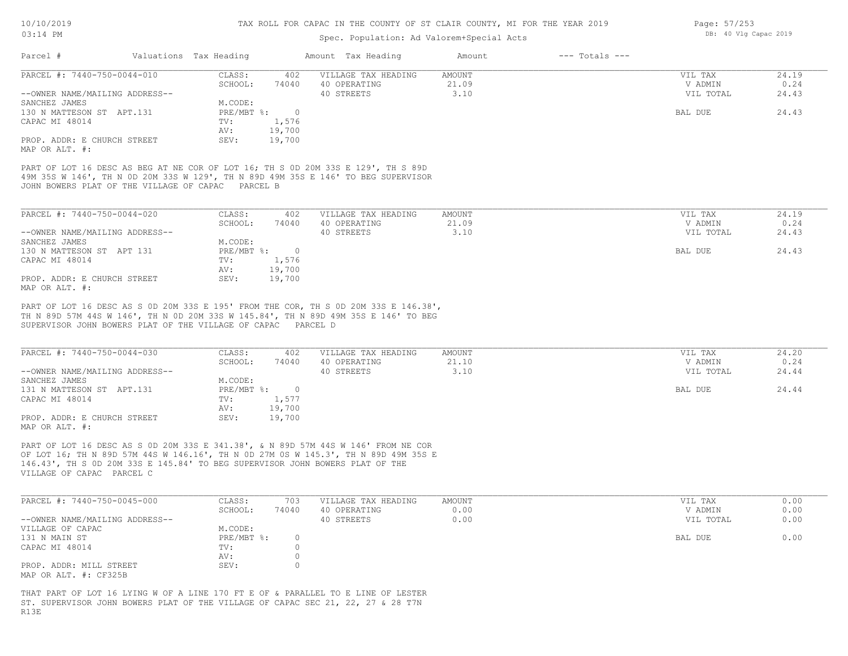# Spec. Population: Ad Valorem+Special Acts

| Parcel #                       | Valuations Tax Heading |        | Amount Tax Heading  | Amount | $---$ Totals $---$ |           |       |
|--------------------------------|------------------------|--------|---------------------|--------|--------------------|-----------|-------|
| PARCEL #: 7440-750-0044-010    | CLASS:                 | 402    | VILLAGE TAX HEADING | AMOUNT |                    | VIL TAX   | 24.19 |
|                                | SCHOOL:                | 74040  | 40 OPERATING        | 21.09  |                    | V ADMIN   | 0.24  |
| --OWNER NAME/MAILING ADDRESS-- |                        |        | 40 STREETS          | 3.10   |                    | VIL TOTAL | 24.43 |
| SANCHEZ JAMES                  | M.CODE:                |        |                     |        |                    |           |       |
| 130 N MATTESON ST APT.131      | $PRE/MBT$ %:           |        |                     |        |                    | BAL DUE   | 24.43 |
| CAPAC MI 48014                 | TV:                    | 1,576  |                     |        |                    |           |       |
|                                | AV:                    | 19,700 |                     |        |                    |           |       |
| PROP. ADDR: E CHURCH STREET    | SEV:                   | 19,700 |                     |        |                    |           |       |
| MAP OR ALT. #:                 |                        |        |                     |        |                    |           |       |

JOHN BOWERS PLAT OF THE VILLAGE OF CAPAC PARCEL B 49M 35S W 146', TH N 0D 20M 33S W 129', TH N 89D 49M 35S E 146' TO BEG SUPERVISOR PART OF LOT 16 DESC AS BEG AT NE COR OF LOT 16; TH S 0D 20M 33S E 129', TH S 89D

| PARCEL #: 7440-750-0044-020    | CLASS:     | 402    | VILLAGE TAX HEADING | AMOUNT | VIL TAX   | 24.19 |
|--------------------------------|------------|--------|---------------------|--------|-----------|-------|
|                                | SCHOOL:    | 74040  | 40 OPERATING        | 21.09  | V ADMIN   | 0.24  |
| --OWNER NAME/MAILING ADDRESS-- |            |        | 40 STREETS          | 3.10   | VIL TOTAL | 24.43 |
| SANCHEZ JAMES                  | M.CODE:    |        |                     |        |           |       |
| 130 N MATTESON ST APT 131      | PRE/MBT %: |        |                     |        | BAL DUE   | 24.43 |
| CAPAC MI 48014                 | TV:        | 1,576  |                     |        |           |       |
|                                | AV:        | 19,700 |                     |        |           |       |
| PROP. ADDR: E CHURCH STREET    | SEV:       | 19,700 |                     |        |           |       |
| MAP OR ALT. #:                 |            |        |                     |        |           |       |

SUPERVISOR JOHN BOWERS PLAT OF THE VILLAGE OF CAPAC PARCEL D TH N 89D 57M 44S W 146', TH N 0D 20M 33S W 145.84', TH N 89D 49M 35S E 146' TO BEG PART OF LOT 16 DESC AS S 0D 20M 33S E 195' FROM THE COR, TH S 0D 20M 33S E 146.38',

| PARCEL #: 7440-750-0044-030    | CLASS:     | 402    | VILLAGE TAX HEADING | AMOUNT | VIL TAX   | 24.20 |
|--------------------------------|------------|--------|---------------------|--------|-----------|-------|
|                                | SCHOOL:    | 74040  | 40 OPERATING        | 21.10  | V ADMIN   | 0.24  |
| --OWNER NAME/MAILING ADDRESS-- |            |        | 40 STREETS          | 3.10   | VIL TOTAL | 24.44 |
| SANCHEZ JAMES                  | M.CODE:    |        |                     |        |           |       |
| 131 N MATTESON ST APT.131      | PRE/MBT %: |        |                     |        | BAL DUE   | 24.44 |
| CAPAC MI 48014                 | TV:        | 1,577  |                     |        |           |       |
|                                | AV:        | 19,700 |                     |        |           |       |
| PROP. ADDR: E CHURCH STREET    | SEV:       | 19,700 |                     |        |           |       |
| MAP OR ALT. #:                 |            |        |                     |        |           |       |

VILLAGE OF CAPAC PARCEL C 146.43', TH S 0D 20M 33S E 145.84' TO BEG SUPERVISOR JOHN BOWERS PLAT OF THE OF LOT 16; TH N 89D 57M 44S W 146.16', TH N 0D 27M 0S W 145.3', TH N 89D 49M 35S E PART OF LOT 16 DESC AS S 0D 20M 33S E 341.38', & N 89D 57M 44S W 146' FROM NE COR

| PARCEL #: 7440-750-0045-000    | CLASS:     | 703   | VILLAGE TAX HEADING | AMOUNT | VIL TAX   | 0.00 |
|--------------------------------|------------|-------|---------------------|--------|-----------|------|
|                                | SCHOOL:    | 74040 | 40 OPERATING        | 0.00   | V ADMIN   | 0.00 |
| --OWNER NAME/MAILING ADDRESS-- |            |       | 40 STREETS          | 0.00   | VIL TOTAL | 0.00 |
| VILLAGE OF CAPAC               | M.CODE:    |       |                     |        |           |      |
| 131 N MAIN ST                  | PRE/MBT %: |       |                     |        | BAL DUE   | 0.00 |
| CAPAC MI 48014                 | TV:        |       |                     |        |           |      |
|                                | AV:        |       |                     |        |           |      |
| PROP. ADDR: MILL STREET        | SEV:       |       |                     |        |           |      |
| MAP OR ALT. #: CF325B          |            |       |                     |        |           |      |

R13E ST. SUPERVISOR JOHN BOWERS PLAT OF THE VILLAGE OF CAPAC SEC 21, 22, 27 & 28 T7N THAT PART OF LOT 16 LYING W OF A LINE 170 FT E OF & PARALLEL TO E LINE OF LESTER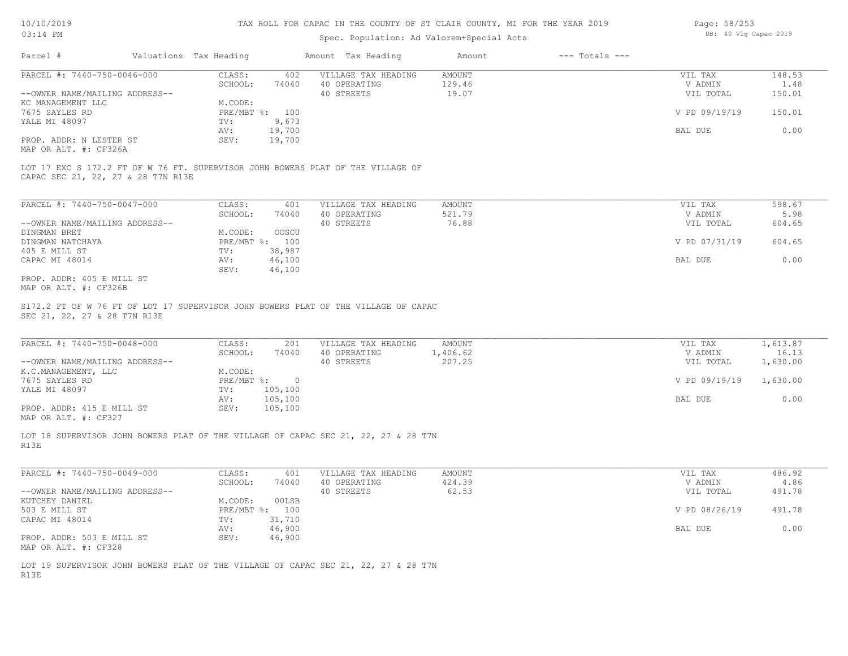# Spec. Population: Ad Valorem+Special Acts

| Page: 58/253 |  |  |                       |  |
|--------------|--|--|-----------------------|--|
|              |  |  | DB: 40 Vlg Capac 2019 |  |

| Parcel #                       | Valuations Tax Heading |        | Amount Tax Heading  | Amount | $---$ Totals $---$ |               |        |
|--------------------------------|------------------------|--------|---------------------|--------|--------------------|---------------|--------|
| PARCEL #: 7440-750-0046-000    | CLASS:                 | 402    | VILLAGE TAX HEADING | AMOUNT |                    | VIL TAX       | 148.53 |
|                                | SCHOOL:                | 74040  | 40 OPERATING        | 129.46 |                    | V ADMIN       | 1.48   |
| --OWNER NAME/MAILING ADDRESS-- |                        |        | 40 STREETS          | 19.07  |                    | VIL TOTAL     | 150.01 |
| KC MANAGEMENT LLC              | M.CODE:                |        |                     |        |                    |               |        |
| 7675 SAYLES RD                 | PRE/MBT %: 100         |        |                     |        |                    | V PD 09/19/19 | 150.01 |
| YALE MI 48097                  | TV:                    | 9,673  |                     |        |                    |               |        |
|                                | AV:                    | 19,700 |                     |        |                    | BAL DUE       | 0.00   |
| PROP. ADDR: N LESTER ST        | SEV:                   | 19,700 |                     |        |                    |               |        |
| $\cdots$                       |                        |        |                     |        |                    |               |        |

MAP OR ALT. #: CF326A

CAPAC SEC 21, 22, 27 & 28 T7N R13E LOT 17 EXC S 172.2 FT OF W 76 FT. SUPERVISOR JOHN BOWERS PLAT OF THE VILLAGE OF

| PARCEL #: 7440-750-0047-000    | CLASS:       | 401    | VILLAGE TAX HEADING | AMOUNT | VIL TAX       | 598.67 |
|--------------------------------|--------------|--------|---------------------|--------|---------------|--------|
|                                | SCHOOL:      | 74040  | 40 OPERATING        | 521.79 | V ADMIN       | 5.98   |
| --OWNER NAME/MAILING ADDRESS-- |              |        | 40 STREETS          | 76.88  | VIL TOTAL     | 604.65 |
| DINGMAN BRET                   | M.CODE:      | OOSCU  |                     |        |               |        |
| DINGMAN NATCHAYA               | $PRE/MBT$ %: | 100    |                     |        | V PD 07/31/19 | 604.65 |
| 405 E MILL ST                  | TV:          | 38,987 |                     |        |               |        |
| CAPAC MI 48014                 | AV:          | 46,100 |                     |        | BAL DUE       | 0.00   |
|                                | SEV:         | 46,100 |                     |        |               |        |
| PROP. ADDR: 405 E MILL ST      |              |        |                     |        |               |        |

MAP OR ALT. #: CF326B

SEC 21, 22, 27 & 28 T7N R13E S172.2 FT OF W 76 FT OF LOT 17 SUPERVISOR JOHN BOWERS PLAT OF THE VILLAGE OF CAPAC

| PARCEL #: 7440-750-0048-000    | CLASS:     | 201     | VILLAGE TAX HEADING | AMOUNT  | VIL TAX       | 1,613.87 |
|--------------------------------|------------|---------|---------------------|---------|---------------|----------|
|                                | SCHOOL:    | 74040   | 40 OPERATING        | ,406.62 | V ADMIN       | 16.13    |
| --OWNER NAME/MAILING ADDRESS-- |            |         | 40 STREETS          | 207.25  | VIL TOTAL     | 1,630.00 |
| K.C.MANAGEMENT, LLC            | M.CODE:    |         |                     |         |               |          |
| 7675 SAYLES RD                 | PRE/MBT %: | $\cap$  |                     |         | V PD 09/19/19 | 1,630.00 |
| YALE MI 48097                  | TV:        | 105,100 |                     |         |               |          |
|                                | AV:        | 105,100 |                     |         | BAL DUE       | 0.00     |
| PROP. ADDR: 415 E MILL ST      | SEV:       | 105,100 |                     |         |               |          |
| MAP OR ALT. #: CF327           |            |         |                     |         |               |          |

 $\_$  , and the state of the state of the state of the state of the state of the state of the state of the state of the state of the state of the state of the state of the state of the state of the state of the state of the

LOT 18 SUPERVISOR JOHN BOWERS PLAT OF THE VILLAGE OF CAPAC SEC 21, 22, 27 & 28 T7N

R13E

| PARCEL #: 7440-750-0049-000    | CLASS:     | 401    | VILLAGE TAX HEADING | AMOUNT | VIL TAX       | 486.92 |
|--------------------------------|------------|--------|---------------------|--------|---------------|--------|
|                                | SCHOOL:    | 74040  | 40 OPERATING        | 424.39 | V ADMIN       | 4.86   |
| --OWNER NAME/MAILING ADDRESS-- |            |        | 40 STREETS          | 62.53  | VIL TOTAL     | 491.78 |
| KUTCHEY DANIEL                 | M.CODE:    | 00LSB  |                     |        |               |        |
| 503 E MILL ST                  | PRE/MBT %: | 100    |                     |        | V PD 08/26/19 | 491.78 |
| CAPAC MI 48014                 | TV:        | 31,710 |                     |        |               |        |
|                                | AV:        | 46,900 |                     |        | BAL DUE       | 0.00   |
| PROP. ADDR: 503 E MILL ST      | SEV:       | 46,900 |                     |        |               |        |
| MAP OR ALT. #: CF328           |            |        |                     |        |               |        |

R13E LOT 19 SUPERVISOR JOHN BOWERS PLAT OF THE VILLAGE OF CAPAC SEC 21, 22, 27 & 28 T7N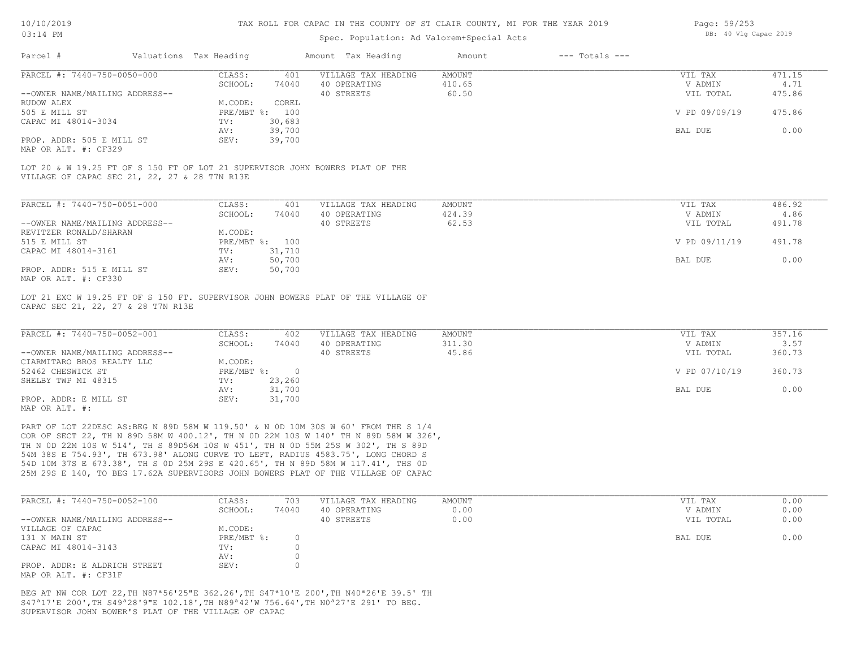## Spec. Population: Ad Valorem+Special Acts

| Page: 59/253 |  |                       |  |
|--------------|--|-----------------------|--|
|              |  | DB: 40 Vlg Capac 2019 |  |

| Parcel #<br>Valuations Tax Heading                                                                                            |                   |              | Amount Tax Heading                  | Amount           | $---$ Totals $---$ |                    |                |
|-------------------------------------------------------------------------------------------------------------------------------|-------------------|--------------|-------------------------------------|------------------|--------------------|--------------------|----------------|
| PARCEL #: 7440-750-0050-000                                                                                                   | CLASS:            | 401          | VILLAGE TAX HEADING                 | AMOUNT           |                    | VIL TAX            | 471.15         |
|                                                                                                                               | SCHOOL:           | 74040        | 40 OPERATING                        | 410.65           |                    | V ADMIN            | 4.71           |
| --OWNER NAME/MAILING ADDRESS--                                                                                                |                   |              | 40 STREETS                          | 60.50            |                    | VIL TOTAL          | 475.86         |
| RUDOW ALEX                                                                                                                    | M.CODE:           | COREL        |                                     |                  |                    |                    |                |
| 505 E MILL ST                                                                                                                 | PRE/MBT %: 100    |              |                                     |                  |                    | V PD 09/09/19      | 475.86         |
| CAPAC MI 48014-3034                                                                                                           | TV:               | 30,683       |                                     |                  |                    |                    |                |
|                                                                                                                               | AV:               | 39,700       |                                     |                  |                    | BAL DUE            | 0.00           |
| PROP. ADDR: 505 E MILL ST                                                                                                     | SEV:              | 39,700       |                                     |                  |                    |                    |                |
| MAP OR ALT. #: CF329                                                                                                          |                   |              |                                     |                  |                    |                    |                |
| LOT 20 & W 19.25 FT OF S 150 FT OF LOT 21 SUPERVISOR JOHN BOWERS PLAT OF THE<br>VILLAGE OF CAPAC SEC 21, 22, 27 & 28 T7N R13E |                   |              |                                     |                  |                    |                    |                |
| PARCEL #: 7440-750-0051-000                                                                                                   |                   |              |                                     |                  |                    |                    |                |
|                                                                                                                               | CLASS:<br>SCHOOL: | 401<br>74040 | VILLAGE TAX HEADING<br>40 OPERATING | AMOUNT<br>424.39 |                    | VIL TAX<br>V ADMIN | 486.92<br>4.86 |

|                                | SCHOOL:      | 74040  | 40 OPERATING | 424.39 | V ADMIN       | 4.86   |
|--------------------------------|--------------|--------|--------------|--------|---------------|--------|
| --OWNER NAME/MAILING ADDRESS-- |              |        | 40 STREETS   | 62.53  | VIL TOTAL     | 491.78 |
| REVITZER RONALD/SHARAN         | M.CODE:      |        |              |        |               |        |
| 515 E MILL ST                  | $PRE/MBT$ %: | 100    |              |        | V PD 09/11/19 | 491.78 |
| CAPAC MI 48014-3161            | TV:          | 31,710 |              |        |               |        |
|                                | AV:          | 50,700 |              |        | BAL DUE       | 0.00   |
| PROP. ADDR: 515 E MILL ST      | SEV:         | 50,700 |              |        |               |        |
| MAP OR ALT. #: CF330           |              |        |              |        |               |        |

LOT 21 EXC W 19.25 FT OF S 150 FT. SUPERVISOR JOHN BOWERS PLAT OF THE VILLAGE OF

CAPAC SEC 21, 22, 27 & 28 T7N R13E

| PARCEL #: 7440-750-0052-001    | CLASS:     | 402    | VILLAGE TAX HEADING | AMOUNT | VIL TAX       | 357.16 |
|--------------------------------|------------|--------|---------------------|--------|---------------|--------|
|                                | SCHOOL:    | 74040  | 40 OPERATING        | 311.30 | V ADMIN       | 3.57   |
| --OWNER NAME/MAILING ADDRESS-- |            |        | 40 STREETS          | 45.86  | VIL TOTAL     | 360.73 |
| CIARMITARO BROS REALTY LLC     | M.CODE:    |        |                     |        |               |        |
| 52462 CHESWICK ST              | PRE/MBT %: |        |                     |        | V PD 07/10/19 | 360.73 |
| SHELBY TWP MI 48315            | TV:        | 23,260 |                     |        |               |        |
|                                | AV:        | 31,700 |                     |        | BAL DUE       | 0.00   |
| PROP. ADDR: E MILL ST          | SEV:       | 31,700 |                     |        |               |        |
| MAP OR ALT. #:                 |            |        |                     |        |               |        |

25M 29S E 140, TO BEG 17.62A SUPERVISORS JOHN BOWERS PLAT OF THE VILLAGE OF CAPAC 54D 10M 37S E 673.38', TH S 0D 25M 29S E 420.65', TH N 89D 58M W 117.41', THS 0D 54M 38S E 754.93', TH 673.98' ALONG CURVE TO LEFT, RADIUS 4583.75', LONG CHORD S TH N 0D 22M 10S W 514', TH S 89D56M 10S W 451', TH N 0D 55M 25S W 302', TH S 89D COR OF SECT 22, TH N 89D 58M W 400.12', TH N 0D 22M 10S W 140' TH N 89D 58M W 326', PART OF LOT 22DESC AS:BEG N 89D 58M W 119.50' & N 0D 10M 30S W 60' FROM THE S 1/4

| PARCEL #: 7440-750-0052-100    | CLASS:     | 703   | VILLAGE TAX HEADING | AMOUNT | VIL TAX   | 0.00 |
|--------------------------------|------------|-------|---------------------|--------|-----------|------|
|                                | SCHOOL:    | 74040 | 40 OPERATING        | 0.00   | V ADMIN   | 0.00 |
| --OWNER NAME/MAILING ADDRESS-- |            |       | 40 STREETS          | 0.00   | VIL TOTAL | 0.00 |
| VILLAGE OF CAPAC               | M.CODE:    |       |                     |        |           |      |
| 131 N MAIN ST                  | PRE/MBT %: |       |                     |        | BAL DUE   | 0.00 |
| CAPAC MI 48014-3143            | TV:        |       |                     |        |           |      |
|                                | AV:        |       |                     |        |           |      |
| PROP. ADDR: E ALDRICH STREET   | SEV:       |       |                     |        |           |      |
| MAP OR ALT. #: CF31F           |            |       |                     |        |           |      |

SUPERVISOR JOHN BOWER'S PLAT OF THE VILLAGE OF CAPAC S47ª17'E 200',TH S49ª28'9"E 102.18',TH N89ª42'W 756.64',TH N0ª27'E 291' TO BEG. BEG AT NW COR LOT 22,TH N87ª56'25"E 362.26',TH S47ª10'E 200',TH N40ª26'E 39.5' TH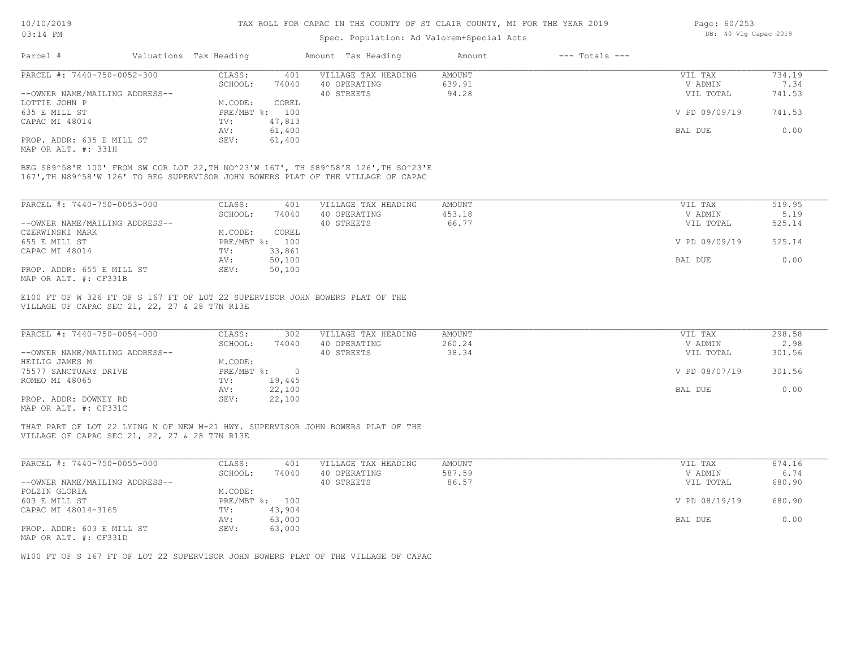# Spec. Population: Ad Valorem+Special Acts

| Page: 60/253 |  |                       |  |
|--------------|--|-----------------------|--|
|              |  | DB: 40 Vlg Capac 2019 |  |

| Parcel #                       | Valuations Tax Heading |        | Amount Tax Heading  | Amount | $---$ Totals $---$ |               |        |
|--------------------------------|------------------------|--------|---------------------|--------|--------------------|---------------|--------|
| PARCEL #: 7440-750-0052-300    | CLASS:                 | 401    | VILLAGE TAX HEADING | AMOUNT |                    | VIL TAX       | 734.19 |
|                                | SCHOOL:                | 74040  | 40 OPERATING        | 639.91 |                    | V ADMIN       | 7.34   |
| --OWNER NAME/MAILING ADDRESS-- |                        |        | 40 STREETS          | 94.28  |                    | VIL TOTAL     | 741.53 |
| LOTTIE JOHN P                  | M.CODE:                | COREL  |                     |        |                    |               |        |
| 635 E MILL ST                  | PRE/MBT %: 100         |        |                     |        |                    | V PD 09/09/19 | 741.53 |
| CAPAC MI 48014                 | TV:                    | 47,813 |                     |        |                    |               |        |
|                                | AV:                    | 61,400 |                     |        |                    | BAL DUE       | 0.00   |
| PROP. ADDR: 635 E MILL ST      | SEV:                   | 61,400 |                     |        |                    |               |        |
|                                |                        |        |                     |        |                    |               |        |

MAP OR ALT. #: 331H

167',TH N89^58'W 126' TO BEG SUPERVISOR JOHN BOWERS PLAT OF THE VILLAGE OF CAPAC BEG S89^58'E 100' FROM SW COR LOT 22,TH NO^23'W 167', TH S89^58'E 126',TH SO^23'E

| PARCEL #: 7440-750-0053-000    | CLASS:     | 401    | VILLAGE TAX HEADING | AMOUNT | VIL TAX       | 519.95 |
|--------------------------------|------------|--------|---------------------|--------|---------------|--------|
|                                | SCHOOL:    | 74040  | 40 OPERATING        | 453.18 | V ADMIN       | 5.19   |
| --OWNER NAME/MAILING ADDRESS-- |            |        | 40 STREETS          | 66.77  | VIL TOTAL     | 525.14 |
| CZERWINSKI MARK                | M.CODE:    | COREL  |                     |        |               |        |
| 655 E MILL ST                  | PRE/MBT %: | 100    |                     |        | V PD 09/09/19 | 525.14 |
| CAPAC MI 48014                 | TV:        | 33,861 |                     |        |               |        |
|                                | AV:        | 50,100 |                     |        | BAL DUE       | 0.00   |
| PROP. ADDR: 655 E MILL ST      | SEV:       | 50,100 |                     |        |               |        |
| MAP OR ALT. #: CF331B          |            |        |                     |        |               |        |

VILLAGE OF CAPAC SEC 21, 22, 27 & 28 T7N R13E E100 FT OF W 326 FT OF S 167 FT OF LOT 22 SUPERVISOR JOHN BOWERS PLAT OF THE

| PARCEL #: 7440-750-0054-000                  | CLASS:       | 302    | VILLAGE TAX HEADING | AMOUNT | VIL TAX       | 298.58 |
|----------------------------------------------|--------------|--------|---------------------|--------|---------------|--------|
|                                              | SCHOOL:      | 74040  | 40 OPERATING        | 260.24 | V ADMIN       | 2.98   |
| --OWNER NAME/MAILING ADDRESS--               |              |        | 40 STREETS          | 38.34  | VIL TOTAL     | 301.56 |
| HEILIG JAMES M                               | M.CODE:      |        |                     |        |               |        |
| 75577 SANCTUARY DRIVE                        | $PRE/MBT$ %: |        |                     |        | V PD 08/07/19 | 301.56 |
| ROMEO MI 48065                               | TV:          | 19,445 |                     |        |               |        |
|                                              | AV:          | 22,100 |                     |        | BAL DUE       | 0.00   |
| PROP. ADDR: DOWNEY RD                        | SEV:         | 22,100 |                     |        |               |        |
| $\cdots$ $\cdots$ $\cdots$ $\cdots$ $\cdots$ |              |        |                     |        |               |        |

MAP OR ALT. #: CF331C

VILLAGE OF CAPAC SEC 21, 22, 27 & 28 T7N R13E THAT PART OF LOT 22 LYING N OF NEW M-21 HWY. SUPERVISOR JOHN BOWERS PLAT OF THE

| PARCEL #: 7440-750-0055-000    | CLASS:     | 401    | VILLAGE TAX HEADING | AMOUNT | VIL TAX       | 674.16 |
|--------------------------------|------------|--------|---------------------|--------|---------------|--------|
|                                | SCHOOL:    | 74040  | 40 OPERATING        | 587.59 | V ADMIN       | 6.74   |
| --OWNER NAME/MAILING ADDRESS-- |            |        | 40 STREETS          | 86.57  | VIL TOTAL     | 680.90 |
| POLZIN GLORIA                  | M.CODE:    |        |                     |        |               |        |
| 603 E MILL ST                  | PRE/MBT %: | 100    |                     |        | V PD 08/19/19 | 680.90 |
| CAPAC MI 48014-3165            | TV:        | 43,904 |                     |        |               |        |
|                                | AV:        | 63,000 |                     |        | BAL DUE       | 0.00   |
| PROP. ADDR: 603 E MILL ST      | SEV:       | 63,000 |                     |        |               |        |
| MAP OR ALT. #: CF331D          |            |        |                     |        |               |        |

W100 FT OF S 167 FT OF LOT 22 SUPERVISOR JOHN BOWERS PLAT OF THE VILLAGE OF CAPAC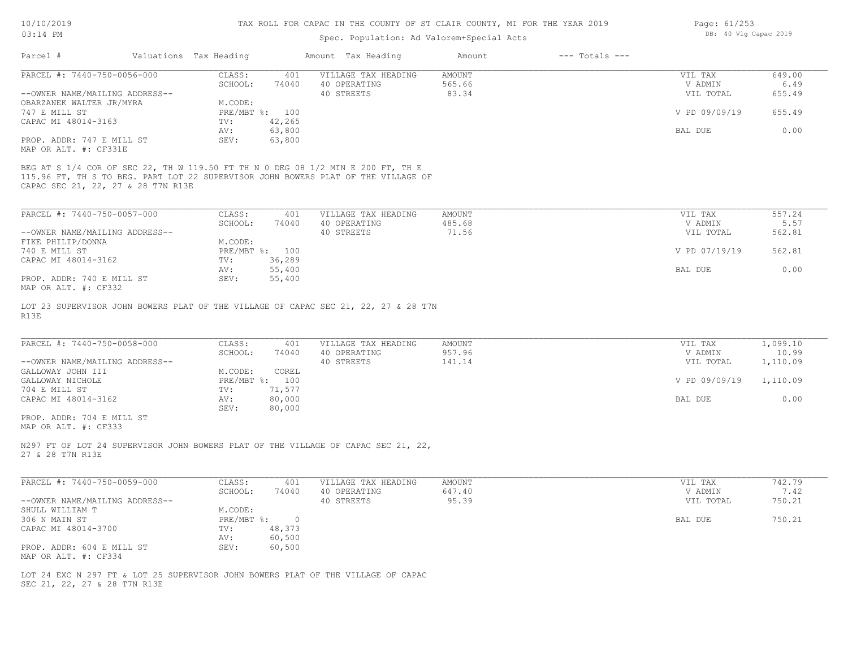| 10/10/2019<br>$03:14$ PM                           |                        | TAX ROLL FOR CAPAC IN THE COUNTY OF ST CLAIR COUNTY, MI FOR THE YEAR 2019 | Page: 61/253<br>DB: 40 Vlg Capac 2019                                              |                         |                    |                    |                |
|----------------------------------------------------|------------------------|---------------------------------------------------------------------------|------------------------------------------------------------------------------------|-------------------------|--------------------|--------------------|----------------|
|                                                    |                        |                                                                           | Spec. Population: Ad Valorem+Special Acts                                          |                         |                    |                    |                |
| Parcel #                                           | Valuations Tax Heading |                                                                           | Amount Tax Heading                                                                 | Amount                  | $---$ Totals $---$ |                    |                |
| PARCEL #: 7440-750-0056-000                        | CLASS:                 | 401                                                                       | VILLAGE TAX HEADING                                                                | <b>AMOUNT</b>           |                    | VIL TAX            | 649.00         |
|                                                    | SCHOOL:                | 74040                                                                     | 40 OPERATING                                                                       | 565.66                  |                    | V ADMIN            | 6.49           |
| --OWNER NAME/MAILING ADDRESS--                     |                        |                                                                           | 40 STREETS                                                                         | 83.34                   |                    | VIL TOTAL          | 655.49         |
| OBARZANEK WALTER JR/MYRA                           | M.CODE:                |                                                                           |                                                                                    |                         |                    |                    |                |
| 747 E MILL ST                                      |                        | PRE/MBT %: 100                                                            |                                                                                    |                         |                    | V PD 09/09/19      | 655.49         |
| CAPAC MI 48014-3163                                | TV:                    | 42,265                                                                    |                                                                                    |                         |                    |                    |                |
|                                                    | AV:                    | 63,800                                                                    |                                                                                    |                         |                    | BAL DUE            | 0.00           |
| PROP. ADDR: 747 E MILL ST<br>MAP OR ALT. #: CF331E | SEV:                   | 63,800                                                                    |                                                                                    |                         |                    |                    |                |
|                                                    |                        |                                                                           | BEG AT S 1/4 COR OF SEC 22, TH W 119.50 FT TH N 0 DEG 08 1/2 MIN E 200 FT, TH E    |                         |                    |                    |                |
|                                                    |                        |                                                                           | 115.96 FT, TH S TO BEG. PART LOT 22 SUPERVISOR JOHN BOWERS PLAT OF THE VILLAGE OF  |                         |                    |                    |                |
| CAPAC SEC 21, 22, 27 & 28 T7N R13E                 |                        |                                                                           |                                                                                    |                         |                    |                    |                |
|                                                    |                        |                                                                           |                                                                                    |                         |                    |                    |                |
| PARCEL #: 7440-750-0057-000                        | CLASS:                 | 401                                                                       | VILLAGE TAX HEADING                                                                | AMOUNT                  |                    | VIL TAX            | 557.24         |
|                                                    | SCHOOL:                | 74040                                                                     | 40 OPERATING                                                                       | 485.68                  |                    | V ADMIN            | 5.57           |
| --OWNER NAME/MAILING ADDRESS--                     |                        |                                                                           | 40 STREETS                                                                         | 71.56                   |                    | VIL TOTAL          | 562.81         |
| FIKE PHILIP/DONNA                                  | M.CODE:                |                                                                           |                                                                                    |                         |                    |                    |                |
| 740 E MILL ST                                      |                        | PRE/MBT %: 100                                                            |                                                                                    |                         |                    | V PD 07/19/19      | 562.81         |
| CAPAC MI 48014-3162                                | TV:                    | 36,289                                                                    |                                                                                    |                         |                    |                    |                |
|                                                    | AV:                    | 55,400                                                                    |                                                                                    |                         |                    | BAL DUE            | 0.00           |
| PROP. ADDR: 740 E MILL ST                          | SEV:                   | 55,400                                                                    |                                                                                    |                         |                    |                    |                |
| MAP OR ALT. #: CF332                               |                        |                                                                           |                                                                                    |                         |                    |                    |                |
|                                                    |                        |                                                                           |                                                                                    |                         |                    |                    |                |
|                                                    |                        |                                                                           | LOT 23 SUPERVISOR JOHN BOWERS PLAT OF THE VILLAGE OF CAPAC SEC 21, 22, 27 & 28 T7N |                         |                    |                    |                |
| R13E                                               |                        |                                                                           |                                                                                    |                         |                    |                    |                |
|                                                    |                        |                                                                           |                                                                                    |                         |                    |                    |                |
| PARCEL #: 7440-750-0058-000                        | CLASS:                 | 401                                                                       | VILLAGE TAX HEADING                                                                | AMOUNT                  |                    | VIL TAX            | 1,099.10       |
|                                                    | SCHOOL:                | 74040                                                                     | 40 OPERATING                                                                       | 957.96                  |                    | V ADMIN            | 10.99          |
| --OWNER NAME/MAILING ADDRESS--                     |                        |                                                                           | 40 STREETS                                                                         | 141.14                  |                    | VIL TOTAL          | 1,110.09       |
| GALLOWAY JOHN III                                  | M.CODE:                | COREL                                                                     |                                                                                    |                         |                    |                    |                |
| GALLOWAY NICHOLE                                   |                        | PRE/MBT %: 100                                                            |                                                                                    |                         |                    | V PD 09/09/19      | 1,110.09       |
| 704 E MILL ST                                      | TV:                    | 71,577                                                                    |                                                                                    |                         |                    |                    |                |
| CAPAC MI 48014-3162                                | AV:                    | 80,000                                                                    |                                                                                    |                         |                    | BAL DUE            | 0.00           |
|                                                    | SEV:                   | 80,000                                                                    |                                                                                    |                         |                    |                    |                |
| PROP. ADDR: 704 E MILL ST                          |                        |                                                                           |                                                                                    |                         |                    |                    |                |
| MAP OR ALT. #: CF333                               |                        |                                                                           |                                                                                    |                         |                    |                    |                |
| 27 & 28 T7N R13E                                   |                        |                                                                           | N297 FT OF LOT 24 SUPERVISOR JOHN BOWERS PLAT OF THE VILLAGE OF CAPAC SEC 21, 22,  |                         |                    |                    |                |
|                                                    |                        |                                                                           |                                                                                    |                         |                    |                    |                |
|                                                    |                        |                                                                           |                                                                                    |                         |                    |                    |                |
| PARCEL #: 7440-750-0059-000                        | CLASS:<br>SCHOOL:      | 401<br>74040                                                              | VILLAGE TAX HEADING<br>40 OPERATING                                                | <b>AMOUNT</b><br>647.40 |                    | VIL TAX<br>V ADMIN | 742.79<br>7.42 |
| --OWNER NAME/MAILING ADDRESS--                     |                        |                                                                           | 40 STREETS                                                                         | 95.39                   |                    | VIL TOTAL          | 750.21         |
|                                                    |                        |                                                                           |                                                                                    |                         |                    |                    |                |

MAP OR ALT. #: CF334 PROP. ADDR: 604 E MILL ST SEV: 60,500 AV: 60,500 CAPAC MI 48014-3700 TV: 48,373 306 N MAIN ST PRE/MBT %: 0 BAL DUE 750.21 SHULL WILLIAM T M.CODE:

SEC 21, 22, 27 & 28 T7N R13E LOT 24 EXC N 297 FT & LOT 25 SUPERVISOR JOHN BOWERS PLAT OF THE VILLAGE OF CAPAC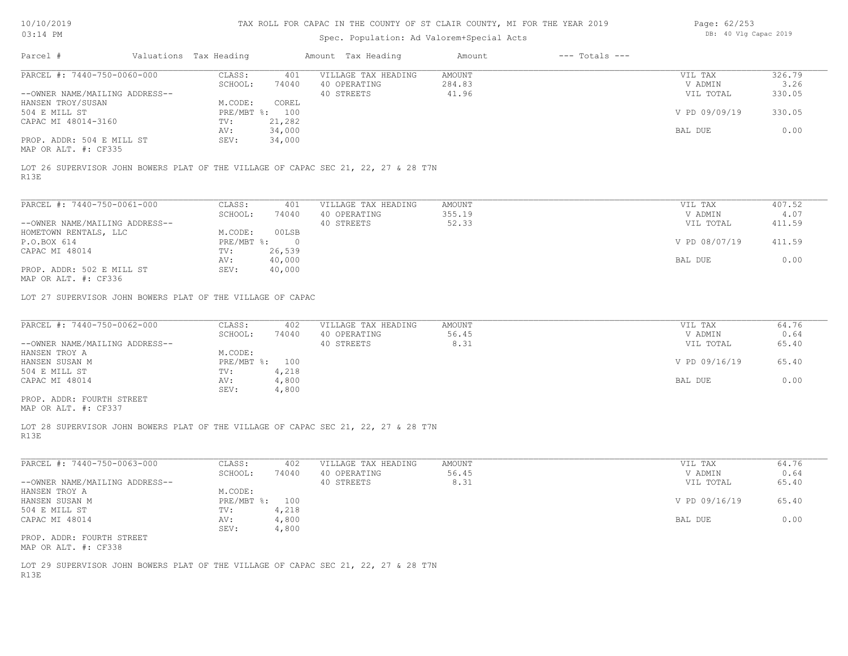# Spec. Population: Ad Valorem+Special Acts

| Page: 62/253 |  |                       |  |
|--------------|--|-----------------------|--|
|              |  | DB: 40 Vlg Capac 2019 |  |

| PARCEL #: 7440-750-0060-000<br>CLASS:<br>VILLAGE TAX HEADING<br>AMOUNT<br>VIL TAX<br>401<br>SCHOOL:<br>74040<br>40 OPERATING<br>284.83<br>V ADMIN<br>41.96<br>--OWNER NAME/MAILING ADDRESS--<br>40 STREETS<br>VIL TOTAL<br>HANSEN TROY/SUSAN<br>M.CODE:<br>COREL<br>PRE/MBT %: 100<br>V PD 09/09/19<br>330.05<br>504 E MILL ST<br>21,282<br>CAPAC MI 48014-3160<br>TV:<br>34,000<br>BAL DUE<br>0.00<br>AV:<br>PROP. ADDR: 504 E MILL ST<br>34,000<br>SEV:<br>MAP OR ALT. #: CF335<br>LOT 26 SUPERVISOR JOHN BOWERS PLAT OF THE VILLAGE OF CAPAC SEC 21, 22, 27 & 28 T7N<br>R13E<br>PARCEL #: 7440-750-0061-000<br>CLASS:<br>401<br>VILLAGE TAX HEADING<br>AMOUNT<br>VIL TAX<br>SCHOOL:<br>74040<br>40 OPERATING<br>355.19<br>V ADMIN<br>--OWNER NAME/MAILING ADDRESS--<br>40 STREETS<br>52.33<br>VIL TOTAL<br>411.59<br>M.CODE:<br>00LSB<br>HOMETOWN RENTALS, LLC<br>P.O.BOX 614<br>$PRE/MBT$ $\frac{1}{6}$ : 0<br>V PD 08/07/19<br>411.59<br>CAPAC MI 48014<br>26,539<br>TV:<br>40,000<br>BAL DUE<br>AV:<br>40,000<br>PROP. ADDR: 502 E MILL ST<br>SEV:<br>MAP OR ALT. #: CF336<br>LOT 27 SUPERVISOR JOHN BOWERS PLAT OF THE VILLAGE OF CAPAC<br>PARCEL #: 7440-750-0062-000<br>CLASS:<br>VILLAGE TAX HEADING<br>AMOUNT<br>VIL TAX<br>402<br>56.45<br>SCHOOL:<br>74040<br>40 OPERATING<br>V ADMIN<br>0.64<br>40 STREETS<br>8.31<br>65.40<br>--OWNER NAME/MAILING ADDRESS--<br>VIL TOTAL<br>M.CODE:<br>HANSEN TROY A<br>PRE/MBT %: 100<br>V PD 09/16/19<br>65.40<br>HANSEN SUSAN M<br>504 E MILL ST<br>TV:<br>4,218<br>0.00<br>CAPAC MI 48014<br>4,800<br>BAL DUE<br>AV:<br>SEV:<br>4,800<br>PROP. ADDR: FOURTH STREET<br>MAP OR ALT. #: CF337<br>LOT 28 SUPERVISOR JOHN BOWERS PLAT OF THE VILLAGE OF CAPAC SEC 21, 22, 27 & 28 T7N<br>R13E<br>PARCEL #: 7440-750-0063-000<br>CLASS:<br>VILLAGE TAX HEADING<br>AMOUNT<br>VIL TAX<br>64.76<br>402<br>56.45<br>SCHOOL:<br>74040<br>40 OPERATING<br>V ADMIN<br>0.64<br>8.31<br>--OWNER NAME/MAILING ADDRESS--<br>40 STREETS<br>VIL TOTAL<br>HANSEN TROY A<br>M.CODE:<br>PRE/MBT %: 100<br>V PD 09/16/19<br>65.40<br>HANSEN SUSAN M<br>504 E MILL ST<br>4,218<br>TV:<br>0.00<br>CAPAC MI 48014<br>AV:<br>4,800<br>BAL DUE<br>SEV:<br>4,800 | Parcel # | Valuations Tax Heading | Amount Tax Heading | Amount | $---$ Totals $---$ |                |
|-----------------------------------------------------------------------------------------------------------------------------------------------------------------------------------------------------------------------------------------------------------------------------------------------------------------------------------------------------------------------------------------------------------------------------------------------------------------------------------------------------------------------------------------------------------------------------------------------------------------------------------------------------------------------------------------------------------------------------------------------------------------------------------------------------------------------------------------------------------------------------------------------------------------------------------------------------------------------------------------------------------------------------------------------------------------------------------------------------------------------------------------------------------------------------------------------------------------------------------------------------------------------------------------------------------------------------------------------------------------------------------------------------------------------------------------------------------------------------------------------------------------------------------------------------------------------------------------------------------------------------------------------------------------------------------------------------------------------------------------------------------------------------------------------------------------------------------------------------------------------------------------------------------------------------------------------------------------------------------------------------------------------------------------------------------------------------------------------------------------------------------------------------------------------------------------|----------|------------------------|--------------------|--------|--------------------|----------------|
|                                                                                                                                                                                                                                                                                                                                                                                                                                                                                                                                                                                                                                                                                                                                                                                                                                                                                                                                                                                                                                                                                                                                                                                                                                                                                                                                                                                                                                                                                                                                                                                                                                                                                                                                                                                                                                                                                                                                                                                                                                                                                                                                                                                         |          |                        |                    |        |                    | 326.79<br>3.26 |
|                                                                                                                                                                                                                                                                                                                                                                                                                                                                                                                                                                                                                                                                                                                                                                                                                                                                                                                                                                                                                                                                                                                                                                                                                                                                                                                                                                                                                                                                                                                                                                                                                                                                                                                                                                                                                                                                                                                                                                                                                                                                                                                                                                                         |          |                        |                    |        |                    | 330.05         |
|                                                                                                                                                                                                                                                                                                                                                                                                                                                                                                                                                                                                                                                                                                                                                                                                                                                                                                                                                                                                                                                                                                                                                                                                                                                                                                                                                                                                                                                                                                                                                                                                                                                                                                                                                                                                                                                                                                                                                                                                                                                                                                                                                                                         |          |                        |                    |        |                    |                |
|                                                                                                                                                                                                                                                                                                                                                                                                                                                                                                                                                                                                                                                                                                                                                                                                                                                                                                                                                                                                                                                                                                                                                                                                                                                                                                                                                                                                                                                                                                                                                                                                                                                                                                                                                                                                                                                                                                                                                                                                                                                                                                                                                                                         |          |                        |                    |        |                    |                |
|                                                                                                                                                                                                                                                                                                                                                                                                                                                                                                                                                                                                                                                                                                                                                                                                                                                                                                                                                                                                                                                                                                                                                                                                                                                                                                                                                                                                                                                                                                                                                                                                                                                                                                                                                                                                                                                                                                                                                                                                                                                                                                                                                                                         |          |                        |                    |        |                    |                |
|                                                                                                                                                                                                                                                                                                                                                                                                                                                                                                                                                                                                                                                                                                                                                                                                                                                                                                                                                                                                                                                                                                                                                                                                                                                                                                                                                                                                                                                                                                                                                                                                                                                                                                                                                                                                                                                                                                                                                                                                                                                                                                                                                                                         |          |                        |                    |        |                    |                |
|                                                                                                                                                                                                                                                                                                                                                                                                                                                                                                                                                                                                                                                                                                                                                                                                                                                                                                                                                                                                                                                                                                                                                                                                                                                                                                                                                                                                                                                                                                                                                                                                                                                                                                                                                                                                                                                                                                                                                                                                                                                                                                                                                                                         |          |                        |                    |        |                    | 407.52         |
|                                                                                                                                                                                                                                                                                                                                                                                                                                                                                                                                                                                                                                                                                                                                                                                                                                                                                                                                                                                                                                                                                                                                                                                                                                                                                                                                                                                                                                                                                                                                                                                                                                                                                                                                                                                                                                                                                                                                                                                                                                                                                                                                                                                         |          |                        |                    |        |                    | 4.07           |
|                                                                                                                                                                                                                                                                                                                                                                                                                                                                                                                                                                                                                                                                                                                                                                                                                                                                                                                                                                                                                                                                                                                                                                                                                                                                                                                                                                                                                                                                                                                                                                                                                                                                                                                                                                                                                                                                                                                                                                                                                                                                                                                                                                                         |          |                        |                    |        |                    |                |
|                                                                                                                                                                                                                                                                                                                                                                                                                                                                                                                                                                                                                                                                                                                                                                                                                                                                                                                                                                                                                                                                                                                                                                                                                                                                                                                                                                                                                                                                                                                                                                                                                                                                                                                                                                                                                                                                                                                                                                                                                                                                                                                                                                                         |          |                        |                    |        |                    |                |
|                                                                                                                                                                                                                                                                                                                                                                                                                                                                                                                                                                                                                                                                                                                                                                                                                                                                                                                                                                                                                                                                                                                                                                                                                                                                                                                                                                                                                                                                                                                                                                                                                                                                                                                                                                                                                                                                                                                                                                                                                                                                                                                                                                                         |          |                        |                    |        |                    |                |
|                                                                                                                                                                                                                                                                                                                                                                                                                                                                                                                                                                                                                                                                                                                                                                                                                                                                                                                                                                                                                                                                                                                                                                                                                                                                                                                                                                                                                                                                                                                                                                                                                                                                                                                                                                                                                                                                                                                                                                                                                                                                                                                                                                                         |          |                        |                    |        |                    | 0.00           |
|                                                                                                                                                                                                                                                                                                                                                                                                                                                                                                                                                                                                                                                                                                                                                                                                                                                                                                                                                                                                                                                                                                                                                                                                                                                                                                                                                                                                                                                                                                                                                                                                                                                                                                                                                                                                                                                                                                                                                                                                                                                                                                                                                                                         |          |                        |                    |        |                    |                |
|                                                                                                                                                                                                                                                                                                                                                                                                                                                                                                                                                                                                                                                                                                                                                                                                                                                                                                                                                                                                                                                                                                                                                                                                                                                                                                                                                                                                                                                                                                                                                                                                                                                                                                                                                                                                                                                                                                                                                                                                                                                                                                                                                                                         |          |                        |                    |        |                    |                |
|                                                                                                                                                                                                                                                                                                                                                                                                                                                                                                                                                                                                                                                                                                                                                                                                                                                                                                                                                                                                                                                                                                                                                                                                                                                                                                                                                                                                                                                                                                                                                                                                                                                                                                                                                                                                                                                                                                                                                                                                                                                                                                                                                                                         |          |                        |                    |        |                    | 64.76          |
|                                                                                                                                                                                                                                                                                                                                                                                                                                                                                                                                                                                                                                                                                                                                                                                                                                                                                                                                                                                                                                                                                                                                                                                                                                                                                                                                                                                                                                                                                                                                                                                                                                                                                                                                                                                                                                                                                                                                                                                                                                                                                                                                                                                         |          |                        |                    |        |                    |                |
|                                                                                                                                                                                                                                                                                                                                                                                                                                                                                                                                                                                                                                                                                                                                                                                                                                                                                                                                                                                                                                                                                                                                                                                                                                                                                                                                                                                                                                                                                                                                                                                                                                                                                                                                                                                                                                                                                                                                                                                                                                                                                                                                                                                         |          |                        |                    |        |                    |                |
|                                                                                                                                                                                                                                                                                                                                                                                                                                                                                                                                                                                                                                                                                                                                                                                                                                                                                                                                                                                                                                                                                                                                                                                                                                                                                                                                                                                                                                                                                                                                                                                                                                                                                                                                                                                                                                                                                                                                                                                                                                                                                                                                                                                         |          |                        |                    |        |                    |                |
|                                                                                                                                                                                                                                                                                                                                                                                                                                                                                                                                                                                                                                                                                                                                                                                                                                                                                                                                                                                                                                                                                                                                                                                                                                                                                                                                                                                                                                                                                                                                                                                                                                                                                                                                                                                                                                                                                                                                                                                                                                                                                                                                                                                         |          |                        |                    |        |                    |                |
|                                                                                                                                                                                                                                                                                                                                                                                                                                                                                                                                                                                                                                                                                                                                                                                                                                                                                                                                                                                                                                                                                                                                                                                                                                                                                                                                                                                                                                                                                                                                                                                                                                                                                                                                                                                                                                                                                                                                                                                                                                                                                                                                                                                         |          |                        |                    |        |                    |                |
|                                                                                                                                                                                                                                                                                                                                                                                                                                                                                                                                                                                                                                                                                                                                                                                                                                                                                                                                                                                                                                                                                                                                                                                                                                                                                                                                                                                                                                                                                                                                                                                                                                                                                                                                                                                                                                                                                                                                                                                                                                                                                                                                                                                         |          |                        |                    |        |                    |                |
|                                                                                                                                                                                                                                                                                                                                                                                                                                                                                                                                                                                                                                                                                                                                                                                                                                                                                                                                                                                                                                                                                                                                                                                                                                                                                                                                                                                                                                                                                                                                                                                                                                                                                                                                                                                                                                                                                                                                                                                                                                                                                                                                                                                         |          |                        |                    |        |                    |                |
|                                                                                                                                                                                                                                                                                                                                                                                                                                                                                                                                                                                                                                                                                                                                                                                                                                                                                                                                                                                                                                                                                                                                                                                                                                                                                                                                                                                                                                                                                                                                                                                                                                                                                                                                                                                                                                                                                                                                                                                                                                                                                                                                                                                         |          |                        |                    |        |                    |                |
|                                                                                                                                                                                                                                                                                                                                                                                                                                                                                                                                                                                                                                                                                                                                                                                                                                                                                                                                                                                                                                                                                                                                                                                                                                                                                                                                                                                                                                                                                                                                                                                                                                                                                                                                                                                                                                                                                                                                                                                                                                                                                                                                                                                         |          |                        |                    |        |                    | 65.40          |
|                                                                                                                                                                                                                                                                                                                                                                                                                                                                                                                                                                                                                                                                                                                                                                                                                                                                                                                                                                                                                                                                                                                                                                                                                                                                                                                                                                                                                                                                                                                                                                                                                                                                                                                                                                                                                                                                                                                                                                                                                                                                                                                                                                                         |          |                        |                    |        |                    |                |
|                                                                                                                                                                                                                                                                                                                                                                                                                                                                                                                                                                                                                                                                                                                                                                                                                                                                                                                                                                                                                                                                                                                                                                                                                                                                                                                                                                                                                                                                                                                                                                                                                                                                                                                                                                                                                                                                                                                                                                                                                                                                                                                                                                                         |          |                        |                    |        |                    |                |
|                                                                                                                                                                                                                                                                                                                                                                                                                                                                                                                                                                                                                                                                                                                                                                                                                                                                                                                                                                                                                                                                                                                                                                                                                                                                                                                                                                                                                                                                                                                                                                                                                                                                                                                                                                                                                                                                                                                                                                                                                                                                                                                                                                                         |          |                        |                    |        |                    |                |
| PROP. ADDR: FOURTH STREET<br>MAP OR ALT. #: CF338                                                                                                                                                                                                                                                                                                                                                                                                                                                                                                                                                                                                                                                                                                                                                                                                                                                                                                                                                                                                                                                                                                                                                                                                                                                                                                                                                                                                                                                                                                                                                                                                                                                                                                                                                                                                                                                                                                                                                                                                                                                                                                                                       |          |                        |                    |        |                    |                |
| LOT 29 SUPERVISOR JOHN BOWERS PLAT OF THE VILLAGE OF CAPAC SEC 21, 22, 27 & 28 T7N<br>R13E                                                                                                                                                                                                                                                                                                                                                                                                                                                                                                                                                                                                                                                                                                                                                                                                                                                                                                                                                                                                                                                                                                                                                                                                                                                                                                                                                                                                                                                                                                                                                                                                                                                                                                                                                                                                                                                                                                                                                                                                                                                                                              |          |                        |                    |        |                    |                |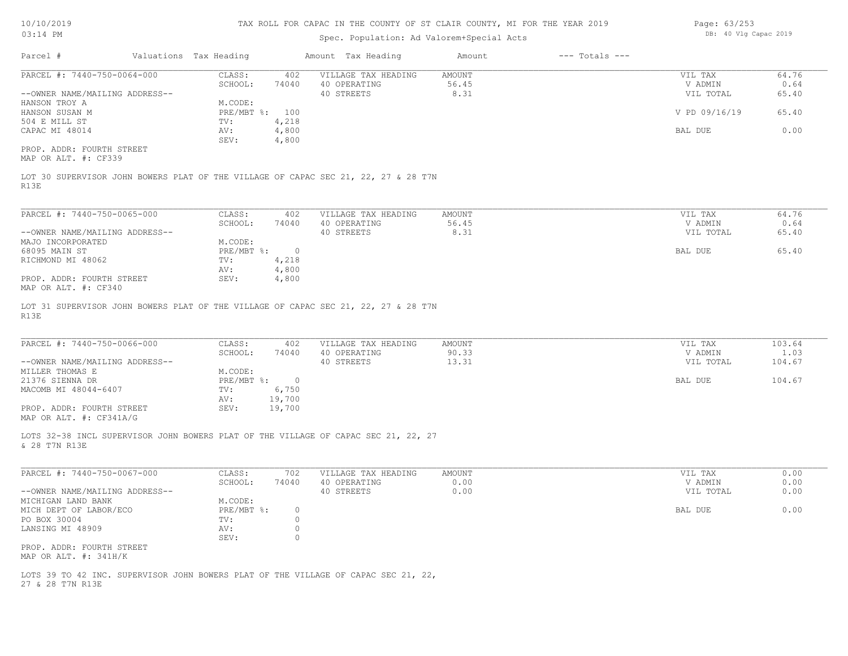# Spec. Population: Ad Valorem+Special Acts

| Page: 63/253 |  |                       |  |
|--------------|--|-----------------------|--|
|              |  | DB: 40 Vlg Capac 2019 |  |

|                                                                                                     |                           |                | Spec. Population: Ad Valorem+Special Acts |                |                    |                    |        |
|-----------------------------------------------------------------------------------------------------|---------------------------|----------------|-------------------------------------------|----------------|--------------------|--------------------|--------|
| Parcel #                                                                                            | Valuations Tax Heading    |                | Amount Tax Heading                        | Amount         | $---$ Totals $---$ |                    |        |
| PARCEL #: 7440-750-0064-000                                                                         | CLASS:                    | 402            | VILLAGE TAX HEADING                       | AMOUNT         |                    | VIL TAX            | 64.76  |
|                                                                                                     | SCHOOL:                   | 74040          | 40 OPERATING                              | 56.45          |                    | V ADMIN            | 0.64   |
| --OWNER NAME/MAILING ADDRESS--                                                                      |                           |                | 40 STREETS                                | 8.31           |                    | VIL TOTAL          | 65.40  |
| HANSON TROY A<br>HANSON SUSAN M                                                                     | M.CODE:<br>PRE/MBT %: 100 |                |                                           |                |                    | V PD 09/16/19      | 65.40  |
| 504 E MILL ST                                                                                       | TV:                       | 4,218          |                                           |                |                    |                    |        |
| CAPAC MI 48014                                                                                      | AV:                       | 4,800          |                                           |                |                    | BAL DUE            | 0.00   |
|                                                                                                     | SEV:                      | 4,800          |                                           |                |                    |                    |        |
| PROP. ADDR: FOURTH STREET                                                                           |                           |                |                                           |                |                    |                    |        |
| MAP OR ALT. #: CF339                                                                                |                           |                |                                           |                |                    |                    |        |
| LOT 30 SUPERVISOR JOHN BOWERS PLAT OF THE VILLAGE OF CAPAC SEC 21, 22, 27 & 28 T7N<br>R13E          |                           |                |                                           |                |                    |                    |        |
| PARCEL #: 7440-750-0065-000                                                                         | CLASS:                    | 402            | VILLAGE TAX HEADING                       | AMOUNT         |                    | VIL TAX            | 64.76  |
|                                                                                                     | SCHOOL:                   | 74040          | 40 OPERATING                              | 56.45          |                    | V ADMIN            | 0.64   |
| --OWNER NAME/MAILING ADDRESS--                                                                      |                           |                | 40 STREETS                                | 8.31           |                    | VIL TOTAL          | 65.40  |
| MAJO INCORPORATED                                                                                   | M.CODE:                   |                |                                           |                |                    |                    |        |
| 68095 MAIN ST                                                                                       | PRE/MBT %:                | $\overline{0}$ |                                           |                |                    | BAL DUE            | 65.40  |
| RICHMOND MI 48062                                                                                   | TV:                       | 4,218          |                                           |                |                    |                    |        |
|                                                                                                     | AV:                       | 4,800          |                                           |                |                    |                    |        |
| PROP. ADDR: FOURTH STREET<br>MAP OR ALT. #: CF340                                                   | SEV:                      | 4,800          |                                           |                |                    |                    |        |
| LOT 31 SUPERVISOR JOHN BOWERS PLAT OF THE VILLAGE OF CAPAC SEC 21, 22, 27 & 28 T7N<br>R13E          |                           |                |                                           |                |                    |                    |        |
| PARCEL #: 7440-750-0066-000                                                                         | CLASS:                    | 402            | VILLAGE TAX HEADING                       | AMOUNT         |                    | VIL TAX            | 103.64 |
|                                                                                                     | SCHOOL:                   | 74040          | 40 OPERATING                              | 90.33          |                    | V ADMIN            | 1.03   |
| --OWNER NAME/MAILING ADDRESS--                                                                      |                           |                | 40 STREETS                                | 13.31          |                    | VIL TOTAL          | 104.67 |
| MILLER THOMAS E                                                                                     | M.CODE:                   |                |                                           |                |                    |                    |        |
| 21376 SIENNA DR                                                                                     | $PRE/MBT$ $\div$ 0        |                |                                           |                |                    | BAL DUE            | 104.67 |
| MACOMB MI 48044-6407                                                                                | TV:                       | 6,750          |                                           |                |                    |                    |        |
|                                                                                                     | AV:                       | 19,700         |                                           |                |                    |                    |        |
| PROP. ADDR: FOURTH STREET<br>MAP OR ALT. #: CF341A/G                                                | SEV:                      | 19,700         |                                           |                |                    |                    |        |
| LOTS 32-38 INCL SUPERVISOR JOHN BOWERS PLAT OF THE VILLAGE OF CAPAC SEC 21, 22, 27<br>& 28 T7N R13E |                           |                |                                           |                |                    |                    |        |
| PARCEL #: 7440-750-0067-000                                                                         |                           |                |                                           |                |                    |                    | 0.00   |
|                                                                                                     | CLASS:<br>SCHOOL:         | 702<br>74040   | VILLAGE TAX HEADING<br>40 OPERATING       | AMOUNT<br>0.00 |                    | VIL TAX<br>V ADMIN | 0.00   |
| --OWNER NAME/MAILING ADDRESS--                                                                      |                           |                | 40 STREETS                                | 0.00           |                    | VIL TOTAL          | 0.00   |
| MICHIGAN LAND BANK                                                                                  | M.CODE:                   |                |                                           |                |                    |                    |        |
| MICH DEPT OF LABOR/ECO                                                                              | $PRE/MBT$ %:              | $\circ$        |                                           |                |                    | BAL DUE            | 0.00   |
| PO BOX 30004                                                                                        | TV:                       | 0              |                                           |                |                    |                    |        |
| LANSING MI 48909                                                                                    | AV:                       | 0              |                                           |                |                    |                    |        |
|                                                                                                     | SEV:                      | $\circ$        |                                           |                |                    |                    |        |
| PROP. ADDR: FOURTH STREET<br>MAP OR ALT. #: 341H/K                                                  |                           |                |                                           |                |                    |                    |        |
| LOTS 39 TO 42 INC. SUPERVISOR JOHN BOWERS PLAT OF THE VILLAGE OF CAPAC SEC 21, 22,                  |                           |                |                                           |                |                    |                    |        |
| 27 & 28 T7N R13E                                                                                    |                           |                |                                           |                |                    |                    |        |
|                                                                                                     |                           |                |                                           |                |                    |                    |        |
|                                                                                                     |                           |                |                                           |                |                    |                    |        |
|                                                                                                     |                           |                |                                           |                |                    |                    |        |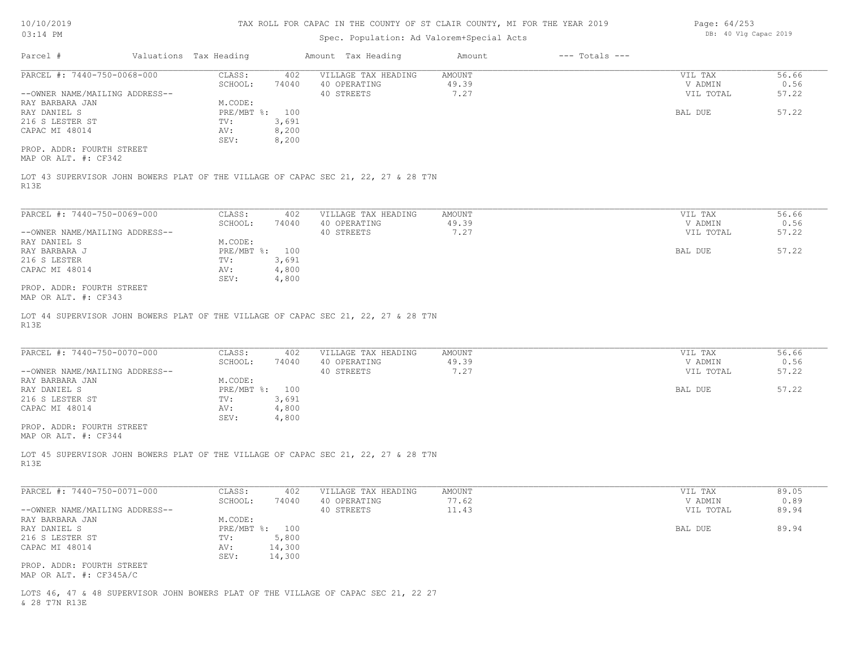|  |  | 10/10/2019 |
|--|--|------------|
|  |  |            |

| Page: 64/253 |  |                       |  |
|--------------|--|-----------------------|--|
|              |  | DB: 40 Vlg Capac 2019 |  |

| 03:14 PM                                                                                   |                                   | Spec. Population: Ad Valorem+Special Acts |                        |                    | DB: 40 Vlg Capac 2019 |               |
|--------------------------------------------------------------------------------------------|-----------------------------------|-------------------------------------------|------------------------|--------------------|-----------------------|---------------|
| Parcel #                                                                                   | Valuations Tax Heading            | Amount Tax Heading                        | Amount                 | $---$ Totals $---$ |                       |               |
| PARCEL #: 7440-750-0068-000                                                                | CLASS:<br>402                     | VILLAGE TAX HEADING                       | <b>AMOUNT</b>          |                    | VIL TAX               | 56.66         |
|                                                                                            | SCHOOL:<br>74040                  | 40 OPERATING                              | 49.39                  |                    | V ADMIN               | 0.56          |
| --OWNER NAME/MAILING ADDRESS--                                                             |                                   | 40 STREETS                                | 7.27                   |                    | VIL TOTAL             | 57.22         |
| RAY BARBARA JAN                                                                            | M.CODE:                           |                                           |                        |                    |                       |               |
| RAY DANIEL S<br>216 S LESTER ST                                                            | PRE/MBT %: 100<br>3,691<br>TV:    |                                           |                        |                    | BAL DUE               | 57.22         |
| CAPAC MI 48014                                                                             | 8,200<br>AV:                      |                                           |                        |                    |                       |               |
|                                                                                            | 8,200<br>SEV:                     |                                           |                        |                    |                       |               |
| PROP. ADDR: FOURTH STREET<br>MAP OR ALT. #: CF342                                          |                                   |                                           |                        |                    |                       |               |
| LOT 43 SUPERVISOR JOHN BOWERS PLAT OF THE VILLAGE OF CAPAC SEC 21, 22, 27 & 28 T7N<br>R13E |                                   |                                           |                        |                    |                       |               |
|                                                                                            |                                   |                                           |                        |                    |                       |               |
| PARCEL #: 7440-750-0069-000                                                                | CLASS:<br>402                     | VILLAGE TAX HEADING                       | AMOUNT                 |                    | VIL TAX               | 56.66         |
|                                                                                            | SCHOOL:<br>74040                  | 40 OPERATING<br>40 STREETS                | 49.39<br>7.27          |                    | V ADMIN               | 0.56<br>57.22 |
| --OWNER NAME/MAILING ADDRESS--<br>RAY DANIEL S                                             | M.CODE:                           |                                           |                        |                    | VIL TOTAL             |               |
| RAY BARBARA J                                                                              | PRE/MBT %: 100                    |                                           |                        |                    | BAL DUE               | 57.22         |
| 216 S LESTER                                                                               | TV:<br>3,691                      |                                           |                        |                    |                       |               |
| CAPAC MI 48014                                                                             | AV:<br>4,800<br>SEV:<br>4,800     |                                           |                        |                    |                       |               |
| PROP. ADDR: FOURTH STREET<br>MAP OR ALT. #: CF343                                          |                                   |                                           |                        |                    |                       |               |
| R13E<br>PARCEL #: 7440-750-0070-000                                                        | CLASS:<br>402<br>SCHOOL:<br>74040 | VILLAGE TAX HEADING<br>40 OPERATING       | <b>AMOUNT</b><br>49.39 |                    | VIL TAX<br>V ADMIN    | 56.66<br>0.56 |
| --OWNER NAME/MAILING ADDRESS--                                                             |                                   | 40 STREETS                                | 7.27                   |                    | VIL TOTAL             | 57.22         |
| RAY BARBARA JAN                                                                            | M.CODE:                           |                                           |                        |                    |                       |               |
| RAY DANIEL S                                                                               | PRE/MBT %: 100                    |                                           |                        |                    | BAL DUE               | 57.22         |
| 216 S LESTER ST                                                                            | 3,691<br>TV:                      |                                           |                        |                    |                       |               |
| CAPAC MI 48014                                                                             | AV:<br>4,800                      |                                           |                        |                    |                       |               |
|                                                                                            | SEV:<br>4,800                     |                                           |                        |                    |                       |               |
| PROP. ADDR: FOURTH STREET<br>MAP OR ALT. #: CF344                                          |                                   |                                           |                        |                    |                       |               |
| LOT 45 SUPERVISOR JOHN BOWERS PLAT OF THE VILLAGE OF CAPAC SEC 21, 22, 27 & 28 T7N<br>R13E |                                   |                                           |                        |                    |                       |               |
| PARCEL #: 7440-750-0071-000                                                                |                                   |                                           |                        |                    |                       | 89.05         |
|                                                                                            | CLASS:<br>402<br>SCHOOL:<br>74040 | VILLAGE TAX HEADING<br>40 OPERATING       | <b>AMOUNT</b><br>77.62 |                    | VIL TAX<br>V ADMIN    | 0.89          |
| --OWNER NAME/MAILING ADDRESS--                                                             |                                   | 40 STREETS                                | 11.43                  |                    | VIL TOTAL             | 89.94         |
| RAY BARBARA JAN                                                                            | M.CODE:                           |                                           |                        |                    |                       |               |
| RAY DANIEL S                                                                               | PRE/MBT %: 100                    |                                           |                        |                    | BAL DUE               | 89.94         |
| 216 S LESTER ST                                                                            | 5,800<br>TV:                      |                                           |                        |                    |                       |               |
| CAPAC MI 48014                                                                             | 14,300<br>AV:                     |                                           |                        |                    |                       |               |
|                                                                                            | 14,300<br>SEV:                    |                                           |                        |                    |                       |               |
| PROP. ADDR: FOURTH STREET                                                                  |                                   |                                           |                        |                    |                       |               |
| MAP OR ALT. #: CF345A/C                                                                    |                                   |                                           |                        |                    |                       |               |

& 28 T7N R13E LOTS 46, 47 & 48 SUPERVISOR JOHN BOWERS PLAT OF THE VILLAGE OF CAPAC SEC 21, 22 27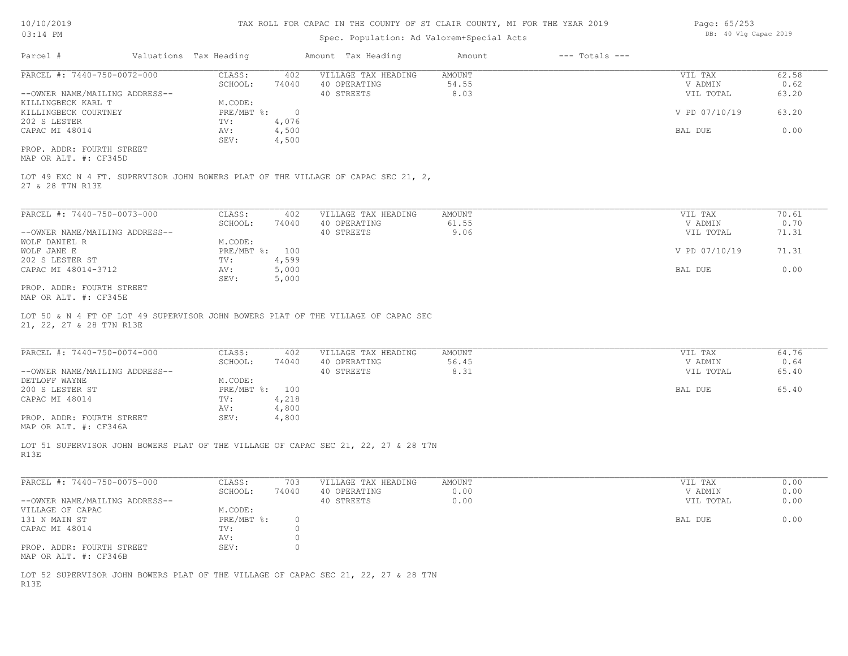# Spec. Population: Ad Valorem+Special Acts

| Page: 65/253 |  |                       |  |
|--------------|--|-----------------------|--|
|              |  | DB: 40 Vlg Capac 2019 |  |

| Parcel #                       | Valuations Tax Heading |        | Amount Tax Heading  | Amount | $---$ Totals $---$ |               |       |
|--------------------------------|------------------------|--------|---------------------|--------|--------------------|---------------|-------|
| PARCEL #: 7440-750-0072-000    | CLASS:                 | 402    | VILLAGE TAX HEADING | AMOUNT |                    | VIL TAX       | 62.58 |
|                                | SCHOOL:                | 74040  | 40 OPERATING        | 54.55  |                    | V ADMIN       | 0.62  |
| --OWNER NAME/MAILING ADDRESS-- |                        |        | 40 STREETS          | 8.03   |                    | VIL TOTAL     | 63.20 |
| KILLINGBECK KARL T             | M.CODE:                |        |                     |        |                    |               |       |
| KILLINGBECK COURTNEY           | $PRE/MBT$ %:           | $\Box$ |                     |        |                    | V PD 07/10/19 | 63.20 |
| 202 S LESTER                   | TV:                    | 4,076  |                     |        |                    |               |       |
| CAPAC MI 48014                 | AV:                    | 4,500  |                     |        |                    | BAL DUE       | 0.00  |
|                                | SEV:                   | 4,500  |                     |        |                    |               |       |
| PROP. ADDR: FOURTH STREET      |                        |        |                     |        |                    |               |       |

MAP OR ALT. #: CF345D

27 & 28 T7N R13E LOT 49 EXC N 4 FT. SUPERVISOR JOHN BOWERS PLAT OF THE VILLAGE OF CAPAC SEC 21, 2,

| PARCEL #: 7440-750-0073-000    | CLASS:         | 402   | VILLAGE TAX HEADING | AMOUNT | VIL TAX       | 70.61 |
|--------------------------------|----------------|-------|---------------------|--------|---------------|-------|
|                                | SCHOOL:        | 74040 | 40 OPERATING        | 61.55  | V ADMIN       | 0.70  |
| --OWNER NAME/MAILING ADDRESS-- |                |       | 40 STREETS          | 9.06   | VIL TOTAL     | 71.31 |
| WOLF DANIEL R                  | M.CODE:        |       |                     |        |               |       |
| WOLF JANE E                    | PRE/MBT %: 100 |       |                     |        | V PD 07/10/19 | 71.31 |
| 202 S LESTER ST                | TV:            | 4,599 |                     |        |               |       |
| CAPAC MI 48014-3712            | AV:            | 5,000 |                     |        | BAL DUE       | 0.00  |
|                                | SEV:           | 5,000 |                     |        |               |       |
| prop inco poursu concer        |                |       |                     |        |               |       |

MAP OR ALT. #: CF345E PROP. ADDR: FOURTH STREET

21, 22, 27 & 28 T7N R13E LOT 50 & N 4 FT OF LOT 49 SUPERVISOR JOHN BOWERS PLAT OF THE VILLAGE OF CAPAC SEC

| PARCEL #: 7440-750-0074-000                           | CLASS:         | 402   | VILLAGE TAX HEADING | AMOUNT | VIL TAX   | 64.76 |
|-------------------------------------------------------|----------------|-------|---------------------|--------|-----------|-------|
|                                                       | SCHOOL:        | 74040 | 40 OPERATING        | 56.45  | V ADMIN   | 0.64  |
| --OWNER NAME/MAILING ADDRESS--                        |                |       | 40 STREETS          | 8.31   | VIL TOTAL | 65.40 |
| DETLOFF WAYNE                                         | M.CODE:        |       |                     |        |           |       |
| 200 S LESTER ST                                       | PRE/MBT %: 100 |       |                     |        | BAL DUE   | 65.40 |
| CAPAC MI 48014                                        | TV:            | 4,218 |                     |        |           |       |
|                                                       | AV:            | 4,800 |                     |        |           |       |
| PROP. ADDR: FOURTH STREET                             | SEV:           | 4,800 |                     |        |           |       |
| $\cdots$ $\cdots$ $\cdots$ $\cdots$ $\cdots$ $\cdots$ |                |       |                     |        |           |       |

MAP OR ALT. #: CF346A

R13E LOT 51 SUPERVISOR JOHN BOWERS PLAT OF THE VILLAGE OF CAPAC SEC 21, 22, 27 & 28 T7N

| PARCEL #: 7440-750-0075-000    | CLASS:     | 703   | VILLAGE TAX HEADING | AMOUNT | VIL TAX   | 0.00 |
|--------------------------------|------------|-------|---------------------|--------|-----------|------|
|                                | SCHOOL:    | 74040 | 40 OPERATING        | 0.00   | V ADMIN   | 0.00 |
| --OWNER NAME/MAILING ADDRESS-- |            |       | 40 STREETS          | 0.00   | VIL TOTAL | 0.00 |
| VILLAGE OF CAPAC               | M.CODE:    |       |                     |        |           |      |
| 131 N MAIN ST                  | PRE/MBT %: |       |                     |        | BAL DUE   | 0.00 |
| CAPAC MI 48014                 | TV:        |       |                     |        |           |      |
|                                | AV:        |       |                     |        |           |      |
| PROP. ADDR: FOURTH STREET      | SEV:       |       |                     |        |           |      |
| MAP OR ALT. #: CF346B          |            |       |                     |        |           |      |

R13E LOT 52 SUPERVISOR JOHN BOWERS PLAT OF THE VILLAGE OF CAPAC SEC 21, 22, 27 & 28 T7N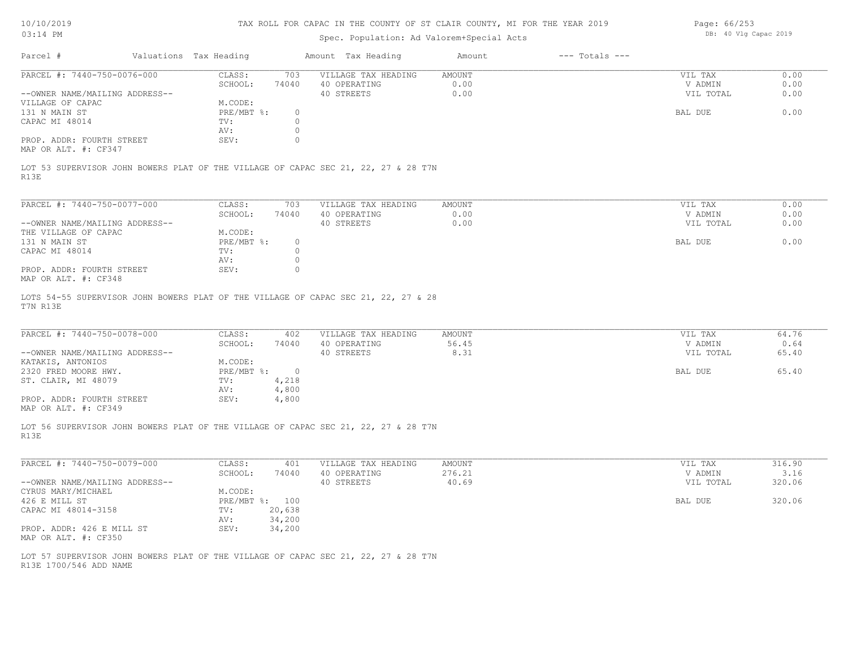| 10/10/2019 |  |
|------------|--|
| 03.14 PM   |  |

# Spec. Population: Ad Valorem+Special Acts

Page: 66/253 DB: 40 Vlg Capac 2019

| Parcel #<br>Valuations Tax Heading<br>Amount Tax Heading<br>$---$ Totals $---$<br>Amount<br>PARCEL #: 7440-750-0076-000<br>CLASS:<br>703<br>VILLAGE TAX HEADING<br>AMOUNT<br>0.00<br>SCHOOL:<br>74040<br>40 OPERATING<br>40 STREETS<br>0.00<br>--OWNER NAME/MAILING ADDRESS--<br>M.CODE:<br>PRE/MBT %:<br>$\circ$<br>CAPAC MI 48014<br>$\circ$<br>TV:<br>0<br>AV:<br>$\circ$<br>PROP. ADDR: FOURTH STREET<br>SEV:<br>R13E<br>PARCEL #: 7440-750-0077-000<br>CLASS:<br>703<br>VILLAGE TAX HEADING<br>AMOUNT<br>0.00<br>SCHOOL:<br>74040<br>40 OPERATING<br>--OWNER NAME/MAILING ADDRESS--<br>40 STREETS<br>0.00<br>M.CODE:<br>$PRE/MBT$ $\div$<br>$\circ$<br>$\circ$<br>CAPAC MI 48014<br>TV:<br>0<br>AV:<br>PROP. ADDR: FOURTH STREET<br>0<br>SEV:<br>PARCEL #: 7440-750-0078-000<br>CLASS:<br>402<br>VILLAGE TAX HEADING<br>AMOUNT<br>SCHOOL:<br>74040<br>40 OPERATING<br>56.45<br>--OWNER NAME/MAILING ADDRESS--<br>40 STREETS<br>8.31<br>M.CODE:<br>KATAKIS, ANTONIOS<br>2320 FRED MOORE HWY.<br>$PRE/MBT$ $\div$ 0<br>4,218<br>ST. CLAIR, MI 48079<br>TV:<br>4,800<br>AV:<br>PROP. ADDR: FOURTH STREET<br>SEV:<br>4,800<br>R13E | VIL TAX<br>V ADMIN<br>VIL TOTAL<br>BAL DUE<br>VIL TAX<br>V ADMIN<br>VIL TOTAL<br>BAL DUE<br>VIL TAX<br>V ADMIN<br>VIL TOTAL<br>BAL DUE | 0.00<br>0.00<br>0.00<br>0.00<br>0.00<br>0.00<br>0.00<br>0.00<br>64.76<br>0.64<br>65.40 |
|-------------------------------------------------------------------------------------------------------------------------------------------------------------------------------------------------------------------------------------------------------------------------------------------------------------------------------------------------------------------------------------------------------------------------------------------------------------------------------------------------------------------------------------------------------------------------------------------------------------------------------------------------------------------------------------------------------------------------------------------------------------------------------------------------------------------------------------------------------------------------------------------------------------------------------------------------------------------------------------------------------------------------------------------------------------------------------------------------------------------------------------|----------------------------------------------------------------------------------------------------------------------------------------|----------------------------------------------------------------------------------------|
| VILLAGE OF CAPAC<br>131 N MAIN ST<br>THE VILLAGE OF CAPAC<br>131 N MAIN ST<br>MAP OR ALT. #: CF348<br>MAP OR ALT. #: CF349<br>LOT 56 SUPERVISOR JOHN BOWERS PLAT OF THE VILLAGE OF CAPAC SEC 21, 22, 27 & 28 T7N                                                                                                                                                                                                                                                                                                                                                                                                                                                                                                                                                                                                                                                                                                                                                                                                                                                                                                                    |                                                                                                                                        |                                                                                        |
| MAP OR ALT. #: CF347<br>LOT 53 SUPERVISOR JOHN BOWERS PLAT OF THE VILLAGE OF CAPAC SEC 21, 22, 27 & 28 T7N<br>LOTS 54-55 SUPERVISOR JOHN BOWERS PLAT OF THE VILLAGE OF CAPAC SEC 21, 22, 27 & 28<br>T7N R13E                                                                                                                                                                                                                                                                                                                                                                                                                                                                                                                                                                                                                                                                                                                                                                                                                                                                                                                        |                                                                                                                                        |                                                                                        |
|                                                                                                                                                                                                                                                                                                                                                                                                                                                                                                                                                                                                                                                                                                                                                                                                                                                                                                                                                                                                                                                                                                                                     |                                                                                                                                        |                                                                                        |
|                                                                                                                                                                                                                                                                                                                                                                                                                                                                                                                                                                                                                                                                                                                                                                                                                                                                                                                                                                                                                                                                                                                                     |                                                                                                                                        |                                                                                        |
|                                                                                                                                                                                                                                                                                                                                                                                                                                                                                                                                                                                                                                                                                                                                                                                                                                                                                                                                                                                                                                                                                                                                     |                                                                                                                                        |                                                                                        |
|                                                                                                                                                                                                                                                                                                                                                                                                                                                                                                                                                                                                                                                                                                                                                                                                                                                                                                                                                                                                                                                                                                                                     |                                                                                                                                        |                                                                                        |
|                                                                                                                                                                                                                                                                                                                                                                                                                                                                                                                                                                                                                                                                                                                                                                                                                                                                                                                                                                                                                                                                                                                                     |                                                                                                                                        |                                                                                        |
|                                                                                                                                                                                                                                                                                                                                                                                                                                                                                                                                                                                                                                                                                                                                                                                                                                                                                                                                                                                                                                                                                                                                     |                                                                                                                                        |                                                                                        |
|                                                                                                                                                                                                                                                                                                                                                                                                                                                                                                                                                                                                                                                                                                                                                                                                                                                                                                                                                                                                                                                                                                                                     |                                                                                                                                        |                                                                                        |
|                                                                                                                                                                                                                                                                                                                                                                                                                                                                                                                                                                                                                                                                                                                                                                                                                                                                                                                                                                                                                                                                                                                                     |                                                                                                                                        |                                                                                        |
|                                                                                                                                                                                                                                                                                                                                                                                                                                                                                                                                                                                                                                                                                                                                                                                                                                                                                                                                                                                                                                                                                                                                     |                                                                                                                                        |                                                                                        |
|                                                                                                                                                                                                                                                                                                                                                                                                                                                                                                                                                                                                                                                                                                                                                                                                                                                                                                                                                                                                                                                                                                                                     |                                                                                                                                        |                                                                                        |
|                                                                                                                                                                                                                                                                                                                                                                                                                                                                                                                                                                                                                                                                                                                                                                                                                                                                                                                                                                                                                                                                                                                                     |                                                                                                                                        |                                                                                        |
|                                                                                                                                                                                                                                                                                                                                                                                                                                                                                                                                                                                                                                                                                                                                                                                                                                                                                                                                                                                                                                                                                                                                     |                                                                                                                                        |                                                                                        |
|                                                                                                                                                                                                                                                                                                                                                                                                                                                                                                                                                                                                                                                                                                                                                                                                                                                                                                                                                                                                                                                                                                                                     |                                                                                                                                        |                                                                                        |
|                                                                                                                                                                                                                                                                                                                                                                                                                                                                                                                                                                                                                                                                                                                                                                                                                                                                                                                                                                                                                                                                                                                                     |                                                                                                                                        |                                                                                        |
|                                                                                                                                                                                                                                                                                                                                                                                                                                                                                                                                                                                                                                                                                                                                                                                                                                                                                                                                                                                                                                                                                                                                     |                                                                                                                                        |                                                                                        |
|                                                                                                                                                                                                                                                                                                                                                                                                                                                                                                                                                                                                                                                                                                                                                                                                                                                                                                                                                                                                                                                                                                                                     |                                                                                                                                        | 65.40                                                                                  |
|                                                                                                                                                                                                                                                                                                                                                                                                                                                                                                                                                                                                                                                                                                                                                                                                                                                                                                                                                                                                                                                                                                                                     |                                                                                                                                        |                                                                                        |
|                                                                                                                                                                                                                                                                                                                                                                                                                                                                                                                                                                                                                                                                                                                                                                                                                                                                                                                                                                                                                                                                                                                                     |                                                                                                                                        |                                                                                        |
|                                                                                                                                                                                                                                                                                                                                                                                                                                                                                                                                                                                                                                                                                                                                                                                                                                                                                                                                                                                                                                                                                                                                     |                                                                                                                                        |                                                                                        |
|                                                                                                                                                                                                                                                                                                                                                                                                                                                                                                                                                                                                                                                                                                                                                                                                                                                                                                                                                                                                                                                                                                                                     |                                                                                                                                        |                                                                                        |
| PARCEL #: 7440-750-0079-000<br>CLASS:<br>VILLAGE TAX HEADING<br>401<br>AMOUNT                                                                                                                                                                                                                                                                                                                                                                                                                                                                                                                                                                                                                                                                                                                                                                                                                                                                                                                                                                                                                                                       | VIL TAX                                                                                                                                | 316.90                                                                                 |
| 276.21<br>SCHOOL:<br>74040<br>40 OPERATING<br>40 STREETS<br>40.69<br>--OWNER NAME/MAILING ADDRESS--                                                                                                                                                                                                                                                                                                                                                                                                                                                                                                                                                                                                                                                                                                                                                                                                                                                                                                                                                                                                                                 | V ADMIN<br>VIL TOTAL                                                                                                                   | 3.16<br>320.06                                                                         |
| CYRUS MARY/MICHAEL<br>M.CODE:                                                                                                                                                                                                                                                                                                                                                                                                                                                                                                                                                                                                                                                                                                                                                                                                                                                                                                                                                                                                                                                                                                       |                                                                                                                                        |                                                                                        |
| 426 E MILL ST<br>PRE/MBT %: 100                                                                                                                                                                                                                                                                                                                                                                                                                                                                                                                                                                                                                                                                                                                                                                                                                                                                                                                                                                                                                                                                                                     | BAL DUE                                                                                                                                | 320.06                                                                                 |
| CAPAC MI 48014-3158<br>20,638<br>TV:<br>AV: 34,200                                                                                                                                                                                                                                                                                                                                                                                                                                                                                                                                                                                                                                                                                                                                                                                                                                                                                                                                                                                                                                                                                  |                                                                                                                                        |                                                                                        |
| PROP. ADDR: 426 E MILL ST<br>34,200<br>SEV:<br>MAP OR ALT. #: CF350                                                                                                                                                                                                                                                                                                                                                                                                                                                                                                                                                                                                                                                                                                                                                                                                                                                                                                                                                                                                                                                                 |                                                                                                                                        |                                                                                        |
| LOT 57 SUPERVISOR JOHN BOWERS PLAT OF THE VILLAGE OF CAPAC SEC 21, 22, 27 & 28 T7N<br>R13E 1700/546 ADD NAME                                                                                                                                                                                                                                                                                                                                                                                                                                                                                                                                                                                                                                                                                                                                                                                                                                                                                                                                                                                                                        |                                                                                                                                        |                                                                                        |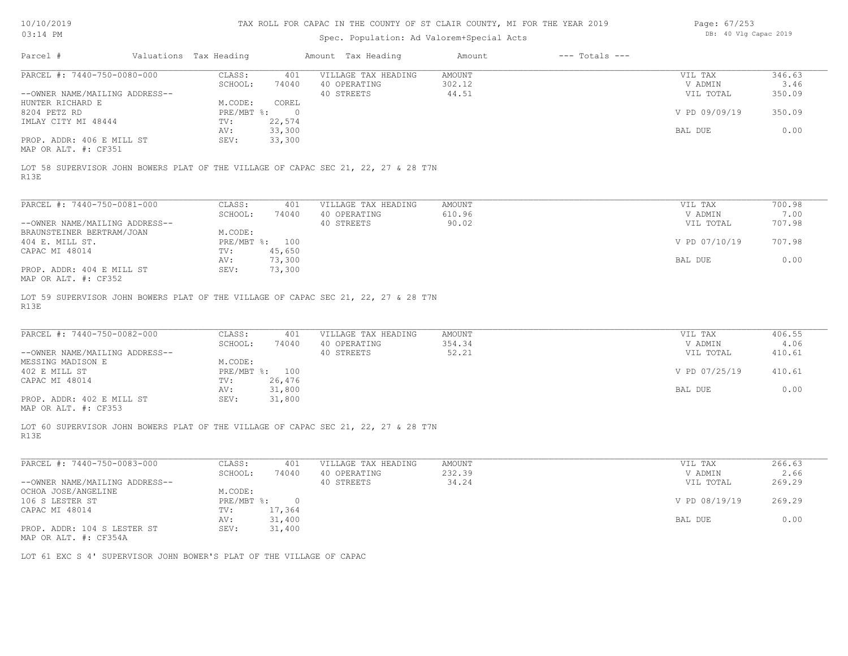| 10/10/2019 |  |
|------------|--|
|------------|--|

| Page: 67/253 |  |                       |  |
|--------------|--|-----------------------|--|
|              |  | DB: 40 Vlg Capac 2019 |  |

| Parcel #<br>Valuations Tax Heading<br>PARCEL #: 7440-750-0080-000<br>--OWNER NAME/MAILING ADDRESS--<br>HUNTER RICHARD E<br>8204 PETZ RD<br>IMLAY CITY MI 48444<br>PROP. ADDR: 406 E MILL ST<br>MAP OR ALT. #: CF351<br>LOT 58 SUPERVISOR JOHN BOWERS PLAT OF THE VILLAGE OF CAPAC SEC 21, 22, 27 & 28 T7N<br>R13E<br>PARCEL #: 7440-750-0081-000<br>--OWNER NAME/MAILING ADDRESS--<br>BRAUNSTEINER BERTRAM/JOAN<br>404 E. MILL ST.<br>CAPAC MI 48014<br>PROP. ADDR: 404 E MILL ST<br>MAP OR ALT. #: CF352<br>LOT 59 SUPERVISOR JOHN BOWERS PLAT OF THE VILLAGE OF CAPAC SEC 21, 22, 27 & 28 T7N<br>R13E | CLASS:<br>401<br>SCHOOL:<br>74040<br>M.CODE:<br>COREL<br>PRE/MBT %:<br>$\overline{0}$<br>22,574<br>TV:<br>33,300<br>AV:<br>33,300<br>SEV:<br>CLASS:<br>401<br>SCHOOL:<br>74040<br>M.CODE:<br>PRE/MBT %: 100<br>TV:<br>45,650<br>73,300<br>AV:<br>SEV:<br>73,300 | Amount Tax Heading<br>VILLAGE TAX HEADING<br>40 OPERATING<br>40 STREETS<br>VILLAGE TAX HEADING<br>40 OPERATING<br>40 STREETS | $---$ Totals $---$<br>Amount<br>AMOUNT<br>302.12<br>44.51<br>AMOUNT<br>610.96<br>90.02 | VIL TAX<br>V ADMIN<br>VIL TOTAL<br>V PD 09/09/19<br>BAL DUE<br>VIL TAX<br>V ADMIN<br>VIL TOTAL<br>V PD 07/10/19<br>BAL DUE | 346.63<br>3.46<br>350.09<br>350.09<br>0.00<br>700.98<br>7.00<br>707.98<br>707.98<br>0.00 |
|---------------------------------------------------------------------------------------------------------------------------------------------------------------------------------------------------------------------------------------------------------------------------------------------------------------------------------------------------------------------------------------------------------------------------------------------------------------------------------------------------------------------------------------------------------------------------------------------------------|-----------------------------------------------------------------------------------------------------------------------------------------------------------------------------------------------------------------------------------------------------------------|------------------------------------------------------------------------------------------------------------------------------|----------------------------------------------------------------------------------------|----------------------------------------------------------------------------------------------------------------------------|------------------------------------------------------------------------------------------|
|                                                                                                                                                                                                                                                                                                                                                                                                                                                                                                                                                                                                         |                                                                                                                                                                                                                                                                 |                                                                                                                              |                                                                                        |                                                                                                                            |                                                                                          |
|                                                                                                                                                                                                                                                                                                                                                                                                                                                                                                                                                                                                         |                                                                                                                                                                                                                                                                 |                                                                                                                              |                                                                                        |                                                                                                                            |                                                                                          |
|                                                                                                                                                                                                                                                                                                                                                                                                                                                                                                                                                                                                         |                                                                                                                                                                                                                                                                 |                                                                                                                              |                                                                                        |                                                                                                                            |                                                                                          |
|                                                                                                                                                                                                                                                                                                                                                                                                                                                                                                                                                                                                         |                                                                                                                                                                                                                                                                 |                                                                                                                              |                                                                                        |                                                                                                                            |                                                                                          |
|                                                                                                                                                                                                                                                                                                                                                                                                                                                                                                                                                                                                         |                                                                                                                                                                                                                                                                 |                                                                                                                              |                                                                                        |                                                                                                                            |                                                                                          |
|                                                                                                                                                                                                                                                                                                                                                                                                                                                                                                                                                                                                         |                                                                                                                                                                                                                                                                 |                                                                                                                              |                                                                                        |                                                                                                                            |                                                                                          |
|                                                                                                                                                                                                                                                                                                                                                                                                                                                                                                                                                                                                         |                                                                                                                                                                                                                                                                 |                                                                                                                              |                                                                                        |                                                                                                                            |                                                                                          |
|                                                                                                                                                                                                                                                                                                                                                                                                                                                                                                                                                                                                         |                                                                                                                                                                                                                                                                 |                                                                                                                              |                                                                                        |                                                                                                                            |                                                                                          |
|                                                                                                                                                                                                                                                                                                                                                                                                                                                                                                                                                                                                         |                                                                                                                                                                                                                                                                 |                                                                                                                              |                                                                                        |                                                                                                                            |                                                                                          |
|                                                                                                                                                                                                                                                                                                                                                                                                                                                                                                                                                                                                         |                                                                                                                                                                                                                                                                 |                                                                                                                              |                                                                                        |                                                                                                                            |                                                                                          |
|                                                                                                                                                                                                                                                                                                                                                                                                                                                                                                                                                                                                         |                                                                                                                                                                                                                                                                 |                                                                                                                              |                                                                                        |                                                                                                                            |                                                                                          |
|                                                                                                                                                                                                                                                                                                                                                                                                                                                                                                                                                                                                         |                                                                                                                                                                                                                                                                 |                                                                                                                              |                                                                                        |                                                                                                                            |                                                                                          |
|                                                                                                                                                                                                                                                                                                                                                                                                                                                                                                                                                                                                         |                                                                                                                                                                                                                                                                 |                                                                                                                              |                                                                                        |                                                                                                                            |                                                                                          |
|                                                                                                                                                                                                                                                                                                                                                                                                                                                                                                                                                                                                         |                                                                                                                                                                                                                                                                 |                                                                                                                              |                                                                                        |                                                                                                                            |                                                                                          |
|                                                                                                                                                                                                                                                                                                                                                                                                                                                                                                                                                                                                         |                                                                                                                                                                                                                                                                 |                                                                                                                              |                                                                                        |                                                                                                                            |                                                                                          |
|                                                                                                                                                                                                                                                                                                                                                                                                                                                                                                                                                                                                         |                                                                                                                                                                                                                                                                 |                                                                                                                              |                                                                                        |                                                                                                                            |                                                                                          |
|                                                                                                                                                                                                                                                                                                                                                                                                                                                                                                                                                                                                         |                                                                                                                                                                                                                                                                 |                                                                                                                              |                                                                                        |                                                                                                                            |                                                                                          |
|                                                                                                                                                                                                                                                                                                                                                                                                                                                                                                                                                                                                         |                                                                                                                                                                                                                                                                 |                                                                                                                              |                                                                                        |                                                                                                                            |                                                                                          |
|                                                                                                                                                                                                                                                                                                                                                                                                                                                                                                                                                                                                         |                                                                                                                                                                                                                                                                 |                                                                                                                              |                                                                                        |                                                                                                                            |                                                                                          |
| PARCEL #: 7440-750-0082-000                                                                                                                                                                                                                                                                                                                                                                                                                                                                                                                                                                             | CLASS:<br>401<br>SCHOOL:<br>74040                                                                                                                                                                                                                               | VILLAGE TAX HEADING<br>40 OPERATING                                                                                          | AMOUNT<br>354.34                                                                       | VIL TAX<br>V ADMIN                                                                                                         | 406.55<br>4.06                                                                           |
| --OWNER NAME/MAILING ADDRESS--                                                                                                                                                                                                                                                                                                                                                                                                                                                                                                                                                                          |                                                                                                                                                                                                                                                                 | 40 STREETS                                                                                                                   | 52.21                                                                                  | VIL TOTAL                                                                                                                  | 410.61                                                                                   |
| MESSING MADISON E                                                                                                                                                                                                                                                                                                                                                                                                                                                                                                                                                                                       | M.CODE:                                                                                                                                                                                                                                                         |                                                                                                                              |                                                                                        |                                                                                                                            |                                                                                          |
| 402 E MILL ST                                                                                                                                                                                                                                                                                                                                                                                                                                                                                                                                                                                           | PRE/MBT %: 100                                                                                                                                                                                                                                                  |                                                                                                                              |                                                                                        | V PD 07/25/19                                                                                                              | 410.61                                                                                   |
| CAPAC MI 48014                                                                                                                                                                                                                                                                                                                                                                                                                                                                                                                                                                                          | 26,476<br>TV:                                                                                                                                                                                                                                                   |                                                                                                                              |                                                                                        |                                                                                                                            |                                                                                          |
|                                                                                                                                                                                                                                                                                                                                                                                                                                                                                                                                                                                                         | 31,800<br>AV:                                                                                                                                                                                                                                                   |                                                                                                                              |                                                                                        | BAL DUE                                                                                                                    | 0.00                                                                                     |
| PROP. ADDR: 402 E MILL ST<br>MAP OR ALT. #: CF353                                                                                                                                                                                                                                                                                                                                                                                                                                                                                                                                                       | 31,800<br>SEV:                                                                                                                                                                                                                                                  |                                                                                                                              |                                                                                        |                                                                                                                            |                                                                                          |
| LOT 60 SUPERVISOR JOHN BOWERS PLAT OF THE VILLAGE OF CAPAC SEC 21, 22, 27 & 28 T7N<br>R13E                                                                                                                                                                                                                                                                                                                                                                                                                                                                                                              |                                                                                                                                                                                                                                                                 |                                                                                                                              |                                                                                        |                                                                                                                            |                                                                                          |
| PARCEL #: 7440-750-0083-000                                                                                                                                                                                                                                                                                                                                                                                                                                                                                                                                                                             | CLASS:<br>401                                                                                                                                                                                                                                                   | VILLAGE TAX HEADING                                                                                                          | AMOUNT                                                                                 | VIL TAX                                                                                                                    | 266.63                                                                                   |
|                                                                                                                                                                                                                                                                                                                                                                                                                                                                                                                                                                                                         | SCHOOL:<br>74040                                                                                                                                                                                                                                                | 40 OPERATING                                                                                                                 | 232.39                                                                                 | V ADMIN                                                                                                                    | 2.66                                                                                     |
| --OWNER NAME/MAILING ADDRESS--                                                                                                                                                                                                                                                                                                                                                                                                                                                                                                                                                                          |                                                                                                                                                                                                                                                                 | 40 STREETS                                                                                                                   | 34.24                                                                                  | VIL TOTAL                                                                                                                  | 269.29                                                                                   |
| OCHOA JOSE/ANGELINE                                                                                                                                                                                                                                                                                                                                                                                                                                                                                                                                                                                     | M.CODE:                                                                                                                                                                                                                                                         |                                                                                                                              |                                                                                        |                                                                                                                            |                                                                                          |
| 106 S LESTER ST                                                                                                                                                                                                                                                                                                                                                                                                                                                                                                                                                                                         | PRE/MBT %:<br>$\overline{0}$                                                                                                                                                                                                                                    |                                                                                                                              |                                                                                        | V PD 08/19/19                                                                                                              | 269.29                                                                                   |
| CAPAC MI 48014                                                                                                                                                                                                                                                                                                                                                                                                                                                                                                                                                                                          | TV: 17,364                                                                                                                                                                                                                                                      |                                                                                                                              |                                                                                        |                                                                                                                            |                                                                                          |
|                                                                                                                                                                                                                                                                                                                                                                                                                                                                                                                                                                                                         | AV:<br>31,400                                                                                                                                                                                                                                                   |                                                                                                                              |                                                                                        | BAL DUE                                                                                                                    | 0.00                                                                                     |
| PROP. ADDR: 104 S LESTER ST<br>MAP OR ALT. #: CF354A                                                                                                                                                                                                                                                                                                                                                                                                                                                                                                                                                    | SEV:<br>31,400                                                                                                                                                                                                                                                  |                                                                                                                              |                                                                                        |                                                                                                                            |                                                                                          |
| LOT 61 EXC S 4' SUPERVISOR JOHN BOWER'S PLAT OF THE VILLAGE OF CAPAC                                                                                                                                                                                                                                                                                                                                                                                                                                                                                                                                    |                                                                                                                                                                                                                                                                 |                                                                                                                              |                                                                                        |                                                                                                                            |                                                                                          |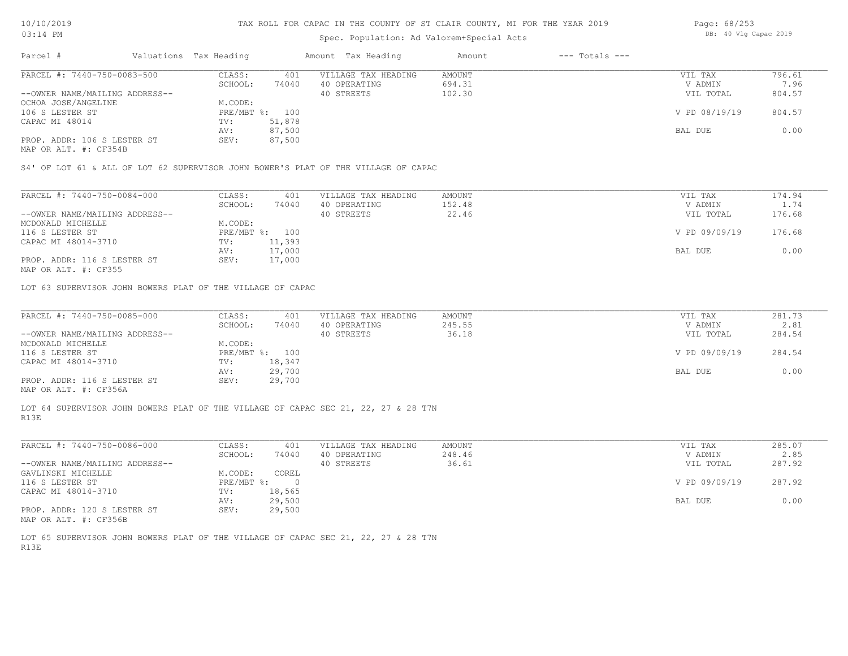## Spec. Population: Ad Valorem+Special Acts

| Page: 68/253 |  |  |                       |  |
|--------------|--|--|-----------------------|--|
|              |  |  | DB: 40 Vlg Capac 2019 |  |

| Parcel #                       | Valuations Tax Heading |        | Amount Tax Heading  | Amount | $---$ Totals $---$ |               |        |
|--------------------------------|------------------------|--------|---------------------|--------|--------------------|---------------|--------|
| PARCEL #: 7440-750-0083-500    | CLASS:                 | 401    | VILLAGE TAX HEADING | AMOUNT |                    | VIL TAX       | 796.61 |
|                                | SCHOOL:                | 74040  | 40 OPERATING        | 694.31 |                    | V ADMIN       | 7.96   |
| --OWNER NAME/MAILING ADDRESS-- |                        |        | 40 STREETS          | 102.30 |                    | VIL TOTAL     | 804.57 |
| OCHOA JOSE/ANGELINE            | M.CODE:                |        |                     |        |                    |               |        |
| 106 S LESTER ST                | PRE/MBT %: 100         |        |                     |        |                    | V PD 08/19/19 | 804.57 |
| CAPAC MI 48014                 | TV:                    | 51,878 |                     |        |                    |               |        |
|                                | AV:                    | 87,500 |                     |        |                    | BAL DUE       | 0.00   |
| PROP. ADDR: 106 S LESTER ST    | SEV:                   | 87,500 |                     |        |                    |               |        |
|                                |                        |        |                     |        |                    |               |        |

MAP OR ALT. #: CF354B

S4' OF LOT 61 & ALL OF LOT 62 SUPERVISOR JOHN BOWER'S PLAT OF THE VILLAGE OF CAPAC

| PARCEL #: 7440-750-0084-000    | CLASS:  | 401            | VILLAGE TAX HEADING | AMOUNT | VIL TAX       | 174.94     |
|--------------------------------|---------|----------------|---------------------|--------|---------------|------------|
|                                | SCHOOL: | 74040          | 40 OPERATING        | 152.48 | V ADMIN       | $\pm 0.74$ |
| --OWNER NAME/MAILING ADDRESS-- |         |                | 40 STREETS          | 22.46  | VIL TOTAL     | 176.68     |
| MCDONALD MICHELLE              | M.CODE: |                |                     |        |               |            |
| 116 S LESTER ST                |         | PRE/MBT %: 100 |                     |        | V PD 09/09/19 | 176.68     |
| CAPAC MI 48014-3710            | TV:     | 11,393         |                     |        |               |            |
|                                | AV:     | 17,000         |                     |        | BAL DUE       | 0.00       |
| PROP. ADDR: 116 S LESTER ST    | SEV:    | 17,000         |                     |        |               |            |
|                                |         |                |                     |        |               |            |

MAP OR ALT. #: CF355

LOT 63 SUPERVISOR JOHN BOWERS PLAT OF THE VILLAGE OF CAPAC

| PARCEL #: 7440-750-0085-000     | CLASS:         | 401    | VILLAGE TAX HEADING | AMOUNT | VIL TAX       | 281.73 |
|---------------------------------|----------------|--------|---------------------|--------|---------------|--------|
|                                 | SCHOOL:        | 74040  | 40 OPERATING        | 245.55 | V ADMIN       | 2.81   |
| --OWNER NAME/MAILING ADDRESS--  |                |        | 40 STREETS          | 36.18  | VIL TOTAL     | 284.54 |
| MCDONALD MICHELLE               | M.CODE:        |        |                     |        |               |        |
| 116 S LESTER ST                 | PRE/MBT %: 100 |        |                     |        | V PD 09/09/19 | 284.54 |
| CAPAC MI 48014-3710             | TV:            | 18,347 |                     |        |               |        |
|                                 | AV:            | 29,700 |                     |        | BAL DUE       | 0.00   |
| PROP. ADDR: 116 S LESTER ST     | SEV:           | 29,700 |                     |        |               |        |
| $MAD$ $CD$ $ATH$ $H$ , $CDDECA$ |                |        |                     |        |               |        |

MAP OR ALT. #: CF356A

R13E LOT 64 SUPERVISOR JOHN BOWERS PLAT OF THE VILLAGE OF CAPAC SEC 21, 22, 27 & 28 T7N

| PARCEL #: 7440-750-0086-000    | CLASS:       | 401    | VILLAGE TAX HEADING | AMOUNT | VIL TAX       | 285.07 |
|--------------------------------|--------------|--------|---------------------|--------|---------------|--------|
|                                | SCHOOL:      | 74040  | 40 OPERATING        | 248.46 | V ADMIN       | 2.85   |
| --OWNER NAME/MAILING ADDRESS-- |              |        | 40 STREETS          | 36.61  | VIL TOTAL     | 287.92 |
| GAVLINSKI MICHELLE             | M.CODE:      | COREL  |                     |        |               |        |
| 116 S LESTER ST                | $PRE/MBT$ %: |        |                     |        | V PD 09/09/19 | 287.92 |
| CAPAC MI 48014-3710            | TV:          | 18,565 |                     |        |               |        |
|                                | AV:          | 29,500 |                     |        | BAL DUE       | 0.00   |
| PROP. ADDR: 120 S LESTER ST    | SEV:         | 29,500 |                     |        |               |        |
| MAP OR ALT. #: CF356B          |              |        |                     |        |               |        |

R13E LOT 65 SUPERVISOR JOHN BOWERS PLAT OF THE VILLAGE OF CAPAC SEC 21, 22, 27 & 28 T7N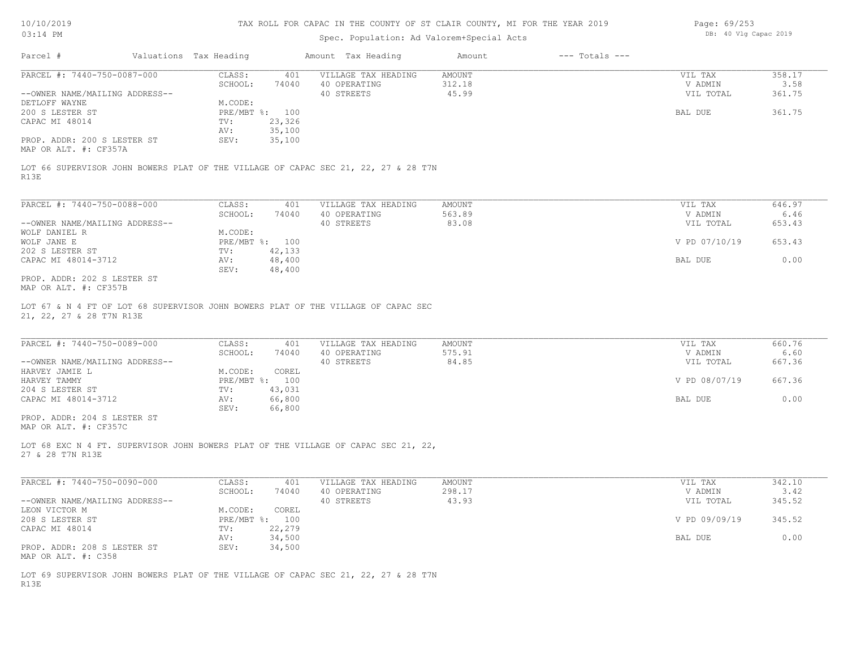## Spec. Population: Ad Valorem+Special Acts

| Page: 69/253 |  |  |                       |  |
|--------------|--|--|-----------------------|--|
|              |  |  | DB: 40 Vlg Capac 2019 |  |

| Parcel #                       | Valuations Tax Heading |        | Amount Tax Heading  | Amount | $---$ Totals $---$ |               |        |
|--------------------------------|------------------------|--------|---------------------|--------|--------------------|---------------|--------|
| PARCEL #: 7440-750-0087-000    | CLASS:                 | 401    | VILLAGE TAX HEADING | AMOUNT |                    | VIL TAX       | 358.17 |
|                                | SCHOOL:                | 74040  | 40 OPERATING        | 312.18 |                    | V ADMIN       | 3.58   |
| --OWNER NAME/MAILING ADDRESS-- |                        |        | 40 STREETS          | 45.99  |                    | VIL TOTAL     | 361.75 |
| DETLOFF WAYNE                  | M.CODE:                |        |                     |        |                    |               |        |
| 200 S LESTER ST                | $PRE/MBT$ %:           | 100    |                     |        |                    | BAL DUE       | 361.75 |
| CAPAC MI 48014                 | $\text{TV}$ :          | 23,326 |                     |        |                    |               |        |
|                                | AV:                    | 35,100 |                     |        |                    |               |        |
| PROP. ADDR: 200 S LESTER ST    | SEV:                   | 35,100 |                     |        |                    |               |        |
| MAP OR ALT. #: CF357A          |                        |        |                     |        |                    |               |        |
| R13E                           |                        |        |                     |        |                    |               |        |
| PARCEL #: 7440-750-0088-000    | CLASS:                 | 401    | VILLAGE TAX HEADING | AMOUNT |                    | VIL TAX       | 646.97 |
|                                | SCHOOL:                | 74040  | 40 OPERATING        | 563.89 |                    | V ADMIN       | 6.46   |
| --OWNER NAME/MAILING ADDRESS-- |                        |        | 40 STREETS          | 83.08  |                    | VIL TOTAL     | 653.43 |
| WOLF DANIEL R                  | M.CODE:                |        |                     |        |                    |               |        |
| WOLF JANE E                    | $PRE/MBT$ %:           | 100    |                     |        |                    | V PD 07/10/19 | 653.43 |
| 202 S LESTER ST                | TV:                    | 42,133 |                     |        |                    |               |        |
| CAPAC MI 48014-3712            | AV:                    | 48,400 |                     |        |                    | BAL DUE       | 0.00   |
|                                | SEV:                   | 48,400 |                     |        |                    |               |        |
| PROP. ADDR: 202 S LESTER ST    |                        |        |                     |        |                    |               |        |

MAP OR ALT. #: CF357B

21, 22, 27 & 28 T7N R13E LOT 67 & N 4 FT OF LOT 68 SUPERVISOR JOHN BOWERS PLAT OF THE VILLAGE OF CAPAC SEC

| PARCEL #: 7440-750-0089-000    | CLASS:  | 401            | VILLAGE TAX HEADING | AMOUNT | VIL TAX       | 660.76 |
|--------------------------------|---------|----------------|---------------------|--------|---------------|--------|
|                                | SCHOOL: | 74040          | 40 OPERATING        | 575.91 | V ADMIN       | 6.60   |
| --OWNER NAME/MAILING ADDRESS-- |         |                | 40 STREETS          | 84.85  | VIL TOTAL     | 667.36 |
| HARVEY JAMIE L                 | M.CODE: | COREL          |                     |        |               |        |
| HARVEY TAMMY                   |         | PRE/MBT %: 100 |                     |        | V PD 08/07/19 | 667.36 |
| 204 S LESTER ST                | TV:     | 43,031         |                     |        |               |        |
| CAPAC MI 48014-3712            | AV:     | 66,800         |                     |        | BAL DUE       | 0.00   |
|                                | SEV:    | 66,800         |                     |        |               |        |
| PROP. ADDR: 204 S LESTER ST    |         |                |                     |        |               |        |

MAP OR ALT. #: CF357C

27 & 28 T7N R13E LOT 68 EXC N 4 FT. SUPERVISOR JOHN BOWERS PLAT OF THE VILLAGE OF CAPAC SEC 21, 22,

| PARCEL #: 7440-750-0090-000    | CLASS:  | 401            | VILLAGE TAX HEADING | AMOUNT | VIL TAX       | 342.10 |
|--------------------------------|---------|----------------|---------------------|--------|---------------|--------|
|                                | SCHOOL: | 74040          | 40 OPERATING        | 298.17 | V ADMIN       | 3.42   |
| --OWNER NAME/MAILING ADDRESS-- |         |                | 40 STREETS          | 43.93  | VIL TOTAL     | 345.52 |
| LEON VICTOR M                  | M.CODE: | COREL          |                     |        |               |        |
| 208 S LESTER ST                |         | PRE/MBT %: 100 |                     |        | V PD 09/09/19 | 345.52 |
| CAPAC MI 48014                 | TV:     | 22,279         |                     |        |               |        |
|                                | AV:     | 34,500         |                     |        | BAL DUE       | 0.00   |
| PROP. ADDR: 208 S LESTER ST    | SEV:    | 34,500         |                     |        |               |        |
| MAP OR ALT. #: C358            |         |                |                     |        |               |        |

R13E LOT 69 SUPERVISOR JOHN BOWERS PLAT OF THE VILLAGE OF CAPAC SEC 21, 22, 27 & 28 T7N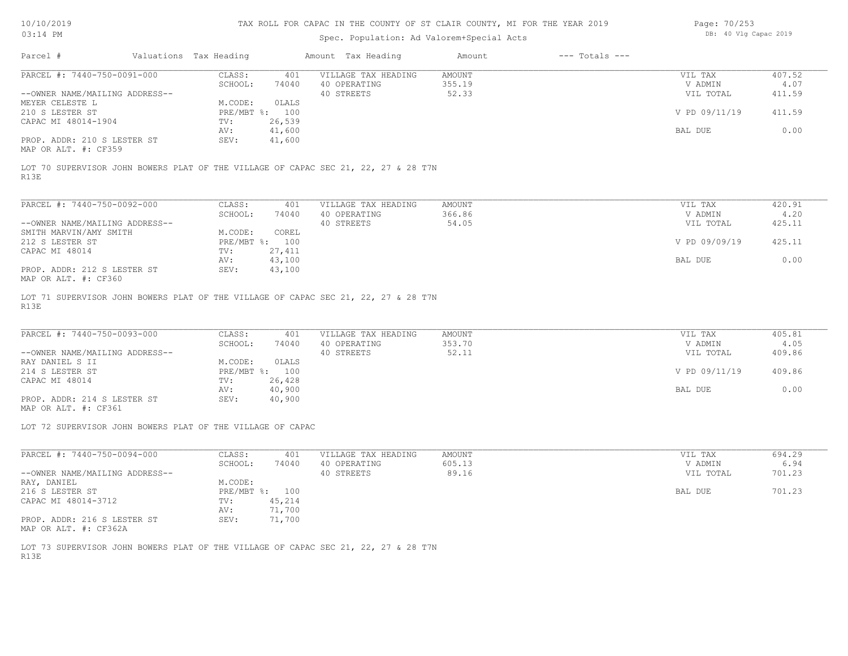## Spec. Population: Ad Valorem+Special Acts

Page: 70/253 DB: 40 Vlg Capac 2019

| Parcel #                       | Valuations Tax Heading |        | Amount Tax Heading  | Amount | $---$ Totals $---$ |               |        |
|--------------------------------|------------------------|--------|---------------------|--------|--------------------|---------------|--------|
| PARCEL #: 7440-750-0091-000    | CLASS:                 | 401    | VILLAGE TAX HEADING | AMOUNT |                    | VIL TAX       | 407.52 |
|                                | SCHOOL:                | 74040  | 40 OPERATING        | 355.19 |                    | V ADMIN       | 4.07   |
| --OWNER NAME/MAILING ADDRESS-- |                        |        | 40 STREETS          | 52.33  |                    | VIL TOTAL     | 411.59 |
| MEYER CELESTE L                | M.CODE:                | OLALS  |                     |        |                    |               |        |
| 210 S LESTER ST                | PRE/MBT %: 100         |        |                     |        |                    | V PD 09/11/19 | 411.59 |
| CAPAC MI 48014-1904            | TV:                    | 26,539 |                     |        |                    |               |        |
|                                | AV:                    | 41,600 |                     |        |                    | BAL DUE       | 0.00   |
| PROP. ADDR: 210 S LESTER ST    | SEV:                   | 41,600 |                     |        |                    |               |        |
| $MAD$ $CD$ $ATH$ $H$ , $CDDEO$ |                        |        |                     |        |                    |               |        |

MAP OR ALT. #: CF359

R13E LOT 70 SUPERVISOR JOHN BOWERS PLAT OF THE VILLAGE OF CAPAC SEC 21, 22, 27 & 28 T7N

| PARCEL #: 7440-750-0092-000                                   | CLASS:     | 401    | VILLAGE TAX HEADING | AMOUNT | VIL TAX       | 420.91 |
|---------------------------------------------------------------|------------|--------|---------------------|--------|---------------|--------|
|                                                               | SCHOOL:    | 74040  | 40 OPERATING        | 366.86 | V ADMIN       | 4.20   |
| --OWNER NAME/MAILING ADDRESS--                                |            |        | 40 STREETS          | 54.05  | VIL TOTAL     | 425.11 |
| SMITH MARVIN/AMY SMITH                                        | M.CODE:    | COREL  |                     |        |               |        |
| 212 S LESTER ST                                               | PRE/MBT %: | 100    |                     |        | V PD 09/09/19 | 425.11 |
| CAPAC MI 48014                                                | TV:        | 27,411 |                     |        |               |        |
|                                                               | AV:        | 43,100 |                     |        | BAL DUE       | 0.00   |
| PROP. ADDR: 212 S LESTER ST<br>$MAD$ $CD$ $ATM$ $H$ , $CDQCD$ | SEV:       | 43,100 |                     |        |               |        |

MAP OR ALT. #: CF360

R13E LOT 71 SUPERVISOR JOHN BOWERS PLAT OF THE VILLAGE OF CAPAC SEC 21, 22, 27 & 28 T7N

| PARCEL #: 7440-750-0093-000    | CLASS:  | 401            | VILLAGE TAX HEADING | AMOUNT | VIL TAX       | 405.81 |
|--------------------------------|---------|----------------|---------------------|--------|---------------|--------|
|                                | SCHOOL: | 74040          | 40 OPERATING        | 353.70 | V ADMIN       | 4.05   |
| --OWNER NAME/MAILING ADDRESS-- |         |                | 40 STREETS          | 52.11  | VIL TOTAL     | 409.86 |
| RAY DANIEL S II                | M.CODE: | OLALS          |                     |        |               |        |
| 214 S LESTER ST                |         | PRE/MBT %: 100 |                     |        | V PD 09/11/19 | 409.86 |
| CAPAC MI 48014                 | TV:     | 26,428         |                     |        |               |        |
|                                | AV:     | 40,900         |                     |        | BAL DUE       | 0.00   |
| PROP. ADDR: 214 S LESTER ST    | SEV:    | 40,900         |                     |        |               |        |

MAP OR ALT. #: CF361

LOT 72 SUPERVISOR JOHN BOWERS PLAT OF THE VILLAGE OF CAPAC

| PARCEL #: 7440-750-0094-000                                   | CLASS:     | 401    | VILLAGE TAX HEADING | AMOUNT | VIL TAX   | 694.29 |
|---------------------------------------------------------------|------------|--------|---------------------|--------|-----------|--------|
|                                                               | SCHOOL:    | 74040  | 40 OPERATING        | 605.13 | V ADMIN   | 6.94   |
| --OWNER NAME/MAILING ADDRESS--                                |            |        | 40 STREETS          | 89.16  | VIL TOTAL | 701.23 |
| RAY, DANIEL                                                   | M.CODE:    |        |                     |        |           |        |
| 216 S LESTER ST                                               | PRE/MBT %: | 100    |                     |        | BAL DUE   | 701.23 |
| CAPAC MI 48014-3712                                           | TV:        | 45,214 |                     |        |           |        |
|                                                               | AV:        | 71,700 |                     |        |           |        |
| PROP. ADDR: 216 S LESTER ST<br>$MAD$ $CD$ $ATH$ $H$ , $CDQCD$ | SEV:       | 71,700 |                     |        |           |        |

MAP OR ALT. #: CF362A

R13E LOT 73 SUPERVISOR JOHN BOWERS PLAT OF THE VILLAGE OF CAPAC SEC 21, 22, 27 & 28 T7N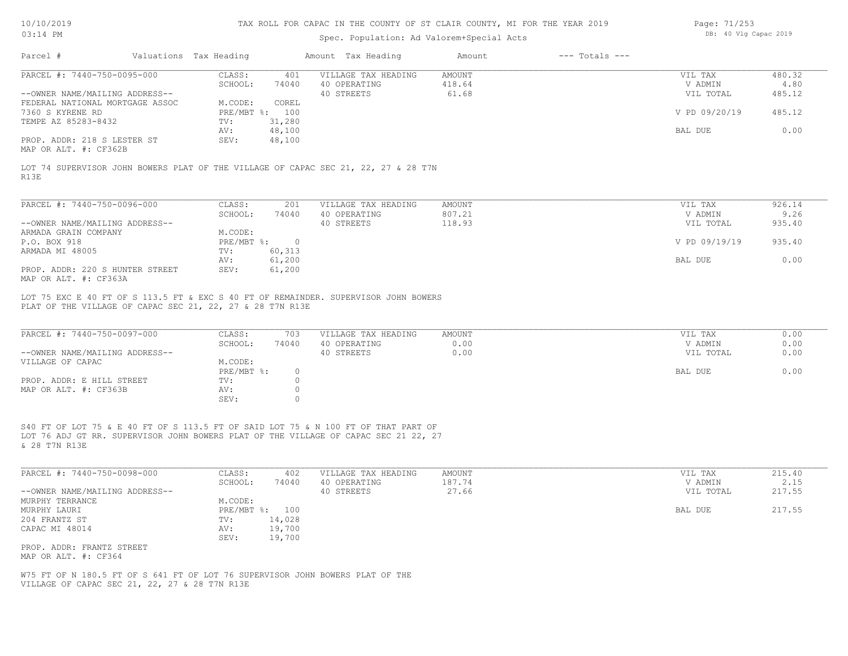| 10/10/2019 |  |
|------------|--|
| 03.14 PM   |  |

# Spec. Population: Ad Valorem+Special Acts

| Page: 71/253 |  |                       |  |
|--------------|--|-----------------------|--|
|              |  | DB: 40 Vlg Capac 2019 |  |

| Parcel #                                                                                                                                                                                   | Valuations Tax Heading                       | Amount Tax Heading                                | Amount                 | $---$ Totals $---$ |                                 |                      |
|--------------------------------------------------------------------------------------------------------------------------------------------------------------------------------------------|----------------------------------------------|---------------------------------------------------|------------------------|--------------------|---------------------------------|----------------------|
| PARCEL #: 7440-750-0095-000                                                                                                                                                                | CLASS:<br>401                                | VILLAGE TAX HEADING                               | AMOUNT                 |                    | VIL TAX                         | 480.32               |
|                                                                                                                                                                                            | SCHOOL:<br>74040                             | 40 OPERATING                                      | 418.64                 |                    | V ADMIN                         | 4.80                 |
| --OWNER NAME/MAILING ADDRESS--<br>FEDERAL NATIONAL MORTGAGE ASSOC                                                                                                                          | M.CODE:<br>COREL                             | 40 STREETS                                        | 61.68                  |                    | VIL TOTAL                       | 485.12               |
| 7360 S KYRENE RD                                                                                                                                                                           | PRE/MBT %: 100                               |                                                   |                        |                    | V PD 09/20/19                   | 485.12               |
| TEMPE AZ 85283-8432                                                                                                                                                                        | 31,280<br>TV:                                |                                                   |                        |                    |                                 |                      |
|                                                                                                                                                                                            | 48,100<br>AV:                                |                                                   |                        |                    | BAL DUE                         | 0.00                 |
| PROP. ADDR: 218 S LESTER ST<br>MAP OR ALT. #: CF362B                                                                                                                                       | SEV:<br>48,100                               |                                                   |                        |                    |                                 |                      |
| LOT 74 SUPERVISOR JOHN BOWERS PLAT OF THE VILLAGE OF CAPAC SEC 21, 22, 27 & 28 T7N<br>R13E                                                                                                 |                                              |                                                   |                        |                    |                                 |                      |
|                                                                                                                                                                                            |                                              |                                                   |                        |                    |                                 |                      |
| PARCEL #: 7440-750-0096-000                                                                                                                                                                | CLASS:<br>201                                | VILLAGE TAX HEADING                               | AMOUNT                 |                    | VIL TAX                         | 926.14               |
|                                                                                                                                                                                            | SCHOOL:<br>74040                             | 40 OPERATING                                      | 807.21                 |                    | V ADMIN                         | 9.26                 |
| --OWNER NAME/MAILING ADDRESS--<br>ARMADA GRAIN COMPANY                                                                                                                                     | M.CODE:                                      | 40 STREETS                                        | 118.93                 |                    | VIL TOTAL                       | 935.40               |
| P.O. BOX 918                                                                                                                                                                               | PRE/MBT %: 0                                 |                                                   |                        |                    | V PD 09/19/19                   | 935.40               |
| ARMADA MI 48005                                                                                                                                                                            | 60, 313<br>TV:                               |                                                   |                        |                    |                                 |                      |
|                                                                                                                                                                                            | 61,200<br>AV:                                |                                                   |                        |                    | BAL DUE                         | 0.00                 |
| PROP. ADDR: 220 S HUNTER STREET<br>MAP OR ALT. #: CF363A                                                                                                                                   | SEV:<br>61,200                               |                                                   |                        |                    |                                 |                      |
| PARCEL #: 7440-750-0097-000<br>--OWNER NAME/MAILING ADDRESS--<br>VILLAGE OF CAPAC                                                                                                          | CLASS:<br>703<br>SCHOOL:<br>74040<br>M.CODE: | VILLAGE TAX HEADING<br>40 OPERATING<br>40 STREETS | AMOUNT<br>0.00<br>0.00 |                    | VIL TAX<br>V ADMIN<br>VIL TOTAL | 0.00<br>0.00<br>0.00 |
|                                                                                                                                                                                            | PRE/MBT %:<br>$\circ$                        |                                                   |                        |                    | BAL DUE                         | 0.00                 |
| PROP. ADDR: E HILL STREET<br>MAP OR ALT. #: CF363B                                                                                                                                         | TV:<br>$\circ$<br>AV:<br>$\circ$             |                                                   |                        |                    |                                 |                      |
|                                                                                                                                                                                            | SEV:<br>$\circ$                              |                                                   |                        |                    |                                 |                      |
| S40 FT OF LOT 75 & E 40 FT OF S 113.5 FT OF SAID LOT 75 & N 100 FT OF THAT PART OF<br>LOT 76 ADJ GT RR. SUPERVISOR JOHN BOWERS PLAT OF THE VILLAGE OF CAPAC SEC 21 22, 27<br>& 28 T7N R13E |                                              |                                                   |                        |                    |                                 |                      |
| PARCEL #: 7440-750-0098-000                                                                                                                                                                | CLASS:<br>402<br>SCHOOL:<br>74040            | VILLAGE TAX HEADING<br>40 OPERATING               | AMOUNT<br>187.74       |                    | VIL TAX<br>V ADMIN              | 215.40<br>2.15       |
| --OWNER NAME/MAILING ADDRESS--                                                                                                                                                             |                                              | 40 STREETS                                        | 27.66                  |                    | VIL TOTAL                       | 217.55               |
| MURPHY TERRANCE                                                                                                                                                                            | M.CODE:                                      |                                                   |                        |                    |                                 |                      |
| MURPHY LAURI                                                                                                                                                                               | PRE/MBT %: 100                               |                                                   |                        |                    | BAL DUE                         | 217.55               |
| 204 FRANTZ ST                                                                                                                                                                              | 14,028<br>TV:                                |                                                   |                        |                    |                                 |                      |
| CAPAC MI 48014                                                                                                                                                                             | 19,700<br>AV:                                |                                                   |                        |                    |                                 |                      |
| PROP. ADDR: FRANTZ STREET<br>MAP OR ALT. #: CF364                                                                                                                                          | 19,700<br>SEV:                               |                                                   |                        |                    |                                 |                      |
|                                                                                                                                                                                            |                                              |                                                   |                        |                    |                                 |                      |
| W75 FT OF N 180.5 FT OF S 641 FT OF LOT 76 SUPERVISOR JOHN BOWERS PLAT OF THE<br>VILLAGE OF CAPAC SEC 21, 22, 27 & 28 T7N R13E                                                             |                                              |                                                   |                        |                    |                                 |                      |
|                                                                                                                                                                                            |                                              |                                                   |                        |                    |                                 |                      |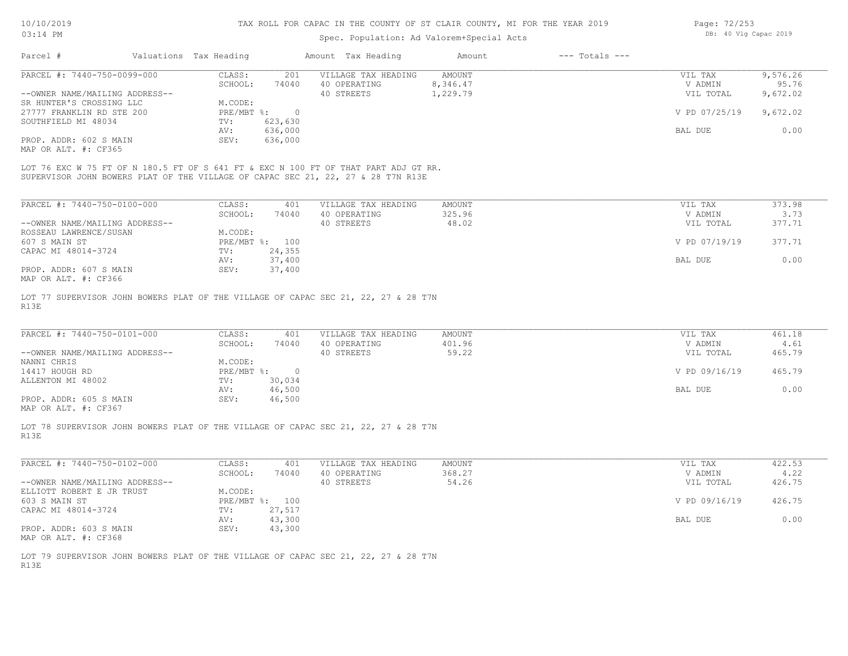## Spec. Population: Ad Valorem+Special Acts

Page: 72/253 DB: 40 Vlg Capac 2019

| Parcel #                                                                            | Valuations Tax Heading |         | Amount Tax Heading  | Amount   | $---$ Totals $---$ |               |          |
|-------------------------------------------------------------------------------------|------------------------|---------|---------------------|----------|--------------------|---------------|----------|
| PARCEL #: 7440-750-0099-000                                                         | CLASS:                 | 201     | VILLAGE TAX HEADING | AMOUNT   |                    | VIL TAX       | 9,576.26 |
|                                                                                     | SCHOOL:                | 74040   | 40 OPERATING        | 8,346.47 |                    | V ADMIN       | 95.76    |
| --OWNER NAME/MAILING ADDRESS--                                                      |                        |         | 40 STREETS          | 1,229.79 |                    | VIL TOTAL     | 9,672.02 |
| SR HUNTER'S CROSSING LLC                                                            | M.CODE:                |         |                     |          |                    |               |          |
| 27777 FRANKLIN RD STE 200                                                           | PRE/MBT %:             | $\cap$  |                     |          |                    | V PD 07/25/19 | 9,672.02 |
| SOUTHFIELD MI 48034                                                                 | TV:                    | 623,630 |                     |          |                    |               |          |
|                                                                                     | AV:                    | 636,000 |                     |          |                    | BAL DUE       | 0.00     |
| PROP. ADDR: 602 S MAIN                                                              | SEV:                   | 636,000 |                     |          |                    |               |          |
| MAP OR ALT. #: CF365                                                                |                        |         |                     |          |                    |               |          |
|                                                                                     |                        |         |                     |          |                    |               |          |
| LOT 76 EXC W 75 FT OF N 180.5 FT OF S 641 FT & EXC N 100 FT OF THAT PART ADJ GT RR. |                        |         |                     |          |                    |               |          |
| SUPERVISOR JOHN BOWERS PLAT OF THE VILLAGE OF CAPAC SEC 21, 22, 27 & 28 T7N R13E    |                        |         |                     |          |                    |               |          |
|                                                                                     |                        |         |                     |          |                    |               |          |

| PARCEL #: 7440-750-0100-000    | CLASS:     | 401    | VILLAGE TAX HEADING | AMOUNT | VIL TAX       | 373.98 |
|--------------------------------|------------|--------|---------------------|--------|---------------|--------|
|                                | SCHOOL:    | 74040  | 40 OPERATING        | 325.96 | V ADMIN       | 3.73   |
| --OWNER NAME/MAILING ADDRESS-- |            |        | 40 STREETS          | 48.02  | VIL TOTAL     | 377.71 |
| ROSSEAU LAWRENCE/SUSAN         | M.CODE:    |        |                     |        |               |        |
| 607 S MAIN ST                  | PRE/MBT %: | 100    |                     |        | V PD 07/19/19 | 377.71 |
| CAPAC MI 48014-3724            | TV:        | 24,355 |                     |        |               |        |
|                                | AV:        | 37,400 |                     |        | BAL DUE       | 0.00   |
| PROP. ADDR: 607 S MAIN         | SEV:       | 37,400 |                     |        |               |        |
| MAP OR ALT. #: CF366           |            |        |                     |        |               |        |

R13E LOT 77 SUPERVISOR JOHN BOWERS PLAT OF THE VILLAGE OF CAPAC SEC 21, 22, 27 & 28 T7N

| PARCEL #: 7440-750-0101-000    | CLASS:       | 401    | VILLAGE TAX HEADING | AMOUNT | VIL TAX       | 461.18 |
|--------------------------------|--------------|--------|---------------------|--------|---------------|--------|
|                                | SCHOOL:      | 74040  | 40 OPERATING        | 401.96 | V ADMIN       | 4.61   |
| --OWNER NAME/MAILING ADDRESS-- |              |        | 40 STREETS          | 59.22  | VIL TOTAL     | 465.79 |
| NANNI CHRIS                    | M.CODE:      |        |                     |        |               |        |
| 14417 HOUGH RD                 | $PRE/MBT$ %: |        |                     |        | V PD 09/16/19 | 465.79 |
| ALLENTON MI 48002              | TV:          | 30,034 |                     |        |               |        |
|                                | AV:          | 46,500 |                     |        | BAL DUE       | 0.00   |
| PROP. ADDR: 605 S MAIN         | SEV:         | 46,500 |                     |        |               |        |
|                                |              |        |                     |        |               |        |

MAP OR ALT. #: CF367

R13E LOT 78 SUPERVISOR JOHN BOWERS PLAT OF THE VILLAGE OF CAPAC SEC 21, 22, 27 & 28 T7N

| PARCEL #: 7440-750-0102-000    | CLASS:       | 401    | VILLAGE TAX HEADING | AMOUNT | VIL TAX       | 422.53 |
|--------------------------------|--------------|--------|---------------------|--------|---------------|--------|
|                                | SCHOOL:      | 74040  | 40 OPERATING        | 368.27 | V ADMIN       | 4.22   |
| --OWNER NAME/MAILING ADDRESS-- |              |        | 40 STREETS          | 54.26  | VIL TOTAL     | 426.75 |
| ELLIOTT ROBERT E JR TRUST      | M.CODE:      |        |                     |        |               |        |
| 603 S MAIN ST                  | $PRE/MBT$ %: | 100    |                     |        | V PD 09/16/19 | 426.75 |
| CAPAC MI 48014-3724            | TV:          | 27,517 |                     |        |               |        |
|                                | AV:          | 43,300 |                     |        | BAL DUE       | 0.00   |
| PROP. ADDR: 603 S MAIN         | SEV:         | 43,300 |                     |        |               |        |
| MAP OR ALT. #: CF368           |              |        |                     |        |               |        |

 $\_$  , and the state of the state of the state of the state of the state of the state of the state of the state of the state of the state of the state of the state of the state of the state of the state of the state of the

R13E LOT 79 SUPERVISOR JOHN BOWERS PLAT OF THE VILLAGE OF CAPAC SEC 21, 22, 27 & 28 T7N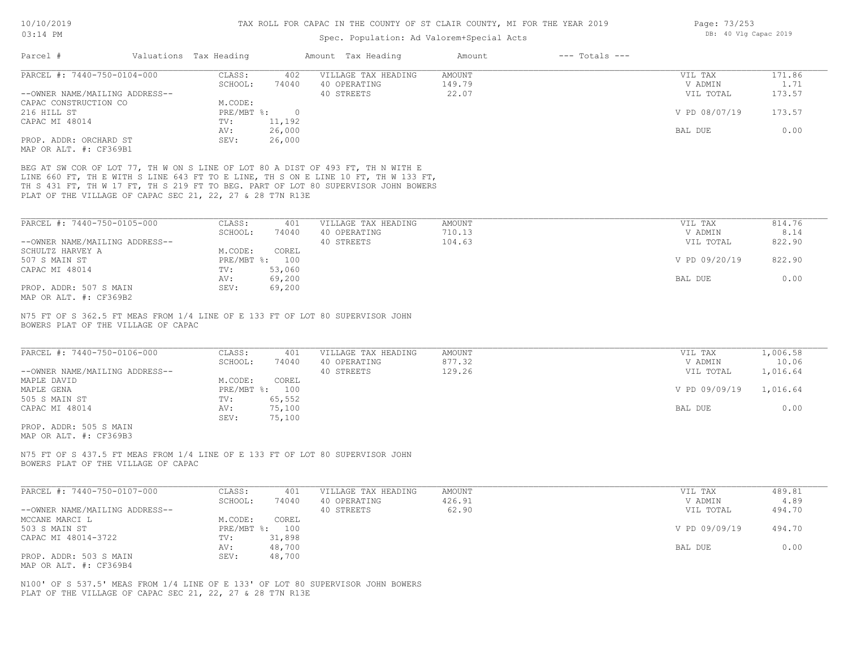Page: 73/253

DB: 40 Vlg Capac 2019

#### Spec. Population: Ad Valorem+Special Acts

| Parcel #                                                                                                             | Valuations Tax Heading      | Amount Tax Heading  | $---$ Totals $---$<br>Amount |               |          |
|----------------------------------------------------------------------------------------------------------------------|-----------------------------|---------------------|------------------------------|---------------|----------|
| PARCEL #: 7440-750-0104-000                                                                                          | CLASS:<br>402               | VILLAGE TAX HEADING | AMOUNT                       | VIL TAX       | 171.86   |
|                                                                                                                      | SCHOOL:<br>74040            | 40 OPERATING        | 149.79                       | V ADMIN       | 1.71     |
| --OWNER NAME/MAILING ADDRESS--                                                                                       |                             | 40 STREETS          | 22.07                        | VIL TOTAL     | 173.57   |
| CAPAC CONSTRUCTION CO                                                                                                | M.CODE:                     |                     |                              |               |          |
| 216 HILL ST                                                                                                          | $PRE/MBT$ $\div$<br>$\circ$ |                     |                              | V PD 08/07/19 | 173.57   |
| CAPAC MI 48014                                                                                                       | 11,192<br>TV:               |                     |                              |               |          |
|                                                                                                                      | 26,000<br>AV:               |                     |                              | BAL DUE       | 0.00     |
| PROP. ADDR: ORCHARD ST                                                                                               | SEV:<br>26,000              |                     |                              |               |          |
| MAP OR ALT. #: CF369B1                                                                                               |                             |                     |                              |               |          |
| BEG AT SW COR OF LOT 77, TH W ON S LINE OF LOT 80 A DIST OF 493 FT, TH N WITH E                                      |                             |                     |                              |               |          |
| LINE 660 FT, TH E WITH S LINE 643 FT TO E LINE, TH S ON E LINE 10 FT, TH W 133 FT,                                   |                             |                     |                              |               |          |
| TH S 431 FT, TH W 17 FT, TH S 219 FT TO BEG. PART OF LOT 80 SUPERVISOR JOHN BOWERS                                   |                             |                     |                              |               |          |
| PLAT OF THE VILLAGE OF CAPAC SEC 21, 22, 27 & 28 T7N R13E                                                            |                             |                     |                              |               |          |
|                                                                                                                      |                             |                     |                              |               |          |
|                                                                                                                      |                             |                     |                              |               |          |
| PARCEL #: 7440-750-0105-000                                                                                          | CLASS:<br>401               | VILLAGE TAX HEADING | AMOUNT                       | VIL TAX       | 814.76   |
|                                                                                                                      | SCHOOL:<br>74040            | 40 OPERATING        | 710.13                       | V ADMIN       | 8.14     |
| --OWNER NAME/MAILING ADDRESS--                                                                                       |                             | 40 STREETS          | 104.63                       | VIL TOTAL     | 822.90   |
| SCHULTZ HARVEY A                                                                                                     | M.CODE:<br>COREL            |                     |                              |               |          |
| 507 S MAIN ST                                                                                                        | PRE/MBT %: 100              |                     |                              | V PD 09/20/19 | 822.90   |
| CAPAC MI 48014                                                                                                       | 53,060<br>TV:               |                     |                              |               |          |
|                                                                                                                      | 69,200<br>AV:               |                     |                              | BAL DUE       | 0.00     |
| PROP. ADDR: 507 S MAIN                                                                                               | SEV:<br>69,200              |                     |                              |               |          |
| MAP OR ALT. #: CF369B2                                                                                               |                             |                     |                              |               |          |
| N75 FT OF S 362.5 FT MEAS FROM 1/4 LINE OF E 133 FT OF LOT 80 SUPERVISOR JOHN<br>BOWERS PLAT OF THE VILLAGE OF CAPAC |                             |                     |                              |               |          |
| PARCEL #: 7440-750-0106-000                                                                                          | CLASS:<br>401               | VILLAGE TAX HEADING | AMOUNT                       | VIL TAX       | 1,006.58 |
|                                                                                                                      | SCHOOL:<br>74040            | 40 OPERATING        | 877.32                       | V ADMIN       | 10.06    |
| --OWNER NAME/MAILING ADDRESS--                                                                                       |                             | 40 STREETS          | 129.26                       | VIL TOTAL     | 1,016.64 |
| MAPLE DAVID                                                                                                          | M.CODE:<br>COREL            |                     |                              |               |          |
| MAPLE GENA                                                                                                           | PRE/MBT %: 100              |                     |                              | V PD 09/09/19 | 1,016.64 |
| 505 S MAIN ST                                                                                                        | 65,552<br>TV:               |                     |                              |               |          |
| CAPAC MI 48014                                                                                                       | 75,100<br>AV:               |                     |                              | BAL DUE       | 0.00     |
|                                                                                                                      | SEV:<br>75,100              |                     |                              |               |          |
| PROP. ADDR: 505 S MAIN                                                                                               |                             |                     |                              |               |          |
| MAP OR ALT. #: CF369B3                                                                                               |                             |                     |                              |               |          |
| N75 FT OF S 437.5 FT MEAS FROM 1/4 LINE OF E 133 FT OF LOT 80 SUPERVISOR JOHN                                        |                             |                     |                              |               |          |
| BOWERS PLAT OF THE VILLAGE OF CAPAC                                                                                  |                             |                     |                              |               |          |
|                                                                                                                      |                             |                     |                              |               |          |
| PARCEL #: 7440-750-0107-000                                                                                          | CLASS:<br>401               | VILLAGE TAX HEADING | <b>AMOUNT</b>                | VIL TAX       | 489.81   |
|                                                                                                                      | SCHOOL:<br>74040            | 40 OPERATING        | 426.91                       | V ADMIN       | 4.89     |
| --OWNER NAME/MAILING ADDRESS--                                                                                       |                             | 40 STREETS          | 62.90                        | VIL TOTAL     | 494.70   |
| MCCANE MARCI L                                                                                                       | M.CODE:<br>COREL            |                     |                              |               |          |
| 503 S MAIN ST                                                                                                        | PRE/MBT %: 100              |                     |                              | V PD 09/09/19 | 494.70   |
| CAPAC MI 48014-3722                                                                                                  | 31,898<br>TV:               |                     |                              |               |          |
|                                                                                                                      | 48,700<br>AV:               |                     |                              | BAL DUE       | 0.00     |

MAP OR ALT. #: CF369B4 PROP. ADDR: 503 S MAIN SEV: 48,700 AV: 48,700 BAL DUE 0.00

PLAT OF THE VILLAGE OF CAPAC SEC 21, 22, 27 & 28 T7N R13E N100' OF S 537.5' MEAS FROM 1/4 LINE OF E 133' OF LOT 80 SUPERVISOR JOHN BOWERS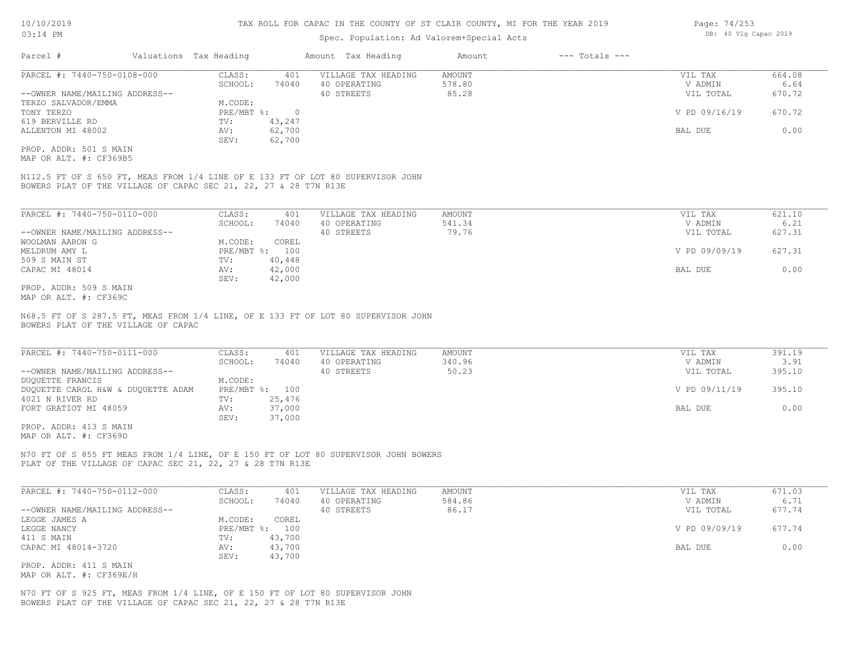#### Spec. Population: Ad Valorem+Special Acts

| Parcel #                       | Valuations Tax Heading |        | Amount Tax Heading  | Amount | $---$ Totals $---$ |               |        |
|--------------------------------|------------------------|--------|---------------------|--------|--------------------|---------------|--------|
| PARCEL #: 7440-750-0108-000    | CLASS:<br>401          |        | VILLAGE TAX HEADING | AMOUNT |                    | VIL TAX       | 664.08 |
|                                | SCHOOL:                | 74040  | 40 OPERATING        | 578.80 |                    | V ADMIN       | 6.64   |
| --OWNER NAME/MAILING ADDRESS-- |                        |        | 40 STREETS          | 85.28  |                    | VIL TOTAL     | 670.72 |
| TERZO SALVADOR/EMMA            | M.CODE:                |        |                     |        |                    |               |        |
| TONY TERZO                     | PRE/MBT %:             |        |                     |        |                    | V PD 09/16/19 | 670.72 |
| 619 BERVILLE RD                | TV:                    | 43,247 |                     |        |                    |               |        |
| ALLENTON MI 48002              | AV:                    | 62,700 |                     |        |                    | BAL DUE       | 0.00   |
|                                | SEV:                   | 62,700 |                     |        |                    |               |        |
| PROP. ADDR: 501 S MAIN         |                        |        |                     |        |                    |               |        |

MAP OR ALT. #: CF369B5

BOWERS PLAT OF THE VILLAGE OF CAPAC SEC 21, 22, 27 & 28 T7N R13E N112.5 FT OF S 650 FT, MEAS FROM 1/4 LINE OF E 133 FT OF LOT 80 SUPERVISOR JOHN

| PARCEL #: 7440-750-0110-000    | CLASS:       | 401    | VILLAGE TAX HEADING | AMOUNT | VIL TAX       | 621.10 |
|--------------------------------|--------------|--------|---------------------|--------|---------------|--------|
|                                | SCHOOL:      | 74040  | 40 OPERATING        | 541.34 | V ADMIN       | 6.21   |
| --OWNER NAME/MAILING ADDRESS-- |              |        | 40 STREETS          | 79.76  | VIL TOTAL     | 627.31 |
| WOOLMAN AARON G                | M.CODE:      | COREL  |                     |        |               |        |
| MELDRUM AMY L                  | $PRE/MBT$ %: | 100    |                     |        | V PD 09/09/19 | 627.31 |
| 509 S MAIN ST                  | TV:          | 40,448 |                     |        |               |        |
| CAPAC MI 48014                 | AV:          | 42,000 |                     |        | BAL DUE       | 0.00   |
|                                | SEV:         | 42,000 |                     |        |               |        |
| PROP. ADDR: 509 S MAIN         |              |        |                     |        |               |        |

MAP OR ALT. #: CF369C

BOWERS PLAT OF THE VILLAGE OF CAPAC N68.5 FT OF S 287.5 FT, MEAS FROM 1/4 LINE, OF E 133 FT OF LOT 80 SUPERVISOR JOHN

| PARCEL #: 7440-750-0111-000        | CLASS:  | 401            | VILLAGE TAX HEADING | AMOUNT | VIL TAX       | 391.19 |
|------------------------------------|---------|----------------|---------------------|--------|---------------|--------|
|                                    | SCHOOL: | 74040          | 40 OPERATING        | 340.96 | V ADMIN       | 3.91   |
| --OWNER NAME/MAILING ADDRESS--     |         |                | 40 STREETS          | 50.23  | VIL TOTAL     | 395.10 |
| DUQUETTE FRANCIS                   | M.CODE: |                |                     |        |               |        |
| DUQUETTE CAROL H&W & DUQUETTE ADAM |         | PRE/MBT %: 100 |                     |        | V PD 09/11/19 | 395.10 |
| 4021 N RIVER RD                    | TV:     | 25,476         |                     |        |               |        |
| FORT GRATIOT MI 48059              | AV:     | 37,000         |                     |        | BAL DUE       | 0.00   |
|                                    | SEV:    | 37,000         |                     |        |               |        |

MAP OR ALT. #: CF369D PROP. ADDR: 413 S MAIN

PLAT OF THE VILLAGE OF CAPAC SEC 21, 22, 27 & 28 T7N R13E N70 FT OF S 855 FT MEAS FROM 1/4 LINE, OF E 150 FT OF LOT 80 SUPERVISOR JOHN BOWERS

| PARCEL #: 7440-750-0112-000    | CLASS:       | 401    | VILLAGE TAX HEADING | AMOUNT | VIL TAX       | 671.03 |
|--------------------------------|--------------|--------|---------------------|--------|---------------|--------|
|                                | SCHOOL:      | 74040  | 40 OPERATING        | 584.86 | V ADMIN       | 6.71   |
| --OWNER NAME/MAILING ADDRESS-- |              |        | 40 STREETS          | 86.17  | VIL TOTAL     | 677.74 |
| LEGGE JAMES A                  | M.CODE:      | COREL  |                     |        |               |        |
| LEGGE NANCY                    | $PRE/MBT$ %: | 100    |                     |        | V PD 09/09/19 | 677.74 |
| 411 S MAIN                     | TV:          | 43,700 |                     |        |               |        |
| CAPAC MI 48014-3720            | AV:          | 43,700 |                     |        | BAL DUE       | 0.00   |
|                                | SEV:         | 43,700 |                     |        |               |        |
| PROP. ADDR: 411 S MAIN         |              |        |                     |        |               |        |

MAP OR ALT. #: CF369E/H

BOWERS PLAT OF THE VILLAGE OF CAPAC SEC 21, 22, 27 & 28 T7N R13E N70 FT OF S 925 FT, MEAS FROM 1/4 LINE, OF E 150 FT OF LOT 80 SUPERVISOR JOHN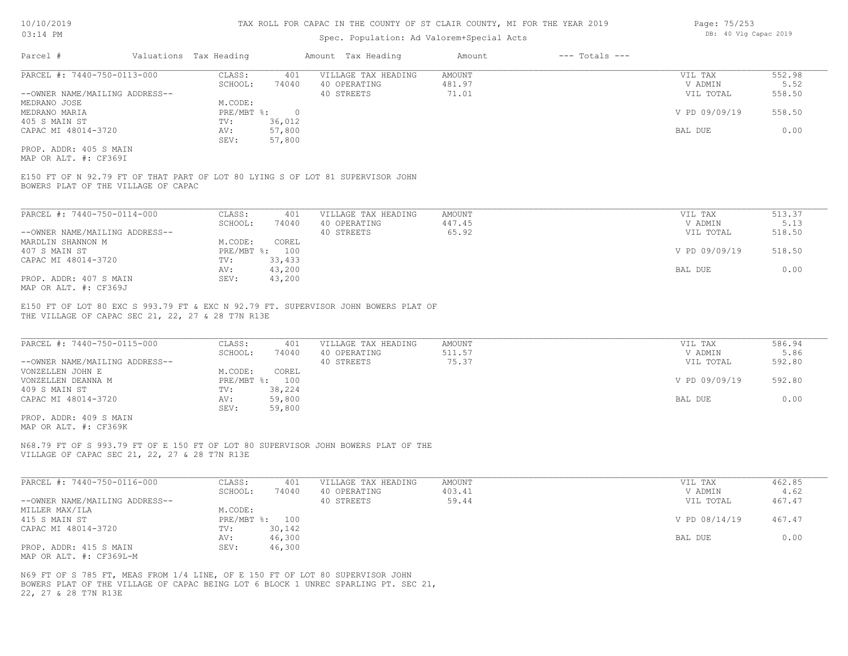#### Spec. Population: Ad Valorem+Special Acts

| Page: 75/253 |  |                       |  |
|--------------|--|-----------------------|--|
|              |  | DB: 40 Vlg Capac 2019 |  |

| Parcel #                       | Valuations Tax Heading |        | Amount Tax Heading  | Amount | $---$ Totals $---$ |               |        |
|--------------------------------|------------------------|--------|---------------------|--------|--------------------|---------------|--------|
| PARCEL #: 7440-750-0113-000    | CLASS:                 | 401    | VILLAGE TAX HEADING | AMOUNT |                    | VIL TAX       | 552.98 |
|                                | SCHOOL:                | 74040  | 40 OPERATING        | 481.97 |                    | V ADMIN       | 5.52   |
| --OWNER NAME/MAILING ADDRESS-- |                        |        | 40 STREETS          | 71.01  |                    | VIL TOTAL     | 558.50 |
| MEDRANO JOSE                   | M.CODE:                |        |                     |        |                    |               |        |
| MEDRANO MARIA                  | PRE/MBT %:             |        |                     |        |                    | V PD 09/09/19 | 558.50 |
| 405 S MAIN ST                  | TV:                    | 36,012 |                     |        |                    |               |        |
| CAPAC MI 48014-3720            | AV:                    | 57,800 |                     |        |                    | BAL DUE       | 0.00   |
|                                | SEV:                   | 57,800 |                     |        |                    |               |        |
| PROP. ADDR: 405 S MAIN         |                        |        |                     |        |                    |               |        |

MAP OR ALT. #: CF369I

BOWERS PLAT OF THE VILLAGE OF CAPAC E150 FT OF N 92.79 FT OF THAT PART OF LOT 80 LYING S OF LOT 81 SUPERVISOR JOHN

| PARCEL #: 7440-750-0114-000    | CLASS:  | 401            | VILLAGE TAX HEADING | AMOUNT | VIL TAX       | 513.37 |
|--------------------------------|---------|----------------|---------------------|--------|---------------|--------|
|                                | SCHOOL: | 74040          | 40 OPERATING        | 447.45 | V ADMIN       | 5.13   |
| --OWNER NAME/MAILING ADDRESS-- |         |                | 40 STREETS          | 65.92  | VIL TOTAL     | 518.50 |
| MARDLIN SHANNON M              | M.CODE: | COREL          |                     |        |               |        |
| 407 S MAIN ST                  |         | PRE/MBT %: 100 |                     |        | V PD 09/09/19 | 518.50 |
| CAPAC MI 48014-3720            | TV:     | 33,433         |                     |        |               |        |
|                                | AV:     | 43,200         |                     |        | BAL DUE       | 0.00   |
| PROP. ADDR: 407 S MAIN         | SEV:    | 43,200         |                     |        |               |        |
| MAP OR ALT. #: CF369J          |         |                |                     |        |               |        |

THE VILLAGE OF CAPAC SEC 21, 22, 27 & 28 T7N R13E E150 FT OF LOT 80 EXC S 993.79 FT & EXC N 92.79 FT. SUPERVISOR JOHN BOWERS PLAT OF

| PARCEL #: 7440-750-0115-000    | CLASS:       | 401    | VILLAGE TAX HEADING | AMOUNT | VIL TAX       | 586.94 |
|--------------------------------|--------------|--------|---------------------|--------|---------------|--------|
|                                | SCHOOL:      | 74040  | 40 OPERATING        | 511.57 | V ADMIN       | 5.86   |
| --OWNER NAME/MAILING ADDRESS-- |              |        | 40 STREETS          | 75.37  | VIL TOTAL     | 592.80 |
| VONZELLEN JOHN E               | M.CODE:      | COREL  |                     |        |               |        |
| VONZELLEN DEANNA M             | $PRE/MBT$ %: | 100    |                     |        | V PD 09/09/19 | 592.80 |
| 409 S MAIN ST                  | TV:          | 38,224 |                     |        |               |        |
| CAPAC MI 48014-3720            | AV:          | 59,800 |                     |        | BAL DUE       | 0.00   |
|                                | SEV:         | 59,800 |                     |        |               |        |
| PROP. ADDR: 409 S MAIN         |              |        |                     |        |               |        |

 $\_$  , and the state of the state of the state of the state of the state of the state of the state of the state of the state of the state of the state of the state of the state of the state of the state of the state of the

MAP OR ALT. #: CF369K

VILLAGE OF CAPAC SEC 21, 22, 27 & 28 T7N R13E N68.79 FT OF S 993.79 FT OF E 150 FT OF LOT 80 SUPERVISOR JOHN BOWERS PLAT OF THE

| PARCEL #: 7440-750-0116-000    | CLASS:  | 401            | VILLAGE TAX HEADING | AMOUNT | VIL TAX       | 462.85 |
|--------------------------------|---------|----------------|---------------------|--------|---------------|--------|
|                                | SCHOOL: | 74040          | 40 OPERATING        | 403.41 | V ADMIN       | 4.62   |
| --OWNER NAME/MAILING ADDRESS-- |         |                | 40 STREETS          | 59.44  | VIL TOTAL     | 467.47 |
| MILLER MAX/ILA                 | M.CODE: |                |                     |        |               |        |
| 415 S MAIN ST                  |         | PRE/MBT %: 100 |                     |        | V PD 08/14/19 | 467.47 |
| CAPAC MI 48014-3720            | TV:     | 30,142         |                     |        |               |        |
|                                | AV:     | 46,300         |                     |        | BAL DUE       | 0.00   |
| PROP. ADDR: 415 S MAIN         | SEV:    | 46,300         |                     |        |               |        |
| MAP OR ALT. #: CF369L-M        |         |                |                     |        |               |        |

22, 27 & 28 T7N R13E BOWERS PLAT OF THE VILLAGE OF CAPAC BEING LOT 6 BLOCK 1 UNREC SPARLING PT. SEC 21, N69 FT OF S 785 FT, MEAS FROM 1/4 LINE, OF E 150 FT OF LOT 80 SUPERVISOR JOHN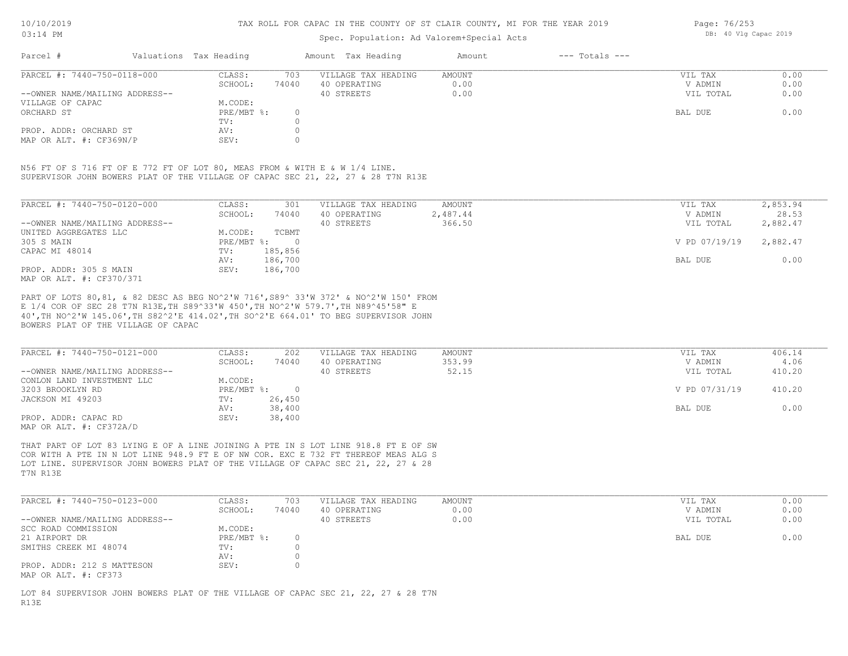#### Spec. Population: Ad Valorem+Special Acts

Page: 76/253 DB: 40 Vlg Capac 2019

| Parcel #                       | Valuations Tax Heading |       | Amount Tax Heading  | Amount | $---$ Totals $---$ |           |      |
|--------------------------------|------------------------|-------|---------------------|--------|--------------------|-----------|------|
| PARCEL #: 7440-750-0118-000    | CLASS:                 | 703   | VILLAGE TAX HEADING | AMOUNT |                    | VIL TAX   | 0.00 |
|                                | SCHOOL:                | 74040 | 40 OPERATING        | 0.00   |                    | V ADMIN   | 0.00 |
| --OWNER NAME/MAILING ADDRESS-- |                        |       | 40 STREETS          | 0.00   |                    | VIL TOTAL | 0.00 |
| VILLAGE OF CAPAC               | M.CODE:                |       |                     |        |                    |           |      |
| ORCHARD ST                     | PRE/MBT %:             |       |                     |        |                    | BAL DUE   | 0.00 |
|                                | TV:                    |       |                     |        |                    |           |      |
| PROP. ADDR: ORCHARD ST         | AV:                    |       |                     |        |                    |           |      |
| MAP OR ALT. #: CF369N/P        | SEV:                   |       |                     |        |                    |           |      |

SUPERVISOR JOHN BOWERS PLAT OF THE VILLAGE OF CAPAC SEC 21, 22, 27 & 28 T7N R13E N56 FT OF S 716 FT OF E 772 FT OF LOT 80, MEAS FROM & WITH E & W 1/4 LINE.

| PARCEL #: 7440-750-0120-000    | CLASS:     | 301        | VILLAGE TAX HEADING | AMOUNT   | VIL TAX       | 2,853.94 |
|--------------------------------|------------|------------|---------------------|----------|---------------|----------|
|                                | SCHOOL:    | 74040      | 40 OPERATING        | 2,487.44 | V ADMIN       | 28.53    |
| --OWNER NAME/MAILING ADDRESS-- |            |            | 40 STREETS          | 366.50   | VIL TOTAL     | 2,882.47 |
| UNITED AGGREGATES LLC          | M.CODE:    | TCBMT      |                     |          |               |          |
| 305 S MAIN                     | PRE/MBT %: | $\bigcirc$ |                     |          | V PD 07/19/19 | 2,882.47 |
| CAPAC MI 48014                 | TV:        | 185,856    |                     |          |               |          |
|                                | AV:        | 186,700    |                     |          | BAL DUE       | 0.00     |
| PROP. ADDR: 305 S MAIN         | SEV:       | 186,700    |                     |          |               |          |
| MAP OR ALT. #: CF370/371       |            |            |                     |          |               |          |

BOWERS PLAT OF THE VILLAGE OF CAPAC 40',TH NO^2'W 145.06',TH S82^2'E 414.02',TH SO^2'E 664.01' TO BEG SUPERVISOR JOHN E 1/4 COR OF SEC 28 T7N R13E,TH S89^33'W 450',TH NO^2'W 579.7',TH N89^45'58" E PART OF LOTS 80,81, & 82 DESC AS BEG NO^2'W 716',S89^ 33'W 372' & NO^2'W 150' FROM

| PARCEL #: 7440-750-0121-000    | CLASS:     | 202    | VILLAGE TAX HEADING | AMOUNT | VIL TAX       | 406.14 |
|--------------------------------|------------|--------|---------------------|--------|---------------|--------|
|                                | SCHOOL:    | 74040  | 40 OPERATING        | 353.99 | V ADMIN       | 4.06   |
| --OWNER NAME/MAILING ADDRESS-- |            |        | 40 STREETS          | 52.15  | VIL TOTAL     | 410.20 |
| CONLON LAND INVESTMENT LLC     | M.CODE:    |        |                     |        |               |        |
| 3203 BROOKLYN RD               | PRE/MBT %: |        |                     |        | V PD 07/31/19 | 410.20 |
| JACKSON MI 49203               | TV:        | 26,450 |                     |        |               |        |
|                                | AV:        | 38,400 |                     |        | BAL DUE       | 0.00   |
| PROP. ADDR: CAPAC RD           | SEV:       | 38,400 |                     |        |               |        |
| MAP OR ALT. #: CF372A/D        |            |        |                     |        |               |        |

T7N R13E LOT LINE. SUPERVISOR JOHN BOWERS PLAT OF THE VILLAGE OF CAPAC SEC 21, 22, 27 & 28 COR WITH A PTE IN N LOT LINE 948.9 FT E OF NW COR. EXC E 732 FT THEREOF MEAS ALG S THAT PART OF LOT 83 LYING E OF A LINE JOINING A PTE IN S LOT LINE 918.8 FT E OF SW

| PARCEL #: 7440-750-0123-000                        | CLASS:     | 703   | VILLAGE TAX HEADING | AMOUNT | VIL TAX   | 0.00 |
|----------------------------------------------------|------------|-------|---------------------|--------|-----------|------|
|                                                    | SCHOOL:    | 74040 | 40 OPERATING        | 0.00   | V ADMIN   | 0.00 |
| --OWNER NAME/MAILING ADDRESS--                     |            |       | 40 STREETS          | 0.00   | VIL TOTAL | 0.00 |
| SCC ROAD COMMISSION                                | M.CODE:    |       |                     |        |           |      |
| 21 AIRPORT DR                                      | PRE/MBT %: |       |                     |        | BAL DUE   | 0.00 |
| SMITHS CREEK MI 48074                              | TV:        |       |                     |        |           |      |
|                                                    | AV:        |       |                     |        |           |      |
| PROP. ADDR: 212 S MATTESON<br>MAP OR ALT. #: CF373 | SEV:       |       |                     |        |           |      |

R13E LOT 84 SUPERVISOR JOHN BOWERS PLAT OF THE VILLAGE OF CAPAC SEC 21, 22, 27 & 28 T7N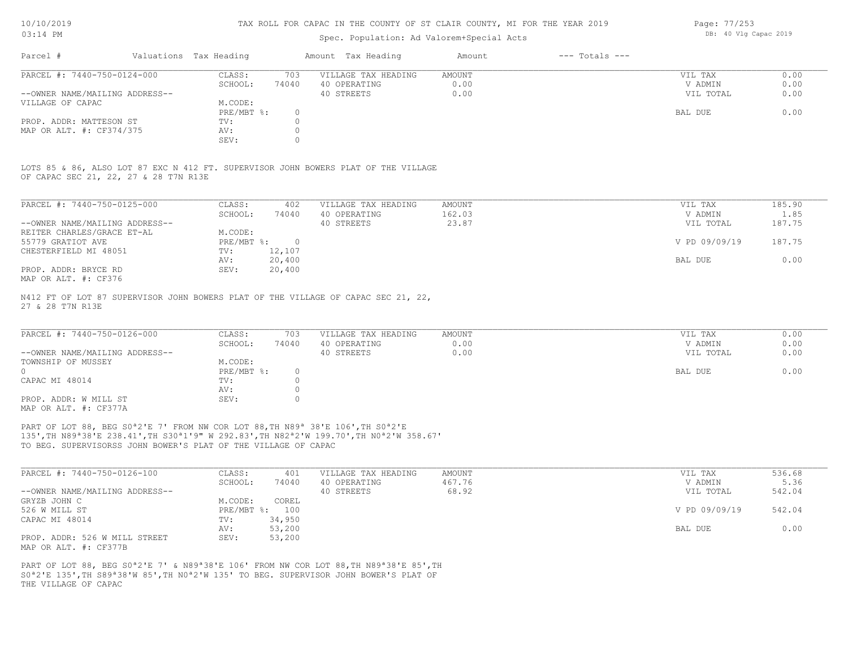#### Spec. Population: Ad Valorem+Special Acts

| Page: 77/253 |  |                       |  |
|--------------|--|-----------------------|--|
|              |  | DB: 40 Vlg Capac 2019 |  |

| Parcel #                       | Valuations Tax Heading |       | Amount Tax Heading  | Amount | $---$ Totals $---$ |           |      |
|--------------------------------|------------------------|-------|---------------------|--------|--------------------|-----------|------|
| PARCEL #: 7440-750-0124-000    | CLASS:                 | 703   | VILLAGE TAX HEADING | AMOUNT |                    | VIL TAX   | 0.00 |
|                                | SCHOOL:                | 74040 | 40 OPERATING        | 0.00   |                    | V ADMIN   | 0.00 |
| --OWNER NAME/MAILING ADDRESS-- |                        |       | 40 STREETS          | 0.00   |                    | VIL TOTAL | 0.00 |
| VILLAGE OF CAPAC               | M.CODE:                |       |                     |        |                    |           |      |
|                                | $PRE/MBT$ %:           |       |                     |        |                    | BAL DUE   | 0.00 |
| PROP. ADDR: MATTESON ST        | TV:                    |       |                     |        |                    |           |      |
| MAP OR ALT. #: CF374/375       | AV:                    |       |                     |        |                    |           |      |
|                                | SEV:                   |       |                     |        |                    |           |      |

OF CAPAC SEC 21, 22, 27 & 28 T7N R13E LOTS 85 & 86, ALSO LOT 87 EXC N 412 FT. SUPERVISOR JOHN BOWERS PLAT OF THE VILLAGE

| PARCEL #: 7440-750-0125-000                                | CLASS:     | 402      | VILLAGE TAX HEADING | AMOUNT | VIL TAX       | 185.90 |
|------------------------------------------------------------|------------|----------|---------------------|--------|---------------|--------|
|                                                            | SCHOOL:    | 74040    | 40 OPERATING        | 162.03 | V ADMIN       | 1.85   |
| --OWNER NAME/MAILING ADDRESS--                             |            |          | 40 STREETS          | 23.87  | VIL TOTAL     | 187.75 |
| REITER CHARLES/GRACE ET-AL                                 | M.CODE:    |          |                     |        |               |        |
| 55779 GRATIOT AVE                                          | PRE/MBT %: | $\Omega$ |                     |        | V PD 09/09/19 | 187.75 |
| CHESTERFIELD MI 48051                                      | TV:        | 12,107   |                     |        |               |        |
|                                                            | AV:        | 20,400   |                     |        | BAL DUE       | 0.00   |
| PROP. ADDR: BRYCE RD                                       | SEV:       | 20,400   |                     |        |               |        |
| $M \land D$ $\land T$ $m$ $\#$ , $\land T \circ T \circ T$ |            |          |                     |        |               |        |

MAP OR ALT. #: CF376

27 & 28 T7N R13E N412 FT OF LOT 87 SUPERVISOR JOHN BOWERS PLAT OF THE VILLAGE OF CAPAC SEC 21, 22,

| PARCEL #: 7440-750-0126-000    | CLASS:       | 703   | VILLAGE TAX HEADING | AMOUNT | VIL TAX   | 0.00 |
|--------------------------------|--------------|-------|---------------------|--------|-----------|------|
|                                | SCHOOL:      | 74040 | 40 OPERATING        | 0.00   | V ADMIN   | 0.00 |
| --OWNER NAME/MAILING ADDRESS-- |              |       | 40 STREETS          | 0.00   | VIL TOTAL | 0.00 |
| TOWNSHIP OF MUSSEY             | M.CODE:      |       |                     |        |           |      |
|                                | $PRE/MBT$ %: |       |                     |        | BAL DUE   | 0.00 |
| CAPAC MI 48014                 | TV:          |       |                     |        |           |      |
|                                | AV:          |       |                     |        |           |      |
| PROP. ADDR: W MILL ST          | SEV:         |       |                     |        |           |      |
| MAP OR ALT. #: CF377A          |              |       |                     |        |           |      |

TO BEG. SUPERVISORSS JOHN BOWER'S PLAT OF THE VILLAGE OF CAPAC 135',TH N89ª38'E 238.41',TH S30ª1'9" W 292.83',TH N82ª2'W 199.70',TH N0ª2'W 358.67' PART OF LOT 88, BEG S0<sup>ª2'E</sup> 7' FROM NW COR LOT 88, TH N89<sup>ª</sup> 38'E 106', TH S0<sup>ª2'E</sup>

| PARCEL #: 7440-750-0126-100    | CLASS:  | 401            | VILLAGE TAX HEADING | AMOUNT | VIL TAX       | 536.68 |
|--------------------------------|---------|----------------|---------------------|--------|---------------|--------|
|                                | SCHOOL: | 74040          | 40 OPERATING        | 467.76 | V ADMIN       | 5.36   |
| --OWNER NAME/MAILING ADDRESS-- |         |                | 40 STREETS          | 68.92  | VIL TOTAL     | 542.04 |
| GRYZB JOHN C                   | M.CODE: | COREL          |                     |        |               |        |
| 526 W MILL ST                  |         | PRE/MBT %: 100 |                     |        | V PD 09/09/19 | 542.04 |
| CAPAC MI 48014                 | TV:     | 34,950         |                     |        |               |        |
|                                | AV:     | 53,200         |                     |        | BAL DUE       | 0.00   |
| PROP. ADDR: 526 W MILL STREET  | SEV:    | 53,200         |                     |        |               |        |
| MAP OR ALT. #: CF377B          |         |                |                     |        |               |        |

THE VILLAGE OF CAPAC S0ª2'E 135',TH S89ª38'W 85',TH N0ª2'W 135' TO BEG. SUPERVISOR JOHN BOWER'S PLAT OF PART OF LOT 88, BEG S0<sup>a</sup>2'E 7' & N89<sup>a</sup>38'E 106' FROM NW COR LOT 88, TH N89<sup>a</sup>38'E 85', TH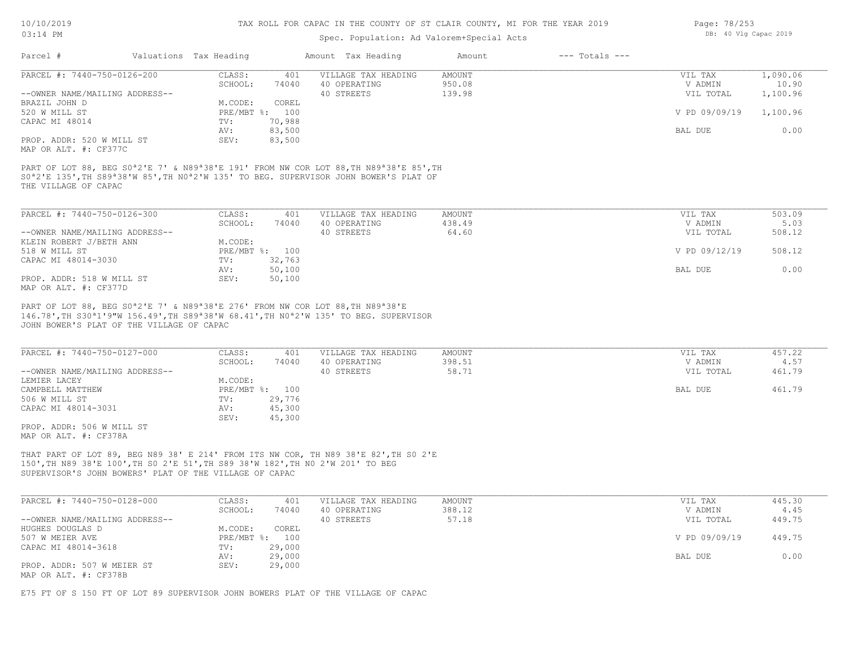#### Spec. Population: Ad Valorem+Special Acts

| Page: 78/253 |  |                       |  |
|--------------|--|-----------------------|--|
|              |  | DB: 40 Vlg Capac 2019 |  |

| Parcel #                                                                                                                                                                                                                                                                                                     | Valuations Tax Heading |                  | Amount Tax Heading  | Amount | $---$ Totals $---$ |               |          |
|--------------------------------------------------------------------------------------------------------------------------------------------------------------------------------------------------------------------------------------------------------------------------------------------------------------|------------------------|------------------|---------------------|--------|--------------------|---------------|----------|
| PARCEL #: 7440-750-0126-200                                                                                                                                                                                                                                                                                  | CLASS:                 | 401              | VILLAGE TAX HEADING | AMOUNT |                    | VIL TAX       | 1,090.06 |
|                                                                                                                                                                                                                                                                                                              | SCHOOL:                | 74040            | 40 OPERATING        | 950.08 |                    | V ADMIN       | 10.90    |
| --OWNER NAME/MAILING ADDRESS--                                                                                                                                                                                                                                                                               |                        |                  | 40 STREETS          | 139.98 |                    | VIL TOTAL     | 1,100.96 |
| BRAZIL JOHN D                                                                                                                                                                                                                                                                                                | M.CODE:                | COREL            |                     |        |                    |               |          |
| 520 W MILL ST                                                                                                                                                                                                                                                                                                | PRE/MBT %:             | 100              |                     |        |                    | V PD 09/09/19 | 1,100.96 |
| CAPAC MI 48014                                                                                                                                                                                                                                                                                               | TV:                    | 70,988           |                     |        |                    |               |          |
|                                                                                                                                                                                                                                                                                                              | AV:                    | 83,500           |                     |        |                    | BAL DUE       | 0.00     |
| PROP. ADDR: 520 W MILL ST                                                                                                                                                                                                                                                                                    | SEV:                   | 83,500           |                     |        |                    |               |          |
|                                                                                                                                                                                                                                                                                                              |                        |                  |                     |        |                    |               |          |
| MAP OR ALT. #: CF377C<br>PART OF LOT 88, BEG S0 <sup>a</sup> 2'E 7' & N89 <sup>a</sup> 38'E 191' FROM NW COR LOT 88, TH N89 <sup>a</sup> 38'E 85', TH<br>SO <sup>a</sup> 2'E 135', TH S89 <sup>a</sup> 38'W 85', TH NO <sup>a</sup> 2'W 135' TO BEG. SUPERVISOR JOHN BOWER'S PLAT OF<br>THE VILLAGE OF CAPAC |                        |                  |                     |        |                    |               |          |
|                                                                                                                                                                                                                                                                                                              |                        |                  |                     |        |                    |               |          |
| PARCEL #: 7440-750-0126-300                                                                                                                                                                                                                                                                                  | CLASS:                 | 401              | VILLAGE TAX HEADING | AMOUNT |                    | VIL TAX       | 503.09   |
|                                                                                                                                                                                                                                                                                                              | SCHOOL:                | 74040            | 40 OPERATING        | 438.49 |                    | V ADMIN       | 5.03     |
| --OWNER NAME/MAILING ADDRESS--                                                                                                                                                                                                                                                                               |                        |                  | 40 STREETS          | 64.60  |                    | VIL TOTAL     | 508.12   |
| KLEIN ROBERT J/BETH ANN                                                                                                                                                                                                                                                                                      | M.CODE:                |                  |                     |        |                    |               |          |
| 518 W MILL ST                                                                                                                                                                                                                                                                                                | $PRE/MBT$ %:           | 100              |                     |        |                    | V PD 09/12/19 | 508.12   |
| CAPAC MI 48014-3030                                                                                                                                                                                                                                                                                          | TV:                    | 32,763           |                     |        |                    |               |          |
| PROP. ADDR: 518 W MILL ST                                                                                                                                                                                                                                                                                    | AV:<br>SEV:            | 50,100<br>50,100 |                     |        |                    | BAL DUE       | 0.00     |

JOHN BOWER'S PLAT OF THE VILLAGE OF CAPAC 146.78',TH S30ª1'9"W 156.49',TH S89ª38'W 68.41',TH N0ª2'W 135' TO BEG. SUPERVISOR

| PARCEL #: 7440-750-0127-000    | CLASS:         | 401    | VILLAGE TAX HEADING | AMOUNT | VIL TAX   | 457.22 |
|--------------------------------|----------------|--------|---------------------|--------|-----------|--------|
|                                | SCHOOL:        | 74040  | 40 OPERATING        | 398.51 | V ADMIN   | 4.57   |
| --OWNER NAME/MAILING ADDRESS-- |                |        | 40 STREETS          | 58.71  | VIL TOTAL | 461.79 |
| LEMIER LACEY                   | M.CODE:        |        |                     |        |           |        |
| CAMPBELL MATTHEW               | PRE/MBT %: 100 |        |                     |        | BAL DUE   | 461.79 |
| 506 W MILL ST                  | TV:            | 29,776 |                     |        |           |        |
| CAPAC MI 48014-3031            | AV:            | 45,300 |                     |        |           |        |
|                                | SEV:           | 45,300 |                     |        |           |        |
| PROP. ADDR: 506 W MILL ST      |                |        |                     |        |           |        |

MAP OR ALT. #: CF378A

SUPERVISOR'S JOHN BOWERS' PLAT OF THE VILLAGE OF CAPAC 150',TH N89 38'E 100',TH S0 2'E 51',TH S89 38'W 182',TH N0 2'W 201' TO BEG THAT PART OF LOT 89, BEG N89 38' E 214' FROM ITS NW COR, TH N89 38'E 82',TH S0 2'E

| PARCEL #: 7440-750-0128-000    | CLASS:     | 401    | VILLAGE TAX HEADING | AMOUNT | VIL TAX       | 445.30 |
|--------------------------------|------------|--------|---------------------|--------|---------------|--------|
|                                | SCHOOL:    | 74040  | 40 OPERATING        | 388.12 | V ADMIN       | 4.45   |
| --OWNER NAME/MAILING ADDRESS-- |            |        | 40 STREETS          | 57.18  | VIL TOTAL     | 449.75 |
| HUGHES DOUGLAS D               | M.CODE:    | COREL  |                     |        |               |        |
| 507 W MEIER AVE                | PRE/MBT %: | 100    |                     |        | V PD 09/09/19 | 449.75 |
| CAPAC MI 48014-3618            | TV:        | 29,000 |                     |        |               |        |
|                                | AV:        | 29,000 |                     |        | BAL DUE       | 0.00   |
| PROP. ADDR: 507 W MEIER ST     | SEV:       | 29,000 |                     |        |               |        |
| MAP OR ALT. #: CF378B          |            |        |                     |        |               |        |

E75 FT OF S 150 FT OF LOT 89 SUPERVISOR JOHN BOWERS PLAT OF THE VILLAGE OF CAPAC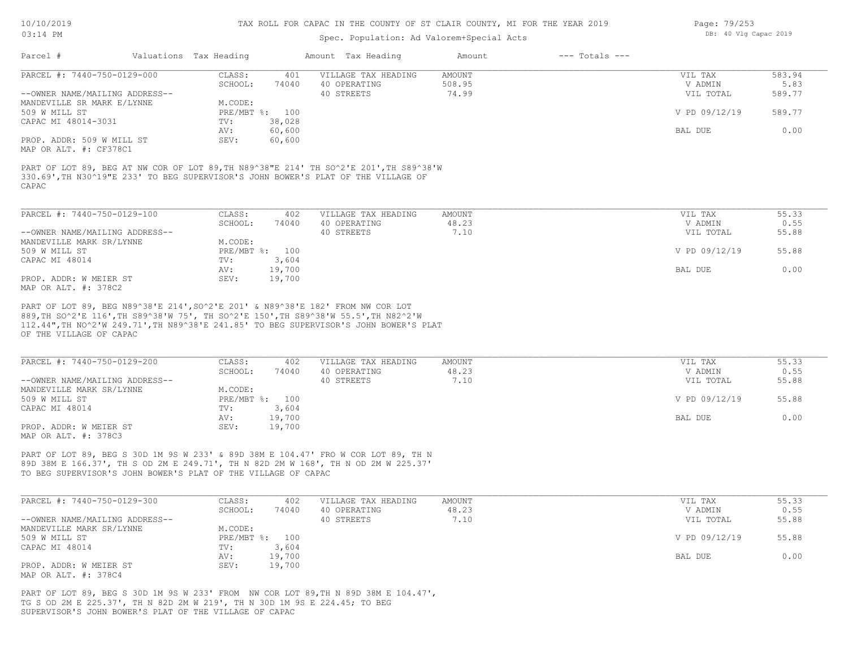#### Spec. Population: Ad Valorem+Special Acts

| Page: 79/253 |  |                       |  |
|--------------|--|-----------------------|--|
|              |  | DB: 40 Vlg Capac 2019 |  |

| Parcel #                       | Valuations Tax Heading |        | Amount Tax Heading  | Amount | $---$ Totals $---$ |               |        |
|--------------------------------|------------------------|--------|---------------------|--------|--------------------|---------------|--------|
| PARCEL #: 7440-750-0129-000    | CLASS:                 | 401    | VILLAGE TAX HEADING | AMOUNT |                    | VIL TAX       | 583.94 |
|                                | SCHOOL:                | 74040  | 40 OPERATING        | 508.95 |                    | V ADMIN       | 5.83   |
| --OWNER NAME/MAILING ADDRESS-- |                        |        | 40 STREETS          | 74.99  |                    | VIL TOTAL     | 589.77 |
| MANDEVILLE SR MARK E/LYNNE     | M.CODE:                |        |                     |        |                    |               |        |
| 509 W MILL ST                  | $PRE/MBT$ %:           | 100    |                     |        |                    | V PD 09/12/19 | 589.77 |
| CAPAC MI 48014-3031            | TV:                    | 38,028 |                     |        |                    |               |        |
|                                | AV:                    | 60,600 |                     |        |                    | BAL DUE       | 0.00   |
| PROP. ADDR: 509 W MILL ST      | SEV:                   | 60,600 |                     |        |                    |               |        |
| MAP OR ALT. #: CF378C1         |                        |        |                     |        |                    |               |        |

CAPAC 330.69',TH N30^19"E 233' TO BEG SUPERVISOR'S JOHN BOWER'S PLAT OF THE VILLAGE OF PART OF LOT 89, BEG AT NW COR OF LOT 89,TH N89^38"E 214' TH SO^2'E 201',TH S89^38'W

| PARCEL #: 7440-750-0129-100    | CLASS:         | 402    | VILLAGE TAX HEADING | AMOUNT | VIL TAX       | 55.33 |
|--------------------------------|----------------|--------|---------------------|--------|---------------|-------|
|                                | SCHOOL:        | 74040  | 40 OPERATING        | 48.23  | V ADMIN       | 0.55  |
| --OWNER NAME/MAILING ADDRESS-- |                |        | 40 STREETS          | 7.10   | VIL TOTAL     | 55.88 |
| MANDEVILLE MARK SR/LYNNE       | M.CODE:        |        |                     |        |               |       |
| 509 W MILL ST                  | PRE/MBT %: 100 |        |                     |        | V PD 09/12/19 | 55.88 |
| CAPAC MI 48014                 | TV:            | 3,604  |                     |        |               |       |
|                                | AV:            | 19,700 |                     |        | BAL DUE       | 0.00  |
| PROP. ADDR: W MEIER ST         | SEV:           | 19,700 |                     |        |               |       |
| MAP OR ALT. #: 378C2           |                |        |                     |        |               |       |

OF THE VILLAGE OF CAPAC 112.44",TH NO^2'W 249.71',TH N89^38'E 241.85' TO BEG SUPERVISOR'S JOHN BOWER'S PLAT 889,TH SO^2'E 116',TH S89^38'W 75', TH SO^2'E 150',TH S89^38'W 55.5',TH N82^2'W PART OF LOT 89, BEG N89^38'E 214',SO^2'E 201' & N89^38'E 182' FROM NW COR LOT

| PARCEL #: 7440-750-0129-200    | CLASS:         | 402    | VILLAGE TAX HEADING | AMOUNT | VIL TAX       | 55.33 |
|--------------------------------|----------------|--------|---------------------|--------|---------------|-------|
|                                | SCHOOL:        | 74040  | 40 OPERATING        | 48.23  | V ADMIN       | 0.55  |
| --OWNER NAME/MAILING ADDRESS-- |                |        | 40 STREETS          | 7.10   | VIL TOTAL     | 55.88 |
| MANDEVILLE MARK SR/LYNNE       | M.CODE:        |        |                     |        |               |       |
| 509 W MILL ST                  | PRE/MBT %: 100 |        |                     |        | V PD 09/12/19 | 55.88 |
| CAPAC MI 48014                 | TV:            | 3,604  |                     |        |               |       |
|                                | AV:            | 19,700 |                     |        | BAL DUE       | 0.00  |
| PROP. ADDR: W MEIER ST         | SEV:           | 19,700 |                     |        |               |       |
| MAP OR ALT. #: 378C3           |                |        |                     |        |               |       |

TO BEG SUPERVISOR'S JOHN BOWER'S PLAT OF THE VILLAGE OF CAPAC 89D 38M E 166.37', TH S OD 2M E 249.71', TH N 82D 2M W 168', TH N OD 2M W 225.37' PART OF LOT 89, BEG S 30D 1M 9S W 233' & 89D 38M E 104.47' FRO W COR LOT 89, TH N

| PARCEL #: 7440-750-0129-300    | CLASS:         | 402    | VILLAGE TAX HEADING | AMOUNT | VIL TAX       | 55.33 |
|--------------------------------|----------------|--------|---------------------|--------|---------------|-------|
|                                | SCHOOL:        | 74040  | 40 OPERATING        | 48.23  | V ADMIN       | 0.55  |
| --OWNER NAME/MAILING ADDRESS-- |                |        | 40 STREETS          | 7.10   | VIL TOTAL     | 55.88 |
| MANDEVILLE MARK SR/LYNNE       | M.CODE:        |        |                     |        |               |       |
| 509 W MILL ST                  | PRE/MBT %: 100 |        |                     |        | V PD 09/12/19 | 55.88 |
| CAPAC MI 48014                 | TV:            | 3,604  |                     |        |               |       |
|                                | AV:            | 19,700 |                     |        | BAL DUE       | 0.00  |
| PROP. ADDR: W MEIER ST         | SEV:           | 19,700 |                     |        |               |       |
| MAP OR ALT. #: 378C4           |                |        |                     |        |               |       |

SUPERVISOR'S JOHN BOWER'S PLAT OF THE VILLAGE OF CAPAC TG S OD 2M E 225.37', TH N 82D 2M W 219', TH N 30D 1M 9S E 224.45; TO BEG PART OF LOT 89, BEG S 30D 1M 9S W 233' FROM NW COR LOT 89,TH N 89D 38M E 104.47',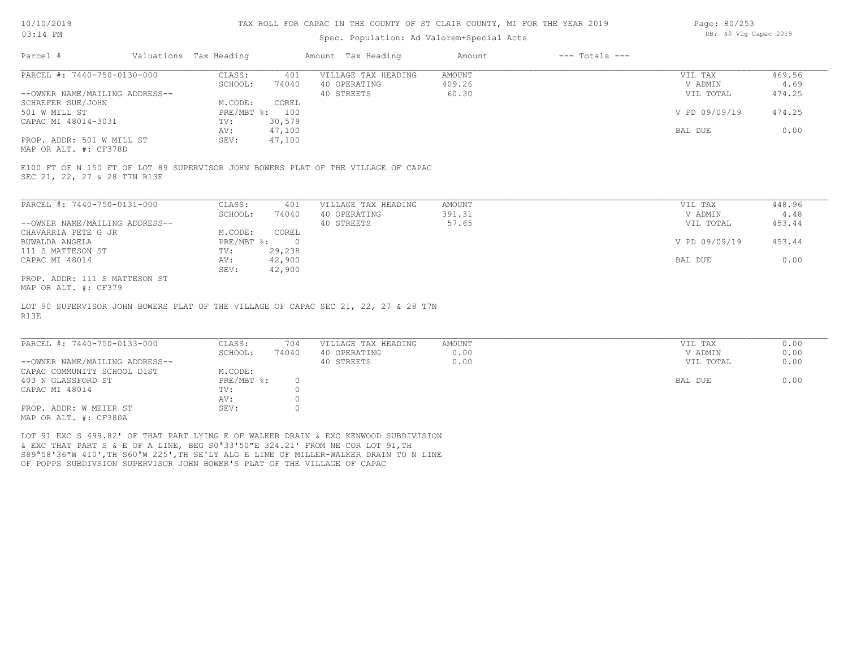#### Spec. Population: Ad Valorem+Special Acts

| Page: 80/253 |  |                       |  |
|--------------|--|-----------------------|--|
|              |  | DB: 40 Vlg Capac 2019 |  |

| Parcel #                       | Valuations Tax Heading |        | Amount Tax Heading  | Amount | $---$ Totals $---$ |               |        |
|--------------------------------|------------------------|--------|---------------------|--------|--------------------|---------------|--------|
| PARCEL #: 7440-750-0130-000    | CLASS:                 | 401    | VILLAGE TAX HEADING | AMOUNT |                    | VIL TAX       | 469.56 |
|                                | SCHOOL:                | 74040  | 40 OPERATING        | 409.26 |                    | V ADMIN       | 4.69   |
| --OWNER NAME/MAILING ADDRESS-- |                        |        | 40 STREETS          | 60.30  |                    | VIL TOTAL     | 474.25 |
| SCHAEFER SUE/JOHN              | M.CODE:                | COREL  |                     |        |                    |               |        |
| 501 W MILL ST                  | PRE/MBT %: 100         |        |                     |        |                    | V PD 09/09/19 | 474.25 |
| CAPAC MI 48014-3031            | TV:                    | 30,579 |                     |        |                    |               |        |
|                                | AV:                    | 47,100 |                     |        |                    | BAL DUE       | 0.00   |
| PROP. ADDR: 501 W MILL ST      | SEV:                   | 47,100 |                     |        |                    |               |        |
|                                |                        |        |                     |        |                    |               |        |

MAP OR ALT. #: CF378D

SEC 21, 22, 27 & 28 T7N R13E E100 FT OF N 150 FT OF LOT 89 SUPERVISOR JOHN BOWERS PLAT OF THE VILLAGE OF CAPAC

| PARCEL #: 7440-750-0131-000    | CLASS:     | 401    | VILLAGE TAX HEADING | AMOUNT | VIL TAX       | 448.96 |
|--------------------------------|------------|--------|---------------------|--------|---------------|--------|
|                                | SCHOOL:    | 74040  | 40 OPERATING        | 391.31 | V ADMIN       | 4.48   |
| --OWNER NAME/MAILING ADDRESS-- |            |        | 40 STREETS          | 57.65  | VIL TOTAL     | 453.44 |
| CHAVARRIA PETE G JR            | M.CODE:    | COREL  |                     |        |               |        |
| BUWALDA ANGELA                 | PRE/MBT %: |        |                     |        | V PD 09/09/19 | 453.44 |
| 111 S MATTESON ST              | TV:        | 29,238 |                     |        |               |        |
| CAPAC MI 48014                 | AV:        | 42,900 |                     |        | BAL DUE       | 0.00   |
|                                | SEV:       | 42,900 |                     |        |               |        |
| PROP. ADDR: 111 S MATTESON ST  |            |        |                     |        |               |        |

MAP OR ALT. #: CF379

R13E LOT 90 SUPERVISOR JOHN BOWERS PLAT OF THE VILLAGE OF CAPAC SEC 21, 22, 27 & 28 T7N

| PARCEL #: 7440-750-0133-000    | CLASS:     | 704   | VILLAGE TAX HEADING | AMOUNT |         | VIL TAX   | 0.00 |
|--------------------------------|------------|-------|---------------------|--------|---------|-----------|------|
|                                | SCHOOL:    | 74040 | 40 OPERATING        | 0.00   |         | V ADMIN   | 0.00 |
| --OWNER NAME/MAILING ADDRESS-- |            |       | 40 STREETS          | 0.00   |         | VIL TOTAL | 0.00 |
| CAPAC COMMUNITY SCHOOL DIST    | M.CODE:    |       |                     |        |         |           |      |
| 403 N GLASSFORD ST             | PRE/MBT %: |       |                     |        | BAL DUE |           | 0.00 |
| CAPAC MI 48014                 | TV:        |       |                     |        |         |           |      |
|                                | AV:        |       |                     |        |         |           |      |
| PROP. ADDR: W MEIER ST         | SEV:       |       |                     |        |         |           |      |
| $\frac{1}{2}$                  |            |       |                     |        |         |           |      |

 $\_$  , and the state of the state of the state of the state of the state of the state of the state of the state of the state of the state of the state of the state of the state of the state of the state of the state of the

MAP OR ALT. #: CF380A

OF POPPS SUBDIVSION SUPERVISOR JOHN BOWER'S PLAT OF THE VILLAGE OF CAPAC S89ª58'36"W 410',TH S60ªW 225',TH SE'LY ALG E LINE OF MILLER-WALKER DRAIN TO N LINE & EXC THAT PART S & E OF A LINE, BEG S0ª33'50"E 324.21' FROM NE COR LOT 91,TH LOT 91 EXC S 499.82' OF THAT PART LYING E OF WALKER DRAIN & EXC KENWOOD SUBDIVISION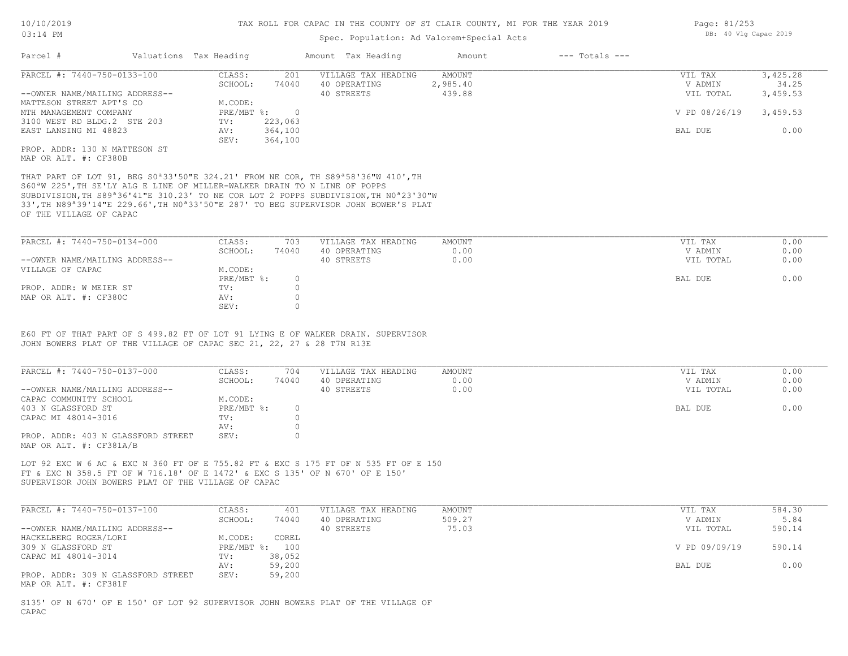#### Spec. Population: Ad Valorem+Special Acts

| Parcel #                       | Valuations Tax Heading |         | Amount Tax Heading  | Amount   | $---$ Totals $---$ |               |          |
|--------------------------------|------------------------|---------|---------------------|----------|--------------------|---------------|----------|
| PARCEL #: 7440-750-0133-100    | CLASS:                 | 201     | VILLAGE TAX HEADING | AMOUNT   |                    | VIL TAX       | 3,425.28 |
|                                | SCHOOL:                | 74040   | 40 OPERATING        | 2,985.40 |                    | V ADMIN       | 34.25    |
| --OWNER NAME/MAILING ADDRESS-- |                        |         | 40 STREETS          | 439.88   |                    | VIL TOTAL     | 3,459.53 |
| MATTESON STREET APT'S CO       | M.CODE:                |         |                     |          |                    |               |          |
| MTH MANAGEMENT COMPANY         | $PRE/MBT$ %:           |         |                     |          |                    | V PD 08/26/19 | 3,459.53 |
| 3100 WEST RD BLDG.2 STE 203    | TV:                    | 223,063 |                     |          |                    |               |          |
| EAST LANSING MI 48823          | AV:                    | 364,100 |                     |          |                    | BAL DUE       | 0.00     |
|                                | SEV:                   | 364,100 |                     |          |                    |               |          |
| PROP. ADDR: 130 N MATTESON ST  |                        |         |                     |          |                    |               |          |
|                                |                        |         |                     |          |                    |               |          |

MAP OR ALT. #: CF380B

OF THE VILLAGE OF CAPAC 33',TH N89ª39'14"E 229.66',TH N0ª33'50"E 287' TO BEG SUPERVISOR JOHN BOWER'S PLAT SUBDIVISION,TH S89ª36'41"E 310.23' TO NE COR LOT 2 POPPS SUBDIVISION,TH N0ª23'30"W S60ªW 225',TH SE'LY ALG E LINE OF MILLER-WALKER DRAIN TO N LINE OF POPPS THAT PART OF LOT 91, BEG S0ª33'50"E 324.21' FROM NE COR, TH S89ª58'36"W 410',TH

| PARCEL #: 7440-750-0134-000    | CLASS:       | 703   | VILLAGE TAX HEADING | AMOUNT | VIL TAX   | 0.00 |
|--------------------------------|--------------|-------|---------------------|--------|-----------|------|
|                                | SCHOOL:      | 74040 | 40 OPERATING        | 0.00   | V ADMIN   | 0.00 |
| --OWNER NAME/MAILING ADDRESS-- |              |       | 40 STREETS          | 0.00   | VIL TOTAL | 0.00 |
| VILLAGE OF CAPAC               | M.CODE:      |       |                     |        |           |      |
|                                | $PRE/MBT$ %: |       |                     |        | BAL DUE   | 0.00 |
| PROP. ADDR: W MEIER ST         | TV:          |       |                     |        |           |      |
| MAP OR ALT. #: CF380C          | AV:          |       |                     |        |           |      |
|                                | SEV:         |       |                     |        |           |      |

JOHN BOWERS PLAT OF THE VILLAGE OF CAPAC SEC 21, 22, 27 & 28 T7N R13E E60 FT OF THAT PART OF S 499.82 FT OF LOT 91 LYING E OF WALKER DRAIN. SUPERVISOR

| PARCEL #: 7440-750-0137-000                                   | CLASS:     | 704   | VILLAGE TAX HEADING | AMOUNT | VIL TAX   | 0.00 |
|---------------------------------------------------------------|------------|-------|---------------------|--------|-----------|------|
|                                                               | SCHOOL:    | 74040 | 40 OPERATING        | 0.00   | V ADMIN   | 0.00 |
| --OWNER NAME/MAILING ADDRESS--                                |            |       | 40 STREETS          | 0.00   | VIL TOTAL | 0.00 |
| CAPAC COMMUNITY SCHOOL                                        | M.CODE:    |       |                     |        |           |      |
| 403 N GLASSFORD ST                                            | PRE/MBT %: |       |                     |        | BAL DUE   | 0.00 |
| CAPAC MI 48014-3016                                           | TV:        |       |                     |        |           |      |
|                                                               | AV:        |       |                     |        |           |      |
| PROP. ADDR: 403 N GLASSFORD STREET<br>MAP OR ALT. #: CF381A/B | SEV:       |       |                     |        |           |      |

SUPERVISOR JOHN BOWERS PLAT OF THE VILLAGE OF CAPAC FT & EXC N 358.5 FT OF W 716.18' OF E 1472' & EXC S 135' OF N 670' OF E 150' LOT 92 EXC W 6 AC & EXC N 360 FT OF E 755.82 FT & EXC S 175 FT OF N 535 FT OF E 150

| PARCEL #: 7440-750-0137-100        | CLASS:  | 401            | VILLAGE TAX HEADING | AMOUNT | VIL TAX       | 584.30 |
|------------------------------------|---------|----------------|---------------------|--------|---------------|--------|
|                                    | SCHOOL: | 74040          | 40 OPERATING        | 509.27 | V ADMIN       | 5.84   |
| --OWNER NAME/MAILING ADDRESS--     |         |                | 40 STREETS          | 75.03  | VIL TOTAL     | 590.14 |
| HACKELBERG ROGER/LORI              | M.CODE: | COREL          |                     |        |               |        |
| 309 N GLASSFORD ST                 |         | PRE/MBT %: 100 |                     |        | V PD 09/09/19 | 590.14 |
| CAPAC MI 48014-3014                | TV:     | 38,052         |                     |        |               |        |
|                                    | AV:     | 59,200         |                     |        | BAL DUE       | 0.00   |
| PROP. ADDR: 309 N GLASSFORD STREET | SEV:    | 59,200         |                     |        |               |        |
| MAP OR ALT. #: CF381F              |         |                |                     |        |               |        |

CAPAC S135' OF N 670' OF E 150' OF LOT 92 SUPERVISOR JOHN BOWERS PLAT OF THE VILLAGE OF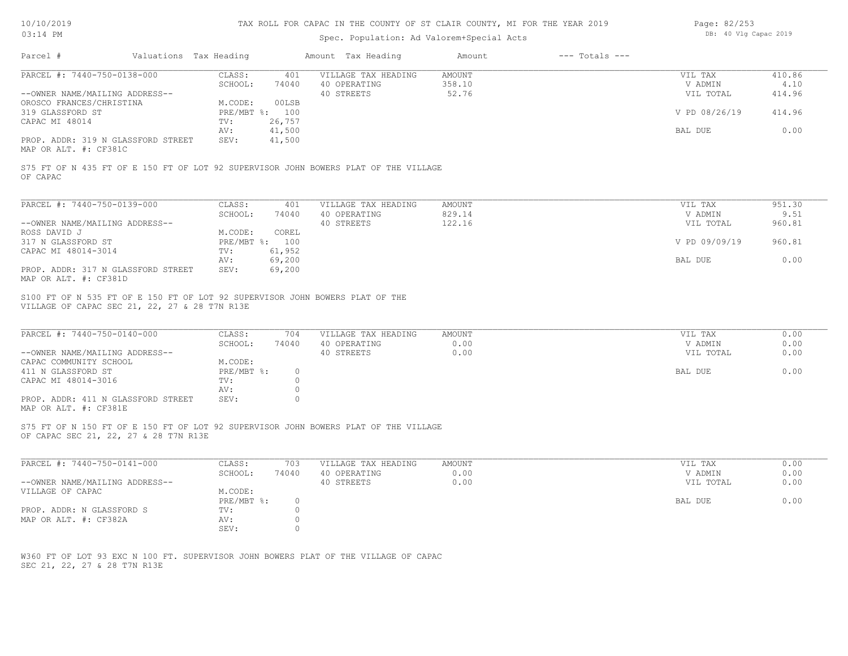### Spec. Population: Ad Valorem+Special Acts

| Page: 82/253 |  |                       |  |
|--------------|--|-----------------------|--|
|              |  | DB: 40 Vlg Capac 2019 |  |

| PARCEL #: 7440-750-0138-000                                                                                                                                                                                                                                                                                                                                                                            | CLASS:                                                   | 401                                            | VILLAGE TAX HEADING                               | AMOUNT                        | VIL TAX                                    | 410.86                       |
|--------------------------------------------------------------------------------------------------------------------------------------------------------------------------------------------------------------------------------------------------------------------------------------------------------------------------------------------------------------------------------------------------------|----------------------------------------------------------|------------------------------------------------|---------------------------------------------------|-------------------------------|--------------------------------------------|------------------------------|
|                                                                                                                                                                                                                                                                                                                                                                                                        | SCHOOL:                                                  | 74040                                          | 40 OPERATING                                      | 358.10                        | V ADMIN                                    | 4.10                         |
| --OWNER NAME/MAILING ADDRESS--                                                                                                                                                                                                                                                                                                                                                                         |                                                          |                                                | 40 STREETS                                        | 52.76                         | VIL TOTAL                                  | 414.96                       |
| OROSCO FRANCES/CHRISTINA                                                                                                                                                                                                                                                                                                                                                                               | M.CODE:                                                  | 00LSB                                          |                                                   |                               |                                            |                              |
| 319 GLASSFORD ST                                                                                                                                                                                                                                                                                                                                                                                       | PRE/MBT %: 100                                           |                                                |                                                   |                               | V PD 08/26/19                              | 414.96                       |
| CAPAC MI 48014                                                                                                                                                                                                                                                                                                                                                                                         | TV:                                                      | 26,757                                         |                                                   |                               |                                            |                              |
|                                                                                                                                                                                                                                                                                                                                                                                                        | AV:                                                      | 41,500                                         |                                                   |                               | BAL DUE                                    | 0.00                         |
| PROP. ADDR: 319 N GLASSFORD STREET<br>MAP OR ALT. #: CF381C                                                                                                                                                                                                                                                                                                                                            | SEV:                                                     | 41,500                                         |                                                   |                               |                                            |                              |
| S75 FT OF N 435 FT OF E 150 FT OF LOT 92 SUPERVISOR JOHN BOWERS PLAT OF THE VILLAGE<br>OF CAPAC                                                                                                                                                                                                                                                                                                        |                                                          |                                                |                                                   |                               |                                            |                              |
| PARCEL #: 7440-750-0139-000                                                                                                                                                                                                                                                                                                                                                                            | CLASS:                                                   | 401                                            | VILLAGE TAX HEADING                               | <b>AMOUNT</b>                 | VIL TAX                                    | 951.30                       |
|                                                                                                                                                                                                                                                                                                                                                                                                        | SCHOOL:                                                  | 74040                                          | 40 OPERATING                                      | 829.14                        | V ADMIN                                    | 9.51                         |
| --OWNER NAME/MAILING ADDRESS--                                                                                                                                                                                                                                                                                                                                                                         |                                                          |                                                | 40 STREETS                                        | 122.16                        | VIL TOTAL                                  | 960.81                       |
| ROSS DAVID J                                                                                                                                                                                                                                                                                                                                                                                           | M.CODE:                                                  | COREL                                          |                                                   |                               |                                            |                              |
| 317 N GLASSFORD ST                                                                                                                                                                                                                                                                                                                                                                                     | PRE/MBT %: 100                                           |                                                |                                                   |                               | V PD 09/09/19                              | 960.81                       |
| CAPAC MI 48014-3014                                                                                                                                                                                                                                                                                                                                                                                    | TV:                                                      | 61,952                                         |                                                   |                               |                                            |                              |
|                                                                                                                                                                                                                                                                                                                                                                                                        | AV:                                                      | 69,200                                         |                                                   |                               | BAL DUE                                    | 0.00                         |
|                                                                                                                                                                                                                                                                                                                                                                                                        |                                                          |                                                |                                                   |                               |                                            |                              |
| PROP. ADDR: 317 N GLASSFORD STREET                                                                                                                                                                                                                                                                                                                                                                     | SEV:                                                     | 69,200                                         |                                                   |                               |                                            |                              |
|                                                                                                                                                                                                                                                                                                                                                                                                        | CLASS:<br>SCHOOL:<br>M.CODE:<br>PRE/MBT %:<br>TV:<br>AV: | 704<br>74040<br>$\circ$<br>$\Omega$<br>$\circ$ | VILLAGE TAX HEADING<br>40 OPERATING<br>40 STREETS | <b>AMOUNT</b><br>0.00<br>0.00 | VIL TAX<br>V ADMIN<br>VIL TOTAL<br>BAL DUE | 0.00<br>0.00<br>0.00<br>0.00 |
| PARCEL #: 7440-750-0140-000<br>--OWNER NAME/MAILING ADDRESS--<br>411 N GLASSFORD ST                                                                                                                                                                                                                                                                                                                    | SEV:                                                     | $\Omega$                                       |                                                   |                               |                                            |                              |
| MAP OR ALT. #: CF381D<br>S100 FT OF N 535 FT OF E 150 FT OF LOT 92 SUPERVISOR JOHN BOWERS PLAT OF THE<br>VILLAGE OF CAPAC SEC 21, 22, 27 & 28 T7N R13E<br>CAPAC COMMUNITY SCHOOL<br>CAPAC MI 48014-3016<br>PROP. ADDR: 411 N GLASSFORD STREET<br>MAP OR ALT. #: CF381E<br>S75 FT OF N 150 FT OF E 150 FT OF LOT 92 SUPERVISOR JOHN BOWERS PLAT OF THE VILLAGE<br>OF CAPAC SEC 21, 22, 27 & 28 T7N R13E |                                                          |                                                |                                                   |                               |                                            |                              |
| PARCEL #: 7440-750-0141-000                                                                                                                                                                                                                                                                                                                                                                            | CLASS:                                                   | 703                                            | VILLAGE TAX HEADING                               | <b>AMOUNT</b>                 | VIL TAX                                    | 0.00                         |
|                                                                                                                                                                                                                                                                                                                                                                                                        | SCHOOL:                                                  | 74040                                          | 40 OPERATING                                      | 0.00                          | V ADMIN                                    | 0.00                         |
| --OWNER NAME/MAILING ADDRESS--                                                                                                                                                                                                                                                                                                                                                                         |                                                          |                                                | 40 STREETS                                        | 0.00                          | VIL TOTAL                                  |                              |
|                                                                                                                                                                                                                                                                                                                                                                                                        | M.CODE:                                                  |                                                |                                                   |                               |                                            | 0.00                         |
| VILLAGE OF CAPAC                                                                                                                                                                                                                                                                                                                                                                                       | PRE/MBT %:                                               | $\circ$                                        |                                                   |                               | BAL DUE                                    | 0.00                         |
| PROP. ADDR: N GLASSFORD S                                                                                                                                                                                                                                                                                                                                                                              | TV:                                                      | $\Omega$                                       |                                                   |                               |                                            |                              |
| MAP OR ALT. #: CF382A                                                                                                                                                                                                                                                                                                                                                                                  | AV:                                                      | $\circ$                                        |                                                   |                               |                                            |                              |

SEC 21, 22, 27 & 28 T7N R13E W360 FT OF LOT 93 EXC N 100 FT. SUPERVISOR JOHN BOWERS PLAT OF THE VILLAGE OF CAPAC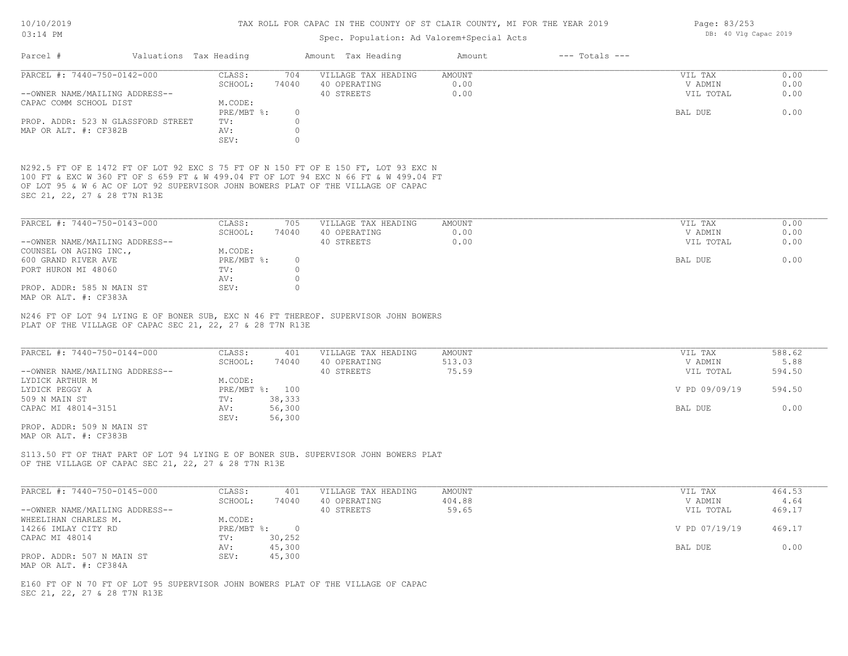#### Spec. Population: Ad Valorem+Special Acts

| Parcel #                       |                                    | Valuations Tax Heading |       | Amount Tax Heading  | Amount | $---$ Totals $---$ |           |      |
|--------------------------------|------------------------------------|------------------------|-------|---------------------|--------|--------------------|-----------|------|
| PARCEL #: 7440-750-0142-000    |                                    | CLASS:                 | 704   | VILLAGE TAX HEADING | AMOUNT |                    | VIL TAX   | 0.00 |
|                                |                                    | SCHOOL:                | 74040 | 40 OPERATING        | 0.00   |                    | V ADMIN   | 0.00 |
| --OWNER NAME/MAILING ADDRESS-- |                                    |                        |       | 40 STREETS          | 0.00   |                    | VIL TOTAL | 0.00 |
| CAPAC COMM SCHOOL DIST         |                                    | M.CODE:                |       |                     |        |                    |           |      |
|                                |                                    | PRE/MBT %:             |       |                     |        |                    | BAL DUE   | 0.00 |
|                                | PROP. ADDR: 523 N GLASSFORD STREET | TV:                    |       |                     |        |                    |           |      |
| MAP OR ALT. #: CF382B          |                                    | AV:                    |       |                     |        |                    |           |      |
|                                |                                    | SEV:                   |       |                     |        |                    |           |      |
|                                |                                    |                        |       |                     |        |                    |           |      |

SEC 21, 22, 27 & 28 T7N R13E OF LOT 95 & W 6 AC OF LOT 92 SUPERVISOR JOHN BOWERS PLAT OF THE VILLAGE OF CAPAC 100 FT & EXC W 360 FT OF S 659 FT & W 499.04 FT OF LOT 94 EXC N 66 FT & W 499.04 FT N292.5 FT OF E 1472 FT OF LOT 92 EXC S 75 FT OF N 150 FT OF E 150 FT, LOT 93 EXC N

| PARCEL #: 7440-750-0143-000    | CLASS:     | 705   | VILLAGE TAX HEADING | AMOUNT | VIL TAX   | 0.00 |
|--------------------------------|------------|-------|---------------------|--------|-----------|------|
|                                | SCHOOL:    | 74040 | 40 OPERATING        | 0.00   | V ADMIN   | 0.00 |
| --OWNER NAME/MAILING ADDRESS-- |            |       | 40 STREETS          | 0.00   | VIL TOTAL | 0.00 |
| COUNSEL ON AGING INC.,         | M.CODE:    |       |                     |        |           |      |
| 600 GRAND RIVER AVE            | PRE/MBT %: |       |                     |        | BAL DUE   | 0.00 |
| PORT HURON MI 48060            | TV:        |       |                     |        |           |      |
|                                | AV:        |       |                     |        |           |      |
| PROP. ADDR: 585 N MAIN ST      | SEV:       |       |                     |        |           |      |
| MAP OR ALT. #: CF383A          |            |       |                     |        |           |      |

PLAT OF THE VILLAGE OF CAPAC SEC 21, 22, 27 & 28 T7N R13E N246 FT OF LOT 94 LYING E OF BONER SUB, EXC N 46 FT THEREOF. SUPERVISOR JOHN BOWERS

| PARCEL #: 7440-750-0144-000    | CLASS:  | 401            | VILLAGE TAX HEADING | AMOUNT | VIL TAX       | 588.62 |
|--------------------------------|---------|----------------|---------------------|--------|---------------|--------|
|                                | SCHOOL: | 74040          | 40 OPERATING        | 513.03 | V ADMIN       | 5.88   |
| --OWNER NAME/MAILING ADDRESS-- |         |                | 40 STREETS          | 75.59  | VIL TOTAL     | 594.50 |
| LYDICK ARTHUR M                | M.CODE: |                |                     |        |               |        |
| LYDICK PEGGY A                 |         | PRE/MBT %: 100 |                     |        | V PD 09/09/19 | 594.50 |
| 509 N MAIN ST                  | TV:     | 38,333         |                     |        |               |        |
| CAPAC MI 48014-3151            | AV:     | 56,300         |                     |        | BAL DUE       | 0.00   |
|                                | SEV:    | 56,300         |                     |        |               |        |

MAP OR ALT. #: CF383B PROP. ADDR: 509 N MAIN ST

OF THE VILLAGE OF CAPAC SEC 21, 22, 27 & 28 T7N R13E S113.50 FT OF THAT PART OF LOT 94 LYING E OF BONER SUB. SUPERVISOR JOHN BOWERS PLAT

| PARCEL #: 7440-750-0145-000    | CLASS:     | 401    | VILLAGE TAX HEADING | AMOUNT | VIL TAX       | 464.53 |
|--------------------------------|------------|--------|---------------------|--------|---------------|--------|
|                                | SCHOOL:    | 74040  | 40 OPERATING        | 404.88 | V ADMIN       | 4.64   |
| --OWNER NAME/MAILING ADDRESS-- |            |        | 40 STREETS          | 59.65  | VIL TOTAL     | 469.17 |
| WHEELIHAN CHARLES M.           | M.CODE:    |        |                     |        |               |        |
| 14266 IMLAY CITY RD            | PRE/MBT %: |        |                     |        | V PD 07/19/19 | 469.17 |
| CAPAC MI 48014                 | TV:        | 30,252 |                     |        |               |        |
|                                | AV:        | 45,300 |                     |        | BAL DUE       | 0.00   |
| PROP. ADDR: 507 N MAIN ST      | SEV:       | 45,300 |                     |        |               |        |
| MAP OR ALT. #: CF384A          |            |        |                     |        |               |        |

SEC 21, 22, 27 & 28 T7N R13E E160 FT OF N 70 FT OF LOT 95 SUPERVISOR JOHN BOWERS PLAT OF THE VILLAGE OF CAPAC Page: 83/253 DB: 40 Vlg Capac 2019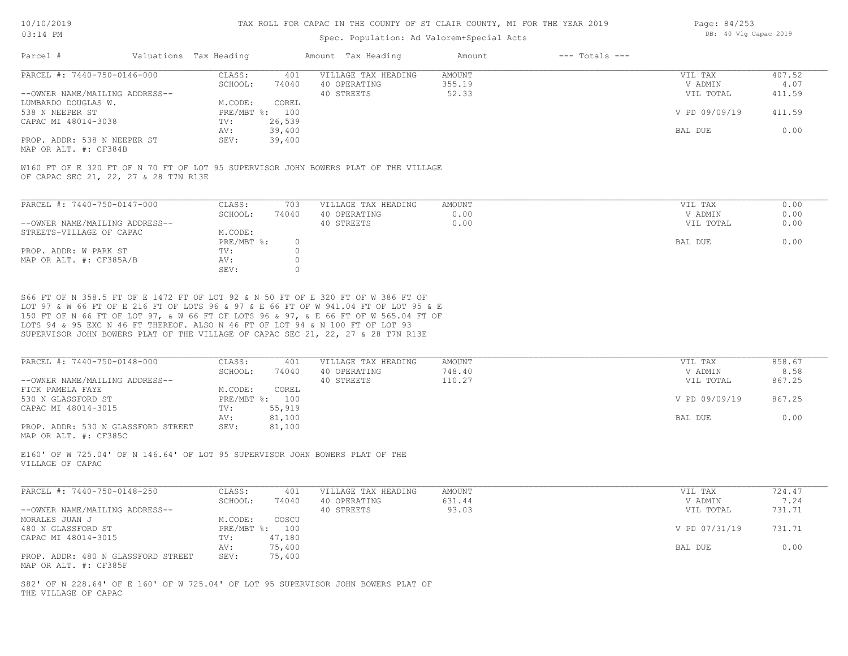#### Spec. Population: Ad Valorem+Special Acts

| Page: 84/253 |  |                       |  |
|--------------|--|-----------------------|--|
|              |  | DB: 40 Vlg Capac 2019 |  |

| Parcel #                       | Valuations Tax Heading |        | Amount Tax Heading  | Amount | $---$ Totals $---$ |               |        |
|--------------------------------|------------------------|--------|---------------------|--------|--------------------|---------------|--------|
| PARCEL #: 7440-750-0146-000    | CLASS:                 | 401    | VILLAGE TAX HEADING | AMOUNT |                    | VIL TAX       | 407.52 |
|                                | SCHOOL:                | 74040  | 40 OPERATING        | 355.19 |                    | V ADMIN       | 4.07   |
| --OWNER NAME/MAILING ADDRESS-- |                        |        | 40 STREETS          | 52.33  |                    | VIL TOTAL     | 411.59 |
| LUMBARDO DOUGLAS W.            | M.CODE:                | COREL  |                     |        |                    |               |        |
| 538 N NEEPER ST                | PRE/MBT %: 100         |        |                     |        |                    | V PD 09/09/19 | 411.59 |
| CAPAC MI 48014-3038            | TV:                    | 26,539 |                     |        |                    |               |        |
|                                | AV:                    | 39,400 |                     |        |                    | BAL DUE       | 0.00   |
| PROP. ADDR: 538 N NEEPER ST    | SEV:                   | 39,400 |                     |        |                    |               |        |
|                                |                        |        |                     |        |                    |               |        |

MAP OR ALT. #: CF384B

OF CAPAC SEC 21, 22, 27 & 28 T7N R13E W160 FT OF E 320 FT OF N 70 FT OF LOT 95 SUPERVISOR JOHN BOWERS PLAT OF THE VILLAGE

| PARCEL #: 7440-750-0147-000    | CLASS:     | 703   | VILLAGE TAX HEADING | AMOUNT | VIL TAX   | 0.00 |
|--------------------------------|------------|-------|---------------------|--------|-----------|------|
|                                | SCHOOL:    | 74040 | 40 OPERATING        | 0.00   | V ADMIN   | 0.00 |
| --OWNER NAME/MAILING ADDRESS-- |            |       | 40 STREETS          | 0.00   | VIL TOTAL | 0.00 |
| STREETS-VILLAGE OF CAPAC       | M.CODE:    |       |                     |        |           |      |
|                                | PRE/MBT %: |       |                     |        | BAL DUE   | 0.00 |
| PROP. ADDR: W PARK ST          | TV:        |       |                     |        |           |      |
| MAP OR ALT. #: CF385A/B        | AV:        |       |                     |        |           |      |
|                                | SEV:       |       |                     |        |           |      |

SUPERVISOR JOHN BOWERS PLAT OF THE VILLAGE OF CAPAC SEC 21, 22, 27 & 28 T7N R13E LOTS 94 & 95 EXC N 46 FT THEREOF. ALSO N 46 FT OF LOT 94 & N 100 FT OF LOT 93 150 FT OF N 66 FT OF LOT 97, & W 66 FT OF LOTS 96 & 97, & E 66 FT OF W 565.04 FT OF LOT 97 & W 66 FT OF E 216 FT OF LOTS 96 & 97 & E 66 FT OF W 941.04 FT OF LOT 95 & E S66 FT OF N 358.5 FT OF E 1472 FT OF LOT 92 & N 50 FT OF E 320 FT OF W 386 FT OF

| PARCEL #: 7440-750-0148-000        | CLASS:  | 401            | VILLAGE TAX HEADING | AMOUNT | VIL TAX       | 858.67 |
|------------------------------------|---------|----------------|---------------------|--------|---------------|--------|
|                                    | SCHOOL: | 74040          | 40 OPERATING        | 748.40 | V ADMIN       | 8.58   |
| --OWNER NAME/MAILING ADDRESS--     |         |                | 40 STREETS          | 110.27 | VIL TOTAL     | 867.25 |
| FICK PAMELA FAYE                   | M.CODE: | COREL          |                     |        |               |        |
| 530 N GLASSFORD ST                 |         | PRE/MBT %: 100 |                     |        | V PD 09/09/19 | 867.25 |
| CAPAC MI 48014-3015                | TV:     | 55,919         |                     |        |               |        |
|                                    | AV:     | 81,100         |                     |        | BAL DUE       | 0.00   |
| PROP. ADDR: 530 N GLASSFORD STREET | SEV:    | 81,100         |                     |        |               |        |
| MAP OR ALT. #: CF385C              |         |                |                     |        |               |        |

VILLAGE OF CAPAC E160' OF W 725.04' OF N 146.64' OF LOT 95 SUPERVISOR JOHN BOWERS PLAT OF THE

| PARCEL #: 7440-750-0148-250                                 | CLASS:  | 401            | VILLAGE TAX HEADING | AMOUNT | VIL TAX       | 724.47 |
|-------------------------------------------------------------|---------|----------------|---------------------|--------|---------------|--------|
|                                                             | SCHOOL: | 74040          | 40 OPERATING        | 631.44 | V ADMIN       | 7.24   |
| --OWNER NAME/MAILING ADDRESS--                              |         |                | 40 STREETS          | 93.03  | VIL TOTAL     | 731.71 |
| MORALES JUAN J                                              | M.CODE: | OOSCU          |                     |        |               |        |
| 480 N GLASSFORD ST                                          |         | PRE/MBT %: 100 |                     |        | V PD 07/31/19 | 731.71 |
| CAPAC MI 48014-3015                                         | TV:     | 47,180         |                     |        |               |        |
|                                                             | AV:     | 75,400         |                     |        | BAL DUE       | 0.00   |
| PROP. ADDR: 480 N GLASSFORD STREET<br>MAP OR ALT. #: CF385F | SEV:    | 75,400         |                     |        |               |        |

THE VILLAGE OF CAPAC S82' OF N 228.64' OF E 160' OF W 725.04' OF LOT 95 SUPERVISOR JOHN BOWERS PLAT OF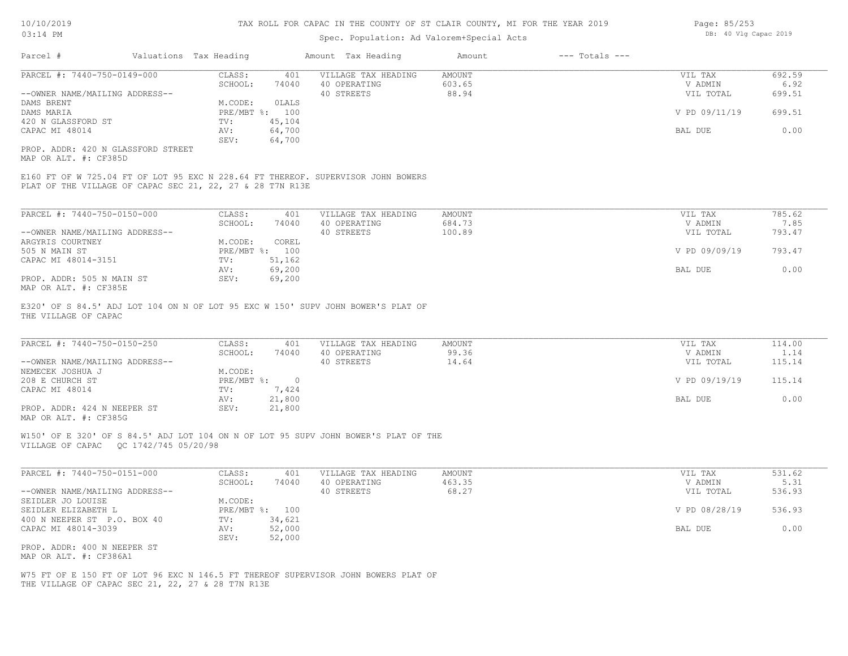#### Spec. Population: Ad Valorem+Special Act

| 10/10/2019 |                        | TAX ROLL FOR CAPAC IN THE COUNTY OF ST CLAIR COUNTY, MI FOR THE YEAR 2019 |        |                | Page: 85/253          |
|------------|------------------------|---------------------------------------------------------------------------|--------|----------------|-----------------------|
| $03:14$ PM |                        | Spec. Population: Ad Valorem+Special Acts                                 |        |                | DB: 40 Vlg Capac 2019 |
| Parcel #   | Valuations Tax Heading | Amount Tax Heading                                                        | Amount | --- Totals --- |                       |

| PARCEL #: 7440-750-0149-000        | CLASS:  | 401            | VILLAGE TAX HEADING | AMOUNT | VIL TAX       | 692.59 |
|------------------------------------|---------|----------------|---------------------|--------|---------------|--------|
|                                    | SCHOOL: | 74040          | 40 OPERATING        | 603.65 | V ADMIN       | 6.92   |
| --OWNER NAME/MAILING ADDRESS--     |         |                | 40 STREETS          | 88.94  | VIL TOTAL     | 699.51 |
| DAMS BRENT                         | M.CODE: | OLALS          |                     |        |               |        |
| DAMS MARIA                         |         | PRE/MBT %: 100 |                     |        | V PD 09/11/19 | 699.51 |
| 420 N GLASSFORD ST                 | TV:     | 45,104         |                     |        |               |        |
| CAPAC MI 48014                     | AV:     | 64,700         |                     |        | BAL DUE       | 0.00   |
|                                    | SEV:    | 64,700         |                     |        |               |        |
| PROP. ADDR: 420 N GLASSFORD STREET |         |                |                     |        |               |        |

MAP OR ALT. #: CF385D

PLAT OF THE VILLAGE OF CAPAC SEC 21, 22, 27 & 28 T7N R13E E160 FT OF W 725.04 FT OF LOT 95 EXC N 228.64 FT THEREOF. SUPERVISOR JOHN BOWERS

| PARCEL #: 7440-750-0150-000    | CLASS:     | 401    | VILLAGE TAX HEADING | AMOUNT | VIL TAX       | 785.62 |
|--------------------------------|------------|--------|---------------------|--------|---------------|--------|
|                                | SCHOOL:    | 74040  | 40 OPERATING        | 684.73 | V ADMIN       | 7.85   |
| --OWNER NAME/MAILING ADDRESS-- |            |        | 40 STREETS          | 100.89 | VIL TOTAL     | 793.47 |
| ARGYRIS COURTNEY               | M.CODE:    | COREL  |                     |        |               |        |
| 505 N MAIN ST                  | PRE/MBT %: | 100    |                     |        | V PD 09/09/19 | 793.47 |
| CAPAC MI 48014-3151            | TV:        | 51,162 |                     |        |               |        |
|                                | AV:        | 69,200 |                     |        | BAL DUE       | 0.00   |
| PROP. ADDR: 505 N MAIN ST      | SEV:       | 69,200 |                     |        |               |        |
| MAP OR ALT. #: CF385E          |            |        |                     |        |               |        |

THE VILLAGE OF CAPAC E320' OF S 84.5' ADJ LOT 104 ON N OF LOT 95 EXC W 150' SUPV JOHN BOWER'S PLAT OF

| PARCEL #: 7440-750-0150-250                           | CLASS:     | 401    | VILLAGE TAX HEADING | AMOUNT | VIL TAX       | 114.00 |
|-------------------------------------------------------|------------|--------|---------------------|--------|---------------|--------|
|                                                       | SCHOOL:    | 74040  | 40 OPERATING        | 99.36  | V ADMIN       | 1.14   |
| --OWNER NAME/MAILING ADDRESS--                        |            |        | 40 STREETS          | 14.64  | VIL TOTAL     | 115.14 |
| NEMECEK JOSHUA J                                      | M.CODE:    |        |                     |        |               |        |
| 208 E CHURCH ST                                       | PRE/MBT %: | $\cap$ |                     |        | V PD 09/19/19 | 115.14 |
| CAPAC MI 48014                                        | TV:        | 7,424  |                     |        |               |        |
|                                                       | AV:        | 21,800 |                     |        | BAL DUE       | 0.00   |
| PROP. ADDR: 424 N NEEPER ST                           | SEV:       | 21,800 |                     |        |               |        |
| $\cdots$ $\cdots$ $\cdots$ $\cdots$ $\cdots$ $\cdots$ |            |        |                     |        |               |        |

 $\_$  , and the state of the state of the state of the state of the state of the state of the state of the state of the state of the state of the state of the state of the state of the state of the state of the state of the

MAP OR ALT. #: CF385G

VILLAGE OF CAPAC QC 1742/745 05/20/98 W150' OF E 320' OF S 84.5' ADJ LOT 104 ON N OF LOT 95 SUPV JOHN BOWER'S PLAT OF THE

| PARCEL #: 7440-750-0151-000    | CLASS:  | 401            | VILLAGE TAX HEADING | AMOUNT | VIL TAX       | 531.62 |
|--------------------------------|---------|----------------|---------------------|--------|---------------|--------|
|                                | SCHOOL: | 74040          | 40 OPERATING        | 463.35 | V ADMIN       | 5.31   |
| --OWNER NAME/MAILING ADDRESS-- |         |                | 40 STREETS          | 68.27  | VIL TOTAL     | 536.93 |
| SEIDLER JO LOUISE              | M.CODE: |                |                     |        |               |        |
| SEIDLER ELIZABETH L            |         | PRE/MBT %: 100 |                     |        | V PD 08/28/19 | 536.93 |
| 400 N NEEPER ST P.O. BOX 40    | TV:     | 34,621         |                     |        |               |        |
| CAPAC MI 48014-3039            | AV:     | 52,000         |                     |        | BAL DUE       | 0.00   |
|                                | SEV:    | 52,000         |                     |        |               |        |
| PROP. ADDR: 400 N NEEPER ST    |         |                |                     |        |               |        |
| MAP OR ALT. #: CF386A1         |         |                |                     |        |               |        |

THE VILLAGE OF CAPAC SEC 21, 22, 27 & 28 T7N R13E W75 FT OF E 150 FT OF LOT 96 EXC N 146.5 FT THEREOF SUPERVISOR JOHN BOWERS PLAT OF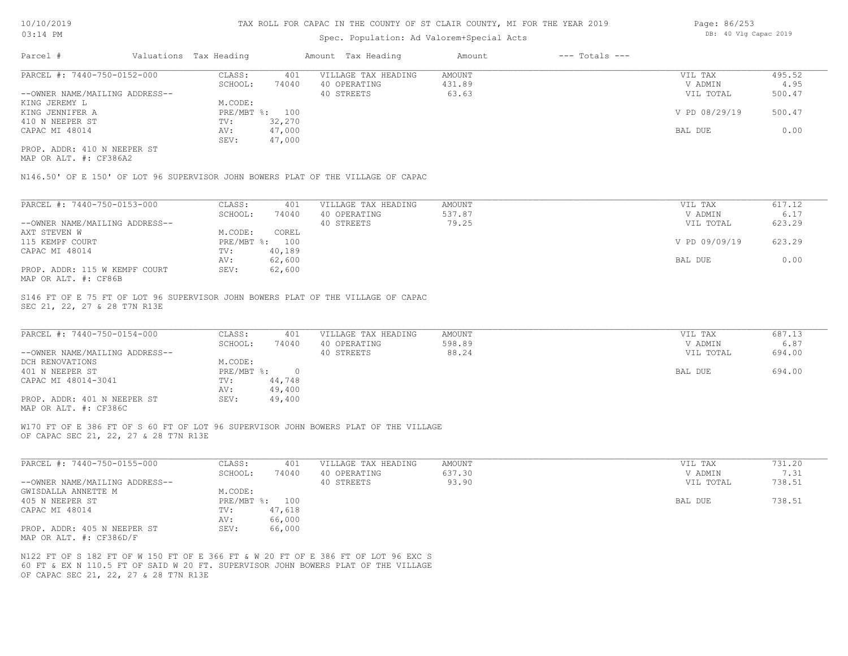#### Spec. Population: Ad Valorem+Special Acts

| Page: 86/253 |  |                       |  |
|--------------|--|-----------------------|--|
|              |  | DB: 40 Vlg Capac 2019 |  |

| Parcel #                       | Valuations Tax Heading |        | Amount Tax Heading  | Amount | $---$ Totals $---$ |               |        |
|--------------------------------|------------------------|--------|---------------------|--------|--------------------|---------------|--------|
| PARCEL #: 7440-750-0152-000    | CLASS:                 | 401    | VILLAGE TAX HEADING | AMOUNT |                    | VIL TAX       | 495.52 |
|                                | SCHOOL:                | 74040  | 40 OPERATING        | 431.89 |                    | V ADMIN       | 4.95   |
| --OWNER NAME/MAILING ADDRESS-- |                        |        | 40 STREETS          | 63.63  |                    | VIL TOTAL     | 500.47 |
| KING JEREMY L                  | M.CODE:                |        |                     |        |                    |               |        |
| KING JENNIFER A                | PRE/MBT %:             | 100    |                     |        |                    | V PD 08/29/19 | 500.47 |
| 410 N NEEPER ST                | TV:                    | 32,270 |                     |        |                    |               |        |
| CAPAC MI 48014                 | AV:                    | 47,000 |                     |        |                    | BAL DUE       | 0.00   |
|                                | SEV:                   | 47,000 |                     |        |                    |               |        |
| PROP. ADDR: 410 N NEEPER ST    |                        |        |                     |        |                    |               |        |

MAP OR ALT. #: CF386A2

N146.50' OF E 150' OF LOT 96 SUPERVISOR JOHN BOWERS PLAT OF THE VILLAGE OF CAPAC

| PARCEL #: 7440-750-0153-000                                                   | CLASS:     | 401    | VILLAGE TAX HEADING | AMOUNT | VIL TAX       | 617.12 |
|-------------------------------------------------------------------------------|------------|--------|---------------------|--------|---------------|--------|
|                                                                               | SCHOOL:    | 74040  | 40 OPERATING        | 537.87 | V ADMIN       | 6.17   |
| --OWNER NAME/MAILING ADDRESS--                                                |            |        | 40 STREETS          | 79.25  | VIL TOTAL     | 623.29 |
| AXT STEVEN W                                                                  | M.CODE:    | COREL  |                     |        |               |        |
| 115 KEMPF COURT                                                               | PRE/MBT %: | 100    |                     |        | V PD 09/09/19 | 623.29 |
| CAPAC MI 48014                                                                | TV:        | 40,189 |                     |        |               |        |
|                                                                               | AV:        | 62,600 |                     |        | BAL DUE       | 0.00   |
| PROP. ADDR: 115 W KEMPF COURT<br>$\cdots$ $\cdots$ $\cdots$ $\cdots$ $\cdots$ | SEV:       | 62,600 |                     |        |               |        |

MAP OR ALT. #: CF86B

SEC 21, 22, 27 & 28 T7N R13E S146 FT OF E 75 FT OF LOT 96 SUPERVISOR JOHN BOWERS PLAT OF THE VILLAGE OF CAPAC

| PARCEL #: 7440-750-0154-000    | CLASS:     | 401    | VILLAGE TAX HEADING | AMOUNT | VIL TAX   | 687.13 |
|--------------------------------|------------|--------|---------------------|--------|-----------|--------|
|                                | SCHOOL:    | 74040  | 40 OPERATING        | 598.89 | V ADMIN   | 6.87   |
| --OWNER NAME/MAILING ADDRESS-- |            |        | 40 STREETS          | 88.24  | VIL TOTAL | 694.00 |
| DCH RENOVATIONS                | M.CODE:    |        |                     |        |           |        |
| 401 N NEEPER ST                | PRE/MBT %: |        |                     |        | BAL DUE   | 694.00 |
| CAPAC MI 48014-3041            | TV:        | 44,748 |                     |        |           |        |
|                                | AV:        | 49,400 |                     |        |           |        |
| PROP. ADDR: 401 N NEEPER ST    | SEV:       | 49,400 |                     |        |           |        |
| MAP OR ALT. #: CF386C          |            |        |                     |        |           |        |

W170 FT OF E 386 FT OF S 60 FT OF LOT 96 SUPERVISOR JOHN BOWERS PLAT OF THE VILLAGE

OF CAPAC SEC 21, 22, 27 & 28 T7N R13E

| PARCEL #: 7440-750-0155-000    | CLASS:       | 401    | VILLAGE TAX HEADING | AMOUNT | VIL TAX   | 731.20 |
|--------------------------------|--------------|--------|---------------------|--------|-----------|--------|
|                                | SCHOOL:      | 74040  | 40 OPERATING        | 637.30 | V ADMIN   | 7.31   |
| --OWNER NAME/MAILING ADDRESS-- |              |        | 40 STREETS          | 93.90  | VIL TOTAL | 738.51 |
| GWISDALLA ANNETTE M            | M.CODE:      |        |                     |        |           |        |
| 405 N NEEPER ST                | $PRE/MBT$ %: | 100    |                     |        | BAL DUE   | 738.51 |
| CAPAC MI 48014                 | TV:          | 47,618 |                     |        |           |        |
|                                | AV:          | 66,000 |                     |        |           |        |
| PROP. ADDR: 405 N NEEPER ST    | SEV:         | 66,000 |                     |        |           |        |
| MAP OR ALT. #: CF386D/F        |              |        |                     |        |           |        |

OF CAPAC SEC 21, 22, 27 & 28 T7N R13E 60 FT & EX N 110.5 FT OF SAID W 20 FT. SUPERVISOR JOHN BOWERS PLAT OF THE VILLAGE N122 FT OF S 182 FT OF W 150 FT OF E 366 FT & W 20 FT OF E 386 FT OF LOT 96 EXC S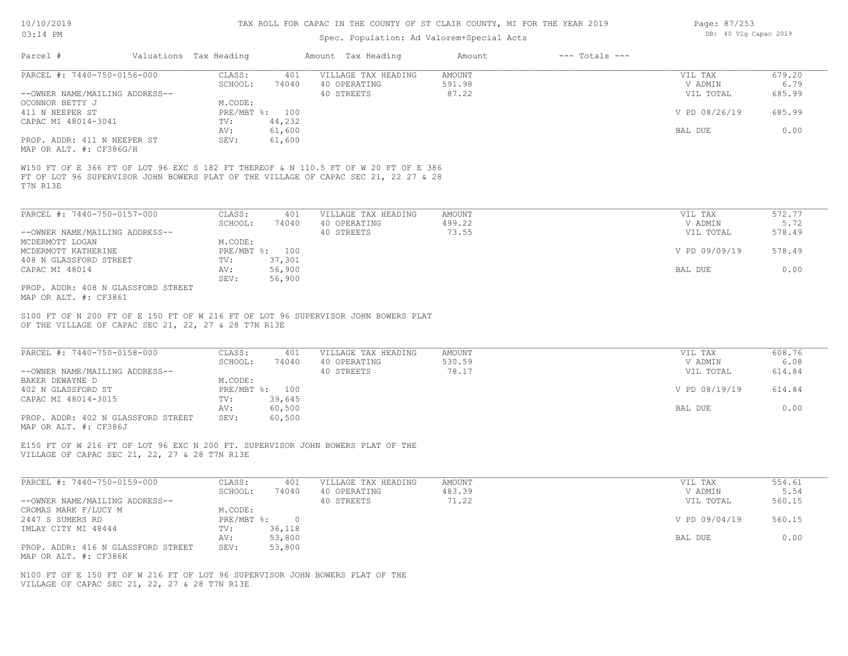#### TAX ROLL FOR CAPAC IN THE COUNTY OF ST CLAIR COUNTY, MI FOR THE YEAR 2019

#### Spec. Population: Ad Valorem+Special Acts

| 00.LT LLL                      |                        |        | Spec. Population: Ad Valorem+Special Acts |        | --                 |               |        |
|--------------------------------|------------------------|--------|-------------------------------------------|--------|--------------------|---------------|--------|
| Parcel #                       | Valuations Tax Heading |        | Amount Tax Heading                        | Amount | $---$ Totals $---$ |               |        |
| PARCEL #: 7440-750-0156-000    | CLASS:                 | 401    | VILLAGE TAX HEADING                       | AMOUNT |                    | VIL TAX       | 679.20 |
|                                | SCHOOL:                | 74040  | 40 OPERATING                              | 591.98 |                    | V ADMIN       | 6.79   |
| --OWNER NAME/MAILING ADDRESS-- |                        |        | 40 STREETS                                | 87.22  |                    | VIL TOTAL     | 685.99 |
| OCONNOR BETTY J                | M.CODE:                |        |                                           |        |                    |               |        |
| 411 N NEEPER ST                | PRE/MBT %: 100         |        |                                           |        |                    | V PD 08/26/19 | 685.99 |
| CAPAC MI 48014-3041            | TV:                    | 44,232 |                                           |        |                    |               |        |
|                                | AV:                    | 61,600 |                                           |        |                    | BAL DUE       | 0.00   |
| PROP. ADDR: 411 N NEEPER ST    | SEV:                   | 61,600 |                                           |        |                    |               |        |
| MAP OR ALT. #: CF386G/H        |                        |        |                                           |        |                    |               |        |

T7N R13E FT OF LOT 96 SUPERVISOR JOHN BOWERS PLAT OF THE VILLAGE OF CAPAC SEC 21, 22 27 & 28 W150 FT OF E 366 FT OF LOT 96 EXC S 182 FT THEREOF & N 110.5 FT OF W 20 FT OF E 386

| PARCEL #: 7440-750-0157-000        | CLASS:  | 401            | VILLAGE TAX HEADING | AMOUNT | VIL TAX       | 572.77 |
|------------------------------------|---------|----------------|---------------------|--------|---------------|--------|
|                                    | SCHOOL: | 74040          | 40 OPERATING        | 499.22 | V ADMIN       | 5.72   |
| --OWNER NAME/MAILING ADDRESS--     |         |                | 40 STREETS          | 73.55  | VIL TOTAL     | 578.49 |
| MCDERMOTT LOGAN                    | M.CODE: |                |                     |        |               |        |
| MCDERMOTT KATHERINE                |         | PRE/MBT %: 100 |                     |        | V PD 09/09/19 | 578.49 |
| 408 N GLASSFORD STREET             | TV:     | 37,301         |                     |        |               |        |
| CAPAC MI 48014                     | AV:     | 56,900         |                     |        | BAL DUE       | 0.00   |
|                                    | SEV:    | 56,900         |                     |        |               |        |
| PROP. ADDR: 408 N GLASSFORD STREET |         |                |                     |        |               |        |

MAP OR ALT. #: CF386I

OF THE VILLAGE OF CAPAC SEC 21, 22, 27 & 28 T7N R13E S100 FT OF N 200 FT OF E 150 FT OF W 216 FT OF LOT 96 SUPERVISOR JOHN BOWERS PLAT

| PARCEL #: 7440-750-0158-000        | CLASS:  | 401            | VILLAGE TAX HEADING | AMOUNT | VIL TAX       | 608.76 |
|------------------------------------|---------|----------------|---------------------|--------|---------------|--------|
|                                    | SCHOOL: | 74040          | 40 OPERATING        | 530.59 | V ADMIN       | 6.08   |
| --OWNER NAME/MAILING ADDRESS--     |         |                | 40 STREETS          | 78.17  | VIL TOTAL     | 614.84 |
| BAKER DEWAYNE D                    | M.CODE: |                |                     |        |               |        |
| 402 N GLASSFORD ST                 |         | PRE/MBT %: 100 |                     |        | V PD 08/19/19 | 614.84 |
| CAPAC MI 48014-3015                | TV:     | 39,645         |                     |        |               |        |
|                                    | AV:     | 60,500         |                     |        | BAL DUE       | 0.00   |
| PROP. ADDR: 402 N GLASSFORD STREET | SEV:    | 60,500         |                     |        |               |        |
| MAP OR ALT. #: CF386J              |         |                |                     |        |               |        |

VILLAGE OF CAPAC SEC 21, 22, 27 & 28 T7N R13E E150 FT OF W 216 FT OF LOT 96 EXC N 200 FT. SUPERVISOR JOHN BOWERS PLAT OF THE

| PARCEL #: 7440-750-0159-000        | CLASS:     | 401    | VILLAGE TAX HEADING | AMOUNT | VIL TAX       | 554.61 |
|------------------------------------|------------|--------|---------------------|--------|---------------|--------|
|                                    | SCHOOL:    | 74040  | 40 OPERATING        | 483.39 | V ADMIN       | 5.54   |
| --OWNER NAME/MAILING ADDRESS--     |            |        | 40 STREETS          | 71.22  | VIL TOTAL     | 560.15 |
| CROMAS MARK F/LUCY M               | M.CODE:    |        |                     |        |               |        |
| 2447 S SUMERS RD                   | PRE/MBT %: |        |                     |        | V PD 09/04/19 | 560.15 |
| IMLAY CITY MI 48444                | TV:        | 36,118 |                     |        |               |        |
|                                    | AV:        | 53,800 |                     |        | BAL DUE       | 0.00   |
| PROP. ADDR: 416 N GLASSFORD STREET | SEV:       | 53,800 |                     |        |               |        |
| MAP OR ALT. #: CF386K              |            |        |                     |        |               |        |

VILLAGE OF CAPAC SEC 21, 22, 27 & 28 T7N R13E N100 FT OF E 150 FT OF W 216 FT OF LOT 96 SUPERVISOR JOHN BOWERS PLAT OF THE Page: 87/253 DB: 40 Vlg Capac 2019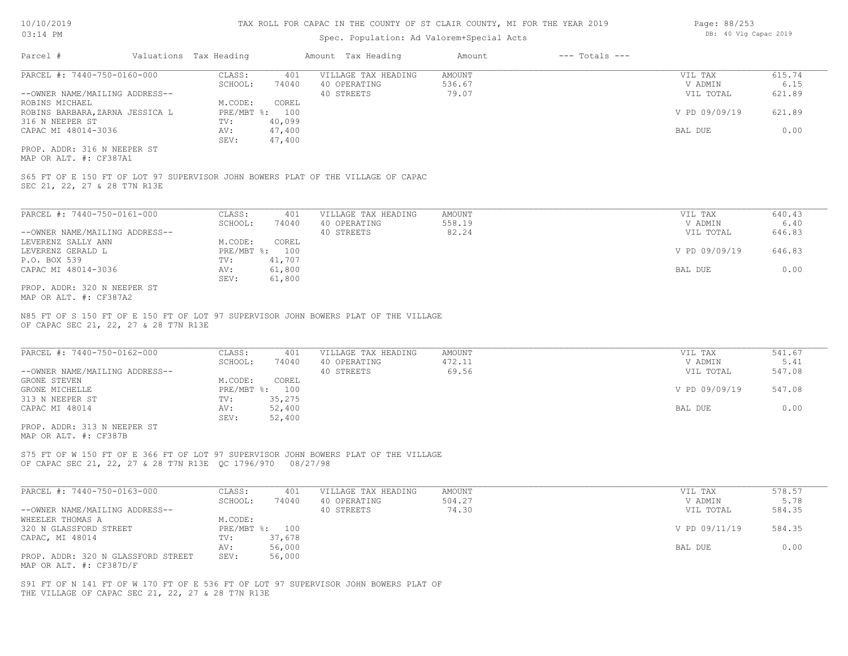#### Spec. Population: Ad Valorem+Special Acts

| Parcel #                       | Valuations Tax Heading |        | Amount Tax Heading  | Amount | $---$ Totals $---$ |               |        |
|--------------------------------|------------------------|--------|---------------------|--------|--------------------|---------------|--------|
| PARCEL #: 7440-750-0160-000    | CLASS:                 | 401    | VILLAGE TAX HEADING | AMOUNT |                    | VIL TAX       | 615.74 |
|                                | SCHOOL:                | 74040  | 40 OPERATING        | 536.67 |                    | V ADMIN       | 6.15   |
| --OWNER NAME/MAILING ADDRESS-- |                        |        | 40 STREETS          | 79.07  |                    | VIL TOTAL     | 621.89 |
| ROBINS MICHAEL                 | M.CODE:                | COREL  |                     |        |                    |               |        |
| ROBINS BARBARA,ZARNA JESSICA L | PRE/MBT %: 100         |        |                     |        |                    | V PD 09/09/19 | 621.89 |
| 316 N NEEPER ST                | TV:                    | 40,099 |                     |        |                    |               |        |
| CAPAC MI 48014-3036            | AV:                    | 47,400 |                     |        |                    | BAL DUE       | 0.00   |
|                                | SEV:                   | 47,400 |                     |        |                    |               |        |
|                                |                        |        |                     |        |                    |               |        |

MAP OR ALT. #: CF387A1 PROP. ADDR: 316 N NEEPER ST

SEC 21, 22, 27 & 28 T7N R13E S65 FT OF E 150 FT OF LOT 97 SUPERVISOR JOHN BOWERS PLAT OF THE VILLAGE OF CAPAC

| PARCEL #: 7440-750-0161-000    | CLASS:       | 401    | VILLAGE TAX HEADING | AMOUNT | VIL TAX       | 640.43 |
|--------------------------------|--------------|--------|---------------------|--------|---------------|--------|
|                                | SCHOOL:      | 74040  | 40 OPERATING        | 558.19 | V ADMIN       | 6.40   |
| --OWNER NAME/MAILING ADDRESS-- |              |        | 40 STREETS          | 82.24  | VIL TOTAL     | 646.83 |
| LEVERENZ SALLY ANN             | M.CODE:      | COREL  |                     |        |               |        |
| LEVERENZ GERALD L              | $PRE/MBT$ %: | 100    |                     |        | V PD 09/09/19 | 646.83 |
| P.O. BOX 539                   | TV:          | 41,707 |                     |        |               |        |
| CAPAC MI 48014-3036            | AV:          | 61,800 |                     |        | BAL DUE       | 0.00   |
|                                | SEV:         | 61,800 |                     |        |               |        |
| PROP. ADDR: 320 N NEEPER ST    |              |        |                     |        |               |        |

MAP OR ALT. #: CF387A2

OF CAPAC SEC 21, 22, 27 & 28 T7N R13E N85 FT OF S 150 FT OF E 150 FT OF LOT 97 SUPERVISOR JOHN BOWERS PLAT OF THE VILLAGE

| PARCEL #: 7440-750-0162-000    | CLASS:  | 401            | VILLAGE TAX HEADING | AMOUNT | VIL TAX       | 541.67 |
|--------------------------------|---------|----------------|---------------------|--------|---------------|--------|
|                                | SCHOOL: | 74040          | 40 OPERATING        | 472.11 | V ADMIN       | 5.41   |
| --OWNER NAME/MAILING ADDRESS-- |         |                | 40 STREETS          | 69.56  | VIL TOTAL     | 547.08 |
| GRONE STEVEN                   | M.CODE: | COREL          |                     |        |               |        |
| GRONE MICHELLE                 |         | PRE/MBT %: 100 |                     |        | V PD 09/09/19 | 547.08 |
| 313 N NEEPER ST                | TV:     | 35,275         |                     |        |               |        |
| CAPAC MI 48014                 | AV:     | 52,400         |                     |        | BAL DUE       | 0.00   |
|                                | SEV:    | 52,400         |                     |        |               |        |

MAP OR ALT. #: CF387B PROP. ADDR: 313 N NEEPER ST

OF CAPAC SEC 21, 22, 27 & 28 T7N R13E QC 1796/970 08/27/98 S75 FT OF W 150 FT OF E 366 FT OF LOT 97 SUPERVISOR JOHN BOWERS PLAT OF THE VILLAGE

| PARCEL #: 7440-750-0163-000        | CLASS:  | 401            | VILLAGE TAX HEADING | AMOUNT | VIL TAX       | 578.57 |
|------------------------------------|---------|----------------|---------------------|--------|---------------|--------|
|                                    | SCHOOL: | 74040          | 40 OPERATING        | 504.27 | V ADMIN       | 5.78   |
| --OWNER NAME/MAILING ADDRESS--     |         |                | 40 STREETS          | 74.30  | VIL TOTAL     | 584.35 |
| WHEELER THOMAS A                   | M.CODE: |                |                     |        |               |        |
| 320 N GLASSFORD STREET             |         | PRE/MBT %: 100 |                     |        | V PD 09/11/19 | 584.35 |
| CAPAC, MI 48014                    | TV:     | 37,678         |                     |        |               |        |
|                                    | AV:     | 56,000         |                     |        | BAL DUE       | 0.00   |
| PROP. ADDR: 320 N GLASSFORD STREET | SEV:    | 56,000         |                     |        |               |        |
| MAP OR ALT. $\#$ : CF387D/F        |         |                |                     |        |               |        |

THE VILLAGE OF CAPAC SEC 21, 22, 27 & 28 T7N R13E S91 FT OF N 141 FT OF W 170 FT OF E 536 FT OF LOT 97 SUPERVISOR JOHN BOWERS PLAT OF Page: 88/253 DB: 40 Vlg Capac 2019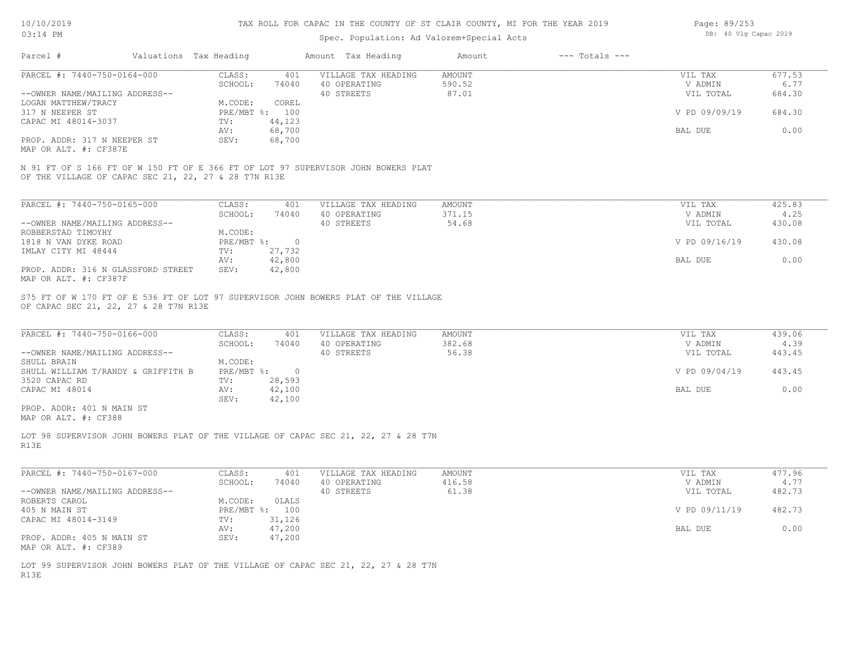| 10/10/2019 |  |
|------------|--|
| 03.14 PM   |  |

| Page: 89/253 |  |                       |  |
|--------------|--|-----------------------|--|
|              |  | DB: 40 Vlg Capac 2019 |  |

|                                                             |                        |                   |                | spec. Population: Ad valorem special Acts                                          |                         |                    |                    |                |
|-------------------------------------------------------------|------------------------|-------------------|----------------|------------------------------------------------------------------------------------|-------------------------|--------------------|--------------------|----------------|
| Parcel #                                                    | Valuations Tax Heading |                   |                | Amount Tax Heading                                                                 | Amount                  | $---$ Totals $---$ |                    |                |
| PARCEL #: 7440-750-0164-000                                 |                        | CLASS:            | 401            | VILLAGE TAX HEADING                                                                | <b>AMOUNT</b>           |                    | VIL TAX            | 677.53         |
|                                                             |                        | SCHOOL:           | 74040          | 40 OPERATING                                                                       | 590.52                  |                    | V ADMIN            | 6.77           |
| --OWNER NAME/MAILING ADDRESS--                              |                        |                   |                | 40 STREETS                                                                         | 87.01                   |                    | VIL TOTAL          | 684.30         |
| LOGAN MATTHEW/TRACY                                         |                        | M.CODE:           | COREL          |                                                                                    |                         |                    |                    |                |
| 317 N NEEPER ST                                             |                        |                   | PRE/MBT %: 100 |                                                                                    |                         |                    | V PD 09/09/19      | 684.30         |
| CAPAC MI 48014-3037                                         |                        | TV:               | 44,123         |                                                                                    |                         |                    |                    |                |
|                                                             |                        | AV:               | 68,700         |                                                                                    |                         |                    | BAL DUE            | 0.00           |
| PROP. ADDR: 317 N NEEPER ST                                 |                        | SEV:              | 68,700         |                                                                                    |                         |                    |                    |                |
| MAP OR ALT. #: CF387E                                       |                        |                   |                |                                                                                    |                         |                    |                    |                |
| OF THE VILLAGE OF CAPAC SEC 21, 22, 27 & 28 T7N R13E        |                        |                   |                | N 91 FT OF S 166 FT OF W 150 FT OF E 366 FT OF LOT 97 SUPERVISOR JOHN BOWERS PLAT  |                         |                    |                    |                |
| PARCEL #: 7440-750-0165-000                                 |                        | CLASS:            | 401            | VILLAGE TAX HEADING                                                                | <b>AMOUNT</b>           |                    | VIL TAX            | 425.83         |
|                                                             |                        | SCHOOL:           | 74040          | 40 OPERATING                                                                       | 371.15                  |                    | V ADMIN            | 4.25           |
| --OWNER NAME/MAILING ADDRESS--                              |                        |                   |                | 40 STREETS                                                                         | 54.68                   |                    | VIL TOTAL          | 430.08         |
| ROBBERSTAD TIMOYHY                                          |                        | M.CODE:           |                |                                                                                    |                         |                    |                    |                |
| 1818 N VAN DYKE ROAD                                        |                        | PRE/MBT %:        | $\overline{0}$ |                                                                                    |                         |                    | V PD 09/16/19      | 430.08         |
| IMLAY CITY MI 48444                                         |                        | TV:               | 27,732         |                                                                                    |                         |                    |                    |                |
|                                                             |                        | AV:               | 42,800         |                                                                                    |                         |                    | BAL DUE            | 0.00           |
|                                                             |                        | SEV:              |                |                                                                                    |                         |                    |                    |                |
| PROP. ADDR: 316 N GLASSFORD STREET<br>MAP OR ALT. #: CF387F |                        |                   | 42,800         |                                                                                    |                         |                    |                    |                |
| PARCEL #: 7440-750-0166-000                                 |                        | CLASS:<br>SCHOOL: | 401<br>74040   | VILLAGE TAX HEADING<br>40 OPERATING                                                | <b>AMOUNT</b><br>382.68 |                    | VIL TAX<br>V ADMIN | 439.06<br>4.39 |
| --OWNER NAME/MAILING ADDRESS--                              |                        |                   |                | 40 STREETS                                                                         | 56.38                   |                    | VIL TOTAL          | 443.45         |
| SHULL BRAIN                                                 |                        | M.CODE:           |                |                                                                                    |                         |                    |                    |                |
| SHULL WILLIAM T/RANDY & GRIFFITH B                          |                        |                   | PRE/MBT %: 0   |                                                                                    |                         |                    | V PD 09/04/19      | 443.45         |
| 3520 CAPAC RD                                               |                        | TV:               | 28,593         |                                                                                    |                         |                    |                    |                |
| CAPAC MI 48014                                              |                        | AV:               | 42,100         |                                                                                    |                         |                    | BAL DUE            | 0.00           |
|                                                             |                        | SEV:              | 42,100         |                                                                                    |                         |                    |                    |                |
| PROP. ADDR: 401 N MAIN ST<br>MAP OR ALT. #: CF388           |                        |                   |                |                                                                                    |                         |                    |                    |                |
| R13E                                                        |                        |                   |                | LOT 98 SUPERVISOR JOHN BOWERS PLAT OF THE VILLAGE OF CAPAC SEC 21, 22, 27 & 28 T7N |                         |                    |                    |                |
| PARCEL #: 7440-750-0167-000                                 |                        | CLASS:            | 401            | VILLAGE TAX HEADING                                                                | AMOUNT                  |                    | VIL TAX            | 477.96         |
|                                                             |                        | SCHOOL:           | 74040          | 40 OPERATING                                                                       | 416.58                  |                    | V ADMIN            | 4.77           |
| --OWNER NAME/MAILING ADDRESS--                              |                        |                   |                | 40 STREETS                                                                         | 61.38                   |                    | VIL TOTAL          | 482.73         |
| ROBERTS CAROL                                               |                        | M.CODE:           | OLALS          |                                                                                    |                         |                    |                    |                |
| 405 N MAIN ST                                               |                        |                   | PRE/MBT %: 100 |                                                                                    |                         |                    | V PD 09/11/19      | 482.73         |
| CAPAC MI 48014-3149                                         |                        | TV:               | 31,126         |                                                                                    |                         |                    |                    |                |
|                                                             |                        | AV:               | 47,200         |                                                                                    |                         |                    | BAL DUE            | 0.00           |
| PROP. ADDR: 405 N MAIN ST                                   |                        | SEV:              | 47,200         |                                                                                    |                         |                    |                    |                |
|                                                             |                        |                   |                |                                                                                    |                         |                    |                    |                |
| MAP OR ALT. #: CF389                                        |                        |                   |                |                                                                                    |                         |                    |                    |                |
|                                                             |                        |                   |                | LOT 99 SUPERVISOR JOHN BOWERS PLAT OF THE VILLAGE OF CAPAC SEC 21, 22, 27 & 28 T7N |                         |                    |                    |                |
| R13E                                                        |                        |                   |                |                                                                                    |                         |                    |                    |                |
|                                                             |                        |                   |                |                                                                                    |                         |                    |                    |                |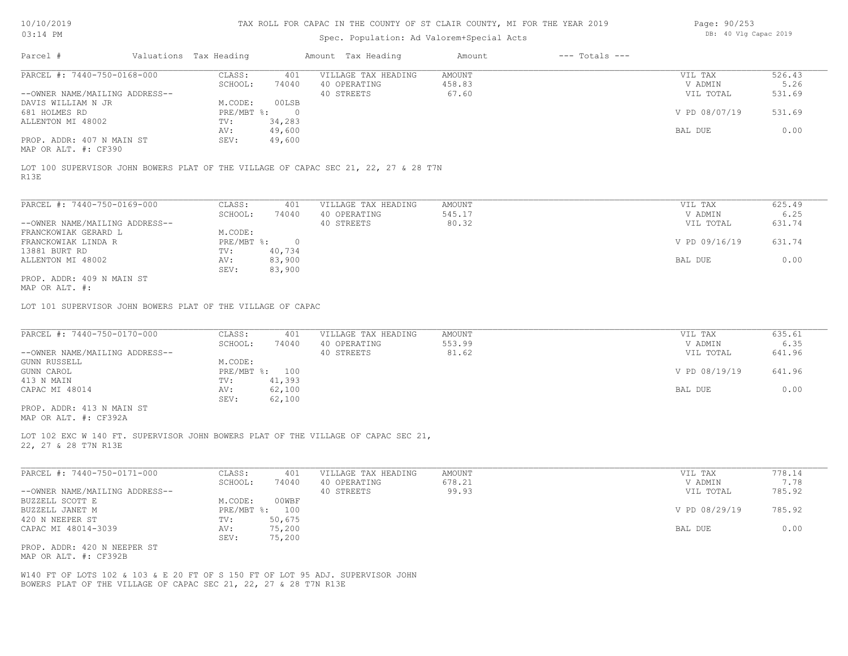| Page: 90/253 |  |                       |  |
|--------------|--|-----------------------|--|
|              |  | DB: 40 Vlg Capac 2019 |  |

| $0.044$ $+1.11$                                             |                        |                                  |                          | Spec. Population: Ad Valorem+Special Acts                                           |                  |                    |                      |                |
|-------------------------------------------------------------|------------------------|----------------------------------|--------------------------|-------------------------------------------------------------------------------------|------------------|--------------------|----------------------|----------------|
| Parcel #                                                    | Valuations Tax Heading |                                  |                          | Amount Tax Heading                                                                  | Amount           | $---$ Totals $---$ |                      |                |
| PARCEL #: 7440-750-0168-000                                 |                        | CLASS:<br>SCHOOL:                | 401<br>74040             | VILLAGE TAX HEADING<br>40 OPERATING                                                 | AMOUNT<br>458.83 |                    | VIL TAX<br>V ADMIN   | 526.43<br>5.26 |
| --OWNER NAME/MAILING ADDRESS--                              |                        |                                  |                          | 40 STREETS                                                                          | 67.60            |                    | VIL TOTAL            | 531.69         |
| DAVIS WILLIAM N JR                                          |                        | M.CODE:                          | 00LSB                    |                                                                                     |                  |                    |                      |                |
| 681 HOLMES RD<br>ALLENTON MI 48002                          |                        | $PRE/MBT$ %:<br>TV:              | $\overline{0}$<br>34,283 |                                                                                     |                  |                    | V PD 08/07/19        | 531.69         |
|                                                             |                        | AV:                              | 49,600                   |                                                                                     |                  |                    | BAL DUE              | 0.00           |
| PROP. ADDR: 407 N MAIN ST<br>MAP OR ALT. #: CF390           |                        | SEV:                             | 49,600                   |                                                                                     |                  |                    |                      |                |
| R13E                                                        |                        |                                  |                          | LOT 100 SUPERVISOR JOHN BOWERS PLAT OF THE VILLAGE OF CAPAC SEC 21, 22, 27 & 28 T7N |                  |                    |                      |                |
| PARCEL #: 7440-750-0169-000                                 |                        | CLASS:                           | 401                      | VILLAGE TAX HEADING                                                                 | AMOUNT           |                    | VIL TAX              | 625.49         |
|                                                             |                        | SCHOOL:                          | 74040                    | 40 OPERATING                                                                        | 545.17           |                    | V ADMIN              | 6.25           |
| --OWNER NAME/MAILING ADDRESS--                              |                        |                                  |                          | 40 STREETS                                                                          | 80.32            |                    | VIL TOTAL            | 631.74         |
| FRANCKOWIAK GERARD L                                        |                        | M.CODE:                          |                          |                                                                                     |                  |                    |                      |                |
| FRANCKOWIAK LINDA R<br>13881 BURT RD                        |                        | $PRE/MBT$ $\frac{1}{6}$ :<br>TV: | $\overline{0}$<br>40,734 |                                                                                     |                  |                    | V PD 09/16/19        | 631.74         |
| ALLENTON MI 48002                                           |                        | AV:                              | 83,900                   |                                                                                     |                  |                    | BAL DUE              | 0.00           |
|                                                             |                        | SEV:                             | 83,900                   |                                                                                     |                  |                    |                      |                |
| PROP. ADDR: 409 N MAIN ST<br>MAP OR ALT. #:                 |                        |                                  |                          |                                                                                     |                  |                    |                      |                |
| LOT 101 SUPERVISOR JOHN BOWERS PLAT OF THE VILLAGE OF CAPAC |                        |                                  |                          |                                                                                     |                  |                    |                      |                |
| PARCEL #: 7440-750-0170-000                                 |                        | CLASS:                           | 401                      | VILLAGE TAX HEADING                                                                 | AMOUNT           |                    | VIL TAX              | 635.61         |
|                                                             |                        | SCHOOL:                          | 74040                    | 40 OPERATING                                                                        | 553.99           |                    | V ADMIN              | 6.35           |
| --OWNER NAME/MAILING ADDRESS--                              |                        |                                  |                          | 40 STREETS                                                                          | 81.62            |                    | VIL TOTAL            | 641.96         |
| <b>GUNN RUSSELL</b>                                         |                        | M.CODE:<br>PRE/MBT %: 100        |                          |                                                                                     |                  |                    | V PD 08/19/19        | 641.96         |
| GUNN CAROL<br>413 N MAIN                                    |                        | TV:                              | 41,393                   |                                                                                     |                  |                    |                      |                |
| CAPAC MI 48014                                              |                        | AV:<br>SEV:                      | 62,100<br>62,100         |                                                                                     |                  |                    | BAL DUE              | 0.00           |
| PROP. ADDR: 413 N MAIN ST<br>MAP OR ALT. #: CF392A          |                        |                                  |                          |                                                                                     |                  |                    |                      |                |
| 22, 27 & 28 T7N R13E                                        |                        |                                  |                          | LOT 102 EXC W 140 FT. SUPERVISOR JOHN BOWERS PLAT OF THE VILLAGE OF CAPAC SEC 21,   |                  |                    |                      |                |
|                                                             |                        |                                  |                          |                                                                                     |                  |                    |                      |                |
| PARCEL #: 7440-750-0171-000                                 |                        | CLASS:                           | 401                      | VILLAGE TAX HEADING                                                                 | AMOUNT           |                    | VIL TAX              | 778.14         |
| --OWNER NAME/MAILING ADDRESS--                              |                        | SCHOOL:                          | 74040                    | 40 OPERATING<br>40 STREETS                                                          | 678.21<br>99.93  |                    | V ADMIN<br>VIL TOTAL | 7.78<br>785.92 |
| BUZZELL SCOTT E                                             |                        | M.CODE:                          | 00WBF                    |                                                                                     |                  |                    |                      |                |
| BUZZELL JANET M                                             |                        | PRE/MBT %: 100                   |                          |                                                                                     |                  |                    | V PD 08/29/19        | 785.92         |
| 420 N NEEPER ST                                             |                        | TV:                              | 50,675                   |                                                                                     |                  |                    |                      |                |
| CAPAC MI 48014-3039                                         |                        | AV:<br>SEV:                      | 75,200<br>75,200         |                                                                                     |                  |                    | BAL DUE              | 0.00           |
|                                                             |                        |                                  |                          |                                                                                     |                  |                    |                      |                |
| PROP. ADDR: 420 N NEEPER ST<br>MAP OR ALT. #: CF392B        |                        |                                  |                          |                                                                                     |                  |                    |                      |                |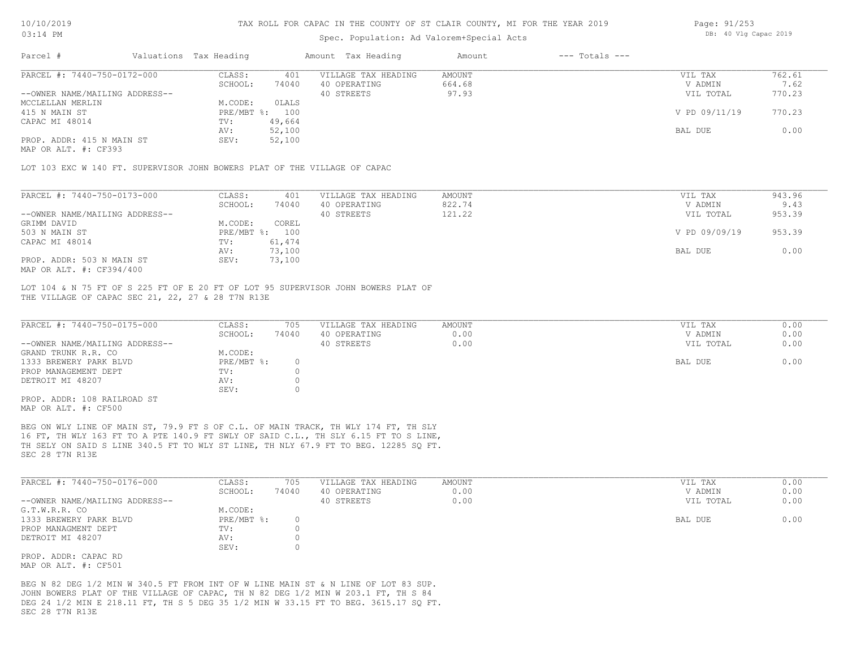#### Spec. Population: Ad Valorem+Special Acts

| Page: 91/253 |  |                       |  |
|--------------|--|-----------------------|--|
|              |  | DB: 40 Vlg Capac 2019 |  |

|                                                                                          | 762.61 |
|------------------------------------------------------------------------------------------|--------|
| PARCEL #: 7440-750-0172-000<br>401<br>VILLAGE TAX HEADING<br>CLASS:<br>AMOUNT<br>VIL TAX |        |
| SCHOOL:<br>74040<br>40 OPERATING<br>664.68<br>V ADMIN                                    | 7.62   |
| 97.93<br>--OWNER NAME/MAILING ADDRESS--<br>40 STREETS<br>VIL TOTAL                       | 770.23 |
| OLALS<br>M.CODE:<br>MCCLELLAN MERLIN                                                     |        |
| V PD 09/11/19<br>PRE/MBT %:<br>415 N MAIN ST<br>100                                      | 770.23 |
| CAPAC MI 48014<br>49,664<br>TV:                                                          |        |
| 52,100<br>BAL DUE<br>AV:                                                                 | 0.00   |
| PROP. ADDR: 415 N MAIN ST<br>52,100<br>SEV:                                              |        |

MAP OR ALT. #: CF393

LOT 103 EXC W 140 FT. SUPERVISOR JOHN BOWERS PLAT OF THE VILLAGE OF CAPAC

| PARCEL #: 7440-750-0173-000    | CLASS:     | 401    | VILLAGE TAX HEADING | AMOUNT | VIL TAX       | 943.96 |
|--------------------------------|------------|--------|---------------------|--------|---------------|--------|
|                                | SCHOOL:    | 74040  | 40 OPERATING        | 822.74 | V ADMIN       | 9.43   |
| --OWNER NAME/MAILING ADDRESS-- |            |        | 40 STREETS          | 121.22 | VIL TOTAL     | 953.39 |
| GRIMM DAVID                    | M.CODE:    | COREL  |                     |        |               |        |
| 503 N MAIN ST                  | PRE/MBT %: | 100    |                     |        | V PD 09/09/19 | 953.39 |
| CAPAC MI 48014                 | TV:        | 61,474 |                     |        |               |        |
|                                | AV:        | 73,100 |                     |        | BAL DUE       | 0.00   |
| PROP. ADDR: 503 N MAIN ST      | SEV:       | 73,100 |                     |        |               |        |
| MAP OR ALT. #: CF394/400       |            |        |                     |        |               |        |

THE VILLAGE OF CAPAC SEC 21, 22, 27 & 28 T7N R13E LOT 104 & N 75 FT OF S 225 FT OF E 20 FT OF LOT 95 SUPERVISOR JOHN BOWERS PLAT OF

| 74040<br>0.00<br>SCHOOL:<br>40 OPERATING<br>0.00<br>40 STREETS<br>M.CODE:<br>$PRE/MBT$ %: | V ADMIN<br>VIL TOTAL | 0.00<br>0.00 |
|-------------------------------------------------------------------------------------------|----------------------|--------------|
| --OWNER NAME/MAILING ADDRESS--<br>GRAND TRUNK R.R. CO                                     |                      |              |
|                                                                                           |                      |              |
| 1333 BREWERY PARK BLVD                                                                    |                      |              |
|                                                                                           | BAL DUE              | 0.00         |
| PROP MANAGEMENT DEPT<br>TV:                                                               |                      |              |
| DETROIT MI 48207<br>AV:                                                                   |                      |              |
| SEV:                                                                                      |                      |              |
| PROP. ADDR: 108 RAILROAD ST                                                               |                      |              |

MAP OR ALT. #: CF500

SEC 28 T7N R13E TH SELY ON SAID S LINE 340.5 FT TO WLY ST LINE, TH NLY 67.9 FT TO BEG. 12285 SQ FT. 16 FT, TH WLY 163 FT TO A PTE 140.9 FT SWLY OF SAID C.L., TH SLY 6.15 FT TO S LINE, BEG ON WLY LINE OF MAIN ST, 79.9 FT S OF C.L. OF MAIN TRACK, TH WLY 174 FT, TH SLY

| PARCEL #: 7440-750-0176-000    | CLASS:     | 705   | VILLAGE TAX HEADING | AMOUNT | VIL TAX   | 0.00 |
|--------------------------------|------------|-------|---------------------|--------|-----------|------|
|                                | SCHOOL:    | 74040 | 40 OPERATING        | 0.00   | V ADMIN   | 0.00 |
| --OWNER NAME/MAILING ADDRESS-- |            |       | 40 STREETS          | 0.00   | VIL TOTAL | 0.00 |
| G.T.W.R.R. CO                  | M.CODE:    |       |                     |        |           |      |
| 1333 BREWERY PARK BLVD         | PRE/MBT %: |       |                     |        | BAL DUE   | 0.00 |
| PROP MANAGMENT DEPT            | TV:        |       |                     |        |           |      |
| DETROIT MI 48207               | AV:        |       |                     |        |           |      |
|                                | SEV:       |       |                     |        |           |      |
| PROP. ADDR: CAPAC RD           |            |       |                     |        |           |      |

MAP OR ALT. #: CF501

SEC 28 T7N R13E DEG 24 1/2 MIN E 218.11 FT, TH S 5 DEG 35 1/2 MIN W 33.15 FT TO BEG. 3615.17 SQ FT. JOHN BOWERS PLAT OF THE VILLAGE OF CAPAC, TH N 82 DEG 1/2 MIN W 203.1 FT, TH S 84 BEG N 82 DEG 1/2 MIN W 340.5 FT FROM INT OF WILINE MAIN ST & NILINE OF LOT 83 SUP.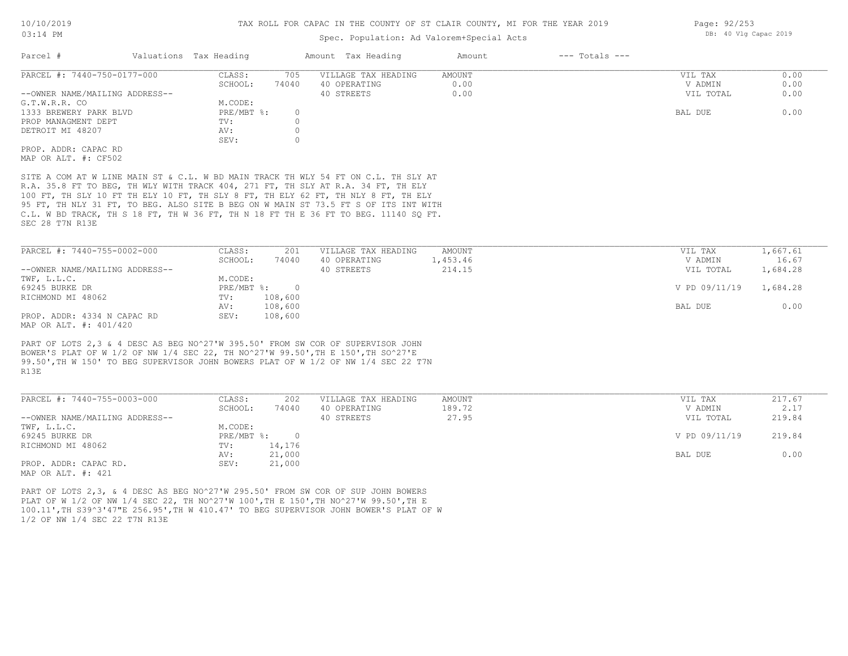#### Spec. Population: Ad Valorem+Special Acts

| Parcel #                       | Valuations Tax Heading |       | Amount Tax Heading  | Amount | $---$ Totals $---$ |           |      |
|--------------------------------|------------------------|-------|---------------------|--------|--------------------|-----------|------|
| PARCEL #: 7440-750-0177-000    | CLASS:                 | 705   | VILLAGE TAX HEADING | AMOUNT |                    | VIL TAX   | 0.00 |
|                                | SCHOOL:                | 74040 | 40 OPERATING        | 0.00   |                    | V ADMIN   | 0.00 |
| --OWNER NAME/MAILING ADDRESS-- |                        |       | 40 STREETS          | 0.00   |                    | VIL TOTAL | 0.00 |
| G.T.W.R.R. CO                  | M.CODE:                |       |                     |        |                    |           |      |
| 1333 BREWERY PARK BLVD         | PRE/MBT %:             |       |                     |        |                    | BAL DUE   | 0.00 |
| PROP MANAGMENT DEPT            | TV:                    |       |                     |        |                    |           |      |
| DETROIT MI 48207               | AV:                    |       |                     |        |                    |           |      |
|                                | SEV:                   |       |                     |        |                    |           |      |
| PROP. ADDR: CAPAC RD           |                        |       |                     |        |                    |           |      |
| MAP OR ALT. #: CF502           |                        |       |                     |        |                    |           |      |
|                                |                        |       |                     |        |                    |           |      |

SEC 28 T7N R13E C.L. W BD TRACK, TH S 18 FT, TH W 36 FT, TH N 18 FT TH E 36 FT TO BEG. 11140 SQ FT. 95 FT, TH NLY 31 FT, TO BEG. ALSO SITE B BEG ON W MAIN ST 73.5 FT S OF ITS INT WITH 100 FT, TH SLY 10 FT TH ELY 10 FT, TH SLY 8 FT, TH ELY 62 FT, TH NLY 8 FT, TH ELY R.A. 35.8 FT TO BEG, TH WLY WITH TRACK 404, 271 FT, TH SLY AT R.A. 34 FT, TH ELY SITE A COM AT W LINE MAIN ST & C.L. W BD MAIN TRACK TH WLY 54 FT ON C.L. TH SLY AT

| PARCEL #: 7440-755-0002-000    | CLASS:       | 201     | VILLAGE TAX HEADING | AMOUNT   | VIL TAX       | 1,667.61 |
|--------------------------------|--------------|---------|---------------------|----------|---------------|----------|
|                                | SCHOOL:      | 74040   | 40 OPERATING        | 1,453.46 | V ADMIN       | 16.67    |
| --OWNER NAME/MAILING ADDRESS-- |              |         | 40 STREETS          | 214.15   | VIL TOTAL     | 1,684.28 |
| TWF, L.L.C.                    | M.CODE:      |         |                     |          |               |          |
| 69245 BURKE DR                 | $PRE/MBT$ %: |         |                     |          | V PD 09/11/19 | 1,684.28 |
| RICHMOND MI 48062              | TV:          | 108,600 |                     |          |               |          |
|                                | AV:          | 108,600 |                     |          | BAL DUE       | 0.00     |
| PROP. ADDR: 4334 N CAPAC RD    | SEV:         | 108,600 |                     |          |               |          |
| MAP OR ALT. #: 401/420         |              |         |                     |          |               |          |

R13E 99.50',TH W 150' TO BEG SUPERVISOR JOHN BOWERS PLAT OF W 1/2 OF NW 1/4 SEC 22 T7N BOWER'S PLAT OF W 1/2 OF NW 1/4 SEC 22, TH NO^27'W 99.50',TH E 150',TH SO^27'E PART OF LOTS 2,3 & 4 DESC AS BEG NO^27'W 395.50' FROM SW COR OF SUPERVISOR JOHN

| PARCEL #: 7440-755-0003-000                | CLASS:     | 202    | VILLAGE TAX HEADING | AMOUNT | VIL TAX       | 217.67 |
|--------------------------------------------|------------|--------|---------------------|--------|---------------|--------|
|                                            | SCHOOL:    | 74040  | 40 OPERATING        | 189.72 | V ADMIN       | 2.17   |
| --OWNER NAME/MAILING ADDRESS--             |            |        | 40 STREETS          | 27.95  | VIL TOTAL     | 219.84 |
| TWF, L.L.C.                                | M.CODE:    |        |                     |        |               |        |
| 69245 BURKE DR                             | PRE/MBT %: |        |                     |        | V PD 09/11/19 | 219.84 |
| RICHMOND MI 48062                          | TV:        | 14,176 |                     |        |               |        |
|                                            | AV:        | 21,000 |                     |        | BAL DUE       | 0.00   |
| PROP. ADDR: CAPAC RD.<br>MAD OD 3TH 4. 491 | SEV:       | 21,000 |                     |        |               |        |

MAP OR ALT. #: 421

1/2 OF NW 1/4 SEC 22 T7N R13E 100.11',TH S39^3'47"E 256.95',TH W 410.47' TO BEG SUPERVISOR JOHN BOWER'S PLAT OF W PLAT OF W 1/2 OF NW 1/4 SEC 22, TH NO^27'W 100',TH E 150',TH NO^27'W 99.50',TH E PART OF LOTS 2,3, & 4 DESC AS BEG NO^27'W 295.50' FROM SW COR OF SUP JOHN BOWERS

Page: 92/253 DB: 40 Vlg Capac 2019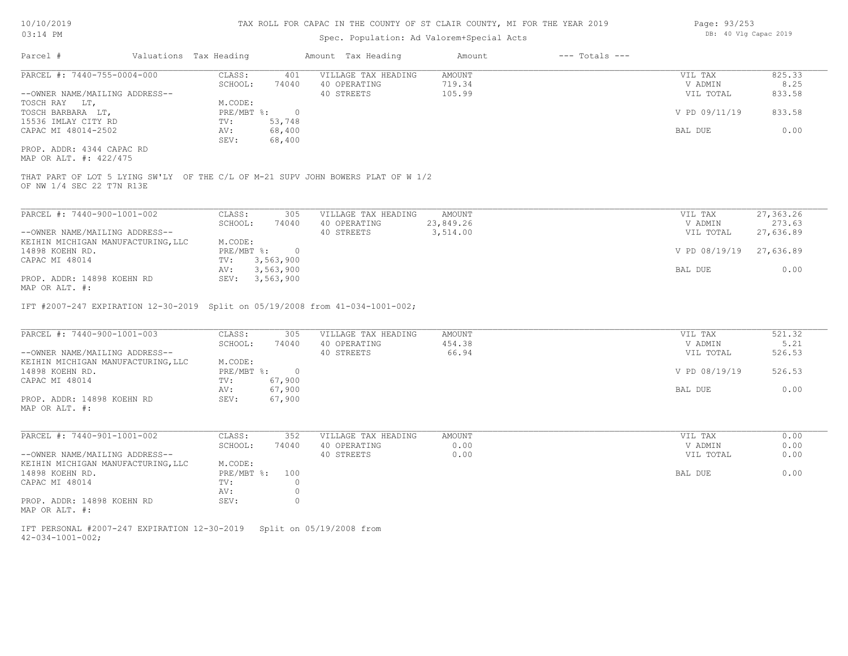### Spec. Population: Ad Valorem+Special Acts

| Page: 93/253 |  |                       |  |
|--------------|--|-----------------------|--|
|              |  | DB: 40 Vlg Capac 2019 |  |

| Parcel #                                                                                                      | Valuations Tax Heading |              |                  | Amount Tax Heading  | Amount        | $---$ Totals $---$ |               |           |
|---------------------------------------------------------------------------------------------------------------|------------------------|--------------|------------------|---------------------|---------------|--------------------|---------------|-----------|
| PARCEL #: 7440-755-0004-000                                                                                   |                        | CLASS:       | 401              | VILLAGE TAX HEADING | <b>AMOUNT</b> |                    | VIL TAX       | 825.33    |
|                                                                                                               |                        | SCHOOL:      | 74040            | 40 OPERATING        | 719.34        |                    | V ADMIN       | 8.25      |
| --OWNER NAME/MAILING ADDRESS--                                                                                |                        |              |                  | 40 STREETS          | 105.99        |                    | VIL TOTAL     | 833.58    |
| TOSCH RAY LT,                                                                                                 |                        | M.CODE:      |                  |                     |               |                    |               |           |
| TOSCH BARBARA LT,                                                                                             |                        | PRE/MBT %:   | $\overline{0}$   |                     |               |                    | V PD 09/11/19 | 833.58    |
| 15536 IMLAY CITY RD                                                                                           |                        | TV:          | 53,748           |                     |               |                    |               | 0.00      |
| CAPAC MI 48014-2502                                                                                           |                        | AV:<br>SEV:  | 68,400<br>68,400 |                     |               |                    | BAL DUE       |           |
| PROP. ADDR: 4344 CAPAC RD<br>MAP OR ALT. #: 422/475                                                           |                        |              |                  |                     |               |                    |               |           |
| THAT PART OF LOT 5 LYING SW'LY OF THE C/L OF M-21 SUPV JOHN BOWERS PLAT OF W 1/2<br>OF NW 1/4 SEC 22 T7N R13E |                        |              |                  |                     |               |                    |               |           |
| PARCEL #: 7440-900-1001-002                                                                                   |                        | CLASS:       | 305              | VILLAGE TAX HEADING | AMOUNT        |                    | VIL TAX       | 27,363.26 |
|                                                                                                               |                        | SCHOOL:      | 74040            | 40 OPERATING        | 23,849.26     |                    | V ADMIN       | 273.63    |
| --OWNER NAME/MAILING ADDRESS--                                                                                |                        |              |                  | 40 STREETS          | 3,514.00      |                    | VIL TOTAL     | 27,636.89 |
| KEIHIN MICHIGAN MANUFACTURING, LLC                                                                            |                        | M.CODE:      |                  |                     |               |                    |               |           |
| 14898 KOEHN RD.                                                                                               |                        | PRE/MBT %:   | $\overline{0}$   |                     |               |                    | V PD 08/19/19 | 27,636.89 |
| CAPAC MI 48014                                                                                                |                        | TV:          | 3,563,900        |                     |               |                    |               |           |
|                                                                                                               |                        | AV:          | 3,563,900        |                     |               |                    | BAL DUE       | 0.00      |
| PROP. ADDR: 14898 KOEHN RD                                                                                    |                        |              | SEV: 3,563,900   |                     |               |                    |               |           |
| MAP OR ALT. #:                                                                                                |                        |              |                  |                     |               |                    |               |           |
| IFT #2007-247 EXPIRATION 12-30-2019 Split on 05/19/2008 from 41-034-1001-002;                                 |                        |              |                  |                     |               |                    |               |           |
| PARCEL #: 7440-900-1001-003                                                                                   |                        | CLASS:       | 305              | VILLAGE TAX HEADING | <b>AMOUNT</b> |                    | VIL TAX       | 521.32    |
|                                                                                                               |                        | SCHOOL:      | 74040            | 40 OPERATING        | 454.38        |                    | V ADMIN       | 5.21      |
| --OWNER NAME/MAILING ADDRESS--                                                                                |                        |              |                  | 40 STREETS          | 66.94         |                    | VIL TOTAL     | 526.53    |
| KEIHIN MICHIGAN MANUFACTURING, LLC                                                                            |                        | M.CODE:      |                  |                     |               |                    |               |           |
| 14898 KOEHN RD.                                                                                               |                        | $PRE/MBT$ %: | $\overline{0}$   |                     |               |                    | V PD 08/19/19 | 526.53    |
| CAPAC MI 48014                                                                                                |                        | TV:          | 67,900           |                     |               |                    |               |           |
| PROP. ADDR: 14898 KOEHN RD                                                                                    |                        | AV:<br>SEV:  | 67,900<br>67,900 |                     |               |                    | BAL DUE       | 0.00      |
| MAP OR ALT. #:                                                                                                |                        |              |                  |                     |               |                    |               |           |
| PARCEL #: 7440-901-1001-002                                                                                   |                        | CLASS:       | 352              | VILLAGE TAX HEADING | <b>AMOUNT</b> |                    | VIL TAX       | 0.00      |
|                                                                                                               |                        | SCHOOL:      | 74040            | 40 OPERATING        | 0.00          |                    | V ADMIN       | 0.00      |
| --OWNER NAME/MAILING ADDRESS--                                                                                |                        |              |                  | 40 STREETS          | 0.00          |                    | VIL TOTAL     | 0.00      |
| KEIHIN MICHIGAN MANUFACTURING, LLC                                                                            |                        | M.CODE:      |                  |                     |               |                    |               |           |
| 14898 KOEHN RD.                                                                                               |                        | PRE/MBT %:   | 100              |                     |               |                    | BAL DUE       | 0.00      |
| CAPAC MI 48014                                                                                                |                        | TV:          | $\circ$          |                     |               |                    |               |           |
|                                                                                                               |                        | AV:          | $\circ$          |                     |               |                    |               |           |
| PROP. ADDR: 14898 KOEHN RD                                                                                    |                        | SEV:         | $\Omega$         |                     |               |                    |               |           |
| MAP OR ALT. #:                                                                                                |                        |              |                  |                     |               |                    |               |           |
|                                                                                                               |                        |              |                  |                     |               |                    |               |           |

42-034-1001-002; IFT PERSONAL #2007-247 EXPIRATION 12-30-2019 Split on 05/19/2008 from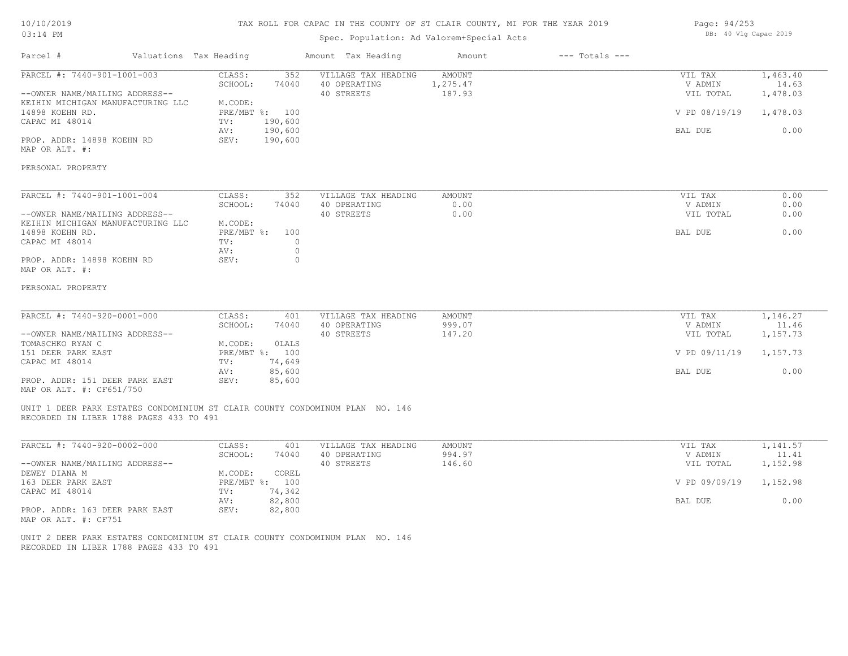#### TAX ROLL FOR CAPAC IN THE COUNTY OF ST CLAIR COUNTY, MI FOR THE YEAR 2019

### Spec. Population: Ad Valorem+Special Acts

Parcel # Valuations Tax Heading Amount Tax Heading Amount --- Totals ---

| Page: 94/253 |  |                       |  |
|--------------|--|-----------------------|--|
|              |  | DB: 40 Vlg Capac 2019 |  |

| PARCEL #: 7440-901-1001-003                                                                                             | CLASS:<br>352<br>SCHOOL:<br>74040 | VILLAGE TAX HEADING<br>40 OPERATING | AMOUNT<br>1,275.47 | VIL TAX<br>V ADMIN   | 1,463.40<br>14.63 |
|-------------------------------------------------------------------------------------------------------------------------|-----------------------------------|-------------------------------------|--------------------|----------------------|-------------------|
| --OWNER NAME/MAILING ADDRESS--                                                                                          |                                   | 40 STREETS                          | 187.93             | VIL TOTAL            | 1,478.03          |
| KEIHIN MICHIGAN MANUFACTURING LLC<br>14898 KOEHN RD.                                                                    | M.CODE:<br>PRE/MBT %: 100         |                                     |                    | V PD 08/19/19        | 1,478.03          |
| CAPAC MI 48014                                                                                                          | 190,600<br>TV:                    |                                     |                    |                      |                   |
|                                                                                                                         | 190,600<br>AV:                    |                                     |                    | BAL DUE              | 0.00              |
| PROP. ADDR: 14898 KOEHN RD<br>MAP OR ALT. #:                                                                            | SEV:<br>190,600                   |                                     |                    |                      |                   |
| PERSONAL PROPERTY                                                                                                       |                                   |                                     |                    |                      |                   |
| PARCEL #: 7440-901-1001-004                                                                                             | CLASS:<br>352                     | VILLAGE TAX HEADING                 | <b>AMOUNT</b>      | VIL TAX              | 0.00              |
|                                                                                                                         | SCHOOL:<br>74040                  | 40 OPERATING                        | 0.00               | V ADMIN              | 0.00              |
| --OWNER NAME/MAILING ADDRESS--<br>KEIHIN MICHIGAN MANUFACTURING LLC                                                     | M.CODE:                           | 40 STREETS                          | 0.00               | VIL TOTAL            | 0.00              |
| 14898 KOEHN RD.                                                                                                         | PRE/MBT %:<br>100                 |                                     |                    | BAL DUE              | 0.00              |
| CAPAC MI 48014                                                                                                          | $\circ$<br>TV:                    |                                     |                    |                      |                   |
|                                                                                                                         | $\circ$<br>AV:                    |                                     |                    |                      |                   |
| PROP. ADDR: 14898 KOEHN RD<br>MAP OR ALT. #:                                                                            | $\circ$<br>SEV:                   |                                     |                    |                      |                   |
| PERSONAL PROPERTY                                                                                                       |                                   |                                     |                    |                      |                   |
|                                                                                                                         |                                   |                                     |                    |                      |                   |
| PARCEL #: 7440-920-0001-000                                                                                             | CLASS:<br>401                     | VILLAGE TAX HEADING                 | AMOUNT             | VIL TAX              | 1,146.27          |
| --OWNER NAME/MAILING ADDRESS--                                                                                          | SCHOOL:<br>74040                  | 40 OPERATING<br>40 STREETS          | 999.07<br>147.20   | V ADMIN<br>VIL TOTAL | 11.46<br>1,157.73 |
| TOMASCHKO RYAN C                                                                                                        | M.CODE:<br><b>OLALS</b>           |                                     |                    |                      |                   |
| 151 DEER PARK EAST                                                                                                      | PRE/MBT %: 100                    |                                     |                    | V PD 09/11/19        | 1,157.73          |
| CAPAC MI 48014                                                                                                          | 74,649<br>TV:                     |                                     |                    |                      |                   |
|                                                                                                                         | 85,600<br>AV:                     |                                     |                    | BAL DUE              | 0.00              |
| PROP. ADDR: 151 DEER PARK EAST<br>MAP OR ALT. #: CF651/750                                                              | SEV:<br>85,600                    |                                     |                    |                      |                   |
| UNIT 1 DEER PARK ESTATES CONDOMINIUM ST CLAIR COUNTY CONDOMINUM PLAN NO. 146<br>RECORDED IN LIBER 1788 PAGES 433 TO 491 |                                   |                                     |                    |                      |                   |
| PARCEL #: 7440-920-0002-000                                                                                             | CLASS:<br>401                     | VILLAGE TAX HEADING                 | AMOUNT             | VIL TAX              | 1,141.57          |
|                                                                                                                         | SCHOOL:<br>74040                  | 40 OPERATING                        | 994.97             | V ADMIN              | 11.41             |
| --OWNER NAME/MAILING ADDRESS--                                                                                          |                                   | 40 STREETS                          | 146.60             | VIL TOTAL            | 1,152.98          |
| DEWEY DIANA M                                                                                                           | M.CODE:<br>COREL                  |                                     |                    |                      |                   |
| 163 DEER PARK EAST                                                                                                      | PRE/MBT %: 100<br>74,342          |                                     |                    | V PD 09/09/19        | 1,152.98          |
| CAPAC MI 48014                                                                                                          | TV:<br>82,800<br>AV:              |                                     |                    | BAL DUE              | 0.00              |
| PROP. ADDR: 163 DEER PARK EAST<br>MAP OR ALT. #: CF751                                                                  | SEV:<br>82,800                    |                                     |                    |                      |                   |
|                                                                                                                         |                                   |                                     |                    |                      |                   |

RECORDED IN LIBER 1788 PAGES 433 TO 491 UNIT 2 DEER PARK ESTATES CONDOMINIUM ST CLAIR COUNTY CONDOMINUM PLAN NO. 146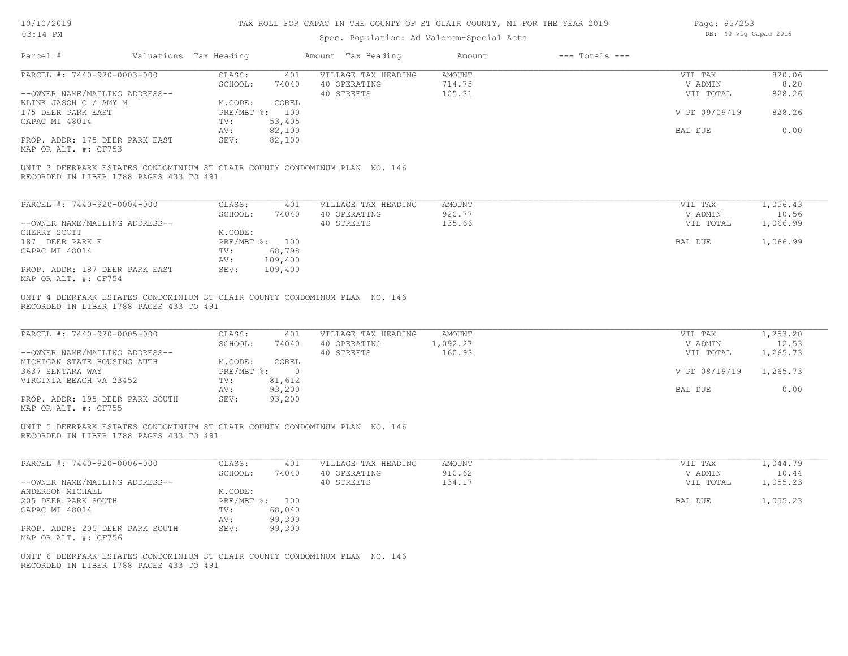| 10/10/2019 |  |
|------------|--|
| 03.14 PM   |  |

| Page: 95/253 |  |                       |  |
|--------------|--|-----------------------|--|
|              |  | DB: 40 Vlg Capac 2019 |  |

| Parcel #                                                                                                               | Valuations Tax Heading |                         | Amount Tax Heading                                | Amount                            | $---$ Totals $---$ |                                 |                          |
|------------------------------------------------------------------------------------------------------------------------|------------------------|-------------------------|---------------------------------------------------|-----------------------------------|--------------------|---------------------------------|--------------------------|
| PARCEL #: 7440-920-0003-000<br>--OWNER NAME/MAILING ADDRESS--                                                          | CLASS:<br>SCHOOL:      | 401<br>74040            | VILLAGE TAX HEADING<br>40 OPERATING<br>40 STREETS | <b>AMOUNT</b><br>714.75<br>105.31 |                    | VIL TAX<br>V ADMIN<br>VIL TOTAL | 820.06<br>8.20<br>828.26 |
| KLINK JASON C / AMY M<br>175 DEER PARK EAST                                                                            | M.CODE:                | COREL<br>PRE/MBT %: 100 |                                                   |                                   |                    | V PD 09/09/19                   | 828.26                   |
| CAPAC MI 48014                                                                                                         | TV:                    | 53,405                  |                                                   |                                   |                    |                                 |                          |
| PROP. ADDR: 175 DEER PARK EAST<br>MAP OR ALT. #: CF753                                                                 | AV:<br>SEV:            | 82,100<br>82,100        |                                                   |                                   |                    | BAL DUE                         | 0.00                     |
| UNIT 3 DEERPARK ESTATES CONDOMINIUM ST CLAIR COUNTY CONDOMINUM PLAN NO. 146                                            |                        |                         |                                                   |                                   |                    |                                 |                          |
| RECORDED IN LIBER 1788 PAGES 433 TO 491                                                                                |                        |                         |                                                   |                                   |                    |                                 |                          |
| PARCEL #: 7440-920-0004-000                                                                                            | CLASS:<br>SCHOOL:      | 401<br>74040            | VILLAGE TAX HEADING<br>40 OPERATING               | <b>AMOUNT</b><br>920.77           |                    | VIL TAX<br>V ADMIN              | 1,056.43<br>10.56        |
| --OWNER NAME/MAILING ADDRESS--                                                                                         |                        |                         | 40 STREETS                                        | 135.66                            |                    | VIL TOTAL                       | 1,066.99                 |
| CHERRY SCOTT                                                                                                           | M.CODE:                |                         |                                                   |                                   |                    |                                 |                          |
| 187 DEER PARK E                                                                                                        |                        | PRE/MBT %: 100          |                                                   |                                   |                    | BAL DUE                         | 1,066.99                 |
| CAPAC MI 48014                                                                                                         | TV:                    | 68,798<br>109,400       |                                                   |                                   |                    |                                 |                          |
| PROP. ADDR: 187 DEER PARK EAST                                                                                         | AV:<br>SEV:            | 109,400                 |                                                   |                                   |                    |                                 |                          |
| MAP OR ALT. #: CF754                                                                                                   |                        |                         |                                                   |                                   |                    |                                 |                          |
| RECORDED IN LIBER 1788 PAGES 433 TO 491                                                                                |                        |                         |                                                   |                                   |                    |                                 |                          |
| PARCEL #: 7440-920-0005-000                                                                                            | CLASS:<br>SCHOOL:      | 401<br>74040            | VILLAGE TAX HEADING<br>40 OPERATING               | <b>AMOUNT</b><br>1,092.27         |                    | VIL TAX<br>V ADMIN              | 1,253.20<br>12.53        |
| --OWNER NAME/MAILING ADDRESS--                                                                                         | M.CODE:                | COREL                   | 40 STREETS                                        | 160.93                            |                    | VIL TOTAL                       | 1,265.73                 |
| MICHIGAN STATE HOUSING AUTH<br>3637 SENTARA WAY                                                                        |                        | PRE/MBT %: 0            |                                                   |                                   |                    | V PD 08/19/19                   | 1,265.73                 |
| VIRGINIA BEACH VA 23452                                                                                                | TV:                    | 81,612                  |                                                   |                                   |                    |                                 |                          |
|                                                                                                                        | AV:                    | 93,200                  |                                                   |                                   |                    | BAL DUE                         | 0.00                     |
| PROP. ADDR: 195 DEER PARK SOUTH<br>MAP OR ALT. #: CF755                                                                | SEV:                   | 93,200                  |                                                   |                                   |                    |                                 |                          |
| UNIT 5 DEERPARK ESTATES CONDOMINIUM ST CLAIR COUNTY CONDOMINUM PLAN NO. 146<br>RECORDED IN LIBER 1788 PAGES 433 TO 491 |                        |                         |                                                   |                                   |                    |                                 |                          |
| PARCEL #: 7440-920-0006-000                                                                                            | CLASS:                 | 401                     | VILLAGE TAX HEADING                               | <b>AMOUNT</b>                     |                    | VIL TAX                         | 1,044.79                 |
| --OWNER NAME/MAILING ADDRESS--                                                                                         | SCHOOL:                | 74040                   | 40 OPERATING<br>40 STREETS                        | 910.62<br>134.17                  |                    | V ADMIN<br>VIL TOTAL            | 10.44<br>1,055.23        |
| ANDERSON MICHAEL                                                                                                       | M.CODE:                |                         |                                                   |                                   |                    |                                 |                          |
| 205 DEER PARK SOUTH                                                                                                    |                        | PRE/MBT %: 100          |                                                   |                                   |                    | BAL DUE                         | 1,055.23                 |
| CAPAC MI 48014                                                                                                         | TV:                    | 68,040                  |                                                   |                                   |                    |                                 |                          |
| PROP. ADDR: 205 DEER PARK SOUTH                                                                                        | AV:<br>SEV:            | 99,300<br>99,300        |                                                   |                                   |                    |                                 |                          |
| MAP OR ALT. #: CF756                                                                                                   |                        |                         |                                                   |                                   |                    |                                 |                          |
| UNIT 6 DEERPARK ESTATES CONDOMINIUM ST CLAIR COUNTY CONDOMINUM PLAN NO. 146<br>RECORDED IN LIBER 1788 PAGES 433 TO 491 |                        |                         |                                                   |                                   |                    |                                 |                          |
|                                                                                                                        |                        |                         |                                                   |                                   |                    |                                 |                          |
|                                                                                                                        |                        |                         |                                                   |                                   |                    |                                 |                          |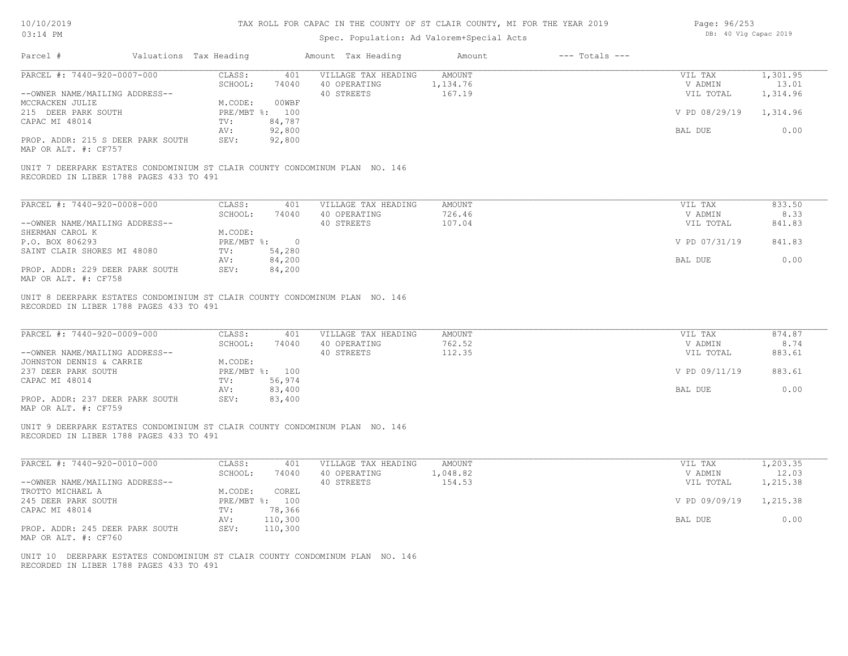| 10/10/2019 |  |
|------------|--|
| 03.14 PM   |  |

| Page: 96/253 |  |                       |  |
|--------------|--|-----------------------|--|
|              |  | DB: 40 Vlg Capac 2019 |  |

| Parcel #                                                                                                                | Valuations Tax Heading            | Amount Tax Heading                                | Amount<br>$---$ Totals $---$      |                                 |                          |
|-------------------------------------------------------------------------------------------------------------------------|-----------------------------------|---------------------------------------------------|-----------------------------------|---------------------------------|--------------------------|
| PARCEL #: 7440-920-0007-000                                                                                             | CLASS:<br>401                     | VILLAGE TAX HEADING                               | <b>AMOUNT</b>                     | VIL TAX                         | 1,301.95                 |
|                                                                                                                         | SCHOOL:<br>74040                  | 40 OPERATING                                      | 1,134.76                          | V ADMIN                         | 13.01                    |
| --OWNER NAME/MAILING ADDRESS--                                                                                          |                                   | 40 STREETS                                        | 167.19                            | VIL TOTAL                       | 1,314.96                 |
| MCCRACKEN JULIE                                                                                                         | 00WBF<br>M.CODE:                  |                                                   |                                   |                                 |                          |
| 215 DEER PARK SOUTH                                                                                                     | PRE/MBT %: 100                    |                                                   |                                   | V PD 08/29/19                   | 1,314.96                 |
| CAPAC MI 48014                                                                                                          | 84,787<br>TV:<br>AV:<br>92,800    |                                                   |                                   | BAL DUE                         | 0.00                     |
| PROP. ADDR: 215 S DEER PARK SOUTH<br>MAP OR ALT. #: CF757                                                               | 92,800<br>SEV:                    |                                                   |                                   |                                 |                          |
| UNIT 7 DEERPARK ESTATES CONDOMINIUM ST CLAIR COUNTY CONDOMINUM PLAN NO. 146<br>RECORDED IN LIBER 1788 PAGES 433 TO 491  |                                   |                                                   |                                   |                                 |                          |
| PARCEL #: 7440-920-0008-000                                                                                             | CLASS:<br>401                     | VILLAGE TAX HEADING                               | <b>AMOUNT</b>                     | VIL TAX                         | 833.50                   |
|                                                                                                                         | SCHOOL:<br>74040                  | 40 OPERATING                                      | 726.46                            | V ADMIN                         | 8.33                     |
| --OWNER NAME/MAILING ADDRESS--                                                                                          |                                   | 40 STREETS                                        | 107.04                            | VIL TOTAL                       | 841.83                   |
| SHERMAN CAROL K                                                                                                         | M.CODE:                           |                                                   |                                   |                                 |                          |
| P.O. BOX 806293                                                                                                         | PRE/MBT %:<br>$\overline{0}$      |                                                   |                                   | V PD 07/31/19                   | 841.83                   |
| SAINT CLAIR SHORES MI 48080                                                                                             | 54,280<br>TV:<br>84,200<br>AV:    |                                                   |                                   | BAL DUE                         | 0.00                     |
| PROP. ADDR: 229 DEER PARK SOUTH<br>MAP OR ALT. #: CF758                                                                 | SEV:<br>84,200                    |                                                   |                                   |                                 |                          |
| RECORDED IN LIBER 1788 PAGES 433 TO 491<br>PARCEL #: 7440-920-0009-000<br>--OWNER NAME/MAILING ADDRESS--                | CLASS:<br>401<br>SCHOOL:<br>74040 | VILLAGE TAX HEADING<br>40 OPERATING<br>40 STREETS | <b>AMOUNT</b><br>762.52<br>112.35 | VIL TAX<br>V ADMIN<br>VIL TOTAL | 874.87<br>8.74<br>883.61 |
| JOHNSTON DENNIS & CARRIE                                                                                                | M.CODE:                           |                                                   |                                   |                                 |                          |
| 237 DEER PARK SOUTH                                                                                                     | PRE/MBT %: 100                    |                                                   |                                   | V PD 09/11/19                   | 883.61                   |
| CAPAC MI 48014                                                                                                          | 56,974<br>TV:                     |                                                   |                                   |                                 | 0.00                     |
| PROP. ADDR: 237 DEER PARK SOUTH                                                                                         | 83,400<br>AV:<br>SEV:<br>83,400   |                                                   |                                   | BAL DUE                         |                          |
| MAP OR ALT. #: CF759                                                                                                    |                                   |                                                   |                                   |                                 |                          |
| UNIT 9 DEERPARK ESTATES CONDOMINIUM ST CLAIR COUNTY CONDOMINUM PLAN NO. 146<br>RECORDED IN LIBER 1788 PAGES 433 TO 491  |                                   |                                                   |                                   |                                 |                          |
| PARCEL #: 7440-920-0010-000                                                                                             | CLASS:<br>401                     | VILLAGE TAX HEADING                               | <b>AMOUNT</b>                     | VIL TAX                         | 1,203.35                 |
|                                                                                                                         | SCHOOL:<br>74040                  | 40 OPERATING                                      | 1,048.82                          | V ADMIN                         | 12.03                    |
| --OWNER NAME/MAILING ADDRESS--                                                                                          |                                   | 40 STREETS                                        | 154.53                            | VIL TOTAL                       | 1,215.38                 |
| TROTTO MICHAEL A                                                                                                        | M.CODE:<br>COREL                  |                                                   |                                   |                                 |                          |
| 245 DEER PARK SOUTH                                                                                                     | PRE/MBT %: 100                    |                                                   |                                   | V PD 09/09/19                   | 1,215.38                 |
| CAPAC MI 48014                                                                                                          | 78,366<br>TV:<br>110,300<br>AV:   |                                                   |                                   | BAL DUE                         | 0.00                     |
| PROP. ADDR: 245 DEER PARK SOUTH                                                                                         | SEV:<br>110,300                   |                                                   |                                   |                                 |                          |
| MAP OR ALT. #: CF760                                                                                                    |                                   |                                                   |                                   |                                 |                          |
| UNIT 10 DEERPARK ESTATES CONDOMINIUM ST CLAIR COUNTY CONDOMINUM PLAN NO. 146<br>RECORDED IN LIBER 1788 PAGES 433 TO 491 |                                   |                                                   |                                   |                                 |                          |
|                                                                                                                         |                                   |                                                   |                                   |                                 |                          |
|                                                                                                                         |                                   |                                                   |                                   |                                 |                          |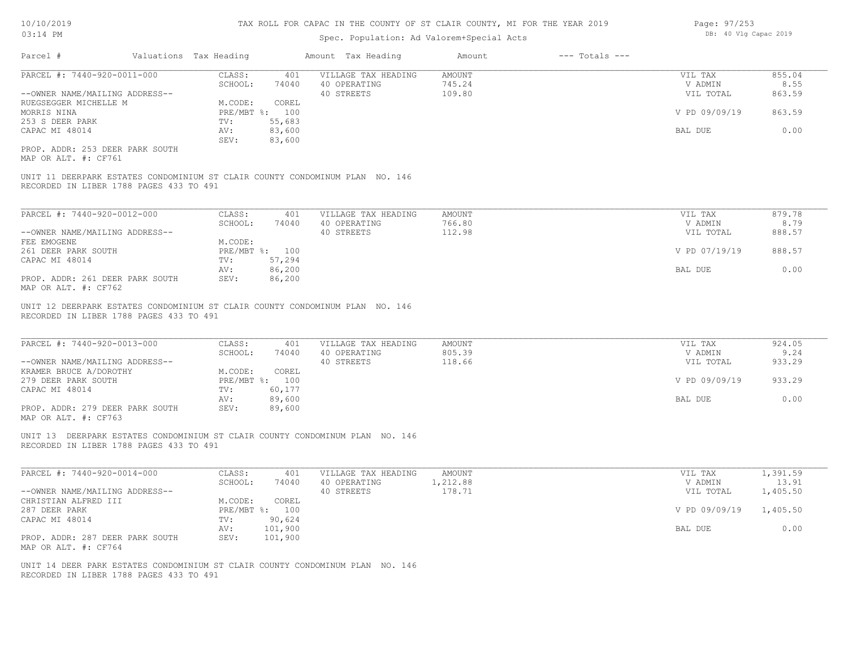Page: 97/253

| 03:14 PM                                                |  |                        |                  | Spec. Population: Ad Valorem+Special Acts                                    | DB: 40 Vlg Capac 2019   |                    |                    |                |
|---------------------------------------------------------|--|------------------------|------------------|------------------------------------------------------------------------------|-------------------------|--------------------|--------------------|----------------|
| Parcel #                                                |  | Valuations Tax Heading |                  | Amount Tax Heading                                                           | Amount                  | $---$ Totals $---$ |                    |                |
| PARCEL #: 7440-920-0011-000                             |  | CLASS:<br>SCHOOL:      | 401<br>74040     | VILLAGE TAX HEADING<br>40 OPERATING                                          | <b>AMOUNT</b><br>745.24 |                    | VIL TAX<br>V ADMIN | 855.04<br>8.55 |
| --OWNER NAME/MAILING ADDRESS--                          |  |                        |                  | 40 STREETS                                                                   | 109.80                  |                    | VIL TOTAL          | 863.59         |
| RUEGSEGGER MICHELLE M                                   |  | M.CODE:                | COREL            |                                                                              |                         |                    |                    |                |
| MORRIS NINA                                             |  |                        | PRE/MBT %: 100   |                                                                              |                         |                    | V PD 09/09/19      | 863.59         |
| 253 S DEER PARK                                         |  | TV:                    | 55,683           |                                                                              |                         |                    |                    |                |
| CAPAC MI 48014                                          |  | AV:<br>SEV:            | 83,600<br>83,600 |                                                                              |                         |                    | BAL DUE            | 0.00           |
| PROP. ADDR: 253 DEER PARK SOUTH<br>MAP OR ALT. #: CF761 |  |                        |                  |                                                                              |                         |                    |                    |                |
| RECORDED IN LIBER 1788 PAGES 433 TO 491                 |  |                        |                  | UNIT 11 DEERPARK ESTATES CONDOMINIUM ST CLAIR COUNTY CONDOMINUM PLAN NO. 146 |                         |                    |                    |                |
|                                                         |  |                        |                  |                                                                              |                         |                    |                    |                |
| PARCEL #: 7440-920-0012-000                             |  | CLASS:                 | 401              | VILLAGE TAX HEADING                                                          | <b>AMOUNT</b>           |                    | VIL TAX            | 879.78         |
|                                                         |  | SCHOOL:                | 74040            | 40 OPERATING                                                                 | 766.80                  |                    | V ADMIN            | 8.79           |
| --OWNER NAME/MAILING ADDRESS--                          |  |                        |                  | 40 STREETS                                                                   | 112.98                  |                    | VIL TOTAL          | 888.57         |
| FEE EMOGENE                                             |  | M.CODE:                |                  |                                                                              |                         |                    |                    |                |
| 261 DEER PARK SOUTH                                     |  |                        | PRE/MBT %: 100   |                                                                              |                         |                    | V PD 07/19/19      | 888.57         |
| CAPAC MI 48014                                          |  | TV:                    | 57,294           |                                                                              |                         |                    |                    |                |
|                                                         |  | AV:                    | 86,200           |                                                                              |                         |                    | BAL DUE            | 0.00           |
| PROP. ADDR: 261 DEER PARK SOUTH<br>MAP OR ALT. #: CF762 |  | SEV:                   | 86,200           |                                                                              |                         |                    |                    |                |
|                                                         |  |                        |                  | UNIT 12 DEERPARK ESTATES CONDOMINIUM ST CLAIR COUNTY CONDOMINUM PLAN NO. 146 |                         |                    |                    |                |
| RECORDED IN LIBER 1788 PAGES 433 TO 491                 |  |                        |                  |                                                                              |                         |                    |                    |                |
| PARCEL #: 7440-920-0013-000                             |  | CLASS:                 | 401              | VILLAGE TAX HEADING                                                          | AMOUNT                  |                    | VIL TAX            | 924.05         |
|                                                         |  | SCHOOL:                | 74040            | 40 OPERATING                                                                 | 805.39                  |                    | V ADMIN            | 9.24           |
| --OWNER NAME/MAILING ADDRESS--                          |  |                        |                  | 40 STREETS                                                                   | 118.66                  |                    | VIL TOTAL          | 933.29         |
| KRAMER BRUCE A/DOROTHY                                  |  | M.CODE:                | COREL            |                                                                              |                         |                    |                    |                |
| 279 DEER PARK SOUTH                                     |  |                        | PRE/MBT %: 100   |                                                                              |                         |                    | V PD 09/09/19      | 933.29         |
| CAPAC MI 48014                                          |  | TV:                    | 60,177           |                                                                              |                         |                    |                    |                |
|                                                         |  | AV:                    | 89,600           |                                                                              |                         |                    | BAL DUE            | 0.00           |
| PROP. ADDR: 279 DEER PARK SOUTH<br>MAP OR ALT. #: CF763 |  | SEV:                   | 89,600           |                                                                              |                         |                    |                    |                |
|                                                         |  |                        |                  |                                                                              |                         |                    |                    |                |
|                                                         |  |                        |                  | UNIT 13 DEERPARK ESTATES CONDOMINIUM ST CLAIR COUNTY CONDOMINUM PLAN NO. 146 |                         |                    |                    |                |
| RECORDED IN LIBER 1788 PAGES 433 TO 491                 |  |                        |                  |                                                                              |                         |                    |                    |                |
|                                                         |  |                        |                  |                                                                              |                         |                    |                    |                |
|                                                         |  |                        |                  |                                                                              |                         |                    |                    |                |

| PARCEL #: 7440-920-0014-000     | CLASS:     | 401     | VILLAGE TAX HEADING | AMOUNT   | VIL TAX                | 1,391.59 |  |
|---------------------------------|------------|---------|---------------------|----------|------------------------|----------|--|
|                                 | SCHOOL:    | 74040   | 40 OPERATING        | .,212.88 | V ADMIN                | 13.91    |  |
| --OWNER NAME/MAILING ADDRESS--  |            |         | 40 STREETS          | 178.71   | VIL TOTAL              | 1,405.50 |  |
| CHRISTIAN ALFRED III            | M.CODE:    | COREL   |                     |          |                        |          |  |
| 287 DEER PARK                   | PRE/MBT %: | 100     |                     |          | V PD 09/09/19 1,405.50 |          |  |
| CAPAC MI 48014                  | TV:        | 90,624  |                     |          |                        |          |  |
|                                 | AV:        | 101,900 |                     |          | BAL DUE                | 0.00     |  |
| PROP. ADDR: 287 DEER PARK SOUTH | SEV:       | 101,900 |                     |          |                        |          |  |
| MAP OR ALT. #: CF764            |            |         |                     |          |                        |          |  |

RECORDED IN LIBER 1788 PAGES 433 TO 491 UNIT 14 DEER PARK ESTATES CONDOMINIUM ST CLAIR COUNTY CONDOMINUM PLAN NO. 146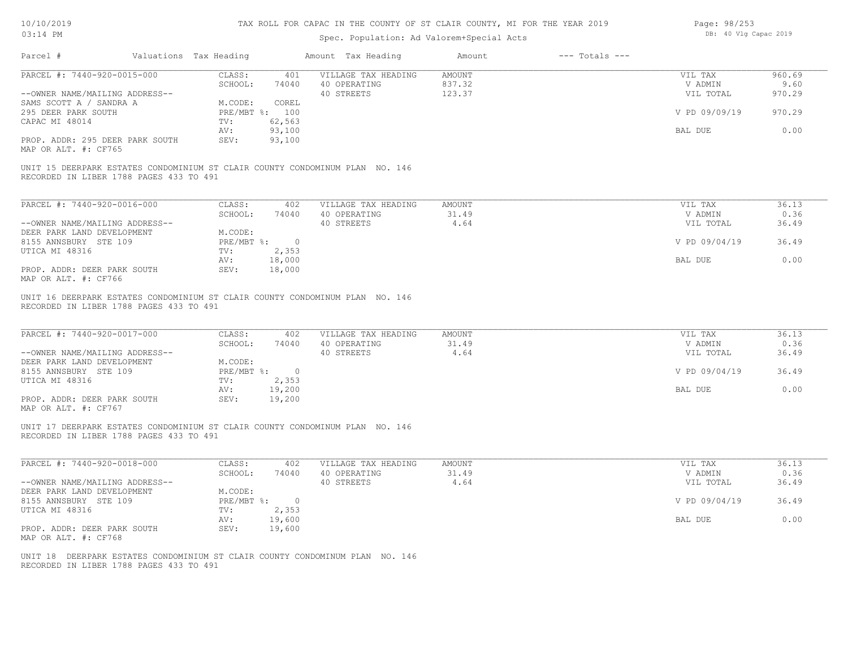#### TAX ROLL FOR CAPAC IN THE COUNTY OF ST CLAIR COUNTY, MI FOR THE YEAR 2019

| Page: 98/253 |  |                       |  |
|--------------|--|-----------------------|--|
|              |  | DB: 40 Vlg Capac 2019 |  |

| Valuations Tax Heading<br>Parcel #                                                                                      |                                     |                                                         |                         |                                 |                        |
|-------------------------------------------------------------------------------------------------------------------------|-------------------------------------|---------------------------------------------------------|-------------------------|---------------------------------|------------------------|
| PARCEL #: 7440-920-0015-000                                                                                             | CLASS:<br>SCHOOL:<br>74040          | 401 VILLAGE TAX HEADING<br>40 OPERATING                 | AMOUNT<br>837.32        | VIL TAX<br>V ADMIN              | 960.69<br>9.60         |
| --OWNER NAME/MAILING ADDRESS--                                                                                          |                                     | 40 STREETS                                              | 123.37                  | VIL TOTAL                       | 970.29                 |
| SAMS SCOTT A / SANDRA A                                                                                                 | M.CODE:<br>COREL                    |                                                         |                         |                                 |                        |
| 295 DEER PARK SOUTH                                                                                                     | PRE/MBT %: 100                      |                                                         |                         | V PD 09/09/19                   | 970.29                 |
| CAPAC MI 48014                                                                                                          | 62,563<br>$\text{TV}$ :             |                                                         |                         |                                 |                        |
|                                                                                                                         | 93,100<br>AV:                       |                                                         |                         | BAL DUE                         | 0.00                   |
| PROP. ADDR: 295 DEER PARK SOUTH<br>MAP OR ALT. #: CF765                                                                 | 93,100<br>SEV:                      |                                                         |                         |                                 |                        |
| UNIT 15 DEERPARK ESTATES CONDOMINIUM ST CLAIR COUNTY CONDOMINUM PLAN NO. 146<br>RECORDED IN LIBER 1788 PAGES 433 TO 491 |                                     |                                                         |                         |                                 |                        |
|                                                                                                                         |                                     |                                                         |                         |                                 |                        |
| PARCEL #: 7440-920-0016-000                                                                                             | CLASS:<br>402                       | VILLAGE TAX HEADING                                     | <b>AMOUNT</b>           | VIL TAX                         | 36.13                  |
|                                                                                                                         | SCHOOL:<br>74040                    | 40 OPERATING                                            | 31.49                   | V ADMIN                         | 0.36                   |
| --OWNER NAME/MAILING ADDRESS--<br>DEER PARK LAND DEVELOPMENT                                                            | M.CODE:                             | 40 STREETS                                              | 4.64                    | VIL TOTAL                       | 36.49                  |
| 8155 ANNSBURY STE 109                                                                                                   | $PRE/MBT$ $\frac{1}{6}$ : 0         |                                                         |                         | V PD 09/04/19                   | 36.49                  |
| UTICA MI 48316                                                                                                          | TV:<br>2,353                        |                                                         |                         |                                 |                        |
|                                                                                                                         | 18,000<br>AV:                       |                                                         |                         | BAL DUE                         | 0.00                   |
| PROP. ADDR: DEER PARK SOUTH<br>MAP OR ALT. #: CF766                                                                     | SEV:<br>18,000                      |                                                         |                         |                                 |                        |
| UNIT 16 DEERPARK ESTATES CONDOMINIUM ST CLAIR COUNTY CONDOMINUM PLAN NO. 146<br>RECORDED IN LIBER 1788 PAGES 433 TO 491 |                                     |                                                         |                         |                                 |                        |
| PARCEL #: 7440-920-0017-000<br>--OWNER NAME/MAILING ADDRESS--<br>DEER PARK LAND DEVELOPMENT                             | CLASS:<br>402<br>SCHOOL:<br>M.CODE: | VILLAGE TAX HEADING<br>74040 40 OPERATING<br>40 STREETS | AMOUNT<br>31.49<br>4.64 | VIL TAX<br>V ADMIN<br>VIL TOTAL | 36.13<br>0.36<br>36.49 |
| 8155 ANNSBURY STE 109<br>UTICA MI 48316                                                                                 | PRE/MBT %: 0<br>TV: 2, 353          |                                                         |                         | V PD 09/04/19                   | 36.49                  |
|                                                                                                                         | 19,200<br>AV:                       |                                                         |                         | BAL DUE                         | 0.00                   |
| PROP. ADDR: DEER PARK SOUTH<br>MAP OR ALT. #: CF767                                                                     | 19,200<br>SEV:                      |                                                         |                         |                                 |                        |
| UNIT 17 DEERPARK ESTATES CONDOMINIUM ST CLAIR COUNTY CONDOMINUM PLAN NO. 146<br>RECORDED IN LIBER 1788 PAGES 433 TO 491 |                                     |                                                         |                         |                                 |                        |
| PARCEL #: 7440-920-0018-000                                                                                             | CLASS:<br>402                       | VILLAGE TAX HEADING                                     | <b>AMOUNT</b>           | VIL TAX                         | 36.13                  |
|                                                                                                                         | SCHOOL:<br>74040                    | 40 OPERATING                                            | 31.49                   | V ADMIN                         | 0.36                   |
| --OWNER NAME/MAILING ADDRESS--                                                                                          |                                     | 40 STREETS                                              | 4.64                    | VIL TOTAL                       | 36.49                  |
| DEER PARK LAND DEVELOPMENT                                                                                              | M.CODE:                             |                                                         |                         |                                 |                        |
| 8155 ANNSBURY STE 109                                                                                                   | PRE/MBT %: 0<br>2, 353<br>TV:       |                                                         |                         | V PD 09/04/19                   | 36.49                  |
| UTICA MI 48316                                                                                                          | AV:<br>19,600                       |                                                         |                         | BAL DUE                         | 0.00                   |
| PROP. ADDR: DEER PARK SOUTH<br>MAP OR ALT. #: CF768                                                                     | SEV:<br>19,600                      |                                                         |                         |                                 |                        |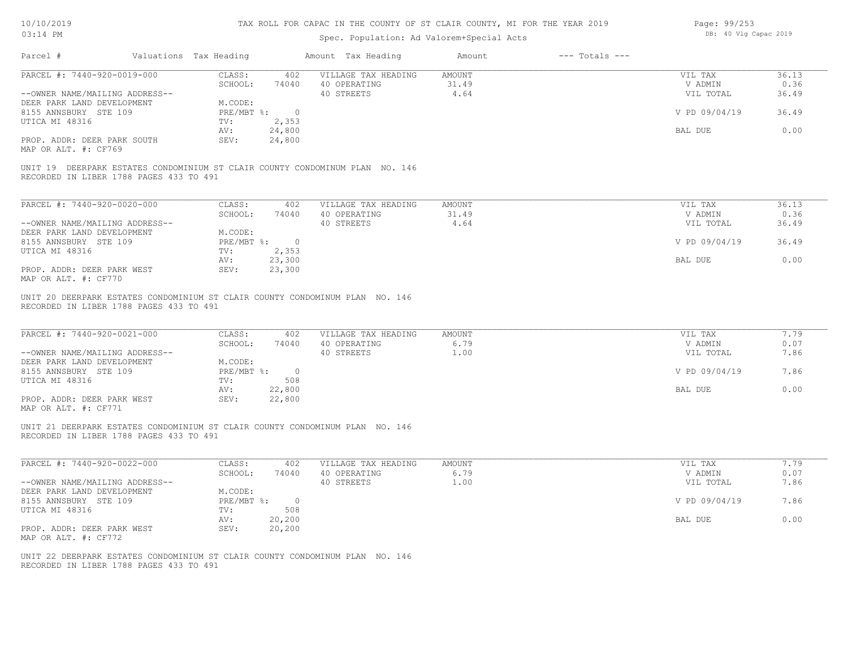| 10/10/2019 |  |
|------------|--|
| 03.14 PM   |  |

| Page: 99/253 |  |                       |  |
|--------------|--|-----------------------|--|
|              |  | DB: 40 Vlg Capac 2019 |  |

| Parcel #                                                                                                                | Valuations Tax Heading |                              |                           | Amount Tax Heading                                                           | Amount                         | $---$ Totals $---$ |                                 |                        |
|-------------------------------------------------------------------------------------------------------------------------|------------------------|------------------------------|---------------------------|------------------------------------------------------------------------------|--------------------------------|--------------------|---------------------------------|------------------------|
| PARCEL #: 7440-920-0019-000<br>--OWNER NAME/MAILING ADDRESS--<br>DEER PARK LAND DEVELOPMENT                             |                        | CLASS:<br>SCHOOL:<br>M.CODE: | 402<br>74040              | VILLAGE TAX HEADING<br>40 OPERATING<br>40 STREETS                            | <b>AMOUNT</b><br>31.49<br>4.64 |                    | VIL TAX<br>V ADMIN<br>VIL TOTAL | 36.13<br>0.36<br>36.49 |
| 8155 ANNSBURY STE 109                                                                                                   |                        | PRE/MBT %: 0                 |                           |                                                                              |                                |                    | V PD 09/04/19                   | 36.49                  |
| UTICA MI 48316<br>PROP. ADDR: DEER PARK SOUTH                                                                           |                        | TV:<br>AV:<br>SEV:           | 2,353<br>24,800<br>24,800 |                                                                              |                                |                    | BAL DUE                         | 0.00                   |
| MAP OR ALT. #: CF769                                                                                                    |                        |                              |                           |                                                                              |                                |                    |                                 |                        |
| RECORDED IN LIBER 1788 PAGES 433 TO 491                                                                                 |                        |                              |                           | UNIT 19 DEERPARK ESTATES CONDOMINIUM ST CLAIR COUNTY CONDOMINUM PLAN NO. 146 |                                |                    |                                 |                        |
| PARCEL #: 7440-920-0020-000                                                                                             |                        | CLASS:                       | 402                       | VILLAGE TAX HEADING                                                          | <b>AMOUNT</b>                  |                    | VIL TAX                         | 36.13                  |
| --OWNER NAME/MAILING ADDRESS--                                                                                          |                        | SCHOOL:                      | 74040                     | 40 OPERATING<br>40 STREETS                                                   | 31.49<br>4.64                  |                    | V ADMIN<br>VIL TOTAL            | 0.36<br>36.49          |
| DEER PARK LAND DEVELOPMENT<br>8155 ANNSBURY STE 109                                                                     |                        | M.CODE:<br>PRE/MBT %: 0      |                           |                                                                              |                                |                    | V PD 09/04/19                   | 36.49                  |
| UTICA MI 48316                                                                                                          |                        | TV:<br>AV:                   | 2,353<br>23,300           |                                                                              |                                |                    | BAL DUE                         | 0.00                   |
| PROP. ADDR: DEER PARK WEST<br>MAP OR ALT. #: CF770                                                                      |                        | SEV:                         | 23,300                    |                                                                              |                                |                    |                                 |                        |
| UNIT 20 DEERPARK ESTATES CONDOMINIUM ST CLAIR COUNTY CONDOMINUM PLAN NO. 146<br>RECORDED IN LIBER 1788 PAGES 433 TO 491 |                        |                              |                           |                                                                              |                                |                    |                                 |                        |
| PARCEL #: 7440-920-0021-000                                                                                             |                        | CLASS:<br>SCHOOL:            | 402<br>74040              | VILLAGE TAX HEADING<br>40 OPERATING                                          | <b>AMOUNT</b><br>6.79          |                    | VIL TAX<br>V ADMIN              | 7.79<br>0.07           |
| --OWNER NAME/MAILING ADDRESS--<br>DEER PARK LAND DEVELOPMENT                                                            |                        | M.CODE:                      |                           | 40 STREETS                                                                   | 1.00                           |                    | VIL TOTAL                       | 7.86                   |
| 8155 ANNSBURY STE 109                                                                                                   |                        | PRE/MBT %:<br>TV:            | $\overline{0}$<br>508     |                                                                              |                                |                    | V PD 09/04/19                   | 7.86                   |
| UTICA MI 48316                                                                                                          |                        | AV:                          | 22,800                    |                                                                              |                                |                    | BAL DUE                         | 0.00                   |
| PROP. ADDR: DEER PARK WEST<br>MAP OR ALT. #: CF771                                                                      |                        | SEV:                         | 22,800                    |                                                                              |                                |                    |                                 |                        |
| UNIT 21 DEERPARK ESTATES CONDOMINIUM ST CLAIR COUNTY CONDOMINUM PLAN NO. 146<br>RECORDED IN LIBER 1788 PAGES 433 TO 491 |                        |                              |                           |                                                                              |                                |                    |                                 |                        |
| PARCEL #: 7440-920-0022-000                                                                                             |                        | CLASS:<br>SCHOOL:            | 402<br>74040              | VILLAGE TAX HEADING<br>40 OPERATING                                          | <b>AMOUNT</b><br>6.79          |                    | VIL TAX<br>V ADMIN              | 7.79<br>0.07           |
| --OWNER NAME/MAILING ADDRESS--                                                                                          |                        |                              |                           | 40 STREETS                                                                   | 1.00                           |                    | VIL TOTAL                       | 7.86                   |
| DEER PARK LAND DEVELOPMENT<br>8155 ANNSBURY STE 109                                                                     |                        | M.CODE:<br>PRE/MBT %:        | $\overline{0}$            |                                                                              |                                |                    | V PD 09/04/19                   | 7.86                   |
| UTICA MI 48316                                                                                                          |                        | TV:<br>AV:                   | 508<br>20,200             |                                                                              |                                |                    | BAL DUE                         | 0.00                   |
| PROP. ADDR: DEER PARK WEST<br>MAP OR ALT. #: CF772                                                                      |                        | SEV:                         | 20,200                    |                                                                              |                                |                    |                                 |                        |
| UNIT 22 DEERPARK ESTATES CONDOMINIUM ST CLAIR COUNTY CONDOMINUM PLAN NO. 146<br>RECORDED IN LIBER 1788 PAGES 433 TO 491 |                        |                              |                           |                                                                              |                                |                    |                                 |                        |
|                                                                                                                         |                        |                              |                           |                                                                              |                                |                    |                                 |                        |
|                                                                                                                         |                        |                              |                           |                                                                              |                                |                    |                                 |                        |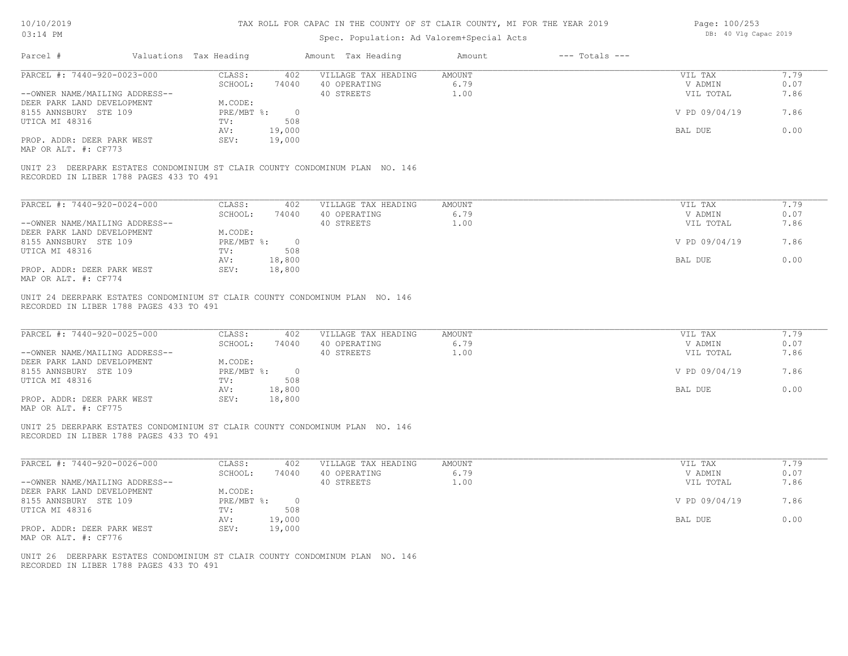### TAX ROLL FOR CAPAC IN THE COUNTY OF ST CLAIR COUNTY, MI FOR THE YEAR 2019

| Page: 100/253 |  |                       |  |
|---------------|--|-----------------------|--|
|               |  | DB: 40 Vlg Capac 2019 |  |

| PARCEL #: 7440-920-0023-000                                                                                                                                   | CLASS:<br>402                                    | VILLAGE TAX HEADING                 | <b>AMOUNT</b>         | VIL TAX                    | 7.79         |
|---------------------------------------------------------------------------------------------------------------------------------------------------------------|--------------------------------------------------|-------------------------------------|-----------------------|----------------------------|--------------|
|                                                                                                                                                               | SCHOOL:<br>74040                                 | 40 OPERATING                        | 6.79                  | V ADMIN                    | 0.07         |
| --OWNER NAME/MAILING ADDRESS--                                                                                                                                |                                                  | 40 STREETS                          | 1.00                  | VIL TOTAL                  | 7.86         |
| DEER PARK LAND DEVELOPMENT                                                                                                                                    | M.CODE:                                          |                                     |                       |                            |              |
| 8155 ANNSBURY STE 109<br>UTICA MI 48316                                                                                                                       | $\overline{0}$<br>$PRE/MBT$ $\div$<br>508<br>TV: |                                     |                       | V PD 09/04/19              | 7.86         |
|                                                                                                                                                               | 19,000<br>AV:                                    |                                     |                       | BAL DUE                    | 0.00         |
| PROP. ADDR: DEER PARK WEST<br>MAP OR ALT. #: CF773                                                                                                            | 19,000<br>SEV:                                   |                                     |                       |                            |              |
| UNIT 23 DEERPARK ESTATES CONDOMINIUM ST CLAIR COUNTY CONDOMINUM PLAN NO. 146<br>RECORDED IN LIBER 1788 PAGES 433 TO 491                                       |                                                  |                                     |                       |                            |              |
|                                                                                                                                                               |                                                  |                                     |                       |                            |              |
| PARCEL #: 7440-920-0024-000                                                                                                                                   | CLASS:<br>402                                    | VILLAGE TAX HEADING                 | <b>AMOUNT</b>         | VIL TAX                    | 7.79         |
| --OWNER NAME/MAILING ADDRESS--                                                                                                                                | SCHOOL:<br>74040                                 | 40 OPERATING<br>40 STREETS          | 6.79<br>1.00          | V ADMIN<br>VIL TOTAL       | 0.07<br>7.86 |
| DEER PARK LAND DEVELOPMENT                                                                                                                                    | M.CODE:                                          |                                     |                       |                            |              |
| 8155 ANNSBURY STE 109                                                                                                                                         | $PRE/MBT$ $\frac{1}{6}$ : 0                      |                                     |                       | V PD 09/04/19              | 7.86         |
| UTICA MI 48316                                                                                                                                                | TV:<br>508                                       |                                     |                       |                            |              |
|                                                                                                                                                               | 18,800<br>AV:                                    |                                     |                       | BAL DUE                    | 0.00         |
| PROP. ADDR: DEER PARK WEST<br>MAP OR ALT. #: CF774                                                                                                            | 18,800<br>SEV:                                   |                                     |                       |                            |              |
| UNIT 24 DEERPARK ESTATES CONDOMINIUM ST CLAIR COUNTY CONDOMINUM PLAN NO. 146<br>RECORDED IN LIBER 1788 PAGES 433 TO 491                                       |                                                  |                                     |                       |                            |              |
| PARCEL #: 7440-920-0025-000                                                                                                                                   | CLASS:<br>402<br>SCHOOL:<br>74040                | VILLAGE TAX HEADING<br>40 OPERATING | <b>AMOUNT</b><br>6.79 | VIL TAX<br>V ADMIN         | 7.79<br>0.07 |
|                                                                                                                                                               | M.CODE:<br>PRE/MBT %:<br>$\overline{0}$          | 40 STREETS                          | 1.00                  | VIL TOTAL<br>V PD 09/04/19 | 7.86<br>7.86 |
| --OWNER NAME/MAILING ADDRESS--<br>DEER PARK LAND DEVELOPMENT<br>8155 ANNSBURY STE 109<br>UTICA MI 48316                                                       | TV:<br>508                                       |                                     |                       |                            |              |
| PROP. ADDR: DEER PARK WEST                                                                                                                                    | 18,800<br>AV:<br>18,800<br>SEV:                  |                                     |                       | BAL DUE                    | 0.00         |
| MAP OR ALT. #: CF775<br>UNIT 25 DEERPARK ESTATES CONDOMINIUM ST CLAIR COUNTY CONDOMINUM PLAN NO. 146<br>RECORDED IN LIBER 1788 PAGES 433 TO 491               |                                                  |                                     |                       |                            |              |
| PARCEL #: 7440-920-0026-000                                                                                                                                   | CLASS:<br>402                                    | VILLAGE TAX HEADING                 | <b>AMOUNT</b>         | VIL TAX                    | 7.79         |
|                                                                                                                                                               | SCHOOL:<br>74040                                 | 40 OPERATING                        | 6.79                  | V ADMIN                    | 0.07         |
|                                                                                                                                                               |                                                  | 40 STREETS                          | 1.00                  | VIL TOTAL                  | 7.86         |
|                                                                                                                                                               | M.CODE:                                          |                                     |                       |                            |              |
|                                                                                                                                                               | $PRE/MBT$ $\frac{1}{6}$ : 0                      |                                     |                       | V PD 09/04/19              | 7.86         |
|                                                                                                                                                               | TV:<br>508                                       |                                     |                       |                            |              |
| --OWNER NAME/MAILING ADDRESS--<br>DEER PARK LAND DEVELOPMENT<br>8155 ANNSBURY STE 109<br>UTICA MI 48316<br>PROP. ADDR: DEER PARK WEST<br>MAP OR ALT. #: CF776 | 19,000<br>AV:<br>SEV:<br>19,000                  |                                     |                       | BAL DUE                    | 0.00         |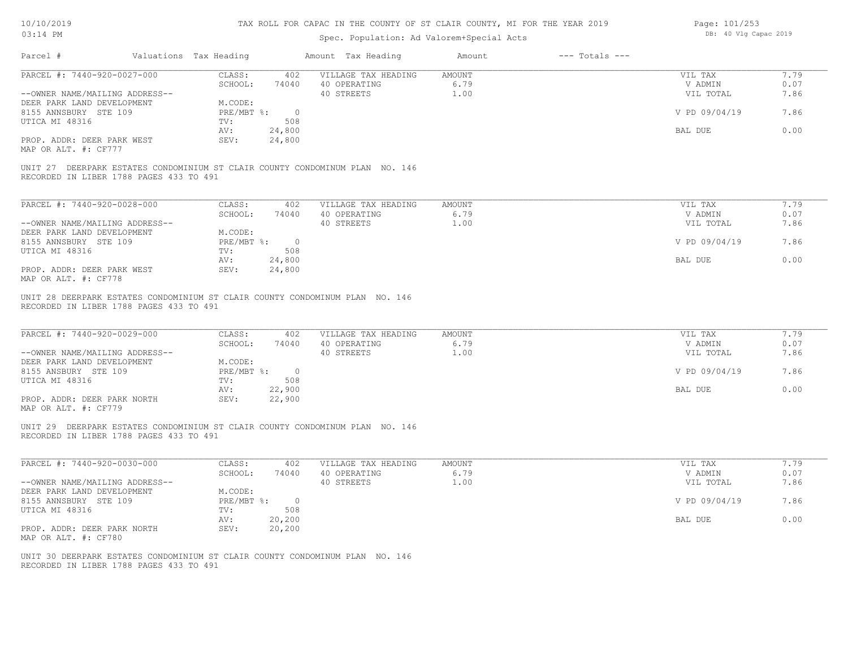### TAX ROLL FOR CAPAC IN THE COUNTY OF ST CLAIR COUNTY, MI FOR THE YEAR 2019

| Page: 101/253 |  |                       |  |
|---------------|--|-----------------------|--|
|               |  | DB: 40 Vlg Capac 2019 |  |

| Parcel #                                                                                                                              | Valuations Tax Heading                                     | Amount Tax Heading                                                                 | Amount                        | $---$ Totals $---$ |                                                             |                                      |
|---------------------------------------------------------------------------------------------------------------------------------------|------------------------------------------------------------|------------------------------------------------------------------------------------|-------------------------------|--------------------|-------------------------------------------------------------|--------------------------------------|
| PARCEL #: 7440-920-0027-000                                                                                                           | CLASS:                                                     | VILLAGE TAX HEADING<br>402                                                         | <b>AMOUNT</b>                 |                    | VIL TAX                                                     | 7.79                                 |
| --OWNER NAME/MAILING ADDRESS--                                                                                                        | SCHOOL:                                                    | 74040 40 OPERATING<br>40 STREETS                                                   | 6.79<br>1.00                  |                    | V ADMIN<br>VIL TOTAL                                        | 0.07<br>7.86                         |
| DEER PARK LAND DEVELOPMENT                                                                                                            | M.CODE:                                                    |                                                                                    |                               |                    |                                                             |                                      |
| 8155 ANNSBURY STE 109                                                                                                                 | $PRE/MBT$ $\frac{1}{6}$ : 0                                |                                                                                    |                               |                    | V PD 09/04/19                                               | 7.86                                 |
| UTICA MI 48316                                                                                                                        | TV:                                                        | 508                                                                                |                               |                    |                                                             |                                      |
|                                                                                                                                       | AV:                                                        | 24,800                                                                             |                               |                    | BAL DUE                                                     | 0.00                                 |
| PROP. ADDR: DEER PARK WEST<br>MAP OR ALT. #: CF777                                                                                    | SEV:                                                       | 24,800                                                                             |                               |                    |                                                             |                                      |
| UNIT 27 DEERPARK ESTATES CONDOMINIUM ST CLAIR COUNTY CONDOMINUM PLAN NO. 146<br>RECORDED IN LIBER 1788 PAGES 433 TO 491               |                                                            |                                                                                    |                               |                    |                                                             |                                      |
| PARCEL #: 7440-920-0028-000                                                                                                           | CLASS:                                                     | 402<br>VILLAGE TAX HEADING                                                         | <b>AMOUNT</b>                 |                    | VIL TAX                                                     | 7.79                                 |
|                                                                                                                                       | SCHOOL:                                                    | 74040<br>40 OPERATING                                                              | 6.79                          |                    | V ADMIN                                                     | 0.07                                 |
| --OWNER NAME/MAILING ADDRESS--                                                                                                        |                                                            | 40 STREETS                                                                         | 1.00                          |                    | VIL TOTAL                                                   | 7.86                                 |
| DEER PARK LAND DEVELOPMENT                                                                                                            | M.CODE:                                                    |                                                                                    |                               |                    |                                                             |                                      |
| 8155 ANNSBURY STE 109                                                                                                                 | PRE/MBT %: 0                                               |                                                                                    |                               |                    | V PD 09/04/19                                               | 7.86                                 |
| UTICA MI 48316                                                                                                                        | TV:                                                        | 508                                                                                |                               |                    |                                                             |                                      |
|                                                                                                                                       | AV:                                                        | 24,800                                                                             |                               |                    | BAL DUE                                                     | 0.00                                 |
| PROP. ADDR: DEER PARK WEST<br>MAP OR ALT. #: CF778                                                                                    | SEV:                                                       | 24,800                                                                             |                               |                    |                                                             |                                      |
| PARCEL #: 7440-920-0029-000<br>--OWNER NAME/MAILING ADDRESS--<br>DEER PARK LAND DEVELOPMENT<br>8155 ANSBURY STE 109<br>UTICA MI 48316 | CLASS:<br>SCHOOL:<br>M.CODE:<br>PRE/MBT %: 0<br>TV:<br>AV: | 402<br>VILLAGE TAX HEADING<br>74040<br>40 OPERATING<br>40 STREETS<br>508<br>22,900 | <b>AMOUNT</b><br>6.79<br>1.00 |                    | VIL TAX<br>V ADMIN<br>VIL TOTAL<br>V PD 09/04/19<br>BAL DUE | 7.79<br>0.07<br>7.86<br>7.86<br>0.00 |
| PROP. ADDR: DEER PARK NORTH<br>MAP OR ALT. #: CF779                                                                                   | SEV:                                                       | 22,900                                                                             |                               |                    |                                                             |                                      |
| UNIT 29 DEERPARK ESTATES CONDOMINIUM ST CLAIR COUNTY CONDOMINUM PLAN NO. 146<br>RECORDED IN LIBER 1788 PAGES 433 TO 491               |                                                            |                                                                                    |                               |                    |                                                             |                                      |
| PARCEL #: 7440-920-0030-000                                                                                                           | CLASS:                                                     | 402<br>VILLAGE TAX HEADING                                                         | AMOUNT                        |                    | VIL TAX                                                     | 7.79                                 |
| --OWNER NAME/MAILING ADDRESS--                                                                                                        | SCHOOL:                                                    | 40 OPERATING<br>74040<br>40 STREETS                                                | 6.79<br>1.00                  |                    | V ADMIN<br>VIL TOTAL                                        | 0.07<br>7.86                         |
| DEER PARK LAND DEVELOPMENT                                                                                                            | M.CODE:                                                    |                                                                                    |                               |                    |                                                             |                                      |
| 8155 ANNSBURY STE 109                                                                                                                 | $PRE/MBT$ $\frac{1}{6}$ : 0                                |                                                                                    |                               |                    | V PD 09/04/19                                               | 7.86                                 |
| UTICA MI 48316                                                                                                                        | TV:                                                        | 508                                                                                |                               |                    |                                                             |                                      |
|                                                                                                                                       | AV:                                                        | 20,200                                                                             |                               |                    | BAL DUE                                                     | 0.00                                 |
| PROP. ADDR: DEER PARK NORTH<br>MAP OR ALT. #: CF780                                                                                   | SEV:                                                       | 20, 200                                                                            |                               |                    |                                                             |                                      |
| UNIT 30 DEERPARK ESTATES CONDOMINIUM ST CLAIR COUNTY CONDOMINUM PLAN NO. 146<br>RECORDED IN LIBER 1788 PAGES 433 TO 491               |                                                            |                                                                                    |                               |                    |                                                             |                                      |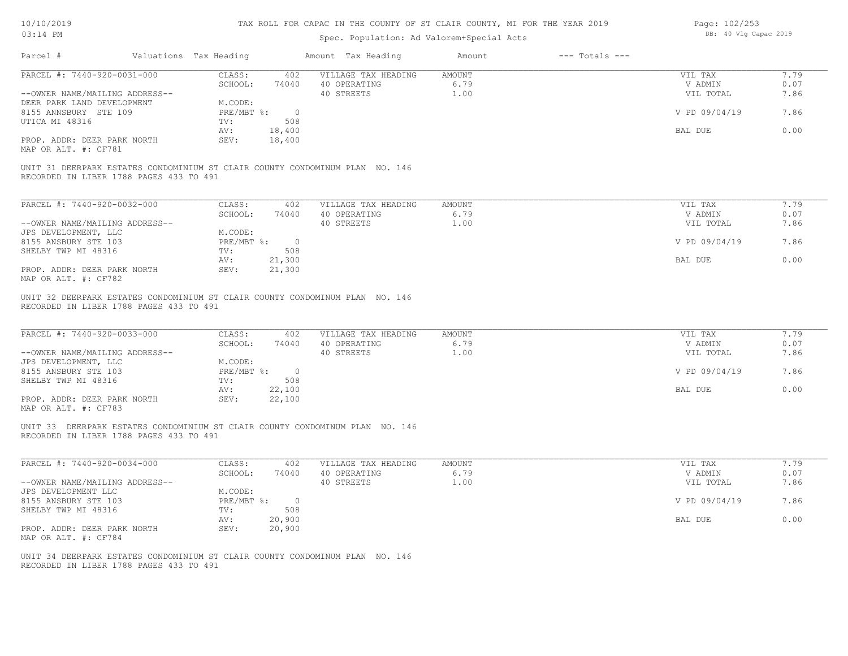#### TAX ROLL FOR CAPAC IN THE COUNTY OF ST CLAIR COUNTY, MI FOR THE YEAR 2019

| Page: 102/253 |  |                       |  |
|---------------|--|-----------------------|--|
|               |  | DB: 40 Vlg Capac 2019 |  |

| Valuations Tax Heading<br>Parcel #                                                                                      |                                           | Amount Tax Heading                            | $---$ Totals $---$<br>Amount |                    |              |
|-------------------------------------------------------------------------------------------------------------------------|-------------------------------------------|-----------------------------------------------|------------------------------|--------------------|--------------|
| PARCEL #: 7440-920-0031-000                                                                                             | CLASS:<br>SCHOOL:                         | 402 VILLAGE TAX HEADING<br>74040 40 OPERATING | AMOUNT<br>6.79               | VIL TAX<br>V ADMIN | 7.79<br>0.07 |
| --OWNER NAME/MAILING ADDRESS--                                                                                          |                                           | 40 STREETS                                    | 1.00                         | VIL TOTAL          | 7.86         |
| DEER PARK LAND DEVELOPMENT                                                                                              | M.CODE:                                   |                                               |                              |                    |              |
| 8155 ANNSBURY STE 109<br>UTICA MI 48316                                                                                 | $PRE/MBT$ $\frac{1}{6}$ : 0<br>TV:<br>508 |                                               |                              | V PD 09/04/19      | 7.86         |
|                                                                                                                         | AV:<br>18,400                             |                                               |                              | BAL DUE            | 0.00         |
| PROP. ADDR: DEER PARK NORTH<br>MAP OR ALT. #: CF781                                                                     | 18,400<br>SEV:                            |                                               |                              |                    |              |
| UNIT 31 DEERPARK ESTATES CONDOMINIUM ST CLAIR COUNTY CONDOMINUM PLAN NO. 146<br>RECORDED IN LIBER 1788 PAGES 433 TO 491 |                                           |                                               |                              |                    |              |
|                                                                                                                         |                                           |                                               |                              |                    |              |
| PARCEL #: 7440-920-0032-000                                                                                             | CLASS:<br>402                             | VILLAGE TAX HEADING                           | <b>AMOUNT</b>                | VIL TAX            | 7.79         |
|                                                                                                                         | SCHOOL:<br>74040                          | 40 OPERATING                                  | 6.79                         | V ADMIN            | 0.07         |
| --OWNER NAME/MAILING ADDRESS--                                                                                          |                                           | 40 STREETS                                    | 1.00                         | VIL TOTAL          | 7.86         |
| JPS DEVELOPMENT, LLC                                                                                                    | M.CODE:                                   |                                               |                              |                    |              |
| 8155 ANSBURY STE 103<br>SHELBY TWP MI 48316                                                                             | $PRE/MBT$ $\div$ 0<br>TV:<br>508          |                                               |                              | V PD 09/04/19      | 7.86         |
|                                                                                                                         | 21,300<br>AV:                             |                                               |                              | BAL DUE            | 0.00         |
| PROP. ADDR: DEER PARK NORTH<br>MAP OR ALT. #: CF782                                                                     | 21,300<br>SEV:                            |                                               |                              |                    |              |
| UNIT 32 DEERPARK ESTATES CONDOMINIUM ST CLAIR COUNTY CONDOMINUM PLAN NO. 146<br>RECORDED IN LIBER 1788 PAGES 433 TO 491 |                                           |                                               |                              |                    |              |
| PARCEL #: 7440-920-0033-000                                                                                             | CLASS:<br>402                             | VILLAGE TAX HEADING                           | <b>AMOUNT</b>                | VIL TAX            | 7.79         |
|                                                                                                                         | SCHOOL:<br>74040                          | 40 OPERATING                                  | 6.79                         | V ADMIN            | 0.07         |
| --OWNER NAME/MAILING ADDRESS--                                                                                          |                                           | 40 STREETS                                    | 1.00                         | VIL TOTAL          | 7.86         |
| JPS DEVELOPMENT, LLC                                                                                                    | M.CODE:                                   |                                               |                              |                    |              |
| 8155 ANSBURY STE 103<br>SHELBY TWP MI 48316                                                                             | PRE/MBT %: 0<br>TV:<br>508                |                                               |                              | V PD 09/04/19      | 7.86         |
|                                                                                                                         | 22,100<br>AV:                             |                                               |                              | BAL DUE            | 0.00         |
| PROP. ADDR: DEER PARK NORTH                                                                                             | 22,100<br>SEV:                            |                                               |                              |                    |              |
| MAP OR ALT. #: CF783                                                                                                    |                                           |                                               |                              |                    |              |
| UNIT 33 DEERPARK ESTATES CONDOMINIUM ST CLAIR COUNTY CONDOMINUM PLAN NO. 146<br>RECORDED IN LIBER 1788 PAGES 433 TO 491 |                                           |                                               |                              |                    |              |
| PARCEL #: 7440-920-0034-000                                                                                             | CLASS:<br>402                             | VILLAGE TAX HEADING                           | <b>AMOUNT</b>                | VIL TAX            | 7.79         |
|                                                                                                                         | SCHOOL:<br>74040                          | 40 OPERATING                                  | 6.79                         | V ADMIN            | 0.07         |
|                                                                                                                         |                                           | 40 STREETS                                    | 1.00                         | VIL TOTAL          | 7.86         |
| --OWNER NAME/MAILING ADDRESS--                                                                                          |                                           |                                               |                              | V PD 09/04/19      | 7.86         |
| JPS DEVELOPMENT LLC                                                                                                     | M.CODE:                                   |                                               |                              |                    |              |
| 8155 ANSBURY STE 103                                                                                                    | PRE/MBT %: 0                              |                                               |                              |                    |              |
| SHELBY TWP MI 48316                                                                                                     | TV:<br>508                                |                                               |                              |                    |              |
| PROP. ADDR: DEER PARK NORTH                                                                                             | 20,900<br>AV:<br>20,900<br>SEV:           |                                               |                              | BAL DUE            | 0.00         |
| MAP OR ALT. #: CF784                                                                                                    |                                           |                                               |                              |                    |              |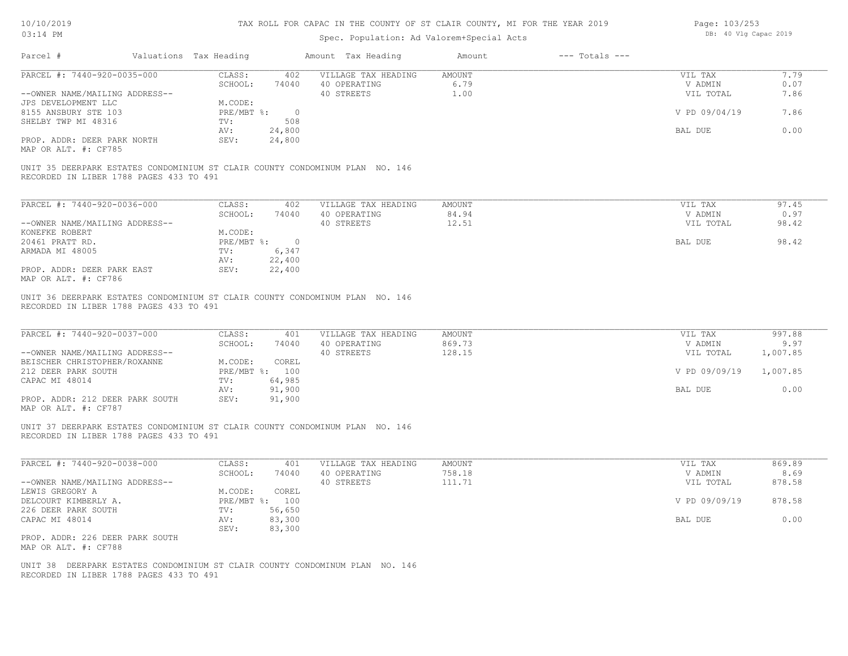### TAX ROLL FOR CAPAC IN THE COUNTY OF ST CLAIR COUNTY, MI FOR THE YEAR 2019

| Page: 103/253 |  |                       |  |
|---------------|--|-----------------------|--|
|               |  | DB: 40 Vlg Capac 2019 |  |

| PARCEL #: 7440-920-0035-000<br>7.79<br>CLASS:<br>402<br>VILLAGE TAX HEADING<br><b>AMOUNT</b><br>VIL TAX<br>6.79<br>0.07<br>SCHOOL:<br>74040<br>40 OPERATING<br>V ADMIN<br>40 STREETS<br>1.00<br>7.86<br>--OWNER NAME/MAILING ADDRESS--<br>VIL TOTAL<br>JPS DEVELOPMENT LLC<br>M.CODE:<br>8155 ANSBURY STE 103<br>$PRE/MBT$ $\div$<br>$\overline{0}$<br>V PD 09/04/19<br>7.86<br>SHELBY TWP MI 48316<br>TV:<br>508<br>24,800<br>BAL DUE<br>0.00<br>AV:<br>PROP. ADDR: DEER PARK NORTH<br>SEV:<br>24,800<br>MAP OR ALT. #: CF785<br>UNIT 35 DEERPARK ESTATES CONDOMINIUM ST CLAIR COUNTY CONDOMINUM PLAN NO. 146<br>RECORDED IN LIBER 1788 PAGES 433 TO 491<br>PARCEL #: 7440-920-0036-000<br>CLASS:<br>97.45<br>402<br>VILLAGE TAX HEADING<br><b>AMOUNT</b><br>VIL TAX<br>SCHOOL:<br>40 OPERATING<br>84.94<br>0.97<br>74040<br>V ADMIN<br>40 STREETS<br>12.51<br>98.42<br>--OWNER NAME/MAILING ADDRESS--<br>VIL TOTAL<br>KONEFKE ROBERT<br>M.CODE:<br>98.42<br>20461 PRATT RD.<br>PRE/MBT %: 0<br>BAL DUE<br>6,347<br>ARMADA MI 48005<br>TV:<br>AV:<br>22,400<br>PROP. ADDR: DEER PARK EAST<br>SEV:<br>22,400<br>MAP OR ALT. #: CF786<br>UNIT 36 DEERPARK ESTATES CONDOMINIUM ST CLAIR COUNTY CONDOMINUM PLAN NO. 146<br>RECORDED IN LIBER 1788 PAGES 433 TO 491<br>PARCEL #: 7440-920-0037-000<br>997.88<br>CLASS:<br><b>AMOUNT</b><br>401<br>VILLAGE TAX HEADING<br>VIL TAX<br>SCHOOL:<br>40 OPERATING<br>869.73<br>V ADMIN<br>9.97<br>74040<br>40 STREETS<br>128.15<br>--OWNER NAME/MAILING ADDRESS--<br>VIL TOTAL<br>1,007.85<br>BEISCHER CHRISTOPHER/ROXANNE<br>M.CODE:<br>COREL<br>212 DEER PARK SOUTH<br>PRE/MBT %: 100<br>V PD 09/09/19<br>1,007.85<br>CAPAC MI 48014<br>64,985<br>TV:<br>91,900<br>0.00<br>BAL DUE<br>AV:<br>91,900<br>PROP. ADDR: 212 DEER PARK SOUTH<br>SEV:<br>MAP OR ALT. #: CF787<br>UNIT 37 DEERPARK ESTATES CONDOMINIUM ST CLAIR COUNTY CONDOMINUM PLAN NO. 146<br>RECORDED IN LIBER 1788 PAGES 433 TO 491<br>PARCEL #: 7440-920-0038-000<br>CLASS:<br>401<br>VILLAGE TAX HEADING<br><b>AMOUNT</b><br>VIL TAX<br>869.89<br>758.18<br>SCHOOL:<br>74040<br>40 OPERATING<br>V ADMIN<br>8.69<br>--OWNER NAME/MAILING ADDRESS--<br>40 STREETS<br>111.71<br>878.58<br>VIL TOTAL<br>LEWIS GREGORY A<br>M.CODE:<br>COREL<br>878.58<br>DELCOURT KIMBERLY A.<br>PRE/MBT %: 100<br>V PD 09/09/19<br>56,650<br>226 DEER PARK SOUTH<br>TV:<br>83,300<br>0.00<br>CAPAC MI 48014<br>AV:<br>BAL DUE<br>83,300<br>SEV:<br>PROP. ADDR: 226 DEER PARK SOUTH<br>MAP OR ALT. #: CF788<br>UNIT 38 DEERPARK ESTATES CONDOMINIUM ST CLAIR COUNTY CONDOMINUM PLAN NO. 146 | Parcel #                                | Valuations Tax Heading | Amount Tax Heading | Amount | $---$ Totals $---$ |  |
|---------------------------------------------------------------------------------------------------------------------------------------------------------------------------------------------------------------------------------------------------------------------------------------------------------------------------------------------------------------------------------------------------------------------------------------------------------------------------------------------------------------------------------------------------------------------------------------------------------------------------------------------------------------------------------------------------------------------------------------------------------------------------------------------------------------------------------------------------------------------------------------------------------------------------------------------------------------------------------------------------------------------------------------------------------------------------------------------------------------------------------------------------------------------------------------------------------------------------------------------------------------------------------------------------------------------------------------------------------------------------------------------------------------------------------------------------------------------------------------------------------------------------------------------------------------------------------------------------------------------------------------------------------------------------------------------------------------------------------------------------------------------------------------------------------------------------------------------------------------------------------------------------------------------------------------------------------------------------------------------------------------------------------------------------------------------------------------------------------------------------------------------------------------------------------------------------------------------------------------------------------------------------------------------------------------------------------------------------------------------------------------------------------------------------------------------------------------------------------------------------------------------------------------------------------------------------------|-----------------------------------------|------------------------|--------------------|--------|--------------------|--|
|                                                                                                                                                                                                                                                                                                                                                                                                                                                                                                                                                                                                                                                                                                                                                                                                                                                                                                                                                                                                                                                                                                                                                                                                                                                                                                                                                                                                                                                                                                                                                                                                                                                                                                                                                                                                                                                                                                                                                                                                                                                                                                                                                                                                                                                                                                                                                                                                                                                                                                                                                                                 |                                         |                        |                    |        |                    |  |
|                                                                                                                                                                                                                                                                                                                                                                                                                                                                                                                                                                                                                                                                                                                                                                                                                                                                                                                                                                                                                                                                                                                                                                                                                                                                                                                                                                                                                                                                                                                                                                                                                                                                                                                                                                                                                                                                                                                                                                                                                                                                                                                                                                                                                                                                                                                                                                                                                                                                                                                                                                                 |                                         |                        |                    |        |                    |  |
|                                                                                                                                                                                                                                                                                                                                                                                                                                                                                                                                                                                                                                                                                                                                                                                                                                                                                                                                                                                                                                                                                                                                                                                                                                                                                                                                                                                                                                                                                                                                                                                                                                                                                                                                                                                                                                                                                                                                                                                                                                                                                                                                                                                                                                                                                                                                                                                                                                                                                                                                                                                 |                                         |                        |                    |        |                    |  |
|                                                                                                                                                                                                                                                                                                                                                                                                                                                                                                                                                                                                                                                                                                                                                                                                                                                                                                                                                                                                                                                                                                                                                                                                                                                                                                                                                                                                                                                                                                                                                                                                                                                                                                                                                                                                                                                                                                                                                                                                                                                                                                                                                                                                                                                                                                                                                                                                                                                                                                                                                                                 |                                         |                        |                    |        |                    |  |
|                                                                                                                                                                                                                                                                                                                                                                                                                                                                                                                                                                                                                                                                                                                                                                                                                                                                                                                                                                                                                                                                                                                                                                                                                                                                                                                                                                                                                                                                                                                                                                                                                                                                                                                                                                                                                                                                                                                                                                                                                                                                                                                                                                                                                                                                                                                                                                                                                                                                                                                                                                                 |                                         |                        |                    |        |                    |  |
|                                                                                                                                                                                                                                                                                                                                                                                                                                                                                                                                                                                                                                                                                                                                                                                                                                                                                                                                                                                                                                                                                                                                                                                                                                                                                                                                                                                                                                                                                                                                                                                                                                                                                                                                                                                                                                                                                                                                                                                                                                                                                                                                                                                                                                                                                                                                                                                                                                                                                                                                                                                 |                                         |                        |                    |        |                    |  |
|                                                                                                                                                                                                                                                                                                                                                                                                                                                                                                                                                                                                                                                                                                                                                                                                                                                                                                                                                                                                                                                                                                                                                                                                                                                                                                                                                                                                                                                                                                                                                                                                                                                                                                                                                                                                                                                                                                                                                                                                                                                                                                                                                                                                                                                                                                                                                                                                                                                                                                                                                                                 |                                         |                        |                    |        |                    |  |
|                                                                                                                                                                                                                                                                                                                                                                                                                                                                                                                                                                                                                                                                                                                                                                                                                                                                                                                                                                                                                                                                                                                                                                                                                                                                                                                                                                                                                                                                                                                                                                                                                                                                                                                                                                                                                                                                                                                                                                                                                                                                                                                                                                                                                                                                                                                                                                                                                                                                                                                                                                                 |                                         |                        |                    |        |                    |  |
|                                                                                                                                                                                                                                                                                                                                                                                                                                                                                                                                                                                                                                                                                                                                                                                                                                                                                                                                                                                                                                                                                                                                                                                                                                                                                                                                                                                                                                                                                                                                                                                                                                                                                                                                                                                                                                                                                                                                                                                                                                                                                                                                                                                                                                                                                                                                                                                                                                                                                                                                                                                 |                                         |                        |                    |        |                    |  |
|                                                                                                                                                                                                                                                                                                                                                                                                                                                                                                                                                                                                                                                                                                                                                                                                                                                                                                                                                                                                                                                                                                                                                                                                                                                                                                                                                                                                                                                                                                                                                                                                                                                                                                                                                                                                                                                                                                                                                                                                                                                                                                                                                                                                                                                                                                                                                                                                                                                                                                                                                                                 |                                         |                        |                    |        |                    |  |
|                                                                                                                                                                                                                                                                                                                                                                                                                                                                                                                                                                                                                                                                                                                                                                                                                                                                                                                                                                                                                                                                                                                                                                                                                                                                                                                                                                                                                                                                                                                                                                                                                                                                                                                                                                                                                                                                                                                                                                                                                                                                                                                                                                                                                                                                                                                                                                                                                                                                                                                                                                                 |                                         |                        |                    |        |                    |  |
|                                                                                                                                                                                                                                                                                                                                                                                                                                                                                                                                                                                                                                                                                                                                                                                                                                                                                                                                                                                                                                                                                                                                                                                                                                                                                                                                                                                                                                                                                                                                                                                                                                                                                                                                                                                                                                                                                                                                                                                                                                                                                                                                                                                                                                                                                                                                                                                                                                                                                                                                                                                 |                                         |                        |                    |        |                    |  |
|                                                                                                                                                                                                                                                                                                                                                                                                                                                                                                                                                                                                                                                                                                                                                                                                                                                                                                                                                                                                                                                                                                                                                                                                                                                                                                                                                                                                                                                                                                                                                                                                                                                                                                                                                                                                                                                                                                                                                                                                                                                                                                                                                                                                                                                                                                                                                                                                                                                                                                                                                                                 |                                         |                        |                    |        |                    |  |
|                                                                                                                                                                                                                                                                                                                                                                                                                                                                                                                                                                                                                                                                                                                                                                                                                                                                                                                                                                                                                                                                                                                                                                                                                                                                                                                                                                                                                                                                                                                                                                                                                                                                                                                                                                                                                                                                                                                                                                                                                                                                                                                                                                                                                                                                                                                                                                                                                                                                                                                                                                                 |                                         |                        |                    |        |                    |  |
|                                                                                                                                                                                                                                                                                                                                                                                                                                                                                                                                                                                                                                                                                                                                                                                                                                                                                                                                                                                                                                                                                                                                                                                                                                                                                                                                                                                                                                                                                                                                                                                                                                                                                                                                                                                                                                                                                                                                                                                                                                                                                                                                                                                                                                                                                                                                                                                                                                                                                                                                                                                 |                                         |                        |                    |        |                    |  |
|                                                                                                                                                                                                                                                                                                                                                                                                                                                                                                                                                                                                                                                                                                                                                                                                                                                                                                                                                                                                                                                                                                                                                                                                                                                                                                                                                                                                                                                                                                                                                                                                                                                                                                                                                                                                                                                                                                                                                                                                                                                                                                                                                                                                                                                                                                                                                                                                                                                                                                                                                                                 |                                         |                        |                    |        |                    |  |
|                                                                                                                                                                                                                                                                                                                                                                                                                                                                                                                                                                                                                                                                                                                                                                                                                                                                                                                                                                                                                                                                                                                                                                                                                                                                                                                                                                                                                                                                                                                                                                                                                                                                                                                                                                                                                                                                                                                                                                                                                                                                                                                                                                                                                                                                                                                                                                                                                                                                                                                                                                                 |                                         |                        |                    |        |                    |  |
|                                                                                                                                                                                                                                                                                                                                                                                                                                                                                                                                                                                                                                                                                                                                                                                                                                                                                                                                                                                                                                                                                                                                                                                                                                                                                                                                                                                                                                                                                                                                                                                                                                                                                                                                                                                                                                                                                                                                                                                                                                                                                                                                                                                                                                                                                                                                                                                                                                                                                                                                                                                 |                                         |                        |                    |        |                    |  |
|                                                                                                                                                                                                                                                                                                                                                                                                                                                                                                                                                                                                                                                                                                                                                                                                                                                                                                                                                                                                                                                                                                                                                                                                                                                                                                                                                                                                                                                                                                                                                                                                                                                                                                                                                                                                                                                                                                                                                                                                                                                                                                                                                                                                                                                                                                                                                                                                                                                                                                                                                                                 |                                         |                        |                    |        |                    |  |
|                                                                                                                                                                                                                                                                                                                                                                                                                                                                                                                                                                                                                                                                                                                                                                                                                                                                                                                                                                                                                                                                                                                                                                                                                                                                                                                                                                                                                                                                                                                                                                                                                                                                                                                                                                                                                                                                                                                                                                                                                                                                                                                                                                                                                                                                                                                                                                                                                                                                                                                                                                                 |                                         |                        |                    |        |                    |  |
|                                                                                                                                                                                                                                                                                                                                                                                                                                                                                                                                                                                                                                                                                                                                                                                                                                                                                                                                                                                                                                                                                                                                                                                                                                                                                                                                                                                                                                                                                                                                                                                                                                                                                                                                                                                                                                                                                                                                                                                                                                                                                                                                                                                                                                                                                                                                                                                                                                                                                                                                                                                 |                                         |                        |                    |        |                    |  |
|                                                                                                                                                                                                                                                                                                                                                                                                                                                                                                                                                                                                                                                                                                                                                                                                                                                                                                                                                                                                                                                                                                                                                                                                                                                                                                                                                                                                                                                                                                                                                                                                                                                                                                                                                                                                                                                                                                                                                                                                                                                                                                                                                                                                                                                                                                                                                                                                                                                                                                                                                                                 |                                         |                        |                    |        |                    |  |
|                                                                                                                                                                                                                                                                                                                                                                                                                                                                                                                                                                                                                                                                                                                                                                                                                                                                                                                                                                                                                                                                                                                                                                                                                                                                                                                                                                                                                                                                                                                                                                                                                                                                                                                                                                                                                                                                                                                                                                                                                                                                                                                                                                                                                                                                                                                                                                                                                                                                                                                                                                                 |                                         |                        |                    |        |                    |  |
|                                                                                                                                                                                                                                                                                                                                                                                                                                                                                                                                                                                                                                                                                                                                                                                                                                                                                                                                                                                                                                                                                                                                                                                                                                                                                                                                                                                                                                                                                                                                                                                                                                                                                                                                                                                                                                                                                                                                                                                                                                                                                                                                                                                                                                                                                                                                                                                                                                                                                                                                                                                 |                                         |                        |                    |        |                    |  |
|                                                                                                                                                                                                                                                                                                                                                                                                                                                                                                                                                                                                                                                                                                                                                                                                                                                                                                                                                                                                                                                                                                                                                                                                                                                                                                                                                                                                                                                                                                                                                                                                                                                                                                                                                                                                                                                                                                                                                                                                                                                                                                                                                                                                                                                                                                                                                                                                                                                                                                                                                                                 |                                         |                        |                    |        |                    |  |
|                                                                                                                                                                                                                                                                                                                                                                                                                                                                                                                                                                                                                                                                                                                                                                                                                                                                                                                                                                                                                                                                                                                                                                                                                                                                                                                                                                                                                                                                                                                                                                                                                                                                                                                                                                                                                                                                                                                                                                                                                                                                                                                                                                                                                                                                                                                                                                                                                                                                                                                                                                                 |                                         |                        |                    |        |                    |  |
|                                                                                                                                                                                                                                                                                                                                                                                                                                                                                                                                                                                                                                                                                                                                                                                                                                                                                                                                                                                                                                                                                                                                                                                                                                                                                                                                                                                                                                                                                                                                                                                                                                                                                                                                                                                                                                                                                                                                                                                                                                                                                                                                                                                                                                                                                                                                                                                                                                                                                                                                                                                 |                                         |                        |                    |        |                    |  |
|                                                                                                                                                                                                                                                                                                                                                                                                                                                                                                                                                                                                                                                                                                                                                                                                                                                                                                                                                                                                                                                                                                                                                                                                                                                                                                                                                                                                                                                                                                                                                                                                                                                                                                                                                                                                                                                                                                                                                                                                                                                                                                                                                                                                                                                                                                                                                                                                                                                                                                                                                                                 |                                         |                        |                    |        |                    |  |
|                                                                                                                                                                                                                                                                                                                                                                                                                                                                                                                                                                                                                                                                                                                                                                                                                                                                                                                                                                                                                                                                                                                                                                                                                                                                                                                                                                                                                                                                                                                                                                                                                                                                                                                                                                                                                                                                                                                                                                                                                                                                                                                                                                                                                                                                                                                                                                                                                                                                                                                                                                                 |                                         |                        |                    |        |                    |  |
|                                                                                                                                                                                                                                                                                                                                                                                                                                                                                                                                                                                                                                                                                                                                                                                                                                                                                                                                                                                                                                                                                                                                                                                                                                                                                                                                                                                                                                                                                                                                                                                                                                                                                                                                                                                                                                                                                                                                                                                                                                                                                                                                                                                                                                                                                                                                                                                                                                                                                                                                                                                 |                                         |                        |                    |        |                    |  |
|                                                                                                                                                                                                                                                                                                                                                                                                                                                                                                                                                                                                                                                                                                                                                                                                                                                                                                                                                                                                                                                                                                                                                                                                                                                                                                                                                                                                                                                                                                                                                                                                                                                                                                                                                                                                                                                                                                                                                                                                                                                                                                                                                                                                                                                                                                                                                                                                                                                                                                                                                                                 |                                         |                        |                    |        |                    |  |
|                                                                                                                                                                                                                                                                                                                                                                                                                                                                                                                                                                                                                                                                                                                                                                                                                                                                                                                                                                                                                                                                                                                                                                                                                                                                                                                                                                                                                                                                                                                                                                                                                                                                                                                                                                                                                                                                                                                                                                                                                                                                                                                                                                                                                                                                                                                                                                                                                                                                                                                                                                                 |                                         |                        |                    |        |                    |  |
|                                                                                                                                                                                                                                                                                                                                                                                                                                                                                                                                                                                                                                                                                                                                                                                                                                                                                                                                                                                                                                                                                                                                                                                                                                                                                                                                                                                                                                                                                                                                                                                                                                                                                                                                                                                                                                                                                                                                                                                                                                                                                                                                                                                                                                                                                                                                                                                                                                                                                                                                                                                 |                                         |                        |                    |        |                    |  |
|                                                                                                                                                                                                                                                                                                                                                                                                                                                                                                                                                                                                                                                                                                                                                                                                                                                                                                                                                                                                                                                                                                                                                                                                                                                                                                                                                                                                                                                                                                                                                                                                                                                                                                                                                                                                                                                                                                                                                                                                                                                                                                                                                                                                                                                                                                                                                                                                                                                                                                                                                                                 |                                         |                        |                    |        |                    |  |
|                                                                                                                                                                                                                                                                                                                                                                                                                                                                                                                                                                                                                                                                                                                                                                                                                                                                                                                                                                                                                                                                                                                                                                                                                                                                                                                                                                                                                                                                                                                                                                                                                                                                                                                                                                                                                                                                                                                                                                                                                                                                                                                                                                                                                                                                                                                                                                                                                                                                                                                                                                                 | RECORDED IN LIBER 1788 PAGES 433 TO 491 |                        |                    |        |                    |  |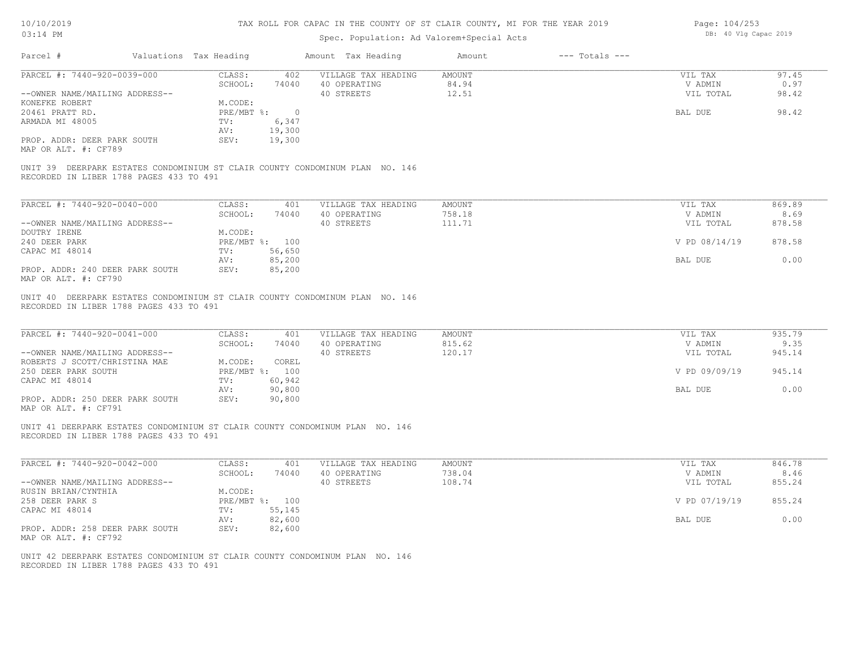| 10/10/2019 |  |
|------------|--|
| 03.14 PM   |  |

### Spec. Population: Ad Valorem+Special Acts

| Page: 104/253 |  |                       |  |
|---------------|--|-----------------------|--|
|               |  | DB: 40 Vlg Capac 2019 |  |

| Parcel #                                                                                                                | Valuations Tax Heading           |                  | Amount Tax Heading                                | Amount                          | $---$ Totals $---$ |                                 |                        |
|-------------------------------------------------------------------------------------------------------------------------|----------------------------------|------------------|---------------------------------------------------|---------------------------------|--------------------|---------------------------------|------------------------|
| PARCEL #: 7440-920-0039-000<br>--OWNER NAME/MAILING ADDRESS--<br>KONEFKE ROBERT                                         | CLASS:<br>SCHOOL:<br>M.CODE:     | 402<br>74040     | VILLAGE TAX HEADING<br>40 OPERATING<br>40 STREETS | <b>AMOUNT</b><br>84.94<br>12.51 |                    | VIL TAX<br>V ADMIN<br>VIL TOTAL | 97.45<br>0.97<br>98.42 |
| 20461 PRATT RD.<br>ARMADA MI 48005                                                                                      | $PRE/MBT$ $\div$ 0<br>TV:<br>AV: | 6,347<br>19,300  |                                                   |                                 |                    | BAL DUE                         | 98.42                  |
| PROP. ADDR: DEER PARK SOUTH<br>MAP OR ALT. #: CF789                                                                     | SEV:                             | 19,300           |                                                   |                                 |                    |                                 |                        |
| UNIT 39 DEERPARK ESTATES CONDOMINIUM ST CLAIR COUNTY CONDOMINUM PLAN NO. 146<br>RECORDED IN LIBER 1788 PAGES 433 TO 491 |                                  |                  |                                                   |                                 |                    |                                 |                        |
| PARCEL #: 7440-920-0040-000                                                                                             | CLASS:<br>SCHOOL:                | 401<br>74040     | VILLAGE TAX HEADING<br>40 OPERATING               | AMOUNT<br>758.18                |                    | VIL TAX<br>V ADMIN              | 869.89<br>8.69         |
| --OWNER NAME/MAILING ADDRESS--                                                                                          |                                  |                  | 40 STREETS                                        | 111.71                          |                    | VIL TOTAL                       | 878.58                 |
| DOUTRY IRENE<br>240 DEER PARK                                                                                           | M.CODE:<br>PRE/MBT %: 100        |                  |                                                   |                                 |                    | V PD 08/14/19                   | 878.58                 |
| CAPAC MI 48014                                                                                                          | TV:<br>AV:                       | 56,650<br>85,200 |                                                   |                                 |                    | BAL DUE                         | 0.00                   |
| PROP. ADDR: 240 DEER PARK SOUTH<br>MAP OR ALT. #: CF790                                                                 | SEV:                             | 85,200           |                                                   |                                 |                    |                                 |                        |
| RECORDED IN LIBER 1788 PAGES 433 TO 491<br>PARCEL #: 7440-920-0041-000                                                  | CLASS:<br>SCHOOL:                | 401<br>74040     | VILLAGE TAX HEADING<br>40 OPERATING               | AMOUNT<br>815.62                |                    | VIL TAX<br>V ADMIN              | 935.79<br>9.35         |
| --OWNER NAME/MAILING ADDRESS--<br>ROBERTS J SCOTT/CHRISTINA MAE                                                         | M.CODE:                          | COREL            | 40 STREETS                                        | 120.17                          |                    | VIL TOTAL                       | 945.14                 |
| 250 DEER PARK SOUTH                                                                                                     | PRE/MBT %: 100                   |                  |                                                   |                                 |                    | V PD 09/09/19                   | 945.14                 |
| CAPAC MI 48014                                                                                                          | TV:<br>AV:                       | 60,942<br>90,800 |                                                   |                                 |                    | BAL DUE                         | 0.00                   |
| PROP. ADDR: 250 DEER PARK SOUTH<br>MAP OR ALT. #: CF791                                                                 | SEV:                             | 90,800           |                                                   |                                 |                    |                                 |                        |
| UNIT 41 DEERPARK ESTATES CONDOMINIUM ST CLAIR COUNTY CONDOMINUM PLAN NO. 146<br>RECORDED IN LIBER 1788 PAGES 433 TO 491 |                                  |                  |                                                   |                                 |                    |                                 |                        |
| PARCEL #: 7440-920-0042-000                                                                                             | CLASS:                           | 401              | VILLAGE TAX HEADING                               | <b>AMOUNT</b>                   |                    | VIL TAX                         | 846.78                 |
| --OWNER NAME/MAILING ADDRESS--                                                                                          | SCHOOL:                          | 74040            | 40 OPERATING<br>40 STREETS                        | 738.04<br>108.74                |                    | V ADMIN<br>VIL TOTAL            | 8.46<br>855.24         |
| RUSIN BRIAN/CYNTHIA<br>258 DEER PARK S                                                                                  | M.CODE:<br>PRE/MBT %: 100        |                  |                                                   |                                 |                    | V PD 07/19/19                   | 855.24                 |
| CAPAC MI 48014                                                                                                          | TV:<br>AV:                       | 55,145<br>82,600 |                                                   |                                 |                    | BAL DUE                         | 0.00                   |
| PROP. ADDR: 258 DEER PARK SOUTH<br>MAP OR ALT. #: CF792                                                                 | SEV:                             | 82,600           |                                                   |                                 |                    |                                 |                        |
| UNIT 42 DEERPARK ESTATES CONDOMINIUM ST CLAIR COUNTY CONDOMINUM PLAN NO. 146                                            |                                  |                  |                                                   |                                 |                    |                                 |                        |

RECORDED IN LIBER 1788 PAGES 433 TO 491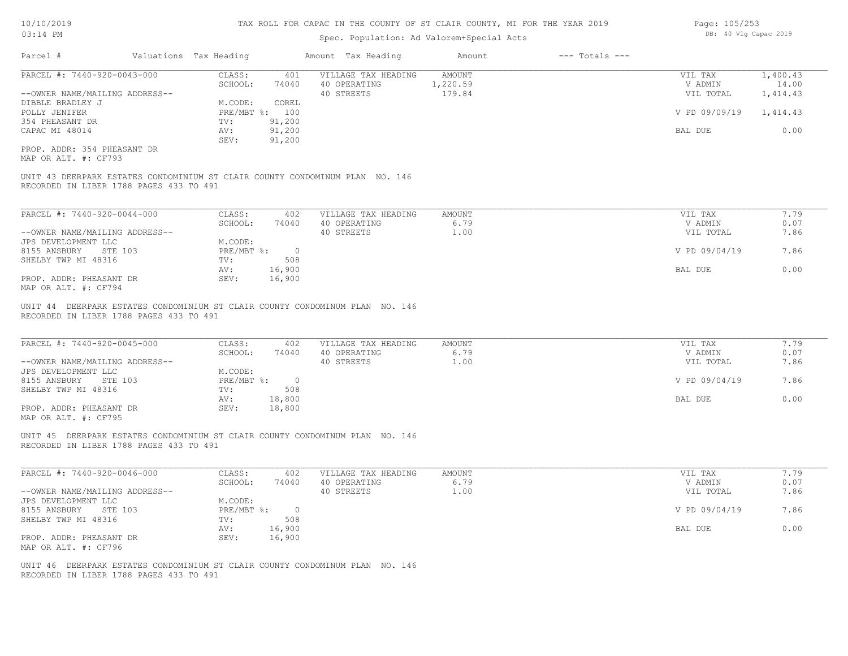### Spec. Population: Ad Valorem+Special Acts

| Valuations Tax Heading<br>Parcel #                                                                                                              |               | Amount Tax Heading         |               |               |          |
|-------------------------------------------------------------------------------------------------------------------------------------------------|---------------|----------------------------|---------------|---------------|----------|
| PARCEL #: 7440-920-0043-000                                                                                                                     | CLASS:        | 401<br>VILLAGE TAX HEADING | <b>AMOUNT</b> | VIL TAX       | 1,400.43 |
|                                                                                                                                                 | SCHOOL:       | 74040<br>40 OPERATING      | 1,220.59      | V ADMIN       | 14.00    |
| --OWNER NAME/MAILING ADDRESS--                                                                                                                  |               | 40 STREETS                 | 179.84        | VIL TOTAL     | 1,414.43 |
| DIBBLE BRADLEY J                                                                                                                                | M.CODE:       | COREL                      |               |               |          |
| POLLY JENIFER                                                                                                                                   | PRE/MBT %:    | 100                        |               | V PD 09/09/19 | 1,414.43 |
| 354 PHEASANT DR                                                                                                                                 | TV:           | 91,200                     |               |               |          |
| CAPAC MI 48014                                                                                                                                  | AV:           | 91,200                     |               | BAL DUE       | 0.00     |
|                                                                                                                                                 | SEV:          | 91,200                     |               |               |          |
| PROP. ADDR: 354 PHEASANT DR                                                                                                                     |               |                            |               |               |          |
|                                                                                                                                                 |               |                            |               |               |          |
| MAP OR ALT. #: CF793<br>UNIT 43 DEERPARK ESTATES CONDOMINIUM ST CLAIR COUNTY CONDOMINUM PLAN NO. 146<br>RECORDED IN LIBER 1788 PAGES 433 TO 491 |               |                            |               |               |          |
|                                                                                                                                                 |               |                            |               |               |          |
| PARCEL #: 7440-920-0044-000                                                                                                                     | CLASS:        | VILLAGE TAX HEADING<br>402 | AMOUNT        | VIL TAX       | 7.79     |
|                                                                                                                                                 | SCHOOL:       | 74040<br>40 OPERATING      | 6.79          | V ADMIN       | 0.07     |
| --OWNER NAME/MAILING ADDRESS--                                                                                                                  |               | 40 STREETS                 | 1.00          | VIL TOTAL     | 7.86     |
| JPS DEVELOPMENT LLC                                                                                                                             | M.CODE:       |                            |               |               |          |
| 8155 ANSBURY<br>STE 103                                                                                                                         | PRE/MBT %:    | $\overline{0}$             |               | V PD 09/04/19 | 7.86     |
| SHELBY TWP MI 48316                                                                                                                             | TV:           | 508                        |               |               |          |
|                                                                                                                                                 | 16,900<br>AV: |                            |               | BAL DUE       | 0.00     |
| PROP. ADDR: PHEASANT DR<br>MAP OR ALT. #: CF794                                                                                                 | SEV:          | 16,900                     |               |               |          |

RECORDED IN LIBER 1788 PAGES 433 TO 491 CLAIR COUNTY CONDOMINUM PLAN NO. 146

| PARCEL #: 7440-920-0045-000    | CLASS:     | 402      | VILLAGE TAX HEADING | AMOUNT      | VIL TAX |               | 7.79 |
|--------------------------------|------------|----------|---------------------|-------------|---------|---------------|------|
|                                | SCHOOL:    | 74040    | 40 OPERATING        | 6.79        |         | V ADMIN       | 0.07 |
| --OWNER NAME/MAILING ADDRESS-- |            |          | 40 STREETS          | $\ldots$ 00 |         | VIL TOTAL     | 7.86 |
| JPS DEVELOPMENT LLC            | M.CODE:    |          |                     |             |         |               |      |
| 8155 ANSBURY<br>STE 103        | PRE/MBT %: | $\Omega$ |                     |             |         | V PD 09/04/19 | 7.86 |
| SHELBY TWP MI 48316            | TV:        | 508      |                     |             |         |               |      |
|                                | AV:        | 18,800   |                     |             | BAL DUE |               | 0.00 |
| PROP. ADDR: PHEASANT DR        | SEV:       | 18,800   |                     |             |         |               |      |
| $\frac{1}{2}$                  |            |          |                     |             |         |               |      |

 $\_$  , and the state of the state of the state of the state of the state of the state of the state of the state of the state of the state of the state of the state of the state of the state of the state of the state of the

MAP OR ALT. #: CF795

RECORDED IN LIBER 1788 PAGES 433 TO 491 UNIT 45 DEERPARK ESTATES CONDOMINIUM ST CLAIR COUNTY CONDOMINUM PLAN NO. 146

| PARCEL #: 7440-920-0046-000    | CLASS:       | 402    | VILLAGE TAX HEADING | AMOUNT | VIL TAX       | 1.79 |
|--------------------------------|--------------|--------|---------------------|--------|---------------|------|
|                                | SCHOOL:      | 74040  | 40 OPERATING        | 6.79   | V ADMIN       | 0.07 |
| --OWNER NAME/MAILING ADDRESS-- |              |        | 40 STREETS          | 1.00   | VIL TOTAL     | 7.86 |
| JPS DEVELOPMENT LLC            | M.CODE:      |        |                     |        |               |      |
| 8155 ANSBURY<br>STE 103        | $PRE/MBT$ %: |        |                     |        | V PD 09/04/19 | 7.86 |
| SHELBY TWP MI 48316            | TV:          | 508    |                     |        |               |      |
|                                | AV:          | 16,900 |                     |        | BAL DUE       | 0.00 |
| PROP. ADDR: PHEASANT DR        | SEV:         | 16,900 |                     |        |               |      |
| MAP OR ALT. #: CF796           |              |        |                     |        |               |      |

RECORDED IN LIBER 1788 PAGES 433 TO 491 UNIT 46 DEERPARK ESTATES CONDOMINIUM ST CLAIR COUNTY CONDOMINUM PLAN NO. 146 Page: 105/253 DB: 40 Vlg Capac 2019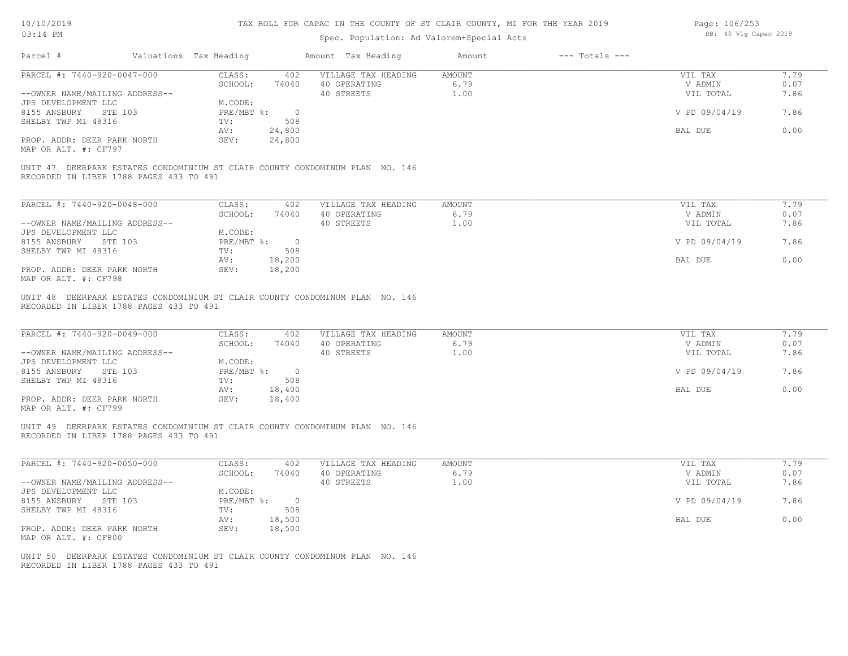| 10/10/2019 |  |
|------------|--|
| 03.14 PM   |  |

| Page: 106/253 |  |                       |  |
|---------------|--|-----------------------|--|
|               |  | DB: 40 Vlg Capac 2019 |  |

| Parcel #<br>Valuations Tax Heading<br>PARCEL #: 7440-920-0047-000<br>--OWNER NAME/MAILING ADDRESS--<br>JPS DEVELOPMENT LLC<br>STE 103<br>8155 ANSBURY | CLASS:<br>SCHOOL:<br>74040        | Amount Tax Heading<br>402 VILLAGE TAX HEADING     | Amount<br>$---$ Totals $---$  |                                 |                      |
|-------------------------------------------------------------------------------------------------------------------------------------------------------|-----------------------------------|---------------------------------------------------|-------------------------------|---------------------------------|----------------------|
|                                                                                                                                                       |                                   |                                                   |                               |                                 |                      |
|                                                                                                                                                       |                                   |                                                   | AMOUNT                        | VIL TAX                         | 7.79                 |
|                                                                                                                                                       |                                   | 40 OPERATING                                      | 6.79                          | V ADMIN                         | 0.07                 |
|                                                                                                                                                       |                                   | 40 STREETS                                        | 1.00                          | VIL TOTAL                       | 7.86                 |
|                                                                                                                                                       | M.CODE:<br>PRE/MBT %: 0           |                                                   |                               |                                 |                      |
|                                                                                                                                                       |                                   |                                                   |                               | V PD 09/04/19                   | 7.86                 |
| SHELBY TWP MI 48316                                                                                                                                   | 508<br>TV:<br>AV:                 |                                                   |                               | BAL DUE                         | 0.00                 |
| PROP. ADDR: DEER PARK NORTH                                                                                                                           | 24,800<br>SEV:<br>24,800          |                                                   |                               |                                 |                      |
| MAP OR ALT. #: CF797                                                                                                                                  |                                   |                                                   |                               |                                 |                      |
| UNIT 47 DEERPARK ESTATES CONDOMINIUM ST CLAIR COUNTY CONDOMINUM PLAN NO. 146<br>RECORDED IN LIBER 1788 PAGES 433 TO 491                               |                                   |                                                   |                               |                                 |                      |
| PARCEL #: 7440-920-0048-000                                                                                                                           | CLASS:<br>402                     | VILLAGE TAX HEADING                               | AMOUNT                        | VIL TAX                         | 7.79                 |
|                                                                                                                                                       | SCHOOL:<br>74040                  | 40 OPERATING                                      | 6.79                          | V ADMIN                         | 0.07                 |
| --OWNER NAME/MAILING ADDRESS--                                                                                                                        |                                   | 40 STREETS                                        | 1.00                          | VIL TOTAL                       | 7.86                 |
| JPS DEVELOPMENT LLC                                                                                                                                   | M.CODE:                           |                                                   |                               |                                 |                      |
| 8155 ANSBURY STE 103                                                                                                                                  | PRE/MBT %: 0                      |                                                   |                               | V PD 09/04/19                   | 7.86                 |
| SHELBY TWP MI 48316                                                                                                                                   | TV:<br>508                        |                                                   |                               |                                 |                      |
|                                                                                                                                                       | 18,200<br>AV:                     |                                                   |                               | BAL DUE                         | 0.00                 |
| PROP. ADDR: DEER PARK NORTH<br>MAP OR ALT. #: CF798                                                                                                   | SEV:<br>18,200                    |                                                   |                               |                                 |                      |
| PARCEL #: 7440-920-0049-000<br>--OWNER NAME/MAILING ADDRESS--                                                                                         | CLASS:<br>402<br>SCHOOL:<br>74040 | VILLAGE TAX HEADING<br>40 OPERATING<br>40 STREETS | <b>AMOUNT</b><br>6.79<br>1.00 | VIL TAX<br>V ADMIN<br>VIL TOTAL | 7.79<br>0.07<br>7.86 |
| JPS DEVELOPMENT LLC                                                                                                                                   | M.CODE:                           |                                                   |                               |                                 |                      |
| 8155 ANSBURY STE 103                                                                                                                                  | PRE/MBT %: 0                      |                                                   |                               | V PD 09/04/19                   | 7.86                 |
| SHELBY TWP MI 48316                                                                                                                                   | TV:<br>508                        |                                                   |                               |                                 |                      |
|                                                                                                                                                       | 18,400<br>AV:                     |                                                   |                               | BAL DUE                         | 0.00                 |
| PROP. ADDR: DEER PARK NORTH<br>MAP OR ALT. #: CF799                                                                                                   | 18,400<br>SEV:                    |                                                   |                               |                                 |                      |
| UNIT 49 DEERPARK ESTATES CONDOMINIUM ST CLAIR COUNTY CONDOMINUM PLAN NO. 146<br>RECORDED IN LIBER 1788 PAGES 433 TO 491                               |                                   |                                                   |                               |                                 |                      |
| PARCEL #: 7440-920-0050-000                                                                                                                           | CLASS:<br>402                     | VILLAGE TAX HEADING                               | AMOUNT                        | VIL TAX                         | 7.79                 |
|                                                                                                                                                       | SCHOOL:<br>74040                  | 40 OPERATING                                      | 6.79                          | V ADMIN                         | 0.07                 |
| --OWNER NAME/MAILING ADDRESS--                                                                                                                        |                                   | 40 STREETS                                        | 1.00                          | VIL TOTAL                       | 7.86                 |
|                                                                                                                                                       | M.CODE:                           |                                                   |                               |                                 |                      |
| JPS DEVELOPMENT LLC                                                                                                                                   |                                   |                                                   |                               | V PD 09/04/19                   | 7.86                 |
| 8155 ANSBURY STE 103                                                                                                                                  | PRE/MBT %: 0                      |                                                   |                               |                                 |                      |
| SHELBY TWP MI 48316                                                                                                                                   | 508<br>TV:                        |                                                   |                               |                                 |                      |
|                                                                                                                                                       | AV:<br>18,500                     |                                                   |                               | BAL DUE                         | 0.00                 |
| PROP. ADDR: DEER PARK NORTH<br>MAP OR ALT. #: CF800                                                                                                   | 18,500<br>SEV:                    |                                                   |                               |                                 |                      |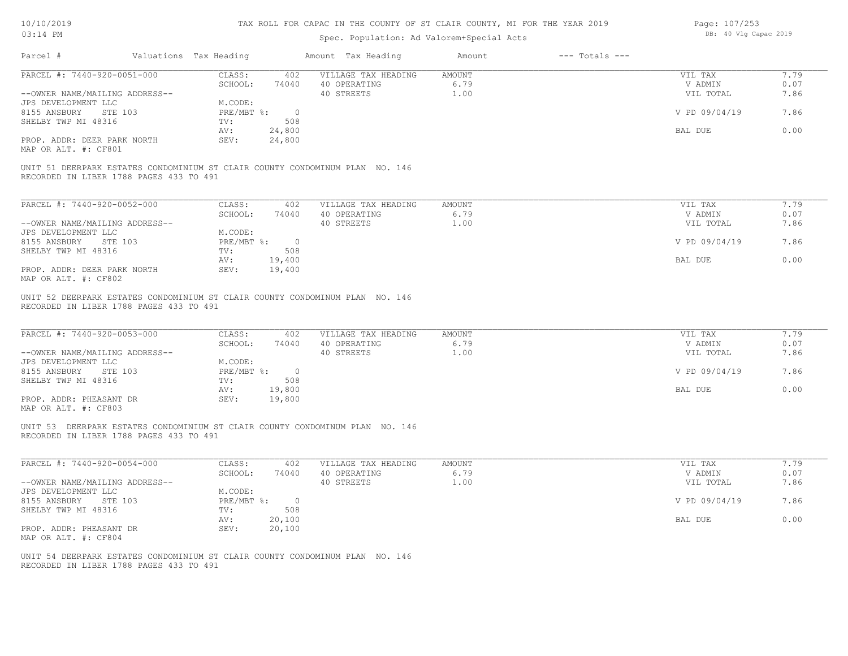#### TAX ROLL FOR CAPAC IN THE COUNTY OF ST CLAIR COUNTY, MI FOR THE YEAR 2019

| Page: 107/253 |  |                       |  |
|---------------|--|-----------------------|--|
|               |  | DB: 40 Vlg Capac 2019 |  |

| Parcel #                                                                                                 | Valuations Tax Heading |                            | Amount Tax Heading                                                           | Amount                 | $---$ Totals $---$ |                                 |                      |
|----------------------------------------------------------------------------------------------------------|------------------------|----------------------------|------------------------------------------------------------------------------|------------------------|--------------------|---------------------------------|----------------------|
| PARCEL #: 7440-920-0051-000                                                                              |                        | CLASS:<br>SCHOOL:          | 402 VILLAGE TAX HEADING<br>74040 40 OPERATING                                | AMOUNT<br>6.79         |                    | VIL TAX<br>V ADMIN              | 7.79<br>0.07         |
| --OWNER NAME/MAILING ADDRESS--                                                                           |                        |                            | 40 STREETS                                                                   | 1.00                   |                    | VIL TOTAL                       | 7.86                 |
| JPS DEVELOPMENT LLC                                                                                      |                        | M.CODE:                    |                                                                              |                        |                    |                                 |                      |
| 8155 ANSBURY STE 103                                                                                     |                        | PRE/MBT %: 0               |                                                                              |                        |                    | V PD 09/04/19                   | 7.86                 |
| SHELBY TWP MI 48316                                                                                      |                        | 508<br>TV:<br>24,800       |                                                                              |                        |                    |                                 | 0.00                 |
| PROP. ADDR: DEER PARK NORTH                                                                              |                        | AV:<br>SEV:<br>24,800      |                                                                              |                        |                    | BAL DUE                         |                      |
| MAP OR ALT. #: CF801                                                                                     |                        |                            |                                                                              |                        |                    |                                 |                      |
|                                                                                                          |                        |                            | UNIT 51 DEERPARK ESTATES CONDOMINIUM ST CLAIR COUNTY CONDOMINUM PLAN NO. 146 |                        |                    |                                 |                      |
| RECORDED IN LIBER 1788 PAGES 433 TO 491                                                                  |                        |                            |                                                                              |                        |                    |                                 |                      |
| PARCEL #: 7440-920-0052-000                                                                              |                        | CLASS:                     | 402<br>VILLAGE TAX HEADING                                                   | <b>AMOUNT</b>          |                    | VIL TAX                         | 7.79                 |
|                                                                                                          |                        | SCHOOL:                    | 74040<br>40 OPERATING                                                        | 6.79                   |                    | V ADMIN                         | 0.07                 |
| --OWNER NAME/MAILING ADDRESS--                                                                           |                        |                            | 40 STREETS                                                                   | 1.00                   |                    | VIL TOTAL                       | 7.86                 |
| JPS DEVELOPMENT LLC                                                                                      |                        | M.CODE:                    |                                                                              |                        |                    |                                 |                      |
| 8155 ANSBURY STE 103<br>SHELBY TWP MI 48316                                                              |                        | PRE/MBT %: 0<br>TV:<br>508 |                                                                              |                        |                    | V PD 09/04/19                   | 7.86                 |
|                                                                                                          |                        | AV:<br>19,400              |                                                                              |                        |                    | BAL DUE                         | 0.00                 |
| PROP. ADDR: DEER PARK NORTH                                                                              |                        | SEV:<br>19,400             |                                                                              |                        |                    |                                 |                      |
| MAP OR ALT. #: CF802                                                                                     |                        |                            |                                                                              |                        |                    |                                 |                      |
| RECORDED IN LIBER 1788 PAGES 433 TO 491<br>PARCEL #: 7440-920-0053-000<br>--OWNER NAME/MAILING ADDRESS-- |                        | CLASS:<br>SCHOOL:          | 402<br>VILLAGE TAX HEADING<br>74040 40 OPERATING<br>40 STREETS               | AMOUNT<br>6.79<br>1.00 |                    | VIL TAX<br>V ADMIN<br>VIL TOTAL | 7.79<br>0.07<br>7.86 |
| JPS DEVELOPMENT LLC<br>8155 ANSBURY STE 103                                                              |                        | M.CODE:<br>PRE/MBT %: 0    |                                                                              |                        |                    | V PD 09/04/19                   | 7.86                 |
| SHELBY TWP MI 48316                                                                                      |                        | 508<br>TV:                 |                                                                              |                        |                    |                                 |                      |
|                                                                                                          |                        | 19,800<br>AV:              |                                                                              |                        |                    | BAL DUE                         | 0.00                 |
| PROP. ADDR: PHEASANT DR<br>MAP OR ALT. #: CF803                                                          |                        | 19,800<br>SEV:             |                                                                              |                        |                    |                                 |                      |
| RECORDED IN LIBER 1788 PAGES 433 TO 491                                                                  |                        |                            | UNIT 53 DEERPARK ESTATES CONDOMINIUM ST CLAIR COUNTY CONDOMINUM PLAN NO. 146 |                        |                    |                                 |                      |
| PARCEL #: 7440-920-0054-000                                                                              |                        | CLASS:                     | 402<br>VILLAGE TAX HEADING                                                   | AMOUNT                 |                    | VIL TAX                         | 7.79                 |
| --OWNER NAME/MAILING ADDRESS--                                                                           |                        | SCHOOL:                    | 40 OPERATING<br>74040<br>40 STREETS                                          | 6.79<br>1.00           |                    | V ADMIN<br>VIL TOTAL            | 0.07<br>7.86         |
| JPS DEVELOPMENT LLC                                                                                      |                        | M.CODE:                    |                                                                              |                        |                    |                                 |                      |
| 8155 ANSBURY STE 103                                                                                     |                        | PRE/MBT %: 0               |                                                                              |                        |                    | V PD 09/04/19                   | 7.86                 |
| SHELBY TWP MI 48316                                                                                      |                        | TV:                        | 508                                                                          |                        |                    |                                 |                      |
|                                                                                                          |                        | AV:<br>20,100              |                                                                              |                        |                    | BAL DUE                         | 0.00                 |
| PROP. ADDR: PHEASANT DR                                                                                  |                        | 20,100<br>SEV:             |                                                                              |                        |                    |                                 |                      |
| MAP OR ALT. #: CF804                                                                                     |                        |                            |                                                                              |                        |                    |                                 |                      |
| RECORDED IN LIBER 1788 PAGES 433 TO 491                                                                  |                        |                            | UNIT 54 DEERPARK ESTATES CONDOMINIUM ST CLAIR COUNTY CONDOMINUM PLAN NO. 146 |                        |                    |                                 |                      |
|                                                                                                          |                        |                            |                                                                              |                        |                    |                                 |                      |
|                                                                                                          |                        |                            |                                                                              |                        |                    |                                 |                      |
|                                                                                                          |                        |                            |                                                                              |                        |                    |                                 |                      |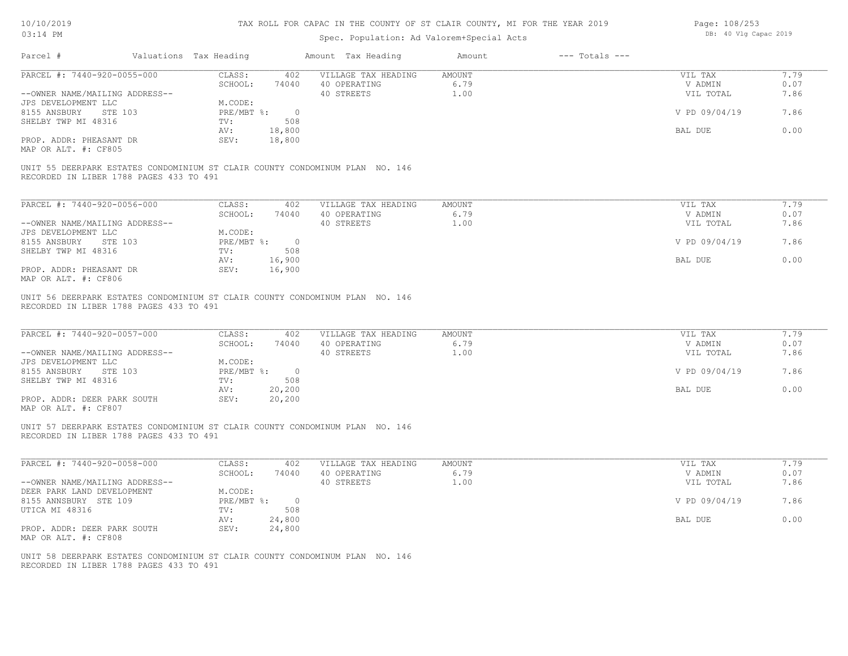| Page: 108/253 |  |                       |  |
|---------------|--|-----------------------|--|
|               |  | DB: 40 Vlg Capac 2019 |  |

|                                                                                                                         | CLASS:<br>402                                         | VILLAGE TAX HEADING                               | AMOUNT                        | VIL TAX                         | 7.79                 |
|-------------------------------------------------------------------------------------------------------------------------|-------------------------------------------------------|---------------------------------------------------|-------------------------------|---------------------------------|----------------------|
| PARCEL #: 7440-920-0055-000                                                                                             | SCHOOL:<br>74040                                      | 40 OPERATING                                      | 6.79                          | V ADMIN                         | 0.07                 |
| --OWNER NAME/MAILING ADDRESS--                                                                                          |                                                       | 40 STREETS                                        | 1.00                          | VIL TOTAL                       | 7.86                 |
| JPS DEVELOPMENT LLC                                                                                                     | M.CODE:                                               |                                                   |                               |                                 |                      |
| 8155 ANSBURY STE 103                                                                                                    | $PRE/MBT$ $\frac{1}{6}$ :<br>$\overline{\phantom{0}}$ |                                                   |                               | V PD 09/04/19                   | 7.86                 |
| SHELBY TWP MI 48316                                                                                                     | 508<br>TV:                                            |                                                   |                               |                                 |                      |
|                                                                                                                         | AV:<br>18,800                                         |                                                   |                               | BAL DUE                         | 0.00                 |
| PROP. ADDR: PHEASANT DR<br>MAP OR ALT. #: CF805                                                                         | SEV:<br>18,800                                        |                                                   |                               |                                 |                      |
| UNIT 55 DEERPARK ESTATES CONDOMINIUM ST CLAIR COUNTY CONDOMINUM PLAN NO. 146<br>RECORDED IN LIBER 1788 PAGES 433 TO 491 |                                                       |                                                   |                               |                                 |                      |
| PARCEL #: 7440-920-0056-000                                                                                             | CLASS:<br>402                                         | VILLAGE TAX HEADING                               | AMOUNT                        | VIL TAX                         | 7.79                 |
|                                                                                                                         | SCHOOL:<br>74040                                      | 40 OPERATING                                      | 6.79                          | V ADMIN                         | 0.07                 |
| --OWNER NAME/MAILING ADDRESS--                                                                                          |                                                       | 40 STREETS                                        | 1.00                          | VIL TOTAL                       | 7.86                 |
| JPS DEVELOPMENT LLC                                                                                                     | M.CODE:                                               |                                                   |                               |                                 |                      |
| 8155 ANSBURY STE 103                                                                                                    | $PRE/MBT$ %:<br>$\overline{\phantom{0}}$              |                                                   |                               | V PD 09/04/19                   | 7.86                 |
| SHELBY TWP MI 48316                                                                                                     | TV:<br>508                                            |                                                   |                               |                                 |                      |
|                                                                                                                         | 16,900<br>AV:                                         |                                                   |                               | BAL DUE                         | 0.00                 |
| PROP. ADDR: PHEASANT DR<br>MAP OR ALT. #: CF806                                                                         | SEV:<br>16,900                                        |                                                   |                               |                                 |                      |
| PARCEL #: 7440-920-0057-000<br>--OWNER NAME/MAILING ADDRESS--                                                           | CLASS:<br>402<br>SCHOOL:<br>74040                     | VILLAGE TAX HEADING<br>40 OPERATING<br>40 STREETS | <b>AMOUNT</b><br>6.79<br>1.00 | VIL TAX<br>V ADMIN<br>VIL TOTAL | 7.79<br>0.07<br>7.86 |
| JPS DEVELOPMENT LLC<br>8155 ANSBURY<br>STE 103                                                                          | M.CODE:<br>$PRE/MBT$ %:<br>$\overline{0}$             |                                                   |                               | V PD 09/04/19                   | 7.86                 |
| SHELBY TWP MI 48316                                                                                                     | 508<br>TV:                                            |                                                   |                               |                                 |                      |
|                                                                                                                         | AV:<br>20,200<br>SEV:<br>20,200                       |                                                   |                               | BAL DUE                         | 0.00                 |
| PROP. ADDR: DEER PARK SOUTH<br>MAP OR ALT. #: CF807                                                                     |                                                       |                                                   |                               |                                 |                      |
| UNIT 57 DEERPARK ESTATES CONDOMINIUM ST CLAIR COUNTY CONDOMINUM PLAN NO. 146<br>RECORDED IN LIBER 1788 PAGES 433 TO 491 |                                                       |                                                   |                               |                                 |                      |
| PARCEL #: 7440-920-0058-000                                                                                             | CLASS:<br>402                                         | VILLAGE TAX HEADING                               | <b>AMOUNT</b>                 | VIL TAX                         | 7.79                 |
|                                                                                                                         | SCHOOL:<br>74040                                      | 40 OPERATING                                      | 6.79                          | V ADMIN                         | 0.07                 |
| --OWNER NAME/MAILING ADDRESS--                                                                                          |                                                       | 40 STREETS                                        | 1.00                          | VIL TOTAL                       | 7.86                 |
| DEER PARK LAND DEVELOPMENT                                                                                              | M.CODE:                                               |                                                   |                               |                                 |                      |
| 8155 ANNSBURY STE 109                                                                                                   | PRE/MBT %:<br>$\circ$                                 |                                                   |                               | V PD 09/04/19                   | 7.86                 |
| UTICA MI 48316                                                                                                          | TV:<br>508                                            |                                                   |                               |                                 |                      |
| PROP. ADDR: DEER PARK SOUTH<br>MAP OR ALT. #: CF808                                                                     | 24,800<br>AV:<br>SEV:<br>24,800                       |                                                   |                               | BAL DUE                         | 0.00                 |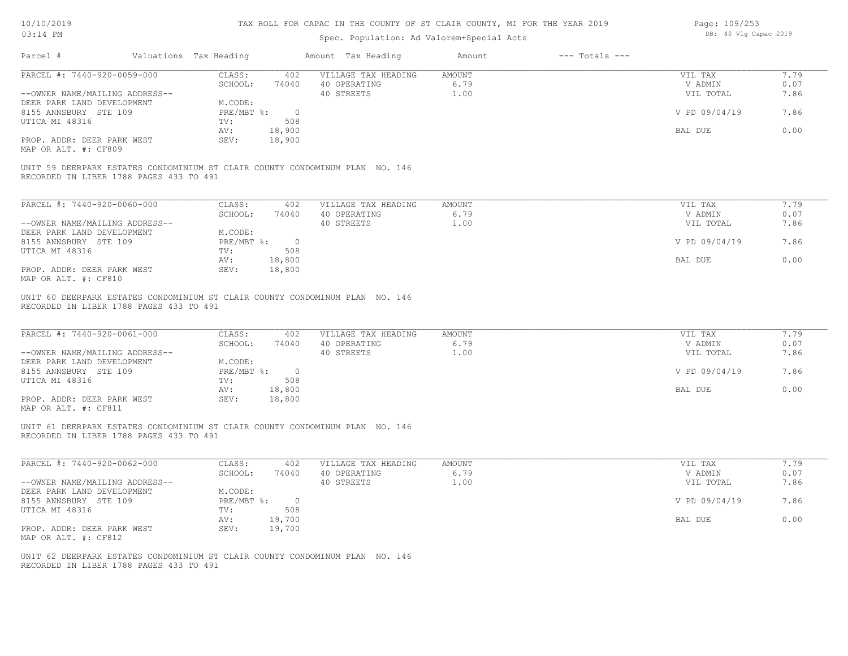### TAX ROLL FOR CAPAC IN THE COUNTY OF ST CLAIR COUNTY, MI FOR THE YEAR 2019

# Spec. Population: Ad Valorem+Special Acts

| Page: 109/253 |  |                       |  |
|---------------|--|-----------------------|--|
|               |  | DB: 40 Vlg Capac 2019 |  |

| Parcel #                                                                                                                | Valuations Tax Heading                       | Amount Tax Heading                                | Amount                 | $---$ Totals $---$ |                                 |                      |
|-------------------------------------------------------------------------------------------------------------------------|----------------------------------------------|---------------------------------------------------|------------------------|--------------------|---------------------------------|----------------------|
| PARCEL #: 7440-920-0059-000                                                                                             | CLASS:                                       | 402 VILLAGE TAX HEADING                           | AMOUNT                 |                    | VIL TAX                         | 7.79                 |
| --OWNER NAME/MAILING ADDRESS--                                                                                          | SCHOOL:<br>74040                             | 40 OPERATING<br>40 STREETS                        | 6.79<br>1.00           |                    | V ADMIN<br>VIL TOTAL            | 0.07<br>7.86         |
| DEER PARK LAND DEVELOPMENT                                                                                              | M.CODE:                                      |                                                   |                        |                    |                                 |                      |
| 8155 ANNSBURY STE 109                                                                                                   | PRE/MBT %: 0                                 |                                                   |                        |                    | V PD 09/04/19                   | 7.86                 |
| UTICA MI 48316                                                                                                          | TV:<br>508                                   |                                                   |                        |                    |                                 |                      |
|                                                                                                                         | 18,900<br>AV:                                |                                                   |                        |                    | BAL DUE                         | 0.00                 |
| PROP. ADDR: DEER PARK WEST<br>MAP OR ALT. #: CF809                                                                      | SEV:<br>18,900                               |                                                   |                        |                    |                                 |                      |
| UNIT 59 DEERPARK ESTATES CONDOMINIUM ST CLAIR COUNTY CONDOMINUM PLAN NO. 146<br>RECORDED IN LIBER 1788 PAGES 433 TO 491 |                                              |                                                   |                        |                    |                                 |                      |
| PARCEL #: 7440-920-0060-000                                                                                             | CLASS:<br>402                                | VILLAGE TAX HEADING                               | AMOUNT                 |                    | VIL TAX                         | 7.79                 |
|                                                                                                                         | SCHOOL:<br>74040                             | 40 OPERATING                                      | 6.79                   |                    | V ADMIN                         | 0.07                 |
| --OWNER NAME/MAILING ADDRESS--                                                                                          |                                              | 40 STREETS                                        | 1.00                   |                    | VIL TOTAL                       | 7.86                 |
| DEER PARK LAND DEVELOPMENT                                                                                              | M.CODE:                                      |                                                   |                        |                    |                                 |                      |
| 8155 ANNSBURY STE 109                                                                                                   | $PRE/MBT$ $\frac{1}{6}$ : 0                  |                                                   |                        |                    | V PD 09/04/19                   | 7.86                 |
| UTICA MI 48316                                                                                                          | 508<br>TV:                                   |                                                   |                        |                    |                                 |                      |
|                                                                                                                         | 18,800<br>AV:                                |                                                   |                        |                    | BAL DUE                         | 0.00                 |
| PROP. ADDR: DEER PARK WEST<br>MAP OR ALT. #: CF810                                                                      | SEV:<br>18,800                               |                                                   |                        |                    |                                 |                      |
| PARCEL #: 7440-920-0061-000<br>--OWNER NAME/MAILING ADDRESS--<br>DEER PARK LAND DEVELOPMENT                             | CLASS:<br>402<br>SCHOOL:<br>74040<br>M.CODE: | VILLAGE TAX HEADING<br>40 OPERATING<br>40 STREETS | AMOUNT<br>6.79<br>1.00 |                    | VIL TAX<br>V ADMIN<br>VIL TOTAL | 7.79<br>0.07<br>7.86 |
| 8155 ANNSBURY STE 109                                                                                                   | PRE/MBT %: 0                                 |                                                   |                        |                    | V PD 09/04/19                   | 7.86                 |
| UTICA MI 48316                                                                                                          | TV:<br>508                                   |                                                   |                        |                    |                                 |                      |
| PROP. ADDR: DEER PARK WEST<br>MAP OR ALT. #: CF811                                                                      | 18,800<br>AV:<br>SEV:<br>18,800              |                                                   |                        |                    | BAL DUE                         | 0.00                 |
| UNIT 61 DEERPARK ESTATES CONDOMINIUM ST CLAIR COUNTY CONDOMINUM PLAN NO. 146<br>RECORDED IN LIBER 1788 PAGES 433 TO 491 |                                              |                                                   |                        |                    |                                 |                      |
| PARCEL #: 7440-920-0062-000                                                                                             | CLASS:<br>402                                | VILLAGE TAX HEADING                               | AMOUNT                 |                    | VIL TAX                         | 7.79                 |
|                                                                                                                         | SCHOOL:<br>74040                             | 40 OPERATING                                      | 6.79                   |                    | V ADMIN                         | 0.07                 |
| --OWNER NAME/MAILING ADDRESS--                                                                                          |                                              | 40 STREETS                                        | 1.00                   |                    | VIL TOTAL                       | 7.86                 |
| DEER PARK LAND DEVELOPMENT                                                                                              | M.CODE:                                      |                                                   |                        |                    |                                 |                      |
| 8155 ANNSBURY STE 109                                                                                                   | PRE/MBT %: 0                                 |                                                   |                        |                    | V PD 09/04/19                   | 7.86                 |
| UTICA MI 48316                                                                                                          | 508<br>TV:                                   |                                                   |                        |                    |                                 |                      |
| PROP. ADDR: DEER PARK WEST<br>MAP OR ALT. #: CF812                                                                      | 19,700<br>AV:<br>SEV:<br>19,700              |                                                   |                        |                    | BAL DUE                         | 0.00                 |
| UNIT 62 DEERPARK ESTATES CONDOMINIUM ST CLAIR COUNTY CONDOMINUM PLAN NO. 146                                            |                                              |                                                   |                        |                    |                                 |                      |
| RECORDED IN LIBER 1788 PAGES 433 TO 491                                                                                 |                                              |                                                   |                        |                    |                                 |                      |
|                                                                                                                         |                                              |                                                   |                        |                    |                                 |                      |
|                                                                                                                         |                                              |                                                   |                        |                    |                                 |                      |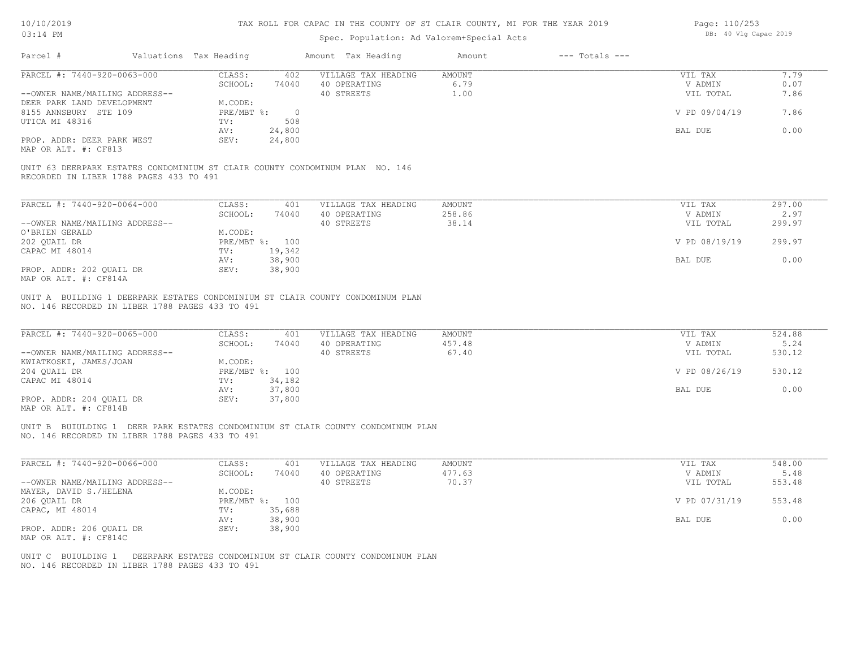# Spec. Population: Ad Valorem+Special Acts

Page: 110/253 DB: 40 Vlg Capac 2019

| Parcel #                                                                       | Valuations Tax Heading |                  |                  | Amount Tax Heading                                                               | Amount        | $---$ Totals $---$ |               |        |
|--------------------------------------------------------------------------------|------------------------|------------------|------------------|----------------------------------------------------------------------------------|---------------|--------------------|---------------|--------|
| PARCEL #: 7440-920-0063-000                                                    |                        | CLASS:           | 402              | VILLAGE TAX HEADING                                                              | <b>AMOUNT</b> |                    | VIL TAX       | 7.79   |
|                                                                                |                        | SCHOOL:          | 74040            | 40 OPERATING                                                                     | 6.79          |                    | V ADMIN       | 0.07   |
| --OWNER NAME/MAILING ADDRESS--                                                 |                        |                  |                  | 40 STREETS                                                                       | 1.00          |                    | VIL TOTAL     | 7.86   |
| DEER PARK LAND DEVELOPMENT                                                     |                        | M.CODE:          |                  |                                                                                  |               |                    |               |        |
| 8155 ANNSBURY STE 109                                                          |                        | $PRE/MBT$ $\div$ | $\overline{0}$   |                                                                                  |               |                    | V PD 09/04/19 | 7.86   |
| UTICA MI 48316                                                                 |                        | TV:<br>AV:       | 508<br>24,800    |                                                                                  |               |                    | BAL DUE       | 0.00   |
| PROP. ADDR: DEER PARK WEST<br>MAP OR ALT. #: CF813                             |                        | SEV:             | 24,800           |                                                                                  |               |                    |               |        |
|                                                                                |                        |                  |                  |                                                                                  |               |                    |               |        |
| UNIT 63 DEERPARK ESTATES CONDOMINIUM ST CLAIR COUNTY CONDOMINUM PLAN NO. 146   |                        |                  |                  |                                                                                  |               |                    |               |        |
| RECORDED IN LIBER 1788 PAGES 433 TO 491                                        |                        |                  |                  |                                                                                  |               |                    |               |        |
|                                                                                |                        |                  |                  |                                                                                  |               |                    |               |        |
| PARCEL #: 7440-920-0064-000                                                    |                        | CLASS:           | 401              | VILLAGE TAX HEADING                                                              | <b>AMOUNT</b> |                    | VIL TAX       | 297.00 |
|                                                                                |                        | SCHOOL:          | 74040            | 40 OPERATING                                                                     | 258.86        |                    | V ADMIN       | 2.97   |
| --OWNER NAME/MAILING ADDRESS--                                                 |                        |                  |                  | 40 STREETS                                                                       | 38.14         |                    | VIL TOTAL     | 299.97 |
| O'BRIEN GERALD                                                                 |                        | M.CODE:          |                  |                                                                                  |               |                    |               |        |
| 202 QUAIL DR                                                                   |                        |                  | PRE/MBT %: 100   |                                                                                  |               |                    | V PD 08/19/19 | 299.97 |
| CAPAC MI 48014                                                                 |                        | TV:              | 19,342           |                                                                                  |               |                    |               |        |
|                                                                                |                        | AV:              | 38,900           |                                                                                  |               |                    | BAL DUE       | 0.00   |
| PROP. ADDR: 202 OUAIL DR                                                       |                        | SEV:             | 38,900           |                                                                                  |               |                    |               |        |
| MAP OR ALT. #: CF814A                                                          |                        |                  |                  |                                                                                  |               |                    |               |        |
| NO. 146 RECORDED IN LIBER 1788 PAGES 433 TO 491<br>PARCEL #: 7440-920-0065-000 |                        | CLASS:           | 401              | VILLAGE TAX HEADING                                                              | <b>AMOUNT</b> |                    | VIL TAX       | 524.88 |
|                                                                                |                        | SCHOOL:          | 74040            | 40 OPERATING                                                                     | 457.48        |                    | V ADMIN       | 5.24   |
| --OWNER NAME/MAILING ADDRESS--                                                 |                        |                  |                  | 40 STREETS                                                                       | 67.40         |                    | VIL TOTAL     | 530.12 |
| KWIATKOSKI, JAMES/JOAN                                                         |                        | M.CODE:          |                  |                                                                                  |               |                    |               |        |
| 204 QUAIL DR                                                                   |                        |                  | PRE/MBT %: 100   |                                                                                  |               |                    | V PD 08/26/19 | 530.12 |
| CAPAC MI 48014                                                                 |                        | TV:              | 34,182           |                                                                                  |               |                    |               |        |
|                                                                                |                        | AV:              | 37,800           |                                                                                  |               |                    | BAL DUE       | 0.00   |
| PROP. ADDR: 204 OUAIL DR<br>MAP OR ALT. #: CF814B                              |                        | SEV:             | 37,800           |                                                                                  |               |                    |               |        |
|                                                                                |                        |                  |                  |                                                                                  |               |                    |               |        |
| NO. 146 RECORDED IN LIBER 1788 PAGES 433 TO 491                                |                        |                  |                  | UNIT B BUIULDING 1 DEER PARK ESTATES CONDOMINIUM ST CLAIR COUNTY CONDOMINUM PLAN |               |                    |               |        |
|                                                                                |                        |                  |                  |                                                                                  |               |                    |               |        |
| PARCEL #: 7440-920-0066-000                                                    |                        | CLASS:           | 401              | VILLAGE TAX HEADING                                                              | <b>AMOUNT</b> |                    | VIL TAX       | 548.00 |
|                                                                                |                        | SCHOOL:          | 74040            | 40 OPERATING                                                                     | 477.63        |                    | V ADMIN       | 5.48   |
| --OWNER NAME/MAILING ADDRESS--                                                 |                        |                  |                  | 40 STREETS                                                                       | 70.37         |                    | VIL TOTAL     | 553.48 |
| MAYER, DAVID S./HELENA                                                         |                        | M.CODE:          |                  |                                                                                  |               |                    |               |        |
| 206 QUAIL DR                                                                   |                        |                  | PRE/MBT %: 100   |                                                                                  |               |                    | V PD 07/31/19 | 553.48 |
| CAPAC, MI 48014                                                                |                        | TV:<br>AV:       | 35,688<br>38,900 |                                                                                  |               |                    | BAL DUE       | 0.00   |
| PROP. ADDR: 206 OUAIL DR                                                       |                        | SEV:             | 38,900           |                                                                                  |               |                    |               |        |
| MAP OR ALT. #: CF814C                                                          |                        |                  |                  |                                                                                  |               |                    |               |        |
|                                                                                |                        |                  |                  |                                                                                  |               |                    |               |        |
| NO. 146 RECORDED IN LIBER 1788 PAGES 433 TO 491                                |                        |                  |                  | UNIT C BUIULDING 1 DEERPARK ESTATES CONDOMINIUM ST CLAIR COUNTY CONDOMINUM PLAN  |               |                    |               |        |
|                                                                                |                        |                  |                  |                                                                                  |               |                    |               |        |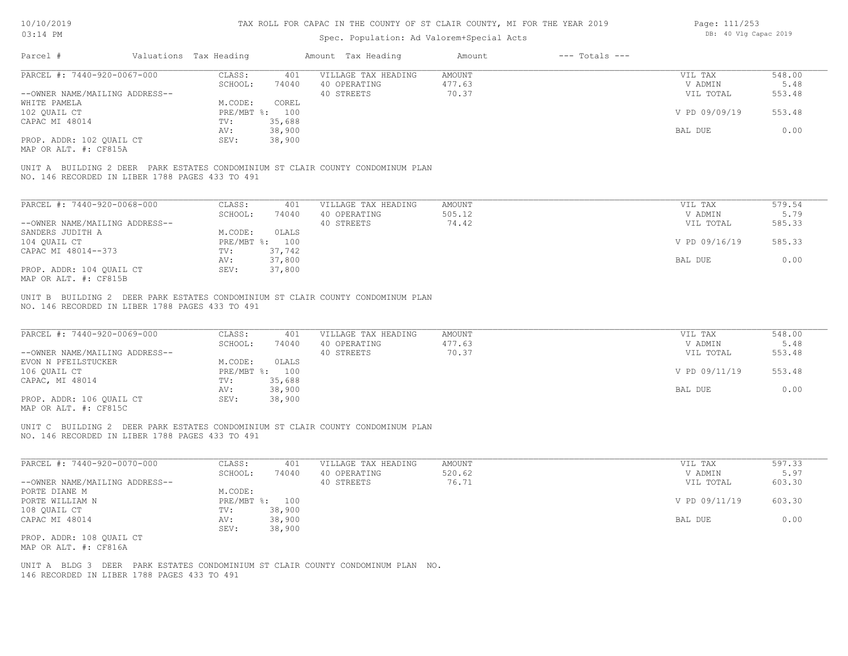# Spec. Population: Ad Valorem+Special Acts

| Page: 111/253 |  |                       |  |
|---------------|--|-----------------------|--|
|               |  | DB: 40 Vlg Capac 2019 |  |

| PARCEL #: 7440-920-0067-000<br>--OWNER NAME/MAILING ADDRESS--                                                                      | CLASS:<br>401<br>SCHOOL:<br>74040           | VILLAGE TAX HEADING                 | AMOUNT           | VIL TAX              | 548.00         |
|------------------------------------------------------------------------------------------------------------------------------------|---------------------------------------------|-------------------------------------|------------------|----------------------|----------------|
|                                                                                                                                    |                                             |                                     |                  |                      |                |
|                                                                                                                                    |                                             | 40 OPERATING<br>40 STREETS          | 477.63<br>70.37  | V ADMIN<br>VIL TOTAL | 5.48<br>553.48 |
| WHITE PAMELA                                                                                                                       | M.CODE:<br>COREL                            |                                     |                  |                      |                |
| 102 QUAIL CT                                                                                                                       | PRE/MBT %: 100                              |                                     |                  | V PD 09/09/19        | 553.48         |
| CAPAC MI 48014                                                                                                                     | 35,688<br>TV:                               |                                     |                  |                      |                |
|                                                                                                                                    | 38,900<br>AV:                               |                                     |                  | BAL DUE              | 0.00           |
| PROP. ADDR: 102 QUAIL CT                                                                                                           | 38,900<br>SEV:                              |                                     |                  |                      |                |
| MAP OR ALT. #: CF815A                                                                                                              |                                             |                                     |                  |                      |                |
| UNIT A BUILDING 2 DEER PARK ESTATES CONDOMINIUM ST CLAIR COUNTY CONDOMINUM PLAN<br>NO. 146 RECORDED IN LIBER 1788 PAGES 433 TO 491 |                                             |                                     |                  |                      |                |
| PARCEL #: 7440-920-0068-000                                                                                                        | CLASS:<br>401                               | VILLAGE TAX HEADING                 | AMOUNT           | VIL TAX              | 579.54         |
|                                                                                                                                    | SCHOOL:<br>74040                            | 40 OPERATING                        | 505.12           | V ADMIN              | 5.79           |
| --OWNER NAME/MAILING ADDRESS--                                                                                                     |                                             | 40 STREETS                          | 74.42            | VIL TOTAL            | 585.33         |
| SANDERS JUDITH A                                                                                                                   | OLALS<br>M.CODE:                            |                                     |                  |                      |                |
| 104 QUAIL CT                                                                                                                       | PRE/MBT %: 100                              |                                     |                  | V PD 09/16/19        | 585.33         |
| CAPAC MI 48014--373                                                                                                                | 37,742<br>TV:                               |                                     |                  |                      |                |
| PROP. ADDR: 104 QUAIL CT<br>MAP OR ALT. #: CF815B                                                                                  | 37,800<br>AV:<br>SEV:<br>37,800             |                                     |                  | BAL DUE              | 0.00           |
| PARCEL #: 7440-920-0069-000                                                                                                        | CLASS:<br>401<br>SCHOOL:<br>74040           | VILLAGE TAX HEADING<br>40 OPERATING | AMOUNT<br>477.63 | VIL TAX<br>V ADMIN   | 548.00<br>5.48 |
| --OWNER NAME/MAILING ADDRESS--                                                                                                     |                                             | 40 STREETS                          | 70.37            | VIL TOTAL            | 553.48         |
| EVON N PFEILSTUCKER                                                                                                                | OLALS<br>M.CODE:                            |                                     |                  |                      |                |
| 106 QUAIL CT                                                                                                                       | PRE/MBT %: 100                              |                                     |                  | V PD 09/11/19        | 553.48         |
| CAPAC, MI 48014                                                                                                                    | 35,688<br>TV:                               |                                     |                  |                      |                |
| PROP. ADDR: 106 QUAIL CT                                                                                                           | 38,900<br>AV:<br>SEV:<br>38,900             |                                     |                  | BAL DUE              | 0.00           |
| MAP OR ALT. #: CF815C                                                                                                              |                                             |                                     |                  |                      |                |
|                                                                                                                                    |                                             |                                     |                  |                      |                |
| UNIT C BUILDING 2 DEER PARK ESTATES CONDOMINIUM ST CLAIR COUNTY CONDOMINUM PLAN<br>NO. 146 RECORDED IN LIBER 1788 PAGES 433 TO 491 |                                             |                                     |                  |                      |                |
| PARCEL #: 7440-920-0070-000                                                                                                        | CLASS:<br>401                               | VILLAGE TAX HEADING                 | AMOUNT           | VIL TAX              | 597.33         |
|                                                                                                                                    | SCHOOL:<br>74040                            | 40 OPERATING                        | 520.62           | V ADMIN              | 5.97           |
| --OWNER NAME/MAILING ADDRESS--                                                                                                     |                                             | 40 STREETS                          | 76.71            | VIL TOTAL            | 603.30         |
| PORTE DIANE M                                                                                                                      | M.CODE:                                     |                                     |                  |                      |                |
| PORTE WILLIAM N                                                                                                                    | PRE/MBT %: 100                              |                                     |                  | V PD 09/11/19        | 603.30         |
| 108 QUAIL CT<br>CAPAC MI 48014                                                                                                     | TV:<br>38,900<br>AV:<br>38,900              |                                     |                  | BAL DUE              | 0.00           |
|                                                                                                                                    | 38,900<br>SEV:                              |                                     |                  |                      |                |
| PROP. ADDR: 108 QUAIL CT                                                                                                           |                                             |                                     |                  |                      |                |
| MAP OR ALT. #: CF816A                                                                                                              |                                             |                                     |                  |                      |                |
| UNIT A BLDG 3 DEER PARK ESTATES CONDOMINIUM ST CLAIR COUNTY CONDOMINUM PLAN NO.                                                    | 146 RECORDED IN LIBER 1788 PAGES 433 TO 491 |                                     |                  |                      |                |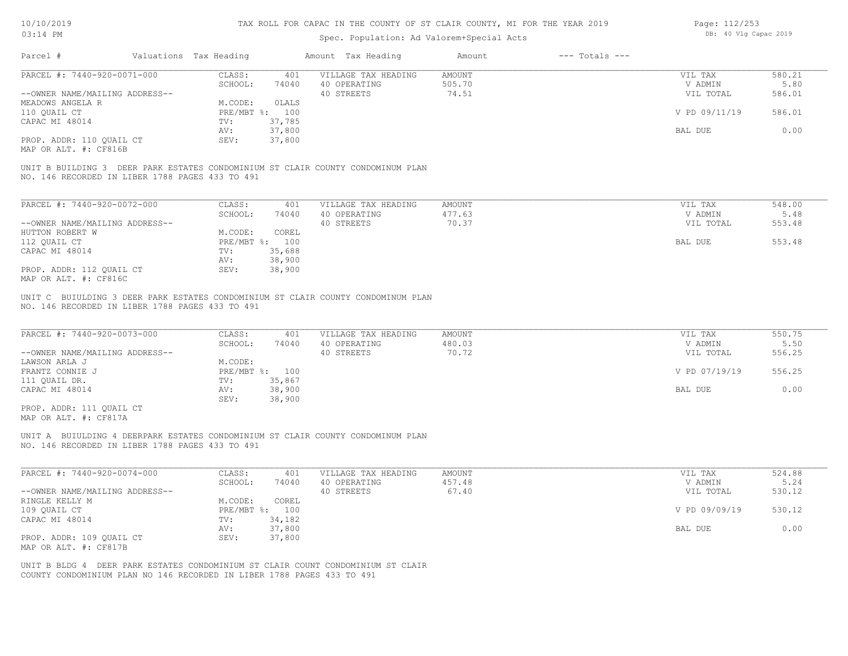| Page: 112/253 |  |                       |  |
|---------------|--|-----------------------|--|
|               |  | DB: 40 Vlg Capac 2019 |  |

| 03:14 PM                                                                                                                           |                                   |                                     | Spec. Population: Ad Valorem+Special Acts |                    |                    | DB: 40 Vlg Capac 2019 |  |  |
|------------------------------------------------------------------------------------------------------------------------------------|-----------------------------------|-------------------------------------|-------------------------------------------|--------------------|--------------------|-----------------------|--|--|
| Parcel #<br>Valuations Tax Heading                                                                                                 |                                   | Amount Tax Heading                  | Amount                                    | $---$ Totals $---$ |                    |                       |  |  |
| PARCEL #: 7440-920-0071-000                                                                                                        | CLASS:<br>401                     | VILLAGE TAX HEADING                 | <b>AMOUNT</b>                             |                    | VIL TAX            | 580.21                |  |  |
|                                                                                                                                    | SCHOOL:<br>74040                  | 40 OPERATING                        | 505.70                                    |                    | V ADMIN            | 5.80                  |  |  |
| --OWNER NAME/MAILING ADDRESS--                                                                                                     |                                   | 40 STREETS                          | 74.51                                     |                    | VIL TOTAL          | 586.01                |  |  |
| MEADOWS ANGELA R                                                                                                                   | M.CODE:<br>0LALS                  |                                     |                                           |                    |                    |                       |  |  |
| 110 QUAIL CT                                                                                                                       | PRE/MBT %: 100                    |                                     |                                           |                    | V PD 09/11/19      | 586.01                |  |  |
| CAPAC MI 48014                                                                                                                     | TV:<br>37,785<br>37,800<br>AV:    |                                     |                                           |                    | BAL DUE            | 0.00                  |  |  |
| PROP. ADDR: 110 QUAIL CT<br>MAP OR ALT. #: CF816B                                                                                  | 37,800<br>SEV:                    |                                     |                                           |                    |                    |                       |  |  |
| UNIT B BUILDING 3 DEER PARK ESTATES CONDOMINIUM ST CLAIR COUNTY CONDOMINUM PLAN<br>NO. 146 RECORDED IN LIBER 1788 PAGES 433 TO 491 |                                   |                                     |                                           |                    |                    |                       |  |  |
| PARCEL #: 7440-920-0072-000                                                                                                        | CLASS:<br>401                     | VILLAGE TAX HEADING                 | <b>AMOUNT</b>                             |                    | VIL TAX            | 548.00                |  |  |
|                                                                                                                                    | SCHOOL:<br>74040                  | 40 OPERATING                        | 477.63                                    |                    | V ADMIN            | 5.48                  |  |  |
| --OWNER NAME/MAILING ADDRESS--                                                                                                     |                                   | 40 STREETS                          | 70.37                                     |                    | VIL TOTAL          | 553.48                |  |  |
| HUTTON ROBERT W                                                                                                                    | COREL<br>M.CODE:                  |                                     |                                           |                    |                    |                       |  |  |
| 112 QUAIL CT                                                                                                                       | PRE/MBT %: 100                    |                                     |                                           |                    | BAL DUE            | 553.48                |  |  |
| CAPAC MI 48014                                                                                                                     | 35,688<br>TV:                     |                                     |                                           |                    |                    |                       |  |  |
|                                                                                                                                    | 38,900<br>AV:                     |                                     |                                           |                    |                    |                       |  |  |
| PROP. ADDR: 112 QUAIL CT                                                                                                           | 38,900<br>SEV:                    |                                     |                                           |                    |                    |                       |  |  |
| MAP OR ALT. #: CF816C                                                                                                              |                                   |                                     |                                           |                    |                    |                       |  |  |
| PARCEL #: 7440-920-0073-000                                                                                                        | CLASS:<br>401<br>SCHOOL:<br>74040 | VILLAGE TAX HEADING<br>40 OPERATING | AMOUNT<br>480.03                          |                    | VIL TAX<br>V ADMIN | 550.75<br>5.50        |  |  |
| --OWNER NAME/MAILING ADDRESS--                                                                                                     |                                   | 40 STREETS                          | 70.72                                     |                    | VIL TOTAL          | 556.25                |  |  |
| LAWSON ARLA J                                                                                                                      | M.CODE:                           |                                     |                                           |                    |                    |                       |  |  |
| FRANTZ CONNIE J                                                                                                                    | PRE/MBT %: 100                    |                                     |                                           |                    | V PD 07/19/19      | 556.25                |  |  |
| 111 QUAIL DR.                                                                                                                      | TV:<br>35,867                     |                                     |                                           |                    |                    |                       |  |  |
| CAPAC MI 48014                                                                                                                     | 38,900<br>AV:                     |                                     |                                           |                    | BAL DUE            | 0.00                  |  |  |
|                                                                                                                                    | 38,900<br>SEV:                    |                                     |                                           |                    |                    |                       |  |  |
| PROP. ADDR: 111 QUAIL CT<br>MAP OR ALT. #: CF817A                                                                                  |                                   |                                     |                                           |                    |                    |                       |  |  |
| UNIT A BUIULDING 4 DEERPARK ESTATES CONDOMINIUM ST CLAIR COUNTY CONDOMINUM PLAN<br>NO. 146 RECORDED IN LIBER 1788 PAGES 433 TO 491 |                                   |                                     |                                           |                    |                    |                       |  |  |
| PARCEL #: 7440-920-0074-000                                                                                                        | CLASS:<br>401                     | VILLAGE TAX HEADING                 | <b>AMOUNT</b>                             |                    | VIL TAX            | 524.88                |  |  |
|                                                                                                                                    | SCHOOL:<br>74040                  | 40 OPERATING                        | 457.48                                    |                    | V ADMIN            | 5.24                  |  |  |
| --OWNER NAME/MAILING ADDRESS--                                                                                                     |                                   | 40 STREETS                          | 67.40                                     |                    | VIL TOTAL          | 530.12                |  |  |
| RINGLE KELLY M                                                                                                                     | COREL<br>M.CODE:                  |                                     |                                           |                    |                    |                       |  |  |
| 109 QUAIL CT                                                                                                                       | PRE/MBT %: 100                    |                                     |                                           |                    | V PD 09/09/19      | 530.12                |  |  |
| CAPAC MI 48014                                                                                                                     | 34,182<br>TV:                     |                                     |                                           |                    |                    |                       |  |  |
|                                                                                                                                    | 37,800<br>AV:                     |                                     |                                           |                    | BAL DUE            | 0.00                  |  |  |
| PROP. ADDR: 109 QUAIL CT<br>MAP OR ALT. #: CF817B                                                                                  | SEV:<br>37,800                    |                                     |                                           |                    |                    |                       |  |  |
| UNIT B BLDG 4 DEER PARK ESTATES CONDOMINIUM ST CLAIR COUNT CONDOMINIUM ST CLAIR                                                    |                                   |                                     |                                           |                    |                    |                       |  |  |

COUNTY CONDOMINIUM PLAN NO 146 RECORDED IN LIBER 1788 PAGES 433 TO 491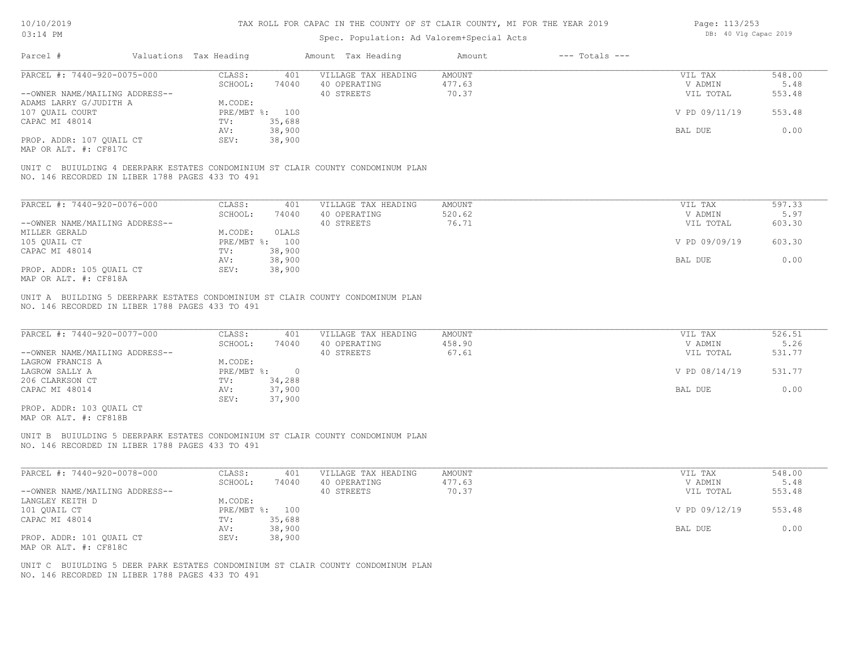| Page: 113/253 |  |                       |  |
|---------------|--|-----------------------|--|
|               |  | DB: 40 Vlg Capac 2019 |  |

|                                                                                                                                                                               |                                                                                                              | Spec. Population: Ad Valorem+Special Acts         |                              | DD. 40 VIY Capac 2015                            |                                    |  |
|-------------------------------------------------------------------------------------------------------------------------------------------------------------------------------|--------------------------------------------------------------------------------------------------------------|---------------------------------------------------|------------------------------|--------------------------------------------------|------------------------------------|--|
| Valuations Tax Heading<br>Parcel #                                                                                                                                            |                                                                                                              | Amount Tax Heading                                | $---$ Totals $---$<br>Amount |                                                  |                                    |  |
| PARCEL #: 7440-920-0075-000                                                                                                                                                   | CLASS:<br>401                                                                                                | VILLAGE TAX HEADING                               | <b>AMOUNT</b>                | VIL TAX                                          | 548.00                             |  |
|                                                                                                                                                                               | SCHOOL:<br>74040                                                                                             | 40 OPERATING                                      | 477.63                       | V ADMIN                                          | 5.48                               |  |
| --OWNER NAME/MAILING ADDRESS--                                                                                                                                                |                                                                                                              | 40 STREETS                                        | 70.37                        | VIL TOTAL                                        | 553.48                             |  |
| ADAMS LARRY G/JUDITH A                                                                                                                                                        | M.CODE:                                                                                                      |                                                   |                              |                                                  |                                    |  |
| 107 OUAIL COURT                                                                                                                                                               | PRE/MBT %: 100                                                                                               |                                                   |                              | V PD 09/11/19                                    | 553.48                             |  |
| CAPAC MI 48014                                                                                                                                                                | 35,688<br>TV:                                                                                                |                                                   |                              |                                                  |                                    |  |
|                                                                                                                                                                               | 38,900<br>AV:                                                                                                |                                                   |                              | BAL DUE                                          | 0.00                               |  |
| PROP. ADDR: 107 OUAIL CT<br>MAP OR ALT. #: CF817C                                                                                                                             | 38,900<br>SEV:                                                                                               |                                                   |                              |                                                  |                                    |  |
| UNIT C BUIULDING 4 DEERPARK ESTATES CONDOMINIUM ST CLAIR COUNTY CONDOMINUM PLAN<br>NO. 146 RECORDED IN LIBER 1788 PAGES 433 TO 491                                            |                                                                                                              |                                                   |                              |                                                  |                                    |  |
| PARCEL #: 7440-920-0076-000                                                                                                                                                   | CLASS:<br>401                                                                                                | VILLAGE TAX HEADING                               | AMOUNT                       | VIL TAX                                          | 597.33                             |  |
|                                                                                                                                                                               | SCHOOL:<br>74040                                                                                             | 40 OPERATING                                      | 520.62                       | V ADMIN                                          | 5.97                               |  |
| --OWNER NAME/MAILING ADDRESS--                                                                                                                                                |                                                                                                              | 40 STREETS                                        | 76.71                        | VIL TOTAL                                        | 603.30                             |  |
| MILLER GERALD                                                                                                                                                                 | M.CODE:<br>OLALS                                                                                             |                                                   |                              |                                                  |                                    |  |
| 105 QUAIL CT                                                                                                                                                                  | PRE/MBT %: 100                                                                                               |                                                   |                              | V PD 09/09/19                                    | 603.30                             |  |
| CAPAC MI 48014                                                                                                                                                                | 38,900<br>TV:                                                                                                |                                                   |                              |                                                  |                                    |  |
|                                                                                                                                                                               | 38,900                                                                                                       |                                                   |                              | BAL DUE                                          | 0.00                               |  |
| PROP. ADDR: 105 QUAIL CT                                                                                                                                                      | AV:<br>38,900<br>SEV:                                                                                        |                                                   |                              |                                                  |                                    |  |
| MAP OR ALT. #: CF818A                                                                                                                                                         |                                                                                                              |                                                   |                              |                                                  |                                    |  |
|                                                                                                                                                                               |                                                                                                              |                                                   |                              |                                                  |                                    |  |
| PARCEL #: 7440-920-0077-000<br>--OWNER NAME/MAILING ADDRESS--<br>LAGROW FRANCIS A<br>LAGROW SALLY A<br>206 CLARKSON CT                                                        | CLASS:<br>401<br>SCHOOL:<br>74040<br>M.CODE:<br>$PRE/MBT$ $\frac{1}{6}$ :<br>$\overline{0}$<br>34,288<br>TV: | VILLAGE TAX HEADING<br>40 OPERATING<br>40 STREETS | AMOUNT<br>458.90<br>67.61    | VIL TAX<br>V ADMIN<br>VIL TOTAL<br>V PD 08/14/19 | 526.51<br>5.26<br>531.77<br>531.77 |  |
|                                                                                                                                                                               | 37,900<br>AV:                                                                                                |                                                   |                              | BAL DUE                                          | 0.00                               |  |
| PROP. ADDR: 103 QUAIL CT                                                                                                                                                      | 37,900<br>SEV:                                                                                               |                                                   |                              |                                                  |                                    |  |
| CAPAC MI 48014<br>MAP OR ALT. #: CF818B<br>UNIT B BUIULDING 5 DEERPARK ESTATES CONDOMINIUM ST CLAIR COUNTY CONDOMINUM PLAN<br>NO. 146 RECORDED IN LIBER 1788 PAGES 433 TO 491 |                                                                                                              |                                                   |                              |                                                  |                                    |  |
| PARCEL #: 7440-920-0078-000                                                                                                                                                   | CLASS:<br>401                                                                                                | VILLAGE TAX HEADING                               | AMOUNT                       | VIL TAX                                          | 548.00                             |  |
|                                                                                                                                                                               | SCHOOL:<br>74040                                                                                             | 40 OPERATING                                      | 477.63                       | V ADMIN                                          | 5.48                               |  |
|                                                                                                                                                                               |                                                                                                              | 40 STREETS                                        | 70.37                        | VIL TOTAL                                        | 553.48                             |  |
|                                                                                                                                                                               | M.CODE:                                                                                                      |                                                   |                              |                                                  |                                    |  |
|                                                                                                                                                                               | PRE/MBT %:<br>100                                                                                            |                                                   |                              | V PD 09/12/19                                    | 553.48                             |  |
|                                                                                                                                                                               | 35,688<br>TV:                                                                                                |                                                   |                              |                                                  |                                    |  |
| --OWNER NAME/MAILING ADDRESS--<br>LANGLEY KEITH D<br>101 OUAIL CT<br>CAPAC MI 48014<br>PROP. ADDR: 101 QUAIL CT<br>MAP OR ALT. #: CF818C                                      | 38,900<br>AV:<br>38,900<br>SEV:                                                                              |                                                   |                              | BAL DUE                                          | 0.00                               |  |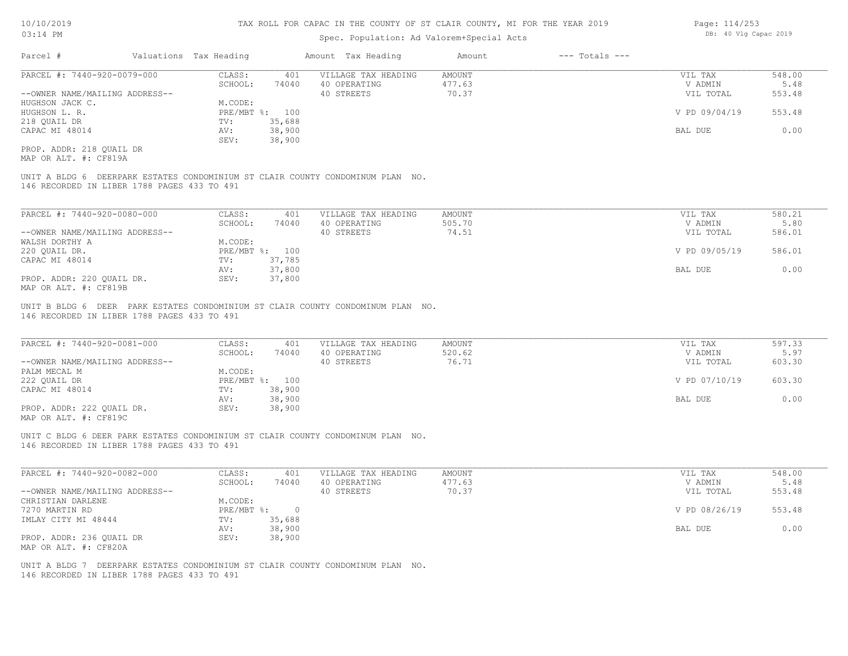### Spec. Population: Ad Valorem+Special Acts

| Parcel #                       |  | Valuations Tax Heading | Amount Tax Heading |                     | Amount | $---$ Totals $---$ |               |        |  |
|--------------------------------|--|------------------------|--------------------|---------------------|--------|--------------------|---------------|--------|--|
| PARCEL #: 7440-920-0079-000    |  | CLASS:                 | 401                | VILLAGE TAX HEADING | AMOUNT |                    | VIL TAX       | 548.00 |  |
|                                |  | SCHOOL:                | 74040              | 40 OPERATING        | 477.63 |                    | V ADMIN       | 5.48   |  |
| --OWNER NAME/MAILING ADDRESS-- |  |                        |                    | 40 STREETS          | 70.37  |                    | VIL TOTAL     | 553.48 |  |
| HUGHSON JACK C.                |  | M.CODE:                |                    |                     |        |                    |               |        |  |
| HUGHSON L. R.                  |  |                        | PRE/MBT %: 100     |                     |        |                    | V PD 09/04/19 | 553.48 |  |
| 218 QUAIL DR                   |  | TV:                    | 35,688             |                     |        |                    |               |        |  |
| CAPAC MI 48014                 |  | AV:                    | 38,900             |                     |        |                    | BAL DUE       | 0.00   |  |
|                                |  | SEV:                   | 38,900             |                     |        |                    |               |        |  |
| PROP. ADDR: 218 OUAIL DR       |  |                        |                    |                     |        |                    |               |        |  |

MAP OR ALT. #: CF819A

146 RECORDED IN LIBER 1788 PAGES 433 TO 491 UNIT A BLDG 6 DEERPARK ESTATES CONDOMINIUM ST CLAIR COUNTY CONDOMINUM PLAN NO.

| PARCEL #: 7440-920-0080-000    | CLASS:  | 401            | VILLAGE TAX HEADING | AMOUNT | VIL TAX       | 580.21 |
|--------------------------------|---------|----------------|---------------------|--------|---------------|--------|
|                                | SCHOOL: | 74040          | 40 OPERATING        | 505.70 | V ADMIN       | 5.80   |
| --OWNER NAME/MAILING ADDRESS-- |         |                | 40 STREETS          | 74.51  | VIL TOTAL     | 586.01 |
| WALSH DORTHY A                 | M.CODE: |                |                     |        |               |        |
| 220 OUAIL DR.                  |         | PRE/MBT %: 100 |                     |        | V PD 09/05/19 | 586.01 |
| CAPAC MI 48014                 | TV:     | 37,785         |                     |        |               |        |
|                                | AV:     | 37,800         |                     |        | BAL DUE       | 0.00   |
| PROP. ADDR: 220 QUAIL DR.      | SEV:    | 37,800         |                     |        |               |        |
| MAP OR ALT. #: CF819B          |         |                |                     |        |               |        |

146 RECORDED IN LIBER 1788 PAGES 433 TO 491 UNIT B BLDG 6 DEER PARK ESTATES CONDOMINIUM ST CLAIR COUNTY CONDOMINUM PLAN NO.

| PARCEL #: 7440-920-0081-000    | CLASS:       | 401    | VILLAGE TAX HEADING | AMOUNT | VIL TAX       | 597.33 |  |
|--------------------------------|--------------|--------|---------------------|--------|---------------|--------|--|
|                                | SCHOOL:      | 74040  | 40 OPERATING        | 520.62 | V ADMIN       | 5.97   |  |
| --OWNER NAME/MAILING ADDRESS-- |              |        | 40 STREETS          | 76.71  | VIL TOTAL     | 603.30 |  |
| PALM MECAL M                   | M.CODE:      |        |                     |        |               |        |  |
| 222 OUAIL DR                   | $PRE/MBT$ %: | 100    |                     |        | V PD 07/10/19 | 603.30 |  |
| CAPAC MI 48014                 | TV:          | 38,900 |                     |        |               |        |  |
|                                | AV:          | 38,900 |                     |        | BAL DUE       | 0.00   |  |
| PROP. ADDR: 222 OUAIL DR.      | SEV:         | 38,900 |                     |        |               |        |  |
| $1435.05.375$ $\pm 0.0100$     |              |        |                     |        |               |        |  |

 $\mathcal{L}_\mathcal{L} = \mathcal{L}_\mathcal{L} = \mathcal{L}_\mathcal{L} = \mathcal{L}_\mathcal{L} = \mathcal{L}_\mathcal{L} = \mathcal{L}_\mathcal{L} = \mathcal{L}_\mathcal{L} = \mathcal{L}_\mathcal{L} = \mathcal{L}_\mathcal{L} = \mathcal{L}_\mathcal{L} = \mathcal{L}_\mathcal{L} = \mathcal{L}_\mathcal{L} = \mathcal{L}_\mathcal{L} = \mathcal{L}_\mathcal{L} = \mathcal{L}_\mathcal{L} = \mathcal{L}_\mathcal{L} = \mathcal{L}_\mathcal{L}$ 

MAP OR ALT. #: CF819C

146 RECORDED IN LIBER 1788 PAGES 433 TO 491 UNIT C BLDG 6 DEER PARK ESTATES CONDOMINIUM ST CLAIR COUNTY CONDOMINUM PLAN NO.

| PARCEL #: 7440-920-0082-000    | CLASS:     | 401    | VILLAGE TAX HEADING | AMOUNT | VIL TAX       | 548.00 |
|--------------------------------|------------|--------|---------------------|--------|---------------|--------|
|                                | SCHOOL:    | 74040  | 40 OPERATING        | 477.63 | V ADMIN       | 5.48   |
| --OWNER NAME/MAILING ADDRESS-- |            |        | 40 STREETS          | 70.37  | VIL TOTAL     | 553.48 |
| CHRISTIAN DARLENE              | M.CODE:    |        |                     |        |               |        |
| 7270 MARTIN RD                 | PRE/MBT %: |        |                     |        | V PD 08/26/19 | 553.48 |
| IMLAY CITY MI 48444            | TV:        | 35,688 |                     |        |               |        |
|                                | AV:        | 38,900 |                     |        | BAL DUE       | 0.00   |
| PROP. ADDR: 236 OUAIL DR       | SEV:       | 38,900 |                     |        |               |        |
| MAP OR ALT. #: CF820A          |            |        |                     |        |               |        |

146 RECORDED IN LIBER 1788 PAGES 433 TO 491 UNIT A BLDG 7 DEERPARK ESTATES CONDOMINIUM ST CLAIR COUNTY CONDOMINUM PLAN NO. Page: 114/253 DB: 40 Vlg Capac 2019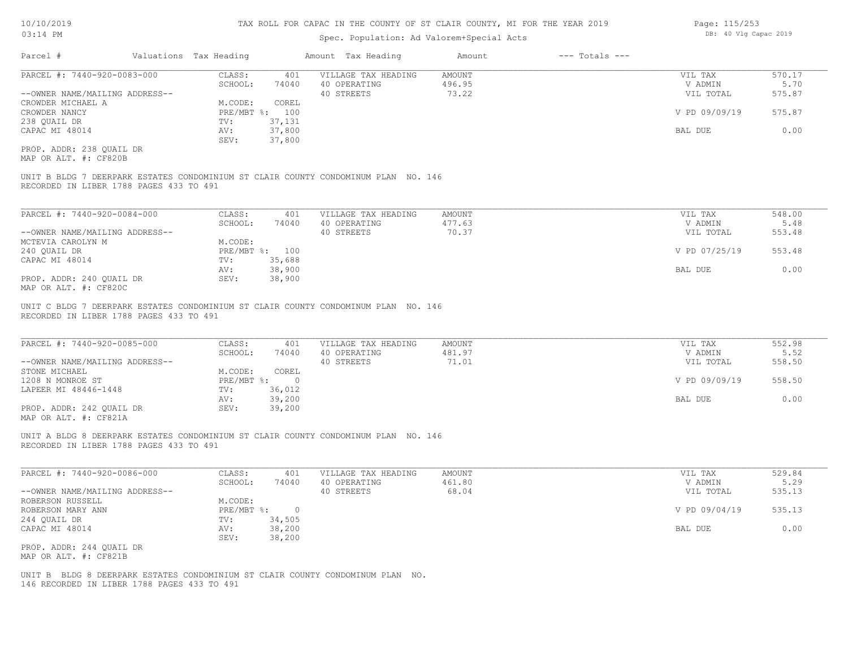### Spec. Population: Ad Valorem+Special Acts

| Page: 115/253 |  |                       |  |  |  |  |
|---------------|--|-----------------------|--|--|--|--|
|               |  | DB: 40 Vlg Capac 2019 |  |  |  |  |

115/253

| Parcel #                       | Valuations Tax Heading |        | Amount Tax Heading  | Amount | $---$ Totals $---$ |               |        |
|--------------------------------|------------------------|--------|---------------------|--------|--------------------|---------------|--------|
| PARCEL #: 7440-920-0083-000    | CLASS:                 | 401    | VILLAGE TAX HEADING | AMOUNT |                    | VIL TAX       | 570.17 |
|                                | SCHOOL:                | 74040  | 40 OPERATING        | 496.95 |                    | V ADMIN       | 5.70   |
| --OWNER NAME/MAILING ADDRESS-- |                        |        | 40 STREETS          | 73.22  |                    | VIL TOTAL     | 575.87 |
| CROWDER MICHAEL A              | M.CODE:                | COREL  |                     |        |                    |               |        |
| CROWDER NANCY                  | PRE/MBT %: 100         |        |                     |        |                    | V PD 09/09/19 | 575.87 |
| 238 QUAIL DR                   | TV:                    | 37,131 |                     |        |                    |               |        |
| CAPAC MI 48014                 | AV:                    | 37,800 |                     |        |                    | BAL DUE       | 0.00   |
|                                | SEV:                   | 37,800 |                     |        |                    |               |        |
|                                |                        |        |                     |        |                    |               |        |

MAP OR ALT. #: CF820B PROP. ADDR: 238 QUAIL DR

RECORDED IN LIBER 1788 PAGES 433 TO 491 UNIT B BLDG 7 DEERPARK ESTATES CONDOMINIUM ST CLAIR COUNTY CONDOMINUM PLAN NO. 146

| PARCEL #: 7440-920-0084-000    | CLASS:  | 401            | VILLAGE TAX HEADING | AMOUNT | VIL TAX       | 548.00 |
|--------------------------------|---------|----------------|---------------------|--------|---------------|--------|
|                                | SCHOOL: | 74040          | 40 OPERATING        | 477.63 | V ADMIN       | 5.48   |
| --OWNER NAME/MAILING ADDRESS-- |         |                | 40 STREETS          | 70.37  | VIL TOTAL     | 553.48 |
| MCTEVIA CAROLYN M              | M.CODE: |                |                     |        |               |        |
| 240 OUAIL DR                   |         | PRE/MBT %: 100 |                     |        | V PD 07/25/19 | 553.48 |
| CAPAC MI 48014                 | TV:     | 35,688         |                     |        |               |        |
|                                | AV:     | 38,900         |                     |        | BAL DUE       | 0.00   |
| PROP. ADDR: 240 OUAIL DR       | SEV:    | 38,900         |                     |        |               |        |
| MAP OR ALT. #: CF820C          |         |                |                     |        |               |        |

RECORDED IN LIBER 1788 PAGES 433 TO 491 UNIT C BLDG 7 DEERPARK ESTATES CONDOMINIUM ST CLAIR COUNTY CONDOMINUM PLAN NO. 146

| PARCEL #: 7440-920-0085-000                                                       | CLASS:     | 401      | VILLAGE TAX HEADING | AMOUNT | VIL TAX       | 552.98 |
|-----------------------------------------------------------------------------------|------------|----------|---------------------|--------|---------------|--------|
|                                                                                   | SCHOOL:    | 74040    | 40 OPERATING        | 481.97 | V ADMIN       | 5.52   |
| --OWNER NAME/MAILING ADDRESS--                                                    |            |          | 40 STREETS          | 71.01  | VIL TOTAL     | 558.50 |
| STONE MICHAEL                                                                     | M.CODE:    | COREL    |                     |        |               |        |
| 1208 N MONROE ST                                                                  | PRE/MBT %: | $\Omega$ |                     |        | V PD 09/09/19 | 558.50 |
| LAPEER MI 48446-1448                                                              | TV:        | 36,012   |                     |        |               |        |
|                                                                                   | AV:        | 39,200   |                     |        | BAL DUE       | 0.00   |
| PROP. ADDR: 242 OUAIL DR<br>$\cdots$ $\cdots$ $\cdots$ $\cdots$ $\cdots$ $\cdots$ | SEV:       | 39,200   |                     |        |               |        |

 $\mathcal{L}_\mathcal{L} = \mathcal{L}_\mathcal{L} = \mathcal{L}_\mathcal{L} = \mathcal{L}_\mathcal{L} = \mathcal{L}_\mathcal{L} = \mathcal{L}_\mathcal{L} = \mathcal{L}_\mathcal{L} = \mathcal{L}_\mathcal{L} = \mathcal{L}_\mathcal{L} = \mathcal{L}_\mathcal{L} = \mathcal{L}_\mathcal{L} = \mathcal{L}_\mathcal{L} = \mathcal{L}_\mathcal{L} = \mathcal{L}_\mathcal{L} = \mathcal{L}_\mathcal{L} = \mathcal{L}_\mathcal{L} = \mathcal{L}_\mathcal{L}$ 

MAP OR ALT. #: CF821A

RECORDED IN LIBER 1788 PAGES 433 TO 491 UNIT A BLDG 8 DEERPARK ESTATES CONDOMINIUM ST CLAIR COUNTY CONDOMINUM PLAN NO. 146

| PARCEL #: 7440-920-0086-000    | CLASS:     | 401    | VILLAGE TAX HEADING | AMOUNT | VIL TAX       | 529.84 |
|--------------------------------|------------|--------|---------------------|--------|---------------|--------|
|                                | SCHOOL:    | 74040  | 40 OPERATING        | 461.80 | V ADMIN       | 5.29   |
| --OWNER NAME/MAILING ADDRESS-- |            |        | 40 STREETS          | 68.04  | VIL TOTAL     | 535.13 |
| ROBERSON RUSSELL               | M.CODE:    |        |                     |        |               |        |
| ROBERSON MARY ANN              | PRE/MBT %: |        |                     |        | V PD 09/04/19 | 535.13 |
| 244 QUAIL DR                   | TV:        | 34,505 |                     |        |               |        |
| CAPAC MI 48014                 | AV:        | 38,200 |                     |        | BAL DUE       | 0.00   |
|                                | SEV:       | 38,200 |                     |        |               |        |
| PROP. ADDR: 244 QUAIL DR       |            |        |                     |        |               |        |
| MAP OR ALT. #: CF821B          |            |        |                     |        |               |        |

146 RECORDED IN LIBER 1788 PAGES 433 TO 491 UNIT B BLDG 8 DEERPARK ESTATES CONDOMINIUM ST CLAIR COUNTY CONDOMINUM PLAN NO.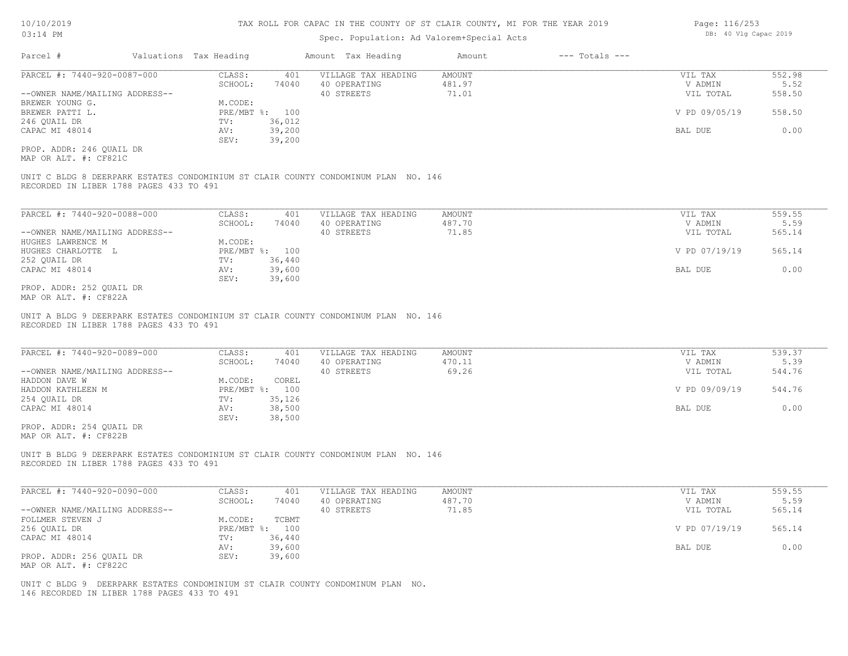#### Spec. Population: Ad Valorem+Special Acts

| Parcel #                       | Valuations Tax Heading |        | Amount Tax Heading  | Amount | $---$ Totals $---$ |               |        |
|--------------------------------|------------------------|--------|---------------------|--------|--------------------|---------------|--------|
| PARCEL #: 7440-920-0087-000    | CLASS:                 | 401    | VILLAGE TAX HEADING | AMOUNT |                    | VIL TAX       | 552.98 |
|                                | SCHOOL:                | 74040  | 40 OPERATING        | 481.97 |                    | V ADMIN       | 5.52   |
| --OWNER NAME/MAILING ADDRESS-- |                        |        | 40 STREETS          | 71.01  |                    | VIL TOTAL     | 558.50 |
| BREWER YOUNG G.                | M.CODE:                |        |                     |        |                    |               |        |
| BREWER PATTI L.                | PRE/MBT %: 100         |        |                     |        |                    | V PD 09/05/19 | 558.50 |
| 246 QUAIL DR                   | TV:                    | 36,012 |                     |        |                    |               |        |
| CAPAC MI 48014                 | AV:                    | 39,200 |                     |        |                    | BAL DUE       | 0.00   |
|                                | SEV:                   | 39,200 |                     |        |                    |               |        |
| PROP. ADDR: 246 OUAIL DR       |                        |        |                     |        |                    |               |        |

MAP OR ALT. #: CF821C

RECORDED IN LIBER 1788 PAGES 433 TO 491 UNIT C BLDG 8 DEERPARK ESTATES CONDOMINIUM ST CLAIR COUNTY CONDOMINUM PLAN NO. 146

| PARCEL #: 7440-920-0088-000    | CLASS:  | 401            | VILLAGE TAX HEADING | AMOUNT | VIL TAX       | 559.55 |
|--------------------------------|---------|----------------|---------------------|--------|---------------|--------|
|                                | SCHOOL: | 74040          | 40 OPERATING        | 487.70 | V ADMIN       | 5.59   |
| --OWNER NAME/MAILING ADDRESS-- |         |                | 40 STREETS          | 71.85  | VIL TOTAL     | 565.14 |
| HUGHES LAWRENCE M              | M.CODE: |                |                     |        |               |        |
| HUGHES CHARLOTTE L             |         | PRE/MBT %: 100 |                     |        | V PD 07/19/19 | 565.14 |
| 252 QUAIL DR                   | TV:     | 36,440         |                     |        |               |        |
| CAPAC MI 48014                 | AV:     | 39,600         |                     |        | BAL DUE       | 0.00   |
|                                | SEV:    | 39,600         |                     |        |               |        |
| PROP. ADDR: 252 QUAIL DR       |         |                |                     |        |               |        |

MAP OR ALT. #: CF822A

RECORDED IN LIBER 1788 PAGES 433 TO 491 UNIT A BLDG 9 DEERPARK ESTATES CONDOMINIUM ST CLAIR COUNTY CONDOMINUM PLAN NO. 146

| PARCEL #: 7440-920-0089-000    | CLASS:     | 401    | VILLAGE TAX HEADING | AMOUNT | VIL TAX       | 539.37 |
|--------------------------------|------------|--------|---------------------|--------|---------------|--------|
|                                | SCHOOL:    | 74040  | 40 OPERATING        | 470.11 | V ADMIN       | 5.39   |
| --OWNER NAME/MAILING ADDRESS-- |            |        | 40 STREETS          | 69.26  | VIL TOTAL     | 544.76 |
| HADDON DAVE W                  | M.CODE:    | COREL  |                     |        |               |        |
| HADDON KATHLEEN M              | PRE/MBT %: | 100    |                     |        | V PD 09/09/19 | 544.76 |
| 254 QUAIL DR                   | TV:        | 35,126 |                     |        |               |        |
| CAPAC MI 48014                 | AV:        | 38,500 |                     |        | BAL DUE       | 0.00   |
|                                | SEV:       | 38,500 |                     |        |               |        |

MAP OR ALT. #: CF822B PROP. ADDR: 254 QUAIL DR

RECORDED IN LIBER 1788 PAGES 433 TO 491 UNIT B BLDG 9 DEERPARK ESTATES CONDOMINIUM ST CLAIR COUNTY CONDOMINUM PLAN NO. 146

| PARCEL #: 7440-920-0090-000    | CLASS:  | 401            | VILLAGE TAX HEADING | AMOUNT | VIL TAX       | 559.55 |
|--------------------------------|---------|----------------|---------------------|--------|---------------|--------|
|                                | SCHOOL: | 74040          | 40 OPERATING        | 487.70 | V ADMIN       | 5.59   |
| --OWNER NAME/MAILING ADDRESS-- |         |                | 40 STREETS          | 71.85  | VIL TOTAL     | 565.14 |
| FOLLMER STEVEN J               | M.CODE: | TCBMT          |                     |        |               |        |
| 256 QUAIL DR                   |         | PRE/MBT %: 100 |                     |        | V PD 07/19/19 | 565.14 |
| CAPAC MI 48014                 | TV:     | 36,440         |                     |        |               |        |
|                                | AV:     | 39,600         |                     |        | BAL DUE       | 0.00   |
| PROP. ADDR: 256 OUAIL DR       | SEV:    | 39,600         |                     |        |               |        |
| MAP OR ALT. #: CF822C          |         |                |                     |        |               |        |

146 RECORDED IN LIBER 1788 PAGES 433 TO 491 UNIT C BLDG 9 DEERPARK ESTATES CONDOMINIUM ST CLAIR COUNTY CONDOMINUM PLAN NO. Page: 116/253 DB: 40 Vlg Capac 2019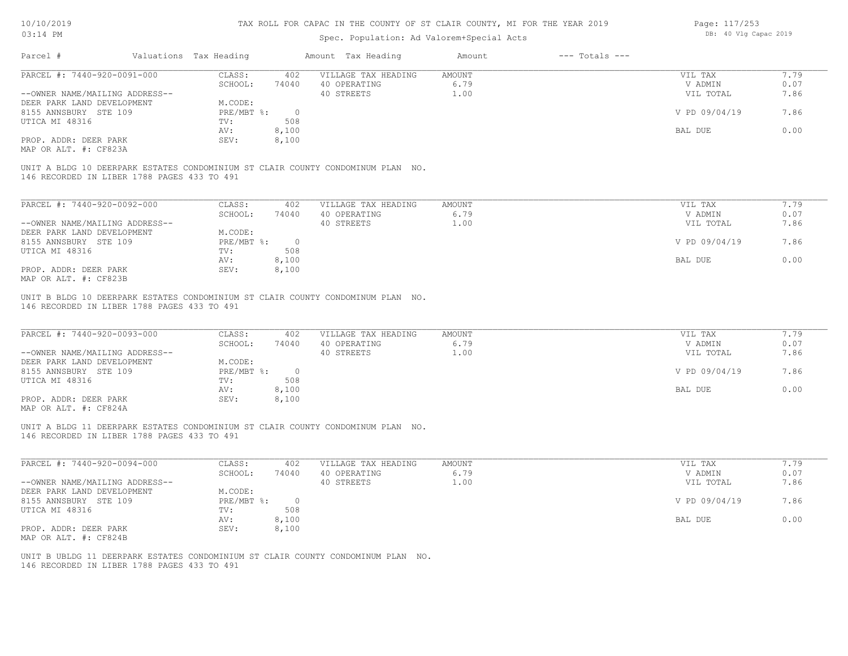Page: 117/253

| 03:14 PM                                       |                        |                | Spec. Population: Ad Valorem+Special Acts                                       |               |                    | DB: 40 Vlg Capac 2019 |      |
|------------------------------------------------|------------------------|----------------|---------------------------------------------------------------------------------|---------------|--------------------|-----------------------|------|
| Parcel #                                       | Valuations Tax Heading |                | Amount Tax Heading                                                              | Amount        | $---$ Totals $---$ |                       |      |
| PARCEL #: 7440-920-0091-000                    | CLASS:                 | 402            | VILLAGE TAX HEADING                                                             | <b>AMOUNT</b> |                    | VIL TAX               | 7.79 |
|                                                | SCHOOL:                | 74040          | 40 OPERATING                                                                    | 6.79          |                    | V ADMIN               | 0.07 |
| --OWNER NAME/MAILING ADDRESS--                 |                        |                | 40 STREETS                                                                      | 1.00          |                    | VIL TOTAL             | 7.86 |
| DEER PARK LAND DEVELOPMENT                     | M.CODE:                |                |                                                                                 |               |                    |                       |      |
| 8155 ANNSBURY STE 109                          | PRE/MBT %:             | $\overline{0}$ |                                                                                 |               |                    | V PD 09/04/19         | 7.86 |
| UTICA MI 48316                                 | TV:                    | 508            |                                                                                 |               |                    |                       |      |
|                                                | AV:                    | 8,100          |                                                                                 |               |                    | BAL DUE               | 0.00 |
| PROP. ADDR: DEER PARK<br>MAP OR ALT. #: CF823A | SEV:                   | 8,100          |                                                                                 |               |                    |                       |      |
| 146 RECORDED IN LIBER 1788 PAGES 433 TO 491    |                        |                | UNIT A BLDG 10 DEERPARK ESTATES CONDOMINIUM ST CLAIR COUNTY CONDOMINUM PLAN NO. |               |                    |                       |      |
| PARCEL #: 7440-920-0092-000                    | CLASS:                 | 402            | VILLAGE TAX HEADING                                                             | <b>AMOUNT</b> |                    | VIL TAX               | 7.79 |
|                                                | SCHOOL:                | 74040          | 40 OPERATING                                                                    | 6.79          |                    | V ADMIN               | 0.07 |
| --OWNER NAME/MAILING ADDRESS--                 |                        |                | 40 STREETS                                                                      | 1.00          |                    | VIL TOTAL             | 7.86 |
| DEER PARK LAND DEVELOPMENT                     | M.CODE:                |                |                                                                                 |               |                    |                       |      |
| 8155 ANNSBURY STE 109                          | PRE/MBT %:             | $\overline{0}$ |                                                                                 |               |                    | V PD 09/04/19         | 7.86 |
| UTICA MI 48316                                 | TV:                    | 508            |                                                                                 |               |                    |                       |      |
|                                                |                        |                |                                                                                 |               |                    |                       | 0.00 |
| PROP. ADDR: DEER PARK                          | AV:<br>SEV:            | 8,100          |                                                                                 |               |                    | BAL DUE               |      |
| MAP OR ALT. #: CF823B                          |                        | 8,100          |                                                                                 |               |                    |                       |      |
| 146 RECORDED IN LIBER 1788 PAGES 433 TO 491    |                        |                | UNIT B BLDG 10 DEERPARK ESTATES CONDOMINIUM ST CLAIR COUNTY CONDOMINUM PLAN NO. |               |                    |                       |      |
| PARCEL #: 7440-920-0093-000                    | CLASS:                 | 402            | VILLAGE TAX HEADING                                                             | AMOUNT        |                    | VIL TAX               | 7.79 |
|                                                | SCHOOL:                | 74040          | 40 OPERATING                                                                    | 6.79          |                    | V ADMIN               | 0.07 |
| --OWNER NAME/MAILING ADDRESS--                 |                        |                | 40 STREETS                                                                      | 1.00          |                    | VIL TOTAL             | 7.86 |
| DEER PARK LAND DEVELOPMENT                     | M.CODE:                |                |                                                                                 |               |                    |                       |      |
| 8155 ANNSBURY STE 109                          | PRE/MBT %:             | $\overline{0}$ |                                                                                 |               |                    | V PD 09/04/19         | 7.86 |
| UTICA MI 48316                                 | TV:                    | 508            |                                                                                 |               |                    |                       |      |
|                                                | AV:                    | 8,100          |                                                                                 |               |                    | BAL DUE               | 0.00 |
| PROP. ADDR: DEER PARK                          | SEV:                   | 8,100          |                                                                                 |               |                    |                       |      |

MAP OR ALT. #: CF824A

146 RECORDED IN LIBER 1788 PAGES 433 TO 491 UNIT A BLDG 11 DEERPARK ESTATES CONDOMINIUM ST CLAIR COUNTY CONDOMINUM PLAN NO.

| PARCEL #: 7440-920-0094-000    | CLASS:     | 402    | VILLAGE TAX HEADING | AMOUNT | VIL TAX       | 7.79 |
|--------------------------------|------------|--------|---------------------|--------|---------------|------|
|                                | SCHOOL:    | 74040  | 40 OPERATING        | 6.79   | V ADMIN       | 0.07 |
| --OWNER NAME/MAILING ADDRESS-- |            |        | 40 STREETS          | 1.00   | VIL TOTAL     | 7.86 |
| DEER PARK LAND DEVELOPMENT     | M.CODE:    |        |                     |        |               |      |
| 8155 ANNSBURY STE 109          | PRE/MBT %: | $\Box$ |                     |        | V PD 09/04/19 | 7.86 |
| UTICA MI 48316                 | TV:        | 508    |                     |        |               |      |
|                                | AV:        | 8,100  |                     |        | BAL DUE       | 0.00 |
| PROP. ADDR: DEER PARK          | SEV:       | 8,100  |                     |        |               |      |
| MAP OR ALT. #: CF824B          |            |        |                     |        |               |      |

 $\mathcal{L}_\mathcal{L} = \mathcal{L}_\mathcal{L} = \mathcal{L}_\mathcal{L} = \mathcal{L}_\mathcal{L} = \mathcal{L}_\mathcal{L} = \mathcal{L}_\mathcal{L} = \mathcal{L}_\mathcal{L} = \mathcal{L}_\mathcal{L} = \mathcal{L}_\mathcal{L} = \mathcal{L}_\mathcal{L} = \mathcal{L}_\mathcal{L} = \mathcal{L}_\mathcal{L} = \mathcal{L}_\mathcal{L} = \mathcal{L}_\mathcal{L} = \mathcal{L}_\mathcal{L} = \mathcal{L}_\mathcal{L} = \mathcal{L}_\mathcal{L}$ 

146 RECORDED IN LIBER 1788 PAGES 433 TO 491 UNIT B UBLDG 11 DEERPARK ESTATES CONDOMINIUM ST CLAIR COUNTY CONDOMINUM PLAN NO.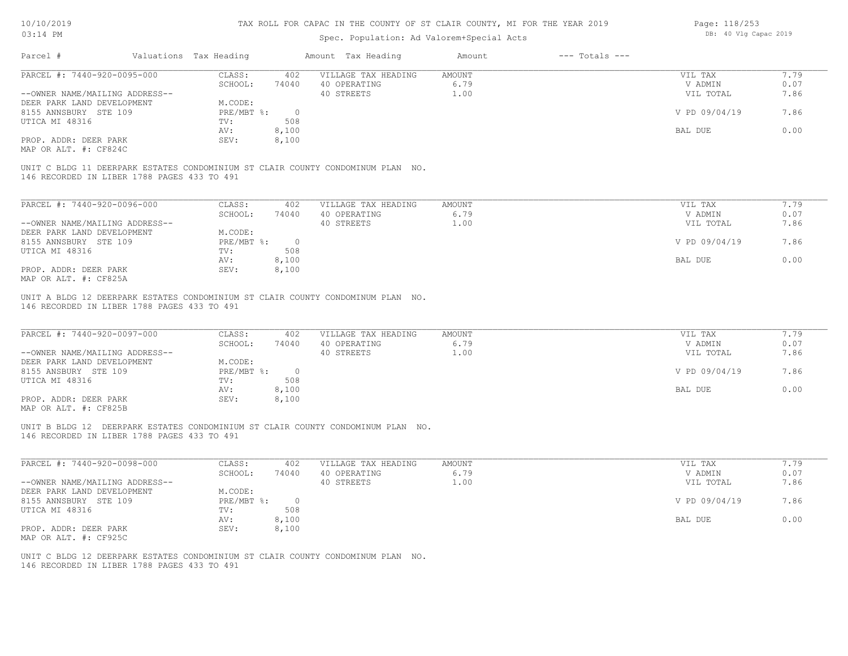| 03:14 PM                                                     |  |                        |                | Spec. Population: Ad Valorem+Special Acts                                       | DB: 40 Vlg Capac 2019 |                    |                    |              |
|--------------------------------------------------------------|--|------------------------|----------------|---------------------------------------------------------------------------------|-----------------------|--------------------|--------------------|--------------|
| Parcel #                                                     |  | Valuations Tax Heading |                | Amount Tax Heading                                                              | Amount                | $---$ Totals $---$ |                    |              |
| PARCEL #: 7440-920-0095-000                                  |  | CLASS:                 | 402            | VILLAGE TAX HEADING                                                             | AMOUNT                |                    | VIL TAX            | 7.79         |
|                                                              |  | SCHOOL:                | 74040          | 40 OPERATING                                                                    | 6.79                  |                    | V ADMIN            | 0.07         |
| --OWNER NAME/MAILING ADDRESS--                               |  |                        |                | 40 STREETS                                                                      | 1.00                  |                    | VIL TOTAL          | 7.86         |
| DEER PARK LAND DEVELOPMENT                                   |  | M.CODE:                |                |                                                                                 |                       |                    |                    |              |
| 8155 ANNSBURY STE 109                                        |  | PRE/MBT %:             | $\overline{0}$ |                                                                                 |                       |                    | V PD 09/04/19      | 7.86         |
| UTICA MI 48316                                               |  | TV:                    | 508            |                                                                                 |                       |                    |                    |              |
|                                                              |  | AV:                    | 8,100          |                                                                                 |                       |                    | BAL DUE            | 0.00         |
| PROP. ADDR: DEER PARK                                        |  | SEV:                   | 8,100          |                                                                                 |                       |                    |                    |              |
| MAP OR ALT. #: CF824C                                        |  |                        |                |                                                                                 |                       |                    |                    |              |
| 146 RECORDED IN LIBER 1788 PAGES 433 TO 491                  |  |                        |                | UNIT C BLDG 11 DEERPARK ESTATES CONDOMINIUM ST CLAIR COUNTY CONDOMINUM PLAN NO. |                       |                    |                    |              |
| PARCEL #: 7440-920-0096-000                                  |  | CLASS:                 | 402            | VILLAGE TAX HEADING                                                             | AMOUNT                |                    | VIL TAX            | 7.79         |
|                                                              |  | SCHOOL:                | 74040          | 40 OPERATING                                                                    | 6.79                  |                    | V ADMIN            | 0.07         |
| --OWNER NAME/MAILING ADDRESS--                               |  |                        |                | 40 STREETS                                                                      | 1.00                  |                    | VIL TOTAL          | 7.86         |
|                                                              |  | M.CODE:                |                |                                                                                 |                       |                    |                    |              |
| DEER PARK LAND DEVELOPMENT                                   |  |                        |                |                                                                                 |                       |                    |                    |              |
| 8155 ANNSBURY STE 109                                        |  | PRE/MBT %:             | $\overline{0}$ |                                                                                 |                       |                    | V PD 09/04/19      | 7.86         |
| UTICA MI 48316                                               |  | TV:                    | 508            |                                                                                 |                       |                    |                    |              |
|                                                              |  | AV:                    | 8,100          |                                                                                 |                       |                    | BAL DUE            | 0.00         |
| PROP. ADDR: DEER PARK<br>MAP OR ALT. #: CF825A               |  | SEV:                   | 8,100          |                                                                                 |                       |                    |                    |              |
| PARCEL #: 7440-920-0097-000                                  |  | CLASS:<br>SCHOOL:      | 402<br>74040   | VILLAGE TAX HEADING<br>40 OPERATING                                             | AMOUNT<br>6.79        |                    | VIL TAX<br>V ADMIN | 7.79<br>0.07 |
| --OWNER NAME/MAILING ADDRESS--<br>DEER PARK LAND DEVELOPMENT |  | M.CODE:                |                | 40 STREETS                                                                      | 1.00                  |                    | VIL TOTAL          | 7.86         |
| 8155 ANSBURY STE 109                                         |  | $PRE/MBT$ $\div$       | $\overline{0}$ |                                                                                 |                       |                    | V PD 09/04/19      | 7.86         |
| UTICA MI 48316                                               |  | TV:                    | 508            |                                                                                 |                       |                    |                    |              |
|                                                              |  | AV:                    | 8,100          |                                                                                 |                       |                    | BAL DUE            | 0.00         |
| PROP. ADDR: DEER PARK<br>MAP OR ALT. #: CF825B               |  | SEV:                   | 8,100          |                                                                                 |                       |                    |                    |              |
| 146 RECORDED IN LIBER 1788 PAGES 433 TO 491                  |  |                        |                | UNIT B BLDG 12 DEERPARK ESTATES CONDOMINIUM ST CLAIR COUNTY CONDOMINUM PLAN NO. |                       |                    |                    |              |
| PARCEL #: 7440-920-0098-000                                  |  | CLASS:                 | 402            | VILLAGE TAX HEADING                                                             | AMOUNT                |                    | VIL TAX            | 7.79         |
|                                                              |  | SCHOOL:                | 74040          | 40 OPERATING                                                                    | 6.79                  |                    | V ADMIN            | 0.07         |
| --OWNER NAME/MAILING ADDRESS--                               |  |                        |                | 40 STREETS                                                                      | 1.00                  |                    | VIL TOTAL          | 7.86         |
| DEER PARK LAND DEVELOPMENT                                   |  | M.CODE:                |                |                                                                                 |                       |                    |                    |              |
| 8155 ANNSBURY STE 109                                        |  | PRE/MBT %:             | $\circ$        |                                                                                 |                       |                    | V PD 09/04/19      | 7.86         |
| UTICA MI 48316                                               |  | TV:                    | 508            |                                                                                 |                       |                    |                    |              |
|                                                              |  | AV:                    | 8,100          |                                                                                 |                       |                    | BAL DUE            | 0.00         |
| PROP. ADDR: DEER PARK                                        |  | SEV:                   | 8,100          |                                                                                 |                       |                    |                    |              |
| MAP OR ALT. #: CF925C                                        |  |                        |                |                                                                                 |                       |                    |                    |              |
|                                                              |  |                        |                |                                                                                 |                       |                    |                    |              |
| 146 RECORDED IN LIBER 1788 PAGES 433 TO 491                  |  |                        |                | UNIT C BLDG 12 DEERPARK ESTATES CONDOMINIUM ST CLAIR COUNTY CONDOMINUM PLAN NO. |                       |                    |                    |              |
|                                                              |  |                        |                |                                                                                 |                       |                    |                    |              |
|                                                              |  |                        |                |                                                                                 |                       |                    |                    |              |
|                                                              |  |                        |                |                                                                                 |                       |                    |                    |              |
|                                                              |  |                        |                |                                                                                 |                       |                    |                    |              |
|                                                              |  |                        |                |                                                                                 |                       |                    |                    |              |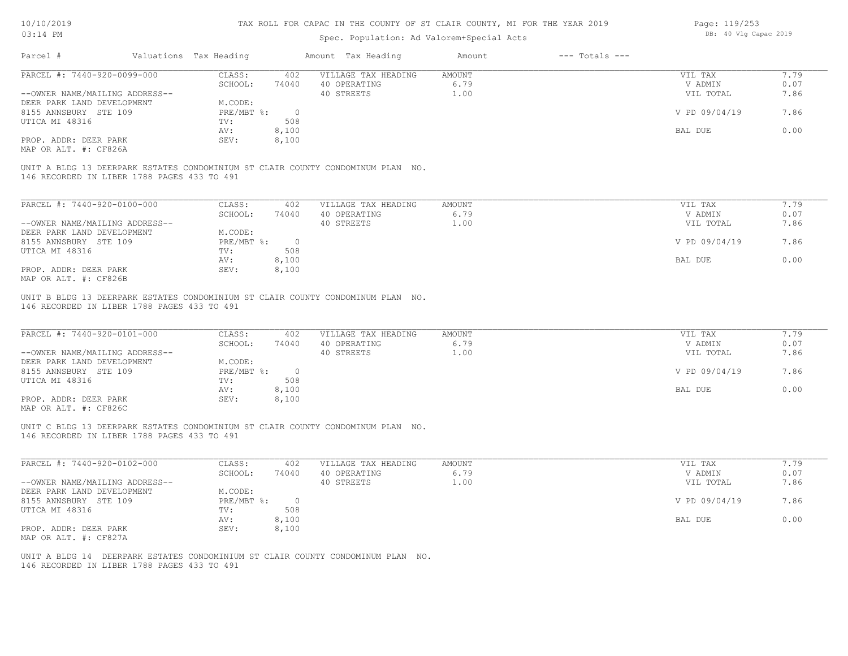| 10/10/2019<br>03:14 PM                              |                        |                | TAX ROLL FOR CAPAC IN THE COUNTY OF ST CLAIR COUNTY, MI FOR THE YEAR 2019       |                |                    | Page: 119/253<br>DB: 40 Vlg Capac 2019 |              |
|-----------------------------------------------------|------------------------|----------------|---------------------------------------------------------------------------------|----------------|--------------------|----------------------------------------|--------------|
|                                                     |                        |                | Spec. Population: Ad Valorem+Special Acts                                       |                |                    |                                        |              |
| Parcel #                                            | Valuations Tax Heading |                | Amount Tax Heading                                                              | Amount         | $---$ Totals $---$ |                                        |              |
| PARCEL #: 7440-920-0099-000                         | CLASS:<br>SCHOOL:      | 402<br>74040   | VILLAGE TAX HEADING<br>40 OPERATING                                             | AMOUNT<br>6.79 |                    | VIL TAX<br>V ADMIN                     | 7.79<br>0.07 |
| --OWNER NAME/MAILING ADDRESS--                      | M.CODE:                |                | 40 STREETS                                                                      | 1.00           |                    | VIL TOTAL                              | 7.86         |
| DEER PARK LAND DEVELOPMENT<br>8155 ANNSBURY STE 109 | PRE/MBT %:             | $\overline{0}$ |                                                                                 |                |                    | V PD 09/04/19                          | 7.86         |
| UTICA MI 48316                                      | TV:<br>AV:             | 508<br>8,100   |                                                                                 |                |                    | BAL DUE                                | 0.00         |
| PROP. ADDR: DEER PARK<br>MAP OR ALT. #: CF826A      | SEV:                   | 8,100          |                                                                                 |                |                    |                                        |              |
|                                                     |                        |                | UNIT A BLDG 13 DEERPARK ESTATES CONDOMINIUM ST CLAIR COUNTY CONDOMINUM PLAN NO. |                |                    |                                        |              |
| 146 RECORDED IN LIBER 1788 PAGES 433 TO 491         |                        |                |                                                                                 |                |                    |                                        |              |
| PARCEL #: 7440-920-0100-000                         | CLASS:                 | 402            | VILLAGE TAX HEADING                                                             | AMOUNT<br>6.79 |                    | VIL TAX                                | 7.79         |
| --OWNER NAME/MAILING ADDRESS--                      | SCHOOL:                | 74040          | 40 OPERATING<br>40 STREETS                                                      | 1.00           |                    | V ADMIN<br>VIL TOTAL                   | 0.07<br>7.86 |
| DEER PARK LAND DEVELOPMENT<br>8155 ANNSBURY STE 109 | M.CODE:<br>PRE/MBT %:  | $\overline{0}$ |                                                                                 |                |                    | V PD 09/04/19                          | 7.86         |
| UTICA MI 48316                                      | TV:<br>AV:             | 508<br>8,100   |                                                                                 |                |                    | <b>BAL DUE</b>                         | 0.00         |
| PROP. ADDR: DEER PARK<br>MAP OR ALT. #: CF826B      | SEV:                   | 8,100          |                                                                                 |                |                    |                                        |              |
| 146 RECORDED IN LIBER 1788 PAGES 433 TO 491         |                        |                | UNIT B BLDG 13 DEERPARK ESTATES CONDOMINIUM ST CLAIR COUNTY CONDOMINUM PLAN NO. |                |                    |                                        |              |
|                                                     |                        |                |                                                                                 |                |                    |                                        |              |
| PARCEL #: 7440-920-0101-000                         | CLASS:                 | 402            | VILLAGE TAX HEADING                                                             | AMOUNT<br>6.79 |                    | VIL TAX                                | 7.79         |
| --OWNER NAME/MAILING ADDRESS--                      | SCHOOL:                | 74040          | 40 OPERATING<br>40 STREETS                                                      | 1.00           |                    | V ADMIN<br>VIL TOTAL                   | 0.07<br>7.86 |
| DEER PARK LAND DEVELOPMENT<br>8155 ANNSBURY STE 109 | M.CODE:<br>PRE/MBT %:  | $\overline{0}$ |                                                                                 |                |                    | V PD 09/04/19                          | 7.86         |
| UTICA MI 48316                                      | TV:<br>AV:             | 508<br>8,100   |                                                                                 |                |                    | BAL DUE                                | 0.00         |
| PROP. ADDR: DEER PARK<br>MAP OR ALT. #: CF826C      | SEV:                   | 8,100          |                                                                                 |                |                    |                                        |              |
|                                                     |                        |                | UNIT C BLDG 13 DEERPARK ESTATES CONDOMINIUM ST CLAIR COUNTY CONDOMINUM PLAN NO. |                |                    |                                        |              |
| 146 RECORDED IN LIBER 1788 PAGES 433 TO 491         |                        |                |                                                                                 |                |                    |                                        |              |
| PARCEL #: 7440-920-0102-000                         | CLASS:                 | 402            | VILLAGE TAX HEADING                                                             | AMOUNT         |                    | VIL TAX                                | 7.79         |
| --OWNER NAME/MAILING ADDRESS--                      | SCHOOL:                | 74040          | 40 OPERATING<br>40 STREETS                                                      | 6.79<br>1.00   |                    | V ADMIN<br>VIL TOTAL                   | 0.07<br>7.86 |
| DEER PARK LAND DEVELOPMENT                          | M.CODE:<br>PRE/MBT %:  | $\overline{0}$ |                                                                                 |                |                    | V PD 09/04/19                          | 7.86         |
| 8155 ANNSBURY STE 109<br>UTICA MI 48316             | TV:                    | 508            |                                                                                 |                |                    |                                        |              |
| PROP ADDR · DEER PARK                               | AV:<br>SEN             | 8,100<br>8.100 |                                                                                 |                |                    | BAL DUE                                | 0.00         |

146 RECORDED IN LIBER 1788 PAGES 433 TO 491 UNIT A BLDG 14 DEERPARK ESTATES CONDOMINIUM ST CLAIR COUNTY CONDOMINUM PLAN NO.

PROP. ADDR: DEER PARK SEV: 8,100

MAP OR ALT. #: CF827A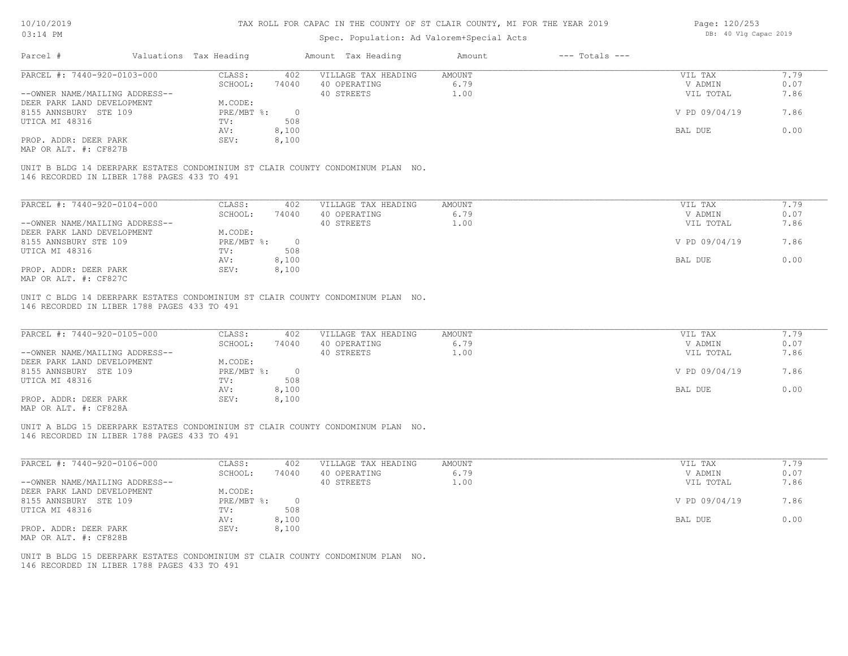### Spec. Population: Ad Valorem+Special Acts

| Page: 120/253 |  |                       |  |  |  |  |
|---------------|--|-----------------------|--|--|--|--|
|               |  | DB: 40 Vlg Capac 2019 |  |  |  |  |

| Parcel #                    |                                             | Valuations Tax Heading |       | Amount Tax Heading                                                              | Amount | $---$ Totals $---$ |               |      |
|-----------------------------|---------------------------------------------|------------------------|-------|---------------------------------------------------------------------------------|--------|--------------------|---------------|------|
| PARCEL #: 7440-920-0103-000 |                                             | CLASS:                 | 402   | VILLAGE TAX HEADING                                                             | AMOUNT |                    | VIL TAX       | 7.79 |
|                             |                                             | SCHOOL:                | 74040 | 40 OPERATING                                                                    | 6.79   |                    | V ADMIN       | 0.07 |
|                             | --OWNER NAME/MAILING ADDRESS--              |                        |       | 40 STREETS                                                                      | 1.00   |                    | VIL TOTAL     | 7.86 |
| DEER PARK LAND DEVELOPMENT  |                                             | M.CODE:                |       |                                                                                 |        |                    |               |      |
| 8155 ANNSBURY STE 109       |                                             | PRE/MBT %:             |       |                                                                                 |        |                    | V PD 09/04/19 | 7.86 |
| UTICA MI 48316              |                                             | TV:                    | 508   |                                                                                 |        |                    |               |      |
|                             |                                             | AV:                    | 8,100 |                                                                                 |        |                    | BAL DUE       | 0.00 |
| PROP. ADDR: DEER PARK       |                                             | SEV:                   | 8,100 |                                                                                 |        |                    |               |      |
| MAP OR ALT. #: CF827B       |                                             |                        |       |                                                                                 |        |                    |               |      |
|                             |                                             |                        |       |                                                                                 |        |                    |               |      |
|                             | 146 RECORDED IN LIBER 1788 PAGES 433 TO 491 |                        |       | UNIT B BLDG 14 DEERPARK ESTATES CONDOMINIUM ST CLAIR COUNTY CONDOMINUM PLAN NO. |        |                    |               |      |
|                             |                                             |                        |       |                                                                                 |        |                    |               |      |

| PARCEL #: 7440-920-0104-000    | CLASS:     | 402   | VILLAGE TAX HEADING | AMOUNT | VIL TAX | 7.79                  |
|--------------------------------|------------|-------|---------------------|--------|---------|-----------------------|
|                                | SCHOOL:    | 74040 | 40 OPERATING        | 6.79   | V ADMIN | 0.07                  |
| --OWNER NAME/MAILING ADDRESS-- |            |       | 40 STREETS          | 1.00   |         | 7.86<br>VIL TOTAL     |
| DEER PARK LAND DEVELOPMENT     | M.CODE:    |       |                     |        |         |                       |
| 8155 ANNSBURY STE 109          | PRE/MBT %: |       |                     |        |         | V PD 09/04/19<br>7.86 |
| UTICA MI 48316                 | TV:        | 508   |                     |        |         |                       |
|                                | AV:        | 8,100 |                     |        | BAL DUE | 0.00                  |
| PROP. ADDR: DEER PARK          | SEV:       | 8,100 |                     |        |         |                       |
| MAP OR ALT. #: CF827C          |            |       |                     |        |         |                       |

146 RECORDED IN LIBER 1788 PAGES 433 TO 491 UNIT C BLDG 14 DEERPARK ESTATES CONDOMINIUM ST CLAIR COUNTY CONDOMINUM PLAN NO.

| PARCEL #: 7440-920-0105-000                           | CLASS:     | 402   | VILLAGE TAX HEADING | AMOUNT   | VIL TAX       | 7.79 |
|-------------------------------------------------------|------------|-------|---------------------|----------|---------------|------|
|                                                       | SCHOOL:    | 74040 | 40 OPERATING        | 6.79     | V ADMIN       | 0.07 |
| --OWNER NAME/MAILING ADDRESS--                        |            |       | 40 STREETS          | $\pm 00$ | VIL TOTAL     | 7.86 |
| DEER PARK LAND DEVELOPMENT                            | M.CODE:    |       |                     |          |               |      |
| 8155 ANNSBURY STE 109                                 | PRE/MBT %: |       |                     |          | V PD 09/04/19 | 7.86 |
| UTICA MI 48316                                        | TV:        | 508   |                     |          |               |      |
|                                                       | AV:        | 8,100 |                     |          | BAL DUE       | 0.00 |
| PROP. ADDR: DEER PARK                                 | SEV:       | 8,100 |                     |          |               |      |
| $\cdots$ $\cdots$ $\cdots$ $\cdots$ $\cdots$ $\cdots$ |            |       |                     |          |               |      |

MAP OR ALT. #: CF828A

146 RECORDED IN LIBER 1788 PAGES 433 TO 491 UNIT A BLDG 15 DEERPARK ESTATES CONDOMINIUM ST CLAIR COUNTY CONDOMINUM PLAN NO.

| PARCEL #: 7440-920-0106-000    | CLASS:       | 402   | VILLAGE TAX HEADING | AMOUNT | VIL TAX       | 1.79 |
|--------------------------------|--------------|-------|---------------------|--------|---------------|------|
|                                | SCHOOL:      | 74040 | 40 OPERATING        | 6.79   | V ADMIN       | 0.07 |
| --OWNER NAME/MAILING ADDRESS-- |              |       | 40 STREETS          | 1.00   | VIL TOTAL     | 7.86 |
| DEER PARK LAND DEVELOPMENT     | M.CODE:      |       |                     |        |               |      |
| 8155 ANNSBURY STE 109          | $PRE/MBT$ %: |       |                     |        | V PD 09/04/19 | 7.86 |
| UTICA MI 48316                 | TV:          | 508   |                     |        |               |      |
|                                | AV:          | 8,100 |                     |        | BAL DUE       | 0.00 |
| PROP. ADDR: DEER PARK          | SEV:         | 8,100 |                     |        |               |      |
| MAP OR ALT. #: CF828B          |              |       |                     |        |               |      |

146 RECORDED IN LIBER 1788 PAGES 433 TO 491 UNIT B BLDG 15 DEERPARK ESTATES CONDOMINIUM ST CLAIR COUNTY CONDOMINUM PLAN NO.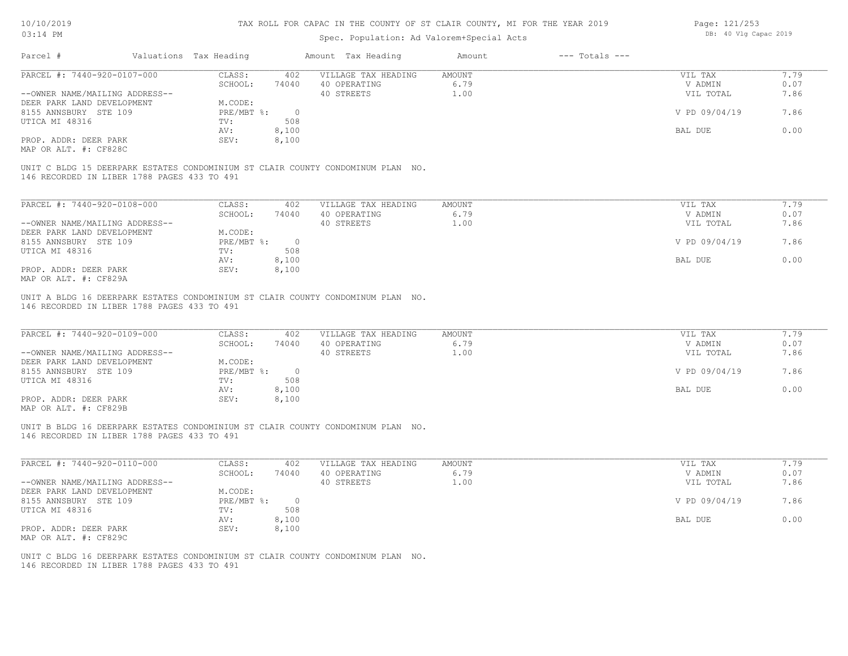#### Spec. Population: Ad Valorem+Special Acts

| Page: 121/253 |  |                       |  |  |  |  |
|---------------|--|-----------------------|--|--|--|--|
|               |  | DB: 40 Vlg Capac 2019 |  |  |  |  |

| Parcel #                                    | Valuations Tax Heading |          | Amount Tax Heading                                                              | Amount | $---$ Totals $---$ |               |      |
|---------------------------------------------|------------------------|----------|---------------------------------------------------------------------------------|--------|--------------------|---------------|------|
| PARCEL #: 7440-920-0107-000                 | CLASS:                 | 402      | VILLAGE TAX HEADING                                                             | AMOUNT |                    | VIL TAX       | 7.79 |
|                                             | SCHOOL:                | 74040    | 40 OPERATING                                                                    | 6.79   |                    | V ADMIN       | 0.07 |
| --OWNER NAME/MAILING ADDRESS--              |                        |          | 40 STREETS                                                                      | 1.00   |                    | VIL TOTAL     | 7.86 |
| DEER PARK LAND DEVELOPMENT                  | M.CODE:                |          |                                                                                 |        |                    |               |      |
| 8155 ANNSBURY STE 109                       | PRE/MBT %:             | $\Omega$ |                                                                                 |        |                    | V PD 09/04/19 | 7.86 |
| UTICA MI 48316                              | TV:                    | 508      |                                                                                 |        |                    |               |      |
|                                             | AV:                    | 8,100    |                                                                                 |        |                    | BAL DUE       | 0.00 |
| PROP. ADDR: DEER PARK                       | SEV:                   | 8,100    |                                                                                 |        |                    |               |      |
| MAP OR ALT. #: CF828C                       |                        |          |                                                                                 |        |                    |               |      |
| 146 RECORDED IN LIBER 1788 PAGES 433 TO 491 |                        |          | UNIT C BLDG 15 DEERPARK ESTATES CONDOMINIUM ST CLAIR COUNTY CONDOMINUM PLAN NO. |        |                    |               |      |
|                                             |                        |          |                                                                                 |        |                    |               |      |
| PARCEL #: 7440-920-0108-000                 | CLASS:                 | 402      | VILLAGE TAX HEADING                                                             | AMOUNT |                    | VIL TAX       | 7.79 |
|                                             | SCHOOL:                | 74040    | 40 OPERATING                                                                    | 6.79   |                    | V ADMIN       | 0.07 |
| --OWNER NAME/MAILING ADDRESS--              |                        |          | 40 STREETS                                                                      | 1.00   |                    | VIL TOTAL     | 7.86 |
| DEER PARK LAND DEVELOPMENT                  | M.CODE:                |          |                                                                                 |        |                    |               |      |
| 8155 ANNSBURY STE 109                       | $PRE/MBT$ $\div$       | $\Omega$ |                                                                                 |        |                    | V PD 09/04/19 | 7.86 |
| UTICA MI 48316                              | TV:                    | 508      |                                                                                 |        |                    |               |      |
|                                             | AV:                    | 8,100    |                                                                                 |        |                    | BAL DUE       | 0.00 |

MAP OR ALT. #: CF829A PROP. ADDR: DEER PARK SEV: 8,100

146 RECORDED IN LIBER 1788 PAGES 433 TO 491 UNIT A BLDG 16 DEERPARK ESTATES CONDOMINIUM ST CLAIR COUNTY CONDOMINUM PLAN NO.

| PARCEL #: 7440-920-0109-000    | CLASS:     | 402   | VILLAGE TAX HEADING | AMOUNT | VIL TAX       | 7.79 |
|--------------------------------|------------|-------|---------------------|--------|---------------|------|
|                                | SCHOOL:    | 74040 | 40 OPERATING        | 6.79   | V ADMIN       | 0.07 |
| --OWNER NAME/MAILING ADDRESS-- |            |       | 40 STREETS          | 1.00   | VIL TOTAL     | 7.86 |
| DEER PARK LAND DEVELOPMENT     | M.CODE:    |       |                     |        |               |      |
| 8155 ANNSBURY STE 109          | PRE/MBT %: |       |                     |        | V PD 09/04/19 | 7.86 |
| UTICA MI 48316                 | TV:        | 508   |                     |        |               |      |
|                                | AV:        | 8,100 |                     |        | BAL DUE       | 0.00 |
| PROP. ADDR: DEER PARK          | SEV:       | 8,100 |                     |        |               |      |
| $\cdots$                       |            |       |                     |        |               |      |

 $\mathcal{L}_\mathcal{L} = \mathcal{L}_\mathcal{L} = \mathcal{L}_\mathcal{L} = \mathcal{L}_\mathcal{L} = \mathcal{L}_\mathcal{L} = \mathcal{L}_\mathcal{L} = \mathcal{L}_\mathcal{L} = \mathcal{L}_\mathcal{L} = \mathcal{L}_\mathcal{L} = \mathcal{L}_\mathcal{L} = \mathcal{L}_\mathcal{L} = \mathcal{L}_\mathcal{L} = \mathcal{L}_\mathcal{L} = \mathcal{L}_\mathcal{L} = \mathcal{L}_\mathcal{L} = \mathcal{L}_\mathcal{L} = \mathcal{L}_\mathcal{L}$ 

 $\mathcal{L}_\mathcal{L} = \mathcal{L}_\mathcal{L} = \mathcal{L}_\mathcal{L} = \mathcal{L}_\mathcal{L} = \mathcal{L}_\mathcal{L} = \mathcal{L}_\mathcal{L} = \mathcal{L}_\mathcal{L} = \mathcal{L}_\mathcal{L} = \mathcal{L}_\mathcal{L} = \mathcal{L}_\mathcal{L} = \mathcal{L}_\mathcal{L} = \mathcal{L}_\mathcal{L} = \mathcal{L}_\mathcal{L} = \mathcal{L}_\mathcal{L} = \mathcal{L}_\mathcal{L} = \mathcal{L}_\mathcal{L} = \mathcal{L}_\mathcal{L}$ 

AV: 8,100 BAL DUE 0.00

MAP OR ALT. #: CF829B

146 RECORDED IN LIBER 1788 PAGES 433 TO 491 UNIT B BLDG 16 DEERPARK ESTATES CONDOMINIUM ST CLAIR COUNTY CONDOMINUM PLAN NO.

| PARCEL #: 7440-920-0110-000    | CLASS:     | 402      | VILLAGE TAX HEADING | AMOUNT | VIL TAX       | 7.79 |
|--------------------------------|------------|----------|---------------------|--------|---------------|------|
|                                | SCHOOL:    | 74040    | 40 OPERATING        | 6.79   | V ADMIN       | 0.07 |
| --OWNER NAME/MAILING ADDRESS-- |            |          | 40 STREETS          | 1.00   | VIL TOTAL     | 7.86 |
| DEER PARK LAND DEVELOPMENT     | M.CODE:    |          |                     |        |               |      |
| 8155 ANNSBURY STE 109          | PRE/MBT %: | $\Omega$ |                     |        | V PD 09/04/19 | 7.86 |
| UTICA MI 48316                 | TV:        | 508      |                     |        |               |      |
|                                | AV:        | 8,100    |                     |        | BAL DUE       | 0.00 |
| PROP. ADDR: DEER PARK          | SEV:       | 8,100    |                     |        |               |      |
| MAP OR ALT. #: CF829C          |            |          |                     |        |               |      |

146 RECORDED IN LIBER 1788 PAGES 433 TO 491 UNIT C BLDG 16 DEERPARK ESTATES CONDOMINIUM ST CLAIR COUNTY CONDOMINUM PLAN NO.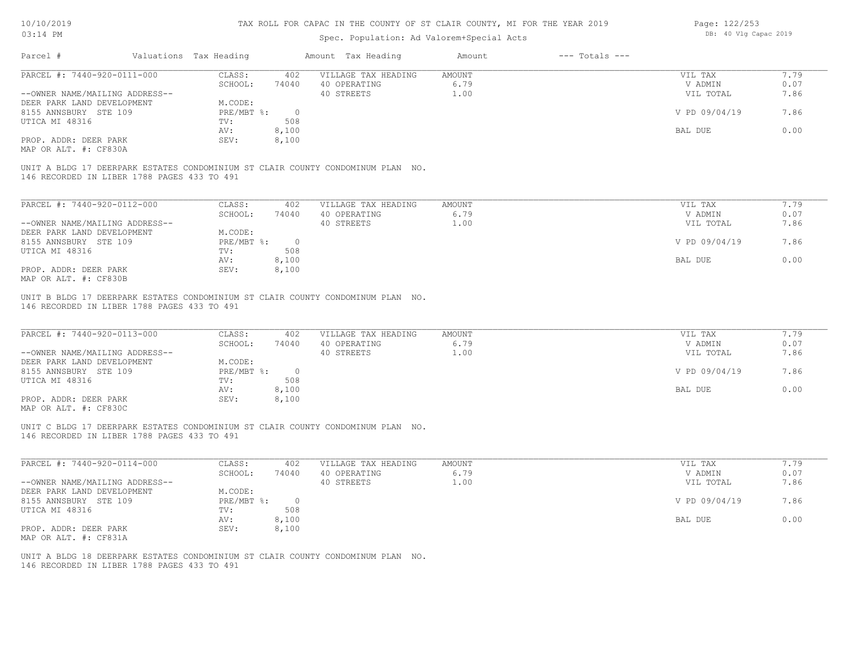| Page: 122/253 |  |                       |  |  |  |
|---------------|--|-----------------------|--|--|--|
|               |  | DB: 40 Vlg Capac 2019 |  |  |  |

| Parcel #<br>Valuations Tax Heading<br>Amount Tax Heading<br>$---$ Totals $---$<br>Amount<br>PARCEL #: 7440-920-0111-000<br>CLASS:<br>VILLAGE TAX HEADING<br>AMOUNT<br>VIL TAX<br>402<br>SCHOOL:<br>74040<br>40 OPERATING<br>6.79<br>V ADMIN<br>1.00<br>--OWNER NAME/MAILING ADDRESS--<br>40 STREETS<br>VIL TOTAL<br>DEER PARK LAND DEVELOPMENT<br>M.CODE:<br>V PD 09/04/19<br>7.86<br>8155 ANNSBURY STE 109<br>$PRE/MBT$ $\div$<br>$\overline{0}$<br>508<br>UTICA MI 48316<br>TV:<br>0.00<br>8,100<br>BAL DUE<br>AV:<br>PROP. ADDR: DEER PARK<br>8,100<br>SEV:<br>MAP OR ALT. #: CF830A<br>UNIT A BLDG 17 DEERPARK ESTATES CONDOMINIUM ST CLAIR COUNTY CONDOMINUM PLAN NO.<br>146 RECORDED IN LIBER 1788 PAGES 433 TO 491<br>PARCEL #: 7440-920-0112-000<br>7.79<br>CLASS:<br>402<br>VIL TAX<br>VILLAGE TAX HEADING<br>AMOUNT<br>SCHOOL:<br>40 OPERATING<br>6.79<br>0.07<br>74040<br>V ADMIN<br>40 STREETS<br>--OWNER NAME/MAILING ADDRESS--<br>1.00<br>VIL TOTAL<br>7.86<br>M.CODE:<br>DEER PARK LAND DEVELOPMENT<br>7.86<br>8155 ANNSBURY STE 109<br>$PRE/MBT$ $\div$<br>$\overline{0}$<br>V PD 09/04/19<br>508<br>UTICA MI 48316<br>TV:<br>0.00<br>AV:<br>8,100<br>BAL DUE<br>PROP. ADDR: DEER PARK<br>SEV:<br>8,100<br>MAP OR ALT. #: CF830B<br>UNIT B BLDG 17 DEERPARK ESTATES CONDOMINIUM ST CLAIR COUNTY CONDOMINUM PLAN NO.<br>146 RECORDED IN LIBER 1788 PAGES 433 TO 491<br>PARCEL #: 7440-920-0113-000<br>CLASS:<br>VILLAGE TAX HEADING<br>7.79<br>402<br>AMOUNT<br>VIL TAX<br>6.79<br>0.07<br>SCHOOL:<br>74040<br>40 OPERATING<br>V ADMIN<br>1.00<br>7.86<br>--OWNER NAME/MAILING ADDRESS--<br>40 STREETS<br>VIL TOTAL<br>M.CODE:<br>DEER PARK LAND DEVELOPMENT<br>PRE/MBT %:<br>$\overline{0}$<br>8155 ANNSBURY STE 109<br>V PD 09/04/19<br>508<br>UTICA MI 48316<br>TV:<br>8,100<br>BAL DUE<br>AV:<br>PROP. ADDR: DEER PARK<br>SEV:<br>8,100<br>MAP OR ALT. #: CF830C<br>UNIT C BLDG 17 DEERPARK ESTATES CONDOMINIUM ST CLAIR COUNTY CONDOMINUM PLAN NO.<br>146 RECORDED IN LIBER 1788 PAGES 433 TO 491<br>PARCEL #: 7440-920-0114-000<br>CLASS:<br>402<br>VILLAGE TAX HEADING<br>AMOUNT<br>VIL TAX<br>6.79<br>SCHOOL:<br>40 OPERATING<br>V ADMIN<br>74040<br>40 STREETS<br>1.00<br>VIL TOTAL<br>--OWNER NAME/MAILING ADDRESS--<br>M.CODE:<br>DEER PARK LAND DEVELOPMENT<br>8155 ANNSBURY STE 109<br>$PRE/MBT$ $\div$<br>$\circ$<br>V PD 09/04/19<br>508<br>UTICA MI 48316<br>TV:<br>8,100<br>0.00<br>BAL DUE<br>AV:<br>8,100<br>PROP. ADDR: DEER PARK<br>SEV:<br>MAP OR ALT. #: CF831A<br>UNIT A BLDG 18 DEERPARK ESTATES CONDOMINIUM ST CLAIR COUNTY CONDOMINUM PLAN NO.<br>146 RECORDED IN LIBER 1788 PAGES 433 TO 491 | $03:14$ PM |  | Spec. Population: Ad Valorem+Special Acts |  | DB: 40 Vlg Capac 2019 |      |
|-----------------------------------------------------------------------------------------------------------------------------------------------------------------------------------------------------------------------------------------------------------------------------------------------------------------------------------------------------------------------------------------------------------------------------------------------------------------------------------------------------------------------------------------------------------------------------------------------------------------------------------------------------------------------------------------------------------------------------------------------------------------------------------------------------------------------------------------------------------------------------------------------------------------------------------------------------------------------------------------------------------------------------------------------------------------------------------------------------------------------------------------------------------------------------------------------------------------------------------------------------------------------------------------------------------------------------------------------------------------------------------------------------------------------------------------------------------------------------------------------------------------------------------------------------------------------------------------------------------------------------------------------------------------------------------------------------------------------------------------------------------------------------------------------------------------------------------------------------------------------------------------------------------------------------------------------------------------------------------------------------------------------------------------------------------------------------------------------------------------------------------------------------------------------------------------------------------------------------------------------------------------------------------------------------------------------------------------------------------------------------------------------------------------------------------------------------------------------------------------------------------------------------------------------------------------------------------------------------------------------------------------|------------|--|-------------------------------------------|--|-----------------------|------|
|                                                                                                                                                                                                                                                                                                                                                                                                                                                                                                                                                                                                                                                                                                                                                                                                                                                                                                                                                                                                                                                                                                                                                                                                                                                                                                                                                                                                                                                                                                                                                                                                                                                                                                                                                                                                                                                                                                                                                                                                                                                                                                                                                                                                                                                                                                                                                                                                                                                                                                                                                                                                                                         |            |  |                                           |  |                       |      |
|                                                                                                                                                                                                                                                                                                                                                                                                                                                                                                                                                                                                                                                                                                                                                                                                                                                                                                                                                                                                                                                                                                                                                                                                                                                                                                                                                                                                                                                                                                                                                                                                                                                                                                                                                                                                                                                                                                                                                                                                                                                                                                                                                                                                                                                                                                                                                                                                                                                                                                                                                                                                                                         |            |  |                                           |  |                       | 7.79 |
|                                                                                                                                                                                                                                                                                                                                                                                                                                                                                                                                                                                                                                                                                                                                                                                                                                                                                                                                                                                                                                                                                                                                                                                                                                                                                                                                                                                                                                                                                                                                                                                                                                                                                                                                                                                                                                                                                                                                                                                                                                                                                                                                                                                                                                                                                                                                                                                                                                                                                                                                                                                                                                         |            |  |                                           |  |                       | 0.07 |
|                                                                                                                                                                                                                                                                                                                                                                                                                                                                                                                                                                                                                                                                                                                                                                                                                                                                                                                                                                                                                                                                                                                                                                                                                                                                                                                                                                                                                                                                                                                                                                                                                                                                                                                                                                                                                                                                                                                                                                                                                                                                                                                                                                                                                                                                                                                                                                                                                                                                                                                                                                                                                                         |            |  |                                           |  |                       | 7.86 |
|                                                                                                                                                                                                                                                                                                                                                                                                                                                                                                                                                                                                                                                                                                                                                                                                                                                                                                                                                                                                                                                                                                                                                                                                                                                                                                                                                                                                                                                                                                                                                                                                                                                                                                                                                                                                                                                                                                                                                                                                                                                                                                                                                                                                                                                                                                                                                                                                                                                                                                                                                                                                                                         |            |  |                                           |  |                       |      |
|                                                                                                                                                                                                                                                                                                                                                                                                                                                                                                                                                                                                                                                                                                                                                                                                                                                                                                                                                                                                                                                                                                                                                                                                                                                                                                                                                                                                                                                                                                                                                                                                                                                                                                                                                                                                                                                                                                                                                                                                                                                                                                                                                                                                                                                                                                                                                                                                                                                                                                                                                                                                                                         |            |  |                                           |  |                       |      |
|                                                                                                                                                                                                                                                                                                                                                                                                                                                                                                                                                                                                                                                                                                                                                                                                                                                                                                                                                                                                                                                                                                                                                                                                                                                                                                                                                                                                                                                                                                                                                                                                                                                                                                                                                                                                                                                                                                                                                                                                                                                                                                                                                                                                                                                                                                                                                                                                                                                                                                                                                                                                                                         |            |  |                                           |  |                       |      |
|                                                                                                                                                                                                                                                                                                                                                                                                                                                                                                                                                                                                                                                                                                                                                                                                                                                                                                                                                                                                                                                                                                                                                                                                                                                                                                                                                                                                                                                                                                                                                                                                                                                                                                                                                                                                                                                                                                                                                                                                                                                                                                                                                                                                                                                                                                                                                                                                                                                                                                                                                                                                                                         |            |  |                                           |  |                       |      |
|                                                                                                                                                                                                                                                                                                                                                                                                                                                                                                                                                                                                                                                                                                                                                                                                                                                                                                                                                                                                                                                                                                                                                                                                                                                                                                                                                                                                                                                                                                                                                                                                                                                                                                                                                                                                                                                                                                                                                                                                                                                                                                                                                                                                                                                                                                                                                                                                                                                                                                                                                                                                                                         |            |  |                                           |  |                       |      |
|                                                                                                                                                                                                                                                                                                                                                                                                                                                                                                                                                                                                                                                                                                                                                                                                                                                                                                                                                                                                                                                                                                                                                                                                                                                                                                                                                                                                                                                                                                                                                                                                                                                                                                                                                                                                                                                                                                                                                                                                                                                                                                                                                                                                                                                                                                                                                                                                                                                                                                                                                                                                                                         |            |  |                                           |  |                       |      |
|                                                                                                                                                                                                                                                                                                                                                                                                                                                                                                                                                                                                                                                                                                                                                                                                                                                                                                                                                                                                                                                                                                                                                                                                                                                                                                                                                                                                                                                                                                                                                                                                                                                                                                                                                                                                                                                                                                                                                                                                                                                                                                                                                                                                                                                                                                                                                                                                                                                                                                                                                                                                                                         |            |  |                                           |  |                       |      |
|                                                                                                                                                                                                                                                                                                                                                                                                                                                                                                                                                                                                                                                                                                                                                                                                                                                                                                                                                                                                                                                                                                                                                                                                                                                                                                                                                                                                                                                                                                                                                                                                                                                                                                                                                                                                                                                                                                                                                                                                                                                                                                                                                                                                                                                                                                                                                                                                                                                                                                                                                                                                                                         |            |  |                                           |  |                       |      |
|                                                                                                                                                                                                                                                                                                                                                                                                                                                                                                                                                                                                                                                                                                                                                                                                                                                                                                                                                                                                                                                                                                                                                                                                                                                                                                                                                                                                                                                                                                                                                                                                                                                                                                                                                                                                                                                                                                                                                                                                                                                                                                                                                                                                                                                                                                                                                                                                                                                                                                                                                                                                                                         |            |  |                                           |  |                       |      |
|                                                                                                                                                                                                                                                                                                                                                                                                                                                                                                                                                                                                                                                                                                                                                                                                                                                                                                                                                                                                                                                                                                                                                                                                                                                                                                                                                                                                                                                                                                                                                                                                                                                                                                                                                                                                                                                                                                                                                                                                                                                                                                                                                                                                                                                                                                                                                                                                                                                                                                                                                                                                                                         |            |  |                                           |  |                       |      |
|                                                                                                                                                                                                                                                                                                                                                                                                                                                                                                                                                                                                                                                                                                                                                                                                                                                                                                                                                                                                                                                                                                                                                                                                                                                                                                                                                                                                                                                                                                                                                                                                                                                                                                                                                                                                                                                                                                                                                                                                                                                                                                                                                                                                                                                                                                                                                                                                                                                                                                                                                                                                                                         |            |  |                                           |  |                       |      |
|                                                                                                                                                                                                                                                                                                                                                                                                                                                                                                                                                                                                                                                                                                                                                                                                                                                                                                                                                                                                                                                                                                                                                                                                                                                                                                                                                                                                                                                                                                                                                                                                                                                                                                                                                                                                                                                                                                                                                                                                                                                                                                                                                                                                                                                                                                                                                                                                                                                                                                                                                                                                                                         |            |  |                                           |  |                       |      |
|                                                                                                                                                                                                                                                                                                                                                                                                                                                                                                                                                                                                                                                                                                                                                                                                                                                                                                                                                                                                                                                                                                                                                                                                                                                                                                                                                                                                                                                                                                                                                                                                                                                                                                                                                                                                                                                                                                                                                                                                                                                                                                                                                                                                                                                                                                                                                                                                                                                                                                                                                                                                                                         |            |  |                                           |  |                       |      |
|                                                                                                                                                                                                                                                                                                                                                                                                                                                                                                                                                                                                                                                                                                                                                                                                                                                                                                                                                                                                                                                                                                                                                                                                                                                                                                                                                                                                                                                                                                                                                                                                                                                                                                                                                                                                                                                                                                                                                                                                                                                                                                                                                                                                                                                                                                                                                                                                                                                                                                                                                                                                                                         |            |  |                                           |  |                       |      |
|                                                                                                                                                                                                                                                                                                                                                                                                                                                                                                                                                                                                                                                                                                                                                                                                                                                                                                                                                                                                                                                                                                                                                                                                                                                                                                                                                                                                                                                                                                                                                                                                                                                                                                                                                                                                                                                                                                                                                                                                                                                                                                                                                                                                                                                                                                                                                                                                                                                                                                                                                                                                                                         |            |  |                                           |  |                       |      |
|                                                                                                                                                                                                                                                                                                                                                                                                                                                                                                                                                                                                                                                                                                                                                                                                                                                                                                                                                                                                                                                                                                                                                                                                                                                                                                                                                                                                                                                                                                                                                                                                                                                                                                                                                                                                                                                                                                                                                                                                                                                                                                                                                                                                                                                                                                                                                                                                                                                                                                                                                                                                                                         |            |  |                                           |  |                       |      |
|                                                                                                                                                                                                                                                                                                                                                                                                                                                                                                                                                                                                                                                                                                                                                                                                                                                                                                                                                                                                                                                                                                                                                                                                                                                                                                                                                                                                                                                                                                                                                                                                                                                                                                                                                                                                                                                                                                                                                                                                                                                                                                                                                                                                                                                                                                                                                                                                                                                                                                                                                                                                                                         |            |  |                                           |  |                       |      |
|                                                                                                                                                                                                                                                                                                                                                                                                                                                                                                                                                                                                                                                                                                                                                                                                                                                                                                                                                                                                                                                                                                                                                                                                                                                                                                                                                                                                                                                                                                                                                                                                                                                                                                                                                                                                                                                                                                                                                                                                                                                                                                                                                                                                                                                                                                                                                                                                                                                                                                                                                                                                                                         |            |  |                                           |  |                       |      |
|                                                                                                                                                                                                                                                                                                                                                                                                                                                                                                                                                                                                                                                                                                                                                                                                                                                                                                                                                                                                                                                                                                                                                                                                                                                                                                                                                                                                                                                                                                                                                                                                                                                                                                                                                                                                                                                                                                                                                                                                                                                                                                                                                                                                                                                                                                                                                                                                                                                                                                                                                                                                                                         |            |  |                                           |  |                       |      |
|                                                                                                                                                                                                                                                                                                                                                                                                                                                                                                                                                                                                                                                                                                                                                                                                                                                                                                                                                                                                                                                                                                                                                                                                                                                                                                                                                                                                                                                                                                                                                                                                                                                                                                                                                                                                                                                                                                                                                                                                                                                                                                                                                                                                                                                                                                                                                                                                                                                                                                                                                                                                                                         |            |  |                                           |  |                       |      |
|                                                                                                                                                                                                                                                                                                                                                                                                                                                                                                                                                                                                                                                                                                                                                                                                                                                                                                                                                                                                                                                                                                                                                                                                                                                                                                                                                                                                                                                                                                                                                                                                                                                                                                                                                                                                                                                                                                                                                                                                                                                                                                                                                                                                                                                                                                                                                                                                                                                                                                                                                                                                                                         |            |  |                                           |  |                       |      |
|                                                                                                                                                                                                                                                                                                                                                                                                                                                                                                                                                                                                                                                                                                                                                                                                                                                                                                                                                                                                                                                                                                                                                                                                                                                                                                                                                                                                                                                                                                                                                                                                                                                                                                                                                                                                                                                                                                                                                                                                                                                                                                                                                                                                                                                                                                                                                                                                                                                                                                                                                                                                                                         |            |  |                                           |  |                       | 7.86 |
|                                                                                                                                                                                                                                                                                                                                                                                                                                                                                                                                                                                                                                                                                                                                                                                                                                                                                                                                                                                                                                                                                                                                                                                                                                                                                                                                                                                                                                                                                                                                                                                                                                                                                                                                                                                                                                                                                                                                                                                                                                                                                                                                                                                                                                                                                                                                                                                                                                                                                                                                                                                                                                         |            |  |                                           |  |                       |      |
|                                                                                                                                                                                                                                                                                                                                                                                                                                                                                                                                                                                                                                                                                                                                                                                                                                                                                                                                                                                                                                                                                                                                                                                                                                                                                                                                                                                                                                                                                                                                                                                                                                                                                                                                                                                                                                                                                                                                                                                                                                                                                                                                                                                                                                                                                                                                                                                                                                                                                                                                                                                                                                         |            |  |                                           |  |                       | 0.00 |
|                                                                                                                                                                                                                                                                                                                                                                                                                                                                                                                                                                                                                                                                                                                                                                                                                                                                                                                                                                                                                                                                                                                                                                                                                                                                                                                                                                                                                                                                                                                                                                                                                                                                                                                                                                                                                                                                                                                                                                                                                                                                                                                                                                                                                                                                                                                                                                                                                                                                                                                                                                                                                                         |            |  |                                           |  |                       |      |
|                                                                                                                                                                                                                                                                                                                                                                                                                                                                                                                                                                                                                                                                                                                                                                                                                                                                                                                                                                                                                                                                                                                                                                                                                                                                                                                                                                                                                                                                                                                                                                                                                                                                                                                                                                                                                                                                                                                                                                                                                                                                                                                                                                                                                                                                                                                                                                                                                                                                                                                                                                                                                                         |            |  |                                           |  |                       |      |
|                                                                                                                                                                                                                                                                                                                                                                                                                                                                                                                                                                                                                                                                                                                                                                                                                                                                                                                                                                                                                                                                                                                                                                                                                                                                                                                                                                                                                                                                                                                                                                                                                                                                                                                                                                                                                                                                                                                                                                                                                                                                                                                                                                                                                                                                                                                                                                                                                                                                                                                                                                                                                                         |            |  |                                           |  |                       |      |
|                                                                                                                                                                                                                                                                                                                                                                                                                                                                                                                                                                                                                                                                                                                                                                                                                                                                                                                                                                                                                                                                                                                                                                                                                                                                                                                                                                                                                                                                                                                                                                                                                                                                                                                                                                                                                                                                                                                                                                                                                                                                                                                                                                                                                                                                                                                                                                                                                                                                                                                                                                                                                                         |            |  |                                           |  |                       | 7.79 |
|                                                                                                                                                                                                                                                                                                                                                                                                                                                                                                                                                                                                                                                                                                                                                                                                                                                                                                                                                                                                                                                                                                                                                                                                                                                                                                                                                                                                                                                                                                                                                                                                                                                                                                                                                                                                                                                                                                                                                                                                                                                                                                                                                                                                                                                                                                                                                                                                                                                                                                                                                                                                                                         |            |  |                                           |  |                       | 0.07 |
|                                                                                                                                                                                                                                                                                                                                                                                                                                                                                                                                                                                                                                                                                                                                                                                                                                                                                                                                                                                                                                                                                                                                                                                                                                                                                                                                                                                                                                                                                                                                                                                                                                                                                                                                                                                                                                                                                                                                                                                                                                                                                                                                                                                                                                                                                                                                                                                                                                                                                                                                                                                                                                         |            |  |                                           |  |                       | 7.86 |
|                                                                                                                                                                                                                                                                                                                                                                                                                                                                                                                                                                                                                                                                                                                                                                                                                                                                                                                                                                                                                                                                                                                                                                                                                                                                                                                                                                                                                                                                                                                                                                                                                                                                                                                                                                                                                                                                                                                                                                                                                                                                                                                                                                                                                                                                                                                                                                                                                                                                                                                                                                                                                                         |            |  |                                           |  |                       |      |
|                                                                                                                                                                                                                                                                                                                                                                                                                                                                                                                                                                                                                                                                                                                                                                                                                                                                                                                                                                                                                                                                                                                                                                                                                                                                                                                                                                                                                                                                                                                                                                                                                                                                                                                                                                                                                                                                                                                                                                                                                                                                                                                                                                                                                                                                                                                                                                                                                                                                                                                                                                                                                                         |            |  |                                           |  |                       | 7.86 |
|                                                                                                                                                                                                                                                                                                                                                                                                                                                                                                                                                                                                                                                                                                                                                                                                                                                                                                                                                                                                                                                                                                                                                                                                                                                                                                                                                                                                                                                                                                                                                                                                                                                                                                                                                                                                                                                                                                                                                                                                                                                                                                                                                                                                                                                                                                                                                                                                                                                                                                                                                                                                                                         |            |  |                                           |  |                       |      |
|                                                                                                                                                                                                                                                                                                                                                                                                                                                                                                                                                                                                                                                                                                                                                                                                                                                                                                                                                                                                                                                                                                                                                                                                                                                                                                                                                                                                                                                                                                                                                                                                                                                                                                                                                                                                                                                                                                                                                                                                                                                                                                                                                                                                                                                                                                                                                                                                                                                                                                                                                                                                                                         |            |  |                                           |  |                       |      |
|                                                                                                                                                                                                                                                                                                                                                                                                                                                                                                                                                                                                                                                                                                                                                                                                                                                                                                                                                                                                                                                                                                                                                                                                                                                                                                                                                                                                                                                                                                                                                                                                                                                                                                                                                                                                                                                                                                                                                                                                                                                                                                                                                                                                                                                                                                                                                                                                                                                                                                                                                                                                                                         |            |  |                                           |  |                       |      |
|                                                                                                                                                                                                                                                                                                                                                                                                                                                                                                                                                                                                                                                                                                                                                                                                                                                                                                                                                                                                                                                                                                                                                                                                                                                                                                                                                                                                                                                                                                                                                                                                                                                                                                                                                                                                                                                                                                                                                                                                                                                                                                                                                                                                                                                                                                                                                                                                                                                                                                                                                                                                                                         |            |  |                                           |  |                       |      |
|                                                                                                                                                                                                                                                                                                                                                                                                                                                                                                                                                                                                                                                                                                                                                                                                                                                                                                                                                                                                                                                                                                                                                                                                                                                                                                                                                                                                                                                                                                                                                                                                                                                                                                                                                                                                                                                                                                                                                                                                                                                                                                                                                                                                                                                                                                                                                                                                                                                                                                                                                                                                                                         |            |  |                                           |  |                       |      |
|                                                                                                                                                                                                                                                                                                                                                                                                                                                                                                                                                                                                                                                                                                                                                                                                                                                                                                                                                                                                                                                                                                                                                                                                                                                                                                                                                                                                                                                                                                                                                                                                                                                                                                                                                                                                                                                                                                                                                                                                                                                                                                                                                                                                                                                                                                                                                                                                                                                                                                                                                                                                                                         |            |  |                                           |  |                       |      |
|                                                                                                                                                                                                                                                                                                                                                                                                                                                                                                                                                                                                                                                                                                                                                                                                                                                                                                                                                                                                                                                                                                                                                                                                                                                                                                                                                                                                                                                                                                                                                                                                                                                                                                                                                                                                                                                                                                                                                                                                                                                                                                                                                                                                                                                                                                                                                                                                                                                                                                                                                                                                                                         |            |  |                                           |  |                       |      |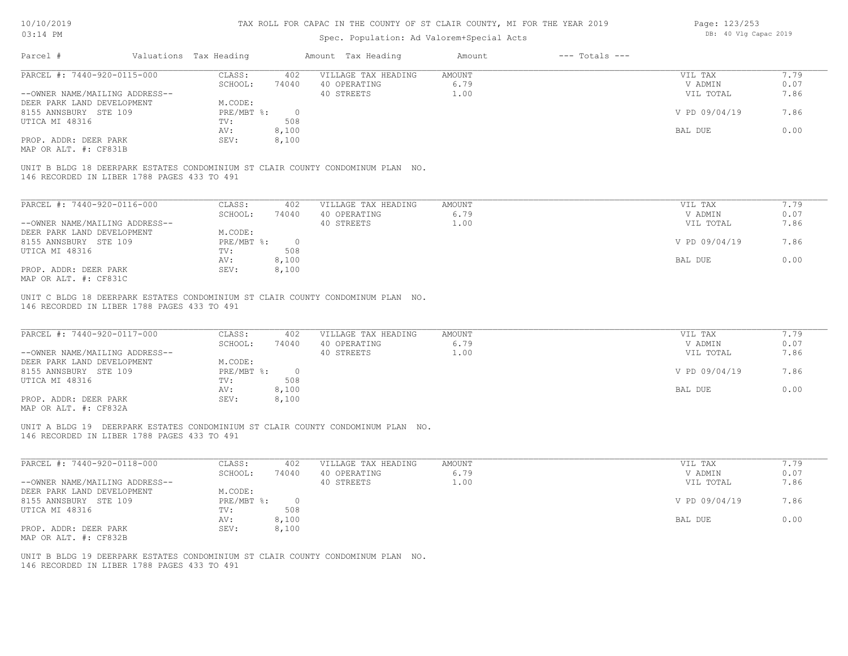# Spec. Population: Ad Valorem+Special Acts

| Page: 123/253 |  |                       |  |
|---------------|--|-----------------------|--|
|               |  | DB: 40 Vlg Capac 2019 |  |

| Parcel #                                                                                                                       | Valuations Tax Heading                           | Amount Tax Heading                  | $---$ Totals $---$<br>Amount |                    |              |
|--------------------------------------------------------------------------------------------------------------------------------|--------------------------------------------------|-------------------------------------|------------------------------|--------------------|--------------|
| PARCEL #: 7440-920-0115-000                                                                                                    | CLASS:<br>402<br>SCHOOL:<br>74040                | VILLAGE TAX HEADING<br>40 OPERATING | AMOUNT<br>6.79               | VIL TAX<br>V ADMIN | 7.79<br>0.07 |
| --OWNER NAME/MAILING ADDRESS--                                                                                                 |                                                  | 40 STREETS                          | 1.00                         | VIL TOTAL          | 7.86         |
| DEER PARK LAND DEVELOPMENT                                                                                                     | M.CODE:                                          |                                     |                              |                    |              |
| 8155 ANNSBURY STE 109                                                                                                          | $PRE/MBT$ $\div$<br>$\overline{\phantom{0}}$     |                                     |                              | V PD 09/04/19      | 7.86         |
| UTICA MI 48316                                                                                                                 | 508<br>TV:<br>AV:                                |                                     |                              | BAL DUE            | 0.00         |
| PROP. ADDR: DEER PARK                                                                                                          | 8,100<br>SEV:<br>8,100                           |                                     |                              |                    |              |
| MAP OR ALT. #: CF831B                                                                                                          |                                                  |                                     |                              |                    |              |
|                                                                                                                                |                                                  |                                     |                              |                    |              |
| UNIT B BLDG 18 DEERPARK ESTATES CONDOMINIUM ST CLAIR COUNTY CONDOMINUM PLAN NO.                                                |                                                  |                                     |                              |                    |              |
| 146 RECORDED IN LIBER 1788 PAGES 433 TO 491                                                                                    |                                                  |                                     |                              |                    |              |
| PARCEL #: 7440-920-0116-000                                                                                                    | CLASS:<br>402                                    | VILLAGE TAX HEADING                 | AMOUNT                       | VIL TAX            | 7.79         |
|                                                                                                                                | SCHOOL:<br>74040                                 | 40 OPERATING                        | 6.79                         | V ADMIN            | 0.07         |
| --OWNER NAME/MAILING ADDRESS--                                                                                                 |                                                  | 40 STREETS                          | 1.00                         | VIL TOTAL          | 7.86         |
| DEER PARK LAND DEVELOPMENT                                                                                                     | M.CODE:                                          |                                     |                              |                    |              |
| 8155 ANNSBURY STE 109                                                                                                          | PRE/MBT %:<br>$\overline{\phantom{0}}$           |                                     |                              | V PD 09/04/19      | 7.86         |
| UTICA MI 48316                                                                                                                 | 508<br>TV:                                       |                                     |                              |                    |              |
| PROP. ADDR: DEER PARK                                                                                                          | 8,100<br>AV:<br>SEV:<br>8,100                    |                                     |                              | BAL DUE            | 0.00         |
| MAP OR ALT. #: CF831C                                                                                                          |                                                  |                                     |                              |                    |              |
|                                                                                                                                |                                                  |                                     |                              |                    |              |
| UNIT C BLDG 18 DEERPARK ESTATES CONDOMINIUM ST CLAIR COUNTY CONDOMINUM PLAN NO.<br>146 RECORDED IN LIBER 1788 PAGES 433 TO 491 |                                                  |                                     |                              |                    |              |
|                                                                                                                                |                                                  |                                     |                              |                    |              |
| PARCEL #: 7440-920-0117-000                                                                                                    | CLASS:<br>402                                    | VILLAGE TAX HEADING                 | AMOUNT                       | VIL TAX            | 7.79         |
|                                                                                                                                | SCHOOL:<br>74040                                 | 40 OPERATING                        | 6.79                         | V ADMIN            | 0.07         |
| --OWNER NAME/MAILING ADDRESS--                                                                                                 |                                                  | 40 STREETS                          | 1.00                         | VIL TOTAL          | 7.86         |
| DEER PARK LAND DEVELOPMENT                                                                                                     | M.CODE:                                          |                                     |                              |                    |              |
| 8155 ANNSBURY STE 109                                                                                                          | $PRE/MBT$ $\div$<br>$\overline{0}$<br>508<br>TV: |                                     |                              | V PD 09/04/19      | 7.86         |
| UTICA MI 48316                                                                                                                 | 8,100<br>AV:                                     |                                     |                              | BAL DUE            | 0.00         |
| PROP. ADDR: DEER PARK                                                                                                          | SEV:<br>8,100                                    |                                     |                              |                    |              |
| MAP OR ALT. #: CF832A                                                                                                          |                                                  |                                     |                              |                    |              |
|                                                                                                                                |                                                  |                                     |                              |                    |              |
| UNIT A BLDG 19 DEERPARK ESTATES CONDOMINIUM ST CLAIR COUNTY CONDOMINUM PLAN NO.<br>146 RECORDED IN LIBER 1788 PAGES 433 TO 491 |                                                  |                                     |                              |                    |              |
|                                                                                                                                |                                                  |                                     |                              |                    |              |
| PARCEL #: 7440-920-0118-000                                                                                                    | CLASS:<br>402                                    | VILLAGE TAX HEADING                 | AMOUNT                       | VIL TAX            | 7.79         |
|                                                                                                                                | SCHOOL:<br>74040                                 | 40 OPERATING                        | 6.79                         | V ADMIN            | 0.07         |
| --OWNER NAME/MAILING ADDRESS--                                                                                                 |                                                  | 40 STREETS                          | 1.00                         | VIL TOTAL          | 7.86         |
| DEER PARK LAND DEVELOPMENT                                                                                                     | M.CODE:                                          |                                     |                              | V PD 09/04/19      |              |
| 8155 ANNSBURY STE 109<br>UTICA MI 48316                                                                                        | $PRE/MBT$ $\div$<br>$\overline{0}$<br>TV:<br>508 |                                     |                              |                    | 7.86         |
|                                                                                                                                | 8,100<br>AV:                                     |                                     |                              | BAL DUE            | 0.00         |
| PROP. ADDR: DEER PARK                                                                                                          | SEV:<br>8,100                                    |                                     |                              |                    |              |
| MAP OR ALT. #: CF832B                                                                                                          |                                                  |                                     |                              |                    |              |
| UNIT B BLDG 19 DEERPARK ESTATES CONDOMINIUM ST CLAIR COUNTY CONDOMINUM PLAN NO.                                                |                                                  |                                     |                              |                    |              |
| 146 RECORDED IN LIBER 1788 PAGES 433 TO 491                                                                                    |                                                  |                                     |                              |                    |              |
|                                                                                                                                |                                                  |                                     |                              |                    |              |
|                                                                                                                                |                                                  |                                     |                              |                    |              |
|                                                                                                                                |                                                  |                                     |                              |                    |              |
|                                                                                                                                |                                                  |                                     |                              |                    |              |
|                                                                                                                                |                                                  |                                     |                              |                    |              |
|                                                                                                                                |                                                  |                                     |                              |                    |              |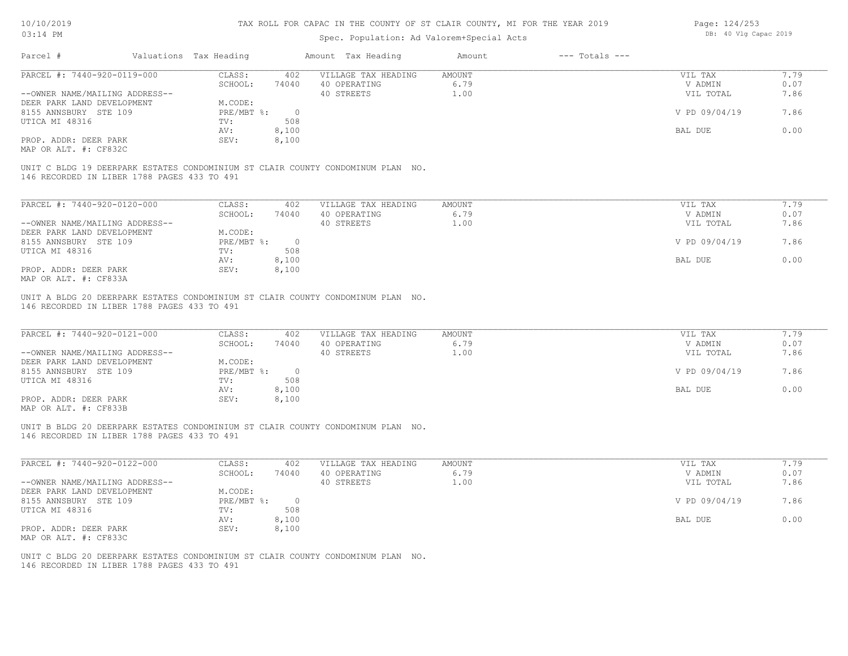| 10/10/2019                                                   |                             |                       | TAX ROLL FOR CAPAC IN THE COUNTY OF ST CLAIR COUNTY, MI FOR THE YEAR 2019       | Page: 124/253         |                    |                       |              |
|--------------------------------------------------------------|-----------------------------|-----------------------|---------------------------------------------------------------------------------|-----------------------|--------------------|-----------------------|--------------|
| $03:14$ PM                                                   |                             |                       | Spec. Population: Ad Valorem+Special Acts                                       |                       |                    | DB: 40 Vlg Capac 2019 |              |
| Parcel #                                                     | Valuations Tax Heading      |                       | Amount Tax Heading                                                              | Amount                | $---$ Totals $---$ |                       |              |
| PARCEL #: 7440-920-0119-000                                  | CLASS:<br>SCHOOL:           | 402<br>74040          | VILLAGE TAX HEADING<br>40 OPERATING                                             | <b>AMOUNT</b><br>6.79 |                    | VIL TAX<br>V ADMIN    | 7.79<br>0.07 |
| --OWNER NAME/MAILING ADDRESS--<br>DEER PARK LAND DEVELOPMENT | M.CODE:                     |                       | 40 STREETS                                                                      | 1.00                  |                    | VIL TOTAL             | 7.86         |
| 8155 ANNSBURY STE 109                                        | PRE/MBT %:                  | $\overline{0}$        |                                                                                 |                       |                    | V PD 09/04/19         | 7.86         |
| UTICA MI 48316                                               | TV:<br>AV:                  | 508<br>8,100          |                                                                                 |                       |                    | BAL DUE               | 0.00         |
| PROP. ADDR: DEER PARK<br>MAP OR ALT. #: CF832C               | SEV:                        | 8,100                 |                                                                                 |                       |                    |                       |              |
| 146 RECORDED IN LIBER 1788 PAGES 433 TO 491                  |                             |                       | UNIT C BLDG 19 DEERPARK ESTATES CONDOMINIUM ST CLAIR COUNTY CONDOMINUM PLAN NO. |                       |                    |                       |              |
| PARCEL #: 7440-920-0120-000                                  | CLASS:                      | 402                   | VILLAGE TAX HEADING                                                             | <b>AMOUNT</b>         |                    | VIL TAX               | 7.79         |
|                                                              | SCHOOL:                     | 74040                 | 40 OPERATING                                                                    | 6.79                  |                    | V ADMIN               | 0.07         |
| --OWNER NAME/MAILING ADDRESS--<br>DEER PARK LAND DEVELOPMENT | M.CODE:                     |                       | 40 STREETS                                                                      | 1.00                  |                    | VIL TOTAL             | 7.86         |
| 8155 ANNSBURY STE 109                                        | PRE/MBT %:                  | $\overline{0}$        |                                                                                 |                       |                    | V PD 09/04/19         | 7.86         |
| UTICA MI 48316                                               | TV:<br>AV:                  | 508<br>8,100          |                                                                                 |                       |                    | BAL DUE               | 0.00         |
| PROP. ADDR: DEER PARK<br>MAP OR ALT. #: CF833A               | SEV:                        | 8,100                 |                                                                                 |                       |                    |                       |              |
| 146 RECORDED IN LIBER 1788 PAGES 433 TO 491                  |                             |                       | UNIT A BLDG 20 DEERPARK ESTATES CONDOMINIUM ST CLAIR COUNTY CONDOMINUM PLAN NO. |                       |                    |                       |              |
| PARCEL #: 7440-920-0121-000                                  | CLASS:<br>SCHOOL:           | 402<br>74040          | VILLAGE TAX HEADING<br>40 OPERATING                                             | <b>AMOUNT</b><br>6.79 |                    | VIL TAX<br>V ADMIN    | 7.79<br>0.07 |
| --OWNER NAME/MAILING ADDRESS--                               |                             |                       | 40 STREETS                                                                      | 1.00                  |                    | VIL TOTAL             | 7.86         |
| DEER PARK LAND DEVELOPMENT<br>8155 ANNSBURY STE 109          | M.CODE:<br>$PRE/MBT$ $\div$ | $\overline{0}$        |                                                                                 |                       |                    | V PD 09/04/19         | 7.86         |
| UTICA MI 48316                                               | TV:                         | 508                   |                                                                                 |                       |                    |                       |              |
| PROP. ADDR: DEER PARK                                        | AV:<br>SEV:                 | 8,100<br>8,100        |                                                                                 |                       |                    | BAL DUE               | 0.00         |
| MAP OR ALT. #: CF833B                                        |                             |                       |                                                                                 |                       |                    |                       |              |
| 146 RECORDED IN LIBER 1788 PAGES 433 TO 491                  |                             |                       | UNIT B BLDG 20 DEERPARK ESTATES CONDOMINIUM ST CLAIR COUNTY CONDOMINUM PLAN NO. |                       |                    |                       |              |
| PARCEL #: 7440-920-0122-000                                  | CLASS:                      | 402                   | VILLAGE TAX HEADING                                                             | AMOUNT                |                    | VIL TAX               | 7.79         |
|                                                              | SCHOOL:                     | 74040                 | 40 OPERATING                                                                    | 6.79                  |                    | V ADMIN               | 0.07         |
| --OWNER NAME/MAILING ADDRESS--<br>DEER PARK LAND DEVELOPMENT | M.CODE:                     |                       | 40 STREETS                                                                      | 1.00                  |                    | VIL TOTAL             | 7.86         |
| 8155 ANNSBURY STE 109<br>UTICA MI 48316                      | $PRE/MBT$ $\div$<br>TV:     | $\overline{0}$<br>508 |                                                                                 |                       |                    | V PD 09/04/19         | 7.86         |
|                                                              | AV:                         | 8,100                 |                                                                                 |                       |                    | BAL DUE               | 0.00         |
| PROP. ADDR: DEER PARK<br>MAP OR ALT. #: CF833C               | SEV:                        | 8,100                 |                                                                                 |                       |                    |                       |              |
| 146 RECORDED IN LIBER 1788 PAGES 433 TO 491                  |                             |                       | UNIT C BLDG 20 DEERPARK ESTATES CONDOMINIUM ST CLAIR COUNTY CONDOMINUM PLAN NO. |                       |                    |                       |              |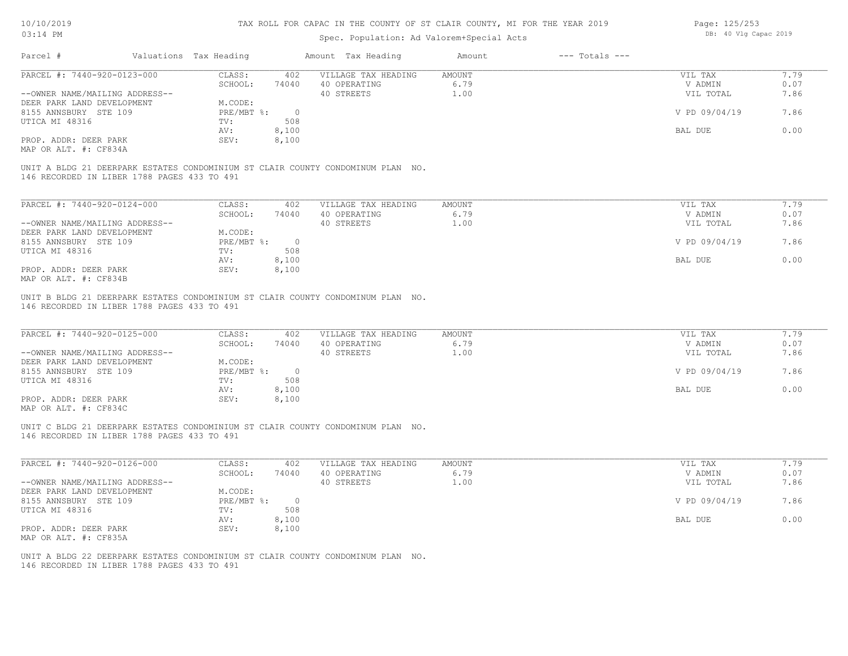| 10/10/2019                                     |                        | TAX ROLL FOR CAPAC IN THE COUNTY OF ST CLAIR COUNTY, MI FOR THE YEAR 2019 | Page: 125/253<br>DB: 40 Vlg Capac 2019                                          |               |                    |               |      |
|------------------------------------------------|------------------------|---------------------------------------------------------------------------|---------------------------------------------------------------------------------|---------------|--------------------|---------------|------|
| 03:14 PM                                       |                        |                                                                           | Spec. Population: Ad Valorem+Special Acts                                       |               |                    |               |      |
| Parcel #                                       | Valuations Tax Heading |                                                                           | Amount Tax Heading                                                              | Amount        | $---$ Totals $---$ |               |      |
| PARCEL #: 7440-920-0123-000                    | CLASS:                 | 402                                                                       | VILLAGE TAX HEADING                                                             | <b>AMOUNT</b> |                    | VIL TAX       | 7.79 |
|                                                | SCHOOL:                | 74040                                                                     | 40 OPERATING                                                                    | 6.79          |                    | V ADMIN       | 0.07 |
| --OWNER NAME/MAILING ADDRESS--                 |                        |                                                                           | 40 STREETS                                                                      | 1.00          |                    | VIL TOTAL     | 7.86 |
| DEER PARK LAND DEVELOPMENT                     | M.CODE:                |                                                                           |                                                                                 |               |                    |               |      |
| 8155 ANNSBURY STE 109                          | $PRE/MBT$ $\div$       | $\overline{0}$                                                            |                                                                                 |               |                    | V PD 09/04/19 | 7.86 |
| UTICA MI 48316                                 | TV:                    | 508                                                                       |                                                                                 |               |                    |               |      |
|                                                | AV:                    | 8,100                                                                     |                                                                                 |               |                    | BAL DUE       | 0.00 |
| PROP. ADDR: DEER PARK<br>MAP OR ALT. #: CF834A | SEV:                   | 8,100                                                                     |                                                                                 |               |                    |               |      |
| 146 RECORDED IN LIBER 1788 PAGES 433 TO 491    |                        |                                                                           | UNIT A BLDG 21 DEERPARK ESTATES CONDOMINIUM ST CLAIR COUNTY CONDOMINUM PLAN NO. |               |                    |               |      |
| PARCEL #: 7440-920-0124-000                    | CLASS:                 | 402                                                                       | VILLAGE TAX HEADING                                                             | AMOUNT        |                    | VIL TAX       | 7.79 |
|                                                | SCHOOL:                | 74040                                                                     | 40 OPERATING                                                                    | 6.79          |                    | V ADMIN       | 0.07 |
| --OWNER NAME/MAILING ADDRESS--                 |                        |                                                                           | 40 STREETS                                                                      | 1.00          |                    | VIL TOTAL     | 7.86 |
| DEER PARK LAND DEVELOPMENT                     | M.CODE:                |                                                                           |                                                                                 |               |                    |               |      |
| 8155 ANNSBURY STE 109                          | PRE/MBT %:             | $\overline{0}$                                                            |                                                                                 |               |                    | V PD 09/04/19 | 7.86 |
| UTICA MI 48316                                 | TV:                    | 508                                                                       |                                                                                 |               |                    |               |      |
|                                                | AV:                    | 8,100                                                                     |                                                                                 |               |                    | BAL DUE       | 0.00 |
| PROP. ADDR: DEER PARK                          | SEV:                   | 8,100                                                                     |                                                                                 |               |                    |               |      |
| MAP OR ALT. #: CF834B                          |                        |                                                                           |                                                                                 |               |                    |               |      |
| PARCEL #: 7440-920-0125-000                    | CLASS:                 | 402                                                                       | VILLAGE TAX HEADING                                                             | AMOUNT        |                    | VIL TAX       | 7.79 |
|                                                | SCHOOL:                | 74040                                                                     | 40 OPERATING                                                                    | 6.79          |                    | V ADMIN       | 0.07 |
| --OWNER NAME/MAILING ADDRESS--                 |                        |                                                                           | 40 STREETS                                                                      | 1.00          |                    | VIL TOTAL     | 7.86 |
| DEER PARK LAND DEVELOPMENT                     | M.CODE:                |                                                                           |                                                                                 |               |                    |               |      |
| 8155 ANNSBURY STE 109                          | PRE/MBT %:             | $\overline{0}$                                                            |                                                                                 |               |                    | V PD 09/04/19 | 7.86 |
| UTICA MI 48316                                 | TV:                    | 508                                                                       |                                                                                 |               |                    |               |      |
|                                                | AV:                    | 8,100                                                                     |                                                                                 |               |                    | BAL DUE       | 0.00 |
| PROP. ADDR: DEER PARK<br>MAP OR ALT. #: CF834C | SEV:                   | 8,100                                                                     |                                                                                 |               |                    |               |      |
| 146 RECORDED IN LIBER 1788 PAGES 433 TO 491    |                        |                                                                           | UNIT C BLDG 21 DEERPARK ESTATES CONDOMINIUM ST CLAIR COUNTY CONDOMINUM PLAN NO. |               |                    |               |      |
| PARCEL #: 7440-920-0126-000                    | CLASS:                 | 402                                                                       | VILLAGE TAX HEADING                                                             | <b>AMOUNT</b> |                    | VIL TAX       | 7.79 |
|                                                | SCHOOL:                | 74040                                                                     | 40 OPERATING                                                                    | 6.79          |                    | V ADMIN       | 0.07 |
| --OWNER NAME/MAILING ADDRESS--                 |                        |                                                                           | 40 STREETS                                                                      | 1.00          |                    | VIL TOTAL     | 7.86 |
| DEER PARK LAND DEVELOPMENT                     | M.CODE:                |                                                                           |                                                                                 |               |                    |               |      |
| 8155 ANNSBURY STE 109                          | $PRE/MBT$ $\div$       | $\overline{\phantom{0}}$                                                  |                                                                                 |               |                    | V PD 09/04/19 | 7.86 |
| UTICA MI 48316                                 | TV:                    | 508                                                                       |                                                                                 |               |                    |               |      |
|                                                | AV:                    | 8,100                                                                     |                                                                                 |               |                    | BAL DUE       | 0.00 |
| PROP. ADDR: DEER PARK                          | SEV:                   | 8,100                                                                     |                                                                                 |               |                    |               |      |
| MAP OR ALT. #: CF835A                          |                        |                                                                           |                                                                                 |               |                    |               |      |
|                                                |                        |                                                                           | UNIT A BLDG 22 DEERPARK ESTATES CONDOMINIUM ST CLAIR COUNTY CONDOMINUM PLAN NO. |               |                    |               |      |

146 RECORDED IN LIBER 1788 PAGES 433 TO 491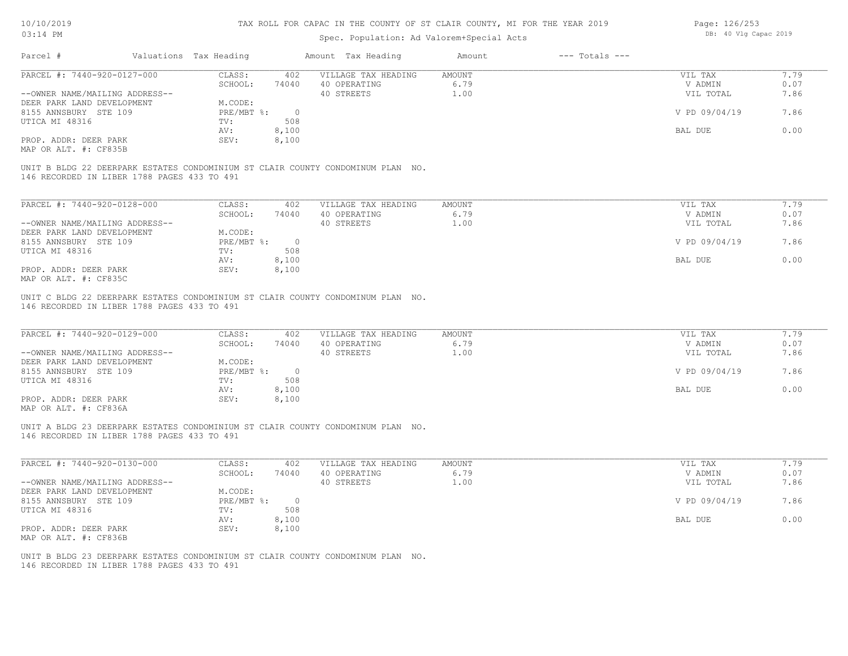#### Spec. Population: Ad Valorem+Special Acts

Page: 126/253 DB: 40 Vlg Capac 2019

| Parcel #                                                                        | Valuations Tax Heading |          | Amount Tax Heading  | Amount        | $---$ Totals $---$ |               |      |
|---------------------------------------------------------------------------------|------------------------|----------|---------------------|---------------|--------------------|---------------|------|
| PARCEL #: 7440-920-0127-000                                                     | CLASS:                 | 402      | VILLAGE TAX HEADING | <b>AMOUNT</b> |                    | VIL TAX       | 7.79 |
|                                                                                 | SCHOOL:                | 74040    | 40 OPERATING        | 6.79          |                    | V ADMIN       | 0.07 |
| --OWNER NAME/MAILING ADDRESS--                                                  |                        |          | 40 STREETS          | 1.00          |                    | VIL TOTAL     | 7.86 |
| DEER PARK LAND DEVELOPMENT                                                      | M.CODE:                |          |                     |               |                    |               |      |
| 8155 ANNSBURY STE 109                                                           | PRE/MBT %:             | $\Omega$ |                     |               |                    | V PD 09/04/19 | 7.86 |
| UTICA MI 48316                                                                  | TV:                    | 508      |                     |               |                    |               |      |
|                                                                                 | AV:                    | 8,100    |                     |               |                    | BAL DUE       | 0.00 |
| PROP. ADDR: DEER PARK                                                           | SEV:                   | 8,100    |                     |               |                    |               |      |
| MAP OR ALT. #: CF835B                                                           |                        |          |                     |               |                    |               |      |
| UNIT B BLDG 22 DEERPARK ESTATES CONDOMINIUM ST CLAIR COUNTY CONDOMINUM PLAN NO. |                        |          |                     |               |                    |               |      |
| 146 RECORDED IN LIBER 1788 PAGES 433 TO 491                                     |                        |          |                     |               |                    |               |      |
| PARCEL #: 7440-920-0128-000                                                     | CLASS:                 | 402      | VILLAGE TAX HEADING | AMOUNT        |                    | VIL TAX       | 7.79 |
|                                                                                 | SCHOOL:                | 74040    | 40 OPERATING        | 6.79          |                    | V ADMIN       | 0.07 |
| --OWNER NAME/MAILING ADDRESS--                                                  |                        |          | 40 STREETS          | 1.00          |                    | VIL TOTAL     | 7.86 |
| DEER PARK LAND DEVELOPMENT                                                      | M.CODE:                |          |                     |               |                    |               |      |
| 8155 ANNSBURY STE 109                                                           | $PRE/MBT$ $\div$       | $\circ$  |                     |               |                    | V PD 09/04/19 | 7.86 |
| UTICA MI 48316                                                                  | TV:                    | 508      |                     |               |                    |               |      |
|                                                                                 | AV:                    | 8,100    |                     |               |                    | BAL DUE       | 0.00 |

146 RECORDED IN LIBER 1788 PAGES 433 TO 491 UNIT C BLDG 22 DEERPARK ESTATES CONDOMINIUM ST CLAIR COUNTY CONDOMINUM PLAN NO.

| PARCEL #: 7440-920-0129-000    | CLASS:       | 402      | VILLAGE TAX HEADING | AMOUNT | VIL TAX       | 7.79 |
|--------------------------------|--------------|----------|---------------------|--------|---------------|------|
|                                | SCHOOL:      | 74040    | 40 OPERATING        | 6.79   | V ADMIN       | 0.07 |
| --OWNER NAME/MAILING ADDRESS-- |              |          | 40 STREETS          | ⊥.00   | VIL TOTAL     | 7.86 |
| DEER PARK LAND DEVELOPMENT     | M.CODE:      |          |                     |        |               |      |
| 8155 ANNSBURY STE 109          | $PRE/MBT$ %: | $\Omega$ |                     |        | V PD 09/04/19 | 7.86 |
| UTICA MI 48316                 | TV:          | 508      |                     |        |               |      |
|                                | AV:          | 8,100    |                     |        | BAL DUE       | 0.00 |
| PROP. ADDR: DEER PARK          | SEV:         | 8,100    |                     |        |               |      |
| $\frac{1}{2}$                  |              |          |                     |        |               |      |

 $\mathcal{L}_\mathcal{L} = \mathcal{L}_\mathcal{L} = \mathcal{L}_\mathcal{L} = \mathcal{L}_\mathcal{L} = \mathcal{L}_\mathcal{L} = \mathcal{L}_\mathcal{L} = \mathcal{L}_\mathcal{L} = \mathcal{L}_\mathcal{L} = \mathcal{L}_\mathcal{L} = \mathcal{L}_\mathcal{L} = \mathcal{L}_\mathcal{L} = \mathcal{L}_\mathcal{L} = \mathcal{L}_\mathcal{L} = \mathcal{L}_\mathcal{L} = \mathcal{L}_\mathcal{L} = \mathcal{L}_\mathcal{L} = \mathcal{L}_\mathcal{L}$ 

 $\mathcal{L}_\mathcal{L} = \mathcal{L}_\mathcal{L} = \mathcal{L}_\mathcal{L} = \mathcal{L}_\mathcal{L} = \mathcal{L}_\mathcal{L} = \mathcal{L}_\mathcal{L} = \mathcal{L}_\mathcal{L} = \mathcal{L}_\mathcal{L} = \mathcal{L}_\mathcal{L} = \mathcal{L}_\mathcal{L} = \mathcal{L}_\mathcal{L} = \mathcal{L}_\mathcal{L} = \mathcal{L}_\mathcal{L} = \mathcal{L}_\mathcal{L} = \mathcal{L}_\mathcal{L} = \mathcal{L}_\mathcal{L} = \mathcal{L}_\mathcal{L}$ 

MAP OR ALT. #: CF836A

146 RECORDED IN LIBER 1788 PAGES 433 TO 491 UNIT A BLDG 23 DEERPARK ESTATES CONDOMINIUM ST CLAIR COUNTY CONDOMINUM PLAN NO.

| PARCEL #: 7440-920-0130-000    | CLASS:     | 402   | VILLAGE TAX HEADING | AMOUNT             | VIL TAX       | 7.79 |
|--------------------------------|------------|-------|---------------------|--------------------|---------------|------|
|                                | SCHOOL:    | 74040 | 40 OPERATING        | 6.79               | V ADMIN       | 0.07 |
| --OWNER NAME/MAILING ADDRESS-- |            |       | 40 STREETS          | $\overline{1}$ ,00 | VIL TOTAL     | 7.86 |
| DEER PARK LAND DEVELOPMENT     | M.CODE:    |       |                     |                    |               |      |
| 8155 ANNSBURY STE 109          | PRE/MBT %: |       |                     |                    | V PD 09/04/19 | 7.86 |
| UTICA MI 48316                 | TV:        | 508   |                     |                    |               |      |
|                                | AV:        | 8,100 |                     |                    | BAL DUE       | 0.00 |
| PROP. ADDR: DEER PARK          | SEV:       | 8,100 |                     |                    |               |      |
| MAP OR ALT. #: CF836B          |            |       |                     |                    |               |      |

146 RECORDED IN LIBER 1788 PAGES 433 TO 491 UNIT B BLDG 23 DEERPARK ESTATES CONDOMINIUM ST CLAIR COUNTY CONDOMINUM PLAN NO.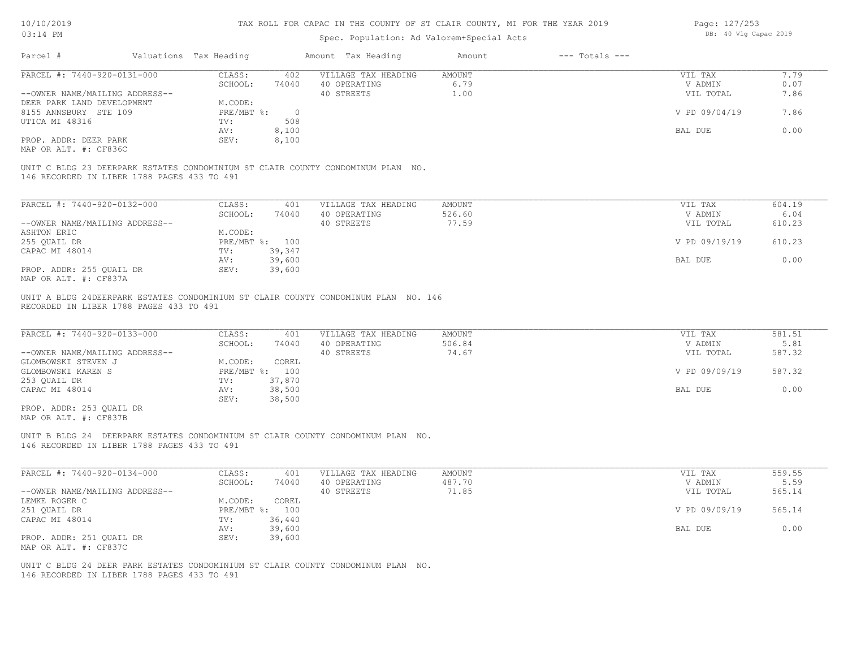### Spec. Population: Ad Valorem+Special Acts

| Page: 127/253 |  |                       |  |
|---------------|--|-----------------------|--|
|               |  | DB: 40 Vlg Capac 2019 |  |

| Parcel #                                    | Valuations Tax Heading |                | Amount Tax Heading  | Amount        | $---$ Totals $---$ |               |        |
|---------------------------------------------|------------------------|----------------|---------------------|---------------|--------------------|---------------|--------|
| PARCEL #: 7440-920-0131-000                 | CLASS:                 | 402            | VILLAGE TAX HEADING | <b>AMOUNT</b> |                    | VIL TAX       | 7.79   |
|                                             | SCHOOL:                | 74040          | 40 OPERATING        | 6.79          |                    | V ADMIN       | 0.07   |
| --OWNER NAME/MAILING ADDRESS--              |                        |                | 40 STREETS          | 1.00          |                    | VIL TOTAL     | 7.86   |
| DEER PARK LAND DEVELOPMENT                  | M.CODE:                |                |                     |               |                    |               |        |
| 8155 ANNSBURY STE 109                       | $PRE/MBT$ $\div$       | $\overline{0}$ |                     |               |                    | V PD 09/04/19 | 7.86   |
| UTICA MI 48316                              | TV:                    | 508            |                     |               |                    |               |        |
|                                             | AV:                    | 8,100          |                     |               |                    | BAL DUE       | 0.00   |
| PROP. ADDR: DEER PARK                       | SEV:                   | 8,100          |                     |               |                    |               |        |
| MAP OR ALT. #: CF836C                       |                        |                |                     |               |                    |               |        |
| 146 RECORDED IN LIBER 1788 PAGES 433 TO 491 |                        |                |                     |               |                    |               |        |
| PARCEL #: 7440-920-0132-000                 | CLASS:                 | 401            | VILLAGE TAX HEADING | AMOUNT        |                    | VIL TAX       | 604.19 |
|                                             | SCHOOL:                | 74040          | 40 OPERATING        | 526.60        |                    | V ADMIN       | 6.04   |
| --OWNER NAME/MAILING ADDRESS--              |                        |                | 40 STREETS          | 77.59         |                    | VIL TOTAL     | 610.23 |
| ASHTON ERIC                                 | M.CODE:                |                |                     |               |                    |               |        |
| 255 QUAIL DR                                | $PRE/MBT$ %:           | 100            |                     |               |                    | V PD 09/19/19 | 610.23 |
| CAPAC MI 48014                              | TV:                    | 39,347         |                     |               |                    |               |        |
|                                             | AV:                    | 39,600         |                     |               |                    | BAL DUE       | 0.00   |
| PROP. ADDR: 255 QUAIL DR                    | SEV:                   | 39,600         |                     |               |                    |               |        |

MAP OR ALT. #: CF837A

RECORDED IN LIBER 1788 PAGES 433 TO 491 UNIT A BLDG 24DEERPARK ESTATES CONDOMINIUM ST CLAIR COUNTY CONDOMINUM PLAN NO. 146

| PARCEL #: 7440-920-0133-000    | CLASS:         | 401    | VILLAGE TAX HEADING | AMOUNT | VIL TAX       | 581.51 |
|--------------------------------|----------------|--------|---------------------|--------|---------------|--------|
|                                | SCHOOL:        | 74040  | 40 OPERATING        | 506.84 | V ADMIN       | 5.81   |
| --OWNER NAME/MAILING ADDRESS-- |                |        | 40 STREETS          | 74.67  | VIL TOTAL     | 587.32 |
| GLOMBOWSKI STEVEN J            | M.CODE:        | COREL  |                     |        |               |        |
| GLOMBOWSKI KAREN S             | PRE/MBT %: 100 |        |                     |        | V PD 09/09/19 | 587.32 |
| 253 QUAIL DR                   | TV:            | 37,870 |                     |        |               |        |
| CAPAC MI 48014                 | AV:            | 38,500 |                     |        | BAL DUE       | 0.00   |
|                                | SEV:           | 38,500 |                     |        |               |        |

MAP OR ALT. #: CF837B PROP. ADDR: 253 QUAIL DR

146 RECORDED IN LIBER 1788 PAGES 433 TO 491 UNIT B BLDG 24 DEERPARK ESTATES CONDOMINIUM ST CLAIR COUNTY CONDOMINUM PLAN NO.

| PARCEL #: 7440-920-0134-000    | CLASS:  | 401            | VILLAGE TAX HEADING | AMOUNT | VIL TAX       | 559.55 |
|--------------------------------|---------|----------------|---------------------|--------|---------------|--------|
|                                | SCHOOL: | 74040          | 40 OPERATING        | 487.70 | V ADMIN       | 5.59   |
| --OWNER NAME/MAILING ADDRESS-- |         |                | 40 STREETS          | 71.85  | VIL TOTAL     | 565.14 |
| LEMKE ROGER C                  | M.CODE: | COREL          |                     |        |               |        |
| 251 QUAIL DR                   |         | PRE/MBT %: 100 |                     |        | V PD 09/09/19 | 565.14 |
| CAPAC MI 48014                 | TV:     | 36,440         |                     |        |               |        |
|                                | AV:     | 39,600         |                     |        | BAL DUE       | 0.00   |
| PROP. ADDR: 251 QUAIL DR       | SEV:    | 39,600         |                     |        |               |        |
| MAP OR ALT. #: CF837C          |         |                |                     |        |               |        |

146 RECORDED IN LIBER 1788 PAGES 433 TO 491 UNIT C BLDG 24 DEER PARK ESTATES CONDOMINIUM ST CLAIR COUNTY CONDOMINUM PLAN NO.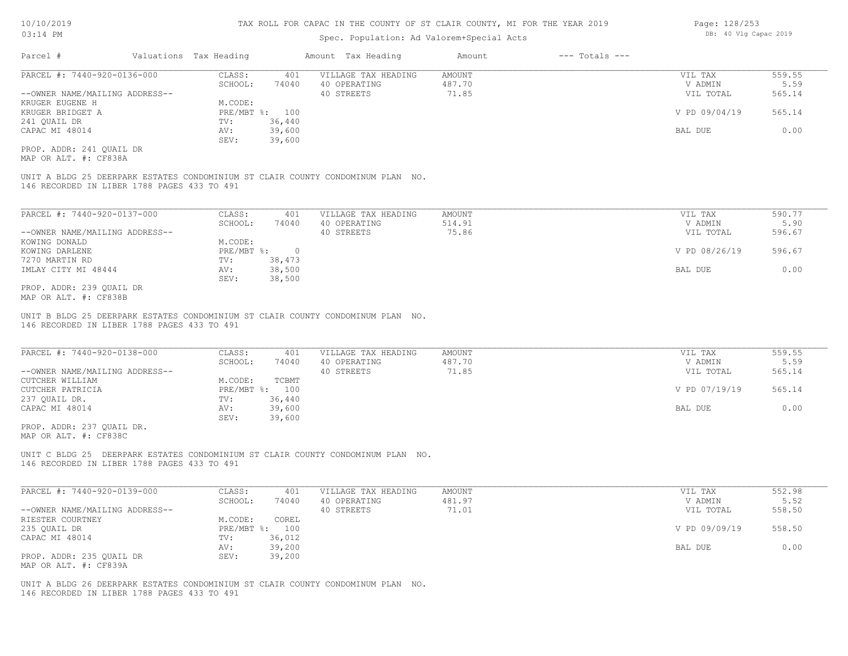### Spec. Population: Ad Valorem+Special Acts

| Parcel #                            | Valuations Tax Heading |                | Amount Tax Heading  | Amount | $---$ Totals $---$ |               |        |
|-------------------------------------|------------------------|----------------|---------------------|--------|--------------------|---------------|--------|
| PARCEL #: 7440-920-0136-000         | CLASS:                 | 401            | VILLAGE TAX HEADING | AMOUNT |                    | VIL TAX       | 559.55 |
|                                     | SCHOOL:                | 74040          | 40 OPERATING        | 487.70 |                    | V ADMIN       | 5.59   |
| --OWNER NAME/MAILING ADDRESS--      |                        |                | 40 STREETS          | 71.85  |                    | VIL TOTAL     | 565.14 |
| KRUGER EUGENE H                     | M.CODE:                |                |                     |        |                    |               |        |
| KRUGER BRIDGET A                    |                        | PRE/MBT %: 100 |                     |        |                    | V PD 09/04/19 | 565.14 |
| 241 QUAIL DR                        | TV:                    | 36,440         |                     |        |                    |               |        |
| CAPAC MI 48014                      | AV:                    | 39,600         |                     |        |                    | BAL DUE       | 0.00   |
|                                     | SEV:                   | 39,600         |                     |        |                    |               |        |
| the contract of the contract of the |                        |                |                     |        |                    |               |        |

MAP OR ALT. #: CF838A PROP. ADDR: 241 QUAIL DR

146 RECORDED IN LIBER 1788 PAGES 433 TO 491 UNIT A BLDG 25 DEERPARK ESTATES CONDOMINIUM ST CLAIR COUNTY CONDOMINUM PLAN NO.

| PARCEL #: 7440-920-0137-000    | CLASS:       | 401    | VILLAGE TAX HEADING | AMOUNT | VIL TAX       | 590.77 |
|--------------------------------|--------------|--------|---------------------|--------|---------------|--------|
|                                | SCHOOL:      | 74040  | 40 OPERATING        | 514.91 | V ADMIN       | 5.90   |
| --OWNER NAME/MAILING ADDRESS-- |              |        | 40 STREETS          | 75.86  | VIL TOTAL     | 596.67 |
| KOWING DONALD                  | M.CODE:      |        |                     |        |               |        |
| KOWING DARLENE                 | $PRE/MBT$ %: |        |                     |        | V PD 08/26/19 | 596.67 |
| 7270 MARTIN RD                 | TV:          | 38,473 |                     |        |               |        |
| IMLAY CITY MI 48444            | AV:          | 38,500 |                     |        | BAL DUE       | 0.00   |
|                                | SEV:         | 38,500 |                     |        |               |        |
| PROP. ADDR: 239 OUAIL DR       |              |        |                     |        |               |        |

MAP OR ALT. #: CF838B

146 RECORDED IN LIBER 1788 PAGES 433 TO 491 UNIT B BLDG 25 DEERPARK ESTATES CONDOMINIUM ST CLAIR COUNTY CONDOMINUM PLAN NO.

| PARCEL #: 7440-920-0138-000    | CLASS:         | 401    | VILLAGE TAX HEADING | AMOUNT | VIL TAX       | 559.55 |
|--------------------------------|----------------|--------|---------------------|--------|---------------|--------|
|                                | SCHOOL:        | 74040  | 40 OPERATING        | 487.70 | V ADMIN       | 5.59   |
| --OWNER NAME/MAILING ADDRESS-- |                |        | 40 STREETS          | 71.85  | VIL TOTAL     | 565.14 |
| CUTCHER WILLIAM                | M.CODE:        | TCBMT  |                     |        |               |        |
| CUTCHER PATRICIA               | PRE/MBT %: 100 |        |                     |        | V PD 07/19/19 | 565.14 |
| 237 OUAIL DR.                  | TV:            | 36,440 |                     |        |               |        |
| CAPAC MI 48014                 | AV:            | 39,600 |                     |        | BAL DUE       | 0.00   |
|                                | SEV:           | 39,600 |                     |        |               |        |

MAP OR ALT. #: CF838C PROP. ADDR: 237 QUAIL DR.

146 RECORDED IN LIBER 1788 PAGES 433 TO 491 UNIT C BLDG 25 DEERPARK ESTATES CONDOMINIUM ST CLAIR COUNTY CONDOMINUM PLAN NO.

| PARCEL #: 7440-920-0139-000    | CLASS:  | 401            | VILLAGE TAX HEADING | AMOUNT | VIL TAX       | 552.98 |
|--------------------------------|---------|----------------|---------------------|--------|---------------|--------|
|                                | SCHOOL: | 74040          | 40 OPERATING        | 481.97 | V ADMIN       | 5.52   |
| --OWNER NAME/MAILING ADDRESS-- |         |                | 40 STREETS          | 71.01  | VIL TOTAL     | 558.50 |
| RIESTER COURTNEY               | M.CODE: | COREL          |                     |        |               |        |
| 235 QUAIL DR                   |         | PRE/MBT %: 100 |                     |        | V PD 09/09/19 | 558.50 |
| CAPAC MI 48014                 | TV:     | 36,012         |                     |        |               |        |
|                                | AV:     | 39,200         |                     |        | BAL DUE       | 0.00   |
| PROP. ADDR: 235 OUAIL DR       | SEV:    | 39,200         |                     |        |               |        |
| MAP OR ALT. #: CF839A          |         |                |                     |        |               |        |

146 RECORDED IN LIBER 1788 PAGES 433 TO 491 UNIT A BLDG 26 DEERPARK ESTATES CONDOMINIUM ST CLAIR COUNTY CONDOMINUM PLAN NO. Page: 128/253 DB: 40 Vlg Capac 2019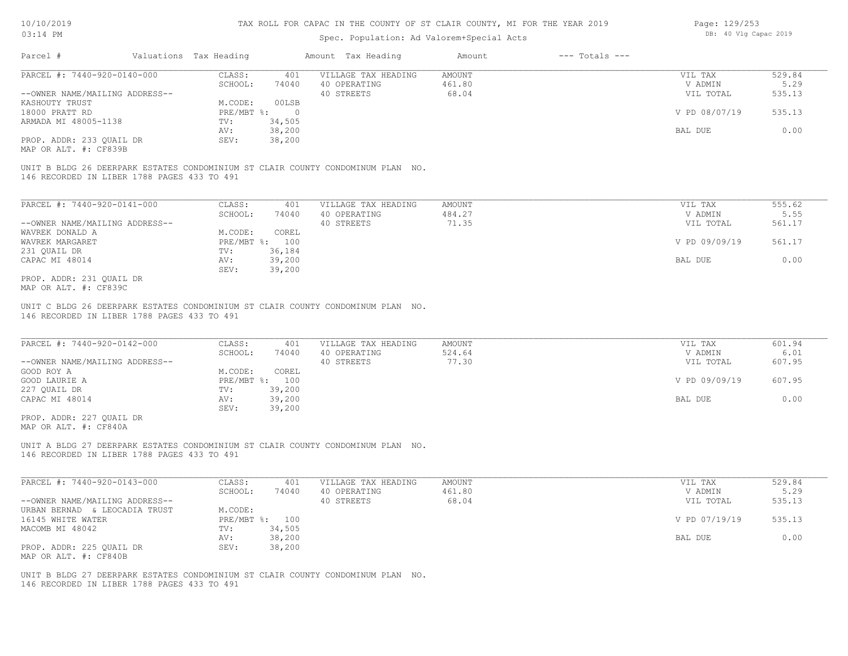#### Spec. Population: Ad Valorem+Special Acts

| Page: 129/253 |  |                       |  |
|---------------|--|-----------------------|--|
|               |  | DB: 40 Vlg Capac 2019 |  |

| Parcel #                       | Valuations Tax Heading |        | Amount Tax Heading  | Amount | $---$ Totals $---$ |               |        |
|--------------------------------|------------------------|--------|---------------------|--------|--------------------|---------------|--------|
| PARCEL #: 7440-920-0140-000    | CLASS:                 | 401    | VILLAGE TAX HEADING | AMOUNT |                    | VIL TAX       | 529.84 |
|                                | SCHOOL:                | 74040  | 40 OPERATING        | 461.80 |                    | V ADMIN       | 5.29   |
| --OWNER NAME/MAILING ADDRESS-- |                        |        | 40 STREETS          | 68.04  |                    | VIL TOTAL     | 535.13 |
| KASHOUTY TRUST                 | M.CODE:                | 00LSB  |                     |        |                    |               |        |
| 18000 PRATT RD                 | PRE/MBT %:             |        |                     |        |                    | V PD 08/07/19 | 535.13 |
| ARMADA MI 48005-1138           | TV:                    | 34,505 |                     |        |                    |               |        |
|                                | AV:                    | 38,200 |                     |        |                    | BAL DUE       | 0.00   |
| PROP. ADDR: 233 OUAIL DR       | SEV:                   | 38,200 |                     |        |                    |               |        |
|                                |                        |        |                     |        |                    |               |        |

MAP OR ALT. #: CF839B

146 RECORDED IN LIBER 1788 PAGES 433 TO 491 UNIT B BLDG 26 DEERPARK ESTATES CONDOMINIUM ST CLAIR COUNTY CONDOMINUM PLAN NO.

| PARCEL #: 7440-920-0141-000    | CLASS:     | 401    | VILLAGE TAX HEADING | AMOUNT | VIL TAX       | 555.62 |
|--------------------------------|------------|--------|---------------------|--------|---------------|--------|
|                                | SCHOOL:    | 74040  | 40 OPERATING        | 484.27 | V ADMIN       | 5.55   |
| --OWNER NAME/MAILING ADDRESS-- |            |        | 40 STREETS          | 71.35  | VIL TOTAL     | 561.17 |
| WAVREK DONALD A                | M.CODE:    | COREL  |                     |        |               |        |
| WAVREK MARGARET                | PRE/MBT %: | 100    |                     |        | V PD 09/09/19 | 561.17 |
| 231 OUAIL DR                   | TV:        | 36,184 |                     |        |               |        |
| CAPAC MI 48014                 | AV:        | 39,200 |                     |        | BAL DUE       | 0.00   |
|                                | SEV:       | 39,200 |                     |        |               |        |
| PROP. ADDR: 231 QUAIL DR       |            |        |                     |        |               |        |

MAP OR ALT. #: CF839C

146 RECORDED IN LIBER 1788 PAGES 433 TO 491 UNIT C BLDG 26 DEERPARK ESTATES CONDOMINIUM ST CLAIR COUNTY CONDOMINUM PLAN NO.

| PARCEL #: 7440-920-0142-000    | CLASS:  | 401            | VILLAGE TAX HEADING | AMOUNT | VIL TAX       | 601.94 |
|--------------------------------|---------|----------------|---------------------|--------|---------------|--------|
|                                | SCHOOL: | 74040          | 40 OPERATING        | 524.64 | V ADMIN       | 6.01   |
| --OWNER NAME/MAILING ADDRESS-- |         |                | 40 STREETS          | 77.30  | VIL TOTAL     | 607.95 |
| GOOD ROY A                     | M.CODE: | COREL          |                     |        |               |        |
| GOOD LAURIE A                  |         | PRE/MBT %: 100 |                     |        | V PD 09/09/19 | 607.95 |
| 227 QUAIL DR                   | TV:     | 39,200         |                     |        |               |        |
| CAPAC MI 48014                 | AV:     | 39,200         |                     |        | BAL DUE       | 0.00   |
|                                | SEV:    | 39,200         |                     |        |               |        |
| PROP. ADDR: 227 QUAIL DR       |         |                |                     |        |               |        |

MAP OR ALT. #: CF840A

146 RECORDED IN LIBER 1788 PAGES 433 TO 491 UNIT A BLDG 27 DEERPARK ESTATES CONDOMINIUM ST CLAIR COUNTY CONDOMINUM PLAN NO.

| PARCEL #: 7440-920-0143-000    | CLASS:  | 401            | VILLAGE TAX HEADING | AMOUNT | VIL TAX       | 529.84 |
|--------------------------------|---------|----------------|---------------------|--------|---------------|--------|
|                                | SCHOOL: | 74040          | 40 OPERATING        | 461.80 | V ADMIN       | 5.29   |
| --OWNER NAME/MAILING ADDRESS-- |         |                | 40 STREETS          | 68.04  | VIL TOTAL     | 535.13 |
| URBAN BERNAD & LEOCADIA TRUST  | M.CODE: |                |                     |        |               |        |
| 16145 WHITE WATER              |         | PRE/MBT %: 100 |                     |        | V PD 07/19/19 | 535.13 |
| MACOMB MI 48042                | TV:     | 34,505         |                     |        |               |        |
|                                | AV:     | 38,200         |                     |        | BAL DUE       | 0.00   |
| PROP. ADDR: 225 QUAIL DR       | SEV:    | 38,200         |                     |        |               |        |
| MAP OR ALT. #: CF840B          |         |                |                     |        |               |        |

146 RECORDED IN LIBER 1788 PAGES 433 TO 491 UNIT B BLDG 27 DEERPARK ESTATES CONDOMINIUM ST CLAIR COUNTY CONDOMINUM PLAN NO.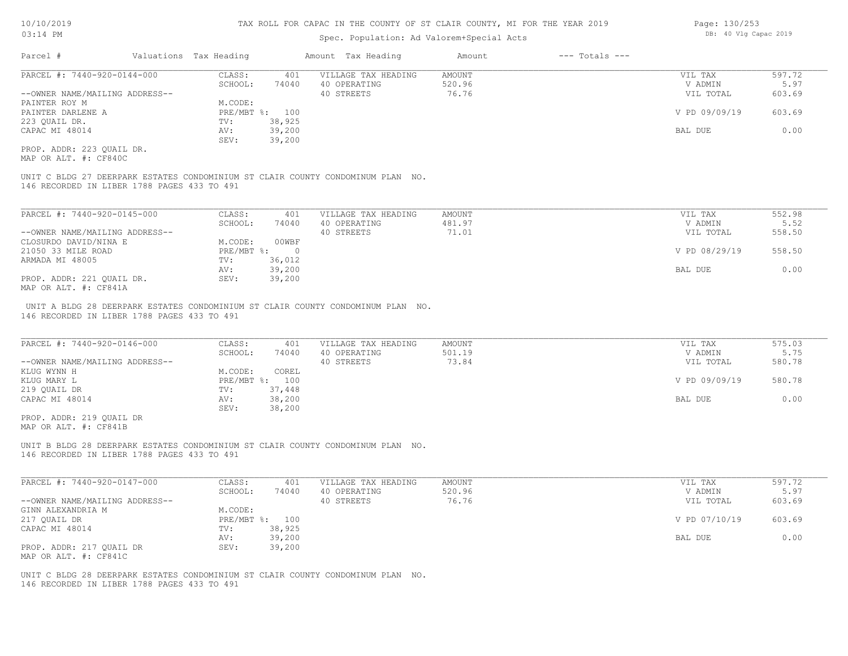### Spec. Population: Ad Valorem+Special Acts

| Parcel #                       | Valuations Tax Heading |                | Amount Tax Heading  | Amount | $---$ Totals $---$ |               |        |
|--------------------------------|------------------------|----------------|---------------------|--------|--------------------|---------------|--------|
| PARCEL #: 7440-920-0144-000    | CLASS:                 | 401            | VILLAGE TAX HEADING | AMOUNT |                    | VIL TAX       | 597.72 |
|                                | SCHOOL:                | 74040          | 40 OPERATING        | 520.96 |                    | V ADMIN       | 5.97   |
| --OWNER NAME/MAILING ADDRESS-- |                        |                | 40 STREETS          | 76.76  |                    | VIL TOTAL     | 603.69 |
| PAINTER ROY M                  | M.CODE:                |                |                     |        |                    |               |        |
| PAINTER DARLENE A              |                        | PRE/MBT %: 100 |                     |        |                    | V PD 09/09/19 | 603.69 |
| 223 OUAIL DR.                  | TV:                    | 38,925         |                     |        |                    |               |        |
| CAPAC MI 48014                 | AV:                    | 39,200         |                     |        |                    | BAL DUE       | 0.00   |
|                                | SEV:                   | 39,200         |                     |        |                    |               |        |
|                                |                        |                |                     |        |                    |               |        |

MAP OR ALT. #: CF840C PROP. ADDR: 223 QUAIL DR.

146 RECORDED IN LIBER 1788 PAGES 433 TO 491 UNIT C BLDG 27 DEERPARK ESTATES CONDOMINIUM ST CLAIR COUNTY CONDOMINUM PLAN NO.

| PARCEL #: 7440-920-0145-000    | CLASS:     | 401    | VILLAGE TAX HEADING | AMOUNT | VIL TAX       | 552.98 |
|--------------------------------|------------|--------|---------------------|--------|---------------|--------|
|                                | SCHOOL:    | 74040  | 40 OPERATING        | 481.97 | V ADMIN       | 5.52   |
| --OWNER NAME/MAILING ADDRESS-- |            |        | 40 STREETS          | 71.01  | VIL TOTAL     | 558.50 |
| CLOSURDO DAVID/NINA E          | M.CODE:    | 00WBF  |                     |        |               |        |
| 21050 33 MILE ROAD             | PRE/MBT %: |        |                     |        | V PD 08/29/19 | 558.50 |
| ARMADA MI 48005                | TV:        | 36,012 |                     |        |               |        |
|                                | AV:        | 39,200 |                     |        | BAL DUE       | 0.00   |
| PROP. ADDR: 221 OUAIL DR.      | SEV:       | 39,200 |                     |        |               |        |
| MAP OR ALT. #: CF841A          |            |        |                     |        |               |        |

146 RECORDED IN LIBER 1788 PAGES 433 TO 491 UNIT A BLDG 28 DEERPARK ESTATES CONDOMINIUM ST CLAIR COUNTY CONDOMINUM PLAN NO.

| PARCEL #: 7440-920-0146-000    | CLASS:  | 401            | VILLAGE TAX HEADING | AMOUNT | VIL TAX       | 575.03 |
|--------------------------------|---------|----------------|---------------------|--------|---------------|--------|
|                                | SCHOOL: | 74040          | 40 OPERATING        | 501.19 | V ADMIN       | 5.75   |
| --OWNER NAME/MAILING ADDRESS-- |         |                | 40 STREETS          | 73.84  | VIL TOTAL     | 580.78 |
| KLUG WYNN H                    | M.CODE: | COREL          |                     |        |               |        |
| KLUG MARY L                    |         | PRE/MBT %: 100 |                     |        | V PD 09/09/19 | 580.78 |
| 219 QUAIL DR                   | TV:     | 37,448         |                     |        |               |        |
| CAPAC MI 48014                 | AV:     | 38,200         |                     |        | BAL DUE       | 0.00   |
|                                | SEV:    | 38,200         |                     |        |               |        |
| PROP. ADDR: 219 OUAIL DR       |         |                |                     |        |               |        |

MAP OR ALT. #: CF841B

146 RECORDED IN LIBER 1788 PAGES 433 TO 491 UNIT B BLDG 28 DEERPARK ESTATES CONDOMINIUM ST CLAIR COUNTY CONDOMINUM PLAN NO.

| PARCEL #: 7440-920-0147-000    | CLASS:  | 401            | VILLAGE TAX HEADING | AMOUNT | VIL TAX       | 597.72 |
|--------------------------------|---------|----------------|---------------------|--------|---------------|--------|
|                                | SCHOOL: | 74040          | 40 OPERATING        | 520.96 | V ADMIN       | 5.97   |
| --OWNER NAME/MAILING ADDRESS-- |         |                | 40 STREETS          | 76.76  | VIL TOTAL     | 603.69 |
| GINN ALEXANDRIA M              | M.CODE: |                |                     |        |               |        |
| 217 QUAIL DR                   |         | PRE/MBT %: 100 |                     |        | V PD 07/10/19 | 603.69 |
| CAPAC MI 48014                 | TV:     | 38,925         |                     |        |               |        |
|                                | AV:     | 39,200         |                     |        | BAL DUE       | 0.00   |
| PROP. ADDR: 217 OUAIL DR       | SEV:    | 39,200         |                     |        |               |        |
| MAP OR ALT. #: CF841C          |         |                |                     |        |               |        |

146 RECORDED IN LIBER 1788 PAGES 433 TO 491 UNIT C BLDG 28 DEERPARK ESTATES CONDOMINIUM ST CLAIR COUNTY CONDOMINUM PLAN NO. Page: 130/253 DB: 40 Vlg Capac 2019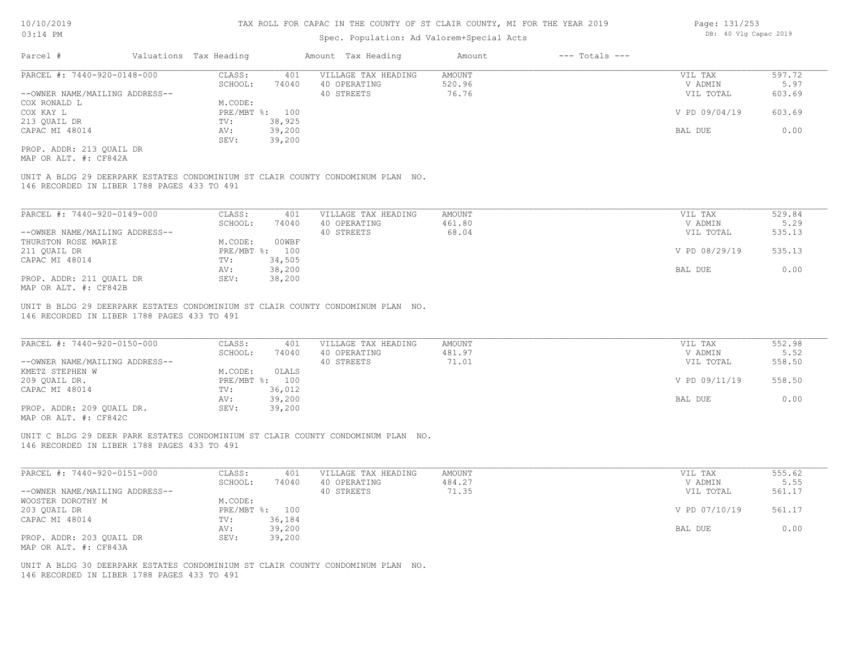### Spec. Population: Ad Valorem+Special Acts

| Parcel #                       |  | Valuations Tax Heading |                | Amount Tax Heading  | Amount | $---$ Totals $---$ |               |        |
|--------------------------------|--|------------------------|----------------|---------------------|--------|--------------------|---------------|--------|
| PARCEL #: 7440-920-0148-000    |  | CLASS:                 | 401            | VILLAGE TAX HEADING | AMOUNT |                    | VIL TAX       | 597.72 |
|                                |  | SCHOOL:                | 74040          | 40 OPERATING        | 520.96 |                    | V ADMIN       | 5.97   |
| --OWNER NAME/MAILING ADDRESS-- |  |                        |                | 40 STREETS          | 76.76  |                    | VIL TOTAL     | 603.69 |
| COX RONALD L                   |  | M.CODE:                |                |                     |        |                    |               |        |
| COX KAY L                      |  |                        | PRE/MBT %: 100 |                     |        |                    | V PD 09/04/19 | 603.69 |
| 213 QUAIL DR                   |  | TV:                    | 38,925         |                     |        |                    |               |        |
| CAPAC MI 48014                 |  | AV:                    | 39,200         |                     |        |                    | BAL DUE       | 0.00   |
|                                |  | SEV:                   | 39,200         |                     |        |                    |               |        |
|                                |  |                        |                |                     |        |                    |               |        |

MAP OR ALT. #: CF842A PROP. ADDR: 213 QUAIL DR

146 RECORDED IN LIBER 1788 PAGES 433 TO 491 UNIT A BLDG 29 DEERPARK ESTATES CONDOMINIUM ST CLAIR COUNTY CONDOMINUM PLAN NO.

| PARCEL #: 7440-920-0149-000    | CLASS:  | 401            | VILLAGE TAX HEADING | AMOUNT | VIL TAX       | 529.84 |
|--------------------------------|---------|----------------|---------------------|--------|---------------|--------|
|                                | SCHOOL: | 74040          | 40 OPERATING        | 461.80 | V ADMIN       | 5.29   |
| --OWNER NAME/MAILING ADDRESS-- |         |                | 40 STREETS          | 68.04  | VIL TOTAL     | 535.13 |
| THURSTON ROSE MARIE            | M.CODE: | 00WBF          |                     |        |               |        |
| 211 OUAIL DR                   |         | PRE/MBT %: 100 |                     |        | V PD 08/29/19 | 535.13 |
| CAPAC MI 48014                 | TV:     | 34,505         |                     |        |               |        |
|                                | AV:     | 38,200         |                     |        | BAL DUE       | 0.00   |
| PROP. ADDR: 211 QUAIL DR       | SEV:    | 38,200         |                     |        |               |        |
| MAP OR ALT. #: CF842B          |         |                |                     |        |               |        |

146 RECORDED IN LIBER 1788 PAGES 433 TO 491 UNIT B BLDG 29 DEERPARK ESTATES CONDOMINIUM ST CLAIR COUNTY CONDOMINUM PLAN NO.

| PARCEL #: 7440-920-0150-000    | CLASS:       | 401    | VILLAGE TAX HEADING | AMOUNT | VIL TAX       | 552.98 |
|--------------------------------|--------------|--------|---------------------|--------|---------------|--------|
|                                | SCHOOL:      | 74040  | 40 OPERATING        | 481.97 | V ADMIN       | 5.52   |
| --OWNER NAME/MAILING ADDRESS-- |              |        | 40 STREETS          | 71.01  | VIL TOTAL     | 558.50 |
| KMETZ STEPHEN W                | M.CODE:      | OLALS  |                     |        |               |        |
| 209 OUAIL DR.                  | $PRE/MBT$ %: | 100    |                     |        | V PD 09/11/19 | 558.50 |
| CAPAC MI 48014                 | TV:          | 36,012 |                     |        |               |        |
|                                | AV:          | 39,200 |                     |        | BAL DUE       | 0.00   |
| PROP. ADDR: 209 OUAIL DR.      | SEV:         | 39,200 |                     |        |               |        |
|                                |              |        |                     |        |               |        |

 $\mathcal{L}_\mathcal{L} = \mathcal{L}_\mathcal{L} = \mathcal{L}_\mathcal{L} = \mathcal{L}_\mathcal{L} = \mathcal{L}_\mathcal{L} = \mathcal{L}_\mathcal{L} = \mathcal{L}_\mathcal{L} = \mathcal{L}_\mathcal{L} = \mathcal{L}_\mathcal{L} = \mathcal{L}_\mathcal{L} = \mathcal{L}_\mathcal{L} = \mathcal{L}_\mathcal{L} = \mathcal{L}_\mathcal{L} = \mathcal{L}_\mathcal{L} = \mathcal{L}_\mathcal{L} = \mathcal{L}_\mathcal{L} = \mathcal{L}_\mathcal{L}$ 

MAP OR ALT. #: CF842C

146 RECORDED IN LIBER 1788 PAGES 433 TO 491 UNIT C BLDG 29 DEER PARK ESTATES CONDOMINIUM ST CLAIR COUNTY CONDOMINUM PLAN NO.

| PARCEL #: 7440-920-0151-000    | CLASS:  | 401            | VILLAGE TAX HEADING | AMOUNT | VIL TAX       | 555.62 |
|--------------------------------|---------|----------------|---------------------|--------|---------------|--------|
|                                | SCHOOL: | 74040          | 40 OPERATING        | 484.27 | V ADMIN       | 5.55   |
| --OWNER NAME/MAILING ADDRESS-- |         |                | 40 STREETS          | 71.35  | VIL TOTAL     | 561.17 |
| WOOSTER DOROTHY M              | M.CODE: |                |                     |        |               |        |
| 203 QUAIL DR                   |         | PRE/MBT %: 100 |                     |        | V PD 07/10/19 | 561.17 |
| CAPAC MI 48014                 | TV:     | 36,184         |                     |        |               |        |
|                                | AV:     | 39,200         |                     |        | BAL DUE       | 0.00   |
| PROP. ADDR: 203 OUAIL DR       | SEV:    | 39,200         |                     |        |               |        |
| MAP OR ALT. #: CF843A          |         |                |                     |        |               |        |

146 RECORDED IN LIBER 1788 PAGES 433 TO 491 UNIT A BLDG 30 DEERPARK ESTATES CONDOMINIUM ST CLAIR COUNTY CONDOMINUM PLAN NO. Page: 131/253 DB: 40 Vlg Capac 2019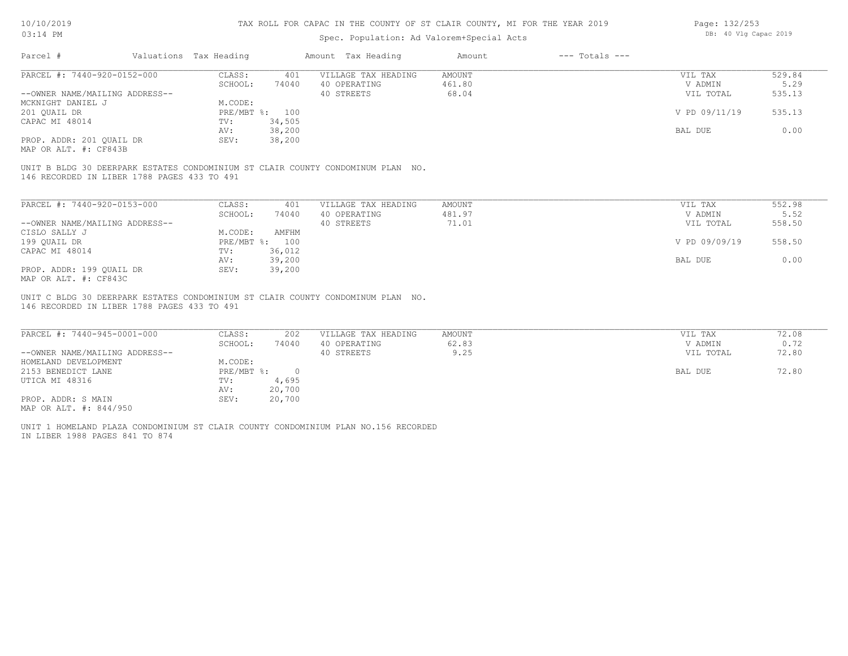### Spec. Population: Ad Valorem+Special Acts

| Page: 132/253 |  |                       |  |
|---------------|--|-----------------------|--|
|               |  | DB: 40 Vlg Capac 2019 |  |

| Parcel #                       | Valuations Tax Heading |        | Amount Tax Heading  | Amount | $---$ Totals $---$ |               |        |
|--------------------------------|------------------------|--------|---------------------|--------|--------------------|---------------|--------|
| PARCEL #: 7440-920-0152-000    | CLASS:                 | 401    | VILLAGE TAX HEADING | AMOUNT |                    | VIL TAX       | 529.84 |
|                                | SCHOOL:                | 74040  | 40 OPERATING        | 461.80 |                    | V ADMIN       | 5.29   |
| --OWNER NAME/MAILING ADDRESS-- |                        |        | 40 STREETS          | 68.04  |                    | VIL TOTAL     | 535.13 |
| MCKNIGHT DANIEL J              | M.CODE:                |        |                     |        |                    |               |        |
| 201 OUAIL DR                   | PRE/MBT %: 100         |        |                     |        |                    | V PD 09/11/19 | 535.13 |
| CAPAC MI 48014                 | TV:                    | 34,505 |                     |        |                    |               |        |
|                                | AV:                    | 38,200 |                     |        |                    | BAL DUE       | 0.00   |
| PROP. ADDR: 201 QUAIL DR       | SEV:                   | 38,200 |                     |        |                    |               |        |
|                                |                        |        |                     |        |                    |               |        |

MAP OR ALT. #: CF843B

146 RECORDED IN LIBER 1788 PAGES 433 TO 491 UNIT B BLDG 30 DEERPARK ESTATES CONDOMINIUM ST CLAIR COUNTY CONDOMINUM PLAN NO.

| PARCEL #: 7440-920-0153-000    | CLASS:       | 401    | VILLAGE TAX HEADING | AMOUNT | VIL TAX       | 552.98 |
|--------------------------------|--------------|--------|---------------------|--------|---------------|--------|
|                                | SCHOOL:      | 74040  | 40 OPERATING        | 481.97 | V ADMIN       | 5.52   |
| --OWNER NAME/MAILING ADDRESS-- |              |        | 40 STREETS          | 71.01  | VIL TOTAL     | 558.50 |
| CISLO SALLY J                  | M.CODE:      | AMFHM  |                     |        |               |        |
| 199 OUAIL DR                   | $PRE/MBT$ %: | 100    |                     |        | V PD 09/09/19 | 558.50 |
| CAPAC MI 48014                 | TV:          | 36,012 |                     |        |               |        |
|                                | AV:          | 39,200 |                     |        | BAL DUE       | 0.00   |
| PROP. ADDR: 199 OUAIL DR       | SEV:         | 39,200 |                     |        |               |        |
| MAP OR ALT. #: CF843C          |              |        |                     |        |               |        |

146 RECORDED IN LIBER 1788 PAGES 433 TO 491 UNIT C BLDG 30 DEERPARK ESTATES CONDOMINIUM ST CLAIR COUNTY CONDOMINUM PLAN NO.

| PARCEL #: 7440-945-0001-000    | CLASS:       | 202    | VILLAGE TAX HEADING | AMOUNT | VIL TAX   | 72.08 |
|--------------------------------|--------------|--------|---------------------|--------|-----------|-------|
|                                | SCHOOL:      | 74040  | 40 OPERATING        | 62.83  | V ADMIN   | 0.72  |
| --OWNER NAME/MAILING ADDRESS-- |              |        | 40 STREETS          | 9.25   | VIL TOTAL | 72.80 |
| HOMELAND DEVELOPMENT           | M.CODE:      |        |                     |        |           |       |
| 2153 BENEDICT LANE             | $PRE/MBT$ %: |        |                     |        | BAL DUE   | 72.80 |
| UTICA MI 48316                 | TV:          | 4,695  |                     |        |           |       |
|                                | AV:          | 20,700 |                     |        |           |       |
| PROP. ADDR: S MAIN             | SEV:         | 20,700 |                     |        |           |       |
| MAP OR ALT. #: 844/950         |              |        |                     |        |           |       |

IN LIBER 1988 PAGES 841 TO 874 UNIT 1 HOMELAND PLAZA CONDOMINIUM ST CLAIR COUNTY CONDOMINIUM PLAN NO.156 RECORDED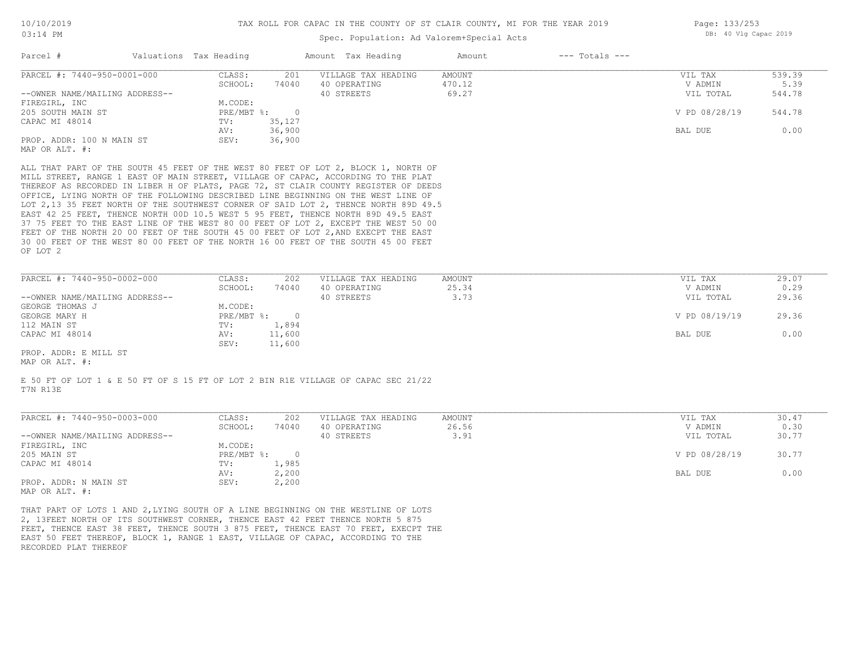### Spec. Population: Ad Valorem+Special Acts

| Page: 133/253 |  |                       |  |
|---------------|--|-----------------------|--|
|               |  | DB: 40 Vlg Capac 2019 |  |

| Parcel #                       | Valuations Tax Heading |        | Amount Tax Heading  | Amount | $---$ Totals $---$ |               |        |
|--------------------------------|------------------------|--------|---------------------|--------|--------------------|---------------|--------|
| PARCEL #: 7440-950-0001-000    | CLASS:                 | 201    | VILLAGE TAX HEADING | AMOUNT |                    | VIL TAX       | 539.39 |
|                                | SCHOOL:                | 74040  | 40 OPERATING        | 470.12 |                    | V ADMIN       | 5.39   |
| --OWNER NAME/MAILING ADDRESS-- |                        |        | 40 STREETS          | 69.27  |                    | VIL TOTAL     | 544.78 |
| FIREGIRL, INC                  | M.CODE:                |        |                     |        |                    |               |        |
| 205 SOUTH MAIN ST              | PRE/MBT %:             |        |                     |        |                    | V PD 08/28/19 | 544.78 |
| CAPAC MI 48014                 | TV:                    | 35,127 |                     |        |                    |               |        |
|                                | AV:                    | 36,900 |                     |        |                    | BAL DUE       | 0.00   |
| PROP. ADDR: 100 N MAIN ST      | SEV:                   | 36,900 |                     |        |                    |               |        |
| MAP OR ALT. #:                 |                        |        |                     |        |                    |               |        |

OF LOT 2 30 00 FEET OF THE WEST 80 00 FEET OF THE NORTH 16 00 FEET OF THE SOUTH 45 00 FEET FEET OF THE NORTH 20 00 FEET OF THE SOUTH 45 00 FEET OF LOT 2, AND EXECPT THE EAST 37 75 FEET TO THE EAST LINE OF THE WEST 80 00 FEET OF LOT 2, EXCEPT THE WEST 50 00 EAST 42 25 FEET, THENCE NORTH 00D 10.5 WEST 5 95 FEET, THENCE NORTH 89D 49.5 EAST LOT 2,13 35 FEET NORTH OF THE SOUTHWEST CORNER OF SAID LOT 2, THENCE NORTH 89D 49.5 OFFICE, LYING NORTH OF THE FOLLOWING DESCRIBED LINE BEGINNING ON THE WEST LINE OF THEREOF AS RECORDED IN LIBER H OF PLATS, PAGE 72, ST CLAIR COUNTY REGISTER OF DEEDS MILL STREET, RANGE 1 EAST OF MAIN STREET, VILLAGE OF CAPAC, ACCORDING TO THE PLAT ALL THAT PART OF THE SOUTH 45 FEET OF THE WEST 80 FEET OF LOT 2, BLOCK 1, NORTH OF

| PARCEL #: 7440-950-0002-000    | CLASS:       | 202    | VILLAGE TAX HEADING | AMOUNT | VIL TAX       | 29.07 |
|--------------------------------|--------------|--------|---------------------|--------|---------------|-------|
|                                | SCHOOL:      | 74040  | 40 OPERATING        | 25.34  | V ADMIN       | 0.29  |
| --OWNER NAME/MAILING ADDRESS-- |              |        | 40 STREETS          | 3.73   | VIL TOTAL     | 29.36 |
| GEORGE THOMAS J                | M.CODE:      |        |                     |        |               |       |
| GEORGE MARY H                  | $PRE/MBT$ %: |        |                     |        | V PD 08/19/19 | 29.36 |
| 112 MAIN ST                    | TV:          | 1,894  |                     |        |               |       |
| CAPAC MI 48014                 | AV:          | 11,600 |                     |        | BAL DUE       | 0.00  |
|                                | SEV:         | 11,600 |                     |        |               |       |
| PROP. ADDR: E MILL ST          |              |        |                     |        |               |       |

MAP OR ALT. #:

T7N R13E E 50 FT OF LOT 1 & E 50 FT OF S 15 FT OF LOT 2 BIN R1E VILLAGE OF CAPAC SEC 21/22

| PARCEL #: 7440-950-0003-000    | CLASS:     | 202      | VILLAGE TAX HEADING | AMOUNT | 30.47<br>VIL TAX       |  |
|--------------------------------|------------|----------|---------------------|--------|------------------------|--|
|                                | SCHOOL:    | 74040    | 40 OPERATING        | 26.56  | 0.30<br>V ADMIN        |  |
| --OWNER NAME/MAILING ADDRESS-- |            |          | 40 STREETS          | 3.91   | 30.77<br>VIL TOTAL     |  |
| FIREGIRL, INC                  | M.CODE:    |          |                     |        |                        |  |
| 205 MAIN ST                    | PRE/MBT %: | $\Omega$ |                     |        | V PD 08/28/19<br>30.77 |  |
| CAPAC MI 48014                 | TV:        | 1,985    |                     |        |                        |  |
|                                | AV:        | 2,200    |                     |        | 0.00<br>BAL DUE        |  |
| PROP. ADDR: N MAIN ST          | SEV:       | 2,200    |                     |        |                        |  |
| MAP OR ALT. #:                 |            |          |                     |        |                        |  |

RECORDED PLAT THEREOF EAST 50 FEET THEREOF, BLOCK 1, RANGE 1 EAST, VILLAGE OF CAPAC, ACCORDING TO THE FEET, THENCE EAST 38 FEET, THENCE SOUTH 3 875 FEET, THENCE EAST 70 FEET, EXECPT THE 2, 13FEET NORTH OF ITS SOUTHWEST CORNER, THENCE EAST 42 FEET THENCE NORTH 5 875 THAT PART OF LOTS 1 AND 2,LYING SOUTH OF A LINE BEGINNING ON THE WESTLINE OF LOTS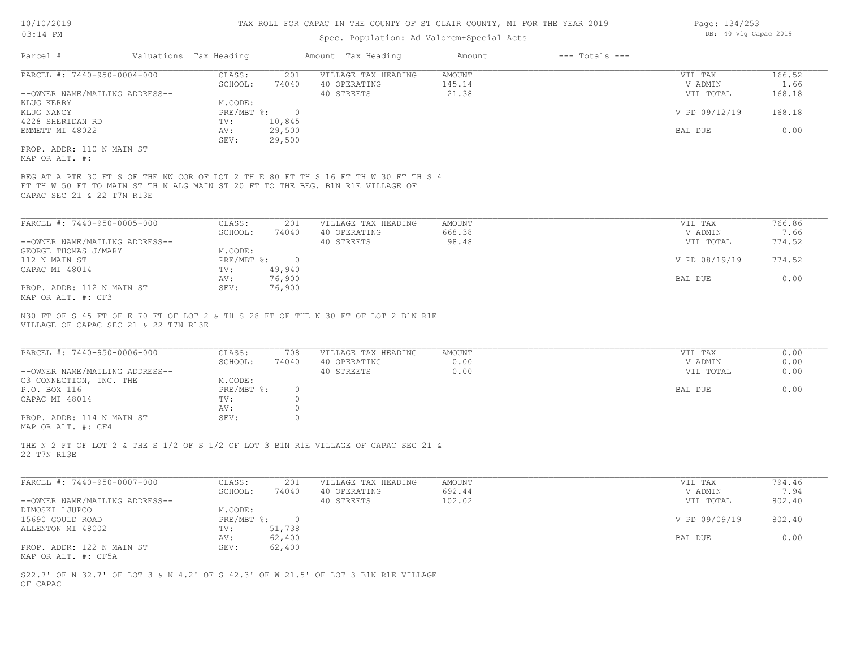# Spec. Population: Ad Valorem+Special Acts

| Page: 134/253 |  |                       |  |
|---------------|--|-----------------------|--|
|               |  | DB: 40 Vlg Capac 2019 |  |

| Parcel #                                                             | Valuations Tax Heading                 |                    | Amount Tax Heading                                                                                                                                                    | Amount                           | $---$ Totals $---$ |                                 |                          |
|----------------------------------------------------------------------|----------------------------------------|--------------------|-----------------------------------------------------------------------------------------------------------------------------------------------------------------------|----------------------------------|--------------------|---------------------------------|--------------------------|
| PARCEL #: 7440-950-0004-000<br>--OWNER NAME/MAILING ADDRESS--        | CLASS:<br>SCHOOL:                      | 201<br>74040       | VILLAGE TAX HEADING<br>40 OPERATING<br>40 STREETS                                                                                                                     | <b>AMOUNT</b><br>145.14<br>21.38 |                    | VIL TAX<br>V ADMIN<br>VIL TOTAL | 166.52<br>1.66<br>168.18 |
| KLUG KERRY<br>KLUG NANCY                                             | M.CODE:<br>$PRE/MBT$ $\frac{1}{6}$ : 0 |                    |                                                                                                                                                                       |                                  |                    | V PD 09/12/19                   | 168.18                   |
| 4228 SHERIDAN RD<br>EMMETT MI 48022                                  | TV:<br>AV:                             | 10,845<br>29,500   |                                                                                                                                                                       |                                  |                    | BAL DUE                         | 0.00                     |
|                                                                      | SEV:                                   | 29,500             |                                                                                                                                                                       |                                  |                    |                                 |                          |
| PROP. ADDR: 110 N MAIN ST<br>MAP OR ALT. #:                          |                                        |                    |                                                                                                                                                                       |                                  |                    |                                 |                          |
| CAPAC SEC 21 & 22 T7N R13E                                           |                                        |                    | BEG AT A PTE 30 FT S OF THE NW COR OF LOT 2 TH E 80 FT TH S 16 FT TH W 30 FT TH S 4<br>FT TH W 50 FT TO MAIN ST TH N ALG MAIN ST 20 FT TO THE BEG. B1N R1E VILLAGE OF |                                  |                    |                                 |                          |
| PARCEL #: 7440-950-0005-000                                          | CLASS:                                 | 201                | VILLAGE TAX HEADING                                                                                                                                                   | <b>AMOUNT</b>                    |                    | VIL TAX                         | 766.86                   |
|                                                                      | SCHOOL:                                | 74040              | 40 OPERATING                                                                                                                                                          | 668.38                           |                    | V ADMIN                         | 7.66                     |
| --OWNER NAME/MAILING ADDRESS--                                       |                                        |                    | 40 STREETS                                                                                                                                                            | 98.48                            |                    | VIL TOTAL                       | 774.52                   |
| GEORGE THOMAS J/MARY<br>112 N MAIN ST                                | M.CODE:<br>PRE/MBT %: 0                |                    |                                                                                                                                                                       |                                  |                    | V PD 08/19/19                   | 774.52                   |
| CAPAC MI 48014                                                       | TV:                                    | 49,940             |                                                                                                                                                                       |                                  |                    |                                 |                          |
|                                                                      | AV:                                    | 76,900             |                                                                                                                                                                       |                                  |                    | BAL DUE                         | 0.00                     |
| PROP. ADDR: 112 N MAIN ST                                            | SEV:                                   | 76,900             |                                                                                                                                                                       |                                  |                    |                                 |                          |
| MAP OR ALT. #: CF3                                                   |                                        |                    |                                                                                                                                                                       |                                  |                    |                                 |                          |
| VILLAGE OF CAPAC SEC 21 & 22 T7N R13E<br>PARCEL #: 7440-950-0006-000 | CLASS:                                 | 708                | VILLAGE TAX HEADING                                                                                                                                                   | AMOUNT                           |                    | VIL TAX                         | 0.00                     |
|                                                                      | SCHOOL:                                | 74040              | 40 OPERATING                                                                                                                                                          | 0.00                             |                    | V ADMIN                         | 0.00                     |
| --OWNER NAME/MAILING ADDRESS--                                       |                                        |                    | 40 STREETS                                                                                                                                                            | 0.00                             |                    | VIL TOTAL                       | 0.00                     |
| C3 CONNECTION, INC. THE                                              | M.CODE:                                |                    |                                                                                                                                                                       |                                  |                    |                                 |                          |
| P.O. BOX 116                                                         | PRE/MBT %:                             | $\circ$            |                                                                                                                                                                       |                                  |                    | BAL DUE                         | 0.00                     |
| CAPAC MI 48014                                                       | TV:<br>AV:                             | $\circ$<br>$\circ$ |                                                                                                                                                                       |                                  |                    |                                 |                          |
| PROP. ADDR: 114 N MAIN ST<br>MAP OR ALT. #: CF4                      | SEV:                                   | $\circ$            |                                                                                                                                                                       |                                  |                    |                                 |                          |
| 22 T7N R13E                                                          |                                        |                    | THE N 2 FT OF LOT 2 & THE S 1/2 OF S 1/2 OF LOT 3 B1N R1E VILLAGE OF CAPAC SEC 21 &                                                                                   |                                  |                    |                                 |                          |
| PARCEL #: 7440-950-0007-000                                          | CLASS:                                 | 201                | VILLAGE TAX HEADING                                                                                                                                                   | <b>AMOUNT</b>                    |                    | VIL TAX                         | 794.46                   |
|                                                                      | SCHOOL:                                | 74040              | 40 OPERATING                                                                                                                                                          | 692.44                           |                    | V ADMIN                         | 7.94                     |
| --OWNER NAME/MAILING ADDRESS--                                       |                                        |                    | 40 STREETS                                                                                                                                                            | 102.02                           |                    | VIL TOTAL                       | 802.40                   |
| DIMOSKI LJUPCO                                                       | M.CODE:                                |                    |                                                                                                                                                                       |                                  |                    |                                 |                          |
| 15690 GOULD ROAD                                                     | PRE/MBT %:                             | $\overline{0}$     |                                                                                                                                                                       |                                  |                    | V PD 09/09/19                   | 802.40                   |
| ALLENTON MI 48002                                                    | TV:<br>AV:                             | 51,738<br>62,400   |                                                                                                                                                                       |                                  |                    | BAL DUE                         | 0.00                     |
| PROP. ADDR: 122 N MAIN ST<br>MAP OR ALT. #: CF5A                     | SEV:                                   | 62,400             |                                                                                                                                                                       |                                  |                    |                                 |                          |
|                                                                      |                                        |                    | S22.7' OF N 32.7' OF LOT 3 & N 4.2' OF S 42.3' OF W 21.5' OF LOT 3 B1N R1E VILLAGE                                                                                    |                                  |                    |                                 |                          |
| OF CAPAC                                                             |                                        |                    |                                                                                                                                                                       |                                  |                    |                                 |                          |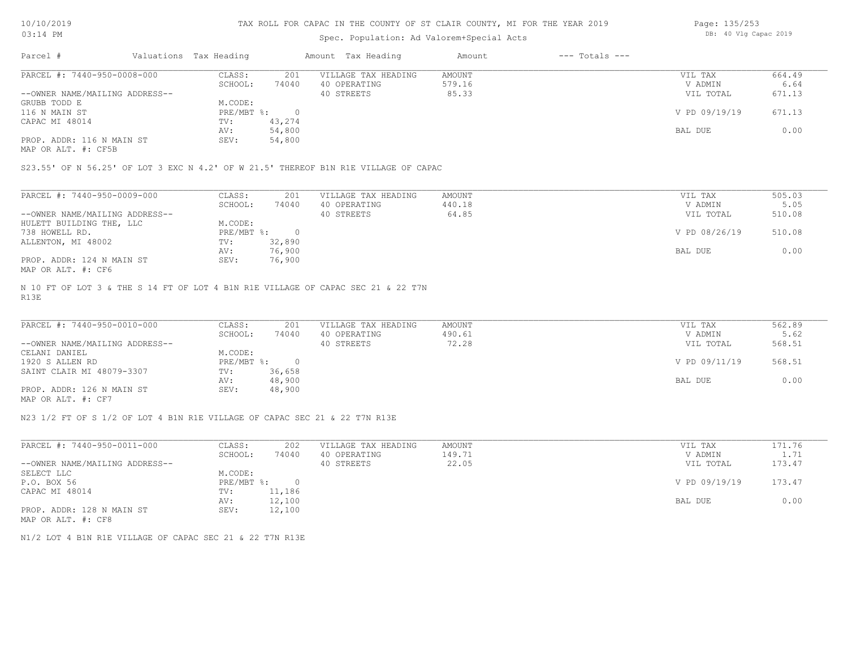#### TAX ROLL FOR CAPAC IN THE COUNTY OF ST CLAIR COUNTY, MI FOR THE YEAR 2019

# Spec. Population: Ad Valorem+Special Acts

| Page: 135/253 |  |                       |  |
|---------------|--|-----------------------|--|
|               |  | DB: 40 Vlg Capac 2019 |  |

| Parcel #                       | Valuations Tax Heading |        | Amount Tax Heading  | Amount | $---$ Totals $---$ |               |        |
|--------------------------------|------------------------|--------|---------------------|--------|--------------------|---------------|--------|
| PARCEL #: 7440-950-0008-000    | CLASS:                 | 201    | VILLAGE TAX HEADING | AMOUNT |                    | VIL TAX       | 664.49 |
|                                | SCHOOL:                | 74040  | 40 OPERATING        | 579.16 |                    | V ADMIN       | 6.64   |
| --OWNER NAME/MAILING ADDRESS-- |                        |        | 40 STREETS          | 85.33  |                    | VIL TOTAL     | 671.13 |
| GRUBB TODD E                   | M.CODE:                |        |                     |        |                    |               |        |
| 116 N MAIN ST                  | PRE/MBT %:             |        |                     |        |                    | V PD 09/19/19 | 671.13 |
| CAPAC MI 48014                 | TV:                    | 43,274 |                     |        |                    |               |        |
|                                | AV:                    | 54,800 |                     |        |                    | BAL DUE       | 0.00   |
| PROP. ADDR: 116 N MAIN ST      | SEV:                   | 54,800 |                     |        |                    |               |        |
|                                |                        |        |                     |        |                    |               |        |

MAP OR ALT. #: CF5B

S23.55' OF N 56.25' OF LOT 3 EXC N 4.2' OF W 21.5' THEREOF B1N R1E VILLAGE OF CAPAC

| PARCEL #: 7440-950-0009-000    | CLASS:     | 201    | VILLAGE TAX HEADING | AMOUNT | VIL TAX       | 505.03 |
|--------------------------------|------------|--------|---------------------|--------|---------------|--------|
|                                | SCHOOL:    | 74040  | 40 OPERATING        | 440.18 | V ADMIN       | 5.05   |
| --OWNER NAME/MAILING ADDRESS-- |            |        | 40 STREETS          | 64.85  | VIL TOTAL     | 510.08 |
| HULETT BUILDING THE, LLC       | M.CODE:    |        |                     |        |               |        |
| 738 HOWELL RD.                 | PRE/MBT %: |        |                     |        | V PD 08/26/19 | 510.08 |
| ALLENTON, MI 48002             | TV:        | 32,890 |                     |        |               |        |
|                                | AV:        | 76,900 |                     |        | BAL DUE       | 0.00   |
| PROP. ADDR: 124 N MAIN ST      | SEV:       | 76,900 |                     |        |               |        |
| MAP OR ALT. #: CF6             |            |        |                     |        |               |        |

R13E N 10 FT OF LOT 3 & THE S 14 FT OF LOT 4 B1N R1E VILLAGE OF CAPAC SEC 21 & 22 T7N

| PARCEL #: 7440-950-0010-000    | CLASS:     | 201    | VILLAGE TAX HEADING | AMOUNT | VIL TAX       | 562.89 |  |
|--------------------------------|------------|--------|---------------------|--------|---------------|--------|--|
|                                | SCHOOL:    | 74040  | 40 OPERATING        | 490.61 | V ADMIN       | 5.62   |  |
| --OWNER NAME/MAILING ADDRESS-- |            |        | 40 STREETS          | 72.28  | VIL TOTAL     | 568.51 |  |
| CELANI DANIEL                  | M.CODE:    |        |                     |        |               |        |  |
| 1920 S ALLEN RD                | PRE/MBT %: |        |                     |        | V PD 09/11/19 | 568.51 |  |
| SAINT CLAIR MI 48079-3307      | TV:        | 36,658 |                     |        |               |        |  |
|                                | AV:        | 48,900 |                     |        | BAL DUE       | 0.00   |  |
| PROP. ADDR: 126 N MAIN ST      | SEV:       | 48,900 |                     |        |               |        |  |
| MAP OR ALT. #: CF7             |            |        |                     |        |               |        |  |

 $\mathcal{L}_\mathcal{L} = \mathcal{L}_\mathcal{L} = \mathcal{L}_\mathcal{L} = \mathcal{L}_\mathcal{L} = \mathcal{L}_\mathcal{L} = \mathcal{L}_\mathcal{L} = \mathcal{L}_\mathcal{L} = \mathcal{L}_\mathcal{L} = \mathcal{L}_\mathcal{L} = \mathcal{L}_\mathcal{L} = \mathcal{L}_\mathcal{L} = \mathcal{L}_\mathcal{L} = \mathcal{L}_\mathcal{L} = \mathcal{L}_\mathcal{L} = \mathcal{L}_\mathcal{L} = \mathcal{L}_\mathcal{L} = \mathcal{L}_\mathcal{L}$ 

N23 1/2 FT OF S 1/2 OF LOT 4 B1N R1E VILLAGE OF CAPAC SEC 21 & 22 T7N R13E

| PARCEL #: 7440-950-0011-000    | CLASS:     | 202    | VILLAGE TAX HEADING | AMOUNT | VIL TAX       | 171.76 |
|--------------------------------|------------|--------|---------------------|--------|---------------|--------|
|                                | SCHOOL:    | 74040  | 40 OPERATING        | 149.71 | V ADMIN       | 1.71   |
| --OWNER NAME/MAILING ADDRESS-- |            |        | 40 STREETS          | 22.05  | VIL TOTAL     | 173.47 |
| SELECT LLC                     | M.CODE:    |        |                     |        |               |        |
| P.O. BOX 56                    | PRE/MBT %: |        |                     |        | V PD 09/19/19 | 173.47 |
| CAPAC MI 48014                 | TV:        | 11,186 |                     |        |               |        |
|                                | AV:        | 12,100 |                     |        | BAL DUE       | 0.00   |
| PROP. ADDR: 128 N MAIN ST      | SEV:       | 12,100 |                     |        |               |        |
| MAP OR ALT. #: CF8             |            |        |                     |        |               |        |

N1/2 LOT 4 B1N R1E VILLAGE OF CAPAC SEC 21 & 22 T7N R13E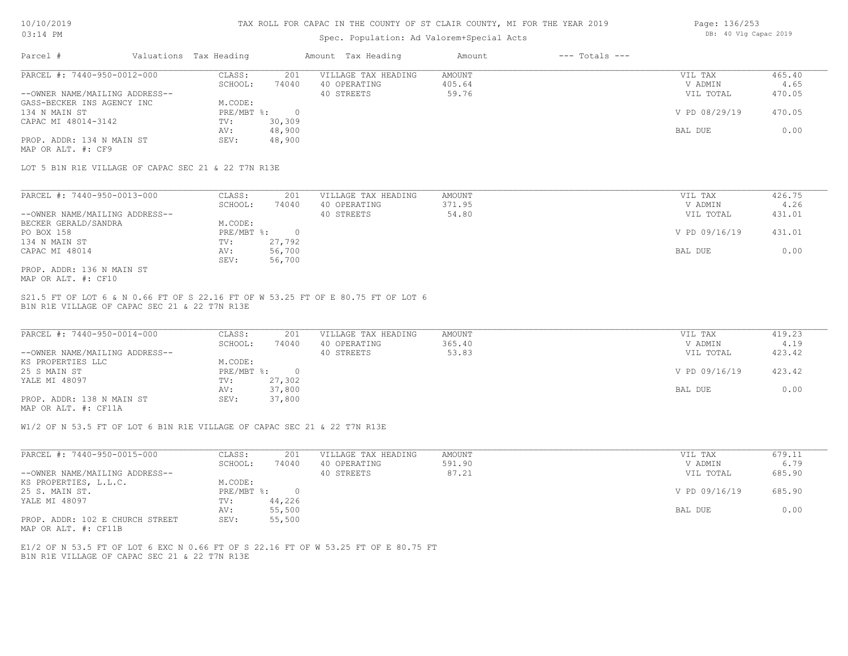#### TAX ROLL FOR CAPAC IN THE COUNTY OF ST CLAIR COUNTY, MI FOR THE YEAR 2019

### Spec. Population: Ad Valorem+Special Acts

| Page: 136/253 |  |                       |  |
|---------------|--|-----------------------|--|
|               |  | DB: 40 Vlg Capac 2019 |  |

| Parcel #                       | Valuations Tax Heading |        | Amount Tax Heading  | Amount | $---$ Totals $---$ |               |        |
|--------------------------------|------------------------|--------|---------------------|--------|--------------------|---------------|--------|
| PARCEL #: 7440-950-0012-000    | CLASS:                 | 201    | VILLAGE TAX HEADING | AMOUNT |                    | VIL TAX       | 465.40 |
|                                | SCHOOL:                | 74040  | 40 OPERATING        | 405.64 |                    | V ADMIN       | 4.65   |
| --OWNER NAME/MAILING ADDRESS-- |                        |        | 40 STREETS          | 59.76  |                    | VIL TOTAL     | 470.05 |
| GASS-BECKER INS AGENCY INC     | M.CODE:                |        |                     |        |                    |               |        |
| 134 N MAIN ST                  | PRE/MBT %:             |        |                     |        |                    | V PD 08/29/19 | 470.05 |
| CAPAC MI 48014-3142            | TV:                    | 30,309 |                     |        |                    |               |        |
|                                | AV:                    | 48,900 |                     |        |                    | BAL DUE       | 0.00   |
| PROP. ADDR: 134 N MAIN ST      | SEV:                   | 48,900 |                     |        |                    |               |        |
|                                |                        |        |                     |        |                    |               |        |

MAP OR ALT. #: CF9

LOT 5 B1N R1E VILLAGE OF CAPAC SEC 21 & 22 T7N R13E

| PARCEL #: 7440-950-0013-000    | CLASS:     | 201    | VILLAGE TAX HEADING | AMOUNT | VIL TAX       | 426.75 |
|--------------------------------|------------|--------|---------------------|--------|---------------|--------|
|                                | SCHOOL:    | 74040  | 40 OPERATING        | 371.95 | V ADMIN       | 4.26   |
| --OWNER NAME/MAILING ADDRESS-- |            |        | 40 STREETS          | 54.80  | VIL TOTAL     | 431.01 |
| BECKER GERALD/SANDRA           | M.CODE:    |        |                     |        |               |        |
| PO BOX 158                     | PRE/MBT %: |        |                     |        | V PD 09/16/19 | 431.01 |
| 134 N MAIN ST                  | TV:        | 27,792 |                     |        |               |        |
| CAPAC MI 48014                 | AV:        | 56,700 |                     |        | BAL DUE       | 0.00   |
|                                | SEV:       | 56,700 |                     |        |               |        |
| PROP. ADDR: 136 N MAIN ST      |            |        |                     |        |               |        |

MAP OR ALT. #: CF10

B1N R1E VILLAGE OF CAPAC SEC 21 & 22 T7N R13E S21.5 FT OF LOT 6 & N 0.66 FT OF S 22.16 FT OF W 53.25 FT OF E 80.75 FT OF LOT 6

| PARCEL #: 7440-950-0014-000    | CLASS:     | 201    | VILLAGE TAX HEADING | AMOUNT | VIL TAX       | 419.23 |
|--------------------------------|------------|--------|---------------------|--------|---------------|--------|
|                                | SCHOOL:    | 74040  | 40 OPERATING        | 365.40 | V ADMIN       | 4.19   |
| --OWNER NAME/MAILING ADDRESS-- |            |        | 40 STREETS          | 53.83  | VIL TOTAL     | 423.42 |
| KS PROPERTIES LLC              | M.CODE:    |        |                     |        |               |        |
| 25 S MAIN ST                   | PRE/MBT %: |        |                     |        | V PD 09/16/19 | 423.42 |
| YALE MI 48097                  | TV:        | 27,302 |                     |        |               |        |
|                                | AV:        | 37,800 |                     |        | BAL DUE       | 0.00   |
| PROP. ADDR: 138 N MAIN ST      | SEV:       | 37,800 |                     |        |               |        |
|                                |            |        |                     |        |               |        |

MAP OR ALT. #: CF11A

W1/2 OF N 53.5 FT OF LOT 6 B1N R1E VILLAGE OF CAPAC SEC 21 & 22 T7N R13E

| PARCEL #: 7440-950-0015-000     | CLASS:                    | 201    | VILLAGE TAX HEADING | AMOUNT | VIL TAX       | 679.11 |
|---------------------------------|---------------------------|--------|---------------------|--------|---------------|--------|
|                                 | SCHOOL:                   | 74040  | 40 OPERATING        | 591.90 | V ADMIN       | 6.79   |
| --OWNER NAME/MAILING ADDRESS--  |                           |        | 40 STREETS          | 87.21  | VIL TOTAL     | 685.90 |
| KS PROPERTIES, L.L.C.           | M.CODE:                   |        |                     |        |               |        |
| 25 S. MAIN ST.                  | $PRE/MBT$ $\frac{1}{6}$ : |        |                     |        | V PD 09/16/19 | 685.90 |
| YALE MI 48097                   | TV:                       | 44,226 |                     |        |               |        |
|                                 | AV:                       | 55,500 |                     |        | BAL DUE       | 0.00   |
| PROP. ADDR: 102 E CHURCH STREET | SEV:                      | 55,500 |                     |        |               |        |

MAP OR ALT. #: CF11B

B1N R1E VILLAGE OF CAPAC SEC 21 & 22 T7N R13E E1/2 OF N 53.5 FT OF LOT 6 EXC N 0.66 FT OF S 22.16 FT OF W 53.25 FT OF E 80.75 FT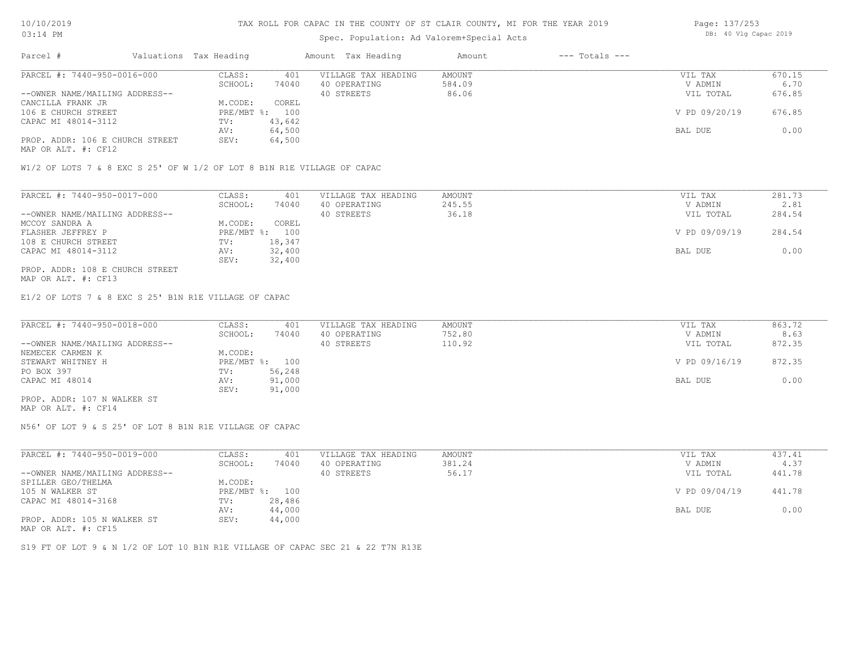### Spec. Population: Ad Valorem+Special Acts

| Page: 137/253 |  |                       |  |
|---------------|--|-----------------------|--|
|               |  | DB: 40 Vlg Capac 2019 |  |

| Parcel #                        | Valuations Tax Heading |        | Amount Tax Heading  | Amount | $---$ Totals $---$ |               |        |
|---------------------------------|------------------------|--------|---------------------|--------|--------------------|---------------|--------|
| PARCEL #: 7440-950-0016-000     | CLASS:                 | 401    | VILLAGE TAX HEADING | AMOUNT |                    | VIL TAX       | 670.15 |
|                                 | SCHOOL:                | 74040  | 40 OPERATING        | 584.09 |                    | V ADMIN       | 6.70   |
| --OWNER NAME/MAILING ADDRESS--  |                        |        | 40 STREETS          | 86.06  |                    | VIL TOTAL     | 676.85 |
| CANCILLA FRANK JR               | M.CODE:                | COREL  |                     |        |                    |               |        |
| 106 E CHURCH STREET             | PRE/MBT %: 100         |        |                     |        |                    | V PD 09/20/19 | 676.85 |
| CAPAC MI 48014-3112             | TV:                    | 43,642 |                     |        |                    |               |        |
|                                 | AV:                    | 64,500 |                     |        |                    | BAL DUE       | 0.00   |
| PROP. ADDR: 106 E CHURCH STREET | SEV:                   | 64,500 |                     |        |                    |               |        |
|                                 |                        |        |                     |        |                    |               |        |

MAP OR ALT. #: CF12

W1/2 OF LOTS 7 & 8 EXC S 25' OF W 1/2 OF LOT 8 B1N R1E VILLAGE OF CAPAC

| PARCEL #: 7440-950-0017-000     | CLASS:  | 401            | VILLAGE TAX HEADING | AMOUNT | VIL TAX       | 281.73 |
|---------------------------------|---------|----------------|---------------------|--------|---------------|--------|
|                                 | SCHOOL: | 74040          | 40 OPERATING        | 245.55 | V ADMIN       | 2.81   |
| --OWNER NAME/MAILING ADDRESS--  |         |                | 40 STREETS          | 36.18  | VIL TOTAL     | 284.54 |
| MCCOY SANDRA A                  | M.CODE: | COREL          |                     |        |               |        |
| FLASHER JEFFREY P               |         | PRE/MBT %: 100 |                     |        | V PD 09/09/19 | 284.54 |
| 108 E CHURCH STREET             | TV:     | 18,347         |                     |        |               |        |
| CAPAC MI 48014-3112             | AV:     | 32,400         |                     |        | BAL DUE       | 0.00   |
|                                 | SEV:    | 32,400         |                     |        |               |        |
| PROP. ADDR: 108 E CHURCH STREET |         |                |                     |        |               |        |

MAP OR ALT. #: CF13

E1/2 OF LOTS 7 & 8 EXC S 25' B1N R1E VILLAGE OF CAPAC

| PARCEL #: 7440-950-0018-000    | CLASS:  | 401            | VILLAGE TAX HEADING | AMOUNT | VIL TAX       | 863.72 |
|--------------------------------|---------|----------------|---------------------|--------|---------------|--------|
|                                | SCHOOL: | 74040          | 40 OPERATING        | 752.80 | V ADMIN       | 8.63   |
| --OWNER NAME/MAILING ADDRESS-- |         |                | 40 STREETS          | 110.92 | VIL TOTAL     | 872.35 |
| NEMECEK CARMEN K               | M.CODE: |                |                     |        |               |        |
| STEWART WHITNEY H              |         | PRE/MBT %: 100 |                     |        | V PD 09/16/19 | 872.35 |
| PO BOX 397                     | TV:     | 56,248         |                     |        |               |        |
| CAPAC MI 48014                 | AV:     | 91,000         |                     |        | BAL DUE       | 0.00   |
|                                | SEV:    | 91,000         |                     |        |               |        |
| PROP. ADDR: 107 N WALKER ST    |         |                |                     |        |               |        |

MAP OR ALT. #: CF14

N56' OF LOT 9 & S 25' OF LOT 8 B1N R1E VILLAGE OF CAPAC

| PARCEL #: 7440-950-0019-000    | CLASS:       | 401    | VILLAGE TAX HEADING | AMOUNT | VIL TAX       | 437.41 |
|--------------------------------|--------------|--------|---------------------|--------|---------------|--------|
|                                | SCHOOL:      | 74040  | 40 OPERATING        | 381.24 | V ADMIN       | 4.37   |
| --OWNER NAME/MAILING ADDRESS-- |              |        | 40 STREETS          | 56.17  | VIL TOTAL     | 441.78 |
| SPILLER GEO/THELMA             | M.CODE:      |        |                     |        |               |        |
| 105 N WALKER ST                | $PRE/MBT$ %: | 100    |                     |        | V PD 09/04/19 | 441.78 |
| CAPAC MI 48014-3168            | TV:          | 28,486 |                     |        |               |        |
|                                | AV:          | 44,000 |                     |        | BAL DUE       | 0.00   |
| PROP. ADDR: 105 N WALKER ST    | SEV:         | 44,000 |                     |        |               |        |
|                                |              |        |                     |        |               |        |

MAP OR ALT. #: CF15

S19 FT OF LOT 9 & N 1/2 OF LOT 10 B1N R1E VILLAGE OF CAPAC SEC 21 & 22 T7N R13E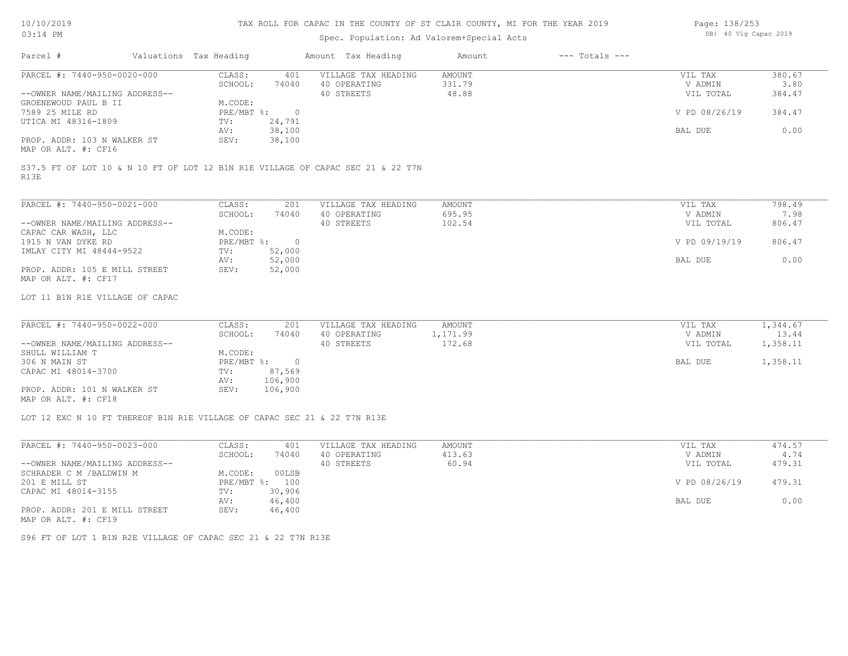# TAX ROLL FOR CAPAC IN THE COUNTY OF ST CLAIR COUNTY, MI FOR THE YEAR 2019

# Spec. Population: Ad Valorem+Special Acts

| Page: 138/253 |  |                       |  |
|---------------|--|-----------------------|--|
|               |  | DB: 40 Vlg Capac 2019 |  |

| PARCEL #: 7440-950-0020-000<br>CLASS:<br>VILLAGE TAX HEADING<br>380.67<br>401<br>AMOUNT<br>VIL TAX<br>331.79<br>SCHOOL:<br>74040<br>40 OPERATING<br>V ADMIN<br>3.80<br>40 STREETS<br>48.88<br>384.47<br>--OWNER NAME/MAILING ADDRESS--<br>VIL TOTAL<br>GROENEWOUD PAUL B II<br>M.CODE:<br>V PD 08/26/19<br>7589 25 MILE RD<br>$PRE/MBT$ %:<br>$\overline{0}$<br>384.47<br>UTICA MI 48316-1809<br>TV:<br>24,791<br>38,100<br>0.00<br>BAL DUE<br>AV:<br>PROP. ADDR: 103 N WALKER ST<br>SEV:<br>38,100<br>MAP OR ALT. #: CF16<br>S37.5 FT OF LOT 10 & N 10 FT OF LOT 12 B1N R1E VILLAGE OF CAPAC SEC 21 & 22 T7N<br>R13E<br>PARCEL #: 7440-950-0021-000<br>CLASS:<br>798.49<br>201<br>VILLAGE TAX HEADING<br>AMOUNT<br>VIL TAX<br>40 OPERATING<br>695.95<br>SCHOOL:<br>74040<br>V ADMIN<br>7.98<br>--OWNER NAME/MAILING ADDRESS--<br>40 STREETS<br>102.54<br>806.47<br>VIL TOTAL<br>M.CODE:<br>CAPAC CAR WASH, LLC<br>$PRE/MBT$ %:<br>1915 N VAN DYKE RD<br>$\overline{0}$<br>V PD 09/19/19<br>806.47<br>IMLAY CITY MI 48444-9522<br>52,000<br>TV:<br>52,000<br>0.00<br>AV:<br>BAL DUE<br>PROP. ADDR: 105 E MILL STREET<br>SEV:<br>52,000<br>MAP OR ALT. #: CF17<br>LOT 11 B1N R1E VILLAGE OF CAPAC<br>PARCEL #: 7440-950-0022-000<br>CLASS:<br>VILLAGE TAX HEADING<br>VIL TAX<br>1,344.67<br>201<br>AMOUNT<br>40 OPERATING<br>1,171.99<br>13.44<br>SCHOOL:<br>74040<br>V ADMIN<br>40 STREETS<br>172.68<br>1,358.11<br>--OWNER NAME/MAILING ADDRESS--<br>VIL TOTAL<br>SHULL WILLIAM T<br>M.CODE:<br>$\overline{0}$<br>1,358.11<br>306 N MAIN ST<br>$PRE/MBT$ $\div$<br>BAL DUE<br>87,569<br>CAPAC MI 48014-3700<br>TV:<br>106,900<br>AV:<br>106,900<br>PROP. ADDR: 101 N WALKER ST<br>SEV:<br>MAP OR ALT. #: CF18<br>LOT 12 EXC N 10 FT THEREOF B1N R1E VILLAGE OF CAPAC SEC 21 & 22 T7N R13E<br>PARCEL #: 7440-950-0023-000<br>CLASS:<br>VILLAGE TAX HEADING<br>AMOUNT<br>474.57<br>401<br>VIL TAX<br>SCHOOL:<br>74040<br>40 OPERATING<br>413.63<br>V ADMIN<br>4.74<br>60.94<br>--OWNER NAME/MAILING ADDRESS--<br>40 STREETS<br>479.31<br>VIL TOTAL<br>SCHRADER C M / BALDWIN M<br>M.CODE:<br>00LSB<br>479.31<br>201 E MILL ST<br>PRE/MBT %: 100<br>V PD 08/26/19<br>30,906<br>CAPAC MI 48014-3155<br>TV:<br>0.00<br>AV:<br>46,400<br>BAL DUE<br>SEV:<br>46,400<br>PROP. ADDR: 201 E MILL STREET<br>MAP OR ALT. #: CF19<br>S96 FT OF LOT 1 B1N R2E VILLAGE OF CAPAC SEC 21 & 22 T7N R13E | Parcel # | Valuations Tax Heading | Amount Tax Heading | Amount | $---$ Totals $---$ |  |
|----------------------------------------------------------------------------------------------------------------------------------------------------------------------------------------------------------------------------------------------------------------------------------------------------------------------------------------------------------------------------------------------------------------------------------------------------------------------------------------------------------------------------------------------------------------------------------------------------------------------------------------------------------------------------------------------------------------------------------------------------------------------------------------------------------------------------------------------------------------------------------------------------------------------------------------------------------------------------------------------------------------------------------------------------------------------------------------------------------------------------------------------------------------------------------------------------------------------------------------------------------------------------------------------------------------------------------------------------------------------------------------------------------------------------------------------------------------------------------------------------------------------------------------------------------------------------------------------------------------------------------------------------------------------------------------------------------------------------------------------------------------------------------------------------------------------------------------------------------------------------------------------------------------------------------------------------------------------------------------------------------------------------------------------------------------------------------------------------------------------------------------------------------------------------------------------------------------------------------------------------------------------------------------------------------------------------------------------------------------------------------------|----------|------------------------|--------------------|--------|--------------------|--|
|                                                                                                                                                                                                                                                                                                                                                                                                                                                                                                                                                                                                                                                                                                                                                                                                                                                                                                                                                                                                                                                                                                                                                                                                                                                                                                                                                                                                                                                                                                                                                                                                                                                                                                                                                                                                                                                                                                                                                                                                                                                                                                                                                                                                                                                                                                                                                                                        |          |                        |                    |        |                    |  |
|                                                                                                                                                                                                                                                                                                                                                                                                                                                                                                                                                                                                                                                                                                                                                                                                                                                                                                                                                                                                                                                                                                                                                                                                                                                                                                                                                                                                                                                                                                                                                                                                                                                                                                                                                                                                                                                                                                                                                                                                                                                                                                                                                                                                                                                                                                                                                                                        |          |                        |                    |        |                    |  |
|                                                                                                                                                                                                                                                                                                                                                                                                                                                                                                                                                                                                                                                                                                                                                                                                                                                                                                                                                                                                                                                                                                                                                                                                                                                                                                                                                                                                                                                                                                                                                                                                                                                                                                                                                                                                                                                                                                                                                                                                                                                                                                                                                                                                                                                                                                                                                                                        |          |                        |                    |        |                    |  |
|                                                                                                                                                                                                                                                                                                                                                                                                                                                                                                                                                                                                                                                                                                                                                                                                                                                                                                                                                                                                                                                                                                                                                                                                                                                                                                                                                                                                                                                                                                                                                                                                                                                                                                                                                                                                                                                                                                                                                                                                                                                                                                                                                                                                                                                                                                                                                                                        |          |                        |                    |        |                    |  |
|                                                                                                                                                                                                                                                                                                                                                                                                                                                                                                                                                                                                                                                                                                                                                                                                                                                                                                                                                                                                                                                                                                                                                                                                                                                                                                                                                                                                                                                                                                                                                                                                                                                                                                                                                                                                                                                                                                                                                                                                                                                                                                                                                                                                                                                                                                                                                                                        |          |                        |                    |        |                    |  |
|                                                                                                                                                                                                                                                                                                                                                                                                                                                                                                                                                                                                                                                                                                                                                                                                                                                                                                                                                                                                                                                                                                                                                                                                                                                                                                                                                                                                                                                                                                                                                                                                                                                                                                                                                                                                                                                                                                                                                                                                                                                                                                                                                                                                                                                                                                                                                                                        |          |                        |                    |        |                    |  |
|                                                                                                                                                                                                                                                                                                                                                                                                                                                                                                                                                                                                                                                                                                                                                                                                                                                                                                                                                                                                                                                                                                                                                                                                                                                                                                                                                                                                                                                                                                                                                                                                                                                                                                                                                                                                                                                                                                                                                                                                                                                                                                                                                                                                                                                                                                                                                                                        |          |                        |                    |        |                    |  |
|                                                                                                                                                                                                                                                                                                                                                                                                                                                                                                                                                                                                                                                                                                                                                                                                                                                                                                                                                                                                                                                                                                                                                                                                                                                                                                                                                                                                                                                                                                                                                                                                                                                                                                                                                                                                                                                                                                                                                                                                                                                                                                                                                                                                                                                                                                                                                                                        |          |                        |                    |        |                    |  |
|                                                                                                                                                                                                                                                                                                                                                                                                                                                                                                                                                                                                                                                                                                                                                                                                                                                                                                                                                                                                                                                                                                                                                                                                                                                                                                                                                                                                                                                                                                                                                                                                                                                                                                                                                                                                                                                                                                                                                                                                                                                                                                                                                                                                                                                                                                                                                                                        |          |                        |                    |        |                    |  |
|                                                                                                                                                                                                                                                                                                                                                                                                                                                                                                                                                                                                                                                                                                                                                                                                                                                                                                                                                                                                                                                                                                                                                                                                                                                                                                                                                                                                                                                                                                                                                                                                                                                                                                                                                                                                                                                                                                                                                                                                                                                                                                                                                                                                                                                                                                                                                                                        |          |                        |                    |        |                    |  |
|                                                                                                                                                                                                                                                                                                                                                                                                                                                                                                                                                                                                                                                                                                                                                                                                                                                                                                                                                                                                                                                                                                                                                                                                                                                                                                                                                                                                                                                                                                                                                                                                                                                                                                                                                                                                                                                                                                                                                                                                                                                                                                                                                                                                                                                                                                                                                                                        |          |                        |                    |        |                    |  |
|                                                                                                                                                                                                                                                                                                                                                                                                                                                                                                                                                                                                                                                                                                                                                                                                                                                                                                                                                                                                                                                                                                                                                                                                                                                                                                                                                                                                                                                                                                                                                                                                                                                                                                                                                                                                                                                                                                                                                                                                                                                                                                                                                                                                                                                                                                                                                                                        |          |                        |                    |        |                    |  |
|                                                                                                                                                                                                                                                                                                                                                                                                                                                                                                                                                                                                                                                                                                                                                                                                                                                                                                                                                                                                                                                                                                                                                                                                                                                                                                                                                                                                                                                                                                                                                                                                                                                                                                                                                                                                                                                                                                                                                                                                                                                                                                                                                                                                                                                                                                                                                                                        |          |                        |                    |        |                    |  |
|                                                                                                                                                                                                                                                                                                                                                                                                                                                                                                                                                                                                                                                                                                                                                                                                                                                                                                                                                                                                                                                                                                                                                                                                                                                                                                                                                                                                                                                                                                                                                                                                                                                                                                                                                                                                                                                                                                                                                                                                                                                                                                                                                                                                                                                                                                                                                                                        |          |                        |                    |        |                    |  |
|                                                                                                                                                                                                                                                                                                                                                                                                                                                                                                                                                                                                                                                                                                                                                                                                                                                                                                                                                                                                                                                                                                                                                                                                                                                                                                                                                                                                                                                                                                                                                                                                                                                                                                                                                                                                                                                                                                                                                                                                                                                                                                                                                                                                                                                                                                                                                                                        |          |                        |                    |        |                    |  |
|                                                                                                                                                                                                                                                                                                                                                                                                                                                                                                                                                                                                                                                                                                                                                                                                                                                                                                                                                                                                                                                                                                                                                                                                                                                                                                                                                                                                                                                                                                                                                                                                                                                                                                                                                                                                                                                                                                                                                                                                                                                                                                                                                                                                                                                                                                                                                                                        |          |                        |                    |        |                    |  |
|                                                                                                                                                                                                                                                                                                                                                                                                                                                                                                                                                                                                                                                                                                                                                                                                                                                                                                                                                                                                                                                                                                                                                                                                                                                                                                                                                                                                                                                                                                                                                                                                                                                                                                                                                                                                                                                                                                                                                                                                                                                                                                                                                                                                                                                                                                                                                                                        |          |                        |                    |        |                    |  |
|                                                                                                                                                                                                                                                                                                                                                                                                                                                                                                                                                                                                                                                                                                                                                                                                                                                                                                                                                                                                                                                                                                                                                                                                                                                                                                                                                                                                                                                                                                                                                                                                                                                                                                                                                                                                                                                                                                                                                                                                                                                                                                                                                                                                                                                                                                                                                                                        |          |                        |                    |        |                    |  |
|                                                                                                                                                                                                                                                                                                                                                                                                                                                                                                                                                                                                                                                                                                                                                                                                                                                                                                                                                                                                                                                                                                                                                                                                                                                                                                                                                                                                                                                                                                                                                                                                                                                                                                                                                                                                                                                                                                                                                                                                                                                                                                                                                                                                                                                                                                                                                                                        |          |                        |                    |        |                    |  |
|                                                                                                                                                                                                                                                                                                                                                                                                                                                                                                                                                                                                                                                                                                                                                                                                                                                                                                                                                                                                                                                                                                                                                                                                                                                                                                                                                                                                                                                                                                                                                                                                                                                                                                                                                                                                                                                                                                                                                                                                                                                                                                                                                                                                                                                                                                                                                                                        |          |                        |                    |        |                    |  |
|                                                                                                                                                                                                                                                                                                                                                                                                                                                                                                                                                                                                                                                                                                                                                                                                                                                                                                                                                                                                                                                                                                                                                                                                                                                                                                                                                                                                                                                                                                                                                                                                                                                                                                                                                                                                                                                                                                                                                                                                                                                                                                                                                                                                                                                                                                                                                                                        |          |                        |                    |        |                    |  |
|                                                                                                                                                                                                                                                                                                                                                                                                                                                                                                                                                                                                                                                                                                                                                                                                                                                                                                                                                                                                                                                                                                                                                                                                                                                                                                                                                                                                                                                                                                                                                                                                                                                                                                                                                                                                                                                                                                                                                                                                                                                                                                                                                                                                                                                                                                                                                                                        |          |                        |                    |        |                    |  |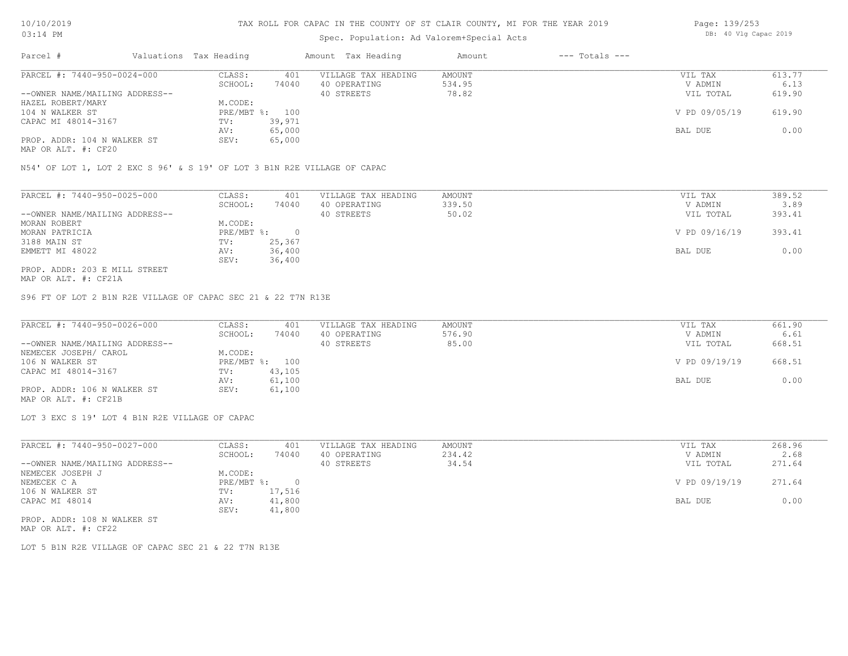# Spec. Population: Ad Valorem+Special Acts

| Page: 139/253 |  |                       |  |
|---------------|--|-----------------------|--|
|               |  | DB: 40 Vlg Capac 2019 |  |

| Parcel #                       | Valuations Tax Heading |        | Amount Tax Heading  | Amount | $---$ Totals $---$ |               |        |
|--------------------------------|------------------------|--------|---------------------|--------|--------------------|---------------|--------|
| PARCEL #: 7440-950-0024-000    | CLASS:                 | 401    | VILLAGE TAX HEADING | AMOUNT |                    | VIL TAX       | 613.77 |
|                                | SCHOOL:                | 74040  | 40 OPERATING        | 534.95 |                    | V ADMIN       | 6.13   |
| --OWNER NAME/MAILING ADDRESS-- |                        |        | 40 STREETS          | 78.82  |                    | VIL TOTAL     | 619.90 |
| HAZEL ROBERT/MARY              | M.CODE:                |        |                     |        |                    |               |        |
| 104 N WALKER ST                | PRE/MBT %: 100         |        |                     |        |                    | V PD 09/05/19 | 619.90 |
| CAPAC MI 48014-3167            | TV:                    | 39,971 |                     |        |                    |               |        |
|                                | AV:                    | 65,000 |                     |        |                    | BAL DUE       | 0.00   |
| PROP. ADDR: 104 N WALKER ST    | SEV:                   | 65,000 |                     |        |                    |               |        |
|                                |                        |        |                     |        |                    |               |        |

MAP OR ALT. #: CF20

N54' OF LOT 1, LOT 2 EXC S 96' & S 19' OF LOT 3 B1N R2E VILLAGE OF CAPAC

| PARCEL #: 7440-950-0025-000    | CLASS:     | 401    | VILLAGE TAX HEADING | AMOUNT | VIL TAX       | 389.52 |
|--------------------------------|------------|--------|---------------------|--------|---------------|--------|
|                                | SCHOOL:    | 74040  | 40 OPERATING        | 339.50 | V ADMIN       | 3.89   |
| --OWNER NAME/MAILING ADDRESS-- |            |        | 40 STREETS          | 50.02  | VIL TOTAL     | 393.41 |
| MORAN ROBERT                   | M.CODE:    |        |                     |        |               |        |
| MORAN PATRICIA                 | PRE/MBT %: |        |                     |        | V PD 09/16/19 | 393.41 |
| 3188 MAIN ST                   | TV:        | 25,367 |                     |        |               |        |
| EMMETT MI 48022                | AV:        | 36,400 |                     |        | BAL DUE       | 0.00   |
|                                | SEV:       | 36,400 |                     |        |               |        |
| PROP. ADDR: 203 E MILL STREET  |            |        |                     |        |               |        |

MAP OR ALT. #: CF21A

S96 FT OF LOT 2 B1N R2E VILLAGE OF CAPAC SEC 21 & 22 T7N R13E

| PARCEL #: 7440-950-0026-000    | CLASS:  | 401            | VILLAGE TAX HEADING | AMOUNT | VIL TAX       | 661.90 |
|--------------------------------|---------|----------------|---------------------|--------|---------------|--------|
|                                | SCHOOL: | 74040          | 40 OPERATING        | 576.90 | V ADMIN       | 6.61   |
| --OWNER NAME/MAILING ADDRESS-- |         |                | 40 STREETS          | 85.00  | VIL TOTAL     | 668.51 |
| NEMECEK JOSEPH/ CAROL          | M.CODE: |                |                     |        |               |        |
| 106 N WALKER ST                |         | PRE/MBT %: 100 |                     |        | V PD 09/19/19 | 668.51 |
| CAPAC MI 48014-3167            | TV:     | 43,105         |                     |        |               |        |
|                                | AV:     | 61,100         |                     |        | BAL DUE       | 0.00   |
| PROP. ADDR: 106 N WALKER ST    | SEV:    | 61,100         |                     |        |               |        |
| MAP OR ALT. #: CF21B           |         |                |                     |        |               |        |

LOT 3 EXC S 19' LOT 4 B1N R2E VILLAGE OF CAPAC

| PARCEL #: 7440-950-0027-000    | CLASS:     | 401    | VILLAGE TAX HEADING | AMOUNT | VIL TAX       | 268.96 |
|--------------------------------|------------|--------|---------------------|--------|---------------|--------|
|                                | SCHOOL:    | 74040  | 40 OPERATING        | 234.42 | V ADMIN       | 2.68   |
| --OWNER NAME/MAILING ADDRESS-- |            |        | 40 STREETS          | 34.54  | VIL TOTAL     | 271.64 |
| NEMECEK JOSEPH J               | M.CODE:    |        |                     |        |               |        |
| NEMECEK C A                    | PRE/MBT %: |        |                     |        | V PD 09/19/19 | 271.64 |
| 106 N WALKER ST                | TV:        | 17,516 |                     |        |               |        |
| CAPAC MI 48014                 | AV:        | 41,800 |                     |        | BAL DUE       | 0.00   |
|                                | SEV:       | 41,800 |                     |        |               |        |
| PROP. ADDR: 108 N WALKER ST    |            |        |                     |        |               |        |

MAP OR ALT. #: CF22

LOT 5 B1N R2E VILLAGE OF CAPAC SEC 21 & 22 T7N R13E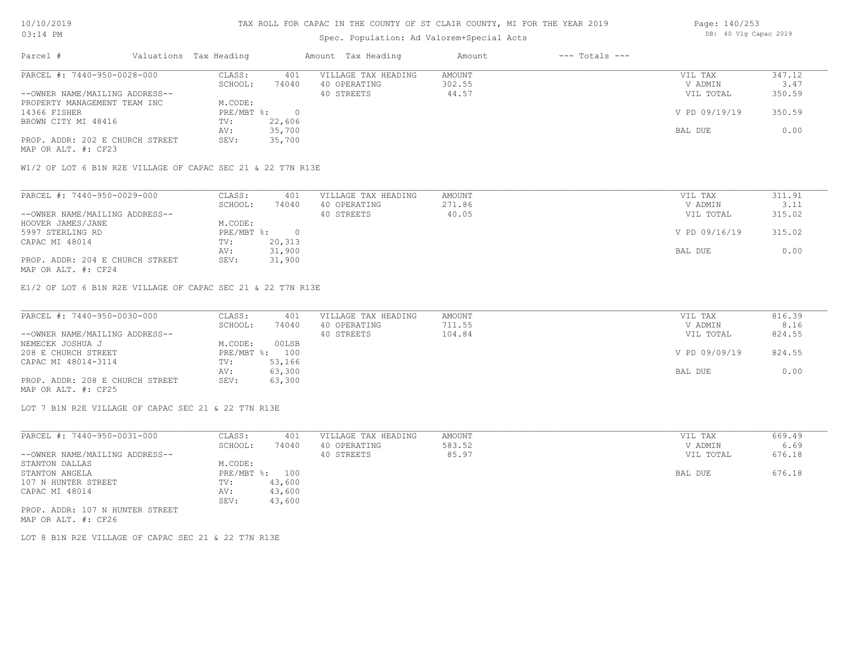### TAX ROLL FOR CAPAC IN THE COUNTY OF ST CLAIR COUNTY, MI FOR THE YEAR 2019

# Spec. Population: Ad Valorem+Special Acts

| Parcel #                        | Valuations Tax Heading |        | Amount Tax Heading  | Amount | $---$ Totals $---$ |               |        |
|---------------------------------|------------------------|--------|---------------------|--------|--------------------|---------------|--------|
| PARCEL #: 7440-950-0028-000     | CLASS:                 | 401    | VILLAGE TAX HEADING | AMOUNT |                    | VIL TAX       | 347.12 |
|                                 | SCHOOL:                | 74040  | 40 OPERATING        | 302.55 |                    | V ADMIN       | 3.47   |
| --OWNER NAME/MAILING ADDRESS--  |                        |        | 40 STREETS          | 44.57  |                    | VIL TOTAL     | 350.59 |
| PROPERTY MANAGEMENT TEAM INC    | M.CODE:                |        |                     |        |                    |               |        |
| 14366 FISHER                    | PRE/MBT %:             |        |                     |        |                    | V PD 09/19/19 | 350.59 |
| BROWN CITY MI 48416             | TV:                    | 22,606 |                     |        |                    |               |        |
|                                 | AV:                    | 35,700 |                     |        |                    | BAL DUE       | 0.00   |
| PROP. ADDR: 202 E CHURCH STREET | SEV:                   | 35,700 |                     |        |                    |               |        |

MAP OR ALT. #: CF23

W1/2 OF LOT 6 B1N R2E VILLAGE OF CAPAC SEC 21 & 22 T7N R13E

| PARCEL #: 7440-950-0029-000     | CLASS:     | 401    | VILLAGE TAX HEADING | AMOUNT | VIL TAX       | 311.91 |
|---------------------------------|------------|--------|---------------------|--------|---------------|--------|
|                                 | SCHOOL:    | 74040  | 40 OPERATING        | 271.86 | V ADMIN       | 3.11   |
| --OWNER NAME/MAILING ADDRESS--  |            |        | 40 STREETS          | 40.05  | VIL TOTAL     | 315.02 |
| HOOVER JAMES/JANE               | M.CODE:    |        |                     |        |               |        |
| 5997 STERLING RD                | PRE/MBT %: |        |                     |        | V PD 09/16/19 | 315.02 |
| CAPAC MI 48014                  | TV:        | 20,313 |                     |        |               |        |
|                                 | AV:        | 31,900 |                     |        | BAL DUE       | 0.00   |
| PROP. ADDR: 204 E CHURCH STREET | SEV:       | 31,900 |                     |        |               |        |
| MAP OR ALT. #: CF24             |            |        |                     |        |               |        |

E1/2 OF LOT 6 B1N R2E VILLAGE OF CAPAC SEC 21 & 22 T7N R13E

| PARCEL #: 7440-950-0030-000     | CLASS:  | 401            | VILLAGE TAX HEADING | AMOUNT | VIL TAX       | 816.39 |
|---------------------------------|---------|----------------|---------------------|--------|---------------|--------|
|                                 | SCHOOL: | 74040          | 40 OPERATING        | 711.55 | V ADMIN       | 8.16   |
| --OWNER NAME/MAILING ADDRESS--  |         |                | 40 STREETS          | 104.84 | VIL TOTAL     | 824.55 |
| NEMECEK JOSHUA J                | M.CODE: | 00LSB          |                     |        |               |        |
| 208 E CHURCH STREET             |         | PRE/MBT %: 100 |                     |        | V PD 09/09/19 | 824.55 |
| CAPAC MI 48014-3114             | TV:     | 53,166         |                     |        |               |        |
|                                 | AV:     | 63,300         |                     |        | BAL DUE       | 0.00   |
| PROP. ADDR: 208 E CHURCH STREET | SEV:    | 63,300         |                     |        |               |        |
| MAP OR ALT. #: CF25             |         |                |                     |        |               |        |

LOT 7 B1N R2E VILLAGE OF CAPAC SEC 21 & 22 T7N R13E

| PARCEL #: 7440-950-0031-000     | CLASS:     | 401    | VILLAGE TAX HEADING | AMOUNT | VIL TAX   | 669.49 |
|---------------------------------|------------|--------|---------------------|--------|-----------|--------|
|                                 | SCHOOL:    | 74040  | 40 OPERATING        | 583.52 | V ADMIN   | 6.69   |
| --OWNER NAME/MAILING ADDRESS--  |            |        | 40 STREETS          | 85.97  | VIL TOTAL | 676.18 |
| STANTON DALLAS                  | M.CODE:    |        |                     |        |           |        |
| STANTON ANGELA                  | PRE/MBT %: | 100    |                     |        | BAL DUE   | 676.18 |
| 107 N HUNTER STREET             | TV:        | 43,600 |                     |        |           |        |
| CAPAC MI 48014                  | AV:        | 43,600 |                     |        |           |        |
|                                 | SEV:       | 43,600 |                     |        |           |        |
| PROP. ADDR: 107 N HUNTER STREET |            |        |                     |        |           |        |

MAP OR ALT. #: CF26

LOT 8 B1N R2E VILLAGE OF CAPAC SEC 21 & 22 T7N R13E

Page: 140/253 DB: 40 Vlg Capac 2019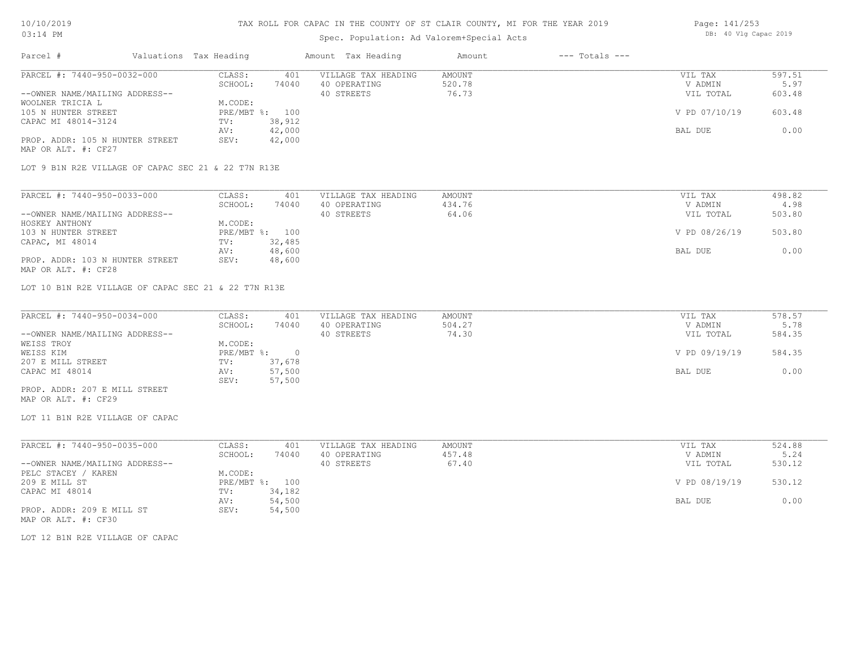### TAX ROLL FOR CAPAC IN THE COUNTY OF ST CLAIR COUNTY, MI FOR THE YEAR 2019

# Spec. Population: Ad Valorem+Special Acts

| Parcel #                                            | Valuations Tax Heading |        | Amount Tax Heading  | Amount | $---$ Totals $---$ |                  |               |
|-----------------------------------------------------|------------------------|--------|---------------------|--------|--------------------|------------------|---------------|
| PARCEL #: 7440-950-0032-000                         | CLASS:                 | 401    | VILLAGE TAX HEADING | AMOUNT |                    | VIL TAX          | 597.51        |
|                                                     | SCHOOL:                | 74040  | 40 OPERATING        | 520.78 |                    | V ADMIN          | 5.97          |
| --OWNER NAME/MAILING ADDRESS--                      |                        |        | 40 STREETS          | 76.73  |                    | VIL TOTAL        | 603.48        |
| WOOLNER TRICIA L                                    | M.CODE:                |        |                     |        |                    |                  |               |
| 105 N HUNTER STREET                                 | PRE/MBT %: 100         |        |                     |        |                    | V PD 07/10/19    | 603.48        |
| CAPAC MI 48014-3124                                 | TV:                    | 38,912 |                     |        |                    |                  |               |
|                                                     | AV:                    | 42,000 |                     |        |                    | BAL DUE          | 0.00          |
| PROP. ADDR: 105 N HUNTER STREET                     | SEV:                   | 42,000 |                     |        |                    |                  |               |
| MAP OR ALT. #: CF27                                 |                        |        |                     |        |                    |                  |               |
| LOT 9 B1N R2E VILLAGE OF CAPAC SEC 21 & 22 T7N R13E |                        |        |                     |        |                    |                  |               |
|                                                     |                        |        |                     |        |                    |                  |               |
| PARCEL #: 7440-950-0033-000                         | CLASS:                 | 401    | VILLAGE TAX HEADING | AMOUNT |                    | VIL TAX          | 498.82        |
|                                                     | COUOOT .               | 74040  | 10.00000000000      | 12176  |                    | <b>IZ ADMINI</b> | $\Lambda$ 0.0 |

|                                 | -------      | - - -  |              |        | .             | .      |
|---------------------------------|--------------|--------|--------------|--------|---------------|--------|
|                                 | SCHOOL:      | 74040  | 40 OPERATING | 434.76 | V ADMIN       | 4.98   |
| --OWNER NAME/MAILING ADDRESS--  |              |        | 40 STREETS   | 64.06  | VIL TOTAL     | 503.80 |
| HOSKEY ANTHONY                  | M.CODE:      |        |              |        |               |        |
| 103 N HUNTER STREET             | $PRE/MBT$ %: | 100    |              |        | V PD 08/26/19 | 503.80 |
| CAPAC, MI 48014                 | TV:          | 32,485 |              |        |               |        |
|                                 | AV:          | 48,600 |              |        | BAL DUE       | 0.00   |
| PROP. ADDR: 103 N HUNTER STREET | SEV:         | 48,600 |              |        |               |        |
| MAP OR ALT. #: CF28             |              |        |              |        |               |        |

LOT 10 B1N R2E VILLAGE OF CAPAC SEC 21 & 22 T7N R13E

| PARCEL #: 7440-950-0034-000    | CLASS:     | 401    | VILLAGE TAX HEADING | AMOUNT | VIL TAX       | 578.57 |
|--------------------------------|------------|--------|---------------------|--------|---------------|--------|
|                                | SCHOOL:    | 74040  | 40 OPERATING        | 504.27 | V ADMIN       | 5.78   |
| --OWNER NAME/MAILING ADDRESS-- |            |        | 40 STREETS          | 74.30  | VIL TOTAL     | 584.35 |
| WEISS TROY                     | M.CODE:    |        |                     |        |               |        |
| WEISS KIM                      | PRE/MBT %: |        |                     |        | V PD 09/19/19 | 584.35 |
| 207 E MILL STREET              | TV:        | 37,678 |                     |        |               |        |
| CAPAC MI 48014                 | AV:        | 57,500 |                     |        | BAL DUE       | 0.00   |
|                                | SEV:       | 57,500 |                     |        |               |        |
| PROP. ADDR: 207 E MILL STREET  |            |        |                     |        |               |        |

MAP OR ALT. #: CF29

LOT 11 B1N R2E VILLAGE OF CAPAC

| PARCEL #: 7440-950-0035-000    | CLASS:  | 401            | VILLAGE TAX HEADING | AMOUNT | VIL TAX       | 524.88 |
|--------------------------------|---------|----------------|---------------------|--------|---------------|--------|
|                                | SCHOOL: | 74040          | 40 OPERATING        | 457.48 | V ADMIN       | 5.24   |
| --OWNER NAME/MAILING ADDRESS-- |         |                | 40 STREETS          | 67.40  | VIL TOTAL     | 530.12 |
| PELC STACEY / KAREN            | M.CODE: |                |                     |        |               |        |
| 209 E MILL ST                  |         | PRE/MBT %: 100 |                     |        | V PD 08/19/19 | 530.12 |
| CAPAC MI 48014                 | TV:     | 34,182         |                     |        |               |        |
|                                | AV:     | 54,500         |                     |        | BAL DUE       | 0.00   |
| PROP. ADDR: 209 E MILL ST      | SEV:    | 54,500         |                     |        |               |        |
| MAP OR ALT. #: CF30            |         |                |                     |        |               |        |

LOT 12 B1N R2E VILLAGE OF CAPAC

Page: 141/253 DB: 40 Vlg Capac 2019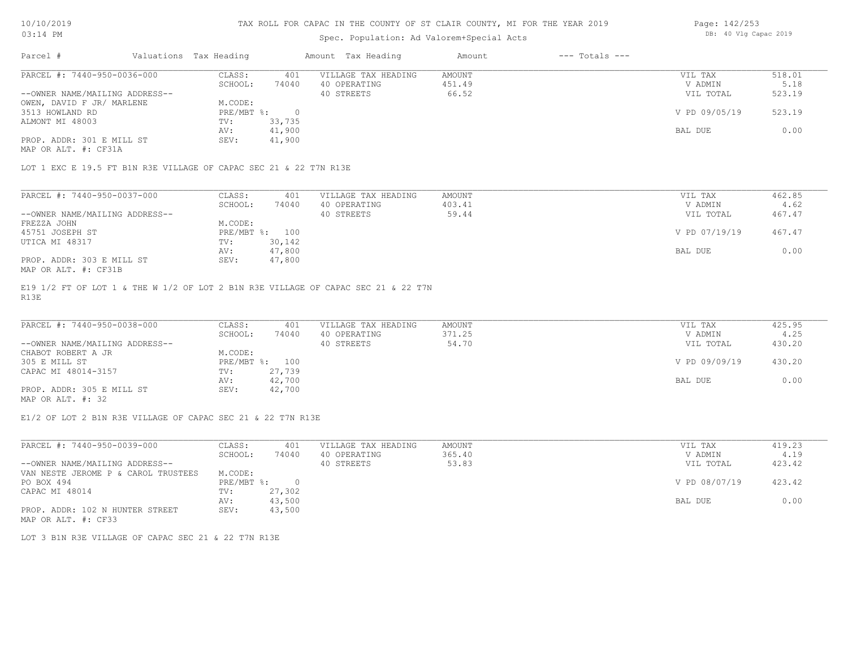### Spec. Population: Ad Valorem+Special Acts

| Page: 142/253 |  |                       |  |
|---------------|--|-----------------------|--|
|               |  | DB: 40 Vlg Capac 2019 |  |

| Parcel #                       | Valuations Tax Heading |        | Amount Tax Heading  | Amount | $---$ Totals $---$ |               |        |
|--------------------------------|------------------------|--------|---------------------|--------|--------------------|---------------|--------|
| PARCEL #: 7440-950-0036-000    | CLASS:                 | 401    | VILLAGE TAX HEADING | AMOUNT |                    | VIL TAX       | 518.01 |
|                                | SCHOOL:                | 74040  | 40 OPERATING        | 451.49 |                    | V ADMIN       | 5.18   |
| --OWNER NAME/MAILING ADDRESS-- |                        |        | 40 STREETS          | 66.52  |                    | VIL TOTAL     | 523.19 |
| OWEN, DAVID F JR/ MARLENE      | M.CODE:                |        |                     |        |                    |               |        |
| 3513 HOWLAND RD                | PRE/MBT %:             |        |                     |        |                    | V PD 09/05/19 | 523.19 |
| ALMONT MI 48003                | TV:                    | 33,735 |                     |        |                    |               |        |
|                                | AV:                    | 41,900 |                     |        |                    | BAL DUE       | 0.00   |
| PROP. ADDR: 301 E MILL ST      | SEV:                   | 41,900 |                     |        |                    |               |        |
|                                |                        |        |                     |        |                    |               |        |

MAP OR ALT. #: CF31A

LOT 1 EXC E 19.5 FT B1N R3E VILLAGE OF CAPAC SEC 21 & 22 T7N R13E

| PARCEL #: 7440-950-0037-000    | CLASS:  | 401            | VILLAGE TAX HEADING | AMOUNT | VIL TAX       | 462.85 |
|--------------------------------|---------|----------------|---------------------|--------|---------------|--------|
|                                | SCHOOL: | 74040          | 40 OPERATING        | 403.41 | V ADMIN       | 4.62   |
| --OWNER NAME/MAILING ADDRESS-- |         |                | 40 STREETS          | 59.44  | VIL TOTAL     | 467.47 |
| FREZZA JOHN                    | M.CODE: |                |                     |        |               |        |
| 45751 JOSEPH ST                |         | PRE/MBT %: 100 |                     |        | V PD 07/19/19 | 467.47 |
| UTICA MI 48317                 | TV:     | 30,142         |                     |        |               |        |
|                                | AV:     | 47,800         |                     |        | BAL DUE       | 0.00   |
| PROP. ADDR: 303 E MILL ST      | SEV:    | 47,800         |                     |        |               |        |
| MAP OR ALT. #: CF31B           |         |                |                     |        |               |        |

R13E E19 1/2 FT OF LOT 1 & THE W 1/2 OF LOT 2 B1N R3E VILLAGE OF CAPAC SEC 21 & 22 T7N

| PARCEL #: 7440-950-0038-000    | CLASS:  | 401            | VILLAGE TAX HEADING | AMOUNT | VIL TAX       | 425.95 |
|--------------------------------|---------|----------------|---------------------|--------|---------------|--------|
|                                | SCHOOL: | 74040          | 40 OPERATING        | 371.25 | V ADMIN       | 4.25   |
| --OWNER NAME/MAILING ADDRESS-- |         |                | 40 STREETS          | 54.70  | VIL TOTAL     | 430.20 |
| CHABOT ROBERT A JR             | M.CODE: |                |                     |        |               |        |
| 305 E MILL ST                  |         | PRE/MBT %: 100 |                     |        | V PD 09/09/19 | 430.20 |
| CAPAC MI 48014-3157            | TV:     | 27,739         |                     |        |               |        |
|                                | AV:     | 42,700         |                     |        | BAL DUE       | 0.00   |
| PROP. ADDR: 305 E MILL ST      | SEV:    | 42,700         |                     |        |               |        |
| MAP OR ALT. #: 32              |         |                |                     |        |               |        |

E1/2 OF LOT 2 B1N R3E VILLAGE OF CAPAC SEC 21 & 22 T7N R13E

| PARCEL #: 7440-950-0039-000         | CLASS:       | 401    | VILLAGE TAX HEADING | AMOUNT | VIL TAX       | 419.23 |
|-------------------------------------|--------------|--------|---------------------|--------|---------------|--------|
|                                     | SCHOOL:      | 74040  | 40 OPERATING        | 365.40 | V ADMIN       | 4.19   |
| --OWNER NAME/MAILING ADDRESS--      |              |        | 40 STREETS          | 53.83  | VIL TOTAL     | 423.42 |
| VAN NESTE JEROME P & CAROL TRUSTEES | M.CODE:      |        |                     |        |               |        |
| PO BOX 494                          | $PRE/MBT$ %: |        |                     |        | V PD 08/07/19 | 423.42 |
| CAPAC MI 48014                      | TV:          | 27,302 |                     |        |               |        |
|                                     | AV:          | 43,500 |                     |        | BAL DUE       | 0.00   |
| PROP. ADDR: 102 N HUNTER STREET     | SEV:         | 43,500 |                     |        |               |        |
| MAP OR ALT. #: CF33                 |              |        |                     |        |               |        |

LOT 3 B1N R3E VILLAGE OF CAPAC SEC 21 & 22 T7N R13E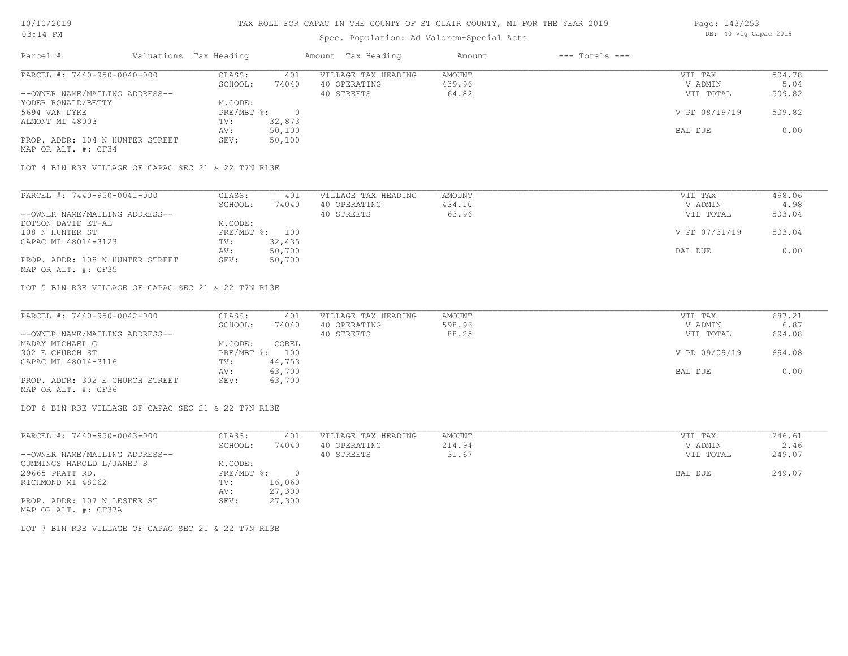### TAX ROLL FOR CAPAC IN THE COUNTY OF ST CLAIR COUNTY, MI FOR THE YEAR 2019

# Spec. Population: Ad Valorem+Special Acts

| Parcel #                        | Valuations Tax Heading |        | Amount Tax Heading  | Amount | $---$ Totals $---$ |               |        |
|---------------------------------|------------------------|--------|---------------------|--------|--------------------|---------------|--------|
| PARCEL #: 7440-950-0040-000     | CLASS:                 | 401    | VILLAGE TAX HEADING | AMOUNT |                    | VIL TAX       | 504.78 |
|                                 | SCHOOL:                | 74040  | 40 OPERATING        | 439.96 |                    | V ADMIN       | 5.04   |
| --OWNER NAME/MAILING ADDRESS--  |                        |        | 40 STREETS          | 64.82  |                    | VIL TOTAL     | 509.82 |
| YODER RONALD/BETTY              | M.CODE:                |        |                     |        |                    |               |        |
| 5694 VAN DYKE                   | $PRE/MBT$ %:           |        |                     |        |                    | V PD 08/19/19 | 509.82 |
| ALMONT MI 48003                 | TV:                    | 32,873 |                     |        |                    |               |        |
|                                 | AV:                    | 50,100 |                     |        |                    | BAL DUE       | 0.00   |
| PROP. ADDR: 104 N HUNTER STREET | SEV:                   | 50,100 |                     |        |                    |               |        |
|                                 |                        |        |                     |        |                    |               |        |

MAP OR ALT. #: CF34

LOT 4 B1N R3E VILLAGE OF CAPAC SEC 21 & 22 T7N R13E

| PARCEL #: 7440-950-0041-000     | CLASS:  | 401            | VILLAGE TAX HEADING | AMOUNT | VIL TAX       | 498.06 |
|---------------------------------|---------|----------------|---------------------|--------|---------------|--------|
|                                 | SCHOOL: | 74040          | 40 OPERATING        | 434.10 | V ADMIN       | 4.98   |
| --OWNER NAME/MAILING ADDRESS--  |         |                | 40 STREETS          | 63.96  | VIL TOTAL     | 503.04 |
| DOTSON DAVID ET-AL              | M.CODE: |                |                     |        |               |        |
| 108 N HUNTER ST                 |         | PRE/MBT %: 100 |                     |        | V PD 07/31/19 | 503.04 |
| CAPAC MI 48014-3123             | TV:     | 32,435         |                     |        |               |        |
|                                 | AV:     | 50,700         |                     |        | BAL DUE       | 0.00   |
| PROP. ADDR: 108 N HUNTER STREET | SEV:    | 50,700         |                     |        |               |        |
| MAP OR ALT. #: CF35             |         |                |                     |        |               |        |

LOT 5 B1N R3E VILLAGE OF CAPAC SEC 21 & 22 T7N R13E

| PARCEL #: 7440-950-0042-000     | CLASS:  | 401            | VILLAGE TAX HEADING | AMOUNT | VIL TAX       | 687.21 |
|---------------------------------|---------|----------------|---------------------|--------|---------------|--------|
|                                 | SCHOOL: | 74040          | 40 OPERATING        | 598.96 | V ADMIN       | 6.87   |
| --OWNER NAME/MAILING ADDRESS--  |         |                | 40 STREETS          | 88.25  | VIL TOTAL     | 694.08 |
| MADAY MICHAEL G                 | M.CODE: | COREL          |                     |        |               |        |
| 302 E CHURCH ST                 |         | PRE/MBT %: 100 |                     |        | V PD 09/09/19 | 694.08 |
| CAPAC MI 48014-3116             | TV:     | 44,753         |                     |        |               |        |
|                                 | AV:     | 63,700         |                     |        | BAL DUE       | 0.00   |
| PROP. ADDR: 302 E CHURCH STREET | SEV:    | 63,700         |                     |        |               |        |
| MAP OR ALT. #: CF36             |         |                |                     |        |               |        |

LOT 6 B1N R3E VILLAGE OF CAPAC SEC 21 & 22 T7N R13E

| PARCEL #: 7440-950-0043-000    | CLASS:     | 401    | VILLAGE TAX HEADING | AMOUNT | VIL TAX   | 246.61 |
|--------------------------------|------------|--------|---------------------|--------|-----------|--------|
|                                | SCHOOL:    | 74040  | 40 OPERATING        | 214.94 | V ADMIN   | 2.46   |
| --OWNER NAME/MAILING ADDRESS-- |            |        | 40 STREETS          | 31.67  | VIL TOTAL | 249.07 |
| CUMMINGS HAROLD L/JANET S      | M.CODE:    |        |                     |        |           |        |
| 29665 PRATT RD.                | PRE/MBT %: | $\cap$ |                     |        | BAL DUE   | 249.07 |
| RICHMOND MI 48062              | TV:        | 16,060 |                     |        |           |        |
|                                | AV:        | 27,300 |                     |        |           |        |
| PROP. ADDR: 107 N LESTER ST    | SEV:       | 27,300 |                     |        |           |        |
| MAP OR ALT. #: CF37A           |            |        |                     |        |           |        |

LOT 7 B1N R3E VILLAGE OF CAPAC SEC 21 & 22 T7N R13E

Page: 143/253 DB: 40 Vlg Capac 2019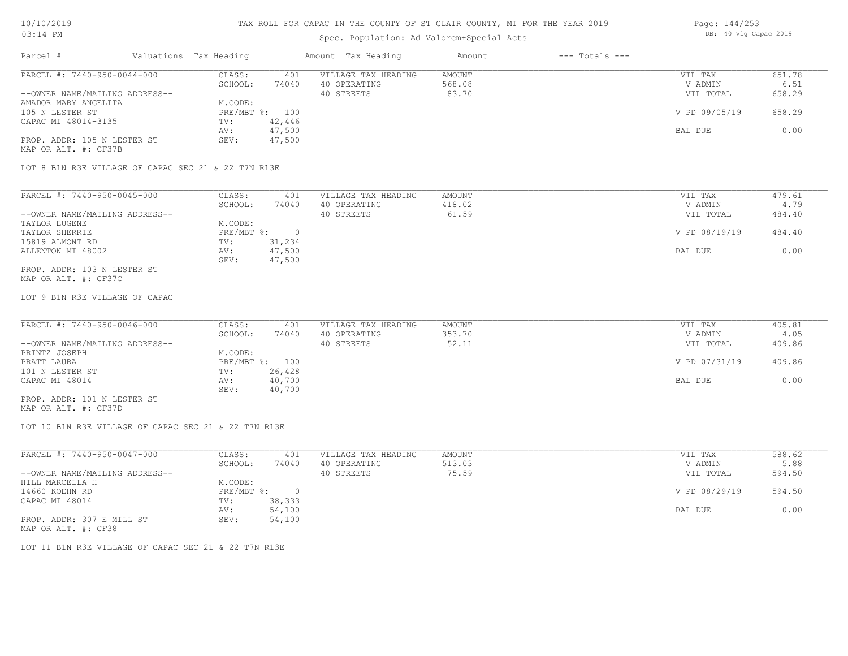#### TAX ROLL FOR CAPAC IN THE COUNTY OF ST CLAIR COUNTY, MI FOR THE YEAR 2019

# Spec. Population: Ad Valorem+Special Acts

| Parcel #                       | Valuations Tax Heading |        | Amount Tax Heading  | Amount | $---$ Totals $---$ |               |        |
|--------------------------------|------------------------|--------|---------------------|--------|--------------------|---------------|--------|
| PARCEL #: 7440-950-0044-000    | CLASS:                 | 401    | VILLAGE TAX HEADING | AMOUNT |                    | VIL TAX       | 651.78 |
|                                | SCHOOL:                | 74040  | 40 OPERATING        | 568.08 |                    | V ADMIN       | 6.51   |
| --OWNER NAME/MAILING ADDRESS-- |                        |        | 40 STREETS          | 83.70  |                    | VIL TOTAL     | 658.29 |
| AMADOR MARY ANGELITA           | M.CODE:                |        |                     |        |                    |               |        |
| 105 N LESTER ST                | PRE/MBT %: 100         |        |                     |        |                    | V PD 09/05/19 | 658.29 |
| CAPAC MI 48014-3135            | TV:                    | 42,446 |                     |        |                    |               |        |
|                                | AV:                    | 47,500 |                     |        |                    | BAL DUE       | 0.00   |
| PROP. ADDR: 105 N LESTER ST    | SEV:                   | 47,500 |                     |        |                    |               |        |

MAP OR ALT. #: CF37B

LOT 8 B1N R3E VILLAGE OF CAPAC SEC 21 & 22 T7N R13E

| PARCEL #: 7440-950-0045-000    | CLASS:     | 401    | VILLAGE TAX HEADING | AMOUNT | VIL TAX       | 479.61 |
|--------------------------------|------------|--------|---------------------|--------|---------------|--------|
|                                | SCHOOL:    | 74040  | 40 OPERATING        | 418.02 | V ADMIN       | 4.79   |
| --OWNER NAME/MAILING ADDRESS-- |            |        | 40 STREETS          | 61.59  | VIL TOTAL     | 484.40 |
| TAYLOR EUGENE                  | M.CODE:    |        |                     |        |               |        |
| TAYLOR SHERRIE                 | PRE/MBT %: |        |                     |        | V PD 08/19/19 | 484.40 |
| 15819 ALMONT RD                | TV:        | 31,234 |                     |        |               |        |
| ALLENTON MI 48002              | AV:        | 47,500 |                     |        | BAL DUE       | 0.00   |
|                                | SEV:       | 47,500 |                     |        |               |        |
| PROP. ADDR: 103 N LESTER ST    |            |        |                     |        |               |        |

MAP OR ALT. #: CF37C

LOT 9 B1N R3E VILLAGE OF CAPAC

| PARCEL #: 7440-950-0046-000    | CLASS:  | 401            | VILLAGE TAX HEADING | AMOUNT | VIL TAX       | 405.81 |
|--------------------------------|---------|----------------|---------------------|--------|---------------|--------|
|                                | SCHOOL: | 74040          | 40 OPERATING        | 353.70 | V ADMIN       | 4.05   |
| --OWNER NAME/MAILING ADDRESS-- |         |                | 40 STREETS          | 52.11  | VIL TOTAL     | 409.86 |
| PRINTZ JOSEPH                  | M.CODE: |                |                     |        |               |        |
| PRATT LAURA                    |         | PRE/MBT %: 100 |                     |        | V PD 07/31/19 | 409.86 |
| 101 N LESTER ST                | TV:     | 26,428         |                     |        |               |        |
| CAPAC MI 48014                 | AV:     | 40,700         |                     |        | BAL DUE       | 0.00   |
|                                | SEV:    | 40,700         |                     |        |               |        |
| PROP. ADDR: 101 N LESTER ST    |         |                |                     |        |               |        |

MAP OR ALT. #: CF37D

LOT 10 B1N R3E VILLAGE OF CAPAC SEC 21 & 22 T7N R13E

| PARCEL #: 7440-950-0047-000    | CLASS:     | 401    | VILLAGE TAX HEADING | AMOUNT | VIL TAX       | 588.62 |
|--------------------------------|------------|--------|---------------------|--------|---------------|--------|
|                                | SCHOOL:    | 74040  | 40 OPERATING        | 513.03 | V ADMIN       | 5.88   |
| --OWNER NAME/MAILING ADDRESS-- |            |        | 40 STREETS          | 75.59  | VIL TOTAL     | 594.50 |
| HILL MARCELLA H                | M.CODE:    |        |                     |        |               |        |
| 14660 KOEHN RD                 | PRE/MBT %: |        |                     |        | V PD 08/29/19 | 594.50 |
| CAPAC MI 48014                 | TV:        | 38,333 |                     |        |               |        |
|                                | AV:        | 54,100 |                     |        | BAL DUE       | 0.00   |
| PROP. ADDR: 307 E MILL ST      | SEV:       | 54,100 |                     |        |               |        |
|                                |            |        |                     |        |               |        |

MAP OR ALT. #: CF38

LOT 11 B1N R3E VILLAGE OF CAPAC SEC 21 & 22 T7N R13E

Page: 144/253 DB: 40 Vlg Capac 2019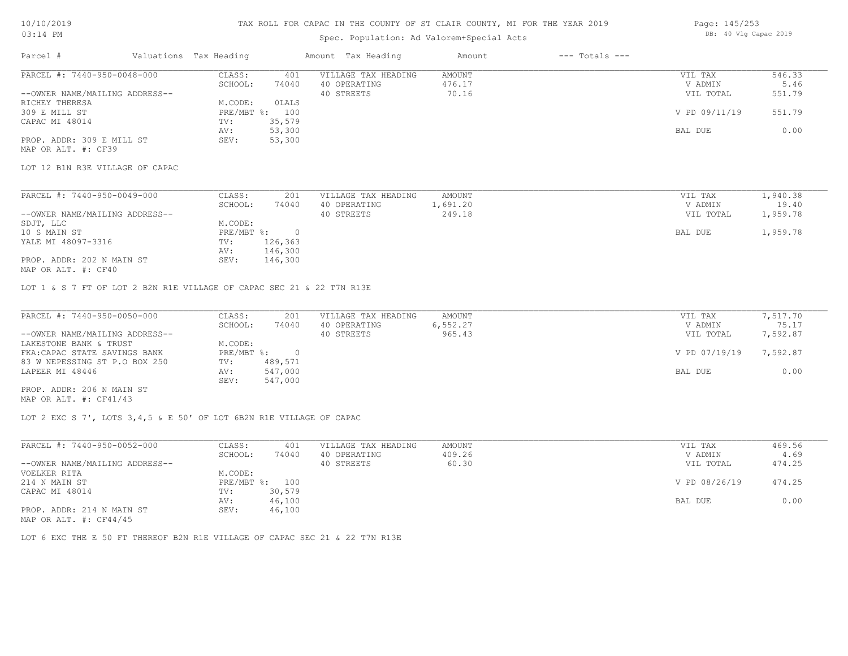### Spec. Population: Ad Valorem+Special Acts

| Page: 145/253 |  |                       |  |
|---------------|--|-----------------------|--|
|               |  | DB: 40 Vlg Capac 2019 |  |

| Parcel #                        | Valuations Tax Heading |        | Amount Tax Heading  | Amount | $---$ Totals $---$ |                  |                  |
|---------------------------------|------------------------|--------|---------------------|--------|--------------------|------------------|------------------|
| PARCEL #: 7440-950-0048-000     | CLASS:                 | 401    | VILLAGE TAX HEADING | AMOUNT |                    | VIL TAX          | 546.33           |
|                                 | SCHOOL:                | 74040  | 40 OPERATING        | 476.17 |                    | V ADMIN          | 5.46             |
| --OWNER NAME/MAILING ADDRESS--  |                        |        | 40 STREETS          | 70.16  |                    | VIL TOTAL        | 551.79           |
| RICHEY THERESA                  | M.CODE:                | OLALS  |                     |        |                    |                  |                  |
| 309 E MILL ST                   | PRE/MBT %:             | 100    |                     |        |                    | V PD 09/11/19    | 551.79           |
| CAPAC MI 48014                  | TV:                    | 35,579 |                     |        |                    |                  |                  |
|                                 | AV:                    | 53,300 |                     |        |                    | BAL DUE          | 0.00             |
| PROP. ADDR: 309 E MILL ST       | SEV:                   | 53,300 |                     |        |                    |                  |                  |
| MAP OR ALT. #: CF39             |                        |        |                     |        |                    |                  |                  |
| LOT 12 B1N R3E VILLAGE OF CAPAC |                        |        |                     |        |                    |                  |                  |
|                                 |                        |        |                     |        |                    |                  |                  |
| PARCEL #: 7440-950-0049-000     | CLASS:                 | 201    | VILLAGE TAX HEADING | AMOUNT |                    | VIL TAX          | 1,940.38         |
|                                 | COUOOT.                | 71010  | 10.00000000000      | 60120  |                    | <b>IZ ADMINI</b> | 10 <sub>10</sub> |

|                                | ------                    | ---     |              | ------  | --- ----  |          |
|--------------------------------|---------------------------|---------|--------------|---------|-----------|----------|
|                                | SCHOOL:                   | 74040   | 40 OPERATING | ,691.20 | V ADMIN   | 19.40    |
| --OWNER NAME/MAILING ADDRESS-- |                           |         | 40 STREETS   | 249.18  | VIL TOTAL | 1,959.78 |
| SDJT, LLC                      | M.CODE:                   |         |              |         |           |          |
| 10 S MAIN ST                   | $PRE/MBT$ $\frac{1}{6}$ : |         |              |         | BAL DUE   | 1,959.78 |
| YALE MI 48097-3316             | TV:                       | 126,363 |              |         |           |          |
|                                | AV:                       | 146,300 |              |         |           |          |
| PROP. ADDR: 202 N MAIN ST      | SEV:                      | 146,300 |              |         |           |          |
|                                |                           |         |              |         |           |          |

MAP OR ALT. #: CF40

LOT 1 & S 7 FT OF LOT 2 B2N R1E VILLAGE OF CAPAC SEC 21 & 22 T7N R13E

| PARCEL #: 7440-950-0050-000    | CLASS:       | 201     | VILLAGE TAX HEADING | AMOUNT   | VIL TAX       | 7,517.70 |
|--------------------------------|--------------|---------|---------------------|----------|---------------|----------|
|                                | SCHOOL:      | 74040   | 40 OPERATING        | 6,552.27 | V ADMIN       | 75.17    |
| --OWNER NAME/MAILING ADDRESS-- |              |         | 40 STREETS          | 965.43   | VIL TOTAL     | 7,592.87 |
| LAKESTONE BANK & TRUST         | M.CODE:      |         |                     |          |               |          |
| FKA: CAPAC STATE SAVINGS BANK  | $PRE/MBT$ %: |         |                     |          | V PD 07/19/19 | 7,592.87 |
| 83 W NEPESSING ST P.O BOX 250  | TV:          | 489,571 |                     |          |               |          |
| LAPEER MI 48446                | AV:          | 547,000 |                     |          | BAL DUE       | 0.00     |
|                                | SEV:         | 547,000 |                     |          |               |          |
| PROP. ADDR: 206 N MAIN ST      |              |         |                     |          |               |          |

MAP OR ALT. #: CF41/43

LOT 2 EXC S 7', LOTS 3,4,5 & E 50' OF LOT 6B2N R1E VILLAGE OF CAPAC

| PARCEL #: 7440-950-0052-000    | CLASS:  | 401            | VILLAGE TAX HEADING | AMOUNT | VIL TAX       | 469.56 |
|--------------------------------|---------|----------------|---------------------|--------|---------------|--------|
|                                | SCHOOL: | 74040          | 40 OPERATING        | 409.26 | V ADMIN       | 4.69   |
| --OWNER NAME/MAILING ADDRESS-- |         |                | 40 STREETS          | 60.30  | VIL TOTAL     | 474.25 |
| VOELKER RITA                   | M.CODE: |                |                     |        |               |        |
| 214 N MAIN ST                  |         | PRE/MBT %: 100 |                     |        | V PD 08/26/19 | 474.25 |
| CAPAC MI 48014                 | TV:     | 30,579         |                     |        |               |        |
|                                | AV:     | 46,100         |                     |        | BAL DUE       | 0.00   |
| PROP. ADDR: 214 N MAIN ST      | SEV:    | 46,100         |                     |        |               |        |
| MAP OR ALT. $\#$ : CF44/45     |         |                |                     |        |               |        |

LOT 6 EXC THE E 50 FT THEREOF B2N R1E VILLAGE OF CAPAC SEC 21 & 22 T7N R13E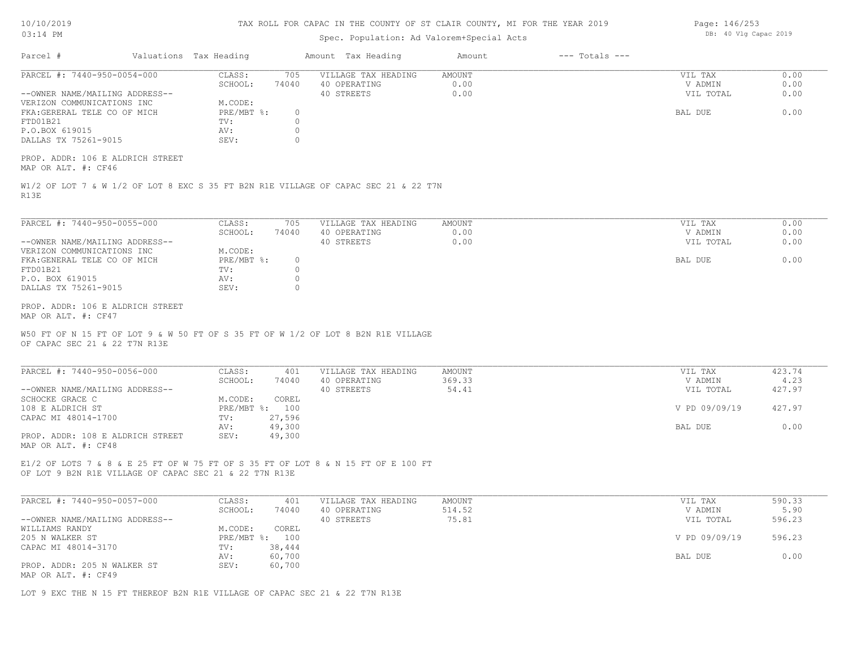| 10/10/2019  |  |
|-------------|--|
| $0.3:14$ PM |  |

## Spec. Population: Ad Valorem+Special Acts

| PARCEL #: 7440-950-0054-000<br>CLASS:<br>705<br>VILLAGE TAX HEADING<br>AMOUNT<br>VIL TAX<br>SCHOOL:<br>74040<br>0.00<br>V ADMIN<br>40 OPERATING<br>0.00<br>--OWNER NAME/MAILING ADDRESS--<br>40 STREETS<br>VIL TOTAL<br>VERIZON COMMUNICATIONS INC<br>M.CODE:<br>FKA:GERERAL TELE CO OF MICH<br>PRE/MBT $\textdegree$ :<br>$\circ$<br>BAL DUE<br>FTD01B21<br>TV:<br>$\Omega$<br>$\Omega$<br>P.O.BOX 619015<br>AV:<br>DALLAS TX 75261-9015<br>SEV:<br>$\circ$<br>PROP. ADDR: 106 E ALDRICH STREET<br>MAP OR ALT. #: CF46<br>W1/2 OF LOT 7 & W 1/2 OF LOT 8 EXC S 35 FT B2N R1E VILLAGE OF CAPAC SEC 21 & 22 T7N<br>R13E<br>PARCEL #: 7440-950-0055-000<br>CLASS:<br>705<br>VILLAGE TAX HEADING<br>AMOUNT<br>VIL TAX<br>0.00<br>SCHOOL:<br>74040<br>40 OPERATING<br>V ADMIN<br>0.00<br>--OWNER NAME/MAILING ADDRESS--<br>40 STREETS<br>VIL TOTAL<br>VERIZON COMMUNICATIONS INC<br>M.CODE:<br>FKA: GENERAL TELE CO OF MICH<br>$PRE/MBT$ $\div$<br>$\circ$<br>BAL DUE<br>FTD01B21<br>TV:<br>$\circ$<br>P.O. BOX 619015<br>$\circ$<br>AV:<br>DALLAS TX 75261-9015<br>SEV:<br>$\circ$<br>PROP. ADDR: 106 E ALDRICH STREET<br>MAP OR ALT. #: CF47<br>W50 FT OF N 15 FT OF LOT 9 & W 50 FT OF S 35 FT OF W 1/2 OF LOT 8 B2N R1E VILLAGE<br>OF CAPAC SEC 21 & 22 T7N R13E<br>PARCEL #: 7440-950-0056-000<br>401<br>CLASS:<br>VILLAGE TAX HEADING<br>AMOUNT<br>VIL TAX<br>SCHOOL:<br>74040<br>369.33<br>V ADMIN<br>40 OPERATING<br>--OWNER NAME/MAILING ADDRESS--<br>40 STREETS<br>54.41<br>VIL TOTAL<br>SCHOCKE GRACE C<br>M.CODE:<br>COREL<br>108 E ALDRICH ST<br>PRE/MBT %: 100<br>V PD 09/09/19<br>CAPAC MI 48014-1700<br>27,596<br>TV:<br>AV:<br>49,300<br>BAL DUE<br>PROP. ADDR: 108 E ALDRICH STREET<br>49,300<br>SEV:<br>MAP OR ALT. #: CF48<br>E1/2 OF LOTS 7 & 8 & E 25 FT OF W 75 FT OF S 35 FT OF LOT 8 & N 15 FT OF E 100 FT<br>OF LOT 9 B2N R1E VILLAGE OF CAPAC SEC 21 & 22 T7N R13E<br>PARCEL #: 7440-950-0057-000<br>CLASS:<br>401<br>VILLAGE TAX HEADING<br>AMOUNT<br>VIL TAX<br>514.52<br>SCHOOL:<br>74040<br>40 OPERATING<br>V ADMIN<br>75.81<br>40 STREETS<br>--OWNER NAME/MAILING ADDRESS--<br>VIL TOTAL<br>M.CODE:<br>COREL<br>WILLIAMS RANDY<br>205 N WALKER ST<br>PRE/MBT %: 100<br>V PD 09/09/19<br>CAPAC MI 48014-3170<br>TV:<br>38,444 | Valuations Tax Heading | Amount Tax Heading | $---$ Totals $---$<br>Amount |                      |
|----------------------------------------------------------------------------------------------------------------------------------------------------------------------------------------------------------------------------------------------------------------------------------------------------------------------------------------------------------------------------------------------------------------------------------------------------------------------------------------------------------------------------------------------------------------------------------------------------------------------------------------------------------------------------------------------------------------------------------------------------------------------------------------------------------------------------------------------------------------------------------------------------------------------------------------------------------------------------------------------------------------------------------------------------------------------------------------------------------------------------------------------------------------------------------------------------------------------------------------------------------------------------------------------------------------------------------------------------------------------------------------------------------------------------------------------------------------------------------------------------------------------------------------------------------------------------------------------------------------------------------------------------------------------------------------------------------------------------------------------------------------------------------------------------------------------------------------------------------------------------------------------------------------------------------------------------------------------------------------------------------------------------------------------------------------------------------------------------------------------------------------------------------------------------------------------------------------------------------------------------------|------------------------|--------------------|------------------------------|----------------------|
|                                                                                                                                                                                                                                                                                                                                                                                                                                                                                                                                                                                                                                                                                                                                                                                                                                                                                                                                                                                                                                                                                                                                                                                                                                                                                                                                                                                                                                                                                                                                                                                                                                                                                                                                                                                                                                                                                                                                                                                                                                                                                                                                                                                                                                                          |                        |                    |                              | 0.00<br>0.00<br>0.00 |
|                                                                                                                                                                                                                                                                                                                                                                                                                                                                                                                                                                                                                                                                                                                                                                                                                                                                                                                                                                                                                                                                                                                                                                                                                                                                                                                                                                                                                                                                                                                                                                                                                                                                                                                                                                                                                                                                                                                                                                                                                                                                                                                                                                                                                                                          |                        |                    |                              | 0.00                 |
|                                                                                                                                                                                                                                                                                                                                                                                                                                                                                                                                                                                                                                                                                                                                                                                                                                                                                                                                                                                                                                                                                                                                                                                                                                                                                                                                                                                                                                                                                                                                                                                                                                                                                                                                                                                                                                                                                                                                                                                                                                                                                                                                                                                                                                                          |                        |                    |                              |                      |
|                                                                                                                                                                                                                                                                                                                                                                                                                                                                                                                                                                                                                                                                                                                                                                                                                                                                                                                                                                                                                                                                                                                                                                                                                                                                                                                                                                                                                                                                                                                                                                                                                                                                                                                                                                                                                                                                                                                                                                                                                                                                                                                                                                                                                                                          |                        |                    |                              |                      |
|                                                                                                                                                                                                                                                                                                                                                                                                                                                                                                                                                                                                                                                                                                                                                                                                                                                                                                                                                                                                                                                                                                                                                                                                                                                                                                                                                                                                                                                                                                                                                                                                                                                                                                                                                                                                                                                                                                                                                                                                                                                                                                                                                                                                                                                          |                        |                    |                              | 0.00                 |
|                                                                                                                                                                                                                                                                                                                                                                                                                                                                                                                                                                                                                                                                                                                                                                                                                                                                                                                                                                                                                                                                                                                                                                                                                                                                                                                                                                                                                                                                                                                                                                                                                                                                                                                                                                                                                                                                                                                                                                                                                                                                                                                                                                                                                                                          |                        |                    |                              | 0.00                 |
|                                                                                                                                                                                                                                                                                                                                                                                                                                                                                                                                                                                                                                                                                                                                                                                                                                                                                                                                                                                                                                                                                                                                                                                                                                                                                                                                                                                                                                                                                                                                                                                                                                                                                                                                                                                                                                                                                                                                                                                                                                                                                                                                                                                                                                                          |                        |                    |                              | 0.00                 |
|                                                                                                                                                                                                                                                                                                                                                                                                                                                                                                                                                                                                                                                                                                                                                                                                                                                                                                                                                                                                                                                                                                                                                                                                                                                                                                                                                                                                                                                                                                                                                                                                                                                                                                                                                                                                                                                                                                                                                                                                                                                                                                                                                                                                                                                          |                        |                    |                              | 0.00                 |
|                                                                                                                                                                                                                                                                                                                                                                                                                                                                                                                                                                                                                                                                                                                                                                                                                                                                                                                                                                                                                                                                                                                                                                                                                                                                                                                                                                                                                                                                                                                                                                                                                                                                                                                                                                                                                                                                                                                                                                                                                                                                                                                                                                                                                                                          |                        |                    |                              |                      |
|                                                                                                                                                                                                                                                                                                                                                                                                                                                                                                                                                                                                                                                                                                                                                                                                                                                                                                                                                                                                                                                                                                                                                                                                                                                                                                                                                                                                                                                                                                                                                                                                                                                                                                                                                                                                                                                                                                                                                                                                                                                                                                                                                                                                                                                          |                        |                    |                              |                      |
|                                                                                                                                                                                                                                                                                                                                                                                                                                                                                                                                                                                                                                                                                                                                                                                                                                                                                                                                                                                                                                                                                                                                                                                                                                                                                                                                                                                                                                                                                                                                                                                                                                                                                                                                                                                                                                                                                                                                                                                                                                                                                                                                                                                                                                                          |                        |                    |                              | 423.74<br>4.23       |
|                                                                                                                                                                                                                                                                                                                                                                                                                                                                                                                                                                                                                                                                                                                                                                                                                                                                                                                                                                                                                                                                                                                                                                                                                                                                                                                                                                                                                                                                                                                                                                                                                                                                                                                                                                                                                                                                                                                                                                                                                                                                                                                                                                                                                                                          |                        |                    |                              | 427.97               |
|                                                                                                                                                                                                                                                                                                                                                                                                                                                                                                                                                                                                                                                                                                                                                                                                                                                                                                                                                                                                                                                                                                                                                                                                                                                                                                                                                                                                                                                                                                                                                                                                                                                                                                                                                                                                                                                                                                                                                                                                                                                                                                                                                                                                                                                          |                        |                    |                              | 427.97               |
|                                                                                                                                                                                                                                                                                                                                                                                                                                                                                                                                                                                                                                                                                                                                                                                                                                                                                                                                                                                                                                                                                                                                                                                                                                                                                                                                                                                                                                                                                                                                                                                                                                                                                                                                                                                                                                                                                                                                                                                                                                                                                                                                                                                                                                                          |                        |                    |                              |                      |
|                                                                                                                                                                                                                                                                                                                                                                                                                                                                                                                                                                                                                                                                                                                                                                                                                                                                                                                                                                                                                                                                                                                                                                                                                                                                                                                                                                                                                                                                                                                                                                                                                                                                                                                                                                                                                                                                                                                                                                                                                                                                                                                                                                                                                                                          |                        |                    |                              | 0.00                 |
|                                                                                                                                                                                                                                                                                                                                                                                                                                                                                                                                                                                                                                                                                                                                                                                                                                                                                                                                                                                                                                                                                                                                                                                                                                                                                                                                                                                                                                                                                                                                                                                                                                                                                                                                                                                                                                                                                                                                                                                                                                                                                                                                                                                                                                                          |                        |                    |                              |                      |
|                                                                                                                                                                                                                                                                                                                                                                                                                                                                                                                                                                                                                                                                                                                                                                                                                                                                                                                                                                                                                                                                                                                                                                                                                                                                                                                                                                                                                                                                                                                                                                                                                                                                                                                                                                                                                                                                                                                                                                                                                                                                                                                                                                                                                                                          |                        |                    |                              | 590.33               |
|                                                                                                                                                                                                                                                                                                                                                                                                                                                                                                                                                                                                                                                                                                                                                                                                                                                                                                                                                                                                                                                                                                                                                                                                                                                                                                                                                                                                                                                                                                                                                                                                                                                                                                                                                                                                                                                                                                                                                                                                                                                                                                                                                                                                                                                          |                        |                    |                              | 5.90<br>596.23       |
|                                                                                                                                                                                                                                                                                                                                                                                                                                                                                                                                                                                                                                                                                                                                                                                                                                                                                                                                                                                                                                                                                                                                                                                                                                                                                                                                                                                                                                                                                                                                                                                                                                                                                                                                                                                                                                                                                                                                                                                                                                                                                                                                                                                                                                                          |                        |                    |                              | 596.23               |
| 60,700<br>AV:<br>BAL DUE<br>PROP. ADDR: 205 N WALKER ST<br>SEV:<br>60,700<br>MAP OR ALT. #: CF49                                                                                                                                                                                                                                                                                                                                                                                                                                                                                                                                                                                                                                                                                                                                                                                                                                                                                                                                                                                                                                                                                                                                                                                                                                                                                                                                                                                                                                                                                                                                                                                                                                                                                                                                                                                                                                                                                                                                                                                                                                                                                                                                                         |                        |                    |                              | 0.00                 |

LOT 9 EXC THE N 15 FT THEREOF B2N R1E VILLAGE OF CAPAC SEC 21 & 22 T7N R13E

Page: 146/253 DB: 40 Vlg Capac 2019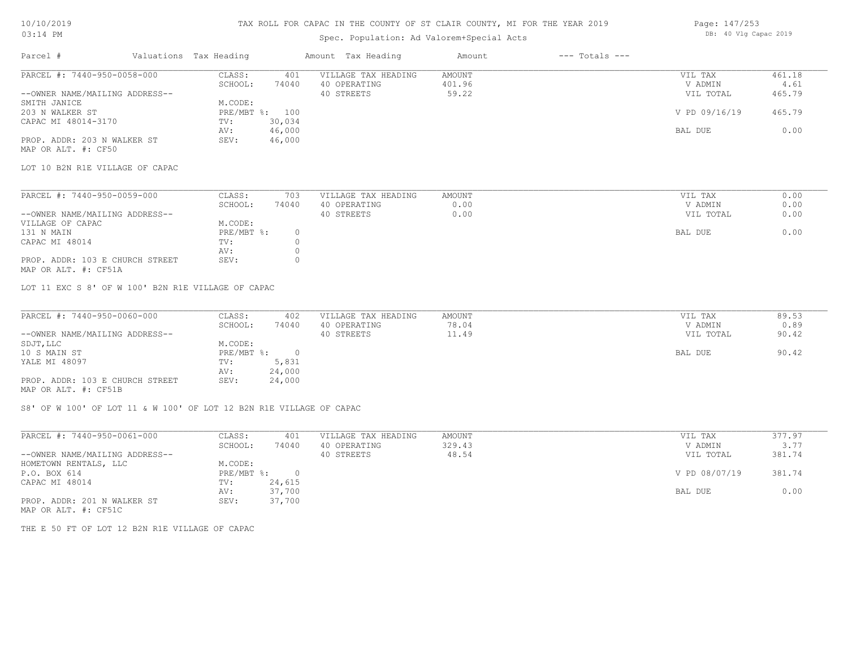## TAX ROLL FOR CAPAC IN THE COUNTY OF ST CLAIR COUNTY, MI FOR THE YEAR 2019

## Spec. Population: Ad Valorem+Special Acts

| Parcel #                       | Valuations Tax Heading |        | Amount Tax Heading  | Amount | $---$ Totals $---$ |               |        |
|--------------------------------|------------------------|--------|---------------------|--------|--------------------|---------------|--------|
| PARCEL #: 7440-950-0058-000    | CLASS:                 | 401    | VILLAGE TAX HEADING | AMOUNT |                    | VIL TAX       | 461.18 |
|                                | SCHOOL:                | 74040  | 40 OPERATING        | 401.96 |                    | V ADMIN       | 4.61   |
| --OWNER NAME/MAILING ADDRESS-- |                        |        | 40 STREETS          | 59.22  |                    | VIL TOTAL     | 465.79 |
| SMITH JANICE                   | M.CODE:                |        |                     |        |                    |               |        |
| 203 N WALKER ST                | PRE/MBT %: 100         |        |                     |        |                    | V PD 09/16/19 | 465.79 |
| CAPAC MI 48014-3170            | TV:                    | 30,034 |                     |        |                    |               |        |
|                                | AV:                    | 46,000 |                     |        |                    | BAL DUE       | 0.00   |
| PROP. ADDR: 203 N WALKER ST    | SEV:                   | 46,000 |                     |        |                    |               |        |
|                                |                        |        |                     |        |                    |               |        |

MAP OR ALT. #: CF50

LOT 10 B2N R1E VILLAGE OF CAPAC

| PARCEL #: 7440-950-0059-000                                                                                     | CLASS:     | 703   | VILLAGE TAX HEADING | AMOUNT | VIL TAX   | 0.00 |
|-----------------------------------------------------------------------------------------------------------------|------------|-------|---------------------|--------|-----------|------|
|                                                                                                                 | SCHOOL:    | 74040 | 40 OPERATING        | 0.00   | V ADMIN   | 0.00 |
| --OWNER NAME/MAILING ADDRESS--                                                                                  |            |       | 40 STREETS          | 0.00   | VIL TOTAL | 0.00 |
| VILLAGE OF CAPAC                                                                                                | M.CODE:    |       |                     |        |           |      |
| 131 N MAIN                                                                                                      | PRE/MBT %: |       |                     |        | BAL DUE   | 0.00 |
| CAPAC MI 48014                                                                                                  | TV:        |       |                     |        |           |      |
|                                                                                                                 | AV:        |       |                     |        |           |      |
| PROP. ADDR: 103 E CHURCH STREET                                                                                 | SEV:       |       |                     |        |           |      |
| the contract of the contract of the contract of the contract of the contract of the contract of the contract of |            |       |                     |        |           |      |

MAP OR ALT. #: CF51A

LOT 11 EXC S 8' OF W 100' B2N R1E VILLAGE OF CAPAC

| PARCEL #: 7440-950-0060-000     | CLASS:     | 402    | VILLAGE TAX HEADING | AMOUNT | VIL TAX   | 89.53 |
|---------------------------------|------------|--------|---------------------|--------|-----------|-------|
|                                 | SCHOOL:    | 74040  | 40 OPERATING        | 78.04  | V ADMIN   | 0.89  |
| --OWNER NAME/MAILING ADDRESS--  |            |        | 40 STREETS          | 11.49  | VIL TOTAL | 90.42 |
| SDJT, LLC                       | M.CODE:    |        |                     |        |           |       |
| 10 S MAIN ST                    | PRE/MBT %: |        |                     |        | BAL DUE   | 90.42 |
| YALE MI 48097                   | TV:        | 5,831  |                     |        |           |       |
|                                 | AV:        | 24,000 |                     |        |           |       |
| PROP. ADDR: 103 E CHURCH STREET | SEV:       | 24,000 |                     |        |           |       |
| MAP OR ALT. #: CF51B            |            |        |                     |        |           |       |

S8' OF W 100' OF LOT 11 & W 100' OF LOT 12 B2N R1E VILLAGE OF CAPAC

| PARCEL #: 7440-950-0061-000                                                 | CLASS:     | 401    | VILLAGE TAX HEADING | AMOUNT | VIL TAX       | 377.97 |  |
|-----------------------------------------------------------------------------|------------|--------|---------------------|--------|---------------|--------|--|
|                                                                             | SCHOOL:    | 74040  | 40 OPERATING        | 329.43 | V ADMIN       | 3.77   |  |
| --OWNER NAME/MAILING ADDRESS--                                              |            |        | 40 STREETS          | 48.54  | VIL TOTAL     | 381.74 |  |
| HOMETOWN RENTALS, LLC                                                       | M.CODE:    |        |                     |        |               |        |  |
| P.O. BOX 614                                                                | PRE/MBT %: | $\cap$ |                     |        | V PD 08/07/19 | 381.74 |  |
| CAPAC MI 48014                                                              | TV:        | 24,615 |                     |        |               |        |  |
|                                                                             | AV:        | 37,700 |                     |        | BAL DUE       | 0.00   |  |
| PROP. ADDR: 201 N WALKER ST<br>$\cdots$ $\cdots$ $\cdots$ $\cdots$ $\cdots$ | SEV:       | 37,700 |                     |        |               |        |  |

MAP OR ALT. #: CF51C

THE E 50 FT OF LOT 12 B2N R1E VILLAGE OF CAPAC

Page: 147/253 DB: 40 Vlg Capac 2019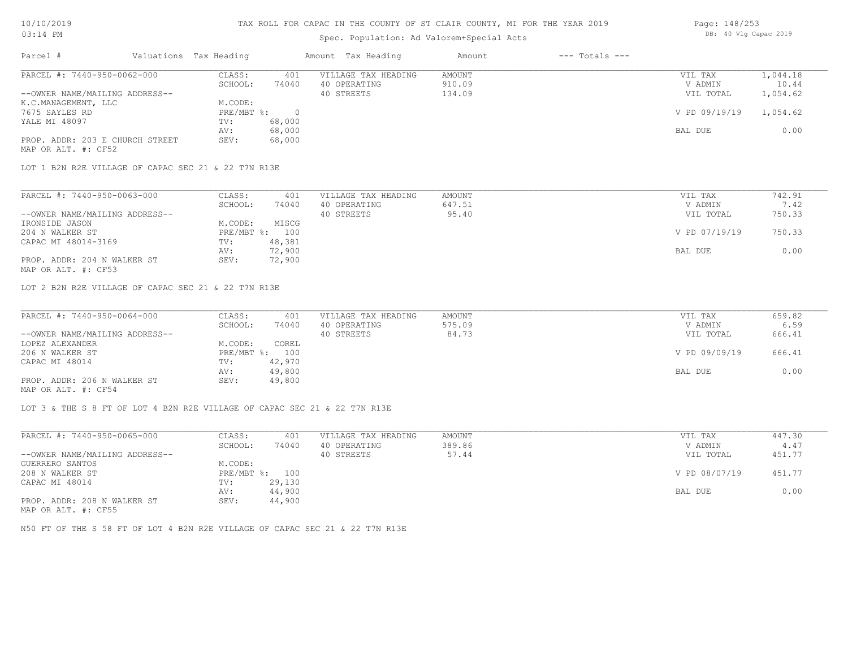### Spec. Population: Ad Valorem+Special Acts

| Page: 148/253 |  |                       |  |
|---------------|--|-----------------------|--|
|               |  | DB: 40 Vlg Capac 2019 |  |

| Parcel #                        | Valuations Tax Heading |        | Amount Tax Heading  | Amount | $---$ Totals $---$ |               |          |
|---------------------------------|------------------------|--------|---------------------|--------|--------------------|---------------|----------|
| PARCEL #: 7440-950-0062-000     | CLASS:                 | 401    | VILLAGE TAX HEADING | AMOUNT |                    | VIL TAX       | 1,044.18 |
|                                 | SCHOOL:                | 74040  | 40 OPERATING        | 910.09 |                    | V ADMIN       | 10.44    |
| --OWNER NAME/MAILING ADDRESS--  |                        |        | 40 STREETS          | 134.09 |                    | VIL TOTAL     | 1,054.62 |
| K.C.MANAGEMENT, LLC             | M.CODE:                |        |                     |        |                    |               |          |
| 7675 SAYLES RD                  | PRE/MBT %:             |        |                     |        |                    | V PD 09/19/19 | 1,054.62 |
| YALE MI 48097                   | TV:                    | 68,000 |                     |        |                    |               |          |
|                                 | AV:                    | 68,000 |                     |        |                    | BAL DUE       | 0.00     |
| PROP. ADDR: 203 E CHURCH STREET | SEV:                   | 68,000 |                     |        |                    |               |          |
| MAP OR ALT. #: CF52             |                        |        |                     |        |                    |               |          |

LOT 1 B2N R2E VILLAGE OF CAPAC SEC 21 & 22 T7N R13E

| PARCEL #: 7440-950-0063-000    | CLASS:  | 401            | VILLAGE TAX HEADING | AMOUNT | VIL TAX       | 742.91 |
|--------------------------------|---------|----------------|---------------------|--------|---------------|--------|
|                                | SCHOOL: | 74040          | 40 OPERATING        | 647.51 | V ADMIN       | 7.42   |
| --OWNER NAME/MAILING ADDRESS-- |         |                | 40 STREETS          | 95.40  | VIL TOTAL     | 750.33 |
| IRONSIDE JASON                 | M.CODE: | MISCG          |                     |        |               |        |
| 204 N WALKER ST                |         | PRE/MBT %: 100 |                     |        | V PD 07/19/19 | 750.33 |
| CAPAC MI 48014-3169            | TV:     | 48,381         |                     |        |               |        |
|                                | AV:     | 72,900         |                     |        | BAL DUE       | 0.00   |
| PROP. ADDR: 204 N WALKER ST    | SEV:    | 72,900         |                     |        |               |        |
| MAP OR ALT. #: CF53            |         |                |                     |        |               |        |

LOT 2 B2N R2E VILLAGE OF CAPAC SEC 21 & 22 T7N R13E

| PARCEL #: 7440-950-0064-000    | CLASS:  | 401            | VILLAGE TAX HEADING | AMOUNT | VIL TAX       | 659.82 |
|--------------------------------|---------|----------------|---------------------|--------|---------------|--------|
|                                | SCHOOL: | 74040          | 40 OPERATING        | 575.09 | V ADMIN       | 6.59   |
| --OWNER NAME/MAILING ADDRESS-- |         |                | 40 STREETS          | 84.73  | VIL TOTAL     | 666.41 |
| LOPEZ ALEXANDER                | M.CODE: | COREL          |                     |        |               |        |
| 206 N WALKER ST                |         | PRE/MBT %: 100 |                     |        | V PD 09/09/19 | 666.41 |
| CAPAC MI 48014                 | TV:     | 42,970         |                     |        |               |        |
|                                | AV:     | 49,800         |                     |        | BAL DUE       | 0.00   |
| PROP. ADDR: 206 N WALKER ST    | SEV:    | 49,800         |                     |        |               |        |
|                                |         |                |                     |        |               |        |

MAP OR ALT. #: CF54

LOT 3 & THE S 8 FT OF LOT 4 B2N R2E VILLAGE OF CAPAC SEC 21 & 22 T7N R13E

| PARCEL #: 7440-950-0065-000    | CLASS:         | 401    | VILLAGE TAX HEADING | AMOUNT | VIL TAX       | 447.30 |
|--------------------------------|----------------|--------|---------------------|--------|---------------|--------|
|                                | SCHOOL:        | 74040  | 40 OPERATING        | 389.86 | V ADMIN       | 4.47   |
| --OWNER NAME/MAILING ADDRESS-- |                |        | 40 STREETS          | 57.44  | VIL TOTAL     | 451.77 |
| GUERRERO SANTOS                | M.CODE:        |        |                     |        |               |        |
| 208 N WALKER ST                | PRE/MBT %: 100 |        |                     |        | V PD 08/07/19 | 451.77 |
| CAPAC MI 48014                 | TV:            | 29,130 |                     |        |               |        |
|                                | AV:            | 44,900 |                     |        | BAL DUE       | 0.00   |
| PROP. ADDR: 208 N WALKER ST    | SEV:           | 44,900 |                     |        |               |        |
| $\frac{1}{2}$                  |                |        |                     |        |               |        |

MAP OR ALT. #: CF55

N50 FT OF THE S 58 FT OF LOT 4 B2N R2E VILLAGE OF CAPAC SEC 21 & 22 T7N R13E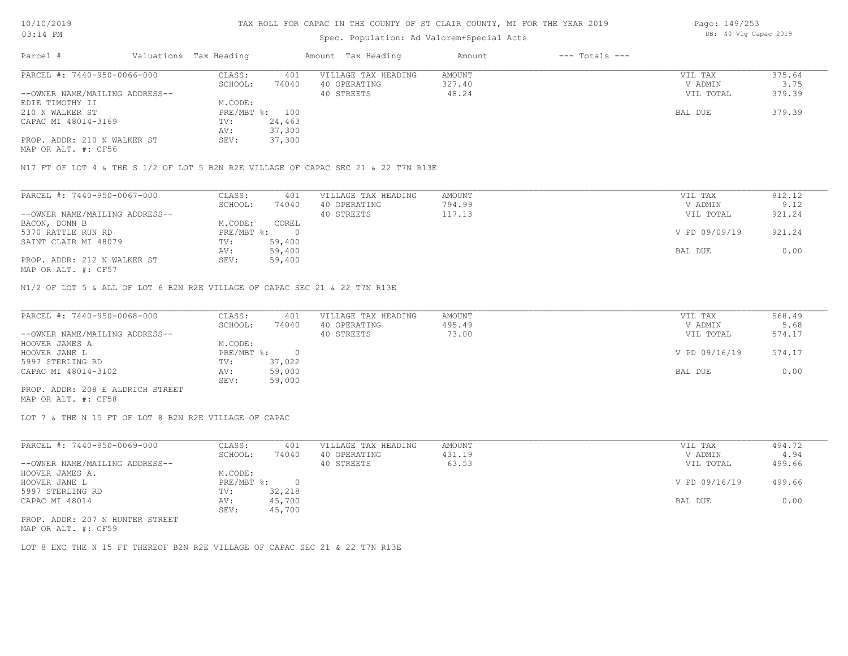#### Spec. Population: Ad Valorem+Special Acts

| Parcel #                       | Valuations Tax Heading |                | Amount Tax Heading  | Amount | $---$ Totals $---$ |           |        |
|--------------------------------|------------------------|----------------|---------------------|--------|--------------------|-----------|--------|
| PARCEL #: 7440-950-0066-000    | CLASS:                 | 401            | VILLAGE TAX HEADING | AMOUNT |                    | VIL TAX   | 375.64 |
|                                | SCHOOL:                | 74040          | 40 OPERATING        | 327.40 |                    | V ADMIN   | 3.75   |
| --OWNER NAME/MAILING ADDRESS-- |                        |                | 40 STREETS          | 48.24  |                    | VIL TOTAL | 379.39 |
| EDIE TIMOTHY II                | M.CODE:                |                |                     |        |                    |           |        |
| 210 N WALKER ST                |                        | PRE/MBT %: 100 |                     |        |                    | BAL DUE   | 379.39 |
| CAPAC MI 48014-3169            | TV:                    | 24,463         |                     |        |                    |           |        |
|                                | AV:                    | 37,300         |                     |        |                    |           |        |
| PROP. ADDR: 210 N WALKER ST    | SEV:                   | 37,300         |                     |        |                    |           |        |
|                                |                        |                |                     |        |                    |           |        |

MAP OR ALT. #: CF56

N17 FT OF LOT 4 & THE S 1/2 OF LOT 5 B2N R2E VILLAGE OF CAPAC SEC 21 & 22 T7N R13E

| PARCEL #: 7440-950-0067-000    | CLASS:     | 401    | VILLAGE TAX HEADING | AMOUNT | VIL TAX       | 912.12 |
|--------------------------------|------------|--------|---------------------|--------|---------------|--------|
|                                | SCHOOL:    | 74040  | 40 OPERATING        | 794.99 | V ADMIN       | 9.12   |
| --OWNER NAME/MAILING ADDRESS-- |            |        | 40 STREETS          | 117.13 | VIL TOTAL     | 921.24 |
| BACON, DONN B                  | M.CODE:    | COREL  |                     |        |               |        |
| 5370 RATTLE RUN RD             | PRE/MBT %: |        |                     |        | V PD 09/09/19 | 921.24 |
| SAINT CLAIR MI 48079           | TV:        | 59,400 |                     |        |               |        |
|                                | AV:        | 59,400 |                     |        | BAL DUE       | 0.00   |
| PROP. ADDR: 212 N WALKER ST    | SEV:       | 59,400 |                     |        |               |        |
| MAP OR ALT. #: CF57            |            |        |                     |        |               |        |

N1/2 OF LOT 5 & ALL OF LOT 6 B2N R2E VILLAGE OF CAPAC SEC 21 & 22 T7N R13E

| PARCEL #: 7440-950-0068-000      | CLASS:     | 401    | VILLAGE TAX HEADING | AMOUNT | VIL TAX       | 568.49 |
|----------------------------------|------------|--------|---------------------|--------|---------------|--------|
|                                  | SCHOOL:    | 74040  | 40 OPERATING        | 495.49 | V ADMIN       | 5.68   |
| --OWNER NAME/MAILING ADDRESS--   |            |        | 40 STREETS          | 73.00  | VIL TOTAL     | 574.17 |
| HOOVER JAMES A                   | M.CODE:    |        |                     |        |               |        |
| HOOVER JANE L                    | PRE/MBT %: |        |                     |        | V PD 09/16/19 | 574.17 |
| 5997 STERLING RD                 | TV:        | 37,022 |                     |        |               |        |
| CAPAC MI 48014-3102              | AV:        | 59,000 |                     |        | BAL DUE       | 0.00   |
|                                  | SEV:       | 59,000 |                     |        |               |        |
| PROP. ADDR: 208 E ALDRICH STREET |            |        |                     |        |               |        |

MAP OR ALT. #: CF58

LOT 7 & THE N 15 FT OF LOT 8 B2N R2E VILLAGE OF CAPAC

| PARCEL #: 7440-950-0069-000     | CLASS:       | 401    | VILLAGE TAX HEADING | AMOUNT | VIL TAX       | 494.72 |
|---------------------------------|--------------|--------|---------------------|--------|---------------|--------|
|                                 | SCHOOL:      | 74040  | 40 OPERATING        | 431.19 | V ADMIN       | 4.94   |
| --OWNER NAME/MAILING ADDRESS--  |              |        | 40 STREETS          | 63.53  | VIL TOTAL     | 499.66 |
| HOOVER JAMES A.                 | M.CODE:      |        |                     |        |               |        |
| HOOVER JANE L                   | $PRE/MBT$ %: |        |                     |        | V PD 09/16/19 | 499.66 |
| 5997 STERLING RD                | TV:          | 32,218 |                     |        |               |        |
| CAPAC MI 48014                  | AV:          | 45,700 |                     |        | BAL DUE       | 0.00   |
|                                 | SEV:         | 45,700 |                     |        |               |        |
| PROP. ADDR: 207 N HUNTER STREET |              |        |                     |        |               |        |

MAP OR ALT. #: CF59

LOT 8 EXC THE N 15 FT THEREOF B2N R2E VILLAGE OF CAPAC SEC 21 & 22 T7N R13E

Page: 149/253 DB: 40 Vlg Capac 2019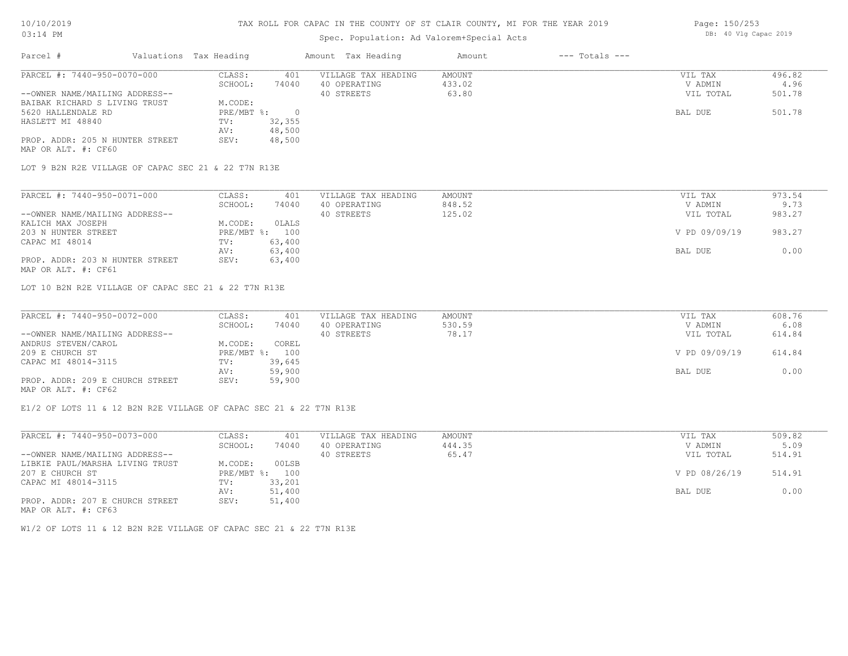#### TAX ROLL FOR CAPAC IN THE COUNTY OF ST CLAIR COUNTY, MI FOR THE YEAR 2019

### Spec. Population: Ad Valorem+Special Acts

| Page: 150/253 |  |                       |  |
|---------------|--|-----------------------|--|
|               |  | DB: 40 Vlg Capac 2019 |  |

| Parcel #                        | Valuations Tax Heading |        | Amount Tax Heading  | Amount | $---$ Totals $---$ |           |        |
|---------------------------------|------------------------|--------|---------------------|--------|--------------------|-----------|--------|
| PARCEL #: 7440-950-0070-000     | CLASS:                 | 401    | VILLAGE TAX HEADING | AMOUNT |                    | VIL TAX   | 496.82 |
|                                 | SCHOOL:                | 74040  | 40 OPERATING        | 433.02 |                    | V ADMIN   | 4.96   |
| --OWNER NAME/MAILING ADDRESS--  |                        |        | 40 STREETS          | 63.80  |                    | VIL TOTAL | 501.78 |
| BAIBAK RICHARD S LIVING TRUST   | M.CODE:                |        |                     |        |                    |           |        |
| 5620 HALLENDALE RD              | PRE/MBT %:             |        |                     |        |                    | BAL DUE   | 501.78 |
| HASLETT MI 48840                | TV:                    | 32,355 |                     |        |                    |           |        |
|                                 | AV:                    | 48,500 |                     |        |                    |           |        |
| PROP. ADDR: 205 N HUNTER STREET | SEV:                   | 48,500 |                     |        |                    |           |        |
| MAP OR ALT. #: CF60             |                        |        |                     |        |                    |           |        |

LOT 9 B2N R2E VILLAGE OF CAPAC SEC 21 & 22 T7N R13E

| PARCEL #: 7440-950-0071-000     | CLASS:  | 401            | VILLAGE TAX HEADING | AMOUNT | VIL TAX       | 973.54 |
|---------------------------------|---------|----------------|---------------------|--------|---------------|--------|
|                                 | SCHOOL: | 74040          | 40 OPERATING        | 848.52 | V ADMIN       | 9.73   |
| --OWNER NAME/MAILING ADDRESS--  |         |                | 40 STREETS          | 125.02 | VIL TOTAL     | 983.27 |
| KALICH MAX JOSEPH               | M.CODE: | OLALS          |                     |        |               |        |
| 203 N HUNTER STREET             |         | PRE/MBT %: 100 |                     |        | V PD 09/09/19 | 983.27 |
| CAPAC MI 48014                  | TV:     | 63,400         |                     |        |               |        |
|                                 | AV:     | 63,400         |                     |        | BAL DUE       | 0.00   |
| PROP. ADDR: 203 N HUNTER STREET | SEV:    | 63,400         |                     |        |               |        |
| MAP OR ALT. #: CF61             |         |                |                     |        |               |        |

LOT 10 B2N R2E VILLAGE OF CAPAC SEC 21 & 22 T7N R13E

| PARCEL #: 7440-950-0072-000     | CLASS:  | 401            | VILLAGE TAX HEADING | AMOUNT | VIL TAX       | 608.76 |
|---------------------------------|---------|----------------|---------------------|--------|---------------|--------|
|                                 | SCHOOL: | 74040          | 40 OPERATING        | 530.59 | V ADMIN       | 6.08   |
| --OWNER NAME/MAILING ADDRESS--  |         |                | 40 STREETS          | 78.17  | VIL TOTAL     | 614.84 |
| ANDRUS STEVEN/CAROL             | M.CODE: | COREL          |                     |        |               |        |
| 209 E CHURCH ST                 |         | PRE/MBT %: 100 |                     |        | V PD 09/09/19 | 614.84 |
| CAPAC MI 48014-3115             | TV:     | 39,645         |                     |        |               |        |
|                                 | AV:     | 59,900         |                     |        | BAL DUE       | 0.00   |
| PROP. ADDR: 209 E CHURCH STREET | SEV:    | 59,900         |                     |        |               |        |
| MAP OR ALT. #: CF62             |         |                |                     |        |               |        |

E1/2 OF LOTS 11 & 12 B2N R2E VILLAGE OF CAPAC SEC 21 & 22 T7N R13E

| PARCEL #: 7440-950-0073-000     | CLASS:       | 401    | VILLAGE TAX HEADING | AMOUNT | VIL TAX       | 509.82 |
|---------------------------------|--------------|--------|---------------------|--------|---------------|--------|
|                                 | SCHOOL:      | 74040  | 40 OPERATING        | 444.35 | V ADMIN       | 5.09   |
| --OWNER NAME/MAILING ADDRESS--  |              |        | 40 STREETS          | 65.47  | VIL TOTAL     | 514.91 |
| LIBKIE PAUL/MARSHA LIVING TRUST | M.CODE:      | 00LSB  |                     |        |               |        |
| 207 E CHURCH ST                 | $PRE/MBT$ %: | 100    |                     |        | V PD 08/26/19 | 514.91 |
| CAPAC MI 48014-3115             | TV:          | 33,201 |                     |        |               |        |
|                                 | AV:          | 51,400 |                     |        | BAL DUE       | 0.00   |
| PROP. ADDR: 207 E CHURCH STREET | SEV:         | 51,400 |                     |        |               |        |
| MAP OR ALT. #: CF63             |              |        |                     |        |               |        |

W1/2 OF LOTS 11 & 12 B2N R2E VILLAGE OF CAPAC SEC 21 & 22 T7N R13E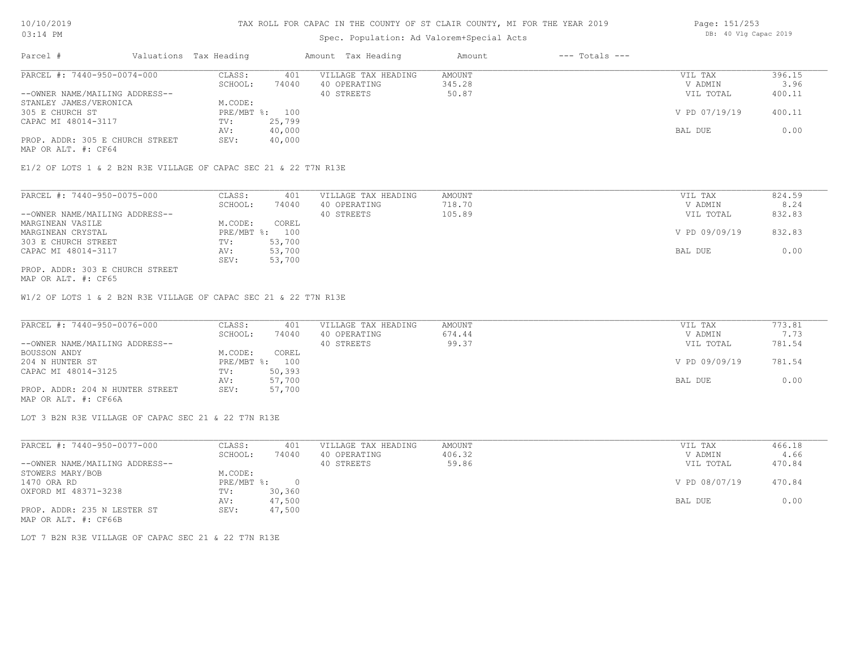## Spec. Population: Ad Valorem+Special Acts

| Page: 151/253 |  |  |                       |  |
|---------------|--|--|-----------------------|--|
|               |  |  | DB: 40 Vlg Capac 2019 |  |

| Parcel #                        | Valuations Tax Heading |        | Amount Tax Heading  | Amount | $---$ Totals $---$ |               |        |
|---------------------------------|------------------------|--------|---------------------|--------|--------------------|---------------|--------|
| PARCEL #: 7440-950-0074-000     | CLASS:                 | 401    | VILLAGE TAX HEADING | AMOUNT |                    | VIL TAX       | 396.15 |
|                                 | SCHOOL:                | 74040  | 40 OPERATING        | 345.28 |                    | V ADMIN       | 3.96   |
| --OWNER NAME/MAILING ADDRESS--  |                        |        | 40 STREETS          | 50.87  |                    | VIL TOTAL     | 400.11 |
| STANLEY JAMES/VERONICA          | M.CODE:                |        |                     |        |                    |               |        |
| 305 E CHURCH ST                 | PRE/MBT %: 100         |        |                     |        |                    | V PD 07/19/19 | 400.11 |
| CAPAC MI 48014-3117             | TV:                    | 25,799 |                     |        |                    |               |        |
|                                 | AV:                    | 40,000 |                     |        |                    | BAL DUE       | 0.00   |
| PROP. ADDR: 305 E CHURCH STREET | SEV:                   | 40,000 |                     |        |                    |               |        |
|                                 |                        |        |                     |        |                    |               |        |

MAP OR ALT. #: CF64

E1/2 OF LOTS 1 & 2 B2N R3E VILLAGE OF CAPAC SEC 21 & 22 T7N R13E

| PARCEL #: 7440-950-0075-000     | CLASS:  | 401            | VILLAGE TAX HEADING | AMOUNT | VIL TAX       | 824.59 |
|---------------------------------|---------|----------------|---------------------|--------|---------------|--------|
|                                 | SCHOOL: | 74040          | 40 OPERATING        | 718.70 | V ADMIN       | 8.24   |
| --OWNER NAME/MAILING ADDRESS--  |         |                | 40 STREETS          | 105.89 | VIL TOTAL     | 832.83 |
| MARGINEAN VASILE                | M.CODE: | COREL          |                     |        |               |        |
| MARGINEAN CRYSTAL               |         | PRE/MBT %: 100 |                     |        | V PD 09/09/19 | 832.83 |
| 303 E CHURCH STREET             | TV:     | 53,700         |                     |        |               |        |
| CAPAC MI 48014-3117             | AV:     | 53,700         |                     |        | BAL DUE       | 0.00   |
|                                 | SEV:    | 53,700         |                     |        |               |        |
| PROP. ADDR: 303 E CHURCH STREET |         |                |                     |        |               |        |

MAP OR ALT. #: CF65

W1/2 OF LOTS 1 & 2 B2N R3E VILLAGE OF CAPAC SEC 21 & 22 T7N R13E

| PARCEL #: 7440-950-0076-000     | CLASS:  | 401            | VILLAGE TAX HEADING | AMOUNT | VIL TAX       | 773.81 |
|---------------------------------|---------|----------------|---------------------|--------|---------------|--------|
|                                 | SCHOOL: | 74040          | 40 OPERATING        | 674.44 | V ADMIN       | 7.73   |
| --OWNER NAME/MAILING ADDRESS--  |         |                | 40 STREETS          | 99.37  | VIL TOTAL     | 781.54 |
| BOUSSON ANDY                    | M.CODE: | COREL          |                     |        |               |        |
| 204 N HUNTER ST                 |         | PRE/MBT %: 100 |                     |        | V PD 09/09/19 | 781.54 |
| CAPAC MI 48014-3125             | TV:     | 50,393         |                     |        |               |        |
|                                 | AV:     | 57,700         |                     |        | BAL DUE       | 0.00   |
| PROP. ADDR: 204 N HUNTER STREET | SEV:    | 57,700         |                     |        |               |        |
|                                 |         |                |                     |        |               |        |

MAP OR ALT. #: CF66A

LOT 3 B2N R3E VILLAGE OF CAPAC SEC 21 & 22 T7N R13E

| PARCEL #: 7440-950-0077-000    | CLASS:     | 401    | VILLAGE TAX HEADING | AMOUNT | VIL TAX       | 466.18 |
|--------------------------------|------------|--------|---------------------|--------|---------------|--------|
|                                | SCHOOL:    | 74040  | 40 OPERATING        | 406.32 | V ADMIN       | 4.66   |
| --OWNER NAME/MAILING ADDRESS-- |            |        | 40 STREETS          | 59.86  | VIL TOTAL     | 470.84 |
| STOWERS MARY/BOB               | M.CODE:    |        |                     |        |               |        |
| 1470 ORA RD                    | PRE/MBT %: |        |                     |        | V PD 08/07/19 | 470.84 |
| OXFORD MI 48371-3238           | TV:        | 30,360 |                     |        |               |        |
|                                | AV:        | 47,500 |                     |        | BAL DUE       | 0.00   |
| PROP. ADDR: 235 N LESTER ST    | SEV:       | 47,500 |                     |        |               |        |
| MAP OR ALT. #: CF66B           |            |        |                     |        |               |        |

LOT 7 B2N R3E VILLAGE OF CAPAC SEC 21 & 22 T7N R13E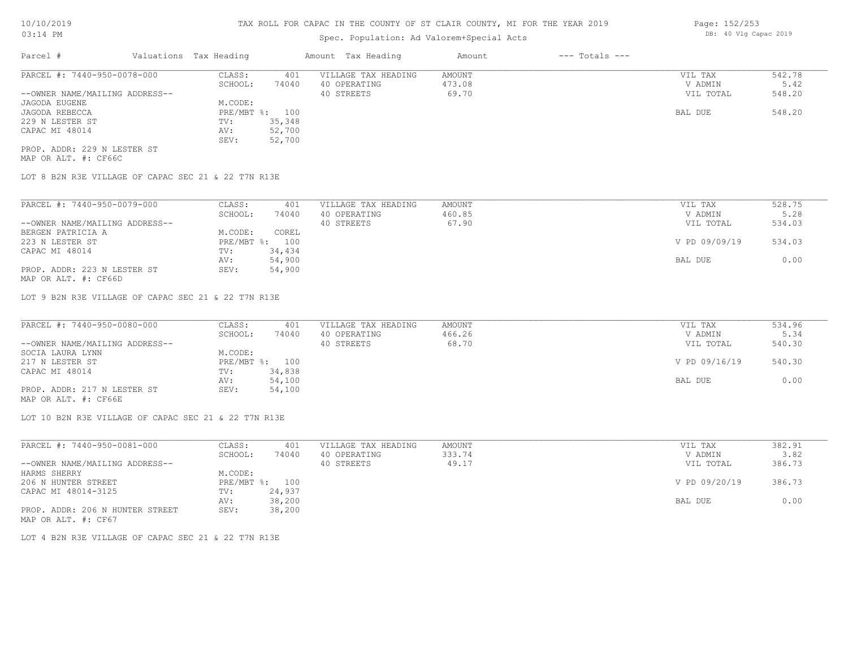## Spec. Population: Ad Valorem+Special Acts

| Parcel #                       | Valuations Tax Heading |        | Amount Tax Heading  | Amount | $---$ Totals $---$ |           |        |
|--------------------------------|------------------------|--------|---------------------|--------|--------------------|-----------|--------|
| PARCEL #: 7440-950-0078-000    | CLASS:                 | 401    | VILLAGE TAX HEADING | AMOUNT |                    | VIL TAX   | 542.78 |
|                                | SCHOOL:                | 74040  | 40 OPERATING        | 473.08 |                    | V ADMIN   | 5.42   |
| --OWNER NAME/MAILING ADDRESS-- |                        |        | 40 STREETS          | 69.70  |                    | VIL TOTAL | 548.20 |
| JAGODA EUGENE                  | M.CODE:                |        |                     |        |                    |           |        |
| JAGODA REBECCA                 | PRE/MBT %: 100         |        |                     |        |                    | BAL DUE   | 548.20 |
| 229 N LESTER ST                | TV:                    | 35,348 |                     |        |                    |           |        |
| CAPAC MI 48014                 | AV:                    | 52,700 |                     |        |                    |           |        |
|                                | SEV:                   | 52,700 |                     |        |                    |           |        |
| PROP. ADDR: 229 N LESTER ST    |                        |        |                     |        |                    |           |        |

MAP OR ALT. #: CF66C

LOT 8 B2N R3E VILLAGE OF CAPAC SEC 21 & 22 T7N R13E

| PARCEL #: 7440-950-0079-000                                                                                                                    | CLASS:         | 401    | VILLAGE TAX HEADING | AMOUNT | VIL TAX       | 528.75 |
|------------------------------------------------------------------------------------------------------------------------------------------------|----------------|--------|---------------------|--------|---------------|--------|
|                                                                                                                                                | SCHOOL:        | 74040  | 40 OPERATING        | 460.85 | V ADMIN       | 5.28   |
| --OWNER NAME/MAILING ADDRESS--                                                                                                                 |                |        | 40 STREETS          | 67.90  | VIL TOTAL     | 534.03 |
| BERGEN PATRICIA A                                                                                                                              | M.CODE:        | COREL  |                     |        |               |        |
| 223 N LESTER ST                                                                                                                                | PRE/MBT %: 100 |        |                     |        | V PD 09/09/19 | 534.03 |
| CAPAC MI 48014                                                                                                                                 | TV:            | 34,434 |                     |        |               |        |
|                                                                                                                                                | AV:            | 54,900 |                     |        | BAL DUE       | 0.00   |
| PROP. ADDR: 223 N LESTER ST<br>the contract of the contract of the contract of the contract of the contract of the contract of the contract of | SEV:           | 54,900 |                     |        |               |        |

MAP OR ALT. #: CF66D

LOT 9 B2N R3E VILLAGE OF CAPAC SEC 21 & 22 T7N R13E

| PARCEL #: 7440-950-0080-000    | CLASS:         | 401    | VILLAGE TAX HEADING | AMOUNT | VIL TAX       | 534.96 |
|--------------------------------|----------------|--------|---------------------|--------|---------------|--------|
|                                | SCHOOL:        | 74040  | 40 OPERATING        | 466.26 | V ADMIN       | 5.34   |
| --OWNER NAME/MAILING ADDRESS-- |                |        | 40 STREETS          | 68.70  | VIL TOTAL     | 540.30 |
| SOCIA LAURA LYNN               | M.CODE:        |        |                     |        |               |        |
| 217 N LESTER ST                | PRE/MBT %: 100 |        |                     |        | V PD 09/16/19 | 540.30 |
| CAPAC MI 48014                 | TV:            | 34,838 |                     |        |               |        |
|                                | AV:            | 54,100 |                     |        | BAL DUE       | 0.00   |
| PROP. ADDR: 217 N LESTER ST    | SEV:           | 54,100 |                     |        |               |        |
|                                |                |        |                     |        |               |        |

MAP OR ALT. #: CF66E

LOT 10 B2N R3E VILLAGE OF CAPAC SEC 21 & 22 T7N R13E

| PARCEL #: 7440-950-0081-000     | CLASS:  | 401            | VILLAGE TAX HEADING | AMOUNT | VIL TAX       | 382.91 |
|---------------------------------|---------|----------------|---------------------|--------|---------------|--------|
|                                 | SCHOOL: | 74040          | 40 OPERATING        | 333.74 | V ADMIN       | 3.82   |
| --OWNER NAME/MAILING ADDRESS--  |         |                | 40 STREETS          | 49.17  | VIL TOTAL     | 386.73 |
| HARMS SHERRY                    | M.CODE: |                |                     |        |               |        |
| 206 N HUNTER STREET             |         | PRE/MBT %: 100 |                     |        | V PD 09/20/19 | 386.73 |
| CAPAC MI 48014-3125             | TV:     | 24,937         |                     |        |               |        |
|                                 | AV:     | 38,200         |                     |        | BAL DUE       | 0.00   |
| PROP. ADDR: 206 N HUNTER STREET | SEV:    | 38,200         |                     |        |               |        |
| MAP OR ALT. #: CF67             |         |                |                     |        |               |        |

LOT 4 B2N R3E VILLAGE OF CAPAC SEC 21 & 22 T7N R13E

Page: 152/253 DB: 40 Vlg Capac 2019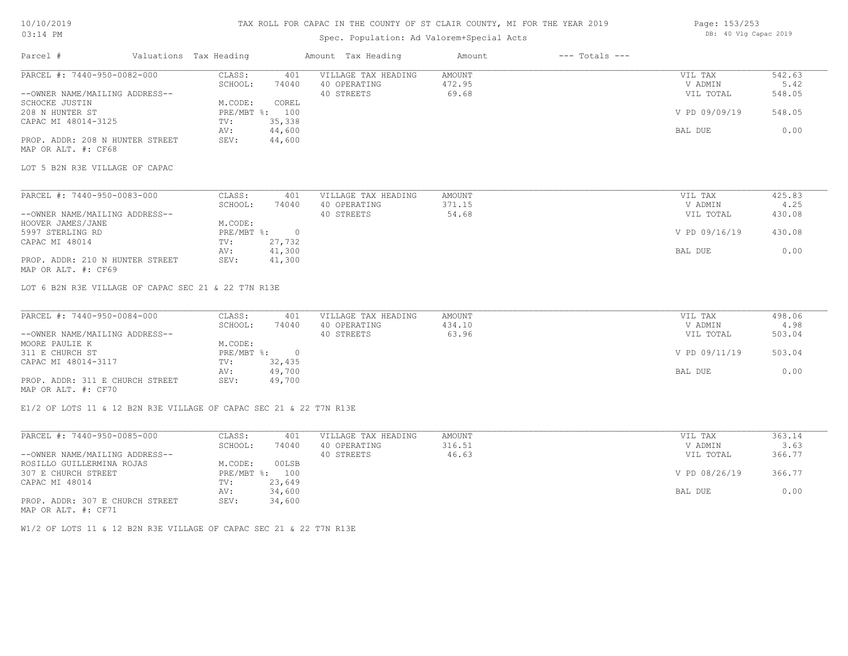### TAX ROLL FOR CAPAC IN THE COUNTY OF ST CLAIR COUNTY, MI FOR THE YEAR 2019

## Spec. Population: Ad Valorem+Special Acts

| Page: 153/253 |  |                       |  |
|---------------|--|-----------------------|--|
|               |  | DB: 40 Vlg Capac 2019 |  |

| Parcel #                                                           | Valuations Tax Heading       | Amount Tax Heading  | $---$ Totals $---$<br>Amount |                |        |
|--------------------------------------------------------------------|------------------------------|---------------------|------------------------------|----------------|--------|
| PARCEL #: 7440-950-0082-000                                        | CLASS:<br>401                | VILLAGE TAX HEADING | AMOUNT                       | VIL TAX        | 542.63 |
|                                                                    | SCHOOL:<br>74040             | 40 OPERATING        | 472.95                       | V ADMIN        | 5.42   |
| --OWNER NAME/MAILING ADDRESS--                                     |                              | 40 STREETS          | 69.68                        | VIL TOTAL      | 548.05 |
| SCHOCKE JUSTIN                                                     | M.CODE:<br>COREL             |                     |                              |                |        |
| 208 N HUNTER ST                                                    | PRE/MBT %: 100               |                     |                              | V PD 09/09/19  | 548.05 |
| CAPAC MI 48014-3125                                                | 35,338<br>TV:                |                     |                              |                |        |
|                                                                    | 44,600<br>AV:                |                     |                              | BAL DUE        | 0.00   |
| PROP. ADDR: 208 N HUNTER STREET                                    | 44,600<br>SEV:               |                     |                              |                |        |
| MAP OR ALT. #: CF68                                                |                              |                     |                              |                |        |
| LOT 5 B2N R3E VILLAGE OF CAPAC                                     |                              |                     |                              |                |        |
|                                                                    |                              |                     |                              |                |        |
| PARCEL #: 7440-950-0083-000                                        | CLASS:<br>401                | VILLAGE TAX HEADING | <b>AMOUNT</b>                | VIL TAX        | 425.83 |
|                                                                    | SCHOOL:<br>74040             | 40 OPERATING        | 371.15                       | V ADMIN        | 4.25   |
| --OWNER NAME/MAILING ADDRESS--                                     |                              | 40 STREETS          | 54.68                        | VIL TOTAL      | 430.08 |
| HOOVER JAMES/JANE                                                  | M.CODE:                      |                     |                              |                |        |
| 5997 STERLING RD                                                   | PRE/MBT %:<br>$\overline{0}$ |                     |                              | V PD 09/16/19  | 430.08 |
| CAPAC MI 48014                                                     | 27,732<br>TV:                |                     |                              |                |        |
|                                                                    | 41,300<br>AV:                |                     |                              | BAL DUE        | 0.00   |
| PROP. ADDR: 210 N HUNTER STREET<br>MAP OR ALT. #: CF69             | SEV:<br>41,300               |                     |                              |                |        |
| LOT 6 B2N R3E VILLAGE OF CAPAC SEC 21 & 22 T7N R13E                |                              |                     |                              |                |        |
| PARCEL #: 7440-950-0084-000                                        | CLASS:<br>401                | VILLAGE TAX HEADING | AMOUNT                       | VIL TAX        | 498.06 |
|                                                                    | 74040<br>SCHOOL:             | 40 OPERATING        | 434.10                       | V ADMIN        | 4.98   |
| --OWNER NAME/MAILING ADDRESS--                                     |                              | 40 STREETS          | 63.96                        | VIL TOTAL      | 503.04 |
| MOORE PAULIE K                                                     | M.CODE:                      |                     |                              |                |        |
| 311 E CHURCH ST                                                    | PRE/MBT %: 0                 |                     |                              | V PD 09/11/19  | 503.04 |
| CAPAC MI 48014-3117                                                | 32,435<br>TV:                |                     |                              |                |        |
|                                                                    | 49,700<br>AV:                |                     |                              | BAL DUE        | 0.00   |
| PROP. ADDR: 311 E CHURCH STREET                                    | 49,700<br>SEV:               |                     |                              |                |        |
| MAP OR ALT. #: CF70                                                |                              |                     |                              |                |        |
| E1/2 OF LOTS 11 & 12 B2N R3E VILLAGE OF CAPAC SEC 21 & 22 T7N R13E |                              |                     |                              |                |        |
| PARCEL #: 7440-950-0085-000                                        | CLASS:<br>401                | VILLAGE TAX HEADING | AMOUNT                       | VIL TAX        | 363.14 |
|                                                                    | $CCHOOT$ .                   | 74040 40 OPPRTTNC   | $316$ 51                     | <b>V ADMIN</b> | ર હર   |

|                                 | SCHOOL:        | 74040  | 40 OPERATING | 316.51 | V ADMIN       | 3.63   |
|---------------------------------|----------------|--------|--------------|--------|---------------|--------|
| --OWNER NAME/MAILING ADDRESS--  |                |        | 40 STREETS   | 46.63  | VIL TOTAL     | 366.77 |
| ROSILLO GUILLERMINA ROJAS       | M.CODE:        | 00LSB  |              |        |               |        |
| 307 E CHURCH STREET             | PRE/MBT %: 100 |        |              |        | V PD 08/26/19 | 366.77 |
| CAPAC MI 48014                  | TV:            | 23,649 |              |        |               |        |
|                                 | AV:            | 34,600 |              |        | BAL DUE       | 0.00   |
| PROP. ADDR: 307 E CHURCH STREET | SEV:           | 34,600 |              |        |               |        |

MAP OR ALT. #: CF71

W1/2 OF LOTS 11 & 12 B2N R3E VILLAGE OF CAPAC SEC 21 & 22 T7N R13E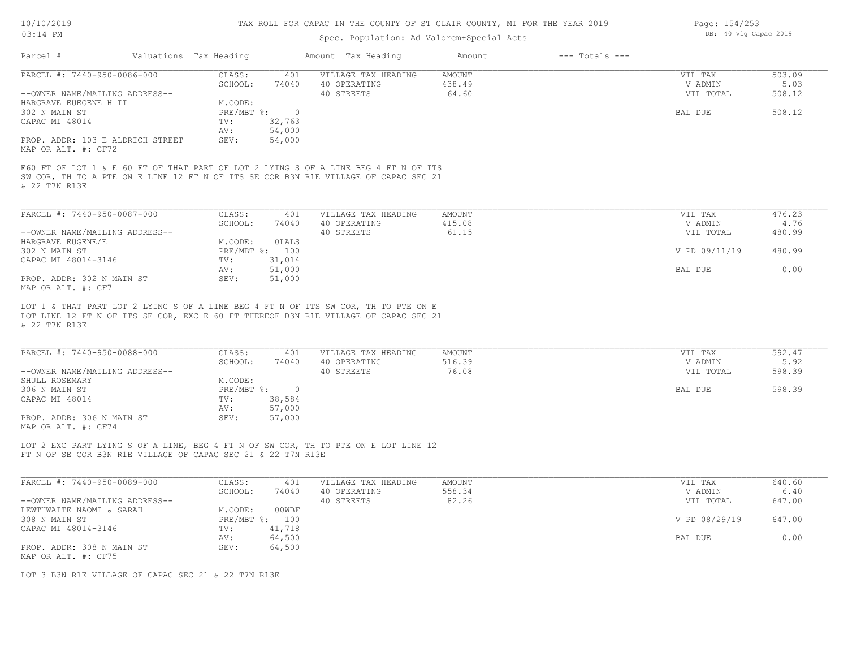## Spec. Population: Ad Valorem+Special Acts

| Page: 154/253 |  |                       |  |
|---------------|--|-----------------------|--|
|               |  | DB: 40 Vlg Capac 2019 |  |

|                                                                                                                                                                                                                     |             |                  | Amount Tax Heading                                                                  | Amount        | $---$ Totals $---$ |               |        |
|---------------------------------------------------------------------------------------------------------------------------------------------------------------------------------------------------------------------|-------------|------------------|-------------------------------------------------------------------------------------|---------------|--------------------|---------------|--------|
| PARCEL #: 7440-950-0086-000                                                                                                                                                                                         | CLASS:      | 401              | VILLAGE TAX HEADING                                                                 | AMOUNT        |                    | VIL TAX       | 503.09 |
|                                                                                                                                                                                                                     | SCHOOL:     | 74040            | 40 OPERATING                                                                        | 438.49        |                    | V ADMIN       | 5.03   |
| --OWNER NAME/MAILING ADDRESS--                                                                                                                                                                                      |             |                  | 40 STREETS                                                                          | 64.60         |                    | VIL TOTAL     | 508.12 |
| HARGRAVE EUEGENE H II                                                                                                                                                                                               | M.CODE:     |                  |                                                                                     |               |                    |               |        |
| 302 N MAIN ST                                                                                                                                                                                                       | PRE/MBT %:  | $\overline{0}$   |                                                                                     |               |                    | BAL DUE       | 508.12 |
| CAPAC MI 48014                                                                                                                                                                                                      | TV:<br>AV:  | 32,763<br>54,000 |                                                                                     |               |                    |               |        |
| PROP. ADDR: 103 E ALDRICH STREET<br>MAP OR ALT. #: CF72                                                                                                                                                             | SEV:        | 54,000           |                                                                                     |               |                    |               |        |
|                                                                                                                                                                                                                     |             |                  | E60 FT OF LOT 1 & E 60 FT OF THAT PART OF LOT 2 LYING S OF A LINE BEG 4 FT N OF ITS |               |                    |               |        |
| & 22 T7N R13E                                                                                                                                                                                                       |             |                  | SW COR, TH TO A PTE ON E LINE 12 FT N OF ITS SE COR B3N R1E VILLAGE OF CAPAC SEC 21 |               |                    |               |        |
|                                                                                                                                                                                                                     |             |                  |                                                                                     |               |                    |               |        |
| PARCEL #: 7440-950-0087-000                                                                                                                                                                                         | CLASS:      | 401              | VILLAGE TAX HEADING                                                                 | <b>AMOUNT</b> |                    | VIL TAX       | 476.23 |
|                                                                                                                                                                                                                     | SCHOOL:     | 74040            | 40 OPERATING                                                                        | 415.08        |                    | V ADMIN       | 4.76   |
| --OWNER NAME/MAILING ADDRESS--                                                                                                                                                                                      |             |                  | 40 STREETS                                                                          | 61.15         |                    | VIL TOTAL     | 480.99 |
| HARGRAVE EUGENE/E                                                                                                                                                                                                   | M.CODE:     | OLALS            |                                                                                     |               |                    |               |        |
| 302 N MAIN ST                                                                                                                                                                                                       |             | PRE/MBT %: 100   |                                                                                     |               |                    | V PD 09/11/19 | 480.99 |
| CAPAC MI 48014-3146                                                                                                                                                                                                 | TV:         | 31,014           |                                                                                     |               |                    |               |        |
|                                                                                                                                                                                                                     | AV:         | 51,000           |                                                                                     |               |                    | BAL DUE       | 0.00   |
|                                                                                                                                                                                                                     |             | 51,000           |                                                                                     |               |                    |               |        |
|                                                                                                                                                                                                                     |             |                  |                                                                                     |               |                    |               |        |
|                                                                                                                                                                                                                     | SEV:        |                  |                                                                                     |               |                    |               |        |
|                                                                                                                                                                                                                     |             |                  | LOT 1 & THAT PART LOT 2 LYING S OF A LINE BEG 4 FT N OF ITS SW COR, TH TO PTE ON E  |               |                    |               |        |
|                                                                                                                                                                                                                     |             |                  | LOT LINE 12 FT N OF ITS SE COR, EXC E 60 FT THEREOF B3N R1E VILLAGE OF CAPAC SEC 21 |               |                    |               |        |
|                                                                                                                                                                                                                     |             |                  |                                                                                     |               |                    |               |        |
|                                                                                                                                                                                                                     |             |                  |                                                                                     |               |                    |               |        |
|                                                                                                                                                                                                                     | CLASS:      | 401              | VILLAGE TAX HEADING                                                                 | <b>AMOUNT</b> |                    | VIL TAX       | 592.47 |
|                                                                                                                                                                                                                     | SCHOOL:     | 74040            | 40 OPERATING                                                                        | 516.39        |                    | V ADMIN       | 5.92   |
|                                                                                                                                                                                                                     |             |                  | 40 STREETS                                                                          | 76.08         |                    | VIL TOTAL     | 598.39 |
|                                                                                                                                                                                                                     | M.CODE:     |                  |                                                                                     |               |                    |               |        |
|                                                                                                                                                                                                                     |             | PRE/MBT %: 0     |                                                                                     |               |                    | BAL DUE       | 598.39 |
|                                                                                                                                                                                                                     | TV:         |                  |                                                                                     |               |                    |               |        |
|                                                                                                                                                                                                                     |             | 38,584           |                                                                                     |               |                    |               |        |
| PROP. ADDR: 302 N MAIN ST<br>MAP OR ALT. #: CF7<br>& 22 T7N R13E<br>PARCEL #: 7440-950-0088-000<br>--OWNER NAME/MAILING ADDRESS--<br>SHULL ROSEMARY<br>306 N MAIN ST<br>CAPAC MI 48014<br>PROP. ADDR: 306 N MAIN ST | AV:<br>SEV: | 57,000<br>57,000 |                                                                                     |               |                    |               |        |

FT N OF SE COR B3N R1E VILLAGE OF CAPAC SEC 21 & 22 T7N R13E LOT 2 EXC PART LYING S OF A LINE, BEG 4 FT N OF SW COR, TH TO PTE ON E LOT LINE 12

| PARCEL #: 7440-950-0089-000    | CLASS:     | 401    | VILLAGE TAX HEADING | AMOUNT | VIL TAX       | 640.60 |
|--------------------------------|------------|--------|---------------------|--------|---------------|--------|
|                                | SCHOOL:    | 74040  | 40 OPERATING        | 558.34 | V ADMIN       | 6.40   |
| --OWNER NAME/MAILING ADDRESS-- |            |        | 40 STREETS          | 82.26  | VIL TOTAL     | 647.00 |
| LEWTHWAITE NAOMI & SARAH       | M.CODE:    | 00WBF  |                     |        |               |        |
| 308 N MAIN ST                  | PRE/MBT %: | 100    |                     |        | V PD 08/29/19 | 647.00 |
| CAPAC MI 48014-3146            | TV:        | 41,718 |                     |        |               |        |
|                                | AV:        | 64,500 |                     |        | BAL DUE       | 0.00   |
| PROP. ADDR: 308 N MAIN ST      | SEV:       | 64,500 |                     |        |               |        |
| MAP OR ALT. #: CF75            |            |        |                     |        |               |        |

LOT 3 B3N R1E VILLAGE OF CAPAC SEC 21 & 22 T7N R13E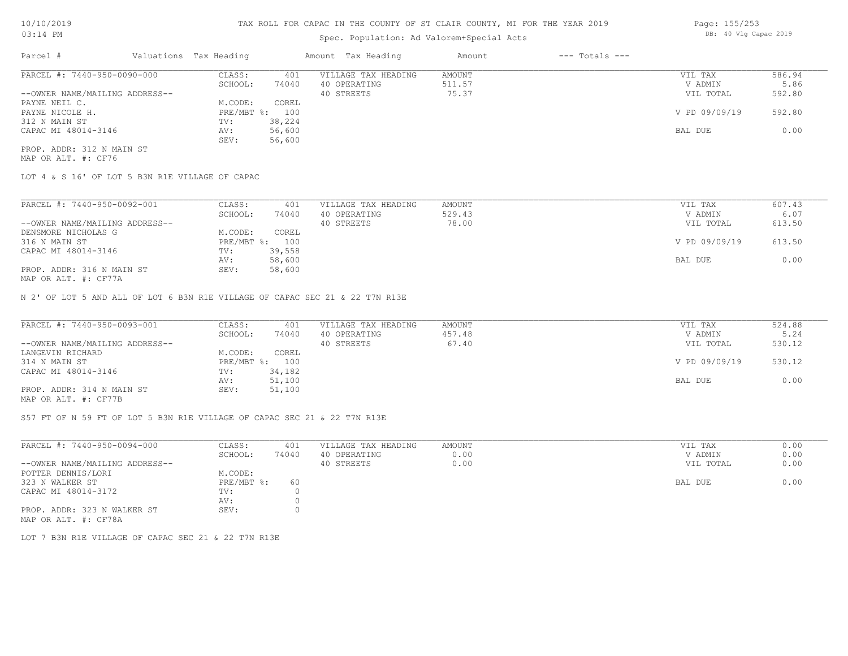### Spec. Population: Ad Valorem+Special Acts

| Parcel #                       | Valuations Tax Heading |        | Amount Tax Heading  | Amount | $---$ Totals $---$ |               |        |
|--------------------------------|------------------------|--------|---------------------|--------|--------------------|---------------|--------|
| PARCEL #: 7440-950-0090-000    | CLASS:                 | 401    | VILLAGE TAX HEADING | AMOUNT |                    | VIL TAX       | 586.94 |
|                                | SCHOOL:                | 74040  | 40 OPERATING        | 511.57 |                    | V ADMIN       | 5.86   |
| --OWNER NAME/MAILING ADDRESS-- |                        |        | 40 STREETS          | 75.37  |                    | VIL TOTAL     | 592.80 |
| PAYNE NEIL C.                  | M.CODE:                | COREL  |                     |        |                    |               |        |
| PAYNE NICOLE H.                | $PRE/MBT$ %:           | 100    |                     |        |                    | V PD 09/09/19 | 592.80 |
| 312 N MAIN ST                  | TV:                    | 38,224 |                     |        |                    |               |        |
| CAPAC MI 48014-3146            | AV:                    | 56,600 |                     |        |                    | BAL DUE       | 0.00   |
|                                | SEV:                   | 56,600 |                     |        |                    |               |        |
| PROP. ADDR: 312 N MAIN ST      |                        |        |                     |        |                    |               |        |

MAP OR ALT. #: CF76

LOT 4 & S 16' OF LOT 5 B3N R1E VILLAGE OF CAPAC

| PARCEL #: 7440-950-0092-001    | CLASS:     | 401    | VILLAGE TAX HEADING | AMOUNT | VIL TAX       | 607.43 |
|--------------------------------|------------|--------|---------------------|--------|---------------|--------|
|                                | SCHOOL:    | 74040  | 40 OPERATING        | 529.43 | V ADMIN       | 6.07   |
| --OWNER NAME/MAILING ADDRESS-- |            |        | 40 STREETS          | 78.00  | VIL TOTAL     | 613.50 |
| DENSMORE NICHOLAS G            | M.CODE:    | COREL  |                     |        |               |        |
| 316 N MAIN ST                  | PRE/MBT %: | 100    |                     |        | V PD 09/09/19 | 613.50 |
| CAPAC MI 48014-3146            | TV:        | 39,558 |                     |        |               |        |
|                                | AV:        | 58,600 |                     |        | BAL DUE       | 0.00   |
| PROP. ADDR: 316 N MAIN ST      | SEV:       | 58,600 |                     |        |               |        |
| $MAD$ $CD$ $ATH$ $L$ $CDT72$   |            |        |                     |        |               |        |

MAP OR ALT. #: CF77A

N 2' OF LOT 5 AND ALL OF LOT 6 B3N R1E VILLAGE OF CAPAC SEC 21 & 22 T7N R13E

| PARCEL #: 7440-950-0093-001    | CLASS:  | 401            | VILLAGE TAX HEADING | AMOUNT | VIL TAX       | 524.88 |
|--------------------------------|---------|----------------|---------------------|--------|---------------|--------|
|                                | SCHOOL: | 74040          | 40 OPERATING        | 457.48 | V ADMIN       | 5.24   |
| --OWNER NAME/MAILING ADDRESS-- |         |                | 40 STREETS          | 67.40  | VIL TOTAL     | 530.12 |
| LANGEVIN RICHARD               | M.CODE: | COREL          |                     |        |               |        |
| 314 N MAIN ST                  |         | PRE/MBT %: 100 |                     |        | V PD 09/09/19 | 530.12 |
| CAPAC MI 48014-3146            | TV:     | 34,182         |                     |        |               |        |
|                                | AV:     | 51,100         |                     |        | BAL DUE       | 0.00   |
| PROP. ADDR: 314 N MAIN ST      | SEV:    | 51,100         |                     |        |               |        |
| MAP OR ALT. #: CF77B           |         |                |                     |        |               |        |

S57 FT OF N 59 FT OF LOT 5 B3N R1E VILLAGE OF CAPAC SEC 21 & 22 T7N R13E

| PARCEL #: 7440-950-0094-000                         | CLASS:       | 401   | VILLAGE TAX HEADING | AMOUNT | VIL TAX   | 0.00 |
|-----------------------------------------------------|--------------|-------|---------------------|--------|-----------|------|
|                                                     | SCHOOL:      | 74040 | 40 OPERATING        | 0.00   | V ADMIN   | 0.00 |
| --OWNER NAME/MAILING ADDRESS--                      |              |       | 40 STREETS          | 0.00   | VIL TOTAL | 0.00 |
| POTTER DENNIS/LORI                                  | M.CODE:      |       |                     |        |           |      |
| 323 N WALKER ST                                     | $PRE/MBT$ %: | 60    |                     |        | BAL DUE   | 0.00 |
| CAPAC MI 48014-3172                                 | TV:          |       |                     |        |           |      |
|                                                     | AV:          |       |                     |        |           |      |
| PROP. ADDR: 323 N WALKER ST<br>MAP OR ALT. #: CF78A | SEV:         |       |                     |        |           |      |

LOT 7 B3N R1E VILLAGE OF CAPAC SEC 21 & 22 T7N R13E

Page: 155/253 DB: 40 Vlg Capac 2019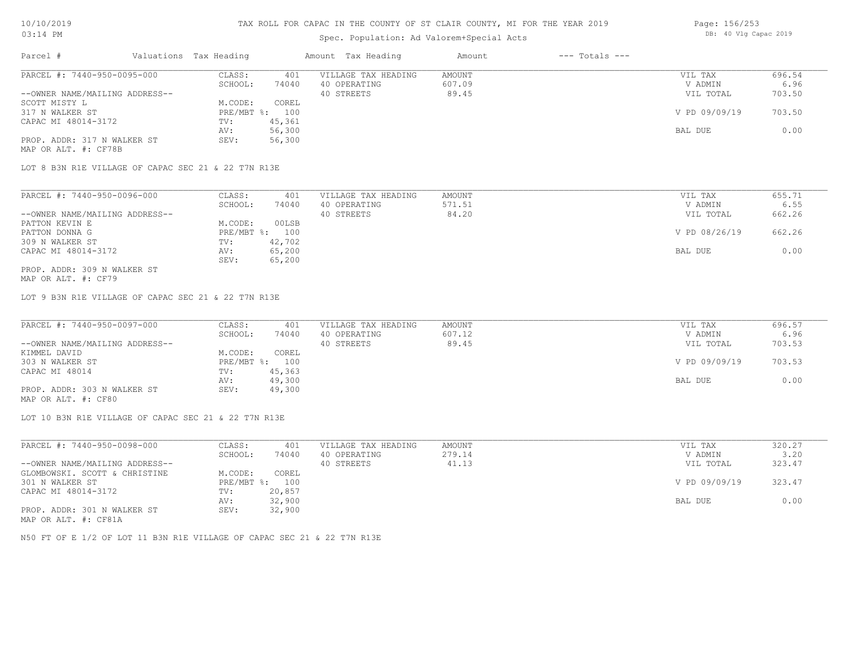| $03:14$ PM |                             |                        |              | Spec. Population: Ad Valorem+Special Acts |                  | DB: 40 Vlg Capac 2019 |                    |                |
|------------|-----------------------------|------------------------|--------------|-------------------------------------------|------------------|-----------------------|--------------------|----------------|
| Parcel #   |                             | Valuations Tax Heading |              | Amount Tax Heading                        | Amount           | $---$ Totals $---$    |                    |                |
|            | PARCEL #: 7440-950-0095-000 | CLASS:<br>SCHOOL:      | 401<br>74040 | VILLAGE TAX HEADING<br>40 OPERATING       | AMOUNT<br>607.09 |                       | VIL TAX<br>V ADMIN | 696.54<br>6.96 |

Page: 156/253

|                                | -------        | .      | ------------- | ------ | .             | .      |
|--------------------------------|----------------|--------|---------------|--------|---------------|--------|
| --OWNER NAME/MAILING ADDRESS-- |                |        | 40 STREETS    | 89.45  | VIL TOTAL     | 703.50 |
| SCOTT MISTY L                  | 1.CODE:        | COREL  |               |        |               |        |
| 317 N WALKER ST                | PRE/MBT %: 100 |        |               |        | V PD 09/09/19 | 703.50 |
| CAPAC MI 48014-3172            | TV:            | 45,361 |               |        |               |        |
|                                | AV:            | 56,300 |               |        | BAL DUE       | 0.00   |
| PROP. ADDR: 317 N WALKER ST    | SEV:           | 56,300 |               |        |               |        |
|                                |                |        |               |        |               |        |

MAP OR ALT. #: CF78B

LOT 8 B3N R1E VILLAGE OF CAPAC SEC 21 & 22 T7N R13E

| PARCEL #: 7440-950-0096-000    | CLASS:       | 401    | VILLAGE TAX HEADING | AMOUNT | VIL TAX       | 655.71 |
|--------------------------------|--------------|--------|---------------------|--------|---------------|--------|
|                                | SCHOOL:      | 74040  | 40 OPERATING        | 571.51 | V ADMIN       | 6.55   |
| --OWNER NAME/MAILING ADDRESS-- |              |        | 40 STREETS          | 84.20  | VIL TOTAL     | 662.26 |
| PATTON KEVIN E                 | M.CODE:      | 00LSB  |                     |        |               |        |
| PATTON DONNA G                 | $PRE/MBT$ %: | 100    |                     |        | V PD 08/26/19 | 662.26 |
| 309 N WALKER ST                | TV:          | 42,702 |                     |        |               |        |
| CAPAC MI 48014-3172            | AV:          | 65,200 |                     |        | BAL DUE       | 0.00   |
|                                | SEV:         | 65,200 |                     |        |               |        |
| PROP. ADDR: 309 N WALKER ST    |              |        |                     |        |               |        |

MAP OR ALT. #: CF79

LOT 9 B3N R1E VILLAGE OF CAPAC SEC 21 & 22 T7N R13E

| PARCEL #: 7440-950-0097-000    | CLASS:         | 401    | VILLAGE TAX HEADING | AMOUNT | VIL TAX       | 696.57 |
|--------------------------------|----------------|--------|---------------------|--------|---------------|--------|
|                                | SCHOOL:        | 74040  | 40 OPERATING        | 607.12 | V ADMIN       | 6.96   |
| --OWNER NAME/MAILING ADDRESS-- |                |        | 40 STREETS          | 89.45  | VIL TOTAL     | 703.53 |
| KIMMEL DAVID                   | M.CODE:        | COREL  |                     |        |               |        |
| 303 N WALKER ST                | PRE/MBT %: 100 |        |                     |        | V PD 09/09/19 | 703.53 |
| CAPAC MI 48014                 | TV:            | 45,363 |                     |        |               |        |
|                                | AV:            | 49,300 |                     |        | BAL DUE       | 0.00   |
| PROP. ADDR: 303 N WALKER ST    | SEV:           | 49,300 |                     |        |               |        |
|                                |                |        |                     |        |               |        |

MAP OR ALT. #: CF80

LOT 10 B3N R1E VILLAGE OF CAPAC SEC 21 & 22 T7N R13E

| PARCEL #: 7440-950-0098-000    | CLASS:  | 401            | VILLAGE TAX HEADING | AMOUNT | VIL TAX       | 320.27 |
|--------------------------------|---------|----------------|---------------------|--------|---------------|--------|
|                                | SCHOOL: | 74040          | 40 OPERATING        | 279.14 | V ADMIN       | 3.20   |
| --OWNER NAME/MAILING ADDRESS-- |         |                | 40 STREETS          | 41.13  | VIL TOTAL     | 323.47 |
| GLOMBOWSKI. SCOTT & CHRISTINE  | M.CODE: | COREL          |                     |        |               |        |
| 301 N WALKER ST                |         | PRE/MBT %: 100 |                     |        | V PD 09/09/19 | 323.47 |
| CAPAC MI 48014-3172            | TV:     | 20,857         |                     |        |               |        |
|                                | AV:     | 32,900         |                     |        | BAL DUE       | 0.00   |
| PROP. ADDR: 301 N WALKER ST    | SEV:    | 32,900         |                     |        |               |        |
| MAP OR ALT. #: CF81A           |         |                |                     |        |               |        |

N50 FT OF E 1/2 OF LOT 11 B3N R1E VILLAGE OF CAPAC SEC 21 & 22 T7N R13E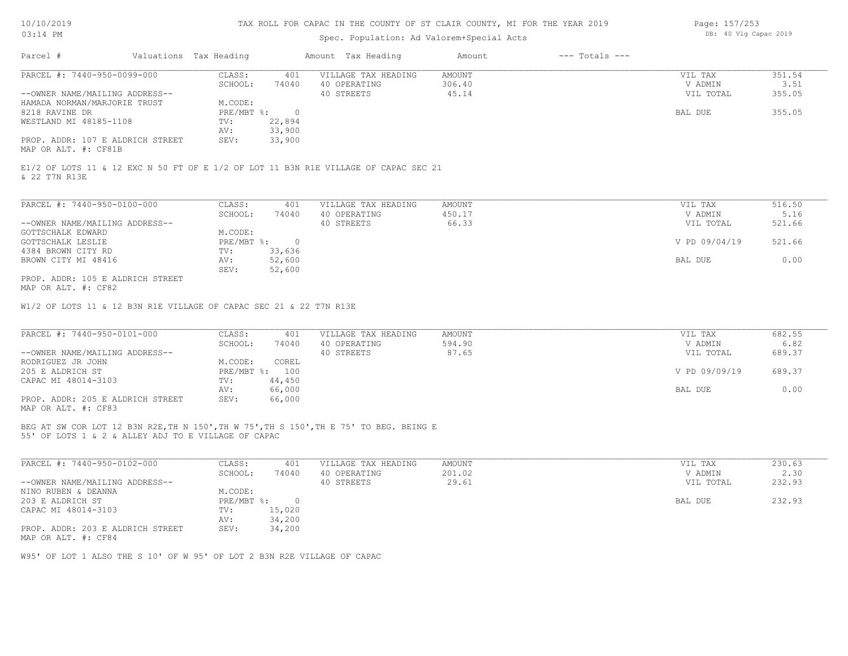#### TAX ROLL FOR CAPAC IN THE COUNTY OF ST CLAIR COUNTY, MI FOR THE YEAR 2019

### Spec. Population: Ad Valorem+Special Acts

| Page: 157/253 |  |                       |  |  |
|---------------|--|-----------------------|--|--|
|               |  | DB: 40 Vlg Capac 2019 |  |  |

| Parcel #                         | Valuations Tax Heading |        | Amount Tax Heading  | Amount | $---$ Totals $---$ |           |        |
|----------------------------------|------------------------|--------|---------------------|--------|--------------------|-----------|--------|
| PARCEL #: 7440-950-0099-000      | CLASS:                 | 401    | VILLAGE TAX HEADING | AMOUNT |                    | VIL TAX   | 351.54 |
|                                  | SCHOOL:                | 74040  | 40 OPERATING        | 306.40 |                    | V ADMIN   | 3.51   |
| --OWNER NAME/MAILING ADDRESS--   |                        |        | 40 STREETS          | 45.14  |                    | VIL TOTAL | 355.05 |
| HAMADA NORMAN/MARJORIE TRUST     | M.CODE:                |        |                     |        |                    |           |        |
| 8218 RAVINE DR                   | PRE/MBT %:             |        |                     |        |                    | BAL DUE   | 355.05 |
| WESTLAND MI 48185-1108           | TV:                    | 22,894 |                     |        |                    |           |        |
|                                  | AV:                    | 33,900 |                     |        |                    |           |        |
| PROP. ADDR: 107 E ALDRICH STREET | SEV:                   | 33,900 |                     |        |                    |           |        |
| MAP OR ALT. #: CF81B             |                        |        |                     |        |                    |           |        |

& 22 T7N R13E E1/2 OF LOTS 11 & 12 EXC N 50 FT OF E 1/2 OF LOT 11 B3N R1E VILLAGE OF CAPAC SEC 21

| PARCEL #: 7440-950-0100-000      | CLASS:     | 401      | VILLAGE TAX HEADING | AMOUNT | VIL TAX       | 516.50 |
|----------------------------------|------------|----------|---------------------|--------|---------------|--------|
|                                  | SCHOOL:    | 74040    | 40 OPERATING        | 450.17 | V ADMIN       | 5.16   |
| --OWNER NAME/MAILING ADDRESS--   |            |          | 40 STREETS          | 66.33  | VIL TOTAL     | 521.66 |
| GOTTSCHALK EDWARD                | M.CODE:    |          |                     |        |               |        |
| GOTTSCHALK LESLIE                | PRE/MBT %: | $\Omega$ |                     |        | V PD 09/04/19 | 521.66 |
| 4384 BROWN CITY RD               | TV:        | 33,636   |                     |        |               |        |
| BROWN CITY MI 48416              | AV:        | 52,600   |                     |        | BAL DUE       | 0.00   |
|                                  | SEV:       | 52,600   |                     |        |               |        |
| PROP. ADDR: 105 E ALDRICH STREET |            |          |                     |        |               |        |

MAP OR ALT. #: CF82

W1/2 OF LOTS 11 & 12 B3N R1E VILLAGE OF CAPAC SEC 21 & 22 T7N R13E

| PARCEL #: 7440-950-0101-000      | CLASS:     | 401    | VILLAGE TAX HEADING | AMOUNT | VIL TAX       | 682.55 |
|----------------------------------|------------|--------|---------------------|--------|---------------|--------|
|                                  | SCHOOL:    | 74040  | 40 OPERATING        | 594.90 | V ADMIN       | 6.82   |
| --OWNER NAME/MAILING ADDRESS--   |            |        | 40 STREETS          | 87.65  | VIL TOTAL     | 689.37 |
| RODRIGUEZ JR JOHN                | M.CODE:    | COREL  |                     |        |               |        |
| 205 E ALDRICH ST                 | PRE/MBT %: | 100    |                     |        | V PD 09/09/19 | 689.37 |
| CAPAC MI 48014-3103              | TV:        | 44,450 |                     |        |               |        |
|                                  | AV:        | 66,000 |                     |        | BAL DUE       | 0.00   |
| PROP. ADDR: 205 E ALDRICH STREET | SEV:       | 66,000 |                     |        |               |        |
| ---- -- --- " ----               |            |        |                     |        |               |        |

MAP OR ALT. #: CF83

55' OF LOTS 1 & 2 & ALLEY ADJ TO E VILLAGE OF CAPAC BEG AT SW COR LOT 12 B3N R2E,TH N 150',TH W 75',TH S 150',TH E 75' TO BEG. BEING E

| PARCEL #: 7440-950-0102-000      | CLASS:     | 401    | VILLAGE TAX HEADING | AMOUNT | VIL TAX   | 230.63 |
|----------------------------------|------------|--------|---------------------|--------|-----------|--------|
|                                  | SCHOOL:    | 74040  | 40 OPERATING        | 201.02 | V ADMIN   | 2.30   |
| --OWNER NAME/MAILING ADDRESS--   |            |        | 40 STREETS          | 29.61  | VIL TOTAL | 232.93 |
| NINO RUBEN & DEANNA              | M.CODE:    |        |                     |        |           |        |
| 203 E ALDRICH ST                 | PRE/MBT %: |        |                     |        | BAL DUE   | 232.93 |
| CAPAC MI 48014-3103              | TV:        | 15,020 |                     |        |           |        |
|                                  | AV:        | 34,200 |                     |        |           |        |
| PROP. ADDR: 203 E ALDRICH STREET | SEV:       | 34,200 |                     |        |           |        |
| MAP OR ALT. #: CF84              |            |        |                     |        |           |        |

W95' OF LOT 1 ALSO THE S 10' OF W 95' OF LOT 2 B3N R2E VILLAGE OF CAPAC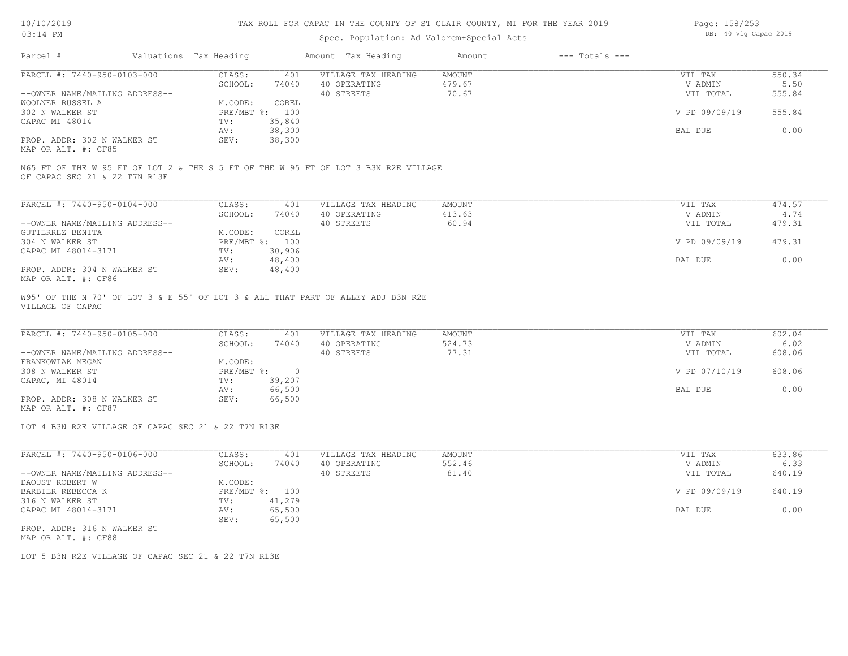#### Spec. Population: Ad Valorem+Special Acts

| Page: 158/253 |  |  |                       |  |
|---------------|--|--|-----------------------|--|
|               |  |  | DB: 40 Vlg Capac 2019 |  |

| Parcel #                       | Valuations Tax Heading |        | Amount Tax Heading  | Amount | $---$ Totals $---$ |               |        |
|--------------------------------|------------------------|--------|---------------------|--------|--------------------|---------------|--------|
| PARCEL #: 7440-950-0103-000    | CLASS:                 | 401    | VILLAGE TAX HEADING | AMOUNT |                    | VIL TAX       | 550.34 |
|                                | SCHOOL:                | 74040  | 40 OPERATING        | 479.67 |                    | V ADMIN       | 5.50   |
| --OWNER NAME/MAILING ADDRESS-- |                        |        | 40 STREETS          | 70.67  |                    | VIL TOTAL     | 555.84 |
| WOOLNER RUSSEL A               | M.CODE:                | COREL  |                     |        |                    |               |        |
| 302 N WALKER ST                | $PRE/MBT$ %:           | 100    |                     |        |                    | V PD 09/09/19 | 555.84 |
| CAPAC MI 48014                 | TV:                    | 35,840 |                     |        |                    |               |        |
|                                | AV:                    | 38,300 |                     |        |                    | BAL DUE       | 0.00   |
| PROP. ADDR: 302 N WALKER ST    | SEV:                   | 38,300 |                     |        |                    |               |        |
| MAP OR ALT. #: CF85            |                        |        |                     |        |                    |               |        |

OF CAPAC SEC 21 & 22 T7N R13E N65 FT OF THE W 95 FT OF LOT 2 & THE S 5 FT OF THE W 95 FT OF LOT 3 B3N R2E VILLAGE

| PARCEL #: 7440-950-0104-000    | CLASS:     | 401    | VILLAGE TAX HEADING | AMOUNT | VIL TAX       | 474.57 |
|--------------------------------|------------|--------|---------------------|--------|---------------|--------|
|                                | SCHOOL:    | 74040  | 40 OPERATING        | 413.63 | V ADMIN       | 4.74   |
| --OWNER NAME/MAILING ADDRESS-- |            |        | 40 STREETS          | 60.94  | VIL TOTAL     | 479.31 |
| GUTIERREZ BENITA               | M.CODE:    | COREL  |                     |        |               |        |
| 304 N WALKER ST                | PRE/MBT %: | 100    |                     |        | V PD 09/09/19 | 479.31 |
| CAPAC MI 48014-3171            | TV:        | 30,906 |                     |        |               |        |
|                                | AV:        | 48,400 |                     |        | BAL DUE       | 0.00   |
| PROP. ADDR: 304 N WALKER ST    | SEV:       | 48,400 |                     |        |               |        |
| MAP OR ALT. #: CF86            |            |        |                     |        |               |        |

VILLAGE OF CAPAC W95' OF THE N 70' OF LOT 3 & E 55' OF LOT 3 & ALL THAT PART OF ALLEY ADJ B3N R2E

| PARCEL #: 7440-950-0105-000    | CLASS:     | 401    | VILLAGE TAX HEADING | AMOUNT | VIL TAX       | 602.04 |
|--------------------------------|------------|--------|---------------------|--------|---------------|--------|
|                                | SCHOOL:    | 74040  | 40 OPERATING        | 524.73 | V ADMIN       | 6.02   |
| --OWNER NAME/MAILING ADDRESS-- |            |        | 40 STREETS          | 77.31  | VIL TOTAL     | 608.06 |
| FRANKOWIAK MEGAN               | M.CODE:    |        |                     |        |               |        |
| 308 N WALKER ST                | PRE/MBT %: |        |                     |        | V PD 07/10/19 | 608.06 |
| CAPAC, MI 48014                | TV:        | 39,207 |                     |        |               |        |
|                                | AV:        | 66,500 |                     |        | BAL DUE       | 0.00   |
| PROP. ADDR: 308 N WALKER ST    | SEV:       | 66,500 |                     |        |               |        |

MAP OR ALT. #: CF87

LOT 4 B3N R2E VILLAGE OF CAPAC SEC 21 & 22 T7N R13E

| PARCEL #: 7440-950-0106-000    | CLASS:       | 401    | VILLAGE TAX HEADING | AMOUNT | 633.86<br>VIL TAX       |  |
|--------------------------------|--------------|--------|---------------------|--------|-------------------------|--|
|                                | SCHOOL:      | 74040  | 40 OPERATING        | 552.46 | 6.33<br>V ADMIN         |  |
| --OWNER NAME/MAILING ADDRESS-- |              |        | 40 STREETS          | 81.40  | 640.19<br>VIL TOTAL     |  |
| DAOUST ROBERT W                | M.CODE:      |        |                     |        |                         |  |
| BARBIER REBECCA K              | $PRE/MBT$ %: | 100    |                     |        | V PD 09/09/19<br>640.19 |  |
| 316 N WALKER ST                | TV:          | 41,279 |                     |        |                         |  |
| CAPAC MI 48014-3171            | AV:          | 65,500 |                     |        | 0.00<br>BAL DUE         |  |
|                                | SEV:         | 65,500 |                     |        |                         |  |
| PROP. ADDR: 316 N WALKER ST    |              |        |                     |        |                         |  |

MAP OR ALT. #: CF88

LOT 5 B3N R2E VILLAGE OF CAPAC SEC 21 & 22 T7N R13E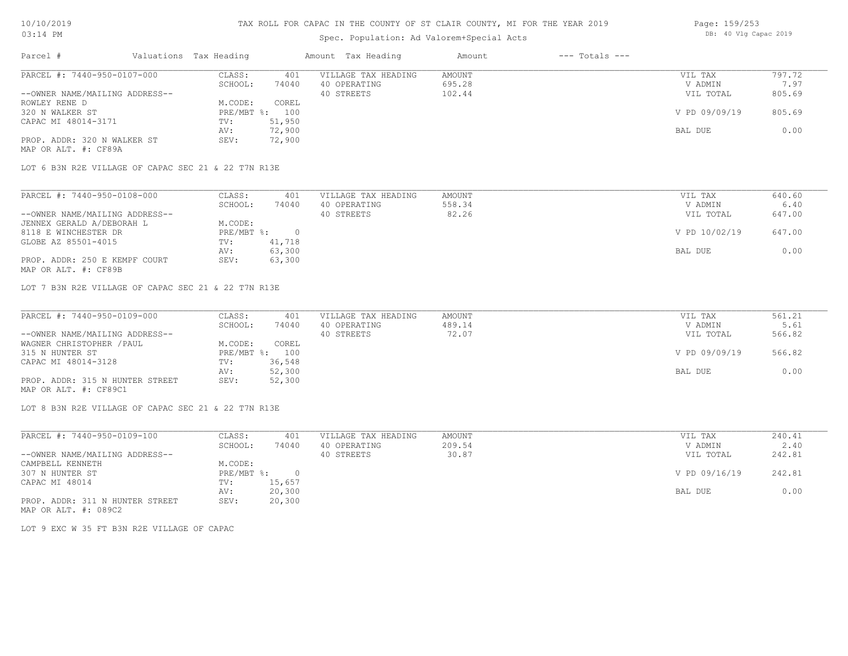### Spec. Population: Ad Valorem+Special Acts

| Page: 159/253 |  |                       |  |  |  |  |
|---------------|--|-----------------------|--|--|--|--|
|               |  | DB: 40 Vlg Capac 2019 |  |  |  |  |

| Parcel #                       | Valuations Tax Heading |                | Amount Tax Heading  | Amount | $---$ Totals $---$ |               |        |
|--------------------------------|------------------------|----------------|---------------------|--------|--------------------|---------------|--------|
| PARCEL #: 7440-950-0107-000    | CLASS:                 | 401            | VILLAGE TAX HEADING | AMOUNT |                    | VIL TAX       | 797.72 |
|                                | SCHOOL:                | 74040          | 40 OPERATING        | 695.28 |                    | V ADMIN       | 7.97   |
| --OWNER NAME/MAILING ADDRESS-- |                        |                | 40 STREETS          | 102.44 |                    | VIL TOTAL     | 805.69 |
| ROWLEY RENE D                  | M.CODE:                | COREL          |                     |        |                    |               |        |
| 320 N WALKER ST                |                        | PRE/MBT %: 100 |                     |        |                    | V PD 09/09/19 | 805.69 |
| CAPAC MI 48014-3171            | TV:                    | 51,950         |                     |        |                    |               |        |
|                                | AV:                    | 72,900         |                     |        |                    | BAL DUE       | 0.00   |
| PROP. ADDR: 320 N WALKER ST    | SEV:                   | 72,900         |                     |        |                    |               |        |
|                                |                        |                |                     |        |                    |               |        |

MAP OR ALT. #: CF89A

LOT 6 B3N R2E VILLAGE OF CAPAC SEC 21 & 22 T7N R13E

| PARCEL #: 7440-950-0108-000    | CLASS:     | 401    | VILLAGE TAX HEADING | AMOUNT | VIL TAX       | 640.60 |
|--------------------------------|------------|--------|---------------------|--------|---------------|--------|
|                                | SCHOOL:    | 74040  | 40 OPERATING        | 558.34 | V ADMIN       | 6.40   |
| --OWNER NAME/MAILING ADDRESS-- |            |        | 40 STREETS          | 82.26  | VIL TOTAL     | 647.00 |
| JENNEX GERALD A/DEBORAH L      | M.CODE:    |        |                     |        |               |        |
| 8118 E WINCHESTER DR           | PRE/MBT %: |        |                     |        | V PD 10/02/19 | 647.00 |
| GLOBE AZ 85501-4015            | TV:        | 41,718 |                     |        |               |        |
|                                | AV:        | 63,300 |                     |        | BAL DUE       | 0.00   |
| PROP. ADDR: 250 E KEMPF COURT  | SEV:       | 63,300 |                     |        |               |        |
| MAP OR ALT. #: CF89B           |            |        |                     |        |               |        |

LOT 7 B3N R2E VILLAGE OF CAPAC SEC 21 & 22 T7N R13E

| PARCEL #: 7440-950-0109-000     | CLASS:  | 401            | VILLAGE TAX HEADING | AMOUNT | VIL TAX       | 561.21 |
|---------------------------------|---------|----------------|---------------------|--------|---------------|--------|
|                                 | SCHOOL: | 74040          | 40 OPERATING        | 489.14 | V ADMIN       | 5.61   |
| --OWNER NAME/MAILING ADDRESS--  |         |                | 40 STREETS          | 72.07  | VIL TOTAL     | 566.82 |
| WAGNER CHRISTOPHER / PAUL       | M.CODE: | COREL          |                     |        |               |        |
| 315 N HUNTER ST                 |         | PRE/MBT %: 100 |                     |        | V PD 09/09/19 | 566.82 |
| CAPAC MI 48014-3128             | TV:     | 36,548         |                     |        |               |        |
|                                 | AV:     | 52,300         |                     |        | BAL DUE       | 0.00   |
| PROP. ADDR: 315 N HUNTER STREET | SEV:    | 52,300         |                     |        |               |        |
| MAP OR ALT. #: CF89C1           |         |                |                     |        |               |        |

LOT 8 B3N R2E VILLAGE OF CAPAC SEC 21 & 22 T7N R13E

| PARCEL #: 7440-950-0109-100     | CLASS:     | 401    | VILLAGE TAX HEADING | AMOUNT | VIL TAX       | 240.41 |
|---------------------------------|------------|--------|---------------------|--------|---------------|--------|
|                                 | SCHOOL:    | 74040  | 40 OPERATING        | 209.54 | V ADMIN       | 2.40   |
| --OWNER NAME/MAILING ADDRESS--  |            |        | 40 STREETS          | 30.87  | VIL TOTAL     | 242.81 |
| CAMPBELL KENNETH                | M.CODE:    |        |                     |        |               |        |
| 307 N HUNTER ST                 | PRE/MBT %: |        |                     |        | V PD 09/16/19 | 242.81 |
| CAPAC MI 48014                  | TV:        | 15,657 |                     |        |               |        |
|                                 | AV:        | 20,300 |                     |        | BAL DUE       | 0.00   |
| PROP. ADDR: 311 N HUNTER STREET | SEV:       | 20,300 |                     |        |               |        |

MAP OR ALT. #: 089C2

LOT 9 EXC W 35 FT B3N R2E VILLAGE OF CAPAC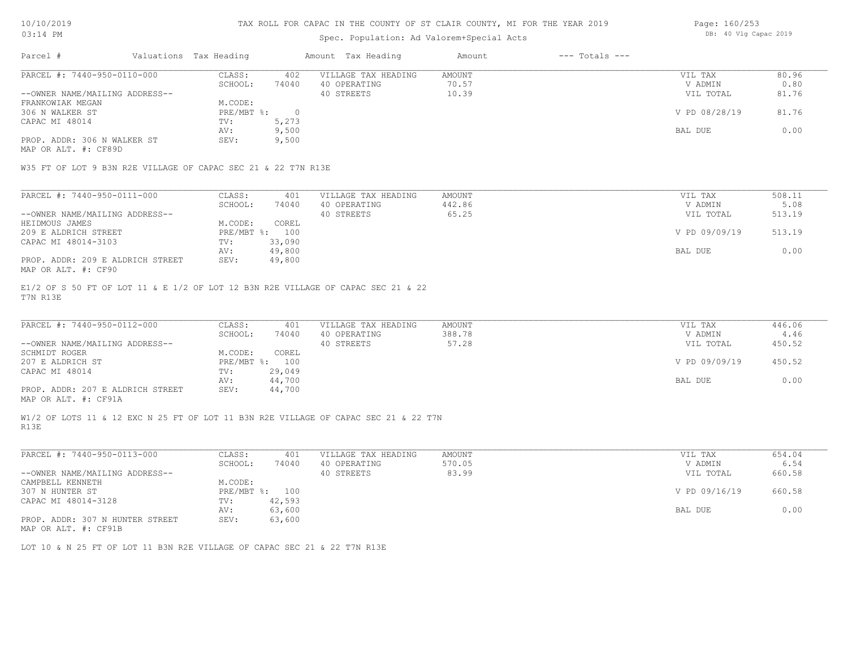#### TAX ROLL FOR CAPAC IN THE COUNTY OF ST CLAIR COUNTY, MI FOR THE YEAR 2019

## Spec. Population: Ad Valorem+Special Acts

| Parcel #                       | Valuations Tax Heading |       | Amount Tax Heading  | Amount | $---$ Totals $---$ |               |       |
|--------------------------------|------------------------|-------|---------------------|--------|--------------------|---------------|-------|
| PARCEL #: 7440-950-0110-000    | CLASS:                 | 402   | VILLAGE TAX HEADING | AMOUNT |                    | VIL TAX       | 80.96 |
|                                | SCHOOL:                | 74040 | 40 OPERATING        | 70.57  |                    | V ADMIN       | 0.80  |
| --OWNER NAME/MAILING ADDRESS-- |                        |       | 40 STREETS          | 10.39  |                    | VIL TOTAL     | 81.76 |
| FRANKOWIAK MEGAN               | M.CODE:                |       |                     |        |                    |               |       |
| 306 N WALKER ST                | PRE/MBT %:             |       |                     |        |                    | V PD 08/28/19 | 81.76 |
| CAPAC MI 48014                 | TV:                    | 5,273 |                     |        |                    |               |       |
|                                | AV:                    | 9,500 |                     |        |                    | BAL DUE       | 0.00  |
| PROP. ADDR: 306 N WALKER ST    | SEV:                   | 9,500 |                     |        |                    |               |       |
|                                |                        |       |                     |        |                    |               |       |

MAP OR ALT. #: CF89D

W35 FT OF LOT 9 B3N R2E VILLAGE OF CAPAC SEC 21 & 22 T7N R13E

| PARCEL #: 7440-950-0111-000      | CLASS:       | 401    | VILLAGE TAX HEADING | AMOUNT | VIL TAX       | 508.11 |
|----------------------------------|--------------|--------|---------------------|--------|---------------|--------|
|                                  | SCHOOL:      | 74040  | 40 OPERATING        | 442.86 | V ADMIN       | 5.08   |
| --OWNER NAME/MAILING ADDRESS--   |              |        | 40 STREETS          | 65.25  | VIL TOTAL     | 513.19 |
| HEIDMOUS JAMES                   | M.CODE:      | COREL  |                     |        |               |        |
| 209 E ALDRICH STREET             | $PRE/MBT$ %: | 100    |                     |        | V PD 09/09/19 | 513.19 |
| CAPAC MI 48014-3103              | TV:          | 33,090 |                     |        |               |        |
|                                  | AV:          | 49,800 |                     |        | BAL DUE       | 0.00   |
| PROP. ADDR: 209 E ALDRICH STREET | SEV:         | 49,800 |                     |        |               |        |
| MAP OR ALT. #: CF90              |              |        |                     |        |               |        |

T7N R13E E1/2 OF S 50 FT OF LOT 11 & E 1/2 OF LOT 12 B3N R2E VILLAGE OF CAPAC SEC 21 & 22

| PARCEL #: 7440-950-0112-000      | CLASS:       | 401    | VILLAGE TAX HEADING | AMOUNT | VIL TAX       | 446.06 |
|----------------------------------|--------------|--------|---------------------|--------|---------------|--------|
|                                  | SCHOOL:      | 74040  | 40 OPERATING        | 388.78 | V ADMIN       | 4.46   |
| --OWNER NAME/MAILING ADDRESS--   |              |        | 40 STREETS          | 57.28  | VIL TOTAL     | 450.52 |
| SCHMIDT ROGER                    | M.CODE:      | COREL  |                     |        |               |        |
| 207 E ALDRICH ST                 | $PRE/MBT$ %: | 100    |                     |        | V PD 09/09/19 | 450.52 |
| CAPAC MI 48014                   | TV:          | 29,049 |                     |        |               |        |
|                                  | AV:          | 44,700 |                     |        | BAL DUE       | 0.00   |
| PROP. ADDR: 207 E ALDRICH STREET | SEV:         | 44,700 |                     |        |               |        |
|                                  |              |        |                     |        |               |        |

MAP OR ALT. #: CF91A

R13E W1/2 OF LOTS 11 & 12 EXC N 25 FT OF LOT 11 B3N R2E VILLAGE OF CAPAC SEC 21 & 22 T7N

| PARCEL #: 7440-950-0113-000                      | CLASS:     | 401    | VILLAGE TAX HEADING | AMOUNT | VIL TAX       | 654.04 |
|--------------------------------------------------|------------|--------|---------------------|--------|---------------|--------|
|                                                  | SCHOOL:    | 74040  | 40 OPERATING        | 570.05 | V ADMIN       | 6.54   |
| --OWNER NAME/MAILING ADDRESS--                   |            |        | 40 STREETS          | 83.99  | VIL TOTAL     | 660.58 |
| CAMPBELL KENNETH                                 | M.CODE:    |        |                     |        |               |        |
| 307 N HUNTER ST                                  | PRE/MBT %: | 100    |                     |        | V PD 09/16/19 | 660.58 |
| CAPAC MI 48014-3128                              | TV:        | 42,593 |                     |        |               |        |
|                                                  | AV:        | 63,600 |                     |        | BAL DUE       | 0.00   |
| PROP. ADDR: 307 N HUNTER STREET<br>$\frac{1}{2}$ | SEV:       | 63,600 |                     |        |               |        |

MAP OR ALT. #: CF91B

LOT 10 & N 25 FT OF LOT 11 B3N R2E VILLAGE OF CAPAC SEC 21 & 22 T7N R13E

Page: 160/253 DB: 40 Vlg Capac 2019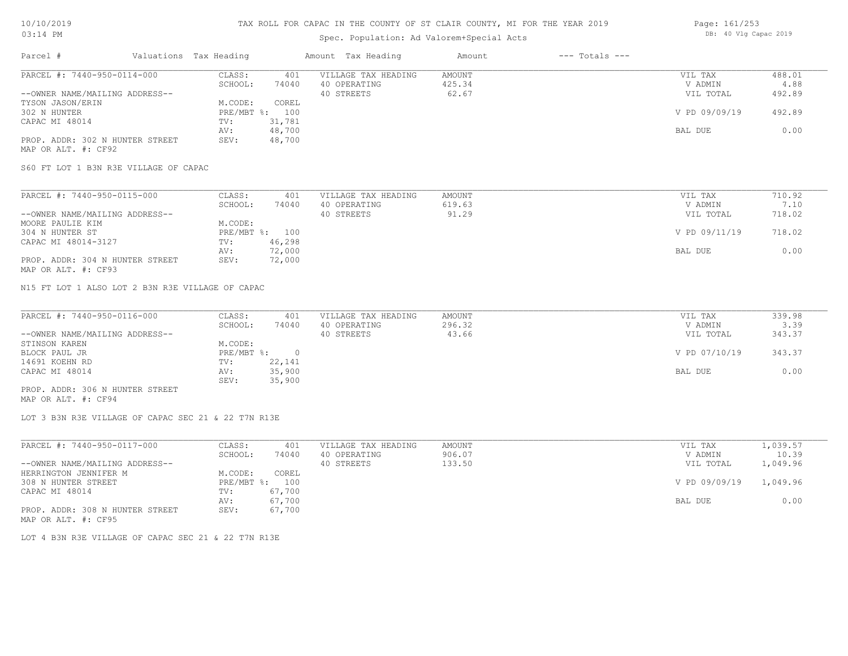## Spec. Population: Ad Valorem+Special Acts

| Page: 161/253 |  |                       |  |
|---------------|--|-----------------------|--|
|               |  | DB: 40 Vlg Capac 2019 |  |

| Parcel #                        | Valuations Tax Heading |        | Amount Tax Heading  | Amount | $---$ Totals $---$ |               |        |
|---------------------------------|------------------------|--------|---------------------|--------|--------------------|---------------|--------|
| PARCEL #: 7440-950-0114-000     | CLASS:                 | 401    | VILLAGE TAX HEADING | AMOUNT |                    | VIL TAX       | 488.01 |
|                                 | SCHOOL:                | 74040  | 40 OPERATING        | 425.34 |                    | V ADMIN       | 4.88   |
| --OWNER NAME/MAILING ADDRESS--  |                        |        | 40 STREETS          | 62.67  |                    | VIL TOTAL     | 492.89 |
| TYSON JASON/ERIN                | M.CODE:                | COREL  |                     |        |                    |               |        |
| 302 N HUNTER                    | $PRE/MBT$ %:           | 100    |                     |        |                    | V PD 09/09/19 | 492.89 |
| CAPAC MI 48014                  | TV:                    | 31,781 |                     |        |                    |               |        |
|                                 | AV:                    | 48,700 |                     |        |                    | BAL DUE       | 0.00   |
| PROP. ADDR: 302 N HUNTER STREET | SEV:                   | 48,700 |                     |        |                    |               |        |
| MAP OR ALT. #: CF92             |                        |        |                     |        |                    |               |        |

S60 FT LOT 1 B3N R3E VILLAGE OF CAPAC

| PARCEL #: 7440-950-0115-000     | CLASS:  | 401            | VILLAGE TAX HEADING | AMOUNT | VIL TAX       | 710.92 |
|---------------------------------|---------|----------------|---------------------|--------|---------------|--------|
|                                 | SCHOOL: | 74040          | 40 OPERATING        | 619.63 | V ADMIN       | 7.10   |
| --OWNER NAME/MAILING ADDRESS--  |         |                | 40 STREETS          | 91.29  | VIL TOTAL     | 718.02 |
| MOORE PAULIE KIM                | M.CODE: |                |                     |        |               |        |
| 304 N HUNTER ST                 |         | PRE/MBT %: 100 |                     |        | V PD 09/11/19 | 718.02 |
| CAPAC MI 48014-3127             | TV:     | 46,298         |                     |        |               |        |
|                                 | AV:     | 72,000         |                     |        | BAL DUE       | 0.00   |
| PROP. ADDR: 304 N HUNTER STREET | SEV:    | 72,000         |                     |        |               |        |
| MAP OR ALT. #: CF93             |         |                |                     |        |               |        |

N15 FT LOT 1 ALSO LOT 2 B3N R3E VILLAGE OF CAPAC

| PARCEL #: 7440-950-0116-000     | CLASS:     | 401    | VILLAGE TAX HEADING | AMOUNT | VIL TAX       | 339.98 |
|---------------------------------|------------|--------|---------------------|--------|---------------|--------|
|                                 | SCHOOL:    | 74040  | 40 OPERATING        | 296.32 | V ADMIN       | 3.39   |
| --OWNER NAME/MAILING ADDRESS--  |            |        | 40 STREETS          | 43.66  | VIL TOTAL     | 343.37 |
| STINSON KAREN                   | M.CODE:    |        |                     |        |               |        |
| BLOCK PAUL JR                   | PRE/MBT %: |        |                     |        | V PD 07/10/19 | 343.37 |
| 14691 KOEHN RD                  | TV:        | 22,141 |                     |        |               |        |
| CAPAC MI 48014                  | AV:        | 35,900 |                     |        | BAL DUE       | 0.00   |
|                                 | SEV:       | 35,900 |                     |        |               |        |
| PROP. ADDR: 306 N HUNTER STREET |            |        |                     |        |               |        |

MAP OR ALT. #: CF94

LOT 3 B3N R3E VILLAGE OF CAPAC SEC 21 & 22 T7N R13E

| PARCEL #: 7440-950-0117-000     | CLASS:     | 401    | VILLAGE TAX HEADING | AMOUNT | VIL TAX       | 1,039.57 |
|---------------------------------|------------|--------|---------------------|--------|---------------|----------|
|                                 | SCHOOL:    | 74040  | 40 OPERATING        | 906.07 | V ADMIN       | 10.39    |
| --OWNER NAME/MAILING ADDRESS--  |            |        | 40 STREETS          | 133.50 | VIL TOTAL     | 1,049.96 |
| HERRINGTON JENNIFER M           | M.CODE:    | COREL  |                     |        |               |          |
| 308 N HUNTER STREET             | PRE/MBT %: | 100    |                     |        | V PD 09/09/19 | 1,049.96 |
| CAPAC MI 48014                  | TV:        | 67,700 |                     |        |               |          |
|                                 | AV:        | 67,700 |                     |        | BAL DUE       | 0.00     |
| PROP. ADDR: 308 N HUNTER STREET | SEV:       | 67,700 |                     |        |               |          |
| MAP OR ALT. #: CF95             |            |        |                     |        |               |          |

LOT 4 B3N R3E VILLAGE OF CAPAC SEC 21 & 22 T7N R13E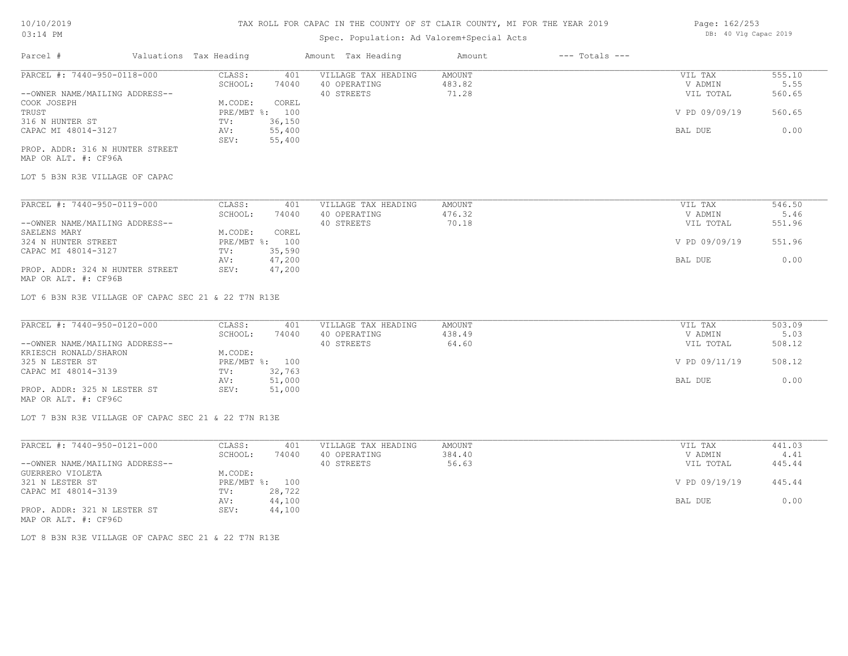### Spec. Population: Ad Valorem+Special Acts

| Page: 162/253 |  |                       |  |
|---------------|--|-----------------------|--|
|               |  | DB: 40 Vlg Capac 2019 |  |

| Parcel #                       | Valuations Tax Heading |                | Amount Tax Heading  | Amount | $---$ Totals $---$ |               |        |
|--------------------------------|------------------------|----------------|---------------------|--------|--------------------|---------------|--------|
| PARCEL #: 7440-950-0118-000    | CLASS:                 | 401            | VILLAGE TAX HEADING | AMOUNT |                    | VIL TAX       | 555.10 |
|                                | SCHOOL:                | 74040          | 40 OPERATING        | 483.82 |                    | V ADMIN       | 5.55   |
| --OWNER NAME/MAILING ADDRESS-- |                        |                | 40 STREETS          | 71.28  |                    | VIL TOTAL     | 560.65 |
| COOK JOSEPH                    | M.CODE:                | COREL          |                     |        |                    |               |        |
| TRUST                          |                        | PRE/MBT %: 100 |                     |        |                    | V PD 09/09/19 | 560.65 |
| 316 N HUNTER ST                | TV:                    | 36,150         |                     |        |                    |               |        |
| CAPAC MI 48014-3127            | AV:                    | 55,400         |                     |        |                    | BAL DUE       | 0.00   |
|                                | SEV:                   | 55,400         |                     |        |                    |               |        |
|                                |                        |                |                     |        |                    |               |        |

MAP OR ALT. #: CF96A PROP. ADDR: 316 N HUNTER STREET

LOT 5 B3N R3E VILLAGE OF CAPAC

| PARCEL #: 7440-950-0119-000     | CLASS:     | 401    | VILLAGE TAX HEADING | AMOUNT | VIL TAX       | 546.50 |
|---------------------------------|------------|--------|---------------------|--------|---------------|--------|
|                                 | SCHOOL:    | 74040  | 40 OPERATING        | 476.32 | V ADMIN       | 5.46   |
| --OWNER NAME/MAILING ADDRESS--  |            |        | 40 STREETS          | 70.18  | VIL TOTAL     | 551.96 |
| SAELENS MARY                    | M.CODE:    | COREL  |                     |        |               |        |
| 324 N HUNTER STREET             | PRE/MBT %: | 100    |                     |        | V PD 09/09/19 | 551.96 |
| CAPAC MI 48014-3127             | TV:        | 35,590 |                     |        |               |        |
|                                 | AV:        | 47,200 |                     |        | BAL DUE       | 0.00   |
| PROP. ADDR: 324 N HUNTER STREET | SEV:       | 47,200 |                     |        |               |        |

MAP OR ALT. #: CF96B

LOT 6 B3N R3E VILLAGE OF CAPAC SEC 21 & 22 T7N R13E

| PARCEL #: 7440-950-0120-000    | CLASS:  | 401            | VILLAGE TAX HEADING | AMOUNT | VIL TAX       | 503.09 |
|--------------------------------|---------|----------------|---------------------|--------|---------------|--------|
|                                | SCHOOL: | 74040          | 40 OPERATING        | 438.49 | V ADMIN       | 5.03   |
| --OWNER NAME/MAILING ADDRESS-- |         |                | 40 STREETS          | 64.60  | VIL TOTAL     | 508.12 |
| KRIESCH RONALD/SHARON          | M.CODE: |                |                     |        |               |        |
| 325 N LESTER ST                |         | PRE/MBT %: 100 |                     |        | V PD 09/11/19 | 508.12 |
| CAPAC MI 48014-3139            | TV:     | 32,763         |                     |        |               |        |
|                                | AV:     | 51,000         |                     |        | BAL DUE       | 0.00   |
| PROP. ADDR: 325 N LESTER ST    | SEV:    | 51,000         |                     |        |               |        |
| MAP OR ALT. #: CF96C           |         |                |                     |        |               |        |

LOT 7 B3N R3E VILLAGE OF CAPAC SEC 21 & 22 T7N R13E

| PARCEL #: 7440-950-0121-000    | CLASS:  | 401            | VILLAGE TAX HEADING | AMOUNT | VIL TAX       | 441.03 |
|--------------------------------|---------|----------------|---------------------|--------|---------------|--------|
|                                | SCHOOL: | 74040          | 40 OPERATING        | 384.40 | V ADMIN       | 4.41   |
| --OWNER NAME/MAILING ADDRESS-- |         |                | 40 STREETS          | 56.63  | VIL TOTAL     | 445.44 |
| GUERRERO VIOLETA               | M.CODE: |                |                     |        |               |        |
| 321 N LESTER ST                |         | PRE/MBT %: 100 |                     |        | V PD 09/19/19 | 445.44 |
| CAPAC MI 48014-3139            | TV:     | 28,722         |                     |        |               |        |
|                                | AV:     | 44,100         |                     |        | BAL DUE       | 0.00   |
| PROP. ADDR: 321 N LESTER ST    | SEV:    | 44,100         |                     |        |               |        |
| MAP OR ALT. #: CF96D           |         |                |                     |        |               |        |

LOT 8 B3N R3E VILLAGE OF CAPAC SEC 21 & 22 T7N R13E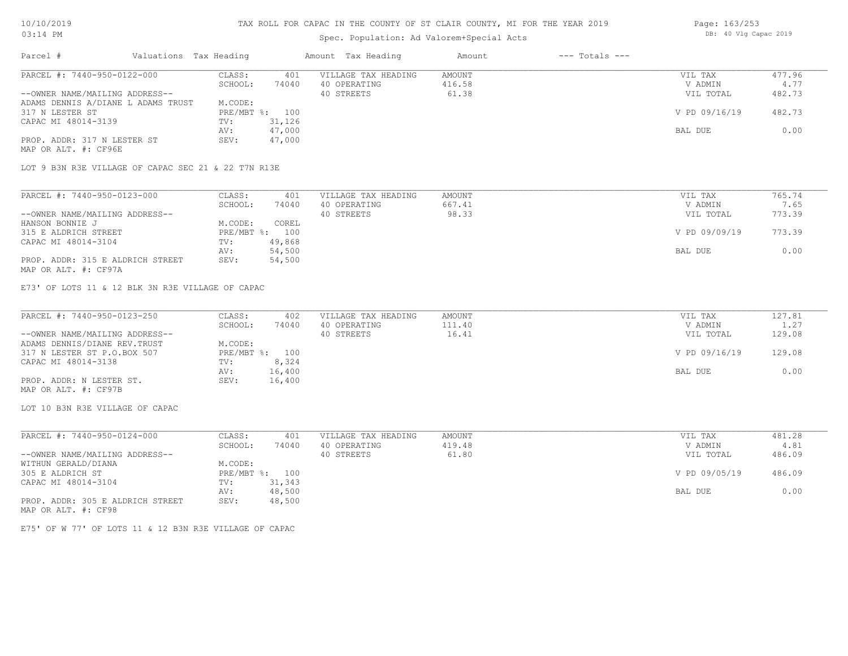#### TAX ROLL FOR CAPAC IN THE COUNTY OF ST CLAIR COUNTY, MI FOR THE YEAR 2019

## Spec. Population: Ad Valorem+Special Acts

| Parcel #                           | Valuations Tax Heading |        | Amount Tax Heading  | Amount | $---$ Totals $---$ |               |        |
|------------------------------------|------------------------|--------|---------------------|--------|--------------------|---------------|--------|
| PARCEL #: 7440-950-0122-000        | CLASS:                 | 401    | VILLAGE TAX HEADING | AMOUNT |                    | VIL TAX       | 477.96 |
|                                    | SCHOOL:                | 74040  | 40 OPERATING        | 416.58 |                    | V ADMIN       | 4.77   |
| --OWNER NAME/MAILING ADDRESS--     |                        |        | 40 STREETS          | 61.38  |                    | VIL TOTAL     | 482.73 |
| ADAMS DENNIS A/DIANE L ADAMS TRUST | M.CODE:                |        |                     |        |                    |               |        |
| 317 N LESTER ST                    | PRE/MBT %:             | 100    |                     |        |                    | V PD 09/16/19 | 482.73 |
| CAPAC MI 48014-3139                | TV:                    | 31,126 |                     |        |                    |               |        |
|                                    | AV:                    | 47,000 |                     |        |                    | BAL DUE       | 0.00   |
| PROP. ADDR: 317 N LESTER ST        | SEV:                   | 47,000 |                     |        |                    |               |        |
| MAP OR ALT. #: CF96E               |                        |        |                     |        |                    |               |        |

LOT 9 B3N R3E VILLAGE OF CAPAC SEC 21 & 22 T7N R13E

| PARCEL #: 7440-950-0123-000      | CLASS:  | 401            | VILLAGE TAX HEADING | AMOUNT | VIL TAX       | 765.74 |
|----------------------------------|---------|----------------|---------------------|--------|---------------|--------|
|                                  | SCHOOL: | 74040          | 40 OPERATING        | 667.41 | V ADMIN       | 7.65   |
| --OWNER NAME/MAILING ADDRESS--   |         |                | 40 STREETS          | 98.33  | VIL TOTAL     | 773.39 |
| HANSON BONNIE J                  | M.CODE: | COREL          |                     |        |               |        |
| 315 E ALDRICH STREET             |         | PRE/MBT %: 100 |                     |        | V PD 09/09/19 | 773.39 |
| CAPAC MI 48014-3104              | TV:     | 49,868         |                     |        |               |        |
|                                  | AV:     | 54,500         |                     |        | BAL DUE       | 0.00   |
| PROP. ADDR: 315 E ALDRICH STREET | SEV:    | 54,500         |                     |        |               |        |
| MAP OR ALT. #: CF97A             |         |                |                     |        |               |        |

E73' OF LOTS 11 & 12 BLK 3N R3E VILLAGE OF CAPAC

| PARCEL #: 7440-950-0123-250    | CLASS:  | 402            | VILLAGE TAX HEADING | AMOUNT | VIL TAX       | 127.81 |
|--------------------------------|---------|----------------|---------------------|--------|---------------|--------|
|                                | SCHOOL: | 74040          | 40 OPERATING        | 111.40 | V ADMIN       | 1.27   |
| --OWNER NAME/MAILING ADDRESS-- |         |                | 40 STREETS          | 16.41  | VIL TOTAL     | 129.08 |
| ADAMS DENNIS/DIANE REV. TRUST  | M.CODE: |                |                     |        |               |        |
| 317 N LESTER ST P.O.BOX 507    |         | PRE/MBT %: 100 |                     |        | V PD 09/16/19 | 129.08 |
| CAPAC MI 48014-3138            | TV:     | 8,324          |                     |        |               |        |
|                                | AV:     | 16,400         |                     |        | BAL DUE       | 0.00   |
| PROP. ADDR: N LESTER ST.       | SEV:    | 16,400         |                     |        |               |        |
| MAP OR ALT. #: CF97B           |         |                |                     |        |               |        |

LOT 10 B3N R3E VILLAGE OF CAPAC

| PARCEL #: 7440-950-0124-000      | CLASS:     | 401    | VILLAGE TAX HEADING | AMOUNT | VIL TAX       | 481.28 |
|----------------------------------|------------|--------|---------------------|--------|---------------|--------|
|                                  | SCHOOL:    | 74040  | 40 OPERATING        | 419.48 | V ADMIN       | 4.81   |
| --OWNER NAME/MAILING ADDRESS--   |            |        | 40 STREETS          | 61.80  | VIL TOTAL     | 486.09 |
| WITHUN GERALD/DIANA              | M.CODE:    |        |                     |        |               |        |
| 305 E ALDRICH ST                 | PRE/MBT %: | 100    |                     |        | V PD 09/05/19 | 486.09 |
| CAPAC MI 48014-3104              | TV:        | 31,343 |                     |        |               |        |
|                                  | AV:        | 48,500 |                     |        | BAL DUE       | 0.00   |
| PROP. ADDR: 305 E ALDRICH STREET | SEV:       | 48,500 |                     |        |               |        |
| MAP OR ALT. #: CF98              |            |        |                     |        |               |        |

E75' OF W 77' OF LOTS 11 & 12 B3N R3E VILLAGE OF CAPAC

Page: 163/253 DB: 40 Vlg Capac 2019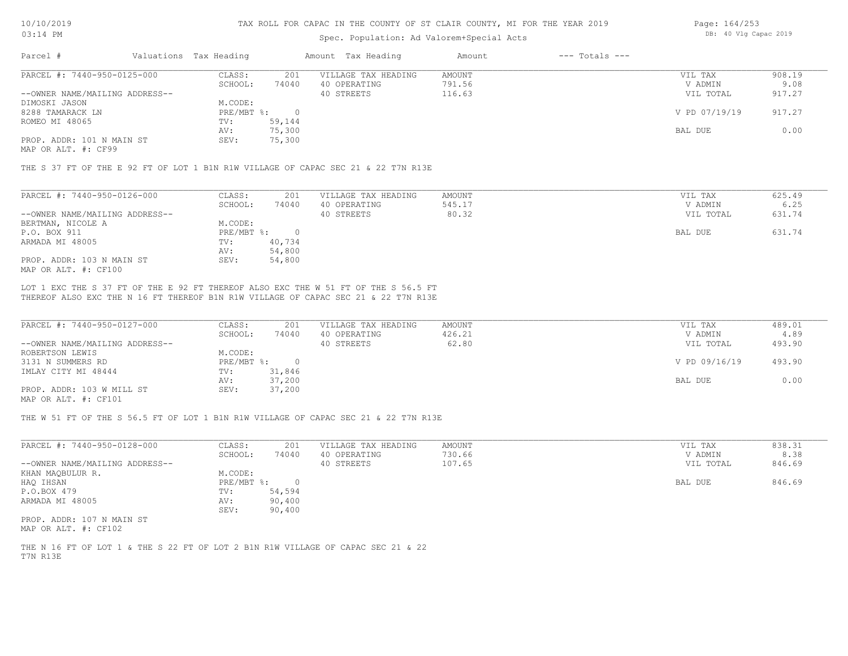#### Spec. Population: Ad Valorem+Special Acts

| Page: 164/253 |  |                       |  |
|---------------|--|-----------------------|--|
|               |  | DB: 40 Vlg Capac 2019 |  |

| Parcel #                       | Valuations Tax Heading |        | Amount Tax Heading  | Amount | $---$ Totals $---$ |               |        |
|--------------------------------|------------------------|--------|---------------------|--------|--------------------|---------------|--------|
| PARCEL #: 7440-950-0125-000    | CLASS:                 | 201    | VILLAGE TAX HEADING | AMOUNT |                    | VIL TAX       | 908.19 |
|                                | SCHOOL:                | 74040  | 40 OPERATING        | 791.56 |                    | V ADMIN       | 9.08   |
| --OWNER NAME/MAILING ADDRESS-- |                        |        | 40 STREETS          | 116.63 |                    | VIL TOTAL     | 917.27 |
| DIMOSKI JASON                  | M.CODE:                |        |                     |        |                    |               |        |
| 8288 TAMARACK LN               | PRE/MBT %:             |        |                     |        |                    | V PD 07/19/19 | 917.27 |
| ROMEO MI 48065                 | TV:                    | 59,144 |                     |        |                    |               |        |
|                                | AV:                    | 75,300 |                     |        |                    | BAL DUE       | 0.00   |
| PROP. ADDR: 101 N MAIN ST      | SEV:                   | 75,300 |                     |        |                    |               |        |
|                                |                        |        |                     |        |                    |               |        |

MAP OR ALT. #: CF99

THE S 37 FT OF THE E 92 FT OF LOT 1 B1N R1W VILLAGE OF CAPAC SEC 21 & 22 T7N R13E

| PARCEL #: 7440-950-0126-000    | CLASS:     | 201    | VILLAGE TAX HEADING | AMOUNT | VIL TAX   | 625.49 |
|--------------------------------|------------|--------|---------------------|--------|-----------|--------|
|                                | SCHOOL:    | 74040  | 40 OPERATING        | 545.17 | V ADMIN   | 6.25   |
| --OWNER NAME/MAILING ADDRESS-- |            |        | 40 STREETS          | 80.32  | VIL TOTAL | 631.74 |
| BERTMAN, NICOLE A              | M.CODE:    |        |                     |        |           |        |
| P.O. BOX 911                   | PRE/MBT %: |        |                     |        | BAL DUE   | 631.74 |
| ARMADA MI 48005                | TV:        | 40,734 |                     |        |           |        |
|                                | AV:        | 54,800 |                     |        |           |        |
| PROP. ADDR: 103 N MAIN ST      | SEV:       | 54,800 |                     |        |           |        |
| MAP OR ALT. #: CF100           |            |        |                     |        |           |        |

THEREOF ALSO EXC THE N 16 FT THEREOF B1N R1W VILLAGE OF CAPAC SEC 21 & 22 T7N R13E LOT 1 EXC THE S 37 FT OF THE E 92 FT THEREOF ALSO EXC THE W 51 FT OF THE S 56.5 FT

| PARCEL #: 7440-950-0127-000    | CLASS:     | 201    | VILLAGE TAX HEADING | AMOUNT | VIL TAX       | 489.01 |
|--------------------------------|------------|--------|---------------------|--------|---------------|--------|
|                                | SCHOOL:    | 74040  | 40 OPERATING        | 426.21 | V ADMIN       | 4.89   |
| --OWNER NAME/MAILING ADDRESS-- |            |        | 40 STREETS          | 62.80  | VIL TOTAL     | 493.90 |
| ROBERTSON LEWIS                | M.CODE:    |        |                     |        |               |        |
| 3131 N SUMMERS RD              | PRE/MBT %: |        |                     |        | V PD 09/16/19 | 493.90 |
| IMLAY CITY MI 48444            | TV:        | 31,846 |                     |        |               |        |
|                                | AV:        | 37,200 |                     |        | BAL DUE       | 0.00   |
| PROP. ADDR: 103 W MILL ST      | SEV:       | 37,200 |                     |        |               |        |
| $\frac{1}{2}$                  |            |        |                     |        |               |        |

MAP OR ALT. #: CF101

THE W 51 FT OF THE S 56.5 FT OF LOT 1 B1N R1W VILLAGE OF CAPAC SEC 21 & 22 T7N R13E

| PARCEL #: 7440-950-0128-000    | CLASS:       | 201    | VILLAGE TAX HEADING | AMOUNT | VIL TAX   | 838.31 |
|--------------------------------|--------------|--------|---------------------|--------|-----------|--------|
|                                | SCHOOL:      | 74040  | 40 OPERATING        | 730.66 | V ADMIN   | 8.38   |
| --OWNER NAME/MAILING ADDRESS-- |              |        | 40 STREETS          | 107.65 | VIL TOTAL | 846.69 |
| KHAN MAQBULUR R.               | M.CODE:      |        |                     |        |           |        |
| HAQ IHSAN                      | $PRE/MBT$ %: |        |                     |        | BAL DUE   | 846.69 |
| P.O.BOX 479                    | TV:          | 54,594 |                     |        |           |        |
| ARMADA MI 48005                | AV:          | 90,400 |                     |        |           |        |
|                                | SEV:         | 90,400 |                     |        |           |        |
| PROP. ADDR: 107 N MAIN ST      |              |        |                     |        |           |        |
|                                |              |        |                     |        |           |        |

MAP OR ALT. #: CF102

T7N R13E THE N 16 FT OF LOT 1 & THE S 22 FT OF LOT 2 B1N R1W VILLAGE OF CAPAC SEC 21 & 22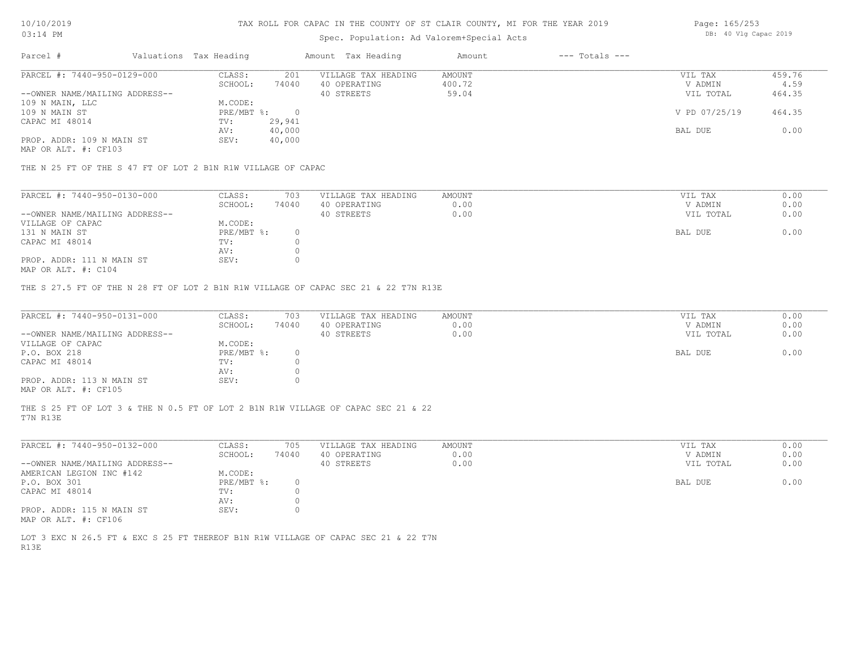## Spec. Population: Ad Valorem+Special Acts

| Page: 165/253 |  |  |                       |  |
|---------------|--|--|-----------------------|--|
|               |  |  | DB: 40 Vlg Capac 2019 |  |

| Parcel #                       | Valuations Tax Heading |        | Amount Tax Heading  | Amount | $---$ Totals $---$ |               |        |
|--------------------------------|------------------------|--------|---------------------|--------|--------------------|---------------|--------|
| PARCEL #: 7440-950-0129-000    | CLASS:                 | 201    | VILLAGE TAX HEADING | AMOUNT |                    | VIL TAX       | 459.76 |
|                                | SCHOOL:                | 74040  | 40 OPERATING        | 400.72 |                    | V ADMIN       | 4.59   |
| --OWNER NAME/MAILING ADDRESS-- |                        |        | 40 STREETS          | 59.04  |                    | VIL TOTAL     | 464.35 |
| 109 N MAIN, LLC                | M.CODE:                |        |                     |        |                    |               |        |
| 109 N MAIN ST                  | $PRE/MBT$ %:           |        |                     |        |                    | V PD 07/25/19 | 464.35 |
| CAPAC MI 48014                 | TV:                    | 29,941 |                     |        |                    |               |        |
|                                | AV:                    | 40,000 |                     |        |                    | BAL DUE       | 0.00   |
| PROP. ADDR: 109 N MAIN ST      | SEV:                   | 40,000 |                     |        |                    |               |        |
|                                |                        |        |                     |        |                    |               |        |

MAP OR ALT. #: CF103

THE N 25 FT OF THE S 47 FT OF LOT 2 B1N R1W VILLAGE OF CAPAC

| PARCEL #: 7440-950-0130-000    | CLASS:     | 703   | VILLAGE TAX HEADING | AMOUNT | VIL TAX   | 0.00 |
|--------------------------------|------------|-------|---------------------|--------|-----------|------|
|                                | SCHOOL:    | 74040 | 40 OPERATING        | 0.00   | V ADMIN   | 0.00 |
| --OWNER NAME/MAILING ADDRESS-- |            |       | 40 STREETS          | 0.00   | VIL TOTAL | 0.00 |
| VILLAGE OF CAPAC               | M.CODE:    |       |                     |        |           |      |
| 131 N MAIN ST                  | PRE/MBT %: |       |                     |        | BAL DUE   | 0.00 |
| CAPAC MI 48014                 | TV:        |       |                     |        |           |      |
|                                | AV:        |       |                     |        |           |      |
| PROP. ADDR: 111 N MAIN ST      | SEV:       |       |                     |        |           |      |
|                                |            |       |                     |        |           |      |

MAP OR ALT. #: C104

THE S 27.5 FT OF THE N 28 FT OF LOT 2 B1N R1W VILLAGE OF CAPAC SEC 21 & 22 T7N R13E

| PARCEL #: 7440-950-0131-000    | CLASS:       | 703   | VILLAGE TAX HEADING | AMOUNT | VIL TAX   | 0.00 |
|--------------------------------|--------------|-------|---------------------|--------|-----------|------|
|                                | SCHOOL:      | 74040 | 40 OPERATING        | 0.00   | V ADMIN   | 0.00 |
| --OWNER NAME/MAILING ADDRESS-- |              |       | 40 STREETS          | 0.00   | VIL TOTAL | 0.00 |
| VILLAGE OF CAPAC               | M.CODE:      |       |                     |        |           |      |
| P.O. BOX 218                   | $PRE/MBT$ %: |       |                     |        | BAL DUE   | 0.00 |
| CAPAC MI 48014                 | TV:          |       |                     |        |           |      |
|                                | AV:          |       |                     |        |           |      |
| PROP. ADDR: 113 N MAIN ST      | SEV:         |       |                     |        |           |      |
| MAP OR ALT. #: CF105           |              |       |                     |        |           |      |

T7N R13E THE S 25 FT OF LOT 3 & THE N 0.5 FT OF LOT 2 B1N R1W VILLAGE OF CAPAC SEC 21 & 22

| PARCEL #: 7440-950-0132-000    | CLASS:     | 705   | VILLAGE TAX HEADING | AMOUNT | VIL TAX   | 0.00 |
|--------------------------------|------------|-------|---------------------|--------|-----------|------|
|                                | SCHOOL:    | 74040 | 40 OPERATING        | 0.00   | V ADMIN   | 0.00 |
| --OWNER NAME/MAILING ADDRESS-- |            |       | 40 STREETS          | 0.00   | VIL TOTAL | 0.00 |
| AMERICAN LEGION INC #142       | M.CODE:    |       |                     |        |           |      |
| P.O. BOX 301                   | PRE/MBT %: |       |                     |        | BAL DUE   | 0.00 |
| CAPAC MI 48014                 | TV:        |       |                     |        |           |      |
|                                | AV:        |       |                     |        |           |      |
| PROP. ADDR: 115 N MAIN ST      | SEV:       |       |                     |        |           |      |
| MAP OR ALT. #: CF106           |            |       |                     |        |           |      |

R13E LOT 3 EXC N 26.5 FT & EXC S 25 FT THEREOF B1N R1W VILLAGE OF CAPAC SEC 21 & 22 T7N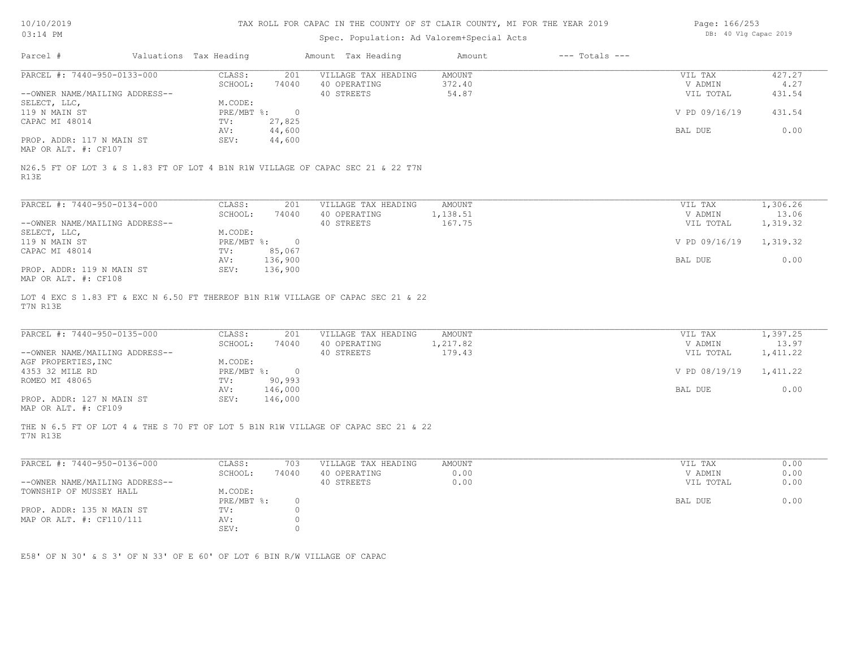## Spec. Population: Ad Valorem+Special Acts

| Page: 166/253 |  |                       |  |
|---------------|--|-----------------------|--|
|               |  | DB: 40 Vlg Capac 2019 |  |

| Parcel #                                                                 | Valuations Tax Heading |                  | Amount Tax Heading                                                                | Amount                    | $---$ Totals $---$ |                      |                   |
|--------------------------------------------------------------------------|------------------------|------------------|-----------------------------------------------------------------------------------|---------------------------|--------------------|----------------------|-------------------|
| PARCEL #: 7440-950-0133-000                                              | CLASS:<br>SCHOOL:      | 201<br>74040     | VILLAGE TAX HEADING<br>40 OPERATING                                               | <b>AMOUNT</b><br>372.40   |                    | VIL TAX<br>V ADMIN   | 427.27<br>4.27    |
| --OWNER NAME/MAILING ADDRESS--                                           |                        |                  | 40 STREETS                                                                        | 54.87                     |                    | VIL TOTAL            | 431.54            |
| SELECT, LLC,                                                             | M.CODE:                |                  |                                                                                   |                           |                    |                      |                   |
| 119 N MAIN ST                                                            | PRE/MBT %:             | $\overline{0}$   |                                                                                   |                           |                    | V PD 09/16/19        | 431.54            |
| CAPAC MI 48014                                                           | TV:<br>AV:             | 27,825<br>44,600 |                                                                                   |                           |                    | BAL DUE              | 0.00              |
| PROP. ADDR: 117 N MAIN ST                                                | SEV:                   | 44,600           |                                                                                   |                           |                    |                      |                   |
| MAP OR ALT. #: CF107                                                     |                        |                  |                                                                                   |                           |                    |                      |                   |
| R13E                                                                     |                        |                  | N26.5 FT OF LOT 3 & S 1.83 FT OF LOT 4 B1N R1W VILLAGE OF CAPAC SEC 21 & 22 T7N   |                           |                    |                      |                   |
|                                                                          |                        |                  |                                                                                   |                           |                    |                      |                   |
| PARCEL #: 7440-950-0134-000                                              | CLASS:                 | 201              | VILLAGE TAX HEADING                                                               | AMOUNT                    |                    | VIL TAX              | 1,306.26          |
| --OWNER NAME/MAILING ADDRESS--                                           | SCHOOL:                | 74040            | 40 OPERATING<br>40 STREETS                                                        | 1,138.51<br>167.75        |                    | V ADMIN<br>VIL TOTAL | 13.06<br>1,319.32 |
| SELECT, LLC,                                                             | M.CODE:                |                  |                                                                                   |                           |                    |                      |                   |
| 119 N MAIN ST                                                            | $PRE/MBT$ %:           | $\overline{0}$   |                                                                                   |                           |                    | V PD 09/16/19        | 1,319.32          |
| CAPAC MI 48014                                                           | TV:                    | 85,067           |                                                                                   |                           |                    |                      |                   |
|                                                                          | AV:                    | 136,900          |                                                                                   |                           |                    | BAL DUE              | 0.00              |
| PROP. ADDR: 119 N MAIN ST<br>MAP OR ALT. #: CF108                        | SEV:                   | 136,900          |                                                                                   |                           |                    |                      |                   |
| T7N R13E                                                                 |                        |                  | LOT 4 EXC S 1.83 FT & EXC N 6.50 FT THEREOF B1N R1W VILLAGE OF CAPAC SEC 21 & 22  |                           |                    |                      |                   |
| PARCEL #: 7440-950-0135-000                                              | CLASS:<br>SCHOOL:      | 201<br>74040     | VILLAGE TAX HEADING<br>40 OPERATING                                               | <b>AMOUNT</b><br>1,217.82 |                    | VIL TAX<br>V ADMIN   | 1,397.25<br>13.97 |
| --OWNER NAME/MAILING ADDRESS--                                           |                        |                  | 40 STREETS                                                                        | 179.43                    |                    | VIL TOTAL            | 1,411.22          |
| AGF PROPERTIES, INC                                                      | M.CODE:                |                  |                                                                                   |                           |                    |                      |                   |
| 4353 32 MILE RD                                                          |                        | PRE/MBT %: 0     |                                                                                   |                           |                    | V PD 08/19/19        | 1,411.22          |
| ROMEO MI 48065                                                           | TV:                    | 90,993           |                                                                                   |                           |                    |                      |                   |
|                                                                          | AV:                    | 146,000          |                                                                                   |                           |                    | BAL DUE              | 0.00              |
| PROP. ADDR: 127 N MAIN ST<br>MAP OR ALT. #: CF109                        | SEV:                   | 146,000          |                                                                                   |                           |                    |                      |                   |
| T7N R13E                                                                 |                        |                  | THE N 6.5 FT OF LOT 4 & THE S 70 FT OF LOT 5 B1N R1W VILLAGE OF CAPAC SEC 21 & 22 |                           |                    |                      |                   |
|                                                                          |                        |                  |                                                                                   |                           |                    |                      |                   |
| PARCEL #: 7440-950-0136-000                                              | CLASS:                 | 703              | VILLAGE TAX HEADING                                                               | <b>AMOUNT</b>             |                    | VIL TAX              | 0.00              |
|                                                                          | SCHOOL:                | 74040            | 40 OPERATING                                                                      | 0.00                      |                    | V ADMIN              | 0.00              |
| --OWNER NAME/MAILING ADDRESS--                                           |                        |                  | 40 STREETS                                                                        | 0.00                      |                    | VIL TOTAL            | 0.00              |
| TOWNSHIP OF MUSSEY HALL                                                  | M.CODE:<br>PRE/MBT %:  | $\circ$          |                                                                                   |                           |                    | BAL DUE              | 0.00              |
| PROP. ADDR: 135 N MAIN ST                                                | TV:                    | $\circ$          |                                                                                   |                           |                    |                      |                   |
| MAP OR ALT. #: CF110/111                                                 | AV:                    | $\circ$          |                                                                                   |                           |                    |                      |                   |
|                                                                          | SEV:                   | $\circ$          |                                                                                   |                           |                    |                      |                   |
|                                                                          |                        |                  |                                                                                   |                           |                    |                      |                   |
| E58' OF N 30' & S 3' OF N 33' OF E 60' OF LOT 6 BIN R/W VILLAGE OF CAPAC |                        |                  |                                                                                   |                           |                    |                      |                   |
|                                                                          |                        |                  |                                                                                   |                           |                    |                      |                   |
|                                                                          |                        |                  |                                                                                   |                           |                    |                      |                   |
|                                                                          |                        |                  |                                                                                   |                           |                    |                      |                   |
|                                                                          |                        |                  |                                                                                   |                           |                    |                      |                   |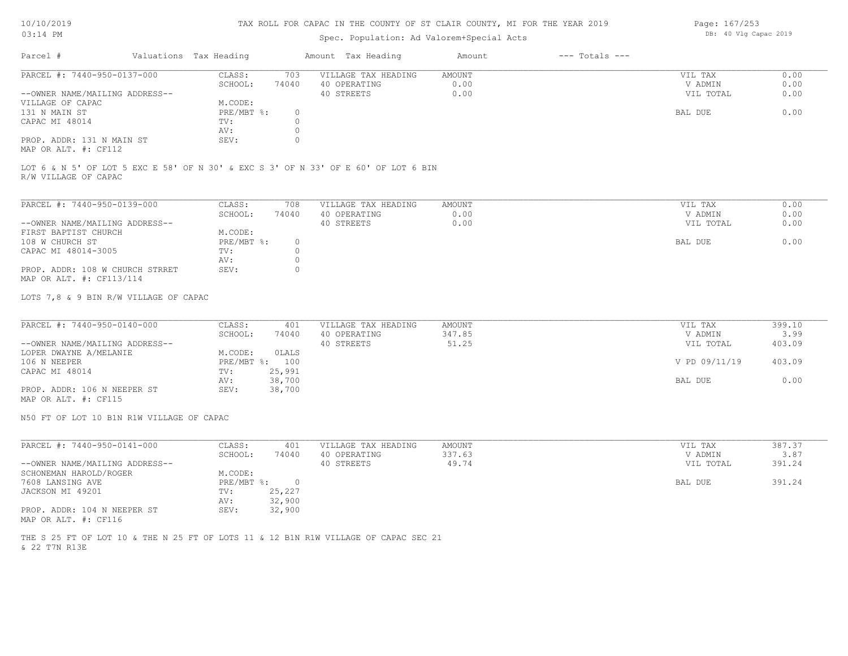#### TAX ROLL FOR CAPAC IN THE COUNTY OF ST CLAIR COUNTY, MI FOR THE YEAR 2019

## Spec. Population: Ad Valorem+Special Acts

| Parcel #                       | Valuations Tax Heading |       | Amount Tax Heading  | Amount | $---$ Totals $---$ |           |      |
|--------------------------------|------------------------|-------|---------------------|--------|--------------------|-----------|------|
| PARCEL #: 7440-950-0137-000    | CLASS:                 | 703   | VILLAGE TAX HEADING | AMOUNT |                    | VIL TAX   | 0.00 |
|                                | SCHOOL:                | 74040 | 40 OPERATING        | 0.00   |                    | V ADMIN   | 0.00 |
| --OWNER NAME/MAILING ADDRESS-- |                        |       | 40 STREETS          | 0.00   |                    | VIL TOTAL | 0.00 |
| VILLAGE OF CAPAC               | M.CODE:                |       |                     |        |                    |           |      |
| 131 N MAIN ST                  | PRE/MBT %:             |       |                     |        |                    | BAL DUE   | 0.00 |
| CAPAC MI 48014                 | TV:                    |       |                     |        |                    |           |      |
|                                | AV:                    |       |                     |        |                    |           |      |
| PROP. ADDR: 131 N MAIN ST      | SEV:                   |       |                     |        |                    |           |      |
|                                |                        |       |                     |        |                    |           |      |

MAP OR ALT. #: CF112

R/W VILLAGE OF CAPAC LOT 6 & N 5' OF LOT 5 EXC E 58' OF N 30' & EXC S 3' OF N 33' OF E 60' OF LOT 6 BIN

| PARCEL #: 7440-950-0139-000     | CLASS:     | 708   | VILLAGE TAX HEADING | AMOUNT | 0.00<br>VIL TAX   |
|---------------------------------|------------|-------|---------------------|--------|-------------------|
|                                 | SCHOOL:    | 74040 | 40 OPERATING        | 0.00   | 0.00<br>V ADMIN   |
| --OWNER NAME/MAILING ADDRESS--  |            |       | 40 STREETS          | 0.00   | 0.00<br>VIL TOTAL |
| FIRST BAPTIST CHURCH            | M.CODE:    |       |                     |        |                   |
| 108 W CHURCH ST                 | PRE/MBT %: |       |                     |        | 0.00<br>BAL DUE   |
| CAPAC MI 48014-3005             | TV:        |       |                     |        |                   |
|                                 | AV:        |       |                     |        |                   |
| PROP. ADDR: 108 W CHURCH STRRET | SEV:       |       |                     |        |                   |
| MAP OR ALT. #: CF113/114        |            |       |                     |        |                   |

LOTS 7,8 & 9 BIN R/W VILLAGE OF CAPAC

| PARCEL #: 7440-950-0140-000    | CLASS:  | 401            | VILLAGE TAX HEADING | AMOUNT | VIL TAX       | 399.10 |
|--------------------------------|---------|----------------|---------------------|--------|---------------|--------|
|                                | SCHOOL: | 74040          | 40 OPERATING        | 347.85 | V ADMIN       | 3.99   |
| --OWNER NAME/MAILING ADDRESS-- |         |                | 40 STREETS          | 51.25  | VIL TOTAL     | 403.09 |
| LOPER DWAYNE A/MELANIE         | M.CODE: | OLALS          |                     |        |               |        |
| 106 N NEEPER                   |         | PRE/MBT %: 100 |                     |        | V PD 09/11/19 | 403.09 |
| CAPAC MI 48014                 | TV:     | 25,991         |                     |        |               |        |
|                                | AV:     | 38,700         |                     |        | BAL DUE       | 0.00   |
| PROP. ADDR: 106 N NEEPER ST    | SEV:    | 38,700         |                     |        |               |        |
|                                |         |                |                     |        |               |        |

MAP OR ALT. #: CF115

N50 FT OF LOT 10 B1N R1W VILLAGE OF CAPAC

| PARCEL #: 7440-950-0141-000    | CLASS:       | 401    | VILLAGE TAX HEADING | AMOUNT | VIL TAX   | 387.37 |
|--------------------------------|--------------|--------|---------------------|--------|-----------|--------|
|                                | SCHOOL:      | 74040  | 40 OPERATING        | 337.63 | V ADMIN   | 3.87   |
| --OWNER NAME/MAILING ADDRESS-- |              |        | 40 STREETS          | 49.74  | VIL TOTAL | 391.24 |
| SCHONEMAN HAROLD/ROGER         | M.CODE:      |        |                     |        |           |        |
| 7608 LANSING AVE               | $PRE/MBT$ %: |        |                     |        | BAL DUE   | 391.24 |
| JACKSON MI 49201               | TV:          | 25,227 |                     |        |           |        |
|                                | AV:          | 32,900 |                     |        |           |        |
| PROP. ADDR: 104 N NEEPER ST    | SEV:         | 32,900 |                     |        |           |        |
| MAP OR ALT. #: CF116           |              |        |                     |        |           |        |

& 22 T7N R13E THE S 25 FT OF LOT 10 & THE N 25 FT OF LOTS 11 & 12 B1N R1W VILLAGE OF CAPAC SEC 21 Page: 167/253 DB: 40 Vlg Capac 2019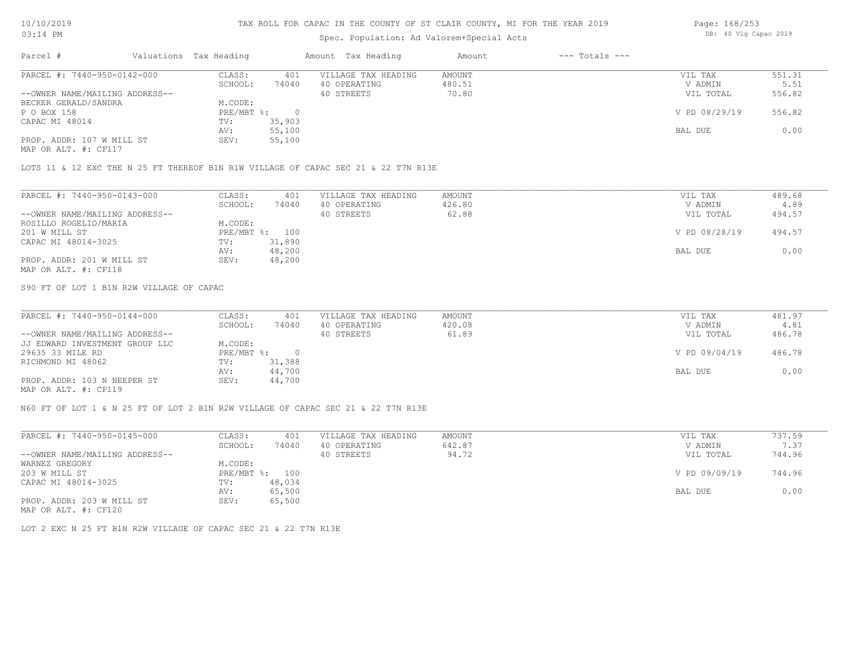### Spec. Population: Ad Valorem+Special Acts

| Page: 168/253 |  |                       |  |
|---------------|--|-----------------------|--|
|               |  | DB: 40 Vlg Capac 2019 |  |

| Parcel #                       | Valuations Tax Heading |        | Amount Tax Heading  | Amount | $---$ Totals $---$ |               |        |
|--------------------------------|------------------------|--------|---------------------|--------|--------------------|---------------|--------|
| PARCEL #: 7440-950-0142-000    | CLASS:                 | 401    | VILLAGE TAX HEADING | AMOUNT |                    | VIL TAX       | 551.31 |
|                                | SCHOOL:                | 74040  | 40 OPERATING        | 480.51 |                    | V ADMIN       | 5.51   |
| --OWNER NAME/MAILING ADDRESS-- |                        |        | 40 STREETS          | 70.80  |                    | VIL TOTAL     | 556.82 |
| BECKER GERALD/SANDRA           | M.CODE:                |        |                     |        |                    |               |        |
| P O BOX 158                    | $PRE/MBT$ %:           |        |                     |        |                    | V PD 08/29/19 | 556.82 |
| CAPAC MI 48014                 | TV:                    | 35,903 |                     |        |                    |               |        |
|                                | AV:                    | 55,100 |                     |        |                    | BAL DUE       | 0.00   |
| PROP. ADDR: 107 W MILL ST      | SEV:                   | 55,100 |                     |        |                    |               |        |
| MAP OR ALT. #: CF117           |                        |        |                     |        |                    |               |        |

LOTS 11 & 12 EXC THE N 25 FT THEREOF B1N R1W VILLAGE OF CAPAC SEC 21 & 22 T7N R13E

| PARCEL #: 7440-950-0143-000    | CLASS:     | 401    | VILLAGE TAX HEADING | AMOUNT | VIL TAX       | 489.68 |
|--------------------------------|------------|--------|---------------------|--------|---------------|--------|
|                                | SCHOOL:    | 74040  | 40 OPERATING        | 426.80 | V ADMIN       | 4.89   |
| --OWNER NAME/MAILING ADDRESS-- |            |        | 40 STREETS          | 62.88  | VIL TOTAL     | 494.57 |
| ROSILLO ROGELIO/MARIA          | M.CODE:    |        |                     |        |               |        |
| 201 W MILL ST                  | PRE/MBT %: | 100    |                     |        | V PD 08/28/19 | 494.57 |
| CAPAC MI 48014-3025            | TV:        | 31,890 |                     |        |               |        |
|                                | AV:        | 48,200 |                     |        | BAL DUE       | 0.00   |
| PROP. ADDR: 201 W MILL ST      | SEV:       | 48,200 |                     |        |               |        |
| MAP OR ALT. #: CF118           |            |        |                     |        |               |        |

S90 FT OF LOT 1 B1N R2W VILLAGE OF CAPAC

| PARCEL #: 7440-950-0144-000    | CLASS:     | 401    | VILLAGE TAX HEADING | AMOUNT | VIL TAX       | 481.97 |
|--------------------------------|------------|--------|---------------------|--------|---------------|--------|
|                                | SCHOOL:    | 74040  | 40 OPERATING        | 420.08 | V ADMIN       | 4.81   |
| --OWNER NAME/MAILING ADDRESS-- |            |        | 40 STREETS          | 61.89  | VIL TOTAL     | 486.78 |
| JJ EDWARD INVESTMENT GROUP LLC | M.CODE:    |        |                     |        |               |        |
| 29635 33 MILE RD               | PRE/MBT %: |        |                     |        | V PD 09/04/19 | 486.78 |
| RICHMOND MI 48062              | TV:        | 31,388 |                     |        |               |        |
|                                | AV:        | 44,700 |                     |        | BAL DUE       | 0.00   |
| PROP. ADDR: 103 N NEEPER ST    | SEV:       | 44,700 |                     |        |               |        |
|                                |            |        |                     |        |               |        |

MAP OR ALT. #: CF119

N60 FT OF LOT 1 & N 25 FT OF LOT 2 B1N R2W VILLAGE OF CAPAC SEC 21 & 22 T7N R13E

| PARCEL #: 7440-950-0145-000    | CLASS:       | 401    | VILLAGE TAX HEADING | AMOUNT | VIL TAX       | 737.59 |
|--------------------------------|--------------|--------|---------------------|--------|---------------|--------|
|                                | SCHOOL:      | 74040  | 40 OPERATING        | 642.87 | V ADMIN       | 7.37   |
| --OWNER NAME/MAILING ADDRESS-- |              |        | 40 STREETS          | 94.72  | VIL TOTAL     | 744.96 |
| WARNEZ GREGORY                 | M.CODE:      |        |                     |        |               |        |
| 203 W MILL ST                  | $PRE/MBT$ %: | 100    |                     |        | V PD 09/09/19 | 744.96 |
| CAPAC MI 48014-3025            | TV:          | 48,034 |                     |        |               |        |
|                                | AV:          | 65,500 |                     |        | BAL DUE       | 0.00   |
| PROP. ADDR: 203 W MILL ST      | SEV:         | 65,500 |                     |        |               |        |
| MAP OR ALT. #: CF120           |              |        |                     |        |               |        |

LOT 2 EXC N 25 FT B1N R2W VILLAGE OF CAPAC SEC 21 & 22 T7N R13E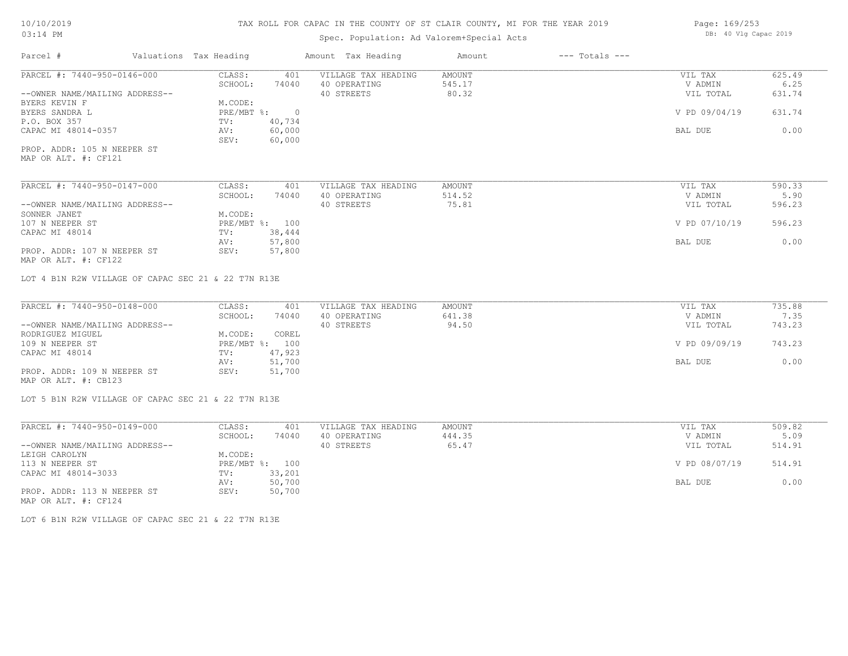### TAX ROLL FOR CAPAC IN THE COUNTY OF ST CLAIR COUNTY, MI FOR THE YEAR 2019

## Spec. Population: Ad Valorem+Special Acts

| Page: 169/253 |                       |  |
|---------------|-----------------------|--|
|               | DB: 40 Vlg Capac 2019 |  |

| Parcel #                                                                           | Valuations Tax Heading |                |                | Amount Tax Heading         | Amount           | $---$ Totals $---$ |                      |                |
|------------------------------------------------------------------------------------|------------------------|----------------|----------------|----------------------------|------------------|--------------------|----------------------|----------------|
| PARCEL #: 7440-950-0146-000                                                        |                        | CLASS:         | 401            | VILLAGE TAX HEADING        | AMOUNT           |                    | VIL TAX              | 625.49         |
|                                                                                    |                        | SCHOOL:        | 74040          | 40 OPERATING               | 545.17           |                    | V ADMIN              | 6.25           |
| --OWNER NAME/MAILING ADDRESS--                                                     |                        |                |                | 40 STREETS                 | 80.32            |                    | VIL TOTAL            | 631.74         |
| BYERS KEVIN F                                                                      |                        | M.CODE:        |                |                            |                  |                    |                      |                |
| BYERS SANDRA L                                                                     |                        | PRE/MBT %:     | $\overline{0}$ |                            |                  |                    | V PD 09/04/19        | 631.74         |
| P.O. BOX 357                                                                       |                        | TV:            | 40,734         |                            |                  |                    |                      |                |
| CAPAC MI 48014-0357                                                                |                        | AV:            | 60,000         |                            |                  |                    | BAL DUE              | 0.00           |
|                                                                                    |                        | SEV:           | 60,000         |                            |                  |                    |                      |                |
| PROP. ADDR: 105 N NEEPER ST                                                        |                        |                |                |                            |                  |                    |                      |                |
| MAP OR ALT. #: CF121                                                               |                        |                |                |                            |                  |                    |                      |                |
| PARCEL #: 7440-950-0147-000                                                        |                        | CLASS:         | 401            | VILLAGE TAX HEADING        | AMOUNT           |                    | VIL TAX              | 590.33         |
|                                                                                    |                        | SCHOOL:        | 74040          | 40 OPERATING               | 514.52           |                    | V ADMIN              | 5.90           |
| --OWNER NAME/MAILING ADDRESS--                                                     |                        |                |                | 40 STREETS                 | 75.81            |                    | VIL TOTAL            | 596.23         |
| SONNER JANET                                                                       |                        | M.CODE:        |                |                            |                  |                    |                      |                |
| 107 N NEEPER ST                                                                    |                        | PRE/MBT %: 100 |                |                            |                  |                    | V PD 07/10/19        | 596.23         |
| CAPAC MI 48014                                                                     |                        | TV:            | 38,444         |                            |                  |                    |                      |                |
|                                                                                    |                        | AV:            | 57,800         |                            |                  |                    | BAL DUE              | 0.00           |
| PROP. ADDR: 107 N NEEPER ST                                                        |                        | SEV:           | 57,800         |                            |                  |                    |                      |                |
| MAP OR ALT. #: CF122                                                               |                        |                |                |                            |                  |                    |                      |                |
| LOT 4 B1N R2W VILLAGE OF CAPAC SEC 21 & 22 T7N R13E<br>PARCEL #: 7440-950-0148-000 |                        |                |                |                            |                  |                    |                      |                |
|                                                                                    |                        | CLASS:         | 401            | VILLAGE TAX HEADING        | AMOUNT<br>641.38 |                    | VIL TAX              | 735.88<br>7.35 |
| --OWNER NAME/MAILING ADDRESS--                                                     |                        | SCHOOL:        | 74040          | 40 OPERATING<br>40 STREETS | 94.50            |                    | V ADMIN<br>VIL TOTAL | 743.23         |
| RODRIGUEZ MIGUEL                                                                   |                        | M.CODE:        | COREL          |                            |                  |                    |                      |                |
| 109 N NEEPER ST                                                                    |                        | PRE/MBT %: 100 |                |                            |                  |                    | V PD 09/09/19        | 743.23         |
| CAPAC MI 48014                                                                     |                        | TV:            | 47,923         |                            |                  |                    |                      |                |
|                                                                                    |                        | AV:            | 51,700         |                            |                  |                    | BAL DUE              | 0.00           |
| PROP. ADDR: 109 N NEEPER ST                                                        |                        | SEV:           | 51,700         |                            |                  |                    |                      |                |
| MAP OR ALT. #: CB123                                                               |                        |                |                |                            |                  |                    |                      |                |
|                                                                                    |                        |                |                |                            |                  |                    |                      |                |
| LOT 5 B1N R2W VILLAGE OF CAPAC SEC 21 & 22 T7N R13E                                |                        |                |                |                            |                  |                    |                      |                |
|                                                                                    |                        |                |                |                            |                  |                    |                      |                |
| PARCEL #: 7440-950-0149-000                                                        |                        | CLASS:         | 401            | VILLAGE TAX HEADING        | AMOUNT           |                    | VIL TAX              | 509.82         |
|                                                                                    |                        | SCHOOL:        | 74040          | 40 OPERATING               | 444.35           |                    | V ADMIN              | 5.09           |
| --OWNER NAME/MAILING ADDRESS--                                                     |                        |                |                | 40 STREETS                 | 65.47            |                    | VIL TOTAL            | 514.91         |
| LEIGH CAROLYN                                                                      |                        | M.CODE:        |                |                            |                  |                    |                      |                |
| 113 N NEEPER ST                                                                    |                        | PRE/MBT %: 100 |                |                            |                  |                    | V PD 08/07/19        | 514.91         |
| CAPAC MI 48014-3033                                                                |                        | TV:            | 33,201         |                            |                  |                    |                      |                |
|                                                                                    |                        | AV:<br>SEV:    | 50,700         |                            |                  |                    | BAL DUE              | 0.00           |
| PROP. ADDR: 113 N NEEPER ST<br>MAP OR ALT. #: CF124                                |                        |                | 50,700         |                            |                  |                    |                      |                |
|                                                                                    |                        |                |                |                            |                  |                    |                      |                |

LOT 6 B1N R2W VILLAGE OF CAPAC SEC 21 & 22 T7N R13E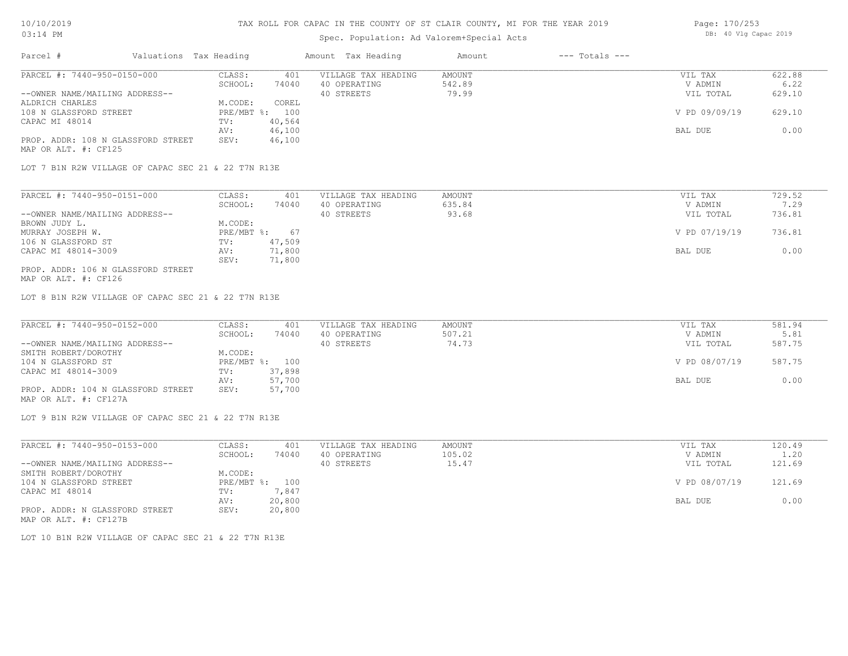#### Spec. Population: Ad Valorem+Special Acts

| Page: 170/253 |  |                       |  |
|---------------|--|-----------------------|--|
|               |  | DB: 40 Vlg Capac 2019 |  |

| Parcel #                                                   | Valuations Tax Heading |        | Amount Tax Heading  | Amount | $---$ Totals $---$ |               |        |
|------------------------------------------------------------|------------------------|--------|---------------------|--------|--------------------|---------------|--------|
| PARCEL #: 7440-950-0150-000                                | CLASS:                 | 401    | VILLAGE TAX HEADING | AMOUNT |                    | VIL TAX       | 622.88 |
|                                                            | SCHOOL:                | 74040  | 40 OPERATING        | 542.89 |                    | V ADMIN       | 6.22   |
| --OWNER NAME/MAILING ADDRESS--                             |                        |        | 40 STREETS          | 79.99  |                    | VIL TOTAL     | 629.10 |
| ALDRICH CHARLES                                            | M.CODE:                | COREL  |                     |        |                    |               |        |
| 108 N GLASSFORD STREET                                     | $PRE/MBT$ %:           | 100    |                     |        |                    | V PD 09/09/19 | 629.10 |
| CAPAC MI 48014                                             | TV:                    | 40,564 |                     |        |                    |               |        |
|                                                            | AV:                    | 46,100 |                     |        |                    | BAL DUE       | 0.00   |
| PROP. ADDR: 108 N GLASSFORD STREET<br>MAP OR ALT. #: CF125 | SEV:                   | 46,100 |                     |        |                    |               |        |

LOT 7 B1N R2W VILLAGE OF CAPAC SEC 21 & 22 T7N R13E

| PARCEL #: 7440-950-0151-000        | CLASS:     | 401    | VILLAGE TAX HEADING | AMOUNT | VIL TAX       | 729.52 |
|------------------------------------|------------|--------|---------------------|--------|---------------|--------|
|                                    | SCHOOL:    | 74040  | 40 OPERATING        | 635.84 | V ADMIN       | 7.29   |
| --OWNER NAME/MAILING ADDRESS--     |            |        | 40 STREETS          | 93.68  | VIL TOTAL     | 736.81 |
| BROWN JUDY L.                      | M.CODE:    |        |                     |        |               |        |
| MURRAY JOSEPH W.                   | PRE/MBT %: | 67     |                     |        | V PD 07/19/19 | 736.81 |
| 106 N GLASSFORD ST                 | TV:        | 47,509 |                     |        |               |        |
| CAPAC MI 48014-3009                | AV:        | 71,800 |                     |        | BAL DUE       | 0.00   |
|                                    | SEV:       | 71,800 |                     |        |               |        |
| PROP. ADDR: 106 N GLASSFORD STREET |            |        |                     |        |               |        |

MAP OR ALT. #: CF126

LOT 8 B1N R2W VILLAGE OF CAPAC SEC 21 & 22 T7N R13E

| PARCEL #: 7440-950-0152-000        | CLASS:  | 401            | VILLAGE TAX HEADING | AMOUNT | VIL TAX       | 581.94 |
|------------------------------------|---------|----------------|---------------------|--------|---------------|--------|
|                                    | SCHOOL: | 74040          | 40 OPERATING        | 507.21 | V ADMIN       | 5.81   |
| --OWNER NAME/MAILING ADDRESS--     |         |                | 40 STREETS          | 74.73  | VIL TOTAL     | 587.75 |
| SMITH ROBERT/DOROTHY               | M.CODE: |                |                     |        |               |        |
| 104 N GLASSFORD ST                 |         | PRE/MBT %: 100 |                     |        | V PD 08/07/19 | 587.75 |
| CAPAC MI 48014-3009                | TV:     | 37,898         |                     |        |               |        |
|                                    | AV:     | 57,700         |                     |        | BAL DUE       | 0.00   |
| PROP. ADDR: 104 N GLASSFORD STREET | SEV:    | 57,700         |                     |        |               |        |
| MAP OR ALT. #: CF127A              |         |                |                     |        |               |        |

LOT 9 B1N R2W VILLAGE OF CAPAC SEC 21 & 22 T7N R13E

| PARCEL #: 7440-950-0153-000    | CLASS:  | 401            | VILLAGE TAX HEADING | AMOUNT | VIL TAX       | 120.49 |
|--------------------------------|---------|----------------|---------------------|--------|---------------|--------|
|                                | SCHOOL: | 74040          | 40 OPERATING        | 105.02 | V ADMIN       | 1.20   |
| --OWNER NAME/MAILING ADDRESS-- |         |                | 40 STREETS          | 15.47  | VIL TOTAL     | 121.69 |
| SMITH ROBERT/DOROTHY           | M.CODE: |                |                     |        |               |        |
| 104 N GLASSFORD STREET         |         | PRE/MBT %: 100 |                     |        | V PD 08/07/19 | 121.69 |
| CAPAC MI 48014                 | TV:     | 7,847          |                     |        |               |        |
|                                | AV:     | 20,800         |                     |        | BAL DUE       | 0.00   |
| PROP. ADDR: N GLASSFORD STREET | SEV:    | 20,800         |                     |        |               |        |
| MAP OR ALT. #: CF127B          |         |                |                     |        |               |        |

LOT 10 B1N R2W VILLAGE OF CAPAC SEC 21 & 22 T7N R13E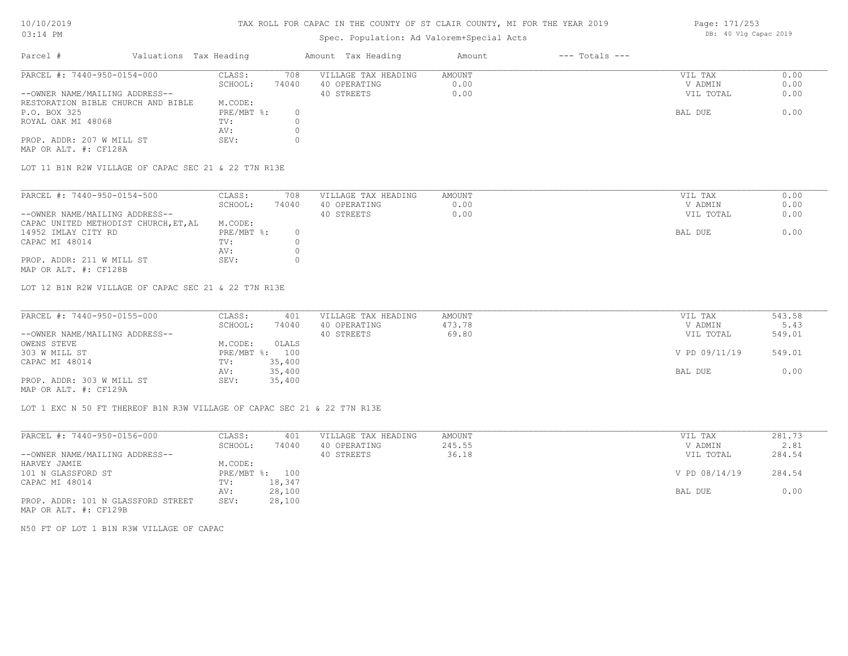#### TAX ROLL FOR CAPAC IN THE COUNTY OF ST CLAIR COUNTY, MI FOR THE YEAR 2019 Page: 171/253

### Spec. Population: Ad Valorem+Special Acts

| -4042 | rayt. ITTTSJJ |  |                       |  |
|-------|---------------|--|-----------------------|--|
|       |               |  | DB: 40 Vlg Capac 2019 |  |
|       |               |  |                       |  |

| Parcel #                           | Valuations Tax Heading |       | Amount Tax Heading  | Amount | $---$ Totals $---$ |           |      |
|------------------------------------|------------------------|-------|---------------------|--------|--------------------|-----------|------|
| PARCEL #: 7440-950-0154-000        | CLASS:                 | 708   | VILLAGE TAX HEADING | AMOUNT |                    | VIL TAX   | 0.00 |
|                                    | SCHOOL:                | 74040 | 40 OPERATING        | 0.00   |                    | V ADMIN   | 0.00 |
| --OWNER NAME/MAILING ADDRESS--     |                        |       | 40 STREETS          | 0.00   |                    | VIL TOTAL | 0.00 |
| RESTORATION BIBLE CHURCH AND BIBLE | M.CODE:                |       |                     |        |                    |           |      |
| P.O. BOX 325                       | $PRE/MBT$ %:           |       |                     |        |                    | BAL DUE   | 0.00 |
| ROYAL OAK MI 48068                 | TV:                    |       |                     |        |                    |           |      |
|                                    | AV:                    |       |                     |        |                    |           |      |
| PROP. ADDR: 207 W MILL ST          | SEV:                   |       |                     |        |                    |           |      |

MAP OR ALT. #: CF128A

LOT 11 B1N R2W VILLAGE OF CAPAC SEC 21 & 22 T7N R13E

| SCHOOL:<br>74040<br>40 OPERATING<br>0.00<br>V ADMIN<br>0.00<br>40 STREETS<br>VIL TOTAL<br>M.CODE:<br>PRE/MBT %:<br>14952 IMLAY CITY RD<br>BAL DUE<br>TV:<br>AV: | PARCEL #: 7440-950-0154-500    | CLASS: | 708 | VILLAGE TAX HEADING | AMOUNT | VIL TAX | 0.00 |
|-----------------------------------------------------------------------------------------------------------------------------------------------------------------|--------------------------------|--------|-----|---------------------|--------|---------|------|
|                                                                                                                                                                 |                                |        |     |                     |        |         | 0.00 |
| CAPAC UNITED METHODIST CHURCH, ET, AL                                                                                                                           | --OWNER NAME/MAILING ADDRESS-- |        |     |                     |        |         | 0.00 |
|                                                                                                                                                                 |                                |        |     |                     |        |         |      |
| CAPAC MI 48014                                                                                                                                                  |                                |        |     |                     |        |         | 0.00 |
|                                                                                                                                                                 |                                |        |     |                     |        |         |      |
|                                                                                                                                                                 |                                |        |     |                     |        |         |      |
|                                                                                                                                                                 | PROP. ADDR: 211 W MILL ST      | SEV:   |     |                     |        |         |      |

MAP OR ALT. #: CF128B

LOT 12 B1N R2W VILLAGE OF CAPAC SEC 21 & 22 T7N R13E

| PARCEL #: 7440-950-0155-000    | CLASS:  | 401            | VILLAGE TAX HEADING | AMOUNT | VIL TAX       | 543.58 |
|--------------------------------|---------|----------------|---------------------|--------|---------------|--------|
|                                | SCHOOL: | 74040          | 40 OPERATING        | 473.78 | V ADMIN       | 5.43   |
| --OWNER NAME/MAILING ADDRESS-- |         |                | 40 STREETS          | 69.80  | VIL TOTAL     | 549.01 |
| OWENS STEVE                    | M.CODE: | OLALS          |                     |        |               |        |
| 303 W MILL ST                  |         | PRE/MBT %: 100 |                     |        | V PD 09/11/19 | 549.01 |
| CAPAC MI 48014                 | TV:     | 35,400         |                     |        |               |        |
|                                | AV:     | 35,400         |                     |        | BAL DUE       | 0.00   |
| PROP. ADDR: 303 W MILL ST      | SEV:    | 35,400         |                     |        |               |        |
| MAP OR ALT. #: CF129A          |         |                |                     |        |               |        |

LOT 1 EXC N 50 FT THEREOF B1N R3W VILLAGE OF CAPAC SEC 21 & 22 T7N R13E

| PARCEL #: 7440-950-0156-000                                                                                     | CLASS:       | 401    | VILLAGE TAX HEADING | AMOUNT | VIL TAX       | 281.73 |
|-----------------------------------------------------------------------------------------------------------------|--------------|--------|---------------------|--------|---------------|--------|
|                                                                                                                 | SCHOOL:      | 74040  | 40 OPERATING        | 245.55 | V ADMIN       | 2.81   |
| --OWNER NAME/MAILING ADDRESS--                                                                                  |              |        | 40 STREETS          | 36.18  | VIL TOTAL     | 284.54 |
| HARVEY JAMIE                                                                                                    | M.CODE:      |        |                     |        |               |        |
| 101 N GLASSFORD ST                                                                                              | $PRE/MBT$ %: | 100    |                     |        | V PD 08/14/19 | 284.54 |
| CAPAC MI 48014                                                                                                  | TV:          | 18,347 |                     |        |               |        |
|                                                                                                                 | AV:          | 28,100 |                     |        | BAL DUE       | 0.00   |
| PROP. ADDR: 101 N GLASSFORD STREET                                                                              | SEV:         | 28,100 |                     |        |               |        |
| the contract of the contract of the contract of the contract of the contract of the contract of the contract of |              |        |                     |        |               |        |

MAP OR ALT. #: CF129B

N50 FT OF LOT 1 B1N R3W VILLAGE OF CAPAC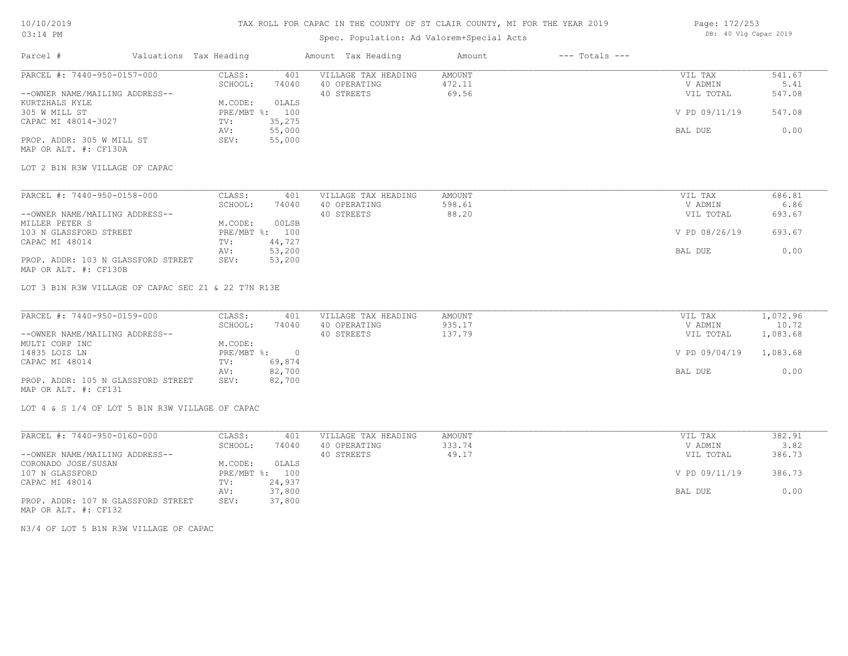### TAX ROLL FOR CAPAC IN THE COUNTY OF ST CLAIR COUNTY, MI FOR THE YEAR 2019

## Spec. Population: Ad Valorem+Special Acts

| Page: 172/253 |  |                       |  |
|---------------|--|-----------------------|--|
|               |  | DB: 40 Vlg Capac 2019 |  |

| Parcel #                                            | Valuations Tax Heading          | Amount Tax Heading                         | Amount           | $---$ Totals $---$ |                    |                |
|-----------------------------------------------------|---------------------------------|--------------------------------------------|------------------|--------------------|--------------------|----------------|
| PARCEL #: 7440-950-0157-000                         | CLASS:<br>SCHOOL:<br>74040      | VILLAGE TAX HEADING<br>401<br>40 OPERATING | AMOUNT<br>472.11 |                    | VIL TAX<br>V ADMIN | 541.67<br>5.41 |
| --OWNER NAME/MAILING ADDRESS--                      |                                 | 40 STREETS                                 | 69.56            |                    | VIL TOTAL          | 547.08         |
| KURTZHALS KYLE                                      | M.CODE:<br>OLALS                |                                            |                  |                    |                    |                |
| 305 W MILL ST                                       | PRE/MBT %: 100                  |                                            |                  |                    | V PD 09/11/19      | 547.08         |
| CAPAC MI 48014-3027                                 | TV:<br>35,275                   |                                            |                  |                    |                    |                |
| PROP. ADDR: 305 W MILL ST                           | 55,000<br>AV:<br>55,000<br>SEV: |                                            |                  |                    | BAL DUE            | 0.00           |
| MAP OR ALT. #: CF130A                               |                                 |                                            |                  |                    |                    |                |
| LOT 2 B1N R3W VILLAGE OF CAPAC                      |                                 |                                            |                  |                    |                    |                |
| PARCEL #: 7440-950-0158-000                         | CLASS:                          | VILLAGE TAX HEADING<br>401                 | AMOUNT           |                    | VIL TAX            | 686.81         |
|                                                     | SCHOOL:<br>74040                | 40 OPERATING                               | 598.61           |                    | V ADMIN            | 6.86           |
| --OWNER NAME/MAILING ADDRESS--                      |                                 | 40 STREETS                                 | 88.20            |                    | VIL TOTAL          | 693.67         |
| MILLER PETER S                                      | M.CODE:<br>00LSB                |                                            |                  |                    |                    |                |
| 103 N GLASSFORD STREET                              | PRE/MBT %: 100                  |                                            |                  |                    | V PD 08/26/19      | 693.67         |
| CAPAC MI 48014                                      | 44,727<br>TV:                   |                                            |                  |                    |                    |                |
| PROP. ADDR: 103 N GLASSFORD STREET                  | 53,200<br>AV:<br>53,200<br>SEV: |                                            |                  |                    | BAL DUE            | 0.00           |
| MAP OR ALT. #: CF130B                               |                                 |                                            |                  |                    |                    |                |
| LOT 3 B1N R3W VILLAGE OF CAPAC SEC 21 & 22 T7N R13E |                                 |                                            |                  |                    |                    |                |
| PARCEL #: 7440-950-0159-000                         | CLASS:                          | VILLAGE TAX HEADING<br>401                 | AMOUNT           |                    | VIL TAX            | 1,072.96       |
|                                                     | SCHOOL:<br>74040                | 40 OPERATING                               | 935.17           |                    | V ADMIN            | 10.72          |
| --OWNER NAME/MAILING ADDRESS--                      |                                 | 40 STREETS                                 | 137.79           |                    | VIL TOTAL          | 1,083.68       |
| MULTI CORP INC                                      | M.CODE:                         |                                            |                  |                    |                    |                |
| 14835 LOIS LN                                       | PRE/MBT %: 0                    |                                            |                  |                    | V PD 09/04/19      | 1,083.68       |
| CAPAC MI 48014                                      | 69,874<br>TV:<br>82,700<br>AV:  |                                            |                  |                    | BAL DUE            | 0.00           |
| PROP. ADDR: 105 N GLASSFORD STREET                  | 82,700<br>SEV:                  |                                            |                  |                    |                    |                |
| MAP OR ALT. #: CF131                                |                                 |                                            |                  |                    |                    |                |
| LOT 4 & S 1/4 OF LOT 5 B1N R3W VILLAGE OF CAPAC     |                                 |                                            |                  |                    |                    |                |
| PARCEL #: 7440-950-0160-000                         | CLASS:                          | VILLAGE TAX HEADING<br>401                 | AMOUNT           |                    | VIL TAX            | 382.91         |
|                                                     | SCHOOL:<br>74040                | 40 OPERATING                               | 333.74           |                    | V ADMIN            | 3.82           |
| --OWNER NAME/MAILING ADDRESS--                      |                                 | 40 STREETS                                 | 49.17            |                    | VIL TOTAL          | 386.73         |
| CORONADO JOSE/SUSAN                                 | M.CODE:<br>OLALS                |                                            |                  |                    |                    |                |
| 107 N GLASSFORD                                     | PRE/MBT %: 100                  |                                            |                  |                    | V PD 09/11/19      | 386.73         |
| CAPAC MI 48014                                      | 24,937<br>TV:                   |                                            |                  |                    |                    |                |
|                                                     | 37,800<br>AV:                   |                                            |                  |                    | BAL DUE            | 0.00           |
| PROP. ADDR: 107 N GLASSFORD STREET                  | SEV:<br>37,800                  |                                            |                  |                    |                    |                |

MAP OR ALT. #: CF132

N3/4 OF LOT 5 B1N R3W VILLAGE OF CAPAC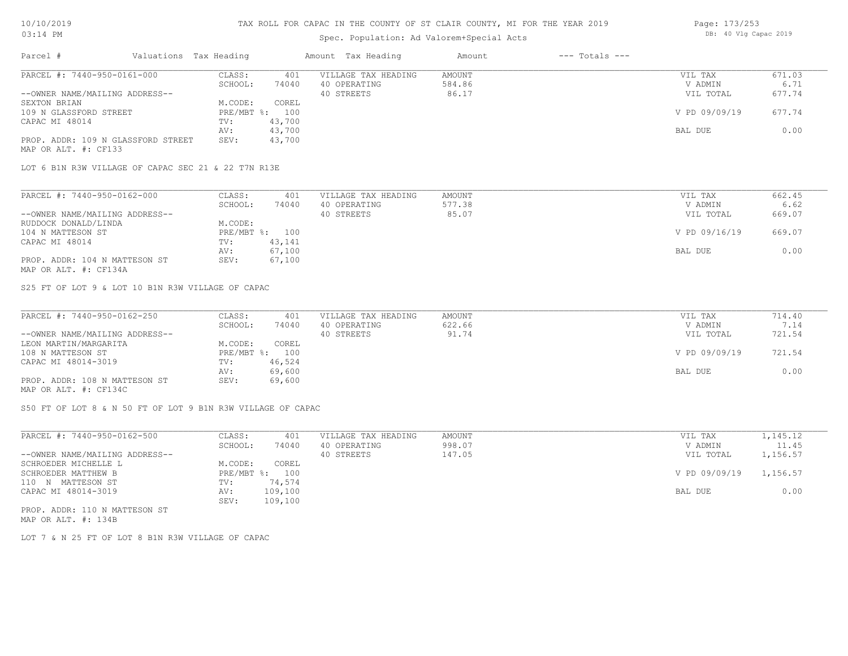MAP OR ALT. #: CF133

#### TAX ROLL FOR CAPAC IN THE COUNTY OF ST CLAIR COUNTY, MI FOR THE YEAR 2019

### Spec. Population: Ad Valorem+Special Acts

| Parcel #                       | Valuations Tax Heading |        | Amount Tax Heading  | Amount | $---$ Totals $---$ |               |        |
|--------------------------------|------------------------|--------|---------------------|--------|--------------------|---------------|--------|
| PARCEL #: 7440-950-0161-000    | CLASS:                 | 401    | VILLAGE TAX HEADING | AMOUNT |                    | VIL TAX       | 671.03 |
|                                | SCHOOL:                | 74040  | 40 OPERATING        | 584.86 |                    | V ADMIN       | 6.71   |
| --OWNER NAME/MAILING ADDRESS-- |                        |        | 40 STREETS          | 86.17  |                    | VIL TOTAL     | 677.74 |
| SEXTON BRIAN                   | M.CODE:                | COREL  |                     |        |                    |               |        |
| 109 N GLASSFORD STREET         | PRE/MBT %: 100         |        |                     |        |                    | V PD 09/09/19 | 677.74 |
| CAPAC MI 48014                 | TV:                    | 43,700 |                     |        |                    |               |        |
|                                | AV:                    | 43,700 |                     |        |                    | BAL DUE       | 0.00   |

LOT 6 B1N R3W VILLAGE OF CAPAC SEC 21 & 22 T7N R13E

PROP. ADDR: 109 N GLASSFORD STREET SEV: 43,700

| PARCEL #: 7440-950-0162-000    | CLASS:  | 401            | VILLAGE TAX HEADING | AMOUNT | VIL TAX       | 662.45 |
|--------------------------------|---------|----------------|---------------------|--------|---------------|--------|
|                                | SCHOOL: | 74040          | 40 OPERATING        | 577.38 | V ADMIN       | 6.62   |
| --OWNER NAME/MAILING ADDRESS-- |         |                | 40 STREETS          | 85.07  | VIL TOTAL     | 669.07 |
| RUDDOCK DONALD/LINDA           | M.CODE: |                |                     |        |               |        |
| 104 N MATTESON ST              |         | PRE/MBT %: 100 |                     |        | V PD 09/16/19 | 669.07 |
| CAPAC MI 48014                 | TV:     | 43,141         |                     |        |               |        |
|                                | AV:     | 67,100         |                     |        | BAL DUE       | 0.00   |
| PROP. ADDR: 104 N MATTESON ST  | SEV:    | 67,100         |                     |        |               |        |
| MAP OR ALT. #: CF134A          |         |                |                     |        |               |        |

S25 FT OF LOT 9 & LOT 10 B1N R3W VILLAGE OF CAPAC

| PARCEL #: 7440-950-0162-250    | CLASS:  | 401            | VILLAGE TAX HEADING | AMOUNT | VIL TAX       | 714.40 |
|--------------------------------|---------|----------------|---------------------|--------|---------------|--------|
|                                | SCHOOL: | 74040          | 40 OPERATING        | 622.66 | V ADMIN       | 7.14   |
| --OWNER NAME/MAILING ADDRESS-- |         |                | 40 STREETS          | 91.74  | VIL TOTAL     | 721.54 |
| LEON MARTIN/MARGARITA          | M.CODE: | COREL          |                     |        |               |        |
| 108 N MATTESON ST              |         | PRE/MBT %: 100 |                     |        | V PD 09/09/19 | 721.54 |
| CAPAC MI 48014-3019            | TV:     | 46,524         |                     |        |               |        |
|                                | AV:     | 69,600         |                     |        | BAL DUE       | 0.00   |
| PROP. ADDR: 108 N MATTESON ST  | SEV:    | 69,600         |                     |        |               |        |
| MAP OR ALT. #: CF134C          |         |                |                     |        |               |        |

S50 FT OF LOT 8 & N 50 FT OF LOT 9 B1N R3W VILLAGE OF CAPAC

| PARCEL #: 7440-950-0162-500    | CLASS:     | 401     | VILLAGE TAX HEADING | AMOUNT | VIL TAX       | 1,145.12 |
|--------------------------------|------------|---------|---------------------|--------|---------------|----------|
|                                | SCHOOL:    | 74040   | 40 OPERATING        | 998.07 | V ADMIN       | 11.45    |
| --OWNER NAME/MAILING ADDRESS-- |            |         | 40 STREETS          | 147.05 | VIL TOTAL     | 1,156.57 |
| SCHROEDER MICHELLE L           | M.CODE:    | COREL   |                     |        |               |          |
| SCHROEDER MATTHEW B            | PRE/MBT %: | 100     |                     |        | V PD 09/09/19 | 1,156.57 |
| 110 N MATTESON ST              | TV:        | 74,574  |                     |        |               |          |
| CAPAC MI 48014-3019            | AV:        | 109,100 |                     |        | BAL DUE       | 0.00     |
|                                | SEV:       | 109,100 |                     |        |               |          |
| PROP. ADDR: 110 N MATTESON ST  |            |         |                     |        |               |          |

MAP OR ALT. #: 134B

LOT 7 & N 25 FT OF LOT 8 B1N R3W VILLAGE OF CAPAC

Page: 173/253 DB: 40 Vlg Capac 2019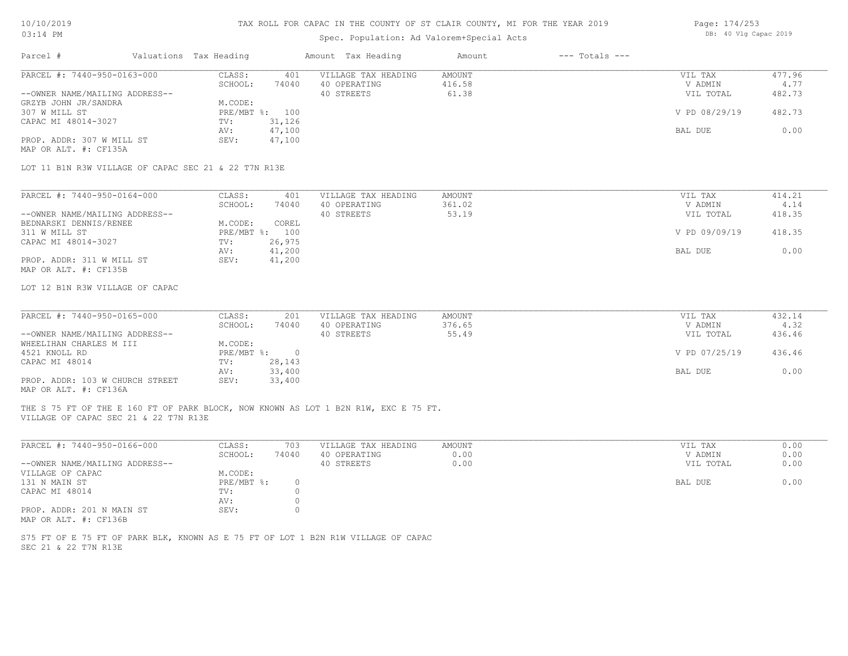# 10/10/2019

## TAX ROLL FOR CAPAC IN THE COUNTY OF ST CLAIR COUNTY, MI FOR THE YEAR 2019

| Page: 174/253 |  |                       |  |
|---------------|--|-----------------------|--|
|               |  | DB: 40 Vlg Capac 2019 |  |

| 03:14 PM                                             |                        |                          | Spec. Population: Ad Valorem+Special Acts                                           | DB: 40 Vlg Capac 2019   |                    |                    |                |
|------------------------------------------------------|------------------------|--------------------------|-------------------------------------------------------------------------------------|-------------------------|--------------------|--------------------|----------------|
| Parcel #                                             | Valuations Tax Heading |                          | Amount Tax Heading                                                                  | Amount                  | $---$ Totals $---$ |                    |                |
| PARCEL #: 7440-950-0163-000                          | CLASS:<br>SCHOOL:      | 401<br>74040             | VILLAGE TAX HEADING<br>40 OPERATING                                                 | <b>AMOUNT</b><br>416.58 |                    | VIL TAX<br>V ADMIN | 477.96<br>4.77 |
| --OWNER NAME/MAILING ADDRESS--                       |                        |                          | 40 STREETS                                                                          | 61.38                   |                    | VIL TOTAL          | 482.73         |
| GRZYB JOHN JR/SANDRA                                 | M.CODE:                |                          |                                                                                     |                         |                    |                    |                |
| 307 W MILL ST                                        |                        | PRE/MBT %: 100           |                                                                                     |                         |                    | V PD 08/29/19      | 482.73         |
| CAPAC MI 48014-3027                                  | TV:                    | 31,126                   |                                                                                     |                         |                    |                    |                |
| PROP. ADDR: 307 W MILL ST                            | AV:<br>SEV:            | 47,100<br>47,100         |                                                                                     |                         |                    | BAL DUE            | 0.00           |
| MAP OR ALT. #: CF135A                                |                        |                          |                                                                                     |                         |                    |                    |                |
| LOT 11 B1N R3W VILLAGE OF CAPAC SEC 21 & 22 T7N R13E |                        |                          |                                                                                     |                         |                    |                    |                |
| PARCEL #: 7440-950-0164-000                          | CLASS:                 | 401                      | VILLAGE TAX HEADING                                                                 | AMOUNT                  |                    | VIL TAX            | 414.21         |
|                                                      | SCHOOL:                | 74040                    | 40 OPERATING                                                                        | 361.02                  |                    | V ADMIN            | 4.14           |
| --OWNER NAME/MAILING ADDRESS--                       |                        |                          | 40 STREETS                                                                          | 53.19                   |                    | VIL TOTAL          | 418.35         |
| BEDNARSKI DENNIS/RENEE                               | M.CODE:                | COREL                    |                                                                                     |                         |                    |                    |                |
| 311 W MILL ST                                        |                        | PRE/MBT %: 100           |                                                                                     |                         |                    | V PD 09/09/19      | 418.35         |
| CAPAC MI 48014-3027                                  | TV:                    | 26,975                   |                                                                                     |                         |                    |                    |                |
|                                                      | AV:                    | 41,200                   |                                                                                     |                         |                    | BAL DUE            | 0.00           |
| PROP. ADDR: 311 W MILL ST<br>MAP OR ALT. #: CF135B   | SEV:                   | 41,200                   |                                                                                     |                         |                    |                    |                |
| LOT 12 B1N R3W VILLAGE OF CAPAC                      |                        |                          |                                                                                     |                         |                    |                    |                |
|                                                      |                        |                          |                                                                                     |                         |                    |                    |                |
| PARCEL #: 7440-950-0165-000                          | CLASS:                 | 201                      | VILLAGE TAX HEADING                                                                 | <b>AMOUNT</b>           |                    | VIL TAX            | 432.14         |
|                                                      | SCHOOL:                | 74040                    | 40 OPERATING                                                                        | 376.65                  |                    | V ADMIN            | 4.32           |
| --OWNER NAME/MAILING ADDRESS--                       |                        |                          | 40 STREETS                                                                          | 55.49                   |                    | VIL TOTAL          | 436.46         |
| WHEELIHAN CHARLES M III                              | M.CODE:                |                          |                                                                                     |                         |                    |                    |                |
| 4521 KNOLL RD<br>CAPAC MI 48014                      | PRE/MBT %:<br>TV:      | $\overline{0}$<br>28,143 |                                                                                     |                         |                    | V PD 07/25/19      | 436.46         |
|                                                      | AV:                    | 33,400                   |                                                                                     |                         |                    | BAL DUE            | 0.00           |
| PROP. ADDR: 103 W CHURCH STREET                      | SEV:                   | 33,400                   |                                                                                     |                         |                    |                    |                |
| MAP OR ALT. #: CF136A                                |                        |                          |                                                                                     |                         |                    |                    |                |
| VILLAGE OF CAPAC SEC 21 & 22 T7N R13E                |                        |                          | THE S 75 FT OF THE E 160 FT OF PARK BLOCK, NOW KNOWN AS LOT 1 B2N R1W, EXC E 75 FT. |                         |                    |                    |                |
| PARCEL #: 7440-950-0166-000                          | CLASS:                 | 703                      | VILLAGE TAX HEADING                                                                 | AMOUNT                  |                    | VIL TAX            | 0.00           |
|                                                      | $CCTIOOT$ $\cdot$      | 74040                    | 10.00000000000                                                                      | $\cap$ $\cap$           |                    | <b>IZ ADMINI</b>   | 0.00           |

|                                | SCHOOL:    | 74040 | 40 OPERATING | 0.00 | V ADMIN   | 0.00 |
|--------------------------------|------------|-------|--------------|------|-----------|------|
| --OWNER NAME/MAILING ADDRESS-- |            |       | 40 STREETS   | 0.00 | VIL TOTAL | 0.00 |
| VILLAGE OF CAPAC               | M.CODE:    |       |              |      |           |      |
| 131 N MAIN ST                  | PRE/MBT %: |       |              |      | BAL DUE   | 0.00 |
| CAPAC MI 48014                 | TV:        |       |              |      |           |      |
|                                | AV:        |       |              |      |           |      |
| PROP. ADDR: 201 N MAIN ST      | SEV:       |       |              |      |           |      |
| MAP OR ALT. #: CF136B          |            |       |              |      |           |      |

SEC 21 & 22 T7N R13E S75 FT OF E 75 FT OF PARK BLK, KNOWN AS E 75 FT OF LOT 1 B2N R1W VILLAGE OF CAPAC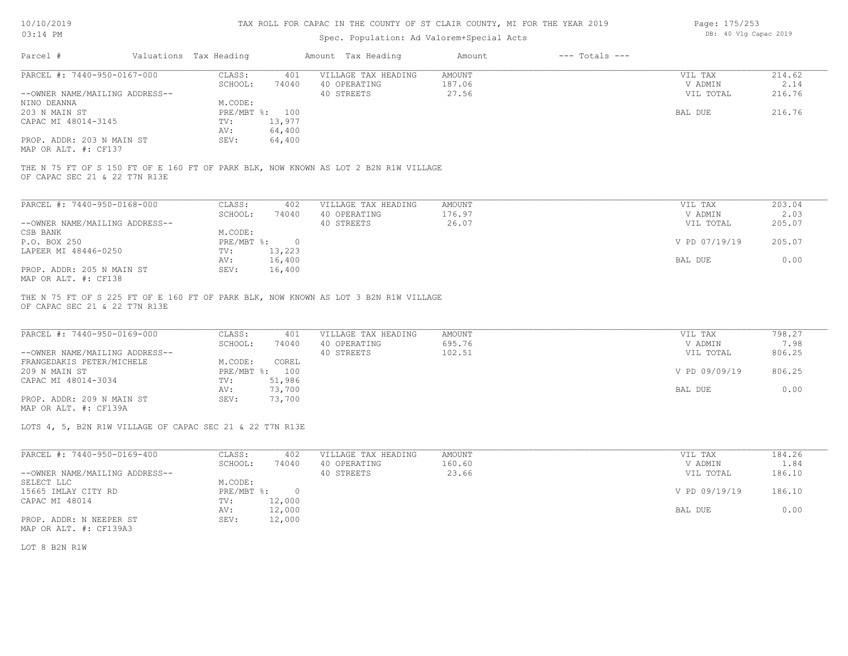### Spec. Population: Ad Valorem+Special Acts

| Page: 175/253 |  |                       |  |
|---------------|--|-----------------------|--|
|               |  | DB: 40 Vlg Capac 2019 |  |

| Parcel #                       | Valuations Tax Heading                                                |                | Amount Tax Heading                                                                  | Amount | $---$ Totals $---$ |            |               |
|--------------------------------|-----------------------------------------------------------------------|----------------|-------------------------------------------------------------------------------------|--------|--------------------|------------|---------------|
| PARCEL #: 7440-950-0167-000    | CLASS:                                                                | 401            | VILLAGE TAX HEADING                                                                 | AMOUNT |                    | VIL TAX    | 214.62        |
|                                | SCHOOL:                                                               | 74040          | 40 OPERATING                                                                        | 187.06 |                    | V ADMIN    | 2.14          |
| --OWNER NAME/MAILING ADDRESS-- |                                                                       |                | 40 STREETS                                                                          | 27.56  |                    | VIL TOTAL  | 216.76        |
| NINO DEANNA                    | M.CODE:                                                               |                |                                                                                     |        |                    |            |               |
| 203 N MAIN ST                  |                                                                       | PRE/MBT %: 100 |                                                                                     |        |                    | BAL DUE    | 216.76        |
| CAPAC MI 48014-3145            | TV:                                                                   | 13,977         |                                                                                     |        |                    |            |               |
|                                | AV:                                                                   | 64,400         |                                                                                     |        |                    |            |               |
| PROP. ADDR: 203 N MAIN ST      | SEV:                                                                  | 64,400         |                                                                                     |        |                    |            |               |
| MAP OR ALT. #: CF137           |                                                                       |                |                                                                                     |        |                    |            |               |
|                                |                                                                       |                |                                                                                     |        |                    |            |               |
|                                |                                                                       |                | THE N 75 FT OF S 150 FT OF E 160 FT OF PARK BLK, NOW KNOWN AS LOT 2 B2N R1W VILLAGE |        |                    |            |               |
| OF CAPAC SEC 21 & 22 T7N R13E  |                                                                       |                |                                                                                     |        |                    |            |               |
|                                |                                                                       |                |                                                                                     |        |                    |            |               |
| PARCEL #: 7440-950-0168-000    | CLASS:                                                                | 402            | VILLAGE TAX HEADING                                                                 | AMOUNT |                    | VIL TAX    | 203.04        |
|                                | $\bigcap$ $\bigcap$ $\bigcap$ $\bigcap$ $\bigcap$ $\bigcap$ $\bigcap$ | <b>71010</b>   | 10.00000000000                                                                      | 176.07 |                    | 57.5015737 | $\cap$ $\cap$ |

|                                | SCHOOL:      | 74040  | 40 OPERATING | 176.97 | V ADMIN       | 2.03   |
|--------------------------------|--------------|--------|--------------|--------|---------------|--------|
| --OWNER NAME/MAILING ADDRESS-- |              |        | 40 STREETS   | 26.07  | VIL TOTAL     | 205.07 |
| CSB BANK                       | M.CODE:      |        |              |        |               |        |
| P.O. BOX 250                   | $PRE/MBT$ %: | $\cap$ |              |        | V PD 07/19/19 | 205.07 |
| LAPEER MI 48446-0250           | TV:          | 13,223 |              |        |               |        |
|                                | AV:          | 16,400 |              |        | BAL DUE       | 0.00   |
| PROP. ADDR: 205 N MAIN ST      | SEV:         | 16,400 |              |        |               |        |
| MAP OR ALT. #: CF138           |              |        |              |        |               |        |

OF CAPAC SEC 21 & 22 T7N R13E THE N 75 FT OF S 225 FT OF E 160 FT OF PARK BLK, NOW KNOWN AS LOT 3 B2N R1W VILLAGE

| PARCEL #: 7440-950-0169-000    | CLASS:         | 401    | VILLAGE TAX HEADING | AMOUNT | VIL TAX       | 798.27 |
|--------------------------------|----------------|--------|---------------------|--------|---------------|--------|
|                                | SCHOOL:        | 74040  | 40 OPERATING        | 695.76 | V ADMIN       | 7.98   |
| --OWNER NAME/MAILING ADDRESS-- |                |        | 40 STREETS          | 102.51 | VIL TOTAL     | 806.25 |
| FRANGEDAKIS PETER/MICHELE      | M.CODE:        | COREL  |                     |        |               |        |
| 209 N MAIN ST                  | PRE/MBT %: 100 |        |                     |        | V PD 09/09/19 | 806.25 |
| CAPAC MI 48014-3034            | TV:            | 51,986 |                     |        |               |        |
|                                | AV:            | 73,700 |                     |        | BAL DUE       | 0.00   |
| PROP. ADDR: 209 N MAIN ST      | SEV:           | 73,700 |                     |        |               |        |

MAP OR ALT. #: CF139A

LOTS 4, 5, B2N R1W VILLAGE OF CAPAC SEC 21 & 22 T7N R13E

| PARCEL #: 7440-950-0169-400    | CLASS:     | 402      | VILLAGE TAX HEADING | AMOUNT | 184.26<br>VIL TAX       |  |
|--------------------------------|------------|----------|---------------------|--------|-------------------------|--|
|                                | SCHOOL:    | 74040    | 40 OPERATING        | 160.60 | 1.84<br>V ADMIN         |  |
| --OWNER NAME/MAILING ADDRESS-- |            |          | 40 STREETS          | 23.66  | 186.10<br>VIL TOTAL     |  |
| SELECT LLC                     | M.CODE:    |          |                     |        |                         |  |
| 15665 IMLAY CITY RD            | PRE/MBT %: | $\Omega$ |                     |        | V PD 09/19/19<br>186.10 |  |
| CAPAC MI 48014                 | TV:        | 12,000   |                     |        |                         |  |
|                                | AV:        | 12,000   |                     |        | 0.00<br>BAL DUE         |  |
| PROP. ADDR: N NEEPER ST        | SEV:       | 12,000   |                     |        |                         |  |
| MAP OR ALT. #: CF139A3         |            |          |                     |        |                         |  |

LOT 8 B2N R1W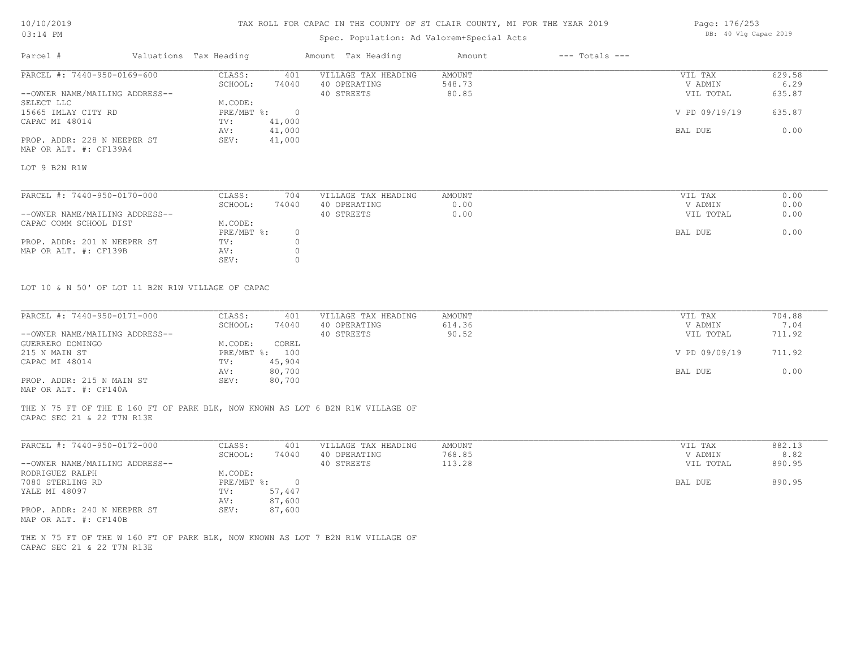### TAX ROLL FOR CAPAC IN THE COUNTY OF ST CLAIR COUNTY, MI FOR THE YEAR 2019

## Spec. Population: Ad Valorem+Special Acts

| Parcel #                       | Valuations Tax Heading             |                | Amount Tax Heading  | Amount        | $---$ Totals $---$ |                   |               |
|--------------------------------|------------------------------------|----------------|---------------------|---------------|--------------------|-------------------|---------------|
| PARCEL #: 7440-950-0169-600    | CLASS:                             | 401            | VILLAGE TAX HEADING | AMOUNT        |                    | VIL TAX           | 629.58        |
|                                | SCHOOL:                            | 74040          | 40 OPERATING        | 548.73        |                    | V ADMIN           | 6.29          |
| --OWNER NAME/MAILING ADDRESS-- |                                    |                | 40 STREETS          | 80.85         |                    | VIL TOTAL         | 635.87        |
| SELECT LLC                     | M.CODE:                            |                |                     |               |                    |                   |               |
| 15665 IMLAY CITY RD            | PRE/MBT %:                         | $\overline{0}$ |                     |               |                    | V PD 09/19/19     | 635.87        |
| CAPAC MI 48014                 | TV:                                | 41,000         |                     |               |                    |                   |               |
|                                | AV:                                | 41,000         |                     |               |                    | BAL DUE           | 0.00          |
| PROP. ADDR: 228 N NEEPER ST    | SEV:                               | 41,000         |                     |               |                    |                   |               |
| MAP OR ALT. #: CF139A4         |                                    |                |                     |               |                    |                   |               |
| LOT 9 B2N R1W                  |                                    |                |                     |               |                    |                   |               |
|                                |                                    |                |                     |               |                    |                   |               |
| PARCEL #: 7440-950-0170-000    | CLASS:                             | 704            | VILLAGE TAX HEADING | AMOUNT        |                    | VIL TAX           | 0.00          |
|                                | $\sim$ $\sim$ $\sim$ $\sim$ $\sim$ | <b>PAQAQ</b>   | 10.0                | $\sim$ $\sim$ |                    | $\cdots$ $\cdots$ | $\sim$ $\sim$ |

| THROP II IIV YOU AT A GOOD     | ------     | .     |              | 2 22 2 V V 2 V 2 | .         | $\circ \cdot \circ \circ$ |
|--------------------------------|------------|-------|--------------|------------------|-----------|---------------------------|
|                                | SCHOOL:    | 74040 | 40 OPERATING | J.OO             | V ADMIN   | 0.00                      |
| --OWNER NAME/MAILING ADDRESS-- |            |       | 40 STREETS   | J.OO             | VIL TOTAL | 0.00                      |
| CAPAC COMM SCHOOL DIST         | M.CODE:    |       |              |                  |           |                           |
|                                | PRE/MBT %: |       |              |                  | BAL DUE   | 0.00                      |
| PROP. ADDR: 201 N NEEPER ST    | TV:        |       |              |                  |           |                           |
| MAP OR ALT. #: CF139B          | AV:        |       |              |                  |           |                           |
|                                | SEV:       |       |              |                  |           |                           |
|                                |            |       |              |                  |           |                           |

LOT 10 & N 50' OF LOT 11 B2N R1W VILLAGE OF CAPAC

| PARCEL #: 7440-950-0171-000    | CLASS:  | 401            | VILLAGE TAX HEADING | AMOUNT | VIL TAX       | 704.88 |
|--------------------------------|---------|----------------|---------------------|--------|---------------|--------|
|                                | SCHOOL: | 74040          | 40 OPERATING        | 614.36 | V ADMIN       | 7.04   |
| --OWNER NAME/MAILING ADDRESS-- |         |                | 40 STREETS          | 90.52  | VIL TOTAL     | 711.92 |
| GUERRERO DOMINGO               | M.CODE: | COREL          |                     |        |               |        |
| 215 N MAIN ST                  |         | PRE/MBT %: 100 |                     |        | V PD 09/09/19 | 711.92 |
| CAPAC MI 48014                 | TV:     | 45,904         |                     |        |               |        |
|                                | AV:     | 80,700         |                     |        | BAL DUE       | 0.00   |
| PROP. ADDR: 215 N MAIN ST      | SEV:    | 80,700         |                     |        |               |        |
| MAP OR ALT. #: CF140A          |         |                |                     |        |               |        |

THE N 75 FT OF THE E 160 FT OF PARK BLK, NOW KNOWN AS LOT 6 B2N R1W VILLAGE OF

CAPAC SEC 21 & 22 T7N R13E

| PARCEL #: 7440-950-0172-000    | CLASS:     | 401    | VILLAGE TAX HEADING | AMOUNT | VIL TAX   | 882.13 |
|--------------------------------|------------|--------|---------------------|--------|-----------|--------|
|                                | SCHOOL:    | 74040  | 40 OPERATING        | 768.85 | V ADMIN   | 8.82   |
| --OWNER NAME/MAILING ADDRESS-- |            |        | 40 STREETS          | 113.28 | VIL TOTAL | 890.95 |
| RODRIGUEZ RALPH                | M.CODE:    |        |                     |        |           |        |
| 7080 STERLING RD               | PRE/MBT %: |        |                     |        | BAL DUE   | 890.95 |
| YALE MI 48097                  | TV:        | 57,447 |                     |        |           |        |
|                                | AV:        | 87,600 |                     |        |           |        |
| PROP. ADDR: 240 N NEEPER ST    | SEV:       | 87,600 |                     |        |           |        |
| MAP OR ALT. #: CF140B          |            |        |                     |        |           |        |

CAPAC SEC 21 & 22 T7N R13E THE N 75 FT OF THE W 160 FT OF PARK BLK, NOW KNOWN AS LOT 7 B2N R1W VILLAGE OF Page: 176/253 DB: 40 Vlg Capac 2019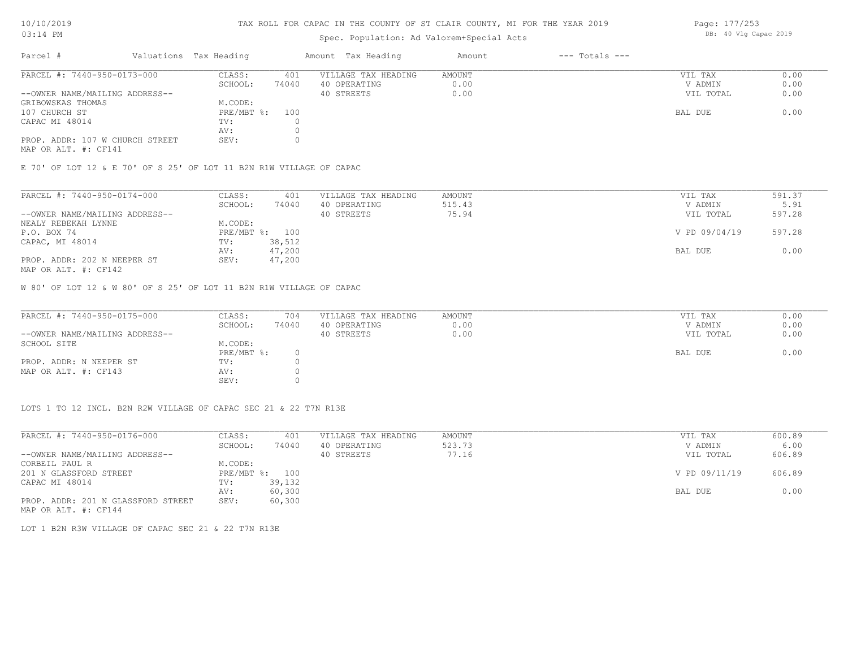#### TAX ROLL FOR CAPAC IN THE COUNTY OF ST CLAIR COUNTY, MI FOR THE YEAR 2019

## Spec. Population: Ad Valorem+Special Acts

| Parcel #                        | Valuations Tax Heading |       | Amount Tax Heading  | Amount | $---$ Totals $---$ |           |      |
|---------------------------------|------------------------|-------|---------------------|--------|--------------------|-----------|------|
| PARCEL #: 7440-950-0173-000     | CLASS:                 | 401   | VILLAGE TAX HEADING | AMOUNT |                    | VIL TAX   | 0.00 |
|                                 | SCHOOL:                | 74040 | 40 OPERATING        | 0.00   |                    | V ADMIN   | 0.00 |
| --OWNER NAME/MAILING ADDRESS--  |                        |       | 40 STREETS          | 0.00   |                    | VIL TOTAL | 0.00 |
| GRIBOWSKAS THOMAS               | M.CODE:                |       |                     |        |                    |           |      |
| 107 CHURCH ST                   | PRE/MBT %: 100         |       |                     |        |                    | BAL DUE   | 0.00 |
| CAPAC MI 48014                  | TV:                    |       |                     |        |                    |           |      |
|                                 | AV:                    |       |                     |        |                    |           |      |
| PROP. ADDR: 107 W CHURCH STREET | SEV:                   |       |                     |        |                    |           |      |
|                                 |                        |       |                     |        |                    |           |      |

MAP OR ALT. #: CF141

E 70' OF LOT 12 & E 70' OF S 25' OF LOT 11 B2N R1W VILLAGE OF CAPAC

| PARCEL #: 7440-950-0174-000    | CLASS:  | 401            | VILLAGE TAX HEADING | AMOUNT | VIL TAX       | 591.37 |
|--------------------------------|---------|----------------|---------------------|--------|---------------|--------|
|                                | SCHOOL: | 74040          | 40 OPERATING        | 515.43 | V ADMIN       | 5.91   |
| --OWNER NAME/MAILING ADDRESS-- |         |                | 40 STREETS          | 75.94  | VIL TOTAL     | 597.28 |
| NEALY REBEKAH LYNNE            | M.CODE: |                |                     |        |               |        |
| P.O. BOX 74                    |         | PRE/MBT %: 100 |                     |        | V PD 09/04/19 | 597.28 |
| CAPAC, MI 48014                | TV:     | 38,512         |                     |        |               |        |
|                                | AV:     | 47,200         |                     |        | BAL DUE       | 0.00   |
| PROP. ADDR: 202 N NEEPER ST    | SEV:    | 47,200         |                     |        |               |        |
|                                |         |                |                     |        |               |        |

MAP OR ALT. #: CF142

W 80' OF LOT 12 & W 80' OF S 25' OF LOT 11 B2N R1W VILLAGE OF CAPAC

| PARCEL #: 7440-950-0175-000    | CLASS:       | 704   | VILLAGE TAX HEADING | AMOUNT | VIL TAX   | 0.00 |
|--------------------------------|--------------|-------|---------------------|--------|-----------|------|
|                                | SCHOOL:      | 74040 | 40 OPERATING        | 0.00   | V ADMIN   | 0.00 |
| --OWNER NAME/MAILING ADDRESS-- |              |       | 40 STREETS          | 0.00   | VIL TOTAL | 0.00 |
| SCHOOL SITE                    | M.CODE:      |       |                     |        |           |      |
|                                | $PRE/MBT$ %: |       |                     |        | BAL DUE   | 0.00 |
| PROP. ADDR: N NEEPER ST        | TV:          |       |                     |        |           |      |
| MAP OR ALT. #: CF143           | AV:          |       |                     |        |           |      |
|                                | SEV:         |       |                     |        |           |      |

LOTS 1 TO 12 INCL. B2N R2W VILLAGE OF CAPAC SEC 21 & 22 T7N R13E

| PARCEL #: 7440-950-0176-000        | CLASS:       | 401    | VILLAGE TAX HEADING | AMOUNT | VIL TAX       | 600.89 |
|------------------------------------|--------------|--------|---------------------|--------|---------------|--------|
|                                    | SCHOOL:      | 74040  | 40 OPERATING        | 523.73 | V ADMIN       | 6.00   |
| --OWNER NAME/MAILING ADDRESS--     |              |        | 40 STREETS          | 77.16  | VIL TOTAL     | 606.89 |
| CORBEIL PAUL R                     | M.CODE:      |        |                     |        |               |        |
| 201 N GLASSFORD STREET             | $PRE/MBT$ %: | 100    |                     |        | V PD 09/11/19 | 606.89 |
| CAPAC MI 48014                     | TV:          | 39,132 |                     |        |               |        |
|                                    | AV:          | 60,300 |                     |        | BAL DUE       | 0.00   |
| PROP. ADDR: 201 N GLASSFORD STREET | SEV:         | 60,300 |                     |        |               |        |
| MAP OR ALT. #: CF144               |              |        |                     |        |               |        |

LOT 1 B2N R3W VILLAGE OF CAPAC SEC 21 & 22 T7N R13E

Page: 177/253 DB: 40 Vlg Capac 2019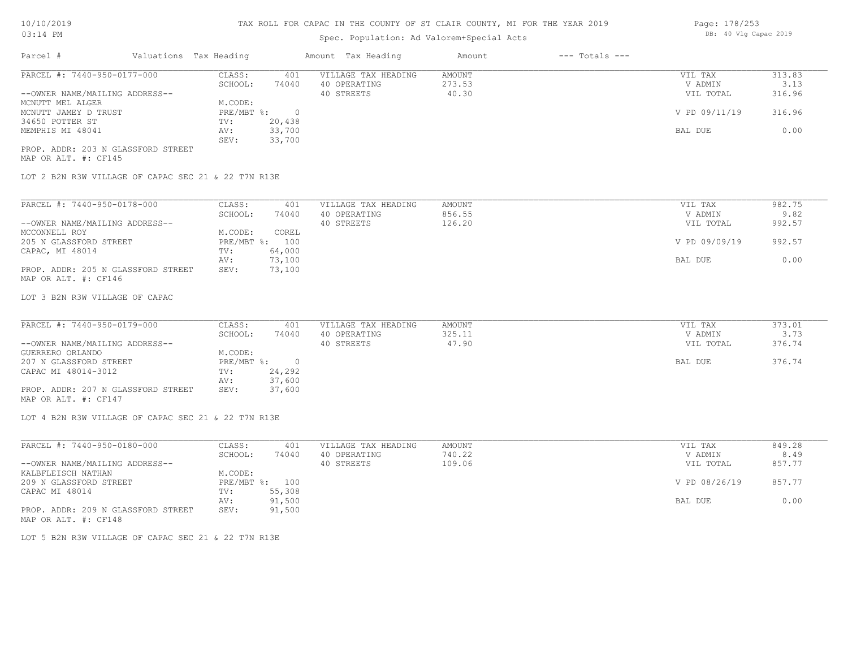## Spec. Population: Ad Valorem+Special Acts

| Parcel #                       | Valuations Tax Heading |        | Amount Tax Heading  | Amount | $---$ Totals $---$ |               |        |
|--------------------------------|------------------------|--------|---------------------|--------|--------------------|---------------|--------|
| PARCEL #: 7440-950-0177-000    | CLASS:                 | 401    | VILLAGE TAX HEADING | AMOUNT |                    | VIL TAX       | 313.83 |
|                                | SCHOOL:                | 74040  | 40 OPERATING        | 273.53 |                    | V ADMIN       | 3.13   |
| --OWNER NAME/MAILING ADDRESS-- |                        |        | 40 STREETS          | 40.30  |                    | VIL TOTAL     | 316.96 |
| MCNUTT MEL ALGER               | M.CODE:                |        |                     |        |                    |               |        |
| MCNUTT JAMEY D TRUST           | $PRE/MBT$ %:           |        |                     |        |                    | V PD 09/11/19 | 316.96 |
| 34650 POTTER ST                | TV:                    | 20,438 |                     |        |                    |               |        |
| MEMPHIS MI 48041               | AV:                    | 33,700 |                     |        |                    | BAL DUE       | 0.00   |
|                                | SEV:                   | 33,700 |                     |        |                    |               |        |

MAP OR ALT. #: CF145 PROP. ADDR: 203 N GLASSFORD STREET

LOT 2 B2N R3W VILLAGE OF CAPAC SEC 21 & 22 T7N R13E

| PARCEL #: 7440-950-0178-000        | CLASS:  | 401            | VILLAGE TAX HEADING | AMOUNT | VIL TAX       | 982.75 |
|------------------------------------|---------|----------------|---------------------|--------|---------------|--------|
|                                    | SCHOOL: | 74040          | 40 OPERATING        | 856.55 | V ADMIN       | 9.82   |
| --OWNER NAME/MAILING ADDRESS--     |         |                | 40 STREETS          | 126.20 | VIL TOTAL     | 992.57 |
| MCCONNELL ROY                      | M.CODE: | COREL          |                     |        |               |        |
| 205 N GLASSFORD STREET             |         | PRE/MBT %: 100 |                     |        | V PD 09/09/19 | 992.57 |
| CAPAC, MI 48014                    | TV:     | 64,000         |                     |        |               |        |
|                                    | AV:     | 73,100         |                     |        | BAL DUE       | 0.00   |
| PROP. ADDR: 205 N GLASSFORD STREET | SEV:    | 73,100         |                     |        |               |        |
| MAP OR ALT. #: CF146               |         |                |                     |        |               |        |

#### LOT 3 B2N R3W VILLAGE OF CAPAC

| PARCEL #: 7440-950-0179-000        | CLASS:     | 401    | VILLAGE TAX HEADING | AMOUNT | VIL TAX   | 373.01 |
|------------------------------------|------------|--------|---------------------|--------|-----------|--------|
|                                    | SCHOOL:    | 74040  | 40 OPERATING        | 325.11 | V ADMIN   | 3.73   |
| --OWNER NAME/MAILING ADDRESS--     |            |        | 40 STREETS          | 47.90  | VIL TOTAL | 376.74 |
| GUERRERO ORLANDO                   | M.CODE:    |        |                     |        |           |        |
| 207 N GLASSFORD STREET             | PRE/MBT %: |        |                     |        | BAL DUE   | 376.74 |
| CAPAC MI 48014-3012                | TV:        | 24,292 |                     |        |           |        |
|                                    | AV:        | 37,600 |                     |        |           |        |
| PROP. ADDR: 207 N GLASSFORD STREET | SEV:       | 37,600 |                     |        |           |        |
| MAP OR ALT. #: CF147               |            |        |                     |        |           |        |

LOT 4 B2N R3W VILLAGE OF CAPAC SEC 21 & 22 T7N R13E

| PARCEL #: 7440-950-0180-000        | CLASS:  | 401            | VILLAGE TAX HEADING | AMOUNT | VIL TAX       | 849.28 |
|------------------------------------|---------|----------------|---------------------|--------|---------------|--------|
|                                    | SCHOOL: | 74040          | 40 OPERATING        | 740.22 | V ADMIN       | 8.49   |
| --OWNER NAME/MAILING ADDRESS--     |         |                | 40 STREETS          | 109.06 | VIL TOTAL     | 857.77 |
| KALBFLEISCH NATHAN                 | M.CODE: |                |                     |        |               |        |
| 209 N GLASSFORD STREET             |         | PRE/MBT %: 100 |                     |        | V PD 08/26/19 | 857.77 |
| CAPAC MI 48014                     | TV:     | 55,308         |                     |        |               |        |
|                                    | AV:     | 91,500         |                     |        | BAL DUE       | 0.00   |
| PROP. ADDR: 209 N GLASSFORD STREET | SEV:    | 91,500         |                     |        |               |        |
| MAP OR ALT. #: CF148               |         |                |                     |        |               |        |

LOT 5 B2N R3W VILLAGE OF CAPAC SEC 21 & 22 T7N R13E

Page: 178/253 DB: 40 Vlg Capac 2019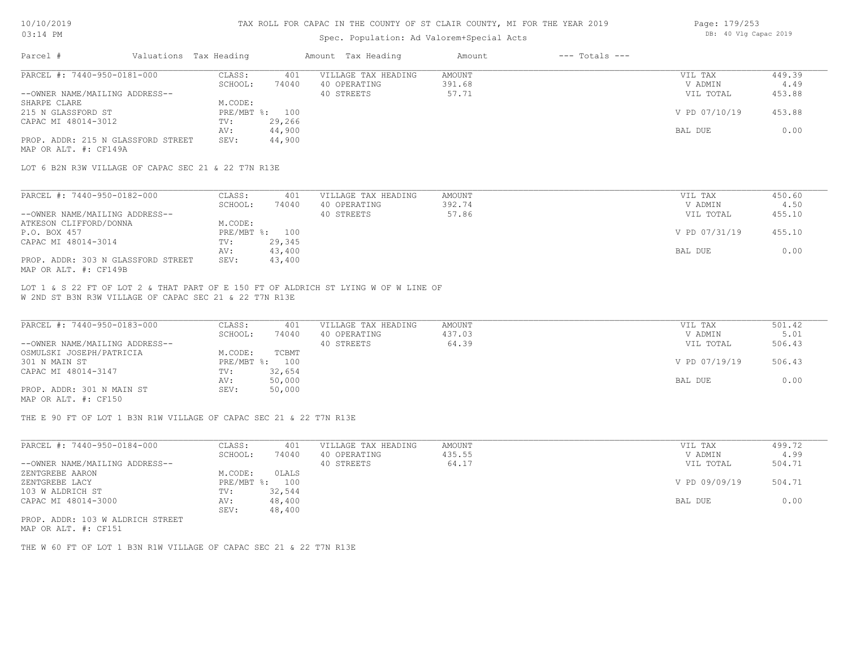#### TAX ROLL FOR CAPAC IN THE COUNTY OF ST CLAIR COUNTY, MI FOR THE YEAR 2019

### Spec. Population: Ad Valor

| rem+Special Acts |                |  | DB: 40 Vlg Capac 2019 |  |  |
|------------------|----------------|--|-----------------------|--|--|
| Amount           | --- Totals --- |  |                       |  |  |

| PARCEL #: 7440-950-0181-000        | CLASS:  | 401            | VILLAGE TAX HEADING | AMOUNT | VIL TAX       | 449.39 |
|------------------------------------|---------|----------------|---------------------|--------|---------------|--------|
|                                    | SCHOOL: | 74040          | 40 OPERATING        | 391.68 | V ADMIN       | 4.49   |
| --OWNER NAME/MAILING ADDRESS--     |         |                | 40 STREETS          | 57.71  | VIL TOTAL     | 453.88 |
| SHARPE CLARE                       | M.CODE: |                |                     |        |               |        |
| 215 N GLASSFORD ST                 |         | PRE/MBT %: 100 |                     |        | V PD 07/10/19 | 453.88 |
| CAPAC MI 48014-3012                | TV:     | 29,266         |                     |        |               |        |
|                                    | AV:     | 44,900         |                     |        | BAL DUE       | 0.00   |
| PROP. ADDR: 215 N GLASSFORD STREET | SEV:    | 44,900         |                     |        |               |        |
| MAP OR ALT. #: CF149A              |         |                |                     |        |               |        |

LOT 6 B2N R3W VILLAGE OF CAPAC SEC 21 & 22 T7N R13E

| PARCEL #: 7440-950-0182-000        | CLASS:  | 401            | VILLAGE TAX HEADING | AMOUNT | VIL TAX       | 450.60 |
|------------------------------------|---------|----------------|---------------------|--------|---------------|--------|
|                                    | SCHOOL: | 74040          | 40 OPERATING        | 392.74 | V ADMIN       | 4.50   |
| --OWNER NAME/MAILING ADDRESS--     |         |                | 40 STREETS          | 57.86  | VIL TOTAL     | 455.10 |
| ATKESON CLIFFORD/DONNA             | M.CODE: |                |                     |        |               |        |
| P.O. BOX 457                       |         | PRE/MBT %: 100 |                     |        | V PD 07/31/19 | 455.10 |
| CAPAC MI 48014-3014                | TV:     | 29,345         |                     |        |               |        |
|                                    | AV:     | 43,400         |                     |        | BAL DUE       | 0.00   |
| PROP. ADDR: 303 N GLASSFORD STREET | SEV:    | 43,400         |                     |        |               |        |
| MAP OR ALT. #: CF149B              |         |                |                     |        |               |        |

W 2ND ST B3N R3W VILLAGE OF CAPAC SEC 21 & 22 T7N R13E LOT 1 & S 22 FT OF LOT 2 & THAT PART OF E 150 FT OF ALDRICH ST LYING W OF W LINE OF

Parcel # Valuations Tax Heading Amount Tax Heading

| PARCEL #: 7440-950-0183-000    | CLASS:     | 401    | VILLAGE TAX HEADING | AMOUNT | VIL TAX       | 501.42 |
|--------------------------------|------------|--------|---------------------|--------|---------------|--------|
|                                | SCHOOL:    | 74040  | 40 OPERATING        | 437.03 | V ADMIN       | 5.01   |
| --OWNER NAME/MAILING ADDRESS-- |            |        | 40 STREETS          | 64.39  | VIL TOTAL     | 506.43 |
| OSMULSKI JOSEPH/PATRICIA       | M.CODE:    | TCBMT  |                     |        |               |        |
| 301 N MAIN ST                  | PRE/MBT %: | 100    |                     |        | V PD 07/19/19 | 506.43 |
| CAPAC MI 48014-3147            | TV:        | 32,654 |                     |        |               |        |
|                                | AV:        | 50,000 |                     |        | BAL DUE       | 0.00   |
| PROP. ADDR: 301 N MAIN ST      | SEV:       | 50,000 |                     |        |               |        |
| MAP OR ALT. #: CF150           |            |        |                     |        |               |        |

THE E 90 FT OF LOT 1 B3N R1W VILLAGE OF CAPAC SEC 21 & 22 T7N R13E

| PARCEL #: 7440-950-0184-000       | CLASS:     | 401    | VILLAGE TAX HEADING | AMOUNT | VIL TAX       | 499.72 |
|-----------------------------------|------------|--------|---------------------|--------|---------------|--------|
|                                   | SCHOOL:    | 74040  | 40 OPERATING        | 435.55 | V ADMIN       | 4.99   |
| --OWNER NAME/MAILING ADDRESS--    |            |        | 40 STREETS          | 64.17  | VIL TOTAL     | 504.71 |
| ZENTGREBE AARON                   | M.CODE:    | OLALS  |                     |        |               |        |
| ZENTGREBE LACY                    | PRE/MBT %: | 100    |                     |        | V PD 09/09/19 | 504.71 |
| 103 W ALDRICH ST                  | TV:        | 32,544 |                     |        |               |        |
| CAPAC MI 48014-3000               | AV:        | 48,400 |                     |        | BAL DUE       | 0.00   |
|                                   | SEV:       | 48,400 |                     |        |               |        |
| prop. 1000, 100 ii 1100fau ambros |            |        |                     |        |               |        |

MAP OR ALT. #: CF151 PROP. ADDR: 103 W ALDRICH STREET

THE W 60 FT OF LOT 1 B3N R1W VILLAGE OF CAPAC SEC 21 & 22 T7N R13E

Page: 179/253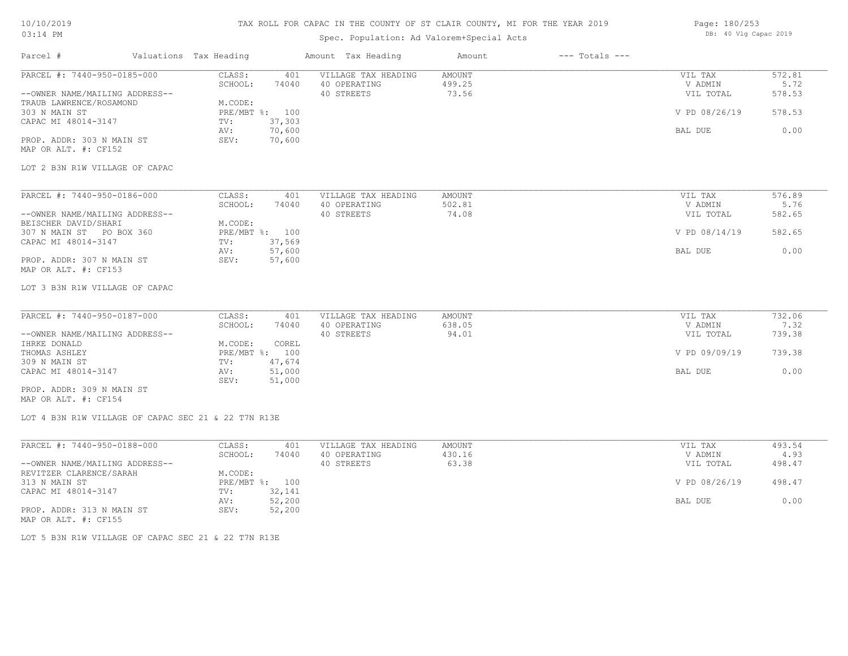### TAX ROLL FOR CAPAC IN THE COUNTY OF ST CLAIR COUNTY, MI FOR THE YEAR 2019

## Spec. Population: Ad Valorem+Special Acts

| Page: 180/253 |  |                       |  |  |  |  |
|---------------|--|-----------------------|--|--|--|--|
|               |  | DB: 40 Vlg Capac 2019 |  |  |  |  |

| Parcel #                                            | Valuations Tax Heading |             |                  | Amount Tax Heading  | Amount | $---$ Totals $---$ |                |        |
|-----------------------------------------------------|------------------------|-------------|------------------|---------------------|--------|--------------------|----------------|--------|
| PARCEL #: 7440-950-0185-000                         |                        | CLASS:      | 401              | VILLAGE TAX HEADING | AMOUNT |                    | VIL TAX        | 572.81 |
|                                                     |                        | SCHOOL:     | 74040            | 40 OPERATING        | 499.25 |                    | V ADMIN        | 5.72   |
| --OWNER NAME/MAILING ADDRESS--                      |                        |             |                  | 40 STREETS          | 73.56  |                    | VIL TOTAL      | 578.53 |
| TRAUB LAWRENCE/ROSAMOND                             |                        | M.CODE:     |                  |                     |        |                    |                |        |
| 303 N MAIN ST                                       |                        |             | PRE/MBT %: 100   |                     |        |                    | V PD 08/26/19  | 578.53 |
| CAPAC MI 48014-3147                                 |                        | TV:         | 37,303<br>70,600 |                     |        |                    | BAL DUE        | 0.00   |
| PROP. ADDR: 303 N MAIN ST                           |                        | AV:<br>SEV: | 70,600           |                     |        |                    |                |        |
| MAP OR ALT. #: CF152                                |                        |             |                  |                     |        |                    |                |        |
|                                                     |                        |             |                  |                     |        |                    |                |        |
| LOT 2 B3N R1W VILLAGE OF CAPAC                      |                        |             |                  |                     |        |                    |                |        |
|                                                     |                        |             |                  |                     |        |                    |                |        |
| PARCEL #: 7440-950-0186-000                         |                        | CLASS:      | 401              | VILLAGE TAX HEADING | AMOUNT |                    | VIL TAX        | 576.89 |
|                                                     |                        | SCHOOL:     | 74040            | 40 OPERATING        | 502.81 |                    | V ADMIN        | 5.76   |
| --OWNER NAME/MAILING ADDRESS--                      |                        |             |                  | 40 STREETS          | 74.08  |                    | VIL TOTAL      | 582.65 |
| BEISCHER DAVID/SHARI                                |                        | M.CODE:     |                  |                     |        |                    |                |        |
| 307 N MAIN ST PO BOX 360                            |                        |             | PRE/MBT %: 100   |                     |        |                    | V PD 08/14/19  | 582.65 |
| CAPAC MI 48014-3147                                 |                        | TV:         | 37,569           |                     |        |                    |                |        |
|                                                     |                        | AV:         | 57,600           |                     |        |                    | BAL DUE        | 0.00   |
| PROP. ADDR: 307 N MAIN ST<br>MAP OR ALT. #: CF153   |                        | SEV:        | 57,600           |                     |        |                    |                |        |
|                                                     |                        |             |                  |                     |        |                    |                |        |
| LOT 3 B3N R1W VILLAGE OF CAPAC                      |                        |             |                  |                     |        |                    |                |        |
|                                                     |                        |             |                  |                     |        |                    |                |        |
| PARCEL #: 7440-950-0187-000                         |                        | CLASS:      | 401              | VILLAGE TAX HEADING | AMOUNT |                    | VIL TAX        | 732.06 |
|                                                     |                        | SCHOOL:     | 74040            | 40 OPERATING        | 638.05 |                    | V ADMIN        | 7.32   |
| --OWNER NAME/MAILING ADDRESS--                      |                        |             |                  | 40 STREETS          | 94.01  |                    | VIL TOTAL      | 739.38 |
| IHRKE DONALD                                        |                        | M.CODE:     | COREL            |                     |        |                    |                |        |
| THOMAS ASHLEY                                       |                        |             | PRE/MBT %: 100   |                     |        |                    | V PD 09/09/19  | 739.38 |
| 309 N MAIN ST                                       |                        | TV:         | 47,674           |                     |        |                    |                |        |
| CAPAC MI 48014-3147                                 |                        | AV:         | 51,000           |                     |        |                    | BAL DUE        | 0.00   |
|                                                     |                        | SEV:        | 51,000           |                     |        |                    |                |        |
| PROP. ADDR: 309 N MAIN ST                           |                        |             |                  |                     |        |                    |                |        |
| MAP OR ALT. #: CF154                                |                        |             |                  |                     |        |                    |                |        |
| LOT 4 B3N R1W VILLAGE OF CAPAC SEC 21 & 22 T7N R13E |                        |             |                  |                     |        |                    |                |        |
|                                                     |                        |             |                  |                     |        |                    |                |        |
| PARCEL #: 7440-950-0188-000                         |                        | CLASS:      | 401              | VILLAGE TAX HEADING | AMOUNT |                    | VIL TAX        | 493.54 |
|                                                     |                        | SCHOOL:     | 74040            | 40 OPERATING        | 430.16 |                    | V ADMIN        | 4.93   |
| --OWNER NAME/MAILING ADDRESS--                      |                        |             |                  | 40 STREETS          | 63.38  |                    | VIL TOTAL      | 498.47 |
| REVITZER CLARENCE/SARAH                             |                        | M.CODE:     |                  |                     |        |                    |                |        |
| 313 N MAIN ST                                       |                        |             | PRE/MBT %: 100   |                     |        |                    | V PD 08/26/19  | 498.47 |
| CAPAC MI 48014-3147                                 |                        | TV:         | 32,141           |                     |        |                    |                |        |
|                                                     |                        | AV:         | 52,200           |                     |        |                    | <b>BAL DUE</b> | 0.00   |
| PROP. ADDR: 313 N MAIN ST                           |                        | SEV:        | 52,200           |                     |        |                    |                |        |

MAP OR ALT. #: CF155

LOT 5 B3N R1W VILLAGE OF CAPAC SEC 21 & 22 T7N R13E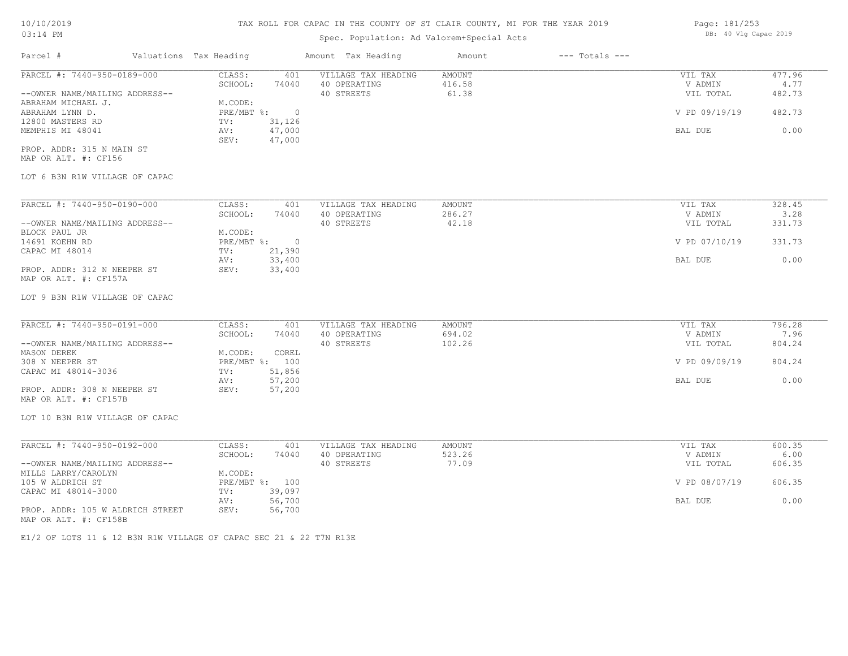# 10/10/2019 03:14 PM

# TAX ROLL FOR CAPAC IN THE COUNTY OF ST CLAIR COUNTY, MI FOR THE YEAR 2019

# Spec. Population: Ad Valorem+Special Acts

| Parcel #                       | Valuations Tax Heading |        | Amount Tax Heading  | Amount | $---$ Totals $---$ |               |        |
|--------------------------------|------------------------|--------|---------------------|--------|--------------------|---------------|--------|
| PARCEL #: 7440-950-0189-000    | CLASS:                 | 401    | VILLAGE TAX HEADING | AMOUNT |                    | VIL TAX       | 477.96 |
|                                | SCHOOL:                | 74040  | 40 OPERATING        | 416.58 |                    | V ADMIN       | 4.77   |
| --OWNER NAME/MAILING ADDRESS-- |                        |        | 40 STREETS          | 61.38  |                    | VIL TOTAL     | 482.73 |
| ABRAHAM MICHAEL J.             | M.CODE:                |        |                     |        |                    |               |        |
| ABRAHAM LYNN D.                | $PRE/MBT$ %:           |        |                     |        |                    | V PD 09/19/19 | 482.73 |
| 12800 MASTERS RD               | TV:                    | 31,126 |                     |        |                    |               |        |
| MEMPHIS MI 48041               | AV:                    | 47,000 |                     |        |                    | BAL DUE       | 0.00   |
|                                | SEV:                   | 47,000 |                     |        |                    |               |        |
| PROP. ADDR: 315 N MAIN ST      |                        |        |                     |        |                    |               |        |
| MAP OR ALT. #: CF156           |                        |        |                     |        |                    |               |        |

### LOT 6 B3N R1W VILLAGE OF CAPAC

| PARCEL #: 7440-950-0190-000    | CLASS:     | 401    | VILLAGE TAX HEADING | AMOUNT | VIL TAX       | 328.45 |
|--------------------------------|------------|--------|---------------------|--------|---------------|--------|
|                                | SCHOOL:    | 74040  | 40 OPERATING        | 286.27 | V ADMIN       | 3.28   |
| --OWNER NAME/MAILING ADDRESS-- |            |        | 40 STREETS          | 42.18  | VIL TOTAL     | 331.73 |
| BLOCK PAUL JR                  | M.CODE:    |        |                     |        |               |        |
| 14691 KOEHN RD                 | PRE/MBT %: | $\cap$ |                     |        | V PD 07/10/19 | 331.73 |
| CAPAC MI 48014                 | TV:        | 21,390 |                     |        |               |        |
|                                | AV:        | 33,400 |                     |        | BAL DUE       | 0.00   |
| PROP. ADDR: 312 N NEEPER ST    | SEV:       | 33,400 |                     |        |               |        |
| MAP OR ALT. #: CF157A          |            |        |                     |        |               |        |

### LOT 9 B3N R1W VILLAGE OF CAPAC

| PARCEL #: 7440-950-0191-000    | CLASS:  | 401            | VILLAGE TAX HEADING | AMOUNT | VIL TAX       | 796.28 |
|--------------------------------|---------|----------------|---------------------|--------|---------------|--------|
|                                | SCHOOL: | 74040          | 40 OPERATING        | 694.02 | V ADMIN       | 7.96   |
| --OWNER NAME/MAILING ADDRESS-- |         |                | 40 STREETS          | 102.26 | VIL TOTAL     | 804.24 |
| MASON DEREK                    | M.CODE: | COREL          |                     |        |               |        |
| 308 N NEEPER ST                |         | PRE/MBT %: 100 |                     |        | V PD 09/09/19 | 804.24 |
| CAPAC MI 48014-3036            | TV:     | 51,856         |                     |        |               |        |
|                                | AV:     | 57,200         |                     |        | BAL DUE       | 0.00   |
| PROP. ADDR: 308 N NEEPER ST    | SEV:    | 57,200         |                     |        |               |        |
| MAP OR ALT. #: CF157B          |         |                |                     |        |               |        |

LOT 10 B3N R1W VILLAGE OF CAPAC

| PARCEL #: 7440-950-0192-000      | CLASS:  | 401            | VILLAGE TAX HEADING | AMOUNT | VIL TAX       | 600.35 |
|----------------------------------|---------|----------------|---------------------|--------|---------------|--------|
|                                  | SCHOOL: | 74040          | 40 OPERATING        | 523.26 | V ADMIN       | 6.00   |
| --OWNER NAME/MAILING ADDRESS--   |         |                | 40 STREETS          | 77.09  | VIL TOTAL     | 606.35 |
| MILLS LARRY/CAROLYN              | M.CODE: |                |                     |        |               |        |
| 105 W ALDRICH ST                 |         | PRE/MBT %: 100 |                     |        | V PD 08/07/19 | 606.35 |
| CAPAC MI 48014-3000              | TV:     | 39,097         |                     |        |               |        |
|                                  | AV:     | 56,700         |                     |        | BAL DUE       | 0.00   |
| PROP. ADDR: 105 W ALDRICH STREET | SEV:    | 56,700         |                     |        |               |        |
| MAP OR ALT. #: CF158B            |         |                |                     |        |               |        |

E1/2 OF LOTS 11 & 12 B3N R1W VILLAGE OF CAPAC SEC 21 & 22 T7N R13E

Page: 181/253 DB: 40 Vlg Capac 2019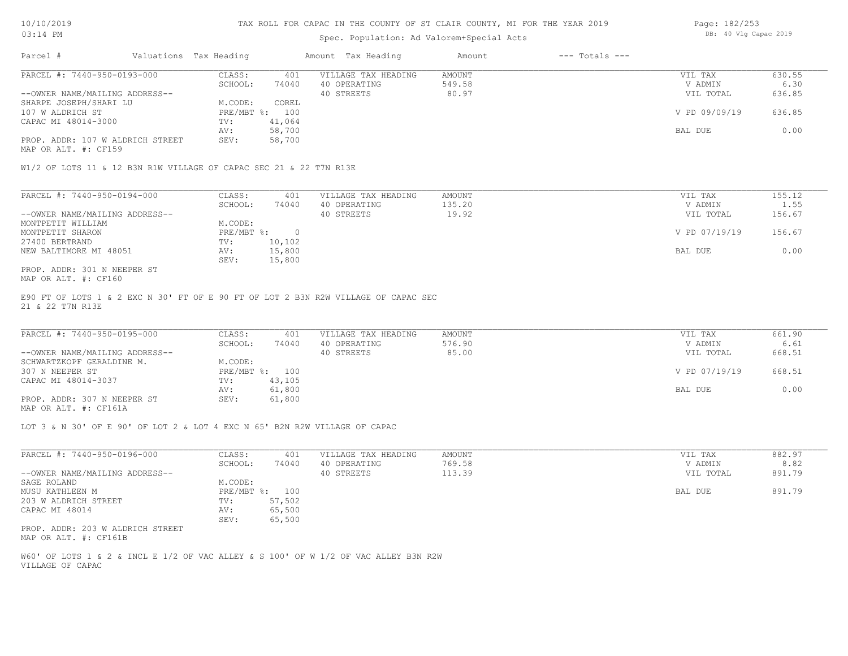| $03:14$ PM |                             |                        | Spec. Population: Ad Valorem+Special Acts |        |                | DB: 40 Vlg Capac 2019 |        |  |
|------------|-----------------------------|------------------------|-------------------------------------------|--------|----------------|-----------------------|--------|--|
| Parcel     |                             | Valuations Tax Heading | Amount Tax Heading                        | Amount | --- Totals --- |                       |        |  |
|            | PARCEL #: 7440-950-0193-000 | CLASS:                 | VILLAGE TAX HEADING<br>401                | AMOUNT |                | VIL TAX               | 630.55 |  |

| PARCEL #: 7440-950-0193-000      | CLASS:     | 401    | VILLAGE TAX HEADING | AMOUNT | VIL TAX       | 630.55 |
|----------------------------------|------------|--------|---------------------|--------|---------------|--------|
|                                  | SCHOOL:    | 74040  | 40 OPERATING        | 549.58 | V ADMIN       | 6.30   |
| --OWNER NAME/MAILING ADDRESS--   |            |        | 40 STREETS          | 80.97  | VIL TOTAL     | 636.85 |
| SHARPE JOSEPH/SHARI LU           | M.CODE:    | COREL  |                     |        |               |        |
| 107 W ALDRICH ST                 | PRE/MBT %: | 100    |                     |        | V PD 09/09/19 | 636.85 |
| CAPAC MI 48014-3000              | TV:        | 41,064 |                     |        |               |        |
|                                  | AV:        | 58,700 |                     |        | BAL DUE       | 0.00   |
| PROP. ADDR: 107 W ALDRICH STREET | SEV:       | 58,700 |                     |        |               |        |
|                                  |            |        |                     |        |               |        |

MAP OR ALT. #: CF159

W1/2 OF LOTS 11 & 12 B3N R1W VILLAGE OF CAPAC SEC 21 & 22 T7N R13E

| PARCEL #: 7440-950-0194-000    | CLASS:     | 401    | VILLAGE TAX HEADING | AMOUNT | VIL TAX       | 155.12 |
|--------------------------------|------------|--------|---------------------|--------|---------------|--------|
|                                | SCHOOL:    | 74040  | 40 OPERATING        | 135.20 | V ADMIN       | 1.55   |
| --OWNER NAME/MAILING ADDRESS-- |            |        | 40 STREETS          | 19.92  | VIL TOTAL     | 156.67 |
| MONTPETIT WILLIAM              | M.CODE:    |        |                     |        |               |        |
| MONTPETIT SHARON               | PRE/MBT %: |        |                     |        | V PD 07/19/19 | 156.67 |
| 27400 BERTRAND                 | TV:        | 10,102 |                     |        |               |        |
| NEW BALTIMORE MI 48051         | AV:        | 15,800 |                     |        | BAL DUE       | 0.00   |
|                                | SEV:       | 15,800 |                     |        |               |        |
| PROP. ADDR: 301 N NEEPER ST    |            |        |                     |        |               |        |

MAP OR ALT. #: CF160

21 & 22 T7N R13E E90 FT OF LOTS 1 & 2 EXC N 30' FT OF E 90 FT OF LOT 2 B3N R2W VILLAGE OF CAPAC SEC

| PARCEL #: 7440-950-0195-000    | CLASS:  | 401            | VILLAGE TAX HEADING | AMOUNT | VIL TAX       | 661.90 |
|--------------------------------|---------|----------------|---------------------|--------|---------------|--------|
|                                | SCHOOL: | 74040          | 40 OPERATING        | 576.90 | V ADMIN       | 6.61   |
| --OWNER NAME/MAILING ADDRESS-- |         |                | 40 STREETS          | 85.00  | VIL TOTAL     | 668.51 |
| SCHWARTZKOPF GERALDINE M.      | M.CODE: |                |                     |        |               |        |
| 307 N NEEPER ST                |         | PRE/MBT %: 100 |                     |        | V PD 07/19/19 | 668.51 |
| CAPAC MI 48014-3037            | TV:     | 43,105         |                     |        |               |        |
|                                | AV:     | 61,800         |                     |        | BAL DUE       | 0.00   |
| PROP. ADDR: 307 N NEEPER ST    | SEV:    | 61,800         |                     |        |               |        |
|                                |         |                |                     |        |               |        |

MAP OR ALT. #: CF161A

LOT 3 & N 30' OF E 90' OF LOT 2 & LOT 4 EXC N 65' B2N R2W VILLAGE OF CAPAC

| PARCEL #: 7440-950-0196-000                               | CLASS:     | 401    | VILLAGE TAX HEADING | AMOUNT | 882.97<br>VIL TAX   |
|-----------------------------------------------------------|------------|--------|---------------------|--------|---------------------|
|                                                           | SCHOOL:    | 74040  | 40 OPERATING        | 769.58 | 8.82<br>V ADMIN     |
| --OWNER NAME/MAILING ADDRESS--                            |            |        | 40 STREETS          | 113.39 | 891.79<br>VIL TOTAL |
| SAGE ROLAND                                               | M.CODE:    |        |                     |        |                     |
| MUSU KATHLEEN M                                           | PRE/MBT %: | 100    |                     |        | 891.79<br>BAL DUE   |
| 203 W ALDRICH STREET                                      | TV:        | 57,502 |                     |        |                     |
| CAPAC MI 48014                                            | AV:        | 65,500 |                     |        |                     |
|                                                           | SEV:       | 65,500 |                     |        |                     |
| PROP. ADDR: 203 W ALDRICH STREET<br>MAP OR ALT. #: CF161B |            |        |                     |        |                     |

VILLAGE OF CAPAC W60' OF LOTS 1 & 2 & INCL E 1/2 OF VAC ALLEY & S 100' OF W 1/2 OF VAC ALLEY B3N R2W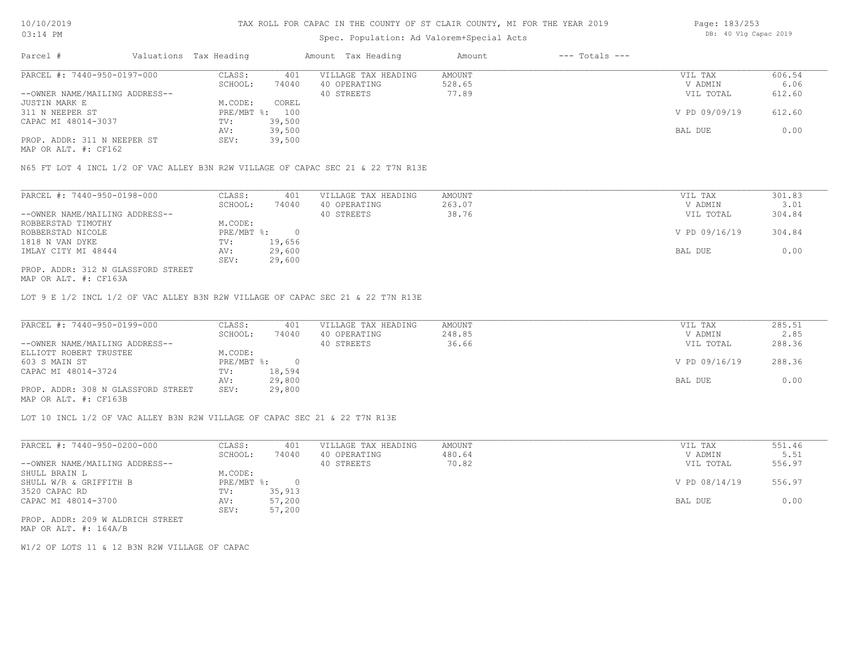# Spec. Population: Ad Valorem+Special Acts

| Page: 183/253 |  |                       |  |
|---------------|--|-----------------------|--|
|               |  | DB: 40 Vlg Capac 2019 |  |

| Parcel #                       | Valuations Tax Heading |        | Amount Tax Heading  | Amount | $---$ Totals $---$ |               |        |
|--------------------------------|------------------------|--------|---------------------|--------|--------------------|---------------|--------|
| PARCEL #: 7440-950-0197-000    | CLASS:                 | 401    | VILLAGE TAX HEADING | AMOUNT |                    | VIL TAX       | 606.54 |
|                                | SCHOOL:                | 74040  | 40 OPERATING        | 528.65 |                    | V ADMIN       | 6.06   |
| --OWNER NAME/MAILING ADDRESS-- |                        |        | 40 STREETS          | 77.89  |                    | VIL TOTAL     | 612.60 |
| JUSTIN MARK E                  | M.CODE:                | COREL  |                     |        |                    |               |        |
| 311 N NEEPER ST                | PRE/MBT %: 100         |        |                     |        |                    | V PD 09/09/19 | 612.60 |
| CAPAC MI 48014-3037            | TV:                    | 39,500 |                     |        |                    |               |        |
|                                | AV:                    | 39,500 |                     |        |                    | BAL DUE       | 0.00   |
| PROP. ADDR: 311 N NEEPER ST    | SEV:                   | 39,500 |                     |        |                    |               |        |
|                                |                        |        |                     |        |                    |               |        |

MAP OR ALT. #: CF162

N65 FT LOT 4 INCL 1/2 OF VAC ALLEY B3N R2W VILLAGE OF CAPAC SEC 21 & 22 T7N R13E

| PARCEL #: 7440-950-0198-000        | CLASS:     | 401    | VILLAGE TAX HEADING | AMOUNT | VIL TAX       | 301.83 |
|------------------------------------|------------|--------|---------------------|--------|---------------|--------|
|                                    | SCHOOL:    | 74040  | 40 OPERATING        | 263.07 | V ADMIN       | 3.01   |
| --OWNER NAME/MAILING ADDRESS--     |            |        | 40 STREETS          | 38.76  | VIL TOTAL     | 304.84 |
| ROBBERSTAD TIMOTHY                 | M.CODE:    |        |                     |        |               |        |
| ROBBERSTAD NICOLE                  | PRE/MBT %: |        |                     |        | V PD 09/16/19 | 304.84 |
| 1818 N VAN DYKE                    | TV:        | 19,656 |                     |        |               |        |
| IMLAY CITY MI 48444                | AV:        | 29,600 |                     |        | BAL DUE       | 0.00   |
|                                    | SEV:       | 29,600 |                     |        |               |        |
| PROP. ADDR: 312 N GLASSFORD STREET |            |        |                     |        |               |        |

MAP OR ALT. #: CF163A

LOT 9 E 1/2 INCL 1/2 OF VAC ALLEY B3N R2W VILLAGE OF CAPAC SEC 21 & 22 T7N R13E

| PARCEL #: 7440-950-0199-000                                                                 | CLASS:       | 401    | VILLAGE TAX HEADING | AMOUNT | VIL TAX       | 285.51 |
|---------------------------------------------------------------------------------------------|--------------|--------|---------------------|--------|---------------|--------|
|                                                                                             | SCHOOL:      | 74040  | 40 OPERATING        | 248.85 | V ADMIN       | 2.85   |
| --OWNER NAME/MAILING ADDRESS--                                                              |              |        | 40 STREETS          | 36.66  | VIL TOTAL     | 288.36 |
| ELLIOTT ROBERT TRUSTEE                                                                      | M.CODE:      |        |                     |        |               |        |
| 603 S MAIN ST                                                                               | $PRE/MBT$ %: |        |                     |        | V PD 09/16/19 | 288.36 |
| CAPAC MI 48014-3724                                                                         | TV:          | 18,594 |                     |        |               |        |
|                                                                                             | AV:          | 29,800 |                     |        | BAL DUE       | 0.00   |
| PROP. ADDR: 308 N GLASSFORD STREET<br>$\cdots$ $\cdots$ $\cdots$ $\cdots$ $\cdots$ $\cdots$ | SEV:         | 29,800 |                     |        |               |        |

MAP OR ALT. #: CF163B

LOT 10 INCL 1/2 OF VAC ALLEY B3N R2W VILLAGE OF CAPAC SEC 21 & 22 T7N R13E

| PARCEL #: 7440-950-0200-000      | CLASS:       | 401    | VILLAGE TAX HEADING | AMOUNT | VIL TAX       | 551.46 |
|----------------------------------|--------------|--------|---------------------|--------|---------------|--------|
|                                  | SCHOOL:      | 74040  | 40 OPERATING        | 480.64 | V ADMIN       | 5.51   |
| --OWNER NAME/MAILING ADDRESS--   |              |        | 40 STREETS          | 70.82  | VIL TOTAL     | 556.97 |
| SHULL BRAIN L                    | M.CODE:      |        |                     |        |               |        |
| SHULL W/R & GRIFFITH B           | $PRE/MBT$ %: |        |                     |        | V PD 08/14/19 | 556.97 |
| 3520 CAPAC RD                    | TV:          | 35,913 |                     |        |               |        |
| CAPAC MI 48014-3700              | AV:          | 57,200 |                     |        | BAL DUE       | 0.00   |
|                                  | SEV:         | 57,200 |                     |        |               |        |
| PROP. ADDR: 209 W ALDRICH STREET |              |        |                     |        |               |        |

MAP OR ALT. #: 164A/B

W1/2 OF LOTS 11 & 12 B3N R2W VILLAGE OF CAPAC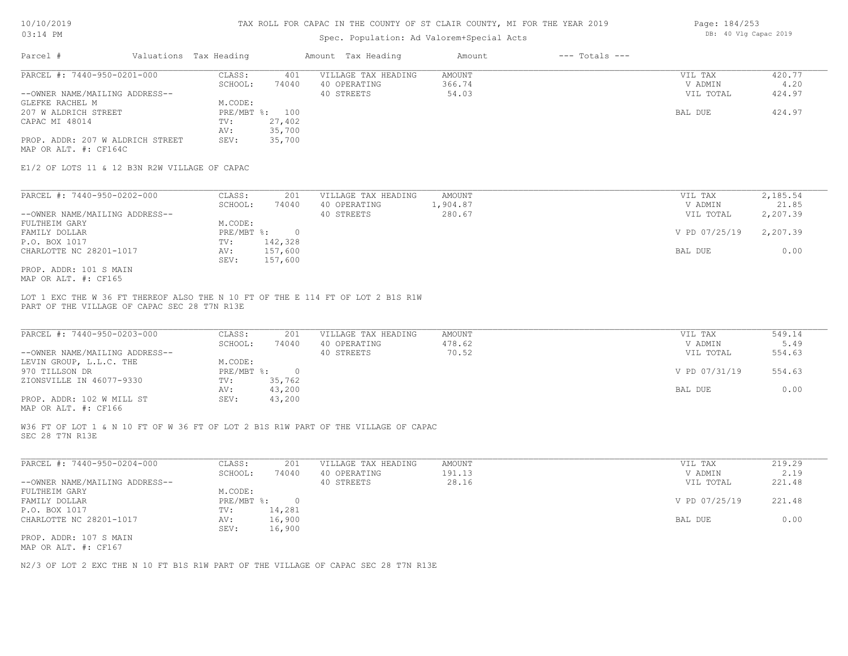# Spec. Population: Ad Valorem+Special Acts

| Page: 184/253 |  |                       |  |  |  |  |
|---------------|--|-----------------------|--|--|--|--|
|               |  | DB: 40 Vlg Capac 2019 |  |  |  |  |

| Parcel #                         | Valuations Tax Heading |        | Amount Tax Heading  | Amount | $---$ Totals $---$ |           |        |
|----------------------------------|------------------------|--------|---------------------|--------|--------------------|-----------|--------|
| PARCEL #: 7440-950-0201-000      | CLASS:                 | 401    | VILLAGE TAX HEADING | AMOUNT |                    | VIL TAX   | 420.77 |
|                                  | SCHOOL:                | 74040  | 40 OPERATING        | 366.74 |                    | V ADMIN   | 4.20   |
| --OWNER NAME/MAILING ADDRESS--   |                        |        | 40 STREETS          | 54.03  |                    | VIL TOTAL | 424.97 |
| GLEFKE RACHEL M                  | M.CODE:                |        |                     |        |                    |           |        |
| 207 W ALDRICH STREET             | $PRE/MBT$ %:           | 100    |                     |        |                    | BAL DUE   | 424.97 |
| CAPAC MI 48014                   | TV:                    | 27,402 |                     |        |                    |           |        |
|                                  | AV:                    | 35,700 |                     |        |                    |           |        |
| PROP. ADDR: 207 W ALDRICH STREET | SEV:                   | 35,700 |                     |        |                    |           |        |
| MAP OR ALT. #: CF164C            |                        |        |                     |        |                    |           |        |

E1/2 OF LOTS 11 & 12 B3N R2W VILLAGE OF CAPAC

| PARCEL #: 7440-950-0202-000    | CLASS:       | 201     | VILLAGE TAX HEADING | AMOUNT   | VIL TAX       | 2,185.54 |
|--------------------------------|--------------|---------|---------------------|----------|---------------|----------|
|                                | SCHOOL:      | 74040   | 40 OPERATING        | 1,904.87 | V ADMIN       | 21.85    |
| --OWNER NAME/MAILING ADDRESS-- |              |         | 40 STREETS          | 280.67   | VIL TOTAL     | 2,207.39 |
| FULTHEIM GARY                  | M.CODE:      |         |                     |          |               |          |
| FAMILY DOLLAR                  | $PRE/MBT$ %: |         |                     |          | V PD 07/25/19 | 2,207.39 |
| P.O. BOX 1017                  | TV:          | 142,328 |                     |          |               |          |
| CHARLOTTE NC 28201-1017        | AV:          | 157,600 |                     |          | BAL DUE       | 0.00     |
|                                | SEV:         | 157,600 |                     |          |               |          |
| PROP. ADDR: 101 S MAIN         |              |         |                     |          |               |          |

MAP OR ALT. #: CF165

PART OF THE VILLAGE OF CAPAC SEC 28 T7N R13E LOT 1 EXC THE W 36 FT THEREOF ALSO THE N 10 FT OF THE E 114 FT OF LOT 2 B1S R1W

| PARCEL #: 7440-950-0203-000    | CLASS:     | 201    | VILLAGE TAX HEADING | AMOUNT | VIL TAX       | 549.14 |
|--------------------------------|------------|--------|---------------------|--------|---------------|--------|
|                                | SCHOOL:    | 74040  | 40 OPERATING        | 478.62 | V ADMIN       | 5.49   |
| --OWNER NAME/MAILING ADDRESS-- |            |        | 40 STREETS          | 70.52  | VIL TOTAL     | 554.63 |
| LEVIN GROUP, L.L.C. THE        | M.CODE:    |        |                     |        |               |        |
| 970 TILLSON DR                 | PRE/MBT %: |        |                     |        | V PD 07/31/19 | 554.63 |
| ZIONSVILLE IN 46077-9330       | TV:        | 35,762 |                     |        |               |        |
|                                | AV:        | 43,200 |                     |        | BAL DUE       | 0.00   |
| PROP. ADDR: 102 W MILL ST      | SEV:       | 43,200 |                     |        |               |        |
|                                |            |        |                     |        |               |        |

MAP OR ALT. #: CF166

SEC 28 T7N R13E W36 FT OF LOT 1 & N 10 FT OF W 36 FT OF LOT 2 B1S R1W PART OF THE VILLAGE OF CAPAC

| PARCEL #: 7440-950-0204-000    | CLASS:       | 201    | VILLAGE TAX HEADING | AMOUNT | VIL TAX       | 219.29 |
|--------------------------------|--------------|--------|---------------------|--------|---------------|--------|
|                                | SCHOOL:      | 74040  | 40 OPERATING        | 191.13 | V ADMIN       | 2.19   |
| --OWNER NAME/MAILING ADDRESS-- |              |        | 40 STREETS          | 28.16  | VIL TOTAL     | 221.48 |
| FULTHEIM GARY                  | M.CODE:      |        |                     |        |               |        |
| FAMILY DOLLAR                  | $PRE/MBT$ %: |        |                     |        | V PD 07/25/19 | 221.48 |
| P.O. BOX 1017                  | TV:          | 14,281 |                     |        |               |        |
| CHARLOTTE NC 28201-1017        | AV:          | 16,900 |                     |        | BAL DUE       | 0.00   |
|                                | SEV:         | 16,900 |                     |        |               |        |
| PROP. ADDR: 107 S MAIN         |              |        |                     |        |               |        |

MAP OR ALT. #: CF167

N2/3 OF LOT 2 EXC THE N 10 FT B1S R1W PART OF THE VILLAGE OF CAPAC SEC 28 T7N R13E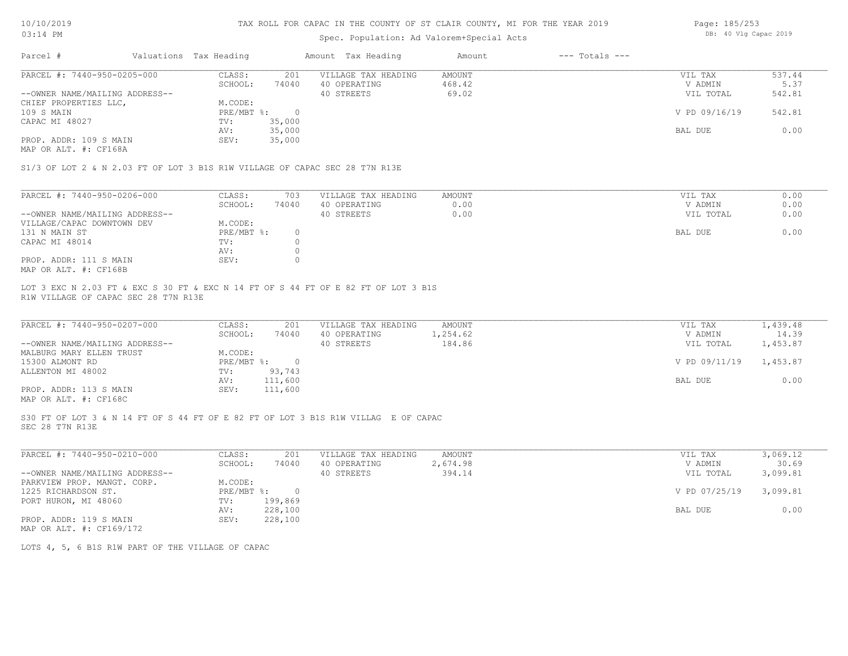# Spec. Population: Ad Valorem+Special Acts

| Page: 185/253 |  |  |                       |  |
|---------------|--|--|-----------------------|--|
|               |  |  | DB: 40 Vlg Capac 2019 |  |

| Parcel #                       | Valuations Tax Heading |        | Amount Tax Heading  | Amount | $---$ Totals $---$ |               |        |
|--------------------------------|------------------------|--------|---------------------|--------|--------------------|---------------|--------|
| PARCEL #: 7440-950-0205-000    | CLASS:                 | 201    | VILLAGE TAX HEADING | AMOUNT |                    | VIL TAX       | 537.44 |
|                                | SCHOOL:                | 74040  | 40 OPERATING        | 468.42 |                    | V ADMIN       | 5.37   |
| --OWNER NAME/MAILING ADDRESS-- |                        |        | 40 STREETS          | 69.02  |                    | VIL TOTAL     | 542.81 |
| CHIEF PROPERTIES LLC,          | M.CODE:                |        |                     |        |                    |               |        |
| 109 S MAIN                     | PRE/MBT %:             |        |                     |        |                    | V PD 09/16/19 | 542.81 |
| CAPAC MI 48027                 | TV:                    | 35,000 |                     |        |                    |               |        |
|                                | AV:                    | 35,000 |                     |        |                    | BAL DUE       | 0.00   |
| PROP. ADDR: 109 S MAIN         | SEV:                   | 35,000 |                     |        |                    |               |        |
|                                |                        |        |                     |        |                    |               |        |

MAP OR ALT. #: CF168A

S1/3 OF LOT 2 & N 2.03 FT OF LOT 3 B1S R1W VILLAGE OF CAPAC SEC 28 T7N R13E

| PARCEL #: 7440-950-0206-000    | CLASS:     | 703   | VILLAGE TAX HEADING | AMOUNT | VIL TAX   | 0.00 |
|--------------------------------|------------|-------|---------------------|--------|-----------|------|
|                                | SCHOOL:    | 74040 | 40 OPERATING        | 0.00   | V ADMIN   | 0.00 |
| --OWNER NAME/MAILING ADDRESS-- |            |       | 40 STREETS          | 0.00   | VIL TOTAL | 0.00 |
| VILLAGE/CAPAC DOWNTOWN DEV     | M.CODE:    |       |                     |        |           |      |
| 131 N MAIN ST                  | PRE/MBT %: |       |                     |        | BAL DUE   | 0.00 |
| CAPAC MI 48014                 | TV:        |       |                     |        |           |      |
|                                | AV:        |       |                     |        |           |      |
| PROP. ADDR: 111 S MAIN         | SEV:       |       |                     |        |           |      |
| MAP OR ALT. #: CF168B          |            |       |                     |        |           |      |

R1W VILLAGE OF CAPAC SEC 28 T7N R13E LOT 3 EXC N 2.03 FT & EXC S 30 FT & EXC N 14 FT OF S 44 FT OF E 82 FT OF LOT 3 B1S

| PARCEL #: 7440-950-0207-000                           | CLASS:       | 201     | VILLAGE TAX HEADING | AMOUNT   | VIL TAX                | 1,439.48 |
|-------------------------------------------------------|--------------|---------|---------------------|----------|------------------------|----------|
|                                                       | SCHOOL:      | 74040   | 40 OPERATING        | 1,254.62 | V ADMIN                | 14.39    |
| --OWNER NAME/MAILING ADDRESS--                        |              |         | 40 STREETS          | 184.86   | VIL TOTAL              | 1,453.87 |
| MALBURG MARY ELLEN TRUST                              | M.CODE:      |         |                     |          |                        |          |
| 15300 ALMONT RD                                       | $PRE/MBT$ %: |         |                     |          | V PD 09/11/19 1,453.87 |          |
| ALLENTON MI 48002                                     | TV:          | 93,743  |                     |          |                        |          |
|                                                       | AV:          | 111,600 |                     |          | BAL DUE                | 0.00     |
| PROP. ADDR: 113 S MAIN                                | SEV:         | 111,600 |                     |          |                        |          |
| $\cdots$ $\cdots$ $\cdots$ $\cdots$ $\cdots$ $\cdots$ |              |         |                     |          |                        |          |

 $\mathcal{L}_\mathcal{L} = \mathcal{L}_\mathcal{L} = \mathcal{L}_\mathcal{L} = \mathcal{L}_\mathcal{L} = \mathcal{L}_\mathcal{L} = \mathcal{L}_\mathcal{L} = \mathcal{L}_\mathcal{L} = \mathcal{L}_\mathcal{L} = \mathcal{L}_\mathcal{L} = \mathcal{L}_\mathcal{L} = \mathcal{L}_\mathcal{L} = \mathcal{L}_\mathcal{L} = \mathcal{L}_\mathcal{L} = \mathcal{L}_\mathcal{L} = \mathcal{L}_\mathcal{L} = \mathcal{L}_\mathcal{L} = \mathcal{L}_\mathcal{L}$ 

MAP OR ALT. #: CF168C

SEC 28 T7N R13E S30 FT OF LOT 3 & N 14 FT OF S 44 FT OF E 82 FT OF LOT 3 B1S R1W VILLAG E OF CAPAC

| PARCEL #: 7440-950-0210-000    | CLASS:     | 201     | VILLAGE TAX HEADING | AMOUNT   | VIL TAX       | 3,069.12 |
|--------------------------------|------------|---------|---------------------|----------|---------------|----------|
|                                | SCHOOL:    | 74040   | 40 OPERATING        | 2,674.98 | V ADMIN       | 30.69    |
| --OWNER NAME/MAILING ADDRESS-- |            |         | 40 STREETS          | 394.14   | VIL TOTAL     | 3,099.81 |
| PARKVIEW PROP. MANGT. CORP.    | M.CODE:    |         |                     |          |               |          |
| 1225 RICHARDSON ST.            | PRE/MBT %: |         |                     |          | V PD 07/25/19 | 3,099.81 |
| PORT HURON, MI 48060           | TV:        | 199,869 |                     |          |               |          |
|                                | AV:        | 228,100 |                     |          | BAL DUE       | 0.00     |
| PROP. ADDR: 119 S MAIN         | SEV:       | 228,100 |                     |          |               |          |
| MAP OR ALT. #: CF169/172       |            |         |                     |          |               |          |

LOTS 4, 5, 6 B1S R1W PART OF THE VILLAGE OF CAPAC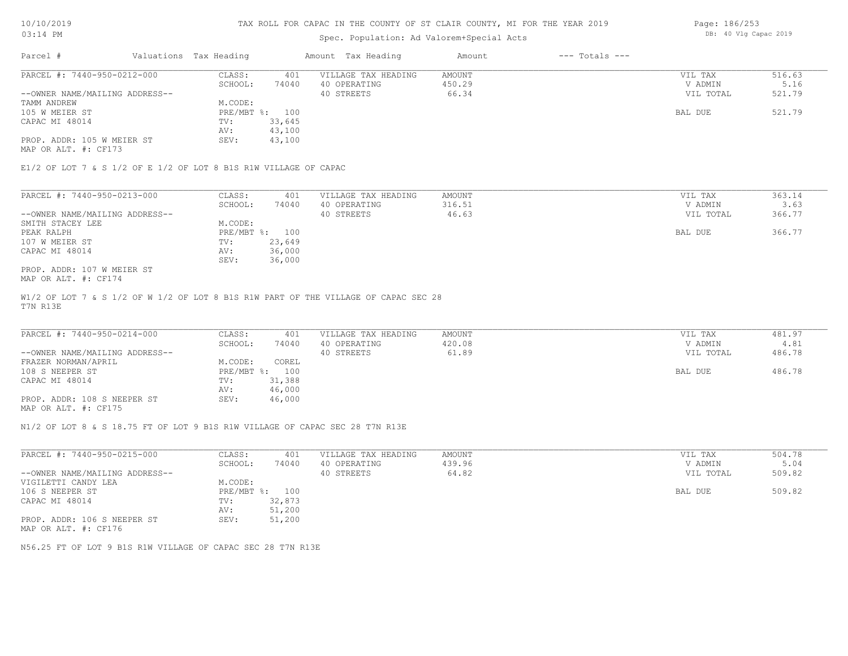# Spec. Population: Ad Valorem+Special Acts

| Page: 186/253 |  |                       |  |
|---------------|--|-----------------------|--|
|               |  | DB: 40 Vlg Capac 2019 |  |

| Parcel #                       | Valuations Tax Heading |        | Amount Tax Heading  | Amount | $---$ Totals $---$ |           |        |
|--------------------------------|------------------------|--------|---------------------|--------|--------------------|-----------|--------|
| PARCEL #: 7440-950-0212-000    | CLASS:                 | 401    | VILLAGE TAX HEADING | AMOUNT |                    | VIL TAX   | 516.63 |
|                                | SCHOOL:                | 74040  | 40 OPERATING        | 450.29 |                    | V ADMIN   | 5.16   |
| --OWNER NAME/MAILING ADDRESS-- |                        |        | 40 STREETS          | 66.34  |                    | VIL TOTAL | 521.79 |
| TAMM ANDREW                    | M.CODE:                |        |                     |        |                    |           |        |
| 105 W MEIER ST                 | PRE/MBT %: 100         |        |                     |        |                    | BAL DUE   | 521.79 |
| CAPAC MI 48014                 | TV:                    | 33,645 |                     |        |                    |           |        |
|                                | AV:                    | 43,100 |                     |        |                    |           |        |
| PROP. ADDR: 105 W MEIER ST     | SEV:                   | 43,100 |                     |        |                    |           |        |
|                                |                        |        |                     |        |                    |           |        |

MAP OR ALT. #: CF173

E1/2 OF LOT 7 & S 1/2 OF E 1/2 OF LOT 8 B1S R1W VILLAGE OF CAPAC

| PARCEL #: 7440-950-0213-000    | CLASS:     | 401    | VILLAGE TAX HEADING | AMOUNT | VIL TAX   | 363.14 |
|--------------------------------|------------|--------|---------------------|--------|-----------|--------|
|                                | SCHOOL:    | 74040  | 40 OPERATING        | 316.51 | V ADMIN   | 3.63   |
| --OWNER NAME/MAILING ADDRESS-- |            |        | 40 STREETS          | 46.63  | VIL TOTAL | 366.77 |
| SMITH STACEY LEE               | M.CODE:    |        |                     |        |           |        |
| PEAK RALPH                     | PRE/MBT %: | 100    |                     |        | BAL DUE   | 366.77 |
| 107 W MEIER ST                 | TV:        | 23,649 |                     |        |           |        |
| CAPAC MI 48014                 | AV:        | 36,000 |                     |        |           |        |
|                                | SEV:       | 36,000 |                     |        |           |        |
| PROP. ADDR: 107 W MEIER ST     |            |        |                     |        |           |        |

MAP OR ALT. #: CF174

T7N R13E W1/2 OF LOT 7 & S 1/2 OF W 1/2 OF LOT 8 B1S R1W PART OF THE VILLAGE OF CAPAC SEC 28

| PARCEL #: 7440-950-0214-000    | CLASS:  | 401            | VILLAGE TAX HEADING | AMOUNT | VIL TAX   | 481.97 |
|--------------------------------|---------|----------------|---------------------|--------|-----------|--------|
|                                | SCHOOL: | 74040          | 40 OPERATING        | 420.08 | V ADMIN   | 4.81   |
| --OWNER NAME/MAILING ADDRESS-- |         |                | 40 STREETS          | 61.89  | VIL TOTAL | 486.78 |
| FRAZER NORMAN/APRIL            | M.CODE: | COREL          |                     |        |           |        |
| 108 S NEEPER ST                |         | PRE/MBT %: 100 |                     |        | BAL DUE   | 486.78 |
| CAPAC MI 48014                 | TV:     | 31,388         |                     |        |           |        |
|                                | AV:     | 46,000         |                     |        |           |        |
| PROP. ADDR: 108 S NEEPER ST    | SEV:    | 46,000         |                     |        |           |        |
|                                |         |                |                     |        |           |        |

MAP OR ALT. #: CF175

N1/2 OF LOT 8 & S 18.75 FT OF LOT 9 B1S R1W VILLAGE OF CAPAC SEC 28 T7N R13E

| PARCEL #: 7440-950-0215-000    | CLASS:       | 401    | VILLAGE TAX HEADING | AMOUNT | 504.78<br>VIL TAX   |
|--------------------------------|--------------|--------|---------------------|--------|---------------------|
|                                | SCHOOL:      | 74040  | 40 OPERATING        | 439.96 | 5.04<br>V ADMIN     |
| --OWNER NAME/MAILING ADDRESS-- |              |        | 40 STREETS          | 64.82  | 509.82<br>VIL TOTAL |
| VIGILETTI CANDY LEA            | M.CODE:      |        |                     |        |                     |
| 106 S NEEPER ST                | $PRE/MBT$ %: | 100    |                     |        | 509.82<br>BAL DUE   |
| CAPAC MI 48014                 | TV:          | 32,873 |                     |        |                     |
|                                | AV:          | 51,200 |                     |        |                     |
| PROP. ADDR: 106 S NEEPER ST    | SEV:         | 51,200 |                     |        |                     |
| MAP OR ALT. #: CF176           |              |        |                     |        |                     |

N56.25 FT OF LOT 9 B1S R1W VILLAGE OF CAPAC SEC 28 T7N R13E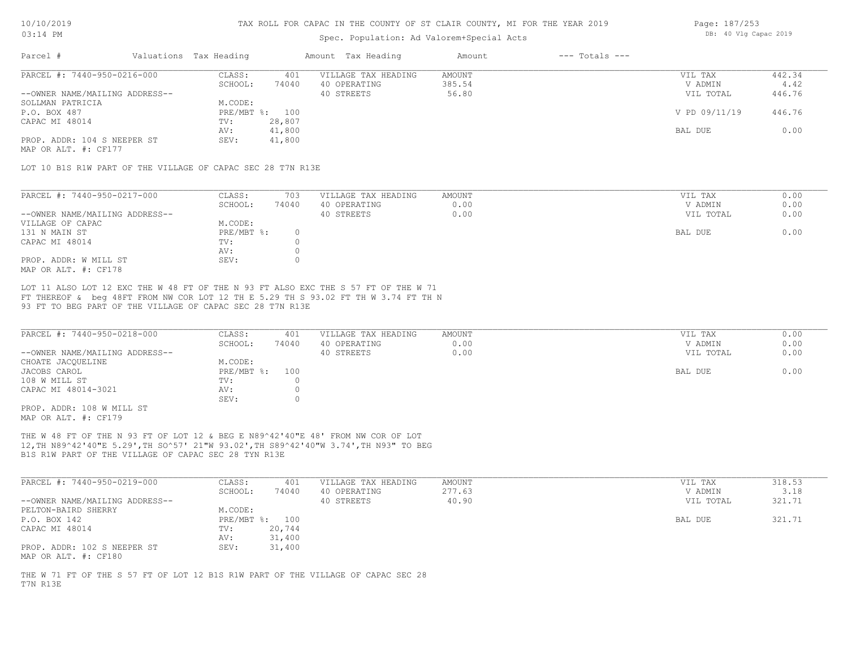# Spec. Population: Ad Valorem+Special Acts

| Page: 187/253 |  |                       |  |
|---------------|--|-----------------------|--|
|               |  | DB: 40 Vlg Capac 2019 |  |

| Parcel #                       | Valuations Tax Heading |        | Amount Tax Heading  | Amount | $---$ Totals $---$ |               |        |
|--------------------------------|------------------------|--------|---------------------|--------|--------------------|---------------|--------|
| PARCEL #: 7440-950-0216-000    | CLASS:                 | 401    | VILLAGE TAX HEADING | AMOUNT |                    | VIL TAX       | 442.34 |
|                                | SCHOOL:                | 74040  | 40 OPERATING        | 385.54 |                    | V ADMIN       | 4.42   |
| --OWNER NAME/MAILING ADDRESS-- |                        |        | 40 STREETS          | 56.80  |                    | VIL TOTAL     | 446.76 |
| SOLLMAN PATRICIA               | M.CODE:                |        |                     |        |                    |               |        |
| P.O. BOX 487                   | PRE/MBT %: 100         |        |                     |        |                    | V PD 09/11/19 | 446.76 |
| CAPAC MI 48014                 | TV:                    | 28,807 |                     |        |                    |               |        |
|                                | AV:                    | 41,800 |                     |        |                    | BAL DUE       | 0.00   |
| PROP. ADDR: 104 S NEEPER ST    | SEV:                   | 41,800 |                     |        |                    |               |        |
|                                |                        |        |                     |        |                    |               |        |

MAP OR ALT. #: CF177

LOT 10 B1S R1W PART OF THE VILLAGE OF CAPAC SEC 28 T7N R13E

| PARCEL #: 7440-950-0217-000    | CLASS:     | 703   | VILLAGE TAX HEADING | AMOUNT | VIL TAX   | 0.00 |
|--------------------------------|------------|-------|---------------------|--------|-----------|------|
|                                | SCHOOL:    | 74040 | 40 OPERATING        | 0.00   | V ADMIN   | 0.00 |
| --OWNER NAME/MAILING ADDRESS-- |            |       | 40 STREETS          | 0.00   | VIL TOTAL | 0.00 |
| VILLAGE OF CAPAC               | M.CODE:    |       |                     |        |           |      |
| 131 N MAIN ST                  | PRE/MBT %: |       |                     |        | BAL DUE   | 0.00 |
| CAPAC MI 48014                 | TV:        |       |                     |        |           |      |
|                                | AV:        |       |                     |        |           |      |
| PROP. ADDR: W MILL ST          | SEV:       |       |                     |        |           |      |
| MAP OR ALT. #: CF178           |            |       |                     |        |           |      |

93 FT TO BEG PART OF THE VILLAGE OF CAPAC SEC 28 T7N R13E FT THEREOF & beg 48FT FROM NW COR LOT 12 TH E 5.29 TH S 93.02 FT TH W 3.74 FT TH N LOT 11 ALSO LOT 12 EXC THE W 48 FT OF THE N 93 FT ALSO EXC THE S 57 FT OF THE W 71

| PARCEL #: 7440-950-0218-000    | CLASS:       | 401   | VILLAGE TAX HEADING | AMOUNT | VIL TAX   | 0.00 |
|--------------------------------|--------------|-------|---------------------|--------|-----------|------|
|                                | SCHOOL:      | 74040 | 40 OPERATING        | 0.00   | V ADMIN   | 0.00 |
| --OWNER NAME/MAILING ADDRESS-- |              |       | 40 STREETS          | 0.00   | VIL TOTAL | 0.00 |
| CHOATE JACQUELINE              | M.CODE:      |       |                     |        |           |      |
| JACOBS CAROL                   | $PRE/MBT$ %: | 100   |                     |        | BAL DUE   | 0.00 |
| 108 W MILL ST                  | TV:          |       |                     |        |           |      |
| CAPAC MI 48014-3021            | AV:          |       |                     |        |           |      |
|                                | SEV:         |       |                     |        |           |      |
| PROP. ADDR: 108 W MILL ST      |              |       |                     |        |           |      |

MAP OR ALT. #: CF179

B1S R1W PART OF THE VILLAGE OF CAPAC SEC 28 TYN R13E 12,TH N89^42'40"E 5.29',TH SO^57' 21"W 93.02',TH S89^42'40"W 3.74',TH N93" TO BEG THE W 48 FT OF THE N 93 FT OF LOT 12 & BEG E N89^42'40"E 48' FROM NW COR OF LOT

| PARCEL #: 7440-950-0219-000                         | CLASS:  | 401            | VILLAGE TAX HEADING | AMOUNT | VIL TAX   | 318.53 |
|-----------------------------------------------------|---------|----------------|---------------------|--------|-----------|--------|
|                                                     | SCHOOL: | 74040          | 40 OPERATING        | 277.63 | V ADMIN   | 3.18   |
| --OWNER NAME/MAILING ADDRESS--                      |         |                | 40 STREETS          | 40.90  | VIL TOTAL | 321.71 |
| PELTON-BAIRD SHERRY                                 | M.CODE: |                |                     |        |           |        |
| P.O. BOX 142                                        |         | PRE/MBT %: 100 |                     |        | BAL DUE   | 321.71 |
| CAPAC MI 48014                                      | TV:     | 20,744         |                     |        |           |        |
|                                                     | AV:     | 31,400         |                     |        |           |        |
| PROP. ADDR: 102 S NEEPER ST<br>MAP OR ALT. #: CF180 | SEV:    | 31,400         |                     |        |           |        |

T7N R13E THE W 71 FT OF THE S 57 FT OF LOT 12 B1S R1W PART OF THE VILLAGE OF CAPAC SEC 28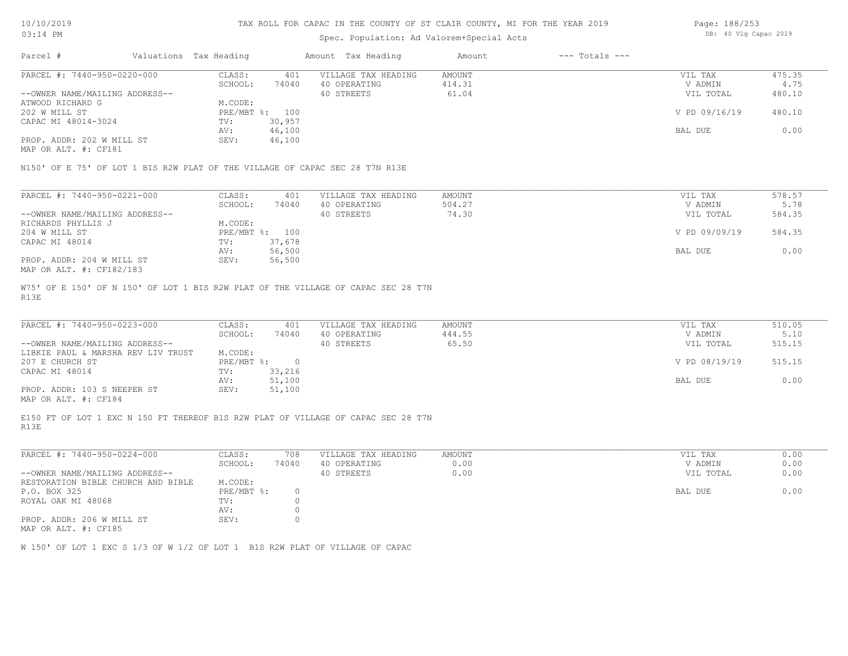# Spec. Population: Ad Valorem+Special Acts

| Page: 188/253 |  |                       |  |
|---------------|--|-----------------------|--|
|               |  | DB: 40 Vlg Capac 2019 |  |

| Parcel #                       | Valuations Tax Heading |        | Amount Tax Heading  | Amount | $---$ Totals $---$ |               |        |
|--------------------------------|------------------------|--------|---------------------|--------|--------------------|---------------|--------|
| PARCEL #: 7440-950-0220-000    | CLASS:                 | 401    | VILLAGE TAX HEADING | AMOUNT |                    | VIL TAX       | 475.35 |
|                                | SCHOOL:                | 74040  | 40 OPERATING        | 414.31 |                    | V ADMIN       | 4.75   |
| --OWNER NAME/MAILING ADDRESS-- |                        |        | 40 STREETS          | 61.04  |                    | VIL TOTAL     | 480.10 |
| ATWOOD RICHARD G               | M.CODE:                |        |                     |        |                    |               |        |
| 202 W MILL ST                  | $PRE/MBT$ %:           | 100    |                     |        |                    | V PD 09/16/19 | 480.10 |
| CAPAC MI 48014-3024            | TV:                    | 30,957 |                     |        |                    |               |        |
|                                | AV:                    | 46,100 |                     |        |                    | BAL DUE       | 0.00   |
| PROP. ADDR: 202 W MILL ST      | SEV:                   | 46,100 |                     |        |                    |               |        |
| MAP OR ALT. #: CF181           |                        |        |                     |        |                    |               |        |

N150' OF E 75' OF LOT 1 BIS R2W PLAT OF THE VILLAGE OF CAPAC SEC 28 T7N R13E

| PARCEL #: 7440-950-0221-000    | CLASS:  | 401            | VILLAGE TAX HEADING | AMOUNT | VIL TAX       | 578.57 |
|--------------------------------|---------|----------------|---------------------|--------|---------------|--------|
|                                | SCHOOL: | 74040          | 40 OPERATING        | 504.27 | V ADMIN       | 5.78   |
| --OWNER NAME/MAILING ADDRESS-- |         |                | 40 STREETS          | 74.30  | VIL TOTAL     | 584.35 |
| RICHARDS PHYLLIS J             | M.CODE: |                |                     |        |               |        |
| 204 W MILL ST                  |         | PRE/MBT %: 100 |                     |        | V PD 09/09/19 | 584.35 |
| CAPAC MI 48014                 | TV:     | 37,678         |                     |        |               |        |
|                                | AV:     | 56,500         |                     |        | BAL DUE       | 0.00   |
| PROP. ADDR: 204 W MILL ST      | SEV:    | 56,500         |                     |        |               |        |
| MAP OR ALT. #: CF182/183       |         |                |                     |        |               |        |

R13E W75' OF E 150' OF N 150' OF LOT 1 BIS R2W PLAT OF THE VILLAGE OF CAPAC SEC 28 T7N

| PARCEL #: 7440-950-0223-000        | CLASS:       | 401    | VILLAGE TAX HEADING | AMOUNT | VIL TAX       | 510.05 |
|------------------------------------|--------------|--------|---------------------|--------|---------------|--------|
|                                    | SCHOOL:      | 74040  | 40 OPERATING        | 444.55 | V ADMIN       | 5.10   |
| --OWNER NAME/MAILING ADDRESS--     |              |        | 40 STREETS          | 65.50  | VIL TOTAL     | 515.15 |
| LIBKIE PAUL & MARSHA REV LIV TRUST | M.CODE:      |        |                     |        |               |        |
| 207 E CHURCH ST                    | $PRE/MBT$ %: |        |                     |        | V PD 08/19/19 | 515.15 |
| CAPAC MI 48014                     | TV:          | 33,216 |                     |        |               |        |
|                                    | AV:          | 51,100 |                     |        | BAL DUE       | 0.00   |
| PROP. ADDR: 103 S NEEPER ST        | SEV:         | 51,100 |                     |        |               |        |
|                                    |              |        |                     |        |               |        |

MAP OR ALT. #: CF184

R13E E150 FT OF LOT 1 EXC N 150 FT THEREOF B1S R2W PLAT OF VILLAGE OF CAPAC SEC 28 T7N

| PARCEL #: 7440-950-0224-000                | CLASS:     | 708   | VILLAGE TAX HEADING | AMOUNT | 0.00<br>VIL TAX   |
|--------------------------------------------|------------|-------|---------------------|--------|-------------------|
|                                            | SCHOOL:    | 74040 | 40 OPERATING        | 0.00   | 0.00<br>V ADMIN   |
| --OWNER NAME/MAILING ADDRESS--             |            |       | 40 STREETS          | 0.00   | 0.00<br>VIL TOTAL |
| RESTORATION BIBLE CHURCH AND BIBLE         | M.CODE:    |       |                     |        |                   |
| P.O. BOX 325                               | PRE/MBT %: |       |                     |        | 0.00<br>BAL DUE   |
| ROYAL OAK MI 48068                         | TV:        |       |                     |        |                   |
|                                            | AV:        |       |                     |        |                   |
| PROP. ADDR: 206 W MILL ST<br>$\frac{1}{2}$ | SEV:       |       |                     |        |                   |

MAP OR ALT. #: CF185

W 150' OF LOT 1 EXC S 1/3 OF W 1/2 OF LOT 1 B1S R2W PLAT OF VILLAGE OF CAPAC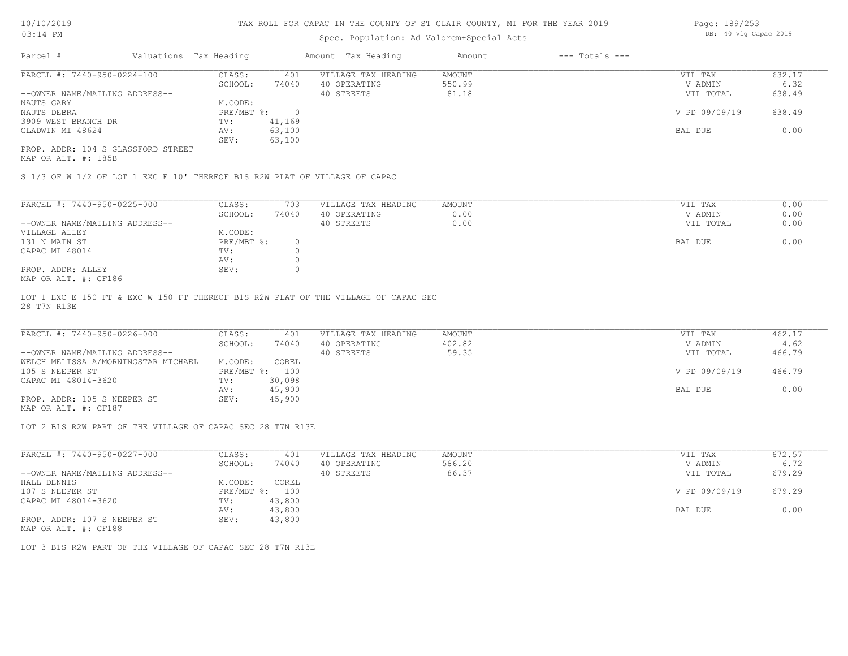# Spec. Population: Ad Valorem+Special Acts

| Page: 189/253 |  |                       |  |
|---------------|--|-----------------------|--|
|               |  | DB: 40 Vlg Capac 2019 |  |

| Parcel #                           |  | Valuations Tax Heading |        | Amount Tax Heading  | Amount | $---$ Totals $---$ |               |        |  |
|------------------------------------|--|------------------------|--------|---------------------|--------|--------------------|---------------|--------|--|
| PARCEL #: 7440-950-0224-100        |  | CLASS:                 | 401    | VILLAGE TAX HEADING | AMOUNT |                    | VIL TAX       | 632.17 |  |
|                                    |  | SCHOOL:                | 74040  | 40 OPERATING        | 550.99 |                    | V ADMIN       | 6.32   |  |
| --OWNER NAME/MAILING ADDRESS--     |  |                        |        | 40 STREETS          | 81.18  |                    | VIL TOTAL     | 638.49 |  |
| NAUTS GARY                         |  | M.CODE:                |        |                     |        |                    |               |        |  |
| NAUTS DEBRA                        |  | PRE/MBT %:             |        |                     |        |                    | V PD 09/09/19 | 638.49 |  |
| 3909 WEST BRANCH DR                |  | TV:                    | 41,169 |                     |        |                    |               |        |  |
| GLADWIN MI 48624                   |  | AV:                    | 63,100 |                     |        |                    | BAL DUE       | 0.00   |  |
|                                    |  | SEV:                   | 63,100 |                     |        |                    |               |        |  |
| PROP. ADDR: 104 S GLASSFORD STREET |  |                        |        |                     |        |                    |               |        |  |

MAP OR ALT. #: 185B

S 1/3 OF W 1/2 OF LOT 1 EXC E 10' THEREOF B1S R2W PLAT OF VILLAGE OF CAPAC

| PARCEL #: 7440-950-0225-000                                        | CLASS:     | 703   | VILLAGE TAX HEADING | AMOUNT | VIL TAX<br>0.00   |
|--------------------------------------------------------------------|------------|-------|---------------------|--------|-------------------|
|                                                                    | SCHOOL:    | 74040 | 40 OPERATING        | 0.00   | 0.00<br>V ADMIN   |
| --OWNER NAME/MAILING ADDRESS--                                     |            |       | 40 STREETS          | 0.00   | 0.00<br>VIL TOTAL |
| VILLAGE ALLEY                                                      | M.CODE:    |       |                     |        |                   |
| 131 N MAIN ST                                                      | PRE/MBT %: |       |                     |        | 0.00<br>BAL DUE   |
| CAPAC MI 48014                                                     | TV:        |       |                     |        |                   |
|                                                                    | AV:        |       |                     |        |                   |
| PROP. ADDR: ALLEY                                                  | SEV:       |       |                     |        |                   |
| $M \land D$ $\cap$ $\land T$ $m$ $\#$ , $\cap$ $\cap$ 10 $\subset$ |            |       |                     |        |                   |

MAP OR ALT. #: CF186

28 T7N R13E LOT 1 EXC E 150 FT & EXC W 150 FT THEREOF B1S R2W PLAT OF THE VILLAGE OF CAPAC SEC

| PARCEL #: 7440-950-0226-000         | CLASS:  | 401            | VILLAGE TAX HEADING | AMOUNT | VIL TAX       | 462.17 |
|-------------------------------------|---------|----------------|---------------------|--------|---------------|--------|
|                                     | SCHOOL: | 74040          | 40 OPERATING        | 402.82 | V ADMIN       | 4.62   |
| --OWNER NAME/MAILING ADDRESS--      |         |                | 40 STREETS          | 59.35  | VIL TOTAL     | 466.79 |
| WELCH MELISSA A/MORNINGSTAR MICHAEL | M.CODE: | COREL          |                     |        |               |        |
| 105 S NEEPER ST                     |         | PRE/MBT %: 100 |                     |        | V PD 09/09/19 | 466.79 |
| CAPAC MI 48014-3620                 | TV:     | 30,098         |                     |        |               |        |
|                                     | AV:     | 45,900         |                     |        | BAL DUE       | 0.00   |
| PROP. ADDR: 105 S NEEPER ST         | SEV:    | 45,900         |                     |        |               |        |
| MAP OR ALT. #: CF187                |         |                |                     |        |               |        |

LOT 2 B1S R2W PART OF THE VILLAGE OF CAPAC SEC 28 T7N R13E

| PARCEL #: 7440-950-0227-000    | CLASS:       | 401    | VILLAGE TAX HEADING | AMOUNT | VIL TAX       | 672.57 |
|--------------------------------|--------------|--------|---------------------|--------|---------------|--------|
|                                | SCHOOL:      | 74040  | 40 OPERATING        | 586.20 | V ADMIN       | 6.72   |
| --OWNER NAME/MAILING ADDRESS-- |              |        | 40 STREETS          | 86.37  | VIL TOTAL     | 679.29 |
| HALL DENNIS                    | M.CODE:      | COREL  |                     |        |               |        |
| 107 S NEEPER ST                | $PRE/MBT$ %: | 100    |                     |        | V PD 09/09/19 | 679.29 |
| CAPAC MI 48014-3620            | TV:          | 43,800 |                     |        |               |        |
|                                | AV:          | 43,800 |                     |        | BAL DUE       | 0.00   |
| PROP. ADDR: 107 S NEEPER ST    | SEV:         | 43,800 |                     |        |               |        |

MAP OR ALT. #: CF188

LOT 3 B1S R2W PART OF THE VILLAGE OF CAPAC SEC 28 T7N R13E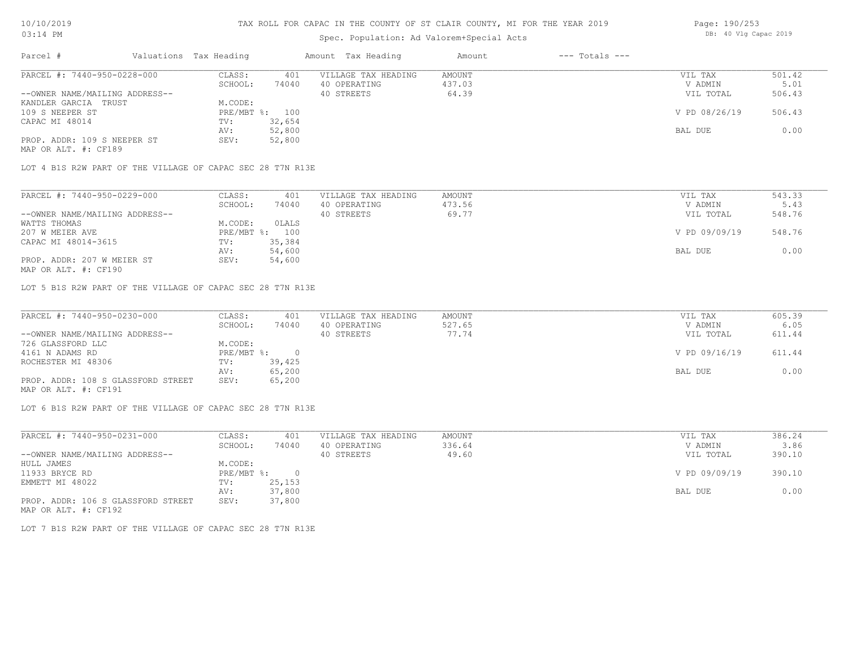# Spec. Population: Ad Valorem+Special Acts

| Page: 190/253 |  |                       |  |
|---------------|--|-----------------------|--|
|               |  | DB: 40 Vlg Capac 2019 |  |

| Parcel #                       | Valuations Tax Heading |        | Amount Tax Heading  | Amount | $---$ Totals $---$ |               |        |
|--------------------------------|------------------------|--------|---------------------|--------|--------------------|---------------|--------|
| PARCEL #: 7440-950-0228-000    | CLASS:                 | 401    | VILLAGE TAX HEADING | AMOUNT |                    | VIL TAX       | 501.42 |
|                                | SCHOOL:                | 74040  | 40 OPERATING        | 437.03 |                    | V ADMIN       | 5.01   |
| --OWNER NAME/MAILING ADDRESS-- |                        |        | 40 STREETS          | 64.39  |                    | VIL TOTAL     | 506.43 |
| KANDLER GARCIA TRUST           | M.CODE:                |        |                     |        |                    |               |        |
| 109 S NEEPER ST                | PRE/MBT %: 100         |        |                     |        |                    | V PD 08/26/19 | 506.43 |
| CAPAC MI 48014                 | TV:                    | 32,654 |                     |        |                    |               |        |
|                                | AV:                    | 52,800 |                     |        |                    | BAL DUE       | 0.00   |
| PROP. ADDR: 109 S NEEPER ST    | SEV:                   | 52,800 |                     |        |                    |               |        |
|                                |                        |        |                     |        |                    |               |        |

MAP OR ALT. #: CF189

LOT 4 B1S R2W PART OF THE VILLAGE OF CAPAC SEC 28 T7N R13E

| PARCEL #: 7440-950-0229-000    | CLASS:     | 401    | VILLAGE TAX HEADING | AMOUNT | VIL TAX       | 543.33 |
|--------------------------------|------------|--------|---------------------|--------|---------------|--------|
|                                | SCHOOL:    | 74040  | 40 OPERATING        | 473.56 | V ADMIN       | 5.43   |
| --OWNER NAME/MAILING ADDRESS-- |            |        | 40 STREETS          | 69.77  | VIL TOTAL     | 548.76 |
| WATTS THOMAS                   | M.CODE:    | OLALS  |                     |        |               |        |
| 207 W MEIER AVE                | PRE/MBT %: | 100    |                     |        | V PD 09/09/19 | 548.76 |
| CAPAC MI 48014-3615            | TV:        | 35,384 |                     |        |               |        |
|                                | AV:        | 54,600 |                     |        | BAL DUE       | 0.00   |
| PROP. ADDR: 207 W MEIER ST     | SEV:       | 54,600 |                     |        |               |        |
|                                |            |        |                     |        |               |        |

MAP OR ALT. #: CF190

LOT 5 B1S R2W PART OF THE VILLAGE OF CAPAC SEC 28 T7N R13E

| PARCEL #: 7440-950-0230-000        | CLASS:     | 401    | VILLAGE TAX HEADING | AMOUNT | VIL TAX       | 605.39 |
|------------------------------------|------------|--------|---------------------|--------|---------------|--------|
|                                    | SCHOOL:    | 74040  | 40 OPERATING        | 527.65 | V ADMIN       | 6.05   |
| --OWNER NAME/MAILING ADDRESS--     |            |        | 40 STREETS          | 77.74  | VIL TOTAL     | 611.44 |
| 726 GLASSFORD LLC                  | M.CODE:    |        |                     |        |               |        |
| 4161 N ADAMS RD                    | PRE/MBT %: |        |                     |        | V PD 09/16/19 | 611.44 |
| ROCHESTER MI 48306                 | TV:        | 39,425 |                     |        |               |        |
|                                    | AV:        | 65,200 |                     |        | BAL DUE       | 0.00   |
| PROP. ADDR: 108 S GLASSFORD STREET | SEV:       | 65,200 |                     |        |               |        |
| MAP OR ALT. #: CF191               |            |        |                     |        |               |        |

LOT 6 B1S R2W PART OF THE VILLAGE OF CAPAC SEC 28 T7N R13E

| PARCEL #: 7440-950-0231-000        | CLASS:     | 401    | VILLAGE TAX HEADING | AMOUNT | VIL TAX       | 386.24 |
|------------------------------------|------------|--------|---------------------|--------|---------------|--------|
|                                    | SCHOOL:    | 74040  | 40 OPERATING        | 336.64 | V ADMIN       | 3.86   |
| --OWNER NAME/MAILING ADDRESS--     |            |        | 40 STREETS          | 49.60  | VIL TOTAL     | 390.10 |
| HULL JAMES                         | M.CODE:    |        |                     |        |               |        |
| 11933 BRYCE RD                     | PRE/MBT %: |        |                     |        | V PD 09/09/19 | 390.10 |
| EMMETT MI 48022                    | TV:        | 25,153 |                     |        |               |        |
|                                    | AV:        | 37,800 |                     |        | BAL DUE       | 0.00   |
| PROP. ADDR: 106 S GLASSFORD STREET | SEV:       | 37,800 |                     |        |               |        |
| MAP OR ALT. #: CF192               |            |        |                     |        |               |        |

LOT 7 B1S R2W PART OF THE VILLAGE OF CAPAC SEC 28 T7N R13E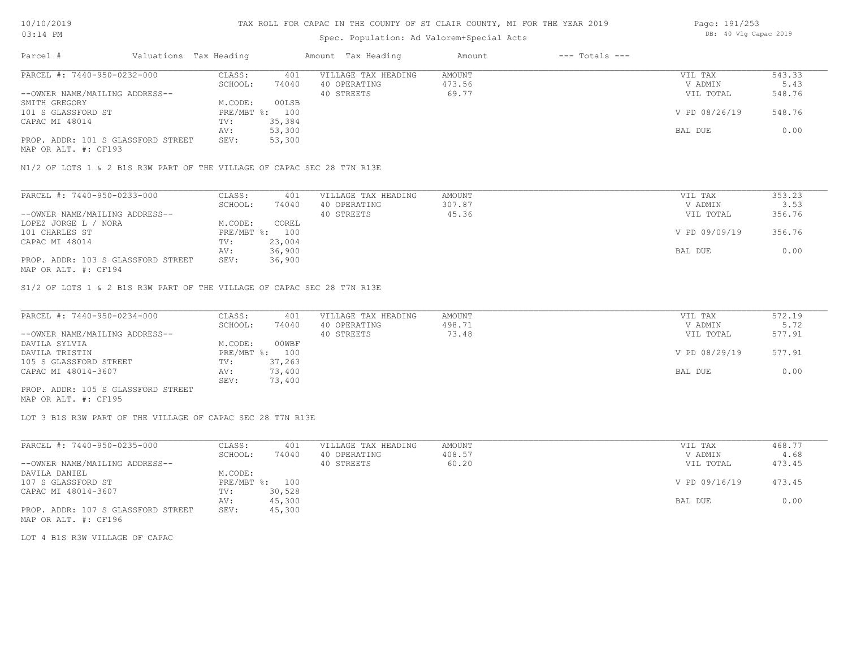# Spec. Population: Ad Valorem+Special Acts

| Page: 191/253 |  |                       |  |
|---------------|--|-----------------------|--|
|               |  | DB: 40 Vlg Capac 2019 |  |

| Parcel #                           | Valuations Tax Heading |                | Amount Tax Heading  | Amount | $---$ Totals $---$ |               |        |
|------------------------------------|------------------------|----------------|---------------------|--------|--------------------|---------------|--------|
| PARCEL #: 7440-950-0232-000        | CLASS:                 | 401            | VILLAGE TAX HEADING | AMOUNT |                    | VIL TAX       | 543.33 |
|                                    | SCHOOL:                | 74040          | 40 OPERATING        | 473.56 |                    | V ADMIN       | 5.43   |
| --OWNER NAME/MAILING ADDRESS--     |                        |                | 40 STREETS          | 69.77  |                    | VIL TOTAL     | 548.76 |
| SMITH GREGORY                      | M.CODE:                | 00LSB          |                     |        |                    |               |        |
| 101 S GLASSFORD ST                 |                        | PRE/MBT %: 100 |                     |        |                    | V PD 08/26/19 | 548.76 |
| CAPAC MI 48014                     | TV:                    | 35,384         |                     |        |                    |               |        |
|                                    | AV:                    | 53,300         |                     |        |                    | BAL DUE       | 0.00   |
| PROP. ADDR: 101 S GLASSFORD STREET | SEV:                   | 53,300         |                     |        |                    |               |        |
|                                    |                        |                |                     |        |                    |               |        |

MAP OR ALT. #: CF193

N1/2 OF LOTS 1 & 2 B1S R3W PART OF THE VILLAGE OF CAPAC SEC 28 T7N R13E

| PARCEL #: 7440-950-0233-000        | CLASS:     | 401    | VILLAGE TAX HEADING | AMOUNT | VIL TAX       | 353.23 |
|------------------------------------|------------|--------|---------------------|--------|---------------|--------|
|                                    | SCHOOL:    | 74040  | 40 OPERATING        | 307.87 | V ADMIN       | 3.53   |
| --OWNER NAME/MAILING ADDRESS--     |            |        | 40 STREETS          | 45.36  | VIL TOTAL     | 356.76 |
| LOPEZ JORGE L / NORA               | M.CODE:    | COREL  |                     |        |               |        |
| 101 CHARLES ST                     | PRE/MBT %: | 100    |                     |        | V PD 09/09/19 | 356.76 |
| CAPAC MI 48014                     | TV:        | 23,004 |                     |        |               |        |
|                                    | AV:        | 36,900 |                     |        | BAL DUE       | 0.00   |
| PROP. ADDR: 103 S GLASSFORD STREET | SEV:       | 36,900 |                     |        |               |        |
|                                    |            |        |                     |        |               |        |

MAP OR ALT. #: CF194

S1/2 OF LOTS 1 & 2 B1S R3W PART OF THE VILLAGE OF CAPAC SEC 28 T7N R13E

| PARCEL #: 7440-950-0234-000        | CLASS:  | 401            | VILLAGE TAX HEADING | AMOUNT | VIL TAX       | 572.19 |
|------------------------------------|---------|----------------|---------------------|--------|---------------|--------|
|                                    | SCHOOL: | 74040          | 40 OPERATING        | 498.71 | V ADMIN       | 5.72   |
| --OWNER NAME/MAILING ADDRESS--     |         |                | 40 STREETS          | 73.48  | VIL TOTAL     | 577.91 |
| DAVILA SYLVIA                      | M.CODE: | 00WBF          |                     |        |               |        |
| DAVILA TRISTIN                     |         | PRE/MBT %: 100 |                     |        | V PD 08/29/19 | 577.91 |
| 105 S GLASSFORD STREET             | TV:     | 37,263         |                     |        |               |        |
| CAPAC MI 48014-3607                | AV:     | 73,400         |                     |        | BAL DUE       | 0.00   |
|                                    | SEV:    | 73,400         |                     |        |               |        |
| PROP. ADDR: 105 S GLASSFORD STREET |         |                |                     |        |               |        |

MAP OR ALT. #: CF195

LOT 3 B1S R3W PART OF THE VILLAGE OF CAPAC SEC 28 T7N R13E

| PARCEL #: 7440-950-0235-000        | CLASS:  | 401            | VILLAGE TAX HEADING | AMOUNT | VIL TAX       | 468.77 |
|------------------------------------|---------|----------------|---------------------|--------|---------------|--------|
|                                    | SCHOOL: | 74040          | 40 OPERATING        | 408.57 | V ADMIN       | 4.68   |
| --OWNER NAME/MAILING ADDRESS--     |         |                | 40 STREETS          | 60.20  | VIL TOTAL     | 473.45 |
| DAVILA DANIEL                      | M.CODE: |                |                     |        |               |        |
| 107 S GLASSFORD ST                 |         | PRE/MBT %: 100 |                     |        | V PD 09/16/19 | 473.45 |
| CAPAC MI 48014-3607                | TV:     | 30,528         |                     |        |               |        |
|                                    | AV:     | 45,300         |                     |        | BAL DUE       | 0.00   |
| PROP. ADDR: 107 S GLASSFORD STREET | SEV:    | 45,300         |                     |        |               |        |
| MAP OR ALT. #: CF196               |         |                |                     |        |               |        |

LOT 4 B1S R3W VILLAGE OF CAPAC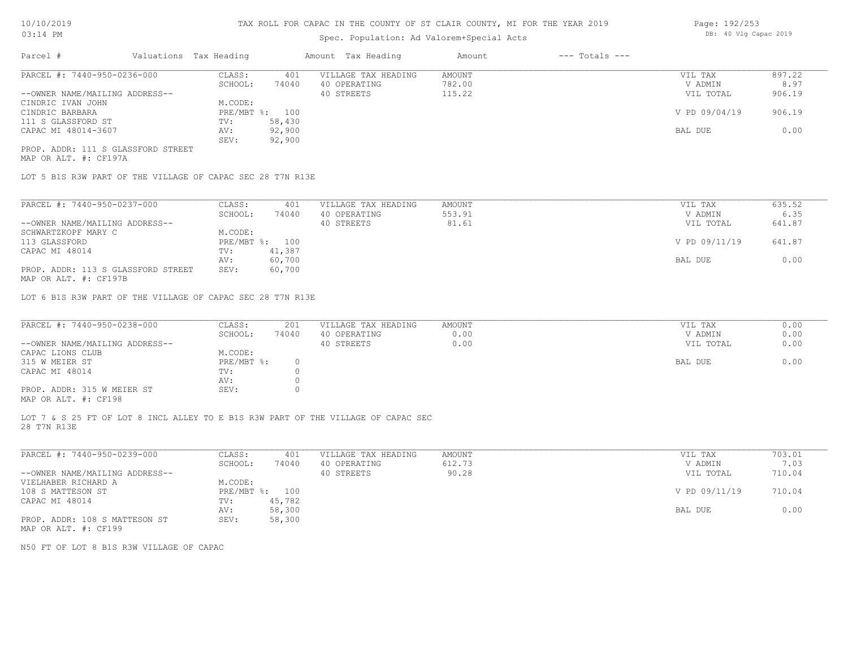# Spec. Population: Ad Valorem+Special Acts

| Parcel #                           | Valuations Tax Heading |        | Amount Tax Heading  | Amount | $---$ Totals $---$ |               |        |
|------------------------------------|------------------------|--------|---------------------|--------|--------------------|---------------|--------|
| PARCEL #: 7440-950-0236-000        | CLASS:                 | 401    | VILLAGE TAX HEADING | AMOUNT |                    | VIL TAX       | 897.22 |
|                                    | SCHOOL:                | 74040  | 40 OPERATING        | 782.00 |                    | V ADMIN       | 8.97   |
| --OWNER NAME/MAILING ADDRESS--     |                        |        | 40 STREETS          | 115.22 |                    | VIL TOTAL     | 906.19 |
| CINDRIC IVAN JOHN                  | M.CODE:                |        |                     |        |                    |               |        |
| CINDRIC BARBARA                    | PRE/MBT %: 100         |        |                     |        |                    | V PD 09/04/19 | 906.19 |
| 111 S GLASSFORD ST                 | TV:                    | 58,430 |                     |        |                    |               |        |
| CAPAC MI 48014-3607                | AV:                    | 92,900 |                     |        |                    | BAL DUE       | 0.00   |
|                                    | SEV:                   | 92,900 |                     |        |                    |               |        |
| PROP. ADDR: 111 S GLASSFORD STREET |                        |        |                     |        |                    |               |        |

MAP OR ALT. #: CF197A

LOT 5 B1S R3W PART OF THE VILLAGE OF CAPAC SEC 28 T7N R13E

| PARCEL #: 7440-950-0237-000        | CLASS:       | 401    | VILLAGE TAX HEADING | AMOUNT | VIL TAX       | 635.52 |
|------------------------------------|--------------|--------|---------------------|--------|---------------|--------|
|                                    | SCHOOL:      | 74040  | 40 OPERATING        | 553.91 | V ADMIN       | 6.35   |
| --OWNER NAME/MAILING ADDRESS--     |              |        | 40 STREETS          | 81.61  | VIL TOTAL     | 641.87 |
| SCHWARTZKOPF MARY C                | M.CODE:      |        |                     |        |               |        |
| 113 GLASSFORD                      | $PRE/MBT$ %: | 100    |                     |        | V PD 09/11/19 | 641.87 |
| CAPAC MI 48014                     | TV:          | 41,387 |                     |        |               |        |
|                                    | AV:          | 60,700 |                     |        | BAL DUE       | 0.00   |
| PROP. ADDR: 113 S GLASSFORD STREET | SEV:         | 60,700 |                     |        |               |        |
|                                    |              |        |                     |        |               |        |

MAP OR ALT. #: CF197B

LOT 6 B1S R3W PART OF THE VILLAGE OF CAPAC SEC 28 T7N R13E

| PARCEL #: 7440-950-0238-000                           | CLASS:     | 201   | VILLAGE TAX HEADING | AMOUNT | VIL TAX   | 0.00 |
|-------------------------------------------------------|------------|-------|---------------------|--------|-----------|------|
|                                                       | SCHOOL:    | 74040 | 40 OPERATING        | 0.00   | V ADMIN   | 0.00 |
| --OWNER NAME/MAILING ADDRESS--                        |            |       | 40 STREETS          | 0.00   | VIL TOTAL | 0.00 |
| CAPAC LIONS CLUB                                      | M.CODE:    |       |                     |        |           |      |
| 315 W MEIER ST                                        | PRE/MBT %: |       |                     |        | BAL DUE   | 0.00 |
| CAPAC MI 48014                                        | TV:        |       |                     |        |           |      |
|                                                       | AV:        |       |                     |        |           |      |
| PROP. ADDR: 315 W MEIER ST                            | SEV:       |       |                     |        |           |      |
| $\cdots$ $\cdots$ $\cdots$ $\cdots$ $\cdots$ $\cdots$ |            |       |                     |        |           |      |

MAP OR ALT. #: CF198

28 T7N R13E LOT 7 & S 25 FT OF LOT 8 INCL ALLEY TO E B1S R3W PART OF THE VILLAGE OF CAPAC SEC

| PARCEL #: 7440-950-0239-000    | CLASS:       | 401    | VILLAGE TAX HEADING | AMOUNT | VIL TAX       | 703.01 |
|--------------------------------|--------------|--------|---------------------|--------|---------------|--------|
|                                | SCHOOL:      | 74040  | 40 OPERATING        | 612.73 | V ADMIN       | 7.03   |
| --OWNER NAME/MAILING ADDRESS-- |              |        | 40 STREETS          | 90.28  | VIL TOTAL     | 710.04 |
| VIELHABER RICHARD A            | M.CODE:      |        |                     |        |               |        |
| 108 S MATTESON ST              | $PRE/MBT$ %: | 100    |                     |        | V PD 09/11/19 | 710.04 |
| CAPAC MI 48014                 | TV:          | 45,782 |                     |        |               |        |
|                                | AV:          | 58,300 |                     |        | BAL DUE       | 0.00   |
| PROP. ADDR: 108 S MATTESON ST  | SEV:         | 58,300 |                     |        |               |        |
| MAP OR ALT. #: CF199           |              |        |                     |        |               |        |

N50 FT OF LOT 8 B1S R3W VILLAGE OF CAPAC

Page: 192/253 DB: 40 Vlg Capac 2019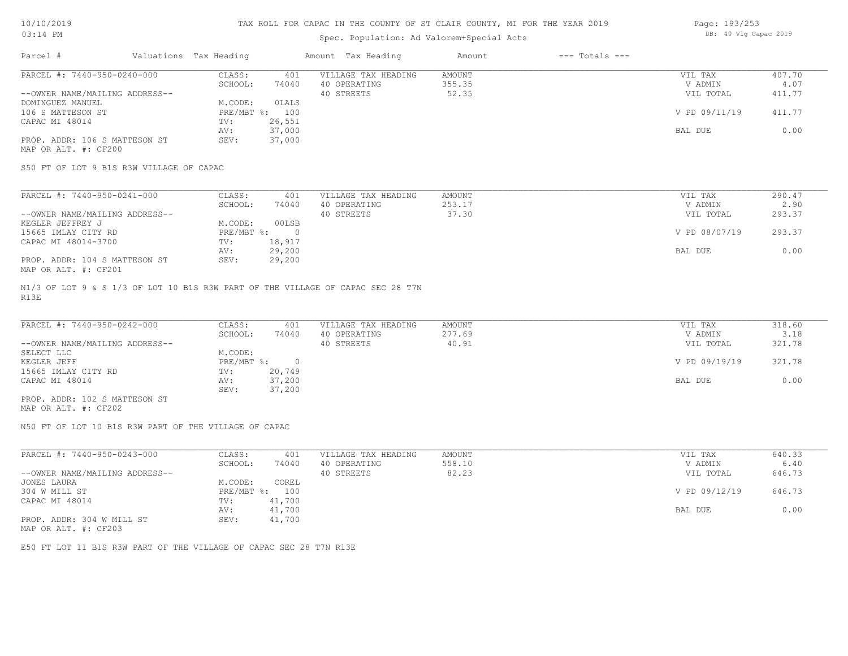# Spec. Population: Ad Valorem+Special Acts

| Page: 193/253 |  |                       |  |
|---------------|--|-----------------------|--|
|               |  | DB: 40 Vlg Capac 2019 |  |

| Parcel #                       | Valuations Tax Heading |        | Amount Tax Heading  | Amount | $---$ Totals $---$ |               |        |
|--------------------------------|------------------------|--------|---------------------|--------|--------------------|---------------|--------|
| PARCEL #: 7440-950-0240-000    | CLASS:                 | 401    | VILLAGE TAX HEADING | AMOUNT |                    | VIL TAX       | 407.70 |
|                                | SCHOOL:                | 74040  | 40 OPERATING        | 355.35 |                    | V ADMIN       | 4.07   |
| --OWNER NAME/MAILING ADDRESS-- |                        |        | 40 STREETS          | 52.35  |                    | VIL TOTAL     | 411.77 |
| DOMINGUEZ MANUEL               | M.CODE:                | OLALS  |                     |        |                    |               |        |
| 106 S MATTESON ST              | $PRE/MBT$ %:           | 100    |                     |        |                    | V PD 09/11/19 | 411.77 |
| CAPAC MI 48014                 | TV:                    | 26,551 |                     |        |                    |               |        |
|                                | AV:                    | 37,000 |                     |        |                    | BAL DUE       | 0.00   |
| PROP. ADDR: 106 S MATTESON ST  | SEV:                   | 37,000 |                     |        |                    |               |        |
| MAP OR ALT. #: CF200           |                        |        |                     |        |                    |               |        |

S50 FT OF LOT 9 B1S R3W VILLAGE OF CAPAC

| PARCEL #: 7440-950-0241-000    | CLASS:     | 401    | VILLAGE TAX HEADING | AMOUNT | VIL TAX       | 290.47 |
|--------------------------------|------------|--------|---------------------|--------|---------------|--------|
|                                | SCHOOL:    | 74040  | 40 OPERATING        | 253.17 | V ADMIN       | 2.90   |
| --OWNER NAME/MAILING ADDRESS-- |            |        | 40 STREETS          | 37.30  | VIL TOTAL     | 293.37 |
| KEGLER JEFFREY J               | M.CODE:    | 00LSB  |                     |        |               |        |
| 15665 IMLAY CITY RD            | PRE/MBT %: |        |                     |        | V PD 08/07/19 | 293.37 |
| CAPAC MI 48014-3700            | TV:        | 18,917 |                     |        |               |        |
|                                | AV:        | 29,200 |                     |        | BAL DUE       | 0.00   |
| PROP. ADDR: 104 S MATTESON ST  | SEV:       | 29,200 |                     |        |               |        |
| MAP OR ALT. #: CF201           |            |        |                     |        |               |        |

R13E N1/3 OF LOT 9 & S 1/3 OF LOT 10 B1S R3W PART OF THE VILLAGE OF CAPAC SEC 28 T7N

| PARCEL #: 7440-950-0242-000    | CLASS:     | 401    | VILLAGE TAX HEADING | AMOUNT | VIL TAX       | 318.60 |
|--------------------------------|------------|--------|---------------------|--------|---------------|--------|
|                                | SCHOOL:    | 74040  | 40 OPERATING        | 277.69 | V ADMIN       | 3.18   |
| --OWNER NAME/MAILING ADDRESS-- |            |        | 40 STREETS          | 40.91  | VIL TOTAL     | 321.78 |
| SELECT LLC                     | M.CODE:    |        |                     |        |               |        |
| KEGLER JEFF                    | PRE/MBT %: |        |                     |        | V PD 09/19/19 | 321.78 |
| 15665 IMLAY CITY RD            | TV:        | 20,749 |                     |        |               |        |
| CAPAC MI 48014                 | AV:        | 37,200 |                     |        | BAL DUE       | 0.00   |
|                                | SEV:       | 37,200 |                     |        |               |        |
| PROP. ADDR: 102 S MATTESON ST  |            |        |                     |        |               |        |

MAP OR ALT. #: CF202

N50 FT OF LOT 10 B1S R3W PART OF THE VILLAGE OF CAPAC

|        | VILLAGE TAX HEADING                                 | AMOUNT | VIL TAX       | 640.33 |
|--------|-----------------------------------------------------|--------|---------------|--------|
| 74040  | 40 OPERATING                                        | 558.10 | V ADMIN       | 6.40   |
|        | 40 STREETS                                          | 82.23  | VIL TOTAL     | 646.73 |
| COREL  |                                                     |        |               |        |
| 100    |                                                     |        | V PD 09/12/19 | 646.73 |
| 41,700 |                                                     |        |               |        |
| 41,700 |                                                     |        | BAL DUE       | 0.00   |
| 41,700 |                                                     |        |               |        |
|        | 401<br>CLASS:<br>SCHOOL:<br>M.CODE:<br>$PRE/MBT$ %: |        |               |        |

MAP OR ALT. #: CF203

E50 FT LOT 11 B1S R3W PART OF THE VILLAGE OF CAPAC SEC 28 T7N R13E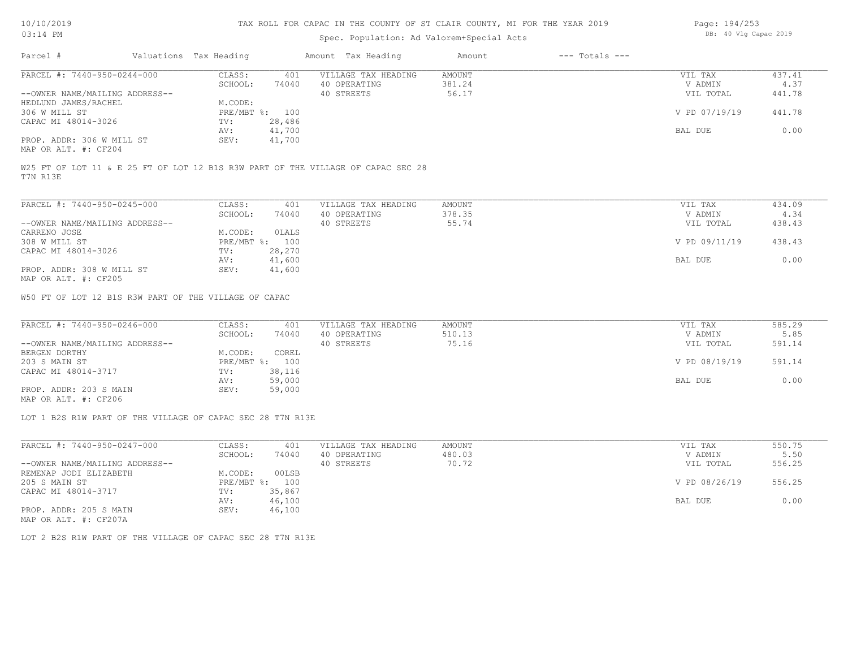| Page: 194/253 |  |                       |  |
|---------------|--|-----------------------|--|
|               |  | DB: 40 Vlg Capac 2019 |  |

|                                                                                                                                 |                        |                | DB: 40 Vlg Capac 2019                                                            |               |                    |               |        |
|---------------------------------------------------------------------------------------------------------------------------------|------------------------|----------------|----------------------------------------------------------------------------------|---------------|--------------------|---------------|--------|
| Parcel #                                                                                                                        | Valuations Tax Heading |                | Amount Tax Heading                                                               | Amount        | $---$ Totals $---$ |               |        |
| PARCEL #: 7440-950-0244-000                                                                                                     | CLASS:                 | 401            | VILLAGE TAX HEADING                                                              | AMOUNT        |                    | VIL TAX       | 437.41 |
|                                                                                                                                 | SCHOOL:                | 74040          | 40 OPERATING                                                                     | 381.24        |                    | V ADMIN       | 4.37   |
| --OWNER NAME/MAILING ADDRESS--                                                                                                  |                        |                | 40 STREETS                                                                       | 56.17         |                    | VIL TOTAL     | 441.78 |
| HEDLUND JAMES/RACHEL                                                                                                            | M.CODE:                |                |                                                                                  |               |                    |               |        |
| 306 W MILL ST                                                                                                                   |                        | PRE/MBT %: 100 |                                                                                  |               |                    | V PD 07/19/19 | 441.78 |
| CAPAC MI 48014-3026                                                                                                             | TV:                    | 28,486         |                                                                                  |               |                    |               |        |
|                                                                                                                                 | AV:                    | 41,700         |                                                                                  |               |                    | BAL DUE       | 0.00   |
| PROP. ADDR: 306 W MILL ST<br>MAP OR ALT. #: CF204                                                                               | SEV:                   | 41,700         |                                                                                  |               |                    |               |        |
| T7N R13E                                                                                                                        |                        |                | W25 FT OF LOT 11 & E 25 FT OF LOT 12 B1S R3W PART OF THE VILLAGE OF CAPAC SEC 28 |               |                    |               |        |
| PARCEL #: 7440-950-0245-000                                                                                                     |                        |                |                                                                                  |               |                    |               | 434.09 |
|                                                                                                                                 | CLASS:                 | 401            | VILLAGE TAX HEADING                                                              | <b>AMOUNT</b> |                    | VIL TAX       |        |
|                                                                                                                                 | SCHOOL:                | 74040          | 40 OPERATING                                                                     | 378.35        |                    | V ADMIN       | 4.34   |
| --OWNER NAME/MAILING ADDRESS--                                                                                                  |                        |                | 40 STREETS                                                                       | 55.74         |                    | VIL TOTAL     | 438.43 |
| CARRENO JOSE                                                                                                                    | M.CODE:                | OLALS          |                                                                                  |               |                    |               |        |
| 308 W MILL ST                                                                                                                   |                        | PRE/MBT %: 100 |                                                                                  |               |                    | V PD 09/11/19 | 438.43 |
| CAPAC MI 48014-3026                                                                                                             | TV:                    | 28,270         |                                                                                  |               |                    |               |        |
|                                                                                                                                 |                        |                |                                                                                  |               |                    | BAL DUE       | 0.00   |
|                                                                                                                                 | AV:                    | 41,600         |                                                                                  |               |                    |               |        |
| PROP. ADDR: 308 W MILL ST<br>MAP OR ALT. #: CF205<br>W50 FT OF LOT 12 B1S R3W PART OF THE VILLAGE OF CAPAC                      | SEV:                   | 41,600         |                                                                                  |               |                    |               |        |
| PARCEL #: 7440-950-0246-000                                                                                                     | CLASS:                 | 401            | VILLAGE TAX HEADING                                                              | AMOUNT        |                    | VIL TAX       | 585.29 |
|                                                                                                                                 | SCHOOL:                | 74040          | 40 OPERATING                                                                     | 510.13        |                    | V ADMIN       | 5.85   |
|                                                                                                                                 |                        |                | 40 STREETS                                                                       | 75.16         |                    | VIL TOTAL     | 591.14 |
|                                                                                                                                 | M.CODE:                | COREL          |                                                                                  |               |                    |               |        |
|                                                                                                                                 |                        | PRE/MBT %: 100 |                                                                                  |               |                    | V PD 08/19/19 | 591.14 |
| --OWNER NAME/MAILING ADDRESS--<br>BERGEN DORTHY<br>203 S MAIN ST<br>CAPAC MI 48014-3717                                         | TV:                    | 38,116         |                                                                                  |               |                    |               |        |
|                                                                                                                                 | AV:                    | 59,000         |                                                                                  |               |                    | BAL DUE       | 0.00   |
|                                                                                                                                 | SEV:                   | 59,000         |                                                                                  |               |                    |               |        |
| PROP. ADDR: 203 S MAIN<br>MAP OR ALT. #: CF206<br>LOT 1 B2S R1W PART OF THE VILLAGE OF CAPAC SEC 28 T7N R13E                    |                        |                |                                                                                  |               |                    |               |        |
|                                                                                                                                 |                        |                |                                                                                  |               |                    |               |        |
|                                                                                                                                 | CLASS:                 | 401            | VILLAGE TAX HEADING                                                              | AMOUNT        |                    | VIL TAX       | 550.75 |
|                                                                                                                                 | SCHOOL:                | 74040          | 40 OPERATING                                                                     | 480.03        |                    | V ADMIN       | 5.50   |
|                                                                                                                                 |                        |                | 40 STREETS                                                                       | 70.72         |                    | VIL TOTAL     | 556.25 |
|                                                                                                                                 | M.CODE:                | 00LSB          |                                                                                  |               |                    |               |        |
|                                                                                                                                 |                        | PRE/MBT %: 100 |                                                                                  |               |                    | V PD 08/26/19 | 556.25 |
| PARCEL #: 7440-950-0247-000<br>--OWNER NAME/MAILING ADDRESS--<br>REMENAP JODI ELIZABETH<br>205 S MAIN ST<br>CAPAC MI 48014-3717 | TV:                    | 35,867         |                                                                                  |               |                    |               |        |
|                                                                                                                                 | AV:                    | 46,100         |                                                                                  |               |                    | BAL DUE       | 0.00   |
| PROP. ADDR: 205 S MAIN<br>MAP OR ALT. #: CF207A                                                                                 | SEV:                   | 46,100         |                                                                                  |               |                    |               |        |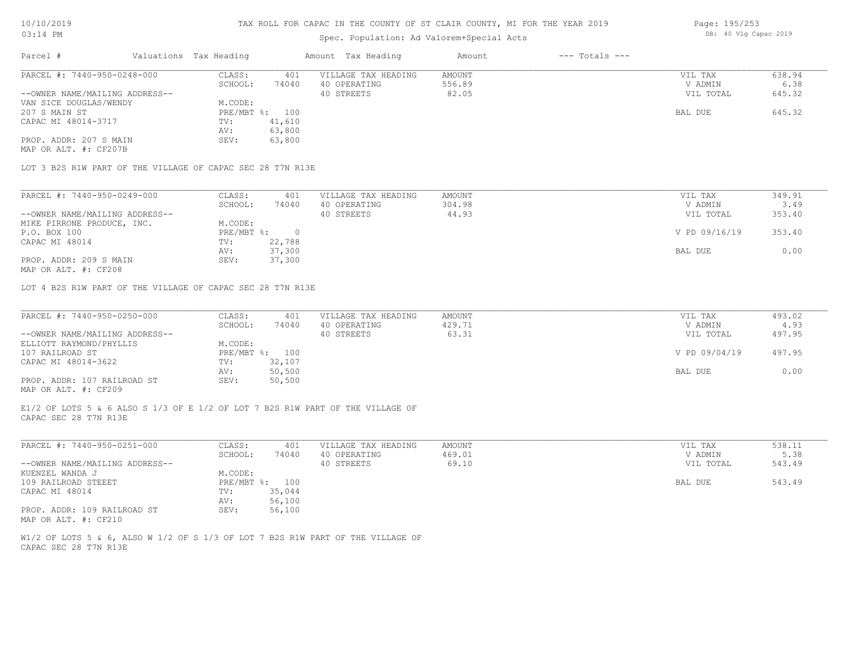# Spec. Population: Ad Valorem+Special Acts

| Parcel #                       | Valuations Tax Heading |                | Amount Tax Heading  | Amount | $---$ Totals $---$ |           |        |
|--------------------------------|------------------------|----------------|---------------------|--------|--------------------|-----------|--------|
| PARCEL #: 7440-950-0248-000    | CLASS:                 | 401            | VILLAGE TAX HEADING | AMOUNT |                    | VIL TAX   | 638.94 |
|                                | SCHOOL:                | 74040          | 40 OPERATING        | 556.89 |                    | V ADMIN   | 6.38   |
| --OWNER NAME/MAILING ADDRESS-- |                        |                | 40 STREETS          | 82.05  |                    | VIL TOTAL | 645.32 |
| VAN SICE DOUGLAS/WENDY         | M.CODE:                |                |                     |        |                    |           |        |
| 207 S MAIN ST                  |                        | PRE/MBT %: 100 |                     |        |                    | BAL DUE   | 645.32 |
| CAPAC MI 48014-3717            | TV:                    | 41,610         |                     |        |                    |           |        |
|                                | AV:                    | 63,800         |                     |        |                    |           |        |
| PROP. ADDR: 207 S MAIN         | SEV:                   | 63,800         |                     |        |                    |           |        |

MAP OR ALT. #: CF207B

LOT 3 B2S R1W PART OF THE VILLAGE OF CAPAC SEC 28 T7N R13E

| PARCEL #: 7440-950-0249-000    | CLASS:     | 401    | VILLAGE TAX HEADING | AMOUNT | VIL TAX       | 349.91 |
|--------------------------------|------------|--------|---------------------|--------|---------------|--------|
|                                | SCHOOL:    | 74040  | 40 OPERATING        | 304.98 | V ADMIN       | 3.49   |
| --OWNER NAME/MAILING ADDRESS-- |            |        | 40 STREETS          | 44.93  | VIL TOTAL     | 353.40 |
| MIKE PIRRONE PRODUCE, INC.     | M.CODE:    |        |                     |        |               |        |
| P.O. BOX 100                   | PRE/MBT %: |        |                     |        | V PD 09/16/19 | 353.40 |
| CAPAC MI 48014                 | TV:        | 22,788 |                     |        |               |        |
|                                | AV:        | 37,300 |                     |        | BAL DUE       | 0.00   |
| PROP. ADDR: 209 S MAIN         | SEV:       | 37,300 |                     |        |               |        |

MAP OR ALT. #: CF208

LOT 4 B2S R1W PART OF THE VILLAGE OF CAPAC SEC 28 T7N R13E

| PARCEL #: 7440-950-0250-000    | CLASS:  | 401            | VILLAGE TAX HEADING | AMOUNT | VIL TAX       | 493.02 |
|--------------------------------|---------|----------------|---------------------|--------|---------------|--------|
|                                | SCHOOL: | 74040          | 40 OPERATING        | 429.71 | V ADMIN       | 4.93   |
| --OWNER NAME/MAILING ADDRESS-- |         |                | 40 STREETS          | 63.31  | VIL TOTAL     | 497.95 |
| ELLIOTT RAYMOND/PHYLLIS        | M.CODE: |                |                     |        |               |        |
| 107 RAILROAD ST                |         | PRE/MBT %: 100 |                     |        | V PD 09/04/19 | 497.95 |
| CAPAC MI 48014-3622            | TV:     | 32,107         |                     |        |               |        |
|                                | AV:     | 50,500         |                     |        | BAL DUE       | 0.00   |
| PROP. ADDR: 107 RAILROAD ST    | SEV:    | 50,500         |                     |        |               |        |
| MAP OR ALT. #: CF209           |         |                |                     |        |               |        |

CAPAC SEC 28 T7N R13E E1/2 OF LOTS 5 & 6 ALSO S 1/3 OF E 1/2 OF LOT 7 B2S R1W PART OF THE VILLAGE OF

| PARCEL #: 7440-950-0251-000    | CLASS:  | 401            | VILLAGE TAX HEADING | AMOUNT | VIL TAX   | 538.11 |
|--------------------------------|---------|----------------|---------------------|--------|-----------|--------|
|                                | SCHOOL: | 74040          | 40 OPERATING        | 469.01 | V ADMIN   | 5.38   |
| --OWNER NAME/MAILING ADDRESS-- |         |                | 40 STREETS          | 69.10  | VIL TOTAL | 543.49 |
| KUENZEL WANDA J                | M.CODE: |                |                     |        |           |        |
| 109 RAILROAD STEEET            |         | PRE/MBT %: 100 |                     |        | BAL DUE   | 543.49 |
| CAPAC MI 48014                 | TV:     | 35,044         |                     |        |           |        |
|                                | AV:     | 56,100         |                     |        |           |        |
| PROP. ADDR: 109 RAILROAD ST    | SEV:    | 56,100         |                     |        |           |        |
| MAP OR ALT. #: CF210           |         |                |                     |        |           |        |

CAPAC SEC 28 T7N R13E W1/2 OF LOTS 5 & 6, ALSO W 1/2 OF S 1/3 OF LOT 7 B2S R1W PART OF THE VILLAGE OF Page: 195/253 DB: 40 Vlg Capac 2019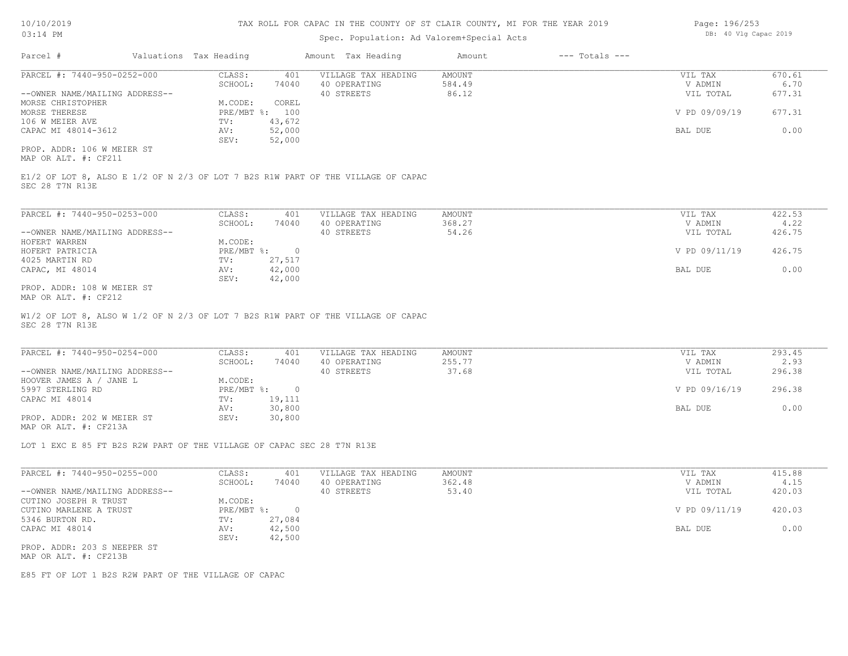### Spec. Population: Ad Valorem+Special Acts

CAPAC MI 48014-3612 **AV:** 52,000 **BAL DUE** 0.00

MORSE THERESE PRE/MBT %: 100 V PD 09/09/19 677.31

|                                | ppost formations no value on opport note |                        |       |                     |        |                    |               |        |  |  |  |  |
|--------------------------------|------------------------------------------|------------------------|-------|---------------------|--------|--------------------|---------------|--------|--|--|--|--|
| Parcel #                       |                                          | Valuations Tax Heading |       | Amount Tax Heading  | Amount | $---$ Totals $---$ |               |        |  |  |  |  |
| PARCEL #: 7440-950-0252-000    |                                          | CLASS:                 | 401   | VILLAGE TAX HEADING | AMOUNT |                    | VIL TAX       | 670.61 |  |  |  |  |
|                                |                                          | SCHOOL:                | 74040 | 40 OPERATING        | 584.49 |                    | V ADMIN       | 6.70   |  |  |  |  |
| --OWNER NAME/MAILING ADDRESS-- |                                          |                        |       | 40 STREETS          | 86.12  |                    | VIL TOTAL     | 677.31 |  |  |  |  |
| MORSE CHRISTOPHER              |                                          | M.CODE:                | COREL |                     |        |                    |               |        |  |  |  |  |
| MORSE THERESE                  |                                          | PRE/MBT %: 100         |       |                     |        |                    | V PD 09/09/19 | 677.31 |  |  |  |  |

SEC 28 T7N R13E E1/2 OF LOT 8, ALSO E 1/2 OF N 2/3 OF LOT 7 B2S R1W PART OF THE VILLAGE OF CAPAC

SEV: 52,000

106 W MEIER AVE TV: 43,672

SEV: 42,000 CAPAC, MI 48014 AV: 42,000 BAL DUE 0.00 4025 MARTIN RD TV: 27,517 HOFERT PATRICIA PRE/MBT %: 0 V PD 09/11/19 426.75 HOFERT WARREN MORE SERVICE MORE MORE SERVICES OF THE MORE SERVICE SERVICE SERVICE SERVICE SERVICE SERVICE SERV<br>HOFERT PATRICIA --OWNER NAME/MAILING ADDRESS-- 40 STREETS 54.26 VIL TOTAL 426.75 SCHOOL: 74040 40 OPERATING 368.27 369.27 V ADMIN 4.22 PARCEL #: 7440-950-0253-000 CLASS: 401 VILLAGE TAX HEADING AMOUNT VIL TAX VIL TAX 422.53<br>SCHOOL: 74040 40 OPERATING 368.27 VADMIN 4.22  $\mathcal{L}_\mathcal{L} = \mathcal{L}_\mathcal{L} = \mathcal{L}_\mathcal{L} = \mathcal{L}_\mathcal{L} = \mathcal{L}_\mathcal{L} = \mathcal{L}_\mathcal{L} = \mathcal{L}_\mathcal{L} = \mathcal{L}_\mathcal{L} = \mathcal{L}_\mathcal{L} = \mathcal{L}_\mathcal{L} = \mathcal{L}_\mathcal{L} = \mathcal{L}_\mathcal{L} = \mathcal{L}_\mathcal{L} = \mathcal{L}_\mathcal{L} = \mathcal{L}_\mathcal{L} = \mathcal{L}_\mathcal{L} = \mathcal{L}_\mathcal{L}$ 

MAP OR ALT. #: CF212 PROP. ADDR: 108 W MEIER ST

MAP OR ALT. #: CF211 PROP. ADDR: 106 W MEIER ST

SEC 28 T7N R13E W1/2 OF LOT 8, ALSO W 1/2 OF N 2/3 OF LOT 7 B2S R1W PART OF THE VILLAGE OF CAPAC

| PARCEL #: 7440-950-0254-000    | CLASS:       | 401    | VILLAGE TAX HEADING | AMOUNT | VIL TAX       | 293.45 |
|--------------------------------|--------------|--------|---------------------|--------|---------------|--------|
|                                | SCHOOL:      | 74040  | 40 OPERATING        | 255.77 | V ADMIN       | 2.93   |
| --OWNER NAME/MAILING ADDRESS-- |              |        | 40 STREETS          | 37.68  | VIL TOTAL     | 296.38 |
| HOOVER JAMES A / JANE L        | M.CODE:      |        |                     |        |               |        |
| 5997 STERLING RD               | $PRE/MBT$ %: |        |                     |        | V PD 09/16/19 | 296.38 |
| CAPAC MI 48014                 | TV:          | 19,111 |                     |        |               |        |
|                                | AV:          | 30,800 |                     |        | BAL DUE       | 0.00   |
| PROP. ADDR: 202 W MEIER ST     | SEV:         | 30,800 |                     |        |               |        |
| MAP OR ALT. #: CF213A          |              |        |                     |        |               |        |

LOT 1 EXC E 85 FT B2S R2W PART OF THE VILLAGE OF CAPAC SEC 28 T7N R13E

| PARCEL #: 7440-950-0255-000    | CLASS:     | 401    | VILLAGE TAX HEADING | AMOUNT | VIL TAX       | 415.88 |
|--------------------------------|------------|--------|---------------------|--------|---------------|--------|
|                                | SCHOOL:    | 74040  | 40 OPERATING        | 362.48 | V ADMIN       | 4.15   |
| --OWNER NAME/MAILING ADDRESS-- |            |        | 40 STREETS          | 53.40  | VIL TOTAL     | 420.03 |
| CUTINO JOSEPH R TRUST          | M.CODE:    |        |                     |        |               |        |
| CUTINO MARLENE A TRUST         | PRE/MBT %: |        |                     |        | V PD 09/11/19 | 420.03 |
| 5346 BURTON RD.                | TV:        | 27,084 |                     |        |               |        |
| CAPAC MI 48014                 | AV:        | 42,500 |                     |        | BAL DUE       | 0.00   |
|                                | SEV:       | 42,500 |                     |        |               |        |
| PROP. ADDR: 203 S NEEPER ST    |            |        |                     |        |               |        |
| MAP OR ALT. #: CF213B          |            |        |                     |        |               |        |

E85 FT OF LOT 1 B2S R2W PART OF THE VILLAGE OF CAPAC

Page: 196/253 DB: 40 Vlg Capac 2019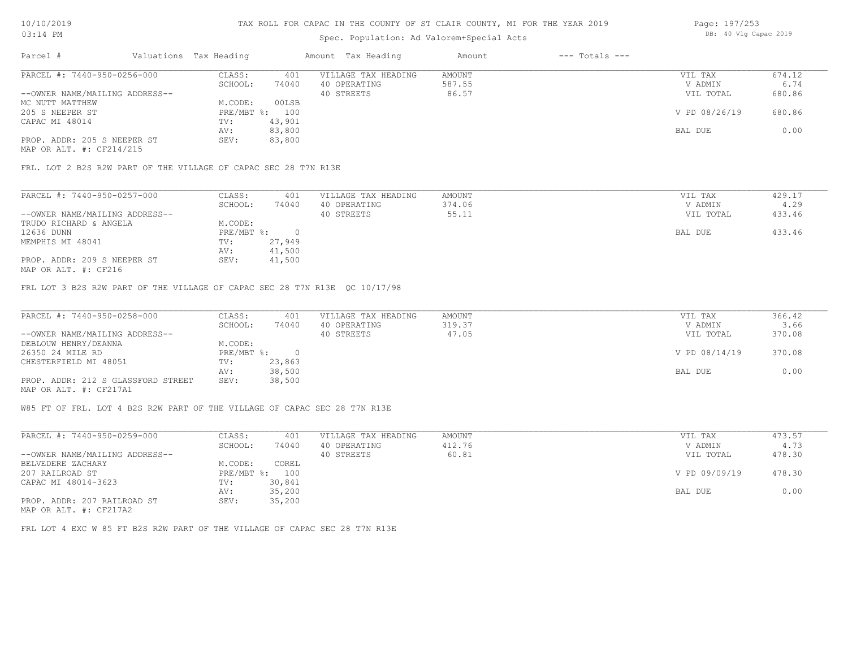# Spec. Population: Ad Valorem+Special Acts

| Page: 197/253 |  |                       |  |
|---------------|--|-----------------------|--|
|               |  | DB: 40 Vlg Capac 2019 |  |

| Parcel #                       | Valuations Tax Heading |        | Amount Tax Heading  | Amount | $---$ Totals $---$ |               |        |
|--------------------------------|------------------------|--------|---------------------|--------|--------------------|---------------|--------|
| PARCEL #: 7440-950-0256-000    | CLASS:                 | 401    | VILLAGE TAX HEADING | AMOUNT |                    | VIL TAX       | 674.12 |
|                                | SCHOOL:                | 74040  | 40 OPERATING        | 587.55 |                    | V ADMIN       | 6.74   |
| --OWNER NAME/MAILING ADDRESS-- |                        |        | 40 STREETS          | 86.57  |                    | VIL TOTAL     | 680.86 |
| MC NUTT MATTHEW                | M.CODE:                | 00LSB  |                     |        |                    |               |        |
| 205 S NEEPER ST                | PRE/MBT %: 100         |        |                     |        |                    | V PD 08/26/19 | 680.86 |
| CAPAC MI 48014                 | TV:                    | 43,901 |                     |        |                    |               |        |
|                                | AV:                    | 83,800 |                     |        |                    | BAL DUE       | 0.00   |
| PROP. ADDR: 205 S NEEPER ST    | SEV:                   | 83,800 |                     |        |                    |               |        |
|                                |                        |        |                     |        |                    |               |        |

MAP OR ALT. #: CF214/215

FRL. LOT 2 B2S R2W PART OF THE VILLAGE OF CAPAC SEC 28 T7N R13E

| PARCEL #: 7440-950-0257-000    | CLASS:     | 401    | VILLAGE TAX HEADING | AMOUNT | VIL TAX   | 429.17 |
|--------------------------------|------------|--------|---------------------|--------|-----------|--------|
|                                | SCHOOL:    | 74040  | 40 OPERATING        | 374.06 | V ADMIN   | 4.29   |
| --OWNER NAME/MAILING ADDRESS-- |            |        | 40 STREETS          | 55.11  | VIL TOTAL | 433.46 |
| TRUDO RICHARD & ANGELA         | M.CODE:    |        |                     |        |           |        |
| 12636 DUNN                     | PRE/MBT %: |        |                     |        | BAL DUE   | 433.46 |
| MEMPHIS MI 48041               | TV:        | 27,949 |                     |        |           |        |
|                                | AV:        | 41,500 |                     |        |           |        |
| PROP. ADDR: 209 S NEEPER ST    | SEV:       | 41,500 |                     |        |           |        |
|                                |            |        |                     |        |           |        |

MAP OR ALT. #: CF216

FRL LOT 3 B2S R2W PART OF THE VILLAGE OF CAPAC SEC 28 T7N R13E QC 10/17/98

| PARCEL #: 7440-950-0258-000        | CLASS:       | 401    | VILLAGE TAX HEADING | AMOUNT | VIL TAX       | 366.42 |
|------------------------------------|--------------|--------|---------------------|--------|---------------|--------|
|                                    | SCHOOL:      | 74040  | 40 OPERATING        | 319.37 | V ADMIN       | 3.66   |
| --OWNER NAME/MAILING ADDRESS--     |              |        | 40 STREETS          | 47.05  | VIL TOTAL     | 370.08 |
| DEBLOUW HENRY/DEANNA               | M.CODE:      |        |                     |        |               |        |
| 26350 24 MILE RD                   | $PRE/MBT$ %: |        |                     |        | V PD 08/14/19 | 370.08 |
| CHESTERFIELD MI 48051              | TV:          | 23,863 |                     |        |               |        |
|                                    | AV:          | 38,500 |                     |        | BAL DUE       | 0.00   |
| PROP. ADDR: 212 S GLASSFORD STREET | SEV:         | 38,500 |                     |        |               |        |
| MAP OR ALT. #: CF217A1             |              |        |                     |        |               |        |

W85 FT OF FRL. LOT 4 B2S R2W PART OF THE VILLAGE OF CAPAC SEC 28 T7N R13E

| PARCEL #: 7440-950-0259-000    | CLASS:       | 401    | VILLAGE TAX HEADING | AMOUNT | VIL TAX       | 473.57 |
|--------------------------------|--------------|--------|---------------------|--------|---------------|--------|
|                                | SCHOOL:      | 74040  | 40 OPERATING        | 412.76 | V ADMIN       | 4.73   |
| --OWNER NAME/MAILING ADDRESS-- |              |        | 40 STREETS          | 60.81  | VIL TOTAL     | 478.30 |
| BELVEDERE ZACHARY              | M.CODE:      | COREL  |                     |        |               |        |
| 207 RAILROAD ST                | $PRE/MBT$ %: | 100    |                     |        | V PD 09/09/19 | 478.30 |
| CAPAC MI 48014-3623            | TV:          | 30,841 |                     |        |               |        |
|                                | AV:          | 35,200 |                     |        | BAL DUE       | 0.00   |
| PROP. ADDR: 207 RAILROAD ST    | SEV:         | 35,200 |                     |        |               |        |
| $\frac{1}{2}$                  |              |        |                     |        |               |        |

MAP OR ALT. #: CF217A2

FRL LOT 4 EXC W 85 FT B2S R2W PART OF THE VILLAGE OF CAPAC SEC 28 T7N R13E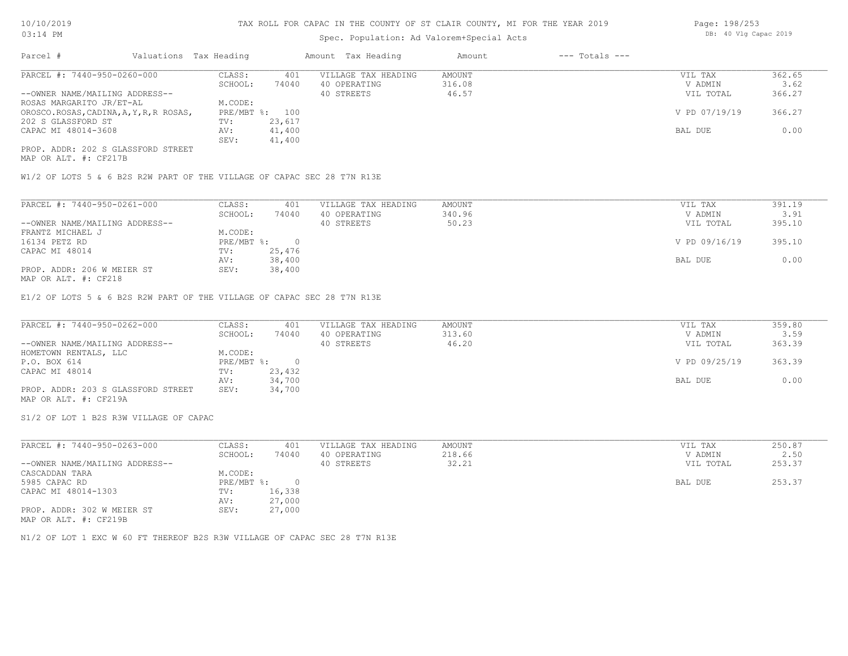# Spec. Population: Ad Valorem+Special Acts

| Page: 198/253 |  |                       |  |
|---------------|--|-----------------------|--|
|               |  | DB: 40 Vlg Capac 2019 |  |

| Parcel #                                | Valuations Tax Heading |        | Amount Tax Heading  | Amount | $---$ Totals $---$ |               |        |
|-----------------------------------------|------------------------|--------|---------------------|--------|--------------------|---------------|--------|
| PARCEL #: 7440-950-0260-000             | CLASS:                 | 401    | VILLAGE TAX HEADING | AMOUNT |                    | VIL TAX       | 362.65 |
|                                         | SCHOOL:                | 74040  | 40 OPERATING        | 316.08 |                    | V ADMIN       | 3.62   |
| --OWNER NAME/MAILING ADDRESS--          |                        |        | 40 STREETS          | 46.57  |                    | VIL TOTAL     | 366.27 |
| ROSAS MARGARITO JR/ET-AL                | M.CODE:                |        |                     |        |                    |               |        |
| OROSCO.ROSAS, CADINA, A, Y, R, R ROSAS, | $PRE/MBT$ %:           | 100    |                     |        |                    | V PD 07/19/19 | 366.27 |
| 202 S GLASSFORD ST                      | TV:                    | 23,617 |                     |        |                    |               |        |
| CAPAC MI 48014-3608                     | AV:                    | 41,400 |                     |        |                    | BAL DUE       | 0.00   |
|                                         | SEV:                   | 41,400 |                     |        |                    |               |        |
| PROP. ADDR: 202 S GLASSFORD STREET      |                        |        |                     |        |                    |               |        |

MAP OR ALT. #: CF217B

W1/2 OF LOTS 5 & 6 B2S R2W PART OF THE VILLAGE OF CAPAC SEC 28 T7N R13E

| PARCEL #: 7440-950-0261-000    | 391.19 |
|--------------------------------|--------|
|                                | 3.91   |
| --OWNER NAME/MAILING ADDRESS-- | 395.10 |
| FRANTZ MICHAEL J               |        |
| 16134 PETZ RD                  | 395.10 |
| CAPAC MI 48014                 |        |
|                                | 0.00   |
| PROP. ADDR: 206 W MEIER ST     |        |
| $MAD$ $CD$ $BTD$ $L$ , $CDQ1Q$ |        |

MAP OR ALT. #: CF218

E1/2 OF LOTS 5 & 6 B2S R2W PART OF THE VILLAGE OF CAPAC SEC 28 T7N R13E

| PARCEL #: 7440-950-0262-000        | CLASS:       | 401    | VILLAGE TAX HEADING | AMOUNT | VIL TAX       | 359.80 |
|------------------------------------|--------------|--------|---------------------|--------|---------------|--------|
|                                    | SCHOOL:      | 74040  | 40 OPERATING        | 313.60 | V ADMIN       | 3.59   |
| --OWNER NAME/MAILING ADDRESS--     |              |        | 40 STREETS          | 46.20  | VIL TOTAL     | 363.39 |
| HOMETOWN RENTALS, LLC              | M.CODE:      |        |                     |        |               |        |
| P.O. BOX 614                       | $PRE/MBT$ %: |        |                     |        | V PD 09/25/19 | 363.39 |
| CAPAC MI 48014                     | TV:          | 23,432 |                     |        |               |        |
|                                    | AV:          | 34,700 |                     |        | BAL DUE       | 0.00   |
| PROP. ADDR: 203 S GLASSFORD STREET | SEV:         | 34,700 |                     |        |               |        |
| MAP OR ALT. #: CF219A              |              |        |                     |        |               |        |

S1/2 OF LOT 1 B2S R3W VILLAGE OF CAPAC

| PARCEL #: 7440-950-0263-000    | CLASS:     | 401    | VILLAGE TAX HEADING | AMOUNT | VIL TAX   | 250.87 |
|--------------------------------|------------|--------|---------------------|--------|-----------|--------|
|                                | SCHOOL:    | 74040  | 40 OPERATING        | 218.66 | V ADMIN   | 2.50   |
| --OWNER NAME/MAILING ADDRESS-- |            |        | 40 STREETS          | 32.21  | VIL TOTAL | 253.37 |
| CASCADDAN TARA                 | M.CODE:    |        |                     |        |           |        |
| 5985 CAPAC RD                  | PRE/MBT %: |        |                     |        | BAL DUE   | 253.37 |
| CAPAC MI 48014-1303            | TV:        | 16,338 |                     |        |           |        |
|                                | AV:        | 27,000 |                     |        |           |        |
| PROP. ADDR: 302 W MEIER ST     | SEV:       | 27,000 |                     |        |           |        |
| MAP OR ALT. #: CF219B          |            |        |                     |        |           |        |

N1/2 OF LOT 1 EXC W 60 FT THEREOF B2S R3W VILLAGE OF CAPAC SEC 28 T7N R13E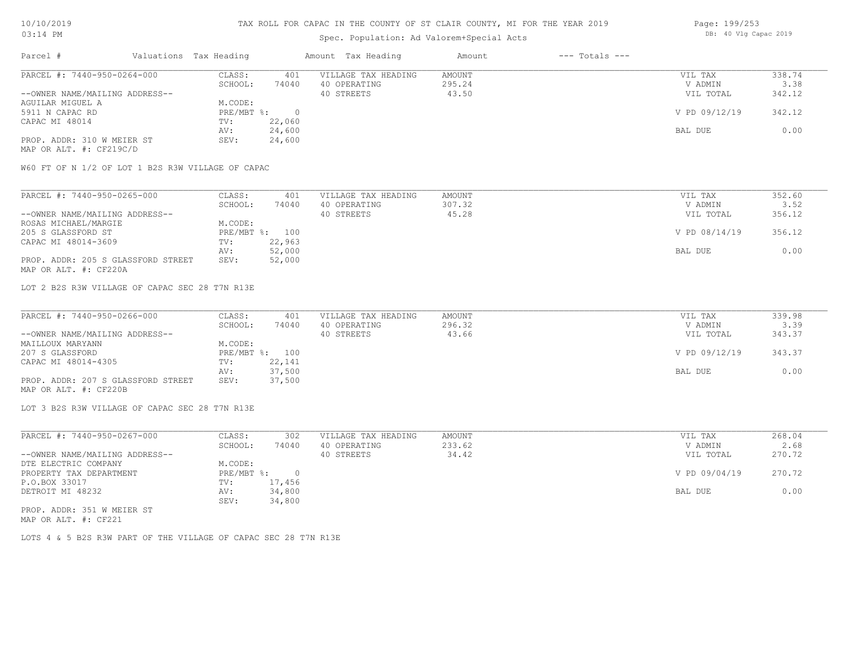# Spec. Population: Ad Valorem+Special Acts

| Page: 199/253 |  |                       |  |
|---------------|--|-----------------------|--|
|               |  | DB: 40 Vlg Capac 2019 |  |

| Parcel #                       | Valuations Tax Heading |        | Amount Tax Heading  | Amount | $---$ Totals $---$ |               |        |
|--------------------------------|------------------------|--------|---------------------|--------|--------------------|---------------|--------|
| PARCEL #: 7440-950-0264-000    | CLASS:                 | 401    | VILLAGE TAX HEADING | AMOUNT |                    | VIL TAX       | 338.74 |
|                                | SCHOOL:                | 74040  | 40 OPERATING        | 295.24 |                    | V ADMIN       | 3.38   |
| --OWNER NAME/MAILING ADDRESS-- |                        |        | 40 STREETS          | 43.50  |                    | VIL TOTAL     | 342.12 |
| AGUILAR MIGUEL A               | M.CODE:                |        |                     |        |                    |               |        |
| 5911 N CAPAC RD                | PRE/MBT %:             |        |                     |        |                    | V PD 09/12/19 | 342.12 |
| CAPAC MI 48014                 | TV:                    | 22,060 |                     |        |                    |               |        |
|                                | AV:                    | 24,600 |                     |        |                    | BAL DUE       | 0.00   |
| PROP. ADDR: 310 W MEIER ST     | SEV:                   | 24,600 |                     |        |                    |               |        |
|                                |                        |        |                     |        |                    |               |        |

MAP OR ALT. #: CF219C/D

W60 FT OF N 1/2 OF LOT 1 B2S R3W VILLAGE OF CAPAC

| PARCEL #: 7440-950-0265-000        | CLASS:  | 401            | VILLAGE TAX HEADING | AMOUNT | VIL TAX       | 352.60 |
|------------------------------------|---------|----------------|---------------------|--------|---------------|--------|
|                                    | SCHOOL: | 74040          | 40 OPERATING        | 307.32 | V ADMIN       | 3.52   |
| --OWNER NAME/MAILING ADDRESS--     |         |                | 40 STREETS          | 45.28  | VIL TOTAL     | 356.12 |
| ROSAS MICHAEL/MARGIE               | M.CODE: |                |                     |        |               |        |
| 205 S GLASSFORD ST                 |         | PRE/MBT %: 100 |                     |        | V PD 08/14/19 | 356.12 |
| CAPAC MI 48014-3609                | TV:     | 22,963         |                     |        |               |        |
|                                    | AV:     | 52,000         |                     |        | BAL DUE       | 0.00   |
| PROP. ADDR: 205 S GLASSFORD STREET | SEV:    | 52,000         |                     |        |               |        |
| MAP OR ALT. #: CF220A              |         |                |                     |        |               |        |

LOT 2 B2S R3W VILLAGE OF CAPAC SEC 28 T7N R13E

| PARCEL #: 7440-950-0266-000        | CLASS:  | 401            | VILLAGE TAX HEADING | AMOUNT | VIL TAX       | 339.98 |
|------------------------------------|---------|----------------|---------------------|--------|---------------|--------|
|                                    | SCHOOL: | 74040          | 40 OPERATING        | 296.32 | V ADMIN       | 3.39   |
| --OWNER NAME/MAILING ADDRESS--     |         |                | 40 STREETS          | 43.66  | VIL TOTAL     | 343.37 |
| MAILLOUX MARYANN                   | M.CODE: |                |                     |        |               |        |
| 207 S GLASSFORD                    |         | PRE/MBT %: 100 |                     |        | V PD 09/12/19 | 343.37 |
| CAPAC MI 48014-4305                | TV:     | 22,141         |                     |        |               |        |
|                                    | AV:     | 37,500         |                     |        | BAL DUE       | 0.00   |
| PROP. ADDR: 207 S GLASSFORD STREET | SEV:    | 37,500         |                     |        |               |        |
| MAP OR ALT. #: CF220B              |         |                |                     |        |               |        |

LOT 3 B2S R3W VILLAGE OF CAPAC SEC 28 T7N R13E

| PARCEL #: 7440-950-0267-000    | CLASS:     | 302    | VILLAGE TAX HEADING | AMOUNT | VIL TAX       | 268.04 |
|--------------------------------|------------|--------|---------------------|--------|---------------|--------|
|                                | SCHOOL:    | 74040  | 40 OPERATING        | 233.62 | V ADMIN       | 2.68   |
| --OWNER NAME/MAILING ADDRESS-- |            |        | 40 STREETS          | 34.42  | VIL TOTAL     | 270.72 |
| DTE ELECTRIC COMPANY           | M.CODE:    |        |                     |        |               |        |
| PROPERTY TAX DEPARTMENT        | PRE/MBT %: | $\cap$ |                     |        | V PD 09/04/19 | 270.72 |
| P.O.BOX 33017                  | TV:        | 17,456 |                     |        |               |        |
| DETROIT MI 48232               | AV:        | 34,800 |                     |        | BAL DUE       | 0.00   |
|                                | SEV:       | 34,800 |                     |        |               |        |
| PROP. ADDR: 351 W MEIER ST     |            |        |                     |        |               |        |

MAP OR ALT. #: CF221

LOTS 4 & 5 B2S R3W PART OF THE VILLAGE OF CAPAC SEC 28 T7N R13E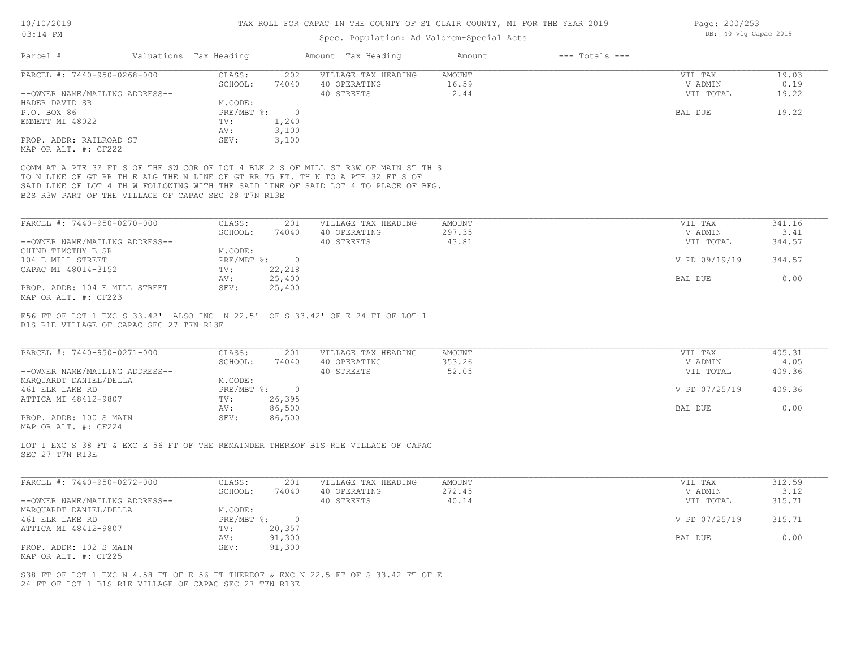# Spec. Population: Ad Valorem+Special Acts

| PARCEL #: 7440-950-0268-000<br>CLASS:<br>VILLAGE TAX HEADING<br>202<br>AMOUNT<br>VIL TAX<br>SCHOOL:<br>40 OPERATING<br>16.59<br>V ADMIN<br>74040<br>2.44<br>40 STREETS<br>VIL TOTAL<br>--OWNER NAME/MAILING ADDRESS--<br>M.CODE:<br>HADER DAVID SR<br>PRE/MBT %: 0<br>P.O. BOX 86<br>BAL DUE<br>1,240<br>EMMETT MI 48022<br>TV:<br>3,100<br>AV:<br>3,100<br>PROP. ADDR: RAILROAD ST<br>SEV:<br>MAP OR ALT. #: CF222<br>COMM AT A PTE 32 FT S OF THE SW COR OF LOT 4 BLK 2 S OF MILL ST R3W OF MAIN ST TH S<br>TO N LINE OF GT RR TH E ALG THE N LINE OF GT RR 75 FT. TH N TO A PTE 32 FT S OF<br>SAID LINE OF LOT 4 TH W FOLLOWING WITH THE SAID LINE OF SAID LOT 4 TO PLACE OF BEG.<br>B2S R3W PART OF THE VILLAGE OF CAPAC SEC 28 T7N R13E<br>PARCEL #: 7440-950-0270-000<br>CLASS:<br>VILLAGE TAX HEADING<br><b>AMOUNT</b><br>201<br>VIL TAX<br>SCHOOL:<br>74040<br>40 OPERATING<br>297.35<br>V ADMIN<br>43.81<br>40 STREETS<br>VIL TOTAL<br>--OWNER NAME/MAILING ADDRESS--<br>M.CODE:<br>CHIND TIMOTHY B SR<br>PRE/MBT %: 0<br>104 E MILL STREET<br>V PD 09/19/19<br>CAPAC MI 48014-3152<br>$\text{TV}$ :<br>22,218<br>25,400<br>BAL DUE<br>AV:<br>25,400<br>PROP. ADDR: 104 E MILL STREET<br>SEV:<br>MAP OR ALT. #: CF223<br>E56 FT OF LOT 1 EXC S 33.42' ALSO INC N 22.5' OF S 33.42' OF E 24 FT OF LOT 1<br>B1S R1E VILLAGE OF CAPAC SEC 27 T7N R13E<br>PARCEL #: 7440-950-0271-000<br>CLASS:<br>201<br>VILLAGE TAX HEADING<br><b>AMOUNT</b><br>VIL TAX<br>SCHOOL:<br>40 OPERATING<br>353.26<br>V ADMIN<br>74040<br>52.05<br>--OWNER NAME/MAILING ADDRESS--<br>40 STREETS<br>VIL TOTAL<br>MARQUARDT DANIEL/DELLA<br>M.CODE:<br>PRE/MBT %: 0<br>461 ELK LAKE RD<br>V PD 07/25/19<br>26,395<br>ATTICA MI 48412-9807<br>TV:<br>86,500<br>BAL DUE<br>AV:<br>SEV:<br>86,500<br>PROP. ADDR: 100 S MAIN<br>MAP OR ALT. #: CF224<br>LOT 1 EXC S 38 FT & EXC E 56 FT OF THE REMAINDER THEREOF B1S R1E VILLAGE OF CAPAC<br>SEC 27 T7N R13E<br>PARCEL #: 7440-950-0272-000<br>CLASS:<br>VILLAGE TAX HEADING<br>201<br>AMOUNT<br>VIL TAX<br>SCHOOL:<br>74040<br>40 OPERATING<br>272.45<br>V ADMIN<br>--OWNER NAME/MAILING ADDRESS--<br>40 STREETS<br>40.14<br>VIL TOTAL | 19.03<br>0.19<br>19.22<br>19.22<br>341.16<br>3.41 |
|--------------------------------------------------------------------------------------------------------------------------------------------------------------------------------------------------------------------------------------------------------------------------------------------------------------------------------------------------------------------------------------------------------------------------------------------------------------------------------------------------------------------------------------------------------------------------------------------------------------------------------------------------------------------------------------------------------------------------------------------------------------------------------------------------------------------------------------------------------------------------------------------------------------------------------------------------------------------------------------------------------------------------------------------------------------------------------------------------------------------------------------------------------------------------------------------------------------------------------------------------------------------------------------------------------------------------------------------------------------------------------------------------------------------------------------------------------------------------------------------------------------------------------------------------------------------------------------------------------------------------------------------------------------------------------------------------------------------------------------------------------------------------------------------------------------------------------------------------------------------------------------------------------------------------------------------------------------------------------------------------------------------------------------------------------------------------------------------------------------------------------------------------------------------|---------------------------------------------------|
|                                                                                                                                                                                                                                                                                                                                                                                                                                                                                                                                                                                                                                                                                                                                                                                                                                                                                                                                                                                                                                                                                                                                                                                                                                                                                                                                                                                                                                                                                                                                                                                                                                                                                                                                                                                                                                                                                                                                                                                                                                                                                                                                                                    |                                                   |
|                                                                                                                                                                                                                                                                                                                                                                                                                                                                                                                                                                                                                                                                                                                                                                                                                                                                                                                                                                                                                                                                                                                                                                                                                                                                                                                                                                                                                                                                                                                                                                                                                                                                                                                                                                                                                                                                                                                                                                                                                                                                                                                                                                    |                                                   |
|                                                                                                                                                                                                                                                                                                                                                                                                                                                                                                                                                                                                                                                                                                                                                                                                                                                                                                                                                                                                                                                                                                                                                                                                                                                                                                                                                                                                                                                                                                                                                                                                                                                                                                                                                                                                                                                                                                                                                                                                                                                                                                                                                                    |                                                   |
|                                                                                                                                                                                                                                                                                                                                                                                                                                                                                                                                                                                                                                                                                                                                                                                                                                                                                                                                                                                                                                                                                                                                                                                                                                                                                                                                                                                                                                                                                                                                                                                                                                                                                                                                                                                                                                                                                                                                                                                                                                                                                                                                                                    |                                                   |
|                                                                                                                                                                                                                                                                                                                                                                                                                                                                                                                                                                                                                                                                                                                                                                                                                                                                                                                                                                                                                                                                                                                                                                                                                                                                                                                                                                                                                                                                                                                                                                                                                                                                                                                                                                                                                                                                                                                                                                                                                                                                                                                                                                    |                                                   |
|                                                                                                                                                                                                                                                                                                                                                                                                                                                                                                                                                                                                                                                                                                                                                                                                                                                                                                                                                                                                                                                                                                                                                                                                                                                                                                                                                                                                                                                                                                                                                                                                                                                                                                                                                                                                                                                                                                                                                                                                                                                                                                                                                                    |                                                   |
|                                                                                                                                                                                                                                                                                                                                                                                                                                                                                                                                                                                                                                                                                                                                                                                                                                                                                                                                                                                                                                                                                                                                                                                                                                                                                                                                                                                                                                                                                                                                                                                                                                                                                                                                                                                                                                                                                                                                                                                                                                                                                                                                                                    |                                                   |
|                                                                                                                                                                                                                                                                                                                                                                                                                                                                                                                                                                                                                                                                                                                                                                                                                                                                                                                                                                                                                                                                                                                                                                                                                                                                                                                                                                                                                                                                                                                                                                                                                                                                                                                                                                                                                                                                                                                                                                                                                                                                                                                                                                    |                                                   |
|                                                                                                                                                                                                                                                                                                                                                                                                                                                                                                                                                                                                                                                                                                                                                                                                                                                                                                                                                                                                                                                                                                                                                                                                                                                                                                                                                                                                                                                                                                                                                                                                                                                                                                                                                                                                                                                                                                                                                                                                                                                                                                                                                                    |                                                   |
|                                                                                                                                                                                                                                                                                                                                                                                                                                                                                                                                                                                                                                                                                                                                                                                                                                                                                                                                                                                                                                                                                                                                                                                                                                                                                                                                                                                                                                                                                                                                                                                                                                                                                                                                                                                                                                                                                                                                                                                                                                                                                                                                                                    |                                                   |
|                                                                                                                                                                                                                                                                                                                                                                                                                                                                                                                                                                                                                                                                                                                                                                                                                                                                                                                                                                                                                                                                                                                                                                                                                                                                                                                                                                                                                                                                                                                                                                                                                                                                                                                                                                                                                                                                                                                                                                                                                                                                                                                                                                    |                                                   |
|                                                                                                                                                                                                                                                                                                                                                                                                                                                                                                                                                                                                                                                                                                                                                                                                                                                                                                                                                                                                                                                                                                                                                                                                                                                                                                                                                                                                                                                                                                                                                                                                                                                                                                                                                                                                                                                                                                                                                                                                                                                                                                                                                                    | 344.57                                            |
|                                                                                                                                                                                                                                                                                                                                                                                                                                                                                                                                                                                                                                                                                                                                                                                                                                                                                                                                                                                                                                                                                                                                                                                                                                                                                                                                                                                                                                                                                                                                                                                                                                                                                                                                                                                                                                                                                                                                                                                                                                                                                                                                                                    | 344.57                                            |
|                                                                                                                                                                                                                                                                                                                                                                                                                                                                                                                                                                                                                                                                                                                                                                                                                                                                                                                                                                                                                                                                                                                                                                                                                                                                                                                                                                                                                                                                                                                                                                                                                                                                                                                                                                                                                                                                                                                                                                                                                                                                                                                                                                    |                                                   |
|                                                                                                                                                                                                                                                                                                                                                                                                                                                                                                                                                                                                                                                                                                                                                                                                                                                                                                                                                                                                                                                                                                                                                                                                                                                                                                                                                                                                                                                                                                                                                                                                                                                                                                                                                                                                                                                                                                                                                                                                                                                                                                                                                                    | 0.00                                              |
|                                                                                                                                                                                                                                                                                                                                                                                                                                                                                                                                                                                                                                                                                                                                                                                                                                                                                                                                                                                                                                                                                                                                                                                                                                                                                                                                                                                                                                                                                                                                                                                                                                                                                                                                                                                                                                                                                                                                                                                                                                                                                                                                                                    |                                                   |
|                                                                                                                                                                                                                                                                                                                                                                                                                                                                                                                                                                                                                                                                                                                                                                                                                                                                                                                                                                                                                                                                                                                                                                                                                                                                                                                                                                                                                                                                                                                                                                                                                                                                                                                                                                                                                                                                                                                                                                                                                                                                                                                                                                    | 405.31<br>4.05                                    |
|                                                                                                                                                                                                                                                                                                                                                                                                                                                                                                                                                                                                                                                                                                                                                                                                                                                                                                                                                                                                                                                                                                                                                                                                                                                                                                                                                                                                                                                                                                                                                                                                                                                                                                                                                                                                                                                                                                                                                                                                                                                                                                                                                                    | 409.36                                            |
|                                                                                                                                                                                                                                                                                                                                                                                                                                                                                                                                                                                                                                                                                                                                                                                                                                                                                                                                                                                                                                                                                                                                                                                                                                                                                                                                                                                                                                                                                                                                                                                                                                                                                                                                                                                                                                                                                                                                                                                                                                                                                                                                                                    |                                                   |
|                                                                                                                                                                                                                                                                                                                                                                                                                                                                                                                                                                                                                                                                                                                                                                                                                                                                                                                                                                                                                                                                                                                                                                                                                                                                                                                                                                                                                                                                                                                                                                                                                                                                                                                                                                                                                                                                                                                                                                                                                                                                                                                                                                    | 409.36                                            |
|                                                                                                                                                                                                                                                                                                                                                                                                                                                                                                                                                                                                                                                                                                                                                                                                                                                                                                                                                                                                                                                                                                                                                                                                                                                                                                                                                                                                                                                                                                                                                                                                                                                                                                                                                                                                                                                                                                                                                                                                                                                                                                                                                                    |                                                   |
|                                                                                                                                                                                                                                                                                                                                                                                                                                                                                                                                                                                                                                                                                                                                                                                                                                                                                                                                                                                                                                                                                                                                                                                                                                                                                                                                                                                                                                                                                                                                                                                                                                                                                                                                                                                                                                                                                                                                                                                                                                                                                                                                                                    | 0.00                                              |
|                                                                                                                                                                                                                                                                                                                                                                                                                                                                                                                                                                                                                                                                                                                                                                                                                                                                                                                                                                                                                                                                                                                                                                                                                                                                                                                                                                                                                                                                                                                                                                                                                                                                                                                                                                                                                                                                                                                                                                                                                                                                                                                                                                    |                                                   |
|                                                                                                                                                                                                                                                                                                                                                                                                                                                                                                                                                                                                                                                                                                                                                                                                                                                                                                                                                                                                                                                                                                                                                                                                                                                                                                                                                                                                                                                                                                                                                                                                                                                                                                                                                                                                                                                                                                                                                                                                                                                                                                                                                                    |                                                   |
|                                                                                                                                                                                                                                                                                                                                                                                                                                                                                                                                                                                                                                                                                                                                                                                                                                                                                                                                                                                                                                                                                                                                                                                                                                                                                                                                                                                                                                                                                                                                                                                                                                                                                                                                                                                                                                                                                                                                                                                                                                                                                                                                                                    |                                                   |
|                                                                                                                                                                                                                                                                                                                                                                                                                                                                                                                                                                                                                                                                                                                                                                                                                                                                                                                                                                                                                                                                                                                                                                                                                                                                                                                                                                                                                                                                                                                                                                                                                                                                                                                                                                                                                                                                                                                                                                                                                                                                                                                                                                    |                                                   |
|                                                                                                                                                                                                                                                                                                                                                                                                                                                                                                                                                                                                                                                                                                                                                                                                                                                                                                                                                                                                                                                                                                                                                                                                                                                                                                                                                                                                                                                                                                                                                                                                                                                                                                                                                                                                                                                                                                                                                                                                                                                                                                                                                                    | 312.59                                            |
| MARQUARDT DANIEL/DELLA<br>M.CODE:                                                                                                                                                                                                                                                                                                                                                                                                                                                                                                                                                                                                                                                                                                                                                                                                                                                                                                                                                                                                                                                                                                                                                                                                                                                                                                                                                                                                                                                                                                                                                                                                                                                                                                                                                                                                                                                                                                                                                                                                                                                                                                                                  | 3.12                                              |
| $PRE/MBT$ %:<br>V PD 07/25/19<br>461 ELK LAKE RD<br>$\overline{0}$                                                                                                                                                                                                                                                                                                                                                                                                                                                                                                                                                                                                                                                                                                                                                                                                                                                                                                                                                                                                                                                                                                                                                                                                                                                                                                                                                                                                                                                                                                                                                                                                                                                                                                                                                                                                                                                                                                                                                                                                                                                                                                 | 315.71                                            |
| ATTICA MI 48412-9807<br>20,357<br>TV:                                                                                                                                                                                                                                                                                                                                                                                                                                                                                                                                                                                                                                                                                                                                                                                                                                                                                                                                                                                                                                                                                                                                                                                                                                                                                                                                                                                                                                                                                                                                                                                                                                                                                                                                                                                                                                                                                                                                                                                                                                                                                                                              |                                                   |
| 91,300<br>BAL DUE<br>AV:                                                                                                                                                                                                                                                                                                                                                                                                                                                                                                                                                                                                                                                                                                                                                                                                                                                                                                                                                                                                                                                                                                                                                                                                                                                                                                                                                                                                                                                                                                                                                                                                                                                                                                                                                                                                                                                                                                                                                                                                                                                                                                                                           | 315.71                                            |
| PROP. ADDR: 102 S MAIN<br>SEV:<br>91,300                                                                                                                                                                                                                                                                                                                                                                                                                                                                                                                                                                                                                                                                                                                                                                                                                                                                                                                                                                                                                                                                                                                                                                                                                                                                                                                                                                                                                                                                                                                                                                                                                                                                                                                                                                                                                                                                                                                                                                                                                                                                                                                           | 0.00                                              |
| MAP OR ALT. #: CF225                                                                                                                                                                                                                                                                                                                                                                                                                                                                                                                                                                                                                                                                                                                                                                                                                                                                                                                                                                                                                                                                                                                                                                                                                                                                                                                                                                                                                                                                                                                                                                                                                                                                                                                                                                                                                                                                                                                                                                                                                                                                                                                                               |                                                   |

Page: 200/253 DB: 40 Vlg Capac 2019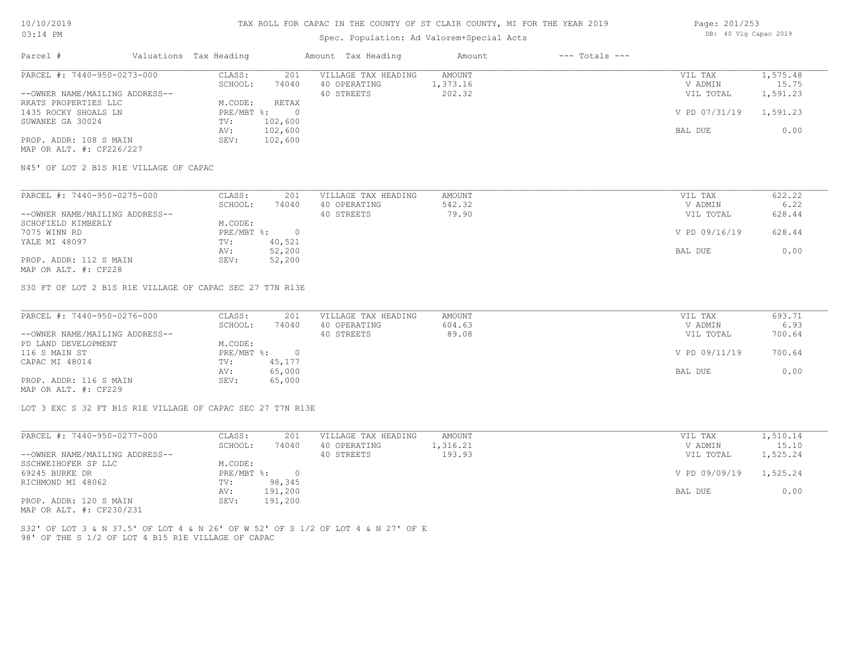# Spec. Population: Ad Valorem+Special Acts

| Page: 201/253 |  |                       |  |
|---------------|--|-----------------------|--|
|               |  | DB: 40 Vlg Capac 2019 |  |

| Parcel #                       | Valuations Tax Heading |         | Amount Tax Heading  | Amount   | $---$ Totals $---$ |               |          |
|--------------------------------|------------------------|---------|---------------------|----------|--------------------|---------------|----------|
| PARCEL #: 7440-950-0273-000    | CLASS:                 | 201     | VILLAGE TAX HEADING | AMOUNT   |                    | VIL TAX       | 1,575.48 |
|                                | SCHOOL:                | 74040   | 40 OPERATING        | 1,373.16 |                    | V ADMIN       | 15.75    |
| --OWNER NAME/MAILING ADDRESS-- |                        |         | 40 STREETS          | 202.32   |                    | VIL TOTAL     | 1,591.23 |
| RKATS PROPERTIES LLC           | M.CODE:                | RETAX   |                     |          |                    |               |          |
| 1435 ROCKY SHOALS LN           | $PRE/MBT$ %:           |         |                     |          |                    | V PD 07/31/19 | 1,591.23 |
| SUWANEE GA 30024               | TV:                    | 102,600 |                     |          |                    |               |          |
|                                | AV:                    | 102,600 |                     |          |                    | BAL DUE       | 0.00     |
| PROP. ADDR: 108 S MAIN         | SEV:                   | 102,600 |                     |          |                    |               |          |
|                                |                        |         |                     |          |                    |               |          |

MAP OR ALT. #: CF226/227

N45' OF LOT 2 B1S R1E VILLAGE OF CAPAC

| PARCEL #: 7440-950-0275-000    | CLASS:     | 201    | VILLAGE TAX HEADING | AMOUNT | VIL TAX       | 622.22 |
|--------------------------------|------------|--------|---------------------|--------|---------------|--------|
|                                | SCHOOL:    | 74040  | 40 OPERATING        | 542.32 | V ADMIN       | 6.22   |
| --OWNER NAME/MAILING ADDRESS-- |            |        | 40 STREETS          | 79.90  | VIL TOTAL     | 628.44 |
| SCHOFIELD KIMBERLY             | M.CODE:    |        |                     |        |               |        |
| 7075 WINN RD                   | PRE/MBT %: |        |                     |        | V PD 09/16/19 | 628.44 |
| YALE MI 48097                  | TV:        | 40,521 |                     |        |               |        |
|                                | AV:        | 52,200 |                     |        | BAL DUE       | 0.00   |
| PROP. ADDR: 112 S MAIN         | SEV:       | 52,200 |                     |        |               |        |
|                                |            |        |                     |        |               |        |

MAP OR ALT. #: CF228

S30 FT OF LOT 2 B1S R1E VILLAGE OF CAPAC SEC 27 T7N R13E

| PARCEL #: 7440-950-0276-000    | CLASS:     | 201    | VILLAGE TAX HEADING | AMOUNT | VIL TAX       | 693.71 |
|--------------------------------|------------|--------|---------------------|--------|---------------|--------|
|                                | SCHOOL:    | 74040  | 40 OPERATING        | 604.63 | V ADMIN       | 6.93   |
| --OWNER NAME/MAILING ADDRESS-- |            |        | 40 STREETS          | 89.08  | VIL TOTAL     | 700.64 |
| PD LAND DEVELOPMENT            | M.CODE:    |        |                     |        |               |        |
| 116 S MAIN ST                  | PRE/MBT %: |        |                     |        | V PD 09/11/19 | 700.64 |
| CAPAC MI 48014                 | TV:        | 45,177 |                     |        |               |        |
|                                | AV:        | 65,000 |                     |        | BAL DUE       | 0.00   |
| PROP. ADDR: 116 S MAIN         | SEV:       | 65,000 |                     |        |               |        |
| MAP OR ALT. #: CF229           |            |        |                     |        |               |        |

 $\mathcal{L}_\mathcal{L} = \mathcal{L}_\mathcal{L} = \mathcal{L}_\mathcal{L} = \mathcal{L}_\mathcal{L} = \mathcal{L}_\mathcal{L} = \mathcal{L}_\mathcal{L} = \mathcal{L}_\mathcal{L} = \mathcal{L}_\mathcal{L} = \mathcal{L}_\mathcal{L} = \mathcal{L}_\mathcal{L} = \mathcal{L}_\mathcal{L} = \mathcal{L}_\mathcal{L} = \mathcal{L}_\mathcal{L} = \mathcal{L}_\mathcal{L} = \mathcal{L}_\mathcal{L} = \mathcal{L}_\mathcal{L} = \mathcal{L}_\mathcal{L}$ 

LOT 3 EXC S 32 FT B1S R1E VILLAGE OF CAPAC SEC 27 T7N R13E

| CLASS:  | 201     | VILLAGE TAX HEADING | AMOUNT   | VIL TAX       | 1,510.14 |
|---------|---------|---------------------|----------|---------------|----------|
| SCHOOL: | 74040   | 40 OPERATING        | 1,316.21 | V ADMIN       | 15.10    |
|         |         | 40 STREETS          | 193.93   | VIL TOTAL     | 1,525.24 |
| M.CODE: |         |                     |          |               |          |
|         |         |                     |          | V PD 09/09/19 | 1,525.24 |
| TV:     | 98,345  |                     |          |               |          |
| AV:     | 191,200 |                     |          | BAL DUE       | 0.00     |
| SEV:    | 191,200 |                     |          |               |          |
|         |         | PRE/MBT %:          |          |               |          |

MAP OR ALT. #: CF230/231

98' OF THE S 1/2 OF LOT 4 B15 R1E VILLAGE OF CAPAC S32' OF LOT 3 & N 37.5' OF LOT 4 & N 26' OF W 52' OF S 1/2 OF LOT 4 & N 27' OF E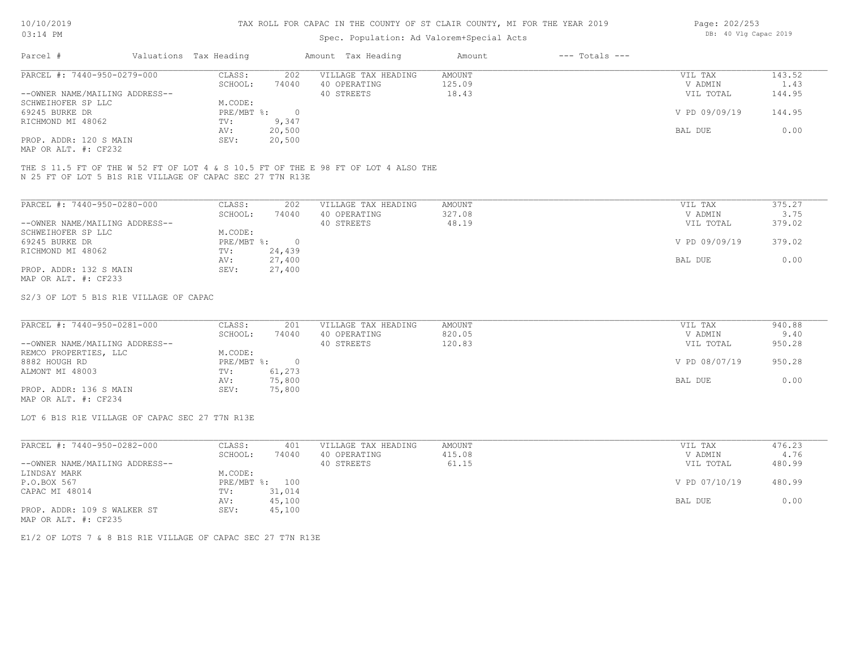# Spec. Population: Ad Valorem+Special Acts

| Page: 202/253 |  |                       |  |
|---------------|--|-----------------------|--|
|               |  | DB: 40 Vlg Capac 2019 |  |

| Parcel #                       | Valuations Tax Heading |        | Amount Tax Heading  | Amount | $---$ Totals $---$ |               |        |
|--------------------------------|------------------------|--------|---------------------|--------|--------------------|---------------|--------|
| PARCEL #: 7440-950-0279-000    | CLASS:                 | 202    | VILLAGE TAX HEADING | AMOUNT |                    | VIL TAX       | 143.52 |
|                                | SCHOOL:                | 74040  | 40 OPERATING        | 125.09 |                    | V ADMIN       | 1.43   |
| --OWNER NAME/MAILING ADDRESS-- |                        |        | 40 STREETS          | 18.43  |                    | VIL TOTAL     | 144.95 |
| SCHWEIHOFER SP LLC             | M.CODE:                |        |                     |        |                    |               |        |
| 69245 BURKE DR                 | $PRE/MBT$ %:           |        |                     |        |                    | V PD 09/09/19 | 144.95 |
| RICHMOND MI 48062              | TV:                    | 9,347  |                     |        |                    |               |        |
|                                | AV:                    | 20,500 |                     |        |                    | BAL DUE       | 0.00   |
| PROP. ADDR: 120 S MAIN         | SEV:                   | 20,500 |                     |        |                    |               |        |
|                                |                        |        |                     |        |                    |               |        |

MAP OR ALT. #: CF232

N 25 FT OF LOT 5 B1S R1E VILLAGE OF CAPAC SEC 27 T7N R13E THE S 11.5 FT OF THE W 52 FT OF LOT 4 & S 10.5 FT OF THE E 98 FT OF LOT 4 ALSO THE

| PARCEL #: 7440-950-0280-000    | CLASS:     | 202    | VILLAGE TAX HEADING | AMOUNT | VIL TAX       | 375.27 |
|--------------------------------|------------|--------|---------------------|--------|---------------|--------|
|                                | SCHOOL:    | 74040  | 40 OPERATING        | 327.08 | V ADMIN       | 3.75   |
| --OWNER NAME/MAILING ADDRESS-- |            |        | 40 STREETS          | 48.19  | VIL TOTAL     | 379.02 |
| SCHWEIHOFER SP LLC             | M.CODE:    |        |                     |        |               |        |
| 69245 BURKE DR                 | PRE/MBT %: |        |                     |        | V PD 09/09/19 | 379.02 |
| RICHMOND MI 48062              | TV:        | 24,439 |                     |        |               |        |
|                                | AV:        | 27,400 |                     |        | BAL DUE       | 0.00   |
| PROP. ADDR: 132 S MAIN         | SEV:       | 27,400 |                     |        |               |        |
| MAP OR ALT. #: CF233           |            |        |                     |        |               |        |

S2/3 OF LOT 5 B1S R1E VILLAGE OF CAPAC

| PARCEL #: 7440-950-0281-000    | CLASS:     | 201    | VILLAGE TAX HEADING | AMOUNT | VIL TAX       | 940.88 |
|--------------------------------|------------|--------|---------------------|--------|---------------|--------|
|                                | SCHOOL:    | 74040  | 40 OPERATING        | 820.05 | V ADMIN       | 9.40   |
| --OWNER NAME/MAILING ADDRESS-- |            |        | 40 STREETS          | 120.83 | VIL TOTAL     | 950.28 |
| REMCO PROPERTIES, LLC          | M.CODE:    |        |                     |        |               |        |
| 8882 HOUGH RD                  | PRE/MBT %: |        |                     |        | V PD 08/07/19 | 950.28 |
| ALMONT MI 48003                | TV:        | 61,273 |                     |        |               |        |
|                                | AV:        | 75,800 |                     |        | BAL DUE       | 0.00   |
| PROP. ADDR: 136 S MAIN         | SEV:       | 75,800 |                     |        |               |        |
|                                |            |        |                     |        |               |        |

MAP OR ALT. #: CF234

LOT 6 B1S R1E VILLAGE OF CAPAC SEC 27 T7N R13E

| PARCEL #: 7440-950-0282-000    | CLASS:  | 401            | VILLAGE TAX HEADING | AMOUNT | VIL TAX       | 476.23 |
|--------------------------------|---------|----------------|---------------------|--------|---------------|--------|
|                                | SCHOOL: | 74040          | 40 OPERATING        | 415.08 | V ADMIN       | 4.76   |
| --OWNER NAME/MAILING ADDRESS-- |         |                | 40 STREETS          | 61.15  | VIL TOTAL     | 480.99 |
| LINDSAY MARK                   | M.CODE: |                |                     |        |               |        |
| P.O.BOX 567                    |         | PRE/MBT %: 100 |                     |        | V PD 07/10/19 | 480.99 |
| CAPAC MI 48014                 | TV:     | 31,014         |                     |        |               |        |
|                                | AV:     | 45,100         |                     |        | BAL DUE       | 0.00   |
| PROP. ADDR: 109 S WALKER ST    | SEV:    | 45,100         |                     |        |               |        |
| MAP OR ALT. #: CF235           |         |                |                     |        |               |        |

E1/2 OF LOTS 7 & 8 B1S R1E VILLAGE OF CAPAC SEC 27 T7N R13E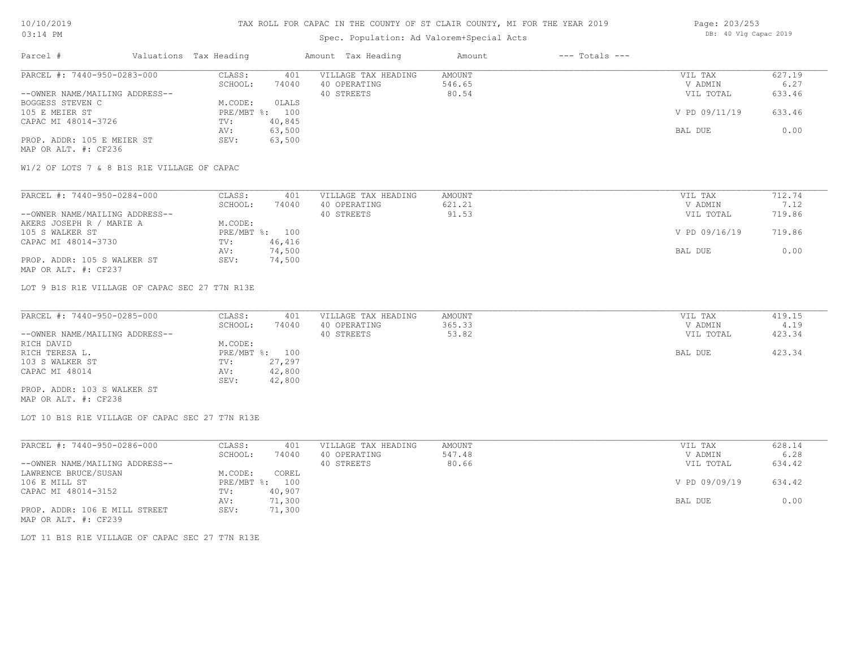# Spec. Population: Ad Valorem+Special Acts

| Page: 203/253 |  |                       |  |  |  |
|---------------|--|-----------------------|--|--|--|
|               |  | DB: 40 Vlg Capac 2019 |  |  |  |

| Parcel #                       | Valuations Tax Heading |        | Amount Tax Heading  | Amount | $---$ Totals $---$ |               |        |
|--------------------------------|------------------------|--------|---------------------|--------|--------------------|---------------|--------|
| PARCEL #: 7440-950-0283-000    | CLASS:                 | 401    | VILLAGE TAX HEADING | AMOUNT |                    | VIL TAX       | 627.19 |
|                                | SCHOOL:                | 74040  | 40 OPERATING        | 546.65 |                    | V ADMIN       | 6.27   |
| --OWNER NAME/MAILING ADDRESS-- |                        |        | 40 STREETS          | 80.54  |                    | VIL TOTAL     | 633.46 |
| BOGGESS STEVEN C               | M.CODE:                | OLALS  |                     |        |                    |               |        |
| 105 E MEIER ST                 | $PRE/MBT$ %:           | 100    |                     |        |                    | V PD 09/11/19 | 633.46 |
| CAPAC MI 48014-3726            | TV:                    | 40,845 |                     |        |                    |               |        |
|                                | AV:                    | 63,500 |                     |        |                    | BAL DUE       | 0.00   |
| PROP. ADDR: 105 E MEIER ST     | SEV:                   | 63,500 |                     |        |                    |               |        |
| MAP OR ALT. #: CF236           |                        |        |                     |        |                    |               |        |

W1/2 OF LOTS 7 & 8 B1S R1E VILLAGE OF CAPAC

| PARCEL #: 7440-950-0284-000    | CLASS:  | 401            | VILLAGE TAX HEADING | AMOUNT | VIL TAX       | 712.74 |
|--------------------------------|---------|----------------|---------------------|--------|---------------|--------|
|                                | SCHOOL: | 74040          | 40 OPERATING        | 621.21 | V ADMIN       | 7.12   |
| --OWNER NAME/MAILING ADDRESS-- |         |                | 40 STREETS          | 91.53  | VIL TOTAL     | 719.86 |
| AKERS JOSEPH R / MARIE A       | M.CODE: |                |                     |        |               |        |
| 105 S WALKER ST                |         | PRE/MBT %: 100 |                     |        | V PD 09/16/19 | 719.86 |
| CAPAC MI 48014-3730            | TV:     | 46,416         |                     |        |               |        |
|                                | AV:     | 74,500         |                     |        | BAL DUE       | 0.00   |
| PROP. ADDR: 105 S WALKER ST    | SEV:    | 74,500         |                     |        |               |        |
| MAP OR ALT. #: CF237           |         |                |                     |        |               |        |

LOT 9 B1S R1E VILLAGE OF CAPAC SEC 27 T7N R13E

| PARCEL #: 7440-950-0285-000    | CLASS:         | 401    | VILLAGE TAX HEADING | AMOUNT | VIL TAX   | 419.15 |
|--------------------------------|----------------|--------|---------------------|--------|-----------|--------|
|                                | SCHOOL:        | 74040  | 40 OPERATING        | 365.33 | V ADMIN   | 4.19   |
| --OWNER NAME/MAILING ADDRESS-- |                |        | 40 STREETS          | 53.82  | VIL TOTAL | 423.34 |
| RICH DAVID                     | M.CODE:        |        |                     |        |           |        |
| RICH TERESA L.                 | PRE/MBT %: 100 |        |                     |        | BAL DUE   | 423.34 |
| 103 S WALKER ST                | TV:            | 27,297 |                     |        |           |        |
| CAPAC MI 48014                 | AV:            | 42,800 |                     |        |           |        |
|                                | SEV:           | 42,800 |                     |        |           |        |
| PROP. ADDR: 103 S WALKER ST    |                |        |                     |        |           |        |

MAP OR ALT. #: CF238

LOT 10 B1S R1E VILLAGE OF CAPAC SEC 27 T7N R13E

| PARCEL #: 7440-950-0286-000    | CLASS:       | 401    | VILLAGE TAX HEADING | AMOUNT | VIL TAX       | 628.14 |
|--------------------------------|--------------|--------|---------------------|--------|---------------|--------|
|                                | SCHOOL:      | 74040  | 40 OPERATING        | 547.48 | V ADMIN       | 6.28   |
| --OWNER NAME/MAILING ADDRESS-- |              |        | 40 STREETS          | 80.66  | VIL TOTAL     | 634.42 |
| LAWRENCE BRUCE/SUSAN           | M.CODE:      | COREL  |                     |        |               |        |
| 106 E MILL ST                  | $PRE/MBT$ %: | 100    |                     |        | V PD 09/09/19 | 634.42 |
| CAPAC MI 48014-3152            | TV:          | 40,907 |                     |        |               |        |
|                                | AV:          | 71,300 |                     |        | BAL DUE       | 0.00   |
| PROP. ADDR: 106 E MILL STREET  | SEV:         | 71,300 |                     |        |               |        |
| MAP OR ALT. #: CF239           |              |        |                     |        |               |        |

LOT 11 B1S R1E VILLAGE OF CAPAC SEC 27 T7N R13E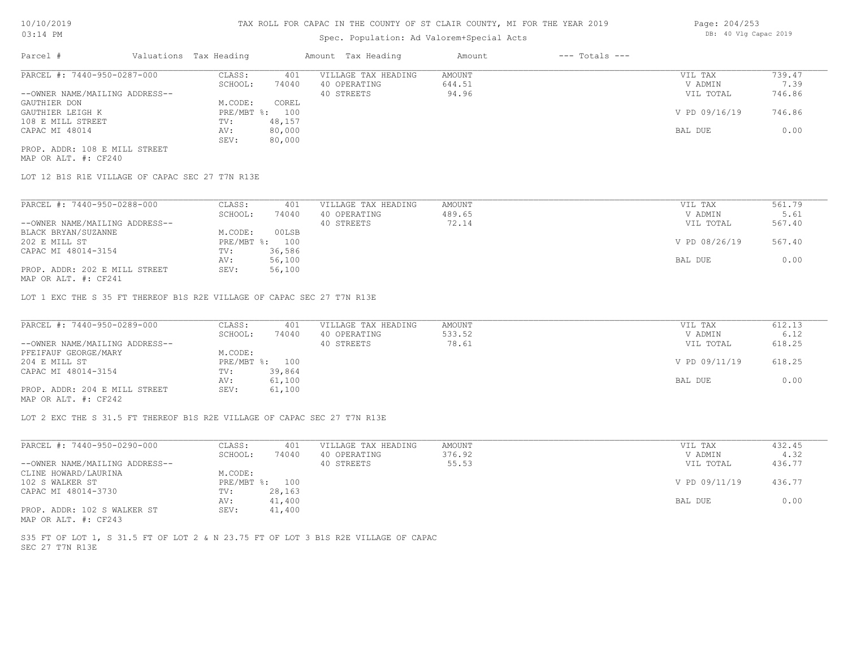# Spec. Population: Ad Valorem+Special Acts

| Parcel #                       | Valuations Tax Heading |        | Amount Tax Heading  | Amount | $---$ Totals $---$ |               |        |
|--------------------------------|------------------------|--------|---------------------|--------|--------------------|---------------|--------|
| PARCEL #: 7440-950-0287-000    | CLASS:                 | 401    | VILLAGE TAX HEADING | AMOUNT |                    | VIL TAX       | 739.47 |
|                                | SCHOOL:                | 74040  | 40 OPERATING        | 644.51 |                    | V ADMIN       | 7.39   |
| --OWNER NAME/MAILING ADDRESS-- |                        |        | 40 STREETS          | 94.96  |                    | VIL TOTAL     | 746.86 |
| GAUTHIER DON                   | M.CODE:                | COREL  |                     |        |                    |               |        |
| GAUTHIER LEIGH K               | PRE/MBT %: 100         |        |                     |        |                    | V PD 09/16/19 | 746.86 |
| 108 E MILL STREET              | TV:                    | 48,157 |                     |        |                    |               |        |
| CAPAC MI 48014                 | AV:                    | 80,000 |                     |        |                    | BAL DUE       | 0.00   |
|                                | SEV:                   | 80,000 |                     |        |                    |               |        |
| ---- ---- --- ----- -----      |                        |        |                     |        |                    |               |        |

MAP OR ALT. #: CF240 PROP. ADDR: 108 E MILL STREET

LOT 12 B1S R1E VILLAGE OF CAPAC SEC 27 T7N R13E

| PARCEL #: 7440-950-0288-000    | CLASS:       | 401    | VILLAGE TAX HEADING | AMOUNT | VIL TAX       | 561.79 |
|--------------------------------|--------------|--------|---------------------|--------|---------------|--------|
|                                | SCHOOL:      | 74040  | 40 OPERATING        | 489.65 | V ADMIN       | 5.61   |
| --OWNER NAME/MAILING ADDRESS-- |              |        | 40 STREETS          | 72.14  | VIL TOTAL     | 567.40 |
| BLACK BRYAN/SUZANNE            | M.CODE:      | 00LSB  |                     |        |               |        |
| 202 E MILL ST                  | $PRE/MBT$ %: | 100    |                     |        | V PD 08/26/19 | 567.40 |
| CAPAC MI 48014-3154            | TV:          | 36,586 |                     |        |               |        |
|                                | AV:          | 56,100 |                     |        | BAL DUE       | 0.00   |
| PROP. ADDR: 202 E MILL STREET  | SEV:         | 56,100 |                     |        |               |        |
| $\frac{1}{2}$                  |              |        |                     |        |               |        |

MAP OR ALT. #: CF241

LOT 1 EXC THE S 35 FT THEREOF B1S R2E VILLAGE OF CAPAC SEC 27 T7N R13E

| PARCEL #: 7440-950-0289-000    | CLASS:  | 401            | VILLAGE TAX HEADING | AMOUNT | VIL TAX       | 612.13 |
|--------------------------------|---------|----------------|---------------------|--------|---------------|--------|
|                                | SCHOOL: | 74040          | 40 OPERATING        | 533.52 | V ADMIN       | 6.12   |
| --OWNER NAME/MAILING ADDRESS-- |         |                | 40 STREETS          | 78.61  | VIL TOTAL     | 618.25 |
| PFEIFAUF GEORGE/MARY           | M.CODE: |                |                     |        |               |        |
| 204 E MILL ST                  |         | PRE/MBT %: 100 |                     |        | V PD 09/11/19 | 618.25 |
| CAPAC MI 48014-3154            | TV:     | 39,864         |                     |        |               |        |
|                                | AV:     | 61,100         |                     |        | BAL DUE       | 0.00   |
| PROP. ADDR: 204 E MILL STREET  | SEV:    | 61,100         |                     |        |               |        |
| $\cdots$                       |         |                |                     |        |               |        |

MAP OR ALT. #: CF242

LOT 2 EXC THE S 31.5 FT THEREOF B1S R2E VILLAGE OF CAPAC SEC 27 T7N R13E

| PARCEL #: 7440-950-0290-000    | CLASS:  | 401            | VILLAGE TAX HEADING | AMOUNT | VIL TAX       | 432.45 |
|--------------------------------|---------|----------------|---------------------|--------|---------------|--------|
|                                | SCHOOL: | 74040          | 40 OPERATING        | 376.92 | V ADMIN       | 4.32   |
| --OWNER NAME/MAILING ADDRESS-- |         |                | 40 STREETS          | 55.53  | VIL TOTAL     | 436.77 |
| CLINE HOWARD/LAURINA           | M.CODE: |                |                     |        |               |        |
| 102 S WALKER ST                |         | PRE/MBT %: 100 |                     |        | V PD 09/11/19 | 436.77 |
| CAPAC MI 48014-3730            | TV:     | 28,163         |                     |        |               |        |
|                                | AV:     | 41,400         |                     |        | BAL DUE       | 0.00   |
| PROP. ADDR: 102 S WALKER ST    | SEV:    | 41,400         |                     |        |               |        |
| MAP OR ALT. #: CF243           |         |                |                     |        |               |        |

SEC 27 T7N R13E S35 FT OF LOT 1, S 31.5 FT OF LOT 2 & N 23.75 FT OF LOT 3 B1S R2E VILLAGE OF CAPAC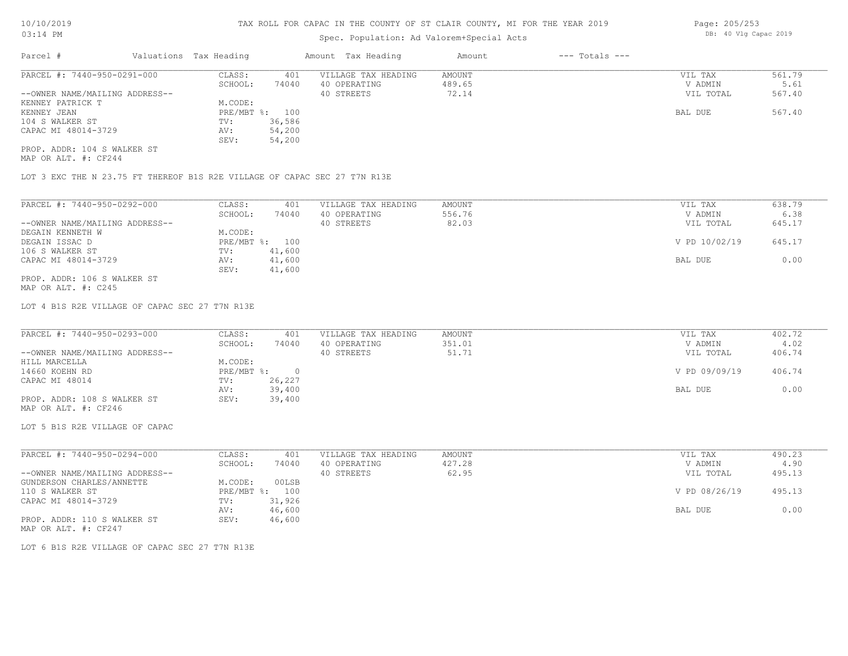# Spec. Population: Ad Valorem+Special Acts

| Parcel #                       |        | Valuations Tax Heading |                     | Amount Tax Heading | Amount | $---$ Totals $---$ |           |        |
|--------------------------------|--------|------------------------|---------------------|--------------------|--------|--------------------|-----------|--------|
| PARCEL #: 7440-950-0291-000    | CLASS: | 401                    | VILLAGE TAX HEADING | AMOUNT             |        | VIL TAX            | 561.79    |        |
|                                |        | SCHOOL:                | 74040               | 40 OPERATING       | 489.65 |                    | V ADMIN   | 5.61   |
| --OWNER NAME/MAILING ADDRESS-- |        |                        |                     | 40 STREETS         | 72.14  |                    | VIL TOTAL | 567.40 |
| KENNEY PATRICK T               |        | M.CODE:                |                     |                    |        |                    |           |        |
| KENNEY JEAN                    |        | PRE/MBT %: 100         |                     |                    |        |                    | BAL DUE   | 567.40 |
| 104 S WALKER ST                |        | TV:                    | 36,586              |                    |        |                    |           |        |
| CAPAC MI 48014-3729            |        | AV:                    | 54,200              |                    |        |                    |           |        |
|                                |        | SEV:                   | 54,200              |                    |        |                    |           |        |
| PROP. ADDR: 104 S WALKER ST    |        |                        |                     |                    |        |                    |           |        |

MAP OR ALT. #: CF244

LOT 3 EXC THE N 23.75 FT THEREOF B1S R2E VILLAGE OF CAPAC SEC 27 T7N R13E

| PARCEL #: 7440-950-0292-000    | CLASS:     | 401    | VILLAGE TAX HEADING | AMOUNT | VIL TAX       | 638.79 |
|--------------------------------|------------|--------|---------------------|--------|---------------|--------|
|                                | SCHOOL:    | 74040  | 40 OPERATING        | 556.76 | V ADMIN       | 6.38   |
| --OWNER NAME/MAILING ADDRESS-- |            |        | 40 STREETS          | 82.03  | VIL TOTAL     | 645.17 |
| DEGAIN KENNETH W               | M.CODE:    |        |                     |        |               |        |
| DEGAIN ISSAC D                 | PRE/MBT %: | 100    |                     |        | V PD 10/02/19 | 645.17 |
| 106 S WALKER ST                | TV:        | 41,600 |                     |        |               |        |
| CAPAC MI 48014-3729            | AV:        | 41,600 |                     |        | BAL DUE       | 0.00   |
|                                | SEV:       | 41,600 |                     |        |               |        |
| PROP. ADDR: 106 S WALKER ST    |            |        |                     |        |               |        |

MAP OR ALT. #: C245

LOT 4 B1S R2E VILLAGE OF CAPAC SEC 27 T7N R13E

| PARCEL #: 7440-950-0293-000    | CLASS:     | 401    | VILLAGE TAX HEADING | AMOUNT | VIL TAX       | 402.72 |
|--------------------------------|------------|--------|---------------------|--------|---------------|--------|
|                                | SCHOOL:    | 74040  | 40 OPERATING        | 351.01 | V ADMIN       | 4.02   |
| --OWNER NAME/MAILING ADDRESS-- |            |        | 40 STREETS          | 51.71  | VIL TOTAL     | 406.74 |
| HILL MARCELLA                  | M.CODE:    |        |                     |        |               |        |
| 14660 KOEHN RD                 | PRE/MBT %: |        |                     |        | V PD 09/09/19 | 406.74 |
| CAPAC MI 48014                 | TV:        | 26,227 |                     |        |               |        |
|                                | AV:        | 39,400 |                     |        | BAL DUE       | 0.00   |
| PROP. ADDR: 108 S WALKER ST    | SEV:       | 39,400 |                     |        |               |        |
| MAP OR ALT. #: CF246           |            |        |                     |        |               |        |

LOT 5 B1S R2E VILLAGE OF CAPAC

| CLASS:  | 401    | VILLAGE TAX HEADING | AMOUNT | VIL TAX       | 490.23 |
|---------|--------|---------------------|--------|---------------|--------|
| SCHOOL: | 74040  | 40 OPERATING        | 427.28 | V ADMIN       | 4.90   |
|         |        | 40 STREETS          | 62.95  | VIL TOTAL     | 495.13 |
| M.CODE: | 00LSB  |                     |        |               |        |
|         | 100    |                     |        | V PD 08/26/19 | 495.13 |
| TV:     | 31,926 |                     |        |               |        |
| AV:     | 46,600 |                     |        | BAL DUE       | 0.00   |
| SEV:    | 46,600 |                     |        |               |        |
|         |        | PRE/MBT %:          |        |               |        |

MAP OR ALT. #: CF247

LOT 6 B1S R2E VILLAGE OF CAPAC SEC 27 T7N R13E

Page: 205/253 DB: 40 Vlg Capac 2019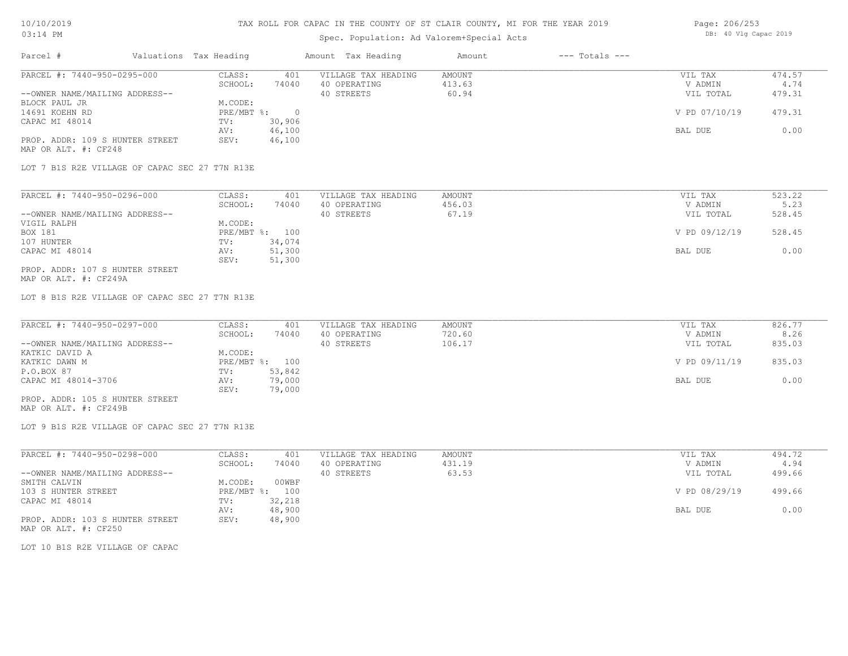# Spec. Population: Ad Valorem+Special Acts

| Page: 206/253 |  |  |                       |  |
|---------------|--|--|-----------------------|--|
|               |  |  | DB: 40 Vlg Capac 2019 |  |

| Parcel #                        | Valuations Tax Heading |        | Amount Tax Heading  | Amount | $---$ Totals $---$ |               |        |
|---------------------------------|------------------------|--------|---------------------|--------|--------------------|---------------|--------|
| PARCEL #: 7440-950-0295-000     | CLASS:                 | 401    | VILLAGE TAX HEADING | AMOUNT |                    | VIL TAX       | 474.57 |
|                                 | SCHOOL:                | 74040  | 40 OPERATING        | 413.63 |                    | V ADMIN       | 4.74   |
| --OWNER NAME/MAILING ADDRESS--  |                        |        | 40 STREETS          | 60.94  |                    | VIL TOTAL     | 479.31 |
| BLOCK PAUL JR                   | M.CODE:                |        |                     |        |                    |               |        |
| 14691 KOEHN RD                  | PRE/MBT %:             |        |                     |        |                    | V PD 07/10/19 | 479.31 |
| CAPAC MI 48014                  | TV:                    | 30,906 |                     |        |                    |               |        |
|                                 | AV:                    | 46,100 |                     |        |                    | BAL DUE       | 0.00   |
| PROP. ADDR: 109 S HUNTER STREET | SEV:                   | 46,100 |                     |        |                    |               |        |
| MAP OR ALT. #: CF248            |                        |        |                     |        |                    |               |        |

LOT 7 B1S R2E VILLAGE OF CAPAC SEC 27 T7N R13E

| PARCEL #: 7440-950-0296-000     | CLASS:     | 401    | VILLAGE TAX HEADING | AMOUNT | VIL TAX       | 523.22 |
|---------------------------------|------------|--------|---------------------|--------|---------------|--------|
|                                 | SCHOOL:    | 74040  | 40 OPERATING        | 456.03 | V ADMIN       | 5.23   |
| --OWNER NAME/MAILING ADDRESS--  |            |        | 40 STREETS          | 67.19  | VIL TOTAL     | 528.45 |
| VIGIL RALPH                     | M.CODE:    |        |                     |        |               |        |
| BOX 181                         | PRE/MBT %: | 100    |                     |        | V PD 09/12/19 | 528.45 |
| 107 HUNTER                      | TV:        | 34,074 |                     |        |               |        |
| CAPAC MI 48014                  | AV:        | 51,300 |                     |        | BAL DUE       | 0.00   |
|                                 | SEV:       | 51,300 |                     |        |               |        |
| PROP. ADDR: 107 S HUNTER STREET |            |        |                     |        |               |        |

MAP OR ALT. #: CF249A

LOT 8 B1S R2E VILLAGE OF CAPAC SEC 27 T7N R13E

| PARCEL #: 7440-950-0297-000      | CLASS:         | 401    | VILLAGE TAX HEADING | AMOUNT | VIL TAX       | 826.77 |
|----------------------------------|----------------|--------|---------------------|--------|---------------|--------|
|                                  | SCHOOL:        | 74040  | 40 OPERATING        | 720.60 | V ADMIN       | 8.26   |
| --OWNER NAME/MAILING ADDRESS--   |                |        | 40 STREETS          | 106.17 | VIL TOTAL     | 835.03 |
| KATKIC DAVID A                   | M.CODE:        |        |                     |        |               |        |
| KATKIC DAWN M                    | PRE/MBT %: 100 |        |                     |        | V PD 09/11/19 | 835.03 |
| P.O.BOX 87                       | TV:            | 53,842 |                     |        |               |        |
| CAPAC MI 48014-3706              | AV:            | 79,000 |                     |        | BAL DUE       | 0.00   |
|                                  | SEV:           | 79,000 |                     |        |               |        |
| _____ ____ ___ ___ _____________ |                |        |                     |        |               |        |

MAP OR ALT. #: CF249B PROP. ADDR: 105 S HUNTER STREET

LOT 9 B1S R2E VILLAGE OF CAPAC SEC 27 T7N R13E

| PARCEL #: 7440-950-0298-000     | CLASS:       | 401    | VILLAGE TAX HEADING | AMOUNT | VIL TAX       | 494.72 |
|---------------------------------|--------------|--------|---------------------|--------|---------------|--------|
|                                 | SCHOOL:      | 74040  | 40 OPERATING        | 431.19 | V ADMIN       | 4.94   |
| --OWNER NAME/MAILING ADDRESS--  |              |        | 40 STREETS          | 63.53  | VIL TOTAL     | 499.66 |
| SMITH CALVIN                    | M.CODE:      | 00WBF  |                     |        |               |        |
| 103 S HUNTER STREET             | $PRE/MBT$ %: | 100    |                     |        | V PD 08/29/19 | 499.66 |
| CAPAC MI 48014                  | TV:          | 32,218 |                     |        |               |        |
|                                 | AV:          | 48,900 |                     |        | BAL DUE       | 0.00   |
| PROP. ADDR: 103 S HUNTER STREET | SEV:         | 48,900 |                     |        |               |        |
| MAP OR ALT. #: CF250            |              |        |                     |        |               |        |

LOT 10 B1S R2E VILLAGE OF CAPAC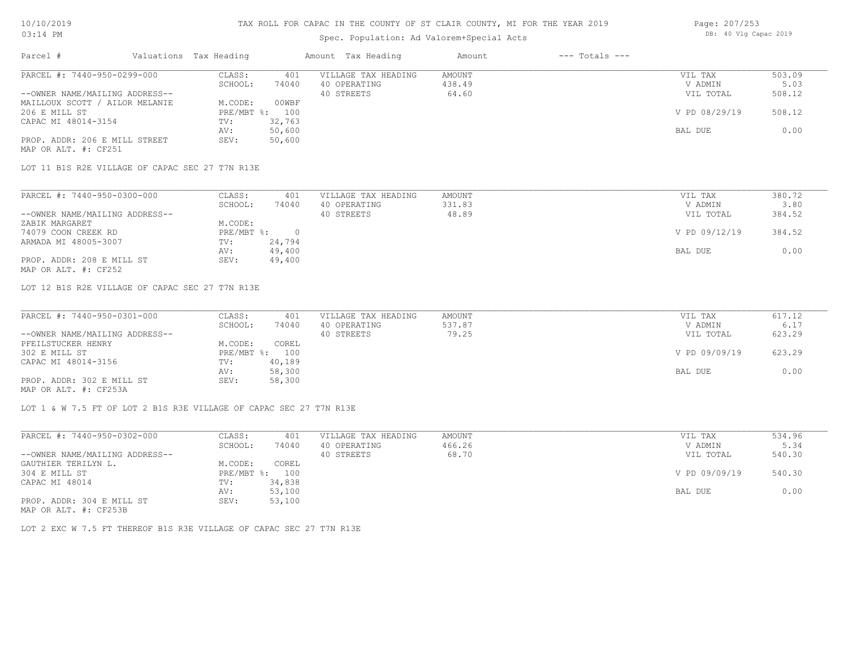# Spec. Population: Ad Valorem+Special Acts

| Page: 207/253 |  |                       |  |
|---------------|--|-----------------------|--|
|               |  | DB: 40 Vlg Capac 2019 |  |

| Parcel #                       | Valuations Tax Heading |        | Amount Tax Heading  | Amount | $---$ Totals $---$ |               |        |
|--------------------------------|------------------------|--------|---------------------|--------|--------------------|---------------|--------|
| PARCEL #: 7440-950-0299-000    | CLASS:                 | 401    | VILLAGE TAX HEADING | AMOUNT |                    | VIL TAX       | 503.09 |
|                                | SCHOOL:                | 74040  | 40 OPERATING        | 438.49 |                    | V ADMIN       | 5.03   |
| --OWNER NAME/MAILING ADDRESS-- |                        |        | 40 STREETS          | 64.60  |                    | VIL TOTAL     | 508.12 |
| MAILLOUX SCOTT / AILOR MELANIE | M.CODE:                | 00WBF  |                     |        |                    |               |        |
| 206 E MILL ST                  | PRE/MBT %:             | 100    |                     |        |                    | V PD 08/29/19 | 508.12 |
| CAPAC MI 48014-3154            | TV:                    | 32,763 |                     |        |                    |               |        |
|                                | AV:                    | 50,600 |                     |        |                    | BAL DUE       | 0.00   |
| PROP. ADDR: 206 E MILL STREET  | SEV:                   | 50,600 |                     |        |                    |               |        |
| MAP OR ALT. #: CF251           |                        |        |                     |        |                    |               |        |

LOT 11 B1S R2E VILLAGE OF CAPAC SEC 27 T7N R13E

| PARCEL #: 7440-950-0300-000    | CLASS:     | 401    | VILLAGE TAX HEADING | AMOUNT | VIL TAX       | 380.72 |
|--------------------------------|------------|--------|---------------------|--------|---------------|--------|
|                                | SCHOOL:    | 74040  | 40 OPERATING        | 331.83 | V ADMIN       | 3.80   |
| --OWNER NAME/MAILING ADDRESS-- |            |        | 40 STREETS          | 48.89  | VIL TOTAL     | 384.52 |
| ZABIK MARGARET                 | M.CODE:    |        |                     |        |               |        |
| 74079 COON CREEK RD            | PRE/MBT %: |        |                     |        | V PD 09/12/19 | 384.52 |
| ARMADA MI 48005-3007           | TV:        | 24,794 |                     |        |               |        |
|                                | AV:        | 49,400 |                     |        | BAL DUE       | 0.00   |
| PROP. ADDR: 208 E MILL ST      | SEV:       | 49,400 |                     |        |               |        |
| MAP OR ALT. #: CF252           |            |        |                     |        |               |        |

LOT 12 B1S R2E VILLAGE OF CAPAC SEC 27 T7N R13E

| PARCEL #: 7440-950-0301-000    | CLASS:  | 401            | VILLAGE TAX HEADING | AMOUNT | VIL TAX       | 617.12 |
|--------------------------------|---------|----------------|---------------------|--------|---------------|--------|
|                                | SCHOOL: | 74040          | 40 OPERATING        | 537.87 | V ADMIN       | 6.17   |
| --OWNER NAME/MAILING ADDRESS-- |         |                | 40 STREETS          | 79.25  | VIL TOTAL     | 623.29 |
| PFEILSTUCKER HENRY             | M.CODE: | COREL          |                     |        |               |        |
| 302 E MILL ST                  |         | PRE/MBT %: 100 |                     |        | V PD 09/09/19 | 623.29 |
| CAPAC MI 48014-3156            | TV:     | 40,189         |                     |        |               |        |
|                                | AV:     | 58,300         |                     |        | BAL DUE       | 0.00   |
| PROP. ADDR: 302 E MILL ST      | SEV:    | 58,300         |                     |        |               |        |
| MAP OR ALT. #: CF253A          |         |                |                     |        |               |        |

LOT 1 & W 7.5 FT OF LOT 2 B1S R3E VILLAGE OF CAPAC SEC 27 T7N R13E

| PARCEL #: 7440-950-0302-000                           | CLASS:  | 401            | VILLAGE TAX HEADING | AMOUNT | VIL TAX       | 534.96 |
|-------------------------------------------------------|---------|----------------|---------------------|--------|---------------|--------|
|                                                       | SCHOOL: | 74040          | 40 OPERATING        | 466.26 | V ADMIN       | 5.34   |
| --OWNER NAME/MAILING ADDRESS--                        |         |                | 40 STREETS          | 68.70  | VIL TOTAL     | 540.30 |
| GAUTHIER TERILYN L.                                   | M.CODE: | COREL          |                     |        |               |        |
| 304 E MILL ST                                         |         | PRE/MBT %: 100 |                     |        | V PD 09/09/19 | 540.30 |
| CAPAC MI 48014                                        | TV:     | 34,838         |                     |        |               |        |
|                                                       | AV:     | 53,100         |                     |        | BAL DUE       | 0.00   |
| PROP. ADDR: 304 E MILL ST                             | SEV:    | 53,100         |                     |        |               |        |
| $\cdots$ $\cdots$ $\cdots$ $\cdots$ $\cdots$ $\cdots$ |         |                |                     |        |               |        |

MAP OR ALT. #: CF253B

LOT 2 EXC W 7.5 FT THEREOF B1S R3E VILLAGE OF CAPAC SEC 27 T7N R13E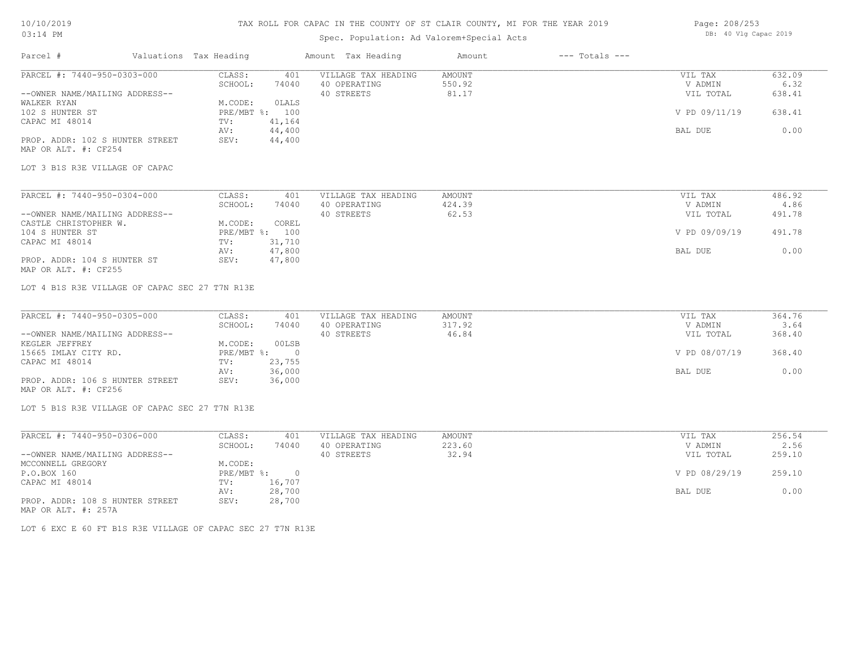# 10/10/2019 03:14 PM

### TAX ROLL FOR CAPAC IN THE COUNTY OF ST CLAIR COUNTY, MI FOR THE YEAR 2019

# Spec. Population: Ad Valorem+Special Acts

| Page: 208/253 |  |                       |  |
|---------------|--|-----------------------|--|
|               |  | DB: 40 Vlg Capac 2019 |  |

| Parcel #                                                                      | Valuations Tax Heading |                | Amount Tax Heading  | Amount           | $---$ Totals $---$ |               |        |
|-------------------------------------------------------------------------------|------------------------|----------------|---------------------|------------------|--------------------|---------------|--------|
| PARCEL #: 7440-950-0303-000                                                   | CLASS:                 | 401            | VILLAGE TAX HEADING | AMOUNT           |                    | VIL TAX       | 632.09 |
|                                                                               | SCHOOL:                | 74040          | 40 OPERATING        | 550.92           |                    | V ADMIN       | 6.32   |
| --OWNER NAME/MAILING ADDRESS--                                                |                        |                | 40 STREETS          | 81.17            |                    | VIL TOTAL     | 638.41 |
| WALKER RYAN                                                                   | M.CODE:                | OLALS          |                     |                  |                    |               |        |
| 102 S HUNTER ST                                                               |                        | PRE/MBT %: 100 |                     |                  |                    | V PD 09/11/19 | 638.41 |
| CAPAC MI 48014                                                                | TV:                    | 41,164         |                     |                  |                    |               |        |
|                                                                               | AV:                    | 44,400         |                     |                  |                    | BAL DUE       | 0.00   |
| PROP. ADDR: 102 S HUNTER STREET                                               | SEV:                   | 44,400         |                     |                  |                    |               |        |
| MAP OR ALT. #: CF254                                                          |                        |                |                     |                  |                    |               |        |
| LOT 3 B1S R3E VILLAGE OF CAPAC                                                |                        |                |                     |                  |                    |               |        |
|                                                                               | CLASS:                 |                |                     |                  |                    | VIL TAX       | 486.92 |
| PARCEL #: 7440-950-0304-000                                                   |                        | 401            | VILLAGE TAX HEADING | AMOUNT<br>424.39 |                    |               | 4.86   |
|                                                                               | SCHOOL:                | 74040          | 40 OPERATING        |                  |                    | V ADMIN       |        |
| --OWNER NAME/MAILING ADDRESS--                                                |                        |                | 40 STREETS          | 62.53            |                    | VIL TOTAL     | 491.78 |
| CASTLE CHRISTOPHER W.                                                         | M.CODE:                | COREL          |                     |                  |                    |               |        |
| 104 S HUNTER ST                                                               |                        | PRE/MBT %: 100 |                     |                  |                    | V PD 09/09/19 | 491.78 |
| CAPAC MI 48014                                                                | TV:                    | 31,710         |                     |                  |                    |               |        |
|                                                                               | AV:                    | 47,800         |                     |                  |                    | BAL DUE       | 0.00   |
| PROP. ADDR: 104 S HUNTER ST                                                   | SEV:                   | 47,800         |                     |                  |                    |               |        |
| MAP OR ALT. #: CF255                                                          |                        |                |                     |                  |                    |               |        |
| LOT 4 B1S R3E VILLAGE OF CAPAC SEC 27 T7N R13E<br>PARCEL #: 7440-950-0305-000 | CLASS:                 | 401            | VILLAGE TAX HEADING | AMOUNT           |                    | VIL TAX       | 364.76 |
|                                                                               | SCHOOL:                | 74040          | 40 OPERATING        | 317.92           |                    | V ADMIN       | 3.64   |
| --OWNER NAME/MAILING ADDRESS--                                                |                        |                | 40 STREETS          | 46.84            |                    | VIL TOTAL     | 368.40 |
| KEGLER JEFFREY                                                                | M.CODE:                | 00LSB          |                     |                  |                    |               |        |
| 15665 IMLAY CITY RD.                                                          | $PRE/MBT$ $\div$       | $\overline{0}$ |                     |                  |                    | V PD 08/07/19 | 368.40 |
| CAPAC MI 48014                                                                | TV:                    | 23,755         |                     |                  |                    |               |        |
|                                                                               | AV:                    | 36,000         |                     |                  |                    | BAL DUE       | 0.00   |
| PROP. ADDR: 106 S HUNTER STREET                                               | SEV:                   | 36,000         |                     |                  |                    |               |        |
| MAP OR ALT. #: CF256                                                          |                        |                |                     |                  |                    |               |        |
| LOT 5 B1S R3E VILLAGE OF CAPAC SEC 27 T7N R13E                                |                        |                |                     |                  |                    |               |        |
|                                                                               |                        |                |                     |                  |                    |               |        |
| PARCEL #: 7440-950-0306-000                                                   | CLASS:                 | 401            | VILLAGE TAX HEADING | AMOUNT           |                    | VIL TAX       | 256.54 |
|                                                                               | SCHOOL:                | 74040          | 40 OPERATING        | 223.60           |                    | V ADMIN       | 2.56   |
| --OWNER NAME/MAILING ADDRESS--                                                |                        |                | 40 STREETS          | 32.94            |                    | VIL TOTAL     | 259.10 |
| MCCONNELL GREGORY                                                             | M.CODE:                |                |                     |                  |                    |               |        |
| P.O.BOX 160                                                                   | PRE/MBT %:             | $\overline{0}$ |                     |                  |                    | V PD 08/29/19 | 259.10 |
| CAPAC MI 48014                                                                | TV:                    | 16,707         |                     |                  |                    |               |        |
|                                                                               | AV:                    | 28,700         |                     |                  |                    | BAL DUE       | 0.00   |
| PROP. ADDR: 108 S HUNTER STREET                                               | SEV:                   | 28,700         |                     |                  |                    |               |        |

MAP OR ALT. #: 257A

LOT 6 EXC E 60 FT B1S R3E VILLAGE OF CAPAC SEC 27 T7N R13E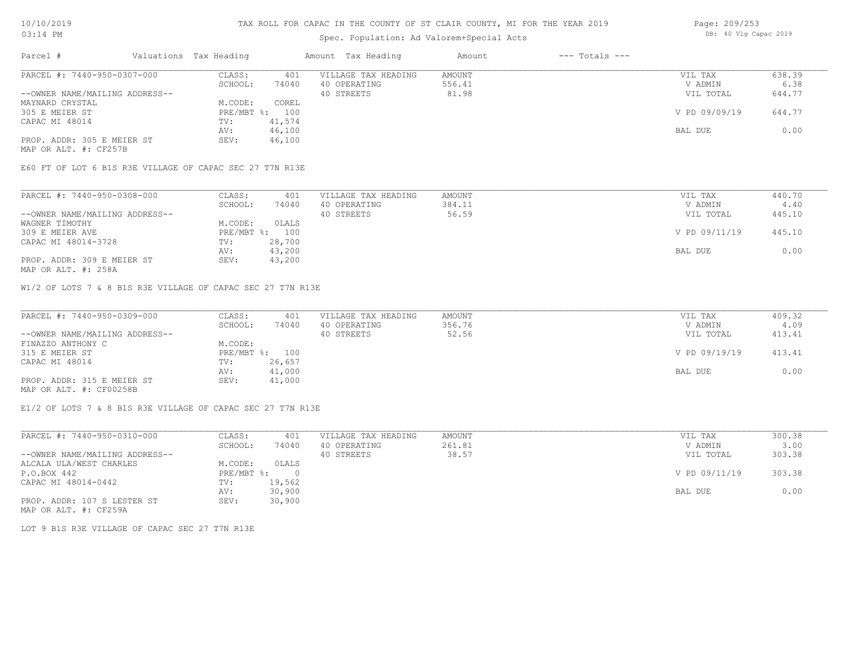# Spec. Population: Ad Valorem+Special Acts

| Parcel #                       | Valuations Tax Heading |                | Amount Tax Heading  | Amount | $---$ Totals $---$ |               |        |
|--------------------------------|------------------------|----------------|---------------------|--------|--------------------|---------------|--------|
| PARCEL #: 7440-950-0307-000    | CLASS:                 | 401            | VILLAGE TAX HEADING | AMOUNT |                    | VIL TAX       | 638.39 |
|                                | SCHOOL:                | 74040          | 40 OPERATING        | 556.41 |                    | V ADMIN       | 6.38   |
| --OWNER NAME/MAILING ADDRESS-- |                        |                | 40 STREETS          | 81.98  |                    | VIL TOTAL     | 644.77 |
| MAYNARD CRYSTAL                | M.CODE:                | COREL          |                     |        |                    |               |        |
| 305 E MEIER ST                 |                        | PRE/MBT %: 100 |                     |        |                    | V PD 09/09/19 | 644.77 |
| CAPAC MI 48014                 | TV:                    | 41,574         |                     |        |                    |               |        |
|                                | AV:                    | 46,100         |                     |        |                    | BAL DUE       | 0.00   |
| PROP. ADDR: 305 E MEIER ST     | SEV:                   | 46,100         |                     |        |                    |               |        |
|                                |                        |                |                     |        |                    |               |        |

MAP OR ALT. #: CF257B

E60 FT OF LOT 6 B1S R3E VILLAGE OF CAPAC SEC 27 T7N R13E

| PARCEL #: 7440-950-0308-000    | CLASS:         | 401    | VILLAGE TAX HEADING | AMOUNT | VIL TAX       | 440.70 |
|--------------------------------|----------------|--------|---------------------|--------|---------------|--------|
|                                | SCHOOL:        | 74040  | 40 OPERATING        | 384.11 | V ADMIN       | 4.40   |
| --OWNER NAME/MAILING ADDRESS-- |                |        | 40 STREETS          | 56.59  | VIL TOTAL     | 445.10 |
| WAGNER TIMOTHY                 | M.CODE:        | OLALS  |                     |        |               |        |
| 309 E MEIER AVE                | PRE/MBT %: 100 |        |                     |        | V PD 09/11/19 | 445.10 |
| CAPAC MI 48014-3728            | TV:            | 28,700 |                     |        |               |        |
|                                | AV:            | 43,200 |                     |        | BAL DUE       | 0.00   |
| PROP. ADDR: 309 E MEIER ST     | SEV:           | 43,200 |                     |        |               |        |

MAP OR ALT. #: 258A

W1/2 OF LOTS 7 & 8 B1S R3E VILLAGE OF CAPAC SEC 27 T7N R13E

| PARCEL #: 7440-950-0309-000    | CLASS:  | 401            | VILLAGE TAX HEADING | AMOUNT | VIL TAX       | 409.32 |
|--------------------------------|---------|----------------|---------------------|--------|---------------|--------|
|                                | SCHOOL: | 74040          | 40 OPERATING        | 356.76 | V ADMIN       | 4.09   |
| --OWNER NAME/MAILING ADDRESS-- |         |                | 40 STREETS          | 52.56  | VIL TOTAL     | 413.41 |
| FINAZZO ANTHONY C              | M.CODE: |                |                     |        |               |        |
| 315 E MEIER ST                 |         | PRE/MBT %: 100 |                     |        | V PD 09/19/19 | 413.41 |
| CAPAC MI 48014                 | TV:     | 26,657         |                     |        |               |        |
|                                | AV:     | 41,000         |                     |        | BAL DUE       | 0.00   |
| PROP. ADDR: 315 E MEIER ST     | SEV:    | 41,000         |                     |        |               |        |
| MAP OR ALT. #: CF00258B        |         |                |                     |        |               |        |

E1/2 OF LOTS 7 & 8 B1S R3E VILLAGE OF CAPAC SEC 27 T7N R13E

| PARCEL #: 7440-950-0310-000    | CLASS:     | 401    | VILLAGE TAX HEADING | AMOUNT | VIL TAX       | 300.38 |
|--------------------------------|------------|--------|---------------------|--------|---------------|--------|
|                                | SCHOOL:    | 74040  | 40 OPERATING        | 261.81 | V ADMIN       | 3.00   |
| --OWNER NAME/MAILING ADDRESS-- |            |        | 40 STREETS          | 38.57  | VIL TOTAL     | 303.38 |
| ALCALA ULA/WEST CHARLES        | M.CODE:    | OLALS  |                     |        |               |        |
| P.O.BOX 442                    | PRE/MBT %: |        |                     |        | V PD 09/11/19 | 303.38 |
| CAPAC MI 48014-0442            | TV:        | 19,562 |                     |        |               |        |
|                                | AV:        | 30,900 |                     |        | BAL DUE       | 0.00   |
| PROP. ADDR: 107 S LESTER ST    | SEV:       | 30,900 |                     |        |               |        |

MAP OR ALT. #: CF259A

LOT 9 B1S R3E VILLAGE OF CAPAC SEC 27 T7N R13E

Page: 209/253 DB: 40 Vlg Capac 2019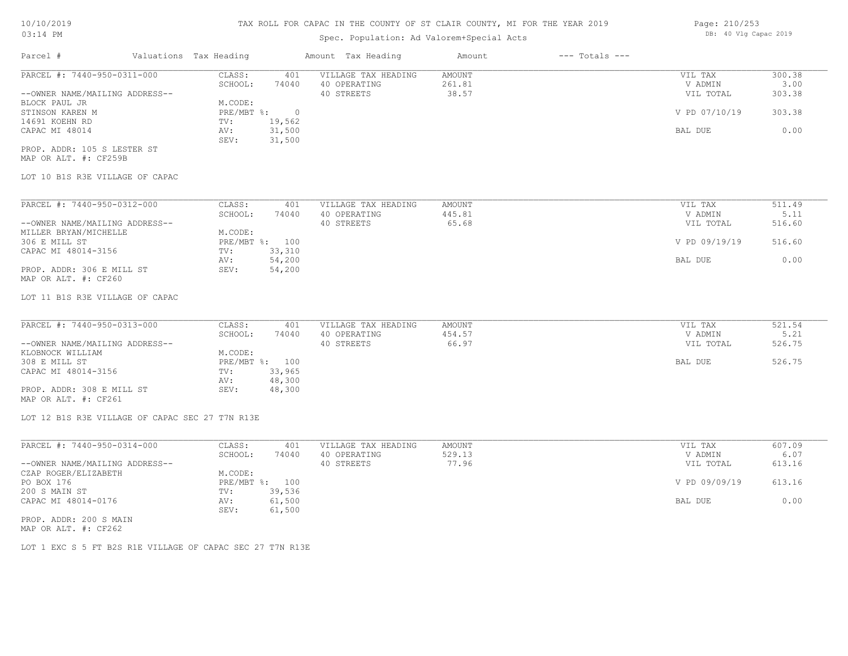# Spec. Population: Ad Valorem+Special Acts

| Parcel #                       | Valuations Tax Heading |        | Amount Tax Heading  | Amount | $---$ Totals $---$ |               |        |
|--------------------------------|------------------------|--------|---------------------|--------|--------------------|---------------|--------|
| PARCEL #: 7440-950-0311-000    | CLASS:                 | 401    | VILLAGE TAX HEADING | AMOUNT |                    | VIL TAX       | 300.38 |
|                                | SCHOOL:                | 74040  | 40 OPERATING        | 261.81 |                    | V ADMIN       | 3.00   |
| --OWNER NAME/MAILING ADDRESS-- |                        |        | 40 STREETS          | 38.57  |                    | VIL TOTAL     | 303.38 |
| BLOCK PAUL JR                  | M.CODE:                |        |                     |        |                    |               |        |
| STINSON KAREN M                | PRE/MBT %:             |        |                     |        |                    | V PD 07/10/19 | 303.38 |
| 14691 KOEHN RD                 | TV:                    | 19,562 |                     |        |                    |               |        |
| CAPAC MI 48014                 | AV:                    | 31,500 |                     |        |                    | BAL DUE       | 0.00   |
|                                | SEV:                   | 31,500 |                     |        |                    |               |        |
|                                |                        |        |                     |        |                    |               |        |

MAP OR ALT. #: CF259B PROP. ADDR: 105 S LESTER ST

# LOT 10 B1S R3E VILLAGE OF CAPAC

| PARCEL #: 7440-950-0312-000    | CLASS:       | 401    | VILLAGE TAX HEADING | AMOUNT | VIL TAX       | 511.49 |
|--------------------------------|--------------|--------|---------------------|--------|---------------|--------|
|                                | SCHOOL:      | 74040  | 40 OPERATING        | 445.81 | V ADMIN       | 5.11   |
| --OWNER NAME/MAILING ADDRESS-- |              |        | 40 STREETS          | 65.68  | VIL TOTAL     | 516.60 |
| MILLER BRYAN/MICHELLE          | M.CODE:      |        |                     |        |               |        |
| 306 E MILL ST                  | $PRE/MBT$ %: | 100    |                     |        | V PD 09/19/19 | 516.60 |
| CAPAC MI 48014-3156            | TV:          | 33,310 |                     |        |               |        |
|                                | AV:          | 54,200 |                     |        | BAL DUE       | 0.00   |
| PROP. ADDR: 306 E MILL ST      | SEV:         | 54,200 |                     |        |               |        |
| MAP OR ALT. #: CF260           |              |        |                     |        |               |        |

LOT 11 B1S R3E VILLAGE OF CAPAC

| PARCEL #: 7440-950-0313-000    | CLASS:  | 401            | VILLAGE TAX HEADING | AMOUNT | VIL TAX   | 521.54 |
|--------------------------------|---------|----------------|---------------------|--------|-----------|--------|
|                                | SCHOOL: | 74040          | 40 OPERATING        | 454.57 | V ADMIN   | 5.21   |
| --OWNER NAME/MAILING ADDRESS-- |         |                | 40 STREETS          | 66.97  | VIL TOTAL | 526.75 |
| KLOBNOCK WILLIAM               | M.CODE: |                |                     |        |           |        |
| 308 E MILL ST                  |         | PRE/MBT %: 100 |                     |        | BAL DUE   | 526.75 |
| CAPAC MI 48014-3156            | TV:     | 33,965         |                     |        |           |        |
|                                | AV:     | 48,300         |                     |        |           |        |
| PROP. ADDR: 308 E MILL ST      | SEV:    | 48,300         |                     |        |           |        |
| MAP OR ALT. #: CF261           |         |                |                     |        |           |        |

LOT 12 B1S R3E VILLAGE OF CAPAC SEC 27 T7N R13E

| PARCEL #: 7440-950-0314-000    | CLASS:  | 401            | VILLAGE TAX HEADING | AMOUNT | VIL TAX       | 607.09 |
|--------------------------------|---------|----------------|---------------------|--------|---------------|--------|
|                                | SCHOOL: | 74040          | 40 OPERATING        | 529.13 | V ADMIN       | 6.07   |
| --OWNER NAME/MAILING ADDRESS-- |         |                | 40 STREETS          | 77.96  | VIL TOTAL     | 613.16 |
| CZAP ROGER/ELIZABETH           | M.CODE: |                |                     |        |               |        |
| PO BOX 176                     |         | PRE/MBT %: 100 |                     |        | V PD 09/09/19 | 613.16 |
| 200 S MAIN ST                  | TV:     | 39,536         |                     |        |               |        |
| CAPAC MI 48014-0176            | AV:     | 61,500         |                     |        | BAL DUE       | 0.00   |
|                                | SEV:    | 61,500         |                     |        |               |        |
| PROP. ADDR: 200 S MAIN         |         |                |                     |        |               |        |

MAP OR ALT. #: CF262

LOT 1 EXC S 5 FT B2S R1E VILLAGE OF CAPAC SEC 27 T7N R13E

Page: 210/253 DB: 40 Vlg Capac 2019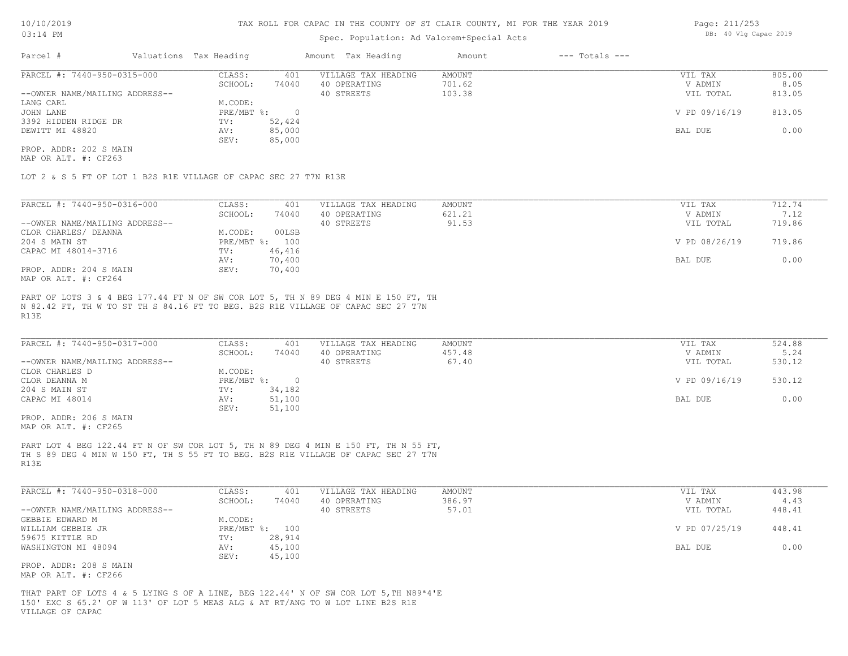# Spec. Population: Ad Valorem+Special Acts

| Page: 211/253 |  |                       |  |
|---------------|--|-----------------------|--|
|               |  | DB: 40 Vlg Capac 2019 |  |

| Parcel #                       | Valuations Tax Heading |        | Amount Tax Heading  | Amount | $---$ Totals $---$ |               |        |
|--------------------------------|------------------------|--------|---------------------|--------|--------------------|---------------|--------|
| PARCEL #: 7440-950-0315-000    | CLASS:                 | 401    | VILLAGE TAX HEADING | AMOUNT |                    | VIL TAX       | 805.00 |
|                                | SCHOOL:                | 74040  | 40 OPERATING        | 701.62 |                    | V ADMIN       | 8.05   |
| --OWNER NAME/MAILING ADDRESS-- |                        |        | 40 STREETS          | 103.38 |                    | VIL TOTAL     | 813.05 |
| LANG CARL                      | M.CODE:                |        |                     |        |                    |               |        |
| JOHN LANE                      | PRE/MBT %:             |        |                     |        |                    | V PD 09/16/19 | 813.05 |
| 3392 HIDDEN RIDGE DR           | TV:                    | 52,424 |                     |        |                    |               |        |
| DEWITT MI 48820                | AV:                    | 85,000 |                     |        |                    | BAL DUE       | 0.00   |
|                                | SEV:                   | 85,000 |                     |        |                    |               |        |
| PROP. ADDR: 202 S MAIN         |                        |        |                     |        |                    |               |        |

MAP OR ALT. #: CF263

LOT 2 & S 5 FT OF LOT 1 B2S R1E VILLAGE OF CAPAC SEC 27 T7N R13E

| PARCEL #: 7440-950-0316-000                              | CLASS:     | 401    | VILLAGE TAX HEADING | AMOUNT | VIL TAX       | 712.74 |
|----------------------------------------------------------|------------|--------|---------------------|--------|---------------|--------|
|                                                          | SCHOOL:    | 74040  | 40 OPERATING        | 621.21 | V ADMIN       | 7.12   |
| --OWNER NAME/MAILING ADDRESS--                           |            |        | 40 STREETS          | 91.53  | VIL TOTAL     | 719.86 |
| CLOR CHARLES/ DEANNA                                     | M.CODE:    | 00LSB  |                     |        |               |        |
| 204 S MAIN ST                                            | PRE/MBT %: | 100    |                     |        | V PD 08/26/19 | 719.86 |
| CAPAC MI 48014-3716                                      | TV:        | 46,416 |                     |        |               |        |
|                                                          | AV:        | 70,400 |                     |        | BAL DUE       | 0.00   |
| PROP. ADDR: 204 S MAIN                                   | SEV:       | 70,400 |                     |        |               |        |
| $M \land D$ $\land T$ $m$ $\#$ , $\land T \land \land A$ |            |        |                     |        |               |        |

MAP OR ALT. #: CF264

R13E N 82.42 FT, TH W TO ST TH S 84.16 FT TO BEG. B2S R1E VILLAGE OF CAPAC SEC 27 T7N PART OF LOTS 3 & 4 BEG 177.44 FT N OF SW COR LOT 5, TH N 89 DEG 4 MIN E 150 FT, TH

| PARCEL #: 7440-950-0317-000    | CLASS:     | 401    | VILLAGE TAX HEADING | AMOUNT | VIL TAX       | 524.88 |
|--------------------------------|------------|--------|---------------------|--------|---------------|--------|
|                                | SCHOOL:    | 74040  | 40 OPERATING        | 457.48 | V ADMIN       | 5.24   |
| --OWNER NAME/MAILING ADDRESS-- |            |        | 40 STREETS          | 67.40  | VIL TOTAL     | 530.12 |
| CLOR CHARLES D                 | M.CODE:    |        |                     |        |               |        |
| CLOR DEANNA M                  | PRE/MBT %: |        |                     |        | V PD 09/16/19 | 530.12 |
| 204 S MAIN ST                  | TV:        | 34,182 |                     |        |               |        |
| CAPAC MI 48014                 | AV:        | 51,100 |                     |        | BAL DUE       | 0.00   |
|                                | SEV:       | 51,100 |                     |        |               |        |
| PROP. ADDR: 206 S MAIN         |            |        |                     |        |               |        |

MAP OR ALT. #: CF265

R13E TH S 89 DEG 4 MIN W 150 FT, TH S 55 FT TO BEG. B2S R1E VILLAGE OF CAPAC SEC 27 T7N PART LOT 4 BEG 122.44 FT N OF SW COR LOT 5, TH N 89 DEG 4 MIN E 150 FT, TH N 55 FT,

| PARCEL #: 7440-950-0318-000    | CLASS:     | 401    | VILLAGE TAX HEADING | AMOUNT | VIL TAX       | 443.98 |
|--------------------------------|------------|--------|---------------------|--------|---------------|--------|
|                                | SCHOOL:    | 74040  | 40 OPERATING        | 386.97 | V ADMIN       | 4.43   |
| --OWNER NAME/MAILING ADDRESS-- |            |        | 40 STREETS          | 57.01  | VIL TOTAL     | 448.41 |
| GEBBIE EDWARD M                | M.CODE:    |        |                     |        |               |        |
| WILLIAM GEBBIE JR              | PRE/MBT %: | 100    |                     |        | V PD 07/25/19 | 448.41 |
| 59675 KITTLE RD                | TV:        | 28,914 |                     |        |               |        |
| WASHINGTON MI 48094            | AV:        | 45,100 |                     |        | BAL DUE       | 0.00   |
|                                | SEV:       | 45,100 |                     |        |               |        |
| PROP. ADDR: 208 S MAIN         |            |        |                     |        |               |        |

MAP OR ALT. #: CF266

VILLAGE OF CAPAC 150' EXC S 65.2' OF W 113' OF LOT 5 MEAS ALG & AT RT/ANG TO W LOT LINE B2S R1E THAT PART OF LOTS 4 & 5 LYING S OF A LINE, BEG 122.44' N OF SW COR LOT 5,TH N89ª4'E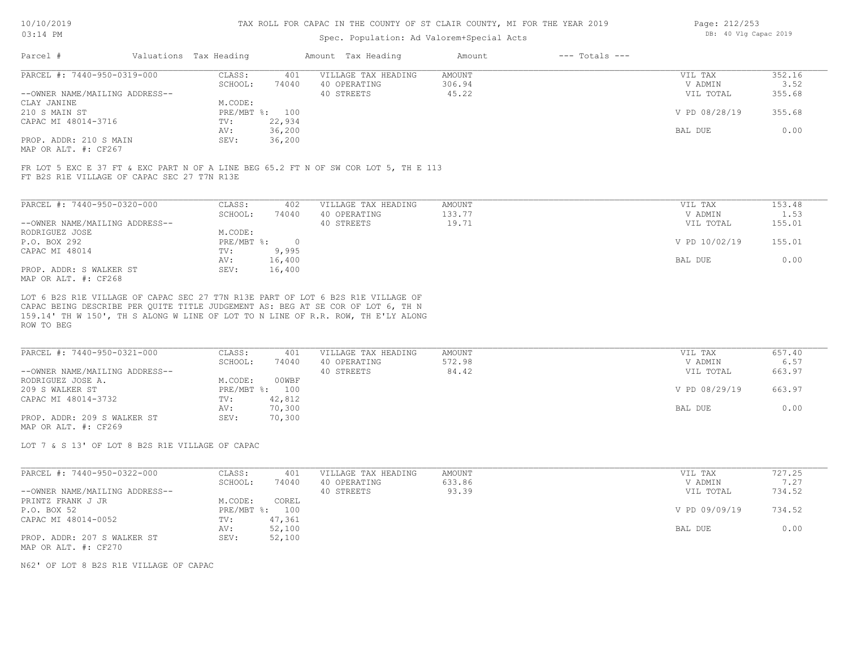### Spec. Popula

| $03:14$ PM |                        | Spec. Population: Ad Valorem+Special Acts |        |                    | DB: 40 Vlg Capac 2019 |
|------------|------------------------|-------------------------------------------|--------|--------------------|-----------------------|
| Parcel #   | Valuations Tax Heading | Amount Tax Heading                        | Amount | $---$ Totals $---$ |                       |

Page: 212/253

| PARCEL #: 7440-950-0319-000    | CLASS:  | 401            | VILLAGE TAX HEADING | AMOUNT | VIL TAX       | 352.16 |
|--------------------------------|---------|----------------|---------------------|--------|---------------|--------|
|                                | SCHOOL: | 74040          | 40 OPERATING        | 306.94 | V ADMIN       | 3.52   |
| --OWNER NAME/MAILING ADDRESS-- |         |                | 40 STREETS          | 45.22  | VIL TOTAL     | 355.68 |
| CLAY JANINE                    | M.CODE: |                |                     |        |               |        |
| 210 S MAIN ST                  |         | PRE/MBT %: 100 |                     |        | V PD 08/28/19 | 355.68 |
| CAPAC MI 48014-3716            | TV:     | 22,934         |                     |        |               |        |
|                                | AV:     | 36,200         |                     |        | BAL DUE       | 0.00   |
| PROP. ADDR: 210 S MAIN         | SEV:    | 36,200         |                     |        |               |        |
|                                |         |                |                     |        |               |        |

MAP OR ALT. #: CF267

FT B2S R1E VILLAGE OF CAPAC SEC 27 T7N R13E FR LOT 5 EXC E 37 FT & EXC PART N OF A LINE BEG 65.2 FT N OF SW COR LOT 5, TH E 113

| PARCEL #: 7440-950-0320-000    | CLASS:     | 402    | VILLAGE TAX HEADING | AMOUNT | VIL TAX       | 153.48 |
|--------------------------------|------------|--------|---------------------|--------|---------------|--------|
|                                | SCHOOL:    | 74040  | 40 OPERATING        | 133.77 | V ADMIN       | 1.53   |
| --OWNER NAME/MAILING ADDRESS-- |            |        | 40 STREETS          | 19.71  | VIL TOTAL     | 155.01 |
| RODRIGUEZ JOSE                 | M.CODE:    |        |                     |        |               |        |
| P.O. BOX 292                   | PRE/MBT %: | $\cap$ |                     |        | V PD 10/02/19 | 155.01 |
| CAPAC MI 48014                 | TV:        | 9,995  |                     |        |               |        |
|                                | AV:        | 16,400 |                     |        | BAL DUE       | 0.00   |
| PROP. ADDR: S WALKER ST        | SEV:       | 16,400 |                     |        |               |        |
| MAP OR ALT. #: CF268           |            |        |                     |        |               |        |

ROW TO BEG 159.14' TH W 150', TH S ALONG W LINE OF LOT TO N LINE OF R.R. ROW, TH E'LY ALONG CAPAC BEING DESCRIBE PER QUITE TITLE JUDGEMENT AS: BEG AT SE COR OF LOT 6, TH N LOT 6 B2S R1E VILLAGE OF CAPAC SEC 27 T7N R13E PART OF LOT 6 B2S R1E VILLAGE OF

| PARCEL #: 7440-950-0321-000    | CLASS:  | 401            | VILLAGE TAX HEADING | AMOUNT | VIL TAX       | 657.40 |
|--------------------------------|---------|----------------|---------------------|--------|---------------|--------|
|                                | SCHOOL: | 74040          | 40 OPERATING        | 572.98 | V ADMIN       | 6.57   |
| --OWNER NAME/MAILING ADDRESS-- |         |                | 40 STREETS          | 84.42  | VIL TOTAL     | 663.97 |
| RODRIGUEZ JOSE A.              | M.CODE: | 00WBF          |                     |        |               |        |
| 209 S WALKER ST                |         | PRE/MBT %: 100 |                     |        | V PD 08/29/19 | 663.97 |
| CAPAC MI 48014-3732            | TV:     | 42,812         |                     |        |               |        |
|                                | AV:     | 70,300         |                     |        | BAL DUE       | 0.00   |
| PROP. ADDR: 209 S WALKER ST    | SEV:    | 70,300         |                     |        |               |        |
| MAP OR ALT. #: CF269           |         |                |                     |        |               |        |

LOT 7 & S 13' OF LOT 8 B2S R1E VILLAGE OF CAPAC

| PARCEL #: 7440-950-0322-000    | CLASS:  | 401            | VILLAGE TAX HEADING | AMOUNT | VIL TAX       | 727.25 |
|--------------------------------|---------|----------------|---------------------|--------|---------------|--------|
|                                | SCHOOL: | 74040          | 40 OPERATING        | 633.86 | V ADMIN       | 7.27   |
| --OWNER NAME/MAILING ADDRESS-- |         |                | 40 STREETS          | 93.39  | VIL TOTAL     | 734.52 |
| PRINTZ FRANK J JR              | M.CODE: | COREL          |                     |        |               |        |
| P.O. BOX 52                    |         | PRE/MBT %: 100 |                     |        | V PD 09/09/19 | 734.52 |
| CAPAC MI 48014-0052            | TV:     | 47,361         |                     |        |               |        |
|                                | AV:     | 52,100         |                     |        | BAL DUE       | 0.00   |
| PROP. ADDR: 207 S WALKER ST    | SEV:    | 52,100         |                     |        |               |        |
| MAP OR ALT. #: CF270           |         |                |                     |        |               |        |

N62' OF LOT 8 B2S R1E VILLAGE OF CAPAC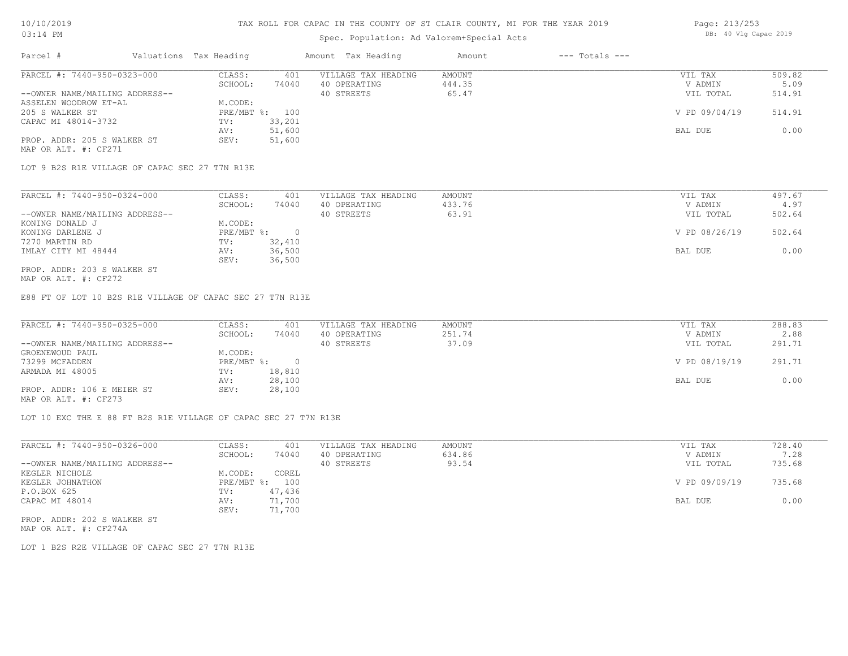# Spec. Population: Ad Valorem+Special Acts

| Page: 213/253 |  |                       |  |
|---------------|--|-----------------------|--|
|               |  | DB: 40 Vlg Capac 2019 |  |

| Parcel #                       | Valuations Tax Heading |        | Amount Tax Heading  | Amount | $---$ Totals $---$ |               |        |
|--------------------------------|------------------------|--------|---------------------|--------|--------------------|---------------|--------|
| PARCEL #: 7440-950-0323-000    | CLASS:                 | 401    | VILLAGE TAX HEADING | AMOUNT |                    | VIL TAX       | 509.82 |
|                                | SCHOOL:                | 74040  | 40 OPERATING        | 444.35 |                    | V ADMIN       | 5.09   |
| --OWNER NAME/MAILING ADDRESS-- |                        |        | 40 STREETS          | 65.47  |                    | VIL TOTAL     | 514.91 |
| ASSELEN WOODROW ET-AL          | M.CODE:                |        |                     |        |                    |               |        |
| 205 S WALKER ST                | PRE/MBT %: 100         |        |                     |        |                    | V PD 09/04/19 | 514.91 |
| CAPAC MI 48014-3732            | TV:                    | 33,201 |                     |        |                    |               |        |
|                                | AV:                    | 51,600 |                     |        |                    | BAL DUE       | 0.00   |
| PROP. ADDR: 205 S WALKER ST    | SEV:                   | 51,600 |                     |        |                    |               |        |
| MAP OR ALT. #: CF271           |                        |        |                     |        |                    |               |        |

LOT 9 B2S R1E VILLAGE OF CAPAC SEC 27 T7N R13E

| PARCEL #: 7440-950-0324-000    | CLASS:     | 401    | VILLAGE TAX HEADING | AMOUNT | VIL TAX       | 497.67 |
|--------------------------------|------------|--------|---------------------|--------|---------------|--------|
|                                | SCHOOL:    | 74040  | 40 OPERATING        | 433.76 | V ADMIN       | 4.97   |
| --OWNER NAME/MAILING ADDRESS-- |            |        | 40 STREETS          | 63.91  | VIL TOTAL     | 502.64 |
| KONING DONALD J                | M.CODE:    |        |                     |        |               |        |
| KONING DARLENE J               | PRE/MBT %: |        |                     |        | V PD 08/26/19 | 502.64 |
| 7270 MARTIN RD                 | TV:        | 32,410 |                     |        |               |        |
| IMLAY CITY MI 48444            | AV:        | 36,500 |                     |        | BAL DUE       | 0.00   |
|                                | SEV:       | 36,500 |                     |        |               |        |
| PROP. ADDR: 203 S WALKER ST    |            |        |                     |        |               |        |

MAP OR ALT. #: CF272

E88 FT OF LOT 10 B2S R1E VILLAGE OF CAPAC SEC 27 T7N R13E

| PARCEL #: 7440-950-0325-000    | CLASS:     | 401    | VILLAGE TAX HEADING | AMOUNT | VIL TAX       | 288.83 |
|--------------------------------|------------|--------|---------------------|--------|---------------|--------|
|                                | SCHOOL:    | 74040  | 40 OPERATING        | 251.74 | V ADMIN       | 2.88   |
| --OWNER NAME/MAILING ADDRESS-- |            |        | 40 STREETS          | 37.09  | VIL TOTAL     | 291.71 |
| GROENEWOUD PAUL                | M.CODE:    |        |                     |        |               |        |
| 73299 MCFADDEN                 | PRE/MBT %: |        |                     |        | V PD 08/19/19 | 291.71 |
| ARMADA MI 48005                | TV:        | 18,810 |                     |        |               |        |
|                                | AV:        | 28,100 |                     |        | BAL DUE       | 0.00   |
| PROP. ADDR: 106 E MEIER ST     | SEV:       | 28,100 |                     |        |               |        |
|                                |            |        |                     |        |               |        |

MAP OR ALT. #: CF273

LOT 10 EXC THE E 88 FT B2S R1E VILLAGE OF CAPAC SEC 27 T7N R13E

| PARCEL #: 7440-950-0326-000    | CLASS:  | 401            | VILLAGE TAX HEADING | AMOUNT | VIL TAX       | 728.40 |
|--------------------------------|---------|----------------|---------------------|--------|---------------|--------|
|                                | SCHOOL: | 74040          | 40 OPERATING        | 634.86 | V ADMIN       | 7.28   |
| --OWNER NAME/MAILING ADDRESS-- |         |                | 40 STREETS          | 93.54  | VIL TOTAL     | 735.68 |
| KEGLER NICHOLE                 | M.CODE: | COREL          |                     |        |               |        |
| KEGLER JOHNATHON               |         | PRE/MBT %: 100 |                     |        | V PD 09/09/19 | 735.68 |
| P.O.BOX 625                    | TV:     | 47,436         |                     |        |               |        |
| CAPAC MI 48014                 | AV:     | 71,700         |                     |        | BAL DUE       | 0.00   |
|                                | SEV:    | 71,700         |                     |        |               |        |
| PROP. ADDR: 202 S WALKER ST    |         |                |                     |        |               |        |

MAP OR ALT. #: CF274A

LOT 1 B2S R2E VILLAGE OF CAPAC SEC 27 T7N R13E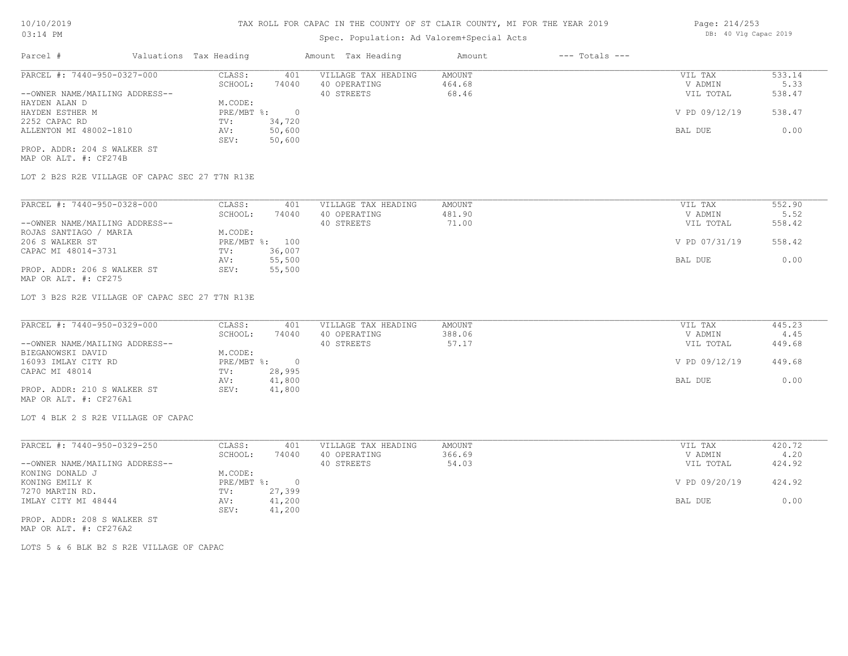# Spec. Population: Ad Valorem+Special Acts

| Parcel #                       | Valuations Tax Heading |        | Amount Tax Heading  | Amount | $---$ Totals $---$ |               |        |
|--------------------------------|------------------------|--------|---------------------|--------|--------------------|---------------|--------|
| PARCEL #: 7440-950-0327-000    | CLASS:                 | 401    | VILLAGE TAX HEADING | AMOUNT |                    | VIL TAX       | 533.14 |
|                                | SCHOOL:                | 74040  | 40 OPERATING        | 464.68 |                    | V ADMIN       | 5.33   |
| --OWNER NAME/MAILING ADDRESS-- |                        |        | 40 STREETS          | 68.46  |                    | VIL TOTAL     | 538.47 |
| HAYDEN ALAN D                  | M.CODE:                |        |                     |        |                    |               |        |
| HAYDEN ESTHER M                | PRE/MBT %:             |        |                     |        |                    | V PD 09/12/19 | 538.47 |
| 2252 CAPAC RD                  | TV:                    | 34,720 |                     |        |                    |               |        |
| ALLENTON MI 48002-1810         | AV:                    | 50,600 |                     |        |                    | BAL DUE       | 0.00   |
|                                | SEV:                   | 50,600 |                     |        |                    |               |        |
| PROP. ADDR: 204 S WALKER ST    |                        |        |                     |        |                    |               |        |

MAP OR ALT. #: CF274B

LOT 2 B2S R2E VILLAGE OF CAPAC SEC 27 T7N R13E

| PARCEL #: 7440-950-0328-000    | CLASS:     | 401    | VILLAGE TAX HEADING | AMOUNT | VIL TAX       | 552.90 |
|--------------------------------|------------|--------|---------------------|--------|---------------|--------|
|                                | SCHOOL:    | 74040  | 40 OPERATING        | 481.90 | V ADMIN       | 5.52   |
| --OWNER NAME/MAILING ADDRESS-- |            |        | 40 STREETS          | 71.00  | VIL TOTAL     | 558.42 |
| ROJAS SANTIAGO / MARIA         | M.CODE:    |        |                     |        |               |        |
| 206 S WALKER ST                | PRE/MBT %: | 100    |                     |        | V PD 07/31/19 | 558.42 |
| CAPAC MI 48014-3731            | TV:        | 36,007 |                     |        |               |        |
|                                | AV:        | 55,500 |                     |        | BAL DUE       | 0.00   |
| PROP. ADDR: 206 S WALKER ST    | SEV:       | 55,500 |                     |        |               |        |
| MAP OR ALT. #: CF275           |            |        |                     |        |               |        |

LOT 3 B2S R2E VILLAGE OF CAPAC SEC 27 T7N R13E

| PARCEL #: 7440-950-0329-000    | CLASS:       | 401    | VILLAGE TAX HEADING | AMOUNT | VIL TAX       | 445.23 |
|--------------------------------|--------------|--------|---------------------|--------|---------------|--------|
|                                | SCHOOL:      | 74040  | 40 OPERATING        | 388.06 | V ADMIN       | 4.45   |
| --OWNER NAME/MAILING ADDRESS-- |              |        | 40 STREETS          | 57.17  | VIL TOTAL     | 449.68 |
| BIEGANOWSKI DAVID              | M.CODE:      |        |                     |        |               |        |
| 16093 IMLAY CITY RD            | $PRE/MBT$ %: |        |                     |        | V PD 09/12/19 | 449.68 |
| CAPAC MI 48014                 | TV:          | 28,995 |                     |        |               |        |
|                                | AV:          | 41,800 |                     |        | BAL DUE       | 0.00   |
| PROP. ADDR: 210 S WALKER ST    | SEV:         | 41,800 |                     |        |               |        |
| MAP OR ALT. #: CF276A1         |              |        |                     |        |               |        |

LOT 4 BLK 2 S R2E VILLAGE OF CAPAC

| PARCEL #: 7440-950-0329-250    | CLASS:       | 401    | VILLAGE TAX HEADING | AMOUNT | VIL TAX       | 420.72 |
|--------------------------------|--------------|--------|---------------------|--------|---------------|--------|
|                                | SCHOOL:      | 74040  | 40 OPERATING        | 366.69 | V ADMIN       | 4.20   |
| --OWNER NAME/MAILING ADDRESS-- |              |        | 40 STREETS          | 54.03  | VIL TOTAL     | 424.92 |
| KONING DONALD J                | M.CODE:      |        |                     |        |               |        |
| KONING EMILY K                 | $PRE/MBT$ %: |        |                     |        | V PD 09/20/19 | 424.92 |
| 7270 MARTIN RD.                | TV:          | 27,399 |                     |        |               |        |
| IMLAY CITY MI 48444            | AV:          | 41,200 |                     |        | BAL DUE       | 0.00   |
|                                | SEV:         | 41,200 |                     |        |               |        |
| PROP. ADDR: 208 S WALKER ST    |              |        |                     |        |               |        |

MAP OR ALT. #: CF276A2

LOTS 5 & 6 BLK B2 S R2E VILLAGE OF CAPAC

Page: 214/253 DB: 40 Vlg Capac 2019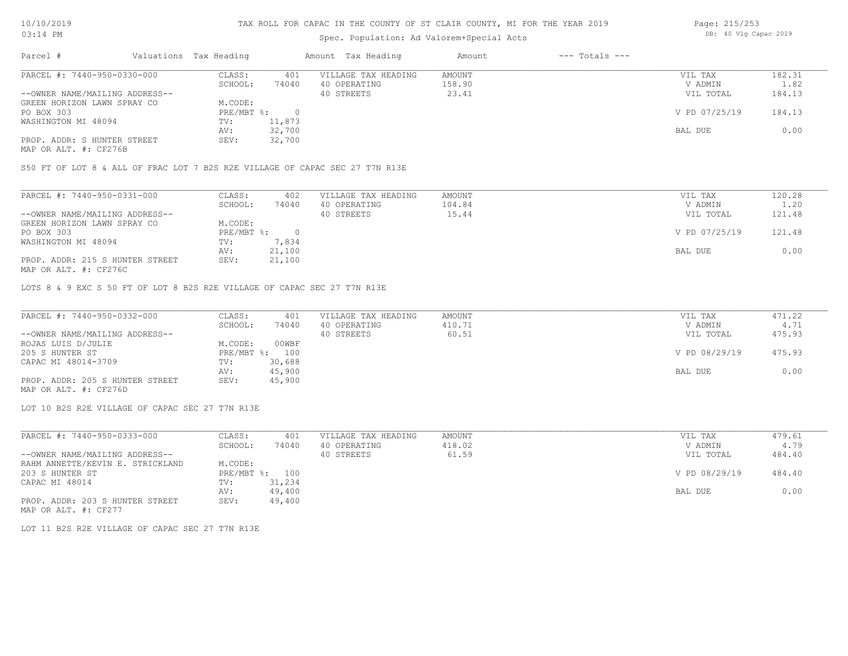# Spec. Population: Ad Valorem+Special Acts

| Page: 215/253 |  |  |                       |  |
|---------------|--|--|-----------------------|--|
|               |  |  | DB: 40 Vlg Capac 2019 |  |

| Parcel #                       | Valuations Tax Heading |        | Amount Tax Heading  | Amount | $---$ Totals $---$ |               |        |
|--------------------------------|------------------------|--------|---------------------|--------|--------------------|---------------|--------|
| PARCEL #: 7440-950-0330-000    | CLASS:                 | 401    | VILLAGE TAX HEADING | AMOUNT |                    | VIL TAX       | 182.31 |
|                                | SCHOOL:                | 74040  | 40 OPERATING        | 158.90 |                    | V ADMIN       | 1.82   |
| --OWNER NAME/MAILING ADDRESS-- |                        |        | 40 STREETS          | 23.41  |                    | VIL TOTAL     | 184.13 |
| GREEN HORIZON LAWN SPRAY CO    | M.CODE:                |        |                     |        |                    |               |        |
| PO BOX 303                     | $PRE/MBT$ %:           |        |                     |        |                    | V PD 07/25/19 | 184.13 |
| WASHINGTON MI 48094            | TV:                    | 11,873 |                     |        |                    |               |        |
|                                | AV:                    | 32,700 |                     |        |                    | BAL DUE       | 0.00   |
| PROP. ADDR: S HUNTER STREET    | SEV:                   | 32,700 |                     |        |                    |               |        |
|                                |                        |        |                     |        |                    |               |        |

MAP OR ALT. #: CF276B

S50 FT OF LOT 8 & ALL OF FRAC LOT 7 B2S R2E VILLAGE OF CAPAC SEC 27 T7N R13E

| PARCEL #: 7440-950-0331-000     | CLASS:     | 402    | VILLAGE TAX HEADING | AMOUNT | VIL TAX       | 120.28 |
|---------------------------------|------------|--------|---------------------|--------|---------------|--------|
|                                 | SCHOOL:    | 74040  | 40 OPERATING        | 104.84 | V ADMIN       | 1.20   |
| --OWNER NAME/MAILING ADDRESS--  |            |        | 40 STREETS          | 15.44  | VIL TOTAL     | 121.48 |
| GREEN HORIZON LAWN SPRAY CO     | M.CODE:    |        |                     |        |               |        |
| PO BOX 303                      | PRE/MBT %: |        |                     |        | V PD 07/25/19 | 121.48 |
| WASHINGTON MI 48094             | TV:        | 7,834  |                     |        |               |        |
|                                 | AV:        | 21,100 |                     |        | BAL DUE       | 0.00   |
| PROP. ADDR: 215 S HUNTER STREET | SEV:       | 21,100 |                     |        |               |        |
| MAP OR ALT. #: CF276C           |            |        |                     |        |               |        |

LOTS 8 & 9 EXC S 50 FT OF LOT 8 B2S R2E VILLAGE OF CAPAC SEC 27 T7N R13E

| PARCEL #: 7440-950-0332-000     | CLASS:  | 401            | VILLAGE TAX HEADING | AMOUNT | VIL TAX       | 471.22 |
|---------------------------------|---------|----------------|---------------------|--------|---------------|--------|
|                                 | SCHOOL: | 74040          | 40 OPERATING        | 410.71 | V ADMIN       | 4.71   |
| --OWNER NAME/MAILING ADDRESS--  |         |                | 40 STREETS          | 60.51  | VIL TOTAL     | 475.93 |
| ROJAS LUIS D/JULIE              | M.CODE: | 00WBF          |                     |        |               |        |
| 205 S HUNTER ST                 |         | PRE/MBT %: 100 |                     |        | V PD 08/29/19 | 475.93 |
| CAPAC MI 48014-3709             | TV:     | 30,688         |                     |        |               |        |
|                                 | AV:     | 45,900         |                     |        | BAL DUE       | 0.00   |
| PROP. ADDR: 205 S HUNTER STREET | SEV:    | 45,900         |                     |        |               |        |
| MAP OR ALT. #: CF276D           |         |                |                     |        |               |        |

LOT 10 B2S R2E VILLAGE OF CAPAC SEC 27 T7N R13E

| PARCEL #: 7440-950-0333-000      | CLASS:     | 401    | VILLAGE TAX HEADING | AMOUNT | VIL TAX       | 479.61 |
|----------------------------------|------------|--------|---------------------|--------|---------------|--------|
|                                  | SCHOOL:    | 74040  | 40 OPERATING        | 418.02 | V ADMIN       | 4.79   |
| --OWNER NAME/MAILING ADDRESS--   |            |        | 40 STREETS          | 61.59  | VIL TOTAL     | 484.40 |
| RAHM ANNETTE/KEVIN E. STRICKLAND | M.CODE:    |        |                     |        |               |        |
| 203 S HUNTER ST                  | PRE/MBT %: | 100    |                     |        | V PD 08/29/19 | 484.40 |
| CAPAC MI 48014                   | TV:        | 31,234 |                     |        |               |        |
|                                  | AV:        | 49,400 |                     |        | BAL DUE       | 0.00   |
| PROP. ADDR: 203 S HUNTER STREET  | SEV:       | 49,400 |                     |        |               |        |

MAP OR ALT. #: CF277

LOT 11 B2S R2E VILLAGE OF CAPAC SEC 27 T7N R13E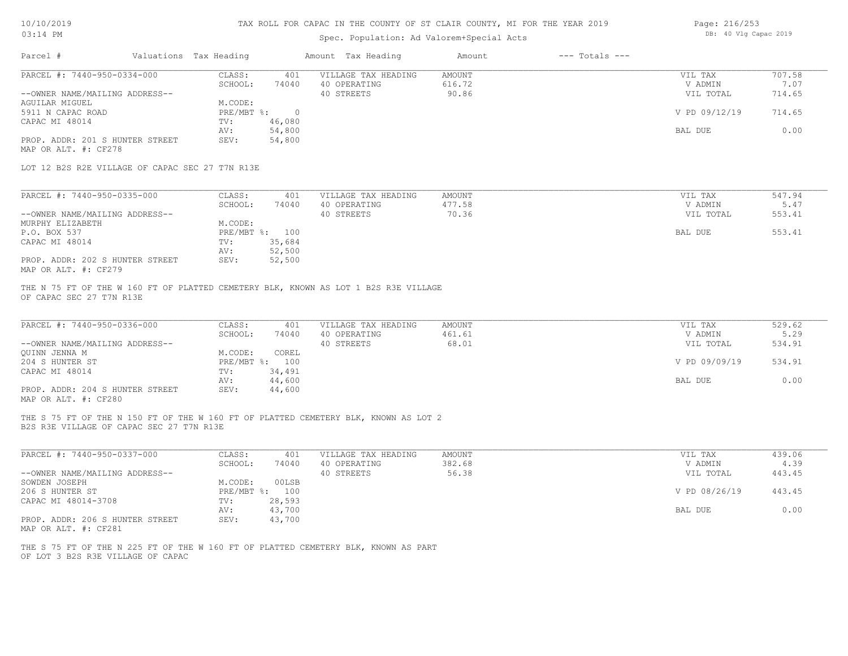# 10/10/2019 03:14 PM

# TAX ROLL FOR CAPAC IN THE COUNTY OF ST CLAIR COUNTY, MI FOR THE YEAR 2019

# Spec. Population: Ad Valorem+Special Acts

|  | Page: 216/253 |                       |  |  |  |  |
|--|---------------|-----------------------|--|--|--|--|
|  |               | DB: 40 Vlg Capac 2019 |  |  |  |  |

| PARCEL #: 7440-950-0334-000<br>CLASS:<br>401<br>VILLAGE TAX HEADING<br>AMOUNT<br>VIL TAX<br>616.72<br>SCHOOL:<br>74040<br>40 OPERATING<br>V ADMIN<br>40 STREETS<br>90.86<br>--OWNER NAME/MAILING ADDRESS--<br>VIL TOTAL<br>AGUILAR MIGUEL<br>M.CODE:<br>5911 N CAPAC ROAD<br>$PRE/MBT$ %:<br>$\overline{0}$<br>V PD 09/12/19<br>CAPAC MI 48014<br>46,080<br>TV:<br>54,800<br>AV:<br>BAL DUE<br>54,800<br>PROP. ADDR: 201 S HUNTER STREET<br>SEV:<br>MAP OR ALT. #: CF278                                                    | 707.58<br>7.07<br>714.65<br>714.65<br>0.00 |
|-----------------------------------------------------------------------------------------------------------------------------------------------------------------------------------------------------------------------------------------------------------------------------------------------------------------------------------------------------------------------------------------------------------------------------------------------------------------------------------------------------------------------------|--------------------------------------------|
|                                                                                                                                                                                                                                                                                                                                                                                                                                                                                                                             |                                            |
| LOT 12 B2S R2E VILLAGE OF CAPAC SEC 27 T7N R13E                                                                                                                                                                                                                                                                                                                                                                                                                                                                             |                                            |
| PARCEL #: 7440-950-0335-000<br>CLASS:<br>VILLAGE TAX HEADING<br>AMOUNT<br>VIL TAX<br>401<br>SCHOOL:<br>40 OPERATING<br>477.58<br>74040<br>V ADMIN<br>40 STREETS<br>70.36<br>--OWNER NAME/MAILING ADDRESS--<br>VIL TOTAL<br>MURPHY ELIZABETH<br>M.CODE:<br>P.O. BOX 537<br>PRE/MBT %: 100<br>BAL DUE<br>CAPAC MI 48014<br>35,684<br>TV:<br>52,500<br>AV:<br>PROP. ADDR: 202 S HUNTER STREET<br>SEV:<br>52,500<br>MAP OR ALT. #: CF279<br>THE N 75 FT OF THE W 160 FT OF PLATTED CEMETERY BLK, KNOWN AS LOT 1 B2S R3E VILLAGE | 547.94<br>5.47<br>553.41<br>553.41         |
| OF CAPAC SEC 27 T7N R13E<br>PARCEL #: 7440-950-0336-000<br>CLASS:<br>VILLAGE TAX HEADING<br>AMOUNT<br>VIL TAX<br>401                                                                                                                                                                                                                                                                                                                                                                                                        | 529.62                                     |
| SCHOOL:<br>74040<br>40 OPERATING<br>461.61<br>V ADMIN                                                                                                                                                                                                                                                                                                                                                                                                                                                                       | 5.29                                       |
| 68.01<br>40 STREETS<br>--OWNER NAME/MAILING ADDRESS--<br>VIL TOTAL<br>OUINN JENNA M<br>M.CODE:<br>COREL                                                                                                                                                                                                                                                                                                                                                                                                                     | 534.91                                     |
| 204 S HUNTER ST<br>PRE/MBT %: 100<br>V PD 09/09/19                                                                                                                                                                                                                                                                                                                                                                                                                                                                          | 534.91                                     |
| CAPAC MI 48014<br>34,491<br>TV:<br>44,600<br>BAL DUE<br>AV:<br>PROP. ADDR: 204 S HUNTER STREET<br>SEV:<br>44,600<br>MAP OR ALT. #: CF280                                                                                                                                                                                                                                                                                                                                                                                    | 0.00                                       |
| THE S 75 FT OF THE N 150 FT OF THE W 160 FT OF PLATTED CEMETERY BLK, KNOWN AS LOT 2<br>B2S R3E VILLAGE OF CAPAC SEC 27 T7N R13E                                                                                                                                                                                                                                                                                                                                                                                             |                                            |
| PARCEL #: 7440-950-0337-000<br>CLASS:<br>401<br>VILLAGE TAX HEADING<br><b>AMOUNT</b><br>VIL TAX                                                                                                                                                                                                                                                                                                                                                                                                                             | 439.06                                     |
|                                                                                                                                                                                                                                                                                                                                                                                                                                                                                                                             | 4.39                                       |
| SCHOOL:<br>40 OPERATING<br>382.68<br>V ADMIN<br>74040                                                                                                                                                                                                                                                                                                                                                                                                                                                                       |                                            |
| --OWNER NAME/MAILING ADDRESS--<br>40 STREETS<br>56.38<br>VIL TOTAL<br>SOWDEN JOSEPH<br>M.CODE:<br>00LSB                                                                                                                                                                                                                                                                                                                                                                                                                     | 443.45                                     |
| PRE/MBT %: 100<br>206 S HUNTER ST<br>V PD 08/26/19<br>CAPAC MI 48014-3708<br>28,593<br>TV:                                                                                                                                                                                                                                                                                                                                                                                                                                  | 443.45                                     |

OF LOT 3 B2S R3E VILLAGE OF CAPAC THE S 75 FT OF THE N 225 FT OF THE W 160 FT OF PLATTED CEMETERY BLK, KNOWN AS PART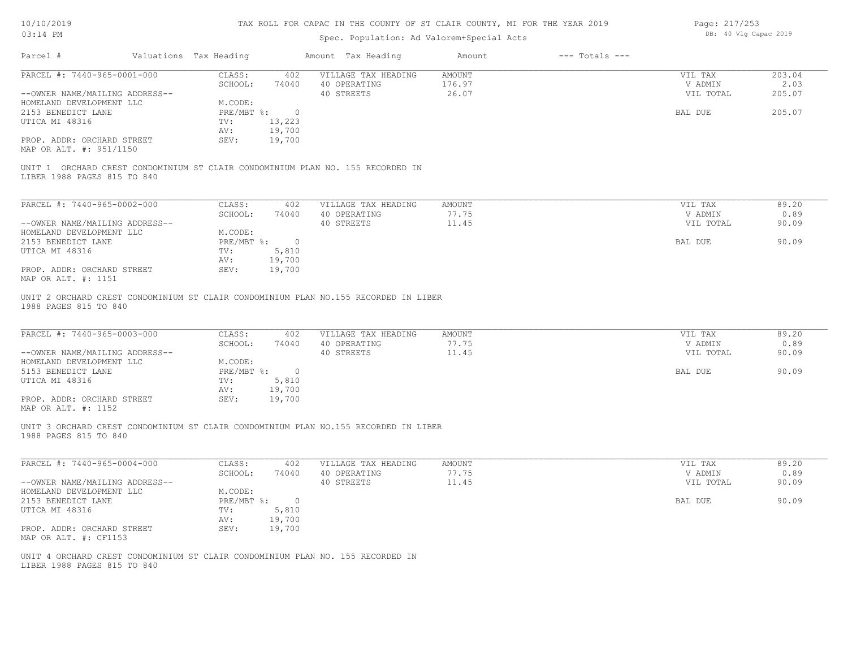| 10/10/2019 |  |
|------------|--|
| 03.14 PM   |  |

| Page: 217/253 |  |                       |  |
|---------------|--|-----------------------|--|
|               |  | DB: 40 Vlg Capac 2019 |  |

| Parcel #                                                                                                        | Valuations Tax Heading                           |                                          | Amount Tax Heading                                                                  | Amount                    | $---$ Totals $---$ |                                            |                                 |
|-----------------------------------------------------------------------------------------------------------------|--------------------------------------------------|------------------------------------------|-------------------------------------------------------------------------------------|---------------------------|--------------------|--------------------------------------------|---------------------------------|
| PARCEL #: 7440-965-0001-000<br>--OWNER NAME/MAILING ADDRESS--                                                   | CLASS:<br>SCHOOL:                                | 402<br>74040                             | VILLAGE TAX HEADING<br>40 OPERATING<br>40 STREETS                                   | AMOUNT<br>176.97<br>26.07 |                    | VIL TAX<br>V ADMIN<br>VIL TOTAL            | 203.04<br>2.03<br>205.07        |
| HOMELAND DEVELOPMENT LLC                                                                                        | M.CODE:                                          |                                          |                                                                                     |                           |                    |                                            |                                 |
| 2153 BENEDICT LANE                                                                                              | $PRE/MBT$ %:                                     | $\overline{0}$                           |                                                                                     |                           |                    | BAL DUE                                    | 205.07                          |
| UTICA MI 48316                                                                                                  | TV:                                              | 13,223                                   |                                                                                     |                           |                    |                                            |                                 |
|                                                                                                                 | AV:                                              | 19,700                                   |                                                                                     |                           |                    |                                            |                                 |
| PROP. ADDR: ORCHARD STREET<br>MAP OR ALT. #: 951/1150                                                           | SEV:                                             | 19,700                                   |                                                                                     |                           |                    |                                            |                                 |
| LIBER 1988 PAGES 815 TO 840                                                                                     |                                                  |                                          | UNIT 1 ORCHARD CREST CONDOMINIUM ST CLAIR CONDOMINIUM PLAN NO. 155 RECORDED IN      |                           |                    |                                            |                                 |
|                                                                                                                 |                                                  |                                          |                                                                                     |                           |                    |                                            |                                 |
| PARCEL #: 7440-965-0002-000                                                                                     | CLASS:                                           | 402                                      | VILLAGE TAX HEADING                                                                 | AMOUNT                    |                    | VIL TAX                                    | 89.20                           |
|                                                                                                                 | SCHOOL:                                          | 74040                                    | 40 OPERATING                                                                        | 77.75                     |                    | V ADMIN                                    | 0.89                            |
| --OWNER NAME/MAILING ADDRESS--                                                                                  |                                                  |                                          | 40 STREETS                                                                          | 11.45                     |                    | VIL TOTAL                                  | 90.09                           |
| HOMELAND DEVELOPMENT LLC                                                                                        | M.CODE:                                          |                                          |                                                                                     |                           |                    |                                            |                                 |
| 2153 BENEDICT LANE                                                                                              | $PRE/MBT$ $\frac{1}{6}$ :                        | $\overline{\phantom{0}}$                 |                                                                                     |                           |                    | BAL DUE                                    | 90.09                           |
| UTICA MI 48316                                                                                                  | TV:                                              | 5,810                                    |                                                                                     |                           |                    |                                            |                                 |
| PROP. ADDR: ORCHARD STREET                                                                                      | AV:<br>SEV:                                      | 19,700<br>19,700                         |                                                                                     |                           |                    |                                            |                                 |
| MAP OR ALT. #: 1151                                                                                             |                                                  |                                          |                                                                                     |                           |                    |                                            |                                 |
| PARCEL #: 7440-965-0003-000<br>--OWNER NAME/MAILING ADDRESS--<br>HOMELAND DEVELOPMENT LLC<br>5153 BENEDICT LANE | CLASS:<br>SCHOOL:<br>M.CODE:<br>$PRE/MBT$ $\div$ | 402<br>74040<br>$\overline{\phantom{0}}$ | VILLAGE TAX HEADING<br>40 OPERATING<br>40 STREETS                                   | AMOUNT<br>77.75<br>11.45  |                    | VIL TAX<br>V ADMIN<br>VIL TOTAL<br>BAL DUE | 89.20<br>0.89<br>90.09<br>90.09 |
| UTICA MI 48316                                                                                                  | TV:                                              | 5,810                                    |                                                                                     |                           |                    |                                            |                                 |
|                                                                                                                 | AV:                                              | 19,700                                   |                                                                                     |                           |                    |                                            |                                 |
| PROP. ADDR: ORCHARD STREET<br>MAP OR ALT. #: 1152                                                               | SEV:                                             | 19,700                                   |                                                                                     |                           |                    |                                            |                                 |
| 1988 PAGES 815 TO 840                                                                                           |                                                  |                                          | UNIT 3 ORCHARD CREST CONDOMINIUM ST CLAIR CONDOMINIUM PLAN NO.155 RECORDED IN LIBER |                           |                    |                                            |                                 |
| PARCEL #: 7440-965-0004-000                                                                                     | CLASS:<br>SCHOOL:                                | 402<br>74040                             | VILLAGE TAX HEADING<br>40 OPERATING                                                 | AMOUNT<br>77.75           |                    | VIL TAX<br>V ADMIN                         | 89.20<br>0.89                   |
| --OWNER NAME/MAILING ADDRESS--                                                                                  |                                                  |                                          | 40 STREETS                                                                          | 11.45                     |                    | VIL TOTAL                                  | 90.09                           |
| HOMELAND DEVELOPMENT LLC                                                                                        | M.CODE:                                          |                                          |                                                                                     |                           |                    |                                            |                                 |
| 2153 BENEDICT LANE                                                                                              |                                                  | $PRE/MBT$ $\frac{1}{6}$ : 0              |                                                                                     |                           |                    | BAL DUE                                    | 90.09                           |
| UTICA MI 48316                                                                                                  | TV:                                              | 5,810                                    |                                                                                     |                           |                    |                                            |                                 |
|                                                                                                                 | AV:                                              | 19,700                                   |                                                                                     |                           |                    |                                            |                                 |
| PROP. ADDR: ORCHARD STREET<br>MAP OR ALT. #: CF1153                                                             | SEV:                                             | 19,700                                   |                                                                                     |                           |                    |                                            |                                 |
| LIBER 1988 PAGES 815 TO 840                                                                                     |                                                  |                                          | UNIT 4 ORCHARD CREST CONDOMINIUM ST CLAIR CONDOMINIUM PLAN NO. 155 RECORDED IN      |                           |                    |                                            |                                 |
|                                                                                                                 |                                                  |                                          |                                                                                     |                           |                    |                                            |                                 |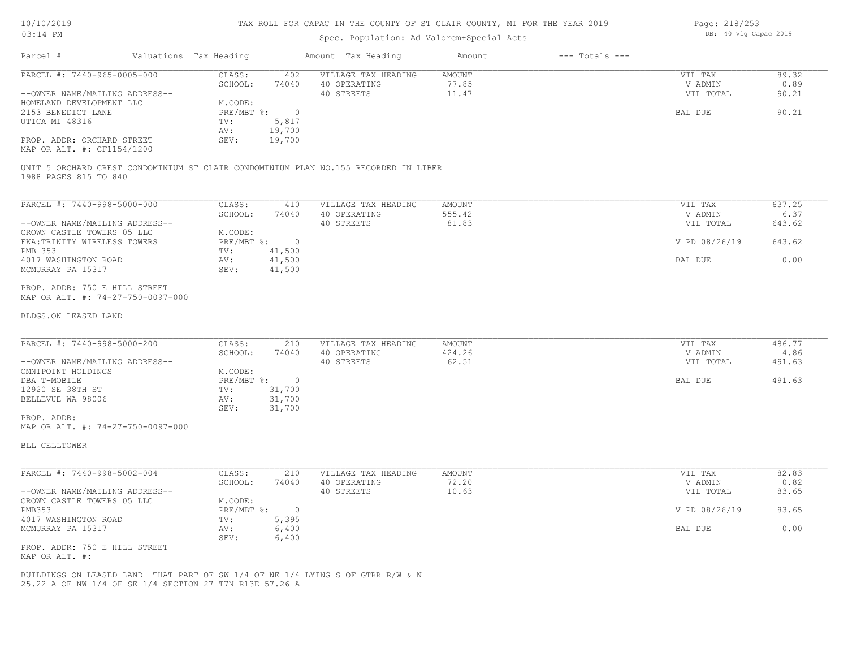#### TAX ROLL FOR CAPAC IN THE COUNTY OF ST CLAIR COUNTY, MI FOR THE YEAR 2019

## Spec. Population: Ad Valorem+Special Acts

| Parcel #                       | Valuations Tax Heading |        | Amount Tax Heading  | Amount | $---$ Totals $---$ |           |       |
|--------------------------------|------------------------|--------|---------------------|--------|--------------------|-----------|-------|
| PARCEL #: 7440-965-0005-000    | CLASS:                 | 402    | VILLAGE TAX HEADING | AMOUNT |                    | VIL TAX   | 89.32 |
|                                | SCHOOL:                | 74040  | 40 OPERATING        | 77.85  |                    | V ADMIN   | 0.89  |
| --OWNER NAME/MAILING ADDRESS-- |                        |        | 40 STREETS          | 11.47  |                    | VIL TOTAL | 90.21 |
| HOMELAND DEVELOPMENT LLC       | M.CODE:                |        |                     |        |                    |           |       |
| 2153 BENEDICT LANE             | PRE/MBT %:             |        |                     |        |                    | BAL DUE   | 90.21 |
| UTICA MI 48316                 | TV:                    | 5,817  |                     |        |                    |           |       |
|                                | AV:                    | 19,700 |                     |        |                    |           |       |
| PROP. ADDR: ORCHARD STREET     | SEV:                   | 19,700 |                     |        |                    |           |       |
| MAP OR ALT. #: CF1154/1200     |                        |        |                     |        |                    |           |       |

1988 PAGES 815 TO 840 UNIT 5 ORCHARD CREST CONDOMINIUM ST CLAIR CONDOMINIUM PLAN NO.155 RECORDED IN LIBER

| PARCEL #: 7440-998-5000-000    | CLASS:     | 410    | VILLAGE TAX HEADING | AMOUNT | VIL TAX       | 637.25 |
|--------------------------------|------------|--------|---------------------|--------|---------------|--------|
|                                | SCHOOL:    | 74040  | 40 OPERATING        | 555.42 | V ADMIN       | 6.37   |
| --OWNER NAME/MAILING ADDRESS-- |            |        | 40 STREETS          | 81.83  | VIL TOTAL     | 643.62 |
| CROWN CASTLE TOWERS 05 LLC     | M.CODE:    |        |                     |        |               |        |
| FKA: TRINITY WIRELESS TOWERS   | PRE/MBT %: | $\cap$ |                     |        | V PD 08/26/19 | 643.62 |
| PMB 353                        | TV:        | 41,500 |                     |        |               |        |
| 4017 WASHINGTON ROAD           | AV:        | 41,500 |                     |        | BAL DUE       | 0.00   |
| MCMURRAY PA 15317              | SEV:       | 41,500 |                     |        |               |        |
|                                |            |        |                     |        |               |        |

MAP OR ALT. #: 74-27-750-0097-000 PROP. ADDR: 750 E HILL STREET

#### BLDGS.ON LEASED LAND

| PARCEL #: 7440-998-5000-200    | CLASS:     | 210      | VILLAGE TAX HEADING | AMOUNT | VIL TAX   | 486.77 |
|--------------------------------|------------|----------|---------------------|--------|-----------|--------|
|                                | SCHOOL:    | 74040    | 40 OPERATING        | 424.26 | V ADMIN   | 4.86   |
| --OWNER NAME/MAILING ADDRESS-- |            |          | 40 STREETS          | 62.51  | VIL TOTAL | 491.63 |
| OMNIPOINT HOLDINGS             | M.CODE:    |          |                     |        |           |        |
| DBA T-MOBILE                   | PRE/MBT %: | $\Omega$ |                     |        | BAL DUE   | 491.63 |
| 12920 SE 38TH ST               | TV:        | 31,700   |                     |        |           |        |
| BELLEVUE WA 98006              | AV:        | 31,700   |                     |        |           |        |
|                                | SEV:       | 31,700   |                     |        |           |        |
| PROP. ADDR:                    |            |          |                     |        |           |        |

 $\_$  , and the state of the state of the state of the state of the state of the state of the state of the state of the state of the state of the state of the state of the state of the state of the state of the state of the

MAP OR ALT. #: 74-27-750-0097-000

BLL CELLTOWER

| PARCEL #: 7440-998-5002-004    | CLASS:       | 210   | VILLAGE TAX HEADING | AMOUNT | VIL TAX       | 82.83 |
|--------------------------------|--------------|-------|---------------------|--------|---------------|-------|
|                                | SCHOOL:      | 74040 | 40 OPERATING        | 72.20  | V ADMIN       | 0.82  |
| --OWNER NAME/MAILING ADDRESS-- |              |       | 40 STREETS          | 10.63  | VIL TOTAL     | 83.65 |
| CROWN CASTLE TOWERS 05 LLC     | M.CODE:      |       |                     |        |               |       |
| PMB353                         | $PRE/MBT$ %: |       |                     |        | V PD 08/26/19 | 83.65 |
| 4017 WASHINGTON ROAD           | TV:          | 5,395 |                     |        |               |       |
| MCMURRAY PA 15317              | AV:          | 6,400 |                     |        | BAL DUE       | 0.00  |
|                                | SEV:         | 6,400 |                     |        |               |       |
| PROP. ADDR: 750 E HILL STREET  |              |       |                     |        |               |       |

MAP OR ALT. #:

25.22 A OF NW 1/4 OF SE 1/4 SECTION 27 T7N R13E 57.26 A BUILDINGS ON LEASED LAND THAT PART OF SW 1/4 OF NE 1/4 LYING S OF GTRR R/W & N Page: 218/253 DB: 40 Vlg Capac 2019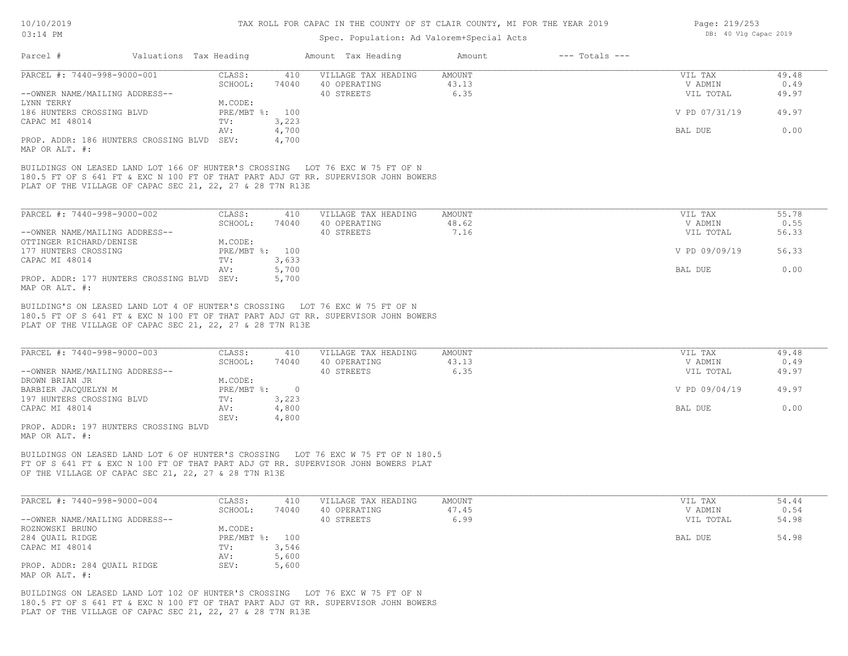## Spec. Population: Ad Valorem+Special Acts

| Page: 219/253 |  |                       |  |
|---------------|--|-----------------------|--|
|               |  | DB: 40 Vlg Capac 2019 |  |

| Valuations Tax Heading<br>Parcel #                                                                                                              |                |       | Amount Tax Heading  | Amount | $---$ Totals $---$ |               |       |
|-------------------------------------------------------------------------------------------------------------------------------------------------|----------------|-------|---------------------|--------|--------------------|---------------|-------|
| PARCEL #: 7440-998-9000-001                                                                                                                     | CLASS:         | 410   | VILLAGE TAX HEADING | AMOUNT |                    | VIL TAX       | 49.48 |
|                                                                                                                                                 | SCHOOL:        | 74040 | 40 OPERATING        | 43.13  |                    | V ADMIN       | 0.49  |
| --OWNER NAME/MAILING ADDRESS--                                                                                                                  |                |       | 40 STREETS          | 6.35   |                    | VIL TOTAL     | 49.97 |
| LYNN TERRY                                                                                                                                      | M.CODE:        |       |                     |        |                    |               |       |
| 186 HUNTERS CROSSING BLVD                                                                                                                       | PRE/MBT %: 100 |       |                     |        |                    | V PD 07/31/19 | 49.97 |
| CAPAC MI 48014                                                                                                                                  | TV:            | 3,223 |                     |        |                    |               |       |
|                                                                                                                                                 | AV:            | 4,700 |                     |        |                    | BAL DUE       | 0.00  |
| PROP. ADDR: 186 HUNTERS CROSSING BLVD<br>MAP OR ALT. #:                                                                                         | SEV:           | 4,700 |                     |        |                    |               |       |
| 180.5 FT OF S 641 FT & EXC N 100 FT OF THAT PART ADJ GT RR. SUPERVISOR JOHN BOWERS<br>PLAT OF THE VILLAGE OF CAPAC SEC 21, 22, 27 & 28 T7N R13E |                |       |                     |        |                    |               |       |
| PARCEL #: 7440-998-9000-002                                                                                                                     | CLASS:         | 410   | VILLAGE TAX HEADING | AMOUNT |                    | VIL TAX       | 55.78 |
|                                                                                                                                                 | SCHOOL:        | 74040 | 40 OPERATING        | 48.62  |                    | V ADMIN       | 0.55  |
| --OWNER NAME/MAILING ADDRESS--                                                                                                                  |                |       | 40 STREETS          | 7.16   |                    | VIL TOTAL     | 56.33 |
| OTTINGER RICHARD/DENISE                                                                                                                         | M.CODE:        |       |                     |        |                    |               |       |
| 177 HUNTERS CROSSING                                                                                                                            | PRE/MBT %: 100 |       |                     |        |                    | V PD 09/09/19 | 56.33 |
| CAPAC MI 48014                                                                                                                                  | TV:            | 3,633 |                     |        |                    |               |       |
|                                                                                                                                                 | AV:            | 5,700 |                     |        |                    | BAL DUE       | 0.00  |
| PROP. ADDR: 177 HUNTERS CROSSING BLVD                                                                                                           | SEV:           | 5,700 |                     |        |                    |               |       |

MAP OR ALT. #:

PLAT OF THE VILLAGE OF CAPAC SEC 21, 22, 27 & 28 T7N R13E 180.5 FT OF S 641 FT & EXC N 100 FT OF THAT PART ADJ GT RR. SUPERVISOR JOHN BOWERS BUILDING'S ON LEASED LAND LOT 4 OF HUNTER'S CROSSING LOT 76 EXC W 75 FT OF N

| PARCEL #: 7440-998-9000-003    | CLASS:       | 410   | VILLAGE TAX HEADING | AMOUNT | VIL TAX       | 49.48 |
|--------------------------------|--------------|-------|---------------------|--------|---------------|-------|
|                                | SCHOOL:      | 74040 | 40 OPERATING        | 43.13  | V ADMIN       | 0.49  |
| --OWNER NAME/MAILING ADDRESS-- |              |       | 40 STREETS          | 6.35   | VIL TOTAL     | 49.97 |
| DROWN BRIAN JR                 | M.CODE:      |       |                     |        |               |       |
| BARBIER JACOUELYN M            | $PRE/MBT$ %: |       |                     |        | V PD 09/04/19 | 49.97 |
| 197 HUNTERS CROSSING BLVD      | TV:          | 3,223 |                     |        |               |       |
| CAPAC MI 48014                 | AV:          | 4,800 |                     |        | BAL DUE       | 0.00  |
|                                | SEV:         | 4,800 |                     |        |               |       |
| ADOR 107 UUNTERC CROSSING BILD |              |       |                     |        |               |       |

MAP OR ALT. #: PROP. ADDR: 197 HUNTERS CROSSING BLVD

OF THE VILLAGE OF CAPAC SEC 21, 22, 27 & 28 T7N R13E FT OF S 641 FT & EXC N 100 FT OF THAT PART ADJ GT RR. SUPERVISOR JOHN BOWERS PLAT BUILDINGS ON LEASED LAND LOT 6 OF HUNTER'S CROSSING LOT 76 EXC W 75 FT OF N 180.5

| PARCEL #: 7440-998-9000-004    | CLASS:         | 410   | VILLAGE TAX HEADING | AMOUNT | VIL TAX   | 54.44 |
|--------------------------------|----------------|-------|---------------------|--------|-----------|-------|
|                                | SCHOOL:        | 74040 | 40 OPERATING        | 47.45  | V ADMIN   | 0.54  |
| --OWNER NAME/MAILING ADDRESS-- |                |       | 40 STREETS          | 6.99   | VIL TOTAL | 54.98 |
| ROZNOWSKI BRUNO                | M.CODE:        |       |                     |        |           |       |
| 284 QUAIL RIDGE                | PRE/MBT %: 100 |       |                     |        | BAL DUE   | 54.98 |
| CAPAC MI 48014                 | TV:            | 3,546 |                     |        |           |       |
|                                | AV:            | 5,600 |                     |        |           |       |
| PROP. ADDR: 284 QUAIL RIDGE    | SEV:           | 5,600 |                     |        |           |       |
| MAP OR ALT. #:                 |                |       |                     |        |           |       |

PLAT OF THE VILLAGE OF CAPAC SEC 21, 22, 27 & 28 T7N R13E 180.5 FT OF S 641 FT & EXC N 100 FT OF THAT PART ADJ GT RR. SUPERVISOR JOHN BOWERS BUILDINGS ON LEASED LAND LOT 102 OF HUNTER'S CROSSING LOT 76 EXC W 75 FT OF N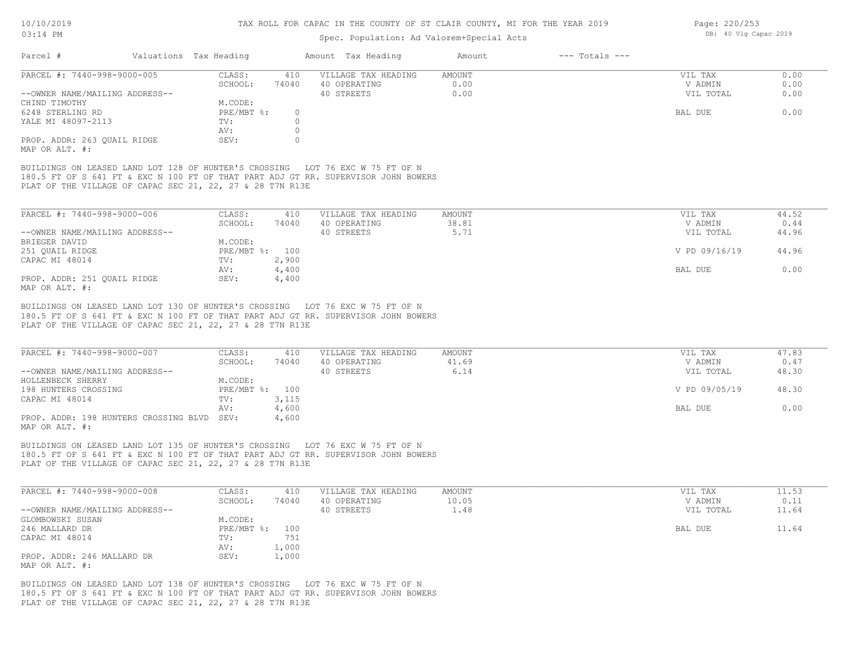#### TAX ROLL FOR CAPAC IN THE COUNTY OF ST CLAIR COUNTY, MI FOR THE YEAR 2019

## Spec. Population: Ad Valorem+Special Acts

| Parcel #                       | Valuations Tax Heading |          | Amount Tax Heading  | Amount | $---$ Totals $---$ |           |      |
|--------------------------------|------------------------|----------|---------------------|--------|--------------------|-----------|------|
| PARCEL #: 7440-998-9000-005    | CLASS:                 | 410      | VILLAGE TAX HEADING | AMOUNT |                    | VIL TAX   | 0.00 |
|                                | SCHOOL:                | 74040    | 40 OPERATING        | 0.00   |                    | V ADMIN   | 0.00 |
| --OWNER NAME/MAILING ADDRESS-- |                        |          | 40 STREETS          | 0.00   |                    | VIL TOTAL | 0.00 |
| CHIND TIMOTHY                  | M.CODE:                |          |                     |        |                    |           |      |
| 6248 STERLING RD               | $PRE/MBT$ %:           | $\Omega$ |                     |        |                    | BAL DUE   | 0.00 |
| YALE MI 48097-2113             | TV:                    |          |                     |        |                    |           |      |
|                                | AV:                    |          |                     |        |                    |           |      |
| PROP. ADDR: 263 QUAIL RIDGE    | SEV:                   |          |                     |        |                    |           |      |
| MAP OR ALT. #:                 |                        |          |                     |        |                    |           |      |

PLAT OF THE VILLAGE OF CAPAC SEC 21, 22, 27 & 28 T7N R13E 180.5 FT OF S 641 FT & EXC N 100 FT OF THAT PART ADJ GT RR. SUPERVISOR JOHN BOWERS

| PARCEL #: 7440-998-9000-006    | CLASS:  | 410            | VILLAGE TAX HEADING | AMOUNT | VIL TAX       | 44.52 |
|--------------------------------|---------|----------------|---------------------|--------|---------------|-------|
|                                | SCHOOL: | 74040          | 40 OPERATING        | 38.81  | V ADMIN       | 0.44  |
| --OWNER NAME/MAILING ADDRESS-- |         |                | 40 STREETS          | 5.71   | VIL TOTAL     | 44.96 |
| BRIEGER DAVID                  | M.CODE: |                |                     |        |               |       |
| 251 OUAIL RIDGE                |         | PRE/MBT %: 100 |                     |        | V PD 09/16/19 | 44.96 |
| CAPAC MI 48014                 | TV:     | 2,900          |                     |        |               |       |
|                                | AV:     | 4,400          |                     |        | BAL DUE       | 0.00  |
| PROP. ADDR: 251 OUAIL RIDGE    | SEV:    | 4,400          |                     |        |               |       |
| MAP OR ALT. #:                 |         |                |                     |        |               |       |

PLAT OF THE VILLAGE OF CAPAC SEC 21, 22, 27 & 28 T7N R13E 180.5 FT OF S 641 FT & EXC N 100 FT OF THAT PART ADJ GT RR. SUPERVISOR JOHN BOWERS BUILDINGS ON LEASED LAND LOT 130 OF HUNTER'S CROSSING LOT 76 EXC W 75 FT OF N

| PARCEL #: 7440-998-9000-007                | CLASS:         | 410   | VILLAGE TAX HEADING | AMOUNT | VIL TAX       | 47.83 |
|--------------------------------------------|----------------|-------|---------------------|--------|---------------|-------|
|                                            | SCHOOL:        | 74040 | 40 OPERATING        | 41.69  | V ADMIN       | 0.47  |
| --OWNER NAME/MAILING ADDRESS--             |                |       | 40 STREETS          | 6.14   | VIL TOTAL     | 48.30 |
| HOLLENBECK SHERRY                          | M.CODE:        |       |                     |        |               |       |
| 198 HUNTERS CROSSING                       | PRE/MBT %: 100 |       |                     |        | V PD 09/05/19 | 48.30 |
| CAPAC MI 48014                             | TV:            | 3,115 |                     |        |               |       |
|                                            | AV:            | 4,600 |                     |        | BAL DUE       | 0.00  |
| PROP. ADDR: 198 HUNTERS CROSSING BLVD SEV: |                | 4,600 |                     |        |               |       |
| MAP OR ALT. #:                             |                |       |                     |        |               |       |

PLAT OF THE VILLAGE OF CAPAC SEC 21, 22, 27 & 28 T7N R13E 180.5 FT OF S 641 FT & EXC N 100 FT OF THAT PART ADJ GT RR. SUPERVISOR JOHN BOWERS BUILDINGS ON LEASED LAND LOT 135 OF HUNTER'S CROSSING LOT 76 EXC W 75 FT OF N

| PARCEL #: 7440-998-9000-008    | CLASS:         | 410   | VILLAGE TAX HEADING | AMOUNT      | VIL TAX   | 11.53 |
|--------------------------------|----------------|-------|---------------------|-------------|-----------|-------|
|                                | SCHOOL:        | 74040 | 40 OPERATING        | 10.05       | V ADMIN   | 0.11  |
| --OWNER NAME/MAILING ADDRESS-- |                |       | 40 STREETS          | $\perp$ .48 | VIL TOTAL | 11.64 |
| GLOMBOWSKI SUSAN               | M.CODE:        |       |                     |             |           |       |
| 246 MALLARD DR                 | PRE/MBT %: 100 |       |                     |             | BAL DUE   | 11.64 |
| CAPAC MI 48014                 | TV:            | 751   |                     |             |           |       |
|                                | AV:            | 1,000 |                     |             |           |       |
| PROP. ADDR: 246 MALLARD DR     | SEV:           | 1,000 |                     |             |           |       |
| MAP OR ALT. #:                 |                |       |                     |             |           |       |

PLAT OF THE VILLAGE OF CAPAC SEC 21, 22, 27 & 28 T7N R13E 180.5 FT OF S 641 FT & EXC N 100 FT OF THAT PART ADJ GT RR. SUPERVISOR JOHN BOWERS BUILDINGS ON LEASED LAND LOT 138 OF HUNTER'S CROSSING LOT 76 EXC W 75 FT OF N

Page: 220/253 DB: 40 Vlg Capac 2019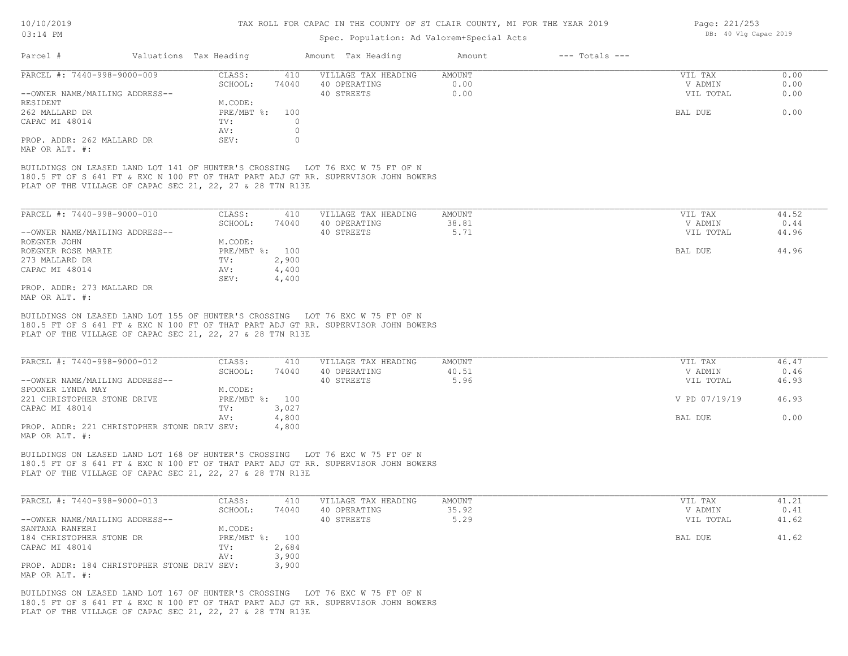## Spec. Population: Ad Valorem+Special Acts

| Page: 221/253 |  |                       |  |
|---------------|--|-----------------------|--|
|               |  | DB: 40 Vlg Capac 2019 |  |

|                                | Valuations Tax Heading |       | Amount Tax Heading  | Amount | $---$ Totals $---$ |           |      |
|--------------------------------|------------------------|-------|---------------------|--------|--------------------|-----------|------|
| PARCEL #: 7440-998-9000-009    | CLASS:                 | 410   | VILLAGE TAX HEADING | AMOUNT |                    | VIL TAX   | 0.00 |
|                                | SCHOOL:                | 74040 | 40 OPERATING        | 0.00   |                    | V ADMIN   | 0.00 |
| --OWNER NAME/MAILING ADDRESS-- |                        |       | 40 STREETS          | 0.00   |                    | VIL TOTAL | 0.00 |
| RESIDENT                       | M.CODE:                |       |                     |        |                    |           |      |
| 262 MALLARD DR                 | $PRE/MBT$ %:           | 100   |                     |        |                    | BAL DUE   | 0.00 |
| CAPAC MI 48014                 | TV:                    |       |                     |        |                    |           |      |
|                                | AV:                    |       |                     |        |                    |           |      |
| PROP. ADDR: 262 MALLARD DR     | SEV:                   |       |                     |        |                    |           |      |
| MAP OR ALT. #:                 |                        |       |                     |        |                    |           |      |

PLAT OF THE VILLAGE OF CAPAC SEC 21, 22, 27 & 28 T7N R13E 180.5 FT OF S 641 FT & EXC N 100 FT OF THAT PART ADJ GT RR. SUPERVISOR JOHN BOWERS

| PARCEL #: 7440-998-9000-010    | CLASS:       | 410   | VILLAGE TAX HEADING | AMOUNT | VIL TAX   | 44.52 |
|--------------------------------|--------------|-------|---------------------|--------|-----------|-------|
|                                | SCHOOL:      | 74040 | 40 OPERATING        | 38.81  | V ADMIN   | 0.44  |
| --OWNER NAME/MAILING ADDRESS-- |              |       | 40 STREETS          | 5.71   | VIL TOTAL | 44.96 |
| ROEGNER JOHN                   | M.CODE:      |       |                     |        |           |       |
| ROEGNER ROSE MARIE             | $PRE/MBT$ %: | 100   |                     |        | BAL DUE   | 44.96 |
| 273 MALLARD DR                 | TV:          | 2,900 |                     |        |           |       |
| CAPAC MI 48014                 | AV:          | 4,400 |                     |        |           |       |
|                                | SEV:         | 4,400 |                     |        |           |       |
| PROP. ADDR: 273 MALLARD DR     |              |       |                     |        |           |       |
|                                |              |       |                     |        |           |       |

MAP OR ALT. #:

PLAT OF THE VILLAGE OF CAPAC SEC 21, 22, 27 & 28 T7N R13E 180.5 FT OF S 641 FT & EXC N 100 FT OF THAT PART ADJ GT RR. SUPERVISOR JOHN BOWERS BUILDINGS ON LEASED LAND LOT 155 OF HUNTER'S CROSSING LOT 76 EXC W 75 FT OF N

| PARCEL #: 7440-998-9000-012                 | CLASS:         | 410   | VILLAGE TAX HEADING | AMOUNT | VIL TAX |               | 46.47 |
|---------------------------------------------|----------------|-------|---------------------|--------|---------|---------------|-------|
|                                             | SCHOOL:        | 74040 | 40 OPERATING        | 40.51  |         | V ADMIN       | 0.46  |
| --OWNER NAME/MAILING ADDRESS--              |                |       | 40 STREETS          | 5.96   |         | VIL TOTAL     | 46.93 |
| SPOONER LYNDA MAY                           | M.CODE:        |       |                     |        |         |               |       |
| 221 CHRISTOPHER STONE DRIVE                 | PRE/MBT %: 100 |       |                     |        |         | V PD 07/19/19 | 46.93 |
| CAPAC MI 48014                              | TV:            | 3,027 |                     |        |         |               |       |
|                                             | AV:            | 4,800 |                     |        | BAL DUE |               | 0.00  |
| PROP. ADDR: 221 CHRISTOPHER STONE DRIV SEV: |                | 4,800 |                     |        |         |               |       |
| MAP OR ALT. #:                              |                |       |                     |        |         |               |       |

PLAT OF THE VILLAGE OF CAPAC SEC 21, 22, 27 & 28 T7N R13E 180.5 FT OF S 641 FT & EXC N 100 FT OF THAT PART ADJ GT RR. SUPERVISOR JOHN BOWERS BUILDINGS ON LEASED LAND LOT 168 OF HUNTER'S CROSSING LOT 76 EXC W 75 FT OF N

| PARCEL #: 7440-998-9000-013                 | CLASS:         | 410   | VILLAGE TAX HEADING | AMOUNT | VIL TAX   | 41.21 |
|---------------------------------------------|----------------|-------|---------------------|--------|-----------|-------|
|                                             | SCHOOL:        | 74040 | 40 OPERATING        | 35.92  | V ADMIN   | 0.41  |
| --OWNER NAME/MAILING ADDRESS--              |                |       | 40 STREETS          | 5.29   | VIL TOTAL | 41.62 |
| SANTANA RANFERI                             | M.CODE:        |       |                     |        |           |       |
| 184 CHRISTOPHER STONE DR                    | PRE/MBT %: 100 |       |                     |        | BAL DUE   | 41.62 |
| CAPAC MI 48014                              | TV:            | 2,684 |                     |        |           |       |
|                                             | AV:            | 3,900 |                     |        |           |       |
| PROP. ADDR: 184 CHRISTOPHER STONE DRIV SEV: |                | 3,900 |                     |        |           |       |
| MAP OR ALT. #:                              |                |       |                     |        |           |       |

PLAT OF THE VILLAGE OF CAPAC SEC 21, 22, 27 & 28 T7N R13E 180.5 FT OF S 641 FT & EXC N 100 FT OF THAT PART ADJ GT RR. SUPERVISOR JOHN BOWERS BUILDINGS ON LEASED LAND LOT 167 OF HUNTER'S CROSSING LOT 76 EXC W 75 FT OF N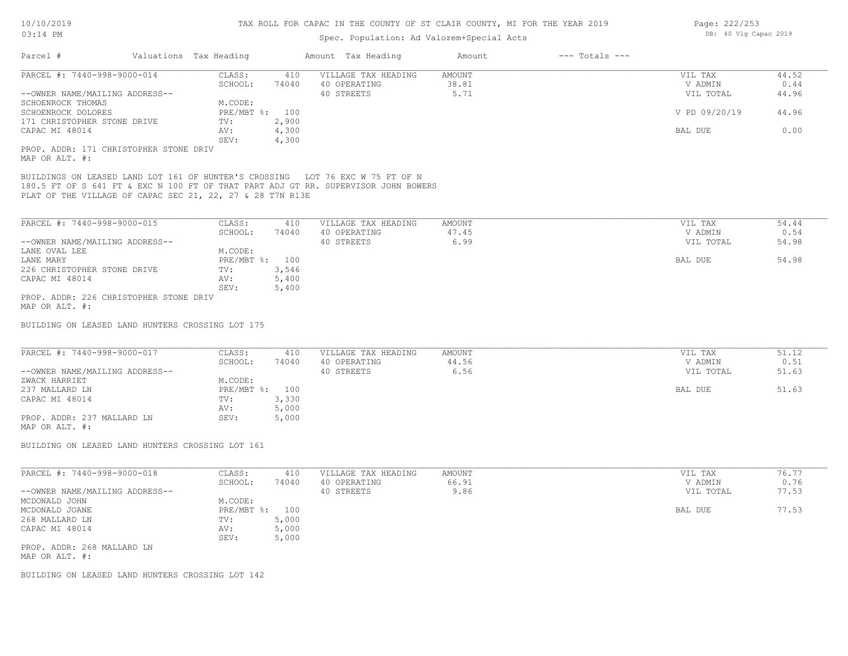| $03:14$ PM                                                                                                                                                                                                                       |                         | Spec. Population: Ad Valorem+Special Acts | DB: 40 Vlg Capac 2019        |               |       |
|----------------------------------------------------------------------------------------------------------------------------------------------------------------------------------------------------------------------------------|-------------------------|-------------------------------------------|------------------------------|---------------|-------|
| Parcel #                                                                                                                                                                                                                         | Valuations Tax Heading  | Amount Tax Heading                        | $---$ Totals $---$<br>Amount |               |       |
| PARCEL #: 7440-998-9000-014                                                                                                                                                                                                      | CLASS:<br>410           | VILLAGE TAX HEADING                       | <b>AMOUNT</b>                | VIL TAX       | 44.52 |
|                                                                                                                                                                                                                                  | SCHOOL:<br>74040        | 40 OPERATING                              | 38.81                        | V ADMIN       | 0.44  |
| --OWNER NAME/MAILING ADDRESS--                                                                                                                                                                                                   |                         | 40 STREETS                                | 5.71                         | VIL TOTAL     | 44.96 |
| SCHOENROCK THOMAS                                                                                                                                                                                                                | M.CODE:                 |                                           |                              |               |       |
| SCHOENROCK DOLORES                                                                                                                                                                                                               | PRE/MBT %: 100          |                                           |                              | V PD 09/20/19 | 44.96 |
| 171 CHRISTOPHER STONE DRIVE                                                                                                                                                                                                      | TV:<br>2,900            |                                           |                              |               |       |
| CAPAC MI 48014                                                                                                                                                                                                                   | 4,300<br>AV:            |                                           |                              | BAL DUE       | 0.00  |
|                                                                                                                                                                                                                                  | SEV:<br>4,300           |                                           |                              |               |       |
| PROP. ADDR: 171 CHRISTOPHER STONE DRIV<br>MAP OR ALT. #:                                                                                                                                                                         |                         |                                           |                              |               |       |
| BUILDINGS ON LEASED LAND LOT 161 OF HUNTER'S CROSSING LOT 76 EXC W 75 FT OF N<br>180.5 FT OF S 641 FT & EXC N 100 FT OF THAT PART ADJ GT RR. SUPERVISOR JOHN BOWERS<br>PLAT OF THE VILLAGE OF CAPAC SEC 21, 22, 27 & 28 T7N R13E |                         |                                           |                              |               |       |
| PARCEL #: 7440-998-9000-015                                                                                                                                                                                                      | CLASS:<br>410           | VILLAGE TAX HEADING                       | AMOUNT                       | VIL TAX       | 54.44 |
|                                                                                                                                                                                                                                  | SCHOOL:<br>74040        | 40 OPERATING                              | 47.45                        | V ADMIN       | 0.54  |
| --OWNER NAME/MAILING ADDRESS--                                                                                                                                                                                                   |                         | 40 STREETS                                | 6.99                         | VIL TOTAL     | 54.98 |
| LANE OVAL LEE                                                                                                                                                                                                                    | M.CODE:                 |                                           |                              |               |       |
| LANE MARY                                                                                                                                                                                                                        | PRE/MBT %: 100          |                                           |                              | BAL DUE       | 54.98 |
| 226 CHRISTOPHER STONE DRIVE                                                                                                                                                                                                      | 3,546<br>TV:            |                                           |                              |               |       |
| CAPAC MI 48014                                                                                                                                                                                                                   | 5,400<br>AV:            |                                           |                              |               |       |
|                                                                                                                                                                                                                                  | SEV:<br>5,400           |                                           |                              |               |       |
| PROP. ADDR: 226 CHRISTOPHER STONE DRIV<br>MAP OR ALT. #:                                                                                                                                                                         |                         |                                           |                              |               |       |
| BUILDING ON LEASED LAND HUNTERS CROSSING LOT 175                                                                                                                                                                                 |                         |                                           |                              |               |       |
| PARCEL #: 7440-998-9000-017                                                                                                                                                                                                      | CLASS:<br>410           | VILLAGE TAX HEADING                       | <b>AMOUNT</b>                | VIL TAX       | 51.12 |
|                                                                                                                                                                                                                                  | SCHOOL:<br>74040        | 40 OPERATING                              | 44.56                        | V ADMIN       | 0.51  |
| --OWNER NAME/MAILING ADDRESS--                                                                                                                                                                                                   | M.CODE:                 | 40 STREETS                                | 6.56                         | VIL TOTAL     | 51.63 |
| ZWACK HARRIET                                                                                                                                                                                                                    |                         |                                           |                              |               | 51.63 |
| 237 MALLARD LN                                                                                                                                                                                                                   | PRE/MBT %: 100<br>3,330 |                                           |                              | BAL DUE       |       |
| CAPAC MI 48014                                                                                                                                                                                                                   | TV:<br>5,000<br>AV:     |                                           |                              |               |       |
| PROP. ADDR: 237 MALLARD LN                                                                                                                                                                                                       | 5,000<br>SEV:           |                                           |                              |               |       |
| MAP OR ALT. #:                                                                                                                                                                                                                   |                         |                                           |                              |               |       |
| BUILDING ON LEASED LAND HUNTERS CROSSING LOT 161                                                                                                                                                                                 |                         |                                           |                              |               |       |
| PARCEL #: 7440-998-9000-018                                                                                                                                                                                                      | CLASS:<br>410           | VILLAGE TAX HEADING                       | <b>AMOUNT</b>                | VIL TAX       | 76.77 |
|                                                                                                                                                                                                                                  | SCHOOL:<br>74040        | 40 OPERATING                              | 66.91                        | V ADMIN       | 0.76  |
| --OWNER NAME/MAILING ADDRESS--                                                                                                                                                                                                   |                         | 40 STREETS                                | 9.86                         | VIL TOTAL     | 77.53 |
| MCDONALD JOHN                                                                                                                                                                                                                    | M.CODE:                 |                                           |                              |               |       |
| MCDONALD JOANE                                                                                                                                                                                                                   | PRE/MBT %: 100          |                                           |                              | BAL DUE       | 77.53 |
| 268 MALLARD LN                                                                                                                                                                                                                   | 5,000<br>TV:            |                                           |                              |               |       |
| CAPAC MI 48014                                                                                                                                                                                                                   | 5,000<br>AV:            |                                           |                              |               |       |
|                                                                                                                                                                                                                                  | 5,000<br>SEV:           |                                           |                              |               |       |
| PROP. ADDR: 268 MALLARD LN                                                                                                                                                                                                       |                         |                                           |                              |               |       |
| MAP OR ALT. #:                                                                                                                                                                                                                   |                         |                                           |                              |               |       |
|                                                                                                                                                                                                                                  |                         |                                           |                              |               |       |

BUILDING ON LEASED LAND HUNTERS CROSSING LOT 142

Page: 222/253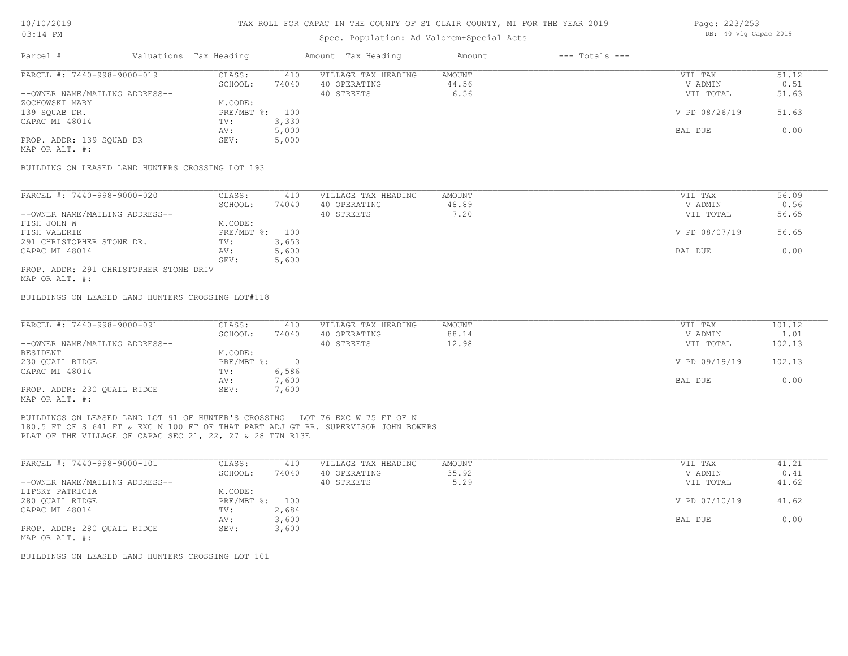## Spec. Population: Ad Valorem+Special Acts

| Parcel #                       |        | Valuations Tax Heading               |       | Amount Tax Heading | Amount  | $---$ Totals $---$ |               |       |
|--------------------------------|--------|--------------------------------------|-------|--------------------|---------|--------------------|---------------|-------|
| PARCEL #: 7440-998-9000-019    | CLASS: | VILLAGE TAX HEADING<br>AMOUNT<br>410 |       |                    | VIL TAX | 51.12              |               |       |
|                                |        | SCHOOL:                              | 74040 | 40 OPERATING       | 44.56   |                    | V ADMIN       | 0.51  |
| --OWNER NAME/MAILING ADDRESS-- |        |                                      |       | 40 STREETS         | 6.56    |                    | VIL TOTAL     | 51.63 |
| ZOCHOWSKI MARY                 |        | M.CODE:                              |       |                    |         |                    |               |       |
| 139 SOUAB DR.                  |        | PRE/MBT %: 100                       |       |                    |         |                    | V PD 08/26/19 | 51.63 |
| CAPAC MI 48014                 |        | TV:                                  | 3,330 |                    |         |                    |               |       |
|                                |        | AV:                                  | 5,000 |                    |         |                    | BAL DUE       | 0.00  |
| PROP. ADDR: 139 SQUAB DR       |        | SEV:                                 | 5,000 |                    |         |                    |               |       |
|                                |        |                                      |       |                    |         |                    |               |       |

MAP OR ALT. #:

BUILDING ON LEASED LAND HUNTERS CROSSING LOT 193

| PARCEL #: 7440-998-9000-020            | CLASS:         | 410   | VILLAGE TAX HEADING | AMOUNT | VIL TAX       | 56.09 |
|----------------------------------------|----------------|-------|---------------------|--------|---------------|-------|
|                                        | SCHOOL:        | 74040 | 40 OPERATING        | 48.89  | V ADMIN       | 0.56  |
| --OWNER NAME/MAILING ADDRESS--         |                |       | 40 STREETS          | 7.20   | VIL TOTAL     | 56.65 |
| FISH JOHN W                            | M.CODE:        |       |                     |        |               |       |
| FISH VALERIE                           | PRE/MBT %: 100 |       |                     |        | V PD 08/07/19 | 56.65 |
| 291 CHRISTOPHER STONE DR.              | TV:            | 3,653 |                     |        |               |       |
| CAPAC MI 48014                         | AV:            | 5,600 |                     |        | BAL DUE       | 0.00  |
|                                        | SEV:           | 5,600 |                     |        |               |       |
| PROP. ADDR: 291 CHRISTOPHER STONE DRIV |                |       |                     |        |               |       |

MAP OR ALT. #:

BUILDINGS ON LEASED LAND HUNTERS CROSSING LOT#118

| PARCEL #: 7440-998-9000-091    | CLASS:       | 410   | VILLAGE TAX HEADING | AMOUNT | VIL TAX       | 101.12 |
|--------------------------------|--------------|-------|---------------------|--------|---------------|--------|
|                                | SCHOOL:      | 74040 | 40 OPERATING        | 88.14  | V ADMIN       | 1.01   |
| --OWNER NAME/MAILING ADDRESS-- |              |       | 40 STREETS          | 12.98  | VIL TOTAL     | 102.13 |
| RESIDENT                       | M.CODE:      |       |                     |        |               |        |
| 230 OUAIL RIDGE                | $PRE/MBT$ %: |       |                     |        | V PD 09/19/19 | 102.13 |
| CAPAC MI 48014                 | TV:          | 6,586 |                     |        |               |        |
|                                | AV:          | 7,600 |                     |        | BAL DUE       | 0.00   |
| PROP. ADDR: 230 QUAIL RIDGE    | SEV:         | 7,600 |                     |        |               |        |
| MAP OR ALT. #:                 |              |       |                     |        |               |        |

PLAT OF THE VILLAGE OF CAPAC SEC 21, 22, 27 & 28 T7N R13E 180.5 FT OF S 641 FT & EXC N 100 FT OF THAT PART ADJ GT RR. SUPERVISOR JOHN BOWERS BUILDINGS ON LEASED LAND LOT 91 OF HUNTER'S CROSSING LOT 76 EXC W 75 FT OF N

| PARCEL #: 7440-998-9000-101    | CLASS:       | 410   | VILLAGE TAX HEADING | AMOUNT | VIL TAX       | 41.21 |
|--------------------------------|--------------|-------|---------------------|--------|---------------|-------|
|                                | SCHOOL:      | 74040 | 40 OPERATING        | 35.92  | V ADMIN       | 0.41  |
| --OWNER NAME/MAILING ADDRESS-- |              |       | 40 STREETS          | 5.29   | VIL TOTAL     | 41.62 |
| LIPSKY PATRICIA                | M.CODE:      |       |                     |        |               |       |
| 280 QUAIL RIDGE                | $PRE/MBT$ %: | 100   |                     |        | V PD 07/10/19 | 41.62 |
| CAPAC MI 48014                 | TV:          | 2,684 |                     |        |               |       |
|                                | AV:          | 3,600 |                     |        | BAL DUE       | 0.00  |
| PROP. ADDR: 280 QUAIL RIDGE    | SEV:         | 3,600 |                     |        |               |       |
| MAP OR ALT. #:                 |              |       |                     |        |               |       |

BUILDINGS ON LEASED LAND HUNTERS CROSSING LOT 101

Page: 223/253 DB: 40 Vlg Capac 2019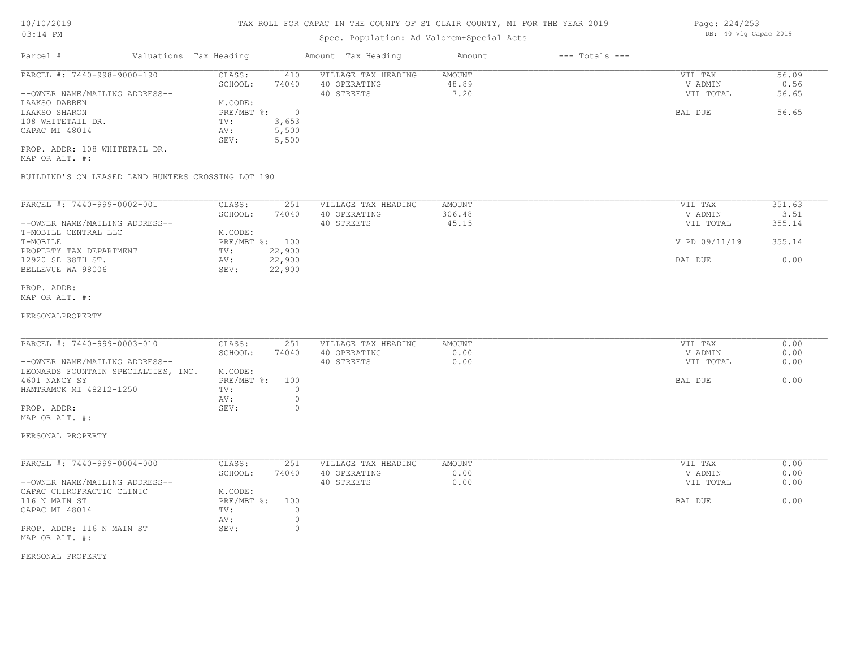# Spec. Population: Ad Valorem+Special Acts

| Parcel #                       | Valuations Tax Heading |       | Amount Tax Heading  | Amount | $---$ Totals $---$ |           |       |
|--------------------------------|------------------------|-------|---------------------|--------|--------------------|-----------|-------|
| PARCEL #: 7440-998-9000-190    | CLASS:                 | 410   | VILLAGE TAX HEADING | AMOUNT |                    | VIL TAX   | 56.09 |
|                                | SCHOOL:                | 74040 | 40 OPERATING        | 48.89  |                    | V ADMIN   | 0.56  |
| --OWNER NAME/MAILING ADDRESS-- |                        |       | 40 STREETS          | 7.20   |                    | VIL TOTAL | 56.65 |
| LAAKSO DARREN                  | M.CODE:                |       |                     |        |                    |           |       |
| LAAKSO SHARON                  | PRE/MBT %:             |       |                     |        |                    | BAL DUE   | 56.65 |
| 108 WHITETAIL DR.              | TV:                    | 3,653 |                     |        |                    |           |       |
| CAPAC MI 48014                 | AV:                    | 5,500 |                     |        |                    |           |       |
|                                | SEV:                   | 5,500 |                     |        |                    |           |       |
| PROP. ADDR: 108 WHITETAIL DR.  |                        |       |                     |        |                    |           |       |

MAP OR ALT. #:

BUILDIND'S ON LEASED LAND HUNTERS CROSSING LOT 190

| PARCEL #: 7440-999-0002-001    | CLASS:<br>SCHOOL: | 251<br>74040 | VILLAGE TAX HEADING<br>40 OPERATING | AMOUNT<br>306.48 | VIL TAX<br>V ADMIN | 351.63<br>3.51 |
|--------------------------------|-------------------|--------------|-------------------------------------|------------------|--------------------|----------------|
| --OWNER NAME/MAILING ADDRESS-- |                   |              | 40 STREETS                          | 45.15            | VIL TOTAL          | 355.14         |
| T-MOBILE CENTRAL LLC           | M.CODE:           |              |                                     |                  |                    |                |
| T-MOBILE                       | $PRE/MBT$ %:      | 100          |                                     |                  | V PD 09/11/19      | 355.14         |
| PROPERTY TAX DEPARTMENT        | TV:               | 22,900       |                                     |                  |                    |                |
| 12920 SE 38TH ST.              | AV:               | 22,900       |                                     |                  | BAL DUE            | 0.00           |
| BELLEVUE WA 98006              | SEV:              | 22,900       |                                     |                  |                    |                |

MAP OR ALT. #: PROP. ADDR:

#### PERSONALPROPERTY

| PARCEL #: 7440-999-0003-010         | CLASS:         | 251   | VILLAGE TAX HEADING | AMOUNT | VIL TAX   | 0.00 |
|-------------------------------------|----------------|-------|---------------------|--------|-----------|------|
|                                     | SCHOOL:        | 74040 | 40 OPERATING        | 0.00   | V ADMIN   | 0.00 |
| --OWNER NAME/MAILING ADDRESS--      |                |       | 40 STREETS          | 0.00   | VIL TOTAL | 0.00 |
| LEONARDS FOUNTAIN SPECIALTIES, INC. | M.CODE:        |       |                     |        |           |      |
| 4601 NANCY SY                       | PRE/MBT %: 100 |       |                     |        | BAL DUE   | 0.00 |
| HAMTRAMCK MI 48212-1250             | TV:            |       |                     |        |           |      |
|                                     | AV:            |       |                     |        |           |      |
| PROP. ADDR:                         | SEV:           |       |                     |        |           |      |
| MAP OR ALT. #:                      |                |       |                     |        |           |      |

PERSONAL PROPERTY

| PARCEL #: 7440-999-0004-000    | CLASS:       | 251   | VILLAGE TAX HEADING | AMOUNT | VIL TAX   | 0.00 |
|--------------------------------|--------------|-------|---------------------|--------|-----------|------|
|                                | SCHOOL:      | 74040 | 40 OPERATING        | 0.00   | V ADMIN   | 0.00 |
| --OWNER NAME/MAILING ADDRESS-- |              |       | 40 STREETS          | 0.00   | VIL TOTAL | 0.00 |
| CAPAC CHIROPRACTIC CLINIC      | M.CODE:      |       |                     |        |           |      |
| 116 N MAIN ST                  | $PRE/MBT$ %: | 100   |                     |        | BAL DUE   | 0.00 |
| CAPAC MI 48014                 | TV:          |       |                     |        |           |      |
|                                | AV:          |       |                     |        |           |      |
| PROP. ADDR: 116 N MAIN ST      | SEV:         |       |                     |        |           |      |
| MAP OR ALT. #:                 |              |       |                     |        |           |      |

#### PERSONAL PROPERTY

Page: 224/253 DB: 40 Vlg Capac 2019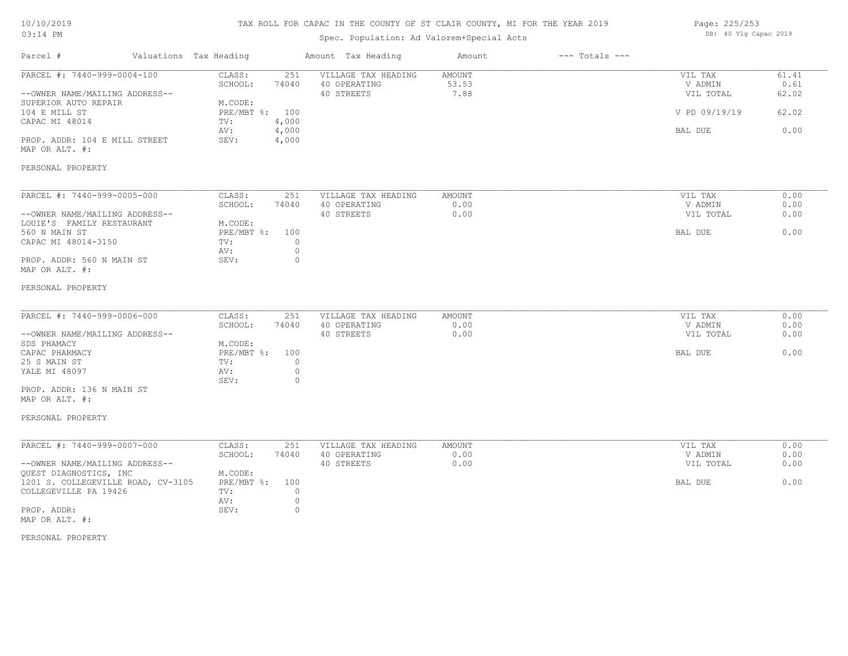## TAX ROLL FOR CAPAC IN THE COUNTY OF ST CLAIR COUNTY, MI FOR THE YEAR 2019

# Spec. Population: Ad Valorem+Special Acts

| Page: 225/253 |  |  |                       |  |
|---------------|--|--|-----------------------|--|
|               |  |  | DB: 40 Vlg Capac 2019 |  |

| Parcel #                                                                                                                                                                                                                 | Valuations Tax Heading |                                                                                                                                     | Amount Tax Heading                                | Amount                  | $---$ Totals $---$ |                                                             |                                         |
|--------------------------------------------------------------------------------------------------------------------------------------------------------------------------------------------------------------------------|------------------------|-------------------------------------------------------------------------------------------------------------------------------------|---------------------------------------------------|-------------------------|--------------------|-------------------------------------------------------------|-----------------------------------------|
| PARCEL #: 7440-999-0004-100<br>--OWNER NAME/MAILING ADDRESS--<br>SUPERIOR AUTO REPAIR<br>104 E MILL ST<br>CAPAC MI 48014<br>PROP. ADDR: 104 E MILL STREET<br>MAP OR ALT. #:<br>PERSONAL PROPERTY                         |                        | CLASS:<br>251<br>SCHOOL:<br>74040<br>M.CODE:<br>PRE/MBT %: 100<br>TV:<br>4,000<br>4,000<br>AV:<br>SEV:<br>4,000                     | VILLAGE TAX HEADING<br>40 OPERATING<br>40 STREETS | AMOUNT<br>53.53<br>7.88 |                    | VIL TAX<br>V ADMIN<br>VIL TOTAL<br>V PD 09/19/19<br>BAL DUE | 61.41<br>0.61<br>62.02<br>62.02<br>0.00 |
| PARCEL #: 7440-999-0005-000<br>--OWNER NAME/MAILING ADDRESS--<br>LOUIE'S FAMILY RESTAURANT<br>560 N MAIN ST<br>CAPAC MI 48014-3150<br>PROP. ADDR: 560 N MAIN ST<br>MAP OR ALT. #:                                        |                        | CLASS:<br>251<br>SCHOOL:<br>74040<br>M.CODE:<br>$PRE/MBT$ $\div$<br>100<br>$\circ$<br>TV:<br>$\mathbb O$<br>AV:<br>$\Omega$<br>SEV: | VILLAGE TAX HEADING<br>40 OPERATING<br>40 STREETS | AMOUNT<br>0.00<br>0.00  |                    | VIL TAX<br>V ADMIN<br>VIL TOTAL<br>BAL DUE                  | 0.00<br>0.00<br>0.00<br>0.00            |
| PERSONAL PROPERTY<br>PARCEL #: 7440-999-0006-000<br>--OWNER NAME/MAILING ADDRESS--<br>SDS PHAMACY<br>CAPAC PHARMACY<br>25 S MAIN ST<br>YALE MI 48097<br>PROP. ADDR: 136 N MAIN ST<br>MAP OR ALT. #:<br>PERSONAL PROPERTY |                        | CLASS:<br>251<br>SCHOOL:<br>74040<br>M.CODE:<br>PRE/MBT %: 100<br>$\circ$<br>TV:<br>$\circ$<br>AV:<br>SEV:<br>$\circ$               | VILLAGE TAX HEADING<br>40 OPERATING<br>40 STREETS | AMOUNT<br>0.00<br>0.00  |                    | VIL TAX<br>V ADMIN<br>VIL TOTAL<br>BAL DUE                  | 0.00<br>0.00<br>0.00<br>0.00            |
| PARCEL #: 7440-999-0007-000<br>--OWNER NAME/MAILING ADDRESS--<br>QUEST DIAGNOSTICS, INC<br>1201 S. COLLEGEVILLE ROAD, CV-3105<br>COLLEGEVILLE PA 19426<br>PROP. ADDR:<br>MAP OR ALT. #:                                  |                        | CLASS:<br>251<br>SCHOOL:<br>74040<br>M.CODE:<br>PRE/MBT %:<br>100<br>$\circ$<br>TV:<br>$\circ$<br>AV:<br>$\circ$<br>SEV:            | VILLAGE TAX HEADING<br>40 OPERATING<br>40 STREETS | AMOUNT<br>0.00<br>0.00  |                    | VIL TAX<br>V ADMIN<br>VIL TOTAL<br>BAL DUE                  | 0.00<br>0.00<br>0.00<br>0.00            |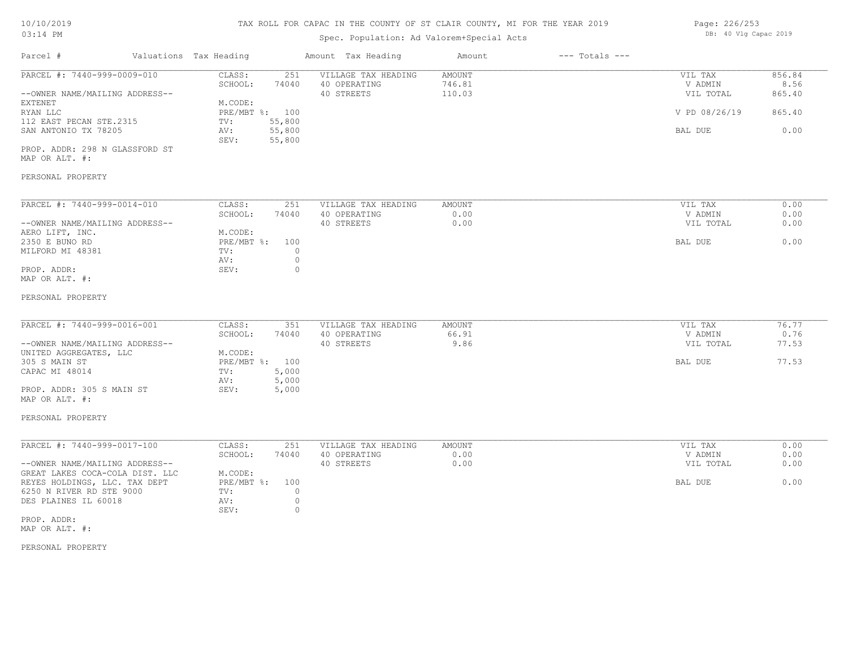# TAX ROLL FOR CAPAC IN THE COUNTY OF ST CLAIR COUNTY, MI FOR THE YEAR 2019

| Page: 226/253 |  |  |                       |  |
|---------------|--|--|-----------------------|--|
|               |  |  | DB: 40 Vlg Capac 2019 |  |

| Parcel #                                                                                                                                                                                                                                                         | Valuations Tax Heading                                                          |                                                      | Amount Tax Heading                                | Amount                     | $---$ Totals $---$ |                                                             |                                            |
|------------------------------------------------------------------------------------------------------------------------------------------------------------------------------------------------------------------------------------------------------------------|---------------------------------------------------------------------------------|------------------------------------------------------|---------------------------------------------------|----------------------------|--------------------|-------------------------------------------------------------|--------------------------------------------|
| PARCEL #: 7440-999-0009-010<br>--OWNER NAME/MAILING ADDRESS--<br>EXTENET<br>RYAN LLC<br>112 EAST PECAN STE.2315<br>SAN ANTONIO TX 78205<br>PROP. ADDR: 298 N GLASSFORD ST<br>MAP OR ALT. #:<br>PERSONAL PROPERTY                                                 | CLASS:<br>SCHOOL:<br>M.CODE:<br>PRE/MBT %: 100<br>TV:<br>AV:<br>SEV:            | 251<br>74040<br>55,800<br>55,800<br>55,800           | VILLAGE TAX HEADING<br>40 OPERATING<br>40 STREETS | AMOUNT<br>746.81<br>110.03 |                    | VIL TAX<br>V ADMIN<br>VIL TOTAL<br>V PD 08/26/19<br>BAL DUE | 856.84<br>8.56<br>865.40<br>865.40<br>0.00 |
| PARCEL #: 7440-999-0014-010<br>--OWNER NAME/MAILING ADDRESS--<br>AERO LIFT, INC.<br>2350 E BUNO RD<br>MILFORD MI 48381<br>PROP. ADDR:<br>MAP OR ALT. #:<br>PERSONAL PROPERTY                                                                                     | CLASS:<br>SCHOOL:<br>M.CODE:<br>$PRE/MBT$ $\frac{1}{6}$ :<br>TV:<br>AV:<br>SEV: | 251<br>74040<br>100<br>$\circ$<br>$\circ$<br>$\circ$ | VILLAGE TAX HEADING<br>40 OPERATING<br>40 STREETS | AMOUNT<br>0.00<br>0.00     |                    | VIL TAX<br>V ADMIN<br>VIL TOTAL<br>BAL DUE                  | 0.00<br>0.00<br>0.00<br>0.00               |
| PARCEL #: 7440-999-0016-001<br>--OWNER NAME/MAILING ADDRESS--<br>UNITED AGGREGATES, LLC<br>305 S MAIN ST<br>CAPAC MI 48014<br>PROP. ADDR: 305 S MAIN ST<br>MAP OR ALT. #:                                                                                        | CLASS:<br>SCHOOL:<br>M.CODE:<br>PRE/MBT %: 100<br>TV:<br>AV:<br>SEV:            | 351<br>74040<br>5,000<br>5,000<br>5,000              | VILLAGE TAX HEADING<br>40 OPERATING<br>40 STREETS | AMOUNT<br>66.91<br>9.86    |                    | VIL TAX<br>V ADMIN<br>VIL TOTAL<br>BAL DUE                  | 76.77<br>0.76<br>77.53<br>77.53            |
| PERSONAL PROPERTY<br>PARCEL #: 7440-999-0017-100<br>--OWNER NAME/MAILING ADDRESS--<br>GREAT LAKES COCA-COLA DIST. LLC<br>REYES HOLDINGS, LLC. TAX DEPT<br>6250 N RIVER RD STE 9000<br>DES PLAINES IL 60018<br>PROP. ADDR:<br>MAP OR ALT. #:<br>PERSONAL PROPERTY | CLASS:<br>SCHOOL:<br>M.CODE:<br>PRE/MBT %:<br>TV:<br>AV:<br>SEV:                | 251<br>74040<br>100<br>$\circ$<br>$\circ$<br>$\circ$ | VILLAGE TAX HEADING<br>40 OPERATING<br>40 STREETS | AMOUNT<br>0.00<br>0.00     |                    | VIL TAX<br>V ADMIN<br>VIL TOTAL<br>BAL DUE                  | 0.00<br>0.00<br>0.00<br>0.00               |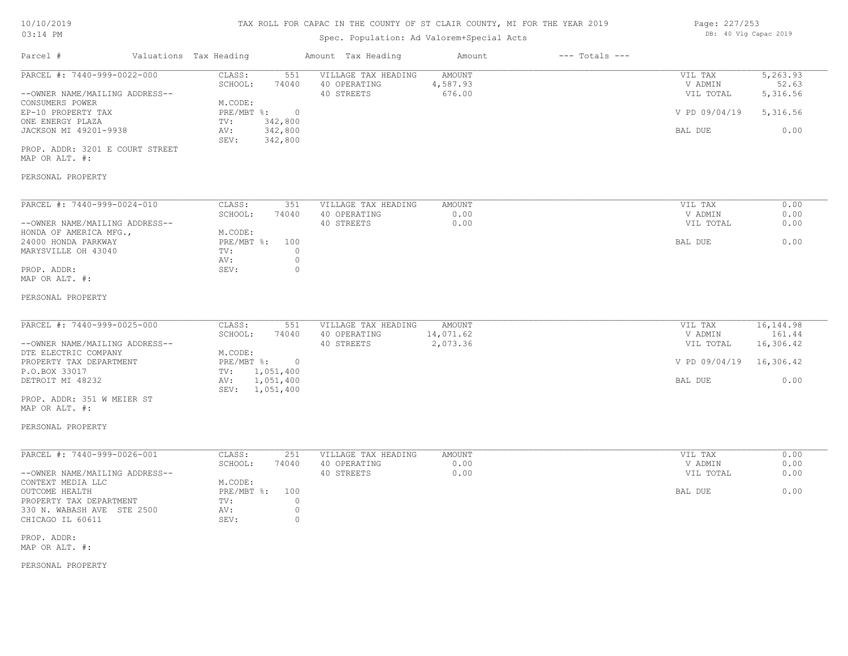## TAX ROLL FOR CAPAC IN THE COUNTY OF ST CLAIR COUNTY, MI FOR THE YEAR 2019

| Page: 227/253 |  |                       |  |
|---------------|--|-----------------------|--|
|               |  | DB: 40 Vlg Capac 2019 |  |

| Valuations Tax Heading<br>Parcel #                                                                                                                                                                                                      |                                                                                                                                           | Amount Tax Heading                                | Amount                              | $---$ Totals $---$ |                                                                       |                                                   |
|-----------------------------------------------------------------------------------------------------------------------------------------------------------------------------------------------------------------------------------------|-------------------------------------------------------------------------------------------------------------------------------------------|---------------------------------------------------|-------------------------------------|--------------------|-----------------------------------------------------------------------|---------------------------------------------------|
| PARCEL #: 7440-999-0022-000<br>--OWNER NAME/MAILING ADDRESS--<br>CONSUMERS POWER<br>EP-10 PROPERTY TAX<br>ONE ENERGY PLAZA<br>JACKSON MI 49201-9938<br>PROP. ADDR: 3201 E COURT STREET<br>MAP OR ALT. #:                                | CLASS:<br>551<br>SCHOOL:<br>74040<br>M.CODE:<br>$PRE/MBT$ $\div$<br>$\overline{0}$<br>TV:<br>342,800<br>342,800<br>AV:<br>342,800<br>SEV: | VILLAGE TAX HEADING<br>40 OPERATING<br>40 STREETS | <b>AMOUNT</b><br>4,587.93<br>676.00 |                    | VIL TAX<br>V ADMIN<br>VIL TOTAL<br>V PD 09/04/19<br>BAL DUE           | 5,263.93<br>52.63<br>5,316.56<br>5,316.56<br>0.00 |
| PERSONAL PROPERTY<br>PARCEL #: 7440-999-0024-010<br>--OWNER NAME/MAILING ADDRESS--<br>HONDA OF AMERICA MFG.,<br>24000 HONDA PARKWAY<br>MARYSVILLE OH 43040<br>PROP. ADDR:<br>MAP OR ALT. #:<br>PERSONAL PROPERTY                        | CLASS:<br>351<br>SCHOOL:<br>74040<br>M.CODE:<br>PRE/MBT %: 100<br>TV:<br>$\circ$<br>$\circ$<br>AV:<br>$\circ$<br>SEV:                     | VILLAGE TAX HEADING<br>40 OPERATING<br>40 STREETS | <b>AMOUNT</b><br>0.00<br>0.00       |                    | VIL TAX<br>V ADMIN<br>VIL TOTAL<br>BAL DUE                            | 0.00<br>0.00<br>0.00<br>0.00                      |
| PARCEL #: 7440-999-0025-000<br>--OWNER NAME/MAILING ADDRESS--<br>DTE ELECTRIC COMPANY<br>PROPERTY TAX DEPARTMENT<br>P.O.BOX 33017<br>DETROIT MI 48232<br>PROP. ADDR: 351 W MEIER ST<br>MAP OR ALT. #:<br>PERSONAL PROPERTY              | CLASS:<br>551<br>SCHOOL:<br>74040<br>M.CODE:<br>PRE/MBT %:<br>$\overline{0}$<br>TV: 1,051,400<br>AV: 1,051,400<br>SEV: 1,051,400          | VILLAGE TAX HEADING<br>40 OPERATING<br>40 STREETS | AMOUNT<br>14,071.62<br>2,073.36     |                    | VIL TAX<br>V ADMIN<br>VIL TOTAL<br>V PD 09/04/19 16,306.42<br>BAL DUE | 16, 144.98<br>161.44<br>16,306.42<br>0.00         |
| PARCEL #: 7440-999-0026-001<br>--OWNER NAME/MAILING ADDRESS--<br>CONTEXT MEDIA LLC<br>OUTCOME HEALTH<br>PROPERTY TAX DEPARTMENT<br>330 N. WABASH AVE STE 2500<br>CHICAGO IL 60611<br>PROP. ADDR:<br>MAP OR ALT. #:<br>PERSONAL PROPERTY | CLASS:<br>251<br>SCHOOL:<br>74040<br>M.CODE:<br>PRE/MBT %: 100<br>TV:<br>$\circ$<br>$\circ$<br>AV:<br>$\mathbb O$<br>SEV:                 | VILLAGE TAX HEADING<br>40 OPERATING<br>40 STREETS | AMOUNT<br>0.00<br>0.00              |                    | VIL TAX<br>V ADMIN<br>VIL TOTAL<br>BAL DUE                            | 0.00<br>0.00<br>0.00<br>0.00                      |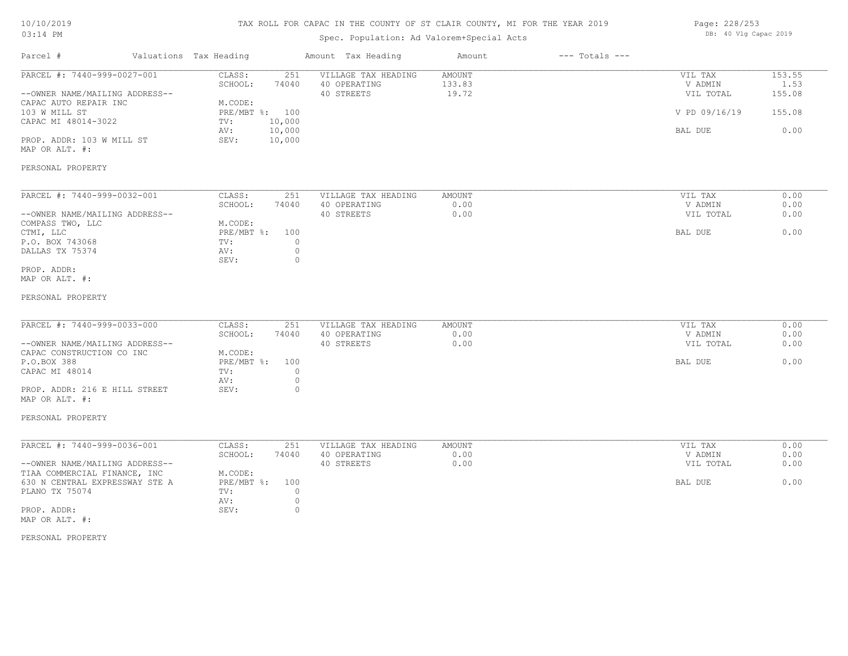## TAX ROLL FOR CAPAC IN THE COUNTY OF ST CLAIR COUNTY, MI FOR THE YEAR 2019

# Spec. Population: Ad Valorem+Special Acts

| Page: 228/253 |  |  |                       |  |
|---------------|--|--|-----------------------|--|
|               |  |  | DB: 40 Vlg Capac 2019 |  |

| Parcel #                                                                                                                                                                                            | Valuations Tax Heading                                                                                                   | Amount Tax Heading                                | Amount                           | $---$ Totals $---$ |                                                             |                                            |
|-----------------------------------------------------------------------------------------------------------------------------------------------------------------------------------------------------|--------------------------------------------------------------------------------------------------------------------------|---------------------------------------------------|----------------------------------|--------------------|-------------------------------------------------------------|--------------------------------------------|
| PARCEL #: 7440-999-0027-001<br>--OWNER NAME/MAILING ADDRESS--<br>CAPAC AUTO REPAIR INC<br>103 W MILL ST<br>CAPAC MI 48014-3022<br>PROP. ADDR: 103 W MILL ST<br>MAP OR ALT. #:                       | CLASS:<br>251<br>SCHOOL:<br>74040<br>M.CODE:<br>PRE/MBT %: 100<br>10,000<br>TV:<br>10,000<br>AV:<br>SEV:<br>10,000       | VILLAGE TAX HEADING<br>40 OPERATING<br>40 STREETS | <b>AMOUNT</b><br>133.83<br>19.72 |                    | VIL TAX<br>V ADMIN<br>VIL TOTAL<br>V PD 09/16/19<br>BAL DUE | 153.55<br>1.53<br>155.08<br>155.08<br>0.00 |
| PERSONAL PROPERTY                                                                                                                                                                                   |                                                                                                                          |                                                   |                                  |                    |                                                             |                                            |
| PARCEL #: 7440-999-0032-001<br>--OWNER NAME/MAILING ADDRESS--<br>COMPASS TWO, LLC<br>CTMI, LLC<br>P.O. BOX 743068<br>DALLAS TX 75374<br>PROP. ADDR:<br>MAP OR ALT. #:                               | CLASS:<br>251<br>SCHOOL:<br>74040<br>M.CODE:<br>PRE/MBT %:<br>100<br>$\circ$<br>TV:<br>$\circ$<br>AV:<br>SEV:<br>$\circ$ | VILLAGE TAX HEADING<br>40 OPERATING<br>40 STREETS | <b>AMOUNT</b><br>0.00<br>0.00    |                    | VIL TAX<br>V ADMIN<br>VIL TOTAL<br>BAL DUE                  | 0.00<br>0.00<br>0.00<br>0.00               |
| PERSONAL PROPERTY                                                                                                                                                                                   |                                                                                                                          |                                                   |                                  |                    |                                                             |                                            |
| PARCEL #: 7440-999-0033-000<br>--OWNER NAME/MAILING ADDRESS--<br>CAPAC CONSTRUCTION CO INC<br>P.O.BOX 388<br>CAPAC MI 48014<br>PROP. ADDR: 216 E HILL STREET<br>MAP OR ALT. #:<br>PERSONAL PROPERTY | CLASS:<br>251<br>SCHOOL:<br>74040<br>M.CODE:<br>PRE/MBT %:<br>100<br>$\circ$<br>TV:<br>$\circ$<br>AV:<br>$\circ$<br>SEV: | VILLAGE TAX HEADING<br>40 OPERATING<br>40 STREETS | <b>AMOUNT</b><br>0.00<br>0.00    |                    | VIL TAX<br>V ADMIN<br>VIL TOTAL<br>BAL DUE                  | 0.00<br>0.00<br>0.00<br>0.00               |
|                                                                                                                                                                                                     |                                                                                                                          |                                                   |                                  |                    |                                                             |                                            |
| PARCEL #: 7440-999-0036-001<br>--OWNER NAME/MAILING ADDRESS--<br>TIAA COMMERCIAL FINANCE, INC<br>630 N CENTRAL EXPRESSWAY STE A<br>PLANO TX 75074<br>PROP. ADDR:<br>MAP OR ALT. #:                  | CLASS:<br>251<br>SCHOOL:<br>74040<br>M.CODE:<br>PRE/MBT %:<br>100<br>TV:<br>$\circ$<br>$\circ$<br>AV:<br>$\circ$<br>SEV: | VILLAGE TAX HEADING<br>40 OPERATING<br>40 STREETS | <b>AMOUNT</b><br>0.00<br>0.00    |                    | VIL TAX<br>V ADMIN<br>VIL TOTAL<br>BAL DUE                  | 0.00<br>0.00<br>0.00<br>0.00               |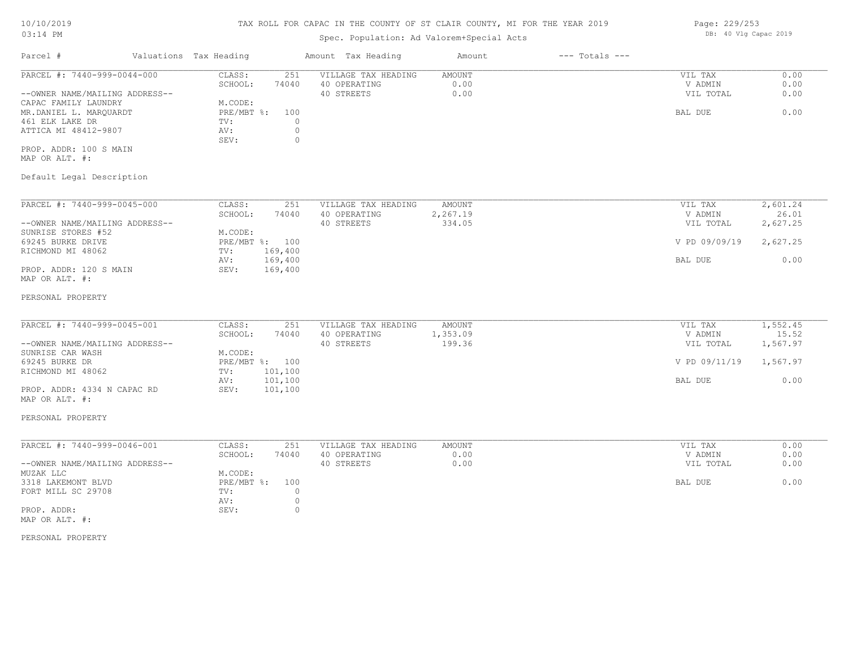# TAX ROLL FOR CAPAC IN THE COUNTY OF ST CLAIR COUNTY, MI FOR THE YEAR 2019

# Spec. Population: Ad Valorem+Special Acts

| Parcel #                       | Valuations Tax Heading |       | Amount Tax Heading  | Amount | $---$ Totals $---$ |           |      |
|--------------------------------|------------------------|-------|---------------------|--------|--------------------|-----------|------|
| PARCEL #: 7440-999-0044-000    | CLASS:                 | 251   | VILLAGE TAX HEADING | AMOUNT |                    | VIL TAX   | 0.00 |
|                                | SCHOOL:                | 74040 | 40 OPERATING        | 0.00   |                    | V ADMIN   | 0.00 |
| --OWNER NAME/MAILING ADDRESS-- |                        |       | 40 STREETS          | 0.00   |                    | VIL TOTAL | 0.00 |
| CAPAC FAMILY LAUNDRY           | M.CODE:                |       |                     |        |                    |           |      |
| MR.DANIEL L. MAROUARDT         | PRE/MBT %: 100         |       |                     |        |                    | BAL DUE   | 0.00 |
| 461 ELK LAKE DR                | TV:                    |       |                     |        |                    |           |      |
| ATTICA MI 48412-9807           | AV:                    |       |                     |        |                    |           |      |
|                                | SEV:                   |       |                     |        |                    |           |      |
| PROP. ADDR: 100 S MAIN         |                        |       |                     |        |                    |           |      |
|                                |                        |       |                     |        |                    |           |      |

MAP OR ALT. #:

# Default Legal Description

| PARCEL #: 7440-999-0045-000    | CLASS:     | 251     | VILLAGE TAX HEADING | AMOUNT   | VIL TAX       | 2,601.24 |
|--------------------------------|------------|---------|---------------------|----------|---------------|----------|
|                                | SCHOOL:    | 74040   | 40 OPERATING        | 2,267.19 | V ADMIN       | 26.01    |
| --OWNER NAME/MAILING ADDRESS-- |            |         | 40 STREETS          | 334.05   | VIL TOTAL     | 2,627.25 |
| SUNRISE STORES #52             | M.CODE:    |         |                     |          |               |          |
| 69245 BURKE DRIVE              | PRE/MBT %: | 100     |                     |          | V PD 09/09/19 | 2,627.25 |
| RICHMOND MI 48062              | TV:        | 169,400 |                     |          |               |          |
|                                | AV:        | 169,400 |                     |          | BAL DUE       | 0.00     |
| PROP. ADDR: 120 S MAIN         | SEV:       | 169,400 |                     |          |               |          |
| MAP OR ALT. #:                 |            |         |                     |          |               |          |

### PERSONAL PROPERTY

| PARCEL #: 7440-999-0045-001    | CLASS:  | 251            | VILLAGE TAX HEADING | AMOUNT  | VIL TAX                | 1,552.45 |
|--------------------------------|---------|----------------|---------------------|---------|------------------------|----------|
|                                | SCHOOL: | 74040          | 40 OPERATING        | ,353.09 | V ADMIN                | 15.52    |
| --OWNER NAME/MAILING ADDRESS-- |         |                | 40 STREETS          | 199.36  | VIL TOTAL              | 1,567.97 |
| SUNRISE CAR WASH               | M.CODE: |                |                     |         |                        |          |
| 69245 BURKE DR                 |         | PRE/MBT %: 100 |                     |         | V PD 09/11/19 1,567.97 |          |
| RICHMOND MI 48062              | TV:     | 101,100        |                     |         |                        |          |
|                                | AV:     | 101,100        |                     |         | BAL DUE                | 0.00     |
| PROP. ADDR: 4334 N CAPAC RD    | SEV:    | 101,100        |                     |         |                        |          |

 $\_$  , and the state of the state of the state of the state of the state of the state of the state of the state of the state of the state of the state of the state of the state of the state of the state of the state of the

MAP OR ALT. #:

#### PERSONAL PROPERTY

| PARCEL #: 7440-999-0046-001    | CLASS:         | 251   | VILLAGE TAX HEADING | AMOUNT | VIL TAX   | 0.00 |
|--------------------------------|----------------|-------|---------------------|--------|-----------|------|
|                                | SCHOOL:        | 74040 | 40 OPERATING        | 0.00   | V ADMIN   | 0.00 |
| --OWNER NAME/MAILING ADDRESS-- |                |       | 40 STREETS          | 0.00   | VIL TOTAL | 0.00 |
| MUZAK LLC                      | M.CODE:        |       |                     |        |           |      |
| 3318 LAKEMONT BLVD             | PRE/MBT %: 100 |       |                     |        | BAL DUE   | 0.00 |
| FORT MILL SC 29708             | TV:            |       |                     |        |           |      |
|                                | AV:            |       |                     |        |           |      |
| PROP. ADDR:                    | SEV:           |       |                     |        |           |      |
| MAP OR ALT. #:                 |                |       |                     |        |           |      |

#### PERSONAL PROPERTY

Page: 229/253 DB: 40 Vlg Capac 2019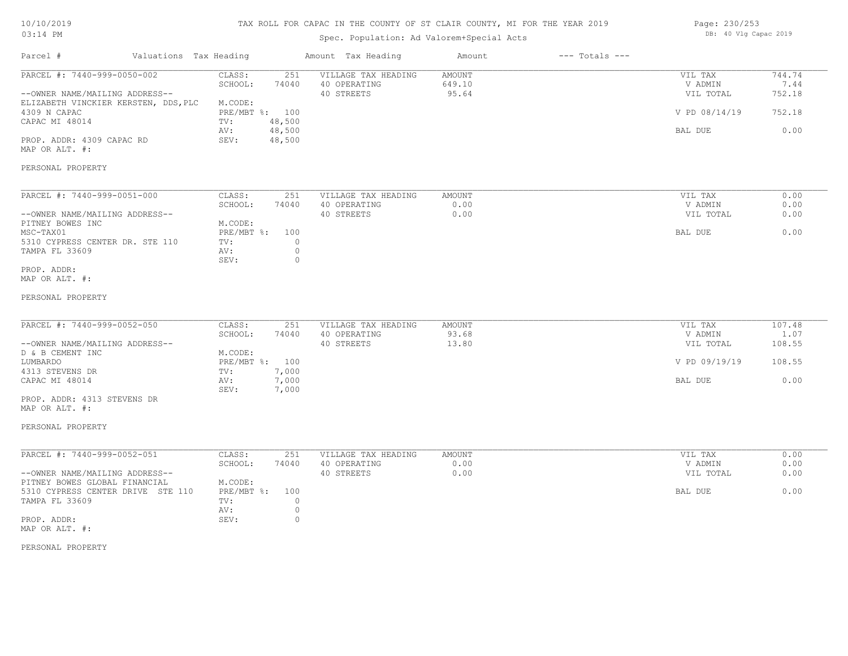## TAX ROLL FOR CAPAC IN THE COUNTY OF ST CLAIR COUNTY, MI FOR THE YEAR 2019

# Spec. Population: Ad Valorem+Special Acts

| Page: 230/253 |  |                       |  |
|---------------|--|-----------------------|--|
|               |  | DB: 40 Vlg Capac 2019 |  |

| Parcel #                                                                                                                                                                               | Valuations Tax Heading               |                                                                                                    | Amount Tax Heading                                                                                        | Amount                           | $---$ Totals $---$ |                                                             |                                            |
|----------------------------------------------------------------------------------------------------------------------------------------------------------------------------------------|--------------------------------------|----------------------------------------------------------------------------------------------------|-----------------------------------------------------------------------------------------------------------|----------------------------------|--------------------|-------------------------------------------------------------|--------------------------------------------|
| PARCEL #: 7440-999-0050-002<br>--OWNER NAME/MAILING ADDRESS--<br>4309 N CAPAC<br>CAPAC MI 48014<br>PROP. ADDR: 4309 CAPAC RD<br>MAP OR ALT. #:                                         | ELIZABETH VINCKIER KERSTEN, DDS, PLC | CLASS:<br>SCHOOL:<br>M.CODE:<br>PRE/MBT %: 100<br>48,500<br>TV:<br>48,500<br>AV:<br>48,500<br>SEV: | 251<br>VILLAGE TAX HEADING<br>74040<br>40 OPERATING<br>40 STREETS                                         | <b>AMOUNT</b><br>649.10<br>95.64 |                    | VIL TAX<br>V ADMIN<br>VIL TOTAL<br>V PD 08/14/19<br>BAL DUE | 744.74<br>7.44<br>752.18<br>752.18<br>0.00 |
| PERSONAL PROPERTY                                                                                                                                                                      |                                      |                                                                                                    |                                                                                                           |                                  |                    |                                                             |                                            |
| PARCEL #: 7440-999-0051-000<br>--OWNER NAME/MAILING ADDRESS--<br>PITNEY BOWES INC<br>MSC-TAX01<br>5310 CYPRESS CENTER DR. STE 110<br>TAMPA FL 33609<br>PROP. ADDR:<br>MAP OR ALT. #:   |                                      | CLASS:<br>SCHOOL:<br>M.CODE:<br>PRE/MBT %:<br>TV:<br>AV:<br>SEV:                                   | 251<br>VILLAGE TAX HEADING<br>74040<br>40 OPERATING<br>40 STREETS<br>100<br>$\circ$<br>$\circ$<br>$\circ$ | AMOUNT<br>0.00<br>0.00           |                    | VIL TAX<br>V ADMIN<br>VIL TOTAL<br>BAL DUE                  | 0.00<br>0.00<br>0.00<br>0.00               |
| PERSONAL PROPERTY                                                                                                                                                                      |                                      |                                                                                                    |                                                                                                           |                                  |                    |                                                             |                                            |
| PARCEL #: 7440-999-0052-050<br>--OWNER NAME/MAILING ADDRESS--<br>D & B CEMENT INC<br>LUMBARDO<br>4313 STEVENS DR<br>CAPAC MI 48014<br>PROP. ADDR: 4313 STEVENS DR<br>MAP OR ALT. #:    |                                      | CLASS:<br>SCHOOL:<br>M.CODE:<br>PRE/MBT %: 100<br>TV:<br>AV:<br>SEV:                               | 251<br>VILLAGE TAX HEADING<br>74040<br>40 OPERATING<br>40 STREETS<br>7,000<br>7,000<br>7,000              | AMOUNT<br>93.68<br>13.80         |                    | VIL TAX<br>V ADMIN<br>VIL TOTAL<br>V PD 09/19/19<br>BAL DUE | 107.48<br>1.07<br>108.55<br>108.55<br>0.00 |
| PERSONAL PROPERTY                                                                                                                                                                      |                                      |                                                                                                    |                                                                                                           |                                  |                    |                                                             |                                            |
| PARCEL #: 7440-999-0052-051<br>--OWNER NAME/MAILING ADDRESS--<br>PITNEY BOWES GLOBAL FINANCIAL<br>5310 CYPRESS CENTER DRIVE STE 110<br>TAMPA FL 33609<br>PROP. ADDR:<br>MAP OR ALT. #: |                                      | CLASS:<br>SCHOOL:<br>M.CODE:<br>$PRE/MBT$ $\div$<br>TV:<br>AV:<br>SEV:                             | 251<br>VILLAGE TAX HEADING<br>74040<br>40 OPERATING<br>40 STREETS<br>100<br>$\circ$<br>$\circ$<br>$\circ$ | AMOUNT<br>0.00<br>0.00           |                    | VIL TAX<br>V ADMIN<br>VIL TOTAL<br>BAL DUE                  | 0.00<br>0.00<br>0.00<br>0.00               |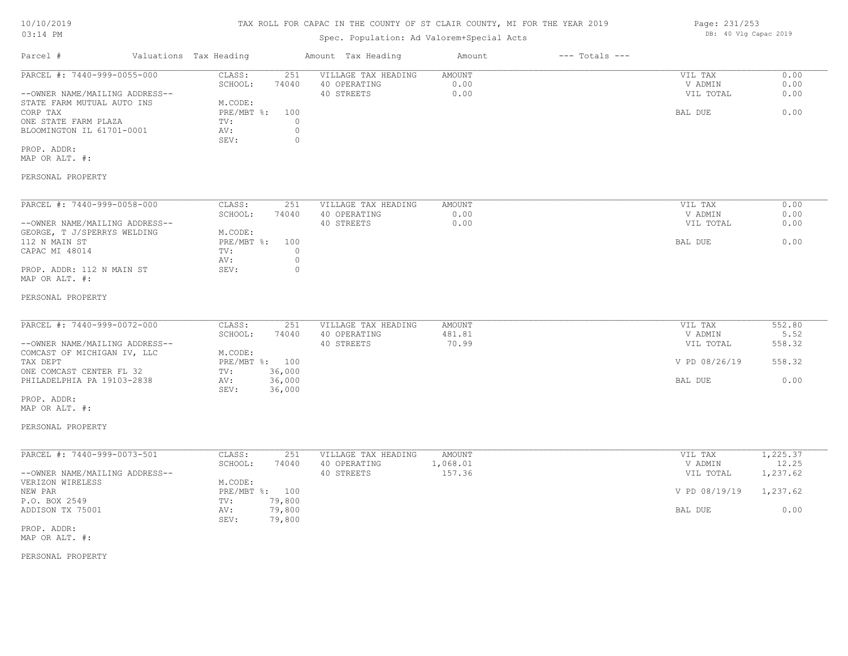## TAX ROLL FOR CAPAC IN THE COUNTY OF ST CLAIR COUNTY, MI FOR THE YEAR 2019

# Spec. Population: Ad Valorem+Special Acts

| Parcel #                       | Valuations Tax Heading |       | Amount Tax Heading  | Amount | $---$ Totals $---$ |           |      |
|--------------------------------|------------------------|-------|---------------------|--------|--------------------|-----------|------|
| PARCEL #: 7440-999-0055-000    | CLASS:                 | 251   | VILLAGE TAX HEADING | AMOUNT |                    | VIL TAX   | 0.00 |
|                                | SCHOOL:                | 74040 | 40 OPERATING        | 0.00   |                    | V ADMIN   | 0.00 |
| --OWNER NAME/MAILING ADDRESS-- |                        |       | 40 STREETS          | 0.00   |                    | VIL TOTAL | 0.00 |
| STATE FARM MUTUAL AUTO INS     | M.CODE:                |       |                     |        |                    |           |      |
| CORP TAX                       | $PRE/MBT$ %:           | 100   |                     |        |                    | BAL DUE   | 0.00 |
| ONE STATE FARM PLAZA           | TV:                    |       |                     |        |                    |           |      |
| BLOOMINGTON IL 61701-0001      | AV:                    |       |                     |        |                    |           |      |
|                                | SEV:                   |       |                     |        |                    |           |      |
| PROP. ADDR:                    |                        |       |                     |        |                    |           |      |
| MAP OR ALT. #:                 |                        |       |                     |        |                    |           |      |
|                                |                        |       |                     |        |                    |           |      |

### PERSONAL PROPERTY

| PARCEL #: 7440-999-0058-000    | CLASS:     | 251   | VILLAGE TAX HEADING | AMOUNT | VIL TAX   | 0.00 |
|--------------------------------|------------|-------|---------------------|--------|-----------|------|
|                                | SCHOOL:    | 74040 | 40 OPERATING        | 0.00   | V ADMIN   | 0.00 |
| --OWNER NAME/MAILING ADDRESS-- |            |       | 40 STREETS          | 0.00   | VIL TOTAL | 0.00 |
| GEORGE, T J/SPERRYS WELDING    | M.CODE:    |       |                     |        |           |      |
| 112 N MAIN ST                  | PRE/MBT %: | 100   |                     |        | BAL DUE   | 0.00 |
| CAPAC MI 48014                 | TV:        |       |                     |        |           |      |
|                                | AV:        |       |                     |        |           |      |
| PROP. ADDR: 112 N MAIN ST      | SEV:       |       |                     |        |           |      |
| MAP OR ALT. #:                 |            |       |                     |        |           |      |

#### PERSONAL PROPERTY

| PARCEL #: 7440-999-0072-000    | CLASS:  | 251            | VILLAGE TAX HEADING | AMOUNT | VIL TAX       | 552.80 |
|--------------------------------|---------|----------------|---------------------|--------|---------------|--------|
|                                | SCHOOL: | 74040          | 40 OPERATING        | 481.81 | V ADMIN       | 5.52   |
| --OWNER NAME/MAILING ADDRESS-- |         |                | 40 STREETS          | 70.99  | VIL TOTAL     | 558.32 |
| COMCAST OF MICHIGAN IV, LLC    | M.CODE: |                |                     |        |               |        |
| TAX DEPT                       |         | PRE/MBT %: 100 |                     |        | V PD 08/26/19 | 558.32 |
| ONE COMCAST CENTER FL 32       | TV:     | 36,000         |                     |        |               |        |
| PHILADELPHIA PA 19103-2838     | AV:     | 36,000         |                     |        | BAL DUE       | 0.00   |
|                                | SEV:    | 36,000         |                     |        |               |        |
| PROP. ADDR:                    |         |                |                     |        |               |        |

MAP OR ALT. #:

#### PERSONAL PROPERTY

| PARCEL #: 7440-999-0073-501    | CLASS:     | 251    | VILLAGE TAX HEADING | AMOUNT   | VIL TAX       | ., 225.37 |
|--------------------------------|------------|--------|---------------------|----------|---------------|-----------|
|                                | SCHOOL:    | 74040  | 40 OPERATING        | l,068.01 | V ADMIN       | 12.25     |
| --OWNER NAME/MAILING ADDRESS-- |            |        | 40 STREETS          | 157.36   | VIL TOTAL     | 1,237.62  |
| VERIZON WIRELESS               | M.CODE:    |        |                     |          |               |           |
| NEW PAR                        | PRE/MBT %: | 100    |                     |          | V PD 08/19/19 | 1,237.62  |
| P.O. BOX 2549                  | TV:        | 79,800 |                     |          |               |           |
| ADDISON TX 75001               | AV:        | 79,800 |                     |          | BAL DUE       | 0.00      |
|                                | SEV:       | 79,800 |                     |          |               |           |

MAP OR ALT. #: PROP. ADDR:

PERSONAL PROPERTY

Page: 231/253 DB: 40 Vlg Capac 2019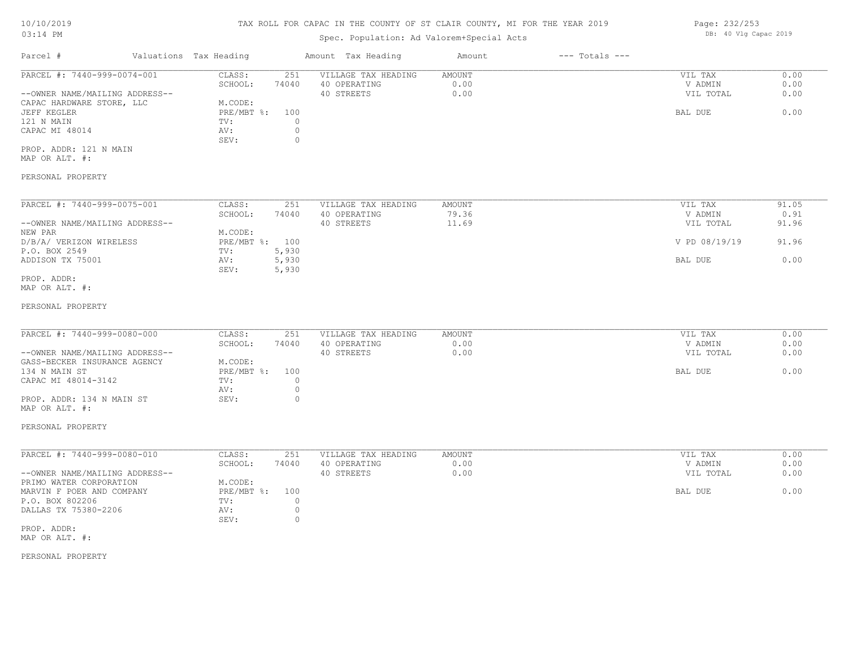## TAX ROLL FOR CAPAC IN THE COUNTY OF ST CLAIR COUNTY, MI FOR THE YEAR 2019

# Spec. Population: Ad Valorem+Special Acts

| Parcel #                       | Valuations Tax Heading |       | Amount Tax Heading  | Amount | $---$ Totals $---$ |           |      |
|--------------------------------|------------------------|-------|---------------------|--------|--------------------|-----------|------|
| PARCEL #: 7440-999-0074-001    | CLASS:                 | 251   | VILLAGE TAX HEADING | AMOUNT |                    | VIL TAX   | 0.00 |
|                                | SCHOOL:                | 74040 | 40 OPERATING        | 0.00   |                    | V ADMIN   | 0.00 |
| --OWNER NAME/MAILING ADDRESS-- |                        |       | 40 STREETS          | 0.00   |                    | VIL TOTAL | 0.00 |
| CAPAC HARDWARE STORE, LLC      | M.CODE:                |       |                     |        |                    |           |      |
| JEFF KEGLER                    | PRE/MBT %:             | 100   |                     |        |                    | BAL DUE   | 0.00 |
| 121 N MAIN                     | TV:                    |       |                     |        |                    |           |      |
| CAPAC MI 48014                 | AV:                    |       |                     |        |                    |           |      |
|                                | SEV:                   |       |                     |        |                    |           |      |
| PROP. ADDR: 121 N MAIN         |                        |       |                     |        |                    |           |      |

MAP OR ALT. #:

### PERSONAL PROPERTY

| PARCEL #: 7440-999-0075-001    | CLASS:     | 251   | VILLAGE TAX HEADING | AMOUNT | VIL TAX       | 91.05 |
|--------------------------------|------------|-------|---------------------|--------|---------------|-------|
|                                | SCHOOL:    | 74040 | 40 OPERATING        | 79.36  | V ADMIN       | 0.91  |
| --OWNER NAME/MAILING ADDRESS-- |            |       | 40 STREETS          | 11.69  | VIL TOTAL     | 91.96 |
| NEW PAR                        | M.CODE:    |       |                     |        |               |       |
| D/B/A/ VERIZON WIRELESS        | PRE/MBT %: | 100   |                     |        | V PD 08/19/19 | 91.96 |
| P.O. BOX 2549                  | TV:        | 5,930 |                     |        |               |       |
| ADDISON TX 75001               | AV:        | 5,930 |                     |        | BAL DUE       | 0.00  |
|                                | SEV:       | 5,930 |                     |        |               |       |
| PROP. ADDR:                    |            |       |                     |        |               |       |

## MAP OR ALT. #:

#### PERSONAL PROPERTY

| PARCEL #: 7440-999-0080-000    | CLASS:       | 251   | VILLAGE TAX HEADING | AMOUNT | VIL TAX   | 0.00 |
|--------------------------------|--------------|-------|---------------------|--------|-----------|------|
|                                |              |       |                     |        |           |      |
|                                | SCHOOL:      | 74040 | 40 OPERATING        | 0.00   | V ADMIN   | 0.00 |
| --OWNER NAME/MAILING ADDRESS-- |              |       | 40 STREETS          | 0.00   | VIL TOTAL | 0.00 |
| GASS-BECKER INSURANCE AGENCY   | M.CODE:      |       |                     |        |           |      |
| 134 N MAIN ST                  | $PRE/MBT$ %: | 100   |                     |        | BAL DUE   | 0.00 |
| CAPAC MI 48014-3142            | TV:          |       |                     |        |           |      |
|                                | AV:          |       |                     |        |           |      |
| PROP. ADDR: 134 N MAIN ST      | SEV:         |       |                     |        |           |      |

#### PERSONAL PROPERTY

MAP OR ALT. #:

| PARCEL #: 7440-999-0080-010    | CLASS:       | 251   | VILLAGE TAX HEADING | AMOUNT | VIL TAX   | 0.00 |
|--------------------------------|--------------|-------|---------------------|--------|-----------|------|
|                                | SCHOOL:      | 74040 | 40 OPERATING        | 0.00   | V ADMIN   | 0.00 |
| --OWNER NAME/MAILING ADDRESS-- |              |       | 40 STREETS          | 0.00   | VIL TOTAL | 0.00 |
| PRIMO WATER CORPORATION        | M.CODE:      |       |                     |        |           |      |
| MARVIN F POER AND COMPANY      | $PRE/MBT$ %: | 100   |                     |        | BAL DUE   | 0.00 |
| P.O. BOX 802206                | TV:          |       |                     |        |           |      |
| DALLAS TX 75380-2206           | AV:          |       |                     |        |           |      |
|                                | SEV:         |       |                     |        |           |      |
| PROP. ADDR:                    |              |       |                     |        |           |      |

MAP OR ALT. #:

### PERSONAL PROPERTY

Page: 232/253 DB: 40 Vlg Capac 2019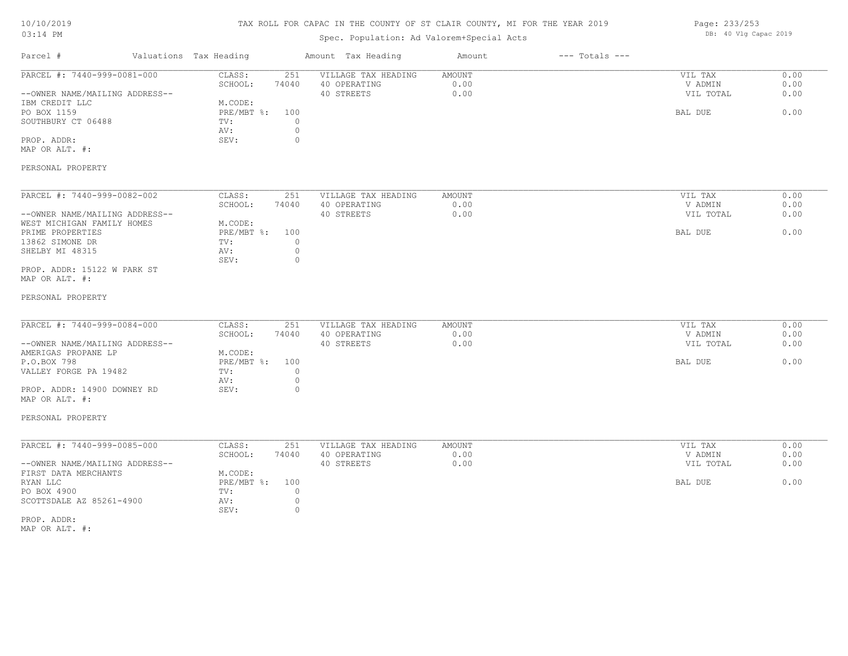# TAX ROLL FOR CAPAC IN THE COUNTY OF ST CLAIR COUNTY, MI FOR THE YEAR 2019

| Page: 233/253 |  |                       |  |
|---------------|--|-----------------------|--|
|               |  | DB: 40 Vlg Capac 2019 |  |

| Parcel #                                         | Valuations Tax Heading | Amount Tax Heading                                  | Amount                | $---$ Totals $---$ |                    |              |
|--------------------------------------------------|------------------------|-----------------------------------------------------|-----------------------|--------------------|--------------------|--------------|
| PARCEL #: 7440-999-0081-000                      | CLASS:<br>SCHOOL:      | 251<br>VILLAGE TAX HEADING<br>74040<br>40 OPERATING | <b>AMOUNT</b><br>0.00 |                    | VIL TAX<br>V ADMIN | 0.00<br>0.00 |
| --OWNER NAME/MAILING ADDRESS--<br>IBM CREDIT LLC | M.CODE:                | 40 STREETS                                          | 0.00                  |                    | VIL TOTAL          | 0.00         |
| PO BOX 1159                                      | PRE/MBT %:             | 100                                                 |                       |                    | BAL DUE            | 0.00         |
| SOUTHBURY CT 06488                               | TV:                    | $\circ$                                             |                       |                    |                    |              |
|                                                  | AV:                    | $\circ$                                             |                       |                    |                    |              |
| PROP. ADDR:<br>MAP OR ALT. #:                    | SEV:                   | $\circ$                                             |                       |                    |                    |              |
| PERSONAL PROPERTY                                |                        |                                                     |                       |                    |                    |              |
| PARCEL #: 7440-999-0082-002                      | CLASS:                 | VILLAGE TAX HEADING<br>251                          | AMOUNT                |                    | VIL TAX            | 0.00         |
|                                                  | SCHOOL:                | 74040<br>40 OPERATING                               | 0.00                  |                    | V ADMIN            | 0.00         |
| --OWNER NAME/MAILING ADDRESS--                   |                        | 40 STREETS                                          | 0.00                  |                    | VIL TOTAL          | 0.00         |
| WEST MICHIGAN FAMILY HOMES                       | M.CODE:                |                                                     |                       |                    |                    |              |
| PRIME PROPERTIES                                 | PRE/MBT %:             | 100<br>$\circ$                                      |                       |                    | BAL DUE            | 0.00         |
| 13862 SIMONE DR<br>SHELBY MI 48315               | TV:<br>AV:             | $\circ$                                             |                       |                    |                    |              |
|                                                  | SEV:                   | $\circ$                                             |                       |                    |                    |              |
| PROP. ADDR: 15122 W PARK ST                      |                        |                                                     |                       |                    |                    |              |
| MAP OR ALT. #:                                   |                        |                                                     |                       |                    |                    |              |
| PERSONAL PROPERTY                                |                        |                                                     |                       |                    |                    |              |
| PARCEL #: 7440-999-0084-000                      | CLASS:                 | 251<br>VILLAGE TAX HEADING                          | <b>AMOUNT</b>         |                    | VIL TAX            | 0.00         |
|                                                  | SCHOOL:                | 74040<br>40 OPERATING                               | 0.00                  |                    | V ADMIN            | 0.00         |
| --OWNER NAME/MAILING ADDRESS--                   |                        | 40 STREETS                                          | 0.00                  |                    | VIL TOTAL          | 0.00         |
| AMERIGAS PROPANE LP                              | M.CODE:                |                                                     |                       |                    |                    |              |
| P.O.BOX 798                                      | PRE/MBT %: 100         |                                                     |                       |                    | BAL DUE            | 0.00         |
| VALLEY FORGE PA 19482                            | TV:                    | $\circ$                                             |                       |                    |                    |              |
|                                                  | AV:                    | $\circ$                                             |                       |                    |                    |              |
| PROP. ADDR: 14900 DOWNEY RD<br>MAP OR ALT. #:    | SEV:                   | $\circ$                                             |                       |                    |                    |              |
| PERSONAL PROPERTY                                |                        |                                                     |                       |                    |                    |              |
| PARCEL #: 7440-999-0085-000                      | CLASS:                 | 251<br>VILLAGE TAX HEADING                          | AMOUNT                |                    | VIL TAX            | 0.00         |
|                                                  | SCHOOL:                | 74040<br>40 OPERATING                               | 0.00                  |                    | V ADMIN            | 0.00         |
| --OWNER NAME/MAILING ADDRESS--                   |                        | 40 STREETS                                          | 0.00                  |                    | VIL TOTAL          | 0.00         |
| FIRST DATA MERCHANTS                             | M.CODE:                |                                                     |                       |                    |                    |              |
| RYAN LLC                                         | $PRE/MBT$ $\div$       | 100                                                 |                       |                    | BAL DUE            | 0.00         |
| PO BOX 4900                                      | TV:                    | $\circ$                                             |                       |                    |                    |              |
| SCOTTSDALE AZ 85261-4900                         | AV:<br>SEV:            | $\circ$<br>$\circ$                                  |                       |                    |                    |              |
| PROP. ADDR:                                      |                        |                                                     |                       |                    |                    |              |
| MAP OR ALT. #:                                   |                        |                                                     |                       |                    |                    |              |
|                                                  |                        |                                                     |                       |                    |                    |              |
|                                                  |                        |                                                     |                       |                    |                    |              |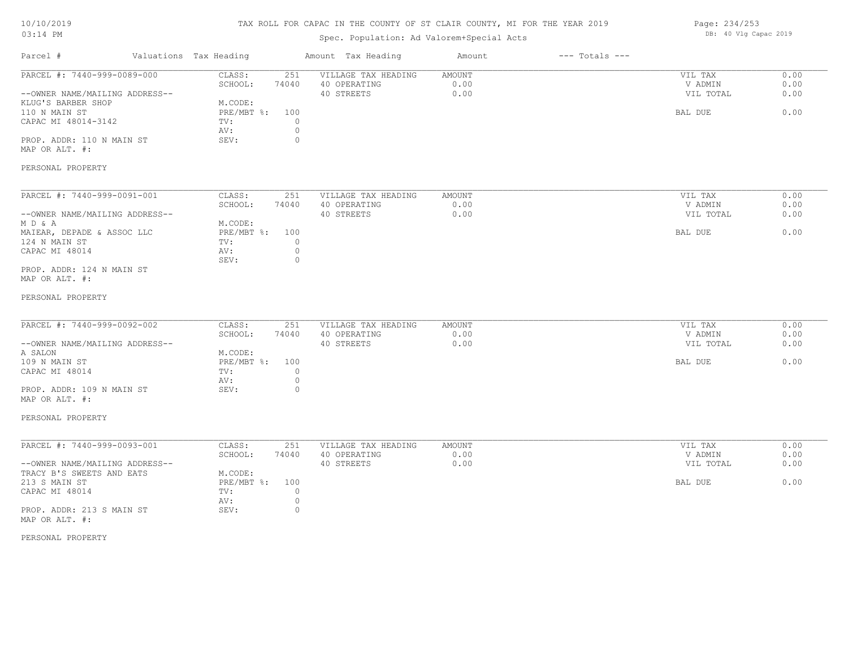# TAX ROLL FOR CAPAC IN THE COUNTY OF ST CLAIR COUNTY, MI FOR THE YEAR 2019

# Spec. Population: Ad Valorem+Special Acts

| Page: 234/253 |  |                       |  |
|---------------|--|-----------------------|--|
|               |  | DB: 40 Vlg Capac 2019 |  |

| Parcel #                                                                                                                                                                                 | Valuations Tax Heading                                                                                                   | Amount Tax Heading                                | Amount                 | $---$ Totals $---$ |                                            |                              |
|------------------------------------------------------------------------------------------------------------------------------------------------------------------------------------------|--------------------------------------------------------------------------------------------------------------------------|---------------------------------------------------|------------------------|--------------------|--------------------------------------------|------------------------------|
| PARCEL #: 7440-999-0089-000<br>--OWNER NAME/MAILING ADDRESS--<br>KLUG'S BARBER SHOP<br>110 N MAIN ST<br>CAPAC MI 48014-3142<br>PROP. ADDR: 110 N MAIN ST<br>MAP OR ALT. #:               | CLASS:<br>251<br>SCHOOL:<br>74040<br>M.CODE:<br>$PRE/MBT$ $\div$<br>100<br>TV:<br>0<br>AV:<br>0<br>$\circ$<br>SEV:       | VILLAGE TAX HEADING<br>40 OPERATING<br>40 STREETS | AMOUNT<br>0.00<br>0.00 |                    | VIL TAX<br>V ADMIN<br>VIL TOTAL<br>BAL DUE | 0.00<br>0.00<br>0.00<br>0.00 |
| PERSONAL PROPERTY                                                                                                                                                                        |                                                                                                                          |                                                   |                        |                    |                                            |                              |
| PARCEL #: 7440-999-0091-001<br>--OWNER NAME/MAILING ADDRESS--<br>M D & A<br>MAIEAR, DEPADE & ASSOC LLC<br>124 N MAIN ST<br>CAPAC MI 48014<br>PROP. ADDR: 124 N MAIN ST<br>MAP OR ALT. #: | CLASS:<br>251<br>SCHOOL:<br>74040<br>M.CODE:<br>PRE/MBT %:<br>100<br>TV:<br>$\circ$<br>$\circ$<br>AV:<br>SEV:<br>$\circ$ | VILLAGE TAX HEADING<br>40 OPERATING<br>40 STREETS | AMOUNT<br>0.00<br>0.00 |                    | VIL TAX<br>V ADMIN<br>VIL TOTAL<br>BAL DUE | 0.00<br>0.00<br>0.00<br>0.00 |
| PERSONAL PROPERTY                                                                                                                                                                        |                                                                                                                          |                                                   |                        |                    |                                            |                              |
| PARCEL #: 7440-999-0092-002<br>--OWNER NAME/MAILING ADDRESS--<br>A SALON<br>109 N MAIN ST<br>CAPAC MI 48014                                                                              | CLASS:<br>251<br>SCHOOL:<br>74040<br>M.CODE:<br>PRE/MBT %:<br>100<br>$\circ$<br>TV:<br>$\circ$<br>AV:                    | VILLAGE TAX HEADING<br>40 OPERATING<br>40 STREETS | AMOUNT<br>0.00<br>0.00 |                    | VIL TAX<br>V ADMIN<br>VIL TOTAL<br>BAL DUE | 0.00<br>0.00<br>0.00<br>0.00 |
| PROP. ADDR: 109 N MAIN ST<br>MAP OR ALT. #:                                                                                                                                              | $\circ$<br>SEV:                                                                                                          |                                                   |                        |                    |                                            |                              |
| PERSONAL PROPERTY                                                                                                                                                                        |                                                                                                                          |                                                   |                        |                    |                                            |                              |
| PARCEL #: 7440-999-0093-001<br>--OWNER NAME/MAILING ADDRESS--<br>TRACY B'S SWEETS AND EATS                                                                                               | CLASS:<br>251<br>SCHOOL:<br>74040<br>M.CODE:                                                                             | VILLAGE TAX HEADING<br>40 OPERATING<br>40 STREETS | AMOUNT<br>0.00<br>0.00 |                    | VIL TAX<br>V ADMIN<br>VIL TOTAL            | 0.00<br>0.00<br>0.00         |
| 213 S MAIN ST<br>CAPAC MI 48014<br>PROP. ADDR: 213 S MAIN ST<br>MAP OR ALT. #:                                                                                                           | PRE/MBT %:<br>100<br>$\circ$<br>TV:<br>AV:<br>$\circ$<br>SEV:<br>$\circ$                                                 |                                                   |                        |                    | BAL DUE                                    | 0.00                         |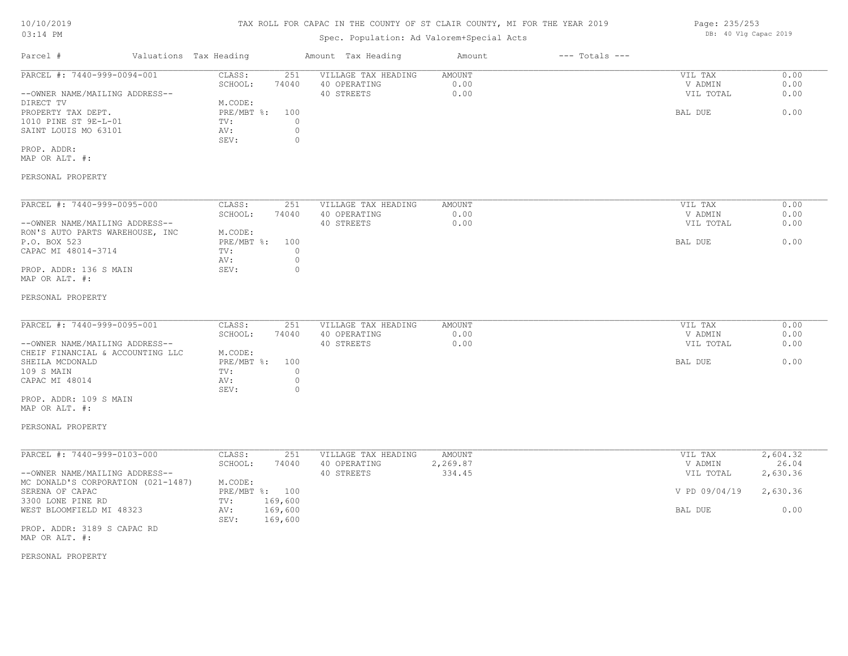## TAX ROLL FOR CAPAC IN THE COUNTY OF ST CLAIR COUNTY, MI FOR THE YEAR 2019

# Spec. Population: Ad Valorem+Special Acts

| Parcel #                       | Valuations Tax Heading |       | Amount Tax Heading  | Amount | $---$ Totals $---$ |           |      |
|--------------------------------|------------------------|-------|---------------------|--------|--------------------|-----------|------|
| PARCEL #: 7440-999-0094-001    | CLASS:                 | 251   | VILLAGE TAX HEADING | AMOUNT |                    | VIL TAX   | 0.00 |
|                                | SCHOOL:                | 74040 | 40 OPERATING        | 0.00   |                    | V ADMIN   | 0.00 |
| --OWNER NAME/MAILING ADDRESS-- |                        |       | 40 STREETS          | 0.00   |                    | VIL TOTAL | 0.00 |
| DIRECT TV                      | M.CODE:                |       |                     |        |                    |           |      |
| PROPERTY TAX DEPT.             | $PRE/MBT$ %:           | 100   |                     |        |                    | BAL DUE   | 0.00 |
| 1010 PINE ST 9E-L-01           | TV:                    |       |                     |        |                    |           |      |
| SAINT LOUIS MO 63101           | AV:                    |       |                     |        |                    |           |      |
|                                | SEV:                   |       |                     |        |                    |           |      |
| PROP. ADDR:                    |                        |       |                     |        |                    |           |      |
| MAP OR ALT. #:                 |                        |       |                     |        |                    |           |      |
|                                |                        |       |                     |        |                    |           |      |

## PERSONAL PROPERTY

| PARCEL #: 7440-999-0095-000     | CLASS:       | 251   | VILLAGE TAX HEADING | AMOUNT | 0.00<br>VIL TAX   |
|---------------------------------|--------------|-------|---------------------|--------|-------------------|
|                                 | SCHOOL:      | 74040 | 40 OPERATING        | 0.00   | 0.00<br>V ADMIN   |
| --OWNER NAME/MAILING ADDRESS--  |              |       | 40 STREETS          | 0.00   | 0.00<br>VIL TOTAL |
| RON'S AUTO PARTS WAREHOUSE, INC | M.CODE:      |       |                     |        |                   |
| P.O. BOX 523                    | $PRE/MBT$ %: | 100   |                     |        | 0.00<br>BAL DUE   |
| CAPAC MI 48014-3714             | TV:          |       |                     |        |                   |
|                                 | AV:          |       |                     |        |                   |
| PROP. ADDR: 136 S MAIN          | SEV:         | 0.    |                     |        |                   |
| MAP OR ALT. #:                  |              |       |                     |        |                   |

#### PERSONAL PROPERTY

| PARCEL #: 7440-999-0095-001      | CLASS:         | 251   | VILLAGE TAX HEADING | AMOUNT | VIL TAX   | 0.00 |
|----------------------------------|----------------|-------|---------------------|--------|-----------|------|
|                                  | SCHOOL:        | 74040 | 40 OPERATING        | 0.00   | V ADMIN   | 0.00 |
| --OWNER NAME/MAILING ADDRESS--   |                |       | 40 STREETS          | 0.00   | VIL TOTAL | 0.00 |
| CHEIF FINANCIAL & ACCOUNTING LLC | M.CODE:        |       |                     |        |           |      |
| SHEILA MCDONALD                  | PRE/MBT %: 100 |       |                     |        | BAL DUE   | 0.00 |
| 109 S MAIN                       | TV:            |       |                     |        |           |      |
| CAPAC MI 48014                   | AV:            |       |                     |        |           |      |
|                                  | SEV:           |       |                     |        |           |      |

MAP OR ALT. #: PROP. ADDR: 109 S MAIN

### PERSONAL PROPERTY

| PARCEL #: 7440-999-0103-000        | CLASS:     | 251     | VILLAGE TAX HEADING | AMOUNT   | VIL TAX       | 2,604.32 |
|------------------------------------|------------|---------|---------------------|----------|---------------|----------|
|                                    | SCHOOL:    | 74040   | 40 OPERATING        | 2,269.87 | V ADMIN       | 26.04    |
| --OWNER NAME/MAILING ADDRESS--     |            |         | 40 STREETS          | 334.45   | VIL TOTAL     | 2,630.36 |
| MC DONALD'S CORPORATION (021-1487) | M.CODE:    |         |                     |          |               |          |
| SERENA OF CAPAC                    | PRE/MBT %: | 100     |                     |          | V PD 09/04/19 | 2,630.36 |
| 3300 LONE PINE RD                  | TV:        | 169,600 |                     |          |               |          |
| WEST BLOOMFIELD MI 48323           | AV:        | 169,600 |                     |          | BAL DUE       | 0.00     |
|                                    | SEV:       | 169,600 |                     |          |               |          |
| <b>DDAD</b> 3DDD 3100 G G3D3G DD   |            |         |                     |          |               |          |

MAP OR ALT. #: PROP. ADDR: 3189 S CAPAC RD

#### PERSONAL PROPERTY

Page: 235/253 DB: 40 Vlg Capac 2019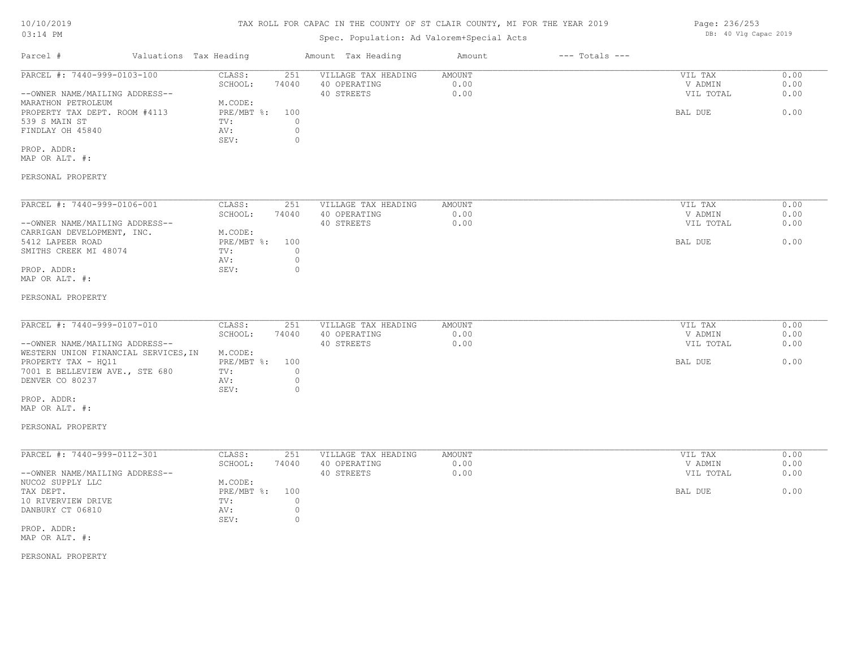# TAX ROLL FOR CAPAC IN THE COUNTY OF ST CLAIR COUNTY, MI FOR THE YEAR 2019

# Spec. Population: Ad Valorem+Special Acts

|                                |                                                                                             |                                                                      |                                                                       | Amount                                                                  | $---$ Totals $---$     |           |                                            |
|--------------------------------|---------------------------------------------------------------------------------------------|----------------------------------------------------------------------|-----------------------------------------------------------------------|-------------------------------------------------------------------------|------------------------|-----------|--------------------------------------------|
| PARCEL #: 7440-999-0103-100    | CLASS:                                                                                      | 251                                                                  | VILLAGE TAX HEADING                                                   | AMOUNT                                                                  |                        | VIL TAX   | 0.00                                       |
|                                | SCHOOL:                                                                                     | 74040                                                                | 40 OPERATING                                                          | 0.00                                                                    |                        | V ADMIN   | 0.00                                       |
| --OWNER NAME/MAILING ADDRESS-- |                                                                                             |                                                                      | 40 STREETS                                                            | 0.00                                                                    |                        | VIL TOTAL | 0.00                                       |
|                                | M.CODE:                                                                                     |                                                                      |                                                                       |                                                                         |                        |           |                                            |
| PROPERTY TAX DEPT. ROOM #4113  |                                                                                             | 100                                                                  |                                                                       |                                                                         |                        | BAL DUE   | 0.00                                       |
|                                | TV:                                                                                         |                                                                      |                                                                       |                                                                         |                        |           |                                            |
|                                | AV:                                                                                         | $\circ$                                                              |                                                                       |                                                                         |                        |           |                                            |
|                                | SEV:                                                                                        | $\Omega$                                                             |                                                                       |                                                                         |                        |           |                                            |
|                                |                                                                                             |                                                                      |                                                                       |                                                                         |                        |           |                                            |
|                                |                                                                                             |                                                                      |                                                                       |                                                                         |                        |           |                                            |
|                                |                                                                                             |                                                                      |                                                                       |                                                                         |                        |           |                                            |
|                                |                                                                                             |                                                                      |                                                                       |                                                                         |                        |           | 0.00                                       |
|                                |                                                                                             |                                                                      |                                                                       |                                                                         |                        |           | 0.00                                       |
|                                |                                                                                             |                                                                      |                                                                       |                                                                         |                        |           | 0.00                                       |
|                                |                                                                                             |                                                                      |                                                                       |                                                                         |                        |           |                                            |
|                                |                                                                                             |                                                                      |                                                                       |                                                                         |                        |           | 0.00                                       |
|                                |                                                                                             |                                                                      |                                                                       |                                                                         |                        |           |                                            |
|                                |                                                                                             |                                                                      |                                                                       |                                                                         |                        |           |                                            |
|                                | SEV:                                                                                        | $\circ$                                                              |                                                                       |                                                                         |                        |           |                                            |
|                                |                                                                                             |                                                                      |                                                                       |                                                                         |                        |           |                                            |
|                                |                                                                                             |                                                                      |                                                                       |                                                                         |                        |           |                                            |
|                                | PARCEL #: 7440-999-0106-001<br>--OWNER NAME/MAILING ADDRESS--<br>CARRIGAN DEVELOPMENT, INC. | Valuations Tax Heading<br>CLASS:<br>SCHOOL:<br>M.CODE:<br>TV:<br>AV: | PRE/MBT %:<br>251<br>74040<br>PRE/MBT %:<br>100<br>$\circ$<br>$\circ$ | Amount Tax Heading<br>VILLAGE TAX HEADING<br>40 OPERATING<br>40 STREETS | AMOUNT<br>0.00<br>0.00 |           | VIL TAX<br>V ADMIN<br>VIL TOTAL<br>BAL DUE |

| PARCEL #: 7440-999-0107-010          | CLASS:     | 251   | VILLAGE TAX HEADING | AMOUNT | VIL TAX   | 0.00 |
|--------------------------------------|------------|-------|---------------------|--------|-----------|------|
|                                      | SCHOOL:    | 74040 | 40 OPERATING        | 0.00   | V ADMIN   | 0.00 |
| --OWNER NAME/MAILING ADDRESS--       |            |       | 40 STREETS          | 0.00   | VIL TOTAL | 0.00 |
| WESTERN UNION FINANCIAL SERVICES, IN | M.CODE:    |       |                     |        |           |      |
| PROPERTY TAX - HO11                  | PRE/MBT %: | 100   |                     |        | BAL DUE   | 0.00 |
| 7001 E BELLEVIEW AVE., STE 680       | TV:        |       |                     |        |           |      |
| DENVER CO 80237                      | AV:        |       |                     |        |           |      |
|                                      | SEV:       |       |                     |        |           |      |

MAP OR ALT. #: PROP. ADDR:

PERSONAL PROPERTY

| PARCEL #: 7440-999-0112-301    | CLASS:     | 251   | VILLAGE TAX HEADING | AMOUNT | VIL TAX   | 0.00 |
|--------------------------------|------------|-------|---------------------|--------|-----------|------|
|                                | SCHOOL:    | 74040 | 40 OPERATING        | 0.00   | V ADMIN   | 0.00 |
| --OWNER NAME/MAILING ADDRESS-- |            |       | 40 STREETS          | 0.00   | VIL TOTAL | 0.00 |
| NUCO2 SUPPLY LLC               | M.CODE:    |       |                     |        |           |      |
| TAX DEPT.                      | PRE/MBT %: | 100   |                     |        | BAL DUE   | 0.00 |
| 10 RIVERVIEW DRIVE             | TV:        |       |                     |        |           |      |
| DANBURY CT 06810               | AV:        |       |                     |        |           |      |
|                                | SEV:       |       |                     |        |           |      |
| PROP. ADDR:                    |            |       |                     |        |           |      |

MAP OR ALT. #:

PERSONAL PROPERTY

Page: 236/253 DB: 40 Vlg Capac 2019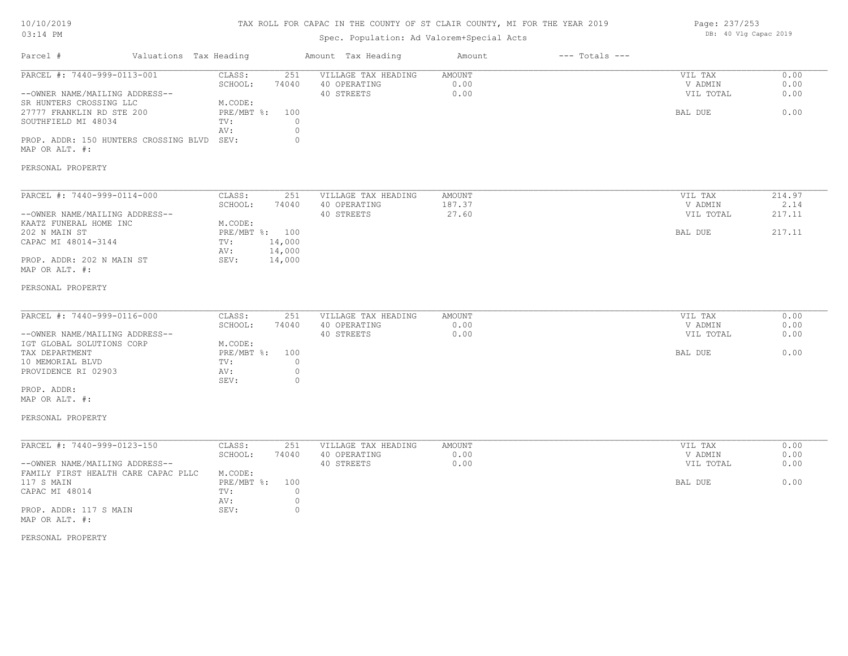# TAX ROLL FOR CAPAC IN THE COUNTY OF ST CLAIR COUNTY, MI FOR THE YEAR 2019

# Spec. Population: Ad Valorem+Special Acts

| Page: 237/253 |  |                       |  |
|---------------|--|-----------------------|--|
|               |  | DB: 40 Vlg Capac 2019 |  |

| Parcel #                                                                                                                                                                                                                          | Valuations Tax Heading |                                                                                                                    | Amount Tax Heading                                                                 | Amount                    | $---$ Totals $---$ |                                            |                                    |
|-----------------------------------------------------------------------------------------------------------------------------------------------------------------------------------------------------------------------------------|------------------------|--------------------------------------------------------------------------------------------------------------------|------------------------------------------------------------------------------------|---------------------------|--------------------|--------------------------------------------|------------------------------------|
| PARCEL #: 7440-999-0113-001<br>--OWNER NAME/MAILING ADDRESS--<br>SR HUNTERS CROSSING LLC<br>27777 FRANKLIN RD STE 200<br>SOUTHFIELD MI 48034<br>PROP. ADDR: 150 HUNTERS CROSSING BLVD SEV:<br>MAP OR ALT. #:<br>PERSONAL PROPERTY |                        | CLASS:<br>251<br>SCHOOL:<br>74040<br>M.CODE:<br>$PRE/MBT$ $\div$<br>100<br>TV:<br>AV:                              | VILLAGE TAX HEADING<br>40 OPERATING<br>40 STREETS<br>$\circ$<br>$\circ$<br>$\circ$ | AMOUNT<br>0.00<br>0.00    |                    | VIL TAX<br>V ADMIN<br>VIL TOTAL<br>BAL DUE | 0.00<br>0.00<br>0.00<br>0.00       |
| PARCEL #: 7440-999-0114-000<br>--OWNER NAME/MAILING ADDRESS--<br>KAATZ FUNERAL HOME INC<br>202 N MAIN ST<br>CAPAC MI 48014-3144<br>PROP. ADDR: 202 N MAIN ST<br>MAP OR ALT. #:<br>PERSONAL PROPERTY                               |                        | CLASS:<br>251<br>SCHOOL:<br>74040<br>M.CODE:<br>PRE/MBT %: 100<br>14,000<br>TV:<br>14,000<br>AV:<br>SEV:<br>14,000 | VILLAGE TAX HEADING<br>40 OPERATING<br>40 STREETS                                  | AMOUNT<br>187.37<br>27.60 |                    | VIL TAX<br>V ADMIN<br>VIL TOTAL<br>BAL DUE | 214.97<br>2.14<br>217.11<br>217.11 |
| PARCEL #: 7440-999-0116-000<br>--OWNER NAME/MAILING ADDRESS--<br>IGT GLOBAL SOLUTIONS CORP<br>TAX DEPARTMENT<br>10 MEMORIAL BLVD<br>PROVIDENCE RI 02903<br>PROP. ADDR:<br>MAP OR ALT. #:<br>PERSONAL PROPERTY                     |                        | CLASS:<br>251<br>SCHOOL:<br>74040<br>M.CODE:<br>PRE/MBT %:<br>100<br>TV:<br>AV:<br>SEV:                            | VILLAGE TAX HEADING<br>40 OPERATING<br>40 STREETS<br>$\circ$<br>$\circ$<br>$\circ$ | AMOUNT<br>0.00<br>0.00    |                    | VIL TAX<br>V ADMIN<br>VIL TOTAL<br>BAL DUE | 0.00<br>0.00<br>0.00<br>0.00       |
| PARCEL #: 7440-999-0123-150<br>--OWNER NAME/MAILING ADDRESS--<br>FAMILY FIRST HEALTH CARE CAPAC PLLC<br>117 S MAIN<br>CAPAC MI 48014<br>PROP. ADDR: 117 S MAIN<br>MAP OR ALT. #:                                                  |                        | CLASS:<br>251<br>SCHOOL:<br>74040<br>M.CODE:<br>$PRE/MBT$ $\div$<br>100<br>TV:<br>AV:<br>SEV:                      | VILLAGE TAX HEADING<br>40 OPERATING<br>40 STREETS<br>$\circ$<br>$\circ$<br>$\circ$ | AMOUNT<br>0.00<br>0.00    |                    | VIL TAX<br>V ADMIN<br>VIL TOTAL<br>BAL DUE | 0.00<br>0.00<br>0.00<br>0.00       |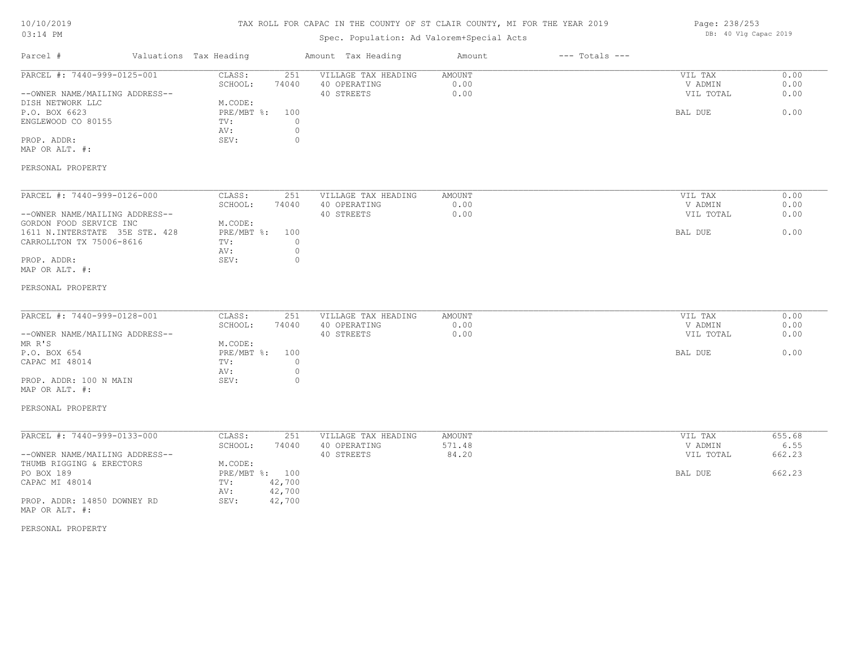# TAX ROLL FOR CAPAC IN THE COUNTY OF ST CLAIR COUNTY, MI FOR THE YEAR 2019

# Spec. Population: Ad Valorem+Special Acts

| Page: 238/253 |  |                       |  |
|---------------|--|-----------------------|--|
|               |  | DB: 40 Vlg Capac 2019 |  |

| Parcel #                                                                                           | Valuations Tax Heading                                                  | Amount Tax Heading                                | Amount                 | $---$ Totals $---$ |                                            |                              |
|----------------------------------------------------------------------------------------------------|-------------------------------------------------------------------------|---------------------------------------------------|------------------------|--------------------|--------------------------------------------|------------------------------|
| PARCEL #: 7440-999-0125-001<br>--OWNER NAME/MAILING ADDRESS--<br>DISH NETWORK LLC<br>P.O. BOX 6623 | CLASS:<br>251<br>SCHOOL:<br>74040<br>M.CODE:<br>$PRE/MBT$ $\div$<br>100 | VILLAGE TAX HEADING<br>40 OPERATING<br>40 STREETS | AMOUNT<br>0.00<br>0.00 |                    | VIL TAX<br>V ADMIN<br>VIL TOTAL<br>BAL DUE | 0.00<br>0.00<br>0.00<br>0.00 |
| ENGLEWOOD CO 80155<br>PROP. ADDR:<br>MAP OR ALT. #:                                                | TV:<br>$\Omega$<br>$\circ$<br>AV:<br>$\circ$<br>SEV:                    |                                                   |                        |                    |                                            |                              |
| PERSONAL PROPERTY                                                                                  |                                                                         |                                                   |                        |                    |                                            |                              |
| PARCEL #: 7440-999-0126-000                                                                        | CLASS:<br>251                                                           | VILLAGE TAX HEADING                               | AMOUNT                 |                    | VIL TAX                                    | 0.00                         |
|                                                                                                    | SCHOOL:<br>74040                                                        | 40 OPERATING                                      | 0.00                   |                    | V ADMIN                                    | 0.00                         |
| --OWNER NAME/MAILING ADDRESS--                                                                     |                                                                         | 40 STREETS                                        | 0.00                   |                    | VIL TOTAL                                  | 0.00                         |
| GORDON FOOD SERVICE INC<br>1611 N. INTERSTATE 35E STE. 428                                         | M.CODE:<br>PRE/MBT %:<br>100                                            |                                                   |                        |                    | BAL DUE                                    | 0.00                         |
| CARROLLTON TX 75006-8616                                                                           | $\circ$<br>TV:<br>$\circ$<br>AV:                                        |                                                   |                        |                    |                                            |                              |
| PROP. ADDR:                                                                                        | $\circ$<br>SEV:                                                         |                                                   |                        |                    |                                            |                              |
| MAP OR ALT. #:                                                                                     |                                                                         |                                                   |                        |                    |                                            |                              |
| PERSONAL PROPERTY                                                                                  |                                                                         |                                                   |                        |                    |                                            |                              |
| PARCEL #: 7440-999-0128-001                                                                        | CLASS:<br>251                                                           | VILLAGE TAX HEADING                               | AMOUNT                 |                    | VIL TAX                                    | 0.00                         |
|                                                                                                    | SCHOOL:<br>74040                                                        | 40 OPERATING                                      | 0.00                   |                    | V ADMIN                                    | 0.00                         |
| --OWNER NAME/MAILING ADDRESS--<br>MR R'S                                                           | M.CODE:                                                                 | 40 STREETS                                        | 0.00                   |                    | VIL TOTAL                                  | 0.00                         |
| P.O. BOX 654                                                                                       | $PRE/MBT$ $\div$<br>100                                                 |                                                   |                        |                    | BAL DUE                                    | 0.00                         |
| CAPAC MI 48014                                                                                     | TV:<br>$\circ$                                                          |                                                   |                        |                    |                                            |                              |
|                                                                                                    | $\circ$<br>AV:                                                          |                                                   |                        |                    |                                            |                              |
| PROP. ADDR: 100 N MAIN<br>MAP OR ALT. #:                                                           | SEV:<br>0                                                               |                                                   |                        |                    |                                            |                              |
| PERSONAL PROPERTY                                                                                  |                                                                         |                                                   |                        |                    |                                            |                              |
| PARCEL #: 7440-999-0133-000                                                                        | CLASS:<br>251                                                           | VILLAGE TAX HEADING                               | AMOUNT                 |                    | VIL TAX                                    | 655.68                       |
|                                                                                                    | SCHOOL:<br>74040                                                        | 40 OPERATING                                      | 571.48                 |                    | V ADMIN                                    | 6.55                         |
| --OWNER NAME/MAILING ADDRESS--                                                                     |                                                                         | 40 STREETS                                        | 84.20                  |                    | VIL TOTAL                                  | 662.23                       |
| THUMB RIGGING & ERECTORS                                                                           | M.CODE:                                                                 |                                                   |                        |                    |                                            |                              |
| PO BOX 189                                                                                         | PRE/MBT %: 100                                                          |                                                   |                        |                    | BAL DUE                                    | 662.23                       |
| CAPAC MI 48014                                                                                     | 42,700<br>TV:                                                           |                                                   |                        |                    |                                            |                              |
| PROP. ADDR: 14850 DOWNEY RD<br>MAP OR ALT. #:                                                      | 42,700<br>AV:<br>SEV:<br>42,700                                         |                                                   |                        |                    |                                            |                              |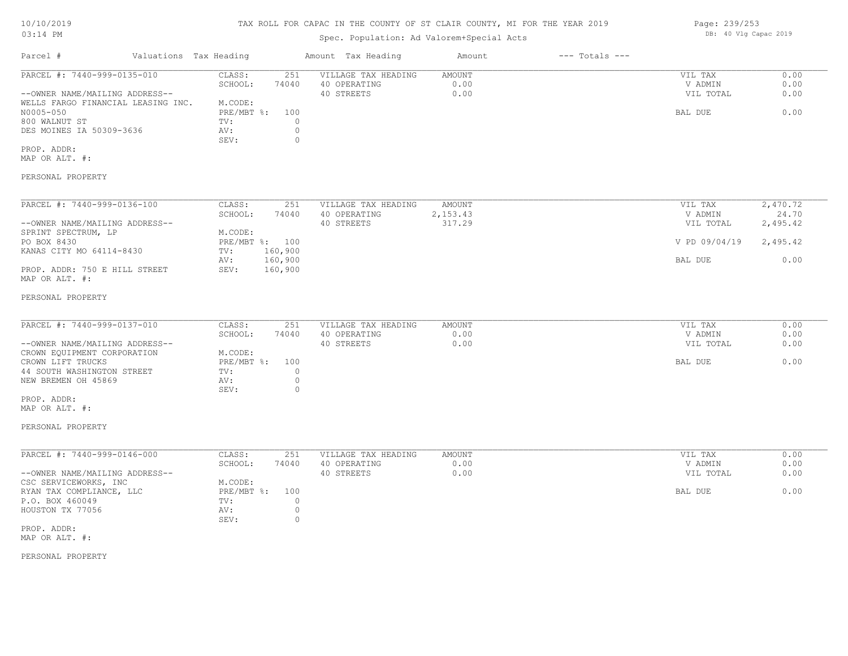# TAX ROLL FOR CAPAC IN THE COUNTY OF ST CLAIR COUNTY, MI FOR THE YEAR 2019

Page: 239/253

DB: 40 Vlg Capac 2019

| Parcel #                                                                                                                                                                                                                     | Valuations Tax Heading |                                                                                |                                                | Amount Tax Heading                                | Amount                              | $---$ Totals $---$ |                                                                      |                                       |
|------------------------------------------------------------------------------------------------------------------------------------------------------------------------------------------------------------------------------|------------------------|--------------------------------------------------------------------------------|------------------------------------------------|---------------------------------------------------|-------------------------------------|--------------------|----------------------------------------------------------------------|---------------------------------------|
| PARCEL #: 7440-999-0135-010<br>--OWNER NAME/MAILING ADDRESS--<br>WELLS FARGO FINANCIAL LEASING INC.<br>N0005-050<br>800 WALNUT ST<br>DES MOINES IA 50309-3636<br>PROP. ADDR:<br>MAP OR ALT. #:<br>PERSONAL PROPERTY          |                        | CLASS:<br>SCHOOL:<br>M.CODE:<br>PRE/MBT %: 100<br>$\text{TV}$ :<br>AV:<br>SEV: | 251<br>74040<br>$\Omega$<br>$\circ$<br>$\circ$ | VILLAGE TAX HEADING<br>40 OPERATING<br>40 STREETS | AMOUNT<br>0.00<br>0.00              |                    | VIL TAX<br>V ADMIN<br>VIL TOTAL<br>BAL DUE                           | 0.00<br>0.00<br>0.00<br>0.00          |
|                                                                                                                                                                                                                              |                        |                                                                                |                                                |                                                   |                                     |                    |                                                                      |                                       |
| PARCEL #: 7440-999-0136-100<br>--OWNER NAME/MAILING ADDRESS--<br>SPRINT SPECTRUM, LP<br>PO BOX 8430<br>KANAS CITY MO 64114-8430<br>PROP. ADDR: 750 E HILL STREET<br>MAP OR ALT. #:                                           |                        | CLASS:<br>SCHOOL:<br>M.CODE:<br>PRE/MBT %: 100<br>TV: 160,900<br>AV:<br>SEV:   | 251<br>74040<br>160,900<br>160,900             | VILLAGE TAX HEADING<br>40 OPERATING<br>40 STREETS | <b>AMOUNT</b><br>2,153.43<br>317.29 |                    | VIL TAX<br>V ADMIN<br>VIL TOTAL<br>V PD 09/04/19 2,495.42<br>BAL DUE | 2,470.72<br>24.70<br>2,495.42<br>0.00 |
| PERSONAL PROPERTY                                                                                                                                                                                                            |                        |                                                                                |                                                |                                                   |                                     |                    |                                                                      |                                       |
| PARCEL #: 7440-999-0137-010<br>--OWNER NAME/MAILING ADDRESS--<br>CROWN EQUIPMENT CORPORATION<br>CROWN LIFT TRUCKS<br>44 SOUTH WASHINGTON STREET<br>NEW BREMEN OH 45869<br>PROP. ADDR:<br>MAP OR ALT. #:<br>PERSONAL PROPERTY |                        | CLASS:<br>SCHOOL:<br>M.CODE:<br>PRE/MBT %: 100<br>TV:<br>AV:<br>SEV:           | 251<br>74040<br>$\circ$<br>$\circ$<br>$\circ$  | VILLAGE TAX HEADING<br>40 OPERATING<br>40 STREETS | AMOUNT<br>0.00<br>0.00              |                    | VIL TAX<br>V ADMIN<br>VIL TOTAL<br>BAL DUE                           | 0.00<br>0.00<br>0.00<br>0.00          |
| PARCEL #: 7440-999-0146-000<br>--OWNER NAME/MAILING ADDRESS--<br>CSC SERVICEWORKS, INC<br>RYAN TAX COMPLIANCE, LLC<br>P.O. BOX 460049<br>HOUSTON TX 77056<br>PROP. ADDR:<br>MAP OR ALT. #:<br>PERSONAL PROPERTY              |                        | CLASS:<br>SCHOOL:<br>M.CODE:<br>PRE/MBT %: 100<br>TV:<br>AV:<br>SEV:           | 251<br>74040<br>$\circ$<br>$\circ$<br>$\circ$  | VILLAGE TAX HEADING<br>40 OPERATING<br>40 STREETS | AMOUNT<br>0.00<br>0.00              |                    | VIL TAX<br>V ADMIN<br>VIL TOTAL<br>BAL DUE                           | 0.00<br>0.00<br>0.00<br>0.00          |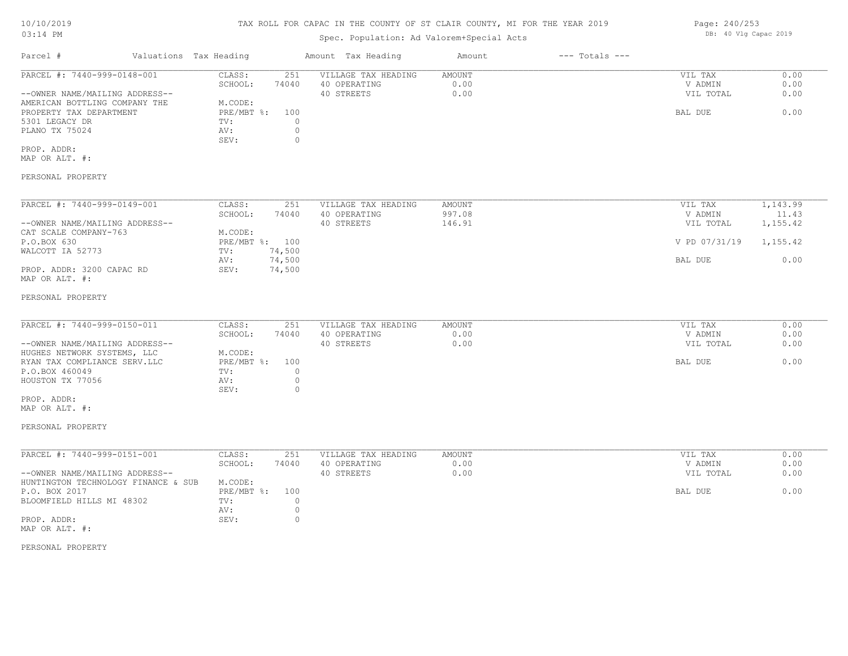# TAX ROLL FOR CAPAC IN THE COUNTY OF ST CLAIR COUNTY, MI FOR THE YEAR 2019

Page: 240/253

DB: 40 Vlg Capac 2019

| Parcel #                                                                                                                                                                                                            | Valuations Tax Heading |                                                                                                                                          | Amount Tax Heading                                | Amount                        | $---$ Totals $---$ |                                                             |                                                   |
|---------------------------------------------------------------------------------------------------------------------------------------------------------------------------------------------------------------------|------------------------|------------------------------------------------------------------------------------------------------------------------------------------|---------------------------------------------------|-------------------------------|--------------------|-------------------------------------------------------------|---------------------------------------------------|
| PARCEL #: 7440-999-0148-001<br>--OWNER NAME/MAILING ADDRESS--<br>AMERICAN BOTTLING COMPANY THE<br>PROPERTY TAX DEPARTMENT<br>5301 LEGACY DR<br>PLANO TX 75024<br>PROP. ADDR:<br>MAP OR ALT. #:<br>PERSONAL PROPERTY |                        | 251<br>CLASS:<br>SCHOOL:<br>74040<br>M.CODE:<br>$PRE/MBT$ $\div$<br>100<br>$\mathbf{0}$<br>TV:<br>$\circ$<br>AV:<br>$\mathbf{0}$<br>SEV: | VILLAGE TAX HEADING<br>40 OPERATING<br>40 STREETS | <b>AMOUNT</b><br>0.00<br>0.00 |                    | VIL TAX<br>V ADMIN<br>VIL TOTAL<br>BAL DUE                  | 0.00<br>0.00<br>0.00<br>0.00                      |
|                                                                                                                                                                                                                     |                        |                                                                                                                                          |                                                   |                               |                    |                                                             |                                                   |
| PARCEL #: 7440-999-0149-001<br>--OWNER NAME/MAILING ADDRESS--<br>CAT SCALE COMPANY-763<br>P.O.BOX 630<br>WALCOTT IA 52773<br>PROP. ADDR: 3200 CAPAC RD<br>MAP OR ALT. #:<br>PERSONAL PROPERTY                       |                        | CLASS:<br>251<br>74040<br>SCHOOL:<br>M.CODE:<br>PRE/MBT %: 100<br>74,500<br>TV:<br>74,500<br>AV:<br>74,500<br>SEV:                       | VILLAGE TAX HEADING<br>40 OPERATING<br>40 STREETS | AMOUNT<br>997.08<br>146.91    |                    | VIL TAX<br>V ADMIN<br>VIL TOTAL<br>V PD 07/31/19<br>BAL DUE | 1,143.99<br>11.43<br>1,155.42<br>1,155.42<br>0.00 |
|                                                                                                                                                                                                                     |                        |                                                                                                                                          |                                                   |                               |                    |                                                             |                                                   |
| PARCEL #: 7440-999-0150-011<br>--OWNER NAME/MAILING ADDRESS--<br>HUGHES NETWORK SYSTEMS, LLC<br>RYAN TAX COMPLIANCE SERV.LLC<br>P.O.BOX 460049<br>HOUSTON TX 77056                                                  |                        | CLASS:<br>251<br>SCHOOL:<br>74040<br>M.CODE:<br>100<br>PRE/MBT %:<br>$\circ$<br>TV:<br>$\circ$<br>AV:<br>SEV:<br>$\circ$                 | VILLAGE TAX HEADING<br>40 OPERATING<br>40 STREETS | AMOUNT<br>0.00<br>0.00        |                    | VIL TAX<br>V ADMIN<br>VIL TOTAL<br>BAL DUE                  | 0.00<br>0.00<br>0.00<br>0.00                      |
| PROP. ADDR:<br>MAP OR ALT. #:<br>PERSONAL PROPERTY                                                                                                                                                                  |                        |                                                                                                                                          |                                                   |                               |                    |                                                             |                                                   |
| PARCEL #: 7440-999-0151-001<br>--OWNER NAME/MAILING ADDRESS--<br>HUNTINGTON TECHNOLOGY FINANCE & SUB<br>P.O. BOX 2017<br>BLOOMFIELD HILLS MI 48302                                                                  |                        | CLASS:<br>251<br>SCHOOL:<br>74040<br>M.CODE:<br>PRE/MBT %:<br>100<br>TV:<br>$\circ$<br>$\circ$<br>AV:                                    | VILLAGE TAX HEADING<br>40 OPERATING<br>40 STREETS | AMOUNT<br>0.00<br>0.00        |                    | VIL TAX<br>V ADMIN<br>VIL TOTAL<br>BAL DUE                  | 0.00<br>0.00<br>0.00<br>0.00                      |
| PROP. ADDR:<br>MAP OR ALT. #:                                                                                                                                                                                       |                        | $\mathbf{0}$<br>SEV:                                                                                                                     |                                                   |                               |                    |                                                             |                                                   |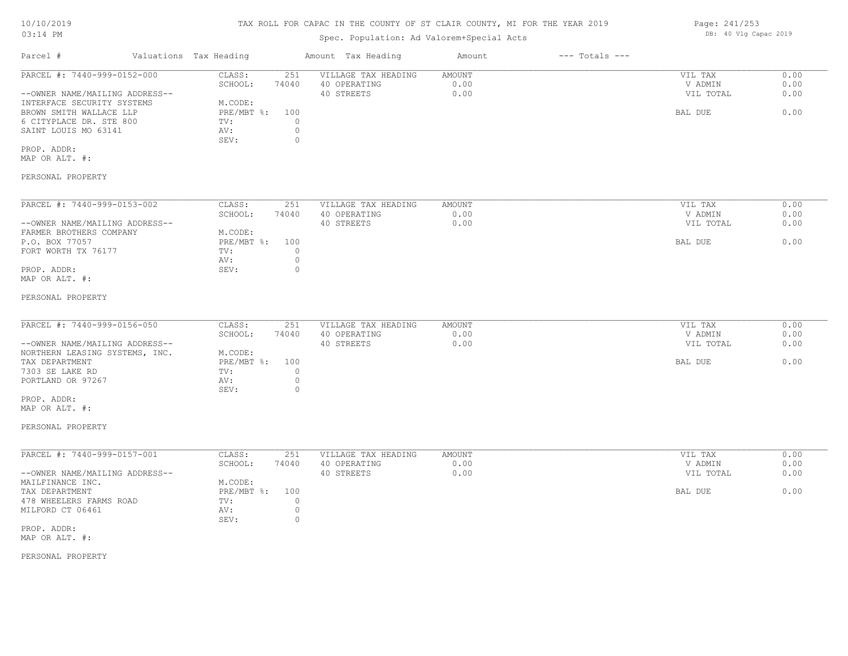## TAX ROLL FOR CAPAC IN THE COUNTY OF ST CLAIR COUNTY, MI FOR THE YEAR 2019

Page: 241/253

DB: 40 Vlg Capac 2019

| Parcel #                                                                                                                                                                                                        | Valuations Tax Heading |                                                                                               | Amount Tax Heading                                                                  | Amount                        | $---$ Totals $---$ |                                            |                              |
|-----------------------------------------------------------------------------------------------------------------------------------------------------------------------------------------------------------------|------------------------|-----------------------------------------------------------------------------------------------|-------------------------------------------------------------------------------------|-------------------------------|--------------------|--------------------------------------------|------------------------------|
| PARCEL #: 7440-999-0152-000<br>--OWNER NAME/MAILING ADDRESS--<br>INTERFACE SECURITY SYSTEMS<br>BROWN SMITH WALLACE LLP<br>6 CITYPLACE DR. STE 800<br>SAINT LOUIS MO 63141<br>PROP. ADDR:<br>MAP OR ALT. #:      |                        | 251<br>CLASS:<br>SCHOOL:<br>74040<br>M.CODE:<br>PRE/MBT %:<br>100<br>TV:<br>AV:<br>SEV:       | VILLAGE TAX HEADING<br>40 OPERATING<br>40 STREETS<br>$\circ$<br>$\circ$<br>$\circ$  | AMOUNT<br>0.00<br>0.00        |                    | VIL TAX<br>V ADMIN<br>VIL TOTAL<br>BAL DUE | 0.00<br>0.00<br>0.00<br>0.00 |
| PERSONAL PROPERTY                                                                                                                                                                                               |                        |                                                                                               |                                                                                     |                               |                    |                                            |                              |
| PARCEL #: 7440-999-0153-002<br>--OWNER NAME/MAILING ADDRESS--<br>FARMER BROTHERS COMPANY<br>P.O. BOX 77057<br>FORT WORTH TX 76177<br>PROP. ADDR:<br>MAP OR ALT. #:                                              |                        | CLASS:<br>251<br>SCHOOL:<br>74040<br>M.CODE:<br>$PRE/MBT$ $\div$<br>100<br>TV:<br>AV:<br>SEV: | VILLAGE TAX HEADING<br>40 OPERATING<br>40 STREETS<br>$\circ$<br>$\circ$<br>$\circ$  | AMOUNT<br>0.00<br>0.00        |                    | VIL TAX<br>V ADMIN<br>VIL TOTAL<br>BAL DUE | 0.00<br>0.00<br>0.00<br>0.00 |
| PERSONAL PROPERTY                                                                                                                                                                                               |                        |                                                                                               |                                                                                     |                               |                    |                                            |                              |
| PARCEL #: 7440-999-0156-050<br>--OWNER NAME/MAILING ADDRESS--<br>NORTHERN LEASING SYSTEMS, INC.<br>TAX DEPARTMENT<br>7303 SE LAKE RD<br>PORTLAND OR 97267<br>PROP. ADDR:<br>MAP OR ALT. #:<br>PERSONAL PROPERTY |                        | CLASS:<br>251<br>SCHOOL:<br>74040<br>M.CODE:<br>$PRE/MBT$ $\div$<br>100<br>TV:<br>AV:<br>SEV: | VILLAGE TAX HEADING<br>40 OPERATING<br>40 STREETS<br>$\Omega$<br>$\circ$<br>$\circ$ | <b>AMOUNT</b><br>0.00<br>0.00 |                    | VIL TAX<br>V ADMIN<br>VIL TOTAL<br>BAL DUE | 0.00<br>0.00<br>0.00<br>0.00 |
| PARCEL #: 7440-999-0157-001<br>--OWNER NAME/MAILING ADDRESS--<br>MAILFINANCE INC.<br>TAX DEPARTMENT<br>478 WHEELERS FARMS ROAD<br>MILFORD CT 06461<br>PROP. ADDR:<br>MAP OR ALT. #:<br>PERSONAL PROPERTY        |                        | 251<br>CLASS:<br>SCHOOL:<br>74040<br>M.CODE:<br>100<br>$PRE/MBT$ $\div$<br>TV:<br>AV:<br>SEV: | VILLAGE TAX HEADING<br>40 OPERATING<br>40 STREETS<br>$\circ$<br>$\circ$<br>$\circ$  | AMOUNT<br>0.00<br>0.00        |                    | VIL TAX<br>V ADMIN<br>VIL TOTAL<br>BAL DUE | 0.00<br>0.00<br>0.00<br>0.00 |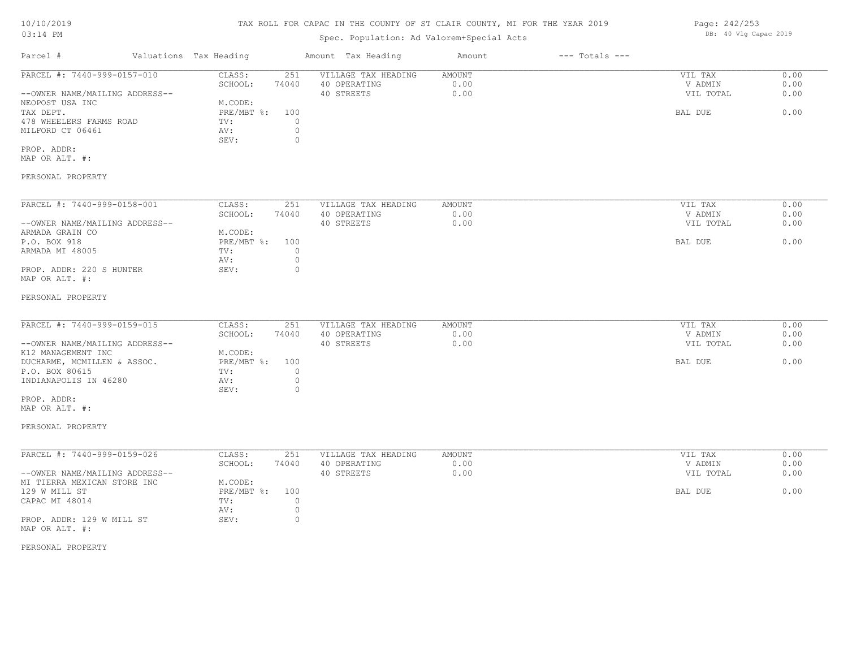# TAX ROLL FOR CAPAC IN THE COUNTY OF ST CLAIR COUNTY, MI FOR THE YEAR 2019

# Spec. Population: Ad Valorem+Special Acts

| Parcel #                       | Valuations Tax Heading |       | Amount Tax Heading  | Amount | $---$ Totals $---$ |           |      |
|--------------------------------|------------------------|-------|---------------------|--------|--------------------|-----------|------|
| PARCEL #: 7440-999-0157-010    | CLASS:                 | 251   | VILLAGE TAX HEADING | AMOUNT |                    | VIL TAX   | 0.00 |
|                                | SCHOOL:                | 74040 | 40 OPERATING        | 0.00   |                    | V ADMIN   | 0.00 |
| --OWNER NAME/MAILING ADDRESS-- |                        |       | 40 STREETS          | 0.00   |                    | VIL TOTAL | 0.00 |
| NEOPOST USA INC                | M.CODE:                |       |                     |        |                    |           |      |
| TAX DEPT.                      | PRE/MBT %: 100         |       |                     |        |                    | BAL DUE   | 0.00 |
| 478 WHEELERS FARMS ROAD        | TV:                    |       |                     |        |                    |           |      |
| MILFORD CT 06461               | AV:                    |       |                     |        |                    |           |      |
|                                | SEV:                   |       |                     |        |                    |           |      |
| PROP. ADDR:                    |                        |       |                     |        |                    |           |      |

MAP OR ALT. #:

## PERSONAL PROPERTY

| PARCEL #: 7440-999-0158-001    | CLASS:     | 251   | VILLAGE TAX HEADING | AMOUNT | VIL TAX   | 0.00 |
|--------------------------------|------------|-------|---------------------|--------|-----------|------|
|                                | SCHOOL:    | 74040 | 40 OPERATING        | 0.00   | V ADMIN   | 0.00 |
| --OWNER NAME/MAILING ADDRESS-- |            |       | 40 STREETS          | 0.00   | VIL TOTAL | 0.00 |
| ARMADA GRAIN CO                | M.CODE:    |       |                     |        |           |      |
| P.O. BOX 918                   | PRE/MBT %: | 100   |                     |        | BAL DUE   | 0.00 |
| ARMADA MI 48005                | TV:        |       |                     |        |           |      |
|                                | AV:        |       |                     |        |           |      |
| PROP. ADDR: 220 S HUNTER       | SEV:       |       |                     |        |           |      |
| MAP OR ALT. #:                 |            |       |                     |        |           |      |

#### PERSONAL PROPERTY

| PARCEL #: 7440-999-0159-015    | CLASS:         | 251   | VILLAGE TAX HEADING | AMOUNT | VIL TAX   | 0.00 |
|--------------------------------|----------------|-------|---------------------|--------|-----------|------|
|                                | SCHOOL:        | 74040 | 40 OPERATING        | 0.00   | V ADMIN   | 0.00 |
| --OWNER NAME/MAILING ADDRESS-- |                |       | 40 STREETS          | 0.00   | VIL TOTAL | 0.00 |
| K12 MANAGEMENT INC             | M.CODE:        |       |                     |        |           |      |
| DUCHARME, MCMILLEN & ASSOC.    | PRE/MBT %: 100 |       |                     |        | BAL DUE   | 0.00 |
| P.O. BOX 80615                 | TV:            |       |                     |        |           |      |
| INDIANAPOLIS IN 46280          | AV:            |       |                     |        |           |      |
|                                | SEV:           |       |                     |        |           |      |
| PROP. ADDR:                    |                |       |                     |        |           |      |

MAP OR ALT. #:

#### PERSONAL PROPERTY

| PARCEL #: 7440-999-0159-026    | CLASS:     | 251   | VILLAGE TAX HEADING | AMOUNT | 0.00<br>VIL TAX   |
|--------------------------------|------------|-------|---------------------|--------|-------------------|
|                                | SCHOOL:    | 74040 | 40 OPERATING        | 0.00   | 0.00<br>V ADMIN   |
| --OWNER NAME/MAILING ADDRESS-- |            |       | 40 STREETS          | 0.00   | VIL TOTAL<br>0.00 |
| MI TIERRA MEXICAN STORE INC    | M.CODE:    |       |                     |        |                   |
| 129 W MILL ST                  | PRE/MBT %: | 100   |                     |        | 0.00<br>BAL DUE   |
| CAPAC MI 48014                 | TV:        |       |                     |        |                   |
|                                | AV:        |       |                     |        |                   |
| PROP. ADDR: 129 W MILL ST      | SEV:       |       |                     |        |                   |
| MAP OR ALT. #:                 |            |       |                     |        |                   |

PERSONAL PROPERTY

Page: 242/253 DB: 40 Vlg Capac 2019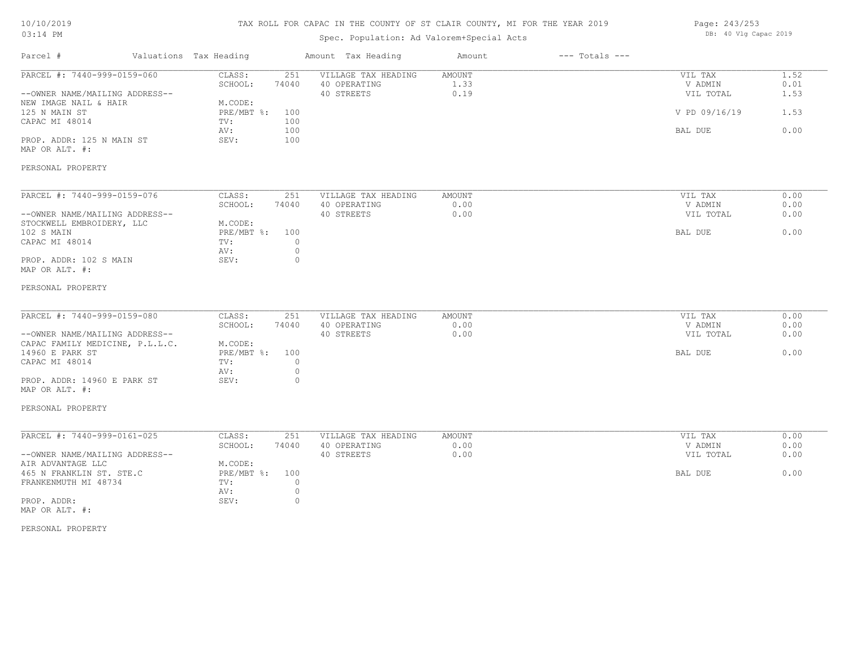## TAX ROLL FOR CAPAC IN THE COUNTY OF ST CLAIR COUNTY, MI FOR THE YEAR 2019

# Spec. Population: Ad Valorem+Special Acts

| Page: 243/253 |  |                       |  |
|---------------|--|-----------------------|--|
|               |  | DB: 40 Vlg Capac 2019 |  |

| Parcel #                        | Valuations Tax Heading |                   | Amount Tax Heading  | Amount        | $---$ Totals $---$ |               |      |
|---------------------------------|------------------------|-------------------|---------------------|---------------|--------------------|---------------|------|
| PARCEL #: 7440-999-0159-060     | CLASS:                 | 251               | VILLAGE TAX HEADING | <b>AMOUNT</b> |                    | VIL TAX       | 1.52 |
|                                 | SCHOOL:                | 74040             | 40 OPERATING        | 1.33          |                    | V ADMIN       | 0.01 |
| --OWNER NAME/MAILING ADDRESS--  |                        |                   | 40 STREETS          | 0.19          |                    | VIL TOTAL     | 1.53 |
| NEW IMAGE NAIL & HAIR           | M.CODE:                |                   |                     |               |                    |               |      |
| 125 N MAIN ST                   |                        | PRE/MBT %:<br>100 |                     |               |                    | V PD 09/16/19 | 1.53 |
| CAPAC MI 48014                  | TV:                    | 100               |                     |               |                    |               |      |
|                                 | AV:                    | 100               |                     |               |                    | BAL DUE       | 0.00 |
| PROP. ADDR: 125 N MAIN ST       | SEV:                   | 100               |                     |               |                    |               |      |
| MAP OR ALT. #:                  |                        |                   |                     |               |                    |               |      |
|                                 |                        |                   |                     |               |                    |               |      |
| PERSONAL PROPERTY               |                        |                   |                     |               |                    |               |      |
|                                 |                        |                   |                     |               |                    |               |      |
| PARCEL #: 7440-999-0159-076     | CLASS:                 | 251               | VILLAGE TAX HEADING | AMOUNT        |                    | VIL TAX       | 0.00 |
|                                 | SCHOOL:                | 74040             | 40 OPERATING        | 0.00          |                    | V ADMIN       | 0.00 |
| --OWNER NAME/MAILING ADDRESS--  |                        |                   | 40 STREETS          | 0.00          |                    | VIL TOTAL     | 0.00 |
| STOCKWELL EMBROIDERY, LLC       | M.CODE:                |                   |                     |               |                    |               |      |
| 102 S MAIN                      |                        | PRE/MBT %:<br>100 |                     |               |                    | BAL DUE       | 0.00 |
| CAPAC MI 48014                  | TV:                    |                   | $\circ$             |               |                    |               |      |
|                                 | AV:                    |                   | $\circ$             |               |                    |               |      |
| PROP. ADDR: 102 S MAIN          | SEV:                   |                   | $\circ$             |               |                    |               |      |
| MAP OR ALT. #:                  |                        |                   |                     |               |                    |               |      |
| PERSONAL PROPERTY               |                        |                   |                     |               |                    |               |      |
|                                 |                        |                   |                     |               |                    |               |      |
| PARCEL #: 7440-999-0159-080     | CLASS:                 | 251               | VILLAGE TAX HEADING | AMOUNT        |                    | VIL TAX       | 0.00 |
|                                 | SCHOOL:                | 74040             | 40 OPERATING        | 0.00          |                    | V ADMIN       | 0.00 |
| --OWNER NAME/MAILING ADDRESS--  |                        |                   | 40 STREETS          | 0.00          |                    | VIL TOTAL     | 0.00 |
| CAPAC FAMILY MEDICINE, P.L.L.C. | M.CODE:                |                   |                     |               |                    |               |      |
| 14960 E PARK ST                 |                        | PRE/MBT %:<br>100 |                     |               |                    | BAL DUE       | 0.00 |
| CAPAC MI 48014                  | TV:                    |                   | $\circ$             |               |                    |               |      |
|                                 | AV:                    |                   | $\circ$             |               |                    |               |      |
| PROP. ADDR: 14960 E PARK ST     | SEV:                   |                   | $\circ$             |               |                    |               |      |
| MAP OR ALT. #:                  |                        |                   |                     |               |                    |               |      |
|                                 |                        |                   |                     |               |                    |               |      |
| PERSONAL PROPERTY               |                        |                   |                     |               |                    |               |      |
|                                 |                        |                   |                     |               |                    |               |      |
| PARCEL #: 7440-999-0161-025     | CLASS:                 | 251               | VILLAGE TAX HEADING | <b>AMOUNT</b> |                    | VIL TAX       | 0.00 |
|                                 | SCHOOL:                | 74040             | 40 OPERATING        | 0.00          |                    | V ADMIN       | 0.00 |
| --OWNER NAME/MAILING ADDRESS--  |                        |                   | 40 STREETS          | 0.00          |                    | VIL TOTAL     | 0.00 |
| AIR ADVANTAGE LLC               | M.CODE:                |                   |                     |               |                    |               |      |
| 465 N FRANKLIN ST. STE.C        |                        | PRE/MBT %:<br>100 |                     |               |                    | BAL DUE       | 0.00 |
| FRANKENMUTH MI 48734            | TV:                    |                   | $\circ$             |               |                    |               |      |
|                                 | AV:                    |                   | $\circ$             |               |                    |               |      |
| PROP. ADDR:                     | SEV:                   |                   | $\circ$             |               |                    |               |      |
| MAP OR ALT. #:                  |                        |                   |                     |               |                    |               |      |
|                                 |                        |                   |                     |               |                    |               |      |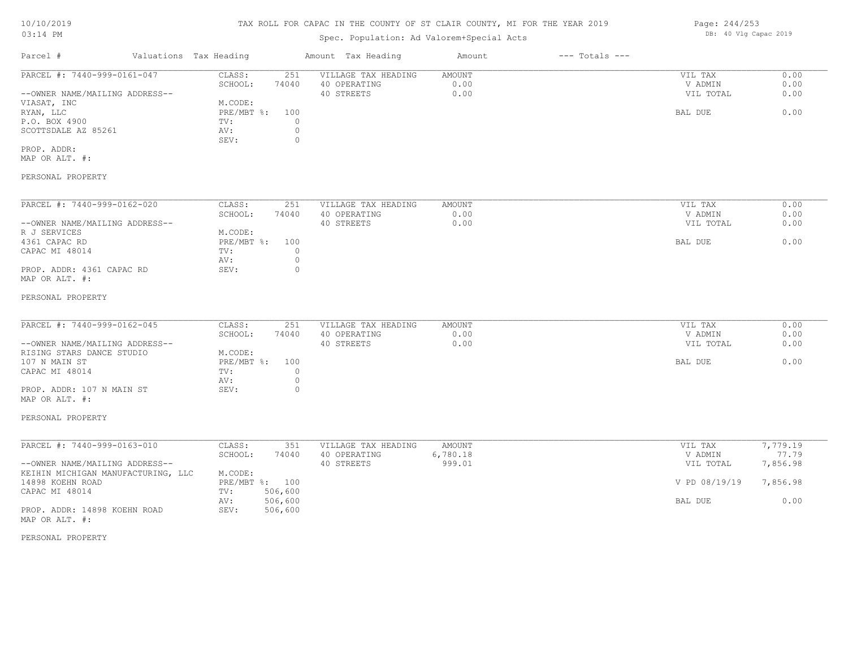# TAX ROLL FOR CAPAC IN THE COUNTY OF ST CLAIR COUNTY, MI FOR THE YEAR 2019

# Spec. Population: Ad Valorem+Special Acts

| Parcel #                       | Valuations Tax Heading |       | Amount Tax Heading  | Amount | $---$ Totals $---$ |           |      |
|--------------------------------|------------------------|-------|---------------------|--------|--------------------|-----------|------|
| PARCEL #: 7440-999-0161-047    | CLASS:                 | 251   | VILLAGE TAX HEADING | AMOUNT |                    | VIL TAX   | 0.00 |
|                                | SCHOOL:                | 74040 | 40 OPERATING        | 0.00   |                    | V ADMIN   | 0.00 |
| --OWNER NAME/MAILING ADDRESS-- |                        |       | 40 STREETS          | 0.00   |                    | VIL TOTAL | 0.00 |
| VIASAT, INC                    | M.CODE:                |       |                     |        |                    |           |      |
| RYAN, LLC                      | PRE/MBT %: 100         |       |                     |        |                    | BAL DUE   | 0.00 |
| P.O. BOX 4900                  | TV:                    |       |                     |        |                    |           |      |
| SCOTTSDALE AZ 85261            | AV:                    |       |                     |        |                    |           |      |
|                                | SEV:                   |       |                     |        |                    |           |      |
| PROP. ADDR:                    |                        |       |                     |        |                    |           |      |

MAP OR ALT. #:

## PERSONAL PROPERTY

| PARCEL #: 7440-999-0162-020    | CLASS:     | 251   | VILLAGE TAX HEADING | AMOUNT | VIL TAX   | 0.00 |
|--------------------------------|------------|-------|---------------------|--------|-----------|------|
|                                | SCHOOL:    | 74040 | 40 OPERATING        | 0.00   | V ADMIN   | 0.00 |
| --OWNER NAME/MAILING ADDRESS-- |            |       | 40 STREETS          | 0.00   | VIL TOTAL | 0.00 |
| R J SERVICES                   | M.CODE:    |       |                     |        |           |      |
| 4361 CAPAC RD                  | PRE/MBT %: | 100   |                     |        | BAL DUE   | 0.00 |
| CAPAC MI 48014                 | TV:        |       |                     |        |           |      |
|                                | AV:        |       |                     |        |           |      |
| PROP. ADDR: 4361 CAPAC RD      | SEV:       |       |                     |        |           |      |
| MAP OR ALT. #:                 |            |       |                     |        |           |      |

#### PERSONAL PROPERTY

| PARCEL #: 7440-999-0162-045    | CLASS:         | 251   | VILLAGE TAX HEADING | AMOUNT | VIL TAX   | 0.00 |
|--------------------------------|----------------|-------|---------------------|--------|-----------|------|
|                                | SCHOOL:        | 74040 | 40 OPERATING        | 0.00   | V ADMIN   | 0.00 |
| --OWNER NAME/MAILING ADDRESS-- |                |       | 40 STREETS          | 0.00   | VIL TOTAL | 0.00 |
| RISING STARS DANCE STUDIO      | M.CODE:        |       |                     |        |           |      |
| 107 N MAIN ST                  | PRE/MBT %: 100 |       |                     |        | BAL DUE   | 0.00 |
| CAPAC MI 48014                 | TV:            |       |                     |        |           |      |
|                                | AV:            |       |                     |        |           |      |
| PROP. ADDR: 107 N MAIN ST      | SEV:           |       |                     |        |           |      |

# MAP OR ALT. #:

#### PERSONAL PROPERTY

| PARCEL #: 7440-999-0163-010        | CLASS:  | 351            | VILLAGE TAX HEADING | AMOUNT   | VIL TAX       | 7,779.19 |
|------------------------------------|---------|----------------|---------------------|----------|---------------|----------|
|                                    | SCHOOL: | 74040          | 40 OPERATING        | 6,780.18 | V ADMIN       | 77.79    |
| --OWNER NAME/MAILING ADDRESS--     |         |                | 40 STREETS          | 999.01   | VIL TOTAL     | 7,856.98 |
| KEIHIN MICHIGAN MANUFACTURING, LLC | M.CODE: |                |                     |          |               |          |
| 14898 KOEHN ROAD                   |         | PRE/MBT %: 100 |                     |          | V PD 08/19/19 | 7,856.98 |
| CAPAC MI 48014                     | TV:     | 506,600        |                     |          |               |          |
|                                    | AV:     | 506,600        |                     |          | BAL DUE       | 0.00     |
| PROP. ADDR: 14898 KOEHN ROAD       | SEV:    | 506,600        |                     |          |               |          |
| MAP OR ALT. #:                     |         |                |                     |          |               |          |

#### PERSONAL PROPERTY

Page: 244/253 DB: 40 Vlg Capac 2019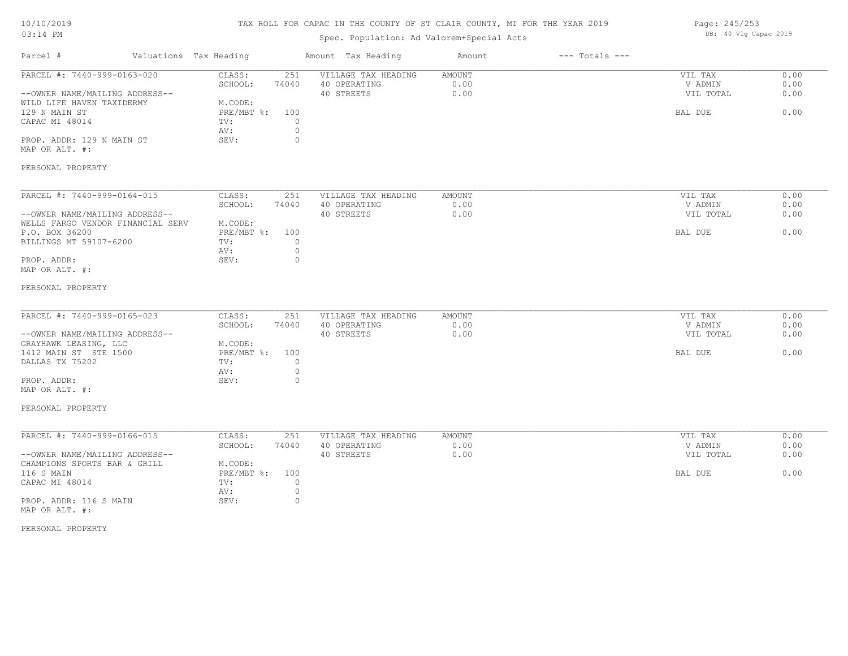# TAX ROLL FOR CAPAC IN THE COUNTY OF ST CLAIR COUNTY, MI FOR THE YEAR 2019

| Page: 245/253 |  |                       |  |
|---------------|--|-----------------------|--|
|               |  | DB: 40 Vlg Capac 2019 |  |

| Parcel #                                                                                                                                                                                 | Valuations Tax Heading                                                                                                         | Amount Tax Heading                                | Amount                 | $---$ Totals $---$ |                                            |                              |
|------------------------------------------------------------------------------------------------------------------------------------------------------------------------------------------|--------------------------------------------------------------------------------------------------------------------------------|---------------------------------------------------|------------------------|--------------------|--------------------------------------------|------------------------------|
| PARCEL #: 7440-999-0163-020<br>--OWNER NAME/MAILING ADDRESS--<br>WILD LIFE HAVEN TAXIDERMY<br>129 N MAIN ST<br>CAPAC MI 48014<br>PROP. ADDR: 129 N MAIN ST<br>MAP OR ALT. #:             | CLASS:<br>251<br>SCHOOL:<br>74040<br>M.CODE:<br>PRE/MBT %:<br>100<br>TV:<br>$\circ$<br>$\circ$<br>AV:<br>$\circ$<br>SEV:       | VILLAGE TAX HEADING<br>40 OPERATING<br>40 STREETS | AMOUNT<br>0.00<br>0.00 |                    | VIL TAX<br>V ADMIN<br>VIL TOTAL<br>BAL DUE | 0.00<br>0.00<br>0.00<br>0.00 |
| PERSONAL PROPERTY                                                                                                                                                                        |                                                                                                                                |                                                   |                        |                    |                                            |                              |
| PARCEL #: 7440-999-0164-015<br>--OWNER NAME/MAILING ADDRESS--<br>WELLS FARGO VENDOR FINANCIAL SERV<br>P.O. BOX 36200<br>BILLINGS MT 59107-6200<br>PROP. ADDR:<br>MAP OR ALT. #:          | CLASS:<br>251<br>SCHOOL:<br>74040<br>M.CODE:<br>$PRE/MBT$ $\div$<br>100<br>$\circ$<br>TV:<br>$\circ$<br>AV:<br>$\circ$<br>SEV: | VILLAGE TAX HEADING<br>40 OPERATING<br>40 STREETS | AMOUNT<br>0.00<br>0.00 |                    | VIL TAX<br>V ADMIN<br>VIL TOTAL<br>BAL DUE | 0.00<br>0.00<br>0.00<br>0.00 |
| PERSONAL PROPERTY                                                                                                                                                                        |                                                                                                                                |                                                   |                        |                    |                                            |                              |
| PARCEL #: 7440-999-0165-023<br>--OWNER NAME/MAILING ADDRESS--<br>GRAYHAWK LEASING, LLC<br>1412 MAIN ST STE 1500<br>DALLAS TX 75202<br>PROP. ADDR:<br>MAP OR ALT. #:<br>PERSONAL PROPERTY | CLASS:<br>251<br>SCHOOL:<br>74040<br>M.CODE:<br>PRE/MBT %: 100<br>$\circ$<br>TV:<br>$\circ$<br>AV:<br>SEV:<br>$\circ$          | VILLAGE TAX HEADING<br>40 OPERATING<br>40 STREETS | AMOUNT<br>0.00<br>0.00 |                    | VIL TAX<br>V ADMIN<br>VIL TOTAL<br>BAL DUE | 0.00<br>0.00<br>0.00<br>0.00 |
| PARCEL #: 7440-999-0166-015<br>--OWNER NAME/MAILING ADDRESS--                                                                                                                            | CLASS:<br>251<br>SCHOOL:<br>74040                                                                                              | VILLAGE TAX HEADING<br>40 OPERATING<br>40 STREETS | AMOUNT<br>0.00<br>0.00 |                    | VIL TAX<br>V ADMIN<br>VIL TOTAL            | 0.00<br>0.00<br>0.00         |
| CHAMPIONS SPORTS BAR & GRILL<br>116 S MAIN<br>CAPAC MI 48014<br>PROP. ADDR: 116 S MAIN<br>MAP OR ALT. #:                                                                                 | M.CODE:<br>$PRE/MBT$ $\div$ :<br>100<br>$\circ$<br>TV:<br>AV:<br>$\circ$<br>SEV:<br>$\circ$                                    |                                                   |                        |                    | BAL DUE                                    | 0.00                         |
| PERSONAL PROPERTY                                                                                                                                                                        |                                                                                                                                |                                                   |                        |                    |                                            |                              |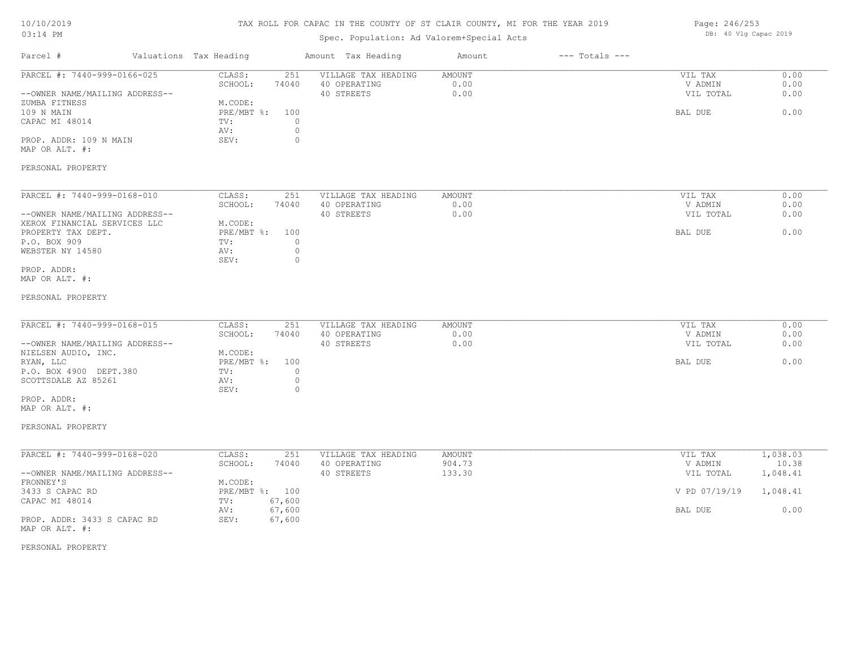# TAX ROLL FOR CAPAC IN THE COUNTY OF ST CLAIR COUNTY, MI FOR THE YEAR 2019

# Spec. Population: Ad Valorem+Special Acts

| Page: 246/253 |  |                       |  |
|---------------|--|-----------------------|--|
|               |  | DB: 40 Vlg Capac 2019 |  |

| Parcel #                                      | Valuations Tax Heading | Amount Tax Heading                                  | Amount         | $---$ Totals $---$ |                      |              |
|-----------------------------------------------|------------------------|-----------------------------------------------------|----------------|--------------------|----------------------|--------------|
| PARCEL #: 7440-999-0166-025                   | CLASS:<br>SCHOOL:      | VILLAGE TAX HEADING<br>251<br>74040<br>40 OPERATING | AMOUNT<br>0.00 |                    | VIL TAX<br>V ADMIN   | 0.00<br>0.00 |
| --OWNER NAME/MAILING ADDRESS--                |                        | 40 STREETS                                          | 0.00           |                    | VIL TOTAL            | 0.00         |
| ZUMBA FITNESS                                 | M.CODE:                |                                                     |                |                    |                      |              |
| 109 N MAIN<br>CAPAC MI 48014                  | PRE/MBT %:<br>TV:      | 100<br>$\circ$                                      |                |                    | BAL DUE              | 0.00         |
|                                               | AV:                    | $\circ$                                             |                |                    |                      |              |
| PROP. ADDR: 109 N MAIN                        | SEV:                   | $\circ$                                             |                |                    |                      |              |
| MAP OR ALT. #:                                |                        |                                                     |                |                    |                      |              |
| PERSONAL PROPERTY                             |                        |                                                     |                |                    |                      |              |
| PARCEL #: 7440-999-0168-010                   | CLASS:                 | VILLAGE TAX HEADING<br>251                          | AMOUNT         |                    | VIL TAX              | 0.00         |
| --OWNER NAME/MAILING ADDRESS--                | SCHOOL:                | 74040<br>40 OPERATING<br>40 STREETS                 | 0.00<br>0.00   |                    | V ADMIN<br>VIL TOTAL | 0.00<br>0.00 |
| XEROX FINANCIAL SERVICES LLC                  | M.CODE:                |                                                     |                |                    |                      |              |
| PROPERTY TAX DEPT.                            | $PRE/MBT$ $\div$       | 100                                                 |                |                    | BAL DUE              | 0.00         |
| P.O. BOX 909                                  | TV:                    | $\circ$                                             |                |                    |                      |              |
| WEBSTER NY 14580                              | AV:                    | $\circ$                                             |                |                    |                      |              |
|                                               | SEV:                   | $\circ$                                             |                |                    |                      |              |
| PROP. ADDR:<br>MAP OR ALT. #:                 |                        |                                                     |                |                    |                      |              |
| PERSONAL PROPERTY                             |                        |                                                     |                |                    |                      |              |
| PARCEL #: 7440-999-0168-015                   | CLASS:                 | 251<br>VILLAGE TAX HEADING                          | AMOUNT         |                    | VIL TAX              | 0.00         |
|                                               | SCHOOL:                | 74040<br>40 OPERATING                               | 0.00           |                    | V ADMIN              | 0.00         |
| --OWNER NAME/MAILING ADDRESS--                |                        | 40 STREETS                                          | 0.00           |                    | VIL TOTAL            | 0.00         |
| NIELSEN AUDIO, INC.                           | M.CODE:                |                                                     |                |                    |                      |              |
| RYAN, LLC                                     | PRE/MBT %:             | 100                                                 |                |                    | BAL DUE              | 0.00         |
| P.O. BOX 4900 DEPT.380                        | TV:                    | $\circ$                                             |                |                    |                      |              |
| SCOTTSDALE AZ 85261                           | AV:                    | $\circ$                                             |                |                    |                      |              |
| PROP. ADDR:                                   | SEV:                   | $\circ$                                             |                |                    |                      |              |
| MAP OR ALT. #:                                |                        |                                                     |                |                    |                      |              |
| PERSONAL PROPERTY                             |                        |                                                     |                |                    |                      |              |
| PARCEL #: 7440-999-0168-020                   | CLASS:                 | VILLAGE TAX HEADING                                 | <b>AMOUNT</b>  |                    |                      | 1,038.03     |
|                                               | SCHOOL:                | 251<br>74040<br>40 OPERATING                        | 904.73         |                    | VIL TAX<br>V ADMIN   | 10.38        |
| --OWNER NAME/MAILING ADDRESS--                |                        | 40 STREETS                                          | 133.30         |                    | VIL TOTAL            | 1,048.41     |
| FRONNEY'S                                     | M.CODE:                |                                                     |                |                    |                      |              |
| 3433 S CAPAC RD                               | PRE/MBT %: 100         |                                                     |                |                    | V PD 07/19/19        | 1,048.41     |
| CAPAC MI 48014                                | TV:                    | 67,600                                              |                |                    |                      |              |
|                                               | AV:                    | 67,600                                              |                |                    | BAL DUE              | 0.00         |
| PROP. ADDR: 3433 S CAPAC RD<br>MAP OR ALT. #: | SEV:                   | 67,600                                              |                |                    |                      |              |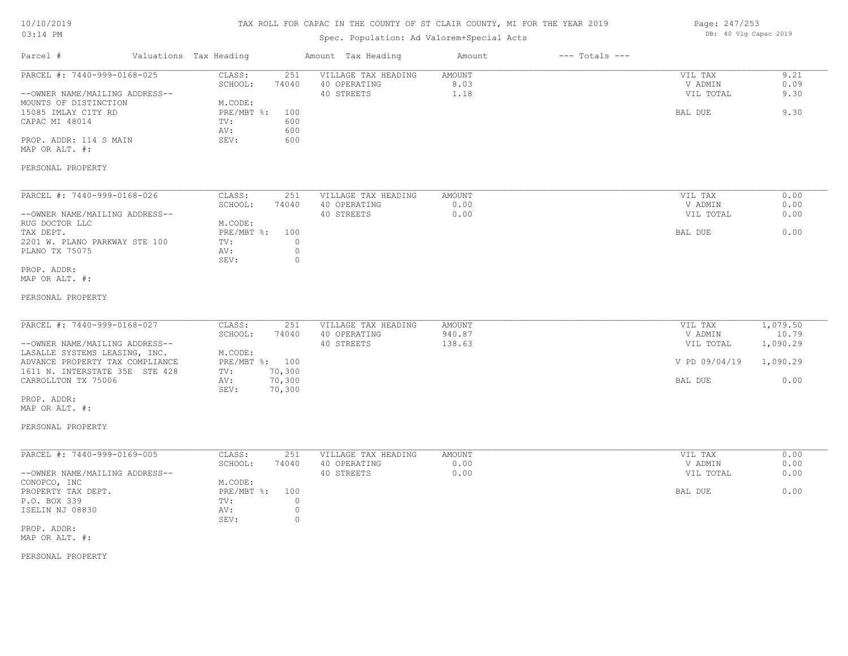# TAX ROLL FOR CAPAC IN THE COUNTY OF ST CLAIR COUNTY, MI FOR THE YEAR 2019

# Spec. Population: Ad Valorem+Special Acts

| Page: 247/253 |  |                       |  |
|---------------|--|-----------------------|--|
|               |  | DB: 40 Vlg Capac 2019 |  |

| Parcel #                                                                                                                                                                                                                                         | Valuations Tax Heading                                                                                                     | Amount Tax Heading                                | Amount                        | $---$ Totals $---$ |                                                             |                                                   |
|--------------------------------------------------------------------------------------------------------------------------------------------------------------------------------------------------------------------------------------------------|----------------------------------------------------------------------------------------------------------------------------|---------------------------------------------------|-------------------------------|--------------------|-------------------------------------------------------------|---------------------------------------------------|
| PARCEL #: 7440-999-0168-025<br>--OWNER NAME/MAILING ADDRESS--<br>MOUNTS OF DISTINCTION<br>15085 IMLAY CITY RD<br>CAPAC MI 48014<br>PROP. ADDR: 114 S MAIN<br>MAP OR ALT. #:                                                                      | CLASS:<br>251<br>SCHOOL:<br>74040<br>M.CODE:<br>PRE/MBT %:<br>100<br>600<br>TV:<br>600<br>AV:<br>SEV:<br>600               | VILLAGE TAX HEADING<br>40 OPERATING<br>40 STREETS | AMOUNT<br>8.03<br>1.18        |                    | VIL TAX<br>V ADMIN<br>VIL TOTAL<br>BAL DUE                  | 9.21<br>0.09<br>9.30<br>9.30                      |
| PERSONAL PROPERTY                                                                                                                                                                                                                                |                                                                                                                            |                                                   |                               |                    |                                                             |                                                   |
| PARCEL #: 7440-999-0168-026<br>--OWNER NAME/MAILING ADDRESS--<br>RUG DOCTOR LLC<br>TAX DEPT.<br>2201 W. PLANO PARKWAY STE 100<br>PLANO TX 75075                                                                                                  | CLASS:<br>251<br>SCHOOL:<br>74040<br>M.CODE:<br>$PRE/MBT$ %:<br>100<br>TV:<br>$\circ$<br>$\circ$<br>AV:<br>$\circ$<br>SEV: | VILLAGE TAX HEADING<br>40 OPERATING<br>40 STREETS | AMOUNT<br>0.00<br>0.00        |                    | VIL TAX<br>V ADMIN<br>VIL TOTAL<br>BAL DUE                  | 0.00<br>0.00<br>0.00<br>0.00                      |
| PROP. ADDR:<br>MAP OR ALT. #:<br>PERSONAL PROPERTY                                                                                                                                                                                               |                                                                                                                            |                                                   |                               |                    |                                                             |                                                   |
| PARCEL #: 7440-999-0168-027<br>--OWNER NAME/MAILING ADDRESS--<br>LASALLE SYSTEMS LEASING, INC.<br>ADVANCE PROPERTY TAX COMPLIANCE<br>1611 N. INTERSTATE 35E STE 428<br>CARROLLTON TX 75006<br>PROP. ADDR:<br>MAP OR ALT. #:<br>PERSONAL PROPERTY | CLASS:<br>251<br>SCHOOL:<br>74040<br>M.CODE:<br>PRE/MBT %: 100<br>70,300<br>TV:<br>70,300<br>AV:<br>SEV:<br>70,300         | VILLAGE TAX HEADING<br>40 OPERATING<br>40 STREETS | AMOUNT<br>940.87<br>138.63    |                    | VIL TAX<br>V ADMIN<br>VIL TOTAL<br>V PD 09/04/19<br>BAL DUE | 1,079.50<br>10.79<br>1,090.29<br>1,090.29<br>0.00 |
| PARCEL #: 7440-999-0169-005<br>--OWNER NAME/MAILING ADDRESS--<br>CONOPCO, INC<br>PROPERTY TAX DEPT.<br>P.O. BOX 339<br>ISELIN NJ 08830<br>PROP. ADDR:<br>MAP OR ALT. #:                                                                          | CLASS:<br>251<br>SCHOOL:<br>74040<br>M.CODE:<br>PRE/MBT %:<br>100<br>$\circ$<br>TV:<br>AV:<br>$\circ$<br>$\circ$<br>SEV:   | VILLAGE TAX HEADING<br>40 OPERATING<br>40 STREETS | <b>AMOUNT</b><br>0.00<br>0.00 |                    | VIL TAX<br>V ADMIN<br>VIL TOTAL<br>BAL DUE                  | 0.00<br>0.00<br>0.00<br>0.00                      |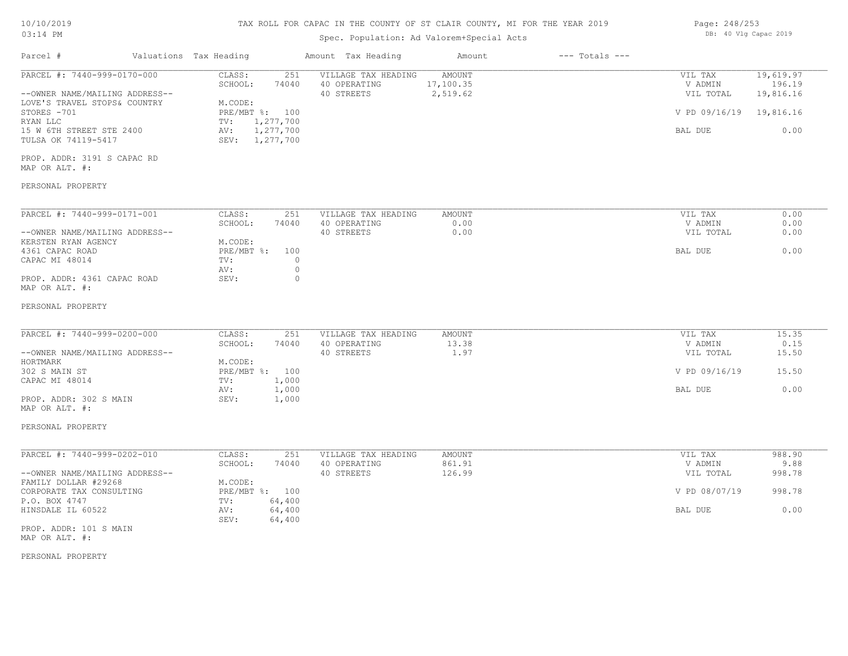| Valuations Tax Heading<br>$---$ Totals $---$<br>Parcel #<br>Amount Tax Heading<br>Amount<br>PARCEL #: 7440-999-0170-000<br>VILLAGE TAX HEADING<br><b>AMOUNT</b><br>CLASS:<br>251<br>VIL TAX<br>17,100.35<br>SCHOOL:<br>74040<br>40 OPERATING<br>V ADMIN<br>2,519.62<br>40 STREETS<br>VIL TOTAL<br>--OWNER NAME/MAILING ADDRESS--<br>M.CODE:<br>LOVE'S TRAVEL STOPS& COUNTRY<br>STORES -701<br>$PRE/MBT$ $\div$<br>100<br>V PD 09/16/19<br>RYAN LLC<br>1,277,700<br>TV:<br>1,277,700<br>15 W 6TH STREET STE 2400<br>AV:<br>BAL DUE<br>SEV: 1,277,700<br>TULSA OK 74119-5417<br>PROP. ADDR: 3191 S CAPAC RD<br>MAP OR ALT. #:<br>PERSONAL PROPERTY<br>PARCEL #: 7440-999-0171-001<br>CLASS:<br>251<br>VILLAGE TAX HEADING<br><b>AMOUNT</b><br>VIL TAX<br>0.00<br>SCHOOL:<br>74040<br>40 OPERATING<br>V ADMIN<br>40 STREETS<br>0.00<br>--OWNER NAME/MAILING ADDRESS--<br>VIL TOTAL<br>KERSTEN RYAN AGENCY<br>M.CODE:<br>4361 CAPAC ROAD<br>PRE/MBT %:<br>100<br>BAL DUE<br>CAPAC MI 48014<br>$\circ$<br>TV:<br>$\circ$<br>AV:<br>$\Omega$<br>PROP. ADDR: 4361 CAPAC ROAD<br>SEV:<br>MAP OR ALT. #:<br>PERSONAL PROPERTY<br>PARCEL #: 7440-999-0200-000<br>CLASS:<br>251<br>VILLAGE TAX HEADING<br><b>AMOUNT</b><br>VIL TAX<br>SCHOOL:<br>74040<br>40 OPERATING<br>13.38<br>V ADMIN<br>--OWNER NAME/MAILING ADDRESS--<br>40 STREETS<br>1.97<br>VIL TOTAL<br>HORTMARK<br>M.CODE:<br>302 S MAIN ST<br>PRE/MBT %: 100<br>V PD 09/16/19<br>CAPAC MI 48014<br>1,000<br>TV:<br>1,000<br>AV:<br>BAL DUE<br>PROP. ADDR: 302 S MAIN<br>SEV:<br>1,000<br>MAP OR ALT. #:<br>PERSONAL PROPERTY<br>PARCEL #: 7440-999-0202-010<br>CLASS:<br>VILLAGE TAX HEADING<br><b>AMOUNT</b><br>251<br>VIL TAX<br>74040<br>861.91<br>SCHOOL:<br>40 OPERATING<br>V ADMIN | 10/10/2019<br>$03:14$ PM |  |  | TAX ROLL FOR CAPAC IN THE COUNTY OF ST CLAIR COUNTY, MI FOR THE YEAR 2019<br>Spec. Population: Ad Valorem+Special Acts |  |  |                                         |  |
|--------------------------------------------------------------------------------------------------------------------------------------------------------------------------------------------------------------------------------------------------------------------------------------------------------------------------------------------------------------------------------------------------------------------------------------------------------------------------------------------------------------------------------------------------------------------------------------------------------------------------------------------------------------------------------------------------------------------------------------------------------------------------------------------------------------------------------------------------------------------------------------------------------------------------------------------------------------------------------------------------------------------------------------------------------------------------------------------------------------------------------------------------------------------------------------------------------------------------------------------------------------------------------------------------------------------------------------------------------------------------------------------------------------------------------------------------------------------------------------------------------------------------------------------------------------------------------------------------------------------------------------------------------------------------------------------------------------------------------------------|--------------------------|--|--|------------------------------------------------------------------------------------------------------------------------|--|--|-----------------------------------------|--|
|                                                                                                                                                                                                                                                                                                                                                                                                                                                                                                                                                                                                                                                                                                                                                                                                                                                                                                                                                                                                                                                                                                                                                                                                                                                                                                                                                                                                                                                                                                                                                                                                                                                                                                                                            |                          |  |  |                                                                                                                        |  |  |                                         |  |
|                                                                                                                                                                                                                                                                                                                                                                                                                                                                                                                                                                                                                                                                                                                                                                                                                                                                                                                                                                                                                                                                                                                                                                                                                                                                                                                                                                                                                                                                                                                                                                                                                                                                                                                                            |                          |  |  |                                                                                                                        |  |  | 19,619.97<br>196.19<br>19,816.16        |  |
|                                                                                                                                                                                                                                                                                                                                                                                                                                                                                                                                                                                                                                                                                                                                                                                                                                                                                                                                                                                                                                                                                                                                                                                                                                                                                                                                                                                                                                                                                                                                                                                                                                                                                                                                            |                          |  |  |                                                                                                                        |  |  | 19,816.16                               |  |
|                                                                                                                                                                                                                                                                                                                                                                                                                                                                                                                                                                                                                                                                                                                                                                                                                                                                                                                                                                                                                                                                                                                                                                                                                                                                                                                                                                                                                                                                                                                                                                                                                                                                                                                                            |                          |  |  |                                                                                                                        |  |  | 0.00                                    |  |
|                                                                                                                                                                                                                                                                                                                                                                                                                                                                                                                                                                                                                                                                                                                                                                                                                                                                                                                                                                                                                                                                                                                                                                                                                                                                                                                                                                                                                                                                                                                                                                                                                                                                                                                                            |                          |  |  |                                                                                                                        |  |  |                                         |  |
|                                                                                                                                                                                                                                                                                                                                                                                                                                                                                                                                                                                                                                                                                                                                                                                                                                                                                                                                                                                                                                                                                                                                                                                                                                                                                                                                                                                                                                                                                                                                                                                                                                                                                                                                            |                          |  |  |                                                                                                                        |  |  |                                         |  |
|                                                                                                                                                                                                                                                                                                                                                                                                                                                                                                                                                                                                                                                                                                                                                                                                                                                                                                                                                                                                                                                                                                                                                                                                                                                                                                                                                                                                                                                                                                                                                                                                                                                                                                                                            |                          |  |  |                                                                                                                        |  |  | 0.00<br>0.00<br>0.00<br>0.00            |  |
|                                                                                                                                                                                                                                                                                                                                                                                                                                                                                                                                                                                                                                                                                                                                                                                                                                                                                                                                                                                                                                                                                                                                                                                                                                                                                                                                                                                                                                                                                                                                                                                                                                                                                                                                            |                          |  |  |                                                                                                                        |  |  | 15.35<br>0.15<br>15.50<br>15.50<br>0.00 |  |
|                                                                                                                                                                                                                                                                                                                                                                                                                                                                                                                                                                                                                                                                                                                                                                                                                                                                                                                                                                                                                                                                                                                                                                                                                                                                                                                                                                                                                                                                                                                                                                                                                                                                                                                                            |                          |  |  |                                                                                                                        |  |  |                                         |  |
| 40 STREETS<br>126.99<br>--OWNER NAME/MAILING ADDRESS--<br>VIL TOTAL                                                                                                                                                                                                                                                                                                                                                                                                                                                                                                                                                                                                                                                                                                                                                                                                                                                                                                                                                                                                                                                                                                                                                                                                                                                                                                                                                                                                                                                                                                                                                                                                                                                                        |                          |  |  |                                                                                                                        |  |  | 988.90<br>9.88<br>998.78                |  |

| --UWNER NAME/MAILING ADDRESS--             | 40 SIKLLIS | 120.99 | -VIL TUTAL    | 998.78 |
|--------------------------------------------|------------|--------|---------------|--------|
| FAMILY DOLLAR #29268<br>M.CODE:            |            |        |               |        |
| PRE/MBT %: 100<br>CORPORATE TAX CONSULTING |            |        | V PD 08/07/19 | 998.78 |
| P.O. BOX 4747<br>TV:                       | 64,400     |        |               |        |
| HINSDALE IL 60522<br>AV:                   | 64,400     |        | BAL DUE       |        |
| SEV:                                       | 64,400     |        |               |        |

MAP OR ALT. #: PROP. ADDR: 101 S MAIN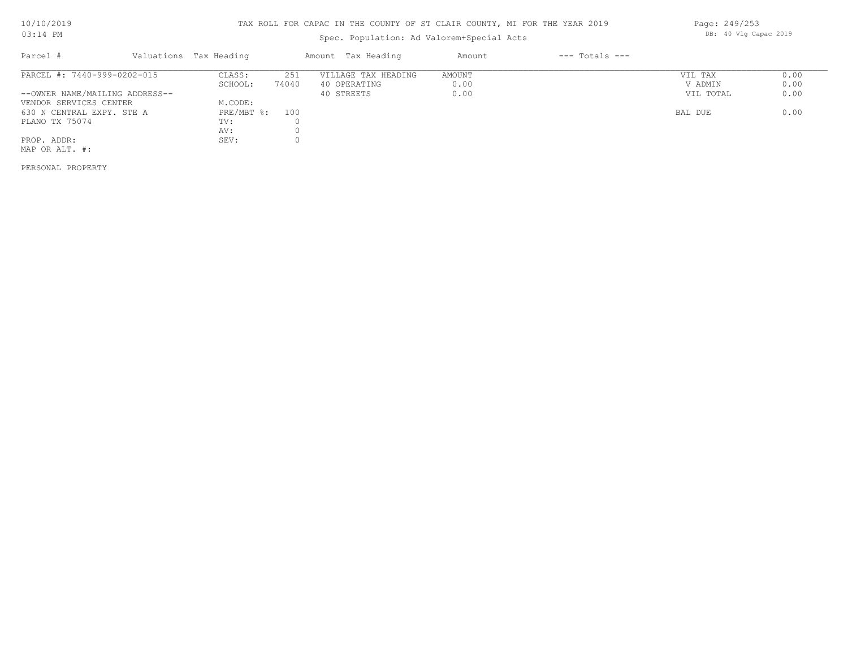# Spec. Population: Ad Valorem+Special Acts

| Parcel #                       | Valuations Tax Heading |       | Amount Tax Heading  | Amount | $---$ Totals $---$ |           |      |
|--------------------------------|------------------------|-------|---------------------|--------|--------------------|-----------|------|
| PARCEL #: 7440-999-0202-015    | CLASS:                 | 251   | VILLAGE TAX HEADING | AMOUNT |                    | VIL TAX   | 0.00 |
|                                | SCHOOL:                | 74040 | 40 OPERATING        | 0.00   |                    | V ADMIN   | 0.00 |
| --OWNER NAME/MAILING ADDRESS-- |                        |       | 40 STREETS          | 0.00   |                    | VIL TOTAL | 0.00 |
| VENDOR SERVICES CENTER         | M.CODE:                |       |                     |        |                    |           |      |
| 630 N CENTRAL EXPY. STE A      | PRE/MBT %: 100         |       |                     |        |                    | BAL DUE   | 0.00 |
| PLANO TX 75074                 | TV:                    |       |                     |        |                    |           |      |
|                                | AV:                    |       |                     |        |                    |           |      |
| PROP. ADDR:                    | SEV:                   |       |                     |        |                    |           |      |
| MAP OR ALT. #:                 |                        |       |                     |        |                    |           |      |
|                                |                        |       |                     |        |                    |           |      |

PERSONAL PROPERTY

Page: 249/253 DB: 40 Vlg Capac 2019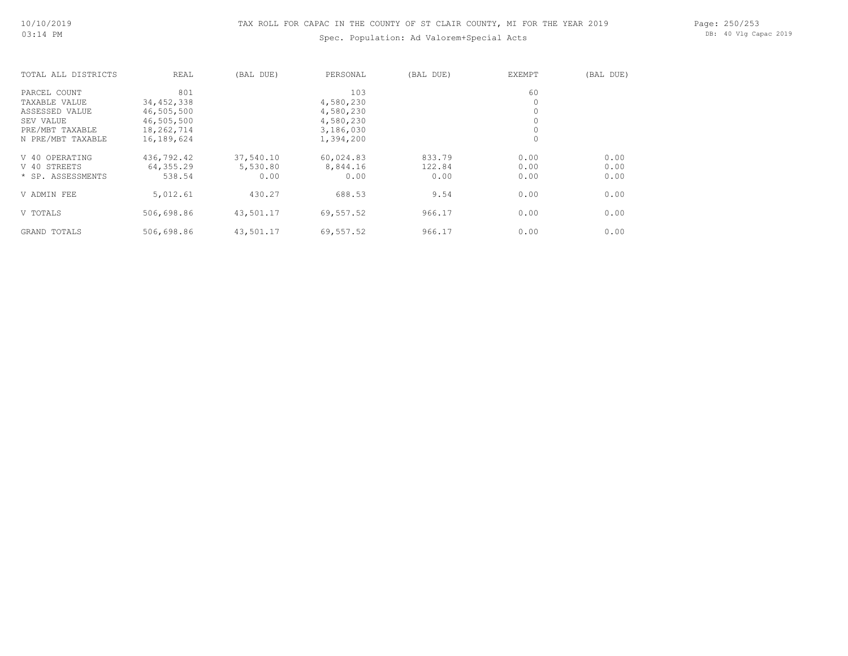# Spec. Population: Ad Valorem+Special Acts

Page: 250/253 DB: 40 Vlg Capac 2019

| TOTAL ALL DISTRICTS | REAL         | (BAL DUE) | PERSONAL  | (BAL DUE) | EXEMPT  | (BAL DUE) |
|---------------------|--------------|-----------|-----------|-----------|---------|-----------|
| PARCEL COUNT        | 801          |           | 103       |           | 60      |           |
| TAXABLE VALUE       | 34, 452, 338 |           | 4,580,230 |           | 0       |           |
| ASSESSED VALUE      | 46,505,500   |           | 4,580,230 |           | $\circ$ |           |
| SEV VALUE           | 46,505,500   |           | 4,580,230 |           | $\circ$ |           |
| PRE/MBT TAXABLE     | 18,262,714   |           | 3,186,030 |           | $\circ$ |           |
| N PRE/MBT TAXABLE   | 16,189,624   |           | 1,394,200 |           | $\circ$ |           |
| V 40 OPERATING      | 436,792.42   | 37,540.10 | 60,024.83 | 833.79    | 0.00    | 0.00      |
| V 40 STREETS        | 64,355.29    | 5,530.80  | 8,844.16  | 122.84    | 0.00    | 0.00      |
| * SP. ASSESSMENTS   | 538.54       | 0.00      | 0.00      | 0.00      | 0.00    | 0.00      |
| V ADMIN FEE         | 5,012.61     | 430.27    | 688.53    | 9.54      | 0.00    | 0.00      |
| V TOTALS            | 506,698.86   | 43,501.17 | 69,557.52 | 966.17    | 0.00    | 0.00      |
| GRAND TOTALS        | 506,698.86   | 43,501.17 | 69,557.52 | 966.17    | 0.00    | 0.00      |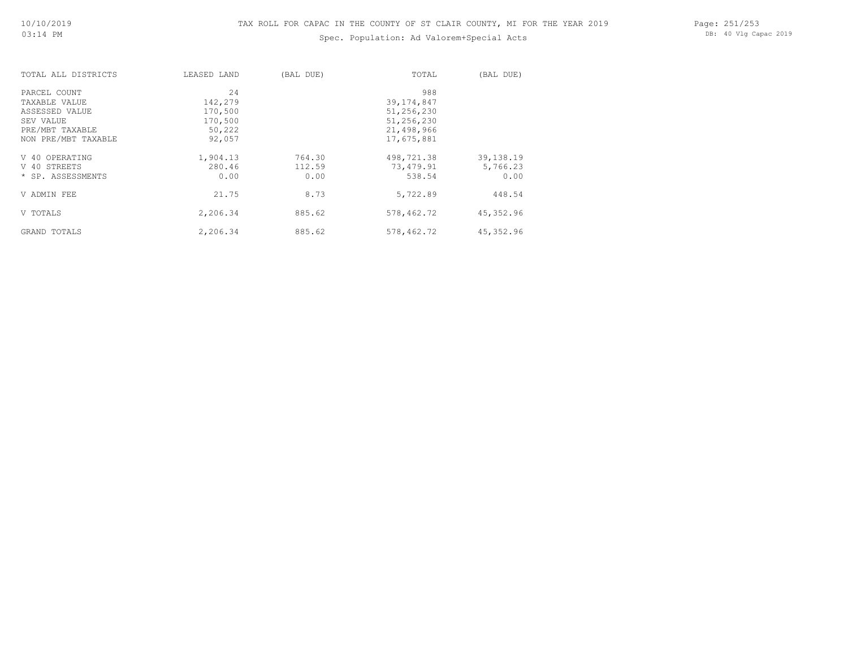# Spec. Population: Ad Valorem+Special Acts

Page: 251/253 DB: 40 Vlg Capac 2019

| TOTAL ALL DISTRICTS | LEASED LAND | (BAL DUE) | TOTAL        | (BAL DUE)   |
|---------------------|-------------|-----------|--------------|-------------|
| PARCEL COUNT        | 24          |           | 988          |             |
| TAXABLE VALUE       | 142,279     |           | 39, 174, 847 |             |
| ASSESSED VALUE      | 170,500     |           | 51,256,230   |             |
| SEV VALUE           | 170,500     |           | 51,256,230   |             |
| PRE/MBT TAXABLE     | 50,222      |           | 21,498,966   |             |
| NON PRE/MBT TAXABLE | 92,057      |           | 17,675,881   |             |
| V 40 OPERATING      | 1,904.13    | 764.30    | 498,721.38   | 39, 138. 19 |
| V 40 STREETS        | 280.46      | 112.59    | 73,479.91    | 5,766.23    |
| * SP. ASSESSMENTS   | 0.00        | 0.00      | 538.54       | 0.00        |
| V ADMIN FEE         | 21.75       | 8.73      | 5,722.89     | 448.54      |
| V TOTALS            | 2,206.34    | 885.62    | 578,462.72   | 45,352.96   |
| GRAND TOTALS        | 2,206.34    | 885.62    | 578,462.72   | 45,352.96   |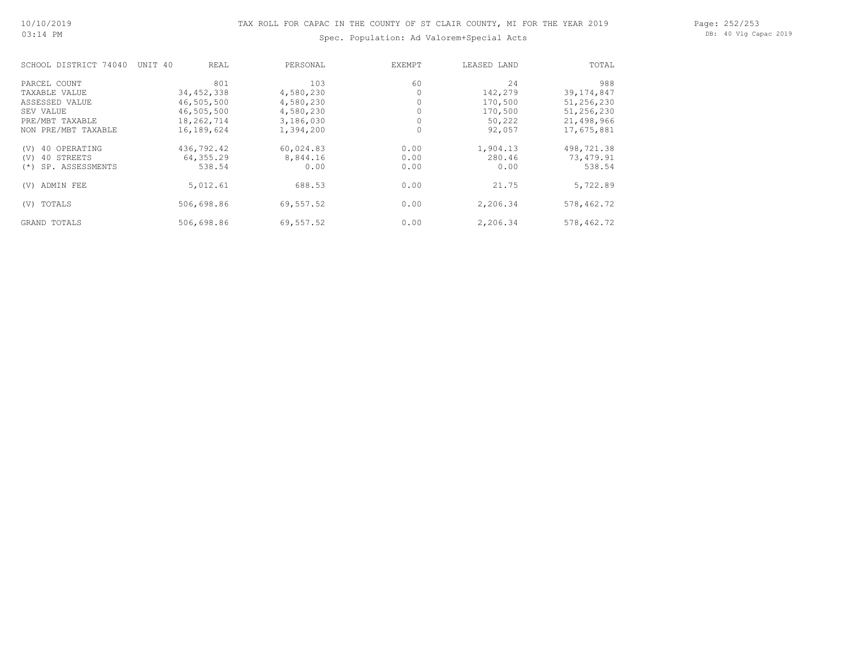# Spec. Population: Ad Valorem+Special Acts

Page: 252/253 DB: 40 Vlg Capac 2019

| SCHOOL DISTRICT 74040     | UNIT 40<br>REAL | PERSONAL  | EXEMPT | LEASED LAND | TOTAL        |
|---------------------------|-----------------|-----------|--------|-------------|--------------|
| PARCEL COUNT              | 801             | 103       | 60     | 24          | 988          |
| TAXABLE VALUE             | 34, 452, 338    | 4,580,230 |        | 142,279     | 39, 174, 847 |
| ASSESSED VALUE            | 46,505,500      | 4,580,230 |        | 170,500     | 51,256,230   |
| SEV VALUE                 | 46,505,500      | 4,580,230 |        | 170,500     | 51,256,230   |
| PRE/MBT TAXABLE           | 18,262,714      | 3,186,030 |        | 50,222      | 21,498,966   |
| NON PRE/MBT TAXABLE       | 16,189,624      | 1,394,200 | 0      | 92,057      | 17,675,881   |
| 40 OPERATING<br>(V)       | 436,792.42      | 60,024.83 | 0.00   | 1,904.13    | 498,721.38   |
| 40 STREETS<br>(V)         | 64,355.29       | 8,844.16  | 0.00   | 280.46      | 73,479.91    |
| SP. ASSESSMENTS<br>$(* )$ | 538.54          | 0.00      | 0.00   | 0.00        | 538.54       |
| ADMIN FEE<br>(V)          | 5,012.61        | 688.53    | 0.00   | 21.75       | 5,722.89     |
| TOTALS<br>(V)             | 506,698.86      | 69,557.52 | 0.00   | 2,206.34    | 578,462.72   |
| GRAND TOTALS              | 506,698.86      | 69,557.52 | 0.00   | 2,206.34    | 578,462.72   |